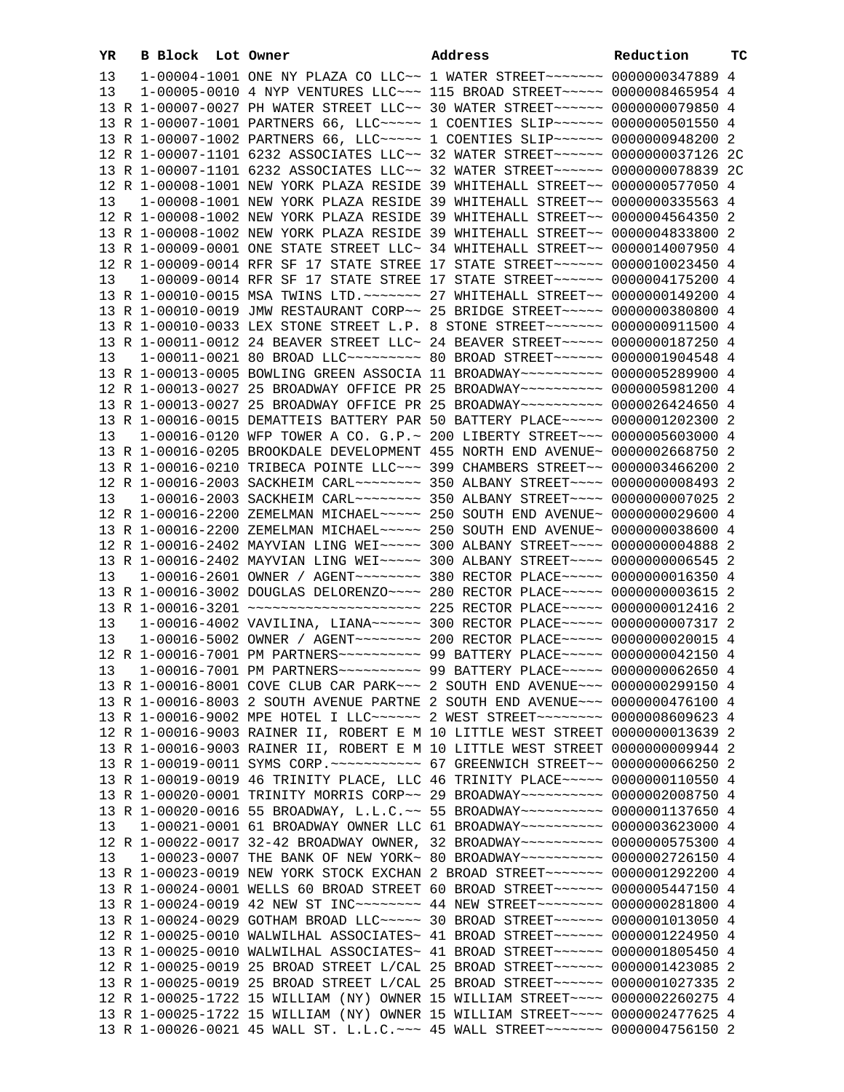| YR | B Block Lot Owner |                                                                                          | Address | Reduction | тc |
|----|-------------------|------------------------------------------------------------------------------------------|---------|-----------|----|
| 13 |                   | 1-00004-1001 ONE NY PLAZA CO LLC~~ 1 WATER STREET~~~~~~~ 0000000347889 4                 |         |           |    |
| 13 |                   | 1-00005-0010 4 NYP VENTURES LLC~~~ 115 BROAD STREET~~~~~ 0000008465954 4                 |         |           |    |
|    |                   | 13 R 1-00007-0027 PH WATER STREET LLC~~ 30 WATER STREET~~~~~~ 0000000079850 4            |         |           |    |
|    |                   | 13 R 1-00007-1001 PARTNERS 66, LLC ---- 1 COENTIES SLIP ----- 0000000501550 4            |         |           |    |
|    |                   | 13 R 1-00007-1002 PARTNERS 66, LLC ---- 1 COENTIES SLIP ----- 0000000948200 2            |         |           |    |
|    |                   | 12 R 1-00007-1101 6232 ASSOCIATES LLC~~ 32 WATER STREET~~~~~~ 0000000037126 2C           |         |           |    |
|    |                   | 13 R 1-00007-1101 6232 ASSOCIATES LLC~~ 32 WATER STREET~~~~~~ 0000000078839 2C           |         |           |    |
|    |                   | 12 R 1-00008-1001 NEW YORK PLAZA RESIDE 39 WHITEHALL STREET~~ 0000000577050 4            |         |           |    |
| 13 |                   | 1-00008-1001 NEW YORK PLAZA RESIDE 39 WHITEHALL STREET~~ 0000000335563 4                 |         |           |    |
|    |                   | 12 R 1-00008-1002 NEW YORK PLAZA RESIDE 39 WHITEHALL STREET~~ 0000004564350 2            |         |           |    |
|    |                   | 13 R 1-00008-1002 NEW YORK PLAZA RESIDE 39 WHITEHALL STREET~~ 0000004833800 2            |         |           |    |
|    |                   | 13 R 1-00009-0001 ONE STATE STREET LLC~ 34 WHITEHALL STREET~~ 0000014007950 4            |         |           |    |
|    |                   | 12 R 1-00009-0014 RFR SF 17 STATE STREE 17 STATE STREET~~~~~~ 0000010023450 4            |         |           |    |
| 13 |                   | 1-00009-0014 RFR SF 17 STATE STREE 17 STATE STREET~~~~~~ 0000004175200 4                 |         |           |    |
|    |                   | 13 R 1-00010-0015 MSA TWINS LTD. ~~~~~~~ 27 WHITEHALL STREET~~ 0000000149200 4           |         |           |    |
|    |                   | 13 R 1-00010-0019 JMW RESTAURANT CORP~~ 25 BRIDGE STREET~~~~~ 0000000380800 4            |         |           |    |
|    |                   | 13 R 1-00010-0033 LEX STONE STREET L.P. 8 STONE STREET~~~~~~~ 0000000911500 4            |         |           |    |
|    |                   | 13 R 1-00011-0012 24 BEAVER STREET LLC~ 24 BEAVER STREET~~~~~ 0000000187250 4            |         |           |    |
| 13 |                   | 1-00011-0021 80 BROAD LLC -------- 80 BROAD STREET ----- 0000001904548 4                 |         |           |    |
|    |                   | 13 R 1-00013-0005 BOWLING GREEN ASSOCIA 11 BROADWAY~~~~~~~~~~ 0000005289900 4            |         |           |    |
|    |                   | 12 R 1-00013-0027 25 BROADWAY OFFICE PR 25 BROADWAY~~~~~~~~~~ 0000005981200 4            |         |           |    |
|    |                   | 13 R 1-00013-0027 25 BROADWAY OFFICE PR 25 BROADWAY~~~~~~~~~~ 0000026424650 4            |         |           |    |
|    |                   | 13 R 1-00016-0015 DEMATTEIS BATTERY PAR 50 BATTERY PLACE~~~~~ 0000001202300 2            |         |           |    |
| 13 |                   | 1-00016-0120 WFP TOWER A CO. G.P.~ 200 LIBERTY STREET~~~ 0000005603000 4                 |         |           |    |
|    |                   | 13 R 1-00016-0205 BROOKDALE DEVELOPMENT 455 NORTH END AVENUE~ 0000002668750 2            |         |           |    |
|    |                   | 13 R 1-00016-0210 TRIBECA POINTE LLC~~~ 399 CHAMBERS STREET~~ 0000003466200 2            |         |           |    |
|    |                   | 12 R 1-00016-2003 SACKHEIM CARL~~~~~~~~ 350 ALBANY STREET~~~~ 0000000008493 2            |         |           |    |
| 13 |                   | 1-00016-2003 SACKHEIM CARL -------- 350 ALBANY STREET ---- 0000000007025 2               |         |           |    |
|    |                   | 12 R 1-00016-2200 ZEMELMAN MICHAEL~~~~~ 250 SOUTH END AVENUE~ 0000000029600 4            |         |           |    |
|    |                   | 13 R 1-00016-2200 ZEMELMAN MICHAEL~~~~~ 250 SOUTH END AVENUE~ 0000000038600 4            |         |           |    |
|    |                   | 12 R 1-00016-2402 MAYVIAN LING WEI~~~~~ 300 ALBANY STREET~~~~ 0000000004888 2            |         |           |    |
|    |                   | 13 R 1-00016-2402 MAYVIAN LING WEI~~~~~ 300 ALBANY STREET~~~~ 0000000006545 2            |         |           |    |
| 13 |                   | 1-00016-2601 OWNER / AGENT ~~~~~~~~~~~~~~~~ 380 RECTOR PLACE ~~~~~~~~~~~ 0000000016350 4 |         |           |    |
|    |                   | 13 R 1-00016-3002 DOUGLAS DELORENZO~~~~ 280 RECTOR PLACE~~~~~ 0000000003615 2            |         |           |    |
|    |                   | 13 R 1-00016-3201 ~~~~~~~~~~~~~~~~~~~~~~~~ 225 RECTOR PLACE~~~~~ 00000000012416 2        |         |           |    |
| 13 |                   | 1-00016-4002 VAVILINA, LIANA~~~~~~ 300 RECTOR PLACE~~~~~ 0000000007317 2                 |         |           |    |
| 13 |                   |                                                                                          |         |           |    |
|    |                   | 12 R 1-00016-7001 PM PARTNERS ---------- 99 BATTERY PLACE ---- 0000000042150 4           |         |           |    |
|    |                   | 13 1-00016-7001 PM PARTNERS ---------- 99 BATTERY PLACE ---- 0000000062650 4             |         |           |    |
|    |                   | 13 R 1-00016-8001 COVE CLUB CAR PARK~~~ 2 SOUTH END AVENUE~~~ 0000000299150 4            |         |           |    |
|    |                   | 13 R 1-00016-8003 2 SOUTH AVENUE PARTNE 2 SOUTH END AVENUE~~~ 0000000476100 4            |         |           |    |
|    |                   | 13 R 1-00016-9002 MPE HOTEL I LLC~~~~~~ 2 WEST STREET~~~~~~~~ 0000008609623 4            |         |           |    |
|    |                   | 12 R 1-00016-9003 RAINER II, ROBERT E M 10 LITTLE WEST STREET 0000000013639 2            |         |           |    |
|    |                   | 13 R 1-00016-9003 RAINER II, ROBERT E M 10 LITTLE WEST STREET 0000000009944 2            |         |           |    |
|    |                   | 13 R 1-00019-0011 SYMS CORP. ~~~~~~~~~~~~ 67 GREENWICH STREET~~ 0000000066250 2          |         |           |    |
|    |                   | 13 R 1-00019-0019 46 TRINITY PLACE, LLC 46 TRINITY PLACE~~~~~ 0000000110550 4            |         |           |    |
|    |                   | 13 R 1-00020-0001 TRINITY MORRIS CORP~~ 29 BROADWAY~~~~~~~~~~ 0000002008750 4            |         |           |    |
|    |                   | 13 R 1-00020-0016 55 BROADWAY, L.L.C.~~ 55 BROADWAY~~~~~~~~~~ 0000001137650 4            |         |           |    |
| 13 |                   | 1-00021-0001 61 BROADWAY OWNER LLC 61 BROADWAY~~~~~~~~~~~ 0000003623000 4                |         |           |    |
|    |                   | 12 R 1-00022-0017 32-42 BROADWAY OWNER, 32 BROADWAY~~~~~~~~~~ 0000000575300 4            |         |           |    |
| 13 |                   | 1-00023-0007 THE BANK OF NEW YORK~ 80 BROADWAY~~~~~~~~~~~ 0000002726150 4                |         |           |    |
|    |                   | 13 R 1-00023-0019 NEW YORK STOCK EXCHAN 2 BROAD STREET~~~~~~~~ 0000001292200 4           |         |           |    |
|    |                   | 13 R 1-00024-0001 WELLS 60 BROAD STREET 60 BROAD STREET~~~~~~ 0000005447150 4            |         |           |    |
|    |                   | 13 R 1-00024-0019 42 NEW ST INC~~~~~~~~ 44 NEW STREET~~~~~~~~ 0000000281800 4            |         |           |    |
|    |                   | 13 R 1-00024-0029 GOTHAM BROAD LLC~~~~~ 30 BROAD STREET~~~~~~ 0000001013050 4            |         |           |    |
|    |                   | 12 R 1-00025-0010 WALWILHAL ASSOCIATES~ 41 BROAD STREET~~~~~~ 0000001224950 4            |         |           |    |
|    |                   | 13 R 1-00025-0010 WALWILHAL ASSOCIATES~ 41 BROAD STREET~~~~~~ 0000001805450 4            |         |           |    |
|    |                   | 12 R 1-00025-0019 25 BROAD STREET L/CAL 25 BROAD STREET~~~~~~ 0000001423085 2            |         |           |    |
|    |                   | 13 R 1-00025-0019 25 BROAD STREET L/CAL 25 BROAD STREET~~~~~~ 0000001027335 2            |         |           |    |
|    |                   | 12 R 1-00025-1722 15 WILLIAM (NY) OWNER 15 WILLIAM STREET~~~~ 0000002260275 4            |         |           |    |
|    |                   | 13 R 1-00025-1722 15 WILLIAM (NY) OWNER 15 WILLIAM STREET~~~~ 0000002477625 4            |         |           |    |
|    |                   | 13 R 1-00026-0021 45 WALL ST. L.L.C. ~~~ 45 WALL STREET~~~~~~~~ 0000004756150 2          |         |           |    |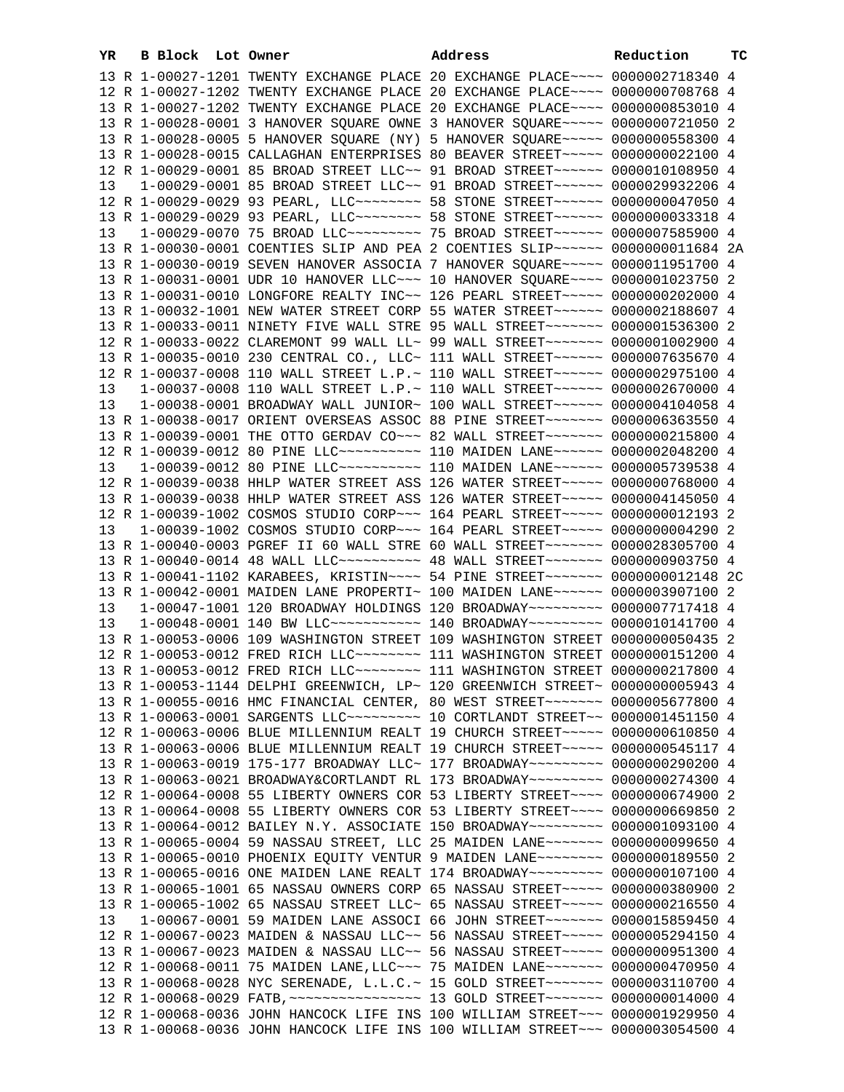| YR. | B Block Lot Owner |                                                                                                                                                                 | Address | Reduction | TC |
|-----|-------------------|-----------------------------------------------------------------------------------------------------------------------------------------------------------------|---------|-----------|----|
|     |                   | 13 R 1-00027-1201 TWENTY EXCHANGE PLACE 20 EXCHANGE PLACE~~~~ 0000002718340 4                                                                                   |         |           |    |
|     |                   | 12 R 1-00027-1202 TWENTY EXCHANGE PLACE 20 EXCHANGE PLACE~~~~ 0000000708768 4                                                                                   |         |           |    |
|     |                   | 13 R 1-00027-1202 TWENTY EXCHANGE PLACE 20 EXCHANGE PLACE~~~~ 0000000853010 4                                                                                   |         |           |    |
|     |                   | 13 R 1-00028-0001 3 HANOVER SQUARE OWNE 3 HANOVER SQUARE~~~~~ 0000000721050 2                                                                                   |         |           |    |
|     |                   | 13 R 1-00028-0005 5 HANOVER SQUARE (NY) 5 HANOVER SQUARE~~~~~ 0000000558300 4                                                                                   |         |           |    |
|     |                   | 13 R 1-00028-0015 CALLAGHAN ENTERPRISES 80 BEAVER STREET~~~~~ 0000000022100 4                                                                                   |         |           |    |
|     |                   | 12 R 1-00029-0001 85 BROAD STREET LLC~~ 91 BROAD STREET~~~~~~ 0000010108950 4                                                                                   |         |           |    |
| 13  |                   | 1-00029-0001 85 BROAD STREET LLC~~ 91 BROAD STREET~~~~~~ 0000029932206 4                                                                                        |         |           |    |
|     |                   | 12 R 1-00029-0029 93 PEARL, LLC ------- 58 STONE STREET ----- 0000000047050 4                                                                                   |         |           |    |
|     |                   | 13 R 1-00029-0029 93 PEARL, LLC ------- 58 STONE STREET ----- 0000000033318 4                                                                                   |         |           |    |
| 13  |                   | 1-00029-0070 75 BROAD LLC~~~~~~~~~ 75 BROAD STREET~~~~~~ 0000007585900 4                                                                                        |         |           |    |
|     |                   | 13 R 1-00030-0001 COENTIES SLIP AND PEA 2 COENTIES SLIP~~~~~~ 0000000011684 2A                                                                                  |         |           |    |
|     |                   | 13 R 1-00030-0019 SEVEN HANOVER ASSOCIA 7 HANOVER SQUARE~~~~~ 0000011951700 4<br>13 R 1-00031-0001 UDR 10 HANOVER LLC~~~ 10 HANOVER SQUARE~~~~ 0000001023750 2  |         |           |    |
|     |                   | 13 R 1-00031-0010 LONGFORE REALTY INC~~ 126 PEARL STREET~~~~~ 0000000202000 4                                                                                   |         |           |    |
|     |                   | 13 R 1-00032-1001 NEW WATER STREET CORP 55 WATER STREET~~~~~~ 0000002188607 4                                                                                   |         |           |    |
|     |                   | 13 R 1-00033-0011 NINETY FIVE WALL STRE 95 WALL STREET~~~~~~~ 0000001536300 2                                                                                   |         |           |    |
|     |                   | 12 R 1-00033-0022 CLAREMONT 99 WALL LL~ 99 WALL STREET~~~~~~~~ 0000001002900 4                                                                                  |         |           |    |
|     |                   | 13 R 1-00035-0010 230 CENTRAL CO., LLC~ 111 WALL STREET~~~~~~ 0000007635670 4                                                                                   |         |           |    |
|     |                   | 12 R 1-00037-0008 110 WALL STREET L.P.~ 110 WALL STREET~~~~~~ 0000002975100 4                                                                                   |         |           |    |
| 13  |                   | 1-00037-0008 110 WALL STREET L.P.~ 110 WALL STREET~~~~~~~ 0000002670000 4                                                                                       |         |           |    |
| 13  |                   | 1-00038-0001 BROADWAY WALL JUNIOR~ 100 WALL STREET~~~~~~ 0000004104058 4                                                                                        |         |           |    |
|     |                   | 13 R 1-00038-0017 ORIENT OVERSEAS ASSOC 88 PINE STREET~~~~~~~~ 0000006363550 4                                                                                  |         |           |    |
|     |                   | 13 R 1-00039-0001 THE OTTO GERDAV CO~~~ 82 WALL STREET~~~~~~~~ 0000000215800 4                                                                                  |         |           |    |
|     |                   | 12 R 1-00039-0012 80 PINE LLC~~~~~~~~~~~~~~~ 110 MAIDEN LANE~~~~~~~ 0000002048200 4                                                                             |         |           |    |
| 13  |                   | 1-00039-0012 80 PINE LLC~~~~~~~~~~ 110 MAIDEN LANE~~~~~~ 0000005739538 4                                                                                        |         |           |    |
|     |                   | 12 R 1-00039-0038 HHLP WATER STREET ASS 126 WATER STREET~~~~~ 0000000768000 4                                                                                   |         |           |    |
|     |                   | 13 R 1-00039-0038 HHLP WATER STREET ASS 126 WATER STREET~~~~~ 0000004145050 4                                                                                   |         |           |    |
|     |                   | 12 R 1-00039-1002 COSMOS STUDIO CORP~~~ 164 PEARL STREET~~~~~ 0000000012193 2                                                                                   |         |           |    |
| 13  |                   | 1-00039-1002 COSMOS STUDIO CORP~~~ 164 PEARL STREET~~~~~ 0000000004290 2                                                                                        |         |           |    |
|     |                   | 13 R 1-00040-0003 PGREF II 60 WALL STRE 60 WALL STREET~~~~~~~~ 0000028305700 4                                                                                  |         |           |    |
|     |                   | 13 R 1-00040-0014 48 WALL LLC ---------- 48 WALL STREET ------- 0000000903750 4                                                                                 |         |           |    |
|     |                   | 13 R 1-00041-1102 KARABEES, KRISTIN~~~~ 54 PINE STREET~~~~~~~ 0000000012148 2C<br>13 R 1-00042-0001 MAIDEN LANE PROPERTI~ 100 MAIDEN LANE~~~~~~ 0000003907100 2 |         |           |    |
| 13  |                   | 1-00047-1001 120 BROADWAY HOLDINGS 120 BROADWAY~~~~~~~~~ 0000007717418 4                                                                                        |         |           |    |
| 13  |                   | $1-00048-0001$ 140 BW LLC~~~~~~~~~~~ 140 BROADWAY~~~~~~~~~ 0000010141700 4                                                                                      |         |           |    |
|     |                   | 13 R 1-00053-0006 109 WASHINGTON STREET 109 WASHINGTON STREET 0000000050435 2                                                                                   |         |           |    |
|     |                   | 12 R 1-00053-0012 FRED RICH LLC -------- 111 WASHINGTON STREET 0000000151200 4                                                                                  |         |           |    |
|     |                   | 13 R 1-00053-0012 FRED RICH LLC -------- 111 WASHINGTON STREET 0000000217800 4                                                                                  |         |           |    |
|     |                   | 13 R 1-00053-1144 DELPHI GREENWICH, LP~ 120 GREENWICH STREET~ 0000000005943 4                                                                                   |         |           |    |
|     |                   | 13 R 1-00055-0016 HMC FINANCIAL CENTER, 80 WEST STREET~~~~~~~~ 0000005677800 4                                                                                  |         |           |    |
|     |                   | 13 R 1-00063-0001 SARGENTS LLC -------- 10 CORTLANDT STREET -- 0000001451150 4                                                                                  |         |           |    |
|     |                   | 12 R 1-00063-0006 BLUE MILLENNIUM REALT 19 CHURCH STREET~~~~~ 0000000610850 4                                                                                   |         |           |    |
|     |                   | 13 R 1-00063-0006 BLUE MILLENNIUM REALT 19 CHURCH STREET~~~~~ 0000000545117 4                                                                                   |         |           |    |
|     |                   | 13 R 1-00063-0019 175-177 BROADWAY LLC~ 177 BROADWAY~~~~~~~~~ 0000000290200 4                                                                                   |         |           |    |
|     |                   | 13 R 1-00063-0021 BROADWAY&CORTLANDT RL 173 BROADWAY~~~~~~~~~ 0000000274300 4                                                                                   |         |           |    |
|     |                   | 12 R 1-00064-0008 55 LIBERTY OWNERS COR 53 LIBERTY STREET~~~~ 0000000674900 2                                                                                   |         |           |    |
|     |                   | 13 R 1-00064-0008 55 LIBERTY OWNERS COR 53 LIBERTY STREET~~~~ 0000000669850 2                                                                                   |         |           |    |
|     |                   | 13 R 1-00064-0012 BAILEY N.Y. ASSOCIATE 150 BROADWAY~~~~~~~~~ 0000001093100 4                                                                                   |         |           |    |
|     |                   | 13 R 1-00065-0004 59 NASSAU STREET, LLC 25 MAIDEN LANE~~~~~~~ 0000000099650 4<br>13 R 1-00065-0010 PHOENIX EQUITY VENTUR 9 MAIDEN LANE~~~~~~~~ 0000000189550 2  |         |           |    |
|     |                   | 13 R 1-00065-0016 ONE MAIDEN LANE REALT 174 BROADWAY~~~~~~~~~ 0000000107100 4                                                                                   |         |           |    |
|     |                   | 13 R 1-00065-1001 65 NASSAU OWNERS CORP 65 NASSAU STREET~~~~~ 0000000380900 2                                                                                   |         |           |    |
|     |                   | 13 R 1-00065-1002 65 NASSAU STREET LLC~ 65 NASSAU STREET~~~~~ 0000000216550 4                                                                                   |         |           |    |
| 13  |                   | 1-00067-0001 59 MAIDEN LANE ASSOCI 66 JOHN STREET~~~~~~~ 0000015859450 4                                                                                        |         |           |    |
|     |                   | 12 R 1-00067-0023 MAIDEN & NASSAU LLC~~ 56 NASSAU STREET~~~~~ 0000005294150 4                                                                                   |         |           |    |
|     |                   | 13 R 1-00067-0023 MAIDEN & NASSAU LLC~~ 56 NASSAU STREET~~~~~ 0000000951300 4                                                                                   |         |           |    |
|     |                   | 12 R 1-00068-0011 75 MAIDEN LANE, LLC ~~~ 75 MAIDEN LANE ~~~~~~~ 0000000470950 4                                                                                |         |           |    |
|     |                   | 13 R 1-00068-0028 NYC SERENADE, L.L.C.~ 15 GOLD STREET~~~~~~~~ 0000003110700 4                                                                                  |         |           |    |
|     |                   |                                                                                                                                                                 |         |           |    |
|     |                   | 12 R 1-00068-0036 JOHN HANCOCK LIFE INS 100 WILLIAM STREET~~~ 0000001929950 4                                                                                   |         |           |    |
|     |                   | 13 R 1-00068-0036 JOHN HANCOCK LIFE INS 100 WILLIAM STREET~~~ 0000003054500 4                                                                                   |         |           |    |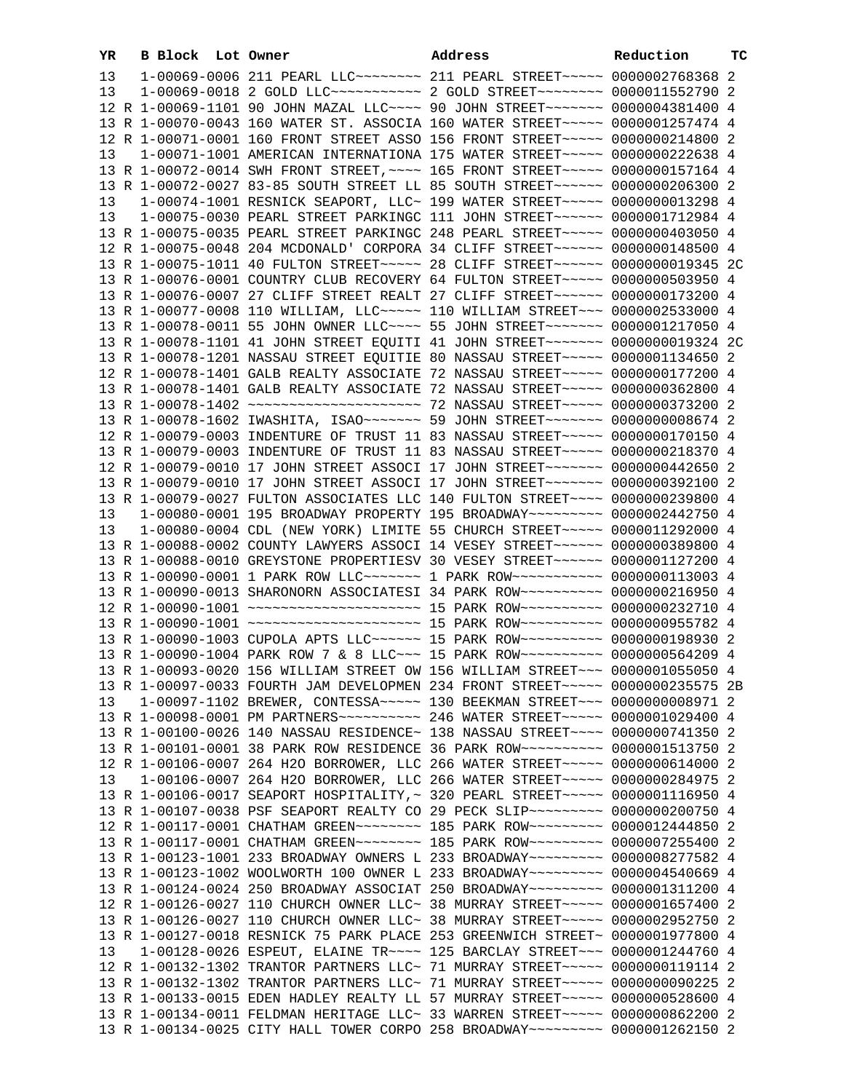| YR | B Block Lot Owner |                                                                                                                                                                  | Address | Reduction | тc |
|----|-------------------|------------------------------------------------------------------------------------------------------------------------------------------------------------------|---------|-----------|----|
| 13 |                   | 1-00069-0006 211 PEARL LLC -------- 211 PEARL STREET ----- 0000002768368 2                                                                                       |         |           |    |
| 13 |                   | 1-00069-0018 2 GOLD LLC~~~~~~~~~~~~~~~~~ 2 GOLD STREET~~~~~~~~~~ 0000011552790 2                                                                                 |         |           |    |
|    |                   | 12 R 1-00069-1101 90 JOHN MAZAL LLC --- 90 JOHN STREET ----- 0000004381400 4                                                                                     |         |           |    |
|    |                   | 13 R 1-00070-0043 160 WATER ST. ASSOCIA 160 WATER STREET~~~~~ 0000001257474 4                                                                                    |         |           |    |
|    |                   | 12 R 1-00071-0001 160 FRONT STREET ASSO 156 FRONT STREET~~~~~ 0000000214800 2                                                                                    |         |           |    |
| 13 |                   | 1-00071-1001 AMERICAN INTERNATIONA 175 WATER STREET~~~~~ 0000000222638 4                                                                                         |         |           |    |
|    |                   | 13 R 1-00072-0014 SWH FRONT STREET, ~~~~ 165 FRONT STREET~~~~~ 0000000157164 4                                                                                   |         |           |    |
|    |                   | 13 R 1-00072-0027 83-85 SOUTH STREET LL 85 SOUTH STREET~~~~~~ 0000000206300 2                                                                                    |         |           |    |
| 13 |                   | 1-00074-1001 RESNICK SEAPORT, LLC~ 199 WATER STREET~~~~~ 0000000013298 4                                                                                         |         |           |    |
| 13 |                   | 1-00075-0030 PEARL STREET PARKINGC 111 JOHN STREET~~~~~~ 0000001712984 4                                                                                         |         |           |    |
|    |                   | 13 R 1-00075-0035 PEARL STREET PARKINGC 248 PEARL STREET~~~~~ 0000000403050 4                                                                                    |         |           |    |
|    |                   | 12 R 1-00075-0048 204 MCDONALD' CORPORA 34 CLIFF STREET~~~~~~ 0000000148500 4                                                                                    |         |           |    |
|    |                   | 13 R 1-00075-1011 40 FULTON STREET~~~~~ 28 CLIFF STREET~~~~~~ 0000000019345 2C                                                                                   |         |           |    |
|    |                   | 13 R 1-00076-0001 COUNTRY CLUB RECOVERY 64 FULTON STREET~~~~~ 0000000503950 4                                                                                    |         |           |    |
|    |                   | 13 R 1-00076-0007 27 CLIFF STREET REALT 27 CLIFF STREET~~~~~~ 0000000173200 4                                                                                    |         |           |    |
|    |                   | 13 R 1-00077-0008 110 WILLIAM, LLC ---- 110 WILLIAM STREET --- 0000002533000 4                                                                                   |         |           |    |
|    |                   | 13 R 1-00078-0011 55 JOHN OWNER LLC~~~~ 55 JOHN STREET~~~~~~~ 0000001217050 4                                                                                    |         |           |    |
|    |                   | 13 R 1-00078-1101 41 JOHN STREET EQUITI 41 JOHN STREET~~~~~~~~ 0000000019324 2C                                                                                  |         |           |    |
|    |                   | 13 R 1-00078-1201 NASSAU STREET EQUITIE 80 NASSAU STREET~~~~~ 0000001134650 2                                                                                    |         |           |    |
|    |                   | 12 R 1-00078-1401 GALB REALTY ASSOCIATE 72 NASSAU STREET~~~~~ 0000000177200 4                                                                                    |         |           |    |
|    |                   | 13 R 1-00078-1401 GALB REALTY ASSOCIATE 72 NASSAU STREET~~~~~ 0000000362800 4                                                                                    |         |           |    |
|    |                   |                                                                                                                                                                  |         |           |    |
|    |                   | 13 R 1-00078-1602 IWASHITA, ISAO~~~~~~~ 59 JOHN STREET~~~~~~~ 0000000008674 2                                                                                    |         |           |    |
|    |                   | 12 R 1-00079-0003 INDENTURE OF TRUST 11 83 NASSAU STREET~~~~~ 0000000170150 4                                                                                    |         |           |    |
|    |                   | 13 R 1-00079-0003 INDENTURE OF TRUST 11 83 NASSAU STREET~~~~~ 0000000218370 4                                                                                    |         |           |    |
|    |                   | 12 R 1-00079-0010 17 JOHN STREET ASSOCI 17 JOHN STREET~~~~~~~ 0000000442650 2                                                                                    |         |           |    |
|    |                   | 13 R 1-00079-0010 17 JOHN STREET ASSOCI 17 JOHN STREET~~~~~~~ 0000000392100 2                                                                                    |         |           |    |
|    |                   | 13 R 1-00079-0027 FULTON ASSOCIATES LLC 140 FULTON STREET~~~~ 0000000239800 4                                                                                    |         |           |    |
| 13 |                   | 1-00080-0001 195 BROADWAY PROPERTY 195 BROADWAY~~~~~~~~~ 0000002442750 4                                                                                         |         |           |    |
| 13 |                   | 1-00080-0004 CDL (NEW YORK) LIMITE 55 CHURCH STREET~~~~~ 0000011292000 4                                                                                         |         |           |    |
|    |                   | 13 R 1-00088-0002 COUNTY LAWYERS ASSOCI 14 VESEY STREET~~~~~~ 0000000389800 4                                                                                    |         |           |    |
|    |                   | 13 R 1-00088-0010 GREYSTONE PROPERTIESV 30 VESEY STREET~~~~~~ 0000001127200 4<br>13 R 1-00090-0001 1 PARK ROW LLC ------- 1 PARK ROW ----------- 0000000113003 4 |         |           |    |
|    |                   | 13 R 1-00090-0013 SHARONORN ASSOCIATESI 34 PARK ROW~~~~~~~~~~ 0000000216950 4                                                                                    |         |           |    |
|    |                   | 12 R 1-00090-1001 ~~~~~~~~~~~~~~~~~~~~~~~~ 15 PARK ROW~~~~~~~~~~~ 0000000232710 4                                                                                |         |           |    |
|    |                   | 13 R 1-00090-1001 ~~~~~~~~~~~~~~~~~~~~~~~ 15 PARK ROW~~~~~~~~~~ 0000000955782 4                                                                                  |         |           |    |
|    |                   | 13 R 1-00090-1003 CUPOLA APTS LLC ----- 15 PARK ROW --------- 0000000198930 2                                                                                    |         |           |    |
|    |                   | 13 R 1-00090-1004 PARK ROW 7 & 8 LLC~~~ 15 PARK ROW~~~~~~~~~~ 0000000564209 4                                                                                    |         |           |    |
|    |                   | 13 R 1-00093-0020 156 WILLIAM STREET OW 156 WILLIAM STREET~~~ 0000001055050 4                                                                                    |         |           |    |
|    |                   | 13 R 1-00097-0033 FOURTH JAM DEVELOPMEN 234 FRONT STREET~~~~~ 0000000235575 2B                                                                                   |         |           |    |
| 13 |                   | 1-00097-1102 BREWER, CONTESSA~~~~~ 130 BEEKMAN STREET~~~ 0000000008971 2                                                                                         |         |           |    |
|    |                   | 13 R 1-00098-0001 PM PARTNERS ---------- 246 WATER STREET ----- 0000001029400 4                                                                                  |         |           |    |
|    |                   | 13 R 1-00100-0026 140 NASSAU RESIDENCE~ 138 NASSAU STREET~~~~ 0000000741350 2                                                                                    |         |           |    |
|    |                   | 13 R 1-00101-0001 38 PARK ROW RESIDENCE 36 PARK ROW~~~~~~~~~~ 0000001513750 2                                                                                    |         |           |    |
|    |                   | 12 R 1-00106-0007 264 H2O BORROWER, LLC 266 WATER STREET~~~~~ 0000000614000 2                                                                                    |         |           |    |
| 13 |                   | 1-00106-0007 264 H2O BORROWER, LLC 266 WATER STREET~~~~~ 0000000284975 2                                                                                         |         |           |    |
|    |                   | 13 R 1-00106-0017 SEAPORT HOSPITALITY, ~ 320 PEARL STREET~~~~~ 0000001116950 4                                                                                   |         |           |    |
|    |                   | 13 R 1-00107-0038 PSF SEAPORT REALTY CO 29 PECK SLIP~~~~~~~~~ 0000000200750 4                                                                                    |         |           |    |
|    |                   | 12 R 1-00117-0001 CHATHAM GREEN~~~~~~~~ 185 PARK ROW~~~~~~~~~ 0000012444850 2                                                                                    |         |           |    |
|    |                   | 13 R 1-00117-0001 CHATHAM GREEN~~~~~~~~ 185 PARK ROW~~~~~~~~~ 0000007255400 2                                                                                    |         |           |    |
|    |                   | 13 R 1-00123-1001 233 BROADWAY OWNERS L 233 BROADWAY~~~~~~~~~ 0000008277582 4                                                                                    |         |           |    |
|    |                   | 13 R 1-00123-1002 WOOLWORTH 100 OWNER L 233 BROADWAY~~~~~~~~~ 0000004540669 4                                                                                    |         |           |    |
|    |                   | 13 R 1-00124-0024 250 BROADWAY ASSOCIAT 250 BROADWAY~~~~~~~~~ 0000001311200 4                                                                                    |         |           |    |
|    |                   | 12 R 1-00126-0027 110 CHURCH OWNER LLC~ 38 MURRAY STREET~~~~~ 0000001657400 2                                                                                    |         |           |    |
|    |                   | 13 R 1-00126-0027 110 CHURCH OWNER LLC~ 38 MURRAY STREET~~~~~ 0000002952750 2                                                                                    |         |           |    |
|    |                   | 13 R 1-00127-0018 RESNICK 75 PARK PLACE 253 GREENWICH STREET~ 0000001977800 4                                                                                    |         |           |    |
| 13 |                   | 1-00128-0026 ESPEUT, ELAINE TR~~~~ 125 BARCLAY STREET~~~ 0000001244760 4                                                                                         |         |           |    |
|    |                   | 12 R 1-00132-1302 TRANTOR PARTNERS LLC~ 71 MURRAY STREET~~~~~ 0000000119114 2                                                                                    |         |           |    |
|    |                   | 13 R 1-00132-1302 TRANTOR PARTNERS LLC~ 71 MURRAY STREET~~~~~ 0000000090225 2                                                                                    |         |           |    |
|    |                   | 13 R 1-00133-0015 EDEN HADLEY REALTY LL 57 MURRAY STREET~~~~~ 0000000528600 4                                                                                    |         |           |    |
|    |                   | 13 R 1-00134-0011 FELDMAN HERITAGE LLC~ 33 WARREN STREET~~~~~ 0000000862200 2                                                                                    |         |           |    |
|    |                   | 13 R 1-00134-0025 CITY HALL TOWER CORPO 258 BROADWAY~~~~~~~~~ 0000001262150 2                                                                                    |         |           |    |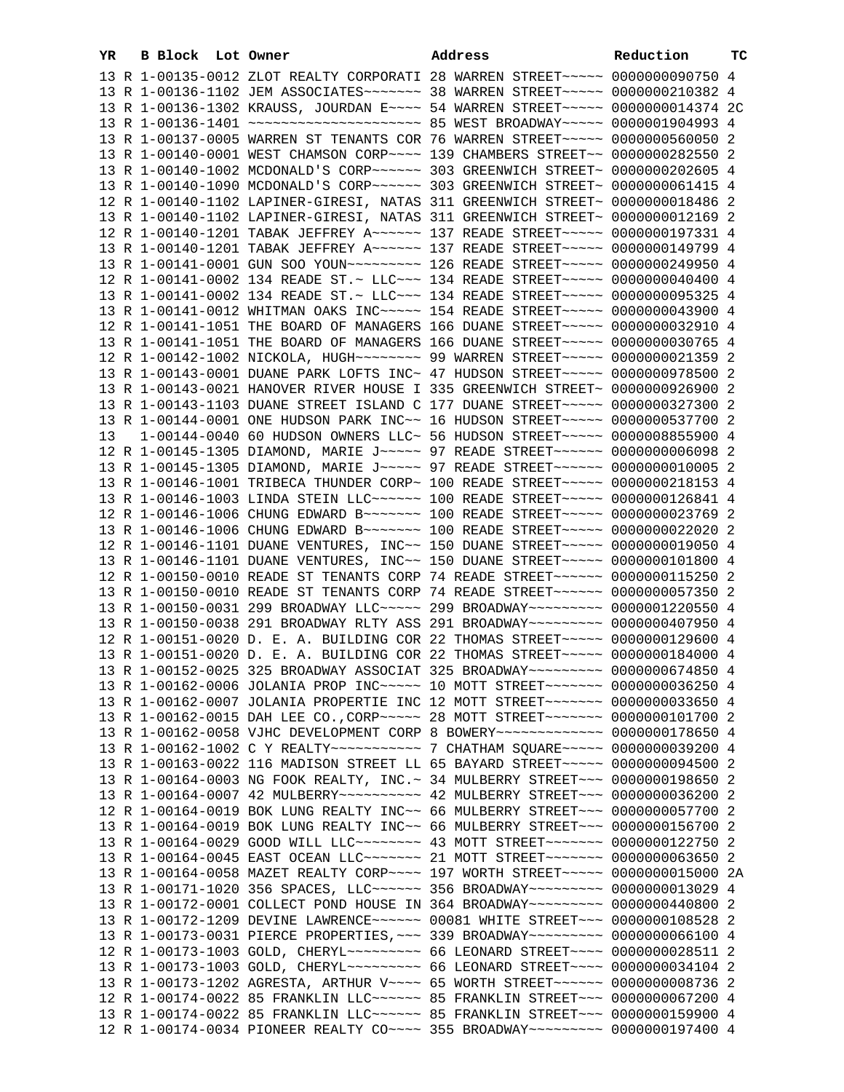| YR | B Block Lot Owner |                                                                                                                                                                | Address | Reduction | тc |
|----|-------------------|----------------------------------------------------------------------------------------------------------------------------------------------------------------|---------|-----------|----|
|    |                   | 13 R 1-00135-0012 ZLOT REALTY CORPORATI 28 WARREN STREET~~~~~ 0000000090750 4                                                                                  |         |           |    |
|    |                   | 13 R 1-00136-1102 JEM ASSOCIATES~~~~~~~ 38 WARREN STREET~~~~~ 0000000210382 4                                                                                  |         |           |    |
|    |                   | 13 R 1-00136-1302 KRAUSS, JOURDAN E~~~~ 54 WARREN STREET~~~~~ 0000000014374 2C                                                                                 |         |           |    |
|    |                   | 13 R 1-00136-1401 ~~~~~~~~~~~~~~~~~~~~~~~~~~~~~ 85 WEST BROADWAY~~~~~ 0000001904993 4                                                                          |         |           |    |
|    |                   | 13 R 1-00137-0005 WARREN ST TENANTS COR 76 WARREN STREET~~~~~ 0000000560050 2                                                                                  |         |           |    |
|    |                   | 13 R 1-00140-0001 WEST CHAMSON CORP~~~~ 139 CHAMBERS STREET~~ 0000000282550 2                                                                                  |         |           |    |
|    |                   | 13 R 1-00140-1002 MCDONALD'S CORP~~~~~~ 303 GREENWICH STREET~ 0000000202605 4                                                                                  |         |           |    |
|    |                   | 13 R 1-00140-1090 MCDONALD'S CORP~~~~~~ 303 GREENWICH STREET~ 0000000061415 4                                                                                  |         |           |    |
|    |                   | 12 R 1-00140-1102 LAPINER-GIRESI, NATAS 311 GREENWICH STREET~ 0000000018486 2                                                                                  |         |           |    |
|    |                   | 13 R 1-00140-1102 LAPINER-GIRESI, NATAS 311 GREENWICH STREET~ 0000000012169 2                                                                                  |         |           |    |
|    |                   | 12 R 1-00140-1201 TABAK JEFFREY A~~~~~~ 137 READE STREET~~~~~ 0000000197331 4                                                                                  |         |           |    |
|    |                   | 13 R 1-00140-1201 TABAK JEFFREY A~~~~~~ 137 READE STREET~~~~~ 0000000149799 4                                                                                  |         |           |    |
|    |                   | 13 R 1-00141-0001 GUN SOO YOUN~~~~~~~~~~~~~~~ 126 READE STREET~~~~~~ 0000000249950 4                                                                           |         |           |    |
|    |                   | 12 R 1-00141-0002 134 READE ST.~ LLC~~~ 134 READE STREET~~~~~ 0000000040400 4                                                                                  |         |           |    |
|    |                   | 13 R 1-00141-0002 134 READE ST.~ LLC~~~ 134 READE STREET~~~~~ 0000000095325 4                                                                                  |         |           |    |
|    |                   | 13 R 1-00141-0012 WHITMAN OAKS INC~~~~~ 154 READE STREET~~~~~ 0000000043900 4                                                                                  |         |           |    |
|    |                   | 12 R 1-00141-1051 THE BOARD OF MANAGERS 166 DUANE STREET~~~~~ 0000000032910 4                                                                                  |         |           |    |
|    |                   | 13 R 1-00141-1051 THE BOARD OF MANAGERS 166 DUANE STREET~~~~~ 0000000030765 4                                                                                  |         |           |    |
|    |                   | 12 R 1-00142-1002 NICKOLA, HUGH~~~~~~~~ 99 WARREN STREET~~~~~ 0000000021359 2                                                                                  |         |           |    |
|    |                   | 13 R 1-00143-0001 DUANE PARK LOFTS INC~ 47 HUDSON STREET~~~~~ 0000000978500 2                                                                                  |         |           |    |
|    |                   | 13 R 1-00143-0021 HANOVER RIVER HOUSE I 335 GREENWICH STREET~ 0000000926900 2                                                                                  |         |           |    |
|    |                   | 13 R 1-00143-1103 DUANE STREET ISLAND C 177 DUANE STREET~~~~~ 0000000327300 2                                                                                  |         |           |    |
|    |                   | 13 R 1-00144-0001 ONE HUDSON PARK INC~~ 16 HUDSON STREET~~~~~ 0000000537700 2                                                                                  |         |           |    |
| 13 |                   | 1-00144-0040 60 HUDSON OWNERS LLC~ 56 HUDSON STREET~~~~~ 0000008855900 4                                                                                       |         |           |    |
|    |                   | 12 R 1-00145-1305 DIAMOND, MARIE J~~~~~ 97 READE STREET~~~~~~ 00000000006098 2                                                                                 |         |           |    |
|    |                   | 13 R 1-00145-1305 DIAMOND, MARIE J~~~~~ 97 READE STREET~~~~~~ 0000000010005 2                                                                                  |         |           |    |
|    |                   | 13 R 1-00146-1001 TRIBECA THUNDER CORP~ 100 READE STREET~~~~~ 0000000218153 4                                                                                  |         |           |    |
|    |                   | 13 R 1-00146-1003 LINDA STEIN LLC~~~~~~ 100 READE STREET~~~~~ 0000000126841 4                                                                                  |         |           |    |
|    |                   | 12 R 1-00146-1006 CHUNG EDWARD B~~~~~~~ 100 READE STREET~~~~~ 0000000023769 2                                                                                  |         |           |    |
|    |                   | 13 R 1-00146-1006 CHUNG EDWARD B -- - - - - 100 READE STREET - - - - 0000000022020 2                                                                           |         |           |    |
|    |                   | 12 R 1-00146-1101 DUANE VENTURES, INC~~ 150 DUANE STREET~~~~~ 0000000019050 4                                                                                  |         |           |    |
|    |                   | 13 R 1-00146-1101 DUANE VENTURES, INC~~ 150 DUANE STREET~~~~~ 0000000101800 4                                                                                  |         |           |    |
|    |                   | 12 R 1-00150-0010 READE ST TENANTS CORP 74 READE STREET~~~~~~ 0000000115250 2                                                                                  |         |           |    |
|    |                   | 13 R 1-00150-0010 READE ST TENANTS CORP 74 READE STREET~~~~~~ 0000000057350 2                                                                                  |         |           |    |
|    |                   | 13 R 1-00150-0031 299 BROADWAY LLC~~~~~ 299 BROADWAY~~~~~~~~ 0000001220550 4                                                                                   |         |           |    |
|    |                   | 13 R 1-00150-0038 291 BROADWAY RLTY ASS 291 BROADWAY~~~~~~~~~ 0000000407950 4                                                                                  |         |           |    |
|    |                   | 12 R 1-00151-0020 D. E. A. BUILDING COR 22 THOMAS STREET~~~~~ 0000000129600 4<br>13 R 1-00151-0020 D. E. A. BUILDING COR 22 THOMAS STREET~~~~~ 0000000184000 4 |         |           |    |
|    |                   | 13 R 1-00152-0025 325 BROADWAY ASSOCIAT 325 BROADWAY~~~~~~~~~ 0000000674850 4                                                                                  |         |           |    |
|    |                   | 13 R 1-00162-0006 JOLANIA PROP INC~~~~~ 10 MOTT STREET~~~~~~~ 0000000036250 4                                                                                  |         |           |    |
|    |                   | 13 R 1-00162-0007 JOLANIA PROPERTIE INC 12 MOTT STREET~~~~~~~~ 0000000033650 4                                                                                 |         |           |    |
|    |                   | 13 R 1-00162-0015 DAH LEE CO., CORP~~~~~ 28 MOTT STREET~~~~~~~ 0000000101700 2                                                                                 |         |           |    |
|    |                   | 13 R 1-00162-0058 VJHC DEVELOPMENT CORP 8 BOWERY~~~~~~~~~~~~~ 0000000178650 4                                                                                  |         |           |    |
|    |                   | 13 R 1-00162-1002 C Y REALTY~~~~~~~~~~~~~~~~~~~~~ CHATHAM SQUARE~~~~~~~~~ 0000000039200 4                                                                      |         |           |    |
|    |                   | 13 R 1-00163-0022 116 MADISON STREET LL 65 BAYARD STREET~~~~~ 0000000094500 2                                                                                  |         |           |    |
|    |                   | 13 R 1-00164-0003 NG FOOK REALTY, INC. ~ 34 MULBERRY STREET ~~~ 0000000198650 2                                                                                |         |           |    |
|    |                   |                                                                                                                                                                |         |           |    |
|    |                   | 12 R 1-00164-0019 BOK LUNG REALTY INC~~ 66 MULBERRY STREET~~~ 0000000057700 2                                                                                  |         |           |    |
|    |                   | 13 R 1-00164-0019 BOK LUNG REALTY INC~~ 66 MULBERRY STREET~~~ 0000000156700 2                                                                                  |         |           |    |
|    |                   | 13 R 1-00164-0029 GOOD WILL LLC -------- 43 MOTT STREET ------- 0000000122750 2                                                                                |         |           |    |
|    |                   | 13 R 1-00164-0045 EAST OCEAN LLC~~~~~~~ 21 MOTT STREET~~~~~~~ 0000000063650 2                                                                                  |         |           |    |
|    |                   | 13 R 1-00164-0058 MAZET REALTY CORP~~~~ 197 WORTH STREET~~~~~ 0000000015000 2A                                                                                 |         |           |    |
|    |                   | 13 R 1-00171-1020 356 SPACES, LLC~~~~~~ 356 BROADWAY~~~~~~~~~ 0000000013029 4                                                                                  |         |           |    |
|    |                   | 13 R 1-00172-0001 COLLECT POND HOUSE IN 364 BROADWAY~~~~~~~~~ 0000000440800 2                                                                                  |         |           |    |
|    |                   | 13 R 1-00172-1209 DEVINE LAWRENCE~~~~~~ 00081 WHITE STREET~~~ 0000000108528 2                                                                                  |         |           |    |
|    |                   | 13 R 1-00173-0031 PIERCE PROPERTIES, ~~~ 339 BROADWAY~~~~~~~~~ 0000000066100 4                                                                                 |         |           |    |
|    |                   | 12 R 1-00173-1003 GOLD, CHERYL~~~~~~~~~ 66 LEONARD STREET~~~~ 0000000028511 2                                                                                  |         |           |    |
|    |                   | 13 R 1-00173-1003 GOLD, CHERYL~~~~~~~~~ 66 LEONARD STREET~~~~ 0000000034104 2                                                                                  |         |           |    |
|    |                   | 13 R 1-00173-1202 AGRESTA, ARTHUR V~~~~ 65 WORTH STREET~~~~~~ 0000000008736 2                                                                                  |         |           |    |
|    |                   | 12 R 1-00174-0022 85 FRANKLIN LLC ----- 85 FRANKLIN STREET -- 0000000067200 4                                                                                  |         |           |    |
|    |                   | 13 R 1-00174-0022 85 FRANKLIN LLC ----- 85 FRANKLIN STREET -- 0000000159900 4                                                                                  |         |           |    |
|    |                   | 12 R 1-00174-0034 PIONEER REALTY CO~~~~ 355 BROADWAY~~~~~~~~~ 0000000197400 4                                                                                  |         |           |    |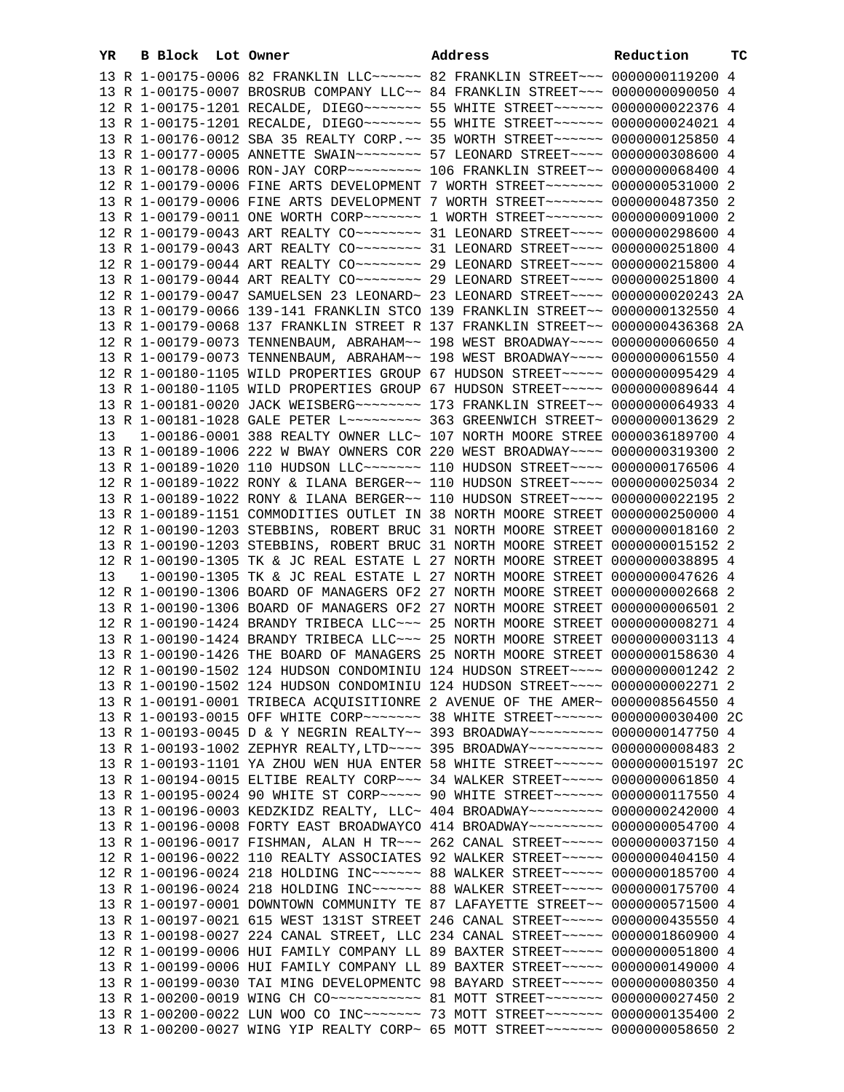| YR. | B Block Lot Owner |  | Address                                                                                                                                                         | Reduction | тc |
|-----|-------------------|--|-----------------------------------------------------------------------------------------------------------------------------------------------------------------|-----------|----|
|     |                   |  | 13 R 1-00175-0006 82 FRANKLIN LLC ----- 82 FRANKLIN STREET -- 0000000119200 4                                                                                   |           |    |
|     |                   |  | 13 R 1-00175-0007 BROSRUB COMPANY LLC~~ 84 FRANKLIN STREET~~~ 0000000090050 4                                                                                   |           |    |
|     |                   |  | 12 R 1-00175-1201 RECALDE, DIEGO~~~~~~~ 55 WHITE STREET~~~~~~ 0000000022376 4                                                                                   |           |    |
|     |                   |  | 13 R 1-00175-1201 RECALDE, DIEGO~~~~~~~~ 55 WHITE STREET~~~~~~ 0000000024021 4                                                                                  |           |    |
|     |                   |  | 13 R 1-00176-0012 SBA 35 REALTY CORP. ~~ 35 WORTH STREET ~~~~~~ 0000000125850 4                                                                                 |           |    |
|     |                   |  | 13 R 1-00177-0005 ANNETTE SWAIN~~~~~~~~~ 57 LEONARD STREET~~~~ 0000000308600 4                                                                                  |           |    |
|     |                   |  |                                                                                                                                                                 |           |    |
|     |                   |  | 12 R 1-00179-0006 FINE ARTS DEVELOPMENT 7 WORTH STREET~~~~~~~ 0000000531000 2                                                                                   |           |    |
|     |                   |  | 13 R 1-00179-0006 FINE ARTS DEVELOPMENT 7 WORTH STREET~~~~~~~ 0000000487350 2                                                                                   |           |    |
|     |                   |  | 13 R 1-00179-0011 ONE WORTH CORP~~~~~~~~~~~~~~ I WORTH STREET~~~~~~~~~ 0000000091000 2                                                                          |           |    |
|     |                   |  | 12 R 1-00179-0043 ART REALTY CO -------- 31 LEONARD STREET ---- 0000000298600 4                                                                                 |           |    |
|     |                   |  | 13 R 1-00179-0043 ART REALTY CO -------- 31 LEONARD STREET ---- 0000000251800 4                                                                                 |           |    |
|     |                   |  | 12 R 1-00179-0044 ART REALTY CO ------- 29 LEONARD STREET --- 0000000215800 4                                                                                   |           |    |
|     |                   |  | 13 R 1-00179-0044 ART REALTY CO ------- 29 LEONARD STREET --- 0000000251800 4                                                                                   |           |    |
|     |                   |  | 12 R 1-00179-0047 SAMUELSEN 23 LEONARD~ 23 LEONARD STREET~~~~ 0000000020243 2A                                                                                  |           |    |
|     |                   |  | 13 R 1-00179-0066 139-141 FRANKLIN STCO 139 FRANKLIN STREET~~ 0000000132550 4                                                                                   |           |    |
|     |                   |  |                                                                                                                                                                 |           |    |
|     |                   |  | 13 R 1-00179-0068 137 FRANKLIN STREET R 137 FRANKLIN STREET~~ 0000000436368 2A<br>12 R 1-00179-0073 TENNENBAUM, ABRAHAM~~ 198 WEST BROADWAY~~~~ 0000000060650 4 |           |    |
|     |                   |  |                                                                                                                                                                 |           |    |
|     |                   |  | 13 R 1-00179-0073 TENNENBAUM, ABRAHAM~~ 198 WEST BROADWAY~~~~ 0000000061550 4<br>12 R 1-00180-1105 WILD PROPERTIES GROUP 67 HUDSON STREET~~~~~ 0000000095429 4  |           |    |
|     |                   |  |                                                                                                                                                                 |           |    |
|     |                   |  | 13 R 1-00180-1105 WILD PROPERTIES GROUP 67 HUDSON STREET~~~~~ 0000000089644 4<br>13 R 1-00181-0020 JACK WEISBERG~~~~~~~~ 173 FRANKLIN STREET~~ 0000000064933 4  |           |    |
|     |                   |  |                                                                                                                                                                 |           |    |
|     |                   |  | 13 R 1-00181-1028 GALE PETER L~~~~~~~~~~ 363 GREENWICH STREET~ 00000000013629 2                                                                                 |           |    |
| 13  |                   |  | 1-00186-0001 388 REALTY OWNER LLC~ 107 NORTH MOORE STREE 0000036189700 4                                                                                        |           |    |
|     |                   |  | 13 R 1-00189-1006 222 W BWAY OWNERS COR 220 WEST BROADWAY~~~~ 0000000319300 2                                                                                   |           |    |
|     |                   |  | 13 R 1-00189-1020 110 HUDSON LLC ------- 110 HUDSON STREET --- 0000000176506 4                                                                                  |           |    |
|     |                   |  | 12 R 1-00189-1022 RONY & ILANA BERGER~~ 110 HUDSON STREET~~~~ 0000000025034 2                                                                                   |           |    |
|     |                   |  | 13 R 1-00189-1022 RONY & ILANA BERGER~~ 110 HUDSON STREET~~~~ 0000000022195 2                                                                                   |           |    |
|     |                   |  | 13 R 1-00189-1151 COMMODITIES OUTLET IN 38 NORTH MOORE STREET 0000000250000 4                                                                                   |           |    |
|     |                   |  | 12 R 1-00190-1203 STEBBINS, ROBERT BRUC 31 NORTH MOORE STREET 0000000018160 2                                                                                   |           |    |
|     |                   |  | 13 R 1-00190-1203 STEBBINS, ROBERT BRUC 31 NORTH MOORE STREET 0000000015152 2                                                                                   |           |    |
|     |                   |  | 12 R 1-00190-1305 TK & JC REAL ESTATE L 27 NORTH MOORE STREET 0000000038895 4                                                                                   |           |    |
| 13  |                   |  | 1-00190-1305 TK & JC REAL ESTATE L 27 NORTH MOORE STREET 0000000047626 4                                                                                        |           |    |
|     |                   |  | 12 R 1-00190-1306 BOARD OF MANAGERS OF2 27 NORTH MOORE STREET 0000000002668 2<br>13 R 1-00190-1306 BOARD OF MANAGERS OF2 27 NORTH MOORE STREET 0000000006501 2  |           |    |
|     |                   |  | 12 R 1-00190-1424 BRANDY TRIBECA LLC~~~ 25 NORTH MOORE STREET 0000000008271 4                                                                                   |           |    |
|     |                   |  | 13 R 1-00190-1424 BRANDY TRIBECA LLC~~~ 25 NORTH MOORE STREET 0000000003113 4                                                                                   |           |    |
|     |                   |  | 13 R 1-00190-1426 THE BOARD OF MANAGERS 25 NORTH MOORE STREET 0000000158630 4                                                                                   |           |    |
|     |                   |  | 12 R 1-00190-1502 124 HUDSON CONDOMINIU 124 HUDSON STREET~~~~ 0000000001242 2                                                                                   |           |    |
|     |                   |  | 13 R 1-00190-1502 124 HUDSON CONDOMINIU 124 HUDSON STREET~~~~ 0000000002271 2                                                                                   |           |    |
|     |                   |  | 13 R 1-00191-0001 TRIBECA ACQUISITIONRE 2 AVENUE OF THE AMER~ 0000008564550 4                                                                                   |           |    |
|     |                   |  | 13 R 1-00193-0015 OFF WHITE CORP~~~~~~~ 38 WHITE STREET~~~~~~ 0000000030400 2C                                                                                  |           |    |
|     |                   |  | 13 R 1-00193-0045 D & Y NEGRIN REALTY~~ 393 BROADWAY~~~~~~~~~ 0000000147750 4                                                                                   |           |    |
|     |                   |  | 13 R 1-00193-1002 ZEPHYR REALTY, LTD ~~~~ 395 BROADWAY ~~~~~~~~~ 0000000008483 2                                                                                |           |    |
|     |                   |  | 13 R 1-00193-1101 YA ZHOU WEN HUA ENTER 58 WHITE STREET~~~~~~ 0000000015197 2C                                                                                  |           |    |
|     |                   |  | 13 R 1-00194-0015 ELTIBE REALTY CORP~~~ 34 WALKER STREET~~~~~ 0000000061850 4                                                                                   |           |    |
|     |                   |  | 13 R 1-00195-0024 90 WHITE ST CORP~~~~~ 90 WHITE STREET~~~~~~ 0000000117550 4                                                                                   |           |    |
|     |                   |  | 13 R 1-00196-0003 KEDZKIDZ REALTY, LLC~ 404 BROADWAY~~~~~~~~~ 0000000242000 4                                                                                   |           |    |
|     |                   |  | 13 R 1-00196-0008 FORTY EAST BROADWAYCO 414 BROADWAY~~~~~~~~~ 0000000054700 4                                                                                   |           |    |
|     |                   |  |                                                                                                                                                                 |           |    |
|     |                   |  | 13 R 1-00196-0017 FISHMAN, ALAN H TR~~~ 262 CANAL STREET~~~~~ 0000000037150 4                                                                                   |           |    |
|     |                   |  | 12 R 1-00196-0022 110 REALTY ASSOCIATES 92 WALKER STREET~~~~~ 0000000404150 4                                                                                   |           |    |
|     |                   |  | 12 R 1-00196-0024 218 HOLDING INC~~~~~~ 88 WALKER STREET~~~~~ 0000000185700 4                                                                                   |           |    |
|     |                   |  | 13 R 1-00196-0024 218 HOLDING INC~~~~~~ 88 WALKER STREET~~~~~ 0000000175700 4                                                                                   |           |    |
|     |                   |  | 13 R 1-00197-0001 DOWNTOWN COMMUNITY TE 87 LAFAYETTE STREET~~ 0000000571500 4                                                                                   |           |    |
|     |                   |  | 13 R 1-00197-0021 615 WEST 131ST STREET 246 CANAL STREET~~~~~ 0000000435550 4                                                                                   |           |    |
|     |                   |  | 13 R 1-00198-0027 224 CANAL STREET, LLC 234 CANAL STREET~~~~~ 0000001860900 4                                                                                   |           |    |
|     |                   |  | 12 R 1-00199-0006 HUI FAMILY COMPANY LL 89 BAXTER STREET~~~~~ 0000000051800 4                                                                                   |           |    |
|     |                   |  | 13 R 1-00199-0006 HUI FAMILY COMPANY LL 89 BAXTER STREET~~~~~ 0000000149000 4                                                                                   |           |    |
|     |                   |  | 13 R 1-00199-0030 TAI MING DEVELOPMENTC 98 BAYARD STREET~~~~~ 0000000080350 4                                                                                   |           |    |
|     |                   |  | 13 R 1-00200-0019 WING CH CO ---------- 81 MOTT STREET ------ 0000000027450 2                                                                                   |           |    |
|     |                   |  | 13 R 1-00200-0022 LUN WOO CO INC~~~~~~~ 73 MOTT STREET~~~~~~~ 0000000135400 2                                                                                   |           |    |
|     |                   |  | 13 R 1-00200-0027 WING YIP REALTY CORP~ 65 MOTT STREET~~~~~~~~ 0000000058650 2                                                                                  |           |    |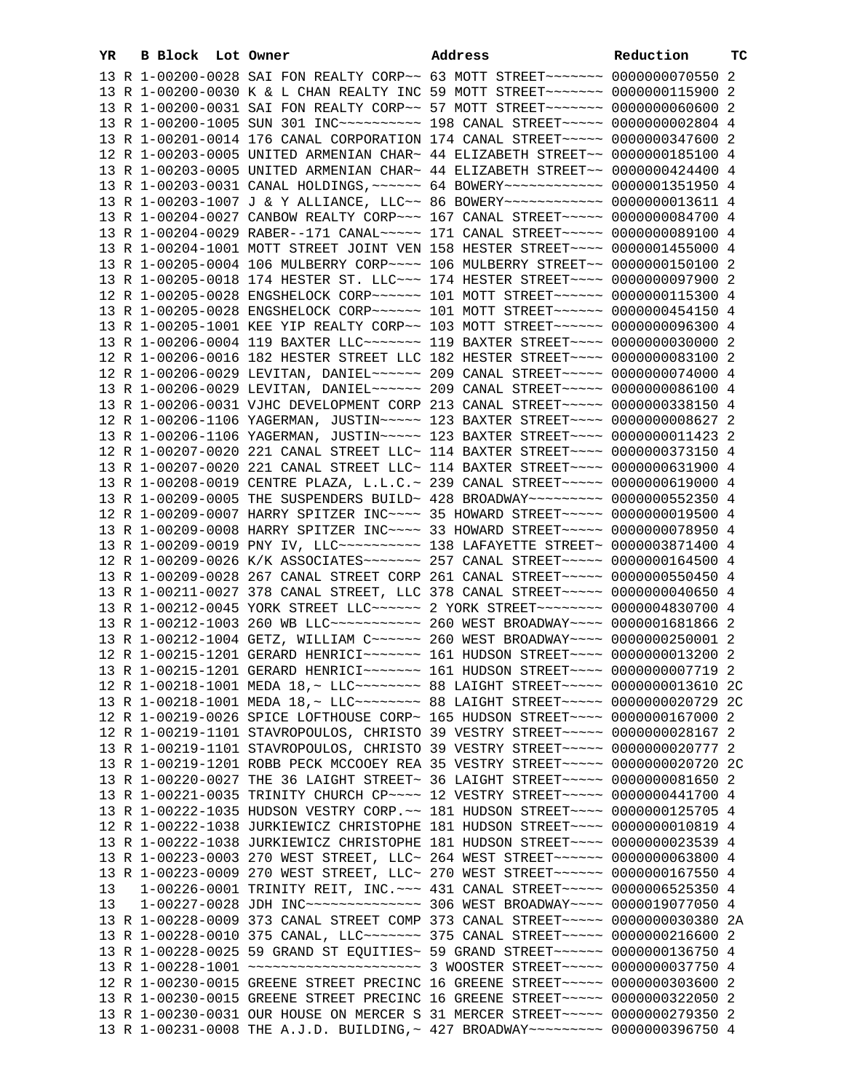| YR. | B Block Lot Owner |                                                                                                                                                                | Address | Reduction | ТC |
|-----|-------------------|----------------------------------------------------------------------------------------------------------------------------------------------------------------|---------|-----------|----|
|     |                   | 13 R 1-00200-0028 SAI FON REALTY CORP~~ 63 MOTT STREET~~~~~~~ 0000000070550 2                                                                                  |         |           |    |
|     |                   | 13 R 1-00200-0030 K & L CHAN REALTY INC 59 MOTT STREET~~~~~~~ 0000000115900 2                                                                                  |         |           |    |
|     |                   | 13 R 1-00200-0031 SAI FON REALTY CORP~~ 57 MOTT STREET~~~~~~~ 0000000060600 2                                                                                  |         |           |    |
|     |                   | 13 R 1-00200-1005 SUN 301 INC~~~~~~~~~~~~~~ 198 CANAL STREET~~~~~~ 0000000002804 4                                                                             |         |           |    |
|     |                   | 13 R 1-00201-0014 176 CANAL CORPORATION 174 CANAL STREET~~~~~ 0000000347600 2                                                                                  |         |           |    |
|     |                   | 12 R 1-00203-0005 UNITED ARMENIAN CHAR~ 44 ELIZABETH STREET~~ 0000000185100 4                                                                                  |         |           |    |
|     |                   | 13 R 1-00203-0005 UNITED ARMENIAN CHAR~ 44 ELIZABETH STREET~~ 0000000424400 4                                                                                  |         |           |    |
|     |                   | 13 R 1-00203-0031 CANAL HOLDINGS, ~~~~~~ 64 BOWERY~~~~~~~~~~~~ 0000001351950 4                                                                                 |         |           |    |
|     |                   | 13 R 1-00203-1007 J & Y ALLIANCE, LLC~~ 86 BOWERY~~~~~~~~~~~~ 0000000013611 4                                                                                  |         |           |    |
|     |                   | 13 R 1-00204-0027 CANBOW REALTY CORP~~~ 167 CANAL STREET~~~~~ 0000000084700 4                                                                                  |         |           |    |
|     |                   | 13 R 1-00204-0029 RABER--171 CANAL~~~~~ 171 CANAL STREET~~~~~ 0000000089100 4                                                                                  |         |           |    |
|     |                   | 13 R 1-00204-1001 MOTT STREET JOINT VEN 158 HESTER STREET~~~~ 0000001455000 4                                                                                  |         |           |    |
|     |                   | 13 R 1-00205-0004 106 MULBERRY CORP~~~~ 106 MULBERRY STREET~~ 0000000150100 2                                                                                  |         |           |    |
|     |                   | 13 R 1-00205-0018 174 HESTER ST. LLC -- 174 HESTER STREET --- 0000000097900 2                                                                                  |         |           |    |
|     |                   | 12 R 1-00205-0028 ENGSHELOCK CORP~~~~~~ 101 MOTT STREET~~~~~~ 0000000115300 4                                                                                  |         |           |    |
|     |                   | 13 R 1-00205-0028 ENGSHELOCK CORP~~~~~~ 101 MOTT STREET~~~~~~ 0000000454150 4                                                                                  |         |           |    |
|     |                   |                                                                                                                                                                |         |           |    |
|     |                   | 13 R 1-00205-1001 KEE YIP REALTY CORP~~ 103 MOTT STREET~~~~~~ 0000000096300 4<br>13 R 1-00206-0004 119 BAXTER LLC ------ 119 BAXTER STREET --- 0000000030000 2 |         |           |    |
|     |                   | 12 R 1-00206-0016 182 HESTER STREET LLC 182 HESTER STREET~~~~ 0000000083100 2                                                                                  |         |           |    |
|     |                   |                                                                                                                                                                |         |           |    |
|     |                   | 12 R 1-00206-0029 LEVITAN, DANIEL~~~~~~ 209 CANAL STREET~~~~~ 0000000074000 4                                                                                  |         |           |    |
|     |                   | 13 R 1-00206-0029 LEVITAN, DANIEL~~~~~~ 209 CANAL STREET~~~~~ 0000000086100 4                                                                                  |         |           |    |
|     |                   | 13 R 1-00206-0031 VJHC DEVELOPMENT CORP 213 CANAL STREET~~~~~ 0000000338150 4                                                                                  |         |           |    |
|     |                   | 12 R 1-00206-1106 YAGERMAN, JUSTIN~~~~~ 123 BAXTER STREET~~~~ 00000000006627 2                                                                                 |         |           |    |
|     |                   | 13 R 1-00206-1106 YAGERMAN, JUSTIN~~~~~ 123 BAXTER STREET~~~~ 0000000011423 2                                                                                  |         |           |    |
|     |                   | 12 R 1-00207-0020 221 CANAL STREET LLC~ 114 BAXTER STREET~~~~ 0000000373150 4                                                                                  |         |           |    |
|     |                   | 13 R 1-00207-0020 221 CANAL STREET LLC~ 114 BAXTER STREET~~~~ 0000000631900 4                                                                                  |         |           |    |
|     |                   | 13 R 1-00208-0019 CENTRE PLAZA, L.L.C.~ 239 CANAL STREET~~~~~ 0000000619000 4                                                                                  |         |           |    |
|     |                   | 13 R 1-00209-0005 THE SUSPENDERS BUILD~ 428 BROADWAY~~~~~~~~~ 0000000552350 4                                                                                  |         |           |    |
|     |                   | 12 R 1-00209-0007 HARRY SPITZER INC~~~~ 35 HOWARD STREET~~~~~ 0000000019500 4                                                                                  |         |           |    |
|     |                   | 13 R 1-00209-0008 HARRY SPITZER INC~~~~ 33 HOWARD STREET~~~~~ 0000000078950 4                                                                                  |         |           |    |
|     |                   | 13 R 1-00209-0019 PNY IV, LLC --------- 138 LAFAYETTE STREET ~ 0000003871400 4                                                                                 |         |           |    |
|     |                   | 12 R 1-00209-0026 K/K ASSOCIATES~~~~~~~ 257 CANAL STREET~~~~~ 0000000164500 4                                                                                  |         |           |    |
|     |                   | 13 R 1-00209-0028 267 CANAL STREET CORP 261 CANAL STREET~~~~~ 0000000550450 4                                                                                  |         |           |    |
|     |                   | 13 R 1-00211-0027 378 CANAL STREET, LLC 378 CANAL STREET~~~~~ 0000000040650 4                                                                                  |         |           |    |
|     |                   | 13 R 1-00212-0045 YORK STREET LLC ----- 2 YORK STREET ------- 0000004830700 4                                                                                  |         |           |    |
|     |                   | 13 R 1-00212-1003 260 WB LLC ----------- 260 WEST BROADWAY --- 0000001681866 2                                                                                 |         |           |    |
|     |                   | 13 R 1-00212-1004 GETZ, WILLIAM C ~~~~~~ 260 WEST BROADWAY ~~~~ 0000000250001 2                                                                                |         |           |    |
|     |                   | 12 R 1-00215-1201 GERARD HENRICI~~~~~~~ 161 HUDSON STREET~~~~ 0000000013200 2                                                                                  |         |           |    |
|     |                   | 13 R 1-00215-1201 GERARD HENRICI~~~~~~~ 161 HUDSON STREET~~~~ 0000000007719 2                                                                                  |         |           |    |
|     |                   |                                                                                                                                                                |         |           |    |
|     |                   |                                                                                                                                                                |         |           |    |
|     |                   | 12 R 1-00219-0026 SPICE LOFTHOUSE CORP~ 165 HUDSON STREET~~~~ 0000000167000 2                                                                                  |         |           |    |
|     |                   | 12 R 1-00219-1101 STAVROPOULOS, CHRISTO 39 VESTRY STREET~~~~~ 0000000028167 2                                                                                  |         |           |    |
|     |                   | 13 R 1-00219-1101 STAVROPOULOS, CHRISTO 39 VESTRY STREET~~~~~ 0000000020777 2                                                                                  |         |           |    |
|     |                   | 13 R 1-00219-1201 ROBB PECK MCCOOEY REA 35 VESTRY STREET~~~~~ 0000000020720 2C                                                                                 |         |           |    |
|     |                   | 13 R 1-00220-0027 THE 36 LAIGHT STREET~ 36 LAIGHT STREET~~~~~ 0000000081650 2                                                                                  |         |           |    |
|     |                   | 13 R 1-00221-0035 TRINITY CHURCH CP~~~~ 12 VESTRY STREET~~~~~ 0000000441700 4                                                                                  |         |           |    |
|     |                   | 13 R 1-00222-1035 HUDSON VESTRY CORP. ~~ 181 HUDSON STREET~~~~ 0000000125705 4                                                                                 |         |           |    |
|     |                   | 12 R 1-00222-1038 JURKIEWICZ CHRISTOPHE 181 HUDSON STREET~~~~ 00000000010819 4                                                                                 |         |           |    |
|     |                   | 13 R 1-00222-1038 JURKIEWICZ CHRISTOPHE 181 HUDSON STREET~~~~ 0000000023539 4                                                                                  |         |           |    |
|     |                   | 13 R 1-00223-0003 270 WEST STREET, LLC~ 264 WEST STREET~~~~~~ 0000000063800 4                                                                                  |         |           |    |
|     |                   | 13 R 1-00223-0009 270 WEST STREET, LLC~ 270 WEST STREET~~~~~~ 0000000167550 4                                                                                  |         |           |    |
| 13  |                   | 1-00226-0001 TRINITY REIT, INC. ~~~ 431 CANAL STREET~~~~~ 0000006525350 4                                                                                      |         |           |    |
| 13  |                   | 1-00227-0028 JDH INC~~~~~~~~~~~~~~~~~~~~~~~~~ 306 WEST BROADWAY~~~~~ 0000019077050 4                                                                           |         |           |    |
|     |                   | 13 R 1-00228-0009 373 CANAL STREET COMP 373 CANAL STREET~~~~~ 0000000030380 2A                                                                                 |         |           |    |
|     |                   | 13 R 1-00228-0010 375 CANAL, LLC ------ 375 CANAL STREET ---- 0000000216600 2                                                                                  |         |           |    |
|     |                   | 13 R 1-00228-0025 59 GRAND ST EQUITIES~ 59 GRAND STREET~~~~~~ 0000000136750 4                                                                                  |         |           |    |
|     |                   |                                                                                                                                                                |         |           |    |
|     |                   | 12 R 1-00230-0015 GREENE STREET PRECINC 16 GREENE STREET~~~~~ 0000000303600 2                                                                                  |         |           |    |
|     |                   | 13 R 1-00230-0015 GREENE STREET PRECINC 16 GREENE STREET~~~~~ 0000000322050 2                                                                                  |         |           |    |
|     |                   | 13 R 1-00230-0031 OUR HOUSE ON MERCER S 31 MERCER STREET~~~~~ 0000000279350 2                                                                                  |         |           |    |
|     |                   | 13 R 1-00231-0008 THE A.J.D. BUILDING, ~ 427 BROADWAY~~~~~~~~~ 0000000396750 4                                                                                 |         |           |    |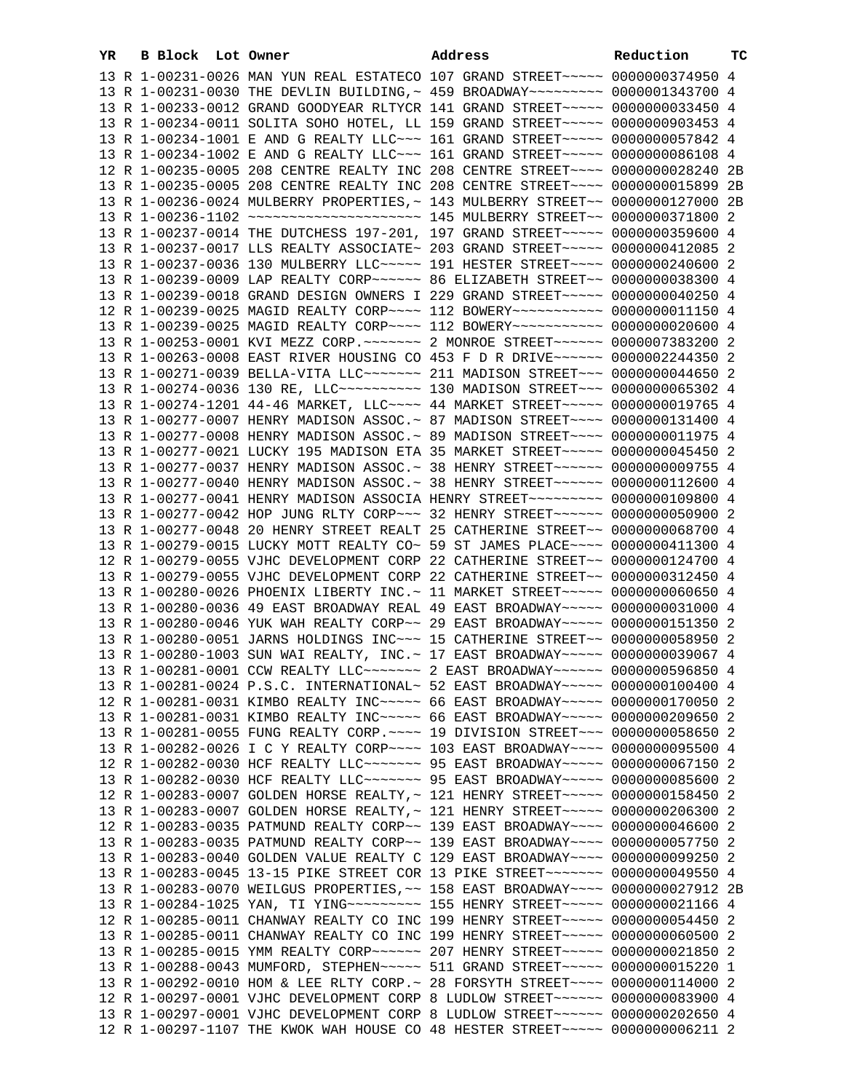| YR | B Block Lot Owner |                                                                                      | Address | Reduction | тC |
|----|-------------------|--------------------------------------------------------------------------------------|---------|-----------|----|
|    |                   | 13 R 1-00231-0026 MAN YUN REAL ESTATECO 107 GRAND STREET~~~~~ 0000000374950 4        |         |           |    |
|    |                   | 13 R 1-00231-0030 THE DEVLIN BUILDING, ~ 459 BROADWAY~~~~~~~~~ 0000001343700 4       |         |           |    |
|    |                   | 13 R 1-00233-0012 GRAND GOODYEAR RLTYCR 141 GRAND STREET~~~~~ 0000000033450 4        |         |           |    |
|    |                   | 13 R 1-00234-0011 SOLITA SOHO HOTEL, LL 159 GRAND STREET~~~~~~ 0000000903453 4       |         |           |    |
|    |                   | 13 R 1-00234-1001 E AND G REALTY LLC ~~~ 161 GRAND STREET ~~~~~ 0000000057842 4      |         |           |    |
|    |                   | 13 R 1-00234-1002 E AND G REALTY LLC ~~~ 161 GRAND STREET ~~~~~ 0000000086108 4      |         |           |    |
|    |                   | 12 R 1-00235-0005 208 CENTRE REALTY INC 208 CENTRE STREET~~~~ 0000000028240 2B       |         |           |    |
|    |                   | 13 R 1-00235-0005 208 CENTRE REALTY INC 208 CENTRE STREET~~~~ 0000000015899 2B       |         |           |    |
|    |                   | 13 R 1-00236-0024 MULBERRY PROPERTIES, ~ 143 MULBERRY STREET~~ 0000000127000 2B      |         |           |    |
|    |                   |                                                                                      |         |           |    |
|    |                   | 13 R 1-00237-0014 THE DUTCHESS 197-201, 197 GRAND STREET~~~~~ 0000000359600 4        |         |           |    |
|    |                   | 13 R 1-00237-0017 LLS REALTY ASSOCIATE~ 203 GRAND STREET~~~~~ 0000000412085 2        |         |           |    |
|    |                   | 13 R 1-00237-0036 130 MULBERRY LLC ---- 191 HESTER STREET --- 0000000240600 2        |         |           |    |
|    |                   | 13 R 1-00239-0009 LAP REALTY CORP~~~~~~ 86 ELIZABETH STREET~~ 0000000038300 4        |         |           |    |
|    |                   | 13 R 1-00239-0018 GRAND DESIGN OWNERS I 229 GRAND STREET~~~~~ 0000000040250 4        |         |           |    |
|    |                   | 12 R 1-00239-0025 MAGID REALTY CORP~~~~ 112 BOWERY~~~~~~~~~~~ 0000000011150 4        |         |           |    |
|    |                   | 13 R 1-00239-0025 MAGID REALTY CORP~~~~ 112 BOWERY~~~~~~~~~~~ 0000000020600 4        |         |           |    |
|    |                   | 13 R 1-00253-0001 KVI MEZZ CORP. ~~~~~~~~~~~~~~~ RTREET~~~~~~~~~~~~~ 0000007383200 2 |         |           |    |
|    |                   | 13 R 1-00263-0008 EAST RIVER HOUSING CO 453 F D R DRIVE~~~~~~ 0000002244350 2        |         |           |    |
|    |                   | 13 R 1-00271-0039 BELLA-VITA LLC~~~~~~~ 211 MADISON STREET~~~ 0000000044650 2        |         |           |    |
|    |                   | 13 R 1-00274-0036 130 RE, LLC ---------- 130 MADISON STREET --- 0000000065302 4      |         |           |    |
|    |                   | 13 R 1-00274-1201 44-46 MARKET, LLC --- 44 MARKET STREET ---- 0000000019765 4        |         |           |    |
|    |                   | 13 R 1-00277-0007 HENRY MADISON ASSOC. ~ 87 MADISON STREET~~~~ 0000000131400 4       |         |           |    |
|    |                   | 13 R 1-00277-0008 HENRY MADISON ASSOC.~ 89 MADISON STREET~~~~ 0000000011975 4        |         |           |    |
|    |                   | 13 R 1-00277-0021 LUCKY 195 MADISON ETA 35 MARKET STREET~~~~~ 0000000045450 2        |         |           |    |
|    |                   | 13 R 1-00277-0037 HENRY MADISON ASSOC.~ 38 HENRY STREET~~~~~~ 0000000009755 4        |         |           |    |
|    |                   | 13 R 1-00277-0040 HENRY MADISON ASSOC.~ 38 HENRY STREET~~~~~~ 0000000112600 4        |         |           |    |
|    |                   | 13 R 1-00277-0041 HENRY MADISON ASSOCIA HENRY STREET~~~~~~~~~ 0000000109800 4        |         |           |    |
|    |                   | 13 R 1-00277-0042 HOP JUNG RLTY CORP~~~ 32 HENRY STREET~~~~~~ 0000000050900 2        |         |           |    |
|    |                   | 13 R 1-00277-0048 20 HENRY STREET REALT 25 CATHERINE STREET~~ 0000000068700 4        |         |           |    |
|    |                   | 13 R 1-00279-0015 LUCKY MOTT REALTY CO~ 59 ST JAMES PLACE~~~~ 0000000411300 4        |         |           |    |
|    |                   | 12 R 1-00279-0055 VJHC DEVELOPMENT CORP 22 CATHERINE STREET~~ 0000000124700 4        |         |           |    |
|    |                   | 13 R 1-00279-0055 VJHC DEVELOPMENT CORP 22 CATHERINE STREET~~ 0000000312450 4        |         |           |    |
|    |                   | 13 R 1-00280-0026 PHOENIX LIBERTY INC. ~ 11 MARKET STREET ~~~~~ 0000000060650 4      |         |           |    |
|    |                   | 13 R 1-00280-0036 49 EAST BROADWAY REAL 49 EAST BROADWAY~~~~~ 0000000031000 4        |         |           |    |
|    |                   | 13 R 1-00280-0046 YUK WAH REALTY CORP~~ 29 EAST BROADWAY~~~~~ 0000000151350 2        |         |           |    |
|    |                   | 13 R 1-00280-0051 JARNS HOLDINGS INC~~~ 15 CATHERINE STREET~~ 0000000058950 2        |         |           |    |
|    |                   | 13 R 1-00280-1003 SUN WAI REALTY, INC. ~ 17 EAST BROADWAY ~~~~~ 0000000039067 4      |         |           |    |
|    |                   | 13 R 1-00281-0001 CCW REALTY LLC ------ 2 EAST BROADWAY ----- 0000000596850 4        |         |           |    |
|    |                   | 13 R 1-00281-0024 P.S.C. INTERNATIONAL~ 52 EAST BROADWAY~~~~~ 0000000100400 4        |         |           |    |
|    |                   | 12 R 1-00281-0031 KIMBO REALTY INC~~~~~ 66 EAST BROADWAY~~~~~ 0000000170050 2        |         |           |    |
|    |                   | 13 R 1-00281-0031 KIMBO REALTY INC~~~~~~ 66 EAST BROADWAY~~~~~ 0000000209650 2       |         |           |    |
|    |                   | 13 R 1-00281-0055 FUNG REALTY CORP. ~~~~ 19 DIVISION STREET~~~ 0000000058650 2       |         |           |    |
|    |                   | 13 R 1-00282-0026 I C Y REALTY CORP~~~~ 103 EAST BROADWAY~~~~ 0000000095500 4        |         |           |    |
|    |                   | 12 R 1-00282-0030 HCF REALTY LLC ------ 95 EAST BROADWAY ---- 0000000067150 2        |         |           |    |
|    |                   | 13 R 1-00282-0030 HCF REALTY LLC ------- 95 EAST BROADWAY ---- 0000000085600 2       |         |           |    |
|    |                   | 12 R 1-00283-0007 GOLDEN HORSE REALTY, ~ 121 HENRY STREET~~~~~ 0000000158450 2       |         |           |    |
|    |                   | 13 R 1-00283-0007 GOLDEN HORSE REALTY, ~ 121 HENRY STREET~~~~~ 0000000206300 2       |         |           |    |
|    |                   | 12 R 1-00283-0035 PATMUND REALTY CORP~~ 139 EAST BROADWAY~~~~ 0000000046600 2        |         |           |    |
|    |                   | 13 R 1-00283-0035 PATMUND REALTY CORP~~ 139 EAST BROADWAY~~~~ 0000000057750 2        |         |           |    |
|    |                   | 13 R 1-00283-0040 GOLDEN VALUE REALTY C 129 EAST BROADWAY~~~~ 0000000099250 2        |         |           |    |
|    |                   | 13 R 1-00283-0045 13-15 PIKE STREET COR 13 PIKE STREET~~~~~~~~ 0000000049550 4       |         |           |    |
|    |                   | 13 R 1-00283-0070 WEILGUS PROPERTIES, ~~ 158 EAST BROADWAY~~~~ 0000000027912 2B      |         |           |    |
|    |                   | 13 R 1-00284-1025 YAN, TI YING~~~~~~~~~~~~~~ 155 HENRY STREET~~~~~~ 00000000021166 4 |         |           |    |
|    |                   | 12 R 1-00285-0011 CHANWAY REALTY CO INC 199 HENRY STREET~~~~~ 0000000054450 2        |         |           |    |
|    |                   | 13 R 1-00285-0011 CHANWAY REALTY CO INC 199 HENRY STREET~~~~~ 0000000060500 2        |         |           |    |
|    |                   | 13 R 1-00285-0015 YMM REALTY CORP~~~~~~ 207 HENRY STREET~~~~~ 0000000021850 2        |         |           |    |
|    |                   | 13 R 1-00288-0043 MUMFORD, STEPHEN~~~~~ 511 GRAND STREET~~~~~ 0000000015220 1        |         |           |    |
|    |                   | 13 R 1-00292-0010 HOM & LEE RLTY CORP. ~ 28 FORSYTH STREET ~~~~ 0000000114000 2      |         |           |    |
|    |                   | 12 R 1-00297-0001 VJHC DEVELOPMENT CORP 8 LUDLOW STREET~~~~~~ 0000000083900 4        |         |           |    |
|    |                   | 13 R 1-00297-0001 VJHC DEVELOPMENT CORP 8 LUDLOW STREET~~~~~~ 0000000202650 4        |         |           |    |
|    |                   | 12 R 1-00297-1107 THE KWOK WAH HOUSE CO 48 HESTER STREET~~~~~ 0000000006211 2        |         |           |    |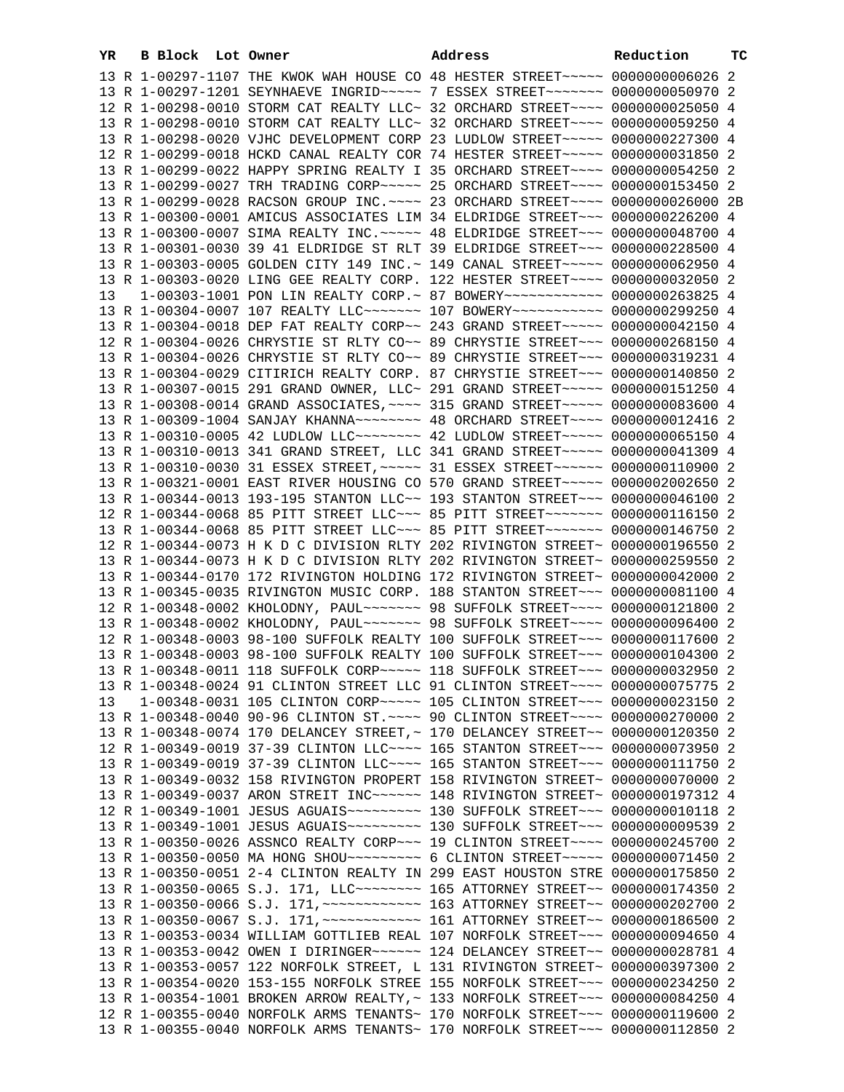| YR. | B Block Lot Owner |                                                                                                                                                                 | Address | Reduction | ТC |
|-----|-------------------|-----------------------------------------------------------------------------------------------------------------------------------------------------------------|---------|-----------|----|
|     |                   | 13 R 1-00297-1107 THE KWOK WAH HOUSE CO 48 HESTER STREET~~~~~ 00000000006026 2                                                                                  |         |           |    |
|     |                   | 13 R 1-00297-1201 SEYNHAEVE INGRID ~~~~~ 7 ESSEX STREET ~~~~~~~ 0000000050970 2                                                                                 |         |           |    |
|     |                   | 12 R 1-00298-0010 STORM CAT REALTY LLC~ 32 ORCHARD STREET~~~~ 0000000025050 4                                                                                   |         |           |    |
|     |                   | 13 R 1-00298-0010 STORM CAT REALTY LLC~ 32 ORCHARD STREET~~~~ 0000000059250 4                                                                                   |         |           |    |
|     |                   | 13 R 1-00298-0020 VJHC DEVELOPMENT CORP 23 LUDLOW STREET~~~~~ 0000000227300 4                                                                                   |         |           |    |
|     |                   | 12 R 1-00299-0018 HCKD CANAL REALTY COR 74 HESTER STREET~~~~~ 0000000031850 2                                                                                   |         |           |    |
|     |                   | 13 R 1-00299-0022 HAPPY SPRING REALTY I 35 ORCHARD STREET~~~~ 0000000054250 2                                                                                   |         |           |    |
|     |                   | 13 R 1-00299-0027 TRH TRADING CORP~~~~~ 25 ORCHARD STREET~~~~ 0000000153450 2                                                                                   |         |           |    |
|     |                   | 13 R 1-00299-0028 RACSON GROUP INC. ~~~~ 23 ORCHARD STREET~~~~ 0000000026000 2B                                                                                 |         |           |    |
|     |                   | 13 R 1-00300-0001 AMICUS ASSOCIATES LIM 34 ELDRIDGE STREET~~~ 0000000226200 4                                                                                   |         |           |    |
|     |                   | 13 R 1-00300-0007 SIMA REALTY INC. ~~~~~ 48 ELDRIDGE STREET~~~ 0000000048700 4                                                                                  |         |           |    |
|     |                   | 13 R 1-00301-0030 39 41 ELDRIDGE ST RLT 39 ELDRIDGE STREET~~~ 0000000228500 4                                                                                   |         |           |    |
|     |                   | 13 R 1-00303-0005 GOLDEN CITY 149 INC.~ 149 CANAL STREET~~~~~ 0000000062950 4                                                                                   |         |           |    |
|     |                   | 13 R 1-00303-0020 LING GEE REALTY CORP. 122 HESTER STREET~~~~ 0000000032050 2                                                                                   |         |           |    |
| 13  |                   | 1-00303-1001 PON LIN REALTY CORP. ~ 87 BOWERY ~~~~~~~~~~~~~~ 0000000263825 4                                                                                    |         |           |    |
|     |                   | 13 R 1-00304-0007 107 REALTY LLC ------ 107 BOWERY ----------- 0000000299250 4                                                                                  |         |           |    |
|     |                   | 13 R 1-00304-0018 DEP FAT REALTY CORP~~ 243 GRAND STREET~~~~~ 0000000042150 4                                                                                   |         |           |    |
|     |                   | 12 R 1-00304-0026 CHRYSTIE ST RLTY CO~~ 89 CHRYSTIE STREET~~~ 0000000268150 4                                                                                   |         |           |    |
|     |                   | 13 R 1-00304-0026 CHRYSTIE ST RLTY CO~~ 89 CHRYSTIE STREET~~~ 0000000319231 4                                                                                   |         |           |    |
|     |                   | 13 R 1-00304-0029 CITIRICH REALTY CORP. 87 CHRYSTIE STREET~~~ 0000000140850 2                                                                                   |         |           |    |
|     |                   | 13 R 1-00307-0015 291 GRAND OWNER, LLC~ 291 GRAND STREET~~~~~ 0000000151250 4<br>13 R 1-00308-0014 GRAND ASSOCIATES, ~~~~ 315 GRAND STREET~~~~~ 0000000083600 4 |         |           |    |
|     |                   | 13 R 1-00309-1004 SANJAY KHANNA~~~~~~~~ 48 ORCHARD STREET~~~~ 0000000012416 2                                                                                   |         |           |    |
|     |                   |                                                                                                                                                                 |         |           |    |
|     |                   | 13 R 1-00310-0013 341 GRAND STREET, LLC 341 GRAND STREET~~~~~ 0000000041309 4                                                                                   |         |           |    |
|     |                   | 13 R 1-00310-0030 31 ESSEX STREET, ~~~~~ 31 ESSEX STREET~~~~~~ 0000000110900 2                                                                                  |         |           |    |
|     |                   | 13 R 1-00321-0001 EAST RIVER HOUSING CO 570 GRAND STREET~~~~~ 0000002002650 2                                                                                   |         |           |    |
|     |                   | 13 R 1-00344-0013 193-195 STANTON LLC~~ 193 STANTON STREET~~~ 0000000046100 2                                                                                   |         |           |    |
|     |                   | 12 R 1-00344-0068 85 PITT STREET LLC ~~~ 85 PITT STREET ~~~~~~~ 0000000116150 2                                                                                 |         |           |    |
|     |                   | 13 R 1-00344-0068 85 PITT STREET LLC ~~~ 85 PITT STREET ~~~~~~~ 0000000146750 2                                                                                 |         |           |    |
|     |                   | 12 R 1-00344-0073 H K D C DIVISION RLTY 202 RIVINGTON STREET~ 0000000196550 2                                                                                   |         |           |    |
|     |                   | 13 R 1-00344-0073 H K D C DIVISION RLTY 202 RIVINGTON STREET~ 0000000259550 2                                                                                   |         |           |    |
|     |                   | 13 R 1-00344-0170 172 RIVINGTON HOLDING 172 RIVINGTON STREET~ 0000000042000 2                                                                                   |         |           |    |
|     |                   | 13 R 1-00345-0035 RIVINGTON MUSIC CORP. 188 STANTON STREET~~~ 0000000081100 4                                                                                   |         |           |    |
|     |                   | 12 R 1-00348-0002 KHOLODNY, PAUL~~~~~~~~ 98 SUFFOLK STREET~~~~ 0000000121800 2                                                                                  |         |           |    |
|     |                   | 13 R 1-00348-0002 KHOLODNY, PAUL~~~~~~~ 98 SUFFOLK STREET~~~~ 0000000096400 2                                                                                   |         |           |    |
|     |                   | 12 R 1-00348-0003 98-100 SUFFOLK REALTY 100 SUFFOLK STREET~~~ 0000000117600 2                                                                                   |         |           |    |
|     |                   | 13 R 1-00348-0003 98-100 SUFFOLK REALTY 100 SUFFOLK STREET~~~ 0000000104300 2                                                                                   |         |           |    |
|     |                   | 13 R 1-00348-0011 118 SUFFOLK CORP~~~~~ 118 SUFFOLK STREET~~~ 0000000032950 2                                                                                   |         |           |    |
|     |                   | 13 R 1-00348-0024 91 CLINTON STREET LLC 91 CLINTON STREET~~~~ 0000000075775 2                                                                                   |         |           |    |
| 13  |                   | 1-00348-0031 105 CLINTON CORP~~~~~ 105 CLINTON STREET~~~ 0000000023150 2                                                                                        |         |           |    |
|     |                   | 13 R 1-00348-0040 90-96 CLINTON ST. ~~~~ 90 CLINTON STREET~~~~ 0000000270000 2                                                                                  |         |           |    |
|     |                   | 13 R 1-00348-0074 170 DELANCEY STREET, ~ 170 DELANCEY STREET~~ 0000000120350 2                                                                                  |         |           |    |
|     |                   | 12 R 1-00349-0019 37-39 CLINTON LLC --- 165 STANTON STREET -- 0000000073950 2<br>13 R 1-00349-0019 37-39 CLINTON LLC --- 165 STANTON STREET -- 0000000111750 2  |         |           |    |
|     |                   | 13 R 1-00349-0032 158 RIVINGTON PROPERT 158 RIVINGTON STREET~ 0000000070000 2                                                                                   |         |           |    |
|     |                   | 13 R 1-00349-0037 ARON STREIT INC~~~~~~ 148 RIVINGTON STREET~ 0000000197312 4                                                                                   |         |           |    |
|     |                   |                                                                                                                                                                 |         |           |    |
|     |                   |                                                                                                                                                                 |         |           |    |
|     |                   | 13 R 1-00350-0026 ASSNCO REALTY CORP~~~ 19 CLINTON STREET~~~~ 0000000245700 2                                                                                   |         |           |    |
|     |                   |                                                                                                                                                                 |         |           |    |
|     |                   | 13 R 1-00350-0051 2-4 CLINTON REALTY IN 299 EAST HOUSTON STRE 0000000175850 2                                                                                   |         |           |    |
|     |                   | 13 R 1-00350-0065 S.J. 171, LLC~~~~~~~~~~~~~ 165 ATTORNEY STREET~~~ 0000000174350 2                                                                             |         |           |    |
|     |                   |                                                                                                                                                                 |         |           |    |
|     |                   |                                                                                                                                                                 |         |           |    |
|     |                   | 13 R 1-00353-0034 WILLIAM GOTTLIEB REAL 107 NORFOLK STREET~~~ 0000000094650 4                                                                                   |         |           |    |
|     |                   | 13 R 1-00353-0042 OWEN I DIRINGER~~~~~~ 124 DELANCEY STREET~~ 0000000028781 4                                                                                   |         |           |    |
|     |                   | 13 R 1-00353-0057 122 NORFOLK STREET, L 131 RIVINGTON STREET~ 0000000397300 2                                                                                   |         |           |    |
|     |                   | 13 R 1-00354-0020 153-155 NORFOLK STREE 155 NORFOLK STREET~~~ 0000000234250 2                                                                                   |         |           |    |
|     |                   | 13 R 1-00354-1001 BROKEN ARROW REALTY, ~ 133 NORFOLK STREET~~~ 0000000084250 4                                                                                  |         |           |    |
|     |                   | 12 R 1-00355-0040 NORFOLK ARMS TENANTS~ 170 NORFOLK STREET~~~ 0000000119600 2                                                                                   |         |           |    |
|     |                   | 13 R 1-00355-0040 NORFOLK ARMS TENANTS~ 170 NORFOLK STREET~~~ 0000000112850 2                                                                                   |         |           |    |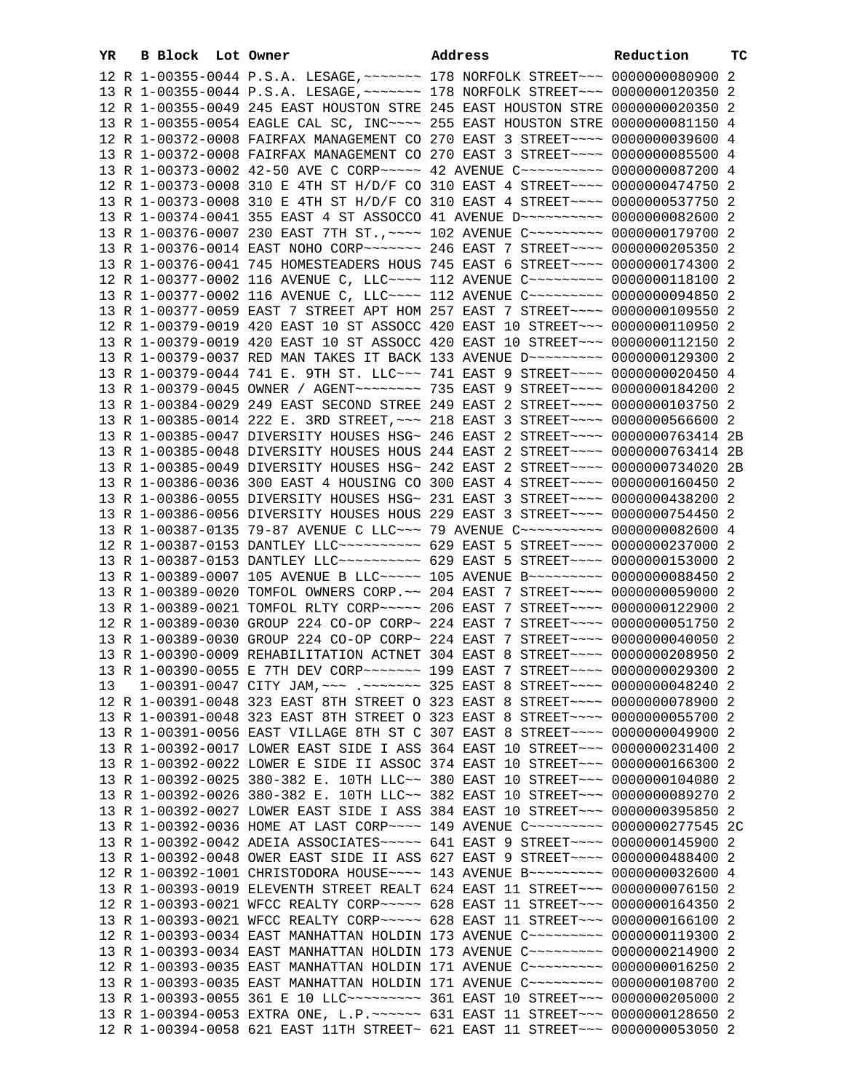| YR. | B Block Lot Owner |                                                                                                                                                                | Address | Reduction | ТC |
|-----|-------------------|----------------------------------------------------------------------------------------------------------------------------------------------------------------|---------|-----------|----|
|     |                   | 12 R 1-00355-0044 P.S.A. LESAGE, ~~~~~~~ 178 NORFOLK STREET~~~ 0000000080900 2                                                                                 |         |           |    |
|     |                   | 13 R 1-00355-0044 P.S.A. LESAGE, ~~~~~~~ 178 NORFOLK STREET~~~ 0000000120350 2                                                                                 |         |           |    |
|     |                   | 12 R 1-00355-0049 245 EAST HOUSTON STRE 245 EAST HOUSTON STRE 0000000020350 2                                                                                  |         |           |    |
|     |                   | 13 R 1-00355-0054 EAGLE CAL SC, INC~~~~ 255 EAST HOUSTON STRE 0000000081150 4                                                                                  |         |           |    |
|     |                   | 12 R 1-00372-0008 FAIRFAX MANAGEMENT CO 270 EAST 3 STREET~~~~ 0000000039600 4                                                                                  |         |           |    |
|     |                   | 13 R 1-00372-0008 FAIRFAX MANAGEMENT CO 270 EAST 3 STREET~~~~ 0000000085500 4                                                                                  |         |           |    |
|     |                   | 13 R 1-00373-0002 42-50 AVE C CORP~~~~~ 42 AVENUE C~~~~~~~~~~ 0000000087200 4                                                                                  |         |           |    |
|     |                   | 12 R 1-00373-0008 310 E 4TH ST H/D/F CO 310 EAST 4 STREET~~~~ 0000000474750 2                                                                                  |         |           |    |
|     |                   | 13 R 1-00373-0008 310 E 4TH ST H/D/F CO 310 EAST 4 STREET~~~~ 0000000537750 2                                                                                  |         |           |    |
|     |                   | 13 R 1-00374-0041 355 EAST 4 ST ASSOCCO 41 AVENUE D ~~~~~~~~~~ 0000000082600 2                                                                                 |         |           |    |
|     |                   | 13 R 1-00376-0007 230 EAST 7TH ST., ~~~~ 102 AVENUE C~~~~~~~~~ 0000000179700 2                                                                                 |         |           |    |
|     |                   | 13 R 1-00376-0014 EAST NOHO CORP~~~~~~~ 246 EAST 7 STREET~~~~ 0000000205350 2                                                                                  |         |           |    |
|     |                   | 13 R 1-00376-0041 745 HOMESTEADERS HOUS 745 EAST 6 STREET~~~~ 0000000174300 2                                                                                  |         |           |    |
|     |                   | 12 R 1-00377-0002 116 AVENUE C, LLC --- 112 AVENUE C -------- 0000000118100 2                                                                                  |         |           |    |
|     |                   | 13 R 1-00377-0002 116 AVENUE C, LLC --- 112 AVENUE C -------- 0000000094850 2                                                                                  |         |           |    |
|     |                   | 13 R 1-00377-0059 EAST 7 STREET APT HOM 257 EAST 7 STREET~~~~ 0000000109550 2                                                                                  |         |           |    |
|     |                   | 12 R 1-00379-0019 420 EAST 10 ST ASSOCC 420 EAST 10 STREET~~~ 0000000110950 2                                                                                  |         |           |    |
|     |                   | 13 R 1-00379-0019 420 EAST 10 ST ASSOCC 420 EAST 10 STREET~~~ 0000000112150 2                                                                                  |         |           |    |
|     |                   | 13 R 1-00379-0037 RED MAN TAKES IT BACK 133 AVENUE D~~~~~~~~~ 0000000129300 2                                                                                  |         |           |    |
|     |                   | 13 R 1-00379-0044 741 E. 9TH ST. LLC ~~~ 741 EAST 9 STREET ~~~~ 0000000020450 4                                                                                |         |           |    |
|     |                   | 13 R 1-00379-0045 OWNER / AGENT ~~~~~~~~ 735 EAST 9 STREET ~~~~ 0000000184200 2                                                                                |         |           |    |
|     |                   | 13 R 1-00384-0029 249 EAST SECOND STREE 249 EAST 2 STREET~~~~ 0000000103750 2                                                                                  |         |           |    |
|     |                   | 13 R 1-00385-0014 222 E. 3RD STREET, ~~~ 218 EAST 3 STREET~~~~ 0000000566600 2                                                                                 |         |           |    |
|     |                   | 13 R 1-00385-0047 DIVERSITY HOUSES HSG~ 246 EAST 2 STREET~~~~ 0000000763414 2B                                                                                 |         |           |    |
|     |                   | 13 R 1-00385-0048 DIVERSITY HOUSES HOUS 244 EAST 2 STREET~~~~ 0000000763414 2B                                                                                 |         |           |    |
|     |                   | 13 R 1-00385-0049 DIVERSITY HOUSES HSG~ 242 EAST 2 STREET~~~~ 0000000734020 2B                                                                                 |         |           |    |
|     |                   | 13 R 1-00386-0036 300 EAST 4 HOUSING CO 300 EAST 4 STREET~~~~ 0000000160450 2                                                                                  |         |           |    |
|     |                   | 13 R 1-00386-0055 DIVERSITY HOUSES HSG~ 231 EAST 3 STREET~~~~ 0000000438200 2                                                                                  |         |           |    |
|     |                   | 13 R 1-00386-0056 DIVERSITY HOUSES HOUS 229 EAST 3 STREET~~~~ 0000000754450 2<br>13 R 1-00387-0135 79-87 AVENUE C LLC~~~ 79 AVENUE C~~~~~~~~~~ 0000000082600 4 |         |           |    |
|     |                   | 12 R 1-00387-0153 DANTLEY LLC~~~~~~~~~~~ 629 EAST 5 STREET~~~~ 0000000237000 2                                                                                 |         |           |    |
|     |                   | 13 R 1-00387-0153 DANTLEY LLC~~~~~~~~~~ 629 EAST 5 STREET~~~~ 0000000153000 2                                                                                  |         |           |    |
|     |                   | 13 R 1-00389-0007 105 AVENUE B LLC ---- 105 AVENUE B -------- 0000000088450 2                                                                                  |         |           |    |
|     |                   | 13 R 1-00389-0020 TOMFOL OWNERS CORP. ~~ 204 EAST 7 STREET~~~~ 0000000059000 2                                                                                 |         |           |    |
|     |                   | 13 R 1-00389-0021 TOMFOL RLTY CORP~~~~~ 206 EAST 7 STREET~~~~ 0000000122900 2                                                                                  |         |           |    |
|     |                   | 12 R 1-00389-0030 GROUP 224 CO-OP CORP~ 224 EAST 7 STREET~~~~ 0000000051750 2                                                                                  |         |           |    |
|     |                   | 13 R 1-00389-0030 GROUP 224 CO-OP CORP~ 224 EAST 7 STREET~~~~ 0000000040050 2                                                                                  |         |           |    |
|     |                   | 13 R 1-00390-0009 REHABILITATION ACTNET 304 EAST 8 STREET~~~~ 0000000208950 2                                                                                  |         |           |    |
|     |                   | 13 R 1-00390-0055 E 7TH DEV CORP~~~~~~~ 199 EAST 7 STREET~~~~ 0000000029300 2                                                                                  |         |           |    |
| 13  |                   | 1-00391-0047 CITY JAM, ~~~ .~~~~~~~ 325 EAST 8 STREET~~~~ 0000000048240 2                                                                                      |         |           |    |
|     |                   | 12 R 1-00391-0048 323 EAST 8TH STREET O 323 EAST 8 STREET~~~~ 0000000078900 2                                                                                  |         |           |    |
|     |                   | 13 R 1-00391-0048 323 EAST 8TH STREET O 323 EAST 8 STREET~~~~ 0000000055700 2                                                                                  |         |           |    |
|     |                   | 13 R 1-00391-0056 EAST VILLAGE 8TH ST C 307 EAST 8 STREET~~~~ 0000000049900 2                                                                                  |         |           |    |
|     |                   | 13 R 1-00392-0017 LOWER EAST SIDE I ASS 364 EAST 10 STREET~~~ 0000000231400 2                                                                                  |         |           |    |
|     |                   | 13 R 1-00392-0022 LOWER E SIDE II ASSOC 374 EAST 10 STREET~~~ 0000000166300 2                                                                                  |         |           |    |
|     |                   | 13 R 1-00392-0025 380-382 E. 10TH LLC~~ 380 EAST 10 STREET~~~ 0000000104080 2                                                                                  |         |           |    |
|     |                   | 13 R 1-00392-0026 380-382 E. 10TH LLC~~ 382 EAST 10 STREET~~~ 0000000089270 2                                                                                  |         |           |    |
|     |                   | 13 R 1-00392-0027 LOWER EAST SIDE I ASS 384 EAST 10 STREET~~~ 0000000395850 2                                                                                  |         |           |    |
|     |                   | 13 R 1-00392-0036 HOME AT LAST CORP~~~~ 149 AVENUE C~~~~~~~~~ 0000000277545 2C                                                                                 |         |           |    |
|     |                   | 13 R 1-00392-0042 ADEIA ASSOCIATES~~~~~ 641 EAST 9 STREET~~~~ 0000000145900 2                                                                                  |         |           |    |
|     |                   | 13 R 1-00392-0048 OWER EAST SIDE II ASS 627 EAST 9 STREET~~~~ 0000000488400 2                                                                                  |         |           |    |
|     |                   | 12 R 1-00392-1001 CHRISTODORA HOUSE~~~~ 143 AVENUE B~~~~~~~~~ 0000000032600 4                                                                                  |         |           |    |
|     |                   | 13 R 1-00393-0019 ELEVENTH STREET REALT 624 EAST 11 STREET~~~ 0000000076150 2                                                                                  |         |           |    |
|     |                   | 12 R 1-00393-0021 WFCC REALTY CORP~~~~~ 628 EAST 11 STREET~~~ 0000000164350 2                                                                                  |         |           |    |
|     |                   | 13 R 1-00393-0021 WFCC REALTY CORP~~~~~ 628 EAST 11 STREET~~~ 0000000166100 2                                                                                  |         |           |    |
|     |                   | 12 R 1-00393-0034 EAST MANHATTAN HOLDIN 173 AVENUE C~~~~~~~~~ 0000000119300 2                                                                                  |         |           |    |
|     |                   | 13 R 1-00393-0034 EAST MANHATTAN HOLDIN 173 AVENUE C~~~~~~~~~ 0000000214900 2<br>12 R 1-00393-0035 EAST MANHATTAN HOLDIN 171 AVENUE C~~~~~~~~~ 0000000016250 2 |         |           |    |
|     |                   | 13 R 1-00393-0035 EAST MANHATTAN HOLDIN 171 AVENUE C~~~~~~~~~ 0000000108700 2                                                                                  |         |           |    |
|     |                   | 13 R 1-00393-0055 361 E 10 LLC -------- 361 EAST 10 STREET --- 0000000205000 2                                                                                 |         |           |    |
|     |                   | 13 R 1-00394-0053 EXTRA ONE, L.P. ~~~~~~ 631 EAST 11 STREET~~~ 0000000128650 2                                                                                 |         |           |    |
|     |                   | 12 R 1-00394-0058 621 EAST 11TH STREET~ 621 EAST 11 STREET~~~ 0000000053050 2                                                                                  |         |           |    |
|     |                   |                                                                                                                                                                |         |           |    |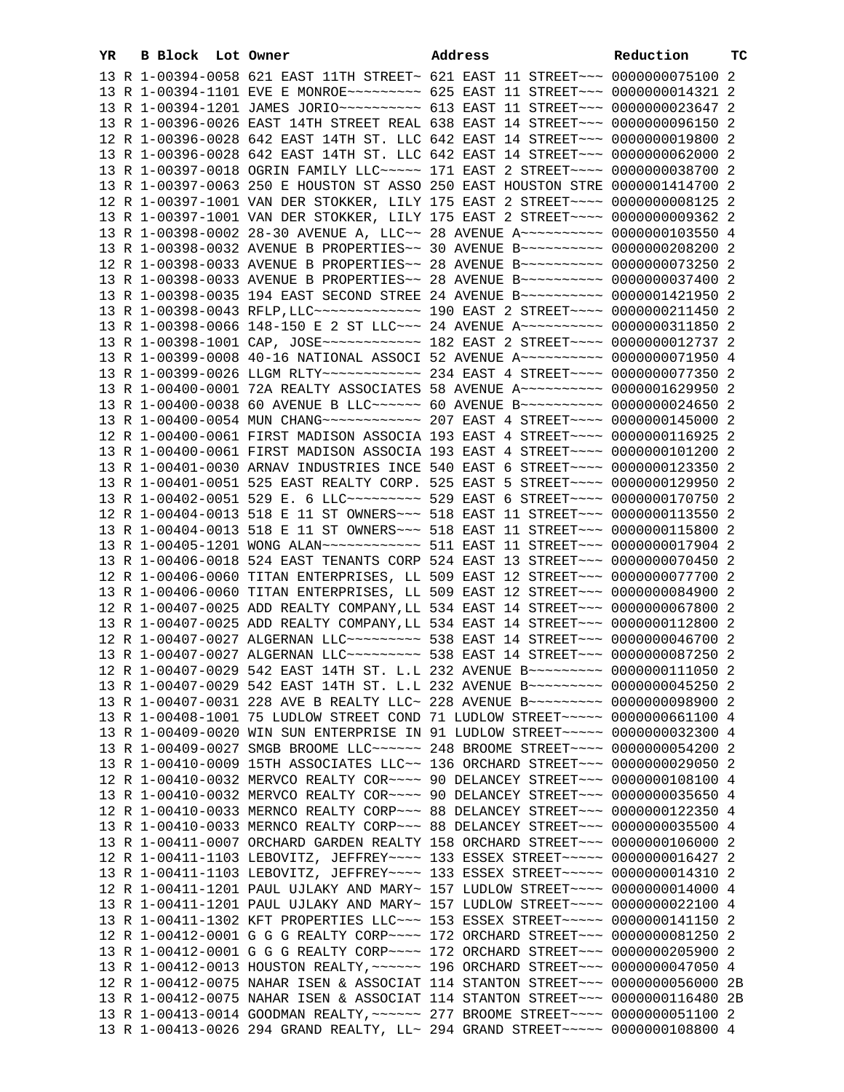| YR. | B Block Lot Owner |                                                                                                                                                                   | Address | Reduction | ТC |
|-----|-------------------|-------------------------------------------------------------------------------------------------------------------------------------------------------------------|---------|-----------|----|
|     |                   | 13 R 1-00394-0058 621 EAST 11TH STREET~ 621 EAST 11 STREET~~~ 0000000075100 2                                                                                     |         |           |    |
|     |                   | 13 R 1-00394-1101 EVE E MONROE~~~~~~~~~~ 625 EAST 11 STREET~~~ 0000000014321 2                                                                                    |         |           |    |
|     |                   | 13 R 1-00394-1201 JAMES JORIO~~~~~~~~~~ 613 EAST 11 STREET~~~ 0000000023647 2                                                                                     |         |           |    |
|     |                   | 13 R 1-00396-0026 EAST 14TH STREET REAL 638 EAST 14 STREET~~~ 0000000096150 2                                                                                     |         |           |    |
|     |                   | 12 R 1-00396-0028 642 EAST 14TH ST. LLC 642 EAST 14 STREET~~~ 0000000019800 2                                                                                     |         |           |    |
|     |                   | 13 R 1-00396-0028 642 EAST 14TH ST. LLC 642 EAST 14 STREET~~~ 0000000062000 2                                                                                     |         |           |    |
|     |                   | 13 R 1-00397-0018 OGRIN FAMILY LLC~~~~~ 171 EAST 2 STREET~~~~ 0000000038700 2                                                                                     |         |           |    |
|     |                   | 13 R 1-00397-0063 250 E HOUSTON ST ASSO 250 EAST HOUSTON STRE 0000001414700 2                                                                                     |         |           |    |
|     |                   | 12 R 1-00397-1001 VAN DER STOKKER, LILY 175 EAST 2 STREET~~~~ 00000000008125 2                                                                                    |         |           |    |
|     |                   | 13 R 1-00397-1001 VAN DER STOKKER, LILY 175 EAST 2 STREET~~~~ 0000000009362 2                                                                                     |         |           |    |
|     |                   | 13 R 1-00398-0002 28-30 AVENUE A, LLC~~ 28 AVENUE A~~~~~~~~~~ 0000000103550 4                                                                                     |         |           |    |
|     |                   | 13 R 1-00398-0032 AVENUE B PROPERTIES~~ 30 AVENUE B~~~~~~~~~~ 0000000208200 2                                                                                     |         |           |    |
|     |                   | 12 R 1-00398-0033 AVENUE B PROPERTIES~~ 28 AVENUE B~~~~~~~~~~ 0000000073250 2                                                                                     |         |           |    |
|     |                   | 13 R 1-00398-0033 AVENUE B PROPERTIES~~ 28 AVENUE B~~~~~~~~~~ 0000000037400 2                                                                                     |         |           |    |
|     |                   | 13 R 1-00398-0035 194 EAST SECOND STREE 24 AVENUE B~~~~~~~~~~ 0000001421950 2<br>13 R 1-00398-0043 RFLP, LLC ------------- 190 EAST 2 STREET ---- 0000000211450 2 |         |           |    |
|     |                   | 13 R 1-00398-0066 148-150 E 2 ST LLC~~~ 24 AVENUE A~~~~~~~~~~ 0000000311850 2                                                                                     |         |           |    |
|     |                   | 13 R 1-00398-1001 CAP, JOSE ------------ 182 EAST 2 STREET ---- 0000000012737 2                                                                                   |         |           |    |
|     |                   | 13 R 1-00399-0008 40-16 NATIONAL ASSOCI 52 AVENUE A~~~~~~~~~~ 0000000071950 4                                                                                     |         |           |    |
|     |                   | 13 R 1-00399-0026 LLGM RLTY ----------- 234 EAST 4 STREET ---- 0000000077350 2                                                                                    |         |           |    |
|     |                   | 13 R 1-00400-0001 72A REALTY ASSOCIATES 58 AVENUE A~~~~~~~~~~ 0000001629950 2                                                                                     |         |           |    |
|     |                   | 13 R 1-00400-0038 60 AVENUE B LLC ----- 60 AVENUE B --------- 0000000024650 2                                                                                     |         |           |    |
|     |                   |                                                                                                                                                                   |         |           |    |
|     |                   | 12 R 1-00400-0061 FIRST MADISON ASSOCIA 193 EAST 4 STREET~~~~ 0000000116925 2                                                                                     |         |           |    |
|     |                   | 13 R 1-00400-0061 FIRST MADISON ASSOCIA 193 EAST 4 STREET~~~~ 0000000101200 2                                                                                     |         |           |    |
|     |                   | 13 R 1-00401-0030 ARNAV INDUSTRIES INCE 540 EAST 6 STREET~~~~ 0000000123350 2                                                                                     |         |           |    |
|     |                   | 13 R 1-00401-0051 525 EAST REALTY CORP. 525 EAST 5 STREET~~~~ 0000000129950 2                                                                                     |         |           |    |
|     |                   | 13 R 1-00402-0051 529 E. 6 LLC --------- 529 EAST 6 STREET ---- 0000000170750 2                                                                                   |         |           |    |
|     |                   | 12 R 1-00404-0013 518 E 11 ST OWNERS~~~ 518 EAST 11 STREET~~~ 0000000113550 2                                                                                     |         |           |    |
|     |                   | 13 R 1-00404-0013 518 E 11 ST OWNERS~~~ 518 EAST 11 STREET~~~ 0000000115800 2                                                                                     |         |           |    |
|     |                   | 13 R 1-00405-1201 WONG ALAN ------------ 511 EAST 11 STREET --- 0000000017904 2                                                                                   |         |           |    |
|     |                   | 13 R 1-00406-0018 524 EAST TENANTS CORP 524 EAST 13 STREET~~~ 0000000070450 2                                                                                     |         |           |    |
|     |                   | 12 R 1-00406-0060 TITAN ENTERPRISES, LL 509 EAST 12 STREET~~~ 0000000077700 2                                                                                     |         |           |    |
|     |                   | 13 R 1-00406-0060 TITAN ENTERPRISES, LL 509 EAST 12 STREET~~~ 0000000084900 2                                                                                     |         |           |    |
|     |                   | 12 R 1-00407-0025 ADD REALTY COMPANY, LL 534 EAST 14 STREET~~~ 0000000067800 2                                                                                    |         |           |    |
|     |                   | 13 R 1-00407-0025 ADD REALTY COMPANY, LL 534 EAST 14 STREET~~~ 0000000112800 2                                                                                    |         |           |    |
|     |                   | 12 R 1-00407-0027 ALGERNAN LLC -------- 538 EAST 14 STREET --- 0000000046700 2                                                                                    |         |           |    |
|     |                   | 13 R 1-00407-0027 ALGERNAN LLC --------- 538 EAST 14 STREET --- 0000000087250 2<br>12 R 1-00407-0029 542 EAST 14TH ST. L.L 232 AVENUE B~~~~~~~~~ 0000000111050 2  |         |           |    |
|     |                   | 13 R 1-00407-0029 542 EAST 14TH ST. L.L 232 AVENUE B~~~~~~~~~ 0000000045250 2                                                                                     |         |           |    |
|     |                   | 13 R 1-00407-0031 228 AVE B REALTY LLC~ 228 AVENUE B~~~~~~~~~ 0000000098900 2                                                                                     |         |           |    |
|     |                   | 13 R 1-00408-1001 75 LUDLOW STREET COND 71 LUDLOW STREET~~~~~ 0000000661100 4                                                                                     |         |           |    |
|     |                   | 13 R 1-00409-0020 WIN SUN ENTERPRISE IN 91 LUDLOW STREET~~~~~ 0000000032300 4                                                                                     |         |           |    |
|     |                   | 13 R 1-00409-0027 SMGB BROOME LLC~~~~~~ 248 BROOME STREET~~~~ 0000000054200 2                                                                                     |         |           |    |
|     |                   | 13 R 1-00410-0009 15TH ASSOCIATES LLC~~ 136 ORCHARD STREET~~~ 0000000029050 2                                                                                     |         |           |    |
|     |                   | 12 R 1-00410-0032 MERVCO REALTY COR~~~~ 90 DELANCEY STREET~~~ 0000000108100 4                                                                                     |         |           |    |
|     |                   | 13 R 1-00410-0032 MERVCO REALTY COR~~~~ 90 DELANCEY STREET~~~ 0000000035650 4                                                                                     |         |           |    |
|     |                   | 12 R 1-00410-0033 MERNCO REALTY CORP~~~ 88 DELANCEY STREET~~~ 0000000122350 4                                                                                     |         |           |    |
|     |                   | 13 R 1-00410-0033 MERNCO REALTY CORP~~~ 88 DELANCEY STREET~~~ 0000000035500 4                                                                                     |         |           |    |
|     |                   | 13 R 1-00411-0007 ORCHARD GARDEN REALTY 158 ORCHARD STREET~~~ 0000000106000 2                                                                                     |         |           |    |
|     |                   | 12 R 1-00411-1103 LEBOVITZ, JEFFREY~~~~ 133 ESSEX STREET~~~~~ 0000000016427 2                                                                                     |         |           |    |
|     |                   | 13 R 1-00411-1103 LEBOVITZ, JEFFREY~~~~ 133 ESSEX STREET~~~~~ 0000000014310 2                                                                                     |         |           |    |
|     |                   | 12 R 1-00411-1201 PAUL UJLAKY AND MARY~ 157 LUDLOW STREET~~~~ 0000000014000 4                                                                                     |         |           |    |
|     |                   | 13 R 1-00411-1201 PAUL UJLAKY AND MARY~ 157 LUDLOW STREET~~~~ 0000000022100 4                                                                                     |         |           |    |
|     |                   | 13 R 1-00411-1302 KFT PROPERTIES LLC~~~ 153 ESSEX STREET~~~~~ 0000000141150 2                                                                                     |         |           |    |
|     |                   | 12 R 1-00412-0001 G G G REALTY CORP~~~~ 172 ORCHARD STREET~~~ 0000000081250 2<br>13 R 1-00412-0001 G G G REALTY CORP~~~~ 172 ORCHARD STREET~~~ 0000000205900 2    |         |           |    |
|     |                   | 13 R 1-00412-0013 HOUSTON REALTY, ~~~~~~ 196 ORCHARD STREET~~~ 0000000047050 4                                                                                    |         |           |    |
|     |                   | 12 R 1-00412-0075 NAHAR ISEN & ASSOCIAT 114 STANTON STREET~~~ 0000000056000 2B                                                                                    |         |           |    |
|     |                   | 13 R 1-00412-0075 NAHAR ISEN & ASSOCIAT 114 STANTON STREET~~~ 00000000116480 2B                                                                                   |         |           |    |
|     |                   | 13 R 1-00413-0014 GOODMAN REALTY, ~~~~~~ 277 BROOME STREET~~~~ 0000000051100 2                                                                                    |         |           |    |
|     |                   | 13 R 1-00413-0026 294 GRAND REALTY, LL~ 294 GRAND STREET~~~~~~ 0000000108800 4                                                                                    |         |           |    |
|     |                   |                                                                                                                                                                   |         |           |    |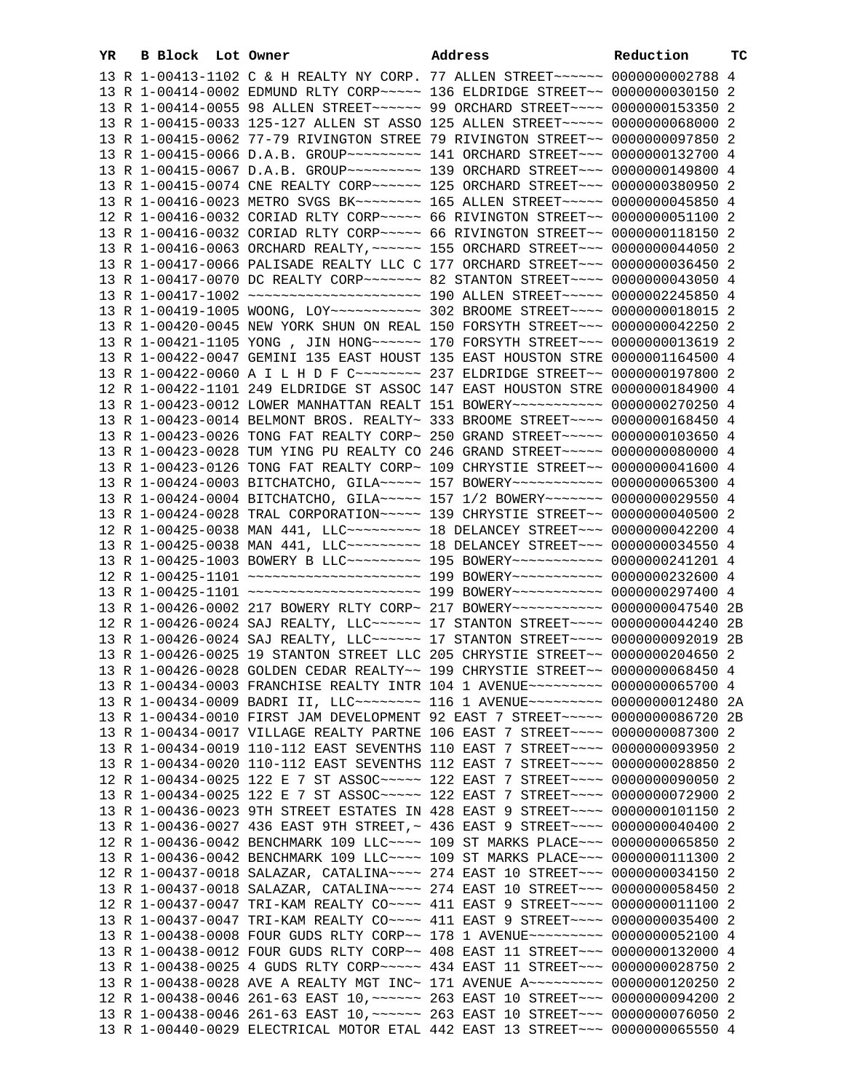| YR. | B Block Lot Owner |  | Address                                                                                                                                                         | Reduction | ТC |
|-----|-------------------|--|-----------------------------------------------------------------------------------------------------------------------------------------------------------------|-----------|----|
|     |                   |  | 13 R 1-00413-1102 C & H REALTY NY CORP. 77 ALLEN STREET~~~~~~ 0000000002788 4                                                                                   |           |    |
|     |                   |  | 13 R 1-00414-0002 EDMUND RLTY CORP~~~~~ 136 ELDRIDGE STREET~~ 0000000030150 2                                                                                   |           |    |
|     |                   |  | 13 R 1-00414-0055 98 ALLEN STREET~~~~~~ 99 ORCHARD STREET~~~~ 0000000153350 2                                                                                   |           |    |
|     |                   |  | 13 R 1-00415-0033 125-127 ALLEN ST ASSO 125 ALLEN STREET~~~~~ 0000000068000 2                                                                                   |           |    |
|     |                   |  | 13 R 1-00415-0062 77-79 RIVINGTON STREE 79 RIVINGTON STREET~~ 0000000097850 2                                                                                   |           |    |
|     |                   |  |                                                                                                                                                                 |           |    |
|     |                   |  |                                                                                                                                                                 |           |    |
|     |                   |  | 13 R 1-00415-0074 CNE REALTY CORP~~~~~~ 125 ORCHARD STREET~~~ 0000000380950 2                                                                                   |           |    |
|     |                   |  |                                                                                                                                                                 |           |    |
|     |                   |  | 12 R 1-00416-0032 CORIAD RLTY CORP~~~~~ 66 RIVINGTON STREET~~ 0000000051100 2                                                                                   |           |    |
|     |                   |  | 13 R 1-00416-0032 CORIAD RLTY CORP~~~~~ 66 RIVINGTON STREET~~ 0000000118150 2                                                                                   |           |    |
|     |                   |  | 13 R 1-00416-0063 ORCHARD REALTY, ~~~~~~ 155 ORCHARD STREET~~~ 0000000044050 2                                                                                  |           |    |
|     |                   |  | 13 R 1-00417-0066 PALISADE REALTY LLC C 177 ORCHARD STREET~~~ 0000000036450 2                                                                                   |           |    |
|     |                   |  | 13 R 1-00417-0070 DC REALTY CORP~~~~~~~ 82 STANTON STREET~~~~ 0000000043050 4                                                                                   |           |    |
|     |                   |  | 13 R 1-00417-1002 ~~~~~~~~~~~~~~~~~~~~~~~~~~~~~~ 190 ALLEN STREET~~~~~~ 0000002245850 4                                                                         |           |    |
|     |                   |  | 13 R 1-00419-1005 WOONG, LOY~~~~~~~~~~~~~~~~~~~~~~~ 302 BROOME STREET~~~~~ 00000000018015 2                                                                     |           |    |
|     |                   |  | 13 R 1-00420-0045 NEW YORK SHUN ON REAL 150 FORSYTH STREET~~~ 0000000042250 2                                                                                   |           |    |
|     |                   |  | 13 R 1-00421-1105 YONG, JIN HONG~~~~~~ 170 FORSYTH STREET~~~ 0000000013619 2                                                                                    |           |    |
|     |                   |  | 13 R 1-00422-0047 GEMINI 135 EAST HOUST 135 EAST HOUSTON STRE 0000001164500 4                                                                                   |           |    |
|     |                   |  | 13 R 1-00422-0060 A I L H D F C -------- 237 ELDRIDGE STREET -- 0000000197800 2                                                                                 |           |    |
|     |                   |  | 12 R 1-00422-1101 249 ELDRIDGE ST ASSOC 147 EAST HOUSTON STRE 0000000184900 4                                                                                   |           |    |
|     |                   |  | 13 R 1-00423-0012 LOWER MANHATTAN REALT 151 BOWERY~~~~~~~~~~~ 0000000270250 4                                                                                   |           |    |
|     |                   |  | 13 R 1-00423-0014 BELMONT BROS. REALTY~ 333 BROOME STREET~~~~ 0000000168450 4                                                                                   |           |    |
|     |                   |  | 13 R 1-00423-0026 TONG FAT REALTY CORP~ 250 GRAND STREET~~~~~ 0000000103650 4                                                                                   |           |    |
|     |                   |  | 13 R 1-00423-0028 TUM YING PU REALTY CO 246 GRAND STREET~~~~~ 0000000000000 4                                                                                   |           |    |
|     |                   |  | 13 R 1-00423-0126 TONG FAT REALTY CORP~ 109 CHRYSTIE STREET~~ 0000000041600 4                                                                                   |           |    |
|     |                   |  | 13 R 1-00424-0003 BITCHATCHO, GILA~~~~~ 157 BOWERY~~~~~~~~~~~ 0000000065300 4                                                                                   |           |    |
|     |                   |  | 13 R 1-00424-0004 BITCHATCHO, GILA~~~~~ 157 1/2 BOWERY~~~~~~~ 0000000029550 4                                                                                   |           |    |
|     |                   |  | 13 R 1-00424-0028 TRAL CORPORATION~~~~~ 139 CHRYSTIE STREET~~ 0000000040500 2                                                                                   |           |    |
|     |                   |  | 12 R 1-00425-0038 MAN 441, LLC -------- 18 DELANCEY STREET --- 0000000042200 4                                                                                  |           |    |
|     |                   |  | 13 R 1-00425-0038 MAN 441, LLC -------- 18 DELANCEY STREET --- 0000000034550 4<br>13 R 1-00425-1003 BOWERY B LLC -------- 195 BOWERY ---------- 0000000241201 4 |           |    |
|     |                   |  | 12 R 1-00425-1101 ~~~~~~~~~~~~~~~~~~~~~~~ 199 BOWERY~~~~~~~~~~~ 0000000232600 4                                                                                 |           |    |
|     |                   |  | 13 R 1-00425-1101 ~~~~~~~~~~~~~~~~~~~~~~~ 199 BOWERY~~~~~~~~~~~ 0000000297400 4                                                                                 |           |    |
|     |                   |  | 13 R 1-00426-0002 217 BOWERY RLTY CORP~ 217 BOWERY~~~~~~~~~~~ 0000000047540 2B                                                                                  |           |    |
|     |                   |  | 12 R 1-00426-0024 SAJ REALTY, LLC ------ 17 STANTON STREET ---- 0000000044240 2B                                                                                |           |    |
|     |                   |  | 13 R 1-00426-0024 SAJ REALTY, LLC ------ 17 STANTON STREET ---- 0000000092019 2B                                                                                |           |    |
|     |                   |  | 13 R 1-00426-0025 19 STANTON STREET LLC 205 CHRYSTIE STREET~~ 0000000204650 2                                                                                   |           |    |
|     |                   |  | 13 R 1-00426-0028 GOLDEN CEDAR REALTY~~ 199 CHRYSTIE STREET~~ 0000000068450 4                                                                                   |           |    |
|     |                   |  | 13 R 1-00434-0003 FRANCHISE REALTY INTR 104 1 AVENUE~~~~~~~~~ 0000000065700 4                                                                                   |           |    |
|     |                   |  | 13 R 1-00434-0009 BADRI II, LLC~~~~~~~~~ 116 1 AVENUE~~~~~~~~~ 0000000012480 2A                                                                                 |           |    |
|     |                   |  | 13 R 1-00434-0010 FIRST JAM DEVELOPMENT 92 EAST 7 STREET~~~~~ 0000000086720 2B                                                                                  |           |    |
|     |                   |  | 13 R 1-00434-0017 VILLAGE REALTY PARTNE 106 EAST 7 STREET~~~~ 0000000087300 2                                                                                   |           |    |
|     |                   |  | 13 R 1-00434-0019 110-112 EAST SEVENTHS 110 EAST 7 STREET~~~~ 0000000093950 2                                                                                   |           |    |
|     |                   |  | 13 R 1-00434-0020 110-112 EAST SEVENTHS 112 EAST 7 STREET~~~~ 0000000028850 2                                                                                   |           |    |
|     |                   |  | 12 R 1-00434-0025 122 E 7 ST ASSOC~~~~~ 122 EAST 7 STREET~~~~ 0000000090050 2                                                                                   |           |    |
|     |                   |  | 13 R 1-00434-0025 122 E 7 ST ASSOC~~~~~ 122 EAST 7 STREET~~~~ 0000000072900 2                                                                                   |           |    |
|     |                   |  | 13 R 1-00436-0023 9TH STREET ESTATES IN 428 EAST 9 STREET~~~~ 0000000101150 2                                                                                   |           |    |
|     |                   |  | 13 R 1-00436-0027 436 EAST 9TH STREET, ~ 436 EAST 9 STREET ~~~~ 0000000040400 2                                                                                 |           |    |
|     |                   |  | 12 R 1-00436-0042 BENCHMARK 109 LLC~~~~ 109 ST MARKS PLACE~~~ 0000000065850 2                                                                                   |           |    |
|     |                   |  | 13 R 1-00436-0042 BENCHMARK 109 LLC ~~~~ 109 ST MARKS PLACE ~~~ 0000000111300 2                                                                                 |           |    |
|     |                   |  | 12 R 1-00437-0018 SALAZAR, CATALINA~~~~ 274 EAST 10 STREET~~~ 0000000034150 2                                                                                   |           |    |
|     |                   |  | 13 R 1-00437-0018 SALAZAR, CATALINA~~~~ 274 EAST 10 STREET~~~ 0000000058450 2                                                                                   |           |    |
|     |                   |  | 12 R 1-00437-0047 TRI-KAM REALTY CO~~~~ 411 EAST 9 STREET~~~~ 0000000011100 2                                                                                   |           |    |
|     |                   |  | 13 R 1-00437-0047 TRI-KAM REALTY CO~~~~ 411 EAST 9 STREET~~~~ 0000000035400 2                                                                                   |           |    |
|     |                   |  | 13 R 1-00438-0008 FOUR GUDS RLTY CORP~~ 178 1 AVENUE~~~~~~~~~ 0000000052100 4                                                                                   |           |    |
|     |                   |  | 13 R 1-00438-0012 FOUR GUDS RLTY CORP~~ 408 EAST 11 STREET~~~ 0000000132000 4                                                                                   |           |    |
|     |                   |  | 13 R 1-00438-0025 4 GUDS RLTY CORP~~~~~ 434 EAST 11 STREET~~~ 0000000028750 2                                                                                   |           |    |
|     |                   |  | 13 R 1-00438-0028 AVE A REALTY MGT INC~ 171 AVENUE A~~~~~~~~~~ 0000000120250 2                                                                                  |           |    |
|     |                   |  | 12 R 1-00438-0046 261-63 EAST 10, ~~~~~~ 263 EAST 10 STREET~~~ 0000000094200 2                                                                                  |           |    |
|     |                   |  | 13 R 1-00438-0046 261-63 EAST 10, ~~~~~~ 263 EAST 10 STREET~~~ 0000000076050 2                                                                                  |           |    |
|     |                   |  | 13 R 1-00440-0029 ELECTRICAL MOTOR ETAL 442 EAST 13 STREET~~~ 0000000065550 4                                                                                   |           |    |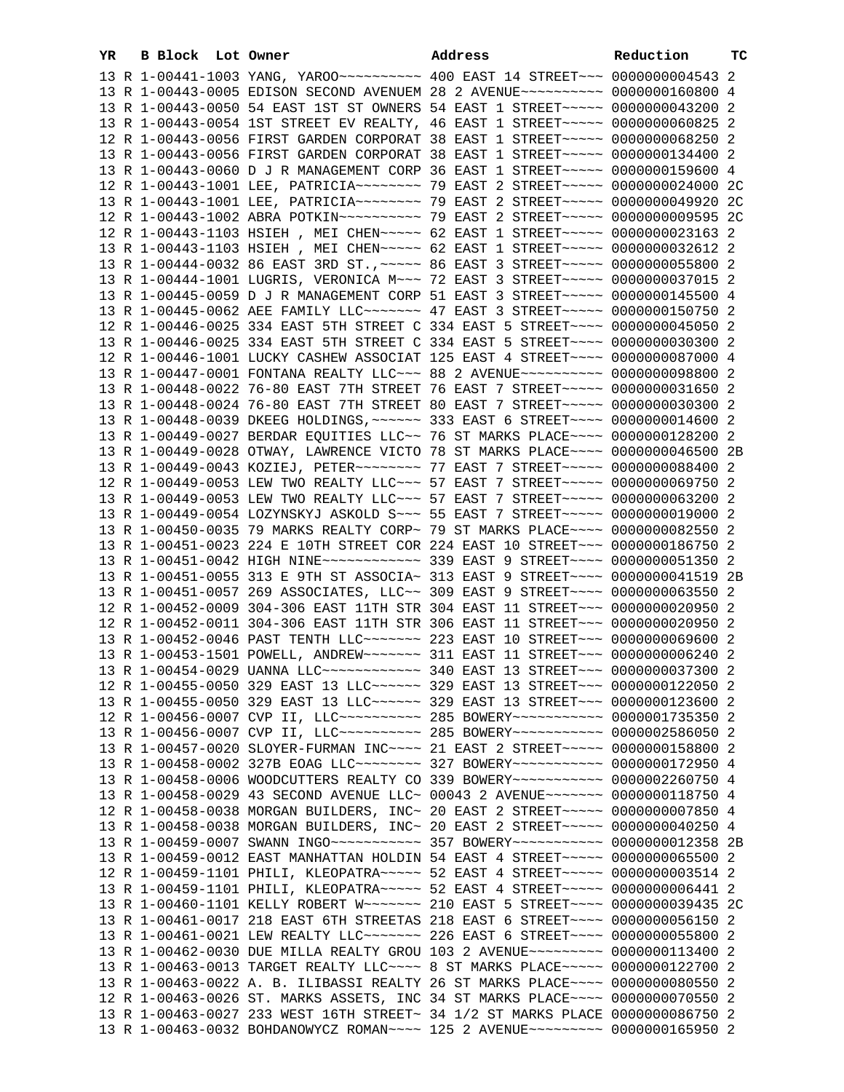| YR | B Block Lot Owner |  | Address                                                                                   | Reduction | тc |
|----|-------------------|--|-------------------------------------------------------------------------------------------|-----------|----|
|    |                   |  |                                                                                           |           |    |
|    |                   |  | 13 R 1-00443-0005 EDISON SECOND AVENUEM 28 2 AVENUE~~~~~~~~~~ 0000000160800 4             |           |    |
|    |                   |  | 13 R 1-00443-0050 54 EAST 1ST ST OWNERS 54 EAST 1 STREET~~~~~ 0000000043200 2             |           |    |
|    |                   |  | 13 R 1-00443-0054 1ST STREET EV REALTY, 46 EAST 1 STREET~~~~~ 0000000060825 2             |           |    |
|    |                   |  | 12 R 1-00443-0056 FIRST GARDEN CORPORAT 38 EAST 1 STREET~~~~~ 0000000068250 2             |           |    |
|    |                   |  | 13 R 1-00443-0056 FIRST GARDEN CORPORAT 38 EAST 1 STREET~~~~~ 0000000134400 2             |           |    |
|    |                   |  | 13 R 1-00443-0060 D J R MANAGEMENT CORP 36 EAST 1 STREET~~~~~ 0000000159600 4             |           |    |
|    |                   |  | 12 R 1-00443-1001 LEE, PATRICIA~~~~~~~~~ 79 EAST 2 STREET~~~~~ 0000000024000 2C           |           |    |
|    |                   |  | 13 R 1-00443-1001 LEE, PATRICIA~~~~~~~~~~~~~~~~~ 29 EAST 2 STREET~~~~~~~ 0000000049920 2C |           |    |
|    |                   |  |                                                                                           |           |    |
|    |                   |  | 12 R 1-00443-1103 HSIEH , MEI CHEN~~~~~ 62 EAST 1 STREET~~~~~ 0000000023163 2             |           |    |
|    |                   |  | 13 R 1-00443-1103 HSIEH , MEI CHEN~~~~~ 62 EAST 1 STREET~~~~~ 0000000032612 2             |           |    |
|    |                   |  | 13 R 1-00444-0032 86 EAST 3RD ST., ~~~~~ 86 EAST 3 STREET~~~~~ 0000000055800 2            |           |    |
|    |                   |  | 13 R 1-00444-1001 LUGRIS, VERONICA M~~~ 72 EAST 3 STREET~~~~~ 0000000037015 2             |           |    |
|    |                   |  | 13 R 1-00445-0059 D J R MANAGEMENT CORP 51 EAST 3 STREET~~~~~ 0000000145500 4             |           |    |
|    |                   |  | 13 R 1-00445-0062 AEE FAMILY LLC ------ 47 EAST 3 STREET ---- 0000000150750 2             |           |    |
|    |                   |  | 12 R 1-00446-0025 334 EAST 5TH STREET C 334 EAST 5 STREET~~~~ 0000000045050 2             |           |    |
|    |                   |  | 13 R 1-00446-0025 334 EAST 5TH STREET C 334 EAST 5 STREET~~~~ 0000000030300 2             |           |    |
|    |                   |  | 12 R 1-00446-1001 LUCKY CASHEW ASSOCIAT 125 EAST 4 STREET~~~~ 0000000087000 4             |           |    |
|    |                   |  | 13 R 1-00447-0001 FONTANA REALTY LLC~~~ 88 2 AVENUE~~~~~~~~~~ 0000000098800 2             |           |    |
|    |                   |  | 13 R 1-00448-0022 76-80 EAST 7TH STREET 76 EAST 7 STREET~~~~~ 0000000031650 2             |           |    |
|    |                   |  | 13 R 1-00448-0024 76-80 EAST 7TH STREET 80 EAST 7 STREET~~~~~ 0000000030300 2             |           |    |
|    |                   |  | 13 R 1-00448-0039 DKEEG HOLDINGS, ~~~~~~ 333 EAST 6 STREET~~~~ 0000000014600 2            |           |    |
|    |                   |  | 13 R 1-00449-0027 BERDAR EQUITIES LLC~~ 76 ST MARKS PLACE~~~~ 0000000128200 2             |           |    |
|    |                   |  | 13 R 1-00449-0028 OTWAY, LAWRENCE VICTO 78 ST MARKS PLACE~~~~ 0000000046500 2B            |           |    |
|    |                   |  | 13 R 1-00449-0043 KOZIEJ, PETER~~~~~~~~ 77 EAST 7 STREET~~~~~ 0000000088400 2             |           |    |
|    |                   |  | 12 R 1-00449-0053 LEW TWO REALTY LLC ~~~ 57 EAST 7 STREET ~~~~~ 0000000069750 2           |           |    |
|    |                   |  | 13 R 1-00449-0053 LEW TWO REALTY LLC ~~~ 57 EAST 7 STREET ~~~~~ 0000000063200 2           |           |    |
|    |                   |  | 13 R 1-00449-0054 LOZYNSKYJ ASKOLD S~~~ 55 EAST 7 STREET~~~~~ 0000000019000 2             |           |    |
|    |                   |  | 13 R 1-00450-0035 79 MARKS REALTY CORP~ 79 ST MARKS PLACE~~~~ 0000000082550 2             |           |    |
|    |                   |  | 13 R 1-00451-0023 224 E 10TH STREET COR 224 EAST 10 STREET~~~ 0000000186750 2             |           |    |
|    |                   |  | 13 R 1-00451-0042 HIGH NINE~~~~~~~~~~~~~~~~~~~~~~ 9 STREET~~~~~ 0000000051350 2           |           |    |
|    |                   |  | 13 R 1-00451-0055 313 E 9TH ST ASSOCIA~ 313 EAST 9 STREET~~~~ 0000000041519 2B            |           |    |
|    |                   |  | 13 R 1-00451-0057 269 ASSOCIATES, LLC~~ 309 EAST 9 STREET~~~~ 0000000063550 2             |           |    |
|    |                   |  | 12 R 1-00452-0009 304-306 EAST 11TH STR 304 EAST 11 STREET~~~ 0000000020950 2             |           |    |
|    |                   |  | 12 R 1-00452-0011 304-306 EAST 11TH STR 306 EAST 11 STREET~~~ 0000000020950 2             |           |    |
|    |                   |  | 13 R 1-00452-0046 PAST TENTH LLC ------ 223 EAST 10 STREET -- 0000000069600 2             |           |    |
|    |                   |  | 13 R 1-00453-1501 POWELL, ANDREW~~~~~~~ 311 EAST 11 STREET~~~ 0000000006240 2             |           |    |
|    |                   |  | 13 R 1-00454-0029 UANNA LLC ------------ 340 EAST 13 STREET --- 0000000037300 2           |           |    |
|    |                   |  | 12 R 1-00455-0050 329 EAST 13 LLC ----- 329 EAST 13 STREET -- 0000000122050 2             |           |    |
|    |                   |  | 13 R 1-00455-0050 329 EAST 13 LLC ----- 329 EAST 13 STREET -- 0000000123600 2             |           |    |
|    |                   |  | 12 R 1-00456-0007 CVP II, LLC~~~~~~~~~~~~~~ 285 BOWERY~~~~~~~~~~~~ 0000001735350 2        |           |    |
|    |                   |  | 13 R 1-00456-0007 CVP II, LLC~~~~~~~~~~~~~~ 285 BOWERY~~~~~~~~~~~~ 0000002586050 2        |           |    |
|    |                   |  | 13 R 1-00457-0020 SLOYER-FURMAN INC~~~~ 21 EAST 2 STREET~~~~~ 0000000158800 2             |           |    |
|    |                   |  | 13 R 1-00458-0002 327B EOAG LLC ------- 327 BOWERY ---------- 0000000172950 4             |           |    |
|    |                   |  | 13 R 1-00458-0006 WOODCUTTERS REALTY CO 339 BOWERY~~~~~~~~~~~ 0000002260750 4             |           |    |
|    |                   |  | 13 R 1-00458-0029 43 SECOND AVENUE LLC~ 00043 2 AVENUE~~~~~~~ 0000000118750 4             |           |    |
|    |                   |  | 12 R 1-00458-0038 MORGAN BUILDERS, INC~ 20 EAST 2 STREET~~~~~ 0000000007850 4             |           |    |
|    |                   |  | 13 R 1-00458-0038 MORGAN BUILDERS, INC~ 20 EAST 2 STREET~~~~~ 0000000040250 4             |           |    |
|    |                   |  | 13 R 1-00459-0007 SWANN INGO ----------- 357 BOWERY ---------- 0000000012358 2B           |           |    |
|    |                   |  | 13 R 1-00459-0012 EAST MANHATTAN HOLDIN 54 EAST 4 STREET~~~~~ 0000000065500 2             |           |    |
|    |                   |  | 12 R 1-00459-1101 PHILI, KLEOPATRA~~~~~ 52 EAST 4 STREET~~~~~ 00000000003514 2            |           |    |
|    |                   |  | 13 R 1-00459-1101 PHILI, KLEOPATRA~~~~~ 52 EAST 4 STREET~~~~~ 0000000006441 2             |           |    |
|    |                   |  | 13 R 1-00460-1101 KELLY ROBERT W~~~~~~~ 210 EAST 5 STREET~~~~ 0000000039435 2C            |           |    |
|    |                   |  | 13 R 1-00461-0017 218 EAST 6TH STREETAS 218 EAST 6 STREET~~~~ 0000000056150 2             |           |    |
|    |                   |  | 13 R 1-00461-0021 LEW REALTY LLC ------ 226 EAST 6 STREET ---- 0000000055800 2            |           |    |
|    |                   |  | 13 R 1-00462-0030 DUE MILLA REALTY GROU 103 2 AVENUE~~~~~~~~~ 0000000113400 2             |           |    |
|    |                   |  | 13 R 1-00463-0013 TARGET REALTY LLC --- 8 ST MARKS PLACE ---- 0000000122700 2             |           |    |
|    |                   |  | 13 R 1-00463-0022 A. B. ILIBASSI REALTY 26 ST MARKS PLACE~~~~ 0000000080550 2             |           |    |
|    |                   |  | 12 R 1-00463-0026 ST. MARKS ASSETS, INC 34 ST MARKS PLACE~~~~ 0000000070550 2             |           |    |
|    |                   |  | 13 R 1-00463-0027 233 WEST 16TH STREET~ 34 1/2 ST MARKS PLACE 0000000086750 2             |           |    |
|    |                   |  | 13 R 1-00463-0032 BOHDANOWYCZ ROMAN~~~~ 125 2 AVENUE~~~~~~~~~ 0000000165950 2             |           |    |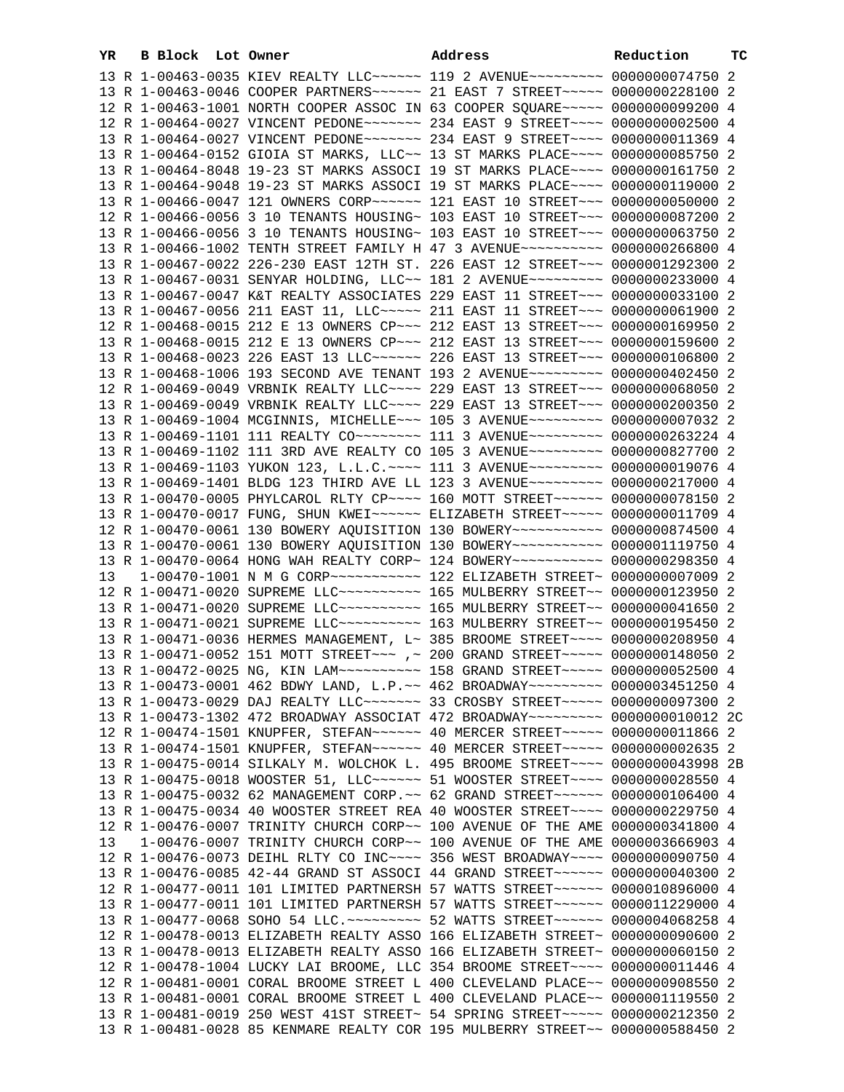| YR | B Block Lot Owner |  | Address                                                                                                                                                         | Reduction | ТC |
|----|-------------------|--|-----------------------------------------------------------------------------------------------------------------------------------------------------------------|-----------|----|
|    |                   |  | 13 R 1-00463-0035 KIEV REALTY LLC~~~~~~ 119 2 AVENUE~~~~~~~~~ 0000000074750 2                                                                                   |           |    |
|    |                   |  | 13 R 1-00463-0046 COOPER PARTNERS~~~~~~ 21 EAST 7 STREET~~~~~ 0000000228100 2                                                                                   |           |    |
|    |                   |  | 12 R 1-00463-1001 NORTH COOPER ASSOC IN 63 COOPER SQUARE~~~~~ 0000000099200 4                                                                                   |           |    |
|    |                   |  | 12 R 1-00464-0027 VINCENT PEDONE~~~~~~~ 234 EAST 9 STREET~~~~ 0000000002500 4                                                                                   |           |    |
|    |                   |  | 13 R 1-00464-0027 VINCENT PEDONE~~~~~~~ 234 EAST 9 STREET~~~~ 0000000011369 4                                                                                   |           |    |
|    |                   |  | 13 R 1-00464-0152 GIOIA ST MARKS, LLC~~ 13 ST MARKS PLACE~~~~ 0000000085750 2                                                                                   |           |    |
|    |                   |  | 13 R 1-00464-8048 19-23 ST MARKS ASSOCI 19 ST MARKS PLACE~~~~ 0000000161750 2                                                                                   |           |    |
|    |                   |  | 13 R 1-00464-9048 19-23 ST MARKS ASSOCI 19 ST MARKS PLACE~~~~ 0000000119000 2                                                                                   |           |    |
|    |                   |  | 13 R 1-00466-0047 121 OWNERS CORP~~~~~~ 121 EAST 10 STREET~~~ 0000000050000 2                                                                                   |           |    |
|    |                   |  | 12 R 1-00466-0056 3 10 TENANTS HOUSING~ 103 EAST 10 STREET~~~ 0000000087200 2                                                                                   |           |    |
|    |                   |  | 13 R 1-00466-0056 3 10 TENANTS HOUSING~ 103 EAST 10 STREET~~~ 0000000063750 2                                                                                   |           |    |
|    |                   |  | 13 R 1-00466-1002 TENTH STREET FAMILY H 47 3 AVENUE~~~~~~~~~~ 0000000266800 4                                                                                   |           |    |
|    |                   |  | 13 R 1-00467-0022 226-230 EAST 12TH ST. 226 EAST 12 STREET~~~ 0000001292300 2<br>13 R 1-00467-0031 SENYAR HOLDING, LLC~~ 181 2 AVENUE~~~~~~~~~ 0000000233000 4  |           |    |
|    |                   |  | 13 R 1-00467-0047 K&T REALTY ASSOCIATES 229 EAST 11 STREET~~~ 0000000033100 2                                                                                   |           |    |
|    |                   |  | 13 R 1-00467-0056 211 EAST 11, LLC ---- 211 EAST 11 STREET -- 0000000061900 2                                                                                   |           |    |
|    |                   |  | 12 R 1-00468-0015 212 E 13 OWNERS CP ~~~ 212 EAST 13 STREET ~~~ 0000000169950 2                                                                                 |           |    |
|    |                   |  | 13 R 1-00468-0015 212 E 13 OWNERS CP ~~~ 212 EAST 13 STREET ~~~ 0000000159600 2                                                                                 |           |    |
|    |                   |  | 13 R 1-00468-0023 226 EAST 13 LLC ----- 226 EAST 13 STREET -- 0000000106800 2                                                                                   |           |    |
|    |                   |  | 13 R 1-00468-1006 193 SECOND AVE TENANT 193 2 AVENUE~~~~~~~~~ 0000000402450 2                                                                                   |           |    |
|    |                   |  | 12 R 1-00469-0049 VRBNIK REALTY LLC~~~~ 229 EAST 13 STREET~~~ 0000000068050 2                                                                                   |           |    |
|    |                   |  | 13 R 1-00469-0049 VRBNIK REALTY LLC --- 229 EAST 13 STREET -- 0000000200350 2                                                                                   |           |    |
|    |                   |  | 13 R 1-00469-1004 MCGINNIS, MICHELLE~~~ 105 3 AVENUE~~~~~~~~~ 0000000007032 2                                                                                   |           |    |
|    |                   |  | 13 R 1-00469-1101 111 REALTY CO -------- 111 3 AVENUE --------- 0000000263224 4                                                                                 |           |    |
|    |                   |  | 13 R 1-00469-1102 111 3RD AVE REALTY CO 105 3 AVENUE~~~~~~~~~ 0000000827700 2                                                                                   |           |    |
|    |                   |  | 13 R 1-00469-1103 YUKON 123, L.L.C. ~~~~ 111 3 AVENUE~~~~~~~~~ 0000000019076 4                                                                                  |           |    |
|    |                   |  | 13 R 1-00469-1401 BLDG 123 THIRD AVE LL 123 3 AVENUE~~~~~~~~~ 0000000217000 4<br>13 R 1-00470-0005 PHYLCAROL RLTY CP~~~~ 160 MOTT STREET~~~~~~ 0000000078150 2  |           |    |
|    |                   |  | 13 R 1-00470-0017 FUNG, SHUN KWEI~~~~~~ ELIZABETH STREET~~~~~ 0000000011709 4                                                                                   |           |    |
|    |                   |  | 12 R 1-00470-0061 130 BOWERY AQUISITION 130 BOWERY~~~~~~~~~~~ 0000000874500 4                                                                                   |           |    |
|    |                   |  | 13 R 1-00470-0061 130 BOWERY AQUISITION 130 BOWERY~~~~~~~~~~~ 0000001119750 4                                                                                   |           |    |
|    |                   |  | 13 R 1-00470-0064 HONG WAH REALTY CORP~ 124 BOWERY~~~~~~~~~~~ 0000000298350 4                                                                                   |           |    |
| 13 |                   |  |                                                                                                                                                                 |           |    |
|    |                   |  | 12 R 1-00471-0020 SUPREME LLC~~~~~~~~~~~~~~ 165 MULBERRY STREET~~ 0000000123950 2                                                                               |           |    |
|    |                   |  | 13 R 1-00471-0020 SUPREME LLC --------- 165 MULBERRY STREET -- 0000000041650 2                                                                                  |           |    |
|    |                   |  | 13 R 1-00471-0021 SUPREME LLC --------- 163 MULBERRY STREET -- 0000000195450 2                                                                                  |           |    |
|    |                   |  | 13 R 1-00471-0036 HERMES MANAGEMENT, L~ 385 BROOME STREET~~~~ 0000000208950 4                                                                                   |           |    |
|    |                   |  | 13 R 1-00471-0052 151 MOTT STREET~~~ ,~ 200 GRAND STREET~~~~~ 0000000148050 2                                                                                   |           |    |
|    |                   |  | 13 R 1-00472-0025 NG, KIN LAM ~~~~~~~~~~~~~~~~~~~ 158 GRAND STREET ~~~~~~~~~~ 0000000052500 4                                                                   |           |    |
|    |                   |  | 13 R 1-00473-0001 462 BDWY LAND, L.P.~~ 462 BROADWAY~~~~~~~~~ 0000003451250 4<br>13 R 1-00473-0029 DAJ REALTY LLC ------- 33 CROSBY STREET ---- 0000000097300 2 |           |    |
|    |                   |  | 13 R 1-00473-1302 472 BROADWAY ASSOCIAT 472 BROADWAY~~~~~~~~~ 0000000010012 2C                                                                                  |           |    |
|    |                   |  | 12 R 1-00474-1501 KNUPFER, STEFAN~~~~~~ 40 MERCER STREET~~~~~ 0000000011866 2                                                                                   |           |    |
|    |                   |  | 13 R 1-00474-1501 KNUPFER, STEFAN~~~~~~ 40 MERCER STREET~~~~~ 0000000002635 2                                                                                   |           |    |
|    |                   |  | 13 R 1-00475-0014 SILKALY M. WOLCHOK L. 495 BROOME STREET~~~~ 0000000043998 2B                                                                                  |           |    |
|    |                   |  | 13 R 1-00475-0018 WOOSTER 51, LLC ----- 51 WOOSTER STREET ---- 0000000028550 4                                                                                  |           |    |
|    |                   |  | 13 R 1-00475-0032 62 MANAGEMENT CORP. ~~ 62 GRAND STREET~~~~~~ 0000000106400 4                                                                                  |           |    |
|    |                   |  | 13 R 1-00475-0034 40 WOOSTER STREET REA 40 WOOSTER STREET~~~~ 0000000229750 4                                                                                   |           |    |
|    |                   |  | 12 R 1-00476-0007 TRINITY CHURCH CORP~~ 100 AVENUE OF THE AME 0000000341800 4                                                                                   |           |    |
| 13 |                   |  | 1-00476-0007 TRINITY CHURCH CORP~~ 100 AVENUE OF THE AME 0000003666903 4                                                                                        |           |    |
|    |                   |  | 12 R 1-00476-0073 DEIHL RLTY CO INC~~~~ 356 WEST BROADWAY~~~~ 0000000090750 4                                                                                   |           |    |
|    |                   |  | 13 R 1-00476-0085 42-44 GRAND ST ASSOCI 44 GRAND STREET~~~~~~ 0000000040300 2<br>12 R 1-00477-0011 101 LIMITED PARTNERSH 57 WATTS STREET~~~~~~ 0000010896000 4  |           |    |
|    |                   |  | 13 R 1-00477-0011 101 LIMITED PARTNERSH 57 WATTS STREET~~~~~~ 0000011229000 4                                                                                   |           |    |
|    |                   |  | 13 R 1-00477-0068 SOHO 54 LLC. ~~~~~~~~~ 52 WATTS STREET~~~~~~ 0000004068258 4                                                                                  |           |    |
|    |                   |  | 12 R 1-00478-0013 ELIZABETH REALTY ASSO 166 ELIZABETH STREET~ 0000000090600 2                                                                                   |           |    |
|    |                   |  | 13 R 1-00478-0013 ELIZABETH REALTY ASSO 166 ELIZABETH STREET~ 0000000060150 2                                                                                   |           |    |
|    |                   |  | 12 R 1-00478-1004 LUCKY LAI BROOME, LLC 354 BROOME STREET~~~~ 0000000011446 4                                                                                   |           |    |
|    |                   |  | 12 R 1-00481-0001 CORAL BROOME STREET L 400 CLEVELAND PLACE~~ 0000000908550 2                                                                                   |           |    |
|    |                   |  | 13 R 1-00481-0001 CORAL BROOME STREET L 400 CLEVELAND PLACE~~ 0000001119550 2                                                                                   |           |    |
|    |                   |  | 13 R 1-00481-0019 250 WEST 41ST STREET~ 54 SPRING STREET~~~~~ 0000000212350 2                                                                                   |           |    |
|    |                   |  | 13 R 1-00481-0028 85 KENMARE REALTY COR 195 MULBERRY STREET~~ 0000000588450 2                                                                                   |           |    |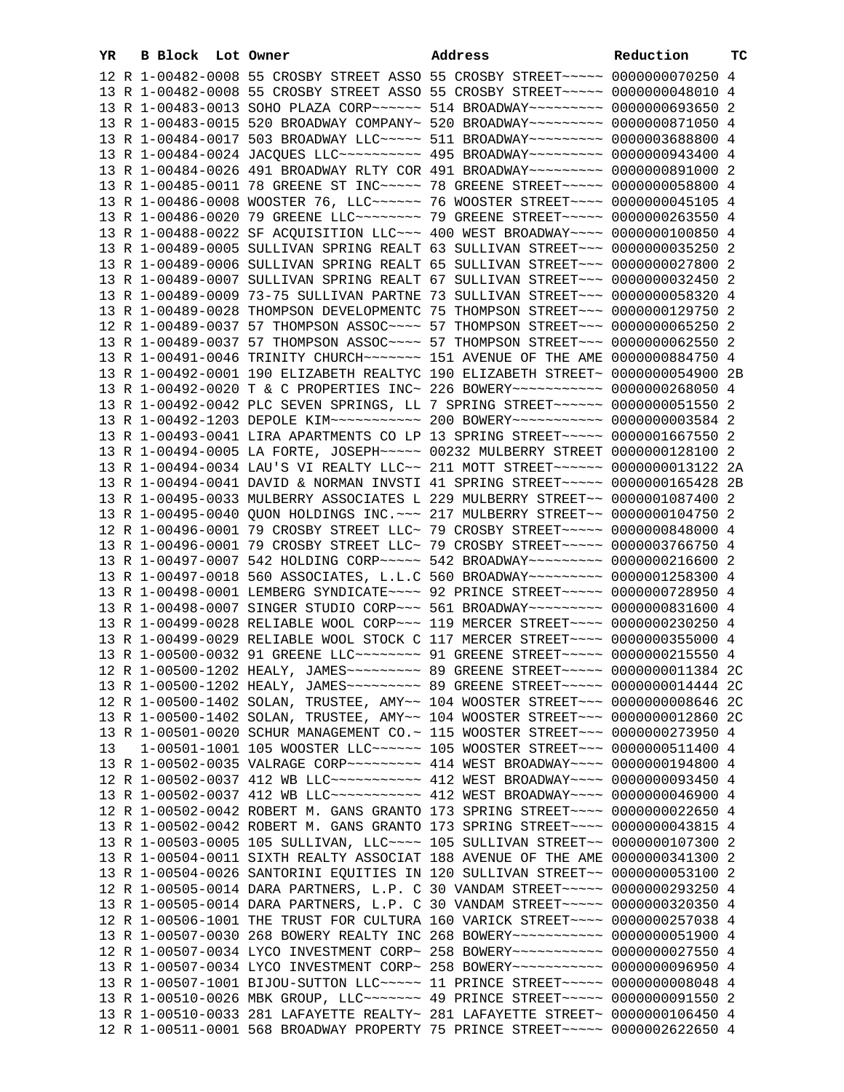| YR. | B Block Lot Owner |                                                                                                                                                                 | Address | Reduction | тc |
|-----|-------------------|-----------------------------------------------------------------------------------------------------------------------------------------------------------------|---------|-----------|----|
|     |                   | 12 R 1-00482-0008 55 CROSBY STREET ASSO 55 CROSBY STREET~~~~~ 0000000070250 4                                                                                   |         |           |    |
|     |                   | 13 R 1-00482-0008 55 CROSBY STREET ASSO 55 CROSBY STREET~~~~~ 0000000048010 4                                                                                   |         |           |    |
|     |                   | 13 R 1-00483-0013 SOHO PLAZA CORP~~~~~~ 514 BROADWAY~~~~~~~~~ 0000000693650 2                                                                                   |         |           |    |
|     |                   | 13 R 1-00483-0015 520 BROADWAY COMPANY~ 520 BROADWAY~~~~~~~~~ 0000000871050 4                                                                                   |         |           |    |
|     |                   | 13 R 1-00484-0017 503 BROADWAY LLC~~~~~ 511 BROADWAY~~~~~~~~~ 0000003688800 4                                                                                   |         |           |    |
|     |                   | 13 R 1-00484-0024 JACQUES LLC~~~~~~~~~~~~~~ 495 BROADWAY~~~~~~~~~~ 0000000943400 4                                                                              |         |           |    |
|     |                   | 13 R 1-00484-0026 491 BROADWAY RLTY COR 491 BROADWAY~~~~~~~~~ 0000000891000 2                                                                                   |         |           |    |
|     |                   | 13 R 1-00485-0011 78 GREENE ST INC~~~~~ 78 GREENE STREET~~~~~ 0000000058800 4                                                                                   |         |           |    |
|     |                   | 13 R 1-00486-0008 WOOSTER 76, LLC ----- 76 WOOSTER STREET --- 0000000045105 4                                                                                   |         |           |    |
|     |                   | 13 R 1-00486-0020 79 GREENE LLC~~~~~~~~~ 79 GREENE STREET~~~~~ 0000000263550 4                                                                                  |         |           |    |
|     |                   | 13 R 1-00488-0022 SF ACQUISITION LLC~~~ 400 WEST BROADWAY~~~~ 0000000100850 4                                                                                   |         |           |    |
|     |                   | 13 R 1-00489-0005 SULLIVAN SPRING REALT 63 SULLIVAN STREET~~~ 0000000035250 2                                                                                   |         |           |    |
|     |                   | 13 R 1-00489-0006 SULLIVAN SPRING REALT 65 SULLIVAN STREET~~~ 0000000027800 2                                                                                   |         |           |    |
|     |                   | 13 R 1-00489-0007 SULLIVAN SPRING REALT 67 SULLIVAN STREET~~~ 0000000032450 2                                                                                   |         |           |    |
|     |                   | 13 R 1-00489-0009 73-75 SULLIVAN PARTNE 73 SULLIVAN STREET~~~ 0000000058320 4                                                                                   |         |           |    |
|     |                   | 13 R 1-00489-0028 THOMPSON DEVELOPMENTC 75 THOMPSON STREET~~~ 0000000129750 2                                                                                   |         |           |    |
|     |                   | 12 R 1-00489-0037 57 THOMPSON ASSOC~~~~ 57 THOMPSON STREET~~~ 0000000065250 2                                                                                   |         |           |    |
|     |                   | 13 R 1-00489-0037 57 THOMPSON ASSOC~~~~ 57 THOMPSON STREET~~~ 0000000062550 2                                                                                   |         |           |    |
|     |                   | 13 R 1-00491-0046 TRINITY CHURCH~~~~~~~ 151 AVENUE OF THE AME 0000000884750 4                                                                                   |         |           |    |
|     |                   | 13 R 1-00492-0001 190 ELIZABETH REALTYC 190 ELIZABETH STREET~ 0000000054900 2B                                                                                  |         |           |    |
|     |                   | 13 R 1-00492-0020 T & C PROPERTIES INC~ 226 BOWERY~~~~~~~~~~~ 0000000268050 4                                                                                   |         |           |    |
|     |                   | 13 R 1-00492-0042 PLC SEVEN SPRINGS, LL 7 SPRING STREET~~~~~~ 0000000051550 2                                                                                   |         |           |    |
|     |                   | 13 R 1-00492-1203 DEPOLE KIM~~~~~~~~~~~~~~~~ 200 BOWERY~~~~~~~~~~~~~ 00000000003584 2                                                                           |         |           |    |
|     |                   | 13 R 1-00493-0041 LIRA APARTMENTS CO LP 13 SPRING STREET~~~~~ 0000001667550 2                                                                                   |         |           |    |
|     |                   | 13 R 1-00494-0005 LA FORTE, JOSEPH~~~~~ 00232 MULBERRY STREET 0000000128100 2                                                                                   |         |           |    |
|     |                   | 13 R 1-00494-0034 LAU'S VI REALTY LLC~~ 211 MOTT STREET~~~~~~ 0000000013122 2A                                                                                  |         |           |    |
|     |                   | 13 R 1-00494-0041 DAVID & NORMAN INVSTI 41 SPRING STREET~~~~~ 0000000165428 2B                                                                                  |         |           |    |
|     |                   | 13 R 1-00495-0033 MULBERRY ASSOCIATES L 229 MULBERRY STREET~~ 0000001087400 2<br>13 R 1-00495-0040 QUON HOLDINGS INC. ~~~ 217 MULBERRY STREET~~ 0000000104750 2 |         |           |    |
|     |                   | 12 R 1-00496-0001 79 CROSBY STREET LLC~ 79 CROSBY STREET~~~~~ 0000000848000 4                                                                                   |         |           |    |
|     |                   | 13 R 1-00496-0001 79 CROSBY STREET LLC~ 79 CROSBY STREET~~~~~ 0000003766750 4                                                                                   |         |           |    |
|     |                   | 13 R 1-00497-0007 542 HOLDING CORP~~~~~ 542 BROADWAY~~~~~~~~~ 0000000216600 2                                                                                   |         |           |    |
|     |                   | 13 R 1-00497-0018 560 ASSOCIATES, L.L.C 560 BROADWAY~~~~~~~~~ 0000001258300 4                                                                                   |         |           |    |
|     |                   | 13 R 1-00498-0001 LEMBERG SYNDICATE~~~~ 92 PRINCE STREET~~~~~ 0000000728950 4                                                                                   |         |           |    |
|     |                   | 13 R 1-00498-0007 SINGER STUDIO CORP~~~ 561 BROADWAY~~~~~~~~~ 0000000831600 4                                                                                   |         |           |    |
|     |                   | 13 R 1-00499-0028 RELIABLE WOOL CORP~~~ 119 MERCER STREET~~~~ 0000000230250 4                                                                                   |         |           |    |
|     |                   | 13 R 1-00499-0029 RELIABLE WOOL STOCK C 117 MERCER STREET~~~~ 0000000355000 4                                                                                   |         |           |    |
|     |                   | 13 R 1-00500-0032 91 GREENE LLC -------- 91 GREENE STREET ----- 0000000215550 4                                                                                 |         |           |    |
|     |                   |                                                                                                                                                                 |         |           |    |
|     |                   | 13 R 1-00500-1202 HEALY, JAMES~~~~~~~~~~~~~~~~~ 89 GREENE STREET~~~~~~ 0000000014444 2C                                                                         |         |           |    |
|     |                   | 12 R 1-00500-1402 SOLAN, TRUSTEE, AMY~~ 104 WOOSTER STREET~~~ 0000000008646 2C                                                                                  |         |           |    |
|     |                   | 13 R 1-00500-1402 SOLAN, TRUSTEE, AMY~~ 104 WOOSTER STREET~~~ 0000000012860 2C                                                                                  |         |           |    |
|     |                   | 13 R 1-00501-0020 SCHUR MANAGEMENT CO.~ 115 WOOSTER STREET~~~ 0000000273950 4                                                                                   |         |           |    |
| 13  |                   | 1-00501-1001 105 WOOSTER LLC ------ 105 WOOSTER STREET -- 0000000511400 4                                                                                       |         |           |    |
|     |                   | 13 R 1-00502-0035 VALRAGE CORP~~~~~~~~~ 414 WEST BROADWAY~~~~ 0000000194800 4                                                                                   |         |           |    |
|     |                   | 12 R 1-00502-0037 412 WB LLC ----------- 412 WEST BROADWAY --- 0000000093450 4                                                                                  |         |           |    |
|     |                   | 13 R 1-00502-0037 412 WB LLC ---------- 412 WEST BROADWAY --- 0000000046900 4                                                                                   |         |           |    |
|     |                   | 12 R 1-00502-0042 ROBERT M. GANS GRANTO 173 SPRING STREET~~~~ 0000000022650 4                                                                                   |         |           |    |
|     |                   | 13 R 1-00502-0042 ROBERT M. GANS GRANTO 173 SPRING STREET~~~~ 0000000043815 4                                                                                   |         |           |    |
|     |                   | 13 R 1-00503-0005 105 SULLIVAN, LLC --- 105 SULLIVAN STREET -~ 0000000107300 2                                                                                  |         |           |    |
|     |                   | 13 R 1-00504-0011 SIXTH REALTY ASSOCIAT 188 AVENUE OF THE AME 0000000341300 2                                                                                   |         |           |    |
|     |                   | 13 R 1-00504-0026 SANTORINI EQUITIES IN 120 SULLIVAN STREET~~ 0000000053100 2                                                                                   |         |           |    |
|     |                   | 12 R 1-00505-0014 DARA PARTNERS, L.P. C 30 VANDAM STREET~~~~~ 0000000293250 4                                                                                   |         |           |    |
|     |                   | 13 R 1-00505-0014 DARA PARTNERS, L.P. C 30 VANDAM STREET~~~~~ 0000000320350 4                                                                                   |         |           |    |
|     |                   | 12 R 1-00506-1001 THE TRUST FOR CULTURA 160 VARICK STREET~~~~ 0000000257038 4                                                                                   |         |           |    |
|     |                   | 13 R 1-00507-0030 268 BOWERY REALTY INC 268 BOWERY~~~~~~~~~~~ 0000000051900 4                                                                                   |         |           |    |
|     |                   | 12 R 1-00507-0034 LYCO INVESTMENT CORP~ 258 BOWERY~~~~~~~~~~~ 0000000027550 4<br>13 R 1-00507-0034 LYCO INVESTMENT CORP~ 258 BOWERY~~~~~~~~~~~ 0000000096950 4  |         |           |    |
|     |                   | 13 R 1-00507-1001 BIJOU-SUTTON LLC~~~~~ 11 PRINCE STREET~~~~~ 00000000008048 4                                                                                  |         |           |    |
|     |                   | 13 R 1-00510-0026 MBK GROUP, LLC ------- 49 PRINCE STREET ----- 0000000091550 2                                                                                 |         |           |    |
|     |                   | 13 R 1-00510-0033 281 LAFAYETTE REALTY~ 281 LAFAYETTE STREET~ 0000000106450 4                                                                                   |         |           |    |
|     |                   | 12 R 1-00511-0001 568 BROADWAY PROPERTY 75 PRINCE STREET~~~~~ 0000002622650 4                                                                                   |         |           |    |
|     |                   |                                                                                                                                                                 |         |           |    |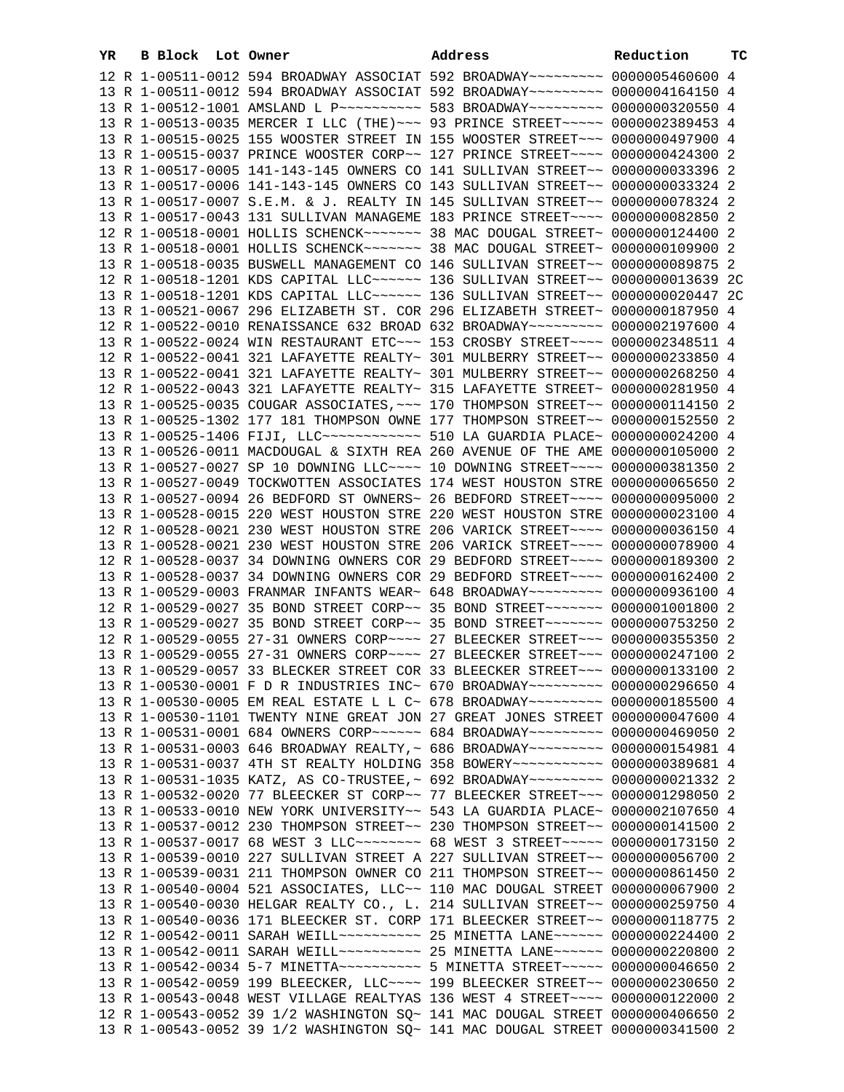| YR | B Block Lot Owner |                                                                                                                                                                | Address | Reduction | тC |
|----|-------------------|----------------------------------------------------------------------------------------------------------------------------------------------------------------|---------|-----------|----|
|    |                   | 12 R 1-00511-0012 594 BROADWAY ASSOCIAT 592 BROADWAY~~~~~~~~~ 0000005460600 4                                                                                  |         |           |    |
|    |                   | 13 R 1-00511-0012 594 BROADWAY ASSOCIAT 592 BROADWAY~~~~~~~~~ 0000004164150 4                                                                                  |         |           |    |
|    |                   | 13 R 1-00512-1001 AMSLAND L P --------- 583 BROADWAY -------- 0000000320550 4                                                                                  |         |           |    |
|    |                   | 13 R 1-00513-0035 MERCER I LLC (THE) ~~~ 93 PRINCE STREET ~~~~~ 0000002389453 4                                                                                |         |           |    |
|    |                   | 13 R 1-00515-0025 155 WOOSTER STREET IN 155 WOOSTER STREET~~~ 0000000497900 4                                                                                  |         |           |    |
|    |                   | 13 R 1-00515-0037 PRINCE WOOSTER CORP~~ 127 PRINCE STREET~~~~ 0000000424300 2                                                                                  |         |           |    |
|    |                   | 13 R 1-00517-0005 141-143-145 OWNERS CO 141 SULLIVAN STREET~~ 0000000033396 2                                                                                  |         |           |    |
|    |                   | 13 R 1-00517-0006 141-143-145 OWNERS CO 143 SULLIVAN STREET~~ 0000000033324 2                                                                                  |         |           |    |
|    |                   | 13 R 1-00517-0007 S.E.M. & J. REALTY IN 145 SULLIVAN STREET~~ 0000000078324 2                                                                                  |         |           |    |
|    |                   | 13 R 1-00517-0043 131 SULLIVAN MANAGEME 183 PRINCE STREET~~~~ 0000000082850 2                                                                                  |         |           |    |
|    |                   | 12 R 1-00518-0001 HOLLIS SCHENCK~~~~~~~ 38 MAC DOUGAL STREET~ 0000000124400 2                                                                                  |         |           |    |
|    |                   | 13 R 1-00518-0001 HOLLIS SCHENCK~~~~~~~ 38 MAC DOUGAL STREET~ 0000000109900 2                                                                                  |         |           |    |
|    |                   | 13 R 1-00518-0035 BUSWELL MANAGEMENT CO 146 SULLIVAN STREET~~ 0000000089875 2                                                                                  |         |           |    |
|    |                   | 12 R 1-00518-1201 KDS CAPITAL LLC ------ 136 SULLIVAN STREET -- 0000000013639 2C                                                                               |         |           |    |
|    |                   | 13 R 1-00518-1201 KDS CAPITAL LLC ----- 136 SULLIVAN STREET -- 0000000020447 2C                                                                                |         |           |    |
|    |                   | 13 R 1-00521-0067 296 ELIZABETH ST. COR 296 ELIZABETH STREET~ 0000000187950 4                                                                                  |         |           |    |
|    |                   | 12 R 1-00522-0010 RENAISSANCE 632 BROAD 632 BROADWAY~~~~~~~~~ 0000002197600 4                                                                                  |         |           |    |
|    |                   | 13 R 1-00522-0024 WIN RESTAURANT ETC~~~ 153 CROSBY STREET~~~~ 0000002348511 4                                                                                  |         |           |    |
|    |                   | 12 R 1-00522-0041 321 LAFAYETTE REALTY~ 301 MULBERRY STREET~~ 0000000233850 4                                                                                  |         |           |    |
|    |                   | 13 R 1-00522-0041 321 LAFAYETTE REALTY~ 301 MULBERRY STREET~~ 0000000268250 4                                                                                  |         |           |    |
|    |                   |                                                                                                                                                                |         |           |    |
|    |                   | 12 R 1-00522-0043 321 LAFAYETTE REALTY~ 315 LAFAYETTE STREET~ 0000000281950 4                                                                                  |         |           |    |
|    |                   | 13 R 1-00525-0035 COUGAR ASSOCIATES, ~~~ 170 THOMPSON STREET~~ 0000000114150 2                                                                                 |         |           |    |
|    |                   | 13 R 1-00525-1302 177 181 THOMPSON OWNE 177 THOMPSON STREET~~ 0000000152550 2                                                                                  |         |           |    |
|    |                   | 13 R 1-00525-1406 FIJI, LLC ------------ 510 LA GUARDIA PLACE ~ 0000000024200 4                                                                                |         |           |    |
|    |                   | 13 R 1-00526-0011 MACDOUGAL & SIXTH REA 260 AVENUE OF THE AME 0000000105000 2                                                                                  |         |           |    |
|    |                   | 13 R 1-00527-0027 SP 10 DOWNING LLC~~~~ 10 DOWNING STREET~~~~ 0000000381350 2                                                                                  |         |           |    |
|    |                   | 13 R 1-00527-0049 TOCKWOTTEN ASSOCIATES 174 WEST HOUSTON STRE 0000000065650 2                                                                                  |         |           |    |
|    |                   | 13 R 1-00527-0094 26 BEDFORD ST OWNERS~ 26 BEDFORD STREET~~~~ 0000000095000 2                                                                                  |         |           |    |
|    |                   | 13 R 1-00528-0015 220 WEST HOUSTON STRE 220 WEST HOUSTON STRE 0000000023100 4                                                                                  |         |           |    |
|    |                   | 12 R 1-00528-0021 230 WEST HOUSTON STRE 206 VARICK STREET~~~~ 0000000036150 4                                                                                  |         |           |    |
|    |                   | 13 R 1-00528-0021 230 WEST HOUSTON STRE 206 VARICK STREET~~~~ 0000000078900 4                                                                                  |         |           |    |
|    |                   | 12 R 1-00528-0037 34 DOWNING OWNERS COR 29 BEDFORD STREET~~~~ 0000000189300 2<br>13 R 1-00528-0037 34 DOWNING OWNERS COR 29 BEDFORD STREET~~~~ 0000000162400 2 |         |           |    |
|    |                   | 13 R 1-00529-0003 FRANMAR INFANTS WEAR~ 648 BROADWAY~~~~~~~~~ 0000000936100 4                                                                                  |         |           |    |
|    |                   | 12 R 1-00529-0027 35 BOND STREET CORP~~ 35 BOND STREET~~~~~~~ 0000001001800 2                                                                                  |         |           |    |
|    |                   | 13 R 1-00529-0027 35 BOND STREET CORP~~ 35 BOND STREET~~~~~~~ 0000000753250 2                                                                                  |         |           |    |
|    |                   | 12 R 1-00529-0055 27-31 OWNERS CORP~~~~ 27 BLEECKER STREET~~~ 0000000355350 2                                                                                  |         |           |    |
|    |                   | 13 R 1-00529-0055 27-31 OWNERS CORP~~~~ 27 BLEECKER STREET~~~ 0000000247100 2                                                                                  |         |           |    |
|    |                   | 13 R 1-00529-0057 33 BLECKER STREET COR 33 BLEECKER STREET~~~ 0000000133100 2                                                                                  |         |           |    |
|    |                   | 13 R 1-00530-0001 F D R INDUSTRIES INC~ 670 BROADWAY~~~~~~~~~ 0000000296650 4                                                                                  |         |           |    |
|    |                   | 13 R 1-00530-0005 EM REAL ESTATE L L C~ 678 BROADWAY~~~~~~~~~ 0000000185500 4                                                                                  |         |           |    |
|    |                   | 13 R 1-00530-1101 TWENTY NINE GREAT JON 27 GREAT JONES STREET 0000000047600 4                                                                                  |         |           |    |
|    |                   | 13 R 1-00531-0001 684 OWNERS CORP~~~~~~ 684 BROADWAY~~~~~~~~~ 0000000469050 2                                                                                  |         |           |    |
|    |                   | 13 R 1-00531-0003 646 BROADWAY REALTY, ~ 686 BROADWAY ~~~~~~~~~ 0000000154981 4                                                                                |         |           |    |
|    |                   | 13 R 1-00531-0037 4TH ST REALTY HOLDING 358 BOWERY~~~~~~~~~~~ 0000000389681 4                                                                                  |         |           |    |
|    |                   | 13 R 1-00531-1035 KATZ, AS CO-TRUSTEE, ~ 692 BROADWAY~~~~~~~~~ 0000000021332 2                                                                                 |         |           |    |
|    |                   | 13 R 1-00532-0020 77 BLEECKER ST CORP~~ 77 BLEECKER STREET~~~ 0000001298050 2                                                                                  |         |           |    |
|    |                   | 13 R 1-00533-0010 NEW YORK UNIVERSITY~~ 543 LA GUARDIA PLACE~ 0000002107650 4                                                                                  |         |           |    |
|    |                   | 13 R 1-00537-0012 230 THOMPSON STREET~~ 230 THOMPSON STREET~~ 0000000141500 2                                                                                  |         |           |    |
|    |                   | 13 R 1-00537-0017 68 WEST 3 LLC -------- 68 WEST 3 STREET ----- 0000000173150 2                                                                                |         |           |    |
|    |                   | 13 R 1-00539-0010 227 SULLIVAN STREET A 227 SULLIVAN STREET~~ 0000000056700 2                                                                                  |         |           |    |
|    |                   | 13 R 1-00539-0031 211 THOMPSON OWNER CO 211 THOMPSON STREET~~ 0000000861450 2                                                                                  |         |           |    |
|    |                   | 13 R 1-00540-0004 521 ASSOCIATES, LLC~~ 110 MAC DOUGAL STREET 0000000067900 2                                                                                  |         |           |    |
|    |                   | 13 R 1-00540-0030 HELGAR REALTY CO., L. 214 SULLIVAN STREET~~ 0000000259750 4                                                                                  |         |           |    |
|    |                   | 13 R 1-00540-0036 171 BLEECKER ST. CORP 171 BLEECKER STREET~~ 0000000118775 2                                                                                  |         |           |    |
|    |                   | 12 R 1-00542-0011 SARAH WEILL~~~~~~~~~~~~~~~~~~ 25 MINETTA LANE~~~~~~~~ 0000000224400 2                                                                        |         |           |    |
|    |                   | 13 R 1-00542-0011 SARAH WEILL~~~~~~~~~~~~~~~~~~ 25 MINETTA LANE~~~~~~~~ 0000000220800 2                                                                        |         |           |    |
|    |                   | 13 R 1-00542-0034 5-7 MINETTA~~~~~~~~~~~~~~~ 5 MINETTA STREET~~~~~~ 0000000046650 2                                                                            |         |           |    |
|    |                   | 13 R 1-00542-0059 199 BLEECKER, LLC --- 199 BLEECKER STREET -~ 0000000230650 2                                                                                 |         |           |    |
|    |                   | 13 R 1-00543-0048 WEST VILLAGE REALTYAS 136 WEST 4 STREET~~~~ 0000000122000 2                                                                                  |         |           |    |
|    |                   | 12 R 1-00543-0052 39 1/2 WASHINGTON SQ~ 141 MAC DOUGAL STREET 0000000406650 2                                                                                  |         |           |    |
|    |                   | 13 R 1-00543-0052 39 1/2 WASHINGTON SQ~ 141 MAC DOUGAL STREET 0000000341500 2                                                                                  |         |           |    |
|    |                   |                                                                                                                                                                |         |           |    |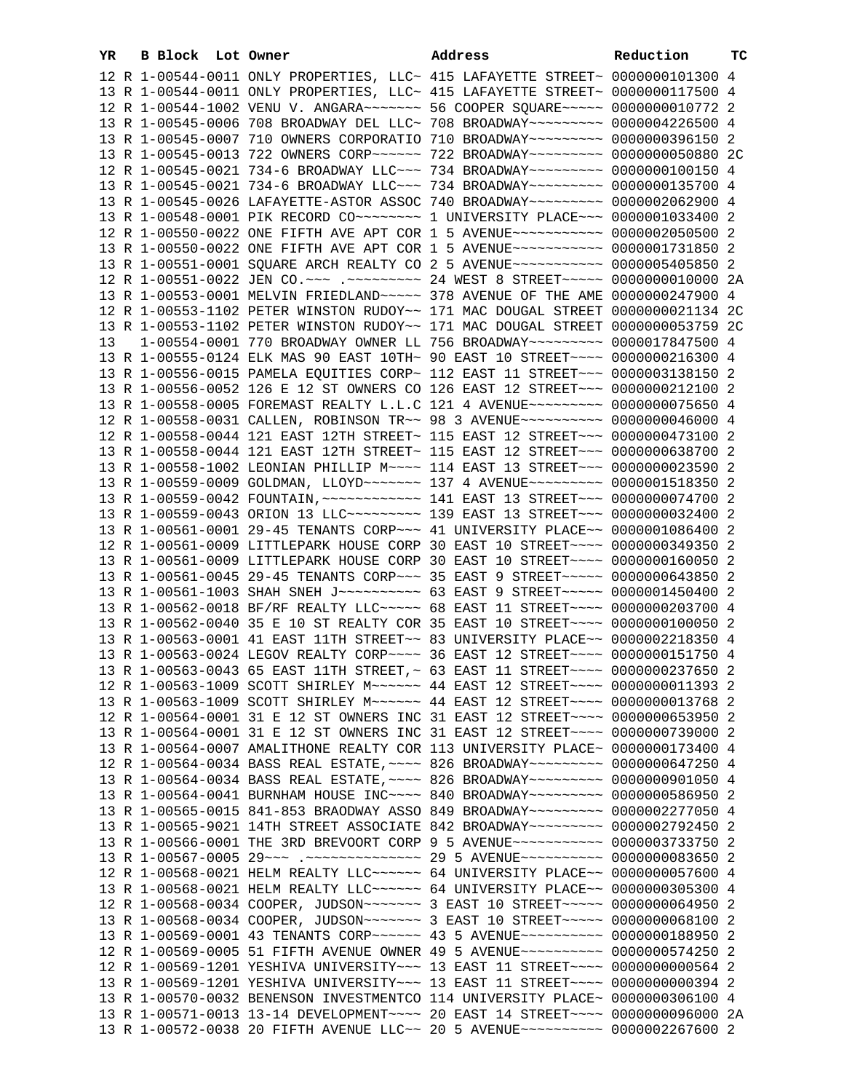| YR | B Block Lot Owner |                                                                                                                                                                 | Address | Reduction | тc |
|----|-------------------|-----------------------------------------------------------------------------------------------------------------------------------------------------------------|---------|-----------|----|
|    |                   | 12 R 1-00544-0011 ONLY PROPERTIES, LLC~ 415 LAFAYETTE STREET~ 0000000101300 4                                                                                   |         |           |    |
|    |                   | 13 R 1-00544-0011 ONLY PROPERTIES, LLC~ 415 LAFAYETTE STREET~ 0000000117500 4                                                                                   |         |           |    |
|    |                   | 12 R 1-00544-1002 VENU V. ANGARA~~~~~~~~ 56 COOPER SOUARE~~~~~ 0000000010772 2                                                                                  |         |           |    |
|    |                   | 13 R 1-00545-0006 708 BROADWAY DEL LLC~ 708 BROADWAY~~~~~~~~~ 0000004226500 4                                                                                   |         |           |    |
|    |                   | 13 R 1-00545-0007 710 OWNERS CORPORATIO 710 BROADWAY~~~~~~~~~ 0000000396150 2                                                                                   |         |           |    |
|    |                   | 13 R 1-00545-0013 722 OWNERS CORP~~~~~~ 722 BROADWAY~~~~~~~~~ 0000000050880 2C                                                                                  |         |           |    |
|    |                   | 12 R 1-00545-0021 734-6 BROADWAY LLC~~~ 734 BROADWAY~~~~~~~~~ 0000000100150 4                                                                                   |         |           |    |
|    |                   | 13 R 1-00545-0021 734-6 BROADWAY LLC~~~ 734 BROADWAY~~~~~~~~~ 0000000135700 4                                                                                   |         |           |    |
|    |                   | 13 R 1-00545-0026 LAFAYETTE-ASTOR ASSOC 740 BROADWAY~~~~~~~~~ 0000002062900 4                                                                                   |         |           |    |
|    |                   | 13 R 1-00548-0001 PIK RECORD CO ------- 1 UNIVERSITY PLACE -- 0000001033400 2                                                                                   |         |           |    |
|    |                   | 12 R 1-00550-0022 ONE FIFTH AVE APT COR 1 5 AVENUE~~~~~~~~~~~ 0000002050500 2                                                                                   |         |           |    |
|    |                   | 13 R 1-00550-0022 ONE FIFTH AVE APT COR 1 5 AVENUE~~~~~~~~~~~ 0000001731850 2                                                                                   |         |           |    |
|    |                   | 13 R 1-00551-0001 SQUARE ARCH REALTY CO 2 5 AVENUE~~~~~~~~~~~ 0000005405850 2                                                                                   |         |           |    |
|    |                   | 12 R 1-00551-0022 JEN CO.~~~ .~~~~~~~~~ 24 WEST 8 STREET~~~~~ 0000000010000 2A                                                                                  |         |           |    |
|    |                   | 13 R 1-00553-0001 MELVIN FRIEDLAND~~~~~ 378 AVENUE OF THE AME 0000000247900 4                                                                                   |         |           |    |
|    |                   | 12 R 1-00553-1102 PETER WINSTON RUDOY~~ 171 MAC DOUGAL STREET 0000000021134 2C                                                                                  |         |           |    |
|    |                   | 13 R 1-00553-1102 PETER WINSTON RUDOY~~ 171 MAC DOUGAL STREET 0000000053759 2C                                                                                  |         |           |    |
| 13 |                   | 1-00554-0001 770 BROADWAY OWNER LL 756 BROADWAY~~~~~~~~~ 0000017847500 4                                                                                        |         |           |    |
|    |                   | 13 R 1-00555-0124 ELK MAS 90 EAST 10TH~ 90 EAST 10 STREET~~~~ 0000000216300 4                                                                                   |         |           |    |
|    |                   | 13 R 1-00556-0015 PAMELA EQUITIES CORP~ 112 EAST 11 STREET~~~ 0000003138150 2                                                                                   |         |           |    |
|    |                   | 13 R 1-00556-0052 126 E 12 ST OWNERS CO 126 EAST 12 STREET~~~ 0000000212100 2                                                                                   |         |           |    |
|    |                   | 13 R 1-00558-0005 FOREMAST REALTY L.L.C 121 4 AVENUE~~~~~~~~~ 0000000075650 4                                                                                   |         |           |    |
|    |                   | 12 R 1-00558-0031 CALLEN, ROBINSON TR~~ 98 3 AVENUE~~~~~~~~~~ 0000000046000 4                                                                                   |         |           |    |
|    |                   | 12 R 1-00558-0044 121 EAST 12TH STREET~ 115 EAST 12 STREET~~~ 0000000473100 2                                                                                   |         |           |    |
|    |                   | 13 R 1-00558-0044 121 EAST 12TH STREET~ 115 EAST 12 STREET~~~ 0000000638700 2                                                                                   |         |           |    |
|    |                   | 13 R 1-00558-1002 LEONIAN PHILLIP M~~~~ 114 EAST 13 STREET~~~ 0000000023590 2                                                                                   |         |           |    |
|    |                   | 13 R 1-00559-0009 GOLDMAN, LLOYD~~~~~~~ 137 4 AVENUE~~~~~~~~~ 0000001518350 2                                                                                   |         |           |    |
|    |                   | 13 R 1-00559-0042 FOUNTAIN, ~~~~~~~~~~~~~~~ 141 EAST 13 STREET~~~ 0000000074700 2                                                                               |         |           |    |
|    |                   | 13 R 1-00559-0043 ORION 13 LLC -------- 139 EAST 13 STREET --- 0000000032400 2                                                                                  |         |           |    |
|    |                   | 13 R 1-00561-0001 29-45 TENANTS CORP~~~ 41 UNIVERSITY PLACE~~ 0000001086400 2                                                                                   |         |           |    |
|    |                   | 12 R 1-00561-0009 LITTLEPARK HOUSE CORP 30 EAST 10 STREET~~~~ 0000000349350 2                                                                                   |         |           |    |
|    |                   | 13 R 1-00561-0009 LITTLEPARK HOUSE CORP 30 EAST 10 STREET~~~~ 0000000160050 2                                                                                   |         |           |    |
|    |                   | 13 R 1-00561-0045 29-45 TENANTS CORP~~~ 35 EAST 9 STREET~~~~~ 0000000643850 2                                                                                   |         |           |    |
|    |                   | 13 R 1-00561-1003 SHAH SNEH J ---------- 63 EAST 9 STREET ----- 0000001450400 2                                                                                 |         |           |    |
|    |                   | 13 R 1-00562-0018 BF/RF REALTY LLC ---- 68 EAST 11 STREET --- 0000000203700 4                                                                                   |         |           |    |
|    |                   | 13 R 1-00562-0040 35 E 10 ST REALTY COR 35 EAST 10 STREET~~~~ 0000000100050 2                                                                                   |         |           |    |
|    |                   | 13 R 1-00563-0001 41 EAST 11TH STREET~~ 83 UNIVERSITY PLACE~~ 0000002218350 4                                                                                   |         |           |    |
|    |                   | 13 R 1-00563-0024 LEGOV REALTY CORP~~~~ 36 EAST 12 STREET~~~~ 0000000151750 4                                                                                   |         |           |    |
|    |                   | 13 R 1-00563-0043 65 EAST 11TH STREET, ~ 63 EAST 11 STREET ~~~~ 0000000237650 2                                                                                 |         |           |    |
|    |                   | 12 R 1-00563-1009 SCOTT SHIRLEY M~~~~~~ 44 EAST 12 STREET~~~~ 0000000011393 2                                                                                   |         |           |    |
|    |                   | 13 R 1-00563-1009 SCOTT SHIRLEY M~~~~~~ 44 EAST 12 STREET~~~~ 0000000013768 2                                                                                   |         |           |    |
|    |                   | 12 R 1-00564-0001 31 E 12 ST OWNERS INC 31 EAST 12 STREET~~~~ 0000000653950 2                                                                                   |         |           |    |
|    |                   | 13 R 1-00564-0001 31 E 12 ST OWNERS INC 31 EAST 12 STREET~~~~ 0000000739000 2                                                                                   |         |           |    |
|    |                   | 13 R 1-00564-0007 AMALITHONE REALTY COR 113 UNIVERSITY PLACE~ 0000000173400 4                                                                                   |         |           |    |
|    |                   | 12 R 1-00564-0034 BASS REAL ESTATE, ~~~~ 826 BROADWAY~~~~~~~~~ 0000000647250 4                                                                                  |         |           |    |
|    |                   | 13 R 1-00564-0034 BASS REAL ESTATE, ~~~~ 826 BROADWAY~~~~~~~~~ 0000000901050 4                                                                                  |         |           |    |
|    |                   | 13 R 1-00564-0041 BURNHAM HOUSE INC~~~~ 840 BROADWAY~~~~~~~~~ 0000000586950 2                                                                                   |         |           |    |
|    |                   | 13 R 1-00565-0015 841-853 BRAODWAY ASSO 849 BROADWAY~~~~~~~~~ 0000002277050 4                                                                                   |         |           |    |
|    |                   | 13 R 1-00565-9021 14TH STREET ASSOCIATE 842 BROADWAY~~~~~~~~~ 0000002792450 2                                                                                   |         |           |    |
|    |                   | 13 R 1-00566-0001 THE 3RD BREVOORT CORP 9 5 AVENUE~~~~~~~~~~~ 0000003733750 2                                                                                   |         |           |    |
|    |                   | 13 R 1-00567-0005 29~~~ .~~~~~~~~~~~~~~ 29 5 AVENUE~~~~~~~~~ 0000000083650 2                                                                                    |         |           |    |
|    |                   | 12 R 1-00568-0021 HELM REALTY LLC ----- 64 UNIVERSITY PLACE -- 0000000057600 4                                                                                  |         |           |    |
|    |                   | 13 R 1-00568-0021 HELM REALTY LLC~~~~~~ 64 UNIVERSITY PLACE~~ 0000000305300 4                                                                                   |         |           |    |
|    |                   | 12 R 1-00568-0034 COOPER, JUDSON~~~~~~~~ 3 EAST 10 STREET~~~~~ 0000000064950 2                                                                                  |         |           |    |
|    |                   | 13 R 1-00568-0034 COOPER, JUDSON~~~~~~~~ 3 EAST 10 STREET~~~~~ 0000000068100 2<br>13 R 1-00569-0001 43 TENANTS CORP~~~~~~ 43 5 AVENUE~~~~~~~~~~ 0000000188950 2 |         |           |    |
|    |                   | 12 R 1-00569-0005 51 FIFTH AVENUE OWNER 49 5 AVENUE~~~~~~~~~~ 0000000574250 2                                                                                   |         |           |    |
|    |                   | 12 R 1-00569-1201 YESHIVA UNIVERSITY~~~ 13 EAST 11 STREET~~~~ 0000000000564 2                                                                                   |         |           |    |
|    |                   | 13 R 1-00569-1201 YESHIVA UNIVERSITY~~~ 13 EAST 11 STREET~~~~ 0000000000394 2                                                                                   |         |           |    |
|    |                   | 13 R 1-00570-0032 BENENSON INVESTMENTCO 114 UNIVERSITY PLACE~ 0000000306100 4                                                                                   |         |           |    |
|    |                   | 13 R 1-00571-0013 13-14 DEVELOPMENT~~~~ 20 EAST 14 STREET~~~~ 0000000096000 2A                                                                                  |         |           |    |
|    |                   | 13 R 1-00572-0038 20 FIFTH AVENUE LLC~~ 20 5 AVENUE~~~~~~~~~~~ 0000002267600 2                                                                                  |         |           |    |
|    |                   |                                                                                                                                                                 |         |           |    |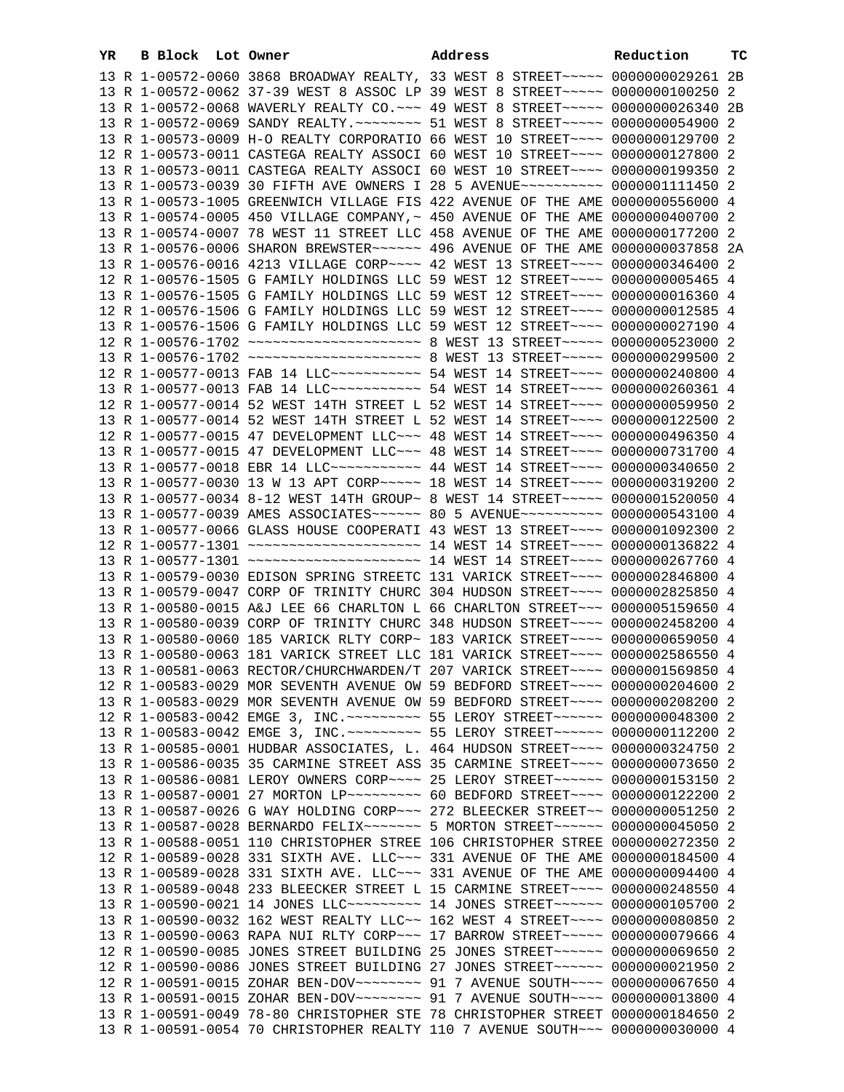| YR | B Block Lot Owner | Address                                                                                                                                                           | Reduction | тc |
|----|-------------------|-------------------------------------------------------------------------------------------------------------------------------------------------------------------|-----------|----|
|    |                   | 13 R 1-00572-0060 3868 BROADWAY REALTY, 33 WEST 8 STREET~~~~~ 0000000029261 2B                                                                                    |           |    |
|    |                   | 13 R 1-00572-0062 37-39 WEST 8 ASSOC LP 39 WEST 8 STREET~~~~~ 0000000100250 2                                                                                     |           |    |
|    |                   | 13 R 1-00572-0068 WAVERLY REALTY CO. ~~~ 49 WEST 8 STREET~~~~~ 0000000026340 2B                                                                                   |           |    |
|    |                   | 13 R 1-00572-0069 SANDY REALTY. ~~~~~~~~ 51 WEST 8 STREET~~~~~ 0000000054900 2                                                                                    |           |    |
|    |                   | 13 R 1-00573-0009 H-O REALTY CORPORATIO 66 WEST 10 STREET~~~~ 0000000129700 2                                                                                     |           |    |
|    |                   | 12 R 1-00573-0011 CASTEGA REALTY ASSOCI 60 WEST 10 STREET~~~~ 0000000127800 2                                                                                     |           |    |
|    |                   | 13 R 1-00573-0011 CASTEGA REALTY ASSOCI 60 WEST 10 STREET~~~~ 0000000199350 2                                                                                     |           |    |
|    |                   | 13 R 1-00573-0039 30 FIFTH AVE OWNERS I 28 5 AVENUE~~~~~~~~~~ 0000001111450 2                                                                                     |           |    |
|    |                   | 13 R 1-00573-1005 GREENWICH VILLAGE FIS 422 AVENUE OF THE AME 0000000556000 4                                                                                     |           |    |
|    |                   | 13 R 1-00574-0005 450 VILLAGE COMPANY, ~ 450 AVENUE OF THE AME 0000000400700 2                                                                                    |           |    |
|    |                   | 13 R 1-00574-0007 78 WEST 11 STREET LLC 458 AVENUE OF THE AME 0000000177200 2                                                                                     |           |    |
|    |                   | 13 R 1-00576-0006 SHARON BREWSTER~~~~~~ 496 AVENUE OF THE AME 0000000037858 2A                                                                                    |           |    |
|    |                   | 13 R 1-00576-0016 4213 VILLAGE CORP~~~~ 42 WEST 13 STREET~~~~ 0000000346400 2                                                                                     |           |    |
|    |                   | 12 R 1-00576-1505 G FAMILY HOLDINGS LLC 59 WEST 12 STREET~~~~ 0000000005465 4                                                                                     |           |    |
|    |                   | 13 R 1-00576-1505 G FAMILY HOLDINGS LLC 59 WEST 12 STREET~~~~ 00000000016360 4                                                                                    |           |    |
|    |                   | 12 R 1-00576-1506 G FAMILY HOLDINGS LLC 59 WEST 12 STREET~~~~ 0000000012585 4                                                                                     |           |    |
|    |                   | 13 R 1-00576-1506 G FAMILY HOLDINGS LLC 59 WEST 12 STREET~~~~ 0000000027190 4                                                                                     |           |    |
|    |                   |                                                                                                                                                                   |           |    |
|    |                   | 13 R 1-00576-1702 ~~~~~~~~~~~~~~~~~~~~~~~~ 8 WEST 13 STREET~~~~~ 0000000299500 2                                                                                  |           |    |
|    |                   | 12 R 1-00577-0013 FAB 14 LLC ----------- 54 WEST 14 STREET ---- 0000000240800 4                                                                                   |           |    |
|    |                   | 13 R 1-00577-0013 FAB 14 LLC ----------- 54 WEST 14 STREET ---- 0000000260361 4                                                                                   |           |    |
|    |                   | 12 R 1-00577-0014 52 WEST 14TH STREET L 52 WEST 14 STREET~~~~ 0000000059950 2                                                                                     |           |    |
|    |                   | 13 R 1-00577-0014 52 WEST 14TH STREET L 52 WEST 14 STREET~~~~ 0000000122500 2                                                                                     |           |    |
|    |                   | 12 R 1-00577-0015 47 DEVELOPMENT LLC~~~ 48 WEST 14 STREET~~~~ 0000000496350 4                                                                                     |           |    |
|    |                   | 13 R 1-00577-0015 47 DEVELOPMENT LLC~~~ 48 WEST 14 STREET~~~~ 0000000731700 4                                                                                     |           |    |
|    |                   | 13 R 1-00577-0018 EBR 14 LLC ---------- 44 WEST 14 STREET ---- 0000000340650 2                                                                                    |           |    |
|    |                   | 13 R 1-00577-0030 13 W 13 APT CORP~~~~~ 18 WEST 14 STREET~~~~ 0000000319200 2                                                                                     |           |    |
|    |                   | 13 R 1-00577-0034 8-12 WEST 14TH GROUP~ 8 WEST 14 STREET~~~~~ 0000001520050 4                                                                                     |           |    |
|    |                   | 13 R 1-00577-0039 AMES ASSOCIATES~~~~~~ 80 5 AVENUE~~~~~~~~~~ 0000000543100 4                                                                                     |           |    |
|    |                   | 13 R 1-00577-0066 GLASS HOUSE COOPERATI 43 WEST 13 STREET~~~~ 0000001092300 2<br>12 R 1-00577-1301 ~~~~~~~~~~~~~~~~~~~~~~~~ 14 WEST 14 STREET~~~~ 0000000136822 4 |           |    |
|    |                   | 13 R 1-00577-1301 ~~~~~~~~~~~~~~~~~~~~~~~~~ 14 WEST 14 STREET~~~~ 0000000267760 4                                                                                 |           |    |
|    |                   | 13 R 1-00579-0030 EDISON SPRING STREETC 131 VARICK STREET~~~~ 0000002846800 4                                                                                     |           |    |
|    |                   | 13 R 1-00579-0047 CORP OF TRINITY CHURC 304 HUDSON STREET~~~~ 0000002825850 4                                                                                     |           |    |
|    |                   | 13 R 1-00580-0015 A&J LEE 66 CHARLTON L 66 CHARLTON STREET~~~ 0000005159650 4                                                                                     |           |    |
|    |                   | 13 R 1-00580-0039 CORP OF TRINITY CHURC 348 HUDSON STREET~~~~ 0000002458200 4                                                                                     |           |    |
|    |                   | 13 R 1-00580-0060 185 VARICK RLTY CORP~ 183 VARICK STREET~~~~ 0000000659050 4                                                                                     |           |    |
|    |                   | 13 R 1-00580-0063 181 VARICK STREET LLC 181 VARICK STREET~~~~ 0000002586550 4                                                                                     |           |    |
|    |                   | 13 R 1-00581-0063 RECTOR/CHURCHWARDEN/T 207 VARICK STREET~~~~ 0000001569850 4                                                                                     |           |    |
|    |                   | 12 R 1-00583-0029 MOR SEVENTH AVENUE OW 59 BEDFORD STREET~~~~ 0000000204600 2                                                                                     |           |    |
|    |                   | 13 R 1-00583-0029 MOR SEVENTH AVENUE OW 59 BEDFORD STREET~~~~ 0000000208200 2                                                                                     |           |    |
|    |                   | 12 R 1-00583-0042 EMGE 3, INC. --------- 55 LEROY STREET------ 0000000048300 2                                                                                    |           |    |
|    |                   | 13 R 1-00583-0042 EMGE 3, INC. ~~~~~~~~~ 55 LEROY STREET~~~~~~ 0000000112200 2                                                                                    |           |    |
|    |                   | 13 R 1-00585-0001 HUDBAR ASSOCIATES, L. 464 HUDSON STREET~~~~ 0000000324750 2                                                                                     |           |    |
|    |                   | 13 R 1-00586-0035 35 CARMINE STREET ASS 35 CARMINE STREET~~~~ 0000000073650 2                                                                                     |           |    |
|    |                   | 13 R 1-00586-0081 LEROY OWNERS CORP~~~~ 25 LEROY STREET~~~~~~ 0000000153150 2                                                                                     |           |    |
|    |                   | 13 R 1-00587-0001 27 MORTON LP -------- 60 BEDFORD STREET --- 0000000122200 2                                                                                     |           |    |
|    |                   | 13 R 1-00587-0026 G WAY HOLDING CORP~~~ 272 BLEECKER STREET~~ 0000000051250 2                                                                                     |           |    |
|    |                   | 13 R 1-00587-0028 BERNARDO FELIX~~~~~~~~ 5 MORTON STREET~~~~~~ 0000000045050 2                                                                                    |           |    |
|    |                   | 13 R 1-00588-0051 110 CHRISTOPHER STREE 106 CHRISTOPHER STREE 0000000272350 2                                                                                     |           |    |
|    |                   | 12 R 1-00589-0028 331 SIXTH AVE. LLC ~~~ 331 AVENUE OF THE AME 0000000184500 4                                                                                    |           |    |
|    |                   | 13 R 1-00589-0028 331 SIXTH AVE. LLC ~~~ 331 AVENUE OF THE AME 0000000094400 4                                                                                    |           |    |
|    |                   | 13 R 1-00589-0048 233 BLEECKER STREET L 15 CARMINE STREET~~~~ 0000000248550 4                                                                                     |           |    |
|    |                   | 13 R 1-00590-0021 14 JONES LLC --------- 14 JONES STREET ------ 0000000105700 2                                                                                   |           |    |
|    |                   | 13 R 1-00590-0032 162 WEST REALTY LLC~~ 162 WEST 4 STREET~~~~ 0000000080850 2                                                                                     |           |    |
|    |                   | 13 R 1-00590-0063 RAPA NUI RLTY CORP~~~ 17 BARROW STREET~~~~~ 0000000079666 4                                                                                     |           |    |
|    |                   | 12 R 1-00590-0085 JONES STREET BUILDING 25 JONES STREET~~~~~~ 0000000069650 2                                                                                     |           |    |
|    |                   | 12 R 1-00590-0086 JONES STREET BUILDING 27 JONES STREET~~~~~~ 0000000021950 2                                                                                     |           |    |
|    |                   | 12 R 1-00591-0015 ZOHAR BEN-DOV~~~~~~~~ 91 7 AVENUE SOUTH~~~~ 0000000067650 4                                                                                     |           |    |
|    |                   | 13 R 1-00591-0015 ZOHAR BEN-DOV~~~~~~~~ 91 7 AVENUE SOUTH~~~~ 0000000013800 4                                                                                     |           |    |
|    |                   | 13 R 1-00591-0049 78-80 CHRISTOPHER STE 78 CHRISTOPHER STREET 0000000184650 2                                                                                     |           |    |
|    |                   | 13 R 1-00591-0054 70 CHRISTOPHER REALTY 110 7 AVENUE SOUTH~~~ 0000000030000 4                                                                                     |           |    |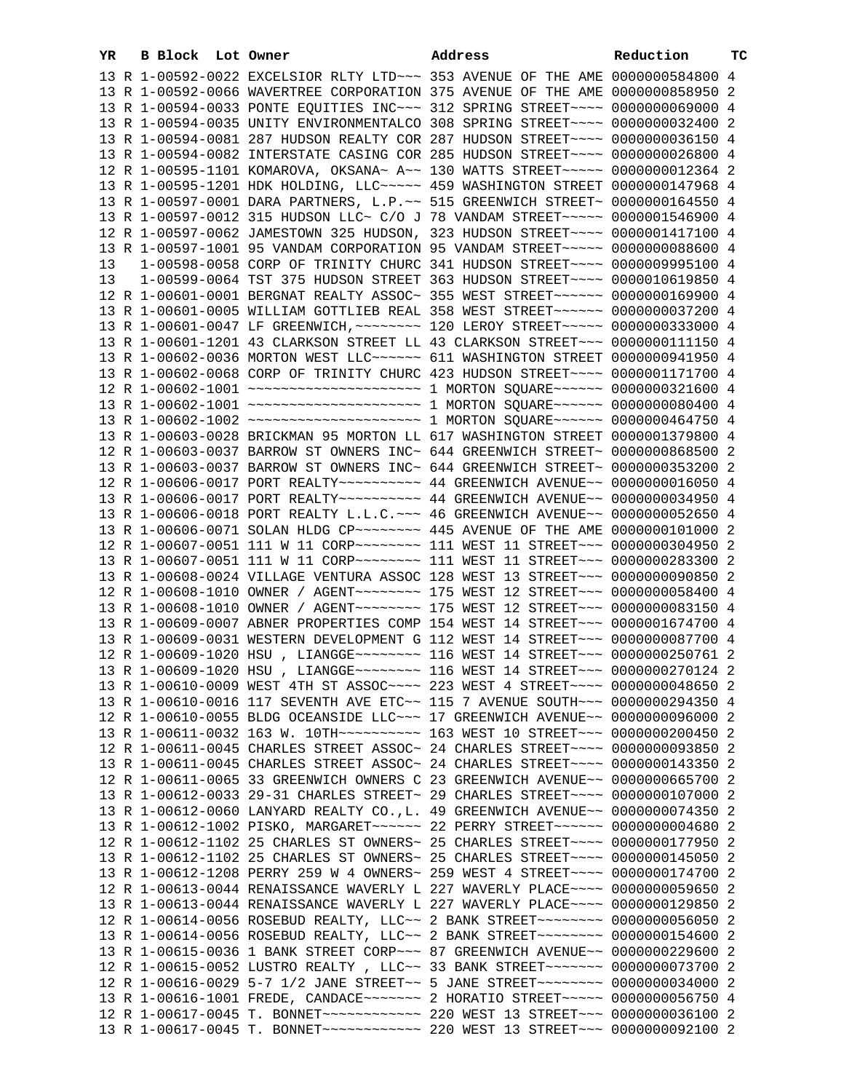| YR | B Block Lot Owner | Address                                                                             | Reduction | тc |
|----|-------------------|-------------------------------------------------------------------------------------|-----------|----|
|    |                   | 13 R 1-00592-0022 EXCELSIOR RLTY LTD ~~~ 353 AVENUE OF THE AME 0000000584800 4      |           |    |
|    |                   | 13 R 1-00592-0066 WAVERTREE CORPORATION 375 AVENUE OF THE AME 0000000858950 2       |           |    |
|    |                   | 13 R 1-00594-0033 PONTE EQUITIES INC~~~ 312 SPRING STREET~~~~ 0000000069000 4       |           |    |
|    |                   | 13 R 1-00594-0035 UNITY ENVIRONMENTALCO 308 SPRING STREET~~~~ 0000000032400 2       |           |    |
|    |                   | 13 R 1-00594-0081 287 HUDSON REALTY COR 287 HUDSON STREET~~~~ 0000000036150 4       |           |    |
|    |                   | 13 R 1-00594-0082 INTERSTATE CASING COR 285 HUDSON STREET~~~~ 0000000026800 4       |           |    |
|    |                   |                                                                                     |           |    |
|    |                   | 12 R 1-00595-1101 KOMAROVA, OKSANA~ A~~ 130 WATTS STREET~~~~~ 0000000012364 2       |           |    |
|    |                   | 13 R 1-00595-1201 HDK HOLDING, LLC ~~~~~ 459 WASHINGTON STREET 0000000147968 4      |           |    |
|    |                   | 13 R 1-00597-0001 DARA PARTNERS, L.P.~~ 515 GREENWICH STREET~ 0000000164550 4       |           |    |
|    |                   | 13 R 1-00597-0012 315 HUDSON LLC~ C/O J 78 VANDAM STREET~~~~~ 0000001546900 4       |           |    |
|    |                   | 12 R 1-00597-0062 JAMESTOWN 325 HUDSON, 323 HUDSON STREET~~~~ 0000001417100 4       |           |    |
|    |                   | 13 R 1-00597-1001 95 VANDAM CORPORATION 95 VANDAM STREET~~~~~ 0000000088600 4       |           |    |
| 13 |                   | 1-00598-0058 CORP OF TRINITY CHURC 341 HUDSON STREET~~~~ 0000009995100 4            |           |    |
| 13 |                   | 1-00599-0064 TST 375 HUDSON STREET 363 HUDSON STREET~~~~ 0000010619850 4            |           |    |
|    |                   | 12 R 1-00601-0001 BERGNAT REALTY ASSOC~ 355 WEST STREET~~~~~~ 0000000169900 4       |           |    |
|    |                   | 13 R 1-00601-0005 WILLIAM GOTTLIEB REAL 358 WEST STREET~~~~~~ 0000000037200 4       |           |    |
|    |                   | 13 R 1-00601-0047 LF GREENWICH, ~~~~~~~~ 120 LEROY STREET~~~~~ 0000000333000 4      |           |    |
|    |                   | 13 R 1-00601-1201 43 CLARKSON STREET LL 43 CLARKSON STREET~~~ 0000000111150 4       |           |    |
|    |                   | 13 R 1-00602-0036 MORTON WEST LLC~~~~~~ 611 WASHINGTON STREET 0000000941950 4       |           |    |
|    |                   | 13 R 1-00602-0068 CORP OF TRINITY CHURC 423 HUDSON STREET~~~~ 0000001171700 4       |           |    |
|    |                   | 12 R 1-00602-1001 ~~~~~~~~~~~~~~~~~~~~~~~~~ 1 MORTON SQUARE~~~~~~ 0000000321600 4   |           |    |
|    |                   | 13 R 1-00602-1001 ~~~~~~~~~~~~~~~~~~~~~~~~~ 1 MORTON SQUARE~~~~~~ 00000000000400 4  |           |    |
|    |                   | 13 R 1-00602-1002 ~~~~~~~~~~~~~~~~~~~~~~~~~ 1 MORTON SQUARE~~~~~~ 0000000464750 4   |           |    |
|    |                   | 13 R 1-00603-0028 BRICKMAN 95 MORTON LL 617 WASHINGTON STREET 0000001379800 4       |           |    |
|    |                   | 12 R 1-00603-0037 BARROW ST OWNERS INC~ 644 GREENWICH STREET~ 0000000868500 2       |           |    |
|    |                   | 13 R 1-00603-0037 BARROW ST OWNERS INC~ 644 GREENWICH STREET~ 0000000353200 2       |           |    |
|    |                   |                                                                                     |           |    |
|    |                   |                                                                                     |           |    |
|    |                   |                                                                                     |           |    |
|    |                   | 13 R 1-00606-0018 PORT REALTY L.L.C. ~~~ 46 GREENWICH AVENUE~~ 0000000052650 4      |           |    |
|    |                   |                                                                                     |           |    |
|    |                   | 12 R 1-00607-0051 111 W 11 CORP~~~~~~~~ 111 WEST 11 STREET~~~ 0000000304950 2       |           |    |
|    |                   | 13 R 1-00607-0051 111 W 11 CORP~~~~~~~~ 111 WEST 11 STREET~~~ 0000000283300 2       |           |    |
|    |                   | 13 R 1-00608-0024 VILLAGE VENTURA ASSOC 128 WEST 13 STREET~~~ 0000000090850 2       |           |    |
|    |                   | 12 R 1-00608-1010 OWNER / AGENT~~~~~~~~ 175 WEST 12 STREET~~~ 0000000058400 4       |           |    |
|    |                   | 13 R 1-00608-1010 OWNER / AGENT ~~~~~~~~ 175 WEST 12 STREET ~~~ 0000000083150 4     |           |    |
|    |                   | 13 R 1-00609-0007 ABNER PROPERTIES COMP 154 WEST 14 STREET~~~ 0000001674700 4       |           |    |
|    |                   | 13 R 1-00609-0031 WESTERN DEVELOPMENT G 112 WEST 14 STREET~~~ 0000000087700 4       |           |    |
|    |                   | 12 R 1-00609-1020 HSU, LIANGGE~~~~~~~~ 116 WEST 14 STREET~~~ 0000000250761 2        |           |    |
|    |                   | 13 R 1-00609-1020 HSU, LIANGGE~~~~~~~~~ 116 WEST 14 STREET~~~ 0000000270124 2       |           |    |
|    |                   | 13 R 1-00610-0009 WEST 4TH ST ASSOC~~~~ 223 WEST 4 STREET~~~~ 0000000048650 2       |           |    |
|    |                   | 13 R 1-00610-0016 117 SEVENTH AVE ETC~~ 115 7 AVENUE SOUTH~~~ 0000000294350 4       |           |    |
|    |                   | 12 R 1-00610-0055 BLDG OCEANSIDE LLC ~~~ 17 GREENWICH AVENUE ~~ 0000000096000 2     |           |    |
|    |                   | 13 R 1-00611-0032 163 W. 10TH~~~~~~~~~~~~~~~ 163 WEST 10 STREET~~~~ 0000000200450 2 |           |    |
|    |                   | 12 R 1-00611-0045 CHARLES STREET ASSOC~ 24 CHARLES STREET~~~~ 0000000093850 2       |           |    |
|    |                   | 13 R 1-00611-0045 CHARLES STREET ASSOC~ 24 CHARLES STREET~~~~ 0000000143350 2       |           |    |
|    |                   | 12 R 1-00611-0065 33 GREENWICH OWNERS C 23 GREENWICH AVENUE~~ 0000000665700 2       |           |    |
|    |                   | 13 R 1-00612-0033 29-31 CHARLES STREET~ 29 CHARLES STREET~~~~ 0000000107000 2       |           |    |
|    |                   | 13 R 1-00612-0060 LANYARD REALTY CO., L. 49 GREENWICH AVENUE~~ 0000000074350 2      |           |    |
|    |                   | 13 R 1-00612-1002 PISKO, MARGARET~~~~~~ 22 PERRY STREET~~~~~~ 0000000004680 2       |           |    |
|    |                   | 12 R 1-00612-1102 25 CHARLES ST OWNERS~ 25 CHARLES STREET~~~~ 0000000177950 2       |           |    |
|    |                   | 13 R 1-00612-1102 25 CHARLES ST OWNERS~ 25 CHARLES STREET~~~~ 0000000145050 2       |           |    |
|    |                   | 13 R 1-00612-1208 PERRY 259 W 4 OWNERS~ 259 WEST 4 STREET~~~~ 0000000174700 2       |           |    |
|    |                   | 12 R 1-00613-0044 RENAISSANCE WAVERLY L 227 WAVERLY PLACE~~~~ 0000000059650 2       |           |    |
|    |                   | 13 R 1-00613-0044 RENAISSANCE WAVERLY L 227 WAVERLY PLACE~~~~ 0000000129850 2       |           |    |
|    |                   |                                                                                     |           |    |
|    |                   | 12 R 1-00614-0056 ROSEBUD REALTY, LLC~~ 2 BANK STREET~~~~~~~~ 0000000056050 2       |           |    |
|    |                   | 13 R 1-00614-0056 ROSEBUD REALTY, LLC~~ 2 BANK STREET~~~~~~~~ 0000000154600 2       |           |    |
|    |                   | 13 R 1-00615-0036 1 BANK STREET CORP~~~ 87 GREENWICH AVENUE~~ 0000000229600 2       |           |    |
|    |                   | 12 R 1-00615-0052 LUSTRO REALTY, LLC~~ 33 BANK STREET~~~~~~~ 0000000073700 2        |           |    |
|    |                   | 12 R 1-00616-0029 5-7 1/2 JANE STREET~~ 5 JANE STREET~~~~~~~~ 0000000034000 2       |           |    |
|    |                   | 13 R 1-00616-1001 FREDE, CANDACE ------- 2 HORATIO STREET ---- 0000000056750 4      |           |    |
|    |                   |                                                                                     |           |    |
|    |                   |                                                                                     |           |    |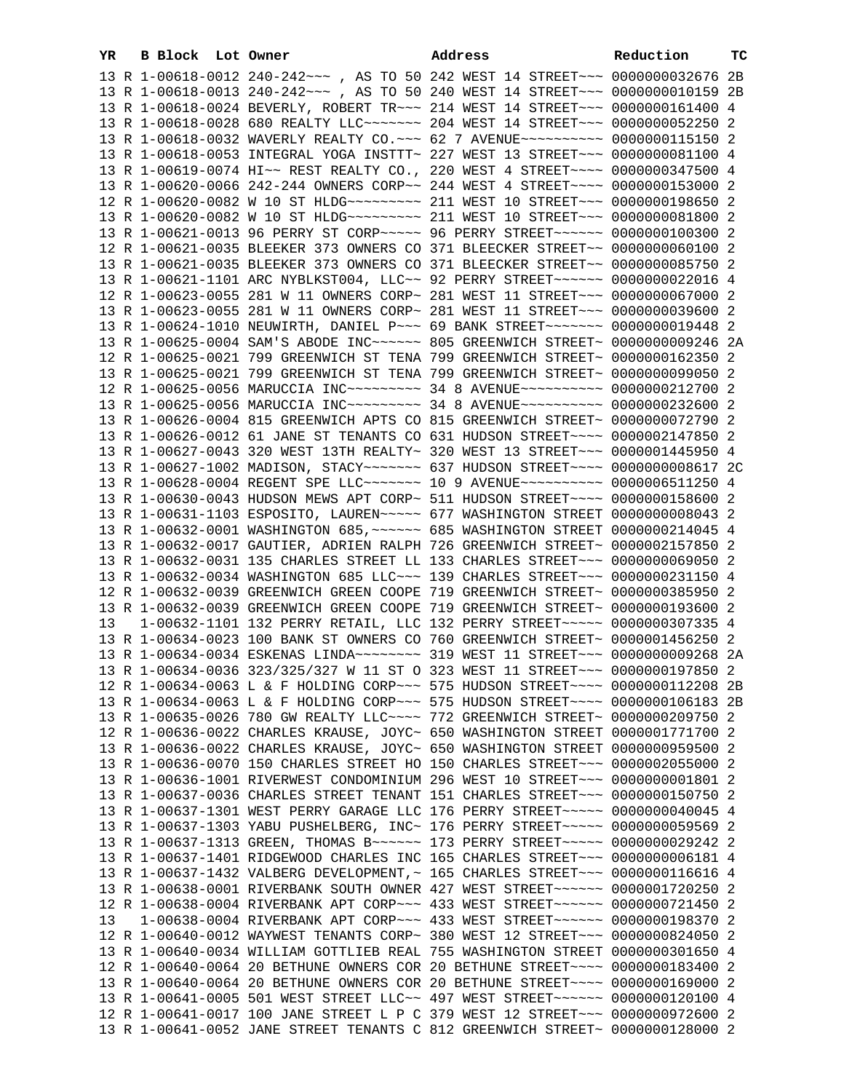| YR. | B Block Lot Owner |                                                                                                                                                                | Address | Reduction | тс |
|-----|-------------------|----------------------------------------------------------------------------------------------------------------------------------------------------------------|---------|-----------|----|
|     |                   | 13 R 1-00618-0012 240-242 ~~~ , AS TO 50 242 WEST 14 STREET ~~~ 0000000032676 2B                                                                               |         |           |    |
|     |                   | 13 R 1-00618-0013 240-242 ~~~ , AS TO 50 240 WEST 14 STREET ~~~ 0000000010159 2B                                                                               |         |           |    |
|     |                   | 13 R 1-00618-0024 BEVERLY, ROBERT TR~~~ 214 WEST 14 STREET~~~ 0000000161400 4                                                                                  |         |           |    |
|     |                   | 13 R 1-00618-0028 680 REALTY LLC ------- 204 WEST 14 STREET -- 0000000052250 2                                                                                 |         |           |    |
|     |                   | 13 R 1-00618-0032 WAVERLY REALTY CO. ~~~ 62 7 AVENUE~~~~~~~~~~ 0000000115150 2                                                                                 |         |           |    |
|     |                   | 13 R 1-00618-0053 INTEGRAL YOGA INSTTT~ 227 WEST 13 STREET~~~ 0000000081100 4                                                                                  |         |           |    |
|     |                   | 13 R 1-00619-0074 HI~~ REST REALTY CO., 220 WEST 4 STREET~~~~ 0000000347500 4                                                                                  |         |           |    |
|     |                   | 13 R 1-00620-0066 242-244 OWNERS CORP~~ 244 WEST 4 STREET~~~~ 0000000153000 2                                                                                  |         |           |    |
|     |                   | 12 R 1-00620-0082 W 10 ST HLDG --------- 211 WEST 10 STREET --- 0000000198650 2                                                                                |         |           |    |
|     |                   |                                                                                                                                                                |         |           |    |
|     |                   | 13 R 1-00621-0013 96 PERRY ST CORP~~~~~ 96 PERRY STREET~~~~~~ 0000000100300 2                                                                                  |         |           |    |
|     |                   | 12 R 1-00621-0035 BLEEKER 373 OWNERS CO 371 BLEECKER STREET~~ 0000000060100 2                                                                                  |         |           |    |
|     |                   | 13 R 1-00621-0035 BLEEKER 373 OWNERS CO 371 BLEECKER STREET~~ 0000000085750 2                                                                                  |         |           |    |
|     |                   | 13 R 1-00621-1101 ARC NYBLKST004, LLC~~ 92 PERRY STREET~~~~~~ 0000000022016 4                                                                                  |         |           |    |
|     |                   | 12 R 1-00623-0055 281 W 11 OWNERS CORP~ 281 WEST 11 STREET~~~ 0000000067000 2                                                                                  |         |           |    |
|     |                   | 13 R 1-00623-0055 281 W 11 OWNERS CORP~ 281 WEST 11 STREET~~~ 0000000039600 2                                                                                  |         |           |    |
|     |                   | 13 R 1-00624-1010 NEUWIRTH, DANIEL P~~~ 69 BANK STREET~~~~~~~ 0000000019448 2                                                                                  |         |           |    |
|     |                   | 13 R 1-00625-0004 SAM'S ABODE INC~~~~~~ 805 GREENWICH STREET~ 0000000009246 2A                                                                                 |         |           |    |
|     |                   | 12 R 1-00625-0021 799 GREENWICH ST TENA 799 GREENWICH STREET~ 0000000162350 2                                                                                  |         |           |    |
|     |                   | 13 R 1-00625-0021 799 GREENWICH ST TENA 799 GREENWICH STREET~ 0000000099050 2                                                                                  |         |           |    |
|     |                   | 12 R 1-00625-0056 MARUCCIA INC~~~~~~~~~~ 34 8 AVENUE~~~~~~~~~~ 0000000212700 2                                                                                 |         |           |    |
|     |                   | 13 R 1-00625-0056 MARUCCIA INC~~~~~~~~~ 34 8 AVENUE~~~~~~~~~~ 0000000232600 2                                                                                  |         |           |    |
|     |                   | 13 R 1-00626-0004 815 GREENWICH APTS CO 815 GREENWICH STREET~ 0000000072790 2                                                                                  |         |           |    |
|     |                   | 13 R 1-00626-0012 61 JANE ST TENANTS CO 631 HUDSON STREET~~~~ 0000002147850 2                                                                                  |         |           |    |
|     |                   | 13 R 1-00627-0043 320 WEST 13TH REALTY~ 320 WEST 13 STREET~~~ 0000001445950 4                                                                                  |         |           |    |
|     |                   | 13 R 1-00627-1002 MADISON, STACY~~~~~~~ 637 HUDSON STREET~~~~ 0000000008617 2C                                                                                 |         |           |    |
|     |                   | 13 R 1-00628-0004 REGENT SPE LLC~~~~~~~~ 10 9 AVENUE~~~~~~~~~~ 0000006511250 4                                                                                 |         |           |    |
|     |                   | 13 R 1-00630-0043 HUDSON MEWS APT CORP~ 511 HUDSON STREET~~~~ 0000000158600 2                                                                                  |         |           |    |
|     |                   | 13 R 1-00631-1103 ESPOSITO, LAUREN~~~~~ 677 WASHINGTON STREET 0000000000043 2                                                                                  |         |           |    |
|     |                   | 13 R 1-00632-0001 WASHINGTON 685, ~~~~~~ 685 WASHINGTON STREET 0000000214045 4                                                                                 |         |           |    |
|     |                   | 13 R 1-00632-0017 GAUTIER, ADRIEN RALPH 726 GREENWICH STREET~ 0000002157850 2                                                                                  |         |           |    |
|     |                   | 13 R 1-00632-0031 135 CHARLES STREET LL 133 CHARLES STREET~~~ 0000000069050 2                                                                                  |         |           |    |
|     |                   | 13 R 1-00632-0034 WASHINGTON 685 LLC~~~ 139 CHARLES STREET~~~ 0000000231150 4                                                                                  |         |           |    |
|     |                   | 12 R 1-00632-0039 GREENWICH GREEN COOPE 719 GREENWICH STREET~ 0000000385950 2                                                                                  |         |           |    |
|     |                   | 13 R 1-00632-0039 GREENWICH GREEN COOPE 719 GREENWICH STREET~ 0000000193600 2                                                                                  |         |           |    |
| 13  |                   | 1-00632-1101 132 PERRY RETAIL, LLC 132 PERRY STREET~~~~~ 0000000307335 4                                                                                       |         |           |    |
|     |                   | 13 R 1-00634-0023 100 BANK ST OWNERS CO 760 GREENWICH STREET~ 0000001456250 2                                                                                  |         |           |    |
|     |                   | 13 R 1-00634-0034 ESKENAS LINDA~~~~~~~~ 319 WEST 11 STREET~~~ 0000000009268 2A                                                                                 |         |           |    |
|     |                   | 13 R 1-00634-0036 323/325/327 W 11 ST O 323 WEST 11 STREET~~~ 0000000197850 2                                                                                  |         |           |    |
|     |                   | 12 R 1-00634-0063 L & F HOLDING CORP~~~ 575 HUDSON STREET~~~~ 0000000112208 2B                                                                                 |         |           |    |
|     |                   | 13 R 1-00634-0063 L & F HOLDING CORP~~~ 575 HUDSON STREET~~~~ 0000000106183 2B                                                                                 |         |           |    |
|     |                   | 13 R 1-00635-0026 780 GW REALTY LLC --- 772 GREENWICH STREET ~ 0000000209750 2                                                                                 |         |           |    |
|     |                   | 12 R 1-00636-0022 CHARLES KRAUSE, JOYC~ 650 WASHINGTON STREET 0000001771700 2<br>13 R 1-00636-0022 CHARLES KRAUSE, JOYC~ 650 WASHINGTON STREET 0000000959500 2 |         |           |    |
|     |                   | 13 R 1-00636-0070 150 CHARLES STREET HO 150 CHARLES STREET~~~ 0000002055000 2                                                                                  |         |           |    |
|     |                   | 13 R 1-00636-1001 RIVERWEST CONDOMINIUM 296 WEST 10 STREET~~~ 00000000001801 2                                                                                 |         |           |    |
|     |                   | 13 R 1-00637-0036 CHARLES STREET TENANT 151 CHARLES STREET~~~ 0000000150750 2                                                                                  |         |           |    |
|     |                   | 13 R 1-00637-1301 WEST PERRY GARAGE LLC 176 PERRY STREET~~~~~ 0000000040045 4                                                                                  |         |           |    |
|     |                   | 13 R 1-00637-1303 YABU PUSHELBERG, INC~ 176 PERRY STREET~~~~~ 0000000059569 2                                                                                  |         |           |    |
|     |                   | 13 R 1-00637-1313 GREEN, THOMAS B ~~~~~~ 173 PERRY STREET ~~~~~ 0000000029242 2                                                                                |         |           |    |
|     |                   | 13 R 1-00637-1401 RIDGEWOOD CHARLES INC 165 CHARLES STREET~~~ 00000000006181 4                                                                                 |         |           |    |
|     |                   | 13 R 1-00637-1432 VALBERG DEVELOPMENT, ~ 165 CHARLES STREET~~~ 0000000116616 4                                                                                 |         |           |    |
|     |                   | 13 R 1-00638-0001 RIVERBANK SOUTH OWNER 427 WEST STREET~~~~~~ 0000001720250 2                                                                                  |         |           |    |
|     |                   | 12 R 1-00638-0004 RIVERBANK APT CORP~~~ 433 WEST STREET~~~~~~ 0000000721450 2                                                                                  |         |           |    |
| 13  |                   | 1-00638-0004 RIVERBANK APT CORP~~~ 433 WEST STREET~~~~~~ 0000000198370 2                                                                                       |         |           |    |
|     |                   | 12 R 1-00640-0012 WAYWEST TENANTS CORP~ 380 WEST 12 STREET~~~ 0000000824050 2                                                                                  |         |           |    |
|     |                   | 13 R 1-00640-0034 WILLIAM GOTTLIEB REAL 755 WASHINGTON STREET 0000000301650 4                                                                                  |         |           |    |
|     |                   | 12 R 1-00640-0064 20 BETHUNE OWNERS COR 20 BETHUNE STREET~~~~ 0000000183400 2                                                                                  |         |           |    |
|     |                   | 13 R 1-00640-0064 20 BETHUNE OWNERS COR 20 BETHUNE STREET~~~~ 0000000169000 2                                                                                  |         |           |    |
|     |                   | 13 R 1-00641-0005 501 WEST STREET LLC~~ 497 WEST STREET~~~~~~ 0000000120100 4                                                                                  |         |           |    |
|     |                   | 12 R 1-00641-0017 100 JANE STREET L P C 379 WEST 12 STREET~~~ 0000000972600 2                                                                                  |         |           |    |
|     |                   | 13 R 1-00641-0052 JANE STREET TENANTS C 812 GREENWICH STREET~ 0000000128000 2                                                                                  |         |           |    |
|     |                   |                                                                                                                                                                |         |           |    |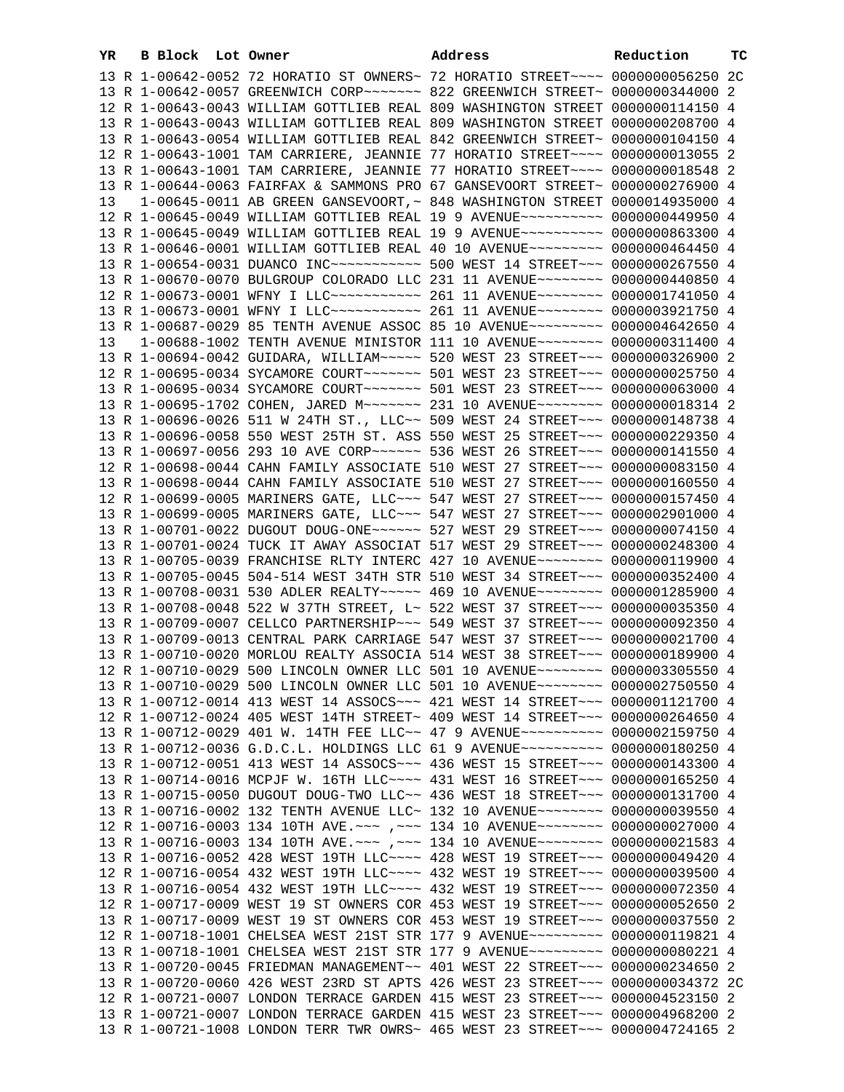| YR | B Block Lot Owner |  | Address                                                                                                                                                         | Reduction | тc |
|----|-------------------|--|-----------------------------------------------------------------------------------------------------------------------------------------------------------------|-----------|----|
|    |                   |  | 13 R 1-00642-0052 72 HORATIO ST OWNERS~ 72 HORATIO STREET~~~~ 0000000056250 2C                                                                                  |           |    |
|    |                   |  | 13 R 1-00642-0057 GREENWICH CORP~~~~~~~ 822 GREENWICH STREET~ 0000000344000 2                                                                                   |           |    |
|    |                   |  | 12 R 1-00643-0043 WILLIAM GOTTLIEB REAL 809 WASHINGTON STREET 0000000114150 4                                                                                   |           |    |
|    |                   |  | 13 R 1-00643-0043 WILLIAM GOTTLIEB REAL 809 WASHINGTON STREET 0000000208700 4                                                                                   |           |    |
|    |                   |  | 13 R 1-00643-0054 WILLIAM GOTTLIEB REAL 842 GREENWICH STREET~ 0000000104150 4                                                                                   |           |    |
|    |                   |  | 12 R 1-00643-1001 TAM CARRIERE, JEANNIE 77 HORATIO STREET~~~~ 0000000013055 2                                                                                   |           |    |
|    |                   |  | 13 R 1-00643-1001 TAM CARRIERE, JEANNIE 77 HORATIO STREET~~~~ 0000000018548 2                                                                                   |           |    |
|    |                   |  | 13 R 1-00644-0063 FAIRFAX & SAMMONS PRO 67 GANSEVOORT STREET~ 0000000276900 4                                                                                   |           |    |
| 13 |                   |  | 1-00645-0011 AB GREEN GANSEVOORT, ~ 848 WASHINGTON STREET 0000014935000 4                                                                                       |           |    |
|    |                   |  | 12 R 1-00645-0049 WILLIAM GOTTLIEB REAL 19 9 AVENUE~~~~~~~~~~ 0000000449950 4                                                                                   |           |    |
|    |                   |  | 13 R 1-00645-0049 WILLIAM GOTTLIEB REAL 19 9 AVENUE~~~~~~~~~~ 0000000863300 4                                                                                   |           |    |
|    |                   |  | 13 R 1-00646-0001 WILLIAM GOTTLIEB REAL 40 10 AVENUE~~~~~~~~~ 0000000464450 4                                                                                   |           |    |
|    |                   |  | 13 R 1-00654-0031 DUANCO INC~~~~~~~~~~~~~~~ 500 WEST 14 STREET~~~ 0000000267550 4                                                                               |           |    |
|    |                   |  | 13 R 1-00670-0070 BULGROUP COLORADO LLC 231 11 AVENUE~~~~~~~~ 0000000440850 4<br>12 R 1-00673-0001 WFNY I LLC ----------- 261 11 AVENUE ------- 0000001741050 4 |           |    |
|    |                   |  | 13 R 1-00673-0001 WFNY I LLC ----------- 261 11 AVENUE -------- 0000003921750 4                                                                                 |           |    |
|    |                   |  | 13 R 1-00687-0029 85 TENTH AVENUE ASSOC 85 10 AVENUE~~~~~~~~~ 0000004642650 4                                                                                   |           |    |
| 13 |                   |  | 1-00688-1002 TENTH AVENUE MINISTOR 111 10 AVENUE~~~~~~~~ 0000000311400 4                                                                                        |           |    |
|    |                   |  | 13 R 1-00694-0042 GUIDARA, WILLIAM~~~~~ 520 WEST 23 STREET~~~ 0000000326900 2                                                                                   |           |    |
|    |                   |  | 12 R 1-00695-0034 SYCAMORE COURT~~~~~~~ 501 WEST 23 STREET~~~ 0000000025750 4                                                                                   |           |    |
|    |                   |  | 13 R 1-00695-0034 SYCAMORE COURT~~~~~~~~ 501 WEST 23 STREET~~~ 0000000063000 4                                                                                  |           |    |
|    |                   |  | 13 R 1-00695-1702 COHEN, JARED M ~~~~~~~ 231 10 AVENUE ~~~~~~~~ 0000000018314 2                                                                                 |           |    |
|    |                   |  | 13 R 1-00696-0026 511 W 24TH ST., LLC~~ 509 WEST 24 STREET~~~ 0000000148738 4                                                                                   |           |    |
|    |                   |  | 13 R 1-00696-0058 550 WEST 25TH ST. ASS 550 WEST 25 STREET~~~ 0000000229350 4                                                                                   |           |    |
|    |                   |  | 13 R 1-00697-0056 293 10 AVE CORP~~~~~~ 536 WEST 26 STREET~~~ 0000000141550 4                                                                                   |           |    |
|    |                   |  | 12 R 1-00698-0044 CAHN FAMILY ASSOCIATE 510 WEST 27 STREET~~~ 0000000083150 4                                                                                   |           |    |
|    |                   |  | 13 R 1-00698-0044 CAHN FAMILY ASSOCIATE 510 WEST 27 STREET~~~ 0000000160550 4                                                                                   |           |    |
|    |                   |  | 12 R 1-00699-0005 MARINERS GATE, LLC ~~~ 547 WEST 27 STREET ~~~ 0000000157450 4                                                                                 |           |    |
|    |                   |  | 13 R 1-00699-0005 MARINERS GATE, LLC ~~~ 547 WEST 27 STREET ~~~ 0000002901000 4                                                                                 |           |    |
|    |                   |  | 13 R 1-00701-0022 DUGOUT DOUG-ONE~~~~~~ 527 WEST 29 STREET~~~ 0000000074150 4                                                                                   |           |    |
|    |                   |  | 13 R 1-00701-0024 TUCK IT AWAY ASSOCIAT 517 WEST 29 STREET~~~ 0000000248300 4                                                                                   |           |    |
|    |                   |  | 13 R 1-00705-0039 FRANCHISE RLTY INTERC 427 10 AVENUE~~~~~~~~ 0000000119900 4                                                                                   |           |    |
|    |                   |  | 13 R 1-00705-0045 504-514 WEST 34TH STR 510 WEST 34 STREET~~~ 0000000352400 4                                                                                   |           |    |
|    |                   |  | 13 R 1-00708-0031 530 ADLER REALTY~~~~~ 469 10 AVENUE~~~~~~~~ 0000001285900 4                                                                                   |           |    |
|    |                   |  | 13 R 1-00708-0048 522 W 37TH STREET, L~ 522 WEST 37 STREET~~~ 0000000035350 4                                                                                   |           |    |
|    |                   |  | 13 R 1-00709-0007 CELLCO PARTNERSHIP ~~~ 549 WEST 37 STREET ~~~ 0000000092350 4                                                                                 |           |    |
|    |                   |  | 13 R 1-00709-0013 CENTRAL PARK CARRIAGE 547 WEST 37 STREET~~~ 0000000021700 4<br>13 R 1-00710-0020 MORLOU REALTY ASSOCIA 514 WEST 38 STREET~~~ 0000000189900 4  |           |    |
|    |                   |  | 12 R 1-00710-0029 500 LINCOLN OWNER LLC 501 10 AVENUE~~~~~~~~ 0000003305550 4                                                                                   |           |    |
|    |                   |  | 13 R 1-00710-0029 500 LINCOLN OWNER LLC 501 10 AVENUE~~~~~~~~ 0000002750550 4                                                                                   |           |    |
|    |                   |  | 13 R 1-00712-0014 413 WEST 14 ASSOCS~~~ 421 WEST 14 STREET~~~ 0000001121700 4                                                                                   |           |    |
|    |                   |  | 12 R 1-00712-0024 405 WEST 14TH STREET~ 409 WEST 14 STREET~~~ 0000000264650 4                                                                                   |           |    |
|    |                   |  | 13 R 1-00712-0029 401 W. 14TH FEE LLC~~ 47 9 AVENUE~~~~~~~~~~ 0000002159750 4                                                                                   |           |    |
|    |                   |  | 13 R 1-00712-0036 G.D.C.L. HOLDINGS LLC 61 9 AVENUE~~~~~~~~~~ 0000000180250 4                                                                                   |           |    |
|    |                   |  | 13 R 1-00712-0051 413 WEST 14 ASSOCS ~~~ 436 WEST 15 STREET ~~~ 0000000143300 4                                                                                 |           |    |
|    |                   |  | 13 R 1-00714-0016 MCPJF W. 16TH LLC ~~~~ 431 WEST 16 STREET ~~~ 0000000165250 4                                                                                 |           |    |
|    |                   |  | 13 R 1-00715-0050 DUGOUT DOUG-TWO LLC~~ 436 WEST 18 STREET~~~ 0000000131700 4                                                                                   |           |    |
|    |                   |  | 13 R 1-00716-0002 132 TENTH AVENUE LLC~ 132 10 AVENUE~~~~~~~~ 0000000039550 4                                                                                   |           |    |
|    |                   |  | 12 R 1-00716-0003 134 10TH AVE. ~~~ ,~~~ 134 10 AVENUE~~~~~~~~ 0000000027000 4                                                                                  |           |    |
|    |                   |  | 13 R 1-00716-0003 134 10TH AVE. ~~~ ,~~~ 134 10 AVENUE~~~~~~~~ 0000000021583 4                                                                                  |           |    |
|    |                   |  | 13 R 1-00716-0052 428 WEST 19TH LLC ~~~~ 428 WEST 19 STREET ~~~ 0000000049420 4                                                                                 |           |    |
|    |                   |  | 12 R 1-00716-0054 432 WEST 19TH LLC --- 432 WEST 19 STREET -- 0000000039500 4                                                                                   |           |    |
|    |                   |  | 13 R 1-00716-0054 432 WEST 19TH LLC ~~~~ 432 WEST 19 STREET ~~~ 0000000072350 4                                                                                 |           |    |
|    |                   |  | 12 R 1-00717-0009 WEST 19 ST OWNERS COR 453 WEST 19 STREET~~~ 0000000052650 2                                                                                   |           |    |
|    |                   |  | 13 R 1-00717-0009 WEST 19 ST OWNERS COR 453 WEST 19 STREET~~~ 0000000037550 2                                                                                   |           |    |
|    |                   |  | 12 R 1-00718-1001 CHELSEA WEST 21ST STR 177 9 AVENUE~~~~~~~~~ 0000000119821 4<br>13 R 1-00718-1001 CHELSEA WEST 21ST STR 177 9 AVENUE~~~~~~~~~ 0000000080221 4  |           |    |
|    |                   |  | 13 R 1-00720-0045 FRIEDMAN MANAGEMENT~~ 401 WEST 22 STREET~~~ 0000000234650 2                                                                                   |           |    |
|    |                   |  | 13 R 1-00720-0060 426 WEST 23RD ST APTS 426 WEST 23 STREET~~~ 0000000034372 2C                                                                                  |           |    |
|    |                   |  | 12 R 1-00721-0007 LONDON TERRACE GARDEN 415 WEST 23 STREET~~~ 0000004523150 2                                                                                   |           |    |
|    |                   |  | 13 R 1-00721-0007 LONDON TERRACE GARDEN 415 WEST 23 STREET~~~ 0000004968200 2                                                                                   |           |    |
|    |                   |  | 13 R 1-00721-1008 LONDON TERR TWR OWRS~ 465 WEST 23 STREET~~~ 0000004724165 2                                                                                   |           |    |
|    |                   |  |                                                                                                                                                                 |           |    |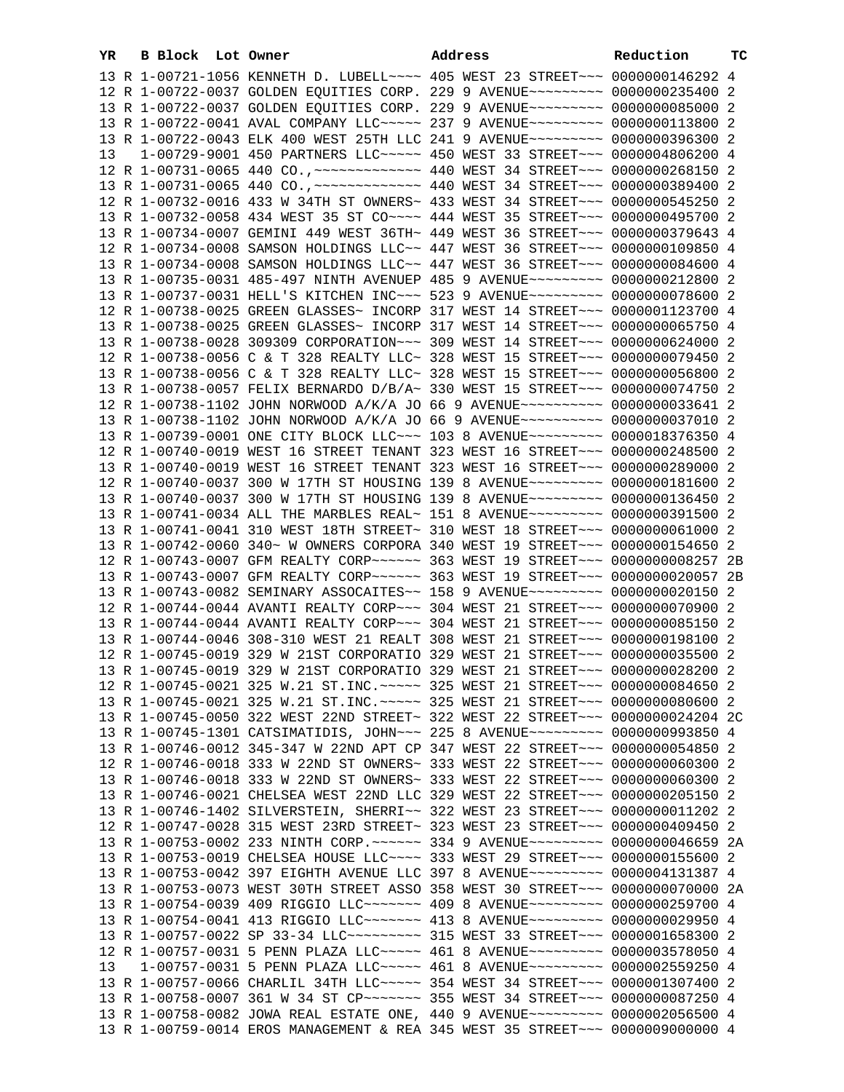| YR | B Block Lot Owner |                                                                                   | Address | Reduction | тc |
|----|-------------------|-----------------------------------------------------------------------------------|---------|-----------|----|
|    |                   | 13 R 1-00721-1056 KENNETH D. LUBELL~~~~ 405 WEST 23 STREET~~~ 0000000146292 4     |         |           |    |
|    |                   | 12 R 1-00722-0037 GOLDEN EQUITIES CORP. 229 9 AVENUE~~~~~~~~~ 0000000235400 2     |         |           |    |
|    |                   | 13 R 1-00722-0037 GOLDEN EQUITIES CORP. 229 9 AVENUE~~~~~~~~~ 0000000085000 2     |         |           |    |
|    |                   |                                                                                   |         |           |    |
|    |                   | 13 R 1-00722-0041 AVAL COMPANY LLC~~~~~ 237 9 AVENUE~~~~~~~~~ 0000000113800 2     |         |           |    |
|    |                   | 13 R 1-00722-0043 ELK 400 WEST 25TH LLC 241 9 AVENUE~~~~~~~~~ 0000000396300 2     |         |           |    |
| 13 |                   | 1-00729-9001 450 PARTNERS LLC ---- 450 WEST 33 STREET -- 0000004806200 4          |         |           |    |
|    |                   |                                                                                   |         |           |    |
|    |                   |                                                                                   |         |           |    |
|    |                   | 12 R 1-00732-0016 433 W 34TH ST OWNERS~ 433 WEST 34 STREET~~~ 0000000545250 2     |         |           |    |
|    |                   | 13 R 1-00732-0058 434 WEST 35 ST CO~~~~ 444 WEST 35 STREET~~~ 0000000495700 2     |         |           |    |
|    |                   | 13 R 1-00734-0007 GEMINI 449 WEST 36TH~ 449 WEST 36 STREET~~~ 0000000379643 4     |         |           |    |
|    |                   | 12 R 1-00734-0008 SAMSON HOLDINGS LLC~~ 447 WEST 36 STREET~~~ 0000000109850 4     |         |           |    |
|    |                   | 13 R 1-00734-0008 SAMSON HOLDINGS LLC~~ 447 WEST 36 STREET~~~ 0000000084600 4     |         |           |    |
|    |                   | 13 R 1-00735-0031 485-497 NINTH AVENUEP 485 9 AVENUE~~~~~~~~~ 0000000212800 2     |         |           |    |
|    |                   | 13 R 1-00737-0031 HELL'S KITCHEN INC~~~ 523 9 AVENUE~~~~~~~~~ 0000000078600 2     |         |           |    |
|    |                   | 12 R 1-00738-0025 GREEN GLASSES~ INCORP 317 WEST 14 STREET~~~ 0000001123700 4     |         |           |    |
|    |                   | 13 R 1-00738-0025 GREEN GLASSES~ INCORP 317 WEST 14 STREET~~~ 0000000065750 4     |         |           |    |
|    |                   | 13 R 1-00738-0028 309309 CORPORATION~~~ 309 WEST 14 STREET~~~ 0000000624000 2     |         |           |    |
|    |                   | 12 R 1-00738-0056 C & T 328 REALTY LLC~ 328 WEST 15 STREET~~~ 0000000079450 2     |         |           |    |
|    |                   | 13 R 1-00738-0056 C & T 328 REALTY LLC~ 328 WEST 15 STREET~~~ 0000000056800 2     |         |           |    |
|    |                   | 13 R 1-00738-0057 FELIX BERNARDO D/B/A~ 330 WEST 15 STREET~~~ 0000000074750 2     |         |           |    |
|    |                   | 12 R 1-00738-1102 JOHN NORWOOD A/K/A JO 66 9 AVENUE~~~~~~~~~~ 0000000033641 2     |         |           |    |
|    |                   | 13 R 1-00738-1102 JOHN NORWOOD A/K/A JO 66 9 AVENUE~~~~~~~~~~ 0000000037010 2     |         |           |    |
|    |                   | 13 R 1-00739-0001 ONE CITY BLOCK LLC ~~~ 103 8 AVENUE ~~~~~~~~~~ 0000018376350 4  |         |           |    |
|    |                   | 12 R 1-00740-0019 WEST 16 STREET TENANT 323 WEST 16 STREET~~~ 0000000248500 2     |         |           |    |
|    |                   | 13 R 1-00740-0019 WEST 16 STREET TENANT 323 WEST 16 STREET~~~ 0000000289000 2     |         |           |    |
|    |                   |                                                                                   |         |           |    |
|    |                   | 12 R 1-00740-0037 300 W 17TH ST HOUSING 139 8 AVENUE~~~~~~~~~ 0000000181600 2     |         |           |    |
|    |                   | 13 R 1-00740-0037 300 W 17TH ST HOUSING 139 8 AVENUE~~~~~~~~~ 0000000136450 2     |         |           |    |
|    |                   | 13 R 1-00741-0034 ALL THE MARBLES REAL~ 151 8 AVENUE~~~~~~~~~ 0000000391500 2     |         |           |    |
|    |                   | 13 R 1-00741-0041 310 WEST 18TH STREET~ 310 WEST 18 STREET~~~ 0000000061000 2     |         |           |    |
|    |                   | 13 R 1-00742-0060 340~ W OWNERS CORPORA 340 WEST 19 STREET~~~ 0000000154650 2     |         |           |    |
|    |                   | 12 R 1-00743-0007 GFM REALTY CORP ~~~~~~ 363 WEST 19 STREET ~~~ 00000000008257 2B |         |           |    |
|    |                   | 13 R 1-00743-0007 GFM REALTY CORP~~~~~~ 363 WEST 19 STREET~~~ 0000000020057 2B    |         |           |    |
|    |                   | 13 R 1-00743-0082 SEMINARY ASSOCAITES~~ 158 9 AVENUE~~~~~~~~~ 0000000020150 2     |         |           |    |
|    |                   | 12 R 1-00744-0044 AVANTI REALTY CORP~~~ 304 WEST 21 STREET~~~ 0000000070900 2     |         |           |    |
|    |                   | 13 R 1-00744-0044 AVANTI REALTY CORP~~~ 304 WEST 21 STREET~~~ 0000000085150 2     |         |           |    |
|    |                   | 13 R 1-00744-0046 308-310 WEST 21 REALT 308 WEST 21 STREET~~~ 0000000198100 2     |         |           |    |
|    |                   | 12 R 1-00745-0019 329 W 21ST CORPORATIO 329 WEST 21 STREET~~~ 0000000035500 2     |         |           |    |
|    |                   | 13 R 1-00745-0019 329 W 21ST CORPORATIO 329 WEST 21 STREET~~~ 0000000028200 2     |         |           |    |
|    |                   | 12 R 1-00745-0021 325 W.21 ST.INC. ~~~~~ 325 WEST 21 STREET~~~ 0000000084650 2    |         |           |    |
|    |                   | 13 R 1-00745-0021 325 W.21 ST.INC. ~~~~~ 325 WEST 21 STREET~~~ 0000000080600 2    |         |           |    |
|    |                   | 13 R 1-00745-0050 322 WEST 22ND STREET~ 322 WEST 22 STREET~~~ 0000000024204 2C    |         |           |    |
|    |                   | 13 R 1-00745-1301 CATSIMATIDIS, JOHN ~~~ 225 8 AVENUE~~~~~~~~~~ 0000000993850 4   |         |           |    |
|    |                   | 13 R 1-00746-0012 345-347 W 22ND APT CP 347 WEST 22 STREET~~~ 0000000054850 2     |         |           |    |
|    |                   | 12 R 1-00746-0018 333 W 22ND ST OWNERS~ 333 WEST 22 STREET~~~ 0000000060300 2     |         |           |    |
|    |                   | 13 R 1-00746-0018 333 W 22ND ST OWNERS~ 333 WEST 22 STREET~~~ 0000000060300 2     |         |           |    |
|    |                   | 13 R 1-00746-0021 CHELSEA WEST 22ND LLC 329 WEST 22 STREET~~~ 0000000205150 2     |         |           |    |
|    |                   | 13 R 1-00746-1402 SILVERSTEIN, SHERRI~~ 322 WEST 23 STREET~~~ 0000000011202 2     |         |           |    |
|    |                   | 12 R 1-00747-0028 315 WEST 23RD STREET~ 323 WEST 23 STREET~~~ 0000000409450 2     |         |           |    |
|    |                   | 13 R 1-00753-0002 233 NINTH CORP. ~~~~~~ 334 9 AVENUE~~~~~~~~~ 0000000046659 2A   |         |           |    |
|    |                   | 13 R 1-00753-0019 CHELSEA HOUSE LLC ~~~~ 333 WEST 29 STREET ~~~ 0000000155600 2   |         |           |    |
|    |                   | 13 R 1-00753-0042 397 EIGHTH AVENUE LLC 397 8 AVENUE~~~~~~~~~ 0000004131387 4     |         |           |    |
|    |                   | 13 R 1-00753-0073 WEST 30TH STREET ASSO 358 WEST 30 STREET~~~ 0000000070000 2A    |         |           |    |
|    |                   | 13 R 1-00754-0039 409 RIGGIO LLC ------ 409 8 AVENUE --------- 0000000259700 4    |         |           |    |
|    |                   | 13 R 1-00754-0041 413 RIGGIO LLC ------- 413 8 AVENUE -------- 0000000029950 4    |         |           |    |
|    |                   | 13 R 1-00757-0022 SP 33-34 LLC --------- 315 WEST 33 STREET --- 0000001658300 2   |         |           |    |
|    |                   | 12 R 1-00757-0031 5 PENN PLAZA LLC~~~~~ 461 8 AVENUE~~~~~~~~~ 0000003578050 4     |         |           |    |
| 13 |                   | 1-00757-0031 5 PENN PLAZA LLC ---- 461 8 AVENUE -------- 0000002559250 4          |         |           |    |
|    |                   | 13 R 1-00757-0066 CHARLIL 34TH LLC ~~~~~ 354 WEST 34 STREET ~~~ 0000001307400 2   |         |           |    |
|    |                   | 13 R 1-00758-0007 361 W 34 ST CP ~~~~~~~~ 355 WEST 34 STREET ~~~ 0000000087250 4  |         |           |    |
|    |                   | 13 R 1-00758-0082 JOWA REAL ESTATE ONE, 440 9 AVENUE~~~~~~~~~ 0000002056500 4     |         |           |    |
|    |                   | 13 R 1-00759-0014 EROS MANAGEMENT & REA 345 WEST 35 STREET~~~ 0000009000000 4     |         |           |    |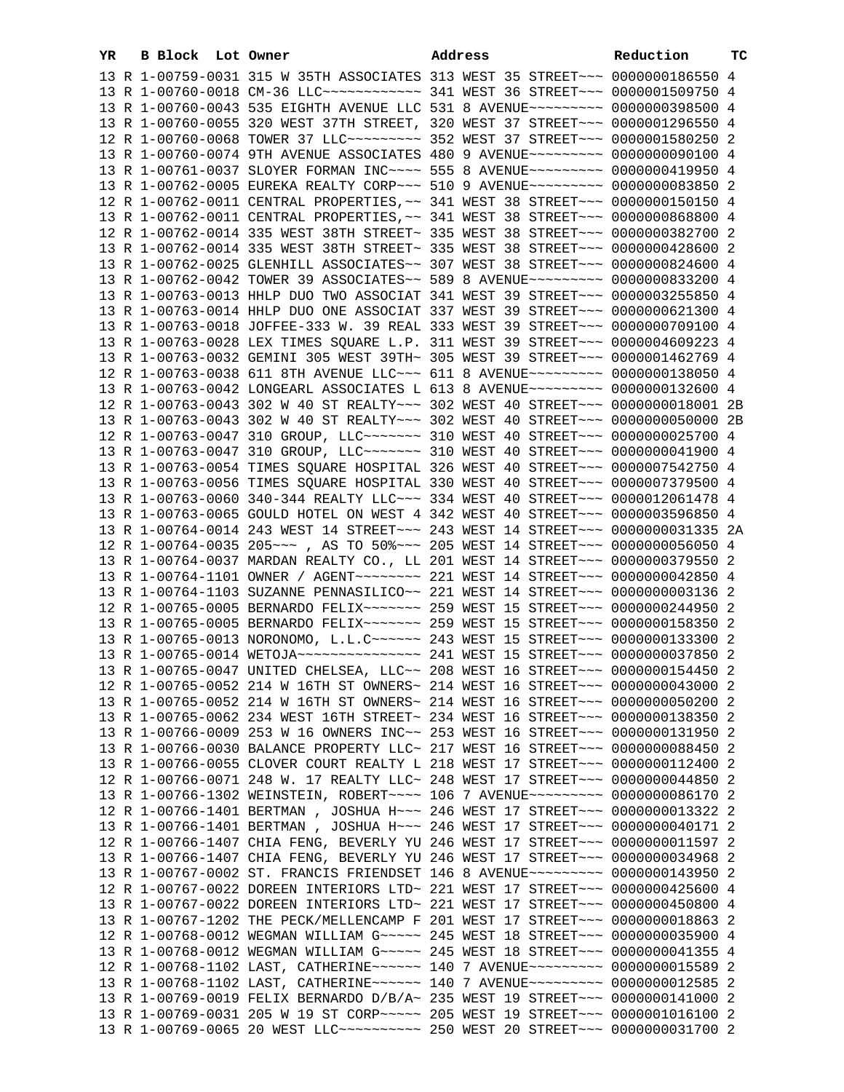| YR | B Block Lot Owner |                                                                                     | Address |  | Reduction | тc |
|----|-------------------|-------------------------------------------------------------------------------------|---------|--|-----------|----|
|    |                   | 13 R 1-00759-0031 315 W 35TH ASSOCIATES 313 WEST 35 STREET~~~ 0000000186550 4       |         |  |           |    |
|    |                   | 13 R 1-00760-0018 CM-36 LLC ------------ 341 WEST 36 STREET --- 0000001509750 4     |         |  |           |    |
|    |                   | 13 R 1-00760-0043 535 EIGHTH AVENUE LLC 531 8 AVENUE~~~~~~~~~ 0000000398500 4       |         |  |           |    |
|    |                   | 13 R 1-00760-0055 320 WEST 37TH STREET, 320 WEST 37 STREET~~~ 0000001296550 4       |         |  |           |    |
|    |                   | 12 R 1-00760-0068 TOWER 37 LLC -------- 352 WEST 37 STREET -- 0000001580250 2       |         |  |           |    |
|    |                   | 13 R 1-00760-0074 9TH AVENUE ASSOCIATES 480 9 AVENUE~~~~~~~~~ 0000000090100 4       |         |  |           |    |
|    |                   | 13 R 1-00761-0037 SLOYER FORMAN INC~~~~ 555 8 AVENUE~~~~~~~~~ 0000000419950 4       |         |  |           |    |
|    |                   | 13 R 1-00762-0005 EUREKA REALTY CORP~~~ 510 9 AVENUE~~~~~~~~~ 0000000083850 2       |         |  |           |    |
|    |                   | 12 R 1-00762-0011 CENTRAL PROPERTIES, ~~ 341 WEST 38 STREET~~~ 0000000150150 4      |         |  |           |    |
|    |                   | 13 R 1-00762-0011 CENTRAL PROPERTIES, ~~ 341 WEST 38 STREET~~~ 0000000868800 4      |         |  |           |    |
|    |                   | 12 R 1-00762-0014 335 WEST 38TH STREET~ 335 WEST 38 STREET~~~ 0000000382700 2       |         |  |           |    |
|    |                   | 13 R 1-00762-0014 335 WEST 38TH STREET~ 335 WEST 38 STREET~~~ 0000000428600 2       |         |  |           |    |
|    |                   | 13 R 1-00762-0025 GLENHILL ASSOCIATES~~ 307 WEST 38 STREET~~~ 0000000824600 4       |         |  |           |    |
|    |                   | 13 R 1-00762-0042 TOWER 39 ASSOCIATES~~ 589 8 AVENUE~~~~~~~~~ 0000000833200 4       |         |  |           |    |
|    |                   | 13 R 1-00763-0013 HHLP DUO TWO ASSOCIAT 341 WEST 39 STREET~~~ 0000003255850 4       |         |  |           |    |
|    |                   | 13 R 1-00763-0014 HHLP DUO ONE ASSOCIAT 337 WEST 39 STREET~~~ 0000000621300 4       |         |  |           |    |
|    |                   | 13 R 1-00763-0018 JOFFEE-333 W. 39 REAL 333 WEST 39 STREET~~~ 0000000709100 4       |         |  |           |    |
|    |                   | 13 R 1-00763-0028 LEX TIMES SQUARE L.P. 311 WEST 39 STREET~~~ 0000004609223 4       |         |  |           |    |
|    |                   | 13 R 1-00763-0032 GEMINI 305 WEST 39TH~ 305 WEST 39 STREET~~~ 0000001462769 4       |         |  |           |    |
|    |                   | 12 R 1-00763-0038 611 8TH AVENUE LLC~~~ 611 8 AVENUE~~~~~~~~~ 0000000138050 4       |         |  |           |    |
|    |                   | 13 R 1-00763-0042 LONGEARL ASSOCIATES L 613 8 AVENUE~~~~~~~~~ 0000000132600 4       |         |  |           |    |
|    |                   | 12 R 1-00763-0043 302 W 40 ST REALTY~~~ 302 WEST 40 STREET~~~ 0000000018001 2B      |         |  |           |    |
|    |                   | 13 R 1-00763-0043 302 W 40 ST REALTY~~~ 302 WEST 40 STREET~~~ 0000000050000 2B      |         |  |           |    |
|    |                   | 12 R 1-00763-0047 310 GROUP, LLC ------- 310 WEST 40 STREET -- 0000000025700 4      |         |  |           |    |
|    |                   | 13 R 1-00763-0047 310 GROUP, LLC ------ 310 WEST 40 STREET --- 0000000041900 4      |         |  |           |    |
|    |                   | 13 R 1-00763-0054 TIMES SQUARE HOSPITAL 326 WEST 40 STREET~~~ 0000007542750 4       |         |  |           |    |
|    |                   | 13 R 1-00763-0056 TIMES SQUARE HOSPITAL 330 WEST 40 STREET~~~ 0000007379500 4       |         |  |           |    |
|    |                   | 13 R 1-00763-0060 340-344 REALTY LLC~~~ 334 WEST 40 STREET~~~ 0000012061478 4       |         |  |           |    |
|    |                   | 13 R 1-00763-0065 GOULD HOTEL ON WEST 4 342 WEST 40 STREET~~~ 0000003596850 4       |         |  |           |    |
|    |                   | 13 R 1-00764-0014 243 WEST 14 STREET~~~ 243 WEST 14 STREET~~~ 0000000031335 2A      |         |  |           |    |
|    |                   | 12 R 1-00764-0035 205 ~~~ , AS TO 50% ~~~ 205 WEST 14 STREET ~~~ 0000000056050 4    |         |  |           |    |
|    |                   | 13 R 1-00764-0037 MARDAN REALTY CO., LL 201 WEST 14 STREET~~~ 0000000379550 2       |         |  |           |    |
|    |                   | 13 R 1-00764-1101 OWNER / AGENT~~~~~~~~ 221 WEST 14 STREET~~~ 0000000042850 4       |         |  |           |    |
|    |                   | 13 R 1-00764-1103 SUZANNE PENNASILICO~~ 221 WEST 14 STREET~~~ 00000000003136 2      |         |  |           |    |
|    |                   | 12 R 1-00765-0005 BERNARDO FELIX~~~~~~~ 259 WEST 15 STREET~~~ 0000000244950 2       |         |  |           |    |
|    |                   | 13 R 1-00765-0005 BERNARDO FELIX~~~~~~~ 259 WEST 15 STREET~~~ 0000000158350 2       |         |  |           |    |
|    |                   | 13 R 1-00765-0013 NORONOMO, L.L.C ~~~~~~ 243 WEST 15 STREET ~~~ 0000000133300 2     |         |  |           |    |
|    |                   |                                                                                     |         |  |           |    |
|    |                   | 13 R 1-00765-0047 UNITED CHELSEA, LLC~~ 208 WEST 16 STREET~~~ 0000000154450 2       |         |  |           |    |
|    |                   | 12 R 1-00765-0052 214 W 16TH ST OWNERS~ 214 WEST 16 STREET~~~ 0000000043000 2       |         |  |           |    |
|    |                   | 13 R 1-00765-0052 214 W 16TH ST OWNERS~ 214 WEST 16 STREET~~~ 0000000050200 2       |         |  |           |    |
|    |                   | 13 R 1-00765-0062 234 WEST 16TH STREET~ 234 WEST 16 STREET~~~ 0000000138350 2       |         |  |           |    |
|    |                   | 13 R 1-00766-0009 253 W 16 OWNERS INC~~ 253 WEST 16 STREET~~~ 0000000131950 2       |         |  |           |    |
|    |                   | 13 R 1-00766-0030 BALANCE PROPERTY LLC~ 217 WEST 16 STREET~~~ 0000000088450 2       |         |  |           |    |
|    |                   | 13 R 1-00766-0055 CLOVER COURT REALTY L 218 WEST 17 STREET~~~ 0000000112400 2       |         |  |           |    |
|    |                   | 12 R 1-00766-0071 248 W. 17 REALTY LLC~ 248 WEST 17 STREET~~~ 0000000044850 2       |         |  |           |    |
|    |                   | 13 R 1-00766-1302 WEINSTEIN, ROBERT~~~~ 106 7 AVENUE~~~~~~~~~ 0000000086170 2       |         |  |           |    |
|    |                   | 12 R 1-00766-1401 BERTMAN , JOSHUA H~~~ 246 WEST 17 STREET~~~ 0000000013322 2       |         |  |           |    |
|    |                   | 13 R 1-00766-1401 BERTMAN , JOSHUA H~~~ 246 WEST 17 STREET~~~ 0000000040171 2       |         |  |           |    |
|    |                   | 12 R 1-00766-1407 CHIA FENG, BEVERLY YU 246 WEST 17 STREET~~~ 0000000011597 2       |         |  |           |    |
|    |                   | 13 R 1-00766-1407 CHIA FENG, BEVERLY YU 246 WEST 17 STREET~~~ 0000000034968 2       |         |  |           |    |
|    |                   | 13 R 1-00767-0002 ST. FRANCIS FRIENDSET 146 8 AVENUE~~~~~~~~~ 0000000143950 2       |         |  |           |    |
|    |                   | 12 R 1-00767-0022 DOREEN INTERIORS LTD~ 221 WEST 17 STREET~~~ 0000000425600 4       |         |  |           |    |
|    |                   | 13 R 1-00767-0022 DOREEN INTERIORS LTD~ 221 WEST 17 STREET~~~ 0000000450800 4       |         |  |           |    |
|    |                   | 13 R 1-00767-1202 THE PECK/MELLENCAMP F 201 WEST 17 STREET~~~ 0000000018863 2       |         |  |           |    |
|    |                   | 12 R 1-00768-0012 WEGMAN WILLIAM G~~~~~ 245 WEST 18 STREET~~~ 0000000035900 4       |         |  |           |    |
|    |                   | 13 R 1-00768-0012 WEGMAN WILLIAM G~~~~~ 245 WEST 18 STREET~~~ 0000000041355 4       |         |  |           |    |
|    |                   | 12 R 1-00768-1102 LAST, CATHERINE~~~~~~ 140 7 AVENUE~~~~~~~~~ 0000000015589 2       |         |  |           |    |
|    |                   | 13 R 1-00768-1102 LAST, CATHERINE~~~~~~ 140 7 AVENUE~~~~~~~~~ 0000000012585 2       |         |  |           |    |
|    |                   | 13 R 1-00769-0019 FELIX BERNARDO D/B/A~ 235 WEST 19 STREET~~~ 0000000141000 2       |         |  |           |    |
|    |                   | 13 R 1-00769-0031 205 W 19 ST CORP~~~~~ 205 WEST 19 STREET~~~ 0000001016100 2       |         |  |           |    |
|    |                   | 13 R 1-00769-0065 20 WEST LLC~~~~~~~~~~~~~~~ 250 WEST 20 STREET~~~ 00000000031700 2 |         |  |           |    |
|    |                   |                                                                                     |         |  |           |    |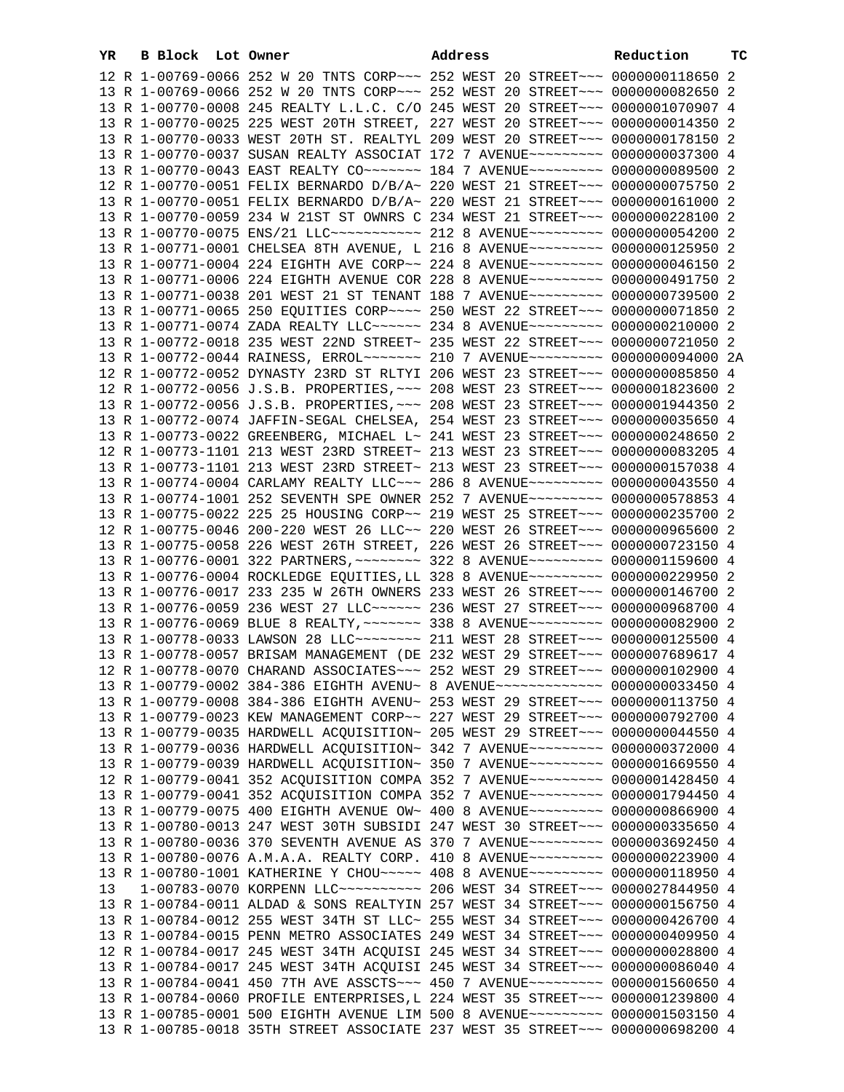| YR | B Block Lot Owner |                                                                                                                                                                | Address | Reduction | тC |
|----|-------------------|----------------------------------------------------------------------------------------------------------------------------------------------------------------|---------|-----------|----|
|    |                   | 12 R 1-00769-0066 252 W 20 TNTS CORP~~~ 252 WEST 20 STREET~~~ 0000000118650 2                                                                                  |         |           |    |
|    |                   | 13 R 1-00769-0066 252 W 20 TNTS CORP~~~ 252 WEST 20 STREET~~~ 0000000082650 2                                                                                  |         |           |    |
|    |                   | 13 R 1-00770-0008 245 REALTY L.L.C. C/O 245 WEST 20 STREET~~~ 0000001070907 4                                                                                  |         |           |    |
|    |                   | 13 R 1-00770-0025 225 WEST 20TH STREET, 227 WEST 20 STREET~~~ 0000000014350 2                                                                                  |         |           |    |
|    |                   | 13 R 1-00770-0033 WEST 20TH ST. REALTYL 209 WEST 20 STREET~~~ 0000000178150 2                                                                                  |         |           |    |
|    |                   | 13 R 1-00770-0037 SUSAN REALTY ASSOCIAT 172 7 AVENUE~~~~~~~~~ 0000000037300 4                                                                                  |         |           |    |
|    |                   | 13 R 1-00770-0043 EAST REALTY CO~~~~~~~ 184 7 AVENUE~~~~~~~~~ 0000000089500 2                                                                                  |         |           |    |
|    |                   | 12 R 1-00770-0051 FELIX BERNARDO D/B/A~ 220 WEST 21 STREET~~~ 0000000075750 2                                                                                  |         |           |    |
|    |                   | 13 R 1-00770-0051 FELIX BERNARDO D/B/A~ 220 WEST 21 STREET~~~ 0000000161000 2                                                                                  |         |           |    |
|    |                   | 13 R 1-00770-0059 234 W 21ST ST OWNRS C 234 WEST 21 STREET~~~ 0000000228100 2                                                                                  |         |           |    |
|    |                   | 13 R 1-00770-0075 ENS/21 LLC ----------- 212 8 AVENUE --------- 0000000054200 2                                                                                |         |           |    |
|    |                   | 13 R 1-00771-0001 CHELSEA 8TH AVENUE, L 216 8 AVENUE~~~~~~~~~ 0000000125950 2                                                                                  |         |           |    |
|    |                   | 13 R 1-00771-0004 224 EIGHTH AVE CORP~~ 224 8 AVENUE~~~~~~~~~ 0000000046150 2                                                                                  |         |           |    |
|    |                   | 13 R 1-00771-0006 224 EIGHTH AVENUE COR 228 8 AVENUE~~~~~~~~~ 0000000491750 2                                                                                  |         |           |    |
|    |                   | 13 R 1-00771-0038 201 WEST 21 ST TENANT 188 7 AVENUE~~~~~~~~~ 0000000739500 2                                                                                  |         |           |    |
|    |                   | 13 R 1-00771-0065 250 EQUITIES CORP~~~~ 250 WEST 22 STREET~~~ 0000000071850 2                                                                                  |         |           |    |
|    |                   | 13 R 1-00771-0074 ZADA REALTY LLC~~~~~~ 234 8 AVENUE~~~~~~~~~ 0000000210000 2                                                                                  |         |           |    |
|    |                   | 13 R 1-00772-0018 235 WEST 22ND STREET~ 235 WEST 22 STREET~~~ 0000000721050 2                                                                                  |         |           |    |
|    |                   | 13 R 1-00772-0044 RAINESS, ERROL~~~~~~~ 210 7 AVENUE~~~~~~~~~ 0000000094000 2A                                                                                 |         |           |    |
|    |                   | 12 R 1-00772-0052 DYNASTY 23RD ST RLTYI 206 WEST 23 STREET~~~ 0000000085850 4                                                                                  |         |           |    |
|    |                   | 12 R 1-00772-0056 J.S.B. PROPERTIES, ~~~ 208 WEST 23 STREET~~~ 0000001823600 2                                                                                 |         |           |    |
|    |                   | 13 R 1-00772-0056 J.S.B. PROPERTIES, ~~~ 208 WEST 23 STREET~~~ 0000001944350 2                                                                                 |         |           |    |
|    |                   | 13 R 1-00772-0074 JAFFIN-SEGAL CHELSEA, 254 WEST 23 STREET~~~ 0000000035650 4                                                                                  |         |           |    |
|    |                   | 13 R 1-00773-0022 GREENBERG, MICHAEL L~ 241 WEST 23 STREET~~~ 0000000248650 2                                                                                  |         |           |    |
|    |                   | 12 R 1-00773-1101 213 WEST 23RD STREET~ 213 WEST 23 STREET~~~ 0000000083205 4                                                                                  |         |           |    |
|    |                   | 13 R 1-00773-1101 213 WEST 23RD STREET~ 213 WEST 23 STREET~~~ 0000000157038 4                                                                                  |         |           |    |
|    |                   | 13 R 1-00774-0004 CARLAMY REALTY LLC~~~ 286 8 AVENUE~~~~~~~~~ 0000000043550 4                                                                                  |         |           |    |
|    |                   | 13 R 1-00774-1001 252 SEVENTH SPE OWNER 252 7 AVENUE~~~~~~~~~ 0000000578853 4                                                                                  |         |           |    |
|    |                   | 13 R 1-00775-0022 225 25 HOUSING CORP~~ 219 WEST 25 STREET~~~ 0000000235700 2                                                                                  |         |           |    |
|    |                   | 12 R 1-00775-0046 200-220 WEST 26 LLC~~ 220 WEST 26 STREET~~~ 0000000965600 2                                                                                  |         |           |    |
|    |                   | 13 R 1-00775-0058 226 WEST 26TH STREET, 226 WEST 26 STREET~~~ 0000000723150 4                                                                                  |         |           |    |
|    |                   | 13 R 1-00776-0001 322 PARTNERS, ~~~~~~~~ 322 8 AVENUE~~~~~~~~~ 0000001159600 4                                                                                 |         |           |    |
|    |                   | 13 R 1-00776-0004 ROCKLEDGE EQUITIES, LL 328 8 AVENUE~~~~~~~~~ 0000000229950 2                                                                                 |         |           |    |
|    |                   | 13 R 1-00776-0017 233 235 W 26TH OWNERS 233 WEST 26 STREET~~~ 0000000146700 2                                                                                  |         |           |    |
|    |                   | 13 R 1-00776-0059 236 WEST 27 LLC ----- 236 WEST 27 STREET -- 0000000968700 4                                                                                  |         |           |    |
|    |                   | 13 R 1-00776-0069 BLUE 8 REALTY, ~~~~~~~ 338 8 AVENUE~~~~~~~~~ 0000000082900 2                                                                                 |         |           |    |
|    |                   | 13 R 1-00778-0033 LAWSON 28 LLC~~~~~~~~ 211 WEST 28 STREET~~~ 0000000125500 4                                                                                  |         |           |    |
|    |                   | 13 R 1-00778-0057 BRISAM MANAGEMENT (DE 232 WEST 29 STREET~~~ 0000007689617 4                                                                                  |         |           |    |
|    |                   | 12 R 1-00778-0070 CHARAND ASSOCIATES ~~~ 252 WEST 29 STREET ~~~ 0000000102900 4                                                                                |         |           |    |
|    |                   | 13 R 1-00779-0002 384-386 EIGHTH AVENU~ 8 AVENUE~~~~~~~~~~~~~ 0000000033450 4                                                                                  |         |           |    |
|    |                   | 13 R 1-00779-0008 384-386 EIGHTH AVENU~ 253 WEST 29 STREET~~~ 0000000113750 4                                                                                  |         |           |    |
|    |                   | 13 R 1-00779-0023 KEW MANAGEMENT CORP~~ 227 WEST 29 STREET~~~ 0000000792700 4                                                                                  |         |           |    |
|    |                   | 13 R 1-00779-0035 HARDWELL ACQUISITION~ 205 WEST 29 STREET~~~ 0000000044550 4                                                                                  |         |           |    |
|    |                   | 13 R 1-00779-0036 HARDWELL ACQUISITION~ 342 7 AVENUE~~~~~~~~~ 0000000372000 4                                                                                  |         |           |    |
|    |                   | 13 R 1-00779-0039 HARDWELL ACQUISITION~ 350 7 AVENUE~~~~~~~~~ 0000001669550 4                                                                                  |         |           |    |
|    |                   | 12 R 1-00779-0041 352 ACQUISITION COMPA 352 7 AVENUE~~~~~~~~~ 0000001428450 4                                                                                  |         |           |    |
|    |                   | 13 R 1-00779-0041 352 ACQUISITION COMPA 352 7 AVENUE~~~~~~~~~ 0000001794450 4                                                                                  |         |           |    |
|    |                   | 13 R 1-00779-0075 400 EIGHTH AVENUE OW~ 400 8 AVENUE~~~~~~~~~ 0000000866900 4                                                                                  |         |           |    |
|    |                   | 13 R 1-00780-0013 247 WEST 30TH SUBSIDI 247 WEST 30 STREET~~~ 0000000335650 4<br>13 R 1-00780-0036 370 SEVENTH AVENUE AS 370 7 AVENUE~~~~~~~~~ 0000003692450 4 |         |           |    |
|    |                   | 13 R 1-00780-0076 A.M.A.A. REALTY CORP. 410 8 AVENUE~~~~~~~~~ 0000000223900 4                                                                                  |         |           |    |
|    |                   |                                                                                                                                                                |         |           |    |
| 13 |                   | 13 R 1-00780-1001 KATHERINE Y CHOU~~~~~ 408 8 AVENUE~~~~~~~~~ 0000000118950 4                                                                                  |         |           |    |
|    |                   | 13 R 1-00784-0011 ALDAD & SONS REALTYIN 257 WEST 34 STREET~~~ 0000000156750 4                                                                                  |         |           |    |
|    |                   | 13 R 1-00784-0012 255 WEST 34TH ST LLC~ 255 WEST 34 STREET~~~ 0000000426700 4                                                                                  |         |           |    |
|    |                   | 13 R 1-00784-0015 PENN METRO ASSOCIATES 249 WEST 34 STREET~~~ 0000000409950 4                                                                                  |         |           |    |
|    |                   | 12 R 1-00784-0017 245 WEST 34TH ACQUISI 245 WEST 34 STREET~~~ 0000000028800 4                                                                                  |         |           |    |
|    |                   | 13 R 1-00784-0017 245 WEST 34TH ACQUISI 245 WEST 34 STREET~~~ 0000000086040 4                                                                                  |         |           |    |
|    |                   | 13 R 1-00784-0041 450 7TH AVE ASSCTS -- 450 7 AVENUE --------- 0000001560650 4                                                                                 |         |           |    |
|    |                   | 13 R 1-00784-0060 PROFILE ENTERPRISES, L 224 WEST 35 STREET~~~ 0000001239800 4                                                                                 |         |           |    |
|    |                   | 13 R 1-00785-0001 500 EIGHTH AVENUE LIM 500 8 AVENUE~~~~~~~~~ 0000001503150 4                                                                                  |         |           |    |
|    |                   | 13 R 1-00785-0018 35TH STREET ASSOCIATE 237 WEST 35 STREET~~~ 0000000698200 4                                                                                  |         |           |    |
|    |                   |                                                                                                                                                                |         |           |    |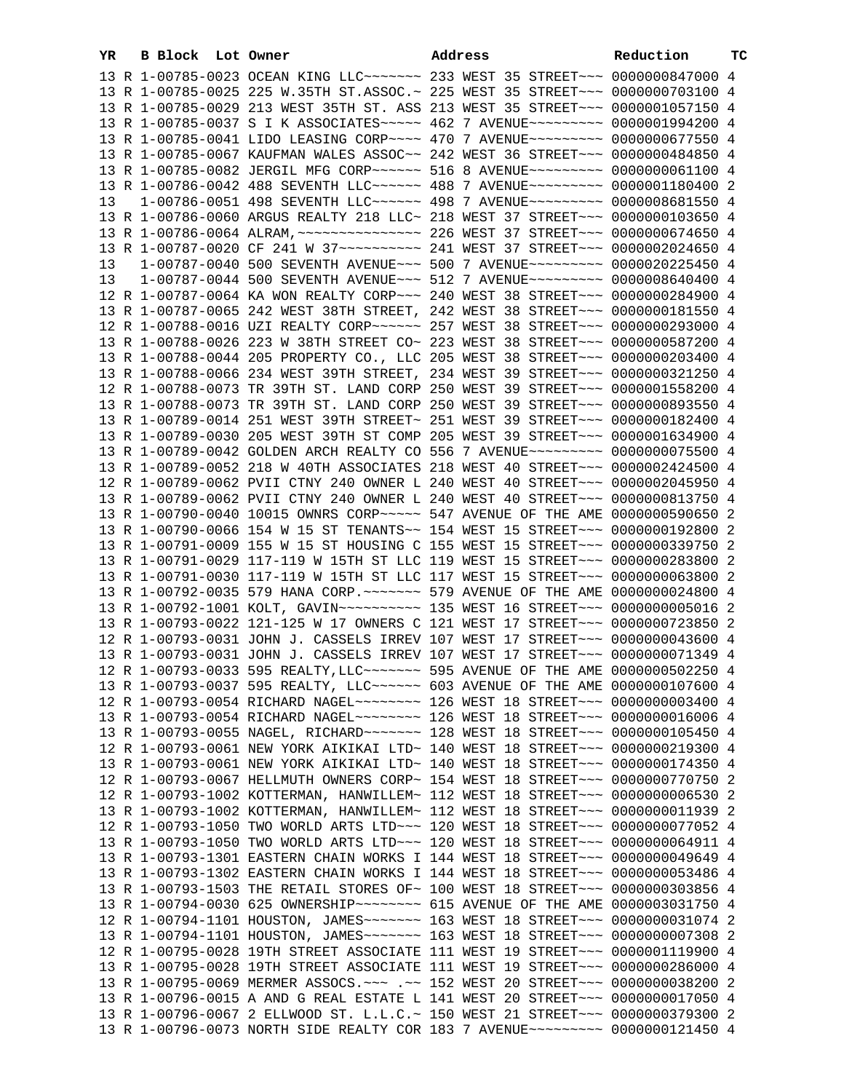| YR. |  | B Block Lot Owner |                                                                                                                                                                | Address |  | Reduction | тc |
|-----|--|-------------------|----------------------------------------------------------------------------------------------------------------------------------------------------------------|---------|--|-----------|----|
|     |  |                   | 13 R 1-00785-0023 OCEAN KING LLC ------ 233 WEST 35 STREET -- 0000000847000 4                                                                                  |         |  |           |    |
|     |  |                   | 13 R 1-00785-0025 225 W.35TH ST.ASSOC.~ 225 WEST 35 STREET~~~ 0000000703100 4                                                                                  |         |  |           |    |
|     |  |                   | 13 R 1-00785-0029 213 WEST 35TH ST. ASS 213 WEST 35 STREET~~~ 0000001057150 4                                                                                  |         |  |           |    |
|     |  |                   | 13 R 1-00785-0037 S I K ASSOCIATES~~~~~ 462 7 AVENUE~~~~~~~~~ 0000001994200 4                                                                                  |         |  |           |    |
|     |  |                   | 13 R 1-00785-0041 LIDO LEASING CORP~~~~ 470 7 AVENUE~~~~~~~~~ 0000000677550 4                                                                                  |         |  |           |    |
|     |  |                   | 13 R 1-00785-0067 KAUFMAN WALES ASSOC~~ 242 WEST 36 STREET~~~ 0000000484850 4                                                                                  |         |  |           |    |
|     |  |                   | 13 R 1-00785-0082 JERGIL MFG CORP~~~~~~ 516 8 AVENUE~~~~~~~~~ 0000000061100 4                                                                                  |         |  |           |    |
|     |  |                   | 13 R 1-00786-0042 488 SEVENTH LLC ----- 488 7 AVENUE -------- 0000001180400 2                                                                                  |         |  |           |    |
| 13  |  |                   | 1-00786-0051 498 SEVENTH LLC ----- 498 7 AVENUE -------- 0000008681550 4                                                                                       |         |  |           |    |
|     |  |                   | 13 R 1-00786-0060 ARGUS REALTY 218 LLC~ 218 WEST 37 STREET~~~ 0000000103650 4                                                                                  |         |  |           |    |
|     |  |                   |                                                                                                                                                                |         |  |           |    |
|     |  |                   | 13 R 1-00787-0020 CF 241 W 37~~~~~~~~~~~~~~~ 241 WEST 37 STREET~~~ 0000002024650 4                                                                             |         |  |           |    |
| 13  |  |                   | 1-00787-0040 500 SEVENTH AVENUE~~~ 500 7 AVENUE~~~~~~~~~ 0000020225450 4                                                                                       |         |  |           |    |
| 13  |  |                   | 1-00787-0044 500 SEVENTH AVENUE~~~ 512 7 AVENUE~~~~~~~~~ 0000008640400 4                                                                                       |         |  |           |    |
|     |  |                   | 12 R 1-00787-0064 KA WON REALTY CORP~~~ 240 WEST 38 STREET~~~ 0000000284900 4                                                                                  |         |  |           |    |
|     |  |                   | 13 R 1-00787-0065 242 WEST 38TH STREET, 242 WEST 38 STREET~~~ 0000000181550 4                                                                                  |         |  |           |    |
|     |  |                   | 12 R 1-00788-0016 UZI REALTY CORP~~~~~~ 257 WEST 38 STREET~~~ 0000000293000 4                                                                                  |         |  |           |    |
|     |  |                   | 13 R 1-00788-0026 223 W 38TH STREET CO~ 223 WEST 38 STREET~~~ 0000000587200 4<br>13 R 1-00788-0044 205 PROPERTY CO., LLC 205 WEST 38 STREET~~~ 0000000203400 4 |         |  |           |    |
|     |  |                   | 13 R 1-00788-0066 234 WEST 39TH STREET, 234 WEST 39 STREET~~~ 0000000321250 4                                                                                  |         |  |           |    |
|     |  |                   | 12 R 1-00788-0073 TR 39TH ST. LAND CORP 250 WEST 39 STREET~~~ 0000001558200 4                                                                                  |         |  |           |    |
|     |  |                   | 13 R 1-00788-0073 TR 39TH ST. LAND CORP 250 WEST 39 STREET~~~ 0000000893550 4                                                                                  |         |  |           |    |
|     |  |                   | 13 R 1-00789-0014 251 WEST 39TH STREET~ 251 WEST 39 STREET~~~ 0000000182400 4                                                                                  |         |  |           |    |
|     |  |                   | 13 R 1-00789-0030 205 WEST 39TH ST COMP 205 WEST 39 STREET~~~ 0000001634900 4                                                                                  |         |  |           |    |
|     |  |                   | 13 R 1-00789-0042 GOLDEN ARCH REALTY CO 556 7 AVENUE~~~~~~~~~ 0000000075500 4                                                                                  |         |  |           |    |
|     |  |                   | 13 R 1-00789-0052 218 W 40TH ASSOCIATES 218 WEST 40 STREET~~~ 0000002424500 4                                                                                  |         |  |           |    |
|     |  |                   | 12 R 1-00789-0062 PVII CTNY 240 OWNER L 240 WEST 40 STREET~~~ 0000002045950 4                                                                                  |         |  |           |    |
|     |  |                   | 13 R 1-00789-0062 PVII CTNY 240 OWNER L 240 WEST 40 STREET~~~ 0000000813750 4                                                                                  |         |  |           |    |
|     |  |                   | 13 R 1-00790-0040 10015 OWNRS CORP~~~~~ 547 AVENUE OF THE AME 0000000590650 2                                                                                  |         |  |           |    |
|     |  |                   | 13 R 1-00790-0066 154 W 15 ST TENANTS~~ 154 WEST 15 STREET~~~ 0000000192800 2                                                                                  |         |  |           |    |
|     |  |                   | 13 R 1-00791-0009 155 W 15 ST HOUSING C 155 WEST 15 STREET~~~ 0000000339750 2                                                                                  |         |  |           |    |
|     |  |                   | 13 R 1-00791-0029 117-119 W 15TH ST LLC 119 WEST 15 STREET~~~ 0000000283800 2                                                                                  |         |  |           |    |
|     |  |                   | 13 R 1-00791-0030 117-119 W 15TH ST LLC 117 WEST 15 STREET~~~ 0000000063800 2                                                                                  |         |  |           |    |
|     |  |                   | 13 R 1-00792-0035 579 HANA CORP. ~~~~~~~ 579 AVENUE OF THE AME 0000000024800 4                                                                                 |         |  |           |    |
|     |  |                   | 13 R 1-00792-1001 KOLT, GAVIN~~~~~~~~~~~~~~ 135 WEST 16 STREET~~~ 00000000005016 2                                                                             |         |  |           |    |
|     |  |                   | 13 R 1-00793-0022 121-125 W 17 OWNERS C 121 WEST 17 STREET~~~ 0000000723850 2                                                                                  |         |  |           |    |
|     |  |                   | 12 R 1-00793-0031 JOHN J. CASSELS IRREV 107 WEST 17 STREET~~~ 0000000043600 4                                                                                  |         |  |           |    |
|     |  |                   | 13 R 1-00793-0031 JOHN J. CASSELS IRREV 107 WEST 17 STREET~~~ 0000000071349 4                                                                                  |         |  |           |    |
|     |  |                   |                                                                                                                                                                |         |  |           |    |
|     |  |                   | 13 R 1-00793-0037 595 REALTY, LLC ~~~~~~ 603 AVENUE OF THE AME 0000000107600 4                                                                                 |         |  |           |    |
|     |  |                   | 12 R 1-00793-0054 RICHARD NAGEL~~~~~~~~ 126 WEST 18 STREET~~~ 0000000003400 4                                                                                  |         |  |           |    |
|     |  |                   | 13 R 1-00793-0054 RICHARD NAGEL~~~~~~~~ 126 WEST 18 STREET~~~ 0000000016006 4                                                                                  |         |  |           |    |
|     |  |                   | 13 R 1-00793-0055 NAGEL, RICHARD ~~~~~~~ 128 WEST 18 STREET ~~~ 0000000105450 4                                                                                |         |  |           |    |
|     |  |                   | 12 R 1-00793-0061 NEW YORK AIKIKAI LTD~ 140 WEST 18 STREET~~~ 0000000219300 4<br>13 R 1-00793-0061 NEW YORK AIKIKAI LTD~ 140 WEST 18 STREET~~~ 0000000174350 4 |         |  |           |    |
|     |  |                   | 12 R 1-00793-0067 HELLMUTH OWNERS CORP~ 154 WEST 18 STREET~~~ 0000000770750 2                                                                                  |         |  |           |    |
|     |  |                   | 12 R 1-00793-1002 KOTTERMAN, HANWILLEM~ 112 WEST 18 STREET~~~ 0000000006530 2                                                                                  |         |  |           |    |
|     |  |                   | 13 R 1-00793-1002 KOTTERMAN, HANWILLEM~ 112 WEST 18 STREET~~~ 0000000011939 2                                                                                  |         |  |           |    |
|     |  |                   | 12 R 1-00793-1050 TWO WORLD ARTS LTD~~~ 120 WEST 18 STREET~~~ 0000000077052 4                                                                                  |         |  |           |    |
|     |  |                   | 13 R 1-00793-1050 TWO WORLD ARTS LTD ~~~ 120 WEST 18 STREET ~~~ 0000000064911 4                                                                                |         |  |           |    |
|     |  |                   | 13 R 1-00793-1301 EASTERN CHAIN WORKS I 144 WEST 18 STREET~~~ 0000000049649 4                                                                                  |         |  |           |    |
|     |  |                   | 13 R 1-00793-1302 EASTERN CHAIN WORKS I 144 WEST 18 STREET~~~ 0000000053486 4                                                                                  |         |  |           |    |
|     |  |                   | 13 R 1-00793-1503 THE RETAIL STORES OF~ 100 WEST 18 STREET~~~ 0000000303856 4                                                                                  |         |  |           |    |
|     |  |                   |                                                                                                                                                                |         |  |           |    |
|     |  |                   | 12 R 1-00794-1101 HOUSTON, JAMES ------ 163 WEST 18 STREET -- 0000000031074 2                                                                                  |         |  |           |    |
|     |  |                   | 13 R 1-00794-1101 HOUSTON, JAMES~~~~~~~ 163 WEST 18 STREET~~~ 0000000007308 2                                                                                  |         |  |           |    |
|     |  |                   | 12 R 1-00795-0028 19TH STREET ASSOCIATE 111 WEST 19 STREET~~~ 0000001119900 4                                                                                  |         |  |           |    |
|     |  |                   | 13 R 1-00795-0028 19TH STREET ASSOCIATE 111 WEST 19 STREET~~~ 0000000286000 4                                                                                  |         |  |           |    |
|     |  |                   | 13 R 1-00795-0069 MERMER ASSOCS. ~~~ .~~ 152 WEST 20 STREET~~~ 0000000038200 2                                                                                 |         |  |           |    |
|     |  |                   | 13 R 1-00796-0015 A AND G REAL ESTATE L 141 WEST 20 STREET~~~ 0000000017050 4                                                                                  |         |  |           |    |
|     |  |                   | 13 R 1-00796-0067 2 ELLWOOD ST. L.L.C.~ 150 WEST 21 STREET~~~ 0000000379300 2                                                                                  |         |  |           |    |
|     |  |                   | 13 R 1-00796-0073 NORTH SIDE REALTY COR 183 7 AVENUE~~~~~~~~~ 0000000121450 4                                                                                  |         |  |           |    |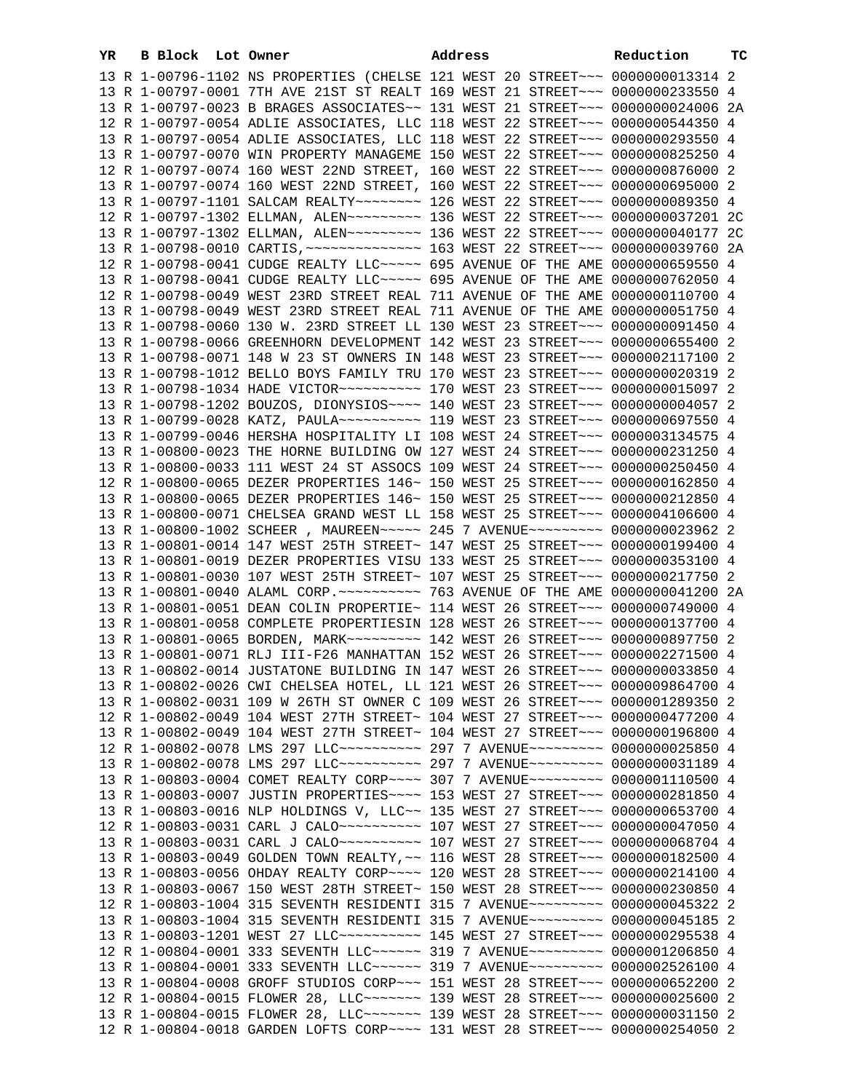| YR | B Block Lot Owner |                                                                                      | Address | Reduction | тc |
|----|-------------------|--------------------------------------------------------------------------------------|---------|-----------|----|
|    |                   | 13 R 1-00796-1102 NS PROPERTIES (CHELSE 121 WEST 20 STREET~~~ 0000000013314 2        |         |           |    |
|    |                   | 13 R 1-00797-0001 7TH AVE 21ST ST REALT 169 WEST 21 STREET~~~ 0000000233550 4        |         |           |    |
|    |                   | 13 R 1-00797-0023 B BRAGES ASSOCIATES~~ 131 WEST 21 STREET~~~ 0000000024006 2A       |         |           |    |
|    |                   | 12 R 1-00797-0054 ADLIE ASSOCIATES, LLC 118 WEST 22 STREET~~~ 0000000544350 4        |         |           |    |
|    |                   | 13 R 1-00797-0054 ADLIE ASSOCIATES, LLC 118 WEST 22 STREET~~~ 0000000293550 4        |         |           |    |
|    |                   | 13 R 1-00797-0070 WIN PROPERTY MANAGEME 150 WEST 22 STREET~~~ 0000000825250 4        |         |           |    |
|    |                   | 12 R 1-00797-0074 160 WEST 22ND STREET, 160 WEST 22 STREET~~~ 0000000876000 2        |         |           |    |
|    |                   | 13 R 1-00797-0074 160 WEST 22ND STREET, 160 WEST 22 STREET~~~ 0000000695000 2        |         |           |    |
|    |                   | 13 R 1-00797-1101 SALCAM REALTY~~~~~~~~ 126 WEST 22 STREET~~~ 0000000089350 4        |         |           |    |
|    |                   | 12 R 1-00797-1302 ELLMAN, ALEN~~~~~~~~~ 136 WEST 22 STREET~~~ 0000000037201 2C       |         |           |    |
|    |                   | 13 R 1-00797-1302 ELLMAN, ALEN~~~~~~~~~ 136 WEST 22 STREET~~~ 0000000040177 2C       |         |           |    |
|    |                   |                                                                                      |         |           |    |
|    |                   | 12 R 1-00798-0041 CUDGE REALTY LLC ~~~~~ 695 AVENUE OF THE AME 0000000659550 4       |         |           |    |
|    |                   | 13 R 1-00798-0041 CUDGE REALTY LLC ~~~~~ 695 AVENUE OF THE AME 0000000762050 4       |         |           |    |
|    |                   | 12 R 1-00798-0049 WEST 23RD STREET REAL 711 AVENUE OF THE AME 0000000110700 4        |         |           |    |
|    |                   | 13 R 1-00798-0049 WEST 23RD STREET REAL 711 AVENUE OF THE AME 0000000051750 4        |         |           |    |
|    |                   | 13 R 1-00798-0060 130 W. 23RD STREET LL 130 WEST 23 STREET~~~ 0000000091450 4        |         |           |    |
|    |                   | 13 R 1-00798-0066 GREENHORN DEVELOPMENT 142 WEST 23 STREET~~~ 0000000655400 2        |         |           |    |
|    |                   | 13 R 1-00798-0071 148 W 23 ST OWNERS IN 148 WEST 23 STREET~~~ 0000002117100 2        |         |           |    |
|    |                   | 13 R 1-00798-1012 BELLO BOYS FAMILY TRU 170 WEST 23 STREET~~~ 0000000020319 2        |         |           |    |
|    |                   | 13 R 1-00798-1034 HADE VICTOR --------- 170 WEST 23 STREET --- 0000000015097 2       |         |           |    |
|    |                   | 13 R 1-00798-1202 BOUZOS, DIONYSIOS ~~~~ 140 WEST 23 STREET ~~~ 00000000004057 2     |         |           |    |
|    |                   | 13 R 1-00799-0028 KATZ, PAULA~~~~~~~~~~~~~~ 119 WEST 23 STREET~~~~ 0000000697550 4   |         |           |    |
|    |                   | 13 R 1-00799-0046 HERSHA HOSPITALITY LI 108 WEST 24 STREET~~~ 0000003134575 4        |         |           |    |
|    |                   | 13 R 1-00800-0023 THE HORNE BUILDING OW 127 WEST 24 STREET~~~ 0000000231250 4        |         |           |    |
|    |                   | 13 R 1-00800-0033 111 WEST 24 ST ASSOCS 109 WEST 24 STREET~~~ 0000000250450 4        |         |           |    |
|    |                   | 12 R 1-00800-0065 DEZER PROPERTIES 146~ 150 WEST 25 STREET~~~ 0000000162850 4        |         |           |    |
|    |                   | 13 R 1-00800-0065 DEZER PROPERTIES 146~ 150 WEST 25 STREET~~~ 0000000212850 4        |         |           |    |
|    |                   | 13 R 1-00800-0071 CHELSEA GRAND WEST LL 158 WEST 25 STREET~~~ 0000004106600 4        |         |           |    |
|    |                   | 13 R 1-00800-1002 SCHEER, MAUREEN~~~~~ 245 7 AVENUE~~~~~~~~~ 0000000023962 2         |         |           |    |
|    |                   | 13 R 1-00801-0014 147 WEST 25TH STREET~ 147 WEST 25 STREET~~~ 0000000199400 4        |         |           |    |
|    |                   | 13 R 1-00801-0019 DEZER PROPERTIES VISU 133 WEST 25 STREET~~~ 0000000353100 4        |         |           |    |
|    |                   | 13 R 1-00801-0030 107 WEST 25TH STREET~ 107 WEST 25 STREET~~~ 0000000217750 2        |         |           |    |
|    |                   |                                                                                      |         |           |    |
|    |                   | 13 R 1-00801-0051 DEAN COLIN PROPERTIE~ 114 WEST 26 STREET~~~ 0000000749000 4        |         |           |    |
|    |                   | 13 R 1-00801-0058 COMPLETE PROPERTIESIN 128 WEST 26 STREET~~~ 0000000137700 4        |         |           |    |
|    |                   | 13 R 1-00801-0065 BORDEN, MARK~~~~~~~~~ 142 WEST 26 STREET~~~ 0000000897750 2        |         |           |    |
|    |                   | 13 R 1-00801-0071 RLJ III-F26 MANHATTAN 152 WEST 26 STREET~~~ 0000002271500 4        |         |           |    |
|    |                   | 13 R 1-00802-0014 JUSTATONE BUILDING IN 147 WEST 26 STREET~~~ 0000000033850 4        |         |           |    |
|    |                   | 13 R 1-00802-0026 CWI CHELSEA HOTEL, LL 121 WEST 26 STREET~~~ 0000009864700 4        |         |           |    |
|    |                   | 13 R 1-00802-0031 109 W 26TH ST OWNER C 109 WEST 26 STREET~~~ 0000001289350 2        |         |           |    |
|    |                   | 12 R 1-00802-0049 104 WEST 27TH STREET~ 104 WEST 27 STREET~~~ 0000000477200 4        |         |           |    |
|    |                   | 13 R 1-00802-0049 104 WEST 27TH STREET~ 104 WEST 27 STREET~~~ 0000000196800 4        |         |           |    |
|    |                   | 12 R 1-00802-0078 LMS 297 LLC~~~~~~~~~~~~~~~ 297 7 AVENUE~~~~~~~~~~~ 0000000025850 4 |         |           |    |
|    |                   | 13 R 1-00802-0078 LMS 297 LLC~~~~~~~~~~~~~~ 297 7 AVENUE~~~~~~~~~~ 0000000031189 4   |         |           |    |
|    |                   | 13 R 1-00803-0004 COMET REALTY CORP~~~~ 307 7 AVENUE~~~~~~~~~ 0000001110500 4        |         |           |    |
|    |                   | 13 R 1-00803-0007 JUSTIN PROPERTIES~~~~ 153 WEST 27 STREET~~~ 0000000281850 4        |         |           |    |
|    |                   | 13 R 1-00803-0016 NLP HOLDINGS V, LLC~~ 135 WEST 27 STREET~~~ 0000000653700 4        |         |           |    |
|    |                   |                                                                                      |         |           |    |
|    |                   | 13 R 1-00803-0031 CARL J CALO --------- 107 WEST 27 STREET --- 0000000068704 4       |         |           |    |
|    |                   | 13 R 1-00803-0049 GOLDEN TOWN REALTY, ~~ 116 WEST 28 STREET~~~ 0000000182500 4       |         |           |    |
|    |                   | 13 R 1-00803-0056 OHDAY REALTY CORP~~~~ 120 WEST 28 STREET~~~ 0000000214100 4        |         |           |    |
|    |                   | 13 R 1-00803-0067 150 WEST 28TH STREET~ 150 WEST 28 STREET~~~ 0000000230850 4        |         |           |    |
|    |                   | 12 R 1-00803-1004 315 SEVENTH RESIDENTI 315 7 AVENUE~~~~~~~~~ 0000000045322 2        |         |           |    |
|    |                   | 13 R 1-00803-1004 315 SEVENTH RESIDENTI 315 7 AVENUE~~~~~~~~~ 0000000045185 2        |         |           |    |
|    |                   | 13 R 1-00803-1201 WEST 27 LLC ---------- 145 WEST 27 STREET --- 0000000295538 4      |         |           |    |
|    |                   | 12 R 1-00804-0001 333 SEVENTH LLC~~~~~~ 319 7 AVENUE~~~~~~~~~ 0000001206850 4        |         |           |    |
|    |                   | 13 R 1-00804-0001 333 SEVENTH LLC~~~~~~ 319 7 AVENUE~~~~~~~~~ 0000002526100 4        |         |           |    |
|    |                   | 13 R 1-00804-0008 GROFF STUDIOS CORP~~~ 151 WEST 28 STREET~~~ 0000000652200 2        |         |           |    |
|    |                   | 12 R 1-00804-0015 FLOWER 28, LLC ------ 139 WEST 28 STREET --- 0000000025600 2       |         |           |    |
|    |                   | 13 R 1-00804-0015 FLOWER 28, LLC ------ 139 WEST 28 STREET --- 0000000031150 2       |         |           |    |
|    |                   | 12 R 1-00804-0018 GARDEN LOFTS CORP~~~~ 131 WEST 28 STREET~~~ 0000000254050 2        |         |           |    |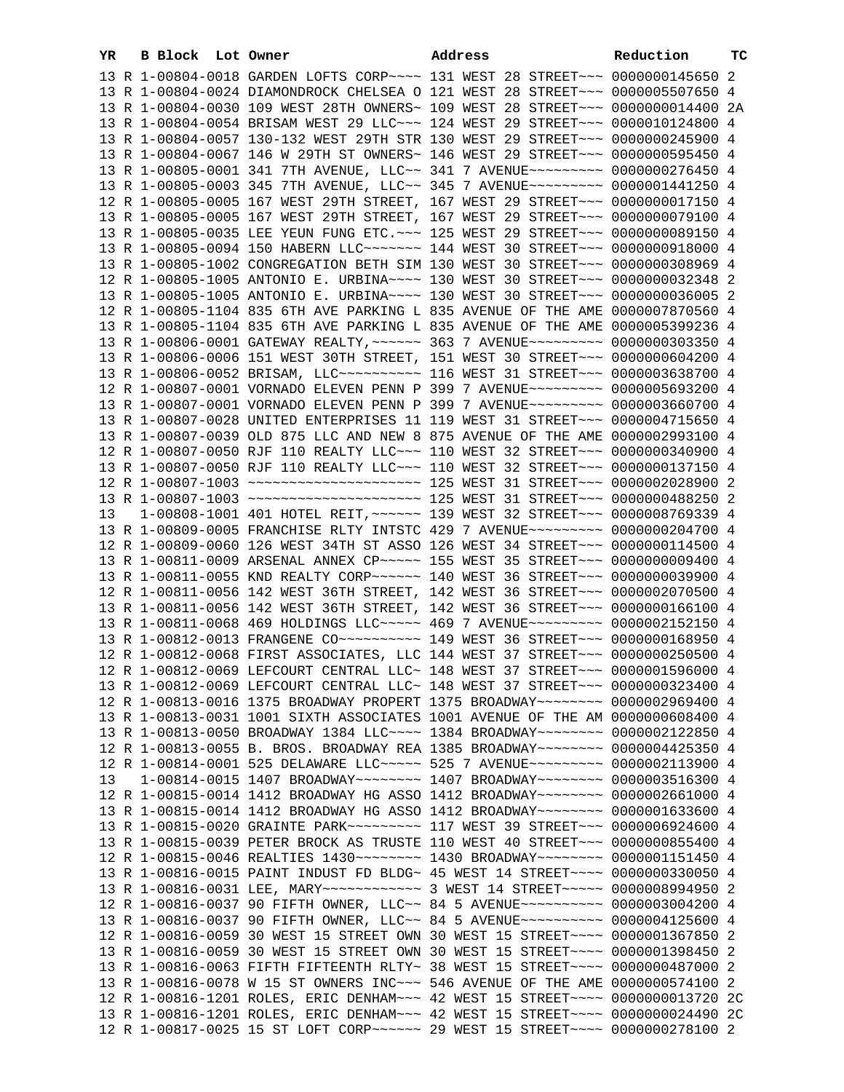| YR | B Block Lot Owner |                                                                                                                                                                 | Address | Reduction | тc |
|----|-------------------|-----------------------------------------------------------------------------------------------------------------------------------------------------------------|---------|-----------|----|
|    |                   | 13 R 1-00804-0018 GARDEN LOFTS CORP~~~~ 131 WEST 28 STREET~~~ 0000000145650 2                                                                                   |         |           |    |
|    |                   | 13 R 1-00804-0024 DIAMONDROCK CHELSEA O 121 WEST 28 STREET~~~ 0000005507650 4                                                                                   |         |           |    |
|    |                   | 13 R 1-00804-0030 109 WEST 28TH OWNERS~ 109 WEST 28 STREET~~~ 0000000014400 2A                                                                                  |         |           |    |
|    |                   | 13 R 1-00804-0054 BRISAM WEST 29 LLC ~~~ 124 WEST 29 STREET ~~~ 0000010124800 4                                                                                 |         |           |    |
|    |                   | 13 R 1-00804-0057 130-132 WEST 29TH STR 130 WEST 29 STREET~~~ 0000000245900 4                                                                                   |         |           |    |
|    |                   | 13 R 1-00804-0067 146 W 29TH ST OWNERS~ 146 WEST 29 STREET~~~ 0000000595450 4                                                                                   |         |           |    |
|    |                   | 13 R 1-00805-0001 341 7TH AVENUE, LLC~~ 341 7 AVENUE~~~~~~~~~ 0000000276450 4                                                                                   |         |           |    |
|    |                   | 13 R 1-00805-0003 345 7TH AVENUE, LLC~~ 345 7 AVENUE~~~~~~~~~ 0000001441250 4                                                                                   |         |           |    |
|    |                   | 12 R 1-00805-0005 167 WEST 29TH STREET, 167 WEST 29 STREET~~~ 0000000017150 4                                                                                   |         |           |    |
|    |                   | 13 R 1-00805-0005 167 WEST 29TH STREET, 167 WEST 29 STREET~~~ 0000000079100 4                                                                                   |         |           |    |
|    |                   | 13 R 1-00805-0035 LEE YEUN FUNG ETC. ~~~ 125 WEST 29 STREET~~~ 0000000089150 4                                                                                  |         |           |    |
|    |                   | 13 R 1-00805-0094 150 HABERN LLC ------ 144 WEST 30 STREET -- 0000000918000 4                                                                                   |         |           |    |
|    |                   | 13 R 1-00805-1002 CONGREGATION BETH SIM 130 WEST 30 STREET~~~ 0000000308969 4                                                                                   |         |           |    |
|    |                   | 12 R 1-00805-1005 ANTONIO E. URBINA~~~~ 130 WEST 30 STREET~~~ 0000000032348 2                                                                                   |         |           |    |
|    |                   | 13 R 1-00805-1005 ANTONIO E. URBINA~~~~ 130 WEST 30 STREET~~~ 0000000036005 2                                                                                   |         |           |    |
|    |                   | 12 R 1-00805-1104 835 6TH AVE PARKING L 835 AVENUE OF THE AME 0000007870560 4                                                                                   |         |           |    |
|    |                   | 13 R 1-00805-1104 835 6TH AVE PARKING L 835 AVENUE OF THE AME 0000005399236 4                                                                                   |         |           |    |
|    |                   | 13 R 1-00806-0001 GATEWAY REALTY, ~~~~~~ 363 7 AVENUE~~~~~~~~~ 0000000303350 4                                                                                  |         |           |    |
|    |                   | 13 R 1-00806-0006 151 WEST 30TH STREET, 151 WEST 30 STREET~~~ 0000000604200 4                                                                                   |         |           |    |
|    |                   | 13 R 1-00806-0052 BRISAM, LLC ---------- 116 WEST 31 STREET --- 0000003638700 4                                                                                 |         |           |    |
|    |                   | 12 R 1-00807-0001 VORNADO ELEVEN PENN P 399 7 AVENUE~~~~~~~~~ 0000005693200 4                                                                                   |         |           |    |
|    |                   | 13 R 1-00807-0001 VORNADO ELEVEN PENN P 399 7 AVENUE~~~~~~~~~ 0000003660700 4                                                                                   |         |           |    |
|    |                   | 13 R 1-00807-0028 UNITED ENTERPRISES 11 119 WEST 31 STREET~~~ 0000004715650 4                                                                                   |         |           |    |
|    |                   | 13 R 1-00807-0039 OLD 875 LLC AND NEW 8 875 AVENUE OF THE AME 0000002993100 4                                                                                   |         |           |    |
|    |                   | 12 R 1-00807-0050 RJF 110 REALTY LLC ~~~ 110 WEST 32 STREET ~~~ 0000000340900 4                                                                                 |         |           |    |
|    |                   | 13 R 1-00807-0050 RJF 110 REALTY LLC ~~~ 110 WEST 32 STREET ~~~ 0000000137150 4                                                                                 |         |           |    |
|    |                   |                                                                                                                                                                 |         |           |    |
|    |                   |                                                                                                                                                                 |         |           |    |
| 13 |                   | 1-00808-1001 401 HOTEL REIT, ~~~~~~ 139 WEST 32 STREET~~~ 0000008769339 4                                                                                       |         |           |    |
|    |                   | 13 R 1-00809-0005 FRANCHISE RLTY INTSTC 429 7 AVENUE~~~~~~~~~ 0000000204700 4                                                                                   |         |           |    |
|    |                   | 12 R 1-00809-0060 126 WEST 34TH ST ASSO 126 WEST 34 STREET~~~ 0000000114500 4                                                                                   |         |           |    |
|    |                   | 13 R 1-00811-0009 ARSENAL ANNEX CP ~~~~~ 155 WEST 35 STREET ~~~ 0000000009400 4                                                                                 |         |           |    |
|    |                   | 13 R 1-00811-0055 KND REALTY CORP~~~~~~ 140 WEST 36 STREET~~~ 0000000039900 4                                                                                   |         |           |    |
|    |                   | 12 R 1-00811-0056 142 WEST 36TH STREET, 142 WEST 36 STREET~~~ 0000002070500 4                                                                                   |         |           |    |
|    |                   | 13 R 1-00811-0056 142 WEST 36TH STREET, 142 WEST 36 STREET~~~ 0000000166100 4                                                                                   |         |           |    |
|    |                   | 13 R 1-00811-0068 469 HOLDINGS LLC ---- 469 7 AVENUE -------- 0000002152150 4<br>13 R 1-00812-0013 FRANGENE CO --------- 149 WEST 36 STREET --- 0000000168950 4 |         |           |    |
|    |                   | 12 R 1-00812-0068 FIRST ASSOCIATES, LLC 144 WEST 37 STREET~~~ 0000000250500 4                                                                                   |         |           |    |
|    |                   | 12 R 1-00812-0069 LEFCOURT CENTRAL LLC~ 148 WEST 37 STREET~~~ 0000001596000 4                                                                                   |         |           |    |
|    |                   | 13 R 1-00812-0069 LEFCOURT CENTRAL LLC~ 148 WEST 37 STREET~~~ 0000000323400 4                                                                                   |         |           |    |
|    |                   | 12 R 1-00813-0016 1375 BROADWAY PROPERT 1375 BROADWAY~~~~~~~~ 0000002969400 4                                                                                   |         |           |    |
|    |                   | 13 R 1-00813-0031 1001 SIXTH ASSOCIATES 1001 AVENUE OF THE AM 0000000608400 4                                                                                   |         |           |    |
|    |                   | 13 R 1-00813-0050 BROADWAY 1384 LLC --- 1384 BROADWAY ------- 0000002122850 4                                                                                   |         |           |    |
|    |                   | 12 R 1-00813-0055 B. BROS. BROADWAY REA 1385 BROADWAY~~~~~~~~~ 0000004425350 4                                                                                  |         |           |    |
|    |                   | 12 R 1-00814-0001 525 DELAWARE LLC ---- 525 7 AVENUE ------- 0000002113900 4                                                                                    |         |           |    |
| 13 |                   | 1-00814-0015 1407 BROADWAY~~~~~~~~ 1407 BROADWAY~~~~~~~~ 0000003516300 4                                                                                        |         |           |    |
|    |                   | 12 R 1-00815-0014 1412 BROADWAY HG ASSO 1412 BROADWAY~~~~~~~~ 0000002661000 4                                                                                   |         |           |    |
|    |                   | 13 R 1-00815-0014 1412 BROADWAY HG ASSO 1412 BROADWAY~~~~~~~~ 0000001633600 4                                                                                   |         |           |    |
|    |                   | 13 R 1-00815-0020 GRAINTE PARK~~~~~~~~~~ 117 WEST 39 STREET~~~ 0000006924600 4                                                                                  |         |           |    |
|    |                   | 13 R 1-00815-0039 PETER BROCK AS TRUSTE 110 WEST 40 STREET~~~ 0000000855400 4                                                                                   |         |           |    |
|    |                   | 12 R 1-00815-0046 REALTIES 1430~~~~~~~~ 1430 BROADWAY~~~~~~~~ 0000001151450 4                                                                                   |         |           |    |
|    |                   | 13 R 1-00816-0015 PAINT INDUST FD BLDG~ 45 WEST 14 STREET~~~~ 0000000330050 4                                                                                   |         |           |    |
|    |                   | 13 R 1-00816-0031 LEE, MARY ------------- 3 WEST 14 STREET ----- 0000008994950 2                                                                                |         |           |    |
|    |                   | 12 R 1-00816-0037 90 FIFTH OWNER, LLC~~ 84 5 AVENUE~~~~~~~~~~ 0000003004200 4                                                                                   |         |           |    |
|    |                   | 13 R 1-00816-0037 90 FIFTH OWNER, LLC~~ 84 5 AVENUE~~~~~~~~~~ 0000004125600 4                                                                                   |         |           |    |
|    |                   | 12 R 1-00816-0059 30 WEST 15 STREET OWN 30 WEST 15 STREET~~~~ 0000001367850 2                                                                                   |         |           |    |
|    |                   | 13 R 1-00816-0059 30 WEST 15 STREET OWN 30 WEST 15 STREET~~~~ 0000001398450 2                                                                                   |         |           |    |
|    |                   | 13 R 1-00816-0063 FIFTH FIFTEENTH RLTY~ 38 WEST 15 STREET~~~~ 0000000487000 2                                                                                   |         |           |    |
|    |                   | 13 R 1-00816-0078 W 15 ST OWNERS INC~~~ 546 AVENUE OF THE AME 0000000574100 2                                                                                   |         |           |    |
|    |                   | 12 R 1-00816-1201 ROLES, ERIC DENHAM~~~ 42 WEST 15 STREET~~~~ 0000000013720 2C                                                                                  |         |           |    |
|    |                   | 13 R 1-00816-1201 ROLES, ERIC DENHAM~~~ 42 WEST 15 STREET~~~~ 0000000024490 2C                                                                                  |         |           |    |
|    |                   | 12 R 1-00817-0025 15 ST LOFT CORP~~~~~~~ 29 WEST 15 STREET~~~~ 0000000278100 2                                                                                  |         |           |    |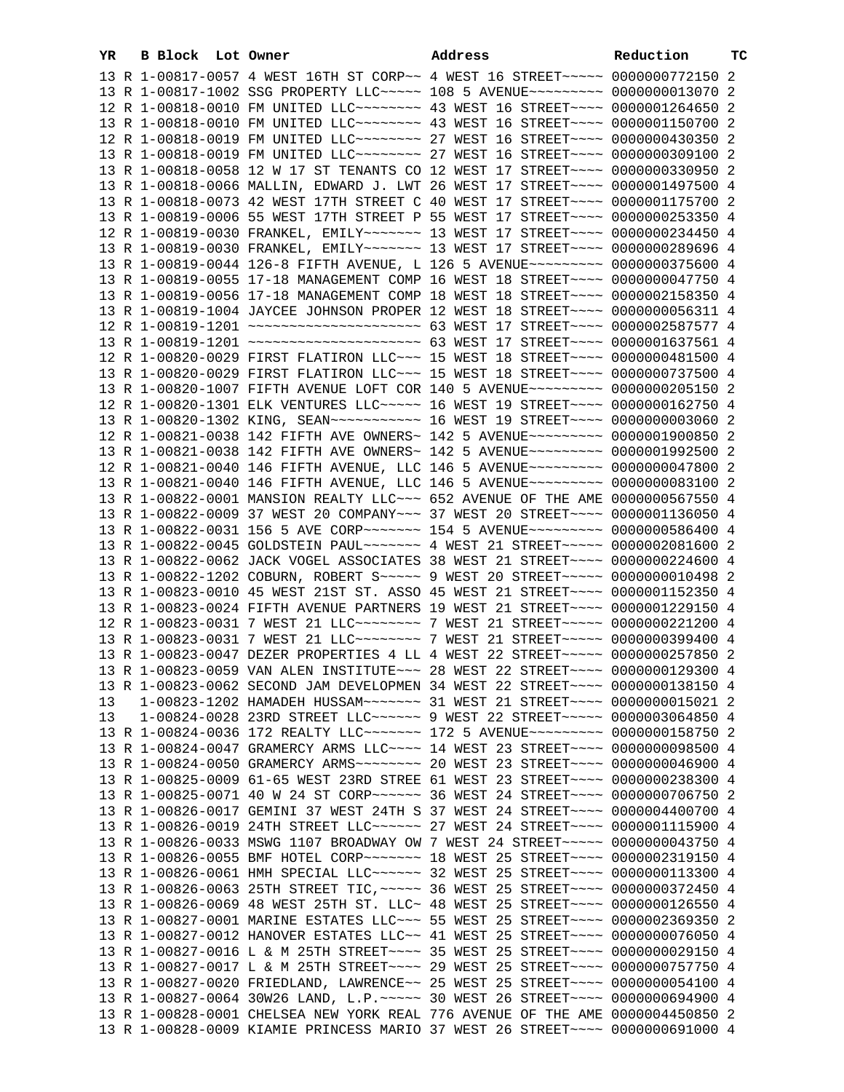| YR | B Block | Lot Owner | Address                                                                             | Reduction | тc |
|----|---------|-----------|-------------------------------------------------------------------------------------|-----------|----|
|    |         |           | 13 R 1-00817-0057 4 WEST 16TH ST CORP~~ 4 WEST 16 STREET~~~~~ 0000000772150 2       |           |    |
|    |         |           | 13 R 1-00817-1002 SSG PROPERTY LLC ---- 108 5 AVENUE ------- 0000000013070 2        |           |    |
|    |         |           | 12 R 1-00818-0010 FM UNITED LLC ------- 43 WEST 16 STREET --- 0000001264650 2       |           |    |
|    |         |           | 13 R 1-00818-0010 FM UNITED LLC ------- 43 WEST 16 STREET ---- 0000001150700 2      |           |    |
|    |         |           | 12 R 1-00818-0019 FM UNITED LLC -------- 27 WEST 16 STREET ---- 0000000430350 2     |           |    |
|    |         |           | 13 R 1-00818-0019 FM UNITED LLC ------- 27 WEST 16 STREET --- 0000000309100 2       |           |    |
|    |         |           | 13 R 1-00818-0058 12 W 17 ST TENANTS CO 12 WEST 17 STREET~~~~ 0000000330950 2       |           |    |
|    |         |           | 13 R 1-00818-0066 MALLIN, EDWARD J. LWT 26 WEST 17 STREET~~~~ 0000001497500 4       |           |    |
|    |         |           |                                                                                     |           |    |
|    |         |           | 13 R 1-00818-0073 42 WEST 17TH STREET C 40 WEST 17 STREET~~~~ 0000001175700 2       |           |    |
|    |         |           | 13 R 1-00819-0006 55 WEST 17TH STREET P 55 WEST 17 STREET~~~~ 0000000253350 4       |           |    |
|    |         |           | 12 R 1-00819-0030 FRANKEL, EMILY~~~~~~~ 13 WEST 17 STREET~~~~ 0000000234450 4       |           |    |
|    |         |           | 13 R 1-00819-0030 FRANKEL, EMILY~~~~~~~ 13 WEST 17 STREET~~~~ 0000000289696 4       |           |    |
|    |         |           | 13 R 1-00819-0044 126-8 FIFTH AVENUE, L 126 5 AVENUE~~~~~~~~~ 0000000375600 4       |           |    |
|    |         |           | 13 R 1-00819-0055 17-18 MANAGEMENT COMP 16 WEST 18 STREET~~~~ 0000000047750 4       |           |    |
|    |         |           | 13 R 1-00819-0056 17-18 MANAGEMENT COMP 18 WEST 18 STREET~~~~ 0000002158350 4       |           |    |
|    |         |           | 13 R 1-00819-1004 JAYCEE JOHNSON PROPER 12 WEST 18 STREET~~~~ 0000000056311 4       |           |    |
|    |         |           | 12 R 1-00819-1201 ~~~~~~~~~~~~~~~~~~~~~~ 63 WEST 17 STREET~~~~ 0000002587577 4      |           |    |
|    |         |           | 13 R 1-00819-1201 ~~~~~~~~~~~~~~~~~~~~~~ 63 WEST 17 STREET~~~~ 0000001637561 4      |           |    |
|    |         |           | 12 R 1-00820-0029 FIRST FLATIRON LLC~~~ 15 WEST 18 STREET~~~~ 0000000481500 4       |           |    |
|    |         |           | 13 R 1-00820-0029 FIRST FLATIRON LLC ~~~ 15 WEST 18 STREET ~~~~ 0000000737500 4     |           |    |
|    |         |           | 13 R 1-00820-1007 FIFTH AVENUE LOFT COR 140 5 AVENUE~~~~~~~~~ 0000000205150 2       |           |    |
|    |         |           | 12 R 1-00820-1301 ELK VENTURES LLC ~~~~~ 16 WEST 19 STREET ~~~~ 0000000162750 4     |           |    |
|    |         |           | 13 R 1-00820-1302 KING, SEAN~~~~~~~~~~~~~~~ 16 WEST 19 STREET~~~~~ 00000000003060 2 |           |    |
|    |         |           | 12 R 1-00821-0038 142 FIFTH AVE OWNERS~ 142 5 AVENUE~~~~~~~~~ 0000001900850 2       |           |    |
|    |         |           | 13 R 1-00821-0038 142 FIFTH AVE OWNERS~ 142 5 AVENUE~~~~~~~~~ 0000001992500 2       |           |    |
|    |         |           | 12 R 1-00821-0040 146 FIFTH AVENUE, LLC 146 5 AVENUE~~~~~~~~~ 0000000047800 2       |           |    |
|    |         |           | 13 R 1-00821-0040 146 FIFTH AVENUE, LLC 146 5 AVENUE~~~~~~~~~ 0000000083100 2       |           |    |
|    |         |           | 13 R 1-00822-0001 MANSION REALTY LLC ~~~ 652 AVENUE OF THE AME 0000000567550 4      |           |    |
|    |         |           | 13 R 1-00822-0009 37 WEST 20 COMPANY~~~ 37 WEST 20 STREET~~~~ 0000001136050 4       |           |    |
|    |         |           | 13 R 1-00822-0031 156 5 AVE CORP~~~~~~~ 154 5 AVENUE~~~~~~~~ 0000000586400 4        |           |    |
|    |         |           | 13 R 1-00822-0045 GOLDSTEIN PAUL~~~~~~~~ 4 WEST 21 STREET~~~~~ 0000002081600 2      |           |    |
|    |         |           | 13 R 1-00822-0062 JACK VOGEL ASSOCIATES 38 WEST 21 STREET~~~~ 0000000224600 4       |           |    |
|    |         |           | 13 R 1-00822-1202 COBURN, ROBERT S~~~~~ 9 WEST 20 STREET~~~~~ 0000000010498 2       |           |    |
|    |         |           | 13 R 1-00823-0010 45 WEST 21ST ST. ASSO 45 WEST 21 STREET~~~~ 0000001152350 4       |           |    |
|    |         |           | 13 R 1-00823-0024 FIFTH AVENUE PARTNERS 19 WEST 21 STREET~~~~ 0000001229150 4       |           |    |
|    |         |           | 12 R 1-00823-0031 7 WEST 21 LLC -------- 7 WEST 21 STREET ----- 0000000221200 4     |           |    |
|    |         |           | 13 R 1-00823-0031 7 WEST 21 LLC ------- 7 WEST 21 STREET ---- 0000000399400 4       |           |    |
|    |         |           | 13 R 1-00823-0047 DEZER PROPERTIES 4 LL 4 WEST 22 STREET~~~~~ 0000000257850 2       |           |    |
|    |         |           | 13 R 1-00823-0059 VAN ALEN INSTITUTE~~~ 28 WEST 22 STREET~~~~ 0000000129300 4       |           |    |
|    |         |           |                                                                                     |           |    |
|    |         |           | 13 R 1-00823-0062 SECOND JAM DEVELOPMEN 34 WEST 22 STREET~~~~ 0000000138150 4       |           |    |
| 13 |         |           | 1-00823-1202 HAMADEH HUSSAM~~~~~~~ 31 WEST 21 STREET~~~~ 0000000015021 2            |           |    |
| 13 |         |           | 1-00824-0028 23RD STREET LLC ------ 9 WEST 22 STREET ----- 0000003064850 4          |           |    |
|    |         |           | 13 R 1-00824-0036 172 REALTY LLC~~~~~~~ 172 5 AVENUE~~~~~~~~~ 0000000158750 2       |           |    |
|    |         |           | 13 R 1-00824-0047 GRAMERCY ARMS LLC --- 14 WEST 23 STREET --- 0000000098500 4       |           |    |
|    |         |           |                                                                                     |           |    |
|    |         |           | 13 R 1-00825-0009 61-65 WEST 23RD STREE 61 WEST 23 STREET~~~~ 0000000238300 4       |           |    |
|    |         |           | 13 R 1-00825-0071 40 W 24 ST CORP~~~~~~ 36 WEST 24 STREET~~~~ 0000000706750 2       |           |    |
|    |         |           | 13 R 1-00826-0017 GEMINI 37 WEST 24TH S 37 WEST 24 STREET~~~~ 0000004400700 4       |           |    |
|    |         |           | 13 R 1-00826-0019 24TH STREET LLC ----- 27 WEST 24 STREET --- 0000001115900 4       |           |    |
|    |         |           | 13 R 1-00826-0033 MSWG 1107 BROADWAY OW 7 WEST 24 STREET~~~~~ 0000000043750 4       |           |    |
|    |         |           | 13 R 1-00826-0055 BMF HOTEL CORP~~~~~~~ 18 WEST 25 STREET~~~~ 0000002319150 4       |           |    |
|    |         |           | 13 R 1-00826-0061 HMH SPECIAL LLC ~~~~~~ 32 WEST 25 STREET ~~~~ 0000000113300 4     |           |    |
|    |         |           | 13 R 1-00826-0063 25TH STREET TIC, ~~~~~ 36 WEST 25 STREET~~~~ 0000000372450 4      |           |    |
|    |         |           | 13 R 1-00826-0069 48 WEST 25TH ST. LLC~ 48 WEST 25 STREET~~~~ 0000000126550 4       |           |    |
|    |         |           | 13 R 1-00827-0001 MARINE ESTATES LLC ~~~ 55 WEST 25 STREET ~~~~ 0000002369350 2     |           |    |
|    |         |           | 13 R 1-00827-0012 HANOVER ESTATES LLC~~ 41 WEST 25 STREET~~~~ 0000000076050 4       |           |    |
|    |         |           | 13 R 1-00827-0016 L & M 25TH STREET~~~~ 35 WEST 25 STREET~~~~ 0000000029150 4       |           |    |
|    |         |           | 13 R 1-00827-0017 L & M 25TH STREET~~~~ 29 WEST 25 STREET~~~~ 0000000757750 4       |           |    |
|    |         |           | 13 R 1-00827-0020 FRIEDLAND, LAWRENCE~~ 25 WEST 25 STREET~~~~ 0000000054100 4       |           |    |
|    |         |           | 13 R 1-00827-0064 30W26 LAND, L.P. ~~~~~ 30 WEST 26 STREET ~~~~ 0000000694900 4     |           |    |
|    |         |           | 13 R 1-00828-0001 CHELSEA NEW YORK REAL 776 AVENUE OF THE AME 0000004450850 2       |           |    |
|    |         |           | 13 R 1-00828-0009 KIAMIE PRINCESS MARIO 37 WEST 26 STREET~~~~ 0000000691000 4       |           |    |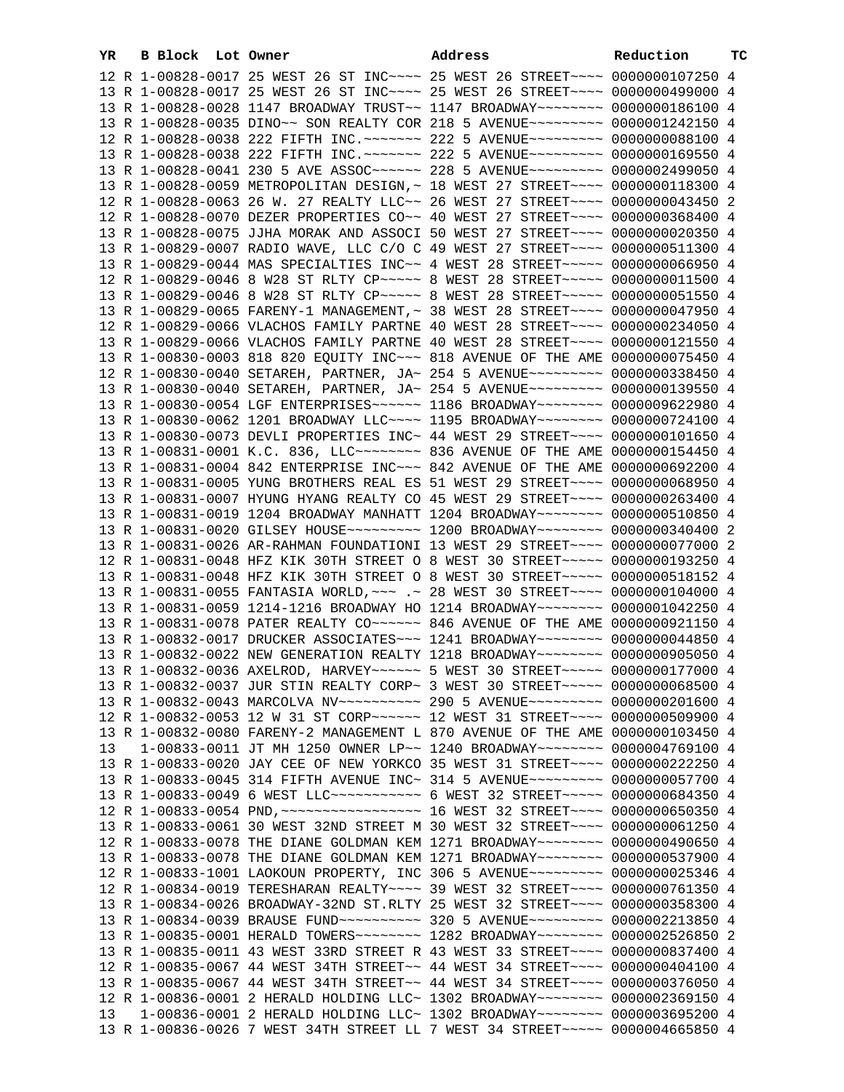| YR. | B Block Lot Owner | Address                                                                                                                                                        | Reduction | TС |
|-----|-------------------|----------------------------------------------------------------------------------------------------------------------------------------------------------------|-----------|----|
|     |                   | 12 R 1-00828-0017 25 WEST 26 ST INC~~~~ 25 WEST 26 STREET~~~~ 0000000107250 4                                                                                  |           |    |
|     |                   | 13 R 1-00828-0017 25 WEST 26 ST INC~~~~ 25 WEST 26 STREET~~~~ 0000000499000 4                                                                                  |           |    |
|     |                   | 13 R 1-00828-0028 1147 BROADWAY TRUST~~ 1147 BROADWAY~~~~~~~~ 0000000186100 4                                                                                  |           |    |
|     |                   | 13 R 1-00828-0035 DINO~~ SON REALTY COR 218 5 AVENUE~~~~~~~~~ 0000001242150 4                                                                                  |           |    |
|     |                   | 12 R 1-00828-0038 222 FIFTH INC. ~~~~~~~ 222 5 AVENUE~~~~~~~~~ 0000000088100 4                                                                                 |           |    |
|     |                   | 13 R 1-00828-0038 222 FIFTH INC. ~~~~~~~ 222 5 AVENUE~~~~~~~~~ 0000000169550 4                                                                                 |           |    |
|     |                   | 13 R 1-00828-0041 230 5 AVE ASSOC~~~~~~ 228 5 AVENUE~~~~~~~~~ 0000002499050 4                                                                                  |           |    |
|     |                   | 13 R 1-00828-0059 METROPOLITAN DESIGN, ~ 18 WEST 27 STREET~~~~ 0000000118300 4                                                                                 |           |    |
|     |                   | 12 R 1-00828-0063 26 W. 27 REALTY LLC~~ 26 WEST 27 STREET~~~~ 0000000043450 2                                                                                  |           |    |
|     |                   | 12 R 1-00828-0070 DEZER PROPERTIES CO~~ 40 WEST 27 STREET~~~~ 0000000368400 4                                                                                  |           |    |
|     |                   | 13 R 1-00828-0075 JJHA MORAK AND ASSOCI 50 WEST 27 STREET~~~~ 0000000020350 4                                                                                  |           |    |
|     |                   | 13 R 1-00829-0007 RADIO WAVE, LLC C/O C 49 WEST 27 STREET~~~~ 0000000511300 4                                                                                  |           |    |
|     |                   | 13 R 1-00829-0044 MAS SPECIALTIES INC~~ 4 WEST 28 STREET~~~~~ 0000000066950 4                                                                                  |           |    |
|     |                   | 12 R 1-00829-0046 8 W28 ST RLTY CP ~~~~~ 8 WEST 28 STREET ~~~~~ 0000000011500 4                                                                                |           |    |
|     |                   | 13 R 1-00829-0046 8 W28 ST RLTY CP ~~~~~ 8 WEST 28 STREET ~~~~~ 0000000051550 4                                                                                |           |    |
|     |                   | 13 R 1-00829-0065 FARENY-1 MANAGEMENT, ~ 38 WEST 28 STREET ~~~~ 0000000047950 4                                                                                |           |    |
|     |                   | 12 R 1-00829-0066 VLACHOS FAMILY PARTNE 40 WEST 28 STREET~~~~ 0000000234050 4                                                                                  |           |    |
|     |                   | 13 R 1-00829-0066 VLACHOS FAMILY PARTNE 40 WEST 28 STREET~~~~ 0000000121550 4                                                                                  |           |    |
|     |                   | 13 R 1-00830-0003 818 820 EQUITY INC~~~ 818 AVENUE OF THE AME 0000000075450 4                                                                                  |           |    |
|     |                   | 12 R 1-00830-0040 SETAREH, PARTNER, JA~ 254 5 AVENUE~~~~~~~~~~ 0000000338450 4                                                                                 |           |    |
|     |                   | 13 R 1-00830-0040 SETAREH, PARTNER, JA~ 254 5 AVENUE~~~~~~~~~~ 0000000139550 4                                                                                 |           |    |
|     |                   | 13 R 1-00830-0054 LGF ENTERPRISES~~~~~~ 1186 BROADWAY~~~~~~~~ 0000009622980 4                                                                                  |           |    |
|     |                   | 13 R 1-00830-0062 1201 BROADWAY LLC~~~~ 1195 BROADWAY~~~~~~~~ 0000000724100 4                                                                                  |           |    |
|     |                   | 13 R 1-00830-0073 DEVLI PROPERTIES INC~ 44 WEST 29 STREET~~~~ 0000000101650 4                                                                                  |           |    |
|     |                   | 13 R 1-00831-0001 K.C. 836, LLC -------- 836 AVENUE OF THE AME 0000000154450 4                                                                                 |           |    |
|     |                   | 13 R 1-00831-0004 842 ENTERPRISE INC~~~ 842 AVENUE OF THE AME 0000000692200 4                                                                                  |           |    |
|     |                   | 13 R 1-00831-0005 YUNG BROTHERS REAL ES 51 WEST 29 STREET~~~~ 0000000068950 4                                                                                  |           |    |
|     |                   | 13 R 1-00831-0007 HYUNG HYANG REALTY CO 45 WEST 29 STREET~~~~ 0000000263400 4                                                                                  |           |    |
|     |                   | 13 R 1-00831-0019 1204 BROADWAY MANHATT 1204 BROADWAY~~~~~~~~ 0000000510850 4                                                                                  |           |    |
|     |                   | 13 R 1-00831-0020 GILSEY HOUSE~~~~~~~~~~ 1200 BROADWAY~~~~~~~~ 0000000340400 2                                                                                 |           |    |
|     |                   | 13 R 1-00831-0026 AR-RAHMAN FOUNDATIONI 13 WEST 29 STREET~~~~ 0000000077000 2                                                                                  |           |    |
|     |                   | 12 R 1-00831-0048 HFZ KIK 30TH STREET O 8 WEST 30 STREET~~~~~ 0000000193250 4                                                                                  |           |    |
|     |                   | 13 R 1-00831-0048 HFZ KIK 30TH STREET O 8 WEST 30 STREET~~~~~ 0000000518152 4                                                                                  |           |    |
|     |                   | 13 R 1-00831-0055 FANTASIA WORLD, ~~~ .~ 28 WEST 30 STREET~~~~ 0000000104000 4                                                                                 |           |    |
|     |                   | 13 R 1-00831-0059 1214-1216 BROADWAY HO 1214 BROADWAY~~~~~~~~ 0000001042250 4                                                                                  |           |    |
|     |                   | 13 R 1-00831-0078 PATER REALTY CO~~~~~~ 846 AVENUE OF THE AME 0000000921150 4                                                                                  |           |    |
|     |                   | 13 R 1-00832-0017 DRUCKER ASSOCIATES~~~ 1241 BROADWAY~~~~~~~~ 0000000044850 4                                                                                  |           |    |
|     |                   | 13 R 1-00832-0022 NEW GENERATION REALTY 1218 BROADWAY~~~~~~~~ 0000000905050 4                                                                                  |           |    |
|     |                   | 13 R 1-00832-0036 AXELROD, HARVEY~~~~~~ 5 WEST 30 STREET~~~~~ 0000000177000 4<br>13 R 1-00832-0037 JUR STIN REALTY CORP~ 3 WEST 30 STREET~~~~~ 0000000068500 4 |           |    |
|     |                   | 13 R 1-00832-0043 MARCOLVA NV~~~~~~~~~~~ 290 5 AVENUE~~~~~~~~~ 0000000201600 4                                                                                 |           |    |
|     |                   | 12 R 1-00832-0053 12 W 31 ST CORP~~~~~~ 12 WEST 31 STREET~~~~ 0000000509900 4                                                                                  |           |    |
|     |                   | 13 R 1-00832-0080 FARENY-2 MANAGEMENT L 870 AVENUE OF THE AME 0000000103450 4                                                                                  |           |    |
| 13  |                   | 1-00833-0011 JT MH 1250 OWNER LP~~ 1240 BROADWAY~~~~~~~~ 0000004769100 4                                                                                       |           |    |
|     |                   |                                                                                                                                                                |           |    |

|    |  | 12 R 1-00832-0053 12 W 31 ST CORP~~~~~~~ 12 WEST 31 STREET~~~~ 0000000509900 4 |  |
|----|--|--------------------------------------------------------------------------------|--|
|    |  | 13 R 1-00832-0080 FARENY-2 MANAGEMENT L 870 AVENUE OF THE AME 0000000103450 4  |  |
| 13 |  | $1-00833-0011$ JT MH 1250 OWNER LP~~ 1240 BROADWAY~~~~~~~~ 0000004769100 4     |  |
|    |  | 13 R 1-00833-0020 JAY CEE OF NEW YORKCO 35 WEST 31 STREET~~~~ 0000000222250 4  |  |
|    |  | 13 R 1-00833-0045 314 FIFTH AVENUE INC~ 314 5 AVENUE~~~~~~~~~ 0000000057700 4  |  |
|    |  | 13 R 1-00833-0049 6 WEST LLC~~~~~~~~~~~ 6 WEST 32 STREET~~~~~ 0000000684350 4  |  |
|    |  |                                                                                |  |
|    |  | 13 R 1-00833-0061 30 WEST 32ND STREET M 30 WEST 32 STREET~~~~ 0000000061250 4  |  |
|    |  | 12 R 1-00833-0078 THE DIANE GOLDMAN KEM 1271 BROADWAY~~~~~~~~ 0000000490650 4  |  |
|    |  | 13 R 1-00833-0078 THE DIANE GOLDMAN KEM 1271 BROADWAY~~~~~~~~ 0000000537900 4  |  |
|    |  | 12 R 1-00833-1001 LAOKOUN PROPERTY, INC 306 5 AVENUE~~~~~~~~~ 0000000025346 4  |  |
|    |  | 12 R 1-00834-0019 TERESHARAN REALTY~~~~ 39 WEST 32 STREET~~~~ 0000000761350 4  |  |
|    |  | 13 R 1-00834-0026 BROADWAY-32ND ST.RLTY 25 WEST 32 STREET~~~~ 0000000358300 4  |  |
|    |  | 13 R 1-00834-0039 BRAUSE FUND~~~~~~~~~~ 320 5 AVENUE~~~~~~~~~ 0000002213850 4  |  |
|    |  | 13 R 1-00835-0001 HERALD TOWERS~~~~~~~~ 1282 BROADWAY~~~~~~~~ 0000002526850 2  |  |
|    |  | 13 R 1-00835-0011 43 WEST 33RD STREET R 43 WEST 33 STREET~~~~ 0000000837400 4  |  |
|    |  | 12 R 1-00835-0067 44 WEST 34TH STREET~~ 44 WEST 34 STREET~~~~ 0000000404100 4  |  |
|    |  | 13 R 1-00835-0067 44 WEST 34TH STREET~~ 44 WEST 34 STREET~~~~ 0000000376050 4  |  |
|    |  | 12 R 1-00836-0001 2 HERALD HOLDING LLC~ 1302 BROADWAY~~~~~~~~ 0000002369150 4  |  |
| 13 |  | 1-00836-0001 2 HERALD HOLDING LLC~ 1302 BROADWAY~~~~~~~~ 0000003695200 4       |  |
|    |  | 13 R 1-00836-0026 7 WEST 34TH STREET LL 7 WEST 34 STREET~~~~~ 0000004665850 4  |  |
|    |  |                                                                                |  |
|    |  |                                                                                |  |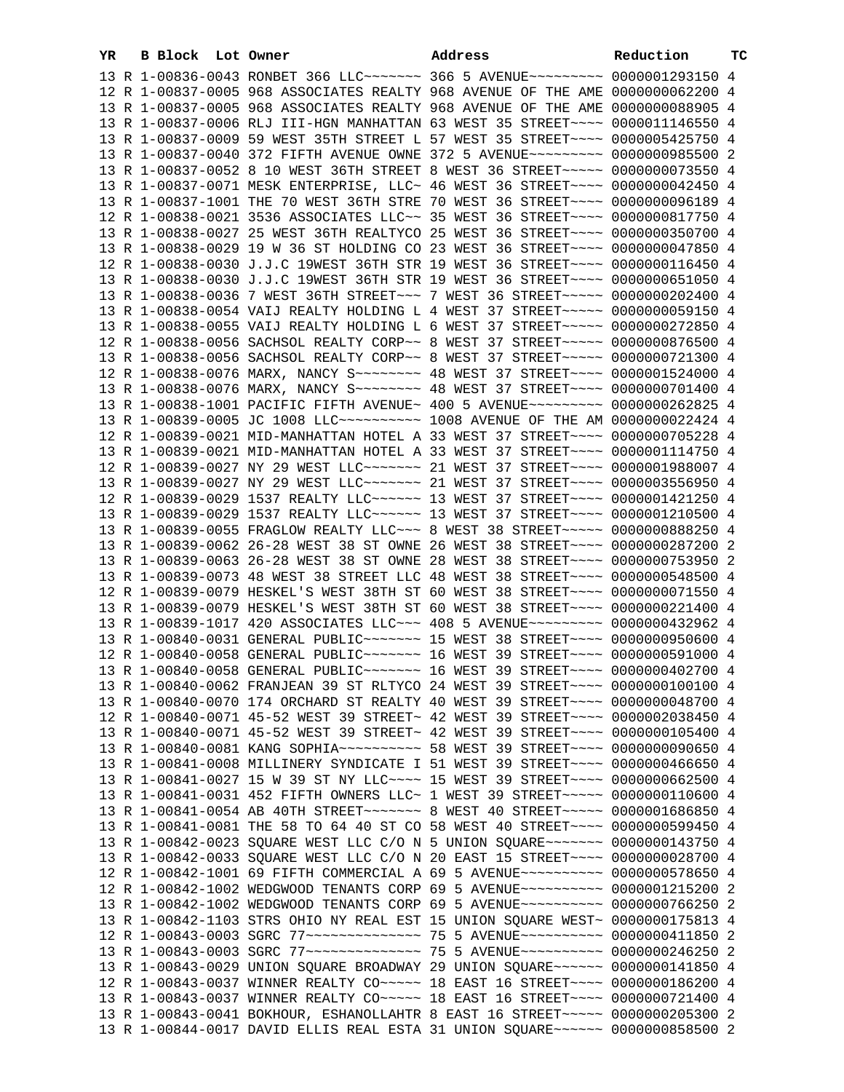| YR | B Block | Lot Owner                                                                        | Address | Reduction | тc |
|----|---------|----------------------------------------------------------------------------------|---------|-----------|----|
|    |         | 13 R 1-00836-0043 RONBET 366 LLC ------ 366 5 AVENUE -------- 0000001293150 4    |         |           |    |
|    |         | 12 R 1-00837-0005 968 ASSOCIATES REALTY 968 AVENUE OF THE AME 0000000062200 4    |         |           |    |
|    |         | 13 R 1-00837-0005 968 ASSOCIATES REALTY 968 AVENUE OF THE AME 0000000088905 4    |         |           |    |
|    |         | 13 R 1-00837-0006 RLJ III-HGN MANHATTAN 63 WEST 35 STREET~~~~ 0000011146550 4    |         |           |    |
|    |         | 13 R 1-00837-0009 59 WEST 35TH STREET L 57 WEST 35 STREET~~~~ 0000005425750 4    |         |           |    |
|    |         | 13 R 1-00837-0040 372 FIFTH AVENUE OWNE 372 5 AVENUE~~~~~~~~~ 0000000985500 2    |         |           |    |
|    |         | 13 R 1-00837-0052 8 10 WEST 36TH STREET 8 WEST 36 STREET~~~~~ 0000000073550 4    |         |           |    |
|    |         | 13 R 1-00837-0071 MESK ENTERPRISE, LLC~ 46 WEST 36 STREET~~~~ 0000000042450 4    |         |           |    |
|    |         | 13 R 1-00837-1001 THE 70 WEST 36TH STRE 70 WEST 36 STREET~~~~ 0000000096189 4    |         |           |    |
|    |         | 12 R 1-00838-0021 3536 ASSOCIATES LLC~~ 35 WEST 36 STREET~~~~ 0000000817750 4    |         |           |    |
|    |         | 13 R 1-00838-0027 25 WEST 36TH REALTYCO 25 WEST 36 STREET~~~~ 0000000350700 4    |         |           |    |
|    |         |                                                                                  |         |           |    |
|    |         | 13 R 1-00838-0029 19 W 36 ST HOLDING CO 23 WEST 36 STREET~~~~ 0000000047850 4    |         |           |    |
|    |         | 12 R 1-00838-0030 J.J.C 19WEST 36TH STR 19 WEST 36 STREET~~~~ 0000000116450 4    |         |           |    |
|    |         | 13 R 1-00838-0030 J.J.C 19WEST 36TH STR 19 WEST 36 STREET~~~~ 0000000651050 4    |         |           |    |
|    |         | 13 R 1-00838-0036 7 WEST 36TH STREET~~~ 7 WEST 36 STREET~~~~~ 0000000202400 4    |         |           |    |
|    |         | 13 R 1-00838-0054 VAIJ REALTY HOLDING L 4 WEST 37 STREET~~~~~ 0000000059150 4    |         |           |    |
|    |         | 13 R 1-00838-0055 VAIJ REALTY HOLDING L 6 WEST 37 STREET~~~~~ 0000000272850 4    |         |           |    |
|    |         | 12 R 1-00838-0056 SACHSOL REALTY CORP~~ 8 WEST 37 STREET~~~~~ 0000000876500 4    |         |           |    |
|    |         | 13 R 1-00838-0056 SACHSOL REALTY CORP~~ 8 WEST 37 STREET~~~~~ 0000000721300 4    |         |           |    |
|    |         | 12 R 1-00838-0076 MARX, NANCY S -- - - - 48 WEST 37 STREET - - - 0000001524000 4 |         |           |    |
|    |         | 13 R 1-00838-0076 MARX, NANCY S ------- 48 WEST 37 STREET --- 0000000701400 4    |         |           |    |
|    |         | 13 R 1-00838-1001 PACIFIC FIFTH AVENUE~ 400 5 AVENUE~~~~~~~~~ 0000000262825 4    |         |           |    |
|    |         |                                                                                  |         |           |    |
|    |         | 12 R 1-00839-0021 MID-MANHATTAN HOTEL A 33 WEST 37 STREET~~~~ 0000000705228 4    |         |           |    |
|    |         | 13 R 1-00839-0021 MID-MANHATTAN HOTEL A 33 WEST 37 STREET~~~~ 0000001114750 4    |         |           |    |
|    |         | 12 R 1-00839-0027 NY 29 WEST LLC ------- 21 WEST 37 STREET --- 0000001988007 4   |         |           |    |
|    |         | 13 R 1-00839-0027 NY 29 WEST LLC ------ 21 WEST 37 STREET --- 0000003556950 4    |         |           |    |
|    |         | 12 R 1-00839-0029 1537 REALTY LLC ~~~~~~ 13 WEST 37 STREET ~~~~ 0000001421250 4  |         |           |    |
|    |         | 13 R 1-00839-0029 1537 REALTY LLC ~~~~~~ 13 WEST 37 STREET ~~~~ 0000001210500 4  |         |           |    |
|    |         | 13 R 1-00839-0055 FRAGLOW REALTY LLC ~~~ 8 WEST 38 STREET ~~~~~ 0000000888250 4  |         |           |    |
|    |         | 13 R 1-00839-0062 26-28 WEST 38 ST OWNE 26 WEST 38 STREET~~~~ 0000000287200 2    |         |           |    |
|    |         | 13 R 1-00839-0063 26-28 WEST 38 ST OWNE 28 WEST 38 STREET~~~~ 0000000753950 2    |         |           |    |
|    |         | 13 R 1-00839-0073 48 WEST 38 STREET LLC 48 WEST 38 STREET~~~~ 0000000548500 4    |         |           |    |
|    |         | 12 R 1-00839-0079 HESKEL'S WEST 38TH ST 60 WEST 38 STREET~~~~ 0000000071550 4    |         |           |    |
|    |         | 13 R 1-00839-0079 HESKEL'S WEST 38TH ST 60 WEST 38 STREET~~~~ 0000000221400 4    |         |           |    |
|    |         | 13 R 1-00839-1017 420 ASSOCIATES LLC~~~ 408 5 AVENUE~~~~~~~~~ 0000000432962 4    |         |           |    |
|    |         | 13 R 1-00840-0031 GENERAL PUBLIC ------- 15 WEST 38 STREET --- 0000000950600 4   |         |           |    |
|    |         | 12 R 1-00840-0058 GENERAL PUBLIC~~~~~~~ 16 WEST 39 STREET~~~~ 0000000591000 4    |         |           |    |
|    |         | 13 R 1-00840-0058 GENERAL PUBLIC ------ 16 WEST 39 STREET --- 0000000402700 4    |         |           |    |
|    |         | 13 R 1-00840-0062 FRANJEAN 39 ST RLTYCO 24 WEST 39 STREET~~~~ 0000000100100 4    |         |           |    |
|    |         | 13 R 1-00840-0070 174 ORCHARD ST REALTY 40 WEST 39 STREET~~~~ 0000000048700 4    |         |           |    |
|    |         | 12 R 1-00840-0071 45-52 WEST 39 STREET~ 42 WEST 39 STREET~~~~ 0000002038450 4    |         |           |    |
|    |         | 13 R 1-00840-0071 45-52 WEST 39 STREET~ 42 WEST 39 STREET~~~~ 0000000105400 4    |         |           |    |
|    |         | 13 R 1-00840-0081 KANG SOPHIA~~~~~~~~~~~ 58 WEST 39 STREET~~~~ 0000000090650 4   |         |           |    |
|    |         | 13 R 1-00841-0008 MILLINERY SYNDICATE I 51 WEST 39 STREET~~~~ 0000000466650 4    |         |           |    |
|    |         | 13 R 1-00841-0027 15 W 39 ST NY LLC --- 15 WEST 39 STREET --- 0000000662500 4    |         |           |    |
|    |         | 13 R 1-00841-0031 452 FIFTH OWNERS LLC~ 1 WEST 39 STREET~~~~~ 0000000110600 4    |         |           |    |
|    |         |                                                                                  |         |           |    |
|    |         | 13 R 1-00841-0081 THE 58 TO 64 40 ST CO 58 WEST 40 STREET~~~~ 0000000599450 4    |         |           |    |
|    |         | 13 R 1-00842-0023 SQUARE WEST LLC C/O N 5 UNION SQUARE~~~~~~~ 0000000143750 4    |         |           |    |
|    |         | 13 R 1-00842-0033 SQUARE WEST LLC C/O N 20 EAST 15 STREET~~~~ 0000000028700 4    |         |           |    |
|    |         |                                                                                  |         |           |    |
|    |         | 12 R 1-00842-1001 69 FIFTH COMMERCIAL A 69 5 AVENUE~~~~~~~~~~ 0000000578650 4    |         |           |    |
|    |         | 12 R 1-00842-1002 WEDGWOOD TENANTS CORP 69 5 AVENUE~~~~~~~~~~ 0000001215200 2    |         |           |    |
|    |         | 13 R 1-00842-1002 WEDGWOOD TENANTS CORP 69 5 AVENUE~~~~~~~~~~ 0000000766250 2    |         |           |    |
|    |         | 13 R 1-00842-1103 STRS OHIO NY REAL EST 15 UNION SQUARE WEST~ 0000000175813 4    |         |           |    |
|    |         | 12 R 1-00843-0003 SGRC 77~~~~~~~~~~~~~~ 75 5 AVENUE~~~~~~~~~~ 0000000411850 2    |         |           |    |
|    |         | 13 R 1-00843-0003 SGRC 77~~~~~~~~~~~~~~~ 75 5 AVENUE~~~~~~~~~~ 0000000246250 2   |         |           |    |
|    |         | 13 R 1-00843-0029 UNION SQUARE BROADWAY 29 UNION SQUARE~~~~~~ 0000000141850 4    |         |           |    |
|    |         | 12 R 1-00843-0037 WINNER REALTY CO~~~~~ 18 EAST 16 STREET~~~~ 0000000186200 4    |         |           |    |
|    |         | 13 R 1-00843-0037 WINNER REALTY CO~~~~~ 18 EAST 16 STREET~~~~ 0000000721400 4    |         |           |    |
|    |         | 13 R 1-00843-0041 BOKHOUR, ESHANOLLAHTR 8 EAST 16 STREET~~~~~ 0000000205300 2    |         |           |    |
|    |         | 13 R 1-00844-0017 DAVID ELLIS REAL ESTA 31 UNION SQUARE~~~~~~ 0000000858500 2    |         |           |    |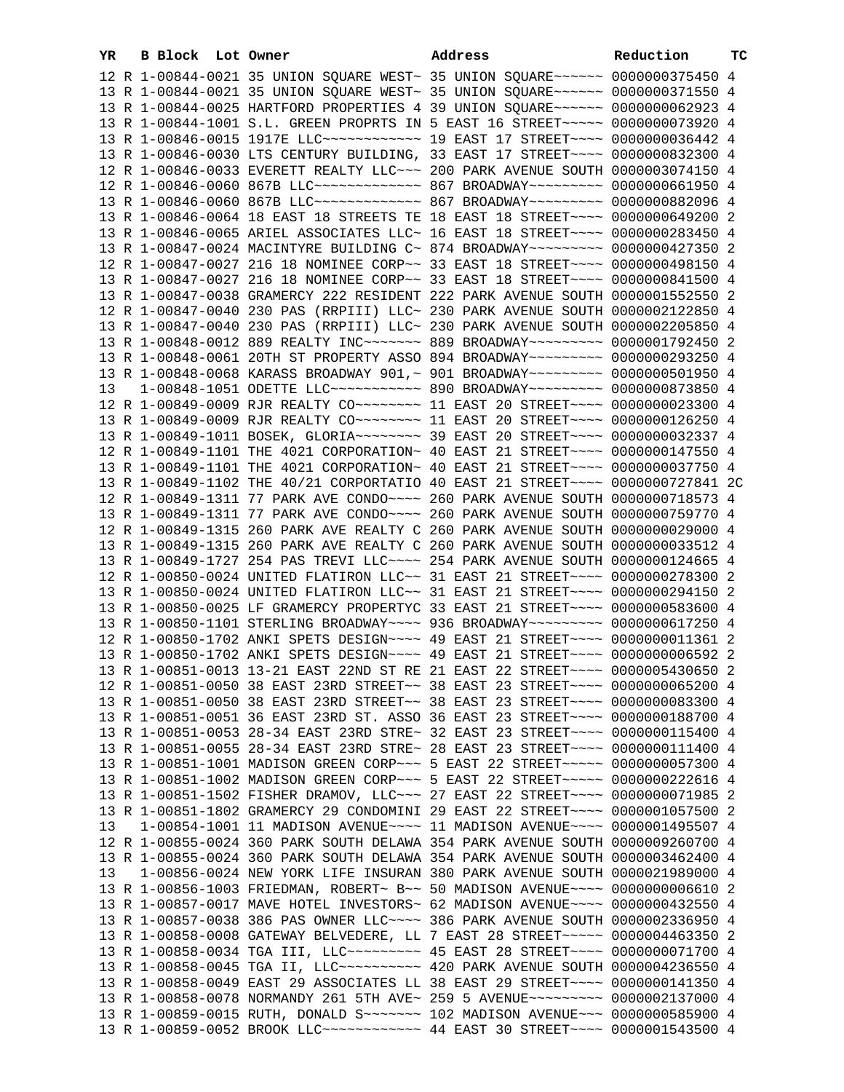| YR |  | B Block Lot Owner | Address                                                                                                                                                        | Reduction | TС |
|----|--|-------------------|----------------------------------------------------------------------------------------------------------------------------------------------------------------|-----------|----|
|    |  |                   | 12 R 1-00844-0021 35 UNION SQUARE WEST~ 35 UNION SQUARE~~~~~~ 0000000375450 4                                                                                  |           |    |
|    |  |                   | 13 R 1-00844-0021 35 UNION SQUARE WEST~ 35 UNION SQUARE~~~~~~ 0000000371550 4                                                                                  |           |    |
|    |  |                   | 13 R 1-00844-0025 HARTFORD PROPERTIES 4 39 UNION SQUARE~~~~~~ 0000000062923 4                                                                                  |           |    |
|    |  |                   | 13 R 1-00844-1001 S.L. GREEN PROPRTS IN 5 EAST 16 STREET~~~~~ 0000000073920 4                                                                                  |           |    |
|    |  |                   | 13 R 1-00846-0015 1917E LLC ------------ 19 EAST 17 STREET ---- 0000000036442 4                                                                                |           |    |
|    |  |                   | 13 R 1-00846-0030 LTS CENTURY BUILDING, 33 EAST 17 STREET~~~~ 0000000832300 4                                                                                  |           |    |
|    |  |                   | 12 R 1-00846-0033 EVERETT REALTY LLC~~~ 200 PARK AVENUE SOUTH 0000003074150 4                                                                                  |           |    |
|    |  |                   | 12 R 1-00846-0060 867B LLC ------------- 867 BROADWAY -------- 0000000661950 4                                                                                 |           |    |
|    |  |                   | 13 R 1-00846-0060 867B LLC ------------- 867 BROADWAY -------- 0000000882096 4                                                                                 |           |    |
|    |  |                   | 13 R 1-00846-0064 18 EAST 18 STREETS TE 18 EAST 18 STREET~~~~ 0000000649200 2                                                                                  |           |    |
|    |  |                   | 13 R 1-00846-0065 ARIEL ASSOCIATES LLC~ 16 EAST 18 STREET~~~~ 0000000283450 4                                                                                  |           |    |
|    |  |                   | 13 R 1-00847-0024 MACINTYRE BUILDING C~ 874 BROADWAY~~~~~~~~~ 0000000427350 2                                                                                  |           |    |
|    |  |                   | 12 R 1-00847-0027 216 18 NOMINEE CORP~~ 33 EAST 18 STREET~~~~ 0000000498150 4                                                                                  |           |    |
|    |  |                   | 13 R 1-00847-0027 216 18 NOMINEE CORP~~ 33 EAST 18 STREET~~~~ 0000000841500 4<br>13 R 1-00847-0038 GRAMERCY 222 RESIDENT 222 PARK AVENUE SOUTH 0000001552550 2 |           |    |
|    |  |                   | 12 R 1-00847-0040 230 PAS (RRPIII) LLC~ 230 PARK AVENUE SOUTH 0000002122850 4                                                                                  |           |    |
|    |  |                   | 13 R 1-00847-0040 230 PAS (RRPIII) LLC~ 230 PARK AVENUE SOUTH 0000002205850 4                                                                                  |           |    |
|    |  |                   | 13 R 1-00848-0012 889 REALTY INC~~~~~~~ 889 BROADWAY~~~~~~~~~ 0000001792450 2                                                                                  |           |    |
|    |  |                   | 13 R 1-00848-0061 20TH ST PROPERTY ASSO 894 BROADWAY~~~~~~~~~ 0000000293250 4                                                                                  |           |    |
|    |  |                   | 13 R 1-00848-0068 KARASS BROADWAY 901,~ 901 BROADWAY~~~~~~~~~ 0000000501950 4                                                                                  |           |    |
| 13 |  |                   | 1-00848-1051 ODETTE LLC~~~~~~~~~~~ 890 BROADWAY~~~~~~~~~ 0000000873850 4                                                                                       |           |    |
|    |  |                   | 12 R 1-00849-0009 RJR REALTY CO ------- 11 EAST 20 STREET --- 0000000023300 4                                                                                  |           |    |
|    |  |                   | 13 R 1-00849-0009 RJR REALTY CO ------- 11 EAST 20 STREET --- 0000000126250 4                                                                                  |           |    |
|    |  |                   | 13 R 1-00849-1011 BOSEK, GLORIA~~~~~~~~ 39 EAST 20 STREET~~~~ 0000000032337 4                                                                                  |           |    |
|    |  |                   | 12 R 1-00849-1101 THE 4021 CORPORATION~ 40 EAST 21 STREET~~~~ 0000000147550 4                                                                                  |           |    |
|    |  |                   | 13 R 1-00849-1101 THE 4021 CORPORATION~ 40 EAST 21 STREET~~~~ 0000000037750 4                                                                                  |           |    |
|    |  |                   | 13 R 1-00849-1102 THE 40/21 CORPORTATIO 40 EAST 21 STREET~~~~ 0000000727841 2C                                                                                 |           |    |
|    |  |                   | 12 R 1-00849-1311 77 PARK AVE CONDO~~~~ 260 PARK AVENUE SOUTH 0000000718573 4                                                                                  |           |    |
|    |  |                   | 13 R 1-00849-1311 77 PARK AVE CONDO~~~~ 260 PARK AVENUE SOUTH 0000000759770 4                                                                                  |           |    |
|    |  |                   | 12 R 1-00849-1315 260 PARK AVE REALTY C 260 PARK AVENUE SOUTH 0000000029000 4                                                                                  |           |    |
|    |  |                   | 13 R 1-00849-1315 260 PARK AVE REALTY C 260 PARK AVENUE SOUTH 0000000033512 4                                                                                  |           |    |
|    |  |                   | 13 R 1-00849-1727 254 PAS TREVI LLC ~~~~ 254 PARK AVENUE SOUTH 0000000124665 4                                                                                 |           |    |
|    |  |                   | 12 R 1-00850-0024 UNITED FLATIRON LLC~~ 31 EAST 21 STREET~~~~ 0000000278300 2                                                                                  |           |    |
|    |  |                   | 13 R 1-00850-0024 UNITED FLATIRON LLC~~ 31 EAST 21 STREET~~~~ 0000000294150 2                                                                                  |           |    |
|    |  |                   | 13 R 1-00850-0025 LF GRAMERCY PROPERTYC 33 EAST 21 STREET~~~~ 0000000583600 4                                                                                  |           |    |
|    |  |                   | 13 R 1-00850-1101 STERLING BROADWAY~~~~ 936 BROADWAY~~~~~~~~~ 0000000617250 4                                                                                  |           |    |
|    |  |                   | 12 R 1-00850-1702 ANKI SPETS DESIGN~~~~ 49 EAST 21 STREET~~~~ 0000000011361 2                                                                                  |           |    |
|    |  |                   | 13 R 1-00850-1702 ANKI SPETS DESIGN~~~~ 49 EAST 21 STREET~~~~ 0000000006592 2                                                                                  |           |    |
|    |  |                   | 13 R 1-00851-0013 13-21 EAST 22ND ST RE 21 EAST 22 STREET~~~~ 0000005430650 2                                                                                  |           |    |
|    |  |                   | 12 R 1-00851-0050 38 EAST 23RD STREET~~ 38 EAST 23 STREET~~~~ 0000000065200 4<br>13 R 1-00851-0050 38 EAST 23RD STREET~~ 38 EAST 23 STREET~~~~ 0000000083300 4 |           |    |
|    |  |                   | 13 R 1-00851-0051 36 EAST 23RD ST. ASSO 36 EAST 23 STREET~~~~ 0000000188700 4                                                                                  |           |    |
|    |  |                   | 13 R 1-00851-0053 28-34 EAST 23RD STRE~ 32 EAST 23 STREET~~~~ 0000000115400 4                                                                                  |           |    |
|    |  |                   | 13 R 1-00851-0055 28-34 EAST 23RD STRE~ 28 EAST 23 STREET~~~~ 0000000111400 4                                                                                  |           |    |
|    |  |                   | 13 R 1-00851-1001 MADISON GREEN CORP~~~ 5 EAST 22 STREET~~~~~ 0000000057300 4                                                                                  |           |    |
|    |  |                   | 13 R 1-00851-1002 MADISON GREEN CORP~~~ 5 EAST 22 STREET~~~~~ 0000000222616 4                                                                                  |           |    |
|    |  |                   | 13 R 1-00851-1502 FISHER DRAMOV, LLC ~~~ 27 EAST 22 STREET ~~~~ 0000000071985 2                                                                                |           |    |
|    |  |                   | 13 R 1-00851-1802 GRAMERCY 29 CONDOMINI 29 EAST 22 STREET~~~~ 0000001057500                                                                                    |           | 2  |
| 13 |  |                   | 1-00854-1001 11 MADISON AVENUE~~~~ 11 MADISON AVENUE~~~~ 0000001495507 4                                                                                       |           |    |
|    |  |                   | 12 R 1-00855-0024 360 PARK SOUTH DELAWA 354 PARK AVENUE SOUTH 0000009260700 4                                                                                  |           |    |
|    |  |                   | 13 R 1-00855-0024 360 PARK SOUTH DELAWA 354 PARK AVENUE SOUTH 0000003462400 4                                                                                  |           |    |
| 13 |  |                   | 1-00856-0024 NEW YORK LIFE INSURAN 380 PARK AVENUE SOUTH 0000021989000 4                                                                                       |           |    |
|    |  |                   | 13 R 1-00856-1003 FRIEDMAN, ROBERT~ B~~ 50 MADISON AVENUE~~~~ 0000000006610 2                                                                                  |           |    |
|    |  |                   | 13 R 1-00857-0017 MAVE HOTEL INVESTORS~ 62 MADISON AVENUE~~~~ 0000000432550 4                                                                                  |           |    |
|    |  |                   | 13 R 1-00857-0038 386 PAS OWNER LLC~~~~ 386 PARK AVENUE SOUTH 0000002336950 4                                                                                  |           |    |
|    |  |                   | 13 R 1-00858-0008 GATEWAY BELVEDERE, LL 7 EAST 28 STREET~~~~~ 0000004463350 2                                                                                  |           |    |
|    |  |                   | 13 R 1-00858-0034 TGA III, LLC --------- 45 EAST 28 STREET ---- 0000000071700 4                                                                                |           |    |
|    |  |                   | 13 R 1-00858-0045 TGA II, LLC --------- 420 PARK AVENUE SOUTH 0000004236550 4                                                                                  |           |    |
|    |  |                   | 13 R 1-00858-0049 EAST 29 ASSOCIATES LL 38 EAST 29 STREET~~~~ 0000000141350 4                                                                                  |           |    |
|    |  |                   | 13 R 1-00858-0078 NORMANDY 261 5TH AVE~ 259 5 AVENUE~~~~~~~~~ 0000002137000 4                                                                                  |           |    |
|    |  |                   | 13 R 1-00859-0015 RUTH, DONALD S~~~~~~~ 102 MADISON AVENUE~~~ 0000000585900 4                                                                                  |           |    |
|    |  |                   | 13 R 1-00859-0052 BROOK LLC ------------ 44 EAST 30 STREET ---- 0000001543500 4                                                                                |           |    |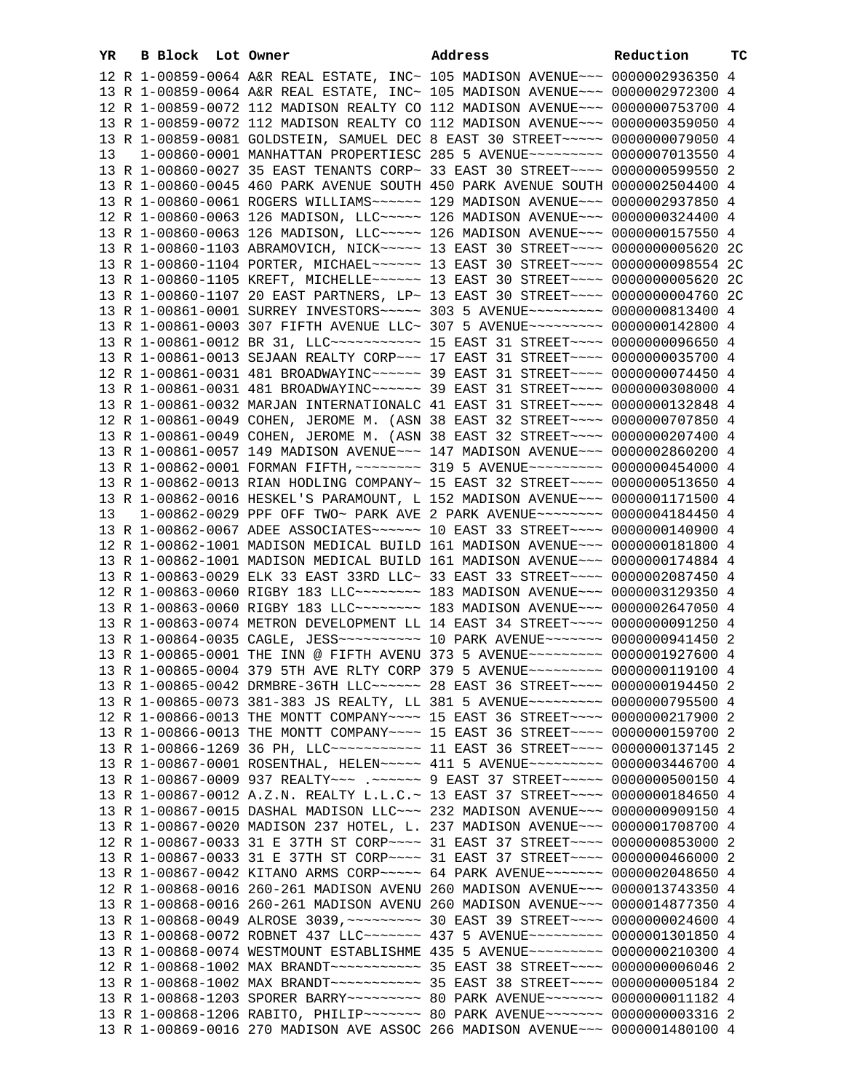| YR. | <b>B Block</b> Lot Owner |                                                                                                                                                                | Address | Reduction | ТC |
|-----|--------------------------|----------------------------------------------------------------------------------------------------------------------------------------------------------------|---------|-----------|----|
|     |                          | 12 R 1-00859-0064 A&R REAL ESTATE, INC~ 105 MADISON AVENUE~~~ 0000002936350 4                                                                                  |         |           |    |
|     |                          | 13 R 1-00859-0064 A&R REAL ESTATE, INC~ 105 MADISON AVENUE~~~ 0000002972300 4                                                                                  |         |           |    |
|     |                          | 12 R 1-00859-0072 112 MADISON REALTY CO 112 MADISON AVENUE~~~ 0000000753700 4                                                                                  |         |           |    |
|     |                          | 13 R 1-00859-0072 112 MADISON REALTY CO 112 MADISON AVENUE~~~ 0000000359050 4                                                                                  |         |           |    |
|     |                          | 13 R 1-00859-0081 GOLDSTEIN, SAMUEL DEC 8 EAST 30 STREET~~~~~ 0000000079050 4                                                                                  |         |           |    |
| 13  |                          | 1-00860-0001 MANHATTAN PROPERTIESC 285 5 AVENUE~~~~~~~~~ 0000007013550 4                                                                                       |         |           |    |
|     |                          | 13 R 1-00860-0027 35 EAST TENANTS CORP~ 33 EAST 30 STREET~~~~ 0000000599550 2                                                                                  |         |           |    |
|     |                          | 13 R 1-00860-0045 460 PARK AVENUE SOUTH 450 PARK AVENUE SOUTH 0000002504400 4                                                                                  |         |           |    |
|     |                          | 13 R 1-00860-0061 ROGERS WILLIAMS ----- 129 MADISON AVENUE -- 0000002937850 4                                                                                  |         |           |    |
|     |                          | 12 R 1-00860-0063 126 MADISON, LLC ~~~~~ 126 MADISON AVENUE ~~~ 0000000324400 4                                                                                |         |           |    |
|     |                          | 13 R 1-00860-0063 126 MADISON, LLC ---- 126 MADISON AVENUE -- 0000000157550 4                                                                                  |         |           |    |
|     |                          | 13 R 1-00860-1103 ABRAMOVICH, NICK ---- 13 EAST 30 STREET --- 00000000005620 2C                                                                                |         |           |    |
|     |                          | 13 R 1-00860-1104 PORTER, MICHAEL~~~~~~ 13 EAST 30 STREET~~~~ 0000000098554 2C                                                                                 |         |           |    |
|     |                          | 13 R 1-00860-1105 KREFT, MICHELLE~~~~~~ 13 EAST 30 STREET~~~~ 0000000005620 2C                                                                                 |         |           |    |
|     |                          | 13 R 1-00860-1107 20 EAST PARTNERS, LP~ 13 EAST 30 STREET~~~~ 0000000004760 2C                                                                                 |         |           |    |
|     |                          | 13 R 1-00861-0001 SURREY INVESTORS ~~~~~ 303 5 AVENUE ~~~~~~~~~ 0000000813400 4                                                                                |         |           |    |
|     |                          | 13 R 1-00861-0003 307 FIFTH AVENUE LLC~ 307 5 AVENUE~~~~~~~~~ 0000000142800 4                                                                                  |         |           |    |
|     |                          | 13 R 1-00861-0012 BR 31, LLC ----------- 15 EAST 31 STREET ---- 0000000096650 4                                                                                |         |           |    |
|     |                          | 13 R 1-00861-0013 SEJAAN REALTY CORP~~~ 17 EAST 31 STREET~~~~ 0000000035700 4                                                                                  |         |           |    |
|     |                          | 12 R 1-00861-0031 481 BROADWAYINC~~~~~~ 39 EAST 31 STREET~~~~ 0000000074450 4                                                                                  |         |           |    |
|     |                          | 13 R 1-00861-0031 481 BROADWAYINC~~~~~~ 39 EAST 31 STREET~~~~ 0000000308000 4                                                                                  |         |           |    |
|     |                          | 13 R 1-00861-0032 MARJAN INTERNATIONALC 41 EAST 31 STREET~~~~ 0000000132848 4                                                                                  |         |           |    |
|     |                          | 12 R 1-00861-0049 COHEN, JEROME M. (ASN 38 EAST 32 STREET~~~~ 0000000707850 4                                                                                  |         |           |    |
|     |                          | 13 R 1-00861-0049 COHEN, JEROME M. (ASN 38 EAST 32 STREET~~~~ 0000000207400 4                                                                                  |         |           |    |
|     |                          | 13 R 1-00861-0057 149 MADISON AVENUE~~~ 147 MADISON AVENUE~~~ 0000002860200 4                                                                                  |         |           |    |
|     |                          | 13 R 1-00862-0001 FORMAN FIFTH, ~~~~~~~~ 319 5 AVENUE~~~~~~~~~ 0000000454000 4                                                                                 |         |           |    |
|     |                          | 13 R 1-00862-0013 RIAN HODLING COMPANY~ 15 EAST 32 STREET~~~~ 0000000513650 4                                                                                  |         |           |    |
|     |                          | 13 R 1-00862-0016 HESKEL'S PARAMOUNT, L 152 MADISON AVENUE~~~ 0000001171500 4                                                                                  |         |           |    |
| 13  |                          | 1-00862-0029 PPF OFF TWO~ PARK AVE 2 PARK AVENUE~~~~~~~~ 0000004184450 4                                                                                       |         |           |    |
|     |                          | 13 R 1-00862-0067 ADEE ASSOCIATES~~~~~~ 10 EAST 33 STREET~~~~ 0000000140900 4                                                                                  |         |           |    |
|     |                          | 12 R 1-00862-1001 MADISON MEDICAL BUILD 161 MADISON AVENUE~~~ 0000000181800 4                                                                                  |         |           |    |
|     |                          | 13 R 1-00862-1001 MADISON MEDICAL BUILD 161 MADISON AVENUE~~~ 0000000174884 4                                                                                  |         |           |    |
|     |                          | 13 R 1-00863-0029 ELK 33 EAST 33RD LLC~ 33 EAST 33 STREET~~~~ 0000002087450 4<br>12 R 1-00863-0060 RIGBY 183 LLC ------- 183 MADISON AVENUE -- 0000003129350 4 |         |           |    |
|     |                          | 13 R 1-00863-0060 RIGBY 183 LLC ------- 183 MADISON AVENUE -- 0000002647050 4                                                                                  |         |           |    |
|     |                          | 13 R 1-00863-0074 METRON DEVELOPMENT LL 14 EAST 34 STREET~~~~ 0000000091250 4                                                                                  |         |           |    |
|     |                          | 13 R 1-00864-0035 CAGLE, JESS --------- 10 PARK AVENUE ------ 0000000941450 2                                                                                  |         |           |    |
|     |                          | 13 R 1-00865-0001 THE INN @ FIFTH AVENU 373 5 AVENUE~~~~~~~~~ 0000001927600 4                                                                                  |         |           |    |
|     |                          | 13 R 1-00865-0004 379 5TH AVE RLTY CORP 379 5 AVENUE~~~~~~~~~ 0000000119100 4                                                                                  |         |           |    |
|     |                          | 13 R 1-00865-0042 DRMBRE-36TH LLC ----- 28 EAST 36 STREET --- 0000000194450 2                                                                                  |         |           |    |
|     |                          | 13 R 1-00865-0073 381-383 JS REALTY, LL 381 5 AVENUE~~~~~~~~~ 0000000795500 4                                                                                  |         |           |    |
|     |                          | 12 R 1-00866-0013 THE MONTT COMPANY~~~~ 15 EAST 36 STREET~~~~ 0000000217900 2                                                                                  |         |           |    |
|     |                          | 13 R 1-00866-0013 THE MONTT COMPANY~~~~ 15 EAST 36 STREET~~~~ 0000000159700 2                                                                                  |         |           |    |
|     |                          | 13 R 1-00866-1269 36 PH, LLC ----------- 11 EAST 36 STREET ---- 0000000137145 2                                                                                |         |           |    |
|     |                          | 13 R 1-00867-0001 ROSENTHAL, HELEN~~~~~ 411 5 AVENUE~~~~~~~~~ 0000003446700 4                                                                                  |         |           |    |
|     |                          | 13 R 1-00867-0009 937 REALTY --- . ----- 9 EAST 37 STREET ---- 0000000500150 4                                                                                 |         |           |    |
|     |                          | 13 R 1-00867-0012 A.Z.N. REALTY L.L.C.~ 13 EAST 37 STREET~~~~ 0000000184650 4                                                                                  |         |           |    |
|     |                          | 13 R 1-00867-0015 DASHAL MADISON LLC~~~ 232 MADISON AVENUE~~~ 0000000909150 4                                                                                  |         |           |    |
|     |                          | 13 R 1-00867-0020 MADISON 237 HOTEL, L. 237 MADISON AVENUE~~~ 0000001708700 4                                                                                  |         |           |    |
|     |                          | 12 R 1-00867-0033 31 E 37TH ST CORP~~~~ 31 EAST 37 STREET~~~~ 0000000853000 2                                                                                  |         |           |    |
|     |                          | 13 R 1-00867-0033 31 E 37TH ST CORP~~~~ 31 EAST 37 STREET~~~~ 0000000466000 2                                                                                  |         |           |    |
|     |                          | 13 R 1-00867-0042 KITANO ARMS CORP~~~~~ 64 PARK AVENUE~~~~~~~ 0000002048650 4                                                                                  |         |           |    |
|     |                          | 12 R 1-00868-0016 260-261 MADISON AVENU 260 MADISON AVENUE~~~ 0000013743350 4                                                                                  |         |           |    |
|     |                          | 13 R 1-00868-0016 260-261 MADISON AVENU 260 MADISON AVENUE~~~ 0000014877350 4                                                                                  |         |           |    |
|     |                          | 13 R 1-00868-0049 ALROSE 3039, ~~~~~~~~~ 30 EAST 39 STREET~~~~ 0000000024600 4                                                                                 |         |           |    |
|     |                          | 13 R 1-00868-0072 ROBNET 437 LLC ------ 437 5 AVENUE --------- 0000001301850 4                                                                                 |         |           |    |
|     |                          | 13 R 1-00868-0074 WESTMOUNT ESTABLISHME 435 5 AVENUE~~~~~~~~~ 0000000210300 4                                                                                  |         |           |    |
|     |                          |                                                                                                                                                                |         |           |    |
|     |                          |                                                                                                                                                                |         |           |    |
|     |                          | 13 R 1-00868-1203 SPORER BARRY~~~~~~~~~~~~~~~~ 80 PARK AVENUE~~~~~~~~~ 00000000011182 4                                                                        |         |           |    |
|     |                          | 13 R 1-00868-1206 RABITO, PHILIP~~~~~~~ 80 PARK AVENUE~~~~~~~ 0000000003316 2                                                                                  |         |           |    |
|     |                          | 13 R 1-00869-0016 270 MADISON AVE ASSOC 266 MADISON AVENUE~~~ 0000001480100 4                                                                                  |         |           |    |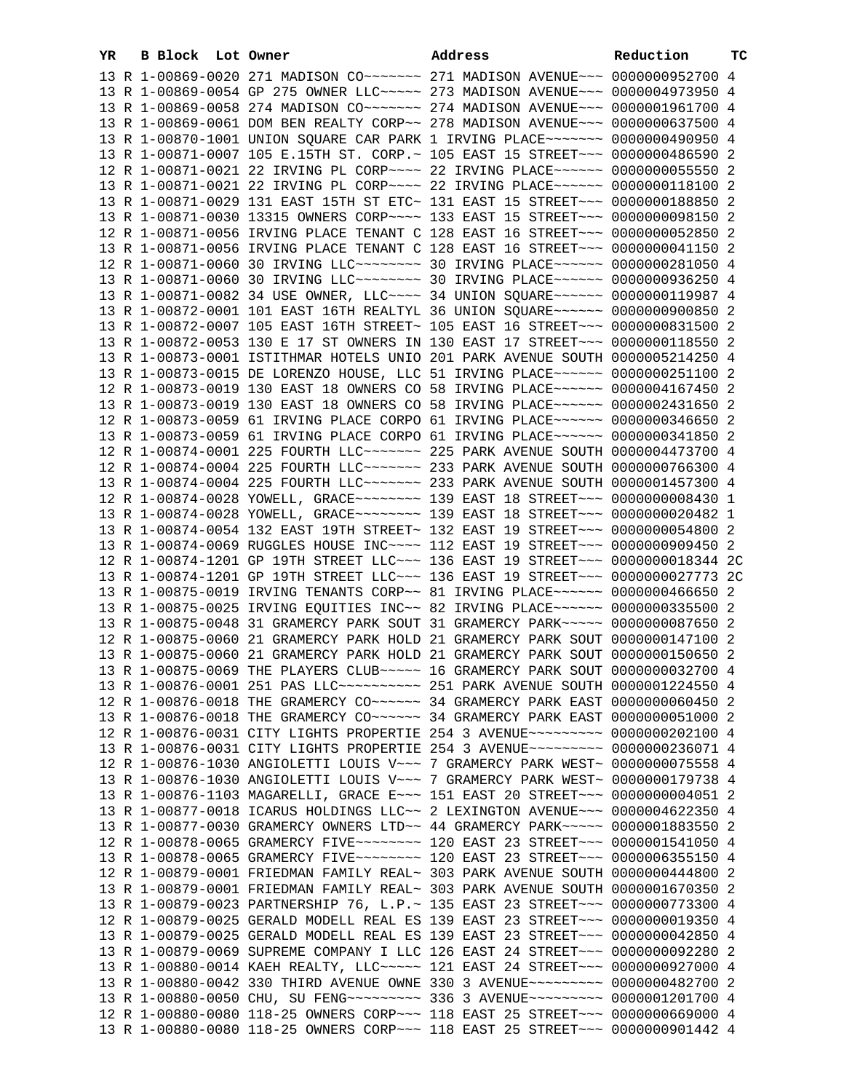| YR | B Block Lot Owner | Address                                                                                                                                                         | Reduction | тc |
|----|-------------------|-----------------------------------------------------------------------------------------------------------------------------------------------------------------|-----------|----|
|    |                   | 13 R 1-00869-0020 271 MADISON CO ------ 271 MADISON AVENUE -- 0000000952700 4                                                                                   |           |    |
|    |                   | 13 R 1-00869-0054 GP 275 OWNER LLC~~~~~ 273 MADISON AVENUE~~~ 0000004973950 4                                                                                   |           |    |
|    |                   | 13 R 1-00869-0058 274 MADISON CO~~~~~~~ 274 MADISON AVENUE~~~ 0000001961700 4                                                                                   |           |    |
|    |                   | 13 R 1-00869-0061 DOM BEN REALTY CORP~~ 278 MADISON AVENUE~~~ 0000000637500 4                                                                                   |           |    |
|    |                   | 13 R 1-00870-1001 UNION SQUARE CAR PARK 1 IRVING PLACE~~~~~~~ 0000000490950 4                                                                                   |           |    |
|    |                   | 13 R 1-00871-0007 105 E.15TH ST. CORP.~ 105 EAST 15 STREET~~~ 0000000486590 2                                                                                   |           |    |
|    |                   | 12 R 1-00871-0021 22 IRVING PL CORP~~~~ 22 IRVING PLACE~~~~~~ 0000000055550 2                                                                                   |           |    |
|    |                   | 13 R 1-00871-0021 22 IRVING PL CORP~~~~ 22 IRVING PLACE~~~~~~ 0000000118100 2                                                                                   |           |    |
|    |                   | 13 R 1-00871-0029 131 EAST 15TH ST ETC~ 131 EAST 15 STREET~~~ 0000000188850 2                                                                                   |           |    |
|    |                   | 13 R 1-00871-0030 13315 OWNERS CORP~~~~ 133 EAST 15 STREET~~~ 0000000098150 2                                                                                   |           |    |
|    |                   | 12 R 1-00871-0056 IRVING PLACE TENANT C 128 EAST 16 STREET~~~ 0000000052850 2                                                                                   |           |    |
|    |                   | 13 R 1-00871-0056 IRVING PLACE TENANT C 128 EAST 16 STREET~~~ 0000000041150 2                                                                                   |           |    |
|    |                   | 12 R 1-00871-0060 30 IRVING LLC -------- 30 IRVING PLACE ----- 0000000281050 4                                                                                  |           |    |
|    |                   | 13 R 1-00871-0060 30 IRVING LLC -------- 30 IRVING PLACE ------ 0000000936250 4                                                                                 |           |    |
|    |                   | 13 R 1-00871-0082 34 USE OWNER, LLC --- 34 UNION SQUARE ----- 0000000119987 4                                                                                   |           |    |
|    |                   | 13 R 1-00872-0001 101 EAST 16TH REALTYL 36 UNION SQUARE~~~~~~ 0000000900850 2                                                                                   |           |    |
|    |                   | 13 R 1-00872-0007 105 EAST 16TH STREET~ 105 EAST 16 STREET~~~ 0000000831500 2                                                                                   |           |    |
|    |                   | 13 R 1-00872-0053 130 E 17 ST OWNERS IN 130 EAST 17 STREET~~~ 0000000118550 2                                                                                   |           |    |
|    |                   | 13 R 1-00873-0001 ISTITHMAR HOTELS UNIO 201 PARK AVENUE SOUTH 0000005214250 4                                                                                   |           |    |
|    |                   | 13 R 1-00873-0015 DE LORENZO HOUSE, LLC 51 IRVING PLACE ~~~~~~ 0000000251100 2                                                                                  |           |    |
|    |                   | 12 R 1-00873-0019 130 EAST 18 OWNERS CO 58 IRVING PLACE ~~~~~~ 0000004167450 2                                                                                  |           |    |
|    |                   | 13 R 1-00873-0019 130 EAST 18 OWNERS CO 58 IRVING PLACE ~~~~~~ 0000002431650 2                                                                                  |           |    |
|    |                   | 12 R 1-00873-0059 61 IRVING PLACE CORPO 61 IRVING PLACE~~~~~~ 0000000346650 2                                                                                   |           |    |
|    |                   | 13 R 1-00873-0059 61 IRVING PLACE CORPO 61 IRVING PLACE~~~~~~ 0000000341850 2                                                                                   |           |    |
|    |                   | 12 R 1-00874-0001 225 FOURTH LLC ------ 225 PARK AVENUE SOUTH 0000004473700 4                                                                                   |           |    |
|    |                   | 12 R 1-00874-0004 225 FOURTH LLC ------ 233 PARK AVENUE SOUTH 0000000766300 4                                                                                   |           |    |
|    |                   | 13 R 1-00874-0004 225 FOURTH LLC ------ 233 PARK AVENUE SOUTH 0000001457300 4                                                                                   |           |    |
|    |                   | 12 R 1-00874-0028 YOWELL, GRACE ~~~~~~~~~ 139 EAST 18 STREET ~~~ 0000000008430 1                                                                                |           |    |
|    |                   | 13 R 1-00874-0028 YOWELL, GRACE~~~~~~~~~ 139 EAST 18 STREET~~~ 0000000020482 1                                                                                  |           |    |
|    |                   | 13 R 1-00874-0054 132 EAST 19TH STREET~ 132 EAST 19 STREET~~~ 0000000054800 2                                                                                   |           |    |
|    |                   | 13 R 1-00874-0069 RUGGLES HOUSE INC~~~~ 112 EAST 19 STREET~~~ 0000000909450 2                                                                                   |           |    |
|    |                   | 12 R 1-00874-1201 GP 19TH STREET LLC~~~ 136 EAST 19 STREET~~~ 0000000018344 2C                                                                                  |           |    |
|    |                   | 13 R 1-00874-1201 GP 19TH STREET LLC~~~ 136 EAST 19 STREET~~~ 0000000027773 2C                                                                                  |           |    |
|    |                   | 13 R 1-00875-0019 IRVING TENANTS CORP~~ 81 IRVING PLACE~~~~~~ 0000000466650 2                                                                                   |           |    |
|    |                   | 13 R 1-00875-0025 IRVING EQUITIES INC~~ 82 IRVING PLACE~~~~~~ 0000000335500 2                                                                                   |           |    |
|    |                   | 13 R 1-00875-0048 31 GRAMERCY PARK SOUT 31 GRAMERCY PARK~~~~~ 0000000087650 2                                                                                   |           |    |
|    |                   | 12 R 1-00875-0060 21 GRAMERCY PARK HOLD 21 GRAMERCY PARK SOUT 0000000147100 2                                                                                   |           |    |
|    |                   | 13 R 1-00875-0060 21 GRAMERCY PARK HOLD 21 GRAMERCY PARK SOUT 0000000150650 2<br>13 R 1-00875-0069 THE PLAYERS CLUB ~~~~~ 16 GRAMERCY PARK SOUT 0000000032700 4 |           |    |
|    |                   | 13 R 1-00876-0001 251 PAS LLC --------- 251 PARK AVENUE SOUTH 0000001224550 4                                                                                   |           |    |
|    |                   | 12 R 1-00876-0018 THE GRAMERCY CO~~~~~~ 34 GRAMERCY PARK EAST 0000000060450 2                                                                                   |           |    |
|    |                   | 13 R 1-00876-0018 THE GRAMERCY CO~~~~~~ 34 GRAMERCY PARK EAST 0000000051000 2                                                                                   |           |    |
|    |                   | 12 R 1-00876-0031 CITY LIGHTS PROPERTIE 254 3 AVENUE~~~~~~~~~ 0000000202100 4                                                                                   |           |    |
|    |                   | 13 R 1-00876-0031 CITY LIGHTS PROPERTIE 254 3 AVENUE~~~~~~~~~ 0000000236071 4                                                                                   |           |    |
|    |                   | 12 R 1-00876-1030 ANGIOLETTI LOUIS V~~~ 7 GRAMERCY PARK WEST~ 0000000075558 4                                                                                   |           |    |
|    |                   | 13 R 1-00876-1030 ANGIOLETTI LOUIS V~~~ 7 GRAMERCY PARK WEST~ 0000000179738 4                                                                                   |           |    |
|    |                   | 13 R 1-00876-1103 MAGARELLI, GRACE E~~~ 151 EAST 20 STREET~~~ 00000000004051 2                                                                                  |           |    |
|    |                   | 13 R 1-00877-0018 ICARUS HOLDINGS LLC~~ 2 LEXINGTON AVENUE~~~ 0000004622350 4                                                                                   |           |    |
|    |                   | 13 R 1-00877-0030 GRAMERCY OWNERS LTD~~ 44 GRAMERCY PARK~~~~~ 0000001883550 2                                                                                   |           |    |
|    |                   | 12 R 1-00878-0065 GRAMERCY FIVE~~~~~~~~ 120 EAST 23 STREET~~~ 0000001541050 4                                                                                   |           |    |
|    |                   | 13 R 1-00878-0065 GRAMERCY FIVE~~~~~~~~ 120 EAST 23 STREET~~~ 0000006355150 4                                                                                   |           |    |
|    |                   | 12 R 1-00879-0001 FRIEDMAN FAMILY REAL~ 303 PARK AVENUE SOUTH 0000000444800 2                                                                                   |           |    |
|    |                   | 13 R 1-00879-0001 FRIEDMAN FAMILY REAL~ 303 PARK AVENUE SOUTH 0000001670350 2                                                                                   |           |    |
|    |                   | 13 R 1-00879-0023 PARTNERSHIP 76, L.P.~ 135 EAST 23 STREET~~~ 0000000773300 4                                                                                   |           |    |
|    |                   | 12 R 1-00879-0025 GERALD MODELL REAL ES 139 EAST 23 STREET~~~ 0000000019350 4                                                                                   |           |    |
|    |                   | 13 R 1-00879-0025 GERALD MODELL REAL ES 139 EAST 23 STREET~~~ 0000000042850 4                                                                                   |           |    |
|    |                   | 13 R 1-00879-0069 SUPREME COMPANY I LLC 126 EAST 24 STREET~~~ 0000000092280 2                                                                                   |           |    |
|    |                   | 13 R 1-00880-0014 KAEH REALTY, LLC ~~~~~ 121 EAST 24 STREET ~~~ 0000000927000 4                                                                                 |           |    |
|    |                   | 13 R 1-00880-0042 330 THIRD AVENUE OWNE 330 3 AVENUE~~~~~~~~~ 0000000482700 2                                                                                   |           |    |
|    |                   | 13 R 1-00880-0050 CHU, SU FENG~~~~~~~~~ 336 3 AVENUE~~~~~~~~~ 0000001201700 4                                                                                   |           |    |
|    |                   | 12 R 1-00880-0080 118-25 OWNERS CORP~~~ 118 EAST 25 STREET~~~ 0000000669000 4                                                                                   |           |    |
|    |                   | 13 R 1-00880-0080 118-25 OWNERS CORP~~~ 118 EAST 25 STREET~~~ 0000000901442 4                                                                                   |           |    |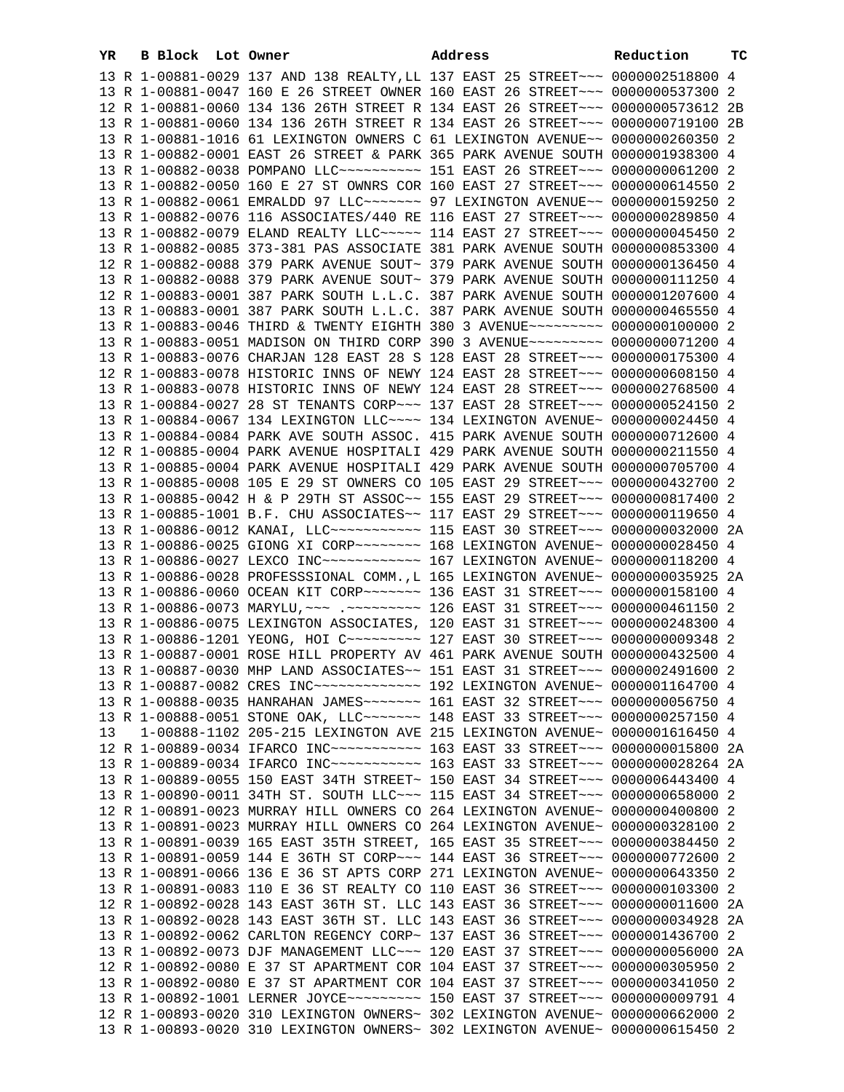| YR. | B Block Lot Owner |                                                                                                                                                                | Address | Reduction | тc |
|-----|-------------------|----------------------------------------------------------------------------------------------------------------------------------------------------------------|---------|-----------|----|
|     |                   | 13 R 1-00881-0029 137 AND 138 REALTY, LL 137 EAST 25 STREET~~~ 0000002518800 4                                                                                 |         |           |    |
|     |                   | 13 R 1-00881-0047 160 E 26 STREET OWNER 160 EAST 26 STREET~~~ 0000000537300 2                                                                                  |         |           |    |
|     |                   | 12 R 1-00881-0060 134 136 26TH STREET R 134 EAST 26 STREET~~~ 0000000573612 2B                                                                                 |         |           |    |
|     |                   | 13 R 1-00881-0060 134 136 26TH STREET R 134 EAST 26 STREET~~~ 0000000719100 2B                                                                                 |         |           |    |
|     |                   | 13 R 1-00881-1016 61 LEXINGTON OWNERS C 61 LEXINGTON AVENUE~~ 0000000260350 2                                                                                  |         |           |    |
|     |                   | 13 R 1-00882-0001 EAST 26 STREET & PARK 365 PARK AVENUE SOUTH 0000001938300 4                                                                                  |         |           |    |
|     |                   | 13 R 1-00882-0038 POMPANO LLC~~~~~~~~~~~~~~~ 151 EAST 26 STREET~~~~ 0000000061200 2                                                                            |         |           |    |
|     |                   | 13 R 1-00882-0050 160 E 27 ST OWNRS COR 160 EAST 27 STREET~~~ 0000000614550 2                                                                                  |         |           |    |
|     |                   | 13 R 1-00882-0061 EMRALDD 97 LLC~~~~~~~ 97 LEXINGTON AVENUE~~ 0000000159250 2                                                                                  |         |           |    |
|     |                   | 13 R 1-00882-0076 116 ASSOCIATES/440 RE 116 EAST 27 STREET~~~ 0000000289850 4                                                                                  |         |           |    |
|     |                   | 13 R 1-00882-0079 ELAND REALTY LLC~~~~~ 114 EAST 27 STREET~~~ 0000000045450 2                                                                                  |         |           |    |
|     |                   | 13 R 1-00882-0085 373-381 PAS ASSOCIATE 381 PARK AVENUE SOUTH 0000000853300 4                                                                                  |         |           |    |
|     |                   | 12 R 1-00882-0088 379 PARK AVENUE SOUT~ 379 PARK AVENUE SOUTH 0000000136450 4                                                                                  |         |           |    |
|     |                   | 13 R 1-00882-0088 379 PARK AVENUE SOUT~ 379 PARK AVENUE SOUTH 0000000111250 4<br>12 R 1-00883-0001 387 PARK SOUTH L.L.C. 387 PARK AVENUE SOUTH 0000001207600 4 |         |           |    |
|     |                   | 13 R 1-00883-0001 387 PARK SOUTH L.L.C. 387 PARK AVENUE SOUTH 0000000465550 4                                                                                  |         |           |    |
|     |                   | 13 R 1-00883-0046 THIRD & TWENTY EIGHTH 380 3 AVENUE~~~~~~~~~ 0000000100000 2                                                                                  |         |           |    |
|     |                   | 13 R 1-00883-0051 MADISON ON THIRD CORP 390 3 AVENUE~~~~~~~~~ 0000000071200 4                                                                                  |         |           |    |
|     |                   | 13 R 1-00883-0076 CHARJAN 128 EAST 28 S 128 EAST 28 STREET~~~ 0000000175300 4                                                                                  |         |           |    |
|     |                   | 12 R 1-00883-0078 HISTORIC INNS OF NEWY 124 EAST 28 STREET~~~ 0000000608150 4                                                                                  |         |           |    |
|     |                   | 13 R 1-00883-0078 HISTORIC INNS OF NEWY 124 EAST 28 STREET~~~ 0000002768500 4                                                                                  |         |           |    |
|     |                   | 13 R 1-00884-0027 28 ST TENANTS CORP~~~ 137 EAST 28 STREET~~~ 0000000524150 2                                                                                  |         |           |    |
|     |                   | 13 R 1-00884-0067 134 LEXINGTON LLC~~~~ 134 LEXINGTON AVENUE~ 0000000024450 4                                                                                  |         |           |    |
|     |                   | 13 R 1-00884-0084 PARK AVE SOUTH ASSOC. 415 PARK AVENUE SOUTH 0000000712600 4                                                                                  |         |           |    |
|     |                   | 12 R 1-00885-0004 PARK AVENUE HOSPITALI 429 PARK AVENUE SOUTH 0000000211550 4                                                                                  |         |           |    |
|     |                   | 13 R 1-00885-0004 PARK AVENUE HOSPITALI 429 PARK AVENUE SOUTH 0000000705700 4                                                                                  |         |           |    |
|     |                   | 13 R 1-00885-0008 105 E 29 ST OWNERS CO 105 EAST 29 STREET~~~ 0000000432700 2                                                                                  |         |           |    |
|     |                   | 13 R 1-00885-0042 H & P 29TH ST ASSOC~~ 155 EAST 29 STREET~~~ 0000000817400 2                                                                                  |         |           |    |
|     |                   | 13 R 1-00885-1001 B.F. CHU ASSOCIATES~~ 117 EAST 29 STREET~~~ 0000000119650 4                                                                                  |         |           |    |
|     |                   | 13 R 1-00886-0012 KANAI, LLC ----------- 115 EAST 30 STREET --- 0000000032000 2A                                                                               |         |           |    |
|     |                   |                                                                                                                                                                |         |           |    |
|     |                   | 13 R 1-00886-0027 LEXCO INC ------------ 167 LEXINGTON AVENUE ~ 0000000118200 4                                                                                |         |           |    |
|     |                   | 13 R 1-00886-0028 PROFESSSIONAL COMM., L 165 LEXINGTON AVENUE~ 0000000035925 2A                                                                                |         |           |    |
|     |                   | 13 R 1-00886-0060 OCEAN KIT CORP~~~~~~~ 136 EAST 31 STREET~~~ 0000000158100 4                                                                                  |         |           |    |
|     |                   | 13 R 1-00886-0073 MARYLU, ~~~ .~~~~~~~~~ 126 EAST 31 STREET~~~ 0000000461150 2                                                                                 |         |           |    |
|     |                   | 13 R 1-00886-0075 LEXINGTON ASSOCIATES, 120 EAST 31 STREET~~~ 0000000248300 4                                                                                  |         |           |    |
|     |                   | 13 R 1-00886-1201 YEONG, HOI C -------- 127 EAST 30 STREET --- 0000000009348 2                                                                                 |         |           |    |
|     |                   | 13 R 1-00887-0001 ROSE HILL PROPERTY AV 461 PARK AVENUE SOUTH 0000000432500 4<br>13 R 1-00887-0030 MHP LAND ASSOCIATES~~ 151 EAST 31 STREET~~~ 0000002491600 2 |         |           |    |
|     |                   | 13 R 1-00887-0082 CRES INC ------------- 192 LEXINGTON AVENUE ~ 0000001164700 4                                                                                |         |           |    |
|     |                   | 13 R 1-00888-0035 HANRAHAN JAMES~~~~~~~ 161 EAST 32 STREET~~~ 0000000056750 4                                                                                  |         |           |    |
|     |                   | 13 R 1-00888-0051 STONE OAK, LLC ------ 148 EAST 33 STREET --- 0000000257150 4                                                                                 |         |           |    |
| 13  |                   | 1-00888-1102 205-215 LEXINGTON AVE 215 LEXINGTON AVENUE~ 0000001616450 4                                                                                       |         |           |    |
|     |                   |                                                                                                                                                                |         |           | 2A |
|     |                   | 13 R 1-00889-0034 IFARCO INC~~~~~~~~~~~~~~~~ 163 EAST 33 STREET~~~ 0000000028264 2A                                                                            |         |           |    |
|     |                   | 13 R 1-00889-0055 150 EAST 34TH STREET~ 150 EAST 34 STREET~~~ 0000006443400                                                                                    |         |           | 4  |
|     |                   | 13 R 1-00890-0011 34TH ST. SOUTH LLC~~~ 115 EAST 34 STREET~~~ 0000000658000 2                                                                                  |         |           |    |
|     |                   | 12 R 1-00891-0023 MURRAY HILL OWNERS CO 264 LEXINGTON AVENUE~ 0000000400800 2                                                                                  |         |           |    |
|     |                   | 13 R 1-00891-0023 MURRAY HILL OWNERS CO 264 LEXINGTON AVENUE~ 0000000328100 2                                                                                  |         |           |    |
|     |                   | 13 R 1-00891-0039 165 EAST 35TH STREET, 165 EAST 35 STREET~~~ 0000000384450 2                                                                                  |         |           |    |
|     |                   | 13 R 1-00891-0059 144 E 36TH ST CORP~~~ 144 EAST 36 STREET~~~ 0000000772600 2                                                                                  |         |           |    |
|     |                   | 13 R 1-00891-0066 136 E 36 ST APTS CORP 271 LEXINGTON AVENUE~ 0000000643350 2                                                                                  |         |           |    |
|     |                   | 13 R 1-00891-0083 110 E 36 ST REALTY CO 110 EAST 36 STREET~~~ 0000000103300 2                                                                                  |         |           |    |
|     |                   | 12 R 1-00892-0028 143 EAST 36TH ST. LLC 143 EAST 36 STREET~~~ 00000000011600 2A                                                                                |         |           |    |
|     |                   | 13 R 1-00892-0028 143 EAST 36TH ST. LLC 143 EAST 36 STREET~~~ 0000000034928 2A                                                                                 |         |           |    |
|     |                   | 13 R 1-00892-0062 CARLTON REGENCY CORP~ 137 EAST 36 STREET~~~ 0000001436700 2                                                                                  |         |           |    |
|     |                   | 13 R 1-00892-0073 DJF MANAGEMENT LLC~~~ 120 EAST 37 STREET~~~ 0000000056000 2A                                                                                 |         |           |    |
|     |                   | 12 R 1-00892-0080 E 37 ST APARTMENT COR 104 EAST 37 STREET~~~ 0000000305950 2                                                                                  |         |           |    |
|     |                   | 13 R 1-00892-0080 E 37 ST APARTMENT COR 104 EAST 37 STREET~~~ 0000000341050 2                                                                                  |         |           |    |
|     |                   | 13 R 1-00892-1001 LERNER JOYCE~~~~~~~~~~ 150 EAST 37 STREET~~~ 0000000009791 4                                                                                 |         |           |    |
|     |                   | 12 R 1-00893-0020 310 LEXINGTON OWNERS~ 302 LEXINGTON AVENUE~ 0000000662000 2<br>13 R 1-00893-0020 310 LEXINGTON OWNERS~ 302 LEXINGTON AVENUE~ 0000000615450 2 |         |           |    |
|     |                   |                                                                                                                                                                |         |           |    |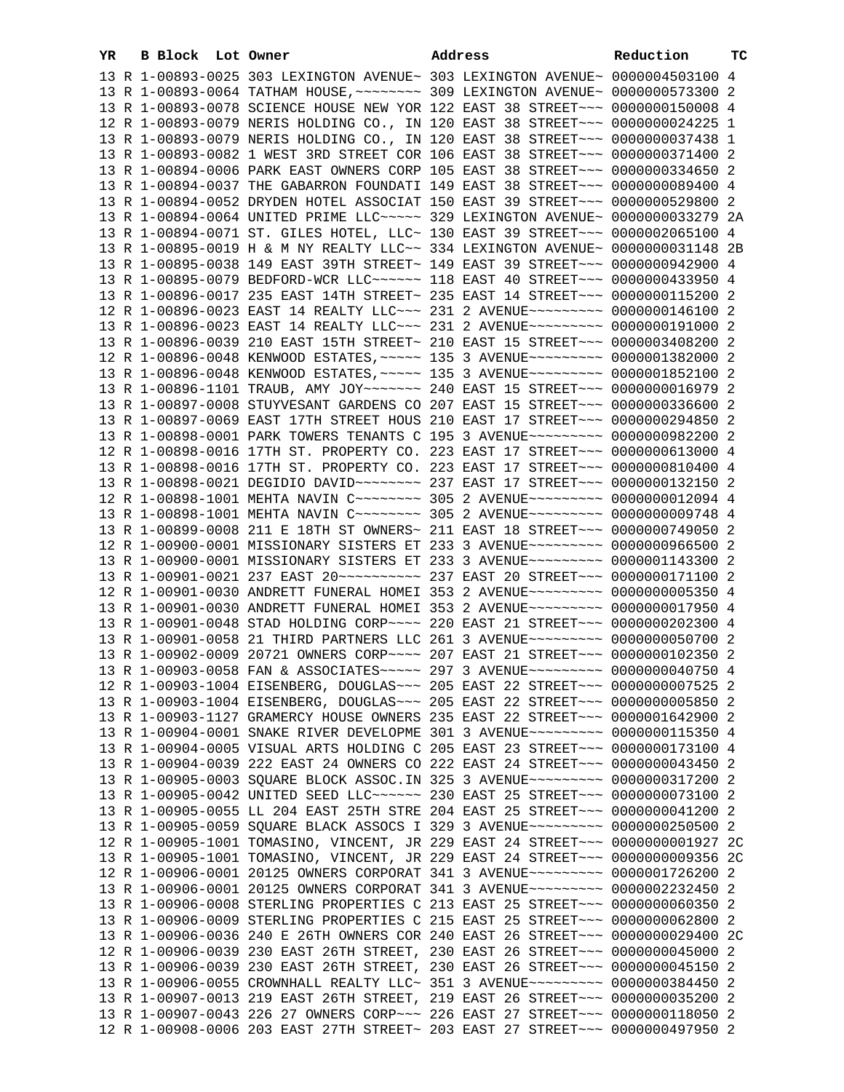| YR. | B Block Lot Owner |                                                                                                                                                                | Address | Reduction | тc |
|-----|-------------------|----------------------------------------------------------------------------------------------------------------------------------------------------------------|---------|-----------|----|
|     |                   | 13 R 1-00893-0025 303 LEXINGTON AVENUE~ 303 LEXINGTON AVENUE~ 0000004503100 4                                                                                  |         |           |    |
|     |                   | 13 R 1-00893-0064 TATHAM HOUSE, ~~~~~~~~ 309 LEXINGTON AVENUE~ 0000000573300 2                                                                                 |         |           |    |
|     |                   | 13 R 1-00893-0078 SCIENCE HOUSE NEW YOR 122 EAST 38 STREET~~~ 0000000150008 4                                                                                  |         |           |    |
|     |                   | 12 R 1-00893-0079 NERIS HOLDING CO., IN 120 EAST 38 STREET~~~ 0000000024225 1                                                                                  |         |           |    |
|     |                   | 13 R 1-00893-0079 NERIS HOLDING CO., IN 120 EAST 38 STREET~~~ 0000000037438 1                                                                                  |         |           |    |
|     |                   | 13 R 1-00893-0082 1 WEST 3RD STREET COR 106 EAST 38 STREET~~~ 0000000371400 2                                                                                  |         |           |    |
|     |                   | 13 R 1-00894-0006 PARK EAST OWNERS CORP 105 EAST 38 STREET~~~ 0000000334650 2                                                                                  |         |           |    |
|     |                   | 13 R 1-00894-0037 THE GABARRON FOUNDATI 149 EAST 38 STREET~~~ 0000000089400 4                                                                                  |         |           |    |
|     |                   | 13 R 1-00894-0052 DRYDEN HOTEL ASSOCIAT 150 EAST 39 STREET~~~ 0000000529800 2                                                                                  |         |           |    |
|     |                   | 13 R 1-00894-0064 UNITED PRIME LLC ---- 329 LEXINGTON AVENUE ~ 0000000033279 2A                                                                                |         |           |    |
|     |                   | 13 R 1-00894-0071 ST. GILES HOTEL, LLC~ 130 EAST 39 STREET~~~ 0000002065100 4                                                                                  |         |           |    |
|     |                   | 13 R 1-00895-0019 H & M NY REALTY LLC~~ 334 LEXINGTON AVENUE~ 0000000031148 2B                                                                                 |         |           |    |
|     |                   | 13 R 1-00895-0038 149 EAST 39TH STREET~ 149 EAST 39 STREET~~~ 0000000942900 4                                                                                  |         |           |    |
|     |                   | 13 R 1-00895-0079 BEDFORD-WCR LLC ----- 118 EAST 40 STREET -- 0000000433950 4                                                                                  |         |           |    |
|     |                   | 13 R 1-00896-0017 235 EAST 14TH STREET~ 235 EAST 14 STREET~~~ 0000000115200 2                                                                                  |         |           |    |
|     |                   | 12 R 1-00896-0023 EAST 14 REALTY LLC~~~ 231 2 AVENUE~~~~~~~~~ 0000000146100 2                                                                                  |         |           |    |
|     |                   | 13 R 1-00896-0023 EAST 14 REALTY LLC ~~~ 231 2 AVENUE ~~~~~~~~~ 0000000191000 2                                                                                |         |           |    |
|     |                   | 13 R 1-00896-0039 210 EAST 15TH STREET~ 210 EAST 15 STREET~~~ 0000003408200 2                                                                                  |         |           |    |
|     |                   | 12 R 1-00896-0048 KENWOOD ESTATES, ~~~~~ 135 3 AVENUE~~~~~~~~~ 0000001382000 2                                                                                 |         |           |    |
|     |                   | 13 R 1-00896-0048 KENWOOD ESTATES, ~~~~~ 135 3 AVENUE~~~~~~~~~ 0000001852100 2                                                                                 |         |           |    |
|     |                   | 13 R 1-00896-1101 TRAUB, AMY JOY~~~~~~~ 240 EAST 15 STREET~~~ 0000000016979 2                                                                                  |         |           |    |
|     |                   | 13 R 1-00897-0008 STUYVESANT GARDENS CO 207 EAST 15 STREET~~~ 0000000336600 2                                                                                  |         |           |    |
|     |                   | 13 R 1-00897-0069 EAST 17TH STREET HOUS 210 EAST 17 STREET~~~ 0000000294850 2                                                                                  |         |           |    |
|     |                   | 13 R 1-00898-0001 PARK TOWERS TENANTS C 195 3 AVENUE~~~~~~~~~ 0000000982200 2                                                                                  |         |           |    |
|     |                   | 12 R 1-00898-0016 17TH ST. PROPERTY CO. 223 EAST 17 STREET~~~ 0000000613000 4                                                                                  |         |           |    |
|     |                   | 13 R 1-00898-0016 17TH ST. PROPERTY CO. 223 EAST 17 STREET~~~ 0000000810400 4                                                                                  |         |           |    |
|     |                   | 13 R 1-00898-0021 DEGIDIO DAVID~~~~~~~~ 237 EAST 17 STREET~~~ 0000000132150 2                                                                                  |         |           |    |
|     |                   | 12 R 1-00898-1001 MEHTA NAVIN C ------- 305 2 AVENUE -------- 0000000012094 4                                                                                  |         |           |    |
|     |                   | 13 R 1-00898-1001 MEHTA NAVIN C ------- 305 2 AVENUE -------- 0000000009748 4                                                                                  |         |           |    |
|     |                   | 13 R 1-00899-0008 211 E 18TH ST OWNERS~ 211 EAST 18 STREET~~~ 0000000749050 2                                                                                  |         |           |    |
|     |                   | 12 R 1-00900-0001 MISSIONARY SISTERS ET 233 3 AVENUE~~~~~~~~~ 0000000966500 2                                                                                  |         |           |    |
|     |                   | 13 R 1-00900-0001 MISSIONARY SISTERS ET 233 3 AVENUE~~~~~~~~~ 0000001143300 2                                                                                  |         |           |    |
|     |                   |                                                                                                                                                                |         |           |    |
|     |                   | 12 R 1-00901-0030 ANDRETT FUNERAL HOMEI 353 2 AVENUE~~~~~~~~~ 0000000005350 4<br>13 R 1-00901-0030 ANDRETT FUNERAL HOMEI 353 2 AVENUE~~~~~~~~~ 0000000017950 4 |         |           |    |
|     |                   | 13 R 1-00901-0048 STAD HOLDING CORP~~~~ 220 EAST 21 STREET~~~ 0000000202300 4                                                                                  |         |           |    |
|     |                   | 13 R 1-00901-0058 21 THIRD PARTNERS LLC 261 3 AVENUE~~~~~~~~~ 0000000050700 2                                                                                  |         |           |    |
|     |                   | 13 R 1-00902-0009 20721 OWNERS CORP~~~~ 207 EAST 21 STREET~~~ 0000000102350 2                                                                                  |         |           |    |
|     |                   | 13 R 1-00903-0058 FAN & ASSOCIATES~~~~~ 297 3 AVENUE~~~~~~~~~ 0000000040750 4                                                                                  |         |           |    |
|     |                   | 12 R 1-00903-1004 EISENBERG, DOUGLAS ~~~ 205 EAST 22 STREET ~~~ 0000000007525 2                                                                                |         |           |    |
|     |                   | 13 R 1-00903-1004 EISENBERG, DOUGLAS ~~~ 205 EAST 22 STREET ~~~ 00000000005850 2                                                                               |         |           |    |
|     |                   | 13 R 1-00903-1127 GRAMERCY HOUSE OWNERS 235 EAST 22 STREET~~~ 0000001642900 2                                                                                  |         |           |    |
|     |                   | 13 R 1-00904-0001 SNAKE RIVER DEVELOPME 301 3 AVENUE~~~~~~~~~ 0000000115350 4                                                                                  |         |           |    |
|     |                   | 13 R 1-00904-0005 VISUAL ARTS HOLDING C 205 EAST 23 STREET~~~ 0000000173100 4                                                                                  |         |           |    |
|     |                   | 13 R 1-00904-0039 222 EAST 24 OWNERS CO 222 EAST 24 STREET~~~ 0000000043450 2                                                                                  |         |           |    |
|     |                   | 13 R 1-00905-0003 SQUARE BLOCK ASSOC. IN 325 3 AVENUE~~~~~~~~~ 0000000317200 2                                                                                 |         |           |    |
|     |                   | 13 R 1-00905-0042 UNITED SEED LLC ~~~~~~ 230 EAST 25 STREET ~~~ 0000000073100 2                                                                                |         |           |    |
|     |                   | 13 R 1-00905-0055 LL 204 EAST 25TH STRE 204 EAST 25 STREET~~~ 0000000041200 2                                                                                  |         |           |    |
|     |                   | 13 R 1-00905-0059 SQUARE BLACK ASSOCS I 329 3 AVENUE~~~~~~~~~ 0000000250500 2                                                                                  |         |           |    |
|     |                   | 12 R 1-00905-1001 TOMASINO, VINCENT, JR 229 EAST 24 STREET~~~ 0000000001927 2C                                                                                 |         |           |    |
|     |                   | 13 R 1-00905-1001 TOMASINO, VINCENT, JR 229 EAST 24 STREET~~~ 0000000009356 2C                                                                                 |         |           |    |
|     |                   | 12 R 1-00906-0001 20125 OWNERS CORPORAT 341 3 AVENUE~~~~~~~~~ 0000001726200 2                                                                                  |         |           |    |
|     |                   | 13 R 1-00906-0001 20125 OWNERS CORPORAT 341 3 AVENUE~~~~~~~~~ 0000002232450 2                                                                                  |         |           |    |
|     |                   | 13 R 1-00906-0008 STERLING PROPERTIES C 213 EAST 25 STREET~~~ 0000000060350 2                                                                                  |         |           |    |
|     |                   | 13 R 1-00906-0009 STERLING PROPERTIES C 215 EAST 25 STREET~~~ 0000000062800 2                                                                                  |         |           |    |
|     |                   | 13 R 1-00906-0036 240 E 26TH OWNERS COR 240 EAST 26 STREET~~~ 0000000029400 2C                                                                                 |         |           |    |
|     |                   | 12 R 1-00906-0039 230 EAST 26TH STREET, 230 EAST 26 STREET~~~ 0000000045000 2                                                                                  |         |           |    |
|     |                   | 13 R 1-00906-0039 230 EAST 26TH STREET, 230 EAST 26 STREET~~~ 0000000045150 2                                                                                  |         |           |    |
|     |                   | 13 R 1-00906-0055 CROWNHALL REALTY LLC~ 351 3 AVENUE~~~~~~~~~ 0000000384450 2                                                                                  |         |           |    |
|     |                   | 13 R 1-00907-0013 219 EAST 26TH STREET, 219 EAST 26 STREET~~~ 0000000035200 2                                                                                  |         |           |    |
|     |                   | 13 R 1-00907-0043 226 27 OWNERS CORP~~~ 226 EAST 27 STREET~~~ 0000000118050 2                                                                                  |         |           |    |
|     |                   | 12 R 1-00908-0006 203 EAST 27TH STREET~ 203 EAST 27 STREET~~~ 0000000497950 2                                                                                  |         |           |    |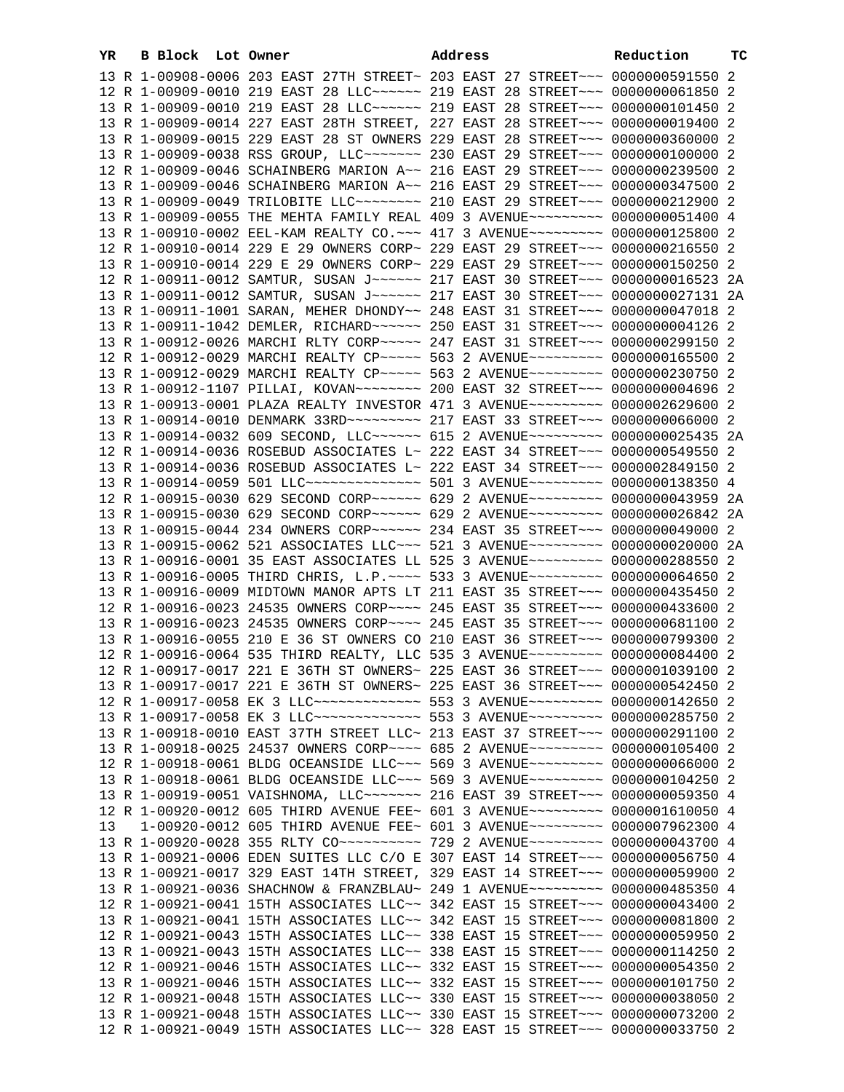| YR | B Block Lot Owner |                                                                                                                                                                | Address | Reduction | тc |
|----|-------------------|----------------------------------------------------------------------------------------------------------------------------------------------------------------|---------|-----------|----|
|    |                   | 13 R 1-00908-0006 203 EAST 27TH STREET~ 203 EAST 27 STREET~~~ 0000000591550 2                                                                                  |         |           |    |
|    |                   | 12 R 1-00909-0010 219 EAST 28 LLC ----- 219 EAST 28 STREET -- 00000000061850 2                                                                                 |         |           |    |
|    |                   | 13 R 1-00909-0010 219 EAST 28 LLC ----- 219 EAST 28 STREET -- 0000000101450 2                                                                                  |         |           |    |
|    |                   | 13 R 1-00909-0014 227 EAST 28TH STREET, 227 EAST 28 STREET~~~ 0000000019400 2                                                                                  |         |           |    |
|    |                   | 13 R 1-00909-0015 229 EAST 28 ST OWNERS 229 EAST 28 STREET~~~ 0000000360000 2                                                                                  |         |           |    |
|    |                   | 13 R 1-00909-0038 RSS GROUP, LLC ------ 230 EAST 29 STREET --- 0000000100000 2                                                                                 |         |           |    |
|    |                   | 12 R 1-00909-0046 SCHAINBERG MARION A~~ 216 EAST 29 STREET~~~ 0000000239500 2                                                                                  |         |           |    |
|    |                   | 13 R 1-00909-0046 SCHAINBERG MARION A~~ 216 EAST 29 STREET~~~ 0000000347500 2                                                                                  |         |           |    |
|    |                   | 13 R 1-00909-0049 TRILOBITE LLC~~~~~~~~ 210 EAST 29 STREET~~~ 0000000212900 2                                                                                  |         |           |    |
|    |                   | 13 R 1-00909-0055 THE MEHTA FAMILY REAL 409 3 AVENUE~~~~~~~~~ 0000000051400 4                                                                                  |         |           |    |
|    |                   | 13 R 1-00910-0002 EEL-KAM REALTY CO. ~~~ 417 3 AVENUE~~~~~~~~~ 0000000125800 2                                                                                 |         |           |    |
|    |                   | 12 R 1-00910-0014 229 E 29 OWNERS CORP~ 229 EAST 29 STREET~~~ 0000000216550 2                                                                                  |         |           |    |
|    |                   | 13 R 1-00910-0014 229 E 29 OWNERS CORP~ 229 EAST 29 STREET~~~ 0000000150250 2                                                                                  |         |           |    |
|    |                   | 12 R 1-00911-0012 SAMTUR, SUSAN J~~~~~~ 217 EAST 30 STREET~~~ 0000000016523 2A                                                                                 |         |           |    |
|    |                   | 13 R 1-00911-0012 SAMTUR, SUSAN J~~~~~~ 217 EAST 30 STREET~~~ 0000000027131 2A                                                                                 |         |           |    |
|    |                   | 13 R 1-00911-1001 SARAN, MEHER DHONDY~~ 248 EAST 31 STREET~~~ 0000000047018 2                                                                                  |         |           |    |
|    |                   | 13 R 1-00911-1042 DEMLER, RICHARD~~~~~~ 250 EAST 31 STREET~~~ 0000000004126 2                                                                                  |         |           |    |
|    |                   | 13 R 1-00912-0026 MARCHI RLTY CORP~~~~~ 247 EAST 31 STREET~~~ 0000000299150 2                                                                                  |         |           |    |
|    |                   | 12 R 1-00912-0029 MARCHI REALTY CP~~~~~ 563 2 AVENUE~~~~~~~~~ 0000000165500 2                                                                                  |         |           |    |
|    |                   | 13 R 1-00912-0029 MARCHI REALTY CP ~~~~~ 563 2 AVENUE ~~~~~~~~~ 0000000230750 2                                                                                |         |           |    |
|    |                   |                                                                                                                                                                |         |           |    |
|    |                   | 13 R 1-00913-0001 PLAZA REALTY INVESTOR 471 3 AVENUE~~~~~~~~~ 0000002629600 2                                                                                  |         |           |    |
|    |                   | 13 R 1-00914-0010 DENMARK 33RD ~~~~~~~~~ 217 EAST 33 STREET ~~~ 0000000066000 2                                                                                |         |           |    |
|    |                   | 13 R 1-00914-0032 609 SECOND, LLC ----- 615 2 AVENUE -------- 0000000025435 2A                                                                                 |         |           |    |
|    |                   | 12 R 1-00914-0036 ROSEBUD ASSOCIATES L~ 222 EAST 34 STREET~~~ 0000000549550 2                                                                                  |         |           |    |
|    |                   | 13 R 1-00914-0036 ROSEBUD ASSOCIATES L~ 222 EAST 34 STREET~~~ 0000002849150 2                                                                                  |         |           |    |
|    |                   | 13 R 1-00914-0059 501 LLC --------------- 501 3 AVENUE -------- 0000000138350 4                                                                                |         |           |    |
|    |                   | 12 R 1-00915-0030 629 SECOND CORP~~~~~~ 629 2 AVENUE~~~~~~~~~ 0000000043959 2A                                                                                 |         |           |    |
|    |                   | 13 R 1-00915-0030 629 SECOND CORP~~~~~~ 629 2 AVENUE~~~~~~~~~ 0000000026842 2A                                                                                 |         |           |    |
|    |                   | 13 R 1-00915-0044 234 OWNERS CORP~~~~~~ 234 EAST 35 STREET~~~ 0000000049000 2                                                                                  |         |           |    |
|    |                   | 13 R 1-00915-0062 521 ASSOCIATES LLC~~~ 521 3 AVENUE~~~~~~~~~ 0000000020000 2A                                                                                 |         |           |    |
|    |                   | 13 R 1-00916-0001 35 EAST ASSOCIATES LL 525 3 AVENUE~~~~~~~~~ 0000000288550 2                                                                                  |         |           |    |
|    |                   | 13 R 1-00916-0005 THIRD CHRIS, L.P. ~~~~ 533 3 AVENUE~~~~~~~~~ 0000000064650 2                                                                                 |         |           |    |
|    |                   | 13 R 1-00916-0009 MIDTOWN MANOR APTS LT 211 EAST 35 STREET~~~ 0000000435450 2                                                                                  |         |           |    |
|    |                   | 12 R 1-00916-0023 24535 OWNERS CORP~~~~ 245 EAST 35 STREET~~~ 0000000433600 2                                                                                  |         |           |    |
|    |                   | 13 R 1-00916-0023 24535 OWNERS CORP~~~~ 245 EAST 35 STREET~~~ 0000000681100 2                                                                                  |         |           |    |
|    |                   | 13 R 1-00916-0055 210 E 36 ST OWNERS CO 210 EAST 36 STREET~~~ 0000000799300 2                                                                                  |         |           |    |
|    |                   | 12 R 1-00916-0064 535 THIRD REALTY, LLC 535 3 AVENUE~~~~~~~~~ 0000000084400 2                                                                                  |         |           |    |
|    |                   | 12 R 1-00917-0017 221 E 36TH ST OWNERS~ 225 EAST 36 STREET~~~ 0000001039100 2                                                                                  |         |           |    |
|    |                   | 13 R 1-00917-0017 221 E 36TH ST OWNERS~ 225 EAST 36 STREET~~~ 0000000542450 2                                                                                  |         |           |    |
|    |                   | 12 R 1-00917-0058 EK 3 LLC -------------- 553 3 AVENUE--------- 0000000142650 2                                                                                |         |           |    |
|    |                   | 13 R 1-00917-0058 EK 3 LLC -------------- 553 3 AVENUE -------- 0000000285750 2                                                                                |         |           |    |
|    |                   | 13 R 1-00918-0010 EAST 37TH STREET LLC~ 213 EAST 37 STREET~~~ 0000000291100 2                                                                                  |         |           |    |
|    |                   | 13 R 1-00918-0025 24537 OWNERS CORP~~~~ 685 2 AVENUE~~~~~~~~~ 0000000105400 2                                                                                  |         |           |    |
|    |                   | 12 R 1-00918-0061 BLDG OCEANSIDE LLC~~~ 569 3 AVENUE~~~~~~~~~ 0000000066000 2                                                                                  |         |           |    |
|    |                   | 13 R 1-00918-0061 BLDG OCEANSIDE LLC~~~ 569 3 AVENUE~~~~~~~~~ 0000000104250 2                                                                                  |         |           |    |
|    |                   | 13 R 1-00919-0051 VAISHNOMA, LLC ------ 216 EAST 39 STREET --- 0000000059350 4                                                                                 |         |           |    |
|    |                   | 12 R 1-00920-0012 605 THIRD AVENUE FEE~ 601 3 AVENUE~~~~~~~~~ 0000001610050 4                                                                                  |         |           |    |
| 13 |                   | 1-00920-0012 605 THIRD AVENUE FEE~ 601 3 AVENUE~~~~~~~~~ 0000007962300 4                                                                                       |         |           |    |
|    |                   | 13 R 1-00920-0028 355 RLTY CO ---------- 729 2 AVENUE -------- 0000000043700 4                                                                                 |         |           |    |
|    |                   | 13 R 1-00921-0006 EDEN SUITES LLC C/O E 307 EAST 14 STREET~~~ 0000000056750 4                                                                                  |         |           |    |
|    |                   | 13 R 1-00921-0017 329 EAST 14TH STREET, 329 EAST 14 STREET~~~ 0000000059900 2                                                                                  |         |           |    |
|    |                   | 13 R 1-00921-0036 SHACHNOW & FRANZBLAU~ 249 1 AVENUE~~~~~~~~~~ 0000000485350 4                                                                                 |         |           |    |
|    |                   | 12 R 1-00921-0041 15TH ASSOCIATES LLC~~ 342 EAST 15 STREET~~~ 0000000043400 2                                                                                  |         |           |    |
|    |                   | 13 R 1-00921-0041 15TH ASSOCIATES LLC~~ 342 EAST 15 STREET~~~ 0000000081800 2<br>12 R 1-00921-0043 15TH ASSOCIATES LLC~~ 338 EAST 15 STREET~~~ 0000000059950 2 |         |           |    |
|    |                   | 13 R 1-00921-0043 15TH ASSOCIATES LLC~~ 338 EAST 15 STREET~~~ 0000000114250 2                                                                                  |         |           |    |
|    |                   | 12 R 1-00921-0046 15TH ASSOCIATES LLC~~ 332 EAST 15 STREET~~~ 0000000054350 2                                                                                  |         |           |    |
|    |                   | 13 R 1-00921-0046 15TH ASSOCIATES LLC~~ 332 EAST 15 STREET~~~ 0000000101750 2                                                                                  |         |           |    |
|    |                   | 12 R 1-00921-0048 15TH ASSOCIATES LLC~~ 330 EAST 15 STREET~~~ 0000000038050 2                                                                                  |         |           |    |
|    |                   | 13 R 1-00921-0048 15TH ASSOCIATES LLC~~ 330 EAST 15 STREET~~~ 0000000073200 2                                                                                  |         |           |    |
|    |                   | 12 R 1-00921-0049 15TH ASSOCIATES LLC~~ 328 EAST 15 STREET~~~ 0000000033750 2                                                                                  |         |           |    |
|    |                   |                                                                                                                                                                |         |           |    |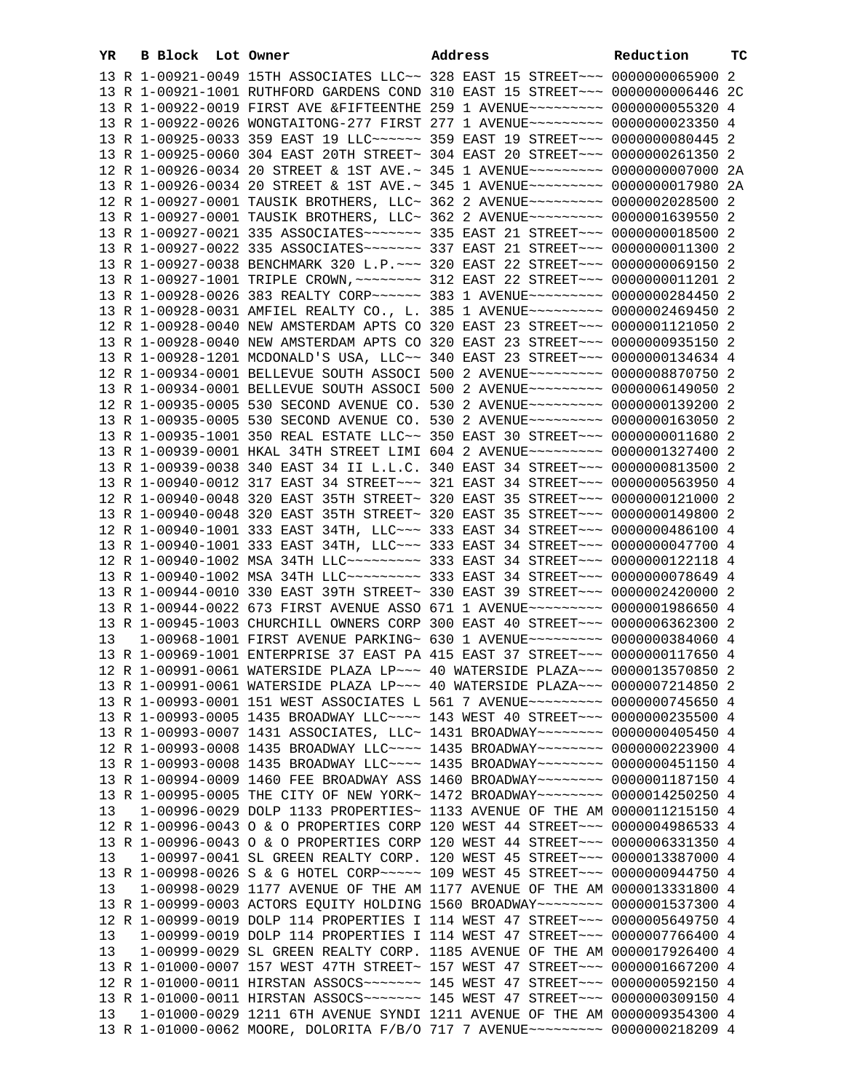| YR | B Block Lot Owner | Address                                                                                                                                                        | Reduction | ТC |
|----|-------------------|----------------------------------------------------------------------------------------------------------------------------------------------------------------|-----------|----|
|    |                   | 13 R 1-00921-0049 15TH ASSOCIATES LLC~~ 328 EAST 15 STREET~~~ 0000000065900 2                                                                                  |           |    |
|    |                   | 13 R 1-00921-1001 RUTHFORD GARDENS COND 310 EAST 15 STREET~~~ 0000000006446 2C                                                                                 |           |    |
|    |                   | 13 R 1-00922-0019 FIRST AVE &FIFTEENTHE 259 1 AVENUE~~~~~~~~~ 0000000055320 4                                                                                  |           |    |
|    |                   | 13 R 1-00922-0026 WONGTAITONG-277 FIRST 277 1 AVENUE~~~~~~~~~ 0000000023350 4                                                                                  |           |    |
|    |                   | 13 R 1-00925-0033 359 EAST 19 LLC ~~~~~~ 359 EAST 19 STREET ~~~ 0000000080445 2                                                                                |           |    |
|    |                   | 13 R 1-00925-0060 304 EAST 20TH STREET~ 304 EAST 20 STREET~~~ 0000000261350 2                                                                                  |           |    |
|    |                   | 12 R 1-00926-0034 20 STREET & 1ST AVE.~ 345 1 AVENUE~~~~~~~~~~ 0000000007000 2A                                                                                |           |    |
|    |                   | 13 R 1-00926-0034 20 STREET & 1ST AVE.~ 345 1 AVENUE~~~~~~~~~ 0000000017980 2A                                                                                 |           |    |
|    |                   | 12 R 1-00927-0001 TAUSIK BROTHERS, LLC~ 362 2 AVENUE~~~~~~~~~ 0000002028500 2                                                                                  |           |    |
|    |                   | 13 R 1-00927-0001 TAUSIK BROTHERS, LLC~ 362 2 AVENUE~~~~~~~~~ 0000001639550 2                                                                                  |           |    |
|    |                   | 13 R 1-00927-0021 335 ASSOCIATES~~~~~~~ 335 EAST 21 STREET~~~ 0000000018500 2                                                                                  |           |    |
|    |                   | 13 R 1-00927-0022 335 ASSOCIATES~~~~~~~~ 337 EAST 21 STREET~~~ 0000000011300 2                                                                                 |           |    |
|    |                   | 13 R 1-00927-0038 BENCHMARK 320 L.P. ~~~ 320 EAST 22 STREET~~~ 0000000069150 2                                                                                 |           |    |
|    |                   | 13 R 1-00927-1001 TRIPLE CROWN, ~~~~~~~~ 312 EAST 22 STREET~~~ 0000000011201 2                                                                                 |           |    |
|    |                   | 13 R 1-00928-0026 383 REALTY CORP~~~~~~ 383 1 AVENUE~~~~~~~~~ 0000000284450 2                                                                                  |           |    |
|    |                   | 13 R 1-00928-0031 AMFIEL REALTY CO., L. 385 1 AVENUE~~~~~~~~~ 0000002469450 2                                                                                  |           |    |
|    |                   | 12 R 1-00928-0040 NEW AMSTERDAM APTS CO 320 EAST 23 STREET~~~ 0000001121050 2<br>13 R 1-00928-0040 NEW AMSTERDAM APTS CO 320 EAST 23 STREET~~~ 0000000935150 2 |           |    |
|    |                   | 13 R 1-00928-1201 MCDONALD'S USA, LLC~~ 340 EAST 23 STREET~~~ 0000000134634 4                                                                                  |           |    |
|    |                   | 12 R 1-00934-0001 BELLEVUE SOUTH ASSOCI 500 2 AVENUE~~~~~~~~~ 0000008870750 2                                                                                  |           |    |
|    |                   | 13 R 1-00934-0001 BELLEVUE SOUTH ASSOCI 500 2 AVENUE~~~~~~~~~ 0000006149050 2                                                                                  |           |    |
|    |                   | 12 R 1-00935-0005 530 SECOND AVENUE CO. 530 2 AVENUE~~~~~~~~~ 0000000139200 2                                                                                  |           |    |
|    |                   | 13 R 1-00935-0005 530 SECOND AVENUE CO. 530 2 AVENUE~~~~~~~~~ 0000000163050 2                                                                                  |           |    |
|    |                   | 13 R 1-00935-1001 350 REAL ESTATE LLC~~ 350 EAST 30 STREET~~~ 0000000011680 2                                                                                  |           |    |
|    |                   | 13 R 1-00939-0001 HKAL 34TH STREET LIMI 604 2 AVENUE~~~~~~~~~ 0000001327400 2                                                                                  |           |    |
|    |                   | 13 R 1-00939-0038 340 EAST 34 II L.L.C. 340 EAST 34 STREET~~~ 0000000813500 2                                                                                  |           |    |
|    |                   | 13 R 1-00940-0012 317 EAST 34 STREET~~~ 321 EAST 34 STREET~~~ 0000000563950 4                                                                                  |           |    |
|    |                   | 12 R 1-00940-0048 320 EAST 35TH STREET~ 320 EAST 35 STREET~~~ 0000000121000 2                                                                                  |           |    |
|    |                   | 13 R 1-00940-0048 320 EAST 35TH STREET~ 320 EAST 35 STREET~~~ 0000000149800 2                                                                                  |           |    |
|    |                   | 12 R 1-00940-1001 333 EAST 34TH, LLC ~~~ 333 EAST 34 STREET ~~~ 0000000486100 4                                                                                |           |    |
|    |                   | 13 R 1-00940-1001 333 EAST 34TH, LLC ~~~ 333 EAST 34 STREET ~~~ 0000000047700 4                                                                                |           |    |
|    |                   | 12 R 1-00940-1002 MSA 34TH LLC -------- 333 EAST 34 STREET --- 0000000122118 4                                                                                 |           |    |
|    |                   | 13 R 1-00940-1002 MSA 34TH LLC -------- 333 EAST 34 STREET --- 0000000078649 4                                                                                 |           |    |
|    |                   | 13 R 1-00944-0010 330 EAST 39TH STREET~ 330 EAST 39 STREET~~~ 0000002420000 2                                                                                  |           |    |
|    |                   | 13 R 1-00944-0022 673 FIRST AVENUE ASSO 671 1 AVENUE~~~~~~~~~ 0000001986650 4                                                                                  |           |    |
|    |                   | 13 R 1-00945-1003 CHURCHILL OWNERS CORP 300 EAST 40 STREET~~~ 0000006362300 2                                                                                  |           |    |
| 13 |                   | 1-00968-1001 FIRST AVENUE PARKING~ 630 1 AVENUE~~~~~~~~~~ 0000000384060 4                                                                                      |           |    |
|    |                   | 13 R 1-00969-1001 ENTERPRISE 37 EAST PA 415 EAST 37 STREET~~~ 0000000117650 4                                                                                  |           |    |
|    |                   | 12 R 1-00991-0061 WATERSIDE PLAZA LP~~~ 40 WATERSIDE PLAZA~~~ 0000013570850 2                                                                                  |           |    |
|    |                   | 13 R 1-00991-0061 WATERSIDE PLAZA LP~~~ 40 WATERSIDE PLAZA~~~ 0000007214850 2                                                                                  |           |    |
|    |                   | 13 R 1-00993-0001 151 WEST ASSOCIATES L 561 7 AVENUE~~~~~~~~~ 0000000745650 4                                                                                  |           |    |
|    |                   | 13 R 1-00993-0005 1435 BROADWAY LLC ~~~~ 143 WEST 40 STREET ~~~ 0000000235500 4                                                                                |           |    |
|    |                   | 13 R 1-00993-0007 1431 ASSOCIATES, LLC~ 1431 BROADWAY~~~~~~~~ 0000000405450 4                                                                                  |           |    |
|    |                   | 12 R 1-00993-0008 1435 BROADWAY LLC --- 1435 BROADWAY ------- 0000000223900 4<br>13 R 1-00993-0008 1435 BROADWAY LLC --- 1435 BROADWAY ------- 0000000451150 4 |           |    |
|    |                   | 13 R 1-00994-0009 1460 FEE BROADWAY ASS 1460 BROADWAY~~~~~~~~ 0000001187150 4                                                                                  |           |    |
|    |                   | 13 R 1-00995-0005 THE CITY OF NEW YORK~ 1472 BROADWAY~~~~~~~~ 0000014250250 4                                                                                  |           |    |
| 13 |                   | 1-00996-0029 DOLP 1133 PROPERTIES~ 1133 AVENUE OF THE AM 0000011215150 4                                                                                       |           |    |
|    |                   | 12 R 1-00996-0043 O & O PROPERTIES CORP 120 WEST 44 STREET~~~ 0000004986533 4                                                                                  |           |    |
|    |                   | 13 R 1-00996-0043 O & O PROPERTIES CORP 120 WEST 44 STREET~~~ 0000006331350 4                                                                                  |           |    |
| 13 |                   | 1-00997-0041 SL GREEN REALTY CORP. 120 WEST 45 STREET~~~ 0000013387000 4                                                                                       |           |    |
|    |                   | 13 R 1-00998-0026 S & G HOTEL CORP~~~~~ 109 WEST 45 STREET~~~ 0000000944750 4                                                                                  |           |    |
| 13 |                   | 1-00998-0029 1177 AVENUE OF THE AM 1177 AVENUE OF THE AM 0000013331800 4                                                                                       |           |    |
|    |                   | 13 R 1-00999-0003 ACTORS EQUITY HOLDING 1560 BROADWAY~~~~~~~~ 0000001537300 4                                                                                  |           |    |
|    |                   | 12 R 1-00999-0019 DOLP 114 PROPERTIES I 114 WEST 47 STREET~~~ 0000005649750 4                                                                                  |           |    |
| 13 |                   | 1-00999-0019 DOLP 114 PROPERTIES I 114 WEST 47 STREET~~~ 0000007766400 4                                                                                       |           |    |
| 13 |                   | 1-00999-0029 SL GREEN REALTY CORP. 1185 AVENUE OF THE AM 0000017926400 4                                                                                       |           |    |
|    |                   | 13 R 1-01000-0007 157 WEST 47TH STREET~ 157 WEST 47 STREET~~~ 0000001667200 4                                                                                  |           |    |
|    |                   | 12 R 1-01000-0011 HIRSTAN ASSOCS~~~~~~~ 145 WEST 47 STREET~~~ 0000000592150 4                                                                                  |           |    |
|    |                   | 13 R 1-01000-0011 HIRSTAN ASSOCS~~~~~~~ 145 WEST 47 STREET~~~ 0000000309150 4                                                                                  |           |    |
| 13 |                   | 1-01000-0029 1211 6TH AVENUE SYNDI 1211 AVENUE OF THE AM 0000009354300 4                                                                                       |           |    |
|    |                   | 13 R 1-01000-0062 MOORE, DOLORITA F/B/O 717 7 AVENUE~~~~~~~~~ 0000000218209 4                                                                                  |           |    |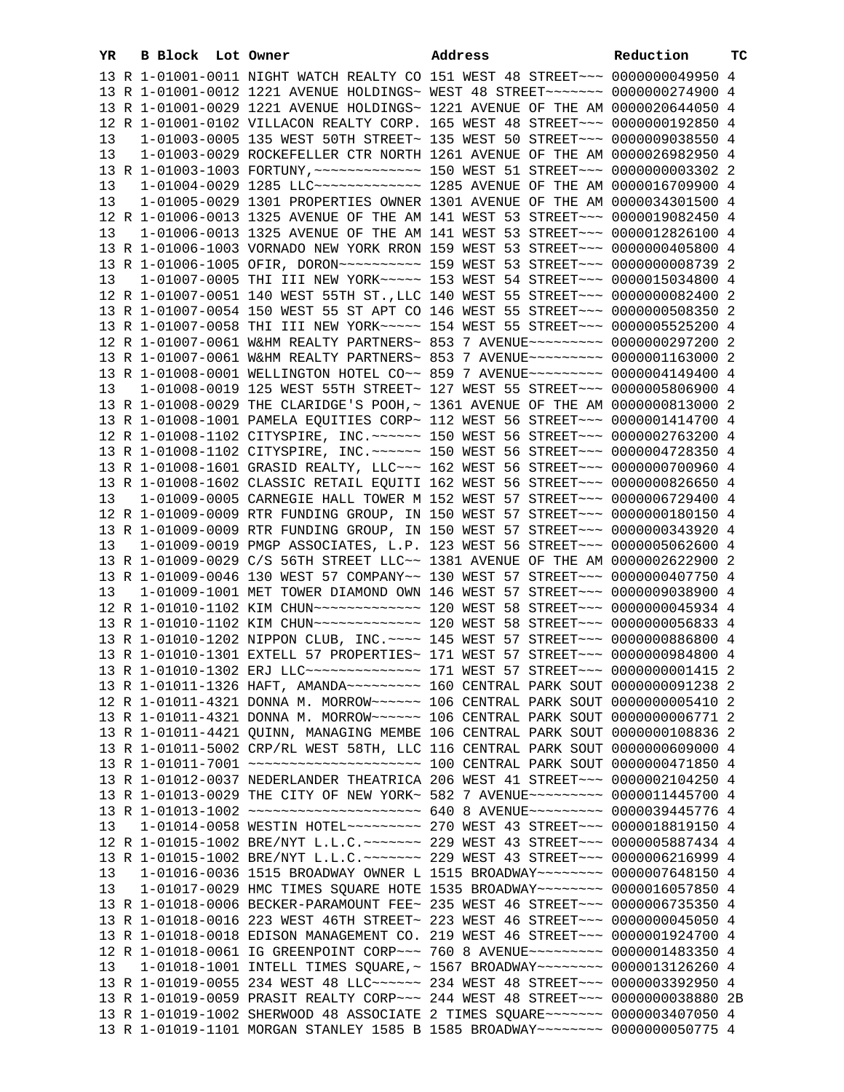| YR | B Block Lot Owner |                                                                                                                                                                | Address | Reduction | ТC |
|----|-------------------|----------------------------------------------------------------------------------------------------------------------------------------------------------------|---------|-----------|----|
|    |                   | 13 R 1-01001-0011 NIGHT WATCH REALTY CO 151 WEST 48 STREET~~~ 0000000049950 4                                                                                  |         |           |    |
|    |                   | 13 R 1-01001-0012 1221 AVENUE HOLDINGS~ WEST 48 STREET~~~~~~~~ 0000000274900 4                                                                                 |         |           |    |
|    |                   | 13 R 1-01001-0029 1221 AVENUE HOLDINGS~ 1221 AVENUE OF THE AM 0000020644050 4                                                                                  |         |           |    |
|    |                   | 12 R 1-01001-0102 VILLACON REALTY CORP. 165 WEST 48 STREET~~~ 0000000192850 4                                                                                  |         |           |    |
| 13 |                   | 1-01003-0005 135 WEST 50TH STREET~ 135 WEST 50 STREET~~~ 0000009038550 4                                                                                       |         |           |    |
| 13 |                   | 1-01003-0029 ROCKEFELLER CTR NORTH 1261 AVENUE OF THE AM 0000026982950 4                                                                                       |         |           |    |
|    |                   |                                                                                                                                                                |         |           |    |
| 13 |                   | 1-01004-0029 1285 LLC ------------- 1285 AVENUE OF THE AM 0000016709900 4                                                                                      |         |           |    |
| 13 |                   | 1-01005-0029 1301 PROPERTIES OWNER 1301 AVENUE OF THE AM 0000034301500 4                                                                                       |         |           |    |
|    |                   | 12 R 1-01006-0013 1325 AVENUE OF THE AM 141 WEST 53 STREET~~~ 0000019082450 4                                                                                  |         |           |    |
| 13 |                   | 1-01006-0013 1325 AVENUE OF THE AM 141 WEST 53 STREET~~~ 0000012826100 4                                                                                       |         |           |    |
|    |                   | 13 R 1-01006-1003 VORNADO NEW YORK RRON 159 WEST 53 STREET~~~ 0000000405800 4                                                                                  |         |           |    |
|    |                   | 13 R 1-01006-1005 OFIR, DORON~~~~~~~~~~~~~~ 159 WEST 53 STREET~~~ 00000000008739 2                                                                             |         |           |    |
| 13 |                   | 1-01007-0005 THI III NEW YORK~~~~~ 153 WEST 54 STREET~~~ 0000015034800 4                                                                                       |         |           |    |
|    |                   | 12 R 1-01007-0051 140 WEST 55TH ST., LLC 140 WEST 55 STREET~~~ 0000000082400 2                                                                                 |         |           |    |
|    |                   | 13 R 1-01007-0054 150 WEST 55 ST APT CO 146 WEST 55 STREET~~~ 0000000508350 2                                                                                  |         |           |    |
|    |                   | 13 R 1-01007-0058 THI III NEW YORK~~~~~ 154 WEST 55 STREET~~~ 0000005525200 4                                                                                  |         |           |    |
|    |                   | 12 R 1-01007-0061 W&HM REALTY PARTNERS~ 853 7 AVENUE~~~~~~~~~ 0000000297200 2                                                                                  |         |           |    |
|    |                   | 13 R 1-01007-0061 W&HM REALTY PARTNERS~ 853 7 AVENUE~~~~~~~~~ 0000001163000 2                                                                                  |         |           |    |
|    |                   | 13 R 1-01008-0001 WELLINGTON HOTEL CO~~ 859 7 AVENUE~~~~~~~~~ 0000004149400 4                                                                                  |         |           |    |
| 13 |                   | 1-01008-0019 125 WEST 55TH STREET~ 127 WEST 55 STREET~~~ 0000005806900 4                                                                                       |         |           |    |
|    |                   | 13 R 1-01008-0029 THE CLARIDGE'S POOH, ~ 1361 AVENUE OF THE AM 0000000813000 2                                                                                 |         |           |    |
|    |                   | 13 R 1-01008-1001 PAMELA EQUITIES CORP~ 112 WEST 56 STREET~~~ 0000001414700 4                                                                                  |         |           |    |
|    |                   | 12 R 1-01008-1102 CITYSPIRE, INC. ~~~~~~ 150 WEST 56 STREET~~~ 0000002763200 4                                                                                 |         |           |    |
|    |                   | 13 R 1-01008-1102 CITYSPIRE, INC. ~~~~~~ 150 WEST 56 STREET~~~ 0000004728350 4                                                                                 |         |           |    |
|    |                   | 13 R 1-01008-1601 GRASID REALTY, LLC ~~~ 162 WEST 56 STREET ~~~ 0000000700960 4                                                                                |         |           |    |
|    |                   | 13 R 1-01008-1602 CLASSIC RETAIL EQUITI 162 WEST 56 STREET~~~ 0000000826650 4                                                                                  |         |           |    |
| 13 |                   | 1-01009-0005 CARNEGIE HALL TOWER M 152 WEST 57 STREET~~~ 0000006729400 4                                                                                       |         |           |    |
|    |                   | 12 R 1-01009-0009 RTR FUNDING GROUP, IN 150 WEST 57 STREET~~~ 0000000180150 4                                                                                  |         |           |    |
|    |                   | 13 R 1-01009-0009 RTR FUNDING GROUP, IN 150 WEST 57 STREET~~~ 0000000343920 4                                                                                  |         |           |    |
| 13 |                   | 1-01009-0019 PMGP ASSOCIATES, L.P. 123 WEST 56 STREET~~~ 0000005062600 4                                                                                       |         |           |    |
|    |                   | 13 R 1-01009-0029 C/S 56TH STREET LLC~~ 1381 AVENUE OF THE AM 0000002622900 2<br>13 R 1-01009-0046 130 WEST 57 COMPANY~~ 130 WEST 57 STREET~~~ 0000000407750 4 |         |           |    |
| 13 |                   | 1-01009-1001 MET TOWER DIAMOND OWN 146 WEST 57 STREET~~~ 0000009038900 4                                                                                       |         |           |    |
|    |                   | 12 R 1-01010-1102 KIM CHUN~~~~~~~~~~~~~~~~~~ 120 WEST 58 STREET~~~ 0000000045934 4                                                                             |         |           |    |
|    |                   | 13 R 1-01010-1102 KIM CHUN~~~~~~~~~~~~~~~~~~ 120 WEST 58 STREET~~~~ 0000000056833 4                                                                            |         |           |    |
|    |                   | 13 R 1-01010-1202 NIPPON CLUB, INC. ~~~~ 145 WEST 57 STREET~~~ 0000000886800 4                                                                                 |         |           |    |
|    |                   | 13 R 1-01010-1301 EXTELL 57 PROPERTIES~ 171 WEST 57 STREET~~~ 0000000984800 4                                                                                  |         |           |    |
|    |                   | 13 R 1-01010-1302 ERJ LLC -------------- 171 WEST 57 STREET --- 00000000001415 2                                                                               |         |           |    |
|    |                   | 13 R 1-01011-1326 HAFT, AMANDA~~~~~~~~~~~~~~ 160 CENTRAL PARK SOUT 0000000091238 2                                                                             |         |           |    |
|    |                   | 12 R 1-01011-4321 DONNA M. MORROW~~~~~~ 106 CENTRAL PARK SOUT 0000000005410 2                                                                                  |         |           |    |
|    |                   | 13 R 1-01011-4321 DONNA M. MORROW~~~~~~ 106 CENTRAL PARK SOUT 0000000006771 2                                                                                  |         |           |    |
|    |                   | 13 R 1-01011-4421 QUINN, MANAGING MEMBE 106 CENTRAL PARK SOUT 0000000108836 2                                                                                  |         |           |    |
|    |                   | 13 R 1-01011-5002 CRP/RL WEST 58TH, LLC 116 CENTRAL PARK SOUT 0000000609000 4                                                                                  |         |           |    |
|    |                   |                                                                                                                                                                |         |           |    |
|    |                   | 13 R 1-01012-0037 NEDERLANDER THEATRICA 206 WEST 41 STREET~~~ 0000002104250 4                                                                                  |         |           |    |
|    |                   | 13 R 1-01013-0029 THE CITY OF NEW YORK~ 582 7 AVENUE~~~~~~~~~ 0000011445700 4                                                                                  |         |           |    |
|    |                   | 13 R 1-01013-1002 ~~~~~~~~~~~~~~~~~~~~ 640 8 AVENUE~~~~~~~~~ 0000039445776 4                                                                                   |         |           |    |
| 13 |                   | 1-01014-0058 WESTIN HOTEL~~~~~~~~~~ 270 WEST 43 STREET~~~ 0000018819150 4                                                                                      |         |           |    |
|    |                   | 12 R 1-01015-1002 BRE/NYT L.L.C. ~~~~~~~ 229 WEST 43 STREET ~~~ 0000005887434 4                                                                                |         |           |    |
|    |                   | 13 R 1-01015-1002 BRE/NYT L.L.C. ~~~~~~~ 229 WEST 43 STREET ~~~ 0000006216999 4                                                                                |         |           |    |
| 13 |                   | 1-01016-0036 1515 BROADWAY OWNER L 1515 BROADWAY~~~~~~~~ 0000007648150 4                                                                                       |         |           |    |
| 13 |                   | 1-01017-0029 HMC TIMES SQUARE HOTE 1535 BROADWAY~~~~~~~~ 0000016057850 4                                                                                       |         |           |    |
|    |                   | 13 R 1-01018-0006 BECKER-PARAMOUNT FEE~ 235 WEST 46 STREET~~~ 0000006735350 4                                                                                  |         |           |    |
|    |                   | 13 R 1-01018-0016 223 WEST 46TH STREET~ 223 WEST 46 STREET~~~ 0000000045050 4                                                                                  |         |           |    |
|    |                   | 13 R 1-01018-0018 EDISON MANAGEMENT CO. 219 WEST 46 STREET~~~ 0000001924700 4                                                                                  |         |           |    |
|    |                   | 12 R 1-01018-0061 IG GREENPOINT CORP~~~ 760 8 AVENUE~~~~~~~~~ 0000001483350 4                                                                                  |         |           |    |
| 13 |                   | 1-01018-1001 INTELL TIMES SQUARE, ~ 1567 BROADWAY~~~~~~~~ 0000013126260 4                                                                                      |         |           |    |
|    |                   | 13 R 1-01019-0055 234 WEST 48 LLC ----- 234 WEST 48 STREET -- 0000003392950 4                                                                                  |         |           |    |
|    |                   | 13 R 1-01019-0059 PRASIT REALTY CORP~~~ 244 WEST 48 STREET~~~ 0000000038880 2B                                                                                 |         |           |    |
|    |                   | 13 R 1-01019-1002 SHERWOOD 48 ASSOCIATE 2 TIMES SQUARE~~~~~~~ 0000003407050 4                                                                                  |         |           |    |
|    |                   | 13 R 1-01019-1101 MORGAN STANLEY 1585 B 1585 BROADWAY~~~~~~~~ 0000000050775 4                                                                                  |         |           |    |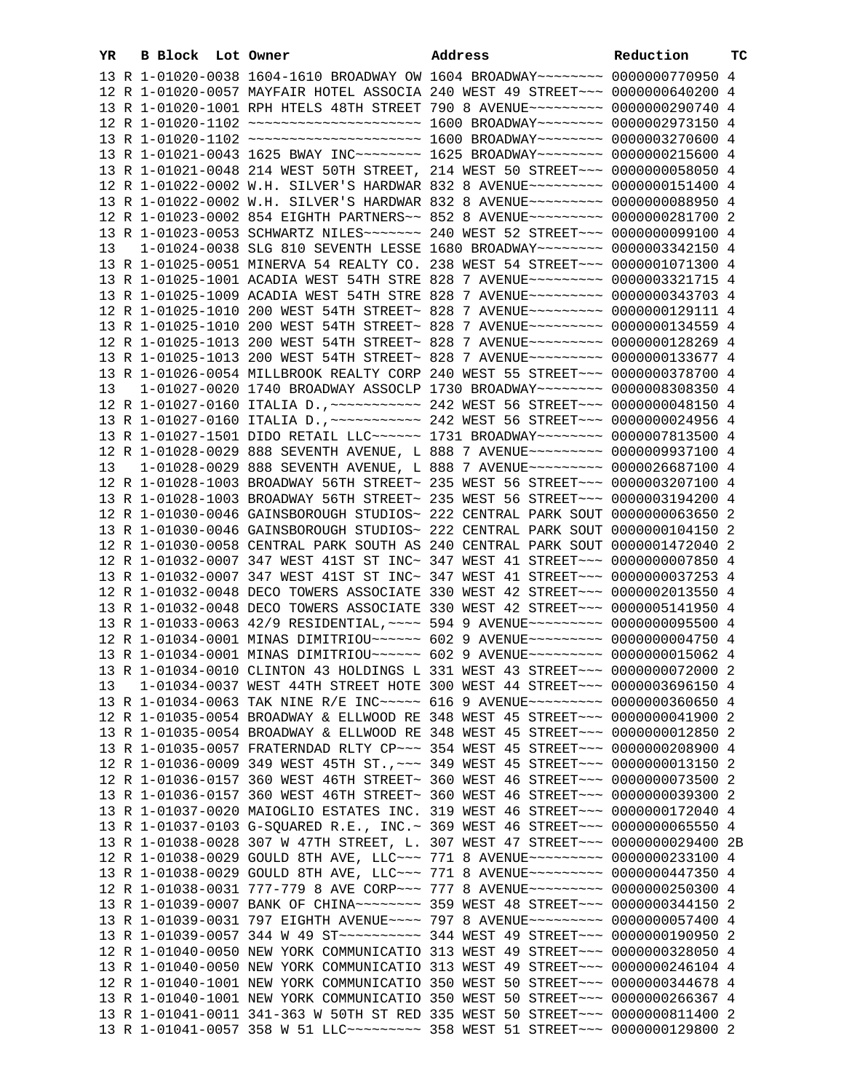|    | 13 R 1-01020-0038 1604-1610 BROADWAY OW 1604 BROADWAY~~~~~~~~ 0000000770950 4                                                                                    |  |
|----|------------------------------------------------------------------------------------------------------------------------------------------------------------------|--|
|    | 12 R 1-01020-0057 MAYFAIR HOTEL ASSOCIA 240 WEST 49 STREET~~~ 0000000640200 4                                                                                    |  |
|    | 13 R 1-01020-1001 RPH HTELS 48TH STREET 790 8 AVENUE~~~~~~~~~ 0000000290740 4                                                                                    |  |
|    | 12 R 1-01020-1102 ~~~~~~~~~~~~~~~~~~~~~~~~~ 1600 BROADWAY~~~~~~~~~ 0000002973150 4                                                                               |  |
|    |                                                                                                                                                                  |  |
|    | 13 R 1-01020-1102 ~~~~~~~~~~~~~~~~~~~~~~~~ 1600 BROADWAY~~~~~~~~ 0000003270600 4                                                                                 |  |
|    | 13 R 1-01021-0043 1625 BWAY INC~~~~~~~~ 1625 BROADWAY~~~~~~~~ 0000000215600 4                                                                                    |  |
|    | 13 R 1-01021-0048 214 WEST 50TH STREET, 214 WEST 50 STREET~~~ 0000000058050 4                                                                                    |  |
|    | 12 R 1-01022-0002 W.H. SILVER'S HARDWAR 832 8 AVENUE~~~~~~~~~ 0000000151400 4                                                                                    |  |
|    | 13 R 1-01022-0002 W.H. SILVER'S HARDWAR 832 8 AVENUE~~~~~~~~~ 0000000088950 4                                                                                    |  |
|    | 12 R 1-01023-0002 854 EIGHTH PARTNERS~~ 852 8 AVENUE~~~~~~~~~ 0000000281700 2                                                                                    |  |
|    | 13 R 1-01023-0053 SCHWARTZ NILES~~~~~~~ 240 WEST 52 STREET~~~ 0000000099100 4                                                                                    |  |
| 13 | 1-01024-0038 SLG 810 SEVENTH LESSE 1680 BROADWAY~~~~~~~~ 0000003342150 4                                                                                         |  |
|    |                                                                                                                                                                  |  |
|    | 13 R 1-01025-0051 MINERVA 54 REALTY CO. 238 WEST 54 STREET~~~ 0000001071300 4                                                                                    |  |
|    | 13 R 1-01025-1001 ACADIA WEST 54TH STRE 828 7 AVENUE~~~~~~~~~ 0000003321715 4                                                                                    |  |
|    | 13 R 1-01025-1009 ACADIA WEST 54TH STRE 828 7 AVENUE~~~~~~~~~ 0000000343703 4                                                                                    |  |
|    | 12 R 1-01025-1010 200 WEST 54TH STREET~ 828 7 AVENUE~~~~~~~~~ 0000000129111 4                                                                                    |  |
|    | 13 R 1-01025-1010 200 WEST 54TH STREET~ 828 7 AVENUE~~~~~~~~~ 0000000134559 4                                                                                    |  |
|    | 12 R 1-01025-1013 200 WEST 54TH STREET~ 828 7 AVENUE~~~~~~~~~ 0000000128269 4                                                                                    |  |
|    | 13 R 1-01025-1013 200 WEST 54TH STREET~ 828 7 AVENUE~~~~~~~~~ 0000000133677 4                                                                                    |  |
|    | 13 R 1-01026-0054 MILLBROOK REALTY CORP 240 WEST 55 STREET~~~ 0000000378700 4                                                                                    |  |
| 13 | 1-01027-0020 1740 BROADWAY ASSOCLP 1730 BROADWAY~~~~~~~~ 0000008308350 4                                                                                         |  |
|    | 12 R 1-01027-0160 ITALIA D., ~~~~~~~~~~~~~~~~ 242 WEST 56 STREET~~~~ 0000000048150 4                                                                             |  |
|    |                                                                                                                                                                  |  |
|    |                                                                                                                                                                  |  |
|    | 13 R 1-01027-1501 DIDO RETAIL LLC~~~~~~ 1731 BROADWAY~~~~~~~~ 0000007813500 4                                                                                    |  |
|    | 12 R 1-01028-0029 888 SEVENTH AVENUE, L 888 7 AVENUE~~~~~~~~~ 0000009937100 4                                                                                    |  |
| 13 | 1-01028-0029 888 SEVENTH AVENUE, L 888 7 AVENUE~~~~~~~~~ 0000026687100 4                                                                                         |  |
|    | 12 R 1-01028-1003 BROADWAY 56TH STREET~ 235 WEST 56 STREET~~~ 0000003207100 4                                                                                    |  |
|    | 13 R 1-01028-1003 BROADWAY 56TH STREET~ 235 WEST 56 STREET~~~ 0000003194200 4                                                                                    |  |
|    | 12 R 1-01030-0046 GAINSBOROUGH STUDIOS~ 222 CENTRAL PARK SOUT 0000000063650 2                                                                                    |  |
|    | 13 R 1-01030-0046 GAINSBOROUGH STUDIOS~ 222 CENTRAL PARK SOUT 0000000104150 2                                                                                    |  |
|    | 12 R 1-01030-0058 CENTRAL PARK SOUTH AS 240 CENTRAL PARK SOUT 0000001472040 2                                                                                    |  |
|    | 12 R 1-01032-0007 347 WEST 41ST ST INC~ 347 WEST 41 STREET~~~ 0000000007850 4                                                                                    |  |
|    | 13 R 1-01032-0007 347 WEST 41ST ST INC~ 347 WEST 41 STREET~~~ 0000000037253 4                                                                                    |  |
|    |                                                                                                                                                                  |  |
|    | 12 R 1-01032-0048 DECO TOWERS ASSOCIATE 330 WEST 42 STREET~~~ 0000002013550 4                                                                                    |  |
|    | 13 R 1-01032-0048 DECO TOWERS ASSOCIATE 330 WEST 42 STREET~~~ 0000005141950 4                                                                                    |  |
|    | 13 R 1-01033-0063 42/9 RESIDENTIAL, ~~~~ 594 9 AVENUE~~~~~~~~~ 0000000095500 4                                                                                   |  |
|    | 12 R 1-01034-0001 MINAS DIMITRIOU~~~~~~ 602 9 AVENUE~~~~~~~~~ 0000000004750 4                                                                                    |  |
|    | 13 R 1-01034-0001 MINAS DIMITRIOU~~~~~~ 602 9 AVENUE~~~~~~~~~ 0000000015062 4                                                                                    |  |
|    | 13 R 1-01034-0010 CLINTON 43 HOLDINGS L 331 WEST 43 STREET~~~ 0000000072000 2                                                                                    |  |
|    | 13 1-01034-0037 WEST 44TH STREET HOTE 300 WEST 44 STREET~~~ 0000003696150 4                                                                                      |  |
|    | 13 R 1-01034-0063 TAK NINE R/E INC~~~~~ 616 9 AVENUE~~~~~~~~~ 0000000360650 4                                                                                    |  |
|    | 12 R 1-01035-0054 BROADWAY & ELLWOOD RE 348 WEST 45 STREET~~~ 0000000041900 2                                                                                    |  |
|    | 13 R 1-01035-0054 BROADWAY & ELLWOOD RE 348 WEST 45 STREET~~~ 0000000012850 2                                                                                    |  |
|    | 13 R 1-01035-0057 FRATERNDAD RLTY CP ~~~ 354 WEST 45 STREET ~~~ 0000000208900 4                                                                                  |  |
|    | 12 R 1-01036-0009 349 WEST 45TH ST., ~~~ 349 WEST 45 STREET~~~ 0000000013150 2                                                                                   |  |
|    | 12 R 1-01036-0157 360 WEST 46TH STREET~ 360 WEST 46 STREET~~~ 0000000073500 2                                                                                    |  |
|    |                                                                                                                                                                  |  |
|    | 13 R 1-01036-0157 360 WEST 46TH STREET~ 360 WEST 46 STREET~~~ 0000000039300 2                                                                                    |  |
|    | 13 R 1-01037-0020 MAIOGLIO ESTATES INC. 319 WEST 46 STREET~~~ 0000000172040 4                                                                                    |  |
|    | 13 R 1-01037-0103 G-SQUARED R.E., INC.~ 369 WEST 46 STREET~~~ 0000000065550 4                                                                                    |  |
|    | 13 R 1-01038-0028 307 W 47TH STREET, L. 307 WEST 47 STREET~~~ 0000000029400 2B                                                                                   |  |
|    | 12 R 1-01038-0029 GOULD 8TH AVE, LLC -~~ 771 8 AVENUE -~~~~~~~~ 0000000233100 4                                                                                  |  |
|    | 13 R 1-01038-0029 GOULD 8TH AVE, LLC -- 771 8 AVENUE -------- 0000000447350 4                                                                                    |  |
|    | 12 R 1-01038-0031 777-779 8 AVE CORP~~~ 777 8 AVENUE~~~~~~~~~ 0000000250300 4                                                                                    |  |
|    |                                                                                                                                                                  |  |
|    | 13 R 1-01039-0007 BANK OF CHINA~~~~~~~~ 359 WEST 48 STREET~~~ 0000000344150 2                                                                                    |  |
|    |                                                                                                                                                                  |  |
|    | 13 R 1-01039-0031 797 EIGHTH AVENUE~~~~ 797 8 AVENUE~~~~~~~~~ 0000000057400 4                                                                                    |  |
|    |                                                                                                                                                                  |  |
|    | 12 R 1-01040-0050 NEW YORK COMMUNICATIO 313 WEST 49 STREET~~~ 0000000328050 4                                                                                    |  |
|    | 13 R 1-01040-0050 NEW YORK COMMUNICATIO 313 WEST 49 STREET~~~ 0000000246104 4                                                                                    |  |
|    | 12 R 1-01040-1001 NEW YORK COMMUNICATIO 350 WEST 50 STREET~~~ 0000000344678 4                                                                                    |  |
|    | 13 R 1-01040-1001 NEW YORK COMMUNICATIO 350 WEST 50 STREET~~~ 0000000266367 4                                                                                    |  |
|    | 13 R 1-01041-0011 341-363 W 50TH ST RED 335 WEST 50 STREET~~~ 0000000811400 2<br>13 R 1-01041-0057 358 W 51 LLC --------- 358 WEST 51 STREET --- 0000000129800 2 |  |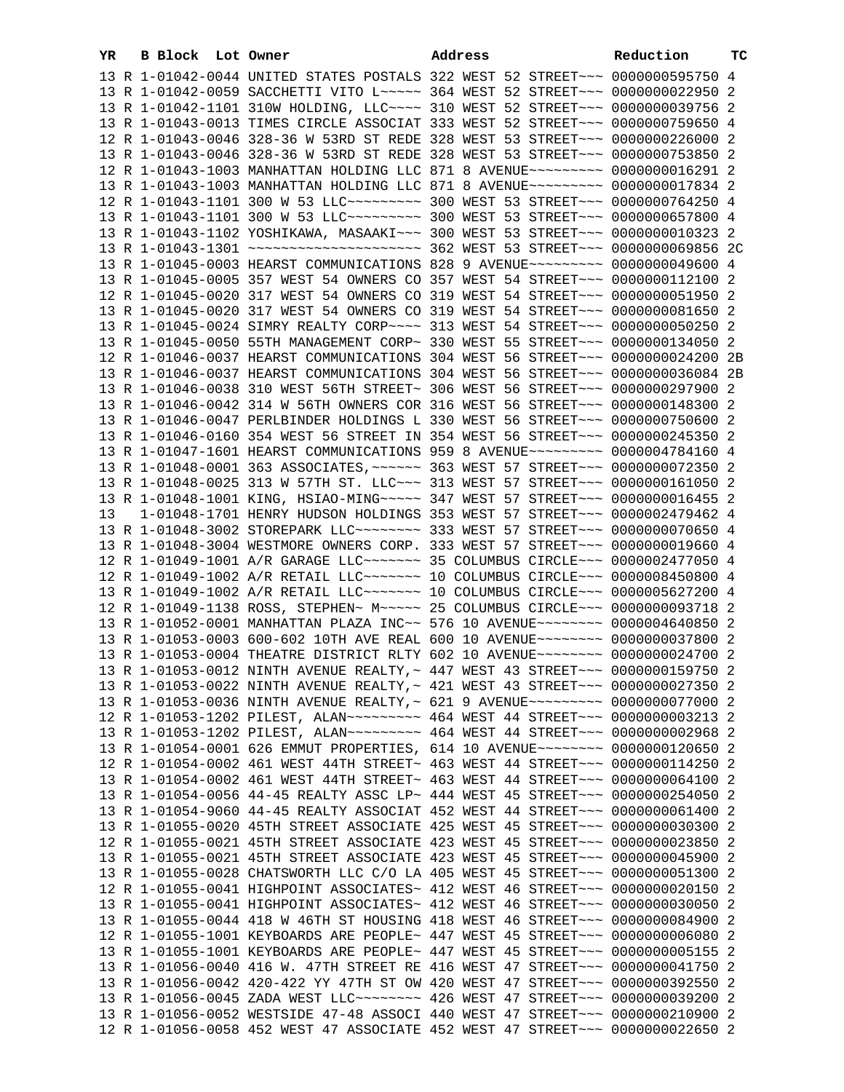| YR | B Block Lot Owner |                                                                                                                                                                 | Address | Reduction | тc |
|----|-------------------|-----------------------------------------------------------------------------------------------------------------------------------------------------------------|---------|-----------|----|
|    |                   | 13 R 1-01042-0044 UNITED STATES POSTALS 322 WEST 52 STREET~~~ 0000000595750 4                                                                                   |         |           |    |
|    |                   | 13 R 1-01042-0059 SACCHETTI VITO L~~~~~ 364 WEST 52 STREET~~~ 0000000022950 2                                                                                   |         |           |    |
|    |                   | 13 R 1-01042-1101 310W HOLDING, LLC --- 310 WEST 52 STREET -- 0000000039756 2                                                                                   |         |           |    |
|    |                   | 13 R 1-01043-0013 TIMES CIRCLE ASSOCIAT 333 WEST 52 STREET~~~ 0000000759650 4                                                                                   |         |           |    |
|    |                   | 12 R 1-01043-0046 328-36 W 53RD ST REDE 328 WEST 53 STREET~~~ 0000000226000 2                                                                                   |         |           |    |
|    |                   | 13 R 1-01043-0046 328-36 W 53RD ST REDE 328 WEST 53 STREET~~~ 0000000753850 2                                                                                   |         |           |    |
|    |                   | 12 R 1-01043-1003 MANHATTAN HOLDING LLC 871 8 AVENUE~~~~~~~~~ 0000000016291 2                                                                                   |         |           |    |
|    |                   | 13 R 1-01043-1003 MANHATTAN HOLDING LLC 871 8 AVENUE~~~~~~~~~ 0000000017834 2                                                                                   |         |           |    |
|    |                   | 12 R 1-01043-1101 300 W 53 LLC --------- 300 WEST 53 STREET -- 0000000764250 4                                                                                  |         |           |    |
|    |                   | 13 R 1-01043-1101 300 W 53 LLC --------- 300 WEST 53 STREET --- 0000000657800 4                                                                                 |         |           |    |
|    |                   | 13 R 1-01043-1102 YOSHIKAWA, MASAAKI~~~ 300 WEST 53 STREET~~~ 0000000010323 2                                                                                   |         |           |    |
|    |                   |                                                                                                                                                                 |         |           |    |
|    |                   | 13 R 1-01045-0003 HEARST COMMUNICATIONS 828 9 AVENUE~~~~~~~~~ 0000000049600 4                                                                                   |         |           |    |
|    |                   | 13 R 1-01045-0005 357 WEST 54 OWNERS CO 357 WEST 54 STREET~~~ 0000000112100 2                                                                                   |         |           |    |
|    |                   | 12 R 1-01045-0020 317 WEST 54 OWNERS CO 319 WEST 54 STREET~~~ 0000000051950 2                                                                                   |         |           |    |
|    |                   | 13 R 1-01045-0020 317 WEST 54 OWNERS CO 319 WEST 54 STREET~~~ 00000000081650 2                                                                                  |         |           |    |
|    |                   | 13 R 1-01045-0024 SIMRY REALTY CORP~~~~ 313 WEST 54 STREET~~~ 0000000050250 2                                                                                   |         |           |    |
|    |                   | 13 R 1-01045-0050 55TH MANAGEMENT CORP~ 330 WEST 55 STREET~~~ 0000000134050 2                                                                                   |         |           |    |
|    |                   | 12 R 1-01046-0037 HEARST COMMUNICATIONS 304 WEST 56 STREET~~~ 0000000024200 2B                                                                                  |         |           |    |
|    |                   | 13 R 1-01046-0037 HEARST COMMUNICATIONS 304 WEST 56 STREET~~~ 0000000036084 2B                                                                                  |         |           |    |
|    |                   | 13 R 1-01046-0038 310 WEST 56TH STREET~ 306 WEST 56 STREET~~~ 0000000297900 2                                                                                   |         |           |    |
|    |                   | 13 R 1-01046-0042 314 W 56TH OWNERS COR 316 WEST 56 STREET~~~ 0000000148300 2                                                                                   |         |           |    |
|    |                   | 13 R 1-01046-0047 PERLBINDER HOLDINGS L 330 WEST 56 STREET~~~ 0000000750600 2                                                                                   |         |           |    |
|    |                   | 13 R 1-01046-0160 354 WEST 56 STREET IN 354 WEST 56 STREET~~~ 0000000245350 2                                                                                   |         |           |    |
|    |                   | 13 R 1-01047-1601 HEARST COMMUNICATIONS 959 8 AVENUE~~~~~~~~~ 0000004784160 4                                                                                   |         |           |    |
|    |                   | 13 R 1-01048-0001 363 ASSOCIATES, ~~~~~~ 363 WEST 57 STREET~~~ 0000000072350 2                                                                                  |         |           |    |
|    |                   | 13 R 1-01048-0025 313 W 57TH ST. LLC~~~ 313 WEST 57 STREET~~~ 0000000161050 2                                                                                   |         |           |    |
|    |                   | 13 R 1-01048-1001 KING, HSIAO-MING~~~~~ 347 WEST 57 STREET~~~ 0000000016455 2                                                                                   |         |           |    |
| 13 |                   | 1-01048-1701 HENRY HUDSON HOLDINGS 353 WEST 57 STREET~~~ 0000002479462 4                                                                                        |         |           |    |
|    |                   | 13 R 1-01048-3002 STOREPARK LLC -------- 333 WEST 57 STREET --- 0000000070650 4                                                                                 |         |           |    |
|    |                   | 13 R 1-01048-3004 WESTMORE OWNERS CORP. 333 WEST 57 STREET~~~ 0000000019660 4                                                                                   |         |           |    |
|    |                   | 12 R 1-01049-1001 A/R GARAGE LLC ------- 35 COLUMBUS CIRCLE --- 0000002477050 4                                                                                 |         |           |    |
|    |                   | 12 R 1-01049-1002 A/R RETAIL LLC ------ 10 COLUMBUS CIRCLE -- 0000008450800 4                                                                                   |         |           |    |
|    |                   | 13 R 1-01049-1002 A/R RETAIL LLC ------ 10 COLUMBUS CIRCLE -- 0000005627200 4                                                                                   |         |           |    |
|    |                   | 12 R 1-01049-1138 ROSS, STEPHEN~ M~~~~~ 25 COLUMBUS CIRCLE~~~ 0000000093718 2                                                                                   |         |           |    |
|    |                   | 13 R 1-01052-0001 MANHATTAN PLAZA INC~~ 576 10 AVENUE~~~~~~~~ 0000004640850 2                                                                                   |         |           |    |
|    |                   | 13 R 1-01053-0003 600-602 10TH AVE REAL 600 10 AVENUE~~~~~~~~ 0000000037800 2                                                                                   |         |           |    |
|    |                   | 13 R 1-01053-0004 THEATRE DISTRICT RLTY 602 10 AVENUE~~~~~~~~ 0000000024700 2                                                                                   |         |           |    |
|    |                   | 13 R 1-01053-0012 NINTH AVENUE REALTY, ~ 447 WEST 43 STREET~~~ 0000000159750 2                                                                                  |         |           |    |
|    |                   | 13 R 1-01053-0022 NINTH AVENUE REALTY, ~ 421 WEST 43 STREET~~~ 0000000027350 2                                                                                  |         |           |    |
|    |                   | 13 R 1-01053-0036 NINTH AVENUE REALTY, ~ 621 9 AVENUE~~~~~~~~~ 0000000077000 2<br>12 R 1-01053-1202 PILEST, ALAN~~~~~~~~~ 464 WEST 44 STREET~~~ 0000000003213 2 |         |           |    |
|    |                   | 13 R 1-01053-1202 PILEST, ALAN~~~~~~~~~ 464 WEST 44 STREET~~~ 0000000002968 2                                                                                   |         |           |    |
|    |                   | 13 R 1-01054-0001 626 EMMUT PROPERTIES, 614 10 AVENUE~~~~~~~~ 0000000120650 2                                                                                   |         |           |    |
|    |                   | 12 R 1-01054-0002 461 WEST 44TH STREET~ 463 WEST 44 STREET~~~ 0000000114250 2                                                                                   |         |           |    |
|    |                   | 13 R 1-01054-0002 461 WEST 44TH STREET~ 463 WEST 44 STREET~~~ 0000000064100 2                                                                                   |         |           |    |
|    |                   | 13 R 1-01054-0056 44-45 REALTY ASSC LP~ 444 WEST 45 STREET~~~ 0000000254050 2                                                                                   |         |           |    |
|    |                   | 13 R 1-01054-9060 44-45 REALTY ASSOCIAT 452 WEST 44 STREET~~~ 0000000061400 2                                                                                   |         |           |    |
|    |                   | 13 R 1-01055-0020 45TH STREET ASSOCIATE 425 WEST 45 STREET~~~ 0000000030300 2                                                                                   |         |           |    |
|    |                   | 12 R 1-01055-0021 45TH STREET ASSOCIATE 423 WEST 45 STREET~~~ 0000000023850 2                                                                                   |         |           |    |
|    |                   | 13 R 1-01055-0021 45TH STREET ASSOCIATE 423 WEST 45 STREET~~~ 0000000045900 2                                                                                   |         |           |    |
|    |                   | 13 R 1-01055-0028 CHATSWORTH LLC C/O LA 405 WEST 45 STREET~~~ 0000000051300 2                                                                                   |         |           |    |
|    |                   | 12 R 1-01055-0041 HIGHPOINT ASSOCIATES~ 412 WEST 46 STREET~~~ 0000000020150 2                                                                                   |         |           |    |
|    |                   | 13 R 1-01055-0041 HIGHPOINT ASSOCIATES~ 412 WEST 46 STREET~~~ 0000000030050 2                                                                                   |         |           |    |
|    |                   | 13 R 1-01055-0044 418 W 46TH ST HOUSING 418 WEST 46 STREET~~~ 0000000084900 2                                                                                   |         |           |    |
|    |                   | 12 R 1-01055-1001 KEYBOARDS ARE PEOPLE~ 447 WEST 45 STREET~~~ 00000000006080 2                                                                                  |         |           |    |
|    |                   | 13 R 1-01055-1001 KEYBOARDS ARE PEOPLE~ 447 WEST 45 STREET~~~ 00000000005155 2                                                                                  |         |           |    |
|    |                   | 13 R 1-01056-0040 416 W. 47TH STREET RE 416 WEST 47 STREET~~~ 0000000041750 2                                                                                   |         |           |    |
|    |                   | 13 R 1-01056-0042 420-422 YY 47TH ST OW 420 WEST 47 STREET~~~ 0000000392550 2                                                                                   |         |           |    |
|    |                   | 13 R 1-01056-0045 ZADA WEST LLC ------- 426 WEST 47 STREET -- 0000000039200 2                                                                                   |         |           |    |
|    |                   | 13 R 1-01056-0052 WESTSIDE 47-48 ASSOCI 440 WEST 47 STREET~~~ 0000000210900 2                                                                                   |         |           |    |
|    |                   | 12 R 1-01056-0058 452 WEST 47 ASSOCIATE 452 WEST 47 STREET~~~ 0000000022650 2                                                                                   |         |           |    |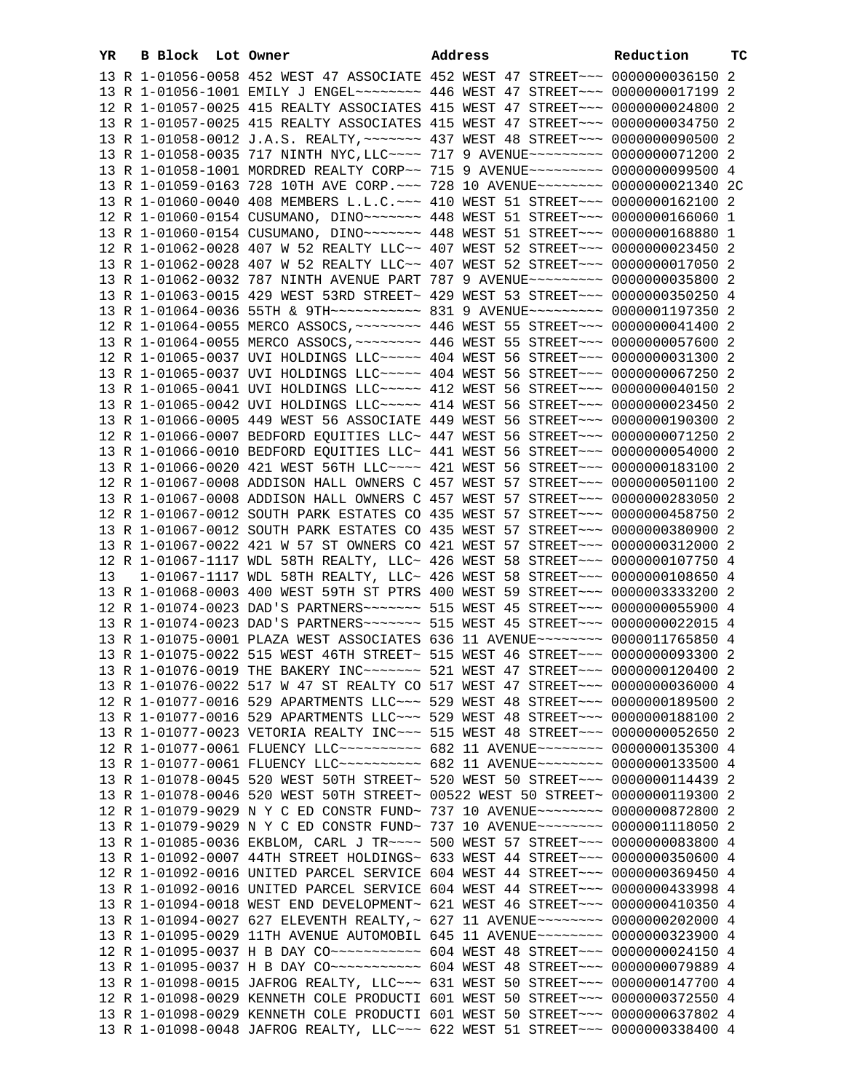| YR | B Block Lot Owner |                                                                                                                                                                | Address | Reduction | ТC |
|----|-------------------|----------------------------------------------------------------------------------------------------------------------------------------------------------------|---------|-----------|----|
|    |                   | 13 R 1-01056-0058 452 WEST 47 ASSOCIATE 452 WEST 47 STREET~~~ 00000000036150 2                                                                                 |         |           |    |
|    |                   | 13 R 1-01056-1001 EMILY J ENGEL~~~~~~~~ 446 WEST 47 STREET~~~ 0000000017199 2                                                                                  |         |           |    |
|    |                   | 12 R 1-01057-0025 415 REALTY ASSOCIATES 415 WEST 47 STREET~~~ 0000000024800 2                                                                                  |         |           |    |
|    |                   | 13 R 1-01057-0025 415 REALTY ASSOCIATES 415 WEST 47 STREET~~~ 0000000034750 2                                                                                  |         |           |    |
|    |                   | 13 R 1-01058-0012 J.A.S. REALTY, ~~~~~~~ 437 WEST 48 STREET~~~ 0000000090500 2                                                                                 |         |           |    |
|    |                   | 13 R 1-01058-0035 717 NINTH NYC, LLC --- 717 9 AVENUE -------- 0000000071200 2                                                                                 |         |           |    |
|    |                   | 13 R 1-01058-1001 MORDRED REALTY CORP~~ 715 9 AVENUE~~~~~~~~~ 0000000099500 4                                                                                  |         |           |    |
|    |                   | 13 R 1-01059-0163 728 10TH AVE CORP. ~~~ 728 10 AVENUE~~~~~~~~ 0000000021340 2C                                                                                |         |           |    |
|    |                   | 13 R 1-01060-0040 408 MEMBERS L.L.C. ~~~ 410 WEST 51 STREET~~~ 0000000162100 2                                                                                 |         |           |    |
|    |                   | 12 R 1-01060-0154 CUSUMANO, DINO~~~~~~~ 448 WEST 51 STREET~~~ 0000000166060 1                                                                                  |         |           |    |
|    |                   | 13 R 1-01060-0154 CUSUMANO, DINO~~~~~~~ 448 WEST 51 STREET~~~ 0000000168880 1                                                                                  |         |           |    |
|    |                   | 12 R 1-01062-0028 407 W 52 REALTY LLC~~ 407 WEST 52 STREET~~~ 0000000023450 2<br>13 R 1-01062-0028 407 W 52 REALTY LLC~~ 407 WEST 52 STREET~~~ 0000000017050 2 |         |           |    |
|    |                   | 13 R 1-01062-0032 787 NINTH AVENUE PART 787 9 AVENUE~~~~~~~~~ 0000000035800 2                                                                                  |         |           |    |
|    |                   | 13 R 1-01063-0015 429 WEST 53RD STREET~ 429 WEST 53 STREET~~~ 0000000350250 4                                                                                  |         |           |    |
|    |                   |                                                                                                                                                                |         |           |    |
|    |                   | 12 R 1-01064-0055 MERCO ASSOCS, ~~~~~~~~ 446 WEST 55 STREET~~~ 0000000041400 2                                                                                 |         |           |    |
|    |                   | 13 R 1-01064-0055 MERCO ASSOCS, ~~~~~~~~ 446 WEST 55 STREET~~~ 0000000057600 2                                                                                 |         |           |    |
|    |                   | 12 R 1-01065-0037 UVI HOLDINGS LLC ~~~~~ 404 WEST 56 STREET ~~~ 0000000031300 2                                                                                |         |           |    |
|    |                   | 13 R 1-01065-0037 UVI HOLDINGS LLC~~~~~ 404 WEST 56 STREET~~~ 0000000067250 2                                                                                  |         |           |    |
|    |                   | 13 R 1-01065-0041 UVI HOLDINGS LLC ---- 412 WEST 56 STREET -- 0000000040150 2                                                                                  |         |           |    |
|    |                   | 13 R 1-01065-0042 UVI HOLDINGS LLC~~~~~ 414 WEST 56 STREET~~~ 0000000023450 2                                                                                  |         |           |    |
|    |                   | 13 R 1-01066-0005 449 WEST 56 ASSOCIATE 449 WEST 56 STREET~~~ 0000000190300 2                                                                                  |         |           |    |
|    |                   | 12 R 1-01066-0007 BEDFORD EQUITIES LLC~ 447 WEST 56 STREET~~~ 0000000071250 2                                                                                  |         |           |    |
|    |                   | 13 R 1-01066-0010 BEDFORD EQUITIES LLC~ 441 WEST 56 STREET~~~ 0000000054000 2                                                                                  |         |           |    |
|    |                   | 13 R 1-01066-0020 421 WEST 56TH LLC --- 421 WEST 56 STREET -- 0000000183100 2                                                                                  |         |           |    |
|    |                   | 12 R 1-01067-0008 ADDISON HALL OWNERS C 457 WEST 57 STREET~~~ 0000000501100 2                                                                                  |         |           |    |
|    |                   | 13 R 1-01067-0008 ADDISON HALL OWNERS C 457 WEST 57 STREET~~~ 0000000283050 2<br>12 R 1-01067-0012 SOUTH PARK ESTATES CO 435 WEST 57 STREET~~~ 0000000458750 2 |         |           |    |
|    |                   | 13 R 1-01067-0012 SOUTH PARK ESTATES CO 435 WEST 57 STREET~~~ 0000000380900 2                                                                                  |         |           |    |
|    |                   | 13 R 1-01067-0022 421 W 57 ST OWNERS CO 421 WEST 57 STREET~~~ 0000000312000 2                                                                                  |         |           |    |
|    |                   | 12 R 1-01067-1117 WDL 58TH REALTY, LLC~ 426 WEST 58 STREET~~~ 0000000107750 4                                                                                  |         |           |    |
| 13 |                   | 1-01067-1117 WDL 58TH REALTY, LLC~ 426 WEST 58 STREET~~~ 0000000108650 4                                                                                       |         |           |    |
|    |                   | 13 R 1-01068-0003 400 WEST 59TH ST PTRS 400 WEST 59 STREET~~~ 0000003333200 2                                                                                  |         |           |    |
|    |                   | 12 R 1-01074-0023 DAD'S PARTNERS ------- 515 WEST 45 STREET -- 0000000055900 4                                                                                 |         |           |    |
|    |                   | 13 R 1-01074-0023 DAD'S PARTNERS~~~~~~~ 515 WEST 45 STREET~~~ 0000000022015 4                                                                                  |         |           |    |
|    |                   | 13 R 1-01075-0001 PLAZA WEST ASSOCIATES 636 11 AVENUE~~~~~~~~ 0000011765850 4                                                                                  |         |           |    |
|    |                   | 13 R 1-01075-0022 515 WEST 46TH STREET~ 515 WEST 46 STREET~~~ 0000000093300 2                                                                                  |         |           |    |
|    |                   | 13 R 1-01076-0019 THE BAKERY INC~~~~~~~ 521 WEST 47 STREET~~~ 0000000120400 2                                                                                  |         |           |    |
|    |                   | 13 R 1-01076-0022 517 W 47 ST REALTY CO 517 WEST 47 STREET~~~ 0000000036000 4                                                                                  |         |           |    |
|    |                   | 12 R 1-01077-0016 529 APARTMENTS LLC~~~ 529 WEST 48 STREET~~~ 0000000189500 2<br>13 R 1-01077-0016 529 APARTMENTS LLC~~~ 529 WEST 48 STREET~~~ 0000000188100 2 |         |           |    |
|    |                   | 13 R 1-01077-0023 VETORIA REALTY INC~~~ 515 WEST 48 STREET~~~ 0000000052650 2                                                                                  |         |           |    |
|    |                   | 12 R 1-01077-0061 FLUENCY LLC~~~~~~~~~~ 682 11 AVENUE~~~~~~~~ 0000000135300 4                                                                                  |         |           |    |
|    |                   | 13 R 1-01077-0061 FLUENCY LLC ---------- 682 11 AVENUE -------- 0000000133500 4                                                                                |         |           |    |
|    |                   | 13 R 1-01078-0045 520 WEST 50TH STREET~ 520 WEST 50 STREET~~~ 0000000114439 2                                                                                  |         |           |    |
|    |                   | 13 R 1-01078-0046 520 WEST 50TH STREET~ 00522 WEST 50 STREET~ 0000000119300 2                                                                                  |         |           |    |
|    |                   | 12 R 1-01079-9029 N Y C ED CONSTR FUND~ 737 10 AVENUE~~~~~~~~ 0000000872800 2                                                                                  |         |           |    |
|    |                   | 13 R 1-01079-9029 N Y C ED CONSTR FUND~ 737 10 AVENUE~~~~~~~~ 0000001118050 2                                                                                  |         |           |    |
|    |                   | 13 R 1-01085-0036 EKBLOM, CARL J TR~~~~ 500 WEST 57 STREET~~~ 0000000083800 4                                                                                  |         |           |    |
|    |                   | 13 R 1-01092-0007 44TH STREET HOLDINGS~ 633 WEST 44 STREET~~~ 0000000350600 4                                                                                  |         |           |    |
|    |                   | 12 R 1-01092-0016 UNITED PARCEL SERVICE 604 WEST 44 STREET~~~ 0000000369450 4                                                                                  |         |           |    |
|    |                   | 13 R 1-01092-0016 UNITED PARCEL SERVICE 604 WEST 44 STREET~~~ 0000000433998 4<br>13 R 1-01094-0018 WEST END DEVELOPMENT~ 621 WEST 46 STREET~~~ 0000000410350 4 |         |           |    |
|    |                   | 13 R 1-01094-0027 627 ELEVENTH REALTY, ~ 627 11 AVENUE~~~~~~~~ 0000000202000 4                                                                                 |         |           |    |
|    |                   | 13 R 1-01095-0029 11TH AVENUE AUTOMOBIL 645 11 AVENUE~~~~~~~~ 0000000323900 4                                                                                  |         |           |    |
|    |                   | 12 R 1-01095-0037 H B DAY CO ~~~~~~~~~~~~~~~~ 604 WEST 48 STREET ~~~ 0000000024150 4                                                                           |         |           |    |
|    |                   | 13 R 1-01095-0037 H B DAY CO ~~~~~~~~~~~~~~~~ 604 WEST 48 STREET ~~~ 0000000079889 4                                                                           |         |           |    |
|    |                   | 13 R 1-01098-0015 JAFROG REALTY, LLC ~~~ 631 WEST 50 STREET ~~~ 0000000147700 4                                                                                |         |           |    |
|    |                   | 12 R 1-01098-0029 KENNETH COLE PRODUCTI 601 WEST 50 STREET~~~ 0000000372550 4                                                                                  |         |           |    |
|    |                   | 13 R 1-01098-0029 KENNETH COLE PRODUCTI 601 WEST 50 STREET~~~ 0000000637802 4                                                                                  |         |           |    |
|    |                   | 13 R 1-01098-0048 JAFROG REALTY, LLC ~~~ 622 WEST 51 STREET ~~~ 0000000338400 4                                                                                |         |           |    |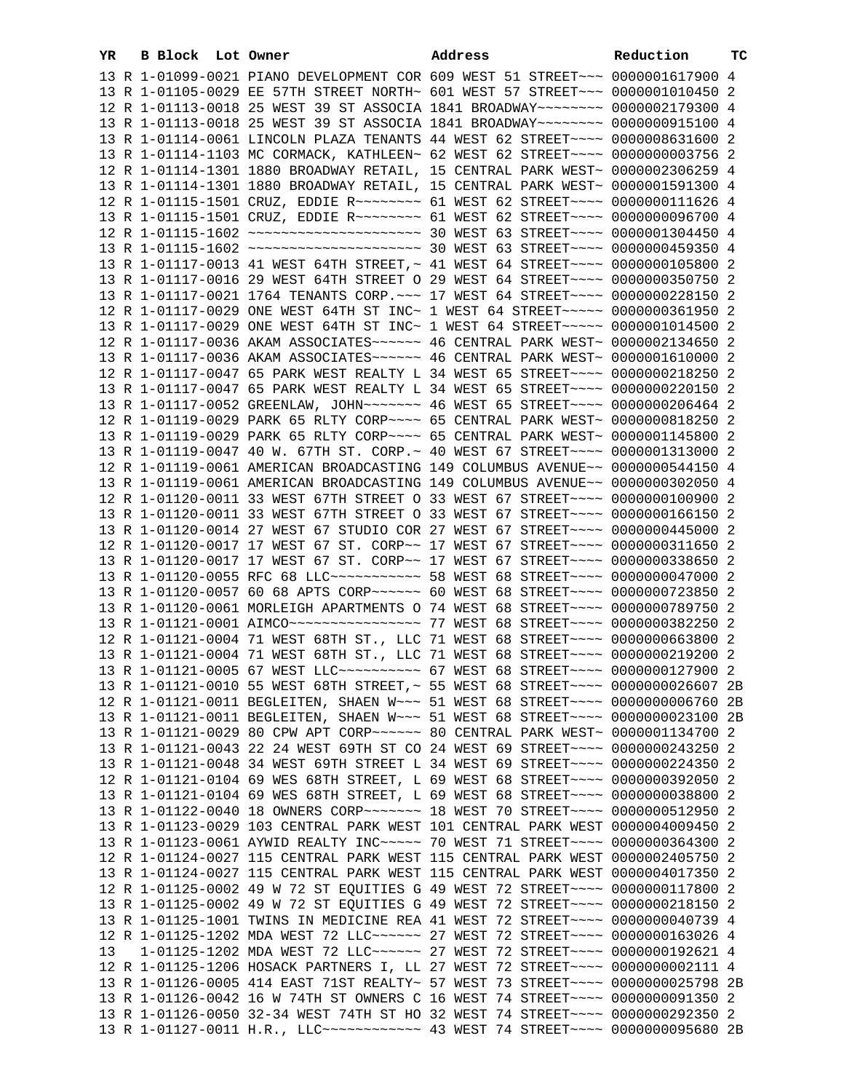| YR. | B Block Lot Owner |                                                                                  | Address | Reduction | тc |
|-----|-------------------|----------------------------------------------------------------------------------|---------|-----------|----|
|     |                   | 13 R 1-01099-0021 PIANO DEVELOPMENT COR 609 WEST 51 STREET~~~ 0000001617900 4    |         |           |    |
|     |                   | 13 R 1-01105-0029 EE 57TH STREET NORTH~ 601 WEST 57 STREET~~~ 0000001010450 2    |         |           |    |
|     |                   | 12 R 1-01113-0018 25 WEST 39 ST ASSOCIA 1841 BROADWAY~~~~~~~~ 0000002179300 4    |         |           |    |
|     |                   | 13 R 1-01113-0018 25 WEST 39 ST ASSOCIA 1841 BROADWAY~~~~~~~~ 0000000915100 4    |         |           |    |
|     |                   | 13 R 1-01114-0061 LINCOLN PLAZA TENANTS 44 WEST 62 STREET~~~~ 0000008631600 2    |         |           |    |
|     |                   | 13 R 1-01114-1103 MC CORMACK, KATHLEEN~ 62 WEST 62 STREET~~~~ 0000000003756 2    |         |           |    |
|     |                   | 12 R 1-01114-1301 1880 BROADWAY RETAIL, 15 CENTRAL PARK WEST~ 0000002306259 4    |         |           |    |
|     |                   | 13 R 1-01114-1301 1880 BROADWAY RETAIL, 15 CENTRAL PARK WEST~ 0000001591300 4    |         |           |    |
|     |                   | 12 R 1-01115-1501 CRUZ, EDDIE R -------- 61 WEST 62 STREET ---- 0000000111626 4  |         |           |    |
|     |                   | 13 R 1-01115-1501 CRUZ, EDDIE R ------- 61 WEST 62 STREET --- 0000000096700 4    |         |           |    |
|     |                   |                                                                                  |         |           |    |
|     |                   |                                                                                  |         |           |    |
|     |                   | 13 R 1-01117-0013 41 WEST 64TH STREET, ~ 41 WEST 64 STREET ~~~~ 0000000105800 2  |         |           |    |
|     |                   | 13 R 1-01117-0016 29 WEST 64TH STREET O 29 WEST 64 STREET~~~~ 0000000350750 2    |         |           |    |
|     |                   | 13 R 1-01117-0021 1764 TENANTS CORP. ~~~ 17 WEST 64 STREET~~~~ 0000000228150 2   |         |           |    |
|     |                   | 12 R 1-01117-0029 ONE WEST 64TH ST INC~ 1 WEST 64 STREET~~~~~ 0000000361950 2    |         |           |    |
|     |                   | 13 R 1-01117-0029 ONE WEST 64TH ST INC~ 1 WEST 64 STREET~~~~~ 0000001014500 2    |         |           |    |
|     |                   | 12 R 1-01117-0036 AKAM ASSOCIATES~~~~~~ 46 CENTRAL PARK WEST~ 0000002134650 2    |         |           |    |
|     |                   | 13 R 1-01117-0036 AKAM ASSOCIATES~~~~~~ 46 CENTRAL PARK WEST~ 0000001610000 2    |         |           |    |
|     |                   | 12 R 1-01117-0047 65 PARK WEST REALTY L 34 WEST 65 STREET~~~~ 0000000218250 2    |         |           |    |
|     |                   | 13 R 1-01117-0047 65 PARK WEST REALTY L 34 WEST 65 STREET~~~~ 0000000220150 2    |         |           |    |
|     |                   | 13 R 1-01117-0052 GREENLAW, JOHN~~~~~~~ 46 WEST 65 STREET~~~~ 0000000206464 2    |         |           |    |
|     |                   | 12 R 1-01119-0029 PARK 65 RLTY CORP~~~~ 65 CENTRAL PARK WEST~ 0000000818250 2    |         |           |    |
|     |                   | 13 R 1-01119-0029 PARK 65 RLTY CORP~~~~ 65 CENTRAL PARK WEST~ 0000001145800 2    |         |           |    |
|     |                   | 13 R 1-01119-0047 40 W. 67TH ST. CORP.~ 40 WEST 67 STREET~~~~ 0000001313000 2    |         |           |    |
|     |                   | 12 R 1-01119-0061 AMERICAN BROADCASTING 149 COLUMBUS AVENUE~~ 0000000544150 4    |         |           |    |
|     |                   |                                                                                  |         |           |    |
|     |                   | 13 R 1-01119-0061 AMERICAN BROADCASTING 149 COLUMBUS AVENUE~~ 0000000302050 4    |         |           |    |
|     |                   | 12 R 1-01120-0011 33 WEST 67TH STREET O 33 WEST 67 STREET~~~~ 0000000100900 2    |         |           |    |
|     |                   | 13 R 1-01120-0011 33 WEST 67TH STREET O 33 WEST 67 STREET~~~~ 0000000166150 2    |         |           |    |
|     |                   | 13 R 1-01120-0014 27 WEST 67 STUDIO COR 27 WEST 67 STREET~~~~ 0000000445000 2    |         |           |    |
|     |                   | 12 R 1-01120-0017 17 WEST 67 ST. CORP~~ 17 WEST 67 STREET~~~~ 0000000311650 2    |         |           |    |
|     |                   | 13 R 1-01120-0017 17 WEST 67 ST. CORP~~ 17 WEST 67 STREET~~~~ 0000000338650 2    |         |           |    |
|     |                   | 13 R 1-01120-0055 RFC 68 LLC ----------- 58 WEST 68 STREET ---- 0000000047000 2  |         |           |    |
|     |                   | 13 R 1-01120-0057 60 68 APTS CORP~~~~~~ 60 WEST 68 STREET~~~~ 0000000723850 2    |         |           |    |
|     |                   | 13 R 1-01120-0061 MORLEIGH APARTMENTS O 74 WEST 68 STREET~~~~ 0000000789750 2    |         |           |    |
|     |                   | 13 R 1-01121-0001 AIMCO ----------------- 77 WEST 68 STREET --- 0000000382250 2  |         |           |    |
|     |                   | 12 R 1-01121-0004 71 WEST 68TH ST., LLC 71 WEST 68 STREET~~~~ 0000000663800 2    |         |           |    |
|     |                   | 13 R 1-01121-0004 71 WEST 68TH ST., LLC 71 WEST 68 STREET~~~~ 0000000219200 2    |         |           |    |
|     |                   | 13 R 1-01121-0005 67 WEST LLC ---------- 67 WEST 68 STREET ---- 0000000127900 2  |         |           |    |
|     |                   | 13 R 1-01121-0010 55 WEST 68TH STREET, ~ 55 WEST 68 STREET~~~~ 0000000026607 2B  |         |           |    |
|     |                   | 12 R 1-01121-0011 BEGLEITEN, SHAEN W~~~ 51 WEST 68 STREET~~~~ 0000000006760 2B   |         |           |    |
|     |                   | 13 R 1-01121-0011 BEGLEITEN, SHAEN W~~~ 51 WEST 68 STREET~~~~ 0000000023100 2B   |         |           |    |
|     |                   | 13 R 1-01121-0029 80 CPW APT CORP~~~~~~ 80 CENTRAL PARK WEST~ 0000001134700 2    |         |           |    |
|     |                   | 13 R 1-01121-0043 22 24 WEST 69TH ST CO 24 WEST 69 STREET~~~~ 0000000243250 2    |         |           |    |
|     |                   | 13 R 1-01121-0048 34 WEST 69TH STREET L 34 WEST 69 STREET~~~~ 0000000224350 2    |         |           |    |
|     |                   | 12 R 1-01121-0104 69 WES 68TH STREET, L 69 WEST 68 STREET~~~~ 0000000392050 2    |         |           |    |
|     |                   | 13 R 1-01121-0104 69 WES 68TH STREET, L 69 WEST 68 STREET~~~~ 0000000038800 2    |         |           |    |
|     |                   | 13 R 1-01122-0040 18 OWNERS CORP~~~~~~~ 18 WEST 70 STREET~~~~ 0000000512950 2    |         |           |    |
|     |                   | 13 R 1-01123-0029 103 CENTRAL PARK WEST 101 CENTRAL PARK WEST 0000004009450 2    |         |           |    |
|     |                   | 13 R 1-01123-0061 AYWID REALTY INC~~~~~ 70 WEST 71 STREET~~~~ 0000000364300 2    |         |           |    |
|     |                   | 12 R 1-01124-0027 115 CENTRAL PARK WEST 115 CENTRAL PARK WEST 0000002405750 2    |         |           |    |
|     |                   | 13 R 1-01124-0027 115 CENTRAL PARK WEST 115 CENTRAL PARK WEST 0000004017350 2    |         |           |    |
|     |                   | 12 R 1-01125-0002 49 W 72 ST EQUITIES G 49 WEST 72 STREET~~~~ 0000000117800 2    |         |           |    |
|     |                   | 13 R 1-01125-0002 49 W 72 ST EQUITIES G 49 WEST 72 STREET~~~~ 0000000218150 2    |         |           |    |
|     |                   | 13 R 1-01125-1001 TWINS IN MEDICINE REA 41 WEST 72 STREET~~~~ 0000000040739 4    |         |           |    |
|     |                   | 12 R 1-01125-1202 MDA WEST 72 LLC ----- 27 WEST 72 STREET --- 0000000163026 4    |         |           |    |
| 13  |                   | 1-01125-1202 MDA WEST 72 LLC ----- 27 WEST 72 STREET --- 0000000192621 4         |         |           |    |
|     |                   | 12 R 1-01125-1206 HOSACK PARTNERS I, LL 27 WEST 72 STREET~~~~ 0000000002111 4    |         |           |    |
|     |                   | 13 R 1-01126-0005 414 EAST 71ST REALTY~ 57 WEST 73 STREET~~~~ 0000000025798 2B   |         |           |    |
|     |                   | 13 R 1-01126-0042 16 W 74TH ST OWNERS C 16 WEST 74 STREET~~~~ 0000000091350 2    |         |           |    |
|     |                   | 13 R 1-01126-0050 32-34 WEST 74TH ST HO 32 WEST 74 STREET~~~~ 0000000292350 2    |         |           |    |
|     |                   | 13 R 1-01127-0011 H.R., LLC ------------ 43 WEST 74 STREET ---- 0000000095680 2B |         |           |    |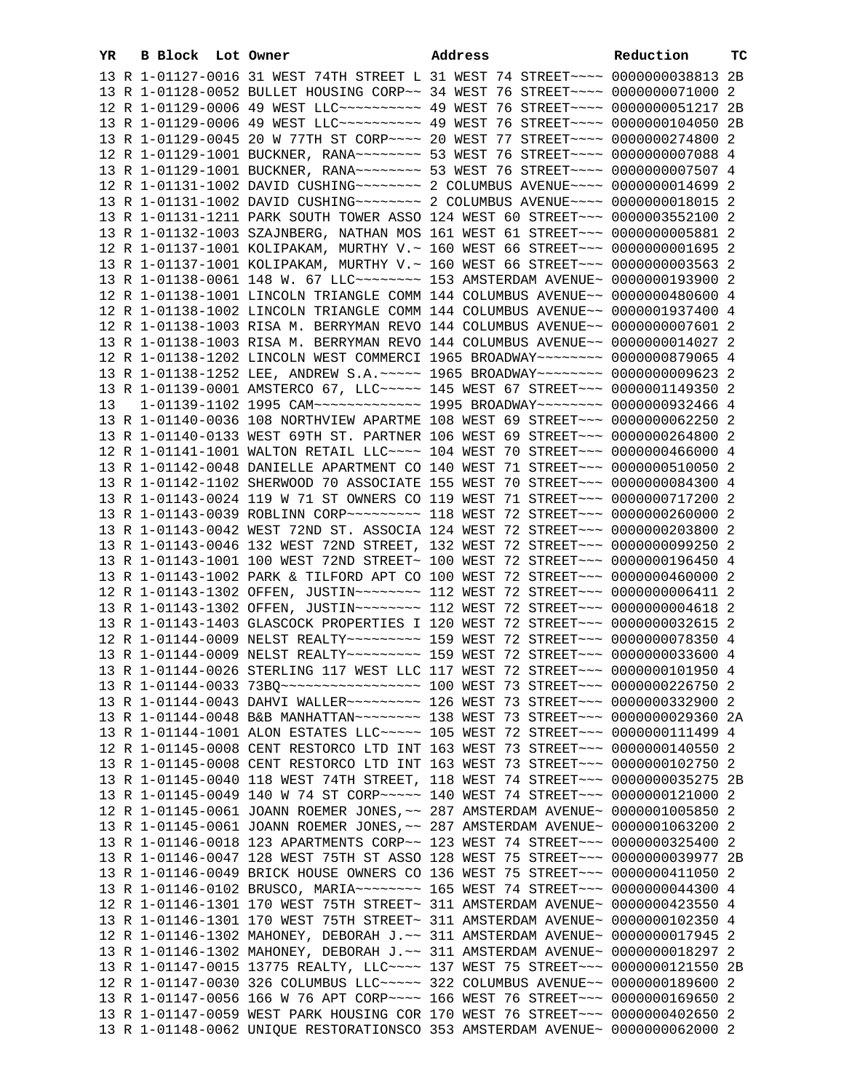| YR | B Block Lot Owner |                                                                                                                                                                | Address |  | Reduction | тc |
|----|-------------------|----------------------------------------------------------------------------------------------------------------------------------------------------------------|---------|--|-----------|----|
|    |                   | 13 R 1-01127-0016 31 WEST 74TH STREET L 31 WEST 74 STREET~~~~ 0000000038813 2B                                                                                 |         |  |           |    |
|    |                   | 13 R 1-01128-0052 BULLET HOUSING CORP~~ 34 WEST 76 STREET~~~~ 0000000071000 2                                                                                  |         |  |           |    |
|    |                   | 12 R 1-01129-0006 49 WEST LLC ---------- 49 WEST 76 STREET --- 00000000051217 2B                                                                               |         |  |           |    |
|    |                   | 13 R 1-01129-0006 49 WEST LLC ---------- 49 WEST 76 STREET --- 0000000104050 2B                                                                                |         |  |           |    |
|    |                   | 13 R 1-01129-0045 20 W 77TH ST CORP~~~~ 20 WEST 77 STREET~~~~ 0000000274800 2                                                                                  |         |  |           |    |
|    |                   | 12 R 1-01129-1001 BUCKNER, RANA~~~~~~~~ 53 WEST 76 STREET~~~~ 00000000007088 4                                                                                 |         |  |           |    |
|    |                   | 13 R 1-01129-1001 BUCKNER, RANA~~~~~~~~ 53 WEST 76 STREET~~~~ 0000000007507 4                                                                                  |         |  |           |    |
|    |                   |                                                                                                                                                                |         |  |           |    |
|    |                   | 13 R 1-01131-1002 DAVID CUSHING~~~~~~~~~~~~~~~~~~~ ROBUMBUS AVENUE~~~~~~~~~~~~~~~~~~~~~~~~~~~~~~~~~~                                                           |         |  |           |    |
|    |                   | 13 R 1-01131-1211 PARK SOUTH TOWER ASSO 124 WEST 60 STREET~~~ 0000003552100 2                                                                                  |         |  |           |    |
|    |                   | 13 R 1-01132-1003 SZAJNBERG, NATHAN MOS 161 WEST 61 STREET~~~ 0000000005881 2                                                                                  |         |  |           |    |
|    |                   | 12 R 1-01137-1001 KOLIPAKAM, MURTHY V.~ 160 WEST 66 STREET~~~ 00000000001695 2                                                                                 |         |  |           |    |
|    |                   | 13 R 1-01137-1001 KOLIPAKAM, MURTHY V.~ 160 WEST 66 STREET~~~ 00000000003563 2                                                                                 |         |  |           |    |
|    |                   | 13 R 1-01138-0061 148 W. 67 LLC -------- 153 AMSTERDAM AVENUE- 0000000193900 2                                                                                 |         |  |           |    |
|    |                   | 12 R 1-01138-1001 LINCOLN TRIANGLE COMM 144 COLUMBUS AVENUE~~ 0000000480600 4                                                                                  |         |  |           |    |
|    |                   | 12 R 1-01138-1002 LINCOLN TRIANGLE COMM 144 COLUMBUS AVENUE~~ 0000001937400 4                                                                                  |         |  |           |    |
|    |                   | 12 R 1-01138-1003 RISA M. BERRYMAN REVO 144 COLUMBUS AVENUE~~ 0000000007601 2                                                                                  |         |  |           |    |
|    |                   | 13 R 1-01138-1003 RISA M. BERRYMAN REVO 144 COLUMBUS AVENUE~~ 0000000014027 2                                                                                  |         |  |           |    |
|    |                   | 12 R 1-01138-1202 LINCOLN WEST COMMERCI 1965 BROADWAY~~~~~~~~ 0000000879065 4                                                                                  |         |  |           |    |
|    |                   | 13 R 1-01138-1252 LEE, ANDREW S.A. ~~~~~ 1965 BROADWAY~~~~~~~~ 0000000009623 2                                                                                 |         |  |           |    |
|    |                   | 13 R 1-01139-0001 AMSTERCO 67, LLC ---- 145 WEST 67 STREET -- 0000001149350 2                                                                                  |         |  |           |    |
| 13 |                   | 1-01139-1102 1995 CAM~~~~~~~~~~~~~~~~ 1995 BROADWAY~~~~~~~~ 0000000932466 4                                                                                    |         |  |           |    |
|    |                   | 13 R 1-01140-0036 108 NORTHVIEW APARTME 108 WEST 69 STREET~~~ 0000000062250 2                                                                                  |         |  |           |    |
|    |                   | 13 R 1-01140-0133 WEST 69TH ST. PARTNER 106 WEST 69 STREET~~~ 0000000264800 2                                                                                  |         |  |           |    |
|    |                   | 12 R 1-01141-1001 WALTON RETAIL LLC --- 104 WEST 70 STREET -- 0000000466000 4                                                                                  |         |  |           |    |
|    |                   | 13 R 1-01142-0048 DANIELLE APARTMENT CO 140 WEST 71 STREET~~~ 0000000510050 2                                                                                  |         |  |           |    |
|    |                   | 13 R 1-01142-1102 SHERWOOD 70 ASSOCIATE 155 WEST 70 STREET~~~ 0000000084300 4                                                                                  |         |  |           |    |
|    |                   | 13 R 1-01143-0024 119 W 71 ST OWNERS CO 119 WEST 71 STREET~~~ 0000000717200 2                                                                                  |         |  |           |    |
|    |                   | 13 R 1-01143-0039 ROBLINN CORP~~~~~~~~~~ 118 WEST 72 STREET~~~ 0000000260000 2                                                                                 |         |  |           |    |
|    |                   | 13 R 1-01143-0042 WEST 72ND ST. ASSOCIA 124 WEST 72 STREET~~~ 0000000203800 2                                                                                  |         |  |           |    |
|    |                   | 13 R 1-01143-0046 132 WEST 72ND STREET, 132 WEST 72 STREET~~~ 0000000099250 2                                                                                  |         |  |           |    |
|    |                   | 13 R 1-01143-1001 100 WEST 72ND STREET~ 100 WEST 72 STREET~~~ 0000000196450 4                                                                                  |         |  |           |    |
|    |                   | 13 R 1-01143-1002 PARK & TILFORD APT CO 100 WEST 72 STREET~~~ 0000000460000 2<br>12 R 1-01143-1302 OFFEN, JUSTIN~~~~~~~~ 112 WEST 72 STREET~~~ 0000000006411 2 |         |  |           |    |
|    |                   | 13 R 1-01143-1302 OFFEN, JUSTIN~~~~~~~~ 112 WEST 72 STREET~~~ 0000000004618 2                                                                                  |         |  |           |    |
|    |                   | 13 R 1-01143-1403 GLASCOCK PROPERTIES I 120 WEST 72 STREET~~~ 0000000032615 2                                                                                  |         |  |           |    |
|    |                   | 12 R 1-01144-0009 NELST REALTY~~~~~~~~~ 159 WEST 72 STREET~~~ 0000000078350 4                                                                                  |         |  |           |    |
|    |                   | 13 R 1-01144-0009 NELST REALTY~~~~~~~~~ 159 WEST 72 STREET~~~ 0000000033600 4                                                                                  |         |  |           |    |
|    |                   | 13 R 1-01144-0026 STERLING 117 WEST LLC 117 WEST 72 STREET~~~ 0000000101950 4                                                                                  |         |  |           |    |
|    |                   | 13 R 1-01144-0033 73BQ ----------------- 100 WEST 73 STREET -- 0000000226750 2                                                                                 |         |  |           |    |
|    |                   | 13 R 1-01144-0043 DAHVI WALLER -------- 126 WEST 73 STREET --- 0000000332900 2                                                                                 |         |  |           |    |
|    |                   | 13 R 1-01144-0048 B&B MANHATTAN~~~~~~~~ 138 WEST 73 STREET~~~ 0000000029360 2A                                                                                 |         |  |           |    |
|    |                   | 13 R 1-01144-1001 ALON ESTATES LLC~~~~~ 105 WEST 72 STREET~~~ 0000000111499 4                                                                                  |         |  |           |    |
|    |                   | 12 R 1-01145-0008 CENT RESTORCO LTD INT 163 WEST 73 STREET~~~ 0000000140550 2                                                                                  |         |  |           |    |
|    |                   | 13 R 1-01145-0008 CENT RESTORCO LTD INT 163 WEST 73 STREET~~~ 0000000102750 2                                                                                  |         |  |           |    |
|    |                   | 13 R 1-01145-0040 118 WEST 74TH STREET, 118 WEST 74 STREET~~~ 0000000035275 2B                                                                                 |         |  |           |    |
|    |                   | 13 R 1-01145-0049 140 W 74 ST CORP~~~~~ 140 WEST 74 STREET~~~ 0000000121000 2                                                                                  |         |  |           |    |
|    |                   | 12 R 1-01145-0061 JOANN ROEMER JONES, ~~ 287 AMSTERDAM AVENUE~ 0000001005850 2                                                                                 |         |  |           |    |
|    |                   | 13 R 1-01145-0061 JOANN ROEMER JONES, ~~ 287 AMSTERDAM AVENUE~ 0000001063200 2                                                                                 |         |  |           |    |
|    |                   | 13 R 1-01146-0018 123 APARTMENTS CORP~~ 123 WEST 74 STREET~~~ 0000000325400 2                                                                                  |         |  |           |    |
|    |                   | 13 R 1-01146-0047 128 WEST 75TH ST ASSO 128 WEST 75 STREET~~~ 0000000039977 2B                                                                                 |         |  |           |    |
|    |                   | 13 R 1-01146-0049 BRICK HOUSE OWNERS CO 136 WEST 75 STREET~~~ 0000000411050 2                                                                                  |         |  |           |    |
|    |                   | 13 R 1-01146-0102 BRUSCO, MARIA~~~~~~~~~~~~~ 165 WEST 74 STREET~~~~ 0000000044300 4                                                                            |         |  |           |    |
|    |                   | 12 R 1-01146-1301 170 WEST 75TH STREET~ 311 AMSTERDAM AVENUE~ 0000000423550 4                                                                                  |         |  |           |    |
|    |                   | 13 R 1-01146-1301 170 WEST 75TH STREET~ 311 AMSTERDAM AVENUE~ 0000000102350 4                                                                                  |         |  |           |    |
|    |                   | 12 R 1-01146-1302 MAHONEY, DEBORAH J.~~ 311 AMSTERDAM AVENUE~ 0000000017945 2                                                                                  |         |  |           |    |
|    |                   | 13 R 1-01146-1302 MAHONEY, DEBORAH J.~~ 311 AMSTERDAM AVENUE~ 0000000018297 2                                                                                  |         |  |           |    |
|    |                   | 13 R 1-01147-0015 13775 REALTY, LLC --- 137 WEST 75 STREET -- 0000000121550 2B                                                                                 |         |  |           |    |
|    |                   | 12 R 1-01147-0030 326 COLUMBUS LLC~~~~~ 322 COLUMBUS AVENUE~~ 0000000189600 2                                                                                  |         |  |           |    |
|    |                   | 13 R 1-01147-0056 166 W 76 APT CORP~~~~ 166 WEST 76 STREET~~~ 0000000169650 2                                                                                  |         |  |           |    |
|    |                   | 13 R 1-01147-0059 WEST PARK HOUSING COR 170 WEST 76 STREET~~~ 0000000402650 2                                                                                  |         |  |           |    |
|    |                   | 13 R 1-01148-0062 UNIQUE RESTORATIONSCO 353 AMSTERDAM AVENUE~ 0000000062000 2                                                                                  |         |  |           |    |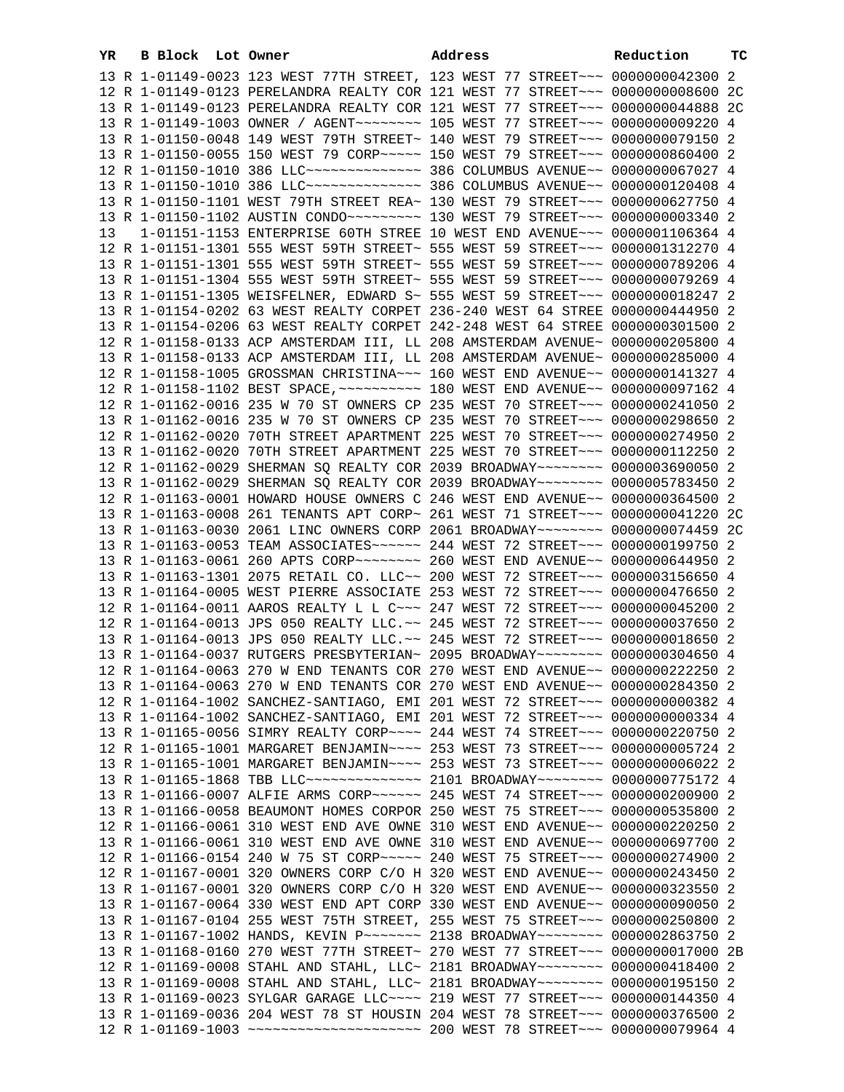| YR | B Block Lot Owner | Address                                                                                                                                                        | Reduction | тc |
|----|-------------------|----------------------------------------------------------------------------------------------------------------------------------------------------------------|-----------|----|
|    |                   | 13 R 1-01149-0023 123 WEST 77TH STREET, 123 WEST 77 STREET~~~ 0000000042300 2                                                                                  |           |    |
|    |                   | 12 R 1-01149-0123 PERELANDRA REALTY COR 121 WEST 77 STREET~~~ 0000000008600 2C                                                                                 |           |    |
|    |                   | 13 R 1-01149-0123 PERELANDRA REALTY COR 121 WEST 77 STREET~~~ 0000000044888 2C                                                                                 |           |    |
|    |                   | 13 R 1-01149-1003 OWNER / AGENT~~~~~~~~ 105 WEST 77 STREET~~~ 0000000009220 4                                                                                  |           |    |
|    |                   | 13 R 1-01150-0048 149 WEST 79TH STREET~ 140 WEST 79 STREET~~~ 0000000079150 2                                                                                  |           |    |
|    |                   | 13 R 1-01150-0055 150 WEST 79 CORP~~~~~ 150 WEST 79 STREET~~~ 0000000860400 2                                                                                  |           |    |
|    |                   | 12 R 1-01150-1010 386 LLC --------------- 386 COLUMBUS AVENUE -- 0000000067027 4                                                                               |           |    |
|    |                   | 13 R 1-01150-1010 386 LLC -------------- 386 COLUMBUS AVENUE -- 0000000120408 4                                                                                |           |    |
|    |                   | 13 R 1-01150-1101 WEST 79TH STREET REA~ 130 WEST 79 STREET~~~ 0000000627750 4                                                                                  |           |    |
|    |                   | 13 R 1-01150-1102 AUSTIN CONDO~~~~~~~~~ 130 WEST 79 STREET~~~ 0000000003340 2                                                                                  |           |    |
| 13 |                   | 1-01151-1153 ENTERPRISE 60TH STREE 10 WEST END AVENUE~~~ 0000001106364 4                                                                                       |           |    |
|    |                   | 12 R 1-01151-1301 555 WEST 59TH STREET~ 555 WEST 59 STREET~~~ 0000001312270 4                                                                                  |           |    |
|    |                   | 13 R 1-01151-1301 555 WEST 59TH STREET~ 555 WEST 59 STREET~~~ 0000000789206 4                                                                                  |           |    |
|    |                   | 13 R 1-01151-1304 555 WEST 59TH STREET~ 555 WEST 59 STREET~~~ 0000000079269 4                                                                                  |           |    |
|    |                   | 13 R 1-01151-1305 WEISFELNER, EDWARD S~ 555 WEST 59 STREET~~~ 0000000018247 2                                                                                  |           |    |
|    |                   | 13 R 1-01154-0202 63 WEST REALTY CORPET 236-240 WEST 64 STREE 0000000444950 2                                                                                  |           |    |
|    |                   | 13 R 1-01154-0206 63 WEST REALTY CORPET 242-248 WEST 64 STREE 0000000301500 2                                                                                  |           |    |
|    |                   | 12 R 1-01158-0133 ACP AMSTERDAM III, LL 208 AMSTERDAM AVENUE~ 0000000205800 4                                                                                  |           |    |
|    |                   | 13 R 1-01158-0133 ACP AMSTERDAM III, LL 208 AMSTERDAM AVENUE~ 0000000285000 4                                                                                  |           |    |
|    |                   | 12 R 1-01158-1005 GROSSMAN CHRISTINA~~~ 160 WEST END AVENUE~~ 0000000141327 4                                                                                  |           |    |
|    |                   |                                                                                                                                                                |           |    |
|    |                   | 12 R 1-01162-0016 235 W 70 ST OWNERS CP 235 WEST 70 STREET~~~ 0000000241050 2                                                                                  |           |    |
|    |                   | 13 R 1-01162-0016 235 W 70 ST OWNERS CP 235 WEST 70 STREET~~~ 0000000298650 2                                                                                  |           |    |
|    |                   | 12 R 1-01162-0020 70TH STREET APARTMENT 225 WEST 70 STREET~~~ 0000000274950 2                                                                                  |           |    |
|    |                   | 13 R 1-01162-0020 70TH STREET APARTMENT 225 WEST 70 STREET~~~ 0000000112250 2                                                                                  |           |    |
|    |                   | 12 R 1-01162-0029 SHERMAN SQ REALTY COR 2039 BROADWAY~~~~~~~~ 0000003690050 2                                                                                  |           |    |
|    |                   | 13 R 1-01162-0029 SHERMAN SQ REALTY COR 2039 BROADWAY~~~~~~~~ 0000005783450 2                                                                                  |           |    |
|    |                   | 12 R 1-01163-0001 HOWARD HOUSE OWNERS C 246 WEST END AVENUE~~ 0000000364500 2                                                                                  |           |    |
|    |                   | 13 R 1-01163-0008 261 TENANTS APT CORP~ 261 WEST 71 STREET~~~ 0000000041220 2C                                                                                 |           |    |
|    |                   | 13 R 1-01163-0030 2061 LINC OWNERS CORP 2061 BROADWAY~~~~~~~~ 0000000074459 2C                                                                                 |           |    |
|    |                   | 13 R 1-01163-0053 TEAM ASSOCIATES~~~~~~ 244 WEST 72 STREET~~~ 0000000199750 2                                                                                  |           |    |
|    |                   | 13 R 1-01163-0061 260 APTS CORP~~~~~~~~ 260 WEST END AVENUE~~ 0000000644950 2                                                                                  |           |    |
|    |                   | 13 R 1-01163-1301 2075 RETAIL CO. LLC~~ 200 WEST 72 STREET~~~ 0000003156650 4                                                                                  |           |    |
|    |                   | 13 R 1-01164-0005 WEST PIERRE ASSOCIATE 253 WEST 72 STREET~~~ 0000000476650 2                                                                                  |           |    |
|    |                   | 12 R 1-01164-0011 AAROS REALTY L L C ~~~ 247 WEST 72 STREET ~~~ 0000000045200 2                                                                                |           |    |
|    |                   | 12 R 1-01164-0013 JPS 050 REALTY LLC.~~ 245 WEST 72 STREET~~~ 0000000037650 2                                                                                  |           |    |
|    |                   | 13 R 1-01164-0013 JPS 050 REALTY LLC.~~ 245 WEST 72 STREET~~~ 0000000018650 2                                                                                  |           |    |
|    |                   | 13 R 1-01164-0037 RUTGERS PRESBYTERIAN~ 2095 BROADWAY~~~~~~~~ 0000000304650 4                                                                                  |           |    |
|    |                   | 12 R 1-01164-0063 270 W END TENANTS COR 270 WEST END AVENUE~~ 0000000222250 2                                                                                  |           |    |
|    |                   | 13 R 1-01164-0063 270 W END TENANTS COR 270 WEST END AVENUE~~ 0000000284350 2                                                                                  |           |    |
|    |                   | 12 R 1-01164-1002 SANCHEZ-SANTIAGO, EMI 201 WEST 72 STREET~~~ 0000000000382 4                                                                                  |           |    |
|    |                   | 13 R 1-01164-1002 SANCHEZ-SANTIAGO, EMI 201 WEST 72 STREET~~~ 0000000000334 4<br>13 R 1-01165-0056 SIMRY REALTY CORP~~~~ 244 WEST 74 STREET~~~ 0000000220750 2 |           |    |
|    |                   | 12 R 1-01165-1001 MARGARET BENJAMIN~~~~ 253 WEST 73 STREET~~~ 0000000005724 2                                                                                  |           |    |
|    |                   | 13 R 1-01165-1001 MARGARET BENJAMIN~~~~ 253 WEST 73 STREET~~~ 0000000006022 2                                                                                  |           |    |
|    |                   | 13 R 1-01165-1868 TBB LLC --------------- 2101 BROADWAY -------- 0000000775172 4                                                                               |           |    |
|    |                   | 13 R 1-01166-0007 ALFIE ARMS CORP~~~~~~ 245 WEST 74 STREET~~~ 0000000200900 2                                                                                  |           |    |
|    |                   | 13 R 1-01166-0058 BEAUMONT HOMES CORPOR 250 WEST 75 STREET~~~ 0000000535800 2                                                                                  |           |    |
|    |                   | 12 R 1-01166-0061 310 WEST END AVE OWNE 310 WEST END AVENUE~~ 0000000220250 2                                                                                  |           |    |
|    |                   | 13 R 1-01166-0061 310 WEST END AVE OWNE 310 WEST END AVENUE~~ 0000000697700 2                                                                                  |           |    |
|    |                   | 12 R 1-01166-0154 240 W 75 ST CORP~~~~~ 240 WEST 75 STREET~~~ 0000000274900 2                                                                                  |           |    |
|    |                   | 12 R 1-01167-0001 320 OWNERS CORP C/O H 320 WEST END AVENUE~~ 0000000243450 2                                                                                  |           |    |
|    |                   | 13 R 1-01167-0001 320 OWNERS CORP C/O H 320 WEST END AVENUE~~ 0000000323550 2                                                                                  |           |    |
|    |                   | 13 R 1-01167-0064 330 WEST END APT CORP 330 WEST END AVENUE~~ 0000000090050 2                                                                                  |           |    |
|    |                   | 13 R 1-01167-0104 255 WEST 75TH STREET, 255 WEST 75 STREET~~~ 0000000250800 2                                                                                  |           |    |
|    |                   | 13 R 1-01167-1002 HANDS, KEVIN P~~~~~~~ 2138 BROADWAY~~~~~~~~ 0000002863750 2                                                                                  |           |    |
|    |                   | 13 R 1-01168-0160 270 WEST 77TH STREET~ 270 WEST 77 STREET~~~ 0000000017000 2B                                                                                 |           |    |
|    |                   | 12 R 1-01169-0008 STAHL AND STAHL, LLC~ 2181 BROADWAY~~~~~~~~~ 0000000418400 2                                                                                 |           |    |
|    |                   | 13 R 1-01169-0008 STAHL AND STAHL, LLC~ 2181 BROADWAY~~~~~~~~~ 0000000195150 2                                                                                 |           |    |
|    |                   | 13 R 1-01169-0023 SYLGAR GARAGE LLC ~~~~ 219 WEST 77 STREET ~~~ 0000000144350 4                                                                                |           |    |
|    |                   | 13 R 1-01169-0036 204 WEST 78 ST HOUSIN 204 WEST 78 STREET~~~ 0000000376500 2                                                                                  |           |    |
|    |                   |                                                                                                                                                                |           |    |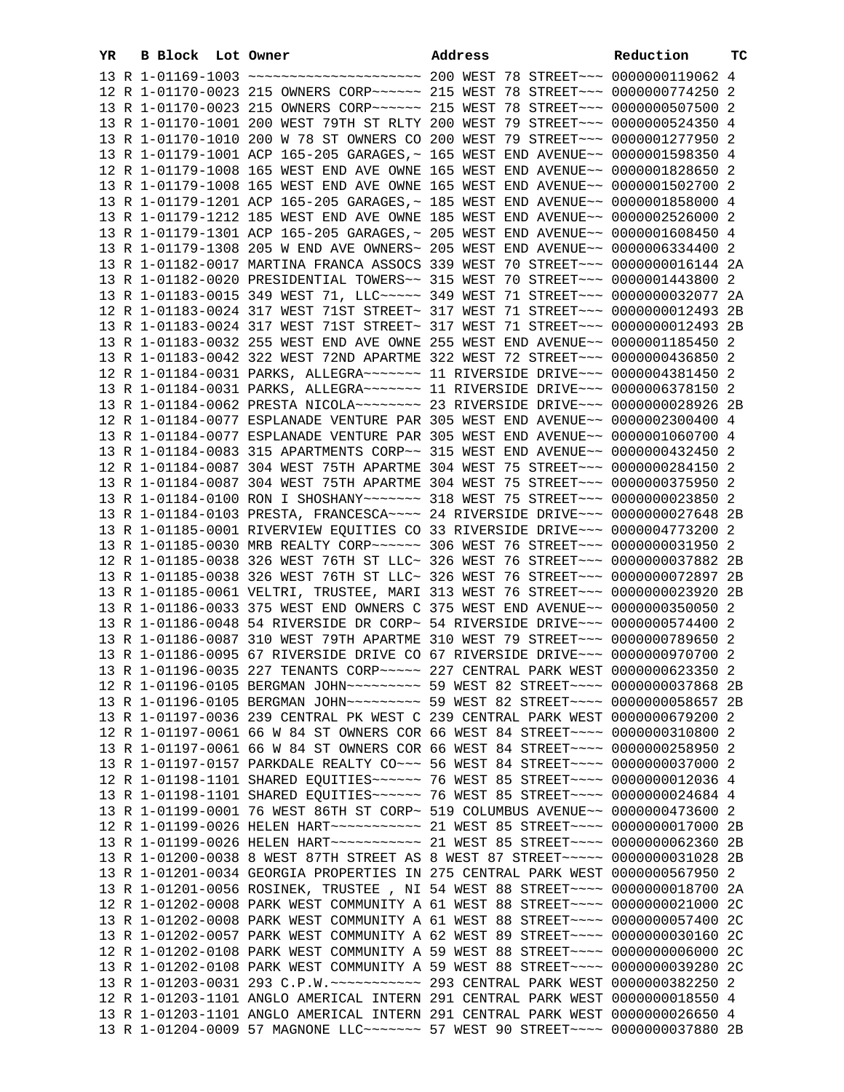| YR. | B Block Lot Owner |                                                                                                                                                                 | Address | Reduction | тc             |
|-----|-------------------|-----------------------------------------------------------------------------------------------------------------------------------------------------------------|---------|-----------|----------------|
|     |                   | 13 R 1-01169-1003 ~~~~~~~~~~~~~~~~~~~~~~~~~~~~~ 200 WEST 78 STREET~~~~ 00000000119062 4                                                                         |         |           |                |
|     |                   | 12 R 1-01170-0023 215 OWNERS CORP~~~~~~ 215 WEST 78 STREET~~~ 0000000774250 2                                                                                   |         |           |                |
|     |                   | 13 R 1-01170-0023 215 OWNERS CORP~~~~~~ 215 WEST 78 STREET~~~ 0000000507500 2                                                                                   |         |           |                |
|     |                   | 13 R 1-01170-1001 200 WEST 79TH ST RLTY 200 WEST 79 STREET~~~ 0000000524350 4                                                                                   |         |           |                |
|     |                   | 13 R 1-01170-1010 200 W 78 ST OWNERS CO 200 WEST 79 STREET~~~ 0000001277950 2                                                                                   |         |           |                |
|     |                   | 13 R 1-01179-1001 ACP 165-205 GARAGES, ~ 165 WEST END AVENUE~~ 0000001598350 4                                                                                  |         |           |                |
|     |                   | 12 R 1-01179-1008 165 WEST END AVE OWNE 165 WEST END AVENUE~~ 0000001828650 2                                                                                   |         |           |                |
|     |                   | 13 R 1-01179-1008 165 WEST END AVE OWNE 165 WEST END AVENUE~~ 0000001502700 2                                                                                   |         |           |                |
|     |                   | 13 R 1-01179-1201 ACP 165-205 GARAGES, ~ 185 WEST END AVENUE~~ 0000001858000 4                                                                                  |         |           |                |
|     |                   | 13 R 1-01179-1212 185 WEST END AVE OWNE 185 WEST END AVENUE~~ 0000002526000 2                                                                                   |         |           |                |
|     |                   | 13 R 1-01179-1301 ACP 165-205 GARAGES, ~ 205 WEST END AVENUE~~ 0000001608450 4                                                                                  |         |           |                |
|     |                   | 13 R 1-01179-1308 205 W END AVE OWNERS~ 205 WEST END AVENUE~~ 0000006334400 2                                                                                   |         |           |                |
|     |                   | 13 R 1-01182-0017 MARTINA FRANCA ASSOCS 339 WEST 70 STREET~~~ 0000000016144 2A                                                                                  |         |           |                |
|     |                   | 13 R 1-01182-0020 PRESIDENTIAL TOWERS~~ 315 WEST 70 STREET~~~ 0000001443800                                                                                     |         |           | 2              |
|     |                   | 13 R 1-01183-0015 349 WEST 71, LLC ----- 349 WEST 71 STREET --- 0000000032077 2A                                                                                |         |           |                |
|     |                   | 12 R 1-01183-0024 317 WEST 71ST STREET~ 317 WEST 71 STREET~~~ 0000000012493 2B                                                                                  |         |           |                |
|     |                   | 13 R 1-01183-0024 317 WEST 71ST STREET~ 317 WEST 71 STREET~~~ 0000000012493 2B                                                                                  |         |           |                |
|     |                   | 13 R 1-01183-0032 255 WEST END AVE OWNE 255 WEST END AVENUE~~ 0000001185450 2                                                                                   |         |           |                |
|     |                   | 13 R 1-01183-0042 322 WEST 72ND APARTME 322 WEST 72 STREET~~~ 0000000436850 2                                                                                   |         |           |                |
|     |                   | 12 R 1-01184-0031 PARKS, ALLEGRA~~~~~~~ 11 RIVERSIDE DRIVE~~~ 0000004381450 2                                                                                   |         |           |                |
|     |                   | 13 R 1-01184-0031 PARKS, ALLEGRA ------ 11 RIVERSIDE DRIVE -- 0000006378150 2                                                                                   |         |           |                |
|     |                   | 13 R 1-01184-0062 PRESTA NICOLA~~~~~~~~~~~~~~~~~~~~ 33 RIVERSIDE DRIVE~~~~ 0000000028926 2B                                                                     |         |           |                |
|     |                   | 12 R 1-01184-0077 ESPLANADE VENTURE PAR 305 WEST END AVENUE~~ 0000002300400 4                                                                                   |         |           |                |
|     |                   | 13 R 1-01184-0077 ESPLANADE VENTURE PAR 305 WEST END AVENUE~~ 0000001060700 4                                                                                   |         |           |                |
|     |                   | 13 R 1-01184-0083 315 APARTMENTS CORP~~ 315 WEST END AVENUE~~ 0000000432450 2                                                                                   |         |           |                |
|     |                   | 12 R 1-01184-0087 304 WEST 75TH APARTME 304 WEST 75 STREET~~~ 0000000284150 2                                                                                   |         |           |                |
|     |                   | 13 R 1-01184-0087 304 WEST 75TH APARTME 304 WEST 75 STREET~~~ 0000000375950 2                                                                                   |         |           |                |
|     |                   | 13 R 1-01184-0100 RON I SHOSHANY~~~~~~~ 318 WEST 75 STREET~~~ 0000000023850 2                                                                                   |         |           |                |
|     |                   | 13 R 1-01184-0103 PRESTA, FRANCESCA~~~~ 24 RIVERSIDE DRIVE~~~ 0000000027648 2B                                                                                  |         |           |                |
|     |                   | 13 R 1-01185-0001 RIVERVIEW EQUITIES CO 33 RIVERSIDE DRIVE~~~ 0000004773200 2                                                                                   |         |           |                |
|     |                   | 13 R 1-01185-0030 MRB REALTY CORP~~~~~~ 306 WEST 76 STREET~~~ 0000000031950 2<br>12 R 1-01185-0038 326 WEST 76TH ST LLC~ 326 WEST 76 STREET~~~ 0000000037882 2B |         |           |                |
|     |                   | 13 R 1-01185-0038 326 WEST 76TH ST LLC~ 326 WEST 76 STREET~~~ 0000000072897 2B                                                                                  |         |           |                |
|     |                   | 13 R 1-01185-0061 VELTRI, TRUSTEE, MARI 313 WEST 76 STREET~~~ 0000000023920 2B                                                                                  |         |           |                |
|     |                   | 13 R 1-01186-0033 375 WEST END OWNERS C 375 WEST END AVENUE~~ 0000000350050                                                                                     |         |           | -2             |
|     |                   | 13 R 1-01186-0048 54 RIVERSIDE DR CORP~ 54 RIVERSIDE DRIVE~~~ 0000000574400 2                                                                                   |         |           |                |
|     |                   | 13 R 1-01186-0087 310 WEST 79TH APARTME 310 WEST 79 STREET~~~ 0000000789650 2                                                                                   |         |           |                |
|     |                   | 13 R 1-01186-0095 67 RIVERSIDE DRIVE CO 67 RIVERSIDE DRIVE~~~ 0000000970700 2                                                                                   |         |           |                |
|     |                   | 13 R 1-01196-0035 227 TENANTS CORP ~~~~~ 227 CENTRAL PARK WEST 0000000623350                                                                                    |         |           |                |
|     |                   | 12 R 1-01196-0105 BERGMAN JOHN~~~~~~~~~ 59 WEST 82 STREET~~~~ 0000000037868 2B                                                                                  |         |           |                |
|     |                   | 13 R 1-01196-0105 BERGMAN JOHN~~~~~~~~~ 59 WEST 82 STREET~~~~ 0000000058657 2B                                                                                  |         |           |                |
|     |                   | 13 R 1-01197-0036 239 CENTRAL PK WEST C 239 CENTRAL PARK WEST 0000000679200 2                                                                                   |         |           |                |
|     |                   | 12 R 1-01197-0061 66 W 84 ST OWNERS COR 66 WEST 84 STREET~~~~ 0000000310800 2                                                                                   |         |           |                |
|     |                   | 13 R 1-01197-0061 66 W 84 ST OWNERS COR 66 WEST 84 STREET~~~~ 0000000258950 2                                                                                   |         |           |                |
|     |                   | 13 R 1-01197-0157 PARKDALE REALTY CO~~~ 56 WEST 84 STREET~~~~ 0000000037000 2                                                                                   |         |           |                |
|     |                   | 12 R 1-01198-1101 SHARED EQUITIES~~~~~~ 76 WEST 85 STREET~~~~ 0000000012036 4                                                                                   |         |           |                |
|     |                   | 13 R 1-01198-1101 SHARED EQUITIES~~~~~~ 76 WEST 85 STREET~~~~ 0000000024684 4                                                                                   |         |           |                |
|     |                   | 13 R 1-01199-0001 76 WEST 86TH ST CORP~ 519 COLUMBUS AVENUE~~ 0000000473600 2                                                                                   |         |           |                |
|     |                   | 12 R 1-01199-0026 HELEN HART ------------ 21 WEST 85 STREET ---- 0000000017000 2B                                                                               |         |           |                |
|     |                   | 13 R 1-01199-0026 HELEN HART ----------- 21 WEST 85 STREET ---- 0000000062360 2B                                                                                |         |           |                |
|     |                   | 13 R 1-01200-0038 8 WEST 87TH STREET AS 8 WEST 87 STREET~~~~~ 0000000031028 2B                                                                                  |         |           |                |
|     |                   | 13 R 1-01201-0034 GEORGIA PROPERTIES IN 275 CENTRAL PARK WEST 0000000567950                                                                                     |         |           | 2              |
|     |                   | 13 R 1-01201-0056 ROSINEK, TRUSTEE , NI 54 WEST 88 STREET~~~~ 0000000018700                                                                                     |         |           | 2A             |
|     |                   | 12 R 1-01202-0008 PARK WEST COMMUNITY A 61 WEST 88 STREET~~~~ 0000000021000                                                                                     |         |           | 2C             |
|     |                   | 13 R 1-01202-0008 PARK WEST COMMUNITY A 61 WEST 88 STREET~~~~ 0000000057400                                                                                     |         |           | 2 <sup>c</sup> |
|     |                   | 13 R 1-01202-0057 PARK WEST COMMUNITY A 62 WEST 89 STREET~~~~ 0000000030160 2C                                                                                  |         |           |                |
|     |                   | 12 R 1-01202-0108 PARK WEST COMMUNITY A 59 WEST 88 STREET~~~~ 0000000006000 2C                                                                                  |         |           |                |
|     |                   | 13 R 1-01202-0108 PARK WEST COMMUNITY A 59 WEST 88 STREET~~~~ 0000000039280 2C                                                                                  |         |           |                |
|     |                   |                                                                                                                                                                 |         |           |                |
|     |                   | 12 R 1-01203-1101 ANGLO AMERICAL INTERN 291 CENTRAL PARK WEST 0000000018550 4                                                                                   |         |           |                |
|     |                   | 13 R 1-01203-1101 ANGLO AMERICAL INTERN 291 CENTRAL PARK WEST 0000000026650 4                                                                                   |         |           |                |
|     |                   | 13 R 1-01204-0009 57 MAGNONE LLC~~~~~~~~ 57 WEST 90 STREET~~~~ 0000000037880 2B                                                                                 |         |           |                |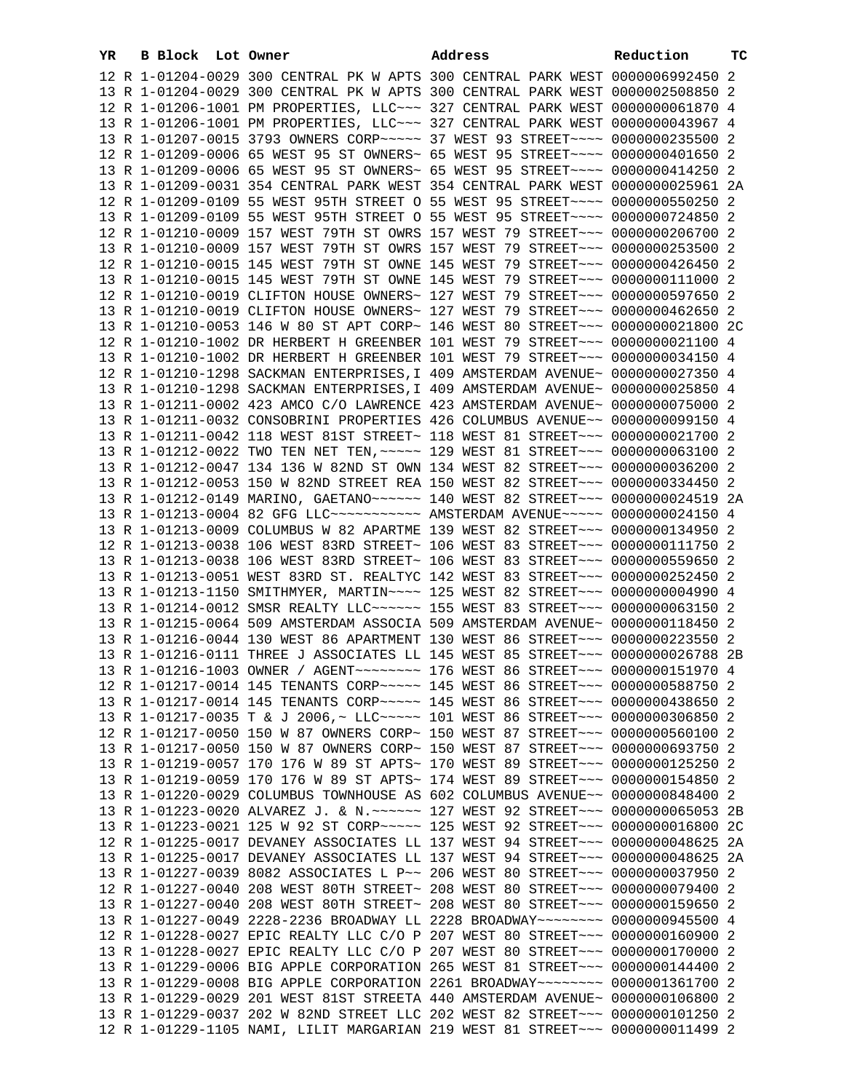| YR. | <b>B Block</b> Lot Owner |                                                                                                                                                                   | Address | Reduction | тc |
|-----|--------------------------|-------------------------------------------------------------------------------------------------------------------------------------------------------------------|---------|-----------|----|
|     |                          | 12 R 1-01204-0029 300 CENTRAL PK W APTS 300 CENTRAL PARK WEST 0000006992450 2                                                                                     |         |           |    |
|     |                          | 13 R 1-01204-0029 300 CENTRAL PK W APTS 300 CENTRAL PARK WEST 0000002508850 2                                                                                     |         |           |    |
|     |                          | 12 R 1-01206-1001 PM PROPERTIES, LLC~~~ 327 CENTRAL PARK WEST 0000000061870 4                                                                                     |         |           |    |
|     |                          | 13 R 1-01206-1001 PM PROPERTIES, LLC ~~~ 327 CENTRAL PARK WEST 0000000043967 4                                                                                    |         |           |    |
|     |                          | 13 R 1-01207-0015 3793 OWNERS CORP~~~~~ 37 WEST 93 STREET~~~~ 0000000235500 2                                                                                     |         |           |    |
|     |                          | 12 R 1-01209-0006 65 WEST 95 ST OWNERS~ 65 WEST 95 STREET~~~~ 0000000401650 2                                                                                     |         |           |    |
|     |                          | 13 R 1-01209-0006 65 WEST 95 ST OWNERS~ 65 WEST 95 STREET~~~~ 0000000414250 2                                                                                     |         |           |    |
|     |                          | 13 R 1-01209-0031 354 CENTRAL PARK WEST 354 CENTRAL PARK WEST 0000000025961 2A                                                                                    |         |           |    |
|     |                          | 12 R 1-01209-0109 55 WEST 95TH STREET O 55 WEST 95 STREET~~~~ 0000000550250                                                                                       |         |           | 2  |
|     |                          | 13 R 1-01209-0109 55 WEST 95TH STREET O 55 WEST 95 STREET~~~~ 0000000724850 2                                                                                     |         |           |    |
|     |                          | 12 R 1-01210-0009 157 WEST 79TH ST OWRS 157 WEST 79 STREET~~~ 0000000206700 2                                                                                     |         |           |    |
|     |                          | 13 R 1-01210-0009 157 WEST 79TH ST OWRS 157 WEST 79 STREET~~~ 0000000253500 2                                                                                     |         |           |    |
|     |                          | 12 R 1-01210-0015 145 WEST 79TH ST OWNE 145 WEST 79 STREET~~~ 0000000426450 2                                                                                     |         |           |    |
|     |                          | 13 R 1-01210-0015 145 WEST 79TH ST OWNE 145 WEST 79 STREET~~~ 0000000111000 2                                                                                     |         |           |    |
|     |                          | 12 R 1-01210-0019 CLIFTON HOUSE OWNERS~ 127 WEST 79 STREET~~~ 0000000597650 2                                                                                     |         |           |    |
|     |                          | 13 R 1-01210-0019 CLIFTON HOUSE OWNERS~ 127 WEST 79 STREET~~~ 0000000462650 2                                                                                     |         |           |    |
|     |                          | 13 R 1-01210-0053 146 W 80 ST APT CORP~ 146 WEST 80 STREET~~~ 0000000021800 2C                                                                                    |         |           |    |
|     |                          | 12 R 1-01210-1002 DR HERBERT H GREENBER 101 WEST 79 STREET~~~ 0000000021100 4                                                                                     |         |           |    |
|     |                          | 13 R 1-01210-1002 DR HERBERT H GREENBER 101 WEST 79 STREET~~~ 0000000034150 4                                                                                     |         |           |    |
|     |                          | 12 R 1-01210-1298 SACKMAN ENTERPRISES, I 409 AMSTERDAM AVENUE~ 0000000027350 4                                                                                    |         |           |    |
|     |                          | 13 R 1-01210-1298 SACKMAN ENTERPRISES, I 409 AMSTERDAM AVENUE~ 0000000025850 4                                                                                    |         |           |    |
|     |                          | 13 R 1-01211-0002 423 AMCO C/O LAWRENCE 423 AMSTERDAM AVENUE~ 0000000075000 2                                                                                     |         |           |    |
|     |                          | 13 R 1-01211-0032 CONSOBRINI PROPERTIES 426 COLUMBUS AVENUE~~ 0000000099150 4                                                                                     |         |           |    |
|     |                          | 13 R 1-01211-0042 118 WEST 81ST STREET~ 118 WEST 81 STREET~~~ 0000000021700 2                                                                                     |         |           |    |
|     |                          | 13 R 1-01212-0022 TWO TEN NET TEN, ~~~~~ 129 WEST 81 STREET~~~ 0000000063100 2                                                                                    |         |           |    |
|     |                          | 13 R 1-01212-0047 134 136 W 82ND ST OWN 134 WEST 82 STREET~~~ 0000000036200 2                                                                                     |         |           |    |
|     |                          | 13 R 1-01212-0053 150 W 82ND STREET REA 150 WEST 82 STREET~~~ 0000000334450 2                                                                                     |         |           |    |
|     |                          | 13 R 1-01212-0149 MARINO, GAETANO~~~~~~ 140 WEST 82 STREET~~~ 0000000024519 2A<br>13 R 1-01213-0004 82 GFG LLC ----------- AMSTERDAM AVENUE ----- 0000000024150 4 |         |           |    |
|     |                          | 13 R 1-01213-0009 COLUMBUS W 82 APARTME 139 WEST 82 STREET~~~ 0000000134950 2                                                                                     |         |           |    |
|     |                          | 12 R 1-01213-0038 106 WEST 83RD STREET~ 106 WEST 83 STREET~~~ 0000000111750 2                                                                                     |         |           |    |
|     |                          | 13 R 1-01213-0038 106 WEST 83RD STREET~ 106 WEST 83 STREET~~~ 0000000559650 2                                                                                     |         |           |    |
|     |                          | 13 R 1-01213-0051 WEST 83RD ST. REALTYC 142 WEST 83 STREET~~~ 0000000252450 2                                                                                     |         |           |    |
|     |                          | 13 R 1-01213-1150 SMITHMYER, MARTIN~~~~ 125 WEST 82 STREET~~~ 00000000004990 4                                                                                    |         |           |    |
|     |                          | 13 R 1-01214-0012 SMSR REALTY LLC ~~~~~~ 155 WEST 83 STREET ~~~ 0000000063150 2                                                                                   |         |           |    |
|     |                          | 13 R 1-01215-0064 509 AMSTERDAM ASSOCIA 509 AMSTERDAM AVENUE~ 0000000118450 2                                                                                     |         |           |    |
|     |                          | 13 R 1-01216-0044 130 WEST 86 APARTMENT 130 WEST 86 STREET~~~ 0000000223550 2                                                                                     |         |           |    |
|     |                          | 13 R 1-01216-0111 THREE J ASSOCIATES LL 145 WEST 85 STREET~~~ 0000000026788 2B                                                                                    |         |           |    |
|     |                          | 13 R 1-01216-1003 OWNER / AGENT~~~~~~~~ 176 WEST 86 STREET~~~ 0000000151970 4                                                                                     |         |           |    |
|     |                          | 12 R 1-01217-0014 145 TENANTS CORP~~~~~ 145 WEST 86 STREET~~~ 0000000588750 2                                                                                     |         |           |    |
|     |                          | 13 R 1-01217-0014 145 TENANTS CORP~~~~~ 145 WEST 86 STREET~~~ 0000000438650 2                                                                                     |         |           |    |
|     |                          | 13 R 1-01217-0035 T & J 2006,~ LLC~~~~~ 101 WEST 86 STREET~~~ 0000000306850 2                                                                                     |         |           |    |
|     |                          | 12 R 1-01217-0050 150 W 87 OWNERS CORP~ 150 WEST 87 STREET~~~ 0000000560100 2                                                                                     |         |           |    |
|     |                          | 13 R 1-01217-0050 150 W 87 OWNERS CORP~ 150 WEST 87 STREET~~~ 0000000693750 2                                                                                     |         |           |    |
|     |                          | 13 R 1-01219-0057 170 176 W 89 ST APTS~ 170 WEST 89 STREET~~~ 0000000125250 2                                                                                     |         |           |    |
|     |                          | 13 R 1-01219-0059 170 176 W 89 ST APTS~ 174 WEST 89 STREET~~~ 0000000154850 2                                                                                     |         |           |    |
|     |                          | 13 R 1-01220-0029 COLUMBUS TOWNHOUSE AS 602 COLUMBUS AVENUE~~ 0000000848400 2                                                                                     |         |           |    |
|     |                          | 13 R 1-01223-0020 ALVAREZ J. & N. ~~~~~~ 127 WEST 92 STREET~~~ 0000000065053 2B                                                                                   |         |           |    |
|     |                          | 13 R 1-01223-0021 125 W 92 ST CORP~~~~~ 125 WEST 92 STREET~~~ 0000000016800 2C                                                                                    |         |           |    |
|     |                          | 12 R 1-01225-0017 DEVANEY ASSOCIATES LL 137 WEST 94 STREET~~~ 0000000048625 2A                                                                                    |         |           |    |
|     |                          | 13 R 1-01225-0017 DEVANEY ASSOCIATES LL 137 WEST 94 STREET~~~ 0000000048625 2A                                                                                    |         |           |    |
|     |                          | 13 R 1-01227-0039 8082 ASSOCIATES L P~~ 206 WEST 80 STREET~~~ 0000000037950                                                                                       |         |           | -2 |
|     |                          | 12 R 1-01227-0040 208 WEST 80TH STREET~ 208 WEST 80 STREET~~~ 0000000079400 2                                                                                     |         |           |    |
|     |                          | 13 R 1-01227-0040 208 WEST 80TH STREET~ 208 WEST 80 STREET~~~ 0000000159650 2                                                                                     |         |           |    |
|     |                          | 13 R 1-01227-0049 2228-2236 BROADWAY LL 2228 BROADWAY~~~~~~~~ 0000000945500 4                                                                                     |         |           |    |
|     |                          | 12 R 1-01228-0027 EPIC REALTY LLC C/O P 207 WEST 80 STREET~~~ 0000000160900 2                                                                                     |         |           |    |
|     |                          | 13 R 1-01228-0027 EPIC REALTY LLC C/O P 207 WEST 80 STREET~~~ 0000000170000 2                                                                                     |         |           |    |
|     |                          | 13 R 1-01229-0006 BIG APPLE CORPORATION 265 WEST 81 STREET~~~ 0000000144400 2                                                                                     |         |           |    |
|     |                          | 13 R 1-01229-0008 BIG APPLE CORPORATION 2261 BROADWAY~~~~~~~~ 0000001361700 2                                                                                     |         |           |    |
|     |                          | 13 R 1-01229-0029 201 WEST 81ST STREETA 440 AMSTERDAM AVENUE~ 0000000106800 2                                                                                     |         |           |    |
|     |                          | 13 R 1-01229-0037 202 W 82ND STREET LLC 202 WEST 82 STREET~~~ 0000000101250 2                                                                                     |         |           |    |
|     |                          | 12 R 1-01229-1105 NAMI, LILIT MARGARIAN 219 WEST 81 STREET~~~ 0000000011499 2                                                                                     |         |           |    |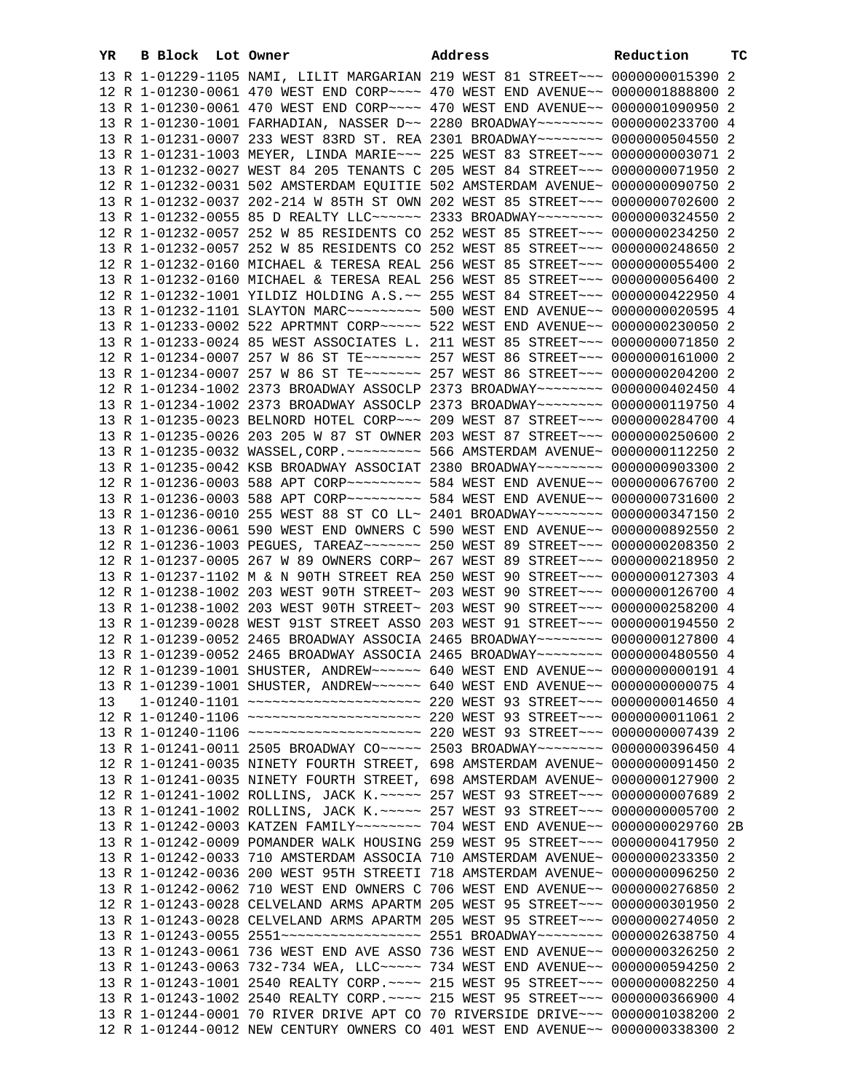| YR. | B Block Lot Owner |                                                                                                                                                                | Address | Reduction | ТC |
|-----|-------------------|----------------------------------------------------------------------------------------------------------------------------------------------------------------|---------|-----------|----|
|     |                   | 13 R 1-01229-1105 NAMI, LILIT MARGARIAN 219 WEST 81 STREET~~~ 0000000015390 2                                                                                  |         |           |    |
|     |                   | 12 R 1-01230-0061 470 WEST END CORP~~~~ 470 WEST END AVENUE~~ 0000001888800 2                                                                                  |         |           |    |
|     |                   | 13 R 1-01230-0061 470 WEST END CORP~~~~ 470 WEST END AVENUE~~ 0000001090950 2                                                                                  |         |           |    |
|     |                   | 13 R 1-01230-1001 FARHADIAN, NASSER D~~ 2280 BROADWAY~~~~~~~~ 0000000233700 4                                                                                  |         |           |    |
|     |                   | 13 R 1-01231-0007 233 WEST 83RD ST. REA 2301 BROADWAY~~~~~~~~ 0000000504550 2                                                                                  |         |           |    |
|     |                   | 13 R 1-01231-1003 MEYER, LINDA MARIE~~~ 225 WEST 83 STREET~~~ 0000000003071 2                                                                                  |         |           |    |
|     |                   | 13 R 1-01232-0027 WEST 84 205 TENANTS C 205 WEST 84 STREET~~~ 0000000071950 2                                                                                  |         |           |    |
|     |                   | 12 R 1-01232-0031 502 AMSTERDAM EQUITIE 502 AMSTERDAM AVENUE~ 0000000090750 2                                                                                  |         |           |    |
|     |                   | 13 R 1-01232-0037 202-214 W 85TH ST OWN 202 WEST 85 STREET~~~ 0000000702600 2                                                                                  |         |           |    |
|     |                   | 13 R 1-01232-0055 85 D REALTY LLC ----- 2333 BROADWAY ------- 0000000324550 2                                                                                  |         |           |    |
|     |                   |                                                                                                                                                                |         |           |    |
|     |                   | 12 R 1-01232-0057 252 W 85 RESIDENTS CO 252 WEST 85 STREET~~~ 0000000234250 2                                                                                  |         |           |    |
|     |                   | 13 R 1-01232-0057 252 W 85 RESIDENTS CO 252 WEST 85 STREET~~~ 0000000248650 2                                                                                  |         |           |    |
|     |                   | 12 R 1-01232-0160 MICHAEL & TERESA REAL 256 WEST 85 STREET~~~ 0000000055400 2                                                                                  |         |           |    |
|     |                   | 13 R 1-01232-0160 MICHAEL & TERESA REAL 256 WEST 85 STREET~~~ 0000000056400 2                                                                                  |         |           |    |
|     |                   | 12 R 1-01232-1001 YILDIZ HOLDING A.S. ~~ 255 WEST 84 STREET~~~ 0000000422950 4                                                                                 |         |           |    |
|     |                   | 13 R 1-01232-1101 SLAYTON MARC~~~~~~~~~~~~~~~ 500 WEST END AVENUE~~ 0000000020595 4                                                                            |         |           |    |
|     |                   | 13 R 1-01233-0002 522 APRTMNT CORP~~~~~ 522 WEST END AVENUE~~ 0000000230050 2                                                                                  |         |           |    |
|     |                   | 13 R 1-01233-0024 85 WEST ASSOCIATES L. 211 WEST 85 STREET~~~ 0000000071850 2                                                                                  |         |           |    |
|     |                   | 12 R 1-01234-0007 257 W 86 ST TE~~~~~~~ 257 WEST 86 STREET~~~ 0000000161000 2                                                                                  |         |           |    |
|     |                   | 13 R 1-01234-0007 257 W 86 ST TE~~~~~~~ 257 WEST 86 STREET~~~ 0000000204200 2                                                                                  |         |           |    |
|     |                   | 12 R 1-01234-1002 2373 BROADWAY ASSOCLP 2373 BROADWAY~~~~~~~~ 0000000402450 4                                                                                  |         |           |    |
|     |                   | 13 R 1-01234-1002 2373 BROADWAY ASSOCLP 2373 BROADWAY~~~~~~~~ 0000000119750 4                                                                                  |         |           |    |
|     |                   | 13 R 1-01235-0023 BELNORD HOTEL CORP~~~ 209 WEST 87 STREET~~~ 0000000284700 4                                                                                  |         |           |    |
|     |                   | 13 R 1-01235-0026 203 205 W 87 ST OWNER 203 WEST 87 STREET~~~ 0000000250600 2                                                                                  |         |           |    |
|     |                   | 13 R 1-01235-0032 WASSEL, CORP. ~~~~~~~~~ 566 AMSTERDAM AVENUE~ 0000000112250 2                                                                                |         |           |    |
|     |                   | 13 R 1-01235-0042 KSB BROADWAY ASSOCIAT 2380 BROADWAY~~~~~~~~ 0000000903300 2                                                                                  |         |           |    |
|     |                   | 12 R 1-01236-0003 588 APT CORP~~~~~~~~~~ 584 WEST END AVENUE~~ 0000000676700 2                                                                                 |         |           |    |
|     |                   | 13 R 1-01236-0003 588 APT CORP~~~~~~~~~ 584 WEST END AVENUE~~ 0000000731600 2                                                                                  |         |           |    |
|     |                   | 13 R 1-01236-0010 255 WEST 88 ST CO LL~ 2401 BROADWAY~~~~~~~~ 0000000347150 2                                                                                  |         |           |    |
|     |                   | 13 R 1-01236-0061 590 WEST END OWNERS C 590 WEST END AVENUE~~ 0000000892550 2                                                                                  |         |           |    |
|     |                   | 12 R 1-01236-1003 PEGUES, TAREAZ~~~~~~~ 250 WEST 89 STREET~~~ 0000000208350 2                                                                                  |         |           |    |
|     |                   | 12 R 1-01237-0005 267 W 89 OWNERS CORP~ 267 WEST 89 STREET~~~ 0000000218950 2                                                                                  |         |           |    |
|     |                   | 13 R 1-01237-1102 M & N 90TH STREET REA 250 WEST 90 STREET~~~ 0000000127303 4                                                                                  |         |           |    |
|     |                   | 12 R 1-01238-1002 203 WEST 90TH STREET~ 203 WEST 90 STREET~~~ 0000000126700 4                                                                                  |         |           |    |
|     |                   | 13 R 1-01238-1002 203 WEST 90TH STREET~ 203 WEST 90 STREET~~~ 0000000258200 4                                                                                  |         |           |    |
|     |                   | 13 R 1-01239-0028 WEST 91ST STREET ASSO 203 WEST 91 STREET~~~ 0000000194550 2                                                                                  |         |           |    |
|     |                   |                                                                                                                                                                |         |           |    |
|     |                   | 12 R 1-01239-0052 2465 BROADWAY ASSOCIA 2465 BROADWAY~~~~~~~~ 0000000127800 4<br>13 R 1-01239-0052 2465 BROADWAY ASSOCIA 2465 BROADWAY~~~~~~~~ 0000000480550 4 |         |           |    |
|     |                   |                                                                                                                                                                |         |           |    |
|     |                   | 12 R 1-01239-1001 SHUSTER, ANDREW~~~~~~ 640 WEST END AVENUE~~ 00000000000191 4                                                                                 |         |           |    |
|     |                   | 13 R 1-01239-1001 SHUSTER, ANDREW~~~~~~ 640 WEST END AVENUE~~ 00000000000075 4                                                                                 |         |           |    |
| 13  |                   | 1-01240-1101 ~~~~~~~~~~~~~~~~~~~~~~~~~~ 220 WEST 93 STREET~~~ 0000000014650 4                                                                                  |         |           |    |
|     |                   | 12 R 1-01240-1106 ~~~~~~~~~~~~~~~~~~~~~~~~~~~~ 220 WEST 93 STREET~~~ 00000000011061 2                                                                          |         |           |    |
|     |                   |                                                                                                                                                                |         |           |    |
|     |                   | 13 R 1-01241-0011 2505 BROADWAY CO~~~~~ 2503 BROADWAY~~~~~~~~ 0000000396450 4                                                                                  |         |           |    |
|     |                   | 12 R 1-01241-0035 NINETY FOURTH STREET, 698 AMSTERDAM AVENUE~ 0000000091450 2                                                                                  |         |           |    |
|     |                   | 13 R 1-01241-0035 NINETY FOURTH STREET, 698 AMSTERDAM AVENUE~ 0000000127900 2                                                                                  |         |           |    |
|     |                   | 12 R 1-01241-1002 ROLLINS, JACK K. ~~~~~ 257 WEST 93 STREET~~~ 00000000007689 2                                                                                |         |           |    |
|     |                   | 13 R 1-01241-1002 ROLLINS, JACK K. ~~~~~ 257 WEST 93 STREET~~~ 0000000005700 2                                                                                 |         |           |    |
|     |                   | 13 R 1-01242-0003 KATZEN FAMILY~~~~~~~~ 704 WEST END AVENUE~~ 0000000029760 2B                                                                                 |         |           |    |
|     |                   | 13 R 1-01242-0009 POMANDER WALK HOUSING 259 WEST 95 STREET~~~ 0000000417950 2                                                                                  |         |           |    |
|     |                   | 13 R 1-01242-0033 710 AMSTERDAM ASSOCIA 710 AMSTERDAM AVENUE~ 0000000233350 2                                                                                  |         |           |    |
|     |                   | 13 R 1-01242-0036 200 WEST 95TH STREETI 718 AMSTERDAM AVENUE~ 0000000096250 2                                                                                  |         |           |    |
|     |                   | 13 R 1-01242-0062 710 WEST END OWNERS C 706 WEST END AVENUE~~ 0000000276850 2                                                                                  |         |           |    |
|     |                   | 12 R 1-01243-0028 CELVELAND ARMS APARTM 205 WEST 95 STREET~~~ 0000000301950 2                                                                                  |         |           |    |
|     |                   | 13 R 1-01243-0028 CELVELAND ARMS APARTM 205 WEST 95 STREET~~~ 0000000274050 2                                                                                  |         |           |    |
|     |                   | 13 R 1-01243-0055 2551~~~~~~~~~~~~~~~~~~~ 2551 BROADWAY~~~~~~~~ 0000002638750 4                                                                                |         |           |    |
|     |                   | 13 R 1-01243-0061 736 WEST END AVE ASSO 736 WEST END AVENUE~~ 0000000326250 2                                                                                  |         |           |    |
|     |                   | 13 R 1-01243-0063 732-734 WEA, LLC ~~~~~ 734 WEST END AVENUE ~~ 0000000594250 2                                                                                |         |           |    |
|     |                   | 13 R 1-01243-1001 2540 REALTY CORP. ~~~~ 215 WEST 95 STREET~~~ 0000000082250 4                                                                                 |         |           |    |
|     |                   | 13 R 1-01243-1002 2540 REALTY CORP. ~~~~ 215 WEST 95 STREET~~~ 0000000366900 4                                                                                 |         |           |    |
|     |                   | 13 R 1-01244-0001 70 RIVER DRIVE APT CO 70 RIVERSIDE DRIVE~~~ 0000001038200 2                                                                                  |         |           |    |
|     |                   | 12 R 1-01244-0012 NEW CENTURY OWNERS CO 401 WEST END AVENUE~~ 0000000338300 2                                                                                  |         |           |    |
|     |                   |                                                                                                                                                                |         |           |    |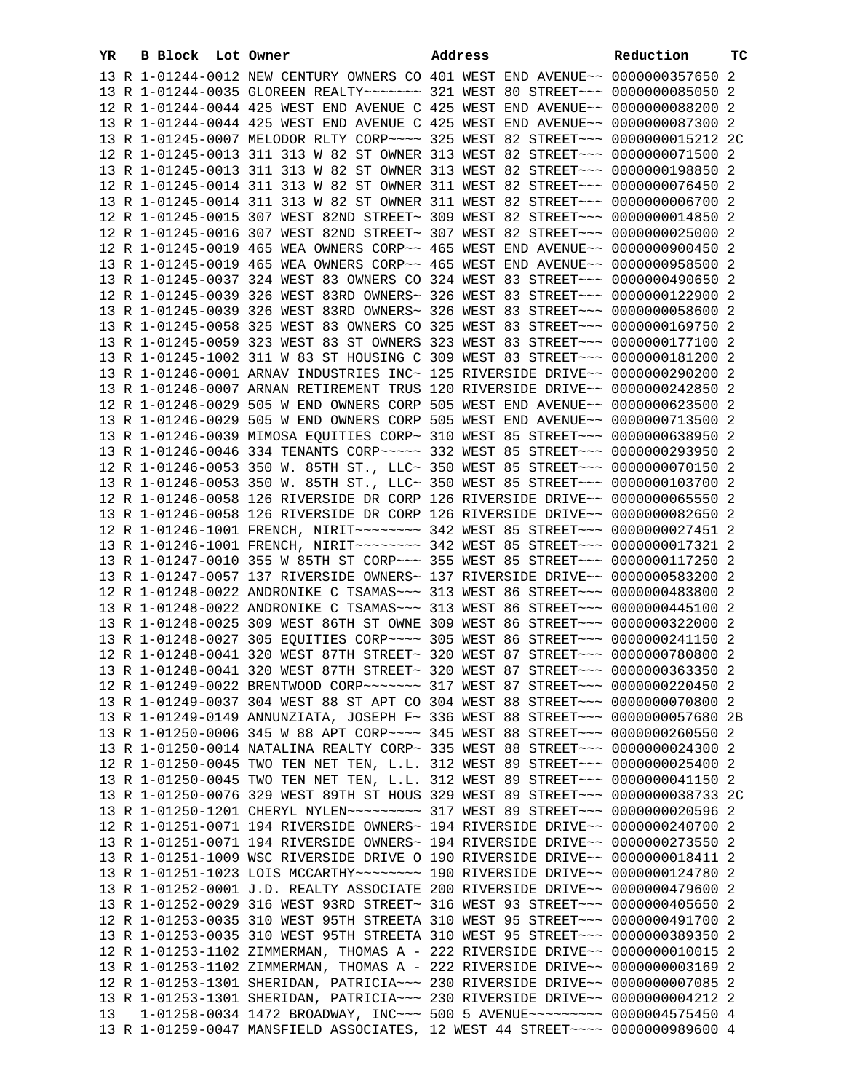| YR | B Block Lot Owner |                                                                                 | Address | Reduction | тc |
|----|-------------------|---------------------------------------------------------------------------------|---------|-----------|----|
|    |                   | 13 R 1-01244-0012 NEW CENTURY OWNERS CO 401 WEST END AVENUE~~ 0000000357650 2   |         |           |    |
|    |                   | 13 R 1-01244-0035 GLOREEN REALTY~~~~~~~ 321 WEST 80 STREET~~~ 0000000085050 2   |         |           |    |
|    |                   | 12 R 1-01244-0044 425 WEST END AVENUE C 425 WEST END AVENUE~~ 0000000088200 2   |         |           |    |
|    |                   | 13 R 1-01244-0044 425 WEST END AVENUE C 425 WEST END AVENUE~~ 0000000087300 2   |         |           |    |
|    |                   | 13 R 1-01245-0007 MELODOR RLTY CORP~~~~ 325 WEST 82 STREET~~~ 0000000015212 2C  |         |           |    |
|    |                   | 12 R 1-01245-0013 311 313 W 82 ST OWNER 313 WEST 82 STREET~~~ 0000000071500 2   |         |           |    |
|    |                   |                                                                                 |         |           |    |
|    |                   | 13 R 1-01245-0013 311 313 W 82 ST OWNER 313 WEST 82 STREET~~~ 0000000198850 2   |         |           |    |
|    |                   | 12 R 1-01245-0014 311 313 W 82 ST OWNER 311 WEST 82 STREET~~~ 0000000076450 2   |         |           |    |
|    |                   | 13 R 1-01245-0014 311 313 W 82 ST OWNER 311 WEST 82 STREET~~~ 0000000006700 2   |         |           |    |
|    |                   | 12 R 1-01245-0015 307 WEST 82ND STREET~ 309 WEST 82 STREET~~~ 0000000014850 2   |         |           |    |
|    |                   | 12 R 1-01245-0016 307 WEST 82ND STREET~ 307 WEST 82 STREET~~~ 0000000025000 2   |         |           |    |
|    |                   | 12 R 1-01245-0019 465 WEA OWNERS CORP~~ 465 WEST END AVENUE~~ 0000000900450 2   |         |           |    |
|    |                   | 13 R 1-01245-0019 465 WEA OWNERS CORP~~ 465 WEST END AVENUE~~ 0000000958500 2   |         |           |    |
|    |                   | 13 R 1-01245-0037 324 WEST 83 OWNERS CO 324 WEST 83 STREET~~~ 0000000490650 2   |         |           |    |
|    |                   | 12 R 1-01245-0039 326 WEST 83RD OWNERS~ 326 WEST 83 STREET~~~ 0000000122900 2   |         |           |    |
|    |                   | 13 R 1-01245-0039 326 WEST 83RD OWNERS~ 326 WEST 83 STREET~~~ 0000000058600 2   |         |           |    |
|    |                   | 13 R 1-01245-0058 325 WEST 83 OWNERS CO 325 WEST 83 STREET~~~ 0000000169750 2   |         |           |    |
|    |                   | 13 R 1-01245-0059 323 WEST 83 ST OWNERS 323 WEST 83 STREET~~~ 0000000177100 2   |         |           |    |
|    |                   | 13 R 1-01245-1002 311 W 83 ST HOUSING C 309 WEST 83 STREET~~~ 0000000181200 2   |         |           |    |
|    |                   | 13 R 1-01246-0001 ARNAV INDUSTRIES INC~ 125 RIVERSIDE DRIVE~~ 0000000290200 2   |         |           |    |
|    |                   | 13 R 1-01246-0007 ARNAN RETIREMENT TRUS 120 RIVERSIDE DRIVE~~ 0000000242850 2   |         |           |    |
|    |                   | 12 R 1-01246-0029 505 W END OWNERS CORP 505 WEST END AVENUE~~ 0000000623500 2   |         |           |    |
|    |                   | 13 R 1-01246-0029 505 W END OWNERS CORP 505 WEST END AVENUE~~ 0000000713500 2   |         |           |    |
|    |                   | 13 R 1-01246-0039 MIMOSA EQUITIES CORP~ 310 WEST 85 STREET~~~ 0000000638950 2   |         |           |    |
|    |                   | 13 R 1-01246-0046 334 TENANTS CORP~~~~~ 332 WEST 85 STREET~~~ 0000000293950 2   |         |           |    |
|    |                   | 12 R 1-01246-0053 350 W. 85TH ST., LLC~ 350 WEST 85 STREET~~~ 0000000070150 2   |         |           |    |
|    |                   | 13 R 1-01246-0053 350 W. 85TH ST., LLC~ 350 WEST 85 STREET~~~ 0000000103700 2   |         |           |    |
|    |                   | 12 R 1-01246-0058 126 RIVERSIDE DR CORP 126 RIVERSIDE DRIVE~~ 0000000065550 2   |         |           |    |
|    |                   | 13 R 1-01246-0058 126 RIVERSIDE DR CORP 126 RIVERSIDE DRIVE~~ 0000000082650 2   |         |           |    |
|    |                   | 12 R 1-01246-1001 FRENCH, NIRIT ~~~~~~~~ 342 WEST 85 STREET ~~~ 0000000027451 2 |         |           |    |
|    |                   | 13 R 1-01246-1001 FRENCH, NIRIT ~~~~~~~~ 342 WEST 85 STREET ~~~ 0000000017321 2 |         |           |    |
|    |                   |                                                                                 |         |           |    |
|    |                   | 13 R 1-01247-0010 355 W 85TH ST CORP~~~ 355 WEST 85 STREET~~~ 0000000117250 2   |         |           |    |
|    |                   | 13 R 1-01247-0057 137 RIVERSIDE OWNERS~ 137 RIVERSIDE DRIVE~~ 0000000583200 2   |         |           |    |
|    |                   | 12 R 1-01248-0022 ANDRONIKE C TSAMAS~~~ 313 WEST 86 STREET~~~ 0000000483800 2   |         |           |    |
|    |                   | 13 R 1-01248-0022 ANDRONIKE C TSAMAS~~~ 313 WEST 86 STREET~~~ 0000000445100 2   |         |           |    |
|    |                   | 13 R 1-01248-0025 309 WEST 86TH ST OWNE 309 WEST 86 STREET~~~ 0000000322000 2   |         |           |    |
|    |                   | 13 R 1-01248-0027 305 EQUITIES CORP~~~~ 305 WEST 86 STREET~~~ 0000000241150 2   |         |           |    |
|    |                   | 12 R 1-01248-0041 320 WEST 87TH STREET~ 320 WEST 87 STREET~~~ 0000000780800 2   |         |           |    |
|    |                   | 13 R 1-01248-0041 320 WEST 87TH STREET~ 320 WEST 87 STREET~~~ 0000000363350 2   |         |           |    |
|    |                   | 12 R 1-01249-0022 BRENTWOOD CORP~~~~~~~ 317 WEST 87 STREET~~~ 0000000220450 2   |         |           |    |
|    |                   | 13 R 1-01249-0037 304 WEST 88 ST APT CO 304 WEST 88 STREET~~~ 0000000070800 2   |         |           |    |
|    |                   | 13 R 1-01249-0149 ANNUNZIATA, JOSEPH F~ 336 WEST 88 STREET~~~ 0000000057680 2B  |         |           |    |
|    |                   | 13 R 1-01250-0006 345 W 88 APT CORP~~~~ 345 WEST 88 STREET~~~ 0000000260550 2   |         |           |    |
|    |                   | 13 R 1-01250-0014 NATALINA REALTY CORP~ 335 WEST 88 STREET~~~ 0000000024300 2   |         |           |    |
|    |                   | 12 R 1-01250-0045 TWO TEN NET TEN, L.L. 312 WEST 89 STREET~~~ 0000000025400 2   |         |           |    |
|    |                   | 13 R 1-01250-0045 TWO TEN NET TEN, L.L. 312 WEST 89 STREET~~~ 0000000041150 2   |         |           |    |
|    |                   | 13 R 1-01250-0076 329 WEST 89TH ST HOUS 329 WEST 89 STREET~~~ 0000000038733 2C  |         |           |    |
|    |                   | 13 R 1-01250-1201 CHERYL NYLEN~~~~~~~~~ 317 WEST 89 STREET~~~ 0000000020596 2   |         |           |    |
|    |                   | 12 R 1-01251-0071 194 RIVERSIDE OWNERS~ 194 RIVERSIDE DRIVE~~ 0000000240700 2   |         |           |    |
|    |                   | 13 R 1-01251-0071 194 RIVERSIDE OWNERS~ 194 RIVERSIDE DRIVE~~ 0000000273550 2   |         |           |    |
|    |                   | 13 R 1-01251-1009 WSC RIVERSIDE DRIVE O 190 RIVERSIDE DRIVE~~ 0000000018411 2   |         |           |    |
|    |                   | 13 R 1-01251-1023 LOIS MCCARTHY~~~~~~~~ 190 RIVERSIDE DRIVE~~ 0000000124780 2   |         |           |    |
|    |                   | 13 R 1-01252-0001 J.D. REALTY ASSOCIATE 200 RIVERSIDE DRIVE~~ 0000000479600 2   |         |           |    |
|    |                   | 13 R 1-01252-0029 316 WEST 93RD STREET~ 316 WEST 93 STREET~~~ 0000000405650 2   |         |           |    |
|    |                   | 12 R 1-01253-0035 310 WEST 95TH STREETA 310 WEST 95 STREET~~~ 0000000491700 2   |         |           |    |
|    |                   | 13 R 1-01253-0035 310 WEST 95TH STREETA 310 WEST 95 STREET~~~ 0000000389350 2   |         |           |    |
|    |                   | 12 R 1-01253-1102 ZIMMERMAN, THOMAS A - 222 RIVERSIDE DRIVE~~ 0000000010015 2   |         |           |    |
|    |                   | 13 R 1-01253-1102 ZIMMERMAN, THOMAS A - 222 RIVERSIDE DRIVE~~ 0000000003169 2   |         |           |    |
|    |                   | 12 R 1-01253-1301 SHERIDAN, PATRICIA~~~ 230 RIVERSIDE DRIVE~~ 0000000007085 2   |         |           |    |
|    |                   |                                                                                 |         |           |    |
|    |                   | 13 R 1-01253-1301 SHERIDAN, PATRICIA~~~ 230 RIVERSIDE DRIVE~~ 0000000004212 2   |         |           |    |
| 13 |                   | 1-01258-0034 1472 BROADWAY, INC~~~ 500 5 AVENUE~~~~~~~~~ 0000004575450 4        |         |           |    |
|    |                   | 13 R 1-01259-0047 MANSFIELD ASSOCIATES, 12 WEST 44 STREET~~~~ 0000000989600 4   |         |           |    |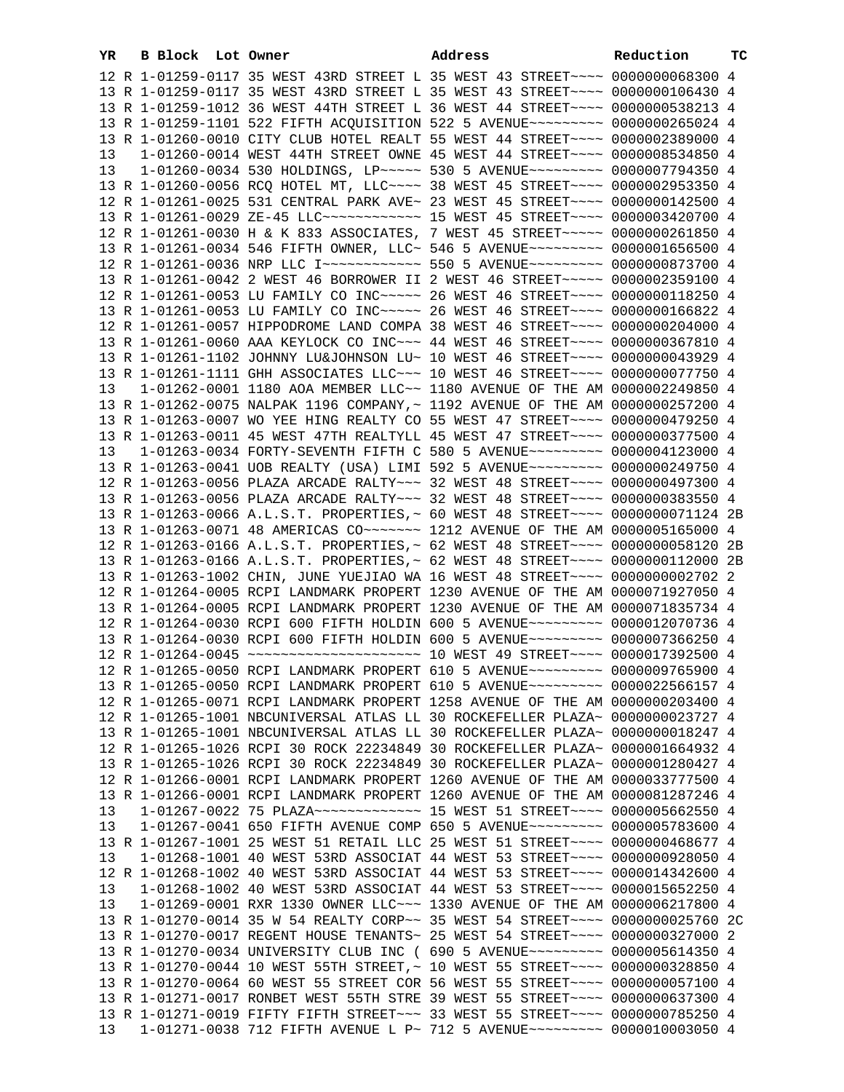| YR | B Block Lot Owner | Address                                                                                                                                                              | Reduction | тC |
|----|-------------------|----------------------------------------------------------------------------------------------------------------------------------------------------------------------|-----------|----|
|    |                   | 12 R 1-01259-0117 35 WEST 43RD STREET L 35 WEST 43 STREET~~~~ 0000000068300 4                                                                                        |           |    |
|    |                   | 13 R 1-01259-0117 35 WEST 43RD STREET L 35 WEST 43 STREET~~~~ 0000000106430 4                                                                                        |           |    |
|    |                   | 13 R 1-01259-1012 36 WEST 44TH STREET L 36 WEST 44 STREET~~~~ 0000000538213 4                                                                                        |           |    |
|    |                   | 13 R 1-01259-1101 522 FIFTH ACQUISITION 522 5 AVENUE~~~~~~~~~ 0000000265024 4                                                                                        |           |    |
|    |                   | 13 R 1-01260-0010 CITY CLUB HOTEL REALT 55 WEST 44 STREET~~~~ 0000002389000 4                                                                                        |           |    |
| 13 |                   | 1-01260-0014 WEST 44TH STREET OWNE 45 WEST 44 STREET~~~~ 0000008534850 4                                                                                             |           |    |
| 13 |                   | 1-01260-0034 530 HOLDINGS, LP ---- 530 5 AVENUE -------- 0000007794350 4                                                                                             |           |    |
|    |                   | 13 R 1-01260-0056 RCQ HOTEL MT, LLC --- 38 WEST 45 STREET --- 0000002953350 4                                                                                        |           |    |
|    |                   | 12 R 1-01261-0025 531 CENTRAL PARK AVE~ 23 WEST 45 STREET~~~~ 0000000142500 4                                                                                        |           |    |
|    |                   | 13 R 1-01261-0029 ZE-45 LLC ------------ 15 WEST 45 STREET ---- 0000003420700 4                                                                                      |           |    |
|    |                   | 12 R 1-01261-0030 H & K 833 ASSOCIATES, 7 WEST 45 STREET~~~~~ 0000000261850 4                                                                                        |           |    |
|    |                   | 13 R 1-01261-0034 546 FIFTH OWNER, LLC~ 546 5 AVENUE~~~~~~~~~ 0000001656500 4                                                                                        |           |    |
|    |                   | 12 R 1-01261-0036 NRP LLC I~~~~~~~~~~~~ 550 5 AVENUE~~~~~~~~~ 0000000873700 4                                                                                        |           |    |
|    |                   | 13 R 1-01261-0042 2 WEST 46 BORROWER II 2 WEST 46 STREET~~~~~ 0000002359100 4                                                                                        |           |    |
|    |                   | 12 R 1-01261-0053 LU FAMILY CO INC~~~~~ 26 WEST 46 STREET~~~~ 0000000118250 4                                                                                        |           |    |
|    |                   | 13 R 1-01261-0053 LU FAMILY CO INC~~~~~ 26 WEST 46 STREET~~~~ 0000000166822 4                                                                                        |           |    |
|    |                   | 12 R 1-01261-0057 HIPPODROME LAND COMPA 38 WEST 46 STREET~~~~ 0000000204000 4                                                                                        |           |    |
|    |                   | 13 R 1-01261-0060 AAA KEYLOCK CO INC~~~ 44 WEST 46 STREET~~~~ 0000000367810 4                                                                                        |           |    |
|    |                   | 13 R 1-01261-1102 JOHNNY LU&JOHNSON LU~ 10 WEST 46 STREET~~~~ 0000000043929 4                                                                                        |           |    |
|    |                   | 13 R 1-01261-1111 GHH ASSOCIATES LLC~~~ 10 WEST 46 STREET~~~~ 0000000077750 4                                                                                        |           |    |
| 13 |                   | 1-01262-0001 1180 AOA MEMBER LLC~~ 1180 AVENUE OF THE AM 0000002249850 4                                                                                             |           |    |
|    |                   | 13 R 1-01262-0075 NALPAK 1196 COMPANY, ~ 1192 AVENUE OF THE AM 0000000257200 4                                                                                       |           |    |
|    |                   | 13 R 1-01263-0007 WO YEE HING REALTY CO 55 WEST 47 STREET~~~~ 0000000479250 4                                                                                        |           |    |
|    |                   | 13 R 1-01263-0011 45 WEST 47TH REALTYLL 45 WEST 47 STREET~~~~ 0000000377500 4                                                                                        |           |    |
| 13 |                   | 1-01263-0034 FORTY-SEVENTH FIFTH C 580 5 AVENUE~~~~~~~~~ 0000004123000 4                                                                                             |           |    |
|    |                   | 13 R 1-01263-0041 UOB REALTY (USA) LIMI 592 5 AVENUE~~~~~~~~~ 0000000249750 4                                                                                        |           |    |
|    |                   | 12 R 1-01263-0056 PLAZA ARCADE RALTY~~~ 32 WEST 48 STREET~~~~ 0000000497300 4                                                                                        |           |    |
|    |                   | 13 R 1-01263-0056 PLAZA ARCADE RALTY~~~ 32 WEST 48 STREET~~~~ 0000000383550 4                                                                                        |           |    |
|    |                   | 13 R 1-01263-0066 A.L.S.T. PROPERTIES, ~ 60 WEST 48 STREET~~~~ 0000000071124 2B                                                                                      |           |    |
|    |                   | 13 R 1-01263-0071 48 AMERICAS CO ------ 1212 AVENUE OF THE AM 0000005165000 4                                                                                        |           |    |
|    |                   | 12 R 1-01263-0166 A.L.S.T. PROPERTIES, ~ 62 WEST 48 STREET~~~~ 0000000058120 2B                                                                                      |           |    |
|    |                   | 13 R 1-01263-0166 A.L.S.T. PROPERTIES, ~ 62 WEST 48 STREET~~~~ 0000000112000 2B                                                                                      |           |    |
|    |                   | 13 R 1-01263-1002 CHIN, JUNE YUEJIAO WA 16 WEST 48 STREET~~~~ 0000000002702 2                                                                                        |           |    |
|    |                   | 12 R 1-01264-0005 RCPI LANDMARK PROPERT 1230 AVENUE OF THE AM 0000071927050 4                                                                                        |           |    |
|    |                   | 13 R 1-01264-0005 RCPI LANDMARK PROPERT 1230 AVENUE OF THE AM 0000071835734 4                                                                                        |           |    |
|    |                   | 12 R 1-01264-0030 RCPI 600 FIFTH HOLDIN 600 5 AVENUE~~~~~~~~~ 0000012070736 4                                                                                        |           |    |
|    |                   | 13 R 1-01264-0030 RCPI 600 FIFTH HOLDIN 600 5 AVENUE~~~~~~~~~ 0000007366250 4<br>12 R 1-01264-0045 ~~~~~~~~~~~~~~~~~~~~~~~~~~~ 10 WEST 49 STREET~~~~ 0000017392500 4 |           |    |
|    |                   | 12 R 1-01265-0050 RCPI LANDMARK PROPERT 610 5 AVENUE~~~~~~~~~ 0000009765900 4                                                                                        |           |    |
|    |                   |                                                                                                                                                                      |           |    |
|    |                   | 13 R 1-01265-0050 RCPI LANDMARK PROPERT 610 5 AVENUE~~~~~~~~~ 0000022566157 4<br>12 R 1-01265-0071 RCPI LANDMARK PROPERT 1258 AVENUE OF THE AM 0000000203400 4       |           |    |
|    |                   | 12 R 1-01265-1001 NBCUNIVERSAL ATLAS LL 30 ROCKEFELLER PLAZA~ 0000000023727 4                                                                                        |           |    |
|    |                   | 13 R 1-01265-1001 NBCUNIVERSAL ATLAS LL 30 ROCKEFELLER PLAZA~ 0000000018247 4                                                                                        |           |    |
|    |                   | 12 R 1-01265-1026 RCPI 30 ROCK 22234849 30 ROCKEFELLER PLAZA~ 0000001664932 4                                                                                        |           |    |
|    |                   | 13 R 1-01265-1026 RCPI 30 ROCK 22234849 30 ROCKEFELLER PLAZA~ 0000001280427 4                                                                                        |           |    |
|    |                   | 12 R 1-01266-0001 RCPI LANDMARK PROPERT 1260 AVENUE OF THE AM 0000033777500 4                                                                                        |           |    |
|    |                   | 13 R 1-01266-0001 RCPI LANDMARK PROPERT 1260 AVENUE OF THE AM 0000081287246 4                                                                                        |           |    |
| 13 |                   | 1-01267-0022 75 PLAZA~~~~~~~~~~~~~~~~~~ 15 WEST 51 STREET~~~~ 0000005662550 4                                                                                        |           |    |
| 13 |                   | 1-01267-0041 650 FIFTH AVENUE COMP 650 5 AVENUE~~~~~~~~~ 0000005783600 4                                                                                             |           |    |
|    |                   | 13 R 1-01267-1001 25 WEST 51 RETAIL LLC 25 WEST 51 STREET~~~~ 0000000468677 4                                                                                        |           |    |
| 13 |                   | 1-01268-1001 40 WEST 53RD ASSOCIAT 44 WEST 53 STREET~~~~ 0000000928050 4                                                                                             |           |    |
|    |                   | 12 R 1-01268-1002 40 WEST 53RD ASSOCIAT 44 WEST 53 STREET~~~~ 0000014342600 4                                                                                        |           |    |
| 13 |                   | 1-01268-1002 40 WEST 53RD ASSOCIAT 44 WEST 53 STREET~~~~ 0000015652250 4                                                                                             |           |    |
| 13 |                   | 1-01269-0001 RXR 1330 OWNER LLC ~~~ 1330 AVENUE OF THE AM 0000006217800 4                                                                                            |           |    |
|    |                   | 13 R 1-01270-0014 35 W 54 REALTY CORP~~ 35 WEST 54 STREET~~~~ 0000000025760 2C                                                                                       |           |    |
|    |                   | 13 R 1-01270-0017 REGENT HOUSE TENANTS~ 25 WEST 54 STREET~~~~ 0000000327000 2                                                                                        |           |    |
|    |                   | 13 R 1-01270-0034 UNIVERSITY CLUB INC ( 690 5 AVENUE~~~~~~~~~ 0000005614350 4                                                                                        |           |    |
|    |                   | 13 R 1-01270-0044 10 WEST 55TH STREET, ~ 10 WEST 55 STREET ~~~~ 0000000328850 4                                                                                      |           |    |
|    |                   | 13 R 1-01270-0064 60 WEST 55 STREET COR 56 WEST 55 STREET~~~~ 0000000057100 4                                                                                        |           |    |
|    |                   | 13 R 1-01271-0017 RONBET WEST 55TH STRE 39 WEST 55 STREET~~~~ 0000000637300 4                                                                                        |           |    |
|    |                   | 13 R 1-01271-0019 FIFTY FIFTH STREET~~~ 33 WEST 55 STREET~~~~ 0000000785250 4                                                                                        |           |    |
| 13 |                   | 1-01271-0038 712 FIFTH AVENUE L P~ 712 5 AVENUE~~~~~~~~~ 0000010003050 4                                                                                             |           |    |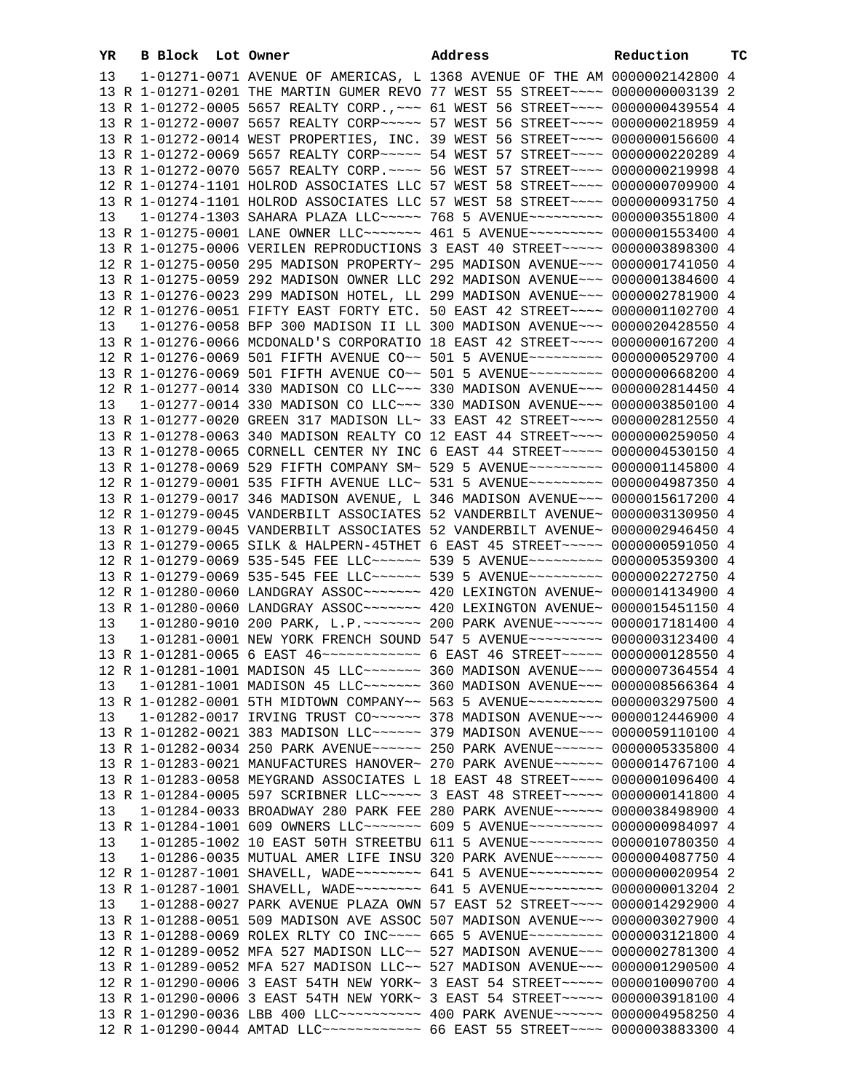| YR | B Block Lot Owner |                                                                                                                                                                | Address                                                                        | Reduction | тc |
|----|-------------------|----------------------------------------------------------------------------------------------------------------------------------------------------------------|--------------------------------------------------------------------------------|-----------|----|
| 13 |                   | 1-01271-0071 AVENUE OF AMERICAS, L 1368 AVENUE OF THE AM 0000002142800 4                                                                                       |                                                                                |           |    |
|    |                   | 13 R 1-01271-0201 THE MARTIN GUMER REVO 77 WEST 55 STREET~~~~ 0000000003139 2                                                                                  |                                                                                |           |    |
|    |                   | 13 R 1-01272-0005 5657 REALTY CORP., ~~~ 61 WEST 56 STREET~~~~ 0000000439554 4                                                                                 |                                                                                |           |    |
|    |                   | 13 R 1-01272-0007 5657 REALTY CORP~~~~~ 57 WEST 56 STREET~~~~ 0000000218959 4                                                                                  |                                                                                |           |    |
|    |                   | 13 R 1-01272-0014 WEST PROPERTIES, INC. 39 WEST 56 STREET~~~~ 0000000156600 4                                                                                  |                                                                                |           |    |
|    |                   | 13 R 1-01272-0069 5657 REALTY CORP~~~~~ 54 WEST 57 STREET~~~~ 0000000220289 4                                                                                  |                                                                                |           |    |
|    |                   | 13 R 1-01272-0070 5657 REALTY CORP. ~~~~ 56 WEST 57 STREET~~~~ 0000000219998 4                                                                                 |                                                                                |           |    |
|    |                   | 12 R 1-01274-1101 HOLROD ASSOCIATES LLC 57 WEST 58 STREET~~~~ 0000000709900 4                                                                                  |                                                                                |           |    |
|    |                   | 13 R 1-01274-1101 HOLROD ASSOCIATES LLC 57 WEST 58 STREET~~~~ 0000000931750 4                                                                                  |                                                                                |           |    |
| 13 |                   | $1-01274-1303$ SAHARA PLAZA LLC $\sim\sim\sim\sim$ 768 5 AVENUE $\sim\sim\sim\sim\sim\sim\sim$ 0000003551800 4                                                 |                                                                                |           |    |
|    |                   | 13 R 1-01275-0001 LANE OWNER LLC ------- 461 5 AVENUE -------- 0000001553400 4                                                                                 |                                                                                |           |    |
|    |                   | 13 R 1-01275-0006 VERILEN REPRODUCTIONS 3 EAST 40 STREET~~~~~ 0000003898300 4                                                                                  |                                                                                |           |    |
|    |                   | 12 R 1-01275-0050 295 MADISON PROPERTY~ 295 MADISON AVENUE~~~ 0000001741050 4                                                                                  |                                                                                |           |    |
|    |                   | 13 R 1-01275-0059 292 MADISON OWNER LLC 292 MADISON AVENUE~~~ 0000001384600 4                                                                                  |                                                                                |           |    |
|    |                   | 13 R 1-01276-0023 299 MADISON HOTEL, LL 299 MADISON AVENUE~~~ 0000002781900 4                                                                                  |                                                                                |           |    |
|    |                   | 12 R 1-01276-0051 FIFTY EAST FORTY ETC. 50 EAST 42 STREET~~~~ 0000001102700 4                                                                                  |                                                                                |           |    |
| 13 |                   | 1-01276-0058 BFP 300 MADISON II LL 300 MADISON AVENUE~~~ 0000020428550 4                                                                                       |                                                                                |           |    |
|    |                   | 13 R 1-01276-0066 MCDONALD'S CORPORATIO 18 EAST 42 STREET~~~~ 0000000167200 4                                                                                  |                                                                                |           |    |
|    |                   | 12 R 1-01276-0069 501 FIFTH AVENUE CO~~ 501 5 AVENUE~~~~~~~~~ 0000000529700 4<br>13 R 1-01276-0069 501 FIFTH AVENUE CO~~ 501 5 AVENUE~~~~~~~~~ 0000000668200 4 |                                                                                |           |    |
|    |                   | 12 R 1-01277-0014 330 MADISON CO LLC~~~ 330 MADISON AVENUE~~~ 0000002814450 4                                                                                  |                                                                                |           |    |
| 13 |                   | 1-01277-0014 330 MADISON CO LLC~~~ 330 MADISON AVENUE~~~ 0000003850100 4                                                                                       |                                                                                |           |    |
|    |                   | 13 R 1-01277-0020 GREEN 317 MADISON LL~ 33 EAST 42 STREET~~~~ 0000002812550 4                                                                                  |                                                                                |           |    |
|    |                   | 13 R 1-01278-0063 340 MADISON REALTY CO 12 EAST 44 STREET~~~~ 0000000259050 4                                                                                  |                                                                                |           |    |
|    |                   | 13 R 1-01278-0065 CORNELL CENTER NY INC 6 EAST 44 STREET~~~~~ 0000004530150 4                                                                                  |                                                                                |           |    |
|    |                   | 13 R 1-01278-0069 529 FIFTH COMPANY SM~ 529 5 AVENUE~~~~~~~~~ 0000001145800 4                                                                                  |                                                                                |           |    |
|    |                   | 12 R 1-01279-0001 535 FIFTH AVENUE LLC~ 531 5 AVENUE~~~~~~~~~ 0000004987350 4                                                                                  |                                                                                |           |    |
|    |                   | 13 R 1-01279-0017 346 MADISON AVENUE, L 346 MADISON AVENUE~~~ 0000015617200 4                                                                                  |                                                                                |           |    |
|    |                   | 12 R 1-01279-0045 VANDERBILT ASSOCIATES 52 VANDERBILT AVENUE~ 0000003130950 4                                                                                  |                                                                                |           |    |
|    |                   | 13 R 1-01279-0045 VANDERBILT ASSOCIATES 52 VANDERBILT AVENUE~ 0000002946450 4                                                                                  |                                                                                |           |    |
|    |                   | 13 R 1-01279-0065 SILK & HALPERN-45THET 6 EAST 45 STREET~~~~~ 0000000591050 4                                                                                  |                                                                                |           |    |
|    |                   | 12 R 1-01279-0069 535-545 FEE LLC ----- 539 5 AVENUE -------- 0000005359300 4                                                                                  |                                                                                |           |    |
|    |                   | 13 R 1-01279-0069 535-545 FEE LLC ----- 539 5 AVENUE -------- 0000002272750 4                                                                                  |                                                                                |           |    |
|    |                   | 12 R 1-01280-0060 LANDGRAY ASSOC~~~~~~~ 420 LEXINGTON AVENUE~ 0000014134900 4                                                                                  |                                                                                |           |    |
|    |                   | 13 R 1-01280-0060 LANDGRAY ASSOC ------ 420 LEXINGTON AVENUE ~ 0000015451150 4                                                                                 |                                                                                |           |    |
| 13 |                   | 1-01280-9010 200 PARK, L.P. ------- 200 PARK AVENUE------ 0000017181400 4                                                                                      |                                                                                |           |    |
| 13 |                   | 1-01281-0001 NEW YORK FRENCH SOUND 547 5 AVENUE~~~~~~~~~ 0000003123400 4                                                                                       |                                                                                |           |    |
|    |                   | 13 R 1-01281-0065 6 EAST 46 ------------- 6 EAST 46 STREET ----- 0000000128550 4                                                                               |                                                                                |           |    |
|    |                   | 12 R 1-01281-1001 MADISON 45 LLC ------ 360 MADISON AVENUE -- 0000007364554 4                                                                                  |                                                                                |           |    |
| 13 |                   | 1-01281-1001 MADISON 45 LLC ------ 360 MADISON AVENUE -- 0000008566364 4                                                                                       |                                                                                |           |    |
|    |                   | 13 R 1-01282-0001 5TH MIDTOWN COMPANY~~ 563 5 AVENUE~~~~~~~~~ 0000003297500 4                                                                                  |                                                                                |           |    |
| 13 |                   | 1-01282-0017 IRVING TRUST CO~~~~~~ 378 MADISON AVENUE~~~ 0000012446900 4                                                                                       |                                                                                |           |    |
|    |                   | 13 R 1-01282-0021 383 MADISON LLC ----- 379 MADISON AVENUE -- 0000059110100 4                                                                                  |                                                                                |           |    |
|    |                   | 13 R 1-01282-0034 250 PARK AVENUE~~~~~~ 250 PARK AVENUE~~~~~~ 0000005335800 4                                                                                  |                                                                                |           |    |
|    |                   | 13 R 1-01283-0021 MANUFACTURES HANOVER~ 270 PARK AVENUE~~~~~~ 0000014767100 4<br>13 R 1-01283-0058 MEYGRAND ASSOCIATES L 18 EAST 48 STREET~~~~ 0000001096400 4 |                                                                                |           |    |
|    |                   | 13 R 1-01284-0005 597 SCRIBNER LLC ---- 3 EAST 48 STREET ---- 0000000141800 4                                                                                  |                                                                                |           |    |
| 13 |                   | 1-01284-0033 BROADWAY 280 PARK FEE 280 PARK AVENUE~~~~~~ 0000038498900 4                                                                                       |                                                                                |           |    |
|    |                   | 13 R 1-01284-1001 609 OWNERS LLC ------- 609 5 AVENUE -------- 0000000984097 4                                                                                 |                                                                                |           |    |
| 13 |                   | 1-01285-1002 10 EAST 50TH STREETBU 611 5 AVENUE~~~~~~~~~~ 0000010780350 4                                                                                      |                                                                                |           |    |
| 13 |                   | 1-01286-0035 MUTUAL AMER LIFE INSU 320 PARK AVENUE~~~~~~ 0000004087750 4                                                                                       |                                                                                |           |    |
|    |                   | 12 R 1-01287-1001 SHAVELL, WADE~~~~~~~~ 641 5 AVENUE~~~~~~~~~ 0000000020954 2                                                                                  |                                                                                |           |    |
|    |                   | 13 R 1-01287-1001 SHAVELL, WADE~~~~~~~~ 641 5 AVENUE~~~~~~~~~ 0000000013204 2                                                                                  |                                                                                |           |    |
| 13 |                   | 1-01288-0027 PARK AVENUE PLAZA OWN 57 EAST 52 STREET~~~~ 0000014292900 4                                                                                       |                                                                                |           |    |
|    |                   | 13 R 1-01288-0051 509 MADISON AVE ASSOC 507 MADISON AVENUE~~~ 0000003027900 4                                                                                  |                                                                                |           |    |
|    |                   | 13 R 1-01288-0069 ROLEX RLTY CO INC~~~~ 665 5 AVENUE~~~~~~~~~ 0000003121800 4                                                                                  |                                                                                |           |    |
|    |                   | 12 R 1-01289-0052 MFA 527 MADISON LLC~~ 527 MADISON AVENUE~~~ 0000002781300 4                                                                                  |                                                                                |           |    |
|    |                   | 13 R 1-01289-0052 MFA 527 MADISON LLC~~ 527 MADISON AVENUE~~~ 0000001290500 4                                                                                  |                                                                                |           |    |
|    |                   | 12 R 1-01290-0006 3 EAST 54TH NEW YORK~ 3 EAST 54 STREET~~~~~ 0000010090700 4                                                                                  |                                                                                |           |    |
|    |                   | 13 R 1-01290-0006 3 EAST 54TH NEW YORK~ 3 EAST 54 STREET~~~~~ 0000003918100 4                                                                                  |                                                                                |           |    |
|    |                   | 13 R 1-01290-0036 LBB 400 LLC~~~~~~~~~~~~~~~~~ 400 PARK AVENUE~~~~~~~ 0000004958250 4                                                                          |                                                                                |           |    |
|    |                   |                                                                                                                                                                | 12 R 1-01290-0044 AMTAD LLC~~~~~~~~~~~~~ 66 EAST 55 STREET~~~~ 0000003883300 4 |           |    |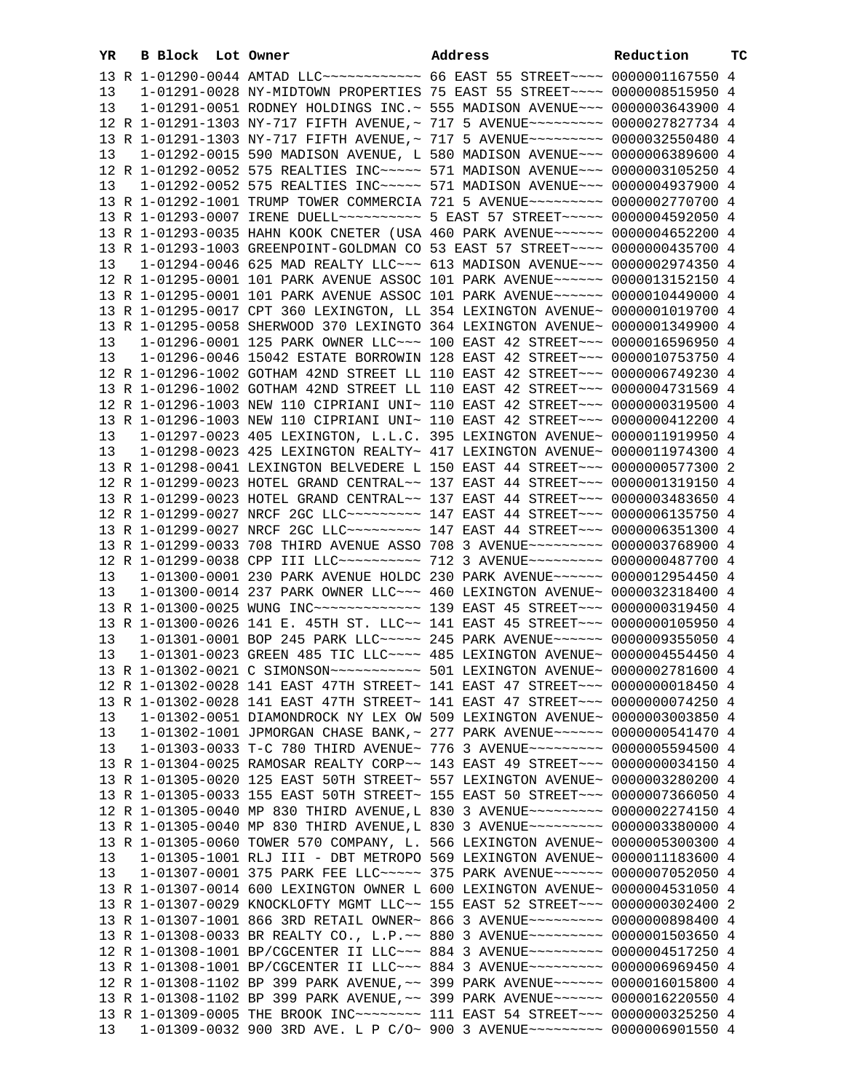|    | 13 R 1-01290-0044 AMTAD LLC~~~~~~~~~~~~ 66 EAST 55 STREET~~~~ 0000001167550 4 |                                                                                 |  |
|----|-------------------------------------------------------------------------------|---------------------------------------------------------------------------------|--|
| 13 |                                                                               | 1-01291-0028 NY-MIDTOWN PROPERTIES 75 EAST 55 STREET~~~~ 0000008515950 4        |  |
| 13 |                                                                               | 1-01291-0051 RODNEY HOLDINGS INC.~ 555 MADISON AVENUE~~~ 0000003643900 4        |  |
|    |                                                                               | 12 R 1-01291-1303 NY-717 FIFTH AVENUE,~ 717 5 AVENUE~~~~~~~~~~ 0000027827734 4  |  |
|    |                                                                               | 13 R 1-01291-1303 NY-717 FIFTH AVENUE, ~ 717 5 AVENUE~~~~~~~~~ 0000032550480 4  |  |
|    |                                                                               |                                                                                 |  |
| 13 |                                                                               | 1-01292-0015 590 MADISON AVENUE, L 580 MADISON AVENUE~~~ 0000006389600 4        |  |
|    |                                                                               | 12 R 1-01292-0052 575 REALTIES INC ---- 571 MADISON AVENUE -- 0000003105250 4   |  |
| 13 |                                                                               | 1-01292-0052 575 REALTIES INC~~~~~ 571 MADISON AVENUE~~~ 0000004937900 4        |  |
|    |                                                                               | 13 R 1-01292-1001 TRUMP TOWER COMMERCIA 721 5 AVENUE~~~~~~~~~ 0000002770700 4   |  |
|    |                                                                               | 13 R 1-01293-0007 IRENE DUELL~~~~~~~~~~ 5 EAST 57 STREET~~~~~ 0000004592050 4   |  |
|    |                                                                               | 13 R 1-01293-0035 HAHN KOOK CNETER (USA 460 PARK AVENUE~~~~~~ 0000004652200 4   |  |
|    |                                                                               | 13 R 1-01293-1003 GREENPOINT-GOLDMAN CO 53 EAST 57 STREET~~~~ 0000000435700 4   |  |
| 13 |                                                                               | 1-01294-0046 625 MAD REALTY LLC~~~ 613 MADISON AVENUE~~~ 0000002974350 4        |  |
|    |                                                                               | 12 R 1-01295-0001 101 PARK AVENUE ASSOC 101 PARK AVENUE~~~~~~ 0000013152150 4   |  |
|    |                                                                               | 13 R 1-01295-0001 101 PARK AVENUE ASSOC 101 PARK AVENUE~~~~~~ 0000010449000 4   |  |
|    |                                                                               |                                                                                 |  |
|    |                                                                               | 13 R 1-01295-0017 CPT 360 LEXINGTON, LL 354 LEXINGTON AVENUE~ 0000001019700 4   |  |
|    |                                                                               | 13 R 1-01295-0058 SHERWOOD 370 LEXINGTO 364 LEXINGTON AVENUE~ 0000001349900 4   |  |
| 13 |                                                                               | 1-01296-0001 125 PARK OWNER LLC~~~ 100 EAST 42 STREET~~~ 0000016596950 4        |  |
| 13 |                                                                               | 1-01296-0046 15042 ESTATE BORROWIN 128 EAST 42 STREET~~~ 0000010753750 4        |  |
|    |                                                                               | 12 R 1-01296-1002 GOTHAM 42ND STREET LL 110 EAST 42 STREET~~~ 0000006749230 4   |  |
|    |                                                                               | 13 R 1-01296-1002 GOTHAM 42ND STREET LL 110 EAST 42 STREET~~~ 0000004731569 4   |  |
|    |                                                                               | 12 R 1-01296-1003 NEW 110 CIPRIANI UNI~ 110 EAST 42 STREET~~~ 0000000319500 4   |  |
|    |                                                                               | 13 R 1-01296-1003 NEW 110 CIPRIANI UNI~ 110 EAST 42 STREET~~~ 0000000412200 4   |  |
| 13 |                                                                               | 1-01297-0023 405 LEXINGTON, L.L.C. 395 LEXINGTON AVENUE~ 0000011919950 4        |  |
| 13 |                                                                               | $1-01298-0023$ 425 LEXINGTON REALTY~ 417 LEXINGTON AVENUE~ 0000011974300 4      |  |
|    |                                                                               | 13 R 1-01298-0041 LEXINGTON BELVEDERE L 150 EAST 44 STREET~~~ 0000000577300 2   |  |
|    |                                                                               |                                                                                 |  |
|    |                                                                               | 12 R 1-01299-0023 HOTEL GRAND CENTRAL~~ 137 EAST 44 STREET~~~ 0000001319150 4   |  |
|    |                                                                               | 13 R 1-01299-0023 HOTEL GRAND CENTRAL~~ 137 EAST 44 STREET~~~ 0000003483650 4   |  |
|    |                                                                               | 12 R 1-01299-0027 NRCF 2GC LLC -------- 147 EAST 44 STREET --- 0000006135750 4  |  |
|    |                                                                               | 13 R 1-01299-0027 NRCF 2GC LLC~~~~~~~~~~ 147 EAST 44 STREET~~~ 0000006351300 4  |  |
|    |                                                                               | 13 R 1-01299-0033 708 THIRD AVENUE ASSO 708 3 AVENUE~~~~~~~~~ 0000003768900 4   |  |
|    |                                                                               | 12 R 1-01299-0038 CPP III LLC~~~~~~~~~~ 712 3 AVENUE~~~~~~~~~ 0000000487700 4   |  |
| 13 |                                                                               | 1-01300-0001 230 PARK AVENUE HOLDC 230 PARK AVENUE~~~~~~ 0000012954450 4        |  |
| 13 |                                                                               | 1-01300-0014 237 PARK OWNER LLC~~~ 460 LEXINGTON AVENUE~ 0000032318400 4        |  |
|    |                                                                               | 13 R 1-01300-0025 WUNG INC ------------- 139 EAST 45 STREET --- 0000000319450 4 |  |
|    |                                                                               | 13 R 1-01300-0026 141 E. 45TH ST. LLC~~ 141 EAST 45 STREET~~~ 0000000105950 4   |  |
| 13 |                                                                               | 1-01301-0001 BOP 245 PARK LLC ---- 245 PARK AVENUE ----- 0000009355050 4        |  |
| 13 |                                                                               | 1-01301-0023 GREEN 485 TIC LLC ~~~~ 485 LEXINGTON AVENUE~ 0000004554450 4       |  |
|    |                                                                               |                                                                                 |  |
|    |                                                                               |                                                                                 |  |
|    |                                                                               | 12 R 1-01302-0028 141 EAST 47TH STREET~ 141 EAST 47 STREET~~~ 0000000018450 4   |  |
|    |                                                                               | 13 R 1-01302-0028 141 EAST 47TH STREET~ 141 EAST 47 STREET~~~ 0000000074250 4   |  |
| 13 |                                                                               | 1-01302-0051 DIAMONDROCK NY LEX OW 509 LEXINGTON AVENUE~ 0000003003850 4        |  |
| 13 |                                                                               | 1-01302-1001 JPMORGAN CHASE BANK, ~ 277 PARK AVENUE~~~~~~ 0000000541470 4       |  |
| 13 |                                                                               | 1-01303-0033 T-C 780 THIRD AVENUE~ 776 3 AVENUE~~~~~~~~~ 0000005594500 4        |  |
|    |                                                                               | 13 R 1-01304-0025 RAMOSAR REALTY CORP~~ 143 EAST 49 STREET~~~ 0000000034150 4   |  |
|    |                                                                               | 13 R 1-01305-0020 125 EAST 50TH STREET~ 557 LEXINGTON AVENUE~ 0000003280200 4   |  |
|    |                                                                               | 13 R 1-01305-0033 155 EAST 50TH STREET~ 155 EAST 50 STREET~~~ 0000007366050 4   |  |
|    |                                                                               | 12 R 1-01305-0040 MP 830 THIRD AVENUE, L 830 3 AVENUE~~~~~~~~~ 0000002274150 4  |  |
|    |                                                                               | 13 R 1-01305-0040 MP 830 THIRD AVENUE, L 830 3 AVENUE~~~~~~~~~ 0000003380000 4  |  |
|    |                                                                               | 13 R 1-01305-0060 TOWER 570 COMPANY, L. 566 LEXINGTON AVENUE~ 0000005300300 4   |  |
| 13 |                                                                               | 1-01305-1001 RLJ III - DBT METROPO 569 LEXINGTON AVENUE~ 0000011183600 4        |  |
| 13 |                                                                               | 1-01307-0001 375 PARK FEE LLC ---- 375 PARK AVENUE ----- 0000007052050 4        |  |
|    |                                                                               |                                                                                 |  |
|    |                                                                               | 13 R 1-01307-0014 600 LEXINGTON OWNER L 600 LEXINGTON AVENUE~ 0000004531050 4   |  |
|    |                                                                               | 13 R 1-01307-0029 KNOCKLOFTY MGMT LLC~~ 155 EAST 52 STREET~~~ 0000000302400 2   |  |
|    |                                                                               | 13 R 1-01307-1001 866 3RD RETAIL OWNER~ 866 3 AVENUE~~~~~~~~~ 0000000898400 4   |  |
|    |                                                                               | 13 R 1-01308-0033 BR REALTY CO., L.P.~~ 880 3 AVENUE~~~~~~~~~ 0000001503650 4   |  |
|    |                                                                               | 12 R 1-01308-1001 BP/CGCENTER II LLC~~~ 884 3 AVENUE~~~~~~~~~~ 0000004517250 4  |  |
|    |                                                                               | 13 R 1-01308-1001 BP/CGCENTER II LLC~~~ 884 3 AVENUE~~~~~~~~~~ 0000006969450 4  |  |
|    |                                                                               | 12 R 1-01308-1102 BP 399 PARK AVENUE, ~~ 399 PARK AVENUE~~~~~~ 0000016015800 4  |  |
|    |                                                                               | 13 R 1-01308-1102 BP 399 PARK AVENUE, ~~ 399 PARK AVENUE~~~~~~ 0000016220550 4  |  |
|    |                                                                               | 13 R 1-01309-0005 THE BROOK INC~~~~~~~~~ 111 EAST 54 STREET~~~ 0000000325250 4  |  |
| 13 |                                                                               | 1-01309-0032 900 3RD AVE. L P C/O~ 900 3 AVENUE~~~~~~~~~ 0000006901550 4        |  |
|    |                                                                               |                                                                                 |  |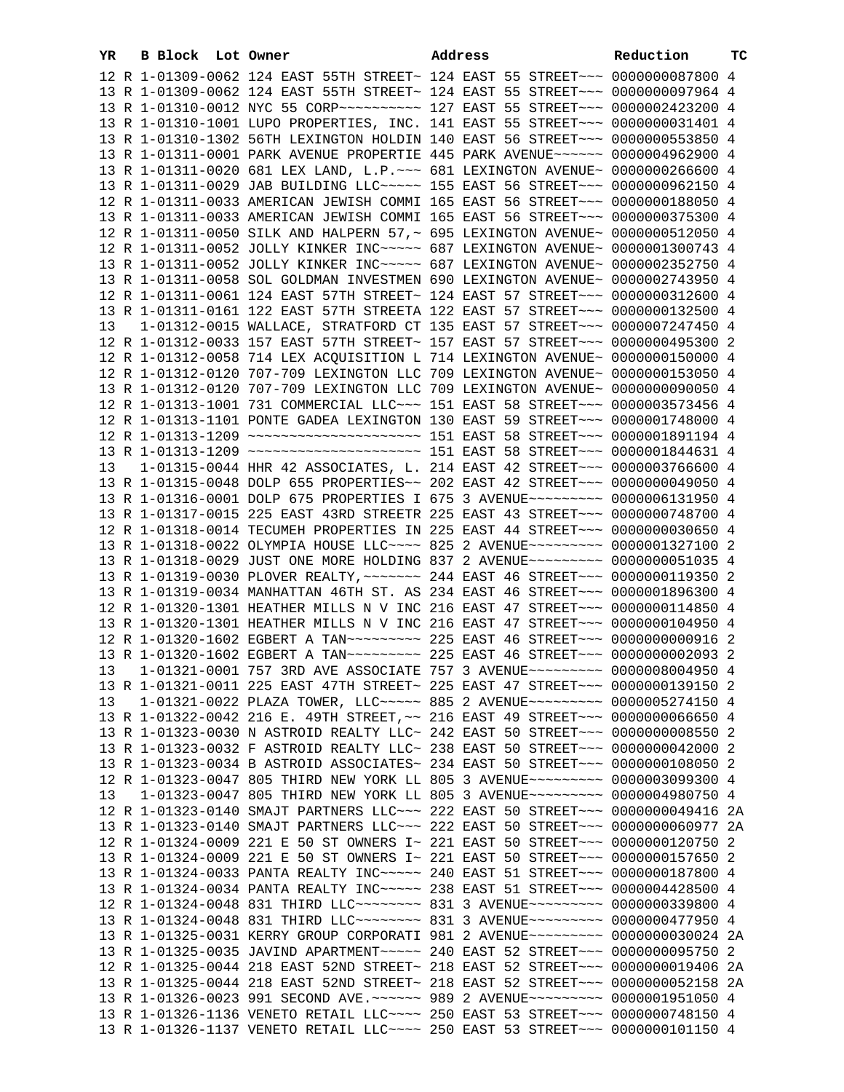| YR | <b>B Block</b> Lot Owner |                                                                                   | Address | Reduction | тc |
|----|--------------------------|-----------------------------------------------------------------------------------|---------|-----------|----|
|    |                          | 12 R 1-01309-0062 124 EAST 55TH STREET~ 124 EAST 55 STREET~~~ 0000000087800 4     |         |           |    |
|    |                          | 13 R 1-01309-0062 124 EAST 55TH STREET~ 124 EAST 55 STREET~~~ 0000000097964 4     |         |           |    |
|    |                          | 13 R 1-01310-0012 NYC 55 CORP~~~~~~~~~~~~~~ 127 EAST 55 STREET~~~ 0000002423200 4 |         |           |    |
|    |                          | 13 R 1-01310-1001 LUPO PROPERTIES, INC. 141 EAST 55 STREET~~~ 0000000031401 4     |         |           |    |
|    |                          | 13 R 1-01310-1302 56TH LEXINGTON HOLDIN 140 EAST 56 STREET~~~ 0000000553850 4     |         |           |    |
|    |                          | 13 R 1-01311-0001 PARK AVENUE PROPERTIE 445 PARK AVENUE~~~~~~ 0000004962900 4     |         |           |    |
|    |                          | 13 R 1-01311-0020 681 LEX LAND, L.P. ~~~ 681 LEXINGTON AVENUE~ 0000000266600 4    |         |           |    |
|    |                          | 13 R 1-01311-0029 JAB BUILDING LLC ~~~~~ 155 EAST 56 STREET ~~~ 0000000962150 4   |         |           |    |
|    |                          | 12 R 1-01311-0033 AMERICAN JEWISH COMMI 165 EAST 56 STREET~~~ 0000000188050 4     |         |           |    |
|    |                          | 13 R 1-01311-0033 AMERICAN JEWISH COMMI 165 EAST 56 STREET~~~ 0000000375300 4     |         |           |    |
|    |                          | 12 R 1-01311-0050 SILK AND HALPERN 57, ~ 695 LEXINGTON AVENUE~ 0000000512050 4    |         |           |    |
|    |                          | 12 R 1-01311-0052 JOLLY KINKER INC ---- 687 LEXINGTON AVENUE ~ 0000001300743 4    |         |           |    |
|    |                          | 13 R 1-01311-0052 JOLLY KINKER INC ---- 687 LEXINGTON AVENUE ~ 0000002352750 4    |         |           |    |
|    |                          | 13 R 1-01311-0058 SOL GOLDMAN INVESTMEN 690 LEXINGTON AVENUE~ 0000002743950 4     |         |           |    |
|    |                          | 12 R 1-01311-0061 124 EAST 57TH STREET~ 124 EAST 57 STREET~~~ 0000000312600 4     |         |           |    |
|    |                          | 13 R 1-01311-0161 122 EAST 57TH STREETA 122 EAST 57 STREET~~~ 0000000132500 4     |         |           |    |
| 13 |                          | 1-01312-0015 WALLACE, STRATFORD CT 135 EAST 57 STREET~~~ 0000007247450 4          |         |           |    |
|    |                          | 12 R 1-01312-0033 157 EAST 57TH STREET~ 157 EAST 57 STREET~~~ 0000000495300 2     |         |           |    |
|    |                          | 12 R 1-01312-0058 714 LEX ACQUISITION L 714 LEXINGTON AVENUE~ 0000000150000 4     |         |           |    |
|    |                          | 12 R 1-01312-0120 707-709 LEXINGTON LLC 709 LEXINGTON AVENUE~ 0000000153050 4     |         |           |    |
|    |                          | 13 R 1-01312-0120 707-709 LEXINGTON LLC 709 LEXINGTON AVENUE~ 0000000090050 4     |         |           |    |
|    |                          | 12 R 1-01313-1001 731 COMMERCIAL LLC~~~ 151 EAST 58 STREET~~~ 0000003573456 4     |         |           |    |
|    |                          | 12 R 1-01313-1101 PONTE GADEA LEXINGTON 130 EAST 59 STREET~~~ 0000001748000 4     |         |           |    |
|    |                          |                                                                                   |         |           |    |
|    |                          |                                                                                   |         |           |    |
| 13 |                          | 1-01315-0044 HHR 42 ASSOCIATES, L. 214 EAST 42 STREET~~~ 0000003766600 4          |         |           |    |
|    |                          | 13 R 1-01315-0048 DOLP 655 PROPERTIES~~ 202 EAST 42 STREET~~~ 0000000049050 4     |         |           |    |
|    |                          | 13 R 1-01316-0001 DOLP 675 PROPERTIES I 675 3 AVENUE~~~~~~~~~ 0000006131950 4     |         |           |    |
|    |                          | 13 R 1-01317-0015 225 EAST 43RD STREETR 225 EAST 43 STREET~~~ 0000000748700 4     |         |           |    |
|    |                          | 12 R 1-01318-0014 TECUMEH PROPERTIES IN 225 EAST 44 STREET~~~ 0000000030650 4     |         |           |    |
|    |                          | 13 R 1-01318-0022 OLYMPIA HOUSE LLC --- 825 2 AVENUE -------- 0000001327100 2     |         |           |    |
|    |                          | 13 R 1-01318-0029 JUST ONE MORE HOLDING 837 2 AVENUE~~~~~~~~~ 0000000051035 4     |         |           |    |
|    |                          | 13 R 1-01319-0030 PLOVER REALTY, ~~~~~~~ 244 EAST 46 STREET~~~ 0000000119350 2    |         |           |    |
|    |                          | 13 R 1-01319-0034 MANHATTAN 46TH ST. AS 234 EAST 46 STREET~~~ 0000001896300 4     |         |           |    |
|    |                          | 12 R 1-01320-1301 HEATHER MILLS N V INC 216 EAST 47 STREET~~~ 0000000114850 4     |         |           |    |
|    |                          | 13 R 1-01320-1301 HEATHER MILLS N V INC 216 EAST 47 STREET~~~ 0000000104950 4     |         |           |    |
|    |                          | 12 R 1-01320-1602 EGBERT A TAN~~~~~~~~~ 225 EAST 46 STREET~~~ 0000000000916 2     |         |           |    |
|    |                          | 13 R 1-01320-1602 EGBERT A TAN -------- 225 EAST 46 STREET --- 00000000002093 2   |         |           |    |
|    |                          | 13 1-01321-0001 757 3RD AVE ASSOCIATE 757 3 AVENUE~~~~~~~~~ 0000008004950 4       |         |           |    |
|    |                          | 13 R 1-01321-0011 225 EAST 47TH STREET~ 225 EAST 47 STREET~~~ 0000000139150 2     |         |           |    |
| 13 |                          | 1-01321-0022 PLAZA TOWER, LLC ---- 885 2 AVENUE -------- 0000005274150 4          |         |           |    |
|    |                          | 13 R 1-01322-0042 216 E. 49TH STREET, ~~ 216 EAST 49 STREET ~~~ 0000000066650 4   |         |           |    |
|    |                          | 13 R 1-01323-0030 N ASTROID REALTY LLC~ 242 EAST 50 STREET~~~ 00000000008550 2    |         |           |    |
|    |                          | 13 R 1-01323-0032 F ASTROID REALTY LLC~ 238 EAST 50 STREET~~~ 0000000042000 2     |         |           |    |
|    |                          | 13 R 1-01323-0034 B ASTROID ASSOCIATES~ 234 EAST 50 STREET~~~ 0000000108050 2     |         |           |    |
|    |                          | 12 R 1-01323-0047 805 THIRD NEW YORK LL 805 3 AVENUE~~~~~~~~~ 0000003099300 4     |         |           |    |
| 13 |                          | 1-01323-0047 805 THIRD NEW YORK LL 805 3 AVENUE~~~~~~~~~ 0000004980750 4          |         |           |    |
|    |                          | 12 R 1-01323-0140 SMAJT PARTNERS LLC~~~ 222 EAST 50 STREET~~~ 0000000049416 2A    |         |           |    |
|    |                          | 13 R 1-01323-0140 SMAJT PARTNERS LLC~~~ 222 EAST 50 STREET~~~ 0000000060977 2A    |         |           |    |
|    |                          | 12 R 1-01324-0009 221 E 50 ST OWNERS I~ 221 EAST 50 STREET~~~ 0000000120750 2     |         |           |    |
|    |                          | 13 R 1-01324-0009 221 E 50 ST OWNERS I~ 221 EAST 50 STREET~~~ 0000000157650 2     |         |           |    |
|    |                          | 13 R 1-01324-0033 PANTA REALTY INC~~~~~ 240 EAST 51 STREET~~~ 0000000187800 4     |         |           |    |
|    |                          | 13 R 1-01324-0034 PANTA REALTY INC~~~~~ 238 EAST 51 STREET~~~ 0000004428500 4     |         |           |    |
|    |                          | 12 R 1-01324-0048 831 THIRD LLC~~~~~~~~ 831 3 AVENUE~~~~~~~~~ 0000000339800 4     |         |           |    |
|    |                          | 13 R 1-01324-0048 831 THIRD LLC ------- 831 3 AVENUE -------- 0000000477950 4     |         |           |    |
|    |                          | 13 R 1-01325-0031 KERRY GROUP CORPORATI 981 2 AVENUE~~~~~~~~~ 0000000030024 2A    |         |           |    |
|    |                          | 13 R 1-01325-0035 JAVIND APARTMENT~~~~~ 240 EAST 52 STREET~~~ 0000000095750 2     |         |           |    |
|    |                          | 12 R 1-01325-0044 218 EAST 52ND STREET~ 218 EAST 52 STREET~~~ 0000000019406 2A    |         |           |    |
|    |                          | 13 R 1-01325-0044 218 EAST 52ND STREET~ 218 EAST 52 STREET~~~ 0000000052158 2A    |         |           |    |
|    |                          | 13 R 1-01326-0023 991 SECOND AVE. ~~~~~~ 989 2 AVENUE~~~~~~~~~ 0000001951050 4    |         |           |    |
|    |                          | 13 R 1-01326-1136 VENETO RETAIL LLC~~~~ 250 EAST 53 STREET~~~ 0000000748150 4     |         |           |    |
|    |                          | 13 R 1-01326-1137 VENETO RETAIL LLC~~~~ 250 EAST 53 STREET~~~ 0000000101150 4     |         |           |    |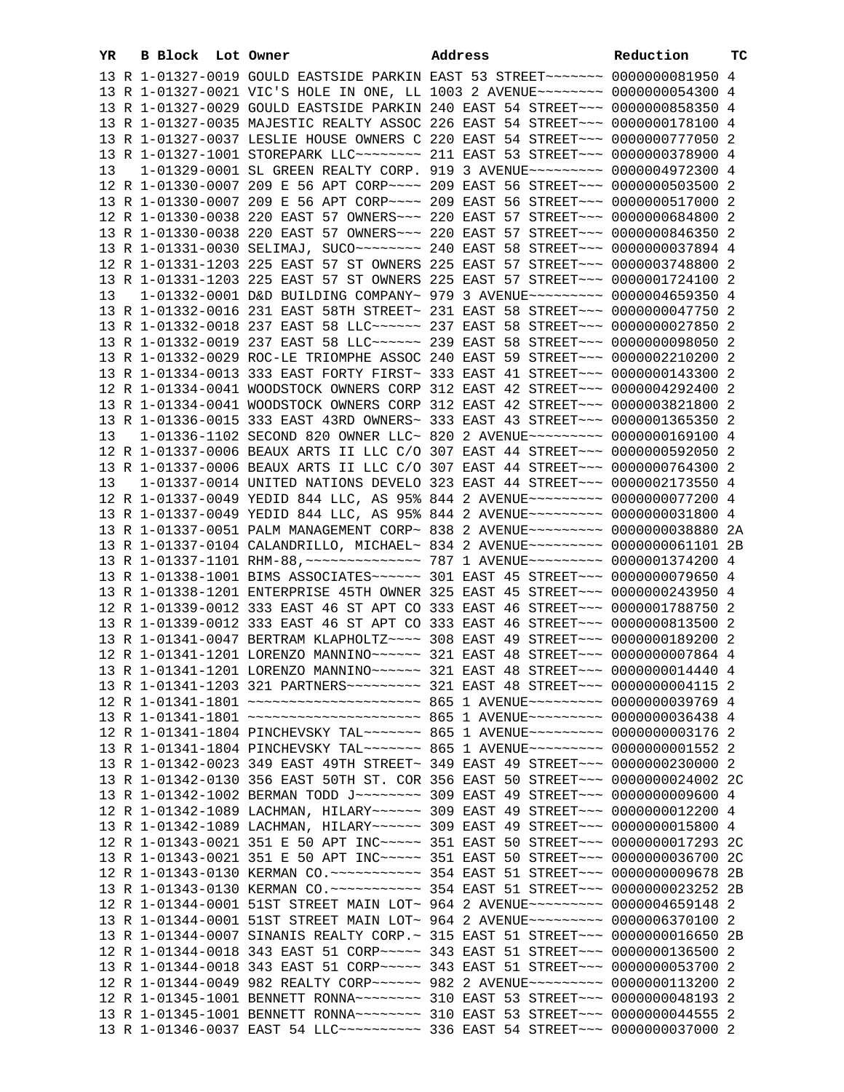| B Block Lot Owner<br>YR |                                                                                    | Address                                                                         | Reduction | <b>TC</b> |
|-------------------------|------------------------------------------------------------------------------------|---------------------------------------------------------------------------------|-----------|-----------|
|                         | 13 R 1-01327-0019 GOULD EASTSIDE PARKIN EAST 53 STREET~~~~~~~~ 0000000081950 4     |                                                                                 |           |           |
|                         | 13 R 1-01327-0021 VIC'S HOLE IN ONE, LL 1003 2 AVENUE~~~~~~~~ 0000000054300 4      |                                                                                 |           |           |
|                         | 13 R 1-01327-0029 GOULD EASTSIDE PARKIN 240 EAST 54 STREET~~~ 0000000858350 4      |                                                                                 |           |           |
|                         | 13 R 1-01327-0035 MAJESTIC REALTY ASSOC 226 EAST 54 STREET~~~ 0000000178100 4      |                                                                                 |           |           |
|                         | 13 R 1-01327-0037 LESLIE HOUSE OWNERS C 220 EAST 54 STREET~~~ 0000000777050 2      |                                                                                 |           |           |
|                         | 13 R 1-01327-1001 STOREPARK LLC -------- 211 EAST 53 STREET --- 0000000378900 4    |                                                                                 |           |           |
| 13                      | 1-01329-0001 SL GREEN REALTY CORP. 919 3 AVENUE~~~~~~~~~ 0000004972300 4           |                                                                                 |           |           |
|                         | 12 R 1-01330-0007 209 E 56 APT CORP~~~~ 209 EAST 56 STREET~~~ 0000000503500 2      |                                                                                 |           |           |
|                         | 13 R 1-01330-0007 209 E 56 APT CORP~~~~ 209 EAST 56 STREET~~~ 0000000517000 2      |                                                                                 |           |           |
|                         | 12 R 1-01330-0038 220 EAST 57 OWNERS~~~ 220 EAST 57 STREET~~~ 0000000684800 2      |                                                                                 |           |           |
|                         |                                                                                    |                                                                                 |           |           |
|                         | 13 R 1-01330-0038 220 EAST 57 OWNERS~~~ 220 EAST 57 STREET~~~ 0000000846350 2      |                                                                                 |           |           |
|                         | 13 R 1-01331-0030 SELIMAJ, SUCO~~~~~~~~~ 240 EAST 58 STREET~~~ 0000000037894 4     |                                                                                 |           |           |
|                         | 12 R 1-01331-1203 225 EAST 57 ST OWNERS 225 EAST 57 STREET~~~ 0000003748800 2      |                                                                                 |           |           |
|                         | 13 R 1-01331-1203 225 EAST 57 ST OWNERS 225 EAST 57 STREET~~~ 0000001724100 2      |                                                                                 |           |           |
| 13                      | 1-01332-0001 D&D BUILDING COMPANY~ 979 3 AVENUE~~~~~~~~~ 0000004659350 4           |                                                                                 |           |           |
|                         | 13 R 1-01332-0016 231 EAST 58TH STREET~ 231 EAST 58 STREET~~~ 0000000047750 2      |                                                                                 |           |           |
|                         | 13 R 1-01332-0018 237 EAST 58 LLC ----- 237 EAST 58 STREET -- 0000000027850 2      |                                                                                 |           |           |
|                         | 13 R 1-01332-0019 237 EAST 58 LLC ----- 239 EAST 58 STREET -- 0000000098050 2      |                                                                                 |           |           |
|                         | 13 R 1-01332-0029 ROC-LE TRIOMPHE ASSOC 240 EAST 59 STREET~~~ 0000002210200 2      |                                                                                 |           |           |
|                         | 13 R 1-01334-0013 333 EAST FORTY FIRST~ 333 EAST 41 STREET~~~ 0000000143300 2      |                                                                                 |           |           |
|                         | 12 R 1-01334-0041 WOODSTOCK OWNERS CORP 312 EAST 42 STREET~~~ 0000004292400 2      |                                                                                 |           |           |
|                         | 13 R 1-01334-0041 WOODSTOCK OWNERS CORP 312 EAST 42 STREET~~~ 0000003821800 2      |                                                                                 |           |           |
|                         | 13 R 1-01336-0015 333 EAST 43RD OWNERS~ 333 EAST 43 STREET~~~ 0000001365350 2      |                                                                                 |           |           |
| 13                      | 1-01336-1102 SECOND 820 OWNER LLC~ 820 2 AVENUE~~~~~~~~~ 0000000169100 4           |                                                                                 |           |           |
|                         | 12 R 1-01337-0006 BEAUX ARTS II LLC C/O 307 EAST 44 STREET~~~ 0000000592050 2      |                                                                                 |           |           |
|                         | 13 R 1-01337-0006 BEAUX ARTS II LLC C/O 307 EAST 44 STREET~~~ 0000000764300 2      |                                                                                 |           |           |
| 13                      | 1-01337-0014 UNITED NATIONS DEVELO 323 EAST 44 STREET~~~ 0000002173550 4           |                                                                                 |           |           |
|                         | 12 R 1-01337-0049 YEDID 844 LLC, AS 95% 844 2 AVENUE~~~~~~~~~ 0000000077200 4      |                                                                                 |           |           |
|                         | 13 R 1-01337-0049 YEDID 844 LLC, AS 95% 844 2 AVENUE~~~~~~~~~ 0000000031800 4      |                                                                                 |           |           |
|                         | 13 R 1-01337-0051 PALM MANAGEMENT CORP~ 838 2 AVENUE~~~~~~~~~ 0000000038880 2A     |                                                                                 |           |           |
|                         | 13 R 1-01337-0104 CALANDRILLO, MICHAEL~ 834 2 AVENUE~~~~~~~~~~ 0000000061101 2B    |                                                                                 |           |           |
|                         |                                                                                    |                                                                                 |           |           |
|                         | 13 R 1-01338-1001 BIMS ASSOCIATES~~~~~~ 301 EAST 45 STREET~~~ 0000000079650 4      |                                                                                 |           |           |
|                         | 13 R 1-01338-1201 ENTERPRISE 45TH OWNER 325 EAST 45 STREET~~~ 0000000243950 4      |                                                                                 |           |           |
|                         | 12 R 1-01339-0012 333 EAST 46 ST APT CO 333 EAST 46 STREET~~~ 0000001788750 2      |                                                                                 |           |           |
|                         | 13 R 1-01339-0012 333 EAST 46 ST APT CO 333 EAST 46 STREET~~~ 0000000813500 2      |                                                                                 |           |           |
|                         | 13 R 1-01341-0047 BERTRAM KLAPHOLTZ~~~~ 308 EAST 49 STREET~~~ 0000000189200 2      |                                                                                 |           |           |
|                         | 12 R 1-01341-1201 LORENZO MANNINO~~~~~~ 321 EAST 48 STREET~~~ 0000000007864 4      |                                                                                 |           |           |
|                         | 13 R 1-01341-1201 LORENZO MANNINO~~~~~~ 321 EAST 48 STREET~~~ 0000000014440 4      |                                                                                 |           |           |
|                         | 13 R 1-01341-1203 321 PARTNERS~~~~~~~~~ 321 EAST 48 STREET~~~ 0000000004115 2      |                                                                                 |           |           |
|                         | 12 R 1-01341-1801 ~~~~~~~~~~~~~~~~~~~~~~~ 865 1 AVENUE~~~~~~~~~ 0000000039769 4    |                                                                                 |           |           |
|                         | 13 R 1-01341-1801 ~~~~~~~~~~~~~~~~~~~~~~~~~ 865 1 AVENUE~~~~~~~~~ 00000000036438 4 |                                                                                 |           |           |
|                         | 12 R 1-01341-1804 PINCHEVSKY TAL~~~~~~~ 865 1 AVENUE~~~~~~~~~ 0000000003176 2      |                                                                                 |           |           |
|                         | 13 R 1-01341-1804 PINCHEVSKY TAL~~~~~~~ 865 1 AVENUE~~~~~~~~~ 00000000001552 2     |                                                                                 |           |           |
|                         | 13 R 1-01342-0023 349 EAST 49TH STREET~ 349 EAST 49 STREET~~~ 0000000230000 2      |                                                                                 |           |           |
|                         | 13 R 1-01342-0130 356 EAST 50TH ST. COR 356 EAST 50 STREET~~~ 0000000024002 2C     |                                                                                 |           |           |
|                         | 13 R 1-01342-1002 BERMAN TODD J ~~~~~~~~~ 309 EAST 49 STREET ~~~ 0000000009600 4   |                                                                                 |           |           |
|                         | 12 R 1-01342-1089 LACHMAN, HILARY~~~~~~ 309 EAST 49 STREET~~~ 0000000012200 4      |                                                                                 |           |           |
|                         | 13 R 1-01342-1089 LACHMAN, HILARY~~~~~~ 309 EAST 49 STREET~~~ 0000000015800 4      |                                                                                 |           |           |
|                         | 12 R 1-01343-0021 351 E 50 APT INC~~~~~ 351 EAST 50 STREET~~~ 0000000017293 2C     |                                                                                 |           |           |
|                         |                                                                                    |                                                                                 |           |           |
|                         | 13 R 1-01343-0021 351 E 50 APT INC~~~~~ 351 EAST 50 STREET~~~ 0000000036700 2C     |                                                                                 |           |           |
|                         |                                                                                    |                                                                                 |           |           |
|                         |                                                                                    |                                                                                 |           |           |
|                         | 12 R 1-01344-0001 51ST STREET MAIN LOT~ 964 2 AVENUE~~~~~~~~~ 0000004659148 2      |                                                                                 |           |           |
|                         | 13 R 1-01344-0001 51ST STREET MAIN LOT~ 964 2 AVENUE~~~~~~~~~ 0000006370100 2      |                                                                                 |           |           |
|                         | 13 R 1-01344-0007 SINANIS REALTY CORP. ~ 315 EAST 51 STREET ~~~ 0000000016650 2B   |                                                                                 |           |           |
|                         | 12 R 1-01344-0018 343 EAST 51 CORP~~~~~ 343 EAST 51 STREET~~~ 0000000136500 2      |                                                                                 |           |           |
|                         | 13 R 1-01344-0018 343 EAST 51 CORP~~~~~ 343 EAST 51 STREET~~~ 0000000053700 2      |                                                                                 |           |           |
|                         | 12 R 1-01344-0049 982 REALTY CORP~~~~~~ 982 2 AVENUE~~~~~~~~~ 0000000113200 2      |                                                                                 |           |           |
|                         | 12 R 1-01345-1001 BENNETT RONNA~~~~~~~~ 310 EAST 53 STREET~~~ 0000000048193 2      |                                                                                 |           |           |
|                         | 13 R 1-01345-1001 BENNETT RONNA~~~~~~~~ 310 EAST 53 STREET~~~ 0000000044555 2      |                                                                                 |           |           |
|                         |                                                                                    | 13 R 1-01346-0037 EAST 54 LLC ---------- 336 EAST 54 STREET --- 0000000037000 2 |           |           |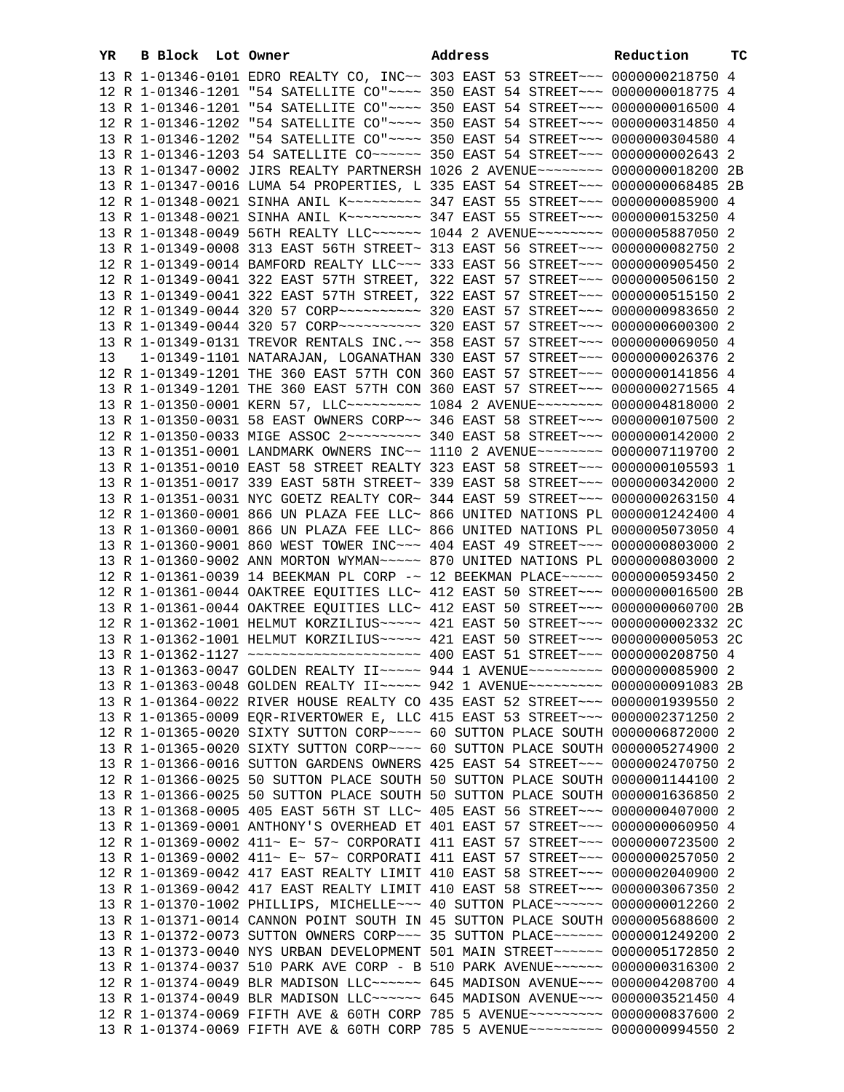| YR | B Block Lot Owner |  | Address                                                                           | Reduction | тc |
|----|-------------------|--|-----------------------------------------------------------------------------------|-----------|----|
|    |                   |  | 13 R 1-01346-0101 EDRO REALTY CO, INC~~ 303 EAST 53 STREET~~~ 0000000218750 4     |           |    |
|    |                   |  | 12 R 1-01346-1201 "54 SATELLITE CO"~~~~ 350 EAST 54 STREET~~~ 0000000018775 4     |           |    |
|    |                   |  | 13 R 1-01346-1201 "54 SATELLITE CO"~~~~ 350 EAST 54 STREET~~~ 0000000016500 4     |           |    |
|    |                   |  | 12 R 1-01346-1202 "54 SATELLITE CO"~~~~ 350 EAST 54 STREET~~~ 0000000314850 4     |           |    |
|    |                   |  | 13 R 1-01346-1202 "54 SATELLITE CO"~~~~ 350 EAST 54 STREET~~~ 0000000304580 4     |           |    |
|    |                   |  | 13 R 1-01346-1203 54 SATELLITE CO~~~~~~ 350 EAST 54 STREET~~~ 0000000002643 2     |           |    |
|    |                   |  | 13 R 1-01347-0002 JIRS REALTY PARTNERSH 1026 2 AVENUE~~~~~~~~ 0000000018200 2B    |           |    |
|    |                   |  | 13 R 1-01347-0016 LUMA 54 PROPERTIES, L 335 EAST 54 STREET~~~ 0000000068485 2B    |           |    |
|    |                   |  | 12 R 1-01348-0021 SINHA ANIL K~~~~~~~~~~ 347 EAST 55 STREET~~~ 0000000085900 4    |           |    |
|    |                   |  | 13 R 1-01348-0021 SINHA ANIL K~~~~~~~~~ 347 EAST 55 STREET~~~ 0000000153250 4     |           |    |
|    |                   |  | 13 R 1-01348-0049 56TH REALTY LLC ----- 1044 2 AVENUE ------- 0000005887050 2     |           |    |
|    |                   |  | 13 R 1-01349-0008 313 EAST 56TH STREET~ 313 EAST 56 STREET~~~ 0000000082750 2     |           |    |
|    |                   |  |                                                                                   |           |    |
|    |                   |  | 12 R 1-01349-0014 BAMFORD REALTY LLC~~~ 333 EAST 56 STREET~~~ 0000000905450 2     |           |    |
|    |                   |  | 12 R 1-01349-0041 322 EAST 57TH STREET, 322 EAST 57 STREET~~~ 0000000506150 2     |           |    |
|    |                   |  | 13 R 1-01349-0041 322 EAST 57TH STREET, 322 EAST 57 STREET~~~ 0000000515150 2     |           |    |
|    |                   |  |                                                                                   |           |    |
|    |                   |  |                                                                                   |           |    |
|    |                   |  | 13 R 1-01349-0131 TREVOR RENTALS INC.~~ 358 EAST 57 STREET~~~ 0000000069050 4     |           |    |
| 13 |                   |  | 1-01349-1101 NATARAJAN, LOGANATHAN 330 EAST 57 STREET~~~ 0000000026376 2          |           |    |
|    |                   |  | 12 R 1-01349-1201 THE 360 EAST 57TH CON 360 EAST 57 STREET~~~ 0000000141856 4     |           |    |
|    |                   |  | 13 R 1-01349-1201 THE 360 EAST 57TH CON 360 EAST 57 STREET~~~ 0000000271565 4     |           |    |
|    |                   |  | 13 R 1-01350-0001 KERN 57, LLC -------- 1084 2 AVENUE -------- 0000004818000 2    |           |    |
|    |                   |  | 13 R 1-01350-0031 58 EAST OWNERS CORP~~ 346 EAST 58 STREET~~~ 0000000107500 2     |           |    |
|    |                   |  | 12 R 1-01350-0033 MIGE ASSOC 2 --- - - - - 340 EAST 58 STREET - - 0000000142000 2 |           |    |
|    |                   |  | 13 R 1-01351-0001 LANDMARK OWNERS INC~~ 1110 2 AVENUE~~~~~~~~ 0000007119700 2     |           |    |
|    |                   |  | 13 R 1-01351-0010 EAST 58 STREET REALTY 323 EAST 58 STREET~~~ 0000000105593 1     |           |    |
|    |                   |  | 13 R 1-01351-0017 339 EAST 58TH STREET~ 339 EAST 58 STREET~~~ 0000000342000 2     |           |    |
|    |                   |  | 13 R 1-01351-0031 NYC GOETZ REALTY COR~ 344 EAST 59 STREET~~~ 0000000263150 4     |           |    |
|    |                   |  | 12 R 1-01360-0001 866 UN PLAZA FEE LLC~ 866 UNITED NATIONS PL 0000001242400 4     |           |    |
|    |                   |  | 13 R 1-01360-0001 866 UN PLAZA FEE LLC~ 866 UNITED NATIONS PL 0000005073050 4     |           |    |
|    |                   |  | 13 R 1-01360-9001 860 WEST TOWER INC~~~ 404 EAST 49 STREET~~~ 0000000803000 2     |           |    |
|    |                   |  | 13 R 1-01360-9002 ANN MORTON WYMAN~~~~~ 870 UNITED NATIONS PL 0000000803000 2     |           |    |
|    |                   |  | 12 R 1-01361-0039 14 BEEKMAN PL CORP -~ 12 BEEKMAN PLACE~~~~~ 0000000593450 2     |           |    |
|    |                   |  | 12 R 1-01361-0044 OAKTREE EQUITIES LLC~ 412 EAST 50 STREET~~~ 0000000016500 2B    |           |    |
|    |                   |  | 13 R 1-01361-0044 OAKTREE EQUITIES LLC~ 412 EAST 50 STREET~~~ 0000000060700 2B    |           |    |
|    |                   |  | 12 R 1-01362-1001 HELMUT KORZILIUS~~~~~ 421 EAST 50 STREET~~~ 0000000002332 2C    |           |    |
|    |                   |  | 13 R 1-01362-1001 HELMUT KORZILIUS~~~~~ 421 EAST 50 STREET~~~ 0000000005053 2C    |           |    |
|    |                   |  |                                                                                   |           |    |
|    |                   |  | 13 R 1-01363-0047 GOLDEN REALTY II~~~~~ 944 1 AVENUE~~~~~~~~~ 0000000085900 2     |           |    |
|    |                   |  | 13 R 1-01363-0048 GOLDEN REALTY II~~~~~ 942 1 AVENUE~~~~~~~~~ 0000000091083 2B    |           |    |
|    |                   |  | 13 R 1-01364-0022 RIVER HOUSE REALTY CO 435 EAST 52 STREET~~~ 0000001939550 2     |           |    |
|    |                   |  | 13 R 1-01365-0009 EQR-RIVERTOWER E, LLC 415 EAST 53 STREET~~~ 0000002371250 2     |           |    |
|    |                   |  | 12 R 1-01365-0020 SIXTY SUTTON CORP~~~~ 60 SUTTON PLACE SOUTH 0000006872000 2     |           |    |
|    |                   |  | 13 R 1-01365-0020 SIXTY SUTTON CORP~~~~ 60 SUTTON PLACE SOUTH 0000005274900 2     |           |    |
|    |                   |  | 13 R 1-01366-0016 SUTTON GARDENS OWNERS 425 EAST 54 STREET~~~ 0000002470750 2     |           |    |
|    |                   |  | 12 R 1-01366-0025 50 SUTTON PLACE SOUTH 50 SUTTON PLACE SOUTH 0000001144100 2     |           |    |
|    |                   |  | 13 R 1-01366-0025 50 SUTTON PLACE SOUTH 50 SUTTON PLACE SOUTH 0000001636850 2     |           |    |
|    |                   |  | 13 R 1-01368-0005 405 EAST 56TH ST LLC~ 405 EAST 56 STREET~~~ 0000000407000 2     |           |    |
|    |                   |  | 13 R 1-01369-0001 ANTHONY'S OVERHEAD ET 401 EAST 57 STREET~~~ 0000000060950 4     |           |    |
|    |                   |  | 12 R 1-01369-0002 411~ E~ 57~ CORPORATI 411 EAST 57 STREET~~~ 0000000723500 2     |           |    |
|    |                   |  | 13 R 1-01369-0002 411~ E~ 57~ CORPORATI 411 EAST 57 STREET~~~ 0000000257050 2     |           |    |
|    |                   |  | 12 R 1-01369-0042 417 EAST REALTY LIMIT 410 EAST 58 STREET~~~ 0000002040900 2     |           |    |
|    |                   |  | 13 R 1-01369-0042 417 EAST REALTY LIMIT 410 EAST 58 STREET~~~ 0000003067350 2     |           |    |
|    |                   |  | 13 R 1-01370-1002 PHILLIPS, MICHELLE~~~ 40 SUTTON PLACE~~~~~~ 0000000012260 2     |           |    |
|    |                   |  | 13 R 1-01371-0014 CANNON POINT SOUTH IN 45 SUTTON PLACE SOUTH 0000005688600 2     |           |    |
|    |                   |  | 13 R 1-01372-0073 SUTTON OWNERS CORP~~~ 35 SUTTON PLACE~~~~~~ 0000001249200 2     |           |    |
|    |                   |  | 13 R 1-01373-0040 NYS URBAN DEVELOPMENT 501 MAIN STREET~~~~~~ 0000005172850 2     |           |    |
|    |                   |  | 13 R 1-01374-0037 510 PARK AVE CORP - B 510 PARK AVENUE~~~~~~ 0000000316300 2     |           |    |
|    |                   |  | 12 R 1-01374-0049 BLR MADISON LLC~~~~~~ 645 MADISON AVENUE~~~ 0000004208700 4     |           |    |
|    |                   |  | 13 R 1-01374-0049 BLR MADISON LLC ----- 645 MADISON AVENUE -- 0000003521450 4     |           |    |
|    |                   |  | 12 R 1-01374-0069 FIFTH AVE & 60TH CORP 785 5 AVENUE~~~~~~~~~ 0000000837600 2     |           |    |
|    |                   |  | 13 R 1-01374-0069 FIFTH AVE & 60TH CORP 785 5 AVENUE~~~~~~~~~ 0000000994550 2     |           |    |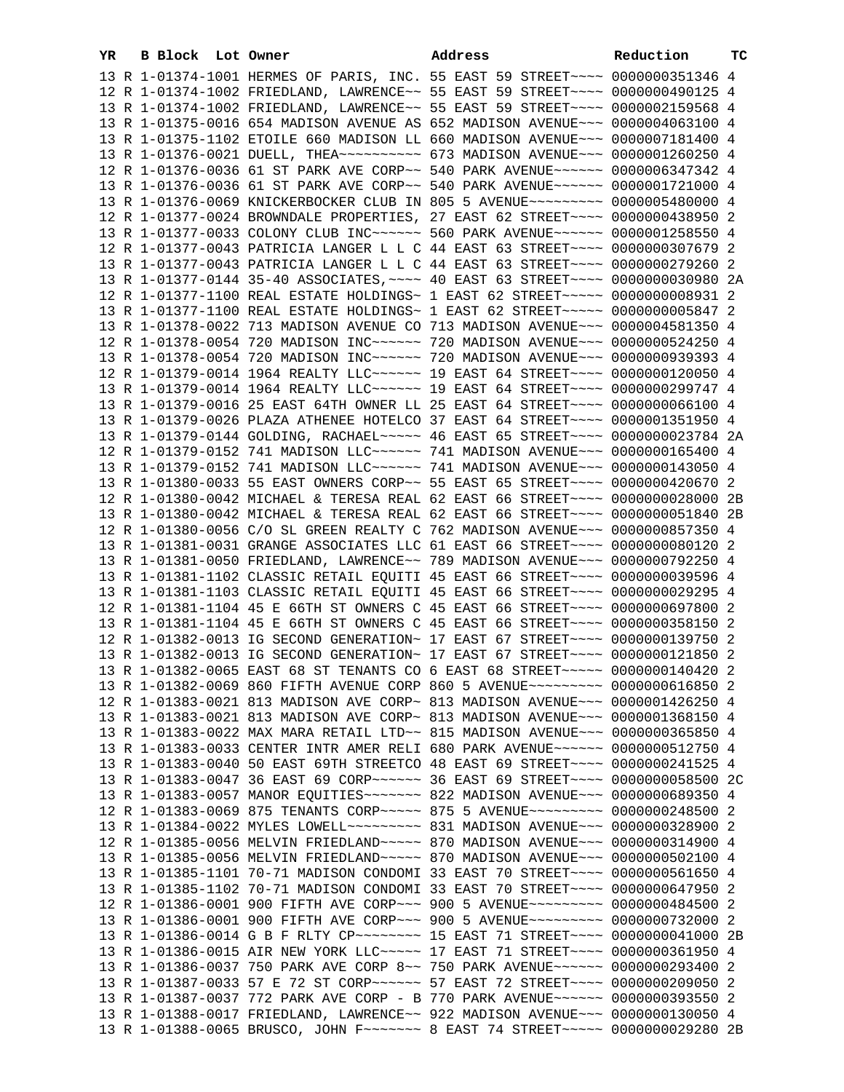| YR | B Block Lot Owner |                                                                                                                                                                | Address | Reduction | тc |
|----|-------------------|----------------------------------------------------------------------------------------------------------------------------------------------------------------|---------|-----------|----|
|    |                   | 13 R 1-01374-1001 HERMES OF PARIS, INC. 55 EAST 59 STREET~~~~ 0000000351346 4                                                                                  |         |           |    |
|    |                   | 12 R 1-01374-1002 FRIEDLAND, LAWRENCE~~ 55 EAST 59 STREET~~~~ 0000000490125 4                                                                                  |         |           |    |
|    |                   | 13 R 1-01374-1002 FRIEDLAND, LAWRENCE~~ 55 EAST 59 STREET~~~~ 0000002159568 4                                                                                  |         |           |    |
|    |                   | 13 R 1-01375-0016 654 MADISON AVENUE AS 652 MADISON AVENUE~~~ 0000004063100 4                                                                                  |         |           |    |
|    |                   | 13 R 1-01375-1102 ETOILE 660 MADISON LL 660 MADISON AVENUE~~~ 0000007181400 4                                                                                  |         |           |    |
|    |                   | 13 R 1-01376-0021 DUELL, THEA --------- 673 MADISON AVENUE --- 0000001260250 4                                                                                 |         |           |    |
|    |                   | 12 R 1-01376-0036 61 ST PARK AVE CORP~~ 540 PARK AVENUE~~~~~~ 0000006347342 4                                                                                  |         |           |    |
|    |                   | 13 R 1-01376-0036 61 ST PARK AVE CORP~~ 540 PARK AVENUE~~~~~~ 0000001721000 4                                                                                  |         |           |    |
|    |                   | 13 R 1-01376-0069 KNICKERBOCKER CLUB IN 805 5 AVENUE~~~~~~~~~ 0000005480000 4                                                                                  |         |           |    |
|    |                   | 12 R 1-01377-0024 BROWNDALE PROPERTIES, 27 EAST 62 STREET~~~~ 0000000438950 2                                                                                  |         |           |    |
|    |                   | 13 R 1-01377-0033 COLONY CLUB INC~~~~~~ 560 PARK AVENUE~~~~~~ 0000001258550 4                                                                                  |         |           |    |
|    |                   | 12 R 1-01377-0043 PATRICIA LANGER L L C 44 EAST 63 STREET~~~~ 0000000307679 2                                                                                  |         |           |    |
|    |                   | 13 R 1-01377-0043 PATRICIA LANGER L L C 44 EAST 63 STREET~~~~ 0000000279260 2                                                                                  |         |           |    |
|    |                   | 13 R 1-01377-0144 35-40 ASSOCIATES, ~~~~ 40 EAST 63 STREET~~~~ 0000000030980 2A                                                                                |         |           |    |
|    |                   | 12 R 1-01377-1100 REAL ESTATE HOLDINGS~ 1 EAST 62 STREET~~~~~ 0000000000931 2                                                                                  |         |           |    |
|    |                   | 13 R 1-01377-1100 REAL ESTATE HOLDINGS~ 1 EAST 62 STREET~~~~~ 0000000005847 2                                                                                  |         |           |    |
|    |                   | 13 R 1-01378-0022 713 MADISON AVENUE CO 713 MADISON AVENUE~~~ 0000004581350 4                                                                                  |         |           |    |
|    |                   | 12 R 1-01378-0054 720 MADISON INC~~~~~~ 720 MADISON AVENUE~~~ 0000000524250 4                                                                                  |         |           |    |
|    |                   | 13 R 1-01378-0054 720 MADISON INC~~~~~~ 720 MADISON AVENUE~~~ 0000000939393 4                                                                                  |         |           |    |
|    |                   | 12 R 1-01379-0014 1964 REALTY LLC ----- 19 EAST 64 STREET --- 0000000120050 4                                                                                  |         |           |    |
|    |                   | 13 R 1-01379-0014 1964 REALTY LLC ----- 19 EAST 64 STREET --- 0000000299747 4                                                                                  |         |           |    |
|    |                   | 13 R 1-01379-0016 25 EAST 64TH OWNER LL 25 EAST 64 STREET~~~~ 0000000066100 4                                                                                  |         |           |    |
|    |                   | 13 R 1-01379-0026 PLAZA ATHENEE HOTELCO 37 EAST 64 STREET~~~~ 0000001351950 4                                                                                  |         |           |    |
|    |                   | 13 R 1-01379-0144 GOLDING, RACHAEL ----- 46 EAST 65 STREET ---- 0000000023784 2A                                                                               |         |           |    |
|    |                   | 12 R 1-01379-0152 741 MADISON LLC~~~~~~ 741 MADISON AVENUE~~~ 0000000165400 4                                                                                  |         |           |    |
|    |                   | 13 R 1-01379-0152 741 MADISON LLC ~~~~~~ 741 MADISON AVENUE ~~~ 0000000143050 4                                                                                |         |           |    |
|    |                   | 13 R 1-01380-0033 55 EAST OWNERS CORP~~ 55 EAST 65 STREET~~~~ 0000000420670 2                                                                                  |         |           |    |
|    |                   | 12 R 1-01380-0042 MICHAEL & TERESA REAL 62 EAST 66 STREET~~~~ 0000000028000 2B                                                                                 |         |           |    |
|    |                   | 13 R 1-01380-0042 MICHAEL & TERESA REAL 62 EAST 66 STREET~~~~ 0000000051840 2B                                                                                 |         |           |    |
|    |                   | 12 R 1-01380-0056 C/O SL GREEN REALTY C 762 MADISON AVENUE~~~ 0000000857350 4                                                                                  |         |           |    |
|    |                   | 13 R 1-01381-0031 GRANGE ASSOCIATES LLC 61 EAST 66 STREET~~~~ 0000000080120 2                                                                                  |         |           |    |
|    |                   | 13 R 1-01381-0050 FRIEDLAND, LAWRENCE~~ 789 MADISON AVENUE~~~ 0000000792250 4                                                                                  |         |           |    |
|    |                   | 13 R 1-01381-1102 CLASSIC RETAIL EQUITI 45 EAST 66 STREET~~~~ 0000000039596 4                                                                                  |         |           |    |
|    |                   | 13 R 1-01381-1103 CLASSIC RETAIL EQUITI 45 EAST 66 STREET~~~~ 0000000029295 4                                                                                  |         |           |    |
|    |                   | 12 R 1-01381-1104 45 E 66TH ST OWNERS C 45 EAST 66 STREET~~~~ 0000000697800 2                                                                                  |         |           |    |
|    |                   | 13 R 1-01381-1104 45 E 66TH ST OWNERS C 45 EAST 66 STREET~~~~ 0000000358150 2                                                                                  |         |           |    |
|    |                   | 12 R 1-01382-0013 IG SECOND GENERATION~ 17 EAST 67 STREET~~~~ 0000000139750 2                                                                                  |         |           |    |
|    |                   | 13 R 1-01382-0013 IG SECOND GENERATION~ 17 EAST 67 STREET~~~~ 0000000121850 2                                                                                  |         |           |    |
|    |                   | 13 R 1-01382-0065 EAST 68 ST TENANTS CO 6 EAST 68 STREET~~~~~ 0000000140420 2                                                                                  |         |           |    |
|    |                   | 13 R 1-01382-0069 860 FIFTH AVENUE CORP 860 5 AVENUE~~~~~~~~~ 0000000616850 2                                                                                  |         |           |    |
|    |                   | 12 R 1-01383-0021 813 MADISON AVE CORP~ 813 MADISON AVENUE~~~ 0000001426250 4                                                                                  |         |           |    |
|    |                   | 13 R 1-01383-0021 813 MADISON AVE CORP~ 813 MADISON AVENUE~~~ 0000001368150 4                                                                                  |         |           |    |
|    |                   | 13 R 1-01383-0022 MAX MARA RETAIL LTD~~ 815 MADISON AVENUE~~~ 0000000365850 4                                                                                  |         |           |    |
|    |                   | 13 R 1-01383-0033 CENTER INTR AMER RELI 680 PARK AVENUE~~~~~~ 0000000512750 4                                                                                  |         |           |    |
|    |                   | 13 R 1-01383-0040 50 EAST 69TH STREETCO 48 EAST 69 STREET~~~~ 0000000241525 4                                                                                  |         |           |    |
|    |                   | 13 R 1-01383-0047 36 EAST 69 CORP~~~~~~ 36 EAST 69 STREET~~~~ 0000000058500 2C                                                                                 |         |           |    |
|    |                   | 13 R 1-01383-0057 MANOR EQUITIES~~~~~~~ 822 MADISON AVENUE~~~ 0000000689350 4<br>12 R 1-01383-0069 875 TENANTS CORP~~~~~ 875 5 AVENUE~~~~~~~~~ 0000000248500 2 |         |           |    |
|    |                   | 13 R 1-01384-0022 MYLES LOWELL~~~~~~~~~ 831 MADISON AVENUE~~~ 0000000328900 2                                                                                  |         |           |    |
|    |                   | 12 R 1-01385-0056 MELVIN FRIEDLAND ~~~~~ 870 MADISON AVENUE~~~ 0000000314900 4                                                                                 |         |           |    |
|    |                   | 13 R 1-01385-0056 MELVIN FRIEDLAND ~~~~~ 870 MADISON AVENUE~~~ 0000000502100 4                                                                                 |         |           |    |
|    |                   | 13 R 1-01385-1101 70-71 MADISON CONDOMI 33 EAST 70 STREET~~~~ 0000000561650 4                                                                                  |         |           |    |
|    |                   | 13 R 1-01385-1102 70-71 MADISON CONDOMI 33 EAST 70 STREET~~~~ 0000000647950 2                                                                                  |         |           |    |
|    |                   | 12 R 1-01386-0001 900 FIFTH AVE CORP~~~ 900 5 AVENUE~~~~~~~~~ 0000000484500 2                                                                                  |         |           |    |
|    |                   | 13 R 1-01386-0001 900 FIFTH AVE CORP~~~ 900 5 AVENUE~~~~~~~~~ 0000000732000 2                                                                                  |         |           |    |
|    |                   | 13 R 1-01386-0014 G B F RLTY CP~~~~~~~~~ 15 EAST 71 STREET~~~~ 0000000041000 2B                                                                                |         |           |    |
|    |                   | 13 R 1-01386-0015 AIR NEW YORK LLC ~~~~~ 17 EAST 71 STREET ~~~~ 0000000361950 4                                                                                |         |           |    |
|    |                   | 13 R 1-01386-0037 750 PARK AVE CORP 8~~ 750 PARK AVENUE~~~~~~ 0000000293400 2                                                                                  |         |           |    |
|    |                   | 13 R 1-01387-0033 57 E 72 ST CORP~~~~~~~ 57 EAST 72 STREET~~~~ 0000000209050 2                                                                                 |         |           |    |
|    |                   | 13 R 1-01387-0037 772 PARK AVE CORP - B 770 PARK AVENUE~~~~~~ 0000000393550 2                                                                                  |         |           |    |
|    |                   | 13 R 1-01388-0017 FRIEDLAND, LAWRENCE~~ 922 MADISON AVENUE~~~ 0000000130050 4                                                                                  |         |           |    |
|    |                   | 13 R 1-01388-0065 BRUSCO, JOHN F~~~~~~~~ 8 EAST 74 STREET~~~~~ 0000000029280 2B                                                                                |         |           |    |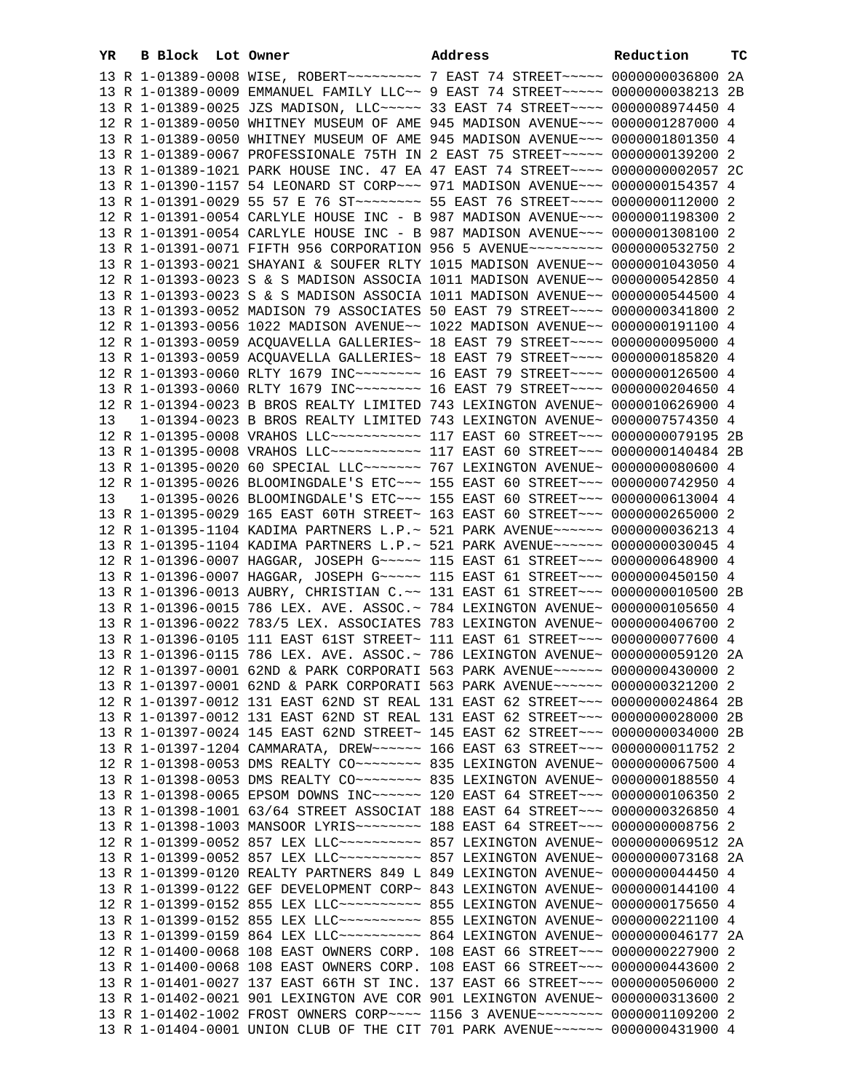| YR | B Block Lot Owner | Address                                                                                                                                                        | Reduction | тc |
|----|-------------------|----------------------------------------------------------------------------------------------------------------------------------------------------------------|-----------|----|
|    |                   | 13 R 1-01389-0008 WISE, ROBERT~~~~~~~~~~~~~~~~ 7 EAST 74 STREET~~~~~~ 0000000036800 2A                                                                         |           |    |
|    |                   | 13 R 1-01389-0009 EMMANUEL FAMILY LLC~~ 9 EAST 74 STREET~~~~~ 0000000038213 2B                                                                                 |           |    |
|    |                   | 13 R 1-01389-0025 JZS MADISON, LLC ---- 33 EAST 74 STREET --- 0000008974450 4                                                                                  |           |    |
|    |                   | 12 R 1-01389-0050 WHITNEY MUSEUM OF AME 945 MADISON AVENUE~~~ 0000001287000 4                                                                                  |           |    |
|    |                   | 13 R 1-01389-0050 WHITNEY MUSEUM OF AME 945 MADISON AVENUE~~~ 0000001801350 4                                                                                  |           |    |
|    |                   | 13 R 1-01389-0067 PROFESSIONALE 75TH IN 2 EAST 75 STREET~~~~~ 0000000139200 2                                                                                  |           |    |
|    |                   | 13 R 1-01389-1021 PARK HOUSE INC. 47 EA 47 EAST 74 STREET~~~~ 0000000002057 2C                                                                                 |           |    |
|    |                   | 13 R 1-01390-1157 54 LEONARD ST CORP~~~ 971 MADISON AVENUE~~~ 0000000154357 4                                                                                  |           |    |
|    |                   | 13 R 1-01391-0029 55 57 E 76 ST ~~~~~~~~~ 55 EAST 76 STREET ~~~~ 0000000112000 2                                                                               |           |    |
|    |                   | 12 R 1-01391-0054 CARLYLE HOUSE INC - B 987 MADISON AVENUE~~~ 0000001198300 2                                                                                  |           |    |
|    |                   | 13 R 1-01391-0054 CARLYLE HOUSE INC - B 987 MADISON AVENUE~~~ 0000001308100 2                                                                                  |           |    |
|    |                   | 13 R 1-01391-0071 FIFTH 956 CORPORATION 956 5 AVENUE~~~~~~~~~ 0000000532750 2                                                                                  |           |    |
|    |                   | 13 R 1-01393-0021 SHAYANI & SOUFER RLTY 1015 MADISON AVENUE~~ 0000001043050 4                                                                                  |           |    |
|    |                   | 12 R 1-01393-0023 S & S MADISON ASSOCIA 1011 MADISON AVENUE~~ 0000000542850 4                                                                                  |           |    |
|    |                   | 13 R 1-01393-0023 S & S MADISON ASSOCIA 1011 MADISON AVENUE~~ 0000000544500 4                                                                                  |           |    |
|    |                   | 13 R 1-01393-0052 MADISON 79 ASSOCIATES 50 EAST 79 STREET~~~~ 0000000341800 2                                                                                  |           |    |
|    |                   | 12 R 1-01393-0056 1022 MADISON AVENUE~~ 1022 MADISON AVENUE~~ 0000000191100 4                                                                                  |           |    |
|    |                   | 12 R 1-01393-0059 ACQUAVELLA GALLERIES~ 18 EAST 79 STREET~~~~ 0000000095000 4                                                                                  |           |    |
|    |                   | 13 R 1-01393-0059 ACQUAVELLA GALLERIES~ 18 EAST 79 STREET~~~~ 0000000185820 4                                                                                  |           |    |
|    |                   | 12 R 1-01393-0060 RLTY 1679 INC~~~~~~~~~~~~~ 16 EAST 79 STREET~~~~~ 0000000126500 4                                                                            |           |    |
|    |                   | 13 R 1-01393-0060 RLTY 1679 INC ------- 16 EAST 79 STREET --- 0000000204650 4                                                                                  |           |    |
|    |                   | 12 R 1-01394-0023 B BROS REALTY LIMITED 743 LEXINGTON AVENUE~ 0000010626900 4                                                                                  |           |    |
| 13 |                   | 1-01394-0023 B BROS REALTY LIMITED 743 LEXINGTON AVENUE~ 0000007574350 4                                                                                       |           |    |
|    |                   | 12 R 1-01395-0008 VRAHOS LLC ----------- 117 EAST 60 STREET --- 0000000079195 2B                                                                               |           |    |
|    |                   | 13 R 1-01395-0008 VRAHOS LLC ----------- 117 EAST 60 STREET -- 0000000140484 2B                                                                                |           |    |
|    |                   | 13 R 1-01395-0020 60 SPECIAL LLC ------ 767 LEXINGTON AVENUE ~ 0000000080600 4                                                                                 |           |    |
|    |                   | 12 R 1-01395-0026 BLOOMINGDALE'S ETC~~~ 155 EAST 60 STREET~~~ 0000000742950 4                                                                                  |           |    |
| 13 |                   | 1-01395-0026 BLOOMINGDALE'S ETC~~~ 155 EAST 60 STREET~~~ 0000000613004 4                                                                                       |           |    |
|    |                   | 13 R 1-01395-0029 165 EAST 60TH STREET~ 163 EAST 60 STREET~~~ 0000000265000 2                                                                                  |           |    |
|    |                   | 12 R 1-01395-1104 KADIMA PARTNERS L.P.~ 521 PARK AVENUE~~~~~~ 0000000036213 4                                                                                  |           |    |
|    |                   | 13 R 1-01395-1104 KADIMA PARTNERS L.P.~ 521 PARK AVENUE~~~~~~ 0000000030045 4                                                                                  |           |    |
|    |                   | 12 R 1-01396-0007 HAGGAR, JOSEPH G~~~~~ 115 EAST 61 STREET~~~ 0000000648900 4                                                                                  |           |    |
|    |                   | 13 R 1-01396-0007 HAGGAR, JOSEPH G~~~~~ 115 EAST 61 STREET~~~ 0000000450150 4                                                                                  |           |    |
|    |                   | 13 R 1-01396-0013 AUBRY, CHRISTIAN C.~~ 131 EAST 61 STREET~~~ 0000000010500 2B                                                                                 |           |    |
|    |                   | 13 R 1-01396-0015 786 LEX. AVE. ASSOC.~ 784 LEXINGTON AVENUE~ 0000000105650 4                                                                                  |           |    |
|    |                   | 13 R 1-01396-0022 783/5 LEX. ASSOCIATES 783 LEXINGTON AVENUE~ 0000000406700 2<br>13 R 1-01396-0105 111 EAST 61ST STREET~ 111 EAST 61 STREET~~~ 0000000077600 4 |           |    |
|    |                   | 13 R 1-01396-0115 786 LEX. AVE. ASSOC.~ 786 LEXINGTON AVENUE~ 0000000059120 2A                                                                                 |           |    |
|    |                   | 12 R 1-01397-0001 62ND & PARK CORPORATI 563 PARK AVENUE~~~~~~ 0000000430000                                                                                    |           |    |
|    |                   | 13 R 1-01397-0001 62ND & PARK CORPORATI 563 PARK AVENUE~~~~~~ 0000000321200 2                                                                                  |           |    |
|    |                   | 12 R 1-01397-0012 131 EAST 62ND ST REAL 131 EAST 62 STREET~~~ 0000000024864 2B                                                                                 |           |    |
|    |                   | 13 R 1-01397-0012 131 EAST 62ND ST REAL 131 EAST 62 STREET~~~ 0000000028000 2B                                                                                 |           |    |
|    |                   | 13 R 1-01397-0024 145 EAST 62ND STREET~ 145 EAST 62 STREET~~~ 0000000034000 2B                                                                                 |           |    |
|    |                   | 13 R 1-01397-1204 CAMMARATA, DREW~~~~~~ 166 EAST 63 STREET~~~ 0000000011752 2                                                                                  |           |    |
|    |                   | 12 R 1-01398-0053 DMS REALTY CO ------- 835 LEXINGTON AVENUE ~ 0000000067500 4                                                                                 |           |    |
|    |                   | 13 R 1-01398-0053 DMS REALTY CO~~~~~~~~~ 835 LEXINGTON AVENUE~ 0000000188550 4                                                                                 |           |    |
|    |                   | 13 R 1-01398-0065 EPSOM DOWNS INC~~~~~~ 120 EAST 64 STREET~~~ 0000000106350 2                                                                                  |           |    |
|    |                   | 13 R 1-01398-1001 63/64 STREET ASSOCIAT 188 EAST 64 STREET~~~ 0000000326850 4                                                                                  |           |    |
|    |                   | 13 R 1-01398-1003 MANSOOR LYRIS ------- 188 EAST 64 STREET --- 00000000008756 2                                                                                |           |    |
|    |                   |                                                                                                                                                                |           |    |
|    |                   | 13 R 1-01399-0052 857 LEX LLC --------- 857 LEXINGTON AVENUE ~ 0000000073168 2A                                                                                |           |    |
|    |                   | 13 R 1-01399-0120 REALTY PARTNERS 849 L 849 LEXINGTON AVENUE~ 0000000044450                                                                                    |           | 4  |
|    |                   | 13 R 1-01399-0122 GEF DEVELOPMENT CORP~ 843 LEXINGTON AVENUE~ 0000000144100 4                                                                                  |           |    |
|    |                   | 12 R 1-01399-0152 855 LEX LLC ---------- 855 LEXINGTON AVENUE ~ 0000000175650 4                                                                                |           |    |
|    |                   | 13 R 1-01399-0152 855 LEX LLC --------- 855 LEXINGTON AVENUE ~ 0000000221100 4                                                                                 |           |    |
|    |                   | 13 R 1-01399-0159 864 LEX LLC ---------- 864 LEXINGTON AVENUE ~ 0000000046177 2A                                                                               |           |    |
|    |                   | 12 R 1-01400-0068 108 EAST OWNERS CORP. 108 EAST 66 STREET~~~ 0000000227900 2                                                                                  |           |    |
|    |                   | 13 R 1-01400-0068 108 EAST OWNERS CORP. 108 EAST 66 STREET~~~ 0000000443600 2                                                                                  |           |    |
|    |                   | 13 R 1-01401-0027 137 EAST 66TH ST INC. 137 EAST 66 STREET~~~ 0000000506000 2                                                                                  |           |    |
|    |                   | 13 R 1-01402-0021 901 LEXINGTON AVE COR 901 LEXINGTON AVENUE~ 0000000313600 2                                                                                  |           |    |
|    |                   | 13 R 1-01402-1002 FROST OWNERS CORP~~~~ 1156 3 AVENUE~~~~~~~~ 0000001109200 2                                                                                  |           |    |
|    |                   | 13 R 1-01404-0001 UNION CLUB OF THE CIT 701 PARK AVENUE~~~~~~ 0000000431900 4                                                                                  |           |    |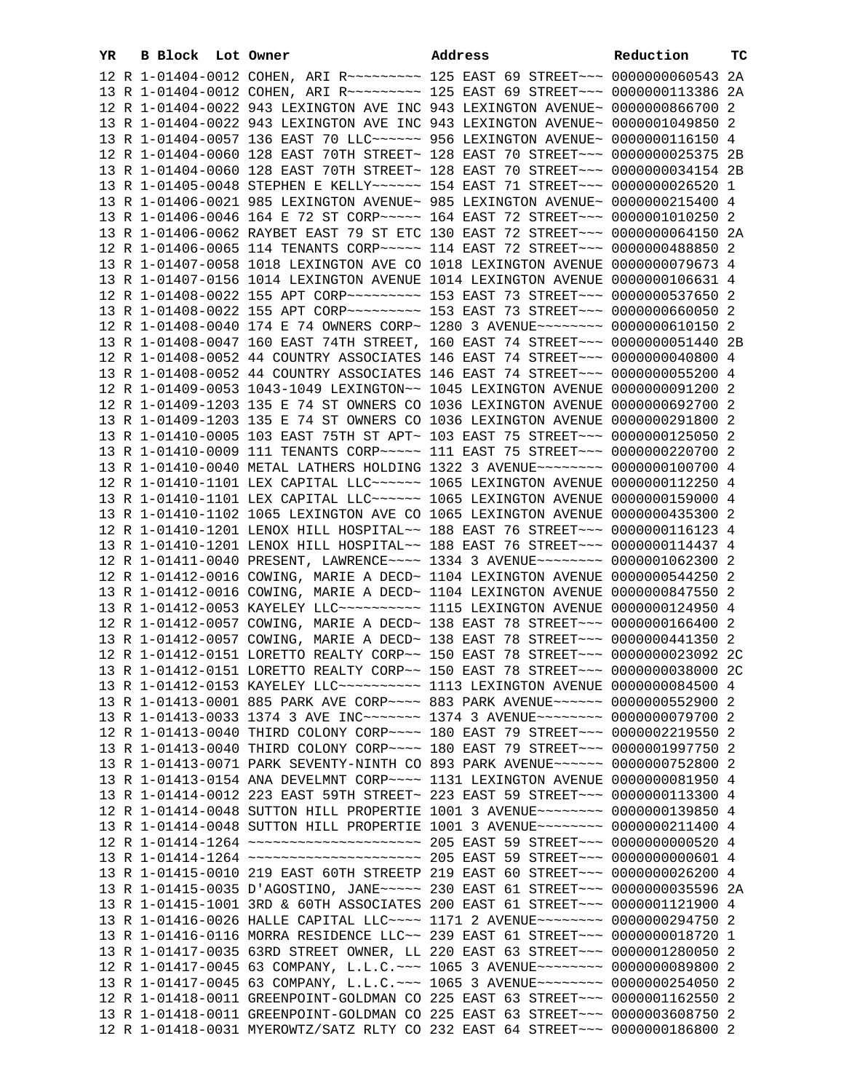| YR | B Block Lot Owner | Address                                                                                 | Reduction | ТC |
|----|-------------------|-----------------------------------------------------------------------------------------|-----------|----|
|    |                   | 12 R 1-01404-0012 COHEN, ARI R --------- 125 EAST 69 STREET -- 00000000060543 2A        |           |    |
|    |                   | 13 R 1-01404-0012 COHEN, ARI R --------- 125 EAST 69 STREET -- 00000000113386 2A        |           |    |
|    |                   | 12 R 1-01404-0022 943 LEXINGTON AVE INC 943 LEXINGTON AVENUE~ 0000000866700 2           |           |    |
|    |                   | 13 R 1-01404-0022 943 LEXINGTON AVE INC 943 LEXINGTON AVENUE~ 0000001049850 2           |           |    |
|    |                   | 13 R 1-01404-0057 136 EAST 70 LLC ----- 956 LEXINGTON AVENUE ~ 0000000116150 4          |           |    |
|    |                   | 12 R 1-01404-0060 128 EAST 70TH STREET~ 128 EAST 70 STREET~~~ 0000000025375 2B          |           |    |
|    |                   | 13 R 1-01404-0060 128 EAST 70TH STREET~ 128 EAST 70 STREET~~~ 0000000034154 2B          |           |    |
|    |                   | 13 R 1-01405-0048 STEPHEN E KELLY~~~~~~ 154 EAST 71 STREET~~~ 0000000026520 1           |           |    |
|    |                   | 13 R 1-01406-0021 985 LEXINGTON AVENUE~ 985 LEXINGTON AVENUE~ 0000000215400 4           |           |    |
|    |                   | 13 R 1-01406-0046 164 E 72 ST CORP~~~~~ 164 EAST 72 STREET~~~ 0000001010250 2           |           |    |
|    |                   | 13 R 1-01406-0062 RAYBET EAST 79 ST ETC 130 EAST 72 STREET~~~ 0000000064150 2A          |           |    |
|    |                   | 12 R 1-01406-0065 114 TENANTS CORP~~~~~ 114 EAST 72 STREET~~~ 0000000488850 2           |           |    |
|    |                   | 13 R 1-01407-0058 1018 LEXINGTON AVE CO 1018 LEXINGTON AVENUE 0000000079673 4           |           |    |
|    |                   | 13 R 1-01407-0156 1014 LEXINGTON AVENUE 1014 LEXINGTON AVENUE 0000000106631 4           |           |    |
|    |                   | 12 R 1-01408-0022 155 APT CORP~~~~~~~~~~ 153 EAST 73 STREET~~~ 0000000537650 2          |           |    |
|    |                   | 13 R 1-01408-0022 155 APT CORP~~~~~~~~~~ 153 EAST 73 STREET~~~ 0000000660050 2          |           |    |
|    |                   | 12 R 1-01408-0040 174 E 74 OWNERS CORP~ 1280 3 AVENUE~~~~~~~~ 0000000610150 2           |           |    |
|    |                   | 13 R 1-01408-0047 160 EAST 74TH STREET, 160 EAST 74 STREET~~~ 0000000051440 2B          |           |    |
|    |                   |                                                                                         |           |    |
|    |                   | 12 R 1-01408-0052 44 COUNTRY ASSOCIATES 146 EAST 74 STREET~~~ 0000000040800 4           |           |    |
|    |                   | 13 R 1-01408-0052 44 COUNTRY ASSOCIATES 146 EAST 74 STREET~~~ 0000000055200 4           |           |    |
|    |                   | 12 R 1-01409-0053 1043-1049 LEXINGTON~~ 1045 LEXINGTON AVENUE 0000000091200 2           |           |    |
|    |                   | 12 R 1-01409-1203 135 E 74 ST OWNERS CO 1036 LEXINGTON AVENUE 0000000692700 2           |           |    |
|    |                   | 13 R 1-01409-1203 135 E 74 ST OWNERS CO 1036 LEXINGTON AVENUE 0000000291800 2           |           |    |
|    |                   | 13 R 1-01410-0005 103 EAST 75TH ST APT~ 103 EAST 75 STREET~~~ 0000000125050 2           |           |    |
|    |                   | 13 R 1-01410-0009 111 TENANTS CORP~~~~~ 111 EAST 75 STREET~~~ 0000000220700 2           |           |    |
|    |                   | 13 R 1-01410-0040 METAL LATHERS HOLDING 1322 3 AVENUE~~~~~~~~ 0000000100700 4           |           |    |
|    |                   | 12 R 1-01410-1101 LEX CAPITAL LLC ~~~~~~ 1065 LEXINGTON AVENUE 0000000112250 4          |           |    |
|    |                   | 13 R 1-01410-1101 LEX CAPITAL LLC~~~~~~ 1065 LEXINGTON AVENUE 0000000159000 4           |           |    |
|    |                   | 13 R 1-01410-1102 1065 LEXINGTON AVE CO 1065 LEXINGTON AVENUE 0000000435300 2           |           |    |
|    |                   | 12 R 1-01410-1201 LENOX HILL HOSPITAL~~ 188 EAST 76 STREET~~~ 0000000116123 4           |           |    |
|    |                   | 13 R 1-01410-1201 LENOX HILL HOSPITAL~~ 188 EAST 76 STREET~~~ 0000000114437 4           |           |    |
|    |                   | 12 R 1-01411-0040 PRESENT, LAWRENCE~~~~ 1334 3 AVENUE~~~~~~~~ 0000001062300 2           |           |    |
|    |                   | 12 R 1-01412-0016 COWING, MARIE A DECD~ 1104 LEXINGTON AVENUE 0000000544250 2           |           |    |
|    |                   | 13 R 1-01412-0016 COWING, MARIE A DECD~ 1104 LEXINGTON AVENUE 0000000847550 2           |           |    |
|    |                   | 13 R 1-01412-0053 KAYELEY LLC ---------- 1115 LEXINGTON AVENUE 0000000124950 4          |           |    |
|    |                   | 12 R 1-01412-0057 COWING, MARIE A DECD~ 138 EAST 78 STREET~~~ 0000000166400 2           |           |    |
|    |                   | 13 R 1-01412-0057 COWING, MARIE A DECD~ 138 EAST 78 STREET~~~ 0000000441350 2           |           |    |
|    |                   | 12 R 1-01412-0151 LORETTO REALTY CORP~~ 150 EAST 78 STREET~~~ 0000000023092 2C          |           |    |
|    |                   | 13 R 1-01412-0151 LORETTO REALTY CORP~~ 150 EAST 78 STREET~~~ 0000000038000 2C          |           |    |
|    |                   | 13 R 1-01412-0153 KAYELEY LLC~~~~~~~~~~ 1113 LEXINGTON AVENUE 0000000084500 4           |           |    |
|    |                   | 13 R 1-01413-0001 885 PARK AVE CORP~~~~ 883 PARK AVENUE~~~~~~ 0000000552900 2           |           |    |
|    |                   | 13 R 1-01413-0033 1374 3 AVE INC~~~~~~~ 1374 3 AVENUE~~~~~~~~ 0000000079700 2           |           |    |
|    |                   | 12 R 1-01413-0040 THIRD COLONY CORP~~~~ 180 EAST 79 STREET~~~ 0000002219550 2           |           |    |
|    |                   | 13 R 1-01413-0040 THIRD COLONY CORP~~~~ 180 EAST 79 STREET~~~ 0000001997750 2           |           |    |
|    |                   | 13 R 1-01413-0071 PARK SEVENTY-NINTH CO 893 PARK AVENUE~~~~~~ 0000000752800 2           |           |    |
|    |                   | 13 R 1-01413-0154 ANA DEVELMNT CORP~~~~ 1131 LEXINGTON AVENUE 0000000081950 4           |           |    |
|    |                   | 13 R 1-01414-0012 223 EAST 59TH STREET~ 223 EAST 59 STREET~~~ 0000000113300 4           |           |    |
|    |                   | 12 R 1-01414-0048 SUTTON HILL PROPERTIE 1001 3 AVENUE~~~~~~~~ 0000000139850 4           |           |    |
|    |                   | 13 R 1-01414-0048 SUTTON HILL PROPERTIE 1001 3 AVENUE~~~~~~~~ 0000000211400 4           |           |    |
|    |                   |                                                                                         |           |    |
|    |                   | 13 R 1-01414-1264 ~~~~~~~~~~~~~~~~~~~~~~~~~~~~~~ 205 EAST 59 STREET~~~ 00000000000601 4 |           |    |
|    |                   | 13 R 1-01415-0010 219 EAST 60TH STREETP 219 EAST 60 STREET~~~ 0000000026200 4           |           |    |
|    |                   | 13 R 1-01415-0035 D'AGOSTINO, JANE ----- 230 EAST 61 STREET --- 0000000035596 2A        |           |    |
|    |                   | 13 R 1-01415-1001 3RD & 60TH ASSOCIATES 200 EAST 61 STREET~~~ 0000001121900 4           |           |    |
|    |                   | 13 R 1-01416-0026 HALLE CAPITAL LLC --- 1171 2 AVENUE ------- 0000000294750 2           |           |    |
|    |                   | 13 R 1-01416-0116 MORRA RESIDENCE LLC~~ 239 EAST 61 STREET~~~ 0000000018720 1           |           |    |
|    |                   | 13 R 1-01417-0035 63RD STREET OWNER, LL 220 EAST 63 STREET~~~ 0000001280050 2           |           |    |
|    |                   | 12 R 1-01417-0045 63 COMPANY, L.L.C. -- 1065 3 AVENUE------- 0000000089800 2            |           |    |
|    |                   | 13 R 1-01417-0045 63 COMPANY, L.L.C. ~~~ 1065 3 AVENUE~~~~~~~~ 0000000254050 2          |           |    |
|    |                   | 12 R 1-01418-0011 GREENPOINT-GOLDMAN CO 225 EAST 63 STREET~~~ 0000001162550 2           |           |    |
|    |                   | 13 R 1-01418-0011 GREENPOINT-GOLDMAN CO 225 EAST 63 STREET~~~ 0000003608750 2           |           |    |
|    |                   | 12 R 1-01418-0031 MYEROWTZ/SATZ RLTY CO 232 EAST 64 STREET~~~ 0000000186800 2           |           |    |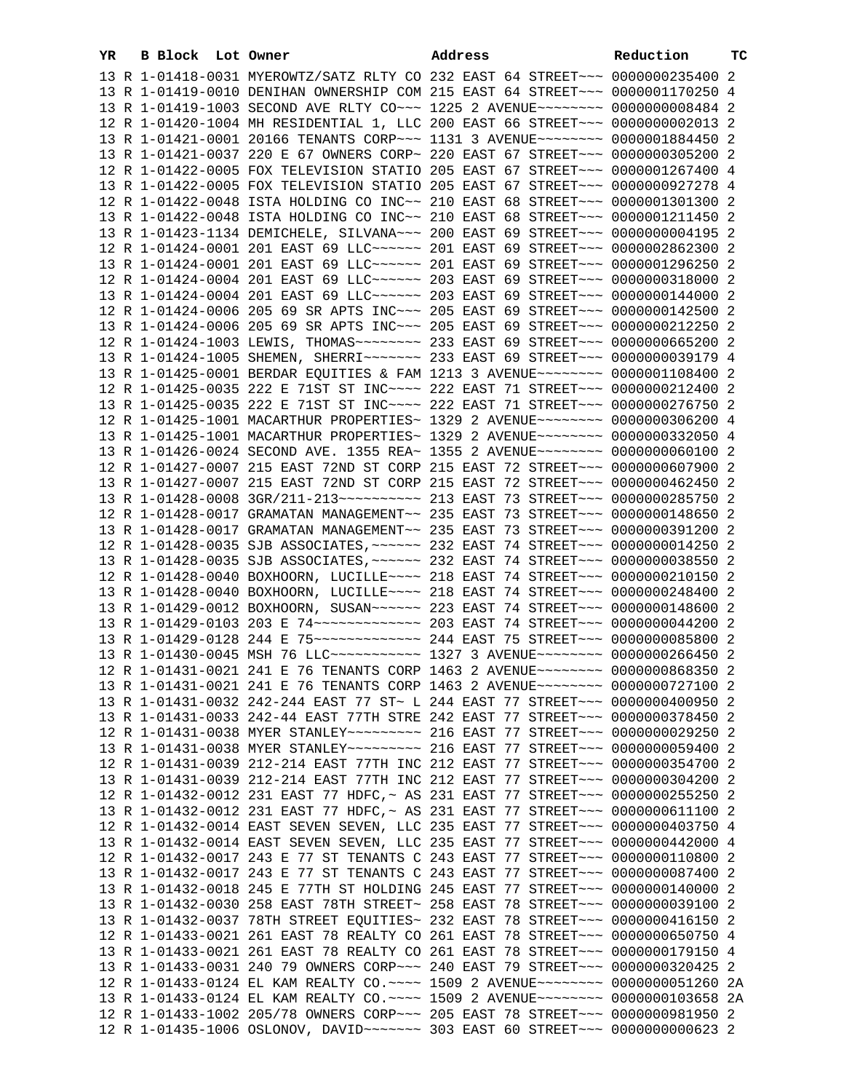| YR | B Block Lot Owner |                                                                                  | Address | Reduction | тc |
|----|-------------------|----------------------------------------------------------------------------------|---------|-----------|----|
|    |                   | 13 R 1-01418-0031 MYEROWTZ/SATZ RLTY CO 232 EAST 64 STREET~~~ 0000000235400 2    |         |           |    |
|    |                   | 13 R 1-01419-0010 DENIHAN OWNERSHIP COM 215 EAST 64 STREET~~~ 0000001170250 4    |         |           |    |
|    |                   | 13 R 1-01419-1003 SECOND AVE RLTY CO~~~ 1225 2 AVENUE~~~~~~~~ 0000000008484 2    |         |           |    |
|    |                   | 12 R 1-01420-1004 MH RESIDENTIAL 1, LLC 200 EAST 66 STREET~~~ 00000000002013 2   |         |           |    |
|    |                   | 13 R 1-01421-0001 20166 TENANTS CORP~~~ 1131 3 AVENUE~~~~~~~~ 0000001884450 2    |         |           |    |
|    |                   | 13 R 1-01421-0037 220 E 67 OWNERS CORP~ 220 EAST 67 STREET~~~ 0000000305200 2    |         |           |    |
|    |                   | 12 R 1-01422-0005 FOX TELEVISION STATIO 205 EAST 67 STREET~~~ 0000001267400 4    |         |           |    |
|    |                   | 13 R 1-01422-0005 FOX TELEVISION STATIO 205 EAST 67 STREET~~~ 0000000927278 4    |         |           |    |
|    |                   | 12 R 1-01422-0048 ISTA HOLDING CO INC~~ 210 EAST 68 STREET~~~ 0000001301300 2    |         |           |    |
|    |                   | 13 R 1-01422-0048 ISTA HOLDING CO INC~~ 210 EAST 68 STREET~~~ 0000001211450 2    |         |           |    |
|    |                   | 13 R 1-01423-1134 DEMICHELE, SILVANA~~~ 200 EAST 69 STREET~~~ 00000000004195 2   |         |           |    |
|    |                   | 12 R 1-01424-0001 201 EAST 69 LLC ------ 201 EAST 69 STREET --- 0000002862300 2  |         |           |    |
|    |                   | 13 R 1-01424-0001 201 EAST 69 LLC ------ 201 EAST 69 STREET --- 0000001296250 2  |         |           |    |
|    |                   | 12 R 1-01424-0004 201 EAST 69 LLC ----- 203 EAST 69 STREET -- 0000000318000 2    |         |           |    |
|    |                   | 13 R 1-01424-0004 201 EAST 69 LLC ----- 203 EAST 69 STREET -- 0000000144000 2    |         |           |    |
|    |                   | 12 R 1-01424-0006 205 69 SR APTS INC~~~ 205 EAST 69 STREET~~~ 0000000142500 2    |         |           |    |
|    |                   | 13 R 1-01424-0006 205 69 SR APTS INC~~~ 205 EAST 69 STREET~~~ 0000000212250 2    |         |           |    |
|    |                   | 12 R 1-01424-1003 LEWIS, THOMAS~~~~~~~~ 233 EAST 69 STREET~~~ 0000000665200 2    |         |           |    |
|    |                   | 13 R 1-01424-1005 SHEMEN, SHERRI~~~~~~~ 233 EAST 69 STREET~~~ 0000000039179 4    |         |           |    |
|    |                   | 13 R 1-01425-0001 BERDAR EQUITIES & FAM 1213 3 AVENUE~~~~~~~~ 0000001108400 2    |         |           |    |
|    |                   | 12 R 1-01425-0035 222 E 71ST ST INC~~~~ 222 EAST 71 STREET~~~ 0000000212400 2    |         |           |    |
|    |                   | 13 R 1-01425-0035 222 E 71ST ST INC~~~~ 222 EAST 71 STREET~~~ 0000000276750 2    |         |           |    |
|    |                   | 12 R 1-01425-1001 MACARTHUR PROPERTIES~ 1329 2 AVENUE~~~~~~~~ 0000000306200 4    |         |           |    |
|    |                   | 13 R 1-01425-1001 MACARTHUR PROPERTIES~ 1329 2 AVENUE~~~~~~~~ 0000000332050 4    |         |           |    |
|    |                   | 13 R 1-01426-0024 SECOND AVE. 1355 REA~ 1355 2 AVENUE~~~~~~~~ 0000000060100 2    |         |           |    |
|    |                   | 12 R 1-01427-0007 215 EAST 72ND ST CORP 215 EAST 72 STREET~~~ 0000000607900 2    |         |           |    |
|    |                   | 13 R 1-01427-0007 215 EAST 72ND ST CORP 215 EAST 72 STREET~~~ 0000000462450 2    |         |           |    |
|    |                   |                                                                                  |         |           |    |
|    |                   | 12 R 1-01428-0017 GRAMATAN MANAGEMENT~~ 235 EAST 73 STREET~~~ 0000000148650 2    |         |           |    |
|    |                   | 13 R 1-01428-0017 GRAMATAN MANAGEMENT~~ 235 EAST 73 STREET~~~ 0000000391200 2    |         |           |    |
|    |                   | 12 R 1-01428-0035 SJB ASSOCIATES, ~~~~~~ 232 EAST 74 STREET~~~ 0000000014250 2   |         |           |    |
|    |                   | 13 R 1-01428-0035 SJB ASSOCIATES, ~~~~~~ 232 EAST 74 STREET~~~ 0000000038550 2   |         |           |    |
|    |                   | 12 R 1-01428-0040 BOXHOORN, LUCILLE~~~~ 218 EAST 74 STREET~~~ 0000000210150 2    |         |           |    |
|    |                   | 13 R 1-01428-0040 BOXHOORN, LUCILLE~~~~ 218 EAST 74 STREET~~~ 0000000248400 2    |         |           |    |
|    |                   | 13 R 1-01429-0012 BOXHOORN, SUSAN~~~~~~ 223 EAST 74 STREET~~~ 0000000148600 2    |         |           |    |
|    |                   | 13 R 1-01429-0103 203 E 74 -------------- 203 EAST 74 STREET --- 0000000044200 2 |         |           |    |
|    |                   |                                                                                  |         |           |    |
|    |                   | 13 R 1-01430-0045 MSH 76 LLC ---------- 1327 3 AVENUE ------- 0000000266450 2    |         |           |    |
|    |                   | 12 R 1-01431-0021 241 E 76 TENANTS CORP 1463 2 AVENUE~~~~~~~~ 0000000868350 2    |         |           |    |
|    |                   | 13 R 1-01431-0021 241 E 76 TENANTS CORP 1463 2 AVENUE~~~~~~~~ 0000000727100 2    |         |           |    |
|    |                   | 13 R 1-01431-0032 242-244 EAST 77 ST~ L 244 EAST 77 STREET~~~ 0000000400950 2    |         |           |    |
|    |                   | 13 R 1-01431-0033 242-44 EAST 77TH STRE 242 EAST 77 STREET~~~ 0000000378450 2    |         |           |    |
|    |                   |                                                                                  |         |           |    |
|    |                   |                                                                                  |         |           |    |
|    |                   | 12 R 1-01431-0039 212-214 EAST 77TH INC 212 EAST 77 STREET~~~ 0000000354700 2    |         |           |    |
|    |                   | 13 R 1-01431-0039 212-214 EAST 77TH INC 212 EAST 77 STREET~~~ 0000000304200 2    |         |           |    |
|    |                   | 12 R 1-01432-0012 231 EAST 77 HDFC, ~ AS 231 EAST 77 STREET~~~ 0000000255250 2   |         |           |    |
|    |                   | 13 R 1-01432-0012 231 EAST 77 HDFC, ~ AS 231 EAST 77 STREET~~~ 0000000611100 2   |         |           |    |
|    |                   | 12 R 1-01432-0014 EAST SEVEN SEVEN, LLC 235 EAST 77 STREET~~~ 0000000403750 4    |         |           |    |
|    |                   | 13 R 1-01432-0014 EAST SEVEN SEVEN, LLC 235 EAST 77 STREET~~~ 0000000442000 4    |         |           |    |
|    |                   | 12 R 1-01432-0017 243 E 77 ST TENANTS C 243 EAST 77 STREET~~~ 0000000110800 2    |         |           |    |
|    |                   | 13 R 1-01432-0017 243 E 77 ST TENANTS C 243 EAST 77 STREET~~~ 0000000087400 2    |         |           |    |
|    |                   | 13 R 1-01432-0018 245 E 77TH ST HOLDING 245 EAST 77 STREET~~~ 0000000140000 2    |         |           |    |
|    |                   | 13 R 1-01432-0030 258 EAST 78TH STREET~ 258 EAST 78 STREET~~~ 0000000039100 2    |         |           |    |
|    |                   | 13 R 1-01432-0037 78TH STREET EQUITIES~ 232 EAST 78 STREET~~~ 0000000416150 2    |         |           |    |
|    |                   | 12 R 1-01433-0021 261 EAST 78 REALTY CO 261 EAST 78 STREET~~~ 0000000650750 4    |         |           |    |
|    |                   | 13 R 1-01433-0021 261 EAST 78 REALTY CO 261 EAST 78 STREET~~~ 0000000179150 4    |         |           |    |
|    |                   | 13 R 1-01433-0031 240 79 OWNERS CORP~~~ 240 EAST 79 STREET~~~ 0000000320425 2    |         |           |    |
|    |                   | 12 R 1-01433-0124 EL KAM REALTY CO.~~~~ 1509 2 AVENUE~~~~~~~~ 0000000051260 2A   |         |           |    |
|    |                   | 13 R 1-01433-0124 EL KAM REALTY CO.~~~~ 1509 2 AVENUE~~~~~~~~ 0000000103658 2A   |         |           |    |
|    |                   | 12 R 1-01433-1002 205/78 OWNERS CORP~~~ 205 EAST 78 STREET~~~ 0000000981950 2    |         |           |    |
|    |                   | 12 R 1-01435-1006 OSLONOV, DAVID~~~~~~~ 303 EAST 60 STREET~~~ 0000000000623 2    |         |           |    |
|    |                   |                                                                                  |         |           |    |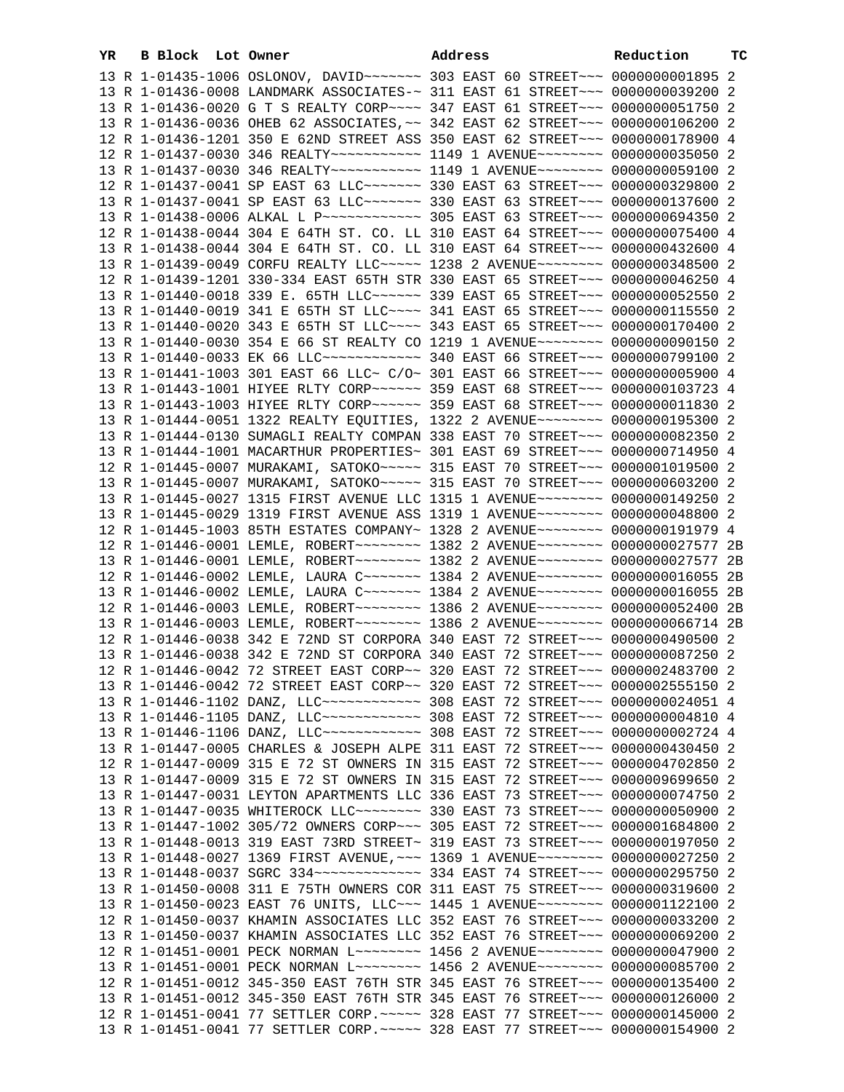| YR | B Block Lot Owner | Address                                                                                                                                                         | Reduction | тc |
|----|-------------------|-----------------------------------------------------------------------------------------------------------------------------------------------------------------|-----------|----|
|    |                   | 13 R 1-01435-1006 OSLONOV, DAVID ------ 303 EAST 60 STREET --- 00000000001895 2                                                                                 |           |    |
|    |                   | 13 R 1-01436-0008 LANDMARK ASSOCIATES-~ 311 EAST 61 STREET~~~ 0000000039200 2                                                                                   |           |    |
|    |                   | 13 R 1-01436-0020 G T S REALTY CORP~~~~ 347 EAST 61 STREET~~~ 0000000051750 2                                                                                   |           |    |
|    |                   | 13 R 1-01436-0036 OHEB 62 ASSOCIATES, ~~ 342 EAST 62 STREET~~~ 0000000106200 2                                                                                  |           |    |
|    |                   | 12 R 1-01436-1201 350 E 62ND STREET ASS 350 EAST 62 STREET~~~ 0000000178900 4                                                                                   |           |    |
|    |                   | 12 R 1-01437-0030 346 REALTY~~~~~~~~~~~~~~~~ 1149 1 AVENUE~~~~~~~~~ 0000000035050 2                                                                             |           |    |
|    |                   | 13 R 1-01437-0030 346 REALTY~~~~~~~~~~~ 1149 1 AVENUE~~~~~~~~ 0000000059100 2                                                                                   |           |    |
|    |                   | 12 R 1-01437-0041 SP EAST 63 LLC ------- 330 EAST 63 STREET --- 0000000329800 2                                                                                 |           |    |
|    |                   | 13 R 1-01437-0041 SP EAST 63 LLC ------- 330 EAST 63 STREET -- 0000000137600 2                                                                                  |           |    |
|    |                   | 13 R 1-01438-0006 ALKAL L P ------------ 305 EAST 63 STREET -- 00000000694350 2                                                                                 |           |    |
|    |                   | 12 R 1-01438-0044 304 E 64TH ST. CO. LL 310 EAST 64 STREET~~~ 0000000075400 4                                                                                   |           |    |
|    |                   | 13 R 1-01438-0044 304 E 64TH ST. CO. LL 310 EAST 64 STREET~~~ 0000000432600 4                                                                                   |           |    |
|    |                   | 13 R 1-01439-0049 CORFU REALTY LLC~~~~~ 1238 2 AVENUE~~~~~~~~ 0000000348500 2                                                                                   |           |    |
|    |                   | 12 R 1-01439-1201 330-334 EAST 65TH STR 330 EAST 65 STREET~~~ 0000000046250 4                                                                                   |           |    |
|    |                   | 13 R 1-01440-0018 339 E. 65TH LLC ----- 339 EAST 65 STREET -- 00000000052550 2                                                                                  |           |    |
|    |                   | 13 R 1-01440-0019 341 E 65TH ST LLC --- 341 EAST 65 STREET -- 0000000115550 2                                                                                   |           |    |
|    |                   | 13 R 1-01440-0020 343 E 65TH ST LLC~~~~ 343 EAST 65 STREET~~~ 0000000170400 2                                                                                   |           |    |
|    |                   | 13 R 1-01440-0030 354 E 66 ST REALTY CO 1219 1 AVENUE~~~~~~~~ 0000000090150 2                                                                                   |           |    |
|    |                   | 13 R 1-01440-0033 EK 66 LLC ------------ 340 EAST 66 STREET --- 0000000799100 2                                                                                 |           |    |
|    |                   | 13 R 1-01441-1003 301 EAST 66 LLC~ C/O~ 301 EAST 66 STREET~~~ 0000000005900 4                                                                                   |           |    |
|    |                   | 13 R 1-01443-1001 HIYEE RLTY CORP~~~~~~ 359 EAST 68 STREET~~~ 0000000103723 4                                                                                   |           |    |
|    |                   | 13 R 1-01443-1003 HIYEE RLTY CORP~~~~~~ 359 EAST 68 STREET~~~ 0000000011830 2                                                                                   |           |    |
|    |                   | 13 R 1-01444-0051 1322 REALTY EQUITIES, 1322 2 AVENUE~~~~~~~~ 0000000195300 2                                                                                   |           |    |
|    |                   | 13 R 1-01444-0130 SUMAGLI REALTY COMPAN 338 EAST 70 STREET~~~ 0000000082350 2                                                                                   |           |    |
|    |                   | 13 R 1-01444-1001 MACARTHUR PROPERTIES~ 301 EAST 69 STREET~~~ 0000000714950 4                                                                                   |           |    |
|    |                   | 12 R 1-01445-0007 MURAKAMI, SATOKO~~~~~ 315 EAST 70 STREET~~~ 0000001019500 2                                                                                   |           |    |
|    |                   | 13 R 1-01445-0007 MURAKAMI, SATOKO~~~~~ 315 EAST 70 STREET~~~ 0000000603200 2                                                                                   |           |    |
|    |                   | 13 R 1-01445-0027 1315 FIRST AVENUE LLC 1315 1 AVENUE~~~~~~~~ 0000000149250 2                                                                                   |           |    |
|    |                   | 13 R 1-01445-0029 1319 FIRST AVENUE ASS 1319 1 AVENUE~~~~~~~~ 0000000048800 2                                                                                   |           |    |
|    |                   | 12 R 1-01445-1003 85TH ESTATES COMPANY~ 1328 2 AVENUE~~~~~~~~ 0000000191979 4                                                                                   |           |    |
|    |                   | 12 R 1-01446-0001 LEMLE, ROBERT~~~~~~~~ 1382 2 AVENUE~~~~~~~~ 0000000027577 2B                                                                                  |           |    |
|    |                   | 13 R 1-01446-0001 LEMLE, ROBERT~~~~~~~~ 1382 2 AVENUE~~~~~~~~ 0000000027577 2B                                                                                  |           |    |
|    |                   | 12 R 1-01446-0002 LEMLE, LAURA C ------- 1384 2 AVENUE ------- 0000000016055 2B                                                                                 |           |    |
|    |                   | 13 R 1-01446-0002 LEMLE, LAURA C~~~~~~~ 1384 2 AVENUE~~~~~~~~ 0000000016055 2B                                                                                  |           |    |
|    |                   | 12 R 1-01446-0003 LEMLE, ROBERT~~~~~~~~ 1386 2 AVENUE~~~~~~~~ 0000000052400 2B                                                                                  |           |    |
|    |                   | 13 R 1-01446-0003 LEMLE, ROBERT~~~~~~~~ 1386 2 AVENUE~~~~~~~~ 0000000066714 2B                                                                                  |           |    |
|    |                   | 12 R 1-01446-0038 342 E 72ND ST CORPORA 340 EAST 72 STREET~~~ 0000000490500 2                                                                                   |           |    |
|    |                   | 13 R 1-01446-0038 342 E 72ND ST CORPORA 340 EAST 72 STREET~~~ 0000000087250 2                                                                                   |           |    |
|    |                   | 12 R 1-01446-0042 72 STREET EAST CORP~~ 320 EAST 72 STREET~~~ 0000002483700 2                                                                                   |           |    |
|    |                   | 13 R 1-01446-0042 72 STREET EAST CORP~~ 320 EAST 72 STREET~~~ 0000002555150 2                                                                                   |           |    |
|    |                   | 13 R 1-01446-1102 DANZ, LLC ------------ 308 EAST 72 STREET --- 0000000024051 4                                                                                 |           |    |
|    |                   | 13 R 1-01446-1105 DANZ, LLC ------------ 308 EAST 72 STREET --- 0000000004810 4                                                                                 |           |    |
|    |                   | 13 R 1-01446-1106 DANZ, LLC ------------ 308 EAST 72 STREET --- 0000000002724 4                                                                                 |           |    |
|    |                   | 13 R 1-01447-0005 CHARLES & JOSEPH ALPE 311 EAST 72 STREET~~~ 0000000430450 2                                                                                   |           |    |
|    |                   | 12 R 1-01447-0009 315 E 72 ST OWNERS IN 315 EAST 72 STREET~~~ 0000004702850 2                                                                                   |           |    |
|    |                   | 13 R 1-01447-0009 315 E 72 ST OWNERS IN 315 EAST 72 STREET~~~ 0000009699650 2                                                                                   |           |    |
|    |                   | 13 R 1-01447-0031 LEYTON APARTMENTS LLC 336 EAST 73 STREET~~~ 0000000074750 2                                                                                   |           |    |
|    |                   | 13 R 1-01447-0035 WHITEROCK LLC -------- 330 EAST 73 STREET --- 0000000050900 2                                                                                 |           |    |
|    |                   | 13 R 1-01447-1002 305/72 OWNERS CORP~~~ 305 EAST 72 STREET~~~ 0000001684800 2                                                                                   |           |    |
|    |                   | 13 R 1-01448-0013 319 EAST 73RD STREET~ 319 EAST 73 STREET~~~ 0000000197050 2                                                                                   |           |    |
|    |                   | 13 R 1-01448-0027 1369 FIRST AVENUE, ~~~ 1369 1 AVENUE~~~~~~~~ 0000000027250 2                                                                                  |           |    |
|    |                   |                                                                                                                                                                 |           |    |
|    |                   | 13 R 1-01450-0008 311 E 75TH OWNERS COR 311 EAST 75 STREET~~~ 0000000319600 2                                                                                   |           |    |
|    |                   | 13 R 1-01450-0023 EAST 76 UNITS, LLC ~~~ 1445 1 AVENUE ~~~~~~~~ 0000001122100 2                                                                                 |           |    |
|    |                   | 12 R 1-01450-0037 KHAMIN ASSOCIATES LLC 352 EAST 76 STREET~~~ 0000000033200 2                                                                                   |           |    |
|    |                   | 13 R 1-01450-0037 KHAMIN ASSOCIATES LLC 352 EAST 76 STREET~~~ 0000000069200 2                                                                                   |           |    |
|    |                   | 12 R 1-01451-0001 PECK NORMAN L~~~~~~~~ 1456 2 AVENUE~~~~~~~~ 0000000047900 2<br>13 R 1-01451-0001 PECK NORMAN L~~~~~~~~~ 1456 2 AVENUE~~~~~~~~ 0000000085700 2 |           |    |
|    |                   | 12 R 1-01451-0012 345-350 EAST 76TH STR 345 EAST 76 STREET~~~ 0000000135400 2                                                                                   |           |    |
|    |                   | 13 R 1-01451-0012 345-350 EAST 76TH STR 345 EAST 76 STREET~~~ 0000000126000 2                                                                                   |           |    |
|    |                   | 12 R 1-01451-0041 77 SETTLER CORP. ~~~~~ 328 EAST 77 STREET~~~ 0000000145000 2                                                                                  |           |    |
|    |                   | 13 R 1-01451-0041 77 SETTLER CORP. ~~~~~ 328 EAST 77 STREET~~~ 0000000154900 2                                                                                  |           |    |
|    |                   |                                                                                                                                                                 |           |    |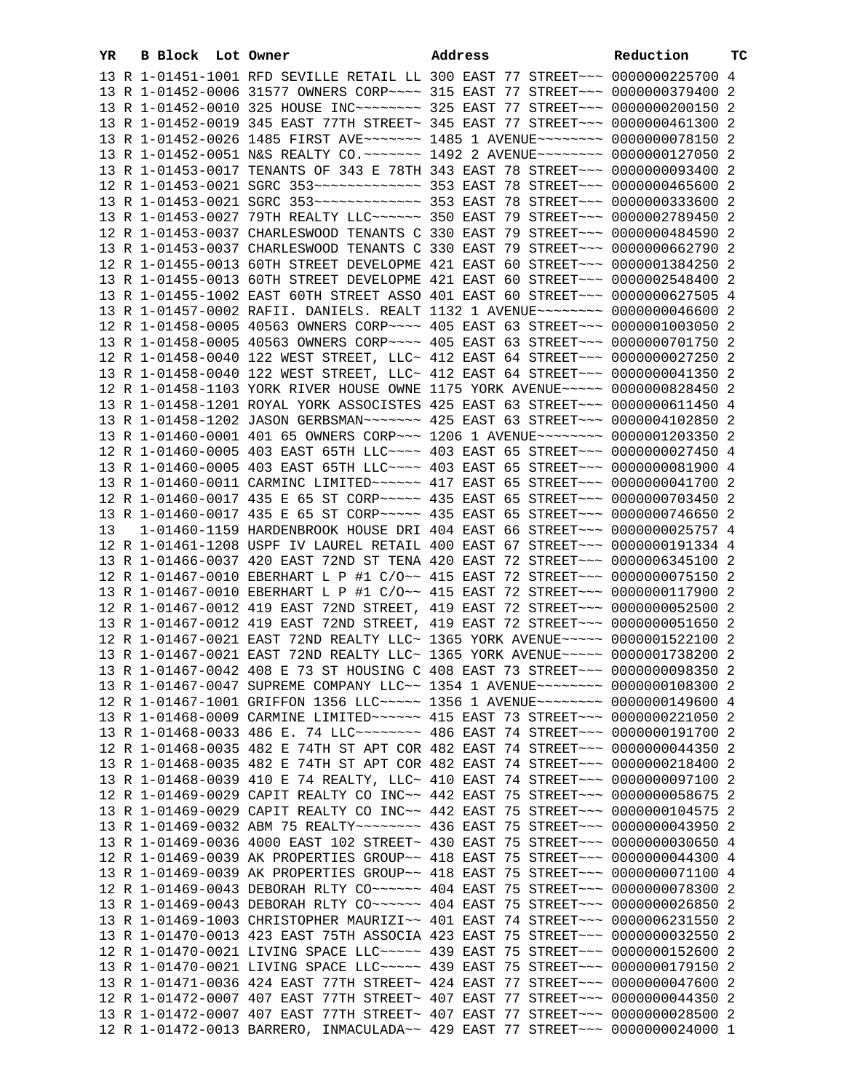| YR | B Block Lot Owner |                                                                                                                                                                | Address | Reduction | тC |
|----|-------------------|----------------------------------------------------------------------------------------------------------------------------------------------------------------|---------|-----------|----|
|    |                   | 13 R 1-01451-1001 RFD SEVILLE RETAIL LL 300 EAST 77 STREET~~~ 0000000225700 4                                                                                  |         |           |    |
|    |                   | 13 R 1-01452-0006 31577 OWNERS CORP~~~~ 315 EAST 77 STREET~~~ 0000000379400 2                                                                                  |         |           |    |
|    |                   | 13 R 1-01452-0010 325 HOUSE INC~~~~~~~~ 325 EAST 77 STREET~~~ 0000000200150 2                                                                                  |         |           |    |
|    |                   | 13 R 1-01452-0019 345 EAST 77TH STREET~ 345 EAST 77 STREET~~~ 0000000461300 2                                                                                  |         |           |    |
|    |                   | 13 R 1-01452-0026 1485 FIRST AVE~~~~~~~ 1485 1 AVENUE~~~~~~~~ 0000000078150 2                                                                                  |         |           |    |
|    |                   | 13 R 1-01452-0051 N&S REALTY CO.~~~~~~~ 1492 2 AVENUE~~~~~~~~ 0000000127050 2                                                                                  |         |           |    |
|    |                   | 13 R 1-01453-0017 TENANTS OF 343 E 78TH 343 EAST 78 STREET~~~ 0000000093400 2                                                                                  |         |           |    |
|    |                   |                                                                                                                                                                |         |           |    |
|    |                   |                                                                                                                                                                |         |           |    |
|    |                   | 13 R 1-01453-0027 79TH REALTY LLC ----- 350 EAST 79 STREET -- 0000002789450 2                                                                                  |         |           |    |
|    |                   | 12 R 1-01453-0037 CHARLESWOOD TENANTS C 330 EAST 79 STREET~~~ 0000000484590 2                                                                                  |         |           |    |
|    |                   | 13 R 1-01453-0037 CHARLESWOOD TENANTS C 330 EAST 79 STREET~~~ 0000000662790 2                                                                                  |         |           |    |
|    |                   | 12 R 1-01455-0013 60TH STREET DEVELOPME 421 EAST 60 STREET~~~ 0000001384250 2                                                                                  |         |           |    |
|    |                   |                                                                                                                                                                |         |           |    |
|    |                   | 13 R 1-01455-0013 60TH STREET DEVELOPME 421 EAST 60 STREET~~~ 0000002548400 2                                                                                  |         |           |    |
|    |                   | 13 R 1-01455-1002 EAST 60TH STREET ASSO 401 EAST 60 STREET~~~ 0000000627505 4                                                                                  |         |           |    |
|    |                   | 13 R 1-01457-0002 RAFII. DANIELS. REALT 1132 1 AVENUE~~~~~~~~ 0000000046600 2<br>12 R 1-01458-0005 40563 OWNERS CORP~~~~ 405 EAST 63 STREET~~~ 0000001003050 2 |         |           |    |
|    |                   |                                                                                                                                                                |         |           |    |
|    |                   | 13 R 1-01458-0005 40563 OWNERS CORP~~~~ 405 EAST 63 STREET~~~ 0000000701750 2                                                                                  |         |           |    |
|    |                   | 12 R 1-01458-0040 122 WEST STREET, LLC~ 412 EAST 64 STREET~~~ 0000000027250 2                                                                                  |         |           |    |
|    |                   | 13 R 1-01458-0040 122 WEST STREET, LLC~ 412 EAST 64 STREET~~~ 0000000041350 2                                                                                  |         |           |    |
|    |                   | 12 R 1-01458-1103 YORK RIVER HOUSE OWNE 1175 YORK AVENUE~~~~~ 0000000828450 2                                                                                  |         |           |    |
|    |                   | 13 R 1-01458-1201 ROYAL YORK ASSOCISTES 425 EAST 63 STREET~~~ 0000000611450 4                                                                                  |         |           |    |
|    |                   | 13 R 1-01458-1202 JASON GERBSMAN~~~~~~~ 425 EAST 63 STREET~~~ 0000004102850 2                                                                                  |         |           |    |
|    |                   | 13 R 1-01460-0001 401 65 OWNERS CORP~~~ 1206 1 AVENUE~~~~~~~~ 0000001203350 2                                                                                  |         |           |    |
|    |                   | 12 R 1-01460-0005 403 EAST 65TH LLC --- 403 EAST 65 STREET -- 0000000027450 4                                                                                  |         |           |    |
|    |                   | 13 R 1-01460-0005 403 EAST 65TH LLC~~~~ 403 EAST 65 STREET~~~ 0000000081900 4                                                                                  |         |           |    |
|    |                   | 13 R 1-01460-0011 CARMINC LIMITED~~~~~~ 417 EAST 65 STREET~~~ 0000000041700 2                                                                                  |         |           |    |
|    |                   | 12 R 1-01460-0017 435 E 65 ST CORP~~~~~ 435 EAST 65 STREET~~~ 0000000703450 2                                                                                  |         |           |    |
|    |                   | 13 R 1-01460-0017 435 E 65 ST CORP~~~~~ 435 EAST 65 STREET~~~ 0000000746650 2                                                                                  |         |           |    |
| 13 |                   | 1-01460-1159 HARDENBROOK HOUSE DRI 404 EAST 66 STREET~~~ 0000000025757 4                                                                                       |         |           |    |
|    |                   | 12 R 1-01461-1208 USPF IV LAUREL RETAIL 400 EAST 67 STREET~~~ 0000000191334 4                                                                                  |         |           |    |
|    |                   | 13 R 1-01466-0037 420 EAST 72ND ST TENA 420 EAST 72 STREET~~~ 0000006345100 2                                                                                  |         |           |    |
|    |                   | 12 R 1-01467-0010 EBERHART L P #1 C/O~~ 415 EAST 72 STREET~~~ 0000000075150 2                                                                                  |         |           |    |
|    |                   | 13 R 1-01467-0010 EBERHART L P #1 C/O~~ 415 EAST 72 STREET~~~ 0000000117900 2                                                                                  |         |           |    |
|    |                   | 12 R 1-01467-0012 419 EAST 72ND STREET, 419 EAST 72 STREET~~~ 0000000052500 2                                                                                  |         |           |    |
|    |                   | 13 R 1-01467-0012 419 EAST 72ND STREET, 419 EAST 72 STREET~~~ 0000000051650 2                                                                                  |         |           |    |
|    |                   | 12 R 1-01467-0021 EAST 72ND REALTY LLC~ 1365 YORK AVENUE~~~~~ 0000001522100 2                                                                                  |         |           |    |
|    |                   | 13 R 1-01467-0021 EAST 72ND REALTY LLC~ 1365 YORK AVENUE~~~~~ 0000001738200 2<br>13 R 1-01467-0042 408 E 73 ST HOUSING C 408 EAST 73 STREET~~~ 0000000098350 2 |         |           |    |
|    |                   |                                                                                                                                                                |         |           |    |
|    |                   | 13 R 1-01467-0047 SUPREME COMPANY LLC~~ 1354 1 AVENUE~~~~~~~~ 0000000108300 2                                                                                  |         |           |    |
|    |                   | 12 R 1-01467-1001 GRIFFON 1356 LLC~~~~~ 1356 1 AVENUE~~~~~~~~ 0000000149600 4                                                                                  |         |           |    |
|    |                   | 13 R 1-01468-0009 CARMINE LIMITED~~~~~~ 415 EAST 73 STREET~~~ 0000000221050 2                                                                                  |         |           |    |
|    |                   | 13 R 1-01468-0033 486 E. 74 LLC ------- 486 EAST 74 STREET -- 0000000191700 2<br>12 R 1-01468-0035 482 E 74TH ST APT COR 482 EAST 74 STREET~~~ 0000000044350 2 |         |           |    |
|    |                   | 13 R 1-01468-0035 482 E 74TH ST APT COR 482 EAST 74 STREET~~~ 0000000218400 2                                                                                  |         |           |    |
|    |                   | 13 R 1-01468-0039 410 E 74 REALTY, LLC~ 410 EAST 74 STREET~~~ 0000000097100 2                                                                                  |         |           |    |
|    |                   | 12 R 1-01469-0029 CAPIT REALTY CO INC~~ 442 EAST 75 STREET~~~ 0000000058675 2                                                                                  |         |           |    |
|    |                   | 13 R 1-01469-0029 CAPIT REALTY CO INC~~ 442 EAST 75 STREET~~~ 0000000104575 2                                                                                  |         |           |    |
|    |                   | 13 R 1-01469-0032 ABM 75 REALTY~~~~~~~~ 436 EAST 75 STREET~~~ 0000000043950 2                                                                                  |         |           |    |
|    |                   | 13 R 1-01469-0036 4000 EAST 102 STREET~ 430 EAST 75 STREET~~~ 0000000030650 4                                                                                  |         |           |    |
|    |                   | 12 R 1-01469-0039 AK PROPERTIES GROUP~~ 418 EAST 75 STREET~~~ 0000000044300 4                                                                                  |         |           |    |
|    |                   | 13 R 1-01469-0039 AK PROPERTIES GROUP~~ 418 EAST 75 STREET~~~ 0000000071100 4                                                                                  |         |           |    |
|    |                   | 12 R 1-01469-0043 DEBORAH RLTY CO~~~~~~ 404 EAST 75 STREET~~~ 0000000078300 2                                                                                  |         |           |    |
|    |                   | 13 R 1-01469-0043 DEBORAH RLTY CO~~~~~~ 404 EAST 75 STREET~~~ 0000000026850 2                                                                                  |         |           |    |
|    |                   | 13 R 1-01469-1003 CHRISTOPHER MAURIZI~~ 401 EAST 74 STREET~~~ 0000006231550 2                                                                                  |         |           |    |
|    |                   | 13 R 1-01470-0013 423 EAST 75TH ASSOCIA 423 EAST 75 STREET~~~ 0000000032550 2                                                                                  |         |           |    |
|    |                   | 12 R 1-01470-0021 LIVING SPACE LLC~~~~~ 439 EAST 75 STREET~~~ 0000000152600 2                                                                                  |         |           |    |
|    |                   | 13 R 1-01470-0021 LIVING SPACE LLC~~~~~ 439 EAST 75 STREET~~~ 0000000179150 2                                                                                  |         |           |    |
|    |                   | 13 R 1-01471-0036 424 EAST 77TH STREET~ 424 EAST 77 STREET~~~ 0000000047600 2                                                                                  |         |           |    |
|    |                   | 12 R 1-01472-0007 407 EAST 77TH STREET~ 407 EAST 77 STREET~~~ 0000000044350 2                                                                                  |         |           |    |
|    |                   | 13 R 1-01472-0007 407 EAST 77TH STREET~ 407 EAST 77 STREET~~~ 0000000028500 2                                                                                  |         |           |    |
|    |                   | 12 R 1-01472-0013 BARRERO, INMACULADA~~ 429 EAST 77 STREET~~~ 0000000024000 1                                                                                  |         |           |    |
|    |                   |                                                                                                                                                                |         |           |    |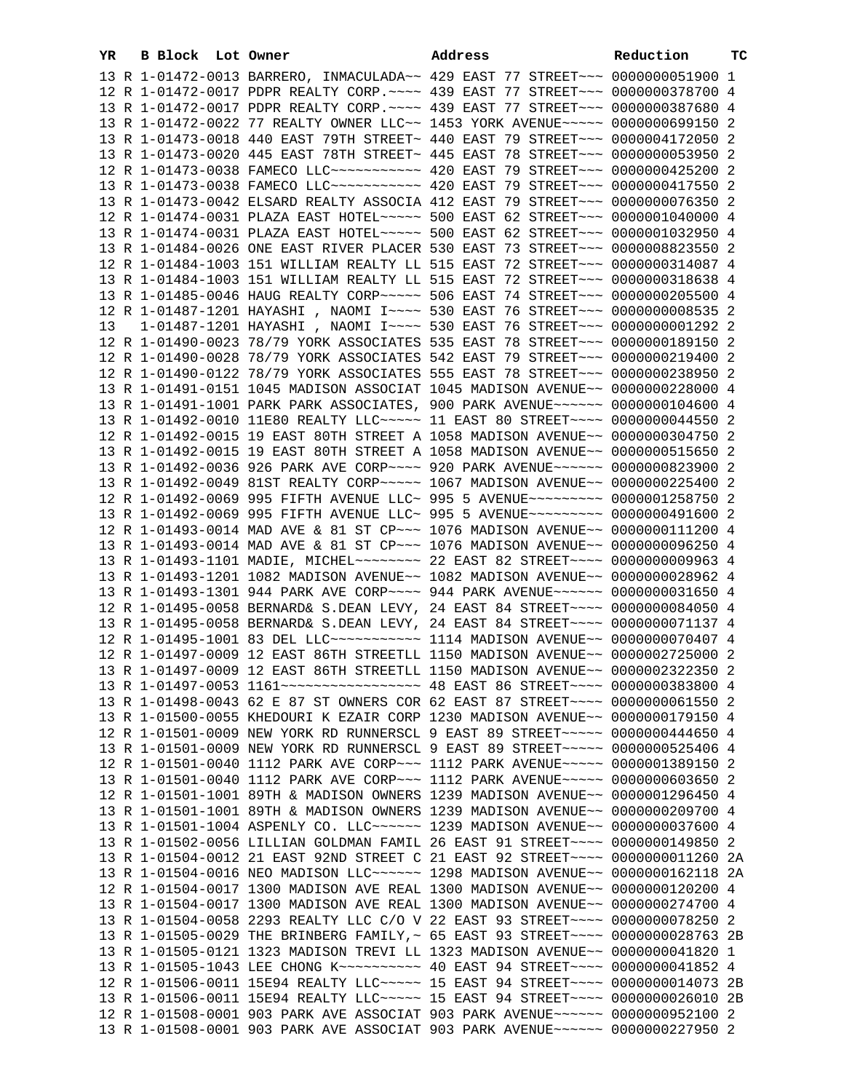| YR | B Block Lot Owner | Address                                                                                                                                                          | Reduction | ТC |
|----|-------------------|------------------------------------------------------------------------------------------------------------------------------------------------------------------|-----------|----|
|    |                   | 13 R 1-01472-0013 BARRERO, INMACULADA~~ 429 EAST 77 STREET~~~ 0000000051900 1                                                                                    |           |    |
|    |                   | 12 R 1-01472-0017 PDPR REALTY CORP. ~~~~ 439 EAST 77 STREET~~~ 0000000378700 4                                                                                   |           |    |
|    |                   | 13 R 1-01472-0017 PDPR REALTY CORP. ~~~~ 439 EAST 77 STREET~~~ 0000000387680 4                                                                                   |           |    |
|    |                   | 13 R 1-01472-0022 77 REALTY OWNER LLC~~ 1453 YORK AVENUE~~~~~ 0000000699150 2                                                                                    |           |    |
|    |                   | 13 R 1-01473-0018 440 EAST 79TH STREET~ 440 EAST 79 STREET~~~ 0000004172050 2                                                                                    |           |    |
|    |                   | 13 R 1-01473-0020 445 EAST 78TH STREET~ 445 EAST 78 STREET~~~ 0000000053950 2                                                                                    |           |    |
|    |                   | 12 R 1-01473-0038 FAMECO LLC ----------- 420 EAST 79 STREET --- 0000000425200 2                                                                                  |           |    |
|    |                   | 13 R 1-01473-0038 FAMECO LLC ----------- 420 EAST 79 STREET -- 0000000417550 2                                                                                   |           |    |
|    |                   | 13 R 1-01473-0042 ELSARD REALTY ASSOCIA 412 EAST 79 STREET~~~ 0000000076350 2                                                                                    |           |    |
|    |                   | 12 R 1-01474-0031 PLAZA EAST HOTEL~~~~~ 500 EAST 62 STREET~~~ 0000001040000 4                                                                                    |           |    |
|    |                   | 13 R 1-01474-0031 PLAZA EAST HOTEL~~~~~ 500 EAST 62 STREET~~~ 0000001032950 4                                                                                    |           |    |
|    |                   | 13 R 1-01484-0026 ONE EAST RIVER PLACER 530 EAST 73 STREET~~~ 0000008823550 2                                                                                    |           |    |
|    |                   | 12 R 1-01484-1003 151 WILLIAM REALTY LL 515 EAST 72 STREET~~~ 0000000314087 4                                                                                    |           |    |
|    |                   | 13 R 1-01484-1003 151 WILLIAM REALTY LL 515 EAST 72 STREET~~~ 0000000318638 4                                                                                    |           |    |
|    |                   | 13 R 1-01485-0046 HAUG REALTY CORP~~~~~ 506 EAST 74 STREET~~~ 0000000205500 4                                                                                    |           |    |
|    |                   | 12 R 1-01487-1201 HAYASHI , NAOMI I~~~~ 530 EAST 76 STREET~~~ 00000000008535 2                                                                                   |           |    |
| 13 |                   | 1-01487-1201 HAYASHI , NAOMI I~~~~ 530 EAST 76 STREET~~~ 0000000001292 2                                                                                         |           |    |
|    |                   | 12 R 1-01490-0023 78/79 YORK ASSOCIATES 535 EAST 78 STREET~~~ 0000000189150 2                                                                                    |           |    |
|    |                   | 12 R 1-01490-0028 78/79 YORK ASSOCIATES 542 EAST 79 STREET~~~ 0000000219400 2                                                                                    |           |    |
|    |                   | 12 R 1-01490-0122 78/79 YORK ASSOCIATES 555 EAST 78 STREET~~~ 0000000238950 2                                                                                    |           |    |
|    |                   | 13 R 1-01491-0151 1045 MADISON ASSOCIAT 1045 MADISON AVENUE~~ 0000000228000 4                                                                                    |           |    |
|    |                   | 13 R 1-01491-1001 PARK PARK ASSOCIATES, 900 PARK AVENUE~~~~~~ 0000000104600 4                                                                                    |           |    |
|    |                   | 13 R 1-01492-0010 11E80 REALTY LLC~~~~~ 11 EAST 80 STREET~~~~ 0000000044550 2                                                                                    |           |    |
|    |                   | 12 R 1-01492-0015 19 EAST 80TH STREET A 1058 MADISON AVENUE~~ 0000000304750 2                                                                                    |           |    |
|    |                   | 13 R 1-01492-0015 19 EAST 80TH STREET A 1058 MADISON AVENUE~~ 0000000515650 2                                                                                    |           |    |
|    |                   | 13 R 1-01492-0036 926 PARK AVE CORP~~~~ 920 PARK AVENUE~~~~~~ 0000000823900 2                                                                                    |           |    |
|    |                   | 13 R 1-01492-0049 81ST REALTY CORP~~~~~ 1067 MADISON AVENUE~~ 0000000225400 2                                                                                    |           |    |
|    |                   | 12 R 1-01492-0069 995 FIFTH AVENUE LLC~ 995 5 AVENUE~~~~~~~~~ 0000001258750 2                                                                                    |           |    |
|    |                   | 13 R 1-01492-0069 995 FIFTH AVENUE LLC~ 995 5 AVENUE~~~~~~~~~ 0000000491600 2                                                                                    |           |    |
|    |                   | 12 R 1-01493-0014 MAD AVE & 81 ST CP~~~ 1076 MADISON AVENUE~~ 0000000111200 4                                                                                    |           |    |
|    |                   | 13 R 1-01493-0014 MAD AVE & 81 ST CP~~~ 1076 MADISON AVENUE~~ 0000000096250 4                                                                                    |           |    |
|    |                   | 13 R 1-01493-1101 MADIE, MICHEL~~~~~~~~ 22 EAST 82 STREET~~~~ 0000000009963 4                                                                                    |           |    |
|    |                   | 13 R 1-01493-1201 1082 MADISON AVENUE~~ 1082 MADISON AVENUE~~ 0000000028962 4                                                                                    |           |    |
|    |                   | 13 R 1-01493-1301 944 PARK AVE CORP~~~~ 944 PARK AVENUE~~~~~~ 0000000031650 4                                                                                    |           |    |
|    |                   | 12 R 1-01495-0058 BERNARD& S.DEAN LEVY, 24 EAST 84 STREET~~~~ 0000000084050 4                                                                                    |           |    |
|    |                   | 13 R 1-01495-0058 BERNARD& S.DEAN LEVY, 24 EAST 84 STREET~~~~ 0000000071137 4                                                                                    |           |    |
|    |                   | 12 R 1-01495-1001 83 DEL LLC ----------- 1114 MADISON AVENUE -- 0000000070407 4                                                                                  |           |    |
|    |                   | 12 R 1-01497-0009 12 EAST 86TH STREETLL 1150 MADISON AVENUE~~ 0000002725000 2                                                                                    |           |    |
|    |                   | 13 R 1-01497-0009 12 EAST 86TH STREETLL 1150 MADISON AVENUE~~ 0000002322350 2                                                                                    |           |    |
|    |                   |                                                                                                                                                                  |           |    |
|    |                   | 13 R 1-01498-0043 62 E 87 ST OWNERS COR 62 EAST 87 STREET~~~~ 0000000061550 2                                                                                    |           |    |
|    |                   | 13 R 1-01500-0055 KHEDOURI K EZAIR CORP 1230 MADISON AVENUE~~ 0000000179150 4                                                                                    |           |    |
|    |                   | 12 R 1-01501-0009 NEW YORK RD RUNNERSCL 9 EAST 89 STREET~~~~~ 0000000444650 4                                                                                    |           |    |
|    |                   | 13 R 1-01501-0009 NEW YORK RD RUNNERSCL 9 EAST 89 STREET~~~~~ 0000000525406 4                                                                                    |           |    |
|    |                   | 12 R 1-01501-0040 1112 PARK AVE CORP~~~ 1112 PARK AVENUE~~~~~ 0000001389150 2                                                                                    |           |    |
|    |                   | 13 R 1-01501-0040 1112 PARK AVE CORP~~~ 1112 PARK AVENUE~~~~~ 0000000603650 2                                                                                    |           |    |
|    |                   | 12 R 1-01501-1001 89TH & MADISON OWNERS 1239 MADISON AVENUE~~ 0000001296450 4                                                                                    |           |    |
|    |                   | 13 R 1-01501-1001 89TH & MADISON OWNERS 1239 MADISON AVENUE~~ 0000000209700 4                                                                                    |           |    |
|    |                   | 13 R 1-01501-1004 ASPENLY CO. LLC ~~~~~~ 1239 MADISON AVENUE ~~ 0000000037600 4<br>13 R 1-01502-0056 LILLIAN GOLDMAN FAMIL 26 EAST 91 STREET~~~~ 0000000149850 2 |           |    |
|    |                   | 13 R 1-01504-0012 21 EAST 92ND STREET C 21 EAST 92 STREET~~~~ 0000000011260 2A                                                                                   |           |    |
|    |                   | 13 R 1-01504-0016 NEO MADISON LLC~~~~~~ 1298 MADISON AVENUE~~ 0000000162118 2A                                                                                   |           |    |
|    |                   | 12 R 1-01504-0017 1300 MADISON AVE REAL 1300 MADISON AVENUE~~ 0000000120200 4                                                                                    |           |    |
|    |                   | 13 R 1-01504-0017 1300 MADISON AVE REAL 1300 MADISON AVENUE~~ 0000000274700 4                                                                                    |           |    |
|    |                   | 13 R 1-01504-0058 2293 REALTY LLC C/O V 22 EAST 93 STREET~~~~ 0000000078250 2                                                                                    |           |    |
|    |                   | 13 R 1-01505-0029 THE BRINBERG FAMILY, ~ 65 EAST 93 STREET~~~~ 0000000028763 2B                                                                                  |           |    |
|    |                   | 13 R 1-01505-0121 1323 MADISON TREVI LL 1323 MADISON AVENUE~~ 0000000041820 1                                                                                    |           |    |
|    |                   | 13 R 1-01505-1043 LEE CHONG K~~~~~~~~~~ 40 EAST 94 STREET~~~~ 0000000041852 4                                                                                    |           |    |
|    |                   | 12 R 1-01506-0011 15E94 REALTY LLC ----- 15 EAST 94 STREET ---- 0000000014073 2B                                                                                 |           |    |
|    |                   | 13 R 1-01506-0011 15E94 REALTY LLC ---- 15 EAST 94 STREET --- 0000000026010 2B                                                                                   |           |    |
|    |                   | 12 R 1-01508-0001 903 PARK AVE ASSOCIAT 903 PARK AVENUE~~~~~~ 0000000952100 2                                                                                    |           |    |
|    |                   | 13 R 1-01508-0001 903 PARK AVE ASSOCIAT 903 PARK AVENUE~~~~~~ 0000000227950 2                                                                                    |           |    |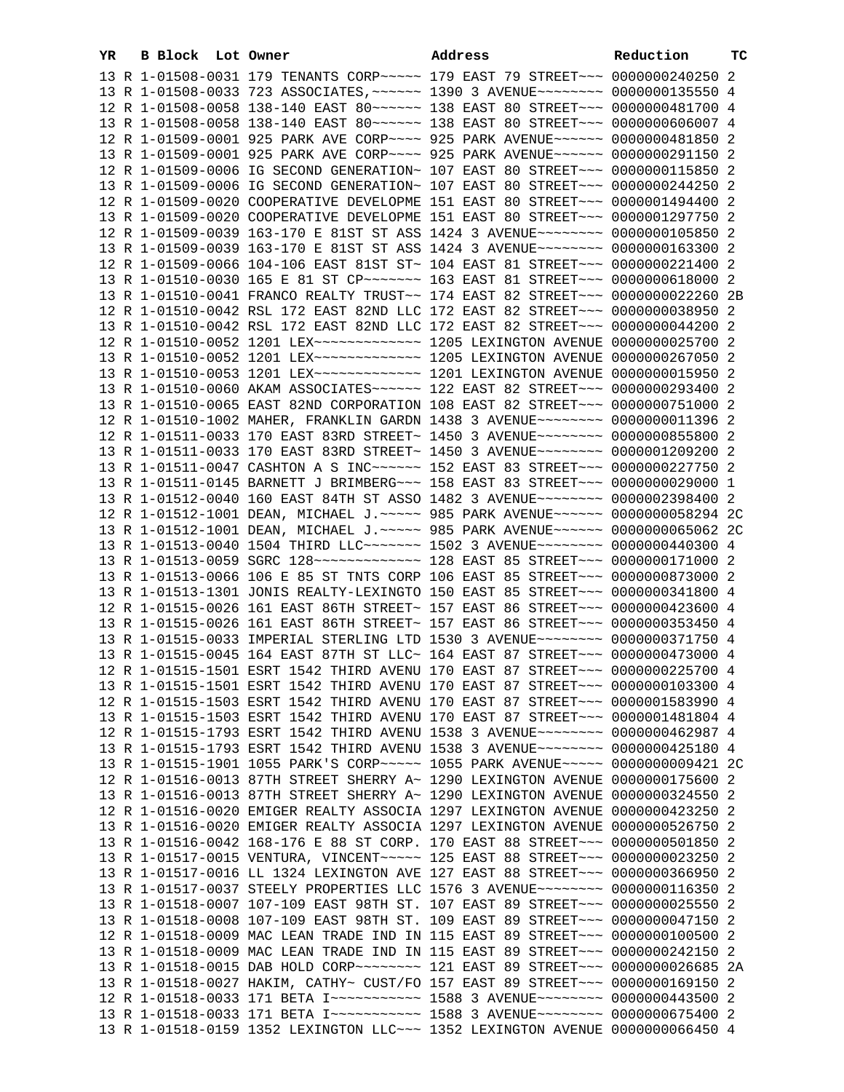| YR | B Block Lot Owner | Address                                                                                                                                                        | Reduction | тc |
|----|-------------------|----------------------------------------------------------------------------------------------------------------------------------------------------------------|-----------|----|
|    |                   | 13 R 1-01508-0031 179 TENANTS CORP~~~~~ 179 EAST 79 STREET~~~ 0000000240250 2                                                                                  |           |    |
|    |                   | 13 R 1-01508-0033 723 ASSOCIATES, ~~~~~~ 1390 3 AVENUE~~~~~~~~ 0000000135550 4                                                                                 |           |    |
|    |                   | 12 R 1-01508-0058 138-140 EAST 80~~~~~~ 138 EAST 80 STREET~~~ 0000000481700 4                                                                                  |           |    |
|    |                   | 13 R 1-01508-0058 138-140 EAST 80~~~~~~ 138 EAST 80 STREET~~~ 0000000606007 4                                                                                  |           |    |
|    |                   | 12 R 1-01509-0001 925 PARK AVE CORP~~~~ 925 PARK AVENUE~~~~~~ 0000000481850 2                                                                                  |           |    |
|    |                   | 13 R 1-01509-0001 925 PARK AVE CORP~~~~ 925 PARK AVENUE~~~~~~ 0000000291150 2                                                                                  |           |    |
|    |                   | 12 R 1-01509-0006 IG SECOND GENERATION~ 107 EAST 80 STREET~~~ 0000000115850 2                                                                                  |           |    |
|    |                   | 13 R 1-01509-0006 IG SECOND GENERATION~ 107 EAST 80 STREET~~~ 0000000244250 2                                                                                  |           |    |
|    |                   | 12 R 1-01509-0020 COOPERATIVE DEVELOPME 151 EAST 80 STREET~~~ 0000001494400 2                                                                                  |           |    |
|    |                   | 13 R 1-01509-0020 COOPERATIVE DEVELOPME 151 EAST 80 STREET~~~ 0000001297750 2                                                                                  |           |    |
|    |                   | 12 R 1-01509-0039 163-170 E 81ST ST ASS 1424 3 AVENUE~~~~~~~~ 0000000105850 2                                                                                  |           |    |
|    |                   | 13 R 1-01509-0039 163-170 E 81ST ST ASS 1424 3 AVENUE~~~~~~~~ 0000000163300 2                                                                                  |           |    |
|    |                   | 12 R 1-01509-0066 104-106 EAST 81ST ST~ 104 EAST 81 STREET~~~ 0000000221400 2                                                                                  |           |    |
|    |                   | 13 R 1-01510-0030 165 E 81 ST CP~~~~~~~ 163 EAST 81 STREET~~~ 0000000618000 2                                                                                  |           |    |
|    |                   | 13 R 1-01510-0041 FRANCO REALTY TRUST~~ 174 EAST 82 STREET~~~ 0000000022260 2B                                                                                 |           |    |
|    |                   | 12 R 1-01510-0042 RSL 172 EAST 82ND LLC 172 EAST 82 STREET~~~ 0000000038950 2                                                                                  |           |    |
|    |                   | 13 R 1-01510-0042 RSL 172 EAST 82ND LLC 172 EAST 82 STREET~~~ 0000000044200 2                                                                                  |           |    |
|    |                   | 12 R 1-01510-0052 1201 LEX ------------- 1205 LEXINGTON AVENUE 0000000025700 2                                                                                 |           |    |
|    |                   | 13 R 1-01510-0052 1201 LEX ------------- 1205 LEXINGTON AVENUE 0000000267050 2                                                                                 |           |    |
|    |                   | 13 R 1-01510-0053 1201 LEX ------------ 1201 LEXINGTON AVENUE 0000000015950 2                                                                                  |           |    |
|    |                   |                                                                                                                                                                |           |    |
|    |                   | 13 R 1-01510-0060 AKAM ASSOCIATES~~~~~~ 122 EAST 82 STREET~~~ 0000000293400 2                                                                                  |           |    |
|    |                   | 13 R 1-01510-0065 EAST 82ND CORPORATION 108 EAST 82 STREET~~~ 0000000751000 2                                                                                  |           |    |
|    |                   | 12 R 1-01510-1002 MAHER, FRANKLIN GARDN 1438 3 AVENUE~~~~~~~~ 0000000011396 2                                                                                  |           |    |
|    |                   | 12 R 1-01511-0033 170 EAST 83RD STREET~ 1450 3 AVENUE~~~~~~~~ 0000000855800 2                                                                                  |           |    |
|    |                   | 13 R 1-01511-0033 170 EAST 83RD STREET~ 1450 3 AVENUE~~~~~~~~ 0000001209200 2                                                                                  |           |    |
|    |                   | 13 R 1-01511-0047 CASHTON A S INC~~~~~~ 152 EAST 83 STREET~~~ 0000000227750 2                                                                                  |           |    |
|    |                   | 13 R 1-01511-0145 BARNETT J BRIMBERG~~~ 158 EAST 83 STREET~~~ 0000000029000 1                                                                                  |           |    |
|    |                   | 13 R 1-01512-0040 160 EAST 84TH ST ASSO 1482 3 AVENUE~~~~~~~~ 0000002398400 2                                                                                  |           |    |
|    |                   | 12 R 1-01512-1001 DEAN, MICHAEL J.~~~~~ 985 PARK AVENUE~~~~~~ 0000000058294 2C                                                                                 |           |    |
|    |                   | 13 R 1-01512-1001 DEAN, MICHAEL J.~~~~~ 985 PARK AVENUE~~~~~~ 0000000065062 2C                                                                                 |           |    |
|    |                   | 13 R 1-01513-0040 1504 THIRD LLC ------ 1502 3 AVENUE -------- 0000000440300 4                                                                                 |           |    |
|    |                   |                                                                                                                                                                |           |    |
|    |                   | 13 R 1-01513-0066 106 E 85 ST TNTS CORP 106 EAST 85 STREET~~~ 0000000873000 2                                                                                  |           |    |
|    |                   | 13 R 1-01513-1301 JONIS REALTY-LEXINGTO 150 EAST 85 STREET~~~ 0000000341800 4                                                                                  |           |    |
|    |                   | 12 R 1-01515-0026 161 EAST 86TH STREET~ 157 EAST 86 STREET~~~ 0000000423600 4<br>13 R 1-01515-0026 161 EAST 86TH STREET~ 157 EAST 86 STREET~~~ 0000000353450 4 |           |    |
|    |                   | 13 R 1-01515-0033 IMPERIAL STERLING LTD 1530 3 AVENUE~~~~~~~~ 0000000371750 4                                                                                  |           |    |
|    |                   | 13 R 1-01515-0045 164 EAST 87TH ST LLC~ 164 EAST 87 STREET~~~ 0000000473000 4                                                                                  |           |    |
|    |                   | 12 R 1-01515-1501 ESRT 1542 THIRD AVENU 170 EAST 87 STREET~~~ 0000000225700 4                                                                                  |           |    |
|    |                   | 13 R 1-01515-1501 ESRT 1542 THIRD AVENU 170 EAST 87 STREET~~~ 0000000103300 4                                                                                  |           |    |
|    |                   | 12 R 1-01515-1503 ESRT 1542 THIRD AVENU 170 EAST 87 STREET~~~ 0000001583990 4                                                                                  |           |    |
|    |                   | 13 R 1-01515-1503 ESRT 1542 THIRD AVENU 170 EAST 87 STREET~~~ 0000001481804 4                                                                                  |           |    |
|    |                   | 12 R 1-01515-1793 ESRT 1542 THIRD AVENU 1538 3 AVENUE~~~~~~~~ 0000000462987 4                                                                                  |           |    |
|    |                   | 13 R 1-01515-1793 ESRT 1542 THIRD AVENU 1538 3 AVENUE~~~~~~~~ 0000000425180 4                                                                                  |           |    |
|    |                   | 13 R 1-01515-1901 1055 PARK'S CORP~~~~~ 1055 PARK AVENUE~~~~~ 0000000009421 2C                                                                                 |           |    |
|    |                   | 12 R 1-01516-0013 87TH STREET SHERRY A~ 1290 LEXINGTON AVENUE 0000000175600 2                                                                                  |           |    |
|    |                   | 13 R 1-01516-0013 87TH STREET SHERRY A~ 1290 LEXINGTON AVENUE 0000000324550 2                                                                                  |           |    |
|    |                   | 12 R 1-01516-0020 EMIGER REALTY ASSOCIA 1297 LEXINGTON AVENUE 0000000423250 2                                                                                  |           |    |
|    |                   | 13 R 1-01516-0020 EMIGER REALTY ASSOCIA 1297 LEXINGTON AVENUE 0000000526750 2                                                                                  |           |    |
|    |                   | 13 R 1-01516-0042 168-176 E 88 ST CORP. 170 EAST 88 STREET~~~ 0000000501850 2                                                                                  |           |    |
|    |                   | 13 R 1-01517-0015 VENTURA, VINCENT~~~~~ 125 EAST 88 STREET~~~ 0000000023250 2                                                                                  |           |    |
|    |                   | 13 R 1-01517-0016 LL 1324 LEXINGTON AVE 127 EAST 88 STREET~~~ 0000000366950 2                                                                                  |           |    |
|    |                   | 13 R 1-01517-0037 STEELY PROPERTIES LLC 1576 3 AVENUE~~~~~~~~ 0000000116350 2                                                                                  |           |    |
|    |                   | 13 R 1-01518-0007 107-109 EAST 98TH ST. 107 EAST 89 STREET~~~ 0000000025550 2                                                                                  |           |    |
|    |                   | 13 R 1-01518-0008 107-109 EAST 98TH ST. 109 EAST 89 STREET~~~ 0000000047150 2                                                                                  |           |    |
|    |                   | 12 R 1-01518-0009 MAC LEAN TRADE IND IN 115 EAST 89 STREET~~~ 0000000100500 2                                                                                  |           |    |
|    |                   | 13 R 1-01518-0009 MAC LEAN TRADE IND IN 115 EAST 89 STREET~~~ 0000000242150 2                                                                                  |           |    |
|    |                   | 13 R 1-01518-0015 DAB HOLD CORP~~~~~~~~~ 121 EAST 89 STREET~~~ 0000000026685 2A                                                                                |           |    |
|    |                   | 13 R 1-01518-0027 HAKIM, CATHY~ CUST/FO 157 EAST 89 STREET~~~ 0000000169150 2                                                                                  |           |    |
|    |                   | 12 R 1-01518-0033 171 BETA I~~~~~~~~~~~~~~~~ 1588 3 AVENUE~~~~~~~~~ 0000000443500 2                                                                            |           |    |
|    |                   | 13 R 1-01518-0033 171 BETA I~~~~~~~~~~~~~~~ 1588 3 AVENUE~~~~~~~~ 0000000675400 2                                                                              |           |    |
|    |                   | 13 R 1-01518-0159 1352 LEXINGTON LLC ~~~ 1352 LEXINGTON AVENUE 0000000066450 4                                                                                 |           |    |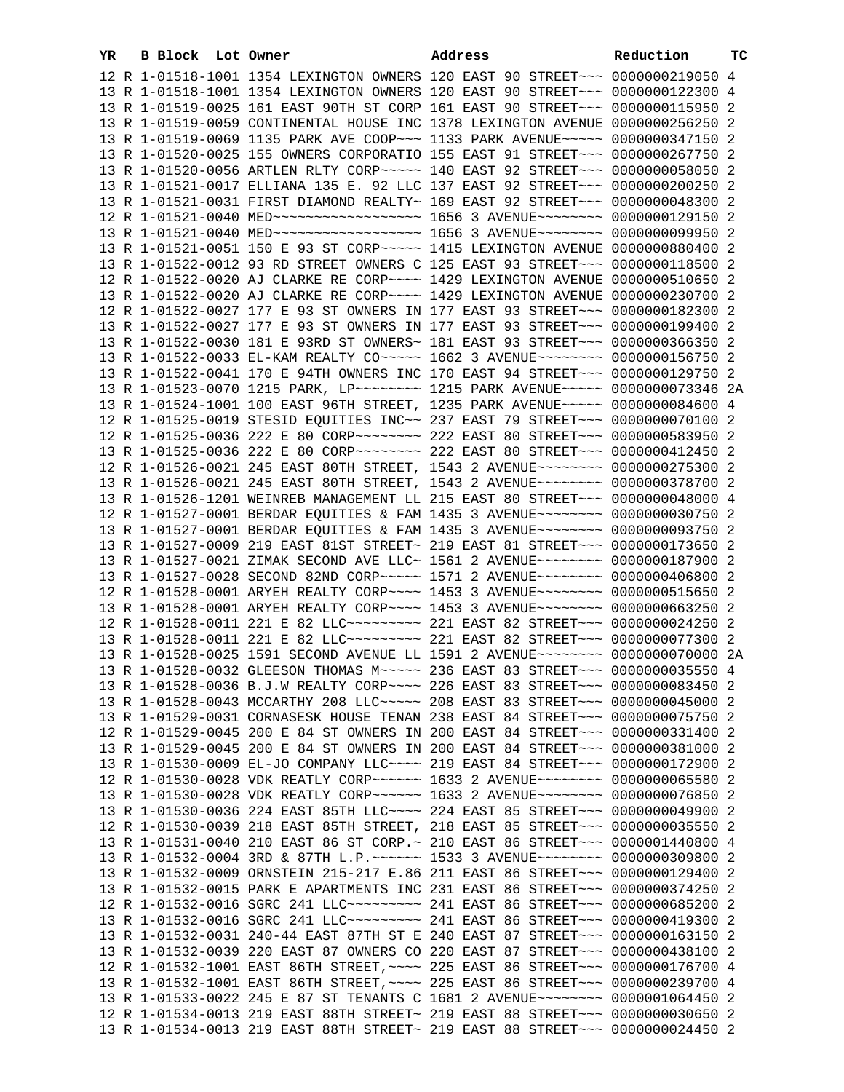| YR | B Block Lot Owner |  | Address                                                                          | Reduction | ТC |
|----|-------------------|--|----------------------------------------------------------------------------------|-----------|----|
|    |                   |  | 12 R 1-01518-1001 1354 LEXINGTON OWNERS 120 EAST 90 STREET~~~ 0000000219050 4    |           |    |
|    |                   |  | 13 R 1-01518-1001 1354 LEXINGTON OWNERS 120 EAST 90 STREET~~~ 0000000122300 4    |           |    |
|    |                   |  | 13 R 1-01519-0025 161 EAST 90TH ST CORP 161 EAST 90 STREET~~~ 0000000115950 2    |           |    |
|    |                   |  | 13 R 1-01519-0059 CONTINENTAL HOUSE INC 1378 LEXINGTON AVENUE 0000000256250 2    |           |    |
|    |                   |  | 13 R 1-01519-0069 1135 PARK AVE COOP~~~ 1133 PARK AVENUE~~~~~ 0000000347150 2    |           |    |
|    |                   |  | 13 R 1-01520-0025 155 OWNERS CORPORATIO 155 EAST 91 STREET~~~ 0000000267750 2    |           |    |
|    |                   |  | 13 R 1-01520-0056 ARTLEN RLTY CORP~~~~~ 140 EAST 92 STREET~~~ 0000000058050 2    |           |    |
|    |                   |  | 13 R 1-01521-0017 ELLIANA 135 E. 92 LLC 137 EAST 92 STREET~~~ 0000000200250 2    |           |    |
|    |                   |  | 13 R 1-01521-0031 FIRST DIAMOND REALTY~ 169 EAST 92 STREET~~~ 0000000048300 2    |           |    |
|    |                   |  | 12 R 1-01521-0040 MED ------------------- 1656 3 AVENUE -------- 0000000129150 2 |           |    |
|    |                   |  | 13 R 1-01521-0040 MED ------------------- 1656 3 AVENUE -------- 0000000099950 2 |           |    |
|    |                   |  | 13 R 1-01521-0051 150 E 93 ST CORP~~~~~ 1415 LEXINGTON AVENUE 0000000880400 2    |           |    |
|    |                   |  | 13 R 1-01522-0012 93 RD STREET OWNERS C 125 EAST 93 STREET~~~ 0000000118500 2    |           |    |
|    |                   |  | 12 R 1-01522-0020 AJ CLARKE RE CORP~~~~ 1429 LEXINGTON AVENUE 0000000510650 2    |           |    |
|    |                   |  | 13 R 1-01522-0020 AJ CLARKE RE CORP~~~~ 1429 LEXINGTON AVENUE 0000000230700 2    |           |    |
|    |                   |  | 12 R 1-01522-0027 177 E 93 ST OWNERS IN 177 EAST 93 STREET~~~ 0000000182300 2    |           |    |
|    |                   |  | 13 R 1-01522-0027 177 E 93 ST OWNERS IN 177 EAST 93 STREET~~~ 0000000199400 2    |           |    |
|    |                   |  | 13 R 1-01522-0030 181 E 93RD ST OWNERS~ 181 EAST 93 STREET~~~ 0000000366350 2    |           |    |
|    |                   |  | 13 R 1-01522-0033 EL-KAM REALTY CO~~~~~ 1662 3 AVENUE~~~~~~~~ 0000000156750 2    |           |    |
|    |                   |  | 13 R 1-01522-0041 170 E 94TH OWNERS INC 170 EAST 94 STREET~~~ 0000000129750 2    |           |    |
|    |                   |  | 13 R 1-01523-0070 1215 PARK, LP -------- 1215 PARK AVENUE ----- 0000000073346 2A |           |    |
|    |                   |  | 13 R 1-01524-1001 100 EAST 96TH STREET, 1235 PARK AVENUE~~~~~ 0000000084600 4    |           |    |
|    |                   |  | 12 R 1-01525-0019 STESID EQUITIES INC~~ 237 EAST 79 STREET~~~ 0000000070100 2    |           |    |
|    |                   |  | 12 R 1-01525-0036 222 E 80 CORP~~~~~~~~ 222 EAST 80 STREET~~~ 0000000583950 2    |           |    |
|    |                   |  | 13 R 1-01525-0036 222 E 80 CORP~~~~~~~~ 222 EAST 80 STREET~~~ 0000000412450 2    |           |    |
|    |                   |  | 12 R 1-01526-0021 245 EAST 80TH STREET, 1543 2 AVENUE~~~~~~~~ 0000000275300 2    |           |    |
|    |                   |  | 13 R 1-01526-0021 245 EAST 80TH STREET, 1543 2 AVENUE~~~~~~~~ 0000000378700 2    |           |    |
|    |                   |  | 13 R 1-01526-1201 WEINREB MANAGEMENT LL 215 EAST 80 STREET~~~ 0000000048000 4    |           |    |
|    |                   |  | 12 R 1-01527-0001 BERDAR EQUITIES & FAM 1435 3 AVENUE~~~~~~~~ 0000000030750 2    |           |    |
|    |                   |  | 13 R 1-01527-0001 BERDAR EQUITIES & FAM 1435 3 AVENUE~~~~~~~~ 0000000093750 2    |           |    |
|    |                   |  | 13 R 1-01527-0009 219 EAST 81ST STREET~ 219 EAST 81 STREET~~~ 0000000173650 2    |           |    |
|    |                   |  | 13 R 1-01527-0021 ZIMAK SECOND AVE LLC~ 1561 2 AVENUE~~~~~~~~ 0000000187900 2    |           |    |
|    |                   |  | 13 R 1-01527-0028 SECOND 82ND CORP~~~~~ 1571 2 AVENUE~~~~~~~~ 0000000406800 2    |           |    |
|    |                   |  | 12 R 1-01528-0001 ARYEH REALTY CORP~~~~ 1453 3 AVENUE~~~~~~~~ 0000000515650 2    |           |    |
|    |                   |  | 13 R 1-01528-0001 ARYEH REALTY CORP~~~~ 1453 3 AVENUE~~~~~~~~ 0000000663250 2    |           |    |
|    |                   |  | 12 R 1-01528-0011 221 E 82 LLC --------- 221 EAST 82 STREET --- 0000000024250 2  |           |    |
|    |                   |  | 13 R 1-01528-0011 221 E 82 LLC --------- 221 EAST 82 STREET --- 0000000077300 2  |           |    |
|    |                   |  | 13 R 1-01528-0025 1591 SECOND AVENUE LL 1591 2 AVENUE~~~~~~~~ 0000000070000 2A   |           |    |
|    |                   |  | 13 R 1-01528-0032 GLEESON THOMAS M~~~~~ 236 EAST 83 STREET~~~ 0000000035550 4    |           |    |
|    |                   |  | 13 R 1-01528-0036 B.J.W REALTY CORP~~~~ 226 EAST 83 STREET~~~ 0000000083450 2    |           |    |
|    |                   |  | 13 R 1-01528-0043 MCCARTHY 208 LLC ~~~~~ 208 EAST 83 STREET ~~~ 0000000045000 2  |           |    |
|    |                   |  | 13 R 1-01529-0031 CORNASESK HOUSE TENAN 238 EAST 84 STREET~~~ 0000000075750 2    |           |    |
|    |                   |  | 12 R 1-01529-0045 200 E 84 ST OWNERS IN 200 EAST 84 STREET~~~ 0000000331400 2    |           |    |
|    |                   |  | 13 R 1-01529-0045 200 E 84 ST OWNERS IN 200 EAST 84 STREET~~~ 0000000381000 2    |           |    |
|    |                   |  | 13 R 1-01530-0009 EL-JO COMPANY LLC~~~~ 219 EAST 84 STREET~~~ 0000000172900 2    |           |    |
|    |                   |  | 12 R 1-01530-0028 VDK REATLY CORP~~~~~~ 1633 2 AVENUE~~~~~~~~ 0000000065580 2    |           |    |
|    |                   |  | 13 R 1-01530-0028 VDK REATLY CORP~~~~~~ 1633 2 AVENUE~~~~~~~~ 0000000076850 2    |           |    |
|    |                   |  | 13 R 1-01530-0036 224 EAST 85TH LLC --- 224 EAST 85 STREET -- 0000000049900 2    |           |    |
|    |                   |  | 12 R 1-01530-0039 218 EAST 85TH STREET, 218 EAST 85 STREET~~~ 0000000035550 2    |           |    |
|    |                   |  | 13 R 1-01531-0040 210 EAST 86 ST CORP. ~ 210 EAST 86 STREET ~~~ 0000001440800 4  |           |    |
|    |                   |  | 13 R 1-01532-0004 3RD & 87TH L.P. ~~~~~~ 1533 3 AVENUE~~~~~~~~ 0000000309800 2   |           |    |
|    |                   |  | 13 R 1-01532-0009 ORNSTEIN 215-217 E.86 211 EAST 86 STREET~~~ 0000000129400 2    |           |    |
|    |                   |  | 13 R 1-01532-0015 PARK E APARTMENTS INC 231 EAST 86 STREET~~~ 0000000374250 2    |           |    |
|    |                   |  | 12 R 1-01532-0016 SGRC 241 LLC --------- 241 EAST 86 STREET --- 0000000685200 2  |           |    |
|    |                   |  | 13 R 1-01532-0016 SGRC 241 LLC --------- 241 EAST 86 STREET --- 0000000419300 2  |           |    |
|    |                   |  | 13 R 1-01532-0031 240-44 EAST 87TH ST E 240 EAST 87 STREET~~~ 0000000163150 2    |           |    |
|    |                   |  | 13 R 1-01532-0039 220 EAST 87 OWNERS CO 220 EAST 87 STREET~~~ 0000000438100 2    |           |    |
|    |                   |  | 12 R 1-01532-1001 EAST 86TH STREET, ~~~~ 225 EAST 86 STREET~~~ 0000000176700 4   |           |    |
|    |                   |  | 13 R 1-01532-1001 EAST 86TH STREET, ~~~~ 225 EAST 86 STREET~~~ 0000000239700 4   |           |    |
|    |                   |  | 13 R 1-01533-0022 245 E 87 ST TENANTS C 1681 2 AVENUE~~~~~~~~ 0000001064450 2    |           |    |
|    |                   |  | 12 R 1-01534-0013 219 EAST 88TH STREET~ 219 EAST 88 STREET~~~ 0000000030650 2    |           |    |
|    |                   |  | 13 R 1-01534-0013 219 EAST 88TH STREET~ 219 EAST 88 STREET~~~ 0000000024450 2    |           |    |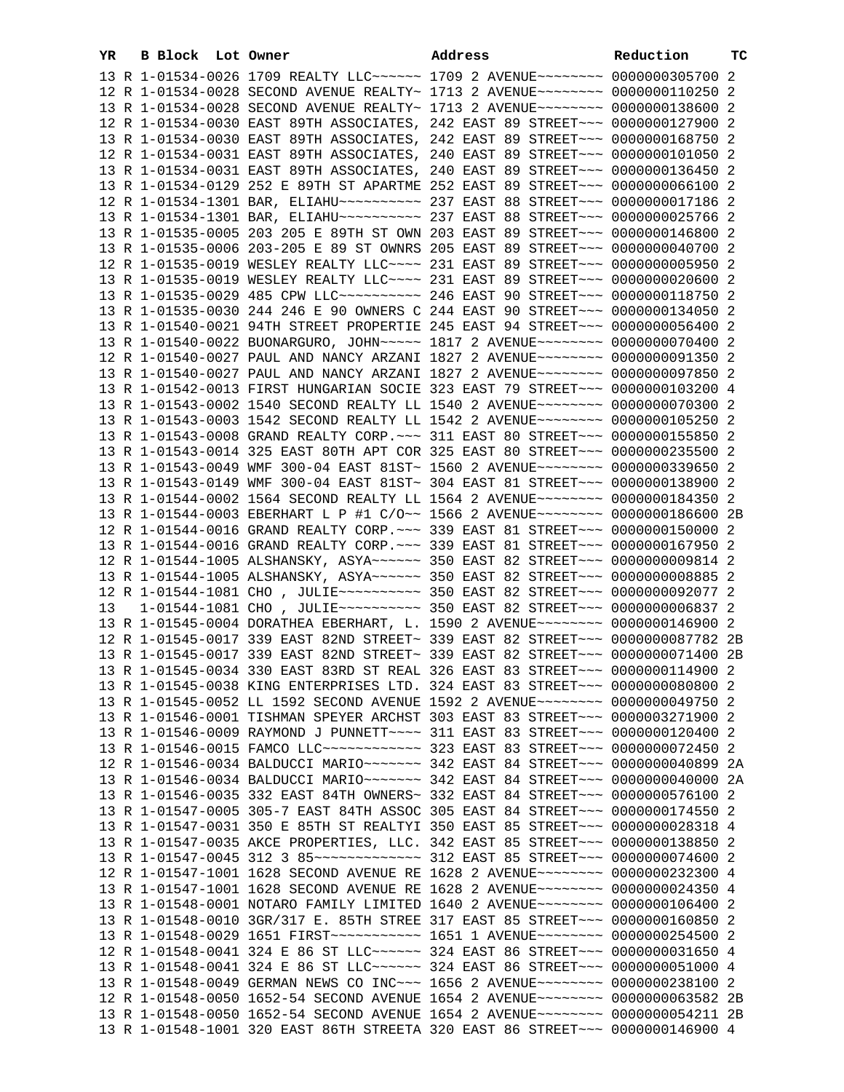| YR | B Block | Lot Owner                                                                          | Address | Reduction | тc |
|----|---------|------------------------------------------------------------------------------------|---------|-----------|----|
|    |         | 13 R 1-01534-0026 1709 REALTY LLC ----- 1709 2 AVENUE ------- 0000000305700 2      |         |           |    |
|    |         | 12 R 1-01534-0028 SECOND AVENUE REALTY~ 1713 2 AVENUE~~~~~~~~ 0000000110250 2      |         |           |    |
|    |         | 13 R 1-01534-0028 SECOND AVENUE REALTY~ 1713 2 AVENUE~~~~~~~~ 0000000138600 2      |         |           |    |
|    |         | 12 R 1-01534-0030 EAST 89TH ASSOCIATES, 242 EAST 89 STREET~~~ 0000000127900 2      |         |           |    |
|    |         | 13 R 1-01534-0030 EAST 89TH ASSOCIATES, 242 EAST 89 STREET~~~ 0000000168750 2      |         |           |    |
|    |         | 12 R 1-01534-0031 EAST 89TH ASSOCIATES, 240 EAST 89 STREET~~~ 0000000101050 2      |         |           |    |
|    |         | 13 R 1-01534-0031 EAST 89TH ASSOCIATES, 240 EAST 89 STREET~~~ 0000000136450 2      |         |           |    |
|    |         | 13 R 1-01534-0129 252 E 89TH ST APARTME 252 EAST 89 STREET~~~ 0000000066100 2      |         |           |    |
|    |         |                                                                                    |         |           |    |
|    |         |                                                                                    |         |           |    |
|    |         | 13 R 1-01535-0005 203 205 E 89TH ST OWN 203 EAST 89 STREET~~~ 0000000146800 2      |         |           |    |
|    |         | 13 R 1-01535-0006 203-205 E 89 ST OWNRS 205 EAST 89 STREET~~~ 0000000040700 2      |         |           |    |
|    |         | 12 R 1-01535-0019 WESLEY REALTY LLC~~~~ 231 EAST 89 STREET~~~ 0000000005950 2      |         |           |    |
|    |         | 13 R 1-01535-0019 WESLEY REALTY LLC --- 231 EAST 89 STREET -- 0000000020600 2      |         |           |    |
|    |         | 13 R 1-01535-0029 485 CPW LLC~~~~~~~~~~~~~~~ 246 EAST 90 STREET~~~ 0000000118750 2 |         |           |    |
|    |         | 13 R 1-01535-0030 244 246 E 90 OWNERS C 244 EAST 90 STREET~~~ 0000000134050 2      |         |           |    |
|    |         | 13 R 1-01540-0021 94TH STREET PROPERTIE 245 EAST 94 STREET~~~ 0000000056400 2      |         |           |    |
|    |         | 13 R 1-01540-0022 BUONARGURO, JOHN~~~~~ 1817 2 AVENUE~~~~~~~~ 0000000070400 2      |         |           |    |
|    |         | 12 R 1-01540-0027 PAUL AND NANCY ARZANI 1827 2 AVENUE~~~~~~~~ 0000000091350 2      |         |           |    |
|    |         | 13 R 1-01540-0027 PAUL AND NANCY ARZANI 1827 2 AVENUE~~~~~~~~ 0000000097850 2      |         |           |    |
|    |         | 13 R 1-01542-0013 FIRST HUNGARIAN SOCIE 323 EAST 79 STREET~~~ 0000000103200 4      |         |           |    |
|    |         | 13 R 1-01543-0002 1540 SECOND REALTY LL 1540 2 AVENUE~~~~~~~~ 0000000070300 2      |         |           |    |
|    |         | 13 R 1-01543-0003 1542 SECOND REALTY LL 1542 2 AVENUE~~~~~~~~ 0000000105250 2      |         |           |    |
|    |         | 13 R 1-01543-0008 GRAND REALTY CORP. ~~~ 311 EAST 80 STREET~~~ 0000000155850 2     |         |           |    |
|    |         | 13 R 1-01543-0014 325 EAST 80TH APT COR 325 EAST 80 STREET~~~ 0000000235500 2      |         |           |    |
|    |         | 13 R 1-01543-0049 WMF 300-04 EAST 81ST~ 1560 2 AVENUE~~~~~~~~ 0000000339650 2      |         |           |    |
|    |         | 13 R 1-01543-0149 WMF 300-04 EAST 81ST~ 304 EAST 81 STREET~~~ 0000000138900 2      |         |           |    |
|    |         | 13 R 1-01544-0002 1564 SECOND REALTY LL 1564 2 AVENUE~~~~~~~~ 0000000184350 2      |         |           |    |
|    |         | 13 R 1-01544-0003 EBERHART L P #1 C/O~~ 1566 2 AVENUE~~~~~~~~ 0000000186600 2B     |         |           |    |
|    |         | 12 R 1-01544-0016 GRAND REALTY CORP. ~~~ 339 EAST 81 STREET~~~ 0000000150000 2     |         |           |    |
|    |         | 13 R 1-01544-0016 GRAND REALTY CORP. ~~~ 339 EAST 81 STREET~~~ 0000000167950 2     |         |           |    |
|    |         | 12 R 1-01544-1005 ALSHANSKY, ASYA~~~~~~ 350 EAST 82 STREET~~~ 0000000009814 2      |         |           |    |
|    |         | 13 R 1-01544-1005 ALSHANSKY, ASYA~~~~~~ 350 EAST 82 STREET~~~ 0000000008885 2      |         |           |    |
|    |         |                                                                                    |         |           |    |
| 13 |         |                                                                                    |         |           |    |
|    |         | 13 R 1-01545-0004 DORATHEA EBERHART, L. 1590 2 AVENUE~~~~~~~~ 0000000146900 2      |         |           |    |
|    |         | 12 R 1-01545-0017 339 EAST 82ND STREET~ 339 EAST 82 STREET~~~ 0000000087782 2B     |         |           |    |
|    |         | 13 R 1-01545-0017 339 EAST 82ND STREET~ 339 EAST 82 STREET~~~ 0000000071400 2B     |         |           |    |
|    |         | 13 R 1-01545-0034 330 EAST 83RD ST REAL 326 EAST 83 STREET~~~ 0000000114900 2      |         |           |    |
|    |         | 13 R 1-01545-0038 KING ENTERPRISES LTD. 324 EAST 83 STREET~~~ 0000000080800 2      |         |           |    |
|    |         | 13 R 1-01545-0052 LL 1592 SECOND AVENUE 1592 2 AVENUE~~~~~~~~ 0000000049750 2      |         |           |    |
|    |         | 13 R 1-01546-0001 TISHMAN SPEYER ARCHST 303 EAST 83 STREET~~~ 0000003271900 2      |         |           |    |
|    |         | 13 R 1-01546-0009 RAYMOND J PUNNETT~~~~ 311 EAST 83 STREET~~~ 0000000120400 2      |         |           |    |
|    |         | 13 R 1-01546-0015 FAMCO LLC ------------ 323 EAST 83 STREET --- 0000000072450 2    |         |           |    |
|    |         | 12 R 1-01546-0034 BALDUCCI MARIO~~~~~~~ 342 EAST 84 STREET~~~ 0000000040899 2A     |         |           |    |
|    |         | 13 R 1-01546-0034 BALDUCCI MARIO~~~~~~~~ 342 EAST 84 STREET~~~ 0000000040000 2A    |         |           |    |
|    |         | 13 R 1-01546-0035 332 EAST 84TH OWNERS~ 332 EAST 84 STREET~~~ 0000000576100 2      |         |           |    |
|    |         | 13 R 1-01547-0005 305-7 EAST 84TH ASSOC 305 EAST 84 STREET~~~ 0000000174550 2      |         |           |    |
|    |         | 13 R 1-01547-0031 350 E 85TH ST REALTYI 350 EAST 85 STREET~~~ 0000000028318 4      |         |           |    |
|    |         | 13 R 1-01547-0035 AKCE PROPERTIES, LLC. 342 EAST 85 STREET~~~ 0000000138850 2      |         |           |    |
|    |         | 12 R 1-01547-1001 1628 SECOND AVENUE RE 1628 2 AVENUE~~~~~~~~ 0000000232300 4      |         |           |    |
|    |         | 13 R 1-01547-1001 1628 SECOND AVENUE RE 1628 2 AVENUE~~~~~~~~ 0000000024350 4      |         |           |    |
|    |         | 13 R 1-01548-0001 NOTARO FAMILY LIMITED 1640 2 AVENUE~~~~~~~~ 0000000106400 2      |         |           |    |
|    |         | 13 R 1-01548-0010 3GR/317 E. 85TH STREE 317 EAST 85 STREET~~~ 0000000160850 2      |         |           |    |
|    |         | 13 R 1-01548-0029 1651 FIRST ----------- 1651 1 AVENUE -------- 0000000254500 2    |         |           |    |
|    |         | 12 R 1-01548-0041 324 E 86 ST LLC ------ 324 EAST 86 STREET --- 0000000031650 4    |         |           |    |
|    |         | 13 R 1-01548-0041 324 E 86 ST LLC ------ 324 EAST 86 STREET --- 0000000051000 4    |         |           |    |
|    |         | 13 R 1-01548-0049 GERMAN NEWS CO INC~~~ 1656 2 AVENUE~~~~~~~~ 0000000238100 2      |         |           |    |
|    |         | 12 R 1-01548-0050 1652-54 SECOND AVENUE 1654 2 AVENUE~~~~~~~~ 0000000063582 2B     |         |           |    |
|    |         | 13 R 1-01548-0050 1652-54 SECOND AVENUE 1654 2 AVENUE~~~~~~~~ 0000000054211 2B     |         |           |    |
|    |         | 13 R 1-01548-1001 320 EAST 86TH STREETA 320 EAST 86 STREET~~~ 0000000146900 4      |         |           |    |
|    |         |                                                                                    |         |           |    |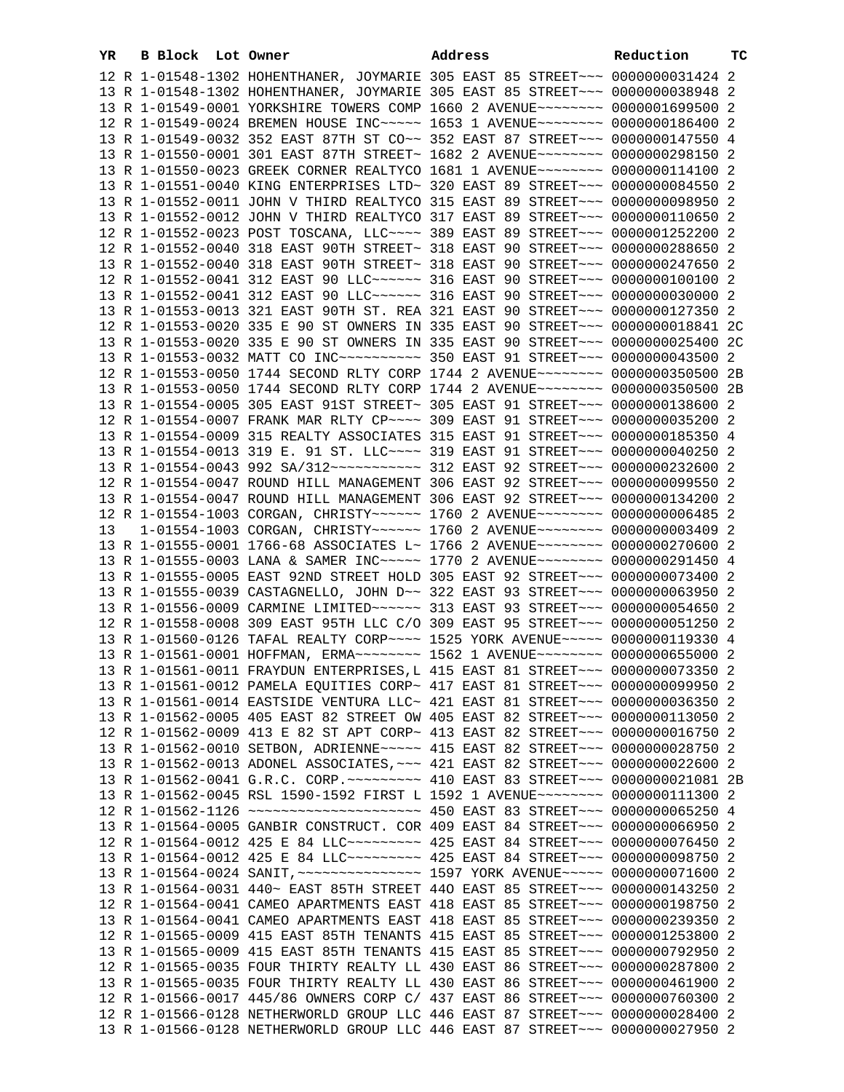| YR | B Block Lot Owner |                                                                                          | Address | Reduction | тc |
|----|-------------------|------------------------------------------------------------------------------------------|---------|-----------|----|
|    |                   | 12 R 1-01548-1302 HOHENTHANER, JOYMARIE 305 EAST 85 STREET~~~ 0000000031424 2            |         |           |    |
|    |                   | 13 R 1-01548-1302 HOHENTHANER, JOYMARIE 305 EAST 85 STREET~~~ 0000000038948 2            |         |           |    |
|    |                   | 13 R 1-01549-0001 YORKSHIRE TOWERS COMP 1660 2 AVENUE~~~~~~~~ 0000001699500 2            |         |           |    |
|    |                   | 12 R 1-01549-0024 BREMEN HOUSE INC ---- 1653 1 AVENUE ------- 0000000186400 2            |         |           |    |
|    |                   | 13 R 1-01549-0032 352 EAST 87TH ST CO~~ 352 EAST 87 STREET~~~ 0000000147550 4            |         |           |    |
|    |                   | 13 R 1-01550-0001 301 EAST 87TH STREET~ 1682 2 AVENUE~~~~~~~~ 0000000298150 2            |         |           |    |
|    |                   | 13 R 1-01550-0023 GREEK CORNER REALTYCO 1681 1 AVENUE~~~~~~~~ 0000000114100 2            |         |           |    |
|    |                   | 13 R 1-01551-0040 KING ENTERPRISES LTD~ 320 EAST 89 STREET~~~ 0000000084550 2            |         |           |    |
|    |                   | 13 R 1-01552-0011 JOHN V THIRD REALTYCO 315 EAST 89 STREET~~~ 0000000098950 2            |         |           |    |
|    |                   | 13 R 1-01552-0012 JOHN V THIRD REALTYCO 317 EAST 89 STREET~~~ 0000000110650 2            |         |           |    |
|    |                   | 12 R 1-01552-0023 POST TOSCANA, LLC --- 389 EAST 89 STREET -- 0000001252200 2            |         |           |    |
|    |                   | 12 R 1-01552-0040 318 EAST 90TH STREET~ 318 EAST 90 STREET~~~ 0000000288650 2            |         |           |    |
|    |                   | 13 R 1-01552-0040 318 EAST 90TH STREET~ 318 EAST 90 STREET~~~ 0000000247650 2            |         |           |    |
|    |                   | 12 R 1-01552-0041 312 EAST 90 LLC ------ 316 EAST 90 STREET --- 0000000100100 2          |         |           |    |
|    |                   | 13 R 1-01552-0041 312 EAST 90 LLC ------ 316 EAST 90 STREET --- 0000000030000 2          |         |           |    |
|    |                   | 13 R 1-01553-0013 321 EAST 90TH ST. REA 321 EAST 90 STREET~~~ 0000000127350 2            |         |           |    |
|    |                   | 12 R 1-01553-0020 335 E 90 ST OWNERS IN 335 EAST 90 STREET~~~ 0000000018841 2C           |         |           |    |
|    |                   | 13 R 1-01553-0020 335 E 90 ST OWNERS IN 335 EAST 90 STREET~~~ 0000000025400 2C           |         |           |    |
|    |                   |                                                                                          |         |           |    |
|    |                   | 12 R 1-01553-0050 1744 SECOND RLTY CORP 1744 2 AVENUE~~~~~~~~ 0000000350500 2B           |         |           |    |
|    |                   | 13 R 1-01553-0050 1744 SECOND RLTY CORP 1744 2 AVENUE~~~~~~~~ 0000000350500 2B           |         |           |    |
|    |                   | 13 R 1-01554-0005 305 EAST 91ST STREET~ 305 EAST 91 STREET~~~ 0000000138600 2            |         |           |    |
|    |                   | 12 R 1-01554-0007 FRANK MAR RLTY CP ~~~~ 309 EAST 91 STREET ~~~ 0000000035200 2          |         |           |    |
|    |                   | 13 R 1-01554-0009 315 REALTY ASSOCIATES 315 EAST 91 STREET~~~ 0000000185350 4            |         |           |    |
|    |                   | 13 R 1-01554-0013 319 E. 91 ST. LLC~~~~ 319 EAST 91 STREET~~~ 0000000040250 2            |         |           |    |
|    |                   | 13 R 1-01554-0043 992 SA/312 ----------- 312 EAST 92 STREET -- 0000000232600 2           |         |           |    |
|    |                   | 12 R 1-01554-0047 ROUND HILL MANAGEMENT 306 EAST 92 STREET~~~ 0000000099550 2            |         |           |    |
|    |                   | 13 R 1-01554-0047 ROUND HILL MANAGEMENT 306 EAST 92 STREET~~~ 0000000134200 2            |         |           |    |
|    |                   | 12 R 1-01554-1003 CORGAN, CHRISTY~~~~~~ 1760 2 AVENUE~~~~~~~~ 0000000006485 2            |         |           |    |
| 13 |                   | 1-01554-1003 CORGAN, CHRISTY~~~~~~ 1760 2 AVENUE~~~~~~~~ 0000000003409 2                 |         |           |    |
|    |                   | 13 R 1-01555-0001 1766-68 ASSOCIATES L~ 1766 2 AVENUE~~~~~~~~ 0000000270600 2            |         |           |    |
|    |                   | 13 R 1-01555-0003 LANA & SAMER INC ---- 1770 2 AVENUE ------- 0000000291450 4            |         |           |    |
|    |                   | 13 R 1-01555-0005 EAST 92ND STREET HOLD 305 EAST 92 STREET~~~ 0000000073400 2            |         |           |    |
|    |                   | 13 R 1-01555-0039 CASTAGNELLO, JOHN D~~ 322 EAST 93 STREET~~~ 0000000063950 2            |         |           |    |
|    |                   | 13 R 1-01556-0009 CARMINE LIMITED~~~~~~ 313 EAST 93 STREET~~~ 0000000054650 2            |         |           |    |
|    |                   | 12 R 1-01558-0008 309 EAST 95TH LLC C/O 309 EAST 95 STREET~~~ 0000000051250 2            |         |           |    |
|    |                   | 13 R 1-01560-0126 TAFAL REALTY CORP~~~~ 1525 YORK AVENUE~~~~~ 0000000119330 4            |         |           |    |
|    |                   | 13 R 1-01561-0001 HOFFMAN, ERMA~~~~~~~~ 1562 1 AVENUE~~~~~~~~ 0000000655000 2            |         |           |    |
|    |                   | 13 R 1-01561-0011 FRAYDUN ENTERPRISES, L 415 EAST 81 STREET~~~ 0000000073350 2           |         |           |    |
|    |                   | 13 R 1-01561-0012 PAMELA EQUITIES CORP~ 417 EAST 81 STREET~~~ 0000000099950 2            |         |           |    |
|    |                   | 13 R 1-01561-0014 EASTSIDE VENTURA LLC~ 421 EAST 81 STREET~~~ 0000000036350 2            |         |           |    |
|    |                   | 13 R 1-01562-0005 405 EAST 82 STREET OW 405 EAST 82 STREET~~~ 0000000113050 2            |         |           |    |
|    |                   | 12 R 1-01562-0009 413 E 82 ST APT CORP~ 413 EAST 82 STREET~~~ 0000000016750 2            |         |           |    |
|    |                   | 13 R 1-01562-0010 SETBON, ADRIENNE~~~~~ 415 EAST 82 STREET~~~ 0000000028750 2            |         |           |    |
|    |                   | 13 R 1-01562-0013 ADONEL ASSOCIATES, ~~~ 421 EAST 82 STREET~~~ 0000000022600 2           |         |           |    |
|    |                   | 13 R 1-01562-0041 G.R.C. CORP. ~~~~~~~~~ 410 EAST 83 STREET~~~ 0000000021081 2B          |         |           |    |
|    |                   | 13 R 1-01562-0045 RSL 1590-1592 FIRST L 1592 1 AVENUE~~~~~~~~ 0000000111300 2            |         |           |    |
|    |                   |                                                                                          |         |           |    |
|    |                   | 13 R 1-01564-0005 GANBIR CONSTRUCT. COR 409 EAST 84 STREET~~~ 0000000066950 2            |         |           |    |
|    |                   | 12 R 1-01564-0012 425 E 84 LLC -------- 425 EAST 84 STREET -- 0000000076450 2            |         |           |    |
|    |                   | 13 R 1-01564-0012 425 E 84 LLC -------- 425 EAST 84 STREET -- 0000000098750 2            |         |           |    |
|    |                   | 13 R 1-01564-0024 SANIT, ~~~~~~~~~~~~~~~~~~~~~~~~ 1597 YORK AVENUE~~~~~~ 0000000071600 2 |         |           |    |
|    |                   | 13 R 1-01564-0031 440~ EAST 85TH STREET 440 EAST 85 STREET~~~ 0000000143250 2            |         |           |    |
|    |                   | 12 R 1-01564-0041 CAMEO APARTMENTS EAST 418 EAST 85 STREET~~~ 0000000198750 2            |         |           |    |
|    |                   | 13 R 1-01564-0041 CAMEO APARTMENTS EAST 418 EAST 85 STREET~~~ 0000000239350 2            |         |           |    |
|    |                   | 12 R 1-01565-0009 415 EAST 85TH TENANTS 415 EAST 85 STREET~~~ 0000001253800 2            |         |           |    |
|    |                   | 13 R 1-01565-0009 415 EAST 85TH TENANTS 415 EAST 85 STREET~~~ 0000000792950 2            |         |           |    |
|    |                   | 12 R 1-01565-0035 FOUR THIRTY REALTY LL 430 EAST 86 STREET~~~ 0000000287800 2            |         |           |    |
|    |                   | 13 R 1-01565-0035 FOUR THIRTY REALTY LL 430 EAST 86 STREET~~~ 0000000461900 2            |         |           |    |
|    |                   | 12 R 1-01566-0017 445/86 OWNERS CORP C/ 437 EAST 86 STREET~~~ 0000000760300 2            |         |           |    |
|    |                   | 12 R 1-01566-0128 NETHERWORLD GROUP LLC 446 EAST 87 STREET~~~ 0000000028400 2            |         |           |    |
|    |                   | 13 R 1-01566-0128 NETHERWORLD GROUP LLC 446 EAST 87 STREET~~~ 0000000027950 2            |         |           |    |
|    |                   |                                                                                          |         |           |    |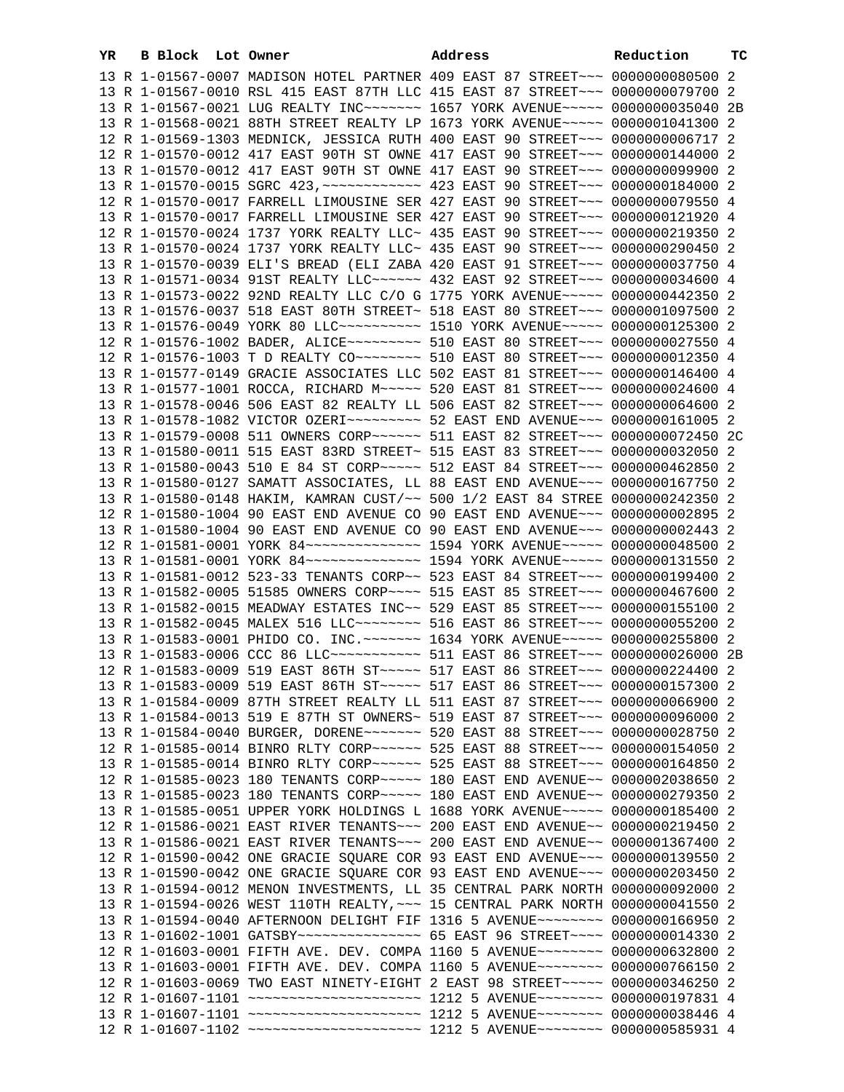| YR | B Block Lot Owner |  | Address                                                                                                                                                          | Reduction | тc |
|----|-------------------|--|------------------------------------------------------------------------------------------------------------------------------------------------------------------|-----------|----|
|    |                   |  | 13 R 1-01567-0007 MADISON HOTEL PARTNER 409 EAST 87 STREET~~~ 0000000080500 2                                                                                    |           |    |
|    |                   |  | 13 R 1-01567-0010 RSL 415 EAST 87TH LLC 415 EAST 87 STREET~~~ 0000000079700 2                                                                                    |           |    |
|    |                   |  | 13 R 1-01567-0021 LUG REALTY INC~~~~~~~~ 1657 YORK AVENUE~~~~~ 0000000035040 2B                                                                                  |           |    |
|    |                   |  | 13 R 1-01568-0021 88TH STREET REALTY LP 1673 YORK AVENUE~~~~~ 0000001041300 2                                                                                    |           |    |
|    |                   |  | 12 R 1-01569-1303 MEDNICK, JESSICA RUTH 400 EAST 90 STREET~~~ 0000000006717 2                                                                                    |           |    |
|    |                   |  | 12 R 1-01570-0012 417 EAST 90TH ST OWNE 417 EAST 90 STREET~~~ 0000000144000 2                                                                                    |           |    |
|    |                   |  | 13 R 1-01570-0012 417 EAST 90TH ST OWNE 417 EAST 90 STREET~~~ 0000000099900 2                                                                                    |           |    |
|    |                   |  |                                                                                                                                                                  |           |    |
|    |                   |  | 12 R 1-01570-0017 FARRELL LIMOUSINE SER 427 EAST 90 STREET~~~ 0000000079550 4                                                                                    |           |    |
|    |                   |  | 13 R 1-01570-0017 FARRELL LIMOUSINE SER 427 EAST 90 STREET~~~ 0000000121920 4                                                                                    |           |    |
|    |                   |  | 12 R 1-01570-0024 1737 YORK REALTY LLC~ 435 EAST 90 STREET~~~ 0000000219350 2                                                                                    |           |    |
|    |                   |  | 13 R 1-01570-0024 1737 YORK REALTY LLC~ 435 EAST 90 STREET~~~ 0000000290450 2                                                                                    |           |    |
|    |                   |  | 13 R 1-01570-0039 ELI'S BREAD (ELI ZABA 420 EAST 91 STREET~~~ 0000000037750 4                                                                                    |           |    |
|    |                   |  | 13 R 1-01571-0034 91ST REALTY LLC~~~~~~ 432 EAST 92 STREET~~~ 0000000034600 4                                                                                    |           |    |
|    |                   |  | 13 R 1-01573-0022 92ND REALTY LLC C/O G 1775 YORK AVENUE~~~~~ 0000000442350 2                                                                                    |           |    |
|    |                   |  | 13 R 1-01576-0037 518 EAST 80TH STREET~ 518 EAST 80 STREET~~~ 0000001097500 2                                                                                    |           |    |
|    |                   |  | 13 R 1-01576-0049 YORK 80 LLC~~~~~~~~~~~~~~~ 1510 YORK AVENUE~~~~~~ 0000000125300 2                                                                              |           |    |
|    |                   |  | 12 R 1-01576-1002 BADER, ALICE~~~~~~~~~ 510 EAST 80 STREET~~~ 0000000027550 4                                                                                    |           |    |
|    |                   |  | 12 R 1-01576-1003 T D REALTY CO -------- 510 EAST 80 STREET --- 0000000012350 4                                                                                  |           |    |
|    |                   |  | 13 R 1-01577-0149 GRACIE ASSOCIATES LLC 502 EAST 81 STREET~~~ 0000000146400 4                                                                                    |           |    |
|    |                   |  | 13 R 1-01577-1001 ROCCA, RICHARD M~~~~~ 520 EAST 81 STREET~~~ 0000000024600 4                                                                                    |           |    |
|    |                   |  | 13 R 1-01578-0046 506 EAST 82 REALTY LL 506 EAST 82 STREET~~~ 0000000064600 2                                                                                    |           |    |
|    |                   |  | 13 R 1-01578-1082 VICTOR OZERI~~~~~~~~~~ 52 EAST END AVENUE~~~ 0000000161005 2                                                                                   |           |    |
|    |                   |  | 13 R 1-01579-0008 511 OWNERS CORP~~~~~~ 511 EAST 82 STREET~~~ 0000000072450 2C                                                                                   |           |    |
|    |                   |  | 13 R 1-01580-0011 515 EAST 83RD STREET~ 515 EAST 83 STREET~~~ 0000000032050 2                                                                                    |           |    |
|    |                   |  | 13 R 1-01580-0043 510 E 84 ST CORP~~~~~ 512 EAST 84 STREET~~~ 0000000462850 2                                                                                    |           |    |
|    |                   |  | 13 R 1-01580-0127 SAMATT ASSOCIATES, LL 88 EAST END AVENUE~~~ 0000000167750 2                                                                                    |           |    |
|    |                   |  | 13 R 1-01580-0148 HAKIM, KAMRAN CUST/~~ 500 1/2 EAST 84 STREE 0000000242350 2                                                                                    |           |    |
|    |                   |  | 12 R 1-01580-1004 90 EAST END AVENUE CO 90 EAST END AVENUE~~~ 0000000002895 2                                                                                    |           |    |
|    |                   |  | 13 R 1-01580-1004 90 EAST END AVENUE CO 90 EAST END AVENUE~~~ 0000000002443 2                                                                                    |           |    |
|    |                   |  | 12 R 1-01581-0001 YORK 84~~~~~~~~~~~~~~~~~~~~~~~ 1594 YORK AVENUE~~~~~~ 00000000048500 2                                                                         |           |    |
|    |                   |  | 13 R 1-01581-0001 YORK 84~~~~~~~~~~~~~~~~~~~~~~~ 1594 YORK AVENUE~~~~~~ 0000000131550 2                                                                          |           |    |
|    |                   |  | 13 R 1-01581-0012 523-33 TENANTS CORP~~ 523 EAST 84 STREET~~~ 0000000199400 2                                                                                    |           |    |
|    |                   |  | 13 R 1-01582-0005 51585 OWNERS CORP~~~~ 515 EAST 85 STREET~~~ 0000000467600 2                                                                                    |           |    |
|    |                   |  | 13 R 1-01582-0015 MEADWAY ESTATES INC~~ 529 EAST 85 STREET~~~ 0000000155100 2<br>13 R 1-01582-0045 MALEX 516 LLC -------- 516 EAST 86 STREET -- 00000000055200 2 |           |    |
|    |                   |  | 13 R 1-01583-0001 PHIDO CO. INC. ~~~~~~~ 1634 YORK AVENUE~~~~~ 0000000255800 2                                                                                   |           |    |
|    |                   |  | 13 R 1-01583-0006 CCC 86 LLC ------------ 511 EAST 86 STREET --- 0000000026000 2B                                                                                |           |    |
|    |                   |  | 12 R 1-01583-0009 519 EAST 86TH ST~~~~~ 517 EAST 86 STREET~~~ 0000000224400 2                                                                                    |           |    |
|    |                   |  | 13 R 1-01583-0009 519 EAST 86TH ST ~~~~~ 517 EAST 86 STREET ~~~ 0000000157300 2                                                                                  |           |    |
|    |                   |  | 13 R 1-01584-0009 87TH STREET REALTY LL 511 EAST 87 STREET~~~ 0000000066900 2                                                                                    |           |    |
|    |                   |  | 13 R 1-01584-0013 519 E 87TH ST OWNERS~ 519 EAST 87 STREET~~~ 0000000096000 2                                                                                    |           |    |
|    |                   |  | 13 R 1-01584-0040 BURGER, DORENE~~~~~~~ 520 EAST 88 STREET~~~ 0000000028750 2                                                                                    |           |    |
|    |                   |  | 12 R 1-01585-0014 BINRO RLTY CORP~~~~~~ 525 EAST 88 STREET~~~ 0000000154050 2                                                                                    |           |    |
|    |                   |  | 13 R 1-01585-0014 BINRO RLTY CORP~~~~~~ 525 EAST 88 STREET~~~ 0000000164850 2                                                                                    |           |    |
|    |                   |  | 12 R 1-01585-0023 180 TENANTS CORP~~~~~ 180 EAST END AVENUE~~ 0000002038650 2                                                                                    |           |    |
|    |                   |  | 13 R 1-01585-0023 180 TENANTS CORP~~~~~ 180 EAST END AVENUE~~ 0000000279350 2                                                                                    |           |    |
|    |                   |  | 13 R 1-01585-0051 UPPER YORK HOLDINGS L 1688 YORK AVENUE~~~~~ 0000000185400 2                                                                                    |           |    |
|    |                   |  | 12 R 1-01586-0021 EAST RIVER TENANTS~~~ 200 EAST END AVENUE~~ 0000000219450 2                                                                                    |           |    |
|    |                   |  | 13 R 1-01586-0021 EAST RIVER TENANTS ~~~ 200 EAST END AVENUE ~~ 0000001367400 2                                                                                  |           |    |
|    |                   |  | 12 R 1-01590-0042 ONE GRACIE SQUARE COR 93 EAST END AVENUE~~~ 0000000139550 2                                                                                    |           |    |
|    |                   |  | 13 R 1-01590-0042 ONE GRACIE SQUARE COR 93 EAST END AVENUE~~~ 0000000203450 2                                                                                    |           |    |
|    |                   |  | 13 R 1-01594-0012 MENON INVESTMENTS, LL 35 CENTRAL PARK NORTH 0000000092000 2                                                                                    |           |    |
|    |                   |  | 13 R 1-01594-0026 WEST 110TH REALTY, ~~~ 15 CENTRAL PARK NORTH 0000000041550 2                                                                                   |           |    |
|    |                   |  | 13 R 1-01594-0040 AFTERNOON DELIGHT FIF 1316 5 AVENUE~~~~~~~~ 0000000166950 2                                                                                    |           |    |
|    |                   |  | 13 R 1-01602-1001 GATSBY~~~~~~~~~~~~~~~~ 65 EAST 96 STREET~~~~ 0000000014330 2                                                                                   |           |    |
|    |                   |  | 12 R 1-01603-0001 FIFTH AVE. DEV. COMPA 1160 5 AVENUE~~~~~~~~ 0000000632800 2                                                                                    |           |    |
|    |                   |  | 13 R 1-01603-0001 FIFTH AVE. DEV. COMPA 1160 5 AVENUE~~~~~~~~ 0000000766150 2                                                                                    |           |    |
|    |                   |  | 12 R 1-01603-0069 TWO EAST NINETY-EIGHT 2 EAST 98 STREET~~~~~ 0000000346250 2                                                                                    |           |    |
|    |                   |  | 12 R 1-01607-1101 ~~~~~~~~~~~~~~~~~~~~~~~ 1212 5 AVENUE~~~~~~~~ 0000000197831 4                                                                                  |           |    |
|    |                   |  | 13 R 1-01607-1101 ~~~~~~~~~~~~~~~~~~~~~~~ 1212 5 AVENUE~~~~~~~~ 0000000038446 4                                                                                  |           |    |
|    |                   |  | 12 R 1-01607-1102 ~~~~~~~~~~~~~~~~~~~~~~~ 1212 5 AVENUE~~~~~~~~ 0000000585931 4                                                                                  |           |    |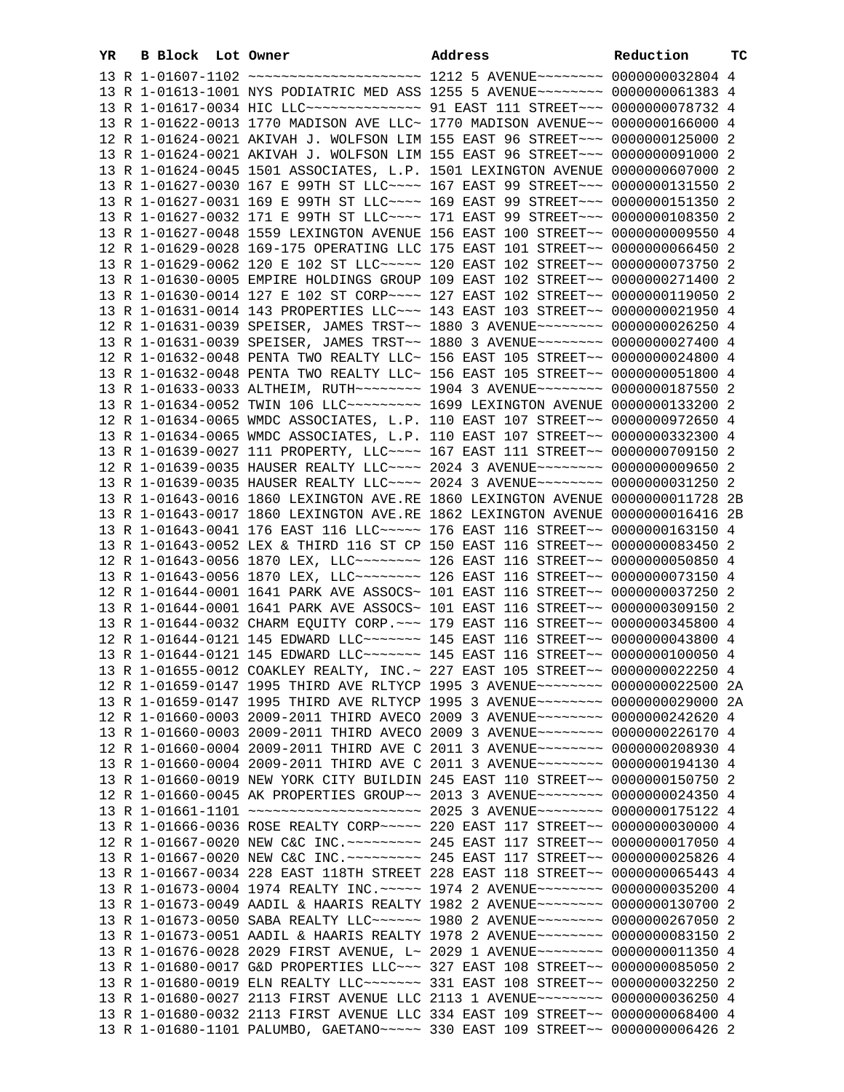| YR. | B Block Lot Owner | Address                                                                          | Reduction | тc |
|-----|-------------------|----------------------------------------------------------------------------------|-----------|----|
|     |                   | 13 R 1-01607-1102 ~~~~~~~~~~~~~~~~~~~~~~~ 1212 5 AVENUE~~~~~~~~ 0000000032804 4  |           |    |
|     |                   | 13 R 1-01613-1001 NYS PODIATRIC MED ASS 1255 5 AVENUE~~~~~~~~ 0000000061383 4    |           |    |
|     |                   | 13 R 1-01617-0034 HIC LLC --------------- 91 EAST 111 STREET --- 0000000078732 4 |           |    |
|     |                   | 13 R 1-01622-0013 1770 MADISON AVE LLC~ 1770 MADISON AVENUE~~ 0000000166000 4    |           |    |
|     |                   | 12 R 1-01624-0021 AKIVAH J. WOLFSON LIM 155 EAST 96 STREET~~~ 0000000125000 2    |           |    |
|     |                   |                                                                                  |           |    |
|     |                   | 13 R 1-01624-0021 AKIVAH J. WOLFSON LIM 155 EAST 96 STREET~~~ 0000000091000 2    |           |    |
|     |                   | 13 R 1-01624-0045 1501 ASSOCIATES, L.P. 1501 LEXINGTON AVENUE 0000000607000 2    |           |    |
|     |                   | 13 R 1-01627-0030 167 E 99TH ST LLC --- 167 EAST 99 STREET -- 0000000131550 2    |           |    |
|     |                   | 13 R 1-01627-0031 169 E 99TH ST LLC --- 169 EAST 99 STREET -- 0000000151350 2    |           |    |
|     |                   | 13 R 1-01627-0032 171 E 99TH ST LLC --- 171 EAST 99 STREET -- 0000000108350 2    |           |    |
|     |                   | 13 R 1-01627-0048 1559 LEXINGTON AVENUE 156 EAST 100 STREET~~ 0000000009550 4    |           |    |
|     |                   | 12 R 1-01629-0028 169-175 OPERATING LLC 175 EAST 101 STREET~~ 0000000066450 2    |           |    |
|     |                   | 13 R 1-01629-0062 120 E 102 ST LLC~~~~~ 120 EAST 102 STREET~~ 0000000073750 2    |           |    |
|     |                   | 13 R 1-01630-0005 EMPIRE HOLDINGS GROUP 109 EAST 102 STREET~~ 0000000271400 2    |           |    |
|     |                   | 13 R 1-01630-0014 127 E 102 ST CORP~~~~ 127 EAST 102 STREET~~ 0000000119050 2    |           |    |
|     |                   | 13 R 1-01631-0014 143 PROPERTIES LLC ~~~ 143 EAST 103 STREET ~~ 0000000021950 4  |           |    |
|     |                   | 12 R 1-01631-0039 SPEISER, JAMES TRST~~ 1880 3 AVENUE~~~~~~~~ 0000000026250 4    |           |    |
|     |                   | 13 R 1-01631-0039 SPEISER, JAMES TRST~~ 1880 3 AVENUE~~~~~~~~ 0000000027400 4    |           |    |
|     |                   | 12 R 1-01632-0048 PENTA TWO REALTY LLC~ 156 EAST 105 STREET~~ 0000000024800 4    |           |    |
|     |                   |                                                                                  |           |    |
|     |                   | 13 R 1-01632-0048 PENTA TWO REALTY LLC~ 156 EAST 105 STREET~~ 0000000051800 4    |           |    |
|     |                   | 13 R 1-01633-0033 ALTHEIM, RUTH~~~~~~~~ 1904 3 AVENUE~~~~~~~~ 0000000187550 2    |           |    |
|     |                   | 13 R 1-01634-0052 TWIN 106 LLC -------- 1699 LEXINGTON AVENUE 0000000133200 2    |           |    |
|     |                   | 12 R 1-01634-0065 WMDC ASSOCIATES, L.P. 110 EAST 107 STREET~~ 0000000972650 4    |           |    |
|     |                   | 13 R 1-01634-0065 WMDC ASSOCIATES, L.P. 110 EAST 107 STREET~~ 0000000332300 4    |           |    |
|     |                   | 13 R 1-01639-0027 111 PROPERTY, LLC --- 167 EAST 111 STREET -~ 0000000709150 2   |           |    |
|     |                   | 12 R 1-01639-0035 HAUSER REALTY LLC --- 2024 3 AVENUE ------- 0000000009650 2    |           |    |
|     |                   | 13 R 1-01639-0035 HAUSER REALTY LLC --- 2024 3 AVENUE ------- 0000000031250 2    |           |    |
|     |                   | 13 R 1-01643-0016 1860 LEXINGTON AVE.RE 1860 LEXINGTON AVENUE 0000000011728 2B   |           |    |
|     |                   | 13 R 1-01643-0017 1860 LEXINGTON AVE.RE 1862 LEXINGTON AVENUE 0000000016416 2B   |           |    |
|     |                   | 13 R 1-01643-0041 176 EAST 116 LLC ---- 176 EAST 116 STREET -~ 0000000163150 4   |           |    |
|     |                   | 13 R 1-01643-0052 LEX & THIRD 116 ST CP 150 EAST 116 STREET~~ 0000000083450 2    |           |    |
|     |                   | 12 R 1-01643-0056 1870 LEX, LLC -------- 126 EAST 116 STREET -- 0000000050850 4  |           |    |
|     |                   | 13 R 1-01643-0056 1870 LEX, LLC -------- 126 EAST 116 STREET -- 0000000073150 4  |           |    |
|     |                   | 12 R 1-01644-0001 1641 PARK AVE ASSOCS~ 101 EAST 116 STREET~~ 0000000037250 2    |           |    |
|     |                   | 13 R 1-01644-0001 1641 PARK AVE ASSOCS~ 101 EAST 116 STREET~~ 0000000309150 2    |           |    |
|     |                   | 13 R 1-01644-0032 CHARM EQUITY CORP. ~~~ 179 EAST 116 STREET~~ 0000000345800 4   |           |    |
|     |                   | 12 R 1-01644-0121 145 EDWARD LLC ------ 145 EAST 116 STREET -~ 0000000043800 4   |           |    |
|     |                   | 13 R 1-01644-0121 145 EDWARD LLC ------ 145 EAST 116 STREET -- 0000000100050 4   |           |    |
|     |                   | 13 R 1-01655-0012 COAKLEY REALTY, INC. ~ 227 EAST 105 STREET~~ 0000000022250 4   |           |    |
|     |                   | 12 R 1-01659-0147 1995 THIRD AVE RLTYCP 1995 3 AVENUE~~~~~~~~ 0000000022500 2A   |           |    |
|     |                   | 13 R 1-01659-0147 1995 THIRD AVE RLTYCP 1995 3 AVENUE~~~~~~~~ 0000000029000 2A   |           |    |
|     |                   | 12 R 1-01660-0003 2009-2011 THIRD AVECO 2009 3 AVENUE~~~~~~~~ 0000000242620 4    |           |    |
|     |                   | 13 R 1-01660-0003 2009-2011 THIRD AVECO 2009 3 AVENUE~~~~~~~~ 0000000226170 4    |           |    |
|     |                   | 12 R 1-01660-0004 2009-2011 THIRD AVE C 2011 3 AVENUE~~~~~~~~ 0000000208930 4    |           |    |
|     |                   | 13 R 1-01660-0004 2009-2011 THIRD AVE C 2011 3 AVENUE~~~~~~~~ 0000000194130 4    |           |    |
|     |                   | 13 R 1-01660-0019 NEW YORK CITY BUILDIN 245 EAST 110 STREET~~ 0000000150750 2    |           |    |
|     |                   | 12 R 1-01660-0045 AK PROPERTIES GROUP~~ 2013 3 AVENUE~~~~~~~~ 0000000024350 4    |           |    |
|     |                   | 13 R 1-01661-1101 ~~~~~~~~~~~~~~~~~~~~~~ 2025 3 AVENUE~~~~~~~~ 0000000175122 4   |           |    |
|     |                   | 13 R 1-01666-0036 ROSE REALTY CORP~~~~~ 220 EAST 117 STREET~~ 0000000030000 4    |           |    |
|     |                   | 12 R 1-01667-0020 NEW C&C INC. ~~~~~~~~~ 245 EAST 117 STREET~~ 0000000017050 4   |           |    |
|     |                   | 13 R 1-01667-0020 NEW C&C INC. ~~~~~~~~~ 245 EAST 117 STREET~~ 0000000025826 4   |           |    |
|     |                   | 13 R 1-01667-0034 228 EAST 118TH STREET 228 EAST 118 STREET~~ 0000000065443 4    |           |    |
|     |                   |                                                                                  |           |    |
|     |                   | 13 R 1-01673-0004 1974 REALTY INC. ~~~~~ 1974 2 AVENUE~~~~~~~~ 0000000035200 4   |           |    |
|     |                   | 13 R 1-01673-0049 AADIL & HAARIS REALTY 1982 2 AVENUE~~~~~~~~ 0000000130700 2    |           |    |
|     |                   | 13 R 1-01673-0050 SABA REALTY LLC~~~~~~ 1980 2 AVENUE~~~~~~~~ 0000000267050 2    |           |    |
|     |                   | 13 R 1-01673-0051 AADIL & HAARIS REALTY 1978 2 AVENUE~~~~~~~~ 0000000083150 2    |           |    |
|     |                   | 13 R 1-01676-0028 2029 FIRST AVENUE, L~ 2029 1 AVENUE~~~~~~~~ 0000000011350 4    |           |    |
|     |                   | 13 R 1-01680-0017 G&D PROPERTIES LLC~~~ 327 EAST 108 STREET~~ 0000000085050 2    |           |    |
|     |                   | 13 R 1-01680-0019 ELN REALTY LLC ------ 331 EAST 108 STREET -~ 0000000032250 2   |           |    |
|     |                   | 13 R 1-01680-0027 2113 FIRST AVENUE LLC 2113 1 AVENUE~~~~~~~~ 0000000036250 4    |           |    |
|     |                   | 13 R 1-01680-0032 2113 FIRST AVENUE LLC 334 EAST 109 STREET~~ 0000000068400 4    |           |    |
|     |                   | 13 R 1-01680-1101 PALUMBO, GAETANO~~~~~ 330 EAST 109 STREET~~ 0000000006426 2    |           |    |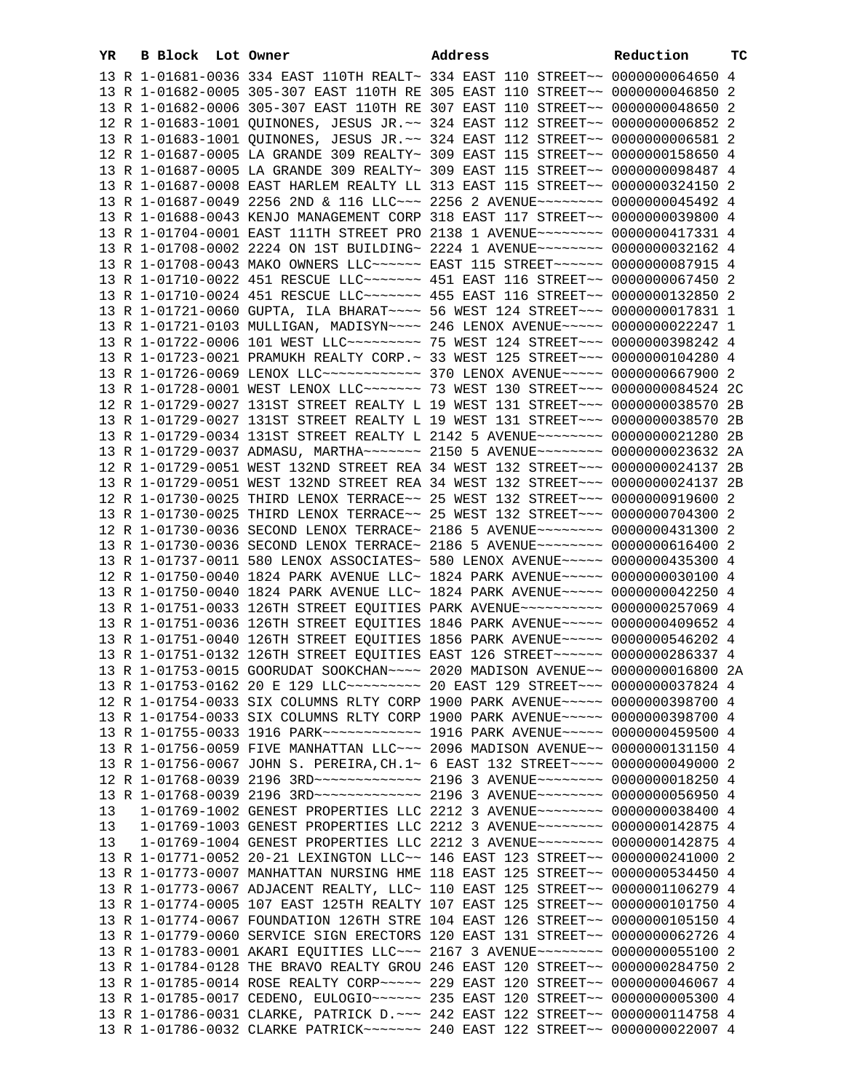| YR | B Block Lot Owner |                                                                                        | Address | Reduction | тc |
|----|-------------------|----------------------------------------------------------------------------------------|---------|-----------|----|
|    |                   | 13 R 1-01681-0036 334 EAST 110TH REALT~ 334 EAST 110 STREET~~ 0000000064650 4          |         |           |    |
|    |                   | 13 R 1-01682-0005 305-307 EAST 110TH RE 305 EAST 110 STREET~~ 0000000046850 2          |         |           |    |
|    |                   | 13 R 1-01682-0006 305-307 EAST 110TH RE 307 EAST 110 STREET~~ 0000000048650 2          |         |           |    |
|    |                   | 12 R 1-01683-1001 QUINONES, JESUS JR. ~~ 324 EAST 112 STREET~~ 0000000006852 2         |         |           |    |
|    |                   | 13 R 1-01683-1001 QUINONES, JESUS JR. ~~ 324 EAST 112 STREET~~ 0000000006581 2         |         |           |    |
|    |                   | 12 R 1-01687-0005 LA GRANDE 309 REALTY~ 309 EAST 115 STREET~~ 0000000158650 4          |         |           |    |
|    |                   |                                                                                        |         |           |    |
|    |                   | 13 R 1-01687-0005 LA GRANDE 309 REALTY~ 309 EAST 115 STREET~~ 0000000098487 4          |         |           |    |
|    |                   | 13 R 1-01687-0008 EAST HARLEM REALTY LL 313 EAST 115 STREET~~ 0000000324150 2          |         |           |    |
|    |                   | 13 R 1-01687-0049 2256 2ND & 116 LLC~~~ 2256 2 AVENUE~~~~~~~~ 0000000045492 4          |         |           |    |
|    |                   | 13 R 1-01688-0043 KENJO MANAGEMENT CORP 318 EAST 117 STREET~~ 0000000039800 4          |         |           |    |
|    |                   | 13 R 1-01704-0001 EAST 111TH STREET PRO 2138 1 AVENUE~~~~~~~~ 0000000417331 4          |         |           |    |
|    |                   | 13 R 1-01708-0002 2224 ON 1ST BUILDING~ 2224 1 AVENUE~~~~~~~~~ 0000000032162 4         |         |           |    |
|    |                   | 13 R 1-01708-0043 MAKO OWNERS LLC~~~~~~ EAST 115 STREET~~~~~~ 0000000087915 4          |         |           |    |
|    |                   | 13 R 1-01710-0022 451 RESCUE LLC ------ 451 EAST 116 STREET -~ 0000000067450 2         |         |           |    |
|    |                   | 13 R 1-01710-0024 451 RESCUE LLC ------ 455 EAST 116 STREET -~ 0000000132850 2         |         |           |    |
|    |                   | 13 R 1-01721-0060 GUPTA, ILA BHARAT~~~~ 56 WEST 124 STREET~~~ 0000000017831 1          |         |           |    |
|    |                   | 13 R 1-01721-0103 MULLIGAN, MADISYN~~~~ 246 LENOX AVENUE~~~~~ 0000000022247 1          |         |           |    |
|    |                   | 13 R 1-01722-0006 101 WEST LLC -------- 75 WEST 124 STREET --- 0000000398242 4         |         |           |    |
|    |                   | 13 R 1-01723-0021 PRAMUKH REALTY CORP.~ 33 WEST 125 STREET~~~ 0000000104280 4          |         |           |    |
|    |                   | 13 R 1-01726-0069 LENOX LLC ------------ 370 LENOX AVENUE ----- 0000000667900 2        |         |           |    |
|    |                   | 13 R 1-01728-0001 WEST LENOX LLC ------ 73 WEST 130 STREET -- 00000000084524 2C        |         |           |    |
|    |                   | 12 R 1-01729-0027 131ST STREET REALTY L 19 WEST 131 STREET~~~ 0000000038570 2B         |         |           |    |
|    |                   | 13 R 1-01729-0027 131ST STREET REALTY L 19 WEST 131 STREET~~~ 0000000038570            |         |           | 2B |
|    |                   | 13 R 1-01729-0034 131ST STREET REALTY L 2142 5 AVENUE~~~~~~~~~ 0000000021280           |         |           | 2B |
|    |                   | 13 R 1-01729-0037 ADMASU, MARTHA~~~~~~~ 2150 5 AVENUE~~~~~~~~ 0000000023632 2A         |         |           |    |
|    |                   | 12 R 1-01729-0051 WEST 132ND STREET REA 34 WEST 132 STREET~~~ 0000000024137 2B         |         |           |    |
|    |                   | 13 R 1-01729-0051 WEST 132ND STREET REA 34 WEST 132 STREET~~~ 0000000024137 2B         |         |           |    |
|    |                   | 12 R 1-01730-0025 THIRD LENOX TERRACE~~ 25 WEST 132 STREET~~~ 0000000919600 2          |         |           |    |
|    |                   | 13 R 1-01730-0025 THIRD LENOX TERRACE~~ 25 WEST 132 STREET~~~ 0000000704300 2          |         |           |    |
|    |                   | 12 R 1-01730-0036 SECOND LENOX TERRACE~ 2186 5 AVENUE~~~~~~~~ 0000000431300 2          |         |           |    |
|    |                   |                                                                                        |         |           |    |
|    |                   | 13 R 1-01730-0036 SECOND LENOX TERRACE~ 2186 5 AVENUE~~~~~~~~ 0000000616400 2          |         |           |    |
|    |                   | 13 R 1-01737-0011 580 LENOX ASSOCIATES~ 580 LENOX AVENUE~~~~~ 0000000435300 4          |         |           |    |
|    |                   | 12 R 1-01750-0040 1824 PARK AVENUE LLC~ 1824 PARK AVENUE~~~~~ 0000000030100 4          |         |           |    |
|    |                   | 13 R 1-01750-0040 1824 PARK AVENUE LLC~ 1824 PARK AVENUE~~~~~ 0000000042250 4          |         |           |    |
|    |                   | 13 R 1-01751-0033 126TH STREET EQUITIES PARK AVENUE~~~~~~~~~~ 0000000257069 4          |         |           |    |
|    |                   | 13 R 1-01751-0036 126TH STREET EQUITIES 1846 PARK AVENUE~~~~~ 0000000409652 4          |         |           |    |
|    |                   | 13 R 1-01751-0040 126TH STREET EQUITIES 1856 PARK AVENUE~~~~~ 0000000546202 4          |         |           |    |
|    |                   | 13 R 1-01751-0132 126TH STREET EQUITIES EAST 126 STREET~~~~~~ 0000000286337 4          |         |           |    |
|    |                   | 13 R 1-01753-0015 GOORUDAT SOOKCHAN~~~~ 2020 MADISON AVENUE~~ 0000000016800 2A         |         |           |    |
|    |                   | 13 R 1-01753-0162 20 E 129 LLC --------- 20 EAST 129 STREET --- 0000000037824 4        |         |           |    |
|    |                   | 12 R 1-01754-0033 SIX COLUMNS RLTY CORP 1900 PARK AVENUE~~~~~ 0000000398700 4          |         |           |    |
|    |                   | 13 R 1-01754-0033 SIX COLUMNS RLTY CORP 1900 PARK AVENUE~~~~~ 0000000398700 4          |         |           |    |
|    |                   | 13 R 1-01755-0033 1916 PARK~~~~~~~~~~~~~~~~~ 1916 PARK AVENUE~~~~~ 0000000459500 4     |         |           |    |
|    |                   | 13 R 1-01756-0059 FIVE MANHATTAN LLC~~~ 2096 MADISON AVENUE~~ 0000000131150 4          |         |           |    |
|    |                   | 13 R 1-01756-0067 JOHN S. PEREIRA, CH. 1~ 6 EAST 132 STREET~~~~ 0000000049000 2        |         |           |    |
|    |                   | 12 R 1-01768-0039 2196 3RD -------------- 2196 3 AVENUE -------- 0000000018250 4       |         |           |    |
|    |                   | 13 R 1-01768-0039 2196 3RD ~~~~~~~~~~~~~~~~~~~ 2196 3 AVENUE ~~~~~~~~~ 0000000056950 4 |         |           |    |
| 13 |                   | 1-01769-1002 GENEST PROPERTIES LLC 2212 3 AVENUE~~~~~~~~ 0000000038400 4               |         |           |    |
| 13 |                   | 1-01769-1003 GENEST PROPERTIES LLC 2212 3 AVENUE~~~~~~~~ 0000000142875 4               |         |           |    |
| 13 |                   | 1-01769-1004 GENEST PROPERTIES LLC 2212 3 AVENUE~~~~~~~~ 0000000142875 4               |         |           |    |
|    |                   | 13 R 1-01771-0052 20-21 LEXINGTON LLC~~ 146 EAST 123 STREET~~ 0000000241000 2          |         |           |    |
|    |                   | 13 R 1-01773-0007 MANHATTAN NURSING HME 118 EAST 125 STREET~~ 0000000534450 4          |         |           |    |
|    |                   | 13 R 1-01773-0067 ADJACENT REALTY, LLC~ 110 EAST 125 STREET~~ 0000001106279 4          |         |           |    |
|    |                   | 13 R 1-01774-0005 107 EAST 125TH REALTY 107 EAST 125 STREET~~ 0000000101750 4          |         |           |    |
|    |                   | 13 R 1-01774-0067 FOUNDATION 126TH STRE 104 EAST 126 STREET~~ 0000000105150 4          |         |           |    |
|    |                   | 13 R 1-01779-0060 SERVICE SIGN ERECTORS 120 EAST 131 STREET~~ 0000000062726 4          |         |           |    |
|    |                   | 13 R 1-01783-0001 AKARI EQUITIES LLC~~~ 2167 3 AVENUE~~~~~~~~ 0000000055100 2          |         |           |    |
|    |                   | 13 R 1-01784-0128 THE BRAVO REALTY GROU 246 EAST 120 STREET~~ 0000000284750 2          |         |           |    |
|    |                   | 13 R 1-01785-0014 ROSE REALTY CORP~~~~~ 229 EAST 120 STREET~~ 0000000046067 4          |         |           |    |
|    |                   | 13 R 1-01785-0017 CEDENO, EULOGIO ~~~~~~ 235 EAST 120 STREET ~~ 0000000005300 4        |         |           |    |
|    |                   | 13 R 1-01786-0031 CLARKE, PATRICK D. -- 242 EAST 122 STREET -- 0000000114758 4         |         |           |    |
|    |                   | 13 R 1-01786-0032 CLARKE PATRICK~~~~~~~ 240 EAST 122 STREET~~ 0000000022007 4          |         |           |    |
|    |                   |                                                                                        |         |           |    |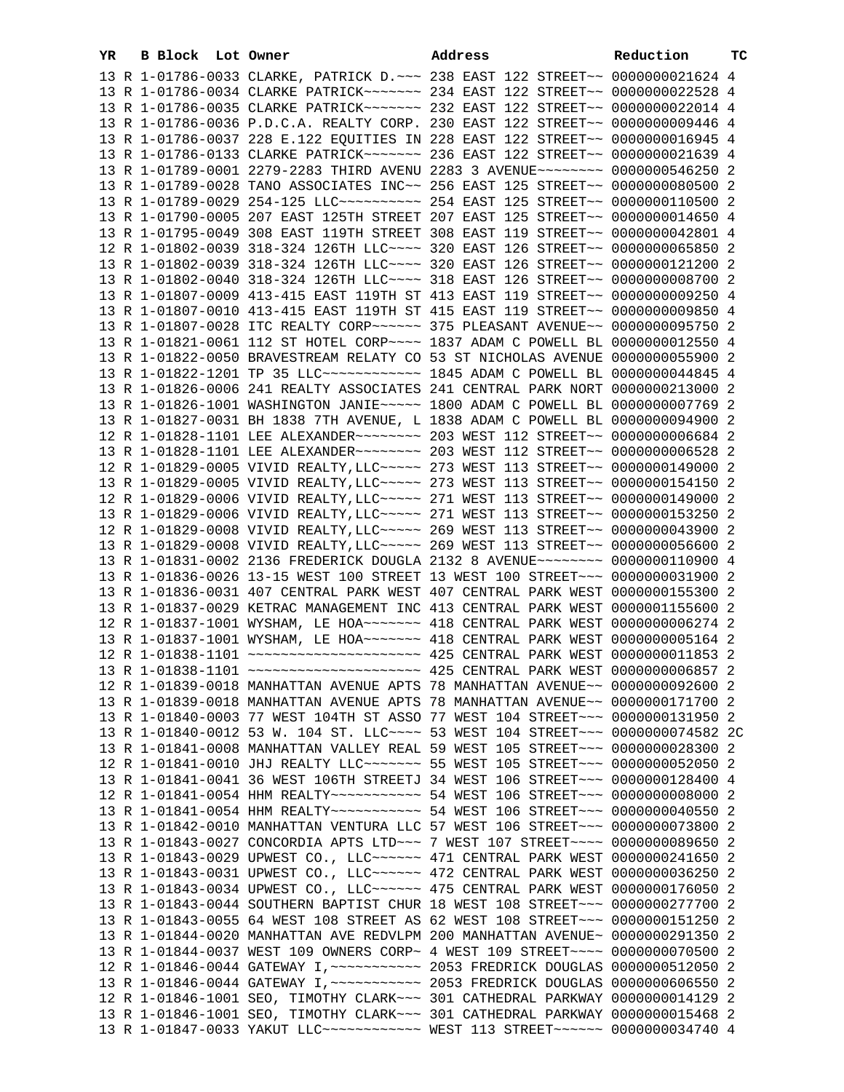| YR | <b>B Block</b> Lot Owner |  | Address                                                                                                                                                              | Reduction | тC |
|----|--------------------------|--|----------------------------------------------------------------------------------------------------------------------------------------------------------------------|-----------|----|
|    |                          |  | 13 R 1-01786-0033 CLARKE, PATRICK D. ~~~ 238 EAST 122 STREET~~ 0000000021624 4                                                                                       |           |    |
|    |                          |  | 13 R 1-01786-0034 CLARKE PATRICK~~~~~~~ 234 EAST 122 STREET~~ 0000000022528 4                                                                                        |           |    |
|    |                          |  | 13 R 1-01786-0035 CLARKE PATRICK~~~~~~~ 232 EAST 122 STREET~~ 0000000022014 4                                                                                        |           |    |
|    |                          |  | 13 R 1-01786-0036 P.D.C.A. REALTY CORP. 230 EAST 122 STREET~~ 0000000009446 4                                                                                        |           |    |
|    |                          |  | 13 R 1-01786-0037 228 E.122 EQUITIES IN 228 EAST 122 STREET~~ 0000000016945 4                                                                                        |           |    |
|    |                          |  | 13 R 1-01786-0133 CLARKE PATRICK~~~~~~~ 236 EAST 122 STREET~~ 0000000021639 4                                                                                        |           |    |
|    |                          |  | 13 R 1-01789-0001 2279-2283 THIRD AVENU 2283 3 AVENUE~~~~~~~~ 0000000546250 2                                                                                        |           |    |
|    |                          |  | 13 R 1-01789-0028 TANO ASSOCIATES INC~~ 256 EAST 125 STREET~~ 0000000080500 2                                                                                        |           |    |
|    |                          |  |                                                                                                                                                                      |           |    |
|    |                          |  | 13 R 1-01790-0005 207 EAST 125TH STREET 207 EAST 125 STREET~~ 0000000014650 4                                                                                        |           |    |
|    |                          |  | 13 R 1-01795-0049 308 EAST 119TH STREET 308 EAST 119 STREET~~ 0000000042801 4                                                                                        |           |    |
|    |                          |  | 12 R 1-01802-0039 318-324 126TH LLC --- 320 EAST 126 STREET -~ 0000000065850 2                                                                                       |           |    |
|    |                          |  | 13 R 1-01802-0039 318-324 126TH LLC --- 320 EAST 126 STREET -~ 0000000121200 2                                                                                       |           |    |
|    |                          |  | 13 R 1-01802-0040 318-324 126TH LLC --- 318 EAST 126 STREET -~ 0000000008700 2                                                                                       |           |    |
|    |                          |  | 13 R 1-01807-0009 413-415 EAST 119TH ST 413 EAST 119 STREET~~ 0000000009250 4                                                                                        |           |    |
|    |                          |  | 13 R 1-01807-0010 413-415 EAST 119TH ST 415 EAST 119 STREET~~ 0000000009850 4                                                                                        |           |    |
|    |                          |  | 13 R 1-01807-0028 ITC REALTY CORP~~~~~~ 375 PLEASANT AVENUE~~ 0000000095750 2                                                                                        |           |    |
|    |                          |  | 13 R 1-01821-0061 112 ST HOTEL CORP~~~~ 1837 ADAM C POWELL BL 0000000012550 4                                                                                        |           |    |
|    |                          |  | 13 R 1-01822-0050 BRAVESTREAM RELATY CO 53 ST NICHOLAS AVENUE 0000000055900 2                                                                                        |           |    |
|    |                          |  | 13 R 1-01822-1201 TP 35 LLC ------------ 1845 ADAM C POWELL BL 0000000044845 4                                                                                       |           |    |
|    |                          |  | 13 R 1-01826-0006 241 REALTY ASSOCIATES 241 CENTRAL PARK NORT 0000000213000 2                                                                                        |           |    |
|    |                          |  | 13 R 1-01826-1001 WASHINGTON JANIE~~~~~ 1800 ADAM C POWELL BL 0000000007769 2                                                                                        |           |    |
|    |                          |  | 13 R 1-01827-0031 BH 1838 7TH AVENUE, L 1838 ADAM C POWELL BL 0000000094900 2                                                                                        |           |    |
|    |                          |  |                                                                                                                                                                      |           |    |
|    |                          |  |                                                                                                                                                                      |           |    |
|    |                          |  | 12 R 1-01829-0005 VIVID REALTY, LLC ~~~~~ 273 WEST 113 STREET ~~ 0000000149000 2                                                                                     |           |    |
|    |                          |  | 13 R 1-01829-0005 VIVID REALTY, LLC ~~~~~ 273 WEST 113 STREET ~~ 0000000154150 2<br>12 R 1-01829-0006 VIVID REALTY, LLC ~~~~~ 271 WEST 113 STREET ~~ 0000000149000 2 |           |    |
|    |                          |  | 13 R 1-01829-0006 VIVID REALTY, LLC ~~~~~ 271 WEST 113 STREET ~~ 0000000153250 2                                                                                     |           |    |
|    |                          |  | 12 R 1-01829-0008 VIVID REALTY, LLC ~~~~~ 269 WEST 113 STREET ~~ 0000000043900 2                                                                                     |           |    |
|    |                          |  | 13 R 1-01829-0008 VIVID REALTY, LLC ~~~~~ 269 WEST 113 STREET ~~ 0000000056600 2                                                                                     |           |    |
|    |                          |  | 13 R 1-01831-0002 2136 FREDERICK DOUGLA 2132 8 AVENUE~~~~~~~~ 0000000110900 4                                                                                        |           |    |
|    |                          |  | 13 R 1-01836-0026 13-15 WEST 100 STREET 13 WEST 100 STREET~~~ 0000000031900 2                                                                                        |           |    |
|    |                          |  | 13 R 1-01836-0031 407 CENTRAL PARK WEST 407 CENTRAL PARK WEST 0000000155300 2                                                                                        |           |    |
|    |                          |  | 13 R 1-01837-0029 KETRAC MANAGEMENT INC 413 CENTRAL PARK WEST 0000001155600 2                                                                                        |           |    |
|    |                          |  | 12 R 1-01837-1001 WYSHAM, LE HOA~~~~~~~ 418 CENTRAL PARK WEST 0000000006274 2                                                                                        |           |    |
|    |                          |  | 13 R 1-01837-1001 WYSHAM, LE HOA~~~~~~~ 418 CENTRAL PARK WEST 0000000005164 2                                                                                        |           |    |
|    |                          |  |                                                                                                                                                                      |           |    |
|    |                          |  |                                                                                                                                                                      |           |    |
|    |                          |  | 12 R 1-01839-0018 MANHATTAN AVENUE APTS 78 MANHATTAN AVENUE~~ 0000000092600 2                                                                                        |           |    |
|    |                          |  | 13 R 1-01839-0018 MANHATTAN AVENUE APTS 78 MANHATTAN AVENUE~~ 0000000171700 2                                                                                        |           |    |
|    |                          |  | 13 R 1-01840-0003 77 WEST 104TH ST ASSO 77 WEST 104 STREET~~~ 0000000131950 2                                                                                        |           |    |
|    |                          |  | 13 R 1-01840-0012 53 W. 104 ST. LLC ---- 53 WEST 104 STREET --- 0000000074582 2C                                                                                     |           |    |
|    |                          |  | 13 R 1-01841-0008 MANHATTAN VALLEY REAL 59 WEST 105 STREET~~~ 0000000028300 2                                                                                        |           |    |
|    |                          |  | 12 R 1-01841-0010 JHJ REALTY LLC ------ 55 WEST 105 STREET -- 0000000052050 2                                                                                        |           |    |
|    |                          |  | 13 R 1-01841-0041 36 WEST 106TH STREETJ 34 WEST 106 STREET~~~ 0000000128400 4                                                                                        |           |    |
|    |                          |  |                                                                                                                                                                      |           |    |
|    |                          |  | 13 R 1-01841-0054 HHM REALTY~~~~~~~~~~~~ 54 WEST 106 STREET~~~ 0000000040550 2                                                                                       |           |    |
|    |                          |  | 13 R 1-01842-0010 MANHATTAN VENTURA LLC 57 WEST 106 STREET~~~ 0000000073800 2                                                                                        |           |    |
|    |                          |  | 13 R 1-01843-0027 CONCORDIA APTS LTD ~~~ 7 WEST 107 STREET ~~~~ 0000000089650 2                                                                                      |           |    |
|    |                          |  | 13 R 1-01843-0029 UPWEST CO., LLC~~~~~~ 471 CENTRAL PARK WEST 0000000241650 2                                                                                        |           |    |
|    |                          |  | 13 R 1-01843-0031 UPWEST CO., LLC~~~~~~ 472 CENTRAL PARK WEST 0000000036250 2<br>13 R 1-01843-0034 UPWEST CO., LLC~~~~~~ 475 CENTRAL PARK WEST 0000000176050 2       |           |    |
|    |                          |  | 13 R 1-01843-0044 SOUTHERN BAPTIST CHUR 18 WEST 108 STREET~~~ 0000000277700 2                                                                                        |           |    |
|    |                          |  | 13 R 1-01843-0055 64 WEST 108 STREET AS 62 WEST 108 STREET~~~ 0000000151250 2                                                                                        |           |    |
|    |                          |  | 13 R 1-01844-0020 MANHATTAN AVE REDVLPM 200 MANHATTAN AVENUE~ 0000000291350 2                                                                                        |           |    |
|    |                          |  | 13 R 1-01844-0037 WEST 109 OWNERS CORP~ 4 WEST 109 STREET~~~~ 0000000070500 2                                                                                        |           |    |
|    |                          |  |                                                                                                                                                                      |           |    |
|    |                          |  |                                                                                                                                                                      |           |    |
|    |                          |  | 12 R 1-01846-1001 SEO, TIMOTHY CLARK~~~ 301 CATHEDRAL PARKWAY 0000000014129 2                                                                                        |           |    |
|    |                          |  | 13 R 1-01846-1001 SEO, TIMOTHY CLARK~~~ 301 CATHEDRAL PARKWAY 0000000015468 2                                                                                        |           |    |
|    |                          |  | 13 R 1-01847-0033 YAKUT LLC ------------ WEST 113 STREET ----- 0000000034740 4                                                                                       |           |    |
|    |                          |  |                                                                                                                                                                      |           |    |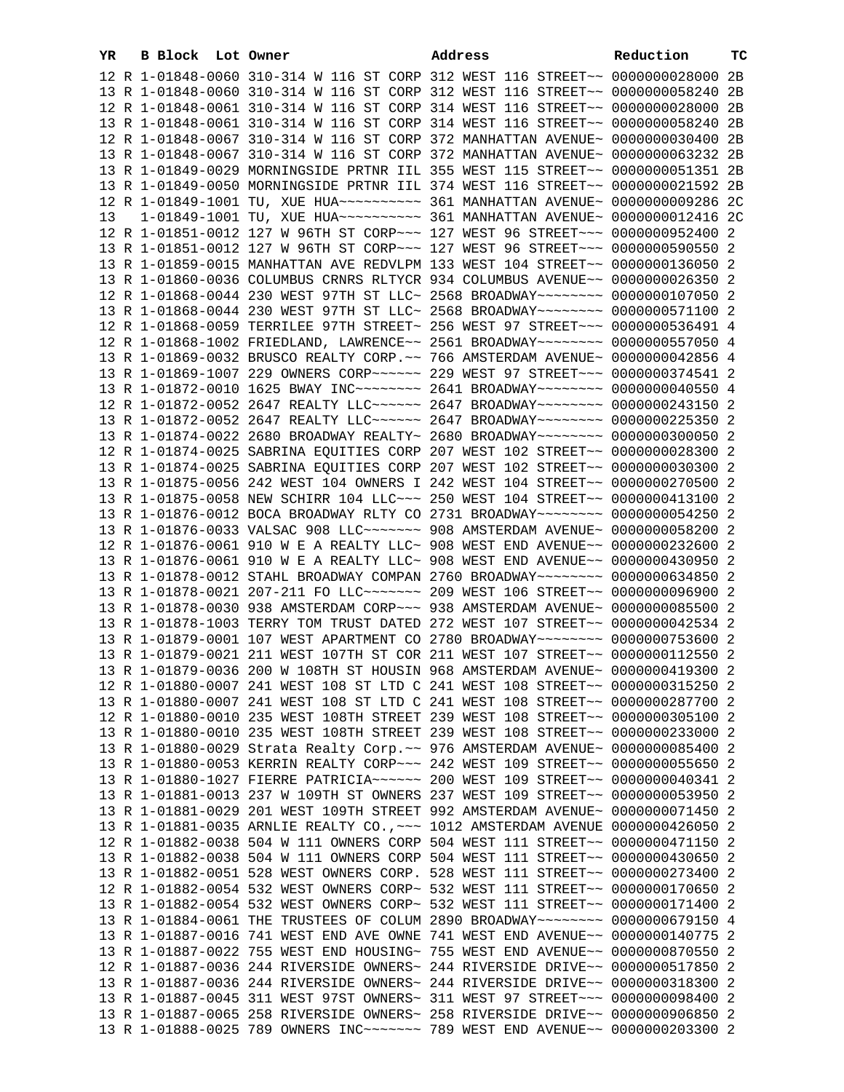| YR | B Block Lot Owner | Address                                                                                                                                                          | Reduction | тc |
|----|-------------------|------------------------------------------------------------------------------------------------------------------------------------------------------------------|-----------|----|
|    |                   | 12 R 1-01848-0060 310-314 W 116 ST CORP 312 WEST 116 STREET~~ 0000000028000 2B                                                                                   |           |    |
|    |                   | 13 R 1-01848-0060 310-314 W 116 ST CORP 312 WEST 116 STREET~~ 0000000058240 2B                                                                                   |           |    |
|    |                   | 12 R 1-01848-0061 310-314 W 116 ST CORP 314 WEST 116 STREET~~ 0000000028000                                                                                      |           | 2B |
|    |                   | 13 R 1-01848-0061 310-314 W 116 ST CORP 314 WEST 116 STREET~~ 0000000058240                                                                                      |           | 2B |
|    |                   | 12 R 1-01848-0067 310-314 W 116 ST CORP 372 MANHATTAN AVENUE~ 0000000030400                                                                                      |           | 2В |
|    |                   | 13 R 1-01848-0067 310-314 W 116 ST CORP 372 MANHATTAN AVENUE~ 0000000063232                                                                                      |           | 2B |
|    |                   | 13 R 1-01849-0029 MORNINGSIDE PRTNR IIL 355 WEST 115 STREET~~ 0000000051351 2B                                                                                   |           |    |
|    |                   | 13 R 1-01849-0050 MORNINGSIDE PRTNR IIL 374 WEST 116 STREET~~ 0000000021592 2B                                                                                   |           |    |
|    |                   |                                                                                                                                                                  |           |    |
| 13 |                   | 1-01849-1001 TU, XUE HUA~~~~~~~~~~ 361 MANHATTAN AVENUE~ 0000000012416 2C                                                                                        |           |    |
|    |                   | 12 R 1-01851-0012 127 W 96TH ST CORP~~~ 127 WEST 96 STREET~~~ 0000000952400 2                                                                                    |           |    |
|    |                   | 13 R 1-01851-0012 127 W 96TH ST CORP~~~ 127 WEST 96 STREET~~~ 0000000590550 2                                                                                    |           |    |
|    |                   | 13 R 1-01859-0015 MANHATTAN AVE REDVLPM 133 WEST 104 STREET~~ 0000000136050 2                                                                                    |           |    |
|    |                   | 13 R 1-01860-0036 COLUMBUS CRNRS RLTYCR 934 COLUMBUS AVENUE~~ 0000000026350 2                                                                                    |           |    |
|    |                   | 12 R 1-01868-0044 230 WEST 97TH ST LLC~ 2568 BROADWAY~~~~~~~~~ 0000000107050 2                                                                                   |           |    |
|    |                   | 13 R 1-01868-0044 230 WEST 97TH ST LLC~ 2568 BROADWAY~~~~~~~~~ 0000000571100 2                                                                                   |           |    |
|    |                   | 12 R 1-01868-0059 TERRILEE 97TH STREET~ 256 WEST 97 STREET~~~ 0000000536491 4                                                                                    |           |    |
|    |                   |                                                                                                                                                                  |           |    |
|    |                   | 12 R 1-01868-1002 FRIEDLAND, LAWRENCE~~ 2561 BROADWAY~~~~~~~~ 0000000557050 4                                                                                    |           |    |
|    |                   | 13 R 1-01869-0032 BRUSCO REALTY CORP. ~~ 766 AMSTERDAM AVENUE~ 0000000042856 4                                                                                   |           |    |
|    |                   | 13 R 1-01869-1007 229 OWNERS CORP~~~~~~ 229 WEST 97 STREET~~~ 0000000374541 2                                                                                    |           |    |
|    |                   | 13 R 1-01872-0010 1625 BWAY INC~~~~~~~~~~~~~ 2641 BROADWAY~~~~~~~~~ 0000000040550 4                                                                              |           |    |
|    |                   | 12 R 1-01872-0052 2647 REALTY LLC~~~~~~ 2647 BROADWAY~~~~~~~~ 0000000243150 2                                                                                    |           |    |
|    |                   | 13 R 1-01872-0052 2647 REALTY LLC ----- 2647 BROADWAY ------- 0000000225350 2                                                                                    |           |    |
|    |                   | 13 R 1-01874-0022 2680 BROADWAY REALTY~ 2680 BROADWAY~~~~~~~~ 0000000300050 2                                                                                    |           |    |
|    |                   | 12 R 1-01874-0025 SABRINA EQUITIES CORP 207 WEST 102 STREET~~ 0000000028300 2                                                                                    |           |    |
|    |                   | 13 R 1-01874-0025 SABRINA EQUITIES CORP 207 WEST 102 STREET~~ 0000000030300 2                                                                                    |           |    |
|    |                   | 13 R 1-01875-0056 242 WEST 104 OWNERS I 242 WEST 104 STREET~~ 0000000270500 2<br>13 R 1-01875-0058 NEW SCHIRR 104 LLC ~~~ 250 WEST 104 STREET ~~ 0000000413100 2 |           |    |
|    |                   | 13 R 1-01876-0012 BOCA BROADWAY RLTY CO 2731 BROADWAY~~~~~~~~ 0000000054250 2                                                                                    |           |    |
|    |                   | 13 R 1-01876-0033 VALSAC 908 LLC ------- 908 AMSTERDAM AVENUE- 0000000058200 2                                                                                   |           |    |
|    |                   | 12 R 1-01876-0061 910 W E A REALTY LLC~ 908 WEST END AVENUE~~ 0000000232600 2                                                                                    |           |    |
|    |                   | 13 R 1-01876-0061 910 W E A REALTY LLC~ 908 WEST END AVENUE~~ 0000000430950 2                                                                                    |           |    |
|    |                   | 13 R 1-01878-0012 STAHL BROADWAY COMPAN 2760 BROADWAY~~~~~~~~ 0000000634850 2                                                                                    |           |    |
|    |                   | 13 R 1-01878-0021 207-211 FO LLC ------ 209 WEST 106 STREET -~ 0000000096900 2                                                                                   |           |    |
|    |                   | 13 R 1-01878-0030 938 AMSTERDAM CORP~~~ 938 AMSTERDAM AVENUE~ 0000000085500 2                                                                                    |           |    |
|    |                   | 13 R 1-01878-1003 TERRY TOM TRUST DATED 272 WEST 107 STREET~~ 0000000042534 2                                                                                    |           |    |
|    |                   | 13 R 1-01879-0001 107 WEST APARTMENT CO 2780 BROADWAY~~~~~~~~ 0000000753600 2                                                                                    |           |    |
|    |                   | 13 R 1-01879-0021 211 WEST 107TH ST COR 211 WEST 107 STREET~~ 0000000112550 2                                                                                    |           |    |
|    |                   | 13 R 1-01879-0036 200 W 108TH ST HOUSIN 968 AMSTERDAM AVENUE~ 0000000419300 2                                                                                    |           |    |
|    |                   | 12 R 1-01880-0007 241 WEST 108 ST LTD C 241 WEST 108 STREET~~ 0000000315250 2                                                                                    |           |    |
|    |                   | 13 R 1-01880-0007 241 WEST 108 ST LTD C 241 WEST 108 STREET~~ 0000000287700 2                                                                                    |           |    |
|    |                   | 12 R 1-01880-0010 235 WEST 108TH STREET 239 WEST 108 STREET~~ 0000000305100 2                                                                                    |           |    |
|    |                   | 13 R 1-01880-0010 235 WEST 108TH STREET 239 WEST 108 STREET~~ 0000000233000 2                                                                                    |           |    |
|    |                   | 13 R 1-01880-0029 Strata Realty Corp. ~~ 976 AMSTERDAM AVENUE~ 0000000085400 2                                                                                   |           |    |
|    |                   | 13 R 1-01880-0053 KERRIN REALTY CORP~~~ 242 WEST 109 STREET~~ 0000000055650 2                                                                                    |           |    |
|    |                   | 13 R 1-01880-1027 FIERRE PATRICIA~~~~~~ 200 WEST 109 STREET~~ 0000000040341 2                                                                                    |           |    |
|    |                   | 13 R 1-01881-0013 237 W 109TH ST OWNERS 237 WEST 109 STREET~~ 0000000053950 2                                                                                    |           |    |
|    |                   | 13 R 1-01881-0029 201 WEST 109TH STREET 992 AMSTERDAM AVENUE~ 0000000071450 2                                                                                    |           |    |
|    |                   | 13 R 1-01881-0035 ARNLIE REALTY CO., ~~~ 1012 AMSTERDAM AVENUE 0000000426050                                                                                     |           | -2 |
|    |                   | 12 R 1-01882-0038 504 W 111 OWNERS CORP 504 WEST 111 STREET~~ 0000000471150                                                                                      |           | -2 |
|    |                   | 13 R 1-01882-0038 504 W 111 OWNERS CORP 504 WEST 111 STREET~~ 0000000430650 2                                                                                    |           |    |
|    |                   | 13 R 1-01882-0051 528 WEST OWNERS CORP. 528 WEST 111 STREET~~ 0000000273400 2                                                                                    |           |    |
|    |                   | 12 R 1-01882-0054 532 WEST OWNERS CORP~ 532 WEST 111 STREET~~ 0000000170650 2                                                                                    |           |    |
|    |                   | 13 R 1-01882-0054 532 WEST OWNERS CORP~ 532 WEST 111 STREET~~ 0000000171400                                                                                      |           | -2 |
|    |                   | 13 R 1-01884-0061 THE TRUSTEES OF COLUM 2890 BROADWAY~~~~~~~~ 0000000679150 4                                                                                    |           |    |
|    |                   | 13 R 1-01887-0016 741 WEST END AVE OWNE 741 WEST END AVENUE~~ 0000000140775 2                                                                                    |           |    |
|    |                   | 13 R 1-01887-0022 755 WEST END HOUSING~ 755 WEST END AVENUE~~ 0000000870550                                                                                      |           | -2 |
|    |                   | 12 R 1-01887-0036 244 RIVERSIDE OWNERS~ 244 RIVERSIDE DRIVE~~ 0000000517850                                                                                      |           | -2 |
|    |                   | 13 R 1-01887-0036 244 RIVERSIDE OWNERS~ 244 RIVERSIDE DRIVE~~ 0000000318300 2                                                                                    |           |    |
|    |                   | 13 R 1-01887-0045 311 WEST 97ST OWNERS~ 311 WEST 97 STREET~~~ 0000000098400 2                                                                                    |           |    |
|    |                   | 13 R 1-01887-0065 258 RIVERSIDE OWNERS~ 258 RIVERSIDE DRIVE~~ 0000000906850 2                                                                                    |           |    |
|    |                   | 13 R 1-01888-0025 789 OWNERS INC~~~~~~~ 789 WEST END AVENUE~~ 0000000203300 2                                                                                    |           |    |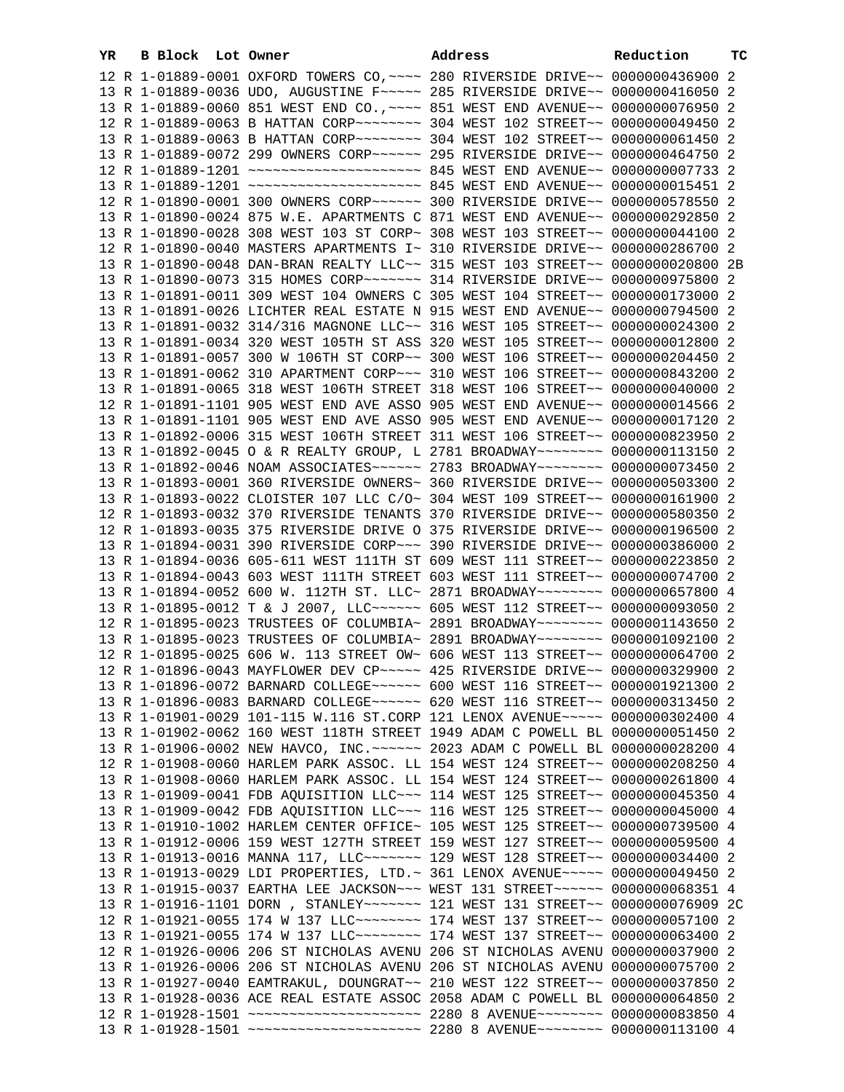| YR | B Block Lot Owner |                                                                                                                                                                   | Address | Reduction | тc |
|----|-------------------|-------------------------------------------------------------------------------------------------------------------------------------------------------------------|---------|-----------|----|
|    |                   | 12 R 1-01889-0001 OXFORD TOWERS CO, ~~~~ 280 RIVERSIDE DRIVE~~ 0000000436900 2                                                                                    |         |           |    |
|    |                   | 13 R 1-01889-0036 UDO, AUGUSTINE F~~~~~ 285 RIVERSIDE DRIVE~~ 0000000416050 2                                                                                     |         |           |    |
|    |                   | 13 R 1-01889-0060 851 WEST END CO., ~~~~ 851 WEST END AVENUE~~ 0000000076950 2                                                                                    |         |           |    |
|    |                   | 12 R 1-01889-0063 B HATTAN CORP~~~~~~~~ 304 WEST 102 STREET~~ 0000000049450 2                                                                                     |         |           |    |
|    |                   | 13 R 1-01889-0063 B HATTAN CORP ~~~~~~~~ 304 WEST 102 STREET ~~ 0000000061450 2                                                                                   |         |           |    |
|    |                   | 13 R 1-01889-0072 299 OWNERS CORP~~~~~~ 295 RIVERSIDE DRIVE~~ 0000000464750 2                                                                                     |         |           |    |
|    |                   |                                                                                                                                                                   |         |           |    |
|    |                   |                                                                                                                                                                   |         |           |    |
|    |                   | 12 R 1-01890-0001 300 OWNERS CORP~~~~~~ 300 RIVERSIDE DRIVE~~ 0000000578550 2                                                                                     |         |           |    |
|    |                   | 13 R 1-01890-0024 875 W.E. APARTMENTS C 871 WEST END AVENUE~~ 0000000292850 2                                                                                     |         |           |    |
|    |                   | 13 R 1-01890-0028 308 WEST 103 ST CORP~ 308 WEST 103 STREET~~ 0000000044100 2                                                                                     |         |           |    |
|    |                   | 12 R 1-01890-0040 MASTERS APARTMENTS I~ 310 RIVERSIDE DRIVE~~ 0000000286700 2                                                                                     |         |           |    |
|    |                   | 13 R 1-01890-0048 DAN-BRAN REALTY LLC~~ 315 WEST 103 STREET~~ 0000000020800 2B                                                                                    |         |           |    |
|    |                   | 13 R 1-01890-0073 315 HOMES CORP~~~~~~~ 314 RIVERSIDE DRIVE~~ 0000000975800 2                                                                                     |         |           |    |
|    |                   | 13 R 1-01891-0011 309 WEST 104 OWNERS C 305 WEST 104 STREET~~ 0000000173000 2                                                                                     |         |           |    |
|    |                   | 13 R 1-01891-0026 LICHTER REAL ESTATE N 915 WEST END AVENUE~~ 0000000794500 2                                                                                     |         |           |    |
|    |                   | 13 R 1-01891-0032 314/316 MAGNONE LLC~~ 316 WEST 105 STREET~~ 0000000024300 2                                                                                     |         |           |    |
|    |                   | 13 R 1-01891-0034 320 WEST 105TH ST ASS 320 WEST 105 STREET~~ 0000000012800 2                                                                                     |         |           |    |
|    |                   | 13 R 1-01891-0057 300 W 106TH ST CORP~~ 300 WEST 106 STREET~~ 0000000204450 2                                                                                     |         |           |    |
|    |                   | 13 R 1-01891-0062 310 APARTMENT CORP~~~ 310 WEST 106 STREET~~ 0000000843200 2                                                                                     |         |           |    |
|    |                   | 13 R 1-01891-0065 318 WEST 106TH STREET 318 WEST 106 STREET~~ 0000000040000 2                                                                                     |         |           |    |
|    |                   | 12 R 1-01891-1101 905 WEST END AVE ASSO 905 WEST END AVENUE~~ 0000000014566 2                                                                                     |         |           |    |
|    |                   | 13 R 1-01891-1101 905 WEST END AVE ASSO 905 WEST END AVENUE~~ 0000000017120 2                                                                                     |         |           |    |
|    |                   | 13 R 1-01892-0006 315 WEST 106TH STREET 311 WEST 106 STREET~~ 0000000823950 2                                                                                     |         |           |    |
|    |                   | 13 R 1-01892-0045 O & R REALTY GROUP, L 2781 BROADWAY~~~~~~~~ 0000000113150 2                                                                                     |         |           |    |
|    |                   | 13 R 1-01892-0046 NOAM ASSOCIATES~~~~~~ 2783 BROADWAY~~~~~~~~ 0000000073450 2                                                                                     |         |           |    |
|    |                   | 13 R 1-01893-0001 360 RIVERSIDE OWNERS~ 360 RIVERSIDE DRIVE~~ 0000000503300 2                                                                                     |         |           |    |
|    |                   | 13 R 1-01893-0022 CLOISTER 107 LLC C/O~ 304 WEST 109 STREET~~ 0000000161900 2                                                                                     |         |           |    |
|    |                   | 12 R 1-01893-0032 370 RIVERSIDE TENANTS 370 RIVERSIDE DRIVE~~ 0000000580350 2                                                                                     |         |           |    |
|    |                   | 12 R 1-01893-0035 375 RIVERSIDE DRIVE O 375 RIVERSIDE DRIVE~~ 0000000196500 2                                                                                     |         |           |    |
|    |                   | 13 R 1-01894-0031 390 RIVERSIDE CORP~~~ 390 RIVERSIDE DRIVE~~ 0000000386000 2                                                                                     |         |           |    |
|    |                   | 13 R 1-01894-0036 605-611 WEST 111TH ST 609 WEST 111 STREET~~ 0000000223850 2                                                                                     |         |           |    |
|    |                   | 13 R 1-01894-0043 603 WEST 111TH STREET 603 WEST 111 STREET~~ 0000000074700 2                                                                                     |         |           |    |
|    |                   | 13 R 1-01894-0052 600 W. 112TH ST. LLC~ 2871 BROADWAY~~~~~~~~ 0000000657800 4                                                                                     |         |           |    |
|    |                   | 13 R 1-01895-0012 T & J 2007, LLC ----- 605 WEST 112 STREET -~ 0000000093050 2                                                                                    |         |           |    |
|    |                   | 12 R 1-01895-0023 TRUSTEES OF COLUMBIA~ 2891 BROADWAY~~~~~~~~ 0000001143650 2                                                                                     |         |           |    |
|    |                   | 13 R 1-01895-0023 TRUSTEES OF COLUMBIA~ 2891 BROADWAY~~~~~~~~ 0000001092100 2                                                                                     |         |           |    |
|    |                   | 12 R 1-01895-0025 606 W. 113 STREET OW~ 606 WEST 113 STREET~~ 0000000064700 2                                                                                     |         |           |    |
|    |                   | 12 R 1-01896-0043 MAYFLOWER DEV CP ~~~~~ 425 RIVERSIDE DRIVE~~ 0000000329900 2                                                                                    |         |           |    |
|    |                   | 13 R 1-01896-0072 BARNARD COLLEGE~~~~~~ 600 WEST 116 STREET~~ 0000001921300 2                                                                                     |         |           |    |
|    |                   | 13 R 1-01896-0083 BARNARD COLLEGE~~~~~~ 620 WEST 116 STREET~~ 0000000313450 2                                                                                     |         |           |    |
|    |                   | 13 R 1-01901-0029 101-115 W.116 ST.CORP 121 LENOX AVENUE~~~~~ 0000000302400 4                                                                                     |         |           |    |
|    |                   | 13 R 1-01902-0062 160 WEST 118TH STREET 1949 ADAM C POWELL BL 0000000051450 2                                                                                     |         |           |    |
|    |                   | 13 R 1-01906-0002 NEW HAVCO, INC. ~~~~~~ 2023 ADAM C POWELL BL 0000000028200 4                                                                                    |         |           |    |
|    |                   | 12 R 1-01908-0060 HARLEM PARK ASSOC. LL 154 WEST 124 STREET~~ 0000000208250 4                                                                                     |         |           |    |
|    |                   | 13 R 1-01908-0060 HARLEM PARK ASSOC. LL 154 WEST 124 STREET~~ 0000000261800 4                                                                                     |         |           |    |
|    |                   | 13 R 1-01909-0041 FDB AQUISITION LLC ~~~ 114 WEST 125 STREET ~~ 0000000045350 4                                                                                   |         |           |    |
|    |                   | 13 R 1-01909-0042 FDB AQUISITION LLC ~~~ 116 WEST 125 STREET ~~ 0000000045000 4                                                                                   |         |           |    |
|    |                   | 13 R 1-01910-1002 HARLEM CENTER OFFICE~ 105 WEST 125 STREET~~ 0000000739500 4                                                                                     |         |           |    |
|    |                   | 13 R 1-01912-0006 159 WEST 127TH STREET 159 WEST 127 STREET~~ 0000000059500 4                                                                                     |         |           |    |
|    |                   | 13 R 1-01913-0016 MANNA 117, LLC ------ 129 WEST 128 STREET -~ 0000000034400 2                                                                                    |         |           |    |
|    |                   | 13 R 1-01913-0029 LDI PROPERTIES, LTD. ~ 361 LENOX AVENUE~~~~~ 0000000049450 2<br>13 R 1-01915-0037 EARTHA LEE JACKSON ~~~ WEST 131 STREET ~~~~~~ 0000000068351 4 |         |           |    |
|    |                   |                                                                                                                                                                   |         |           |    |
|    |                   | 13 R 1-01916-1101 DORN, STANLEY~~~~~~~ 121 WEST 131 STREET~~ 0000000076909 2C<br>12 R 1-01921-0055 174 W 137 LLC ------- 174 WEST 137 STREET -~ 0000000057100 2   |         |           |    |
|    |                   | 13 R 1-01921-0055 174 W 137 LLC ------- 174 WEST 137 STREET -~ 0000000063400 2                                                                                    |         |           |    |
|    |                   | 12 R 1-01926-0006 206 ST NICHOLAS AVENU 206 ST NICHOLAS AVENU 0000000037900 2                                                                                     |         |           |    |
|    |                   | 13 R 1-01926-0006 206 ST NICHOLAS AVENU 206 ST NICHOLAS AVENU 0000000075700 2                                                                                     |         |           |    |
|    |                   | 13 R 1-01927-0040 EAMTRAKUL, DOUNGRAT~~ 210 WEST 122 STREET~~ 0000000037850 2                                                                                     |         |           |    |
|    |                   | 13 R 1-01928-0036 ACE REAL ESTATE ASSOC 2058 ADAM C POWELL BL 0000000064850 2                                                                                     |         |           |    |
|    |                   | 12 R 1-01928-1501 ~~~~~~~~~~~~~~~~~~~~~~ 2280 8 AVENUE~~~~~~~~ 0000000083850 4                                                                                    |         |           |    |
|    |                   | 13 R 1-01928-1501 ~~~~~~~~~~~~~~~~~~~~~~ 2280 8 AVENUE~~~~~~~~ 00000000113100 4                                                                                   |         |           |    |
|    |                   |                                                                                                                                                                   |         |           |    |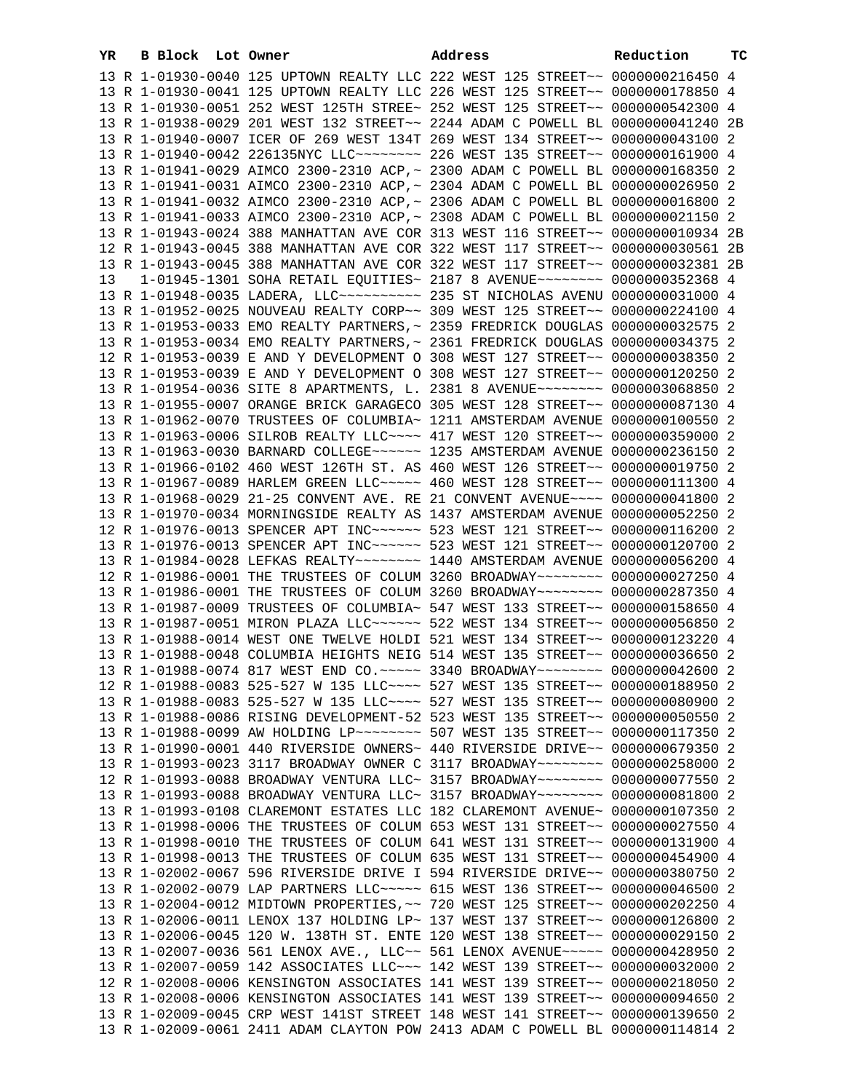| YR | B Block Lot Owner |                                                                                                                                                                | Address | Reduction | тc |
|----|-------------------|----------------------------------------------------------------------------------------------------------------------------------------------------------------|---------|-----------|----|
|    |                   | 13 R 1-01930-0040 125 UPTOWN REALTY LLC 222 WEST 125 STREET~~ 0000000216450 4                                                                                  |         |           |    |
|    |                   | 13 R 1-01930-0041 125 UPTOWN REALTY LLC 226 WEST 125 STREET~~ 0000000178850 4                                                                                  |         |           |    |
|    |                   | 13 R 1-01930-0051 252 WEST 125TH STREE~ 252 WEST 125 STREET~~ 0000000542300 4                                                                                  |         |           |    |
|    |                   | 13 R 1-01938-0029 201 WEST 132 STREET~~ 2244 ADAM C POWELL BL 0000000041240 2B                                                                                 |         |           |    |
|    |                   | 13 R 1-01940-0007 ICER OF 269 WEST 134T 269 WEST 134 STREET~~ 0000000043100 2                                                                                  |         |           |    |
|    |                   | 13 R 1-01940-0042 226135NYC LLC -------- 226 WEST 135 STREET -- 0000000161900 4                                                                                |         |           |    |
|    |                   | 13 R 1-01941-0029 AIMCO 2300-2310 ACP, ~ 2300 ADAM C POWELL BL 0000000168350 2                                                                                 |         |           |    |
|    |                   | 13 R 1-01941-0031 AIMCO 2300-2310 ACP, ~ 2304 ADAM C POWELL BL 0000000026950 2                                                                                 |         |           |    |
|    |                   | 13 R 1-01941-0032 AIMCO 2300-2310 ACP, ~ 2306 ADAM C POWELL BL 0000000016800 2                                                                                 |         |           |    |
|    |                   | 13 R 1-01941-0033 AIMCO 2300-2310 ACP, ~ 2308 ADAM C POWELL BL 0000000021150 2                                                                                 |         |           |    |
|    |                   | 13 R 1-01943-0024 388 MANHATTAN AVE COR 313 WEST 116 STREET~~ 0000000010934 2B                                                                                 |         |           |    |
|    |                   | 12 R 1-01943-0045 388 MANHATTAN AVE COR 322 WEST 117 STREET~~ 0000000030561 2B                                                                                 |         |           |    |
|    |                   | 13 R 1-01943-0045 388 MANHATTAN AVE COR 322 WEST 117 STREET~~ 0000000032381 2B                                                                                 |         |           |    |
| 13 |                   | 1-01945-1301 SOHA RETAIL EQUITIES~ 2187 8 AVENUE~~~~~~~~~ 0000000352368 4                                                                                      |         |           |    |
|    |                   |                                                                                                                                                                |         |           |    |
|    |                   | 13 R 1-01952-0025 NOUVEAU REALTY CORP~~ 309 WEST 125 STREET~~ 0000000224100 4                                                                                  |         |           |    |
|    |                   | 13 R 1-01953-0033 EMO REALTY PARTNERS, ~ 2359 FREDRICK DOUGLAS 0000000032575 2                                                                                 |         |           |    |
|    |                   | 13 R 1-01953-0034 EMO REALTY PARTNERS, ~ 2361 FREDRICK DOUGLAS 0000000034375 2                                                                                 |         |           |    |
|    |                   | 12 R 1-01953-0039 E AND Y DEVELOPMENT O 308 WEST 127 STREET~~ 0000000038350 2                                                                                  |         |           |    |
|    |                   | 13 R 1-01953-0039 E AND Y DEVELOPMENT O 308 WEST 127 STREET~~ 0000000120250 2                                                                                  |         |           |    |
|    |                   | 13 R 1-01954-0036 SITE 8 APARTMENTS, L. 2381 8 AVENUE~~~~~~~~ 0000003068850 2                                                                                  |         |           |    |
|    |                   | 13 R 1-01955-0007 ORANGE BRICK GARAGECO 305 WEST 128 STREET~~ 0000000087130 4                                                                                  |         |           |    |
|    |                   | 13 R 1-01962-0070 TRUSTEES OF COLUMBIA~ 1211 AMSTERDAM AVENUE 0000000100550 2                                                                                  |         |           |    |
|    |                   | 13 R 1-01963-0006 SILROB REALTY LLC --- 417 WEST 120 STREET -~ 0000000359000 2                                                                                 |         |           |    |
|    |                   | 13 R 1-01963-0030 BARNARD COLLEGE~~~~~~ 1235 AMSTERDAM AVENUE 0000000236150 2                                                                                  |         |           |    |
|    |                   | 13 R 1-01966-0102 460 WEST 126TH ST. AS 460 WEST 126 STREET~~ 0000000019750 2                                                                                  |         |           |    |
|    |                   | 13 R 1-01967-0089 HARLEM GREEN LLC ~~~~~ 460 WEST 128 STREET ~~ 0000000111300 4                                                                                |         |           |    |
|    |                   | 13 R 1-01968-0029 21-25 CONVENT AVE. RE 21 CONVENT AVENUE~~~~ 0000000041800 2                                                                                  |         |           |    |
|    |                   | 13 R 1-01970-0034 MORNINGSIDE REALTY AS 1437 AMSTERDAM AVENUE 0000000052250 2                                                                                  |         |           |    |
|    |                   | 12 R 1-01976-0013 SPENCER APT INC~~~~~~ 523 WEST 121 STREET~~ 0000000116200 2                                                                                  |         |           |    |
|    |                   | 13 R 1-01976-0013 SPENCER APT INC~~~~~~ 523 WEST 121 STREET~~ 0000000120700 2                                                                                  |         |           |    |
|    |                   | 13 R 1-01984-0028 LEFKAS REALTY~~~~~~~~ 1440 AMSTERDAM AVENUE 0000000056200 4                                                                                  |         |           |    |
|    |                   | 12 R 1-01986-0001 THE TRUSTEES OF COLUM 3260 BROADWAY~~~~~~~~ 0000000027250 4                                                                                  |         |           |    |
|    |                   | 13 R 1-01986-0001 THE TRUSTEES OF COLUM 3260 BROADWAY~~~~~~~~ 0000000287350 4                                                                                  |         |           |    |
|    |                   | 13 R 1-01987-0009 TRUSTEES OF COLUMBIA~ 547 WEST 133 STREET~~ 0000000158650 4                                                                                  |         |           |    |
|    |                   | 13 R 1-01987-0051 MIRON PLAZA LLC~~~~~~ 522 WEST 134 STREET~~ 0000000056850 2<br>13 R 1-01988-0014 WEST ONE TWELVE HOLDI 521 WEST 134 STREET~~ 0000000123220 4 |         |           |    |
|    |                   | 13 R 1-01988-0048 COLUMBIA HEIGHTS NEIG 514 WEST 135 STREET~~ 0000000036650 2                                                                                  |         |           |    |
|    |                   | 13 R 1-01988-0074 817 WEST END CO.~~~~~ 3340 BROADWAY~~~~~~~~ 0000000042600 2                                                                                  |         |           |    |
|    |                   | 12 R 1-01988-0083 525-527 W 135 LLC --- 527 WEST 135 STREET -~ 0000000188950 2                                                                                 |         |           |    |
|    |                   | 13 R 1-01988-0083 525-527 W 135 LLC --- 527 WEST 135 STREET -~ 0000000080900 2                                                                                 |         |           |    |
|    |                   | 13 R 1-01988-0086 RISING DEVELOPMENT-52 523 WEST 135 STREET~~ 0000000050550 2                                                                                  |         |           |    |
|    |                   |                                                                                                                                                                |         |           |    |
|    |                   | 13 R 1-01990-0001 440 RIVERSIDE OWNERS~ 440 RIVERSIDE DRIVE~~ 0000000679350 2                                                                                  |         |           |    |
|    |                   | 13 R 1-01993-0023 3117 BROADWAY OWNER C 3117 BROADWAY~~~~~~~~ 0000000258000 2                                                                                  |         |           |    |
|    |                   | 12 R 1-01993-0088 BROADWAY VENTURA LLC~ 3157 BROADWAY~~~~~~~~~ 0000000077550 2                                                                                 |         |           |    |
|    |                   | 13 R 1-01993-0088 BROADWAY VENTURA LLC~ 3157 BROADWAY~~~~~~~~~ 0000000081800 2                                                                                 |         |           |    |
|    |                   | 13 R 1-01993-0108 CLAREMONT ESTATES LLC 182 CLAREMONT AVENUE~ 0000000107350 2                                                                                  |         |           |    |
|    |                   | 13 R 1-01998-0006 THE TRUSTEES OF COLUM 653 WEST 131 STREET~~ 0000000027550 4                                                                                  |         |           |    |
|    |                   | 13 R 1-01998-0010 THE TRUSTEES OF COLUM 641 WEST 131 STREET~~ 0000000131900 4                                                                                  |         |           |    |
|    |                   | 13 R 1-01998-0013 THE TRUSTEES OF COLUM 635 WEST 131 STREET~~ 0000000454900 4                                                                                  |         |           |    |
|    |                   | 13 R 1-02002-0067 596 RIVERSIDE DRIVE I 594 RIVERSIDE DRIVE~~ 0000000380750 2                                                                                  |         |           |    |
|    |                   | 13 R 1-02002-0079 LAP PARTNERS LLC~~~~~ 615 WEST 136 STREET~~ 0000000046500 2                                                                                  |         |           |    |
|    |                   | 13 R 1-02004-0012 MIDTOWN PROPERTIES, ~~ 720 WEST 125 STREET~~ 0000000202250 4                                                                                 |         |           |    |
|    |                   | 13 R 1-02006-0011 LENOX 137 HOLDING LP~ 137 WEST 137 STREET~~ 0000000126800 2                                                                                  |         |           |    |
|    |                   | 13 R 1-02006-0045 120 W. 138TH ST. ENTE 120 WEST 138 STREET~~ 0000000029150 2                                                                                  |         |           |    |
|    |                   | 13 R 1-02007-0036 561 LENOX AVE., LLC~~ 561 LENOX AVENUE~~~~~ 0000000428950 2                                                                                  |         |           |    |
|    |                   | 13 R 1-02007-0059 142 ASSOCIATES LLC~~~ 142 WEST 139 STREET~~ 0000000032000 2                                                                                  |         |           |    |
|    |                   | 12 R 1-02008-0006 KENSINGTON ASSOCIATES 141 WEST 139 STREET~~ 0000000218050 2                                                                                  |         |           |    |
|    |                   | 13 R 1-02008-0006 KENSINGTON ASSOCIATES 141 WEST 139 STREET~~ 0000000094650 2                                                                                  |         |           |    |
|    |                   | 13 R 1-02009-0045 CRP WEST 141ST STREET 148 WEST 141 STREET~~ 0000000139650 2                                                                                  |         |           |    |
|    |                   | 13 R 1-02009-0061 2411 ADAM CLAYTON POW 2413 ADAM C POWELL BL 0000000114814 2                                                                                  |         |           |    |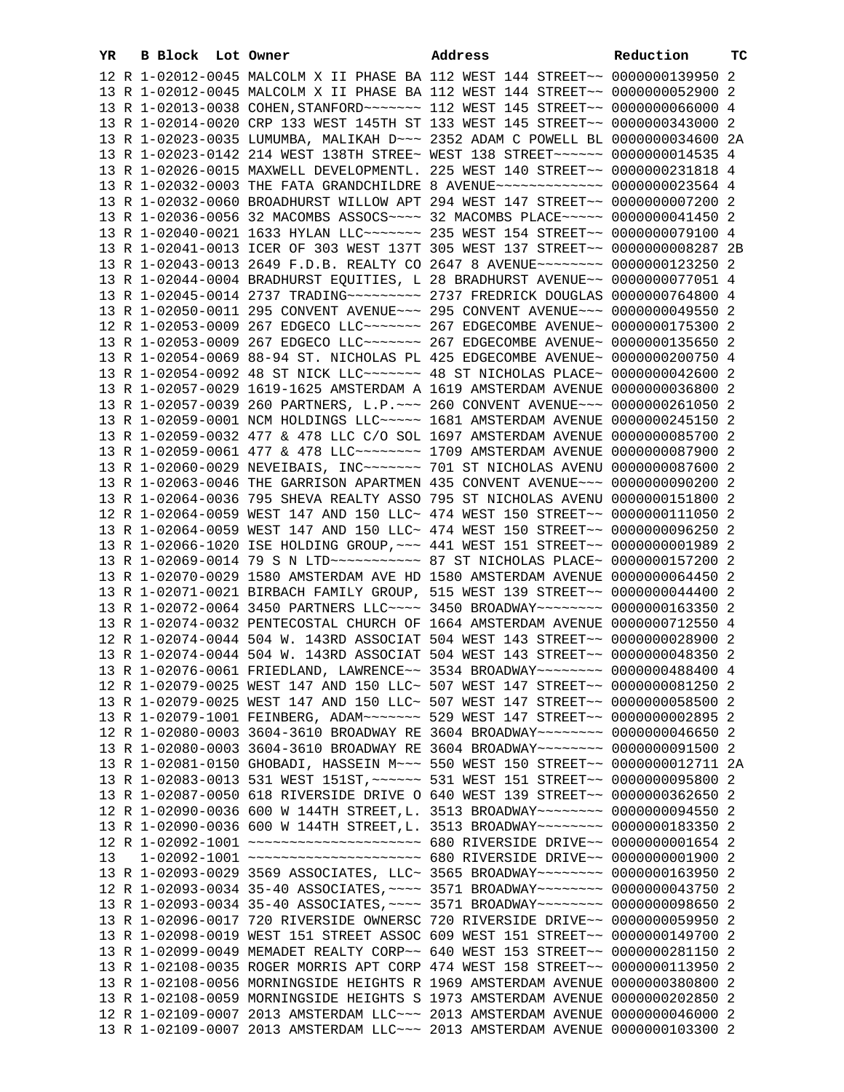| YR | B Block Lot Owner |                                                                                    | Address | Reduction | тc |
|----|-------------------|------------------------------------------------------------------------------------|---------|-----------|----|
|    |                   | 12 R 1-02012-0045 MALCOLM X II PHASE BA 112 WEST 144 STREET~~ 0000000139950 2      |         |           |    |
|    |                   | 13 R 1-02012-0045 MALCOLM X II PHASE BA 112 WEST 144 STREET~~ 0000000052900 2      |         |           |    |
|    |                   |                                                                                    |         |           |    |
|    |                   | 13 R 1-02013-0038 COHEN, STANFORD ~~~~~~~ 112 WEST 145 STREET ~~ 0000000066000 4   |         |           |    |
|    |                   | 13 R 1-02014-0020 CRP 133 WEST 145TH ST 133 WEST 145 STREET~~ 0000000343000 2      |         |           |    |
|    |                   | 13 R 1-02023-0035 LUMUMBA, MALIKAH D~~~ 2352 ADAM C POWELL BL 0000000034600 2A     |         |           |    |
|    |                   | 13 R 1-02023-0142 214 WEST 138TH STREE~ WEST 138 STREET~~~~~~ 0000000014535 4      |         |           |    |
|    |                   | 13 R 1-02026-0015 MAXWELL DEVELOPMENTL. 225 WEST 140 STREET~~ 0000000231818 4      |         |           |    |
|    |                   | 13 R 1-02032-0003 THE FATA GRANDCHILDRE 8 AVENUE~~~~~~~~~~~~~ 0000000023564 4      |         |           |    |
|    |                   | 13 R 1-02032-0060 BROADHURST WILLOW APT 294 WEST 147 STREET~~ 0000000007200 2      |         |           |    |
|    |                   | 13 R 1-02036-0056 32 MACOMBS ASSOCS ~~~~ 32 MACOMBS PLACE ~~~~~ 0000000041450 2    |         |           |    |
|    |                   | 13 R 1-02040-0021 1633 HYLAN LLC ------ 235 WEST 154 STREET -- 0000000079100 4     |         |           |    |
|    |                   | 13 R 1-02041-0013 ICER OF 303 WEST 137T 305 WEST 137 STREET~~ 0000000008287 2B     |         |           |    |
|    |                   | 13 R 1-02043-0013 2649 F.D.B. REALTY CO 2647 8 AVENUE~~~~~~~~ 0000000123250 2      |         |           |    |
|    |                   | 13 R 1-02044-0004 BRADHURST EQUITIES, L 28 BRADHURST AVENUE~~ 0000000077051 4      |         |           |    |
|    |                   |                                                                                    |         |           |    |
|    |                   | 13 R 1-02050-0011 295 CONVENT AVENUE~~~ 295 CONVENT AVENUE~~~ 0000000049550 2      |         |           |    |
|    |                   | 12 R 1-02053-0009 267 EDGECO LLC ------- 267 EDGECOMBE AVENUE- 0000000175300 2     |         |           |    |
|    |                   | 13 R 1-02053-0009 267 EDGECO LLC ------- 267 EDGECOMBE AVENUE- 0000000135650 2     |         |           |    |
|    |                   |                                                                                    |         |           |    |
|    |                   | 13 R 1-02054-0069 88-94 ST. NICHOLAS PL 425 EDGECOMBE AVENUE~ 0000000200750 4      |         |           |    |
|    |                   | 13 R 1-02054-0092 48 ST NICK LLC ------ 48 ST NICHOLAS PLACE ~ 0000000042600 2     |         |           |    |
|    |                   | 13 R 1-02057-0029 1619-1625 AMSTERDAM A 1619 AMSTERDAM AVENUE 0000000036800 2      |         |           |    |
|    |                   | 13 R 1-02057-0039 260 PARTNERS, L.P. ~~~ 260 CONVENT AVENUE~~~ 0000000261050 2     |         |           |    |
|    |                   | 13 R 1-02059-0001 NCM HOLDINGS LLC~~~~~ 1681 AMSTERDAM AVENUE 0000000245150 2      |         |           |    |
|    |                   | 13 R 1-02059-0032 477 & 478 LLC C/O SOL 1697 AMSTERDAM AVENUE 0000000085700 2      |         |           |    |
|    |                   | 13 R 1-02059-0061 477 & 478 LLC -------- 1709 AMSTERDAM AVENUE 0000000087900 2     |         |           |    |
|    |                   | 13 R 1-02060-0029 NEVEIBAIS, INC~~~~~~~ 701 ST NICHOLAS AVENU 0000000087600 2      |         |           |    |
|    |                   | 13 R 1-02063-0046 THE GARRISON APARTMEN 435 CONVENT AVENUE~~~ 0000000090200 2      |         |           |    |
|    |                   | 13 R 1-02064-0036 795 SHEVA REALTY ASSO 795 ST NICHOLAS AVENU 0000000151800 2      |         |           |    |
|    |                   | 12 R 1-02064-0059 WEST 147 AND 150 LLC~ 474 WEST 150 STREET~~ 0000000111050 2      |         |           |    |
|    |                   | 13 R 1-02064-0059 WEST 147 AND 150 LLC~ 474 WEST 150 STREET~~ 0000000096250 2      |         |           |    |
|    |                   | 13 R 1-02066-1020 ISE HOLDING GROUP, ~~~ 441 WEST 151 STREET~~ 00000000001989 2    |         |           |    |
|    |                   | 13 R 1-02069-0014 79 S N LTD ----------- 87 ST NICHOLAS PLACE ~ 0000000157200 2    |         |           |    |
|    |                   | 13 R 1-02070-0029 1580 AMSTERDAM AVE HD 1580 AMSTERDAM AVENUE 0000000064450 2      |         |           |    |
|    |                   | 13 R 1-02071-0021 BIRBACH FAMILY GROUP, 515 WEST 139 STREET~~ 0000000044400 2      |         |           |    |
|    |                   | 13 R 1-02072-0064 3450 PARTNERS LLC~~~~ 3450 BROADWAY~~~~~~~ 0000000163350 2       |         |           |    |
|    |                   | 13 R 1-02074-0032 PENTECOSTAL CHURCH OF 1664 AMSTERDAM AVENUE 0000000712550 4      |         |           |    |
|    |                   | 12 R 1-02074-0044 504 W. 143RD ASSOCIAT 504 WEST 143 STREET~~ 0000000028900 2      |         |           |    |
|    |                   | 13 R 1-02074-0044 504 W. 143RD ASSOCIAT 504 WEST 143 STREET~~ 0000000048350 2      |         |           |    |
|    |                   | 13 R 1-02076-0061 FRIEDLAND, LAWRENCE~~ 3534 BROADWAY~~~~~~~~ 0000000488400 4      |         |           |    |
|    |                   | 12 R 1-02079-0025 WEST 147 AND 150 LLC~ 507 WEST 147 STREET~~ 0000000081250 2      |         |           |    |
|    |                   | 13 R 1-02079-0025 WEST 147 AND 150 LLC~ 507 WEST 147 STREET~~ 0000000058500 2      |         |           |    |
|    |                   | 13 R 1-02079-1001 FEINBERG, ADAM~~~~~~~ 529 WEST 147 STREET~~ 0000000002895 2      |         |           |    |
|    |                   | 12 R 1-02080-0003 3604-3610 BROADWAY RE 3604 BROADWAY~~~~~~~~ 0000000046650 2      |         |           |    |
|    |                   |                                                                                    |         |           |    |
|    |                   | 13 R 1-02080-0003 3604-3610 BROADWAY RE 3604 BROADWAY~~~~~~~~ 0000000091500 2      |         |           |    |
|    |                   | 13 R 1-02081-0150 GHOBADI, HASSEIN M~~~ 550 WEST 150 STREET~~ 0000000012711 2A     |         |           |    |
|    |                   | 13 R 1-02083-0013 531 WEST 151ST, ~~~~~~ 531 WEST 151 STREET~~ 0000000095800 2     |         |           |    |
|    |                   | 13 R 1-02087-0050 618 RIVERSIDE DRIVE O 640 WEST 139 STREET~~ 0000000362650 2      |         |           |    |
|    |                   | 12 R 1-02090-0036 600 W 144TH STREET, L. 3513 BROADWAY~~~~~~~~ 0000000094550 2     |         |           |    |
|    |                   | 13 R 1-02090-0036 600 W 144TH STREET, L. 3513 BROADWAY~~~~~~~~ 0000000183350 2     |         |           |    |
|    |                   | 12 R 1-02092-1001 ~~~~~~~~~~~~~~~~~~~~~~~~~ 680 RIVERSIDE DRIVE~~ 00000000001654 2 |         |           |    |
| 13 |                   | 1-02092-1001 ~~~~~~~~~~~~~~~~~~~~ 680 RIVERSIDE DRIVE~~ 00000000001900 2           |         |           |    |
|    |                   | 13 R 1-02093-0029 3569 ASSOCIATES, LLC~ 3565 BROADWAY~~~~~~~~ 0000000163950 2      |         |           |    |
|    |                   | 12 R 1-02093-0034 35-40 ASSOCIATES, ~~~~ 3571 BROADWAY~~~~~~~~ 0000000043750 2     |         |           |    |
|    |                   | 13 R 1-02093-0034 35-40 ASSOCIATES, ~~~~ 3571 BROADWAY~~~~~~~~ 0000000098650 2     |         |           |    |
|    |                   | 13 R 1-02096-0017 720 RIVERSIDE OWNERSC 720 RIVERSIDE DRIVE~~ 0000000059950 2      |         |           |    |
|    |                   | 13 R 1-02098-0019 WEST 151 STREET ASSOC 609 WEST 151 STREET~~ 0000000149700 2      |         |           |    |
|    |                   | 13 R 1-02099-0049 MEMADET REALTY CORP~~ 640 WEST 153 STREET~~ 0000000281150 2      |         |           |    |
|    |                   | 13 R 1-02108-0035 ROGER MORRIS APT CORP 474 WEST 158 STREET~~ 0000000113950 2      |         |           |    |
|    |                   | 13 R 1-02108-0056 MORNINGSIDE HEIGHTS R 1969 AMSTERDAM AVENUE 0000000380800 2      |         |           |    |
|    |                   | 13 R 1-02108-0059 MORNINGSIDE HEIGHTS S 1973 AMSTERDAM AVENUE 0000000202850 2      |         |           |    |
|    |                   | 12 R 1-02109-0007 2013 AMSTERDAM LLC~~~ 2013 AMSTERDAM AVENUE 0000000046000 2      |         |           |    |
|    |                   | 13 R 1-02109-0007 2013 AMSTERDAM LLC~~~ 2013 AMSTERDAM AVENUE 0000000103300 2      |         |           |    |
|    |                   |                                                                                    |         |           |    |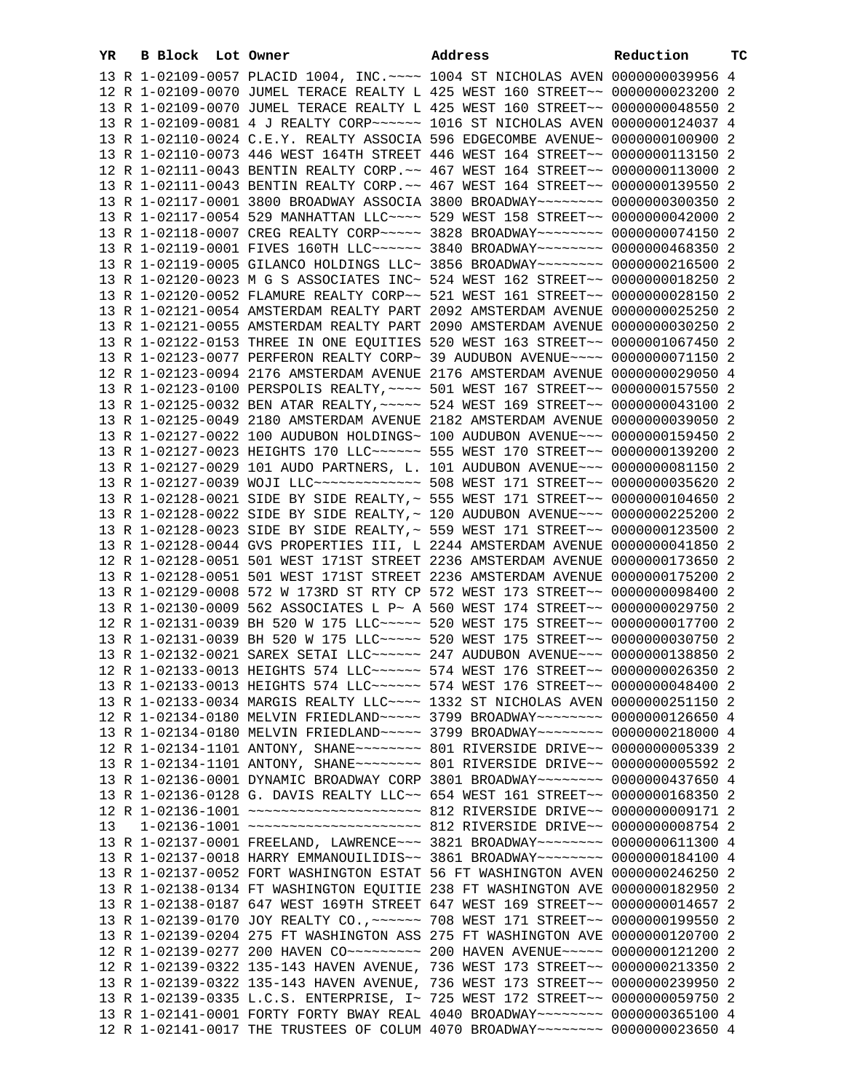|    |                   |                                                                                                                                                                 | Address | Reduction | тc |
|----|-------------------|-----------------------------------------------------------------------------------------------------------------------------------------------------------------|---------|-----------|----|
| YR | B Block Lot Owner |                                                                                                                                                                 |         |           |    |
|    |                   | 13 R 1-02109-0057 PLACID 1004, INC. ~~~~ 1004 ST NICHOLAS AVEN 0000000039956 4                                                                                  |         |           |    |
|    |                   | 12 R 1-02109-0070 JUMEL TERACE REALTY L 425 WEST 160 STREET~~ 0000000023200 2                                                                                   |         |           |    |
|    |                   | 13 R 1-02109-0070 JUMEL TERACE REALTY L 425 WEST 160 STREET~~ 0000000048550 2                                                                                   |         |           |    |
|    |                   | 13 R 1-02109-0081 4 J REALTY CORP~~~~~~ 1016 ST NICHOLAS AVEN 0000000124037 4                                                                                   |         |           |    |
|    |                   | 13 R 1-02110-0024 C.E.Y. REALTY ASSOCIA 596 EDGECOMBE AVENUE~ 0000000100900 2                                                                                   |         |           |    |
|    |                   | 13 R 1-02110-0073 446 WEST 164TH STREET 446 WEST 164 STREET~~ 0000000113150 2                                                                                   |         |           |    |
|    |                   | 12 R 1-02111-0043 BENTIN REALTY CORP. ~~ 467 WEST 164 STREET~~ 0000000113000 2                                                                                  |         |           |    |
|    |                   | 13 R 1-02111-0043 BENTIN REALTY CORP. ~~ 467 WEST 164 STREET~~ 0000000139550 2                                                                                  |         |           |    |
|    |                   | 13 R 1-02117-0001 3800 BROADWAY ASSOCIA 3800 BROADWAY~~~~~~~~~ 0000000300350 2<br>13 R 1-02117-0054 529 MANHATTAN LLC~~~~ 529 WEST 158 STREET~~ 0000000042000 2 |         |           |    |
|    |                   | 13 R 1-02118-0007 CREG REALTY CORP~~~~~ 3828 BROADWAY~~~~~~~~ 0000000074150 2                                                                                   |         |           |    |
|    |                   |                                                                                                                                                                 |         |           |    |
|    |                   | 13 R 1-02119-0001 FIVES 160TH LLC ----- 3840 BROADWAY ------- 0000000468350 2                                                                                   |         |           |    |
|    |                   | 13 R 1-02119-0005 GILANCO HOLDINGS LLC~ 3856 BROADWAY~~~~~~~~~ 0000000216500 2<br>13 R 1-02120-0023 M G S ASSOCIATES INC~ 524 WEST 162 STREET~~ 0000000018250 2 |         |           |    |
|    |                   | 13 R 1-02120-0052 FLAMURE REALTY CORP~~ 521 WEST 161 STREET~~ 0000000028150 2                                                                                   |         |           |    |
|    |                   | 13 R 1-02121-0054 AMSTERDAM REALTY PART 2092 AMSTERDAM AVENUE 0000000025250 2                                                                                   |         |           |    |
|    |                   | 13 R 1-02121-0055 AMSTERDAM REALTY PART 2090 AMSTERDAM AVENUE 0000000030250 2                                                                                   |         |           |    |
|    |                   | 13 R 1-02122-0153 THREE IN ONE EQUITIES 520 WEST 163 STREET~~ 0000001067450 2                                                                                   |         |           |    |
|    |                   | 13 R 1-02123-0077 PERFERON REALTY CORP~ 39 AUDUBON AVENUE~~~~ 0000000071150 2                                                                                   |         |           |    |
|    |                   | 12 R 1-02123-0094 2176 AMSTERDAM AVENUE 2176 AMSTERDAM AVENUE 0000000029050 4                                                                                   |         |           |    |
|    |                   | 13 R 1-02123-0100 PERSPOLIS REALTY, ~~~~ 501 WEST 167 STREET~~ 0000000157550 2                                                                                  |         |           |    |
|    |                   | 13 R 1-02125-0032 BEN ATAR REALTY, ~~~~~ 524 WEST 169 STREET~~ 0000000043100 2                                                                                  |         |           |    |
|    |                   | 13 R 1-02125-0049 2180 AMSTERDAM AVENUE 2182 AMSTERDAM AVENUE 0000000039050 2                                                                                   |         |           |    |
|    |                   | 13 R 1-02127-0022 100 AUDUBON HOLDINGS~ 100 AUDUBON AVENUE~~~ 0000000159450 2                                                                                   |         |           |    |
|    |                   | 13 R 1-02127-0023 HEIGHTS 170 LLC ----- 555 WEST 170 STREET -- 0000000139200 2                                                                                  |         |           |    |
|    |                   | 13 R 1-02127-0029 101 AUDO PARTNERS, L. 101 AUDUBON AVENUE~~~ 0000000081150 2                                                                                   |         |           |    |
|    |                   | 13 R 1-02127-0039 WOJI LLC -------------- 508 WEST 171 STREET -~ 0000000035620 2                                                                                |         |           |    |
|    |                   | 13 R 1-02128-0021 SIDE BY SIDE REALTY,~ 555 WEST 171 STREET~~ 0000000104650 2                                                                                   |         |           |    |
|    |                   | 13 R 1-02128-0022 SIDE BY SIDE REALTY, ~ 120 AUDUBON AVENUE~~~ 0000000225200 2                                                                                  |         |           |    |
|    |                   | 13 R 1-02128-0023 SIDE BY SIDE REALTY, ~ 559 WEST 171 STREET~~ 0000000123500 2                                                                                  |         |           |    |
|    |                   | 13 R 1-02128-0044 GVS PROPERTIES III, L 2244 AMSTERDAM AVENUE 0000000041850 2                                                                                   |         |           |    |
|    |                   | 12 R 1-02128-0051 501 WEST 171ST STREET 2236 AMSTERDAM AVENUE 0000000173650 2                                                                                   |         |           |    |
|    |                   | 13 R 1-02128-0051 501 WEST 171ST STREET 2236 AMSTERDAM AVENUE 0000000175200 2                                                                                   |         |           |    |
|    |                   | 13 R 1-02129-0008 572 W 173RD ST RTY CP 572 WEST 173 STREET~~ 0000000098400 2                                                                                   |         |           |    |
|    |                   | 13 R 1-02130-0009 562 ASSOCIATES L P~ A 560 WEST 174 STREET~~ 0000000029750 2                                                                                   |         |           |    |
|    |                   | 12 R 1-02131-0039 BH 520 W 175 LLC ~~~~~ 520 WEST 175 STREET ~~ 0000000017700 2                                                                                 |         |           |    |
|    |                   | 13 R 1-02131-0039 BH 520 W 175 LLC ---- 520 WEST 175 STREET -- 0000000030750 2                                                                                  |         |           |    |
|    |                   | 13 R 1-02132-0021 SAREX SETAI LLC ~~~~~~ 247 AUDUBON AVENUE ~~~ 0000000138850 2                                                                                 |         |           |    |
|    |                   | 12 R 1-02133-0013 HEIGHTS 574 LLC ----- 574 WEST 176 STREET -~ 0000000026350 2                                                                                  |         |           |    |
|    |                   | 13 R 1-02133-0013 HEIGHTS 574 LLC ----- 574 WEST 176 STREET -- 0000000048400 2                                                                                  |         |           |    |
|    |                   | 13 R 1-02133-0034 MARGIS REALTY LLC~~~~ 1332 ST NICHOLAS AVEN 0000000251150 2                                                                                   |         |           |    |
|    |                   | 12 R 1-02134-0180 MELVIN FRIEDLAND~~~~~ 3799 BROADWAY~~~~~~~~ 0000000126650 4                                                                                   |         |           |    |
|    |                   | 13 R 1-02134-0180 MELVIN FRIEDLAND~~~~~ 3799 BROADWAY~~~~~~~~ 0000000218000 4                                                                                   |         |           |    |
|    |                   |                                                                                                                                                                 |         |           |    |
|    |                   |                                                                                                                                                                 |         |           |    |
|    |                   | 13 R 1-02136-0001 DYNAMIC BROADWAY CORP 3801 BROADWAY~~~~~~~~ 0000000437650 4                                                                                   |         |           |    |
|    |                   | 13 R 1-02136-0128 G. DAVIS REALTY LLC~~ 654 WEST 161 STREET~~ 0000000168350 2                                                                                   |         |           |    |
|    |                   |                                                                                                                                                                 |         |           |    |
| 13 |                   |                                                                                                                                                                 |         |           |    |
|    |                   | 13 R 1-02137-0001 FREELAND, LAWRENCE~~~ 3821 BROADWAY~~~~~~~~ 0000000611300 4                                                                                   |         |           |    |
|    |                   | 13 R 1-02137-0018 HARRY EMMANOUILIDIS~~ 3861 BROADWAY~~~~~~~~ 0000000184100 4                                                                                   |         |           |    |
|    |                   | 13 R 1-02137-0052 FORT WASHINGTON ESTAT 56 FT WASHINGTON AVEN 0000000246250 2                                                                                   |         |           |    |
|    |                   | 13 R 1-02138-0134 FT WASHINGTON EQUITIE 238 FT WASHINGTON AVE 0000000182950 2                                                                                   |         |           |    |
|    |                   | 13 R 1-02138-0187 647 WEST 169TH STREET 647 WEST 169 STREET~~ 0000000014657 2                                                                                   |         |           |    |
|    |                   | 13 R 1-02139-0170 JOY REALTY CO., ~~~~~~ 708 WEST 171 STREET~~ 0000000199550 2                                                                                  |         |           |    |
|    |                   | 13 R 1-02139-0204 275 FT WASHINGTON ASS 275 FT WASHINGTON AVE 0000000120700 2                                                                                   |         |           |    |
|    |                   |                                                                                                                                                                 |         |           |    |
|    |                   | 12 R 1-02139-0322 135-143 HAVEN AVENUE, 736 WEST 173 STREET~~ 0000000213350 2                                                                                   |         |           |    |
|    |                   | 13 R 1-02139-0322 135-143 HAVEN AVENUE, 736 WEST 173 STREET~~ 0000000239950 2                                                                                   |         |           |    |
|    |                   | 13 R 1-02139-0335 L.C.S. ENTERPRISE, I~ 725 WEST 172 STREET~~ 0000000059750 2                                                                                   |         |           |    |
|    |                   | 13 R 1-02141-0001 FORTY FORTY BWAY REAL 4040 BROADWAY~~~~~~~~ 0000000365100 4                                                                                   |         |           |    |
|    |                   | 12 R 1-02141-0017 THE TRUSTEES OF COLUM 4070 BROADWAY~~~~~~~~ 0000000023650 4                                                                                   |         |           |    |
|    |                   |                                                                                                                                                                 |         |           |    |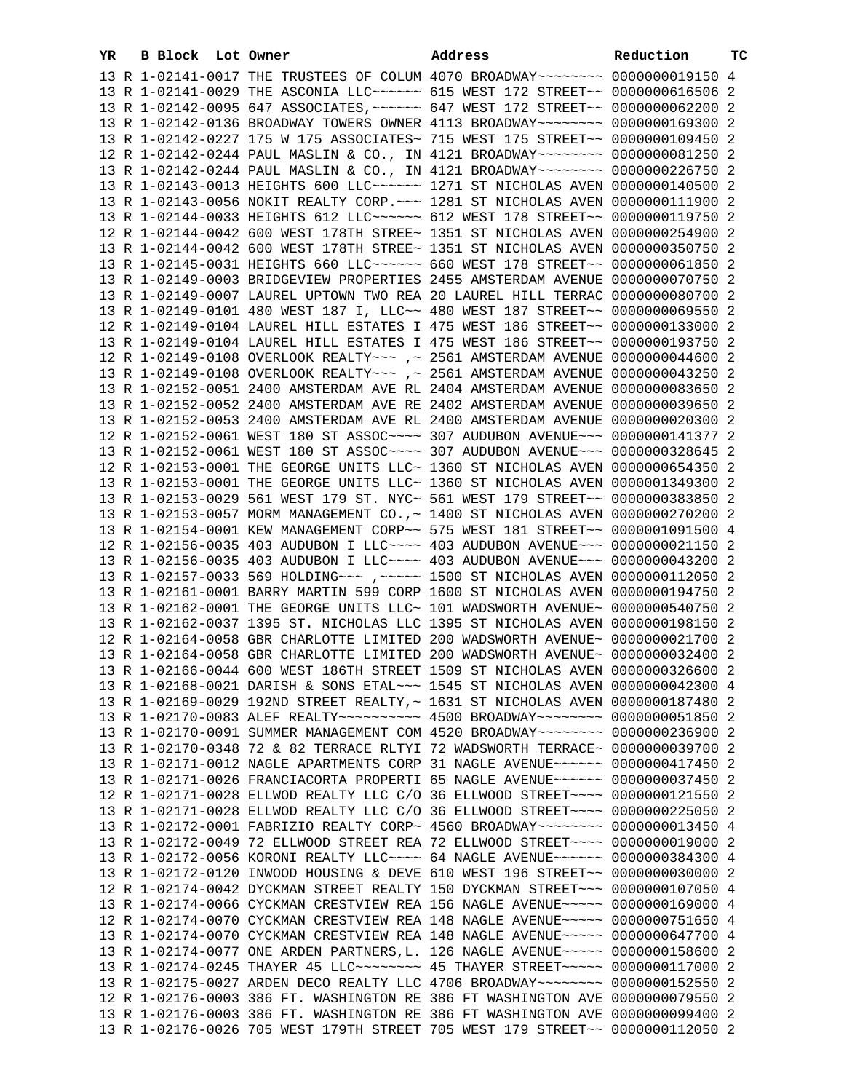| YR. | B Block Lot Owner |                                                                                 | Address | Reduction | тc |
|-----|-------------------|---------------------------------------------------------------------------------|---------|-----------|----|
|     |                   | 13 R 1-02141-0017 THE TRUSTEES OF COLUM 4070 BROADWAY~~~~~~~~ 0000000019150 4   |         |           |    |
|     |                   | 13 R 1-02141-0029 THE ASCONIA LLC~~~~~~ 615 WEST 172 STREET~~ 00000000616506 2  |         |           |    |
|     |                   | 13 R 1-02142-0095 647 ASSOCIATES, ~~~~~~ 647 WEST 172 STREET~~ 0000000062200 2  |         |           |    |
|     |                   | 13 R 1-02142-0136 BROADWAY TOWERS OWNER 4113 BROADWAY~~~~~~~~ 0000000169300 2   |         |           |    |
|     |                   | 13 R 1-02142-0227 175 W 175 ASSOCIATES~ 715 WEST 175 STREET~~ 0000000109450 2   |         |           |    |
|     |                   | 12 R 1-02142-0244 PAUL MASLIN & CO., IN 4121 BROADWAY~~~~~~~~ 0000000081250 2   |         |           |    |
|     |                   | 13 R 1-02142-0244 PAUL MASLIN & CO., IN 4121 BROADWAY~~~~~~~~ 0000000226750 2   |         |           |    |
|     |                   | 13 R 1-02143-0013 HEIGHTS 600 LLC ----- 1271 ST NICHOLAS AVEN 0000000140500 2   |         |           |    |
|     |                   | 13 R 1-02143-0056 NOKIT REALTY CORP. ~~~ 1281 ST NICHOLAS AVEN 0000000111900 2  |         |           |    |
|     |                   | 13 R 1-02144-0033 HEIGHTS 612 LLC ~~~~~~ 612 WEST 178 STREET ~~ 0000000119750 2 |         |           |    |
|     |                   |                                                                                 |         |           |    |
|     |                   | 12 R 1-02144-0042 600 WEST 178TH STREE~ 1351 ST NICHOLAS AVEN 0000000254900 2   |         |           |    |
|     |                   | 13 R 1-02144-0042 600 WEST 178TH STREE~ 1351 ST NICHOLAS AVEN 0000000350750 2   |         |           |    |
|     |                   | 13 R 1-02145-0031 HEIGHTS 660 LLC ----- 660 WEST 178 STREET -- 0000000061850 2  |         |           |    |
|     |                   | 13 R 1-02149-0003 BRIDGEVIEW PROPERTIES 2455 AMSTERDAM AVENUE 0000000070750 2   |         |           |    |
|     |                   | 13 R 1-02149-0007 LAUREL UPTOWN TWO REA 20 LAUREL HILL TERRAC 0000000080700 2   |         |           |    |
|     |                   | 13 R 1-02149-0101 480 WEST 187 I, LLC~~ 480 WEST 187 STREET~~ 0000000069550 2   |         |           |    |
|     |                   | 12 R 1-02149-0104 LAUREL HILL ESTATES I 475 WEST 186 STREET~~ 0000000133000 2   |         |           |    |
|     |                   | 13 R 1-02149-0104 LAUREL HILL ESTATES I 475 WEST 186 STREET~~ 0000000193750 2   |         |           |    |
|     |                   | 12 R 1-02149-0108 OVERLOOK REALTY~~~ ,~ 2561 AMSTERDAM AVENUE 0000000044600 2   |         |           |    |
|     |                   | 13 R 1-02149-0108 OVERLOOK REALTY~~~ ,~ 2561 AMSTERDAM AVENUE 0000000043250 2   |         |           |    |
|     |                   | 13 R 1-02152-0051 2400 AMSTERDAM AVE RL 2404 AMSTERDAM AVENUE 0000000083650 2   |         |           |    |
|     |                   | 13 R 1-02152-0052 2400 AMSTERDAM AVE RE 2402 AMSTERDAM AVENUE 0000000039650 2   |         |           |    |
|     |                   | 13 R 1-02152-0053 2400 AMSTERDAM AVE RL 2400 AMSTERDAM AVENUE 0000000020300 2   |         |           |    |
|     |                   | 12 R 1-02152-0061 WEST 180 ST ASSOC~~~~ 307 AUDUBON AVENUE~~~ 0000000141377 2   |         |           |    |
|     |                   | 13 R 1-02152-0061 WEST 180 ST ASSOC~~~~ 307 AUDUBON AVENUE~~~ 0000000328645 2   |         |           |    |
|     |                   | 12 R 1-02153-0001 THE GEORGE UNITS LLC~ 1360 ST NICHOLAS AVEN 0000000654350 2   |         |           |    |
|     |                   | 13 R 1-02153-0001 THE GEORGE UNITS LLC~ 1360 ST NICHOLAS AVEN 0000001349300 2   |         |           |    |
|     |                   | 13 R 1-02153-0029 561 WEST 179 ST. NYC~ 561 WEST 179 STREET~~ 0000000383850 2   |         |           |    |
|     |                   | 13 R 1-02153-0057 MORM MANAGEMENT CO., ~ 1400 ST NICHOLAS AVEN 0000000270200 2  |         |           |    |
|     |                   | 13 R 1-02154-0001 KEW MANAGEMENT CORP~~ 575 WEST 181 STREET~~ 0000001091500 4   |         |           |    |
|     |                   | 12 R 1-02156-0035 403 AUDUBON I LLC~~~~ 403 AUDUBON AVENUE~~~ 0000000021150 2   |         |           |    |
|     |                   | 13 R 1-02156-0035 403 AUDUBON I LLC~~~~ 403 AUDUBON AVENUE~~~ 0000000043200 2   |         |           |    |
|     |                   | 13 R 1-02157-0033 569 HOLDING~~~ , ~~~~~ 1500 ST NICHOLAS AVEN 0000000112050 2  |         |           |    |
|     |                   | 13 R 1-02161-0001 BARRY MARTIN 599 CORP 1600 ST NICHOLAS AVEN 0000000194750 2   |         |           |    |
|     |                   | 13 R 1-02162-0001 THE GEORGE UNITS LLC~ 101 WADSWORTH AVENUE~ 0000000540750 2   |         |           |    |
|     |                   | 13 R 1-02162-0037 1395 ST. NICHOLAS LLC 1395 ST NICHOLAS AVEN 0000000198150 2   |         |           |    |
|     |                   | 12 R 1-02164-0058 GBR CHARLOTTE LIMITED 200 WADSWORTH AVENUE~ 0000000021700 2   |         |           |    |
|     |                   | 13 R 1-02164-0058 GBR CHARLOTTE LIMITED 200 WADSWORTH AVENUE~ 0000000032400 2   |         |           |    |
|     |                   | 13 R 1-02166-0044 600 WEST 186TH STREET 1509 ST NICHOLAS AVEN 0000000326600 2   |         |           |    |
|     |                   | 13 R 1-02168-0021 DARISH & SONS ETAL~~~ 1545 ST NICHOLAS AVEN 0000000042300 4   |         |           |    |
|     |                   | 13 R 1-02169-0029 192ND STREET REALTY, ~ 1631 ST NICHOLAS AVEN 0000000187480 2  |         |           |    |
|     |                   | 13 R 1-02170-0083 ALEF REALTY~~~~~~~~~~ 4500 BROADWAY~~~~~~~ 0000000051850 2    |         |           |    |
|     |                   | 13 R 1-02170-0091 SUMMER MANAGEMENT COM 4520 BROADWAY~~~~~~~~ 0000000236900 2   |         |           |    |
|     |                   | 13 R 1-02170-0348 72 & 82 TERRACE RLTYI 72 WADSWORTH TERRACE~ 0000000039700 2   |         |           |    |
|     |                   | 13 R 1-02171-0012 NAGLE APARTMENTS CORP 31 NAGLE AVENUE~~~~~~ 0000000417450 2   |         |           |    |
|     |                   | 13 R 1-02171-0026 FRANCIACORTA PROPERTI 65 NAGLE AVENUE~~~~~~ 0000000037450 2   |         |           |    |
|     |                   | 12 R 1-02171-0028 ELLWOD REALTY LLC C/O 36 ELLWOOD STREET~~~~ 0000000121550 2   |         |           |    |
|     |                   | 13 R 1-02171-0028 ELLWOD REALTY LLC C/O 36 ELLWOOD STREET~~~~ 0000000225050 2   |         |           |    |
|     |                   | 13 R 1-02172-0001 FABRIZIO REALTY CORP~ 4560 BROADWAY~~~~~~~~~ 0000000013450 4  |         |           |    |
|     |                   | 13 R 1-02172-0049 72 ELLWOOD STREET REA 72 ELLWOOD STREET~~~~ 0000000019000 2   |         |           |    |
|     |                   | 13 R 1-02172-0056 KORONI REALTY LLC --- 64 NAGLE AVENUE ----- 0000000384300 4   |         |           |    |
|     |                   | 13 R 1-02172-0120 INWOOD HOUSING & DEVE 610 WEST 196 STREET~~ 0000000030000 2   |         |           |    |
|     |                   | 12 R 1-02174-0042 DYCKMAN STREET REALTY 150 DYCKMAN STREET~~~ 0000000107050 4   |         |           |    |
|     |                   | 13 R 1-02174-0066 CYCKMAN CRESTVIEW REA 156 NAGLE AVENUE~~~~~ 0000000169000 4   |         |           |    |
|     |                   | 12 R 1-02174-0070 CYCKMAN CRESTVIEW REA 148 NAGLE AVENUE~~~~~ 0000000751650 4   |         |           |    |
|     |                   | 13 R 1-02174-0070 CYCKMAN CRESTVIEW REA 148 NAGLE AVENUE~~~~~ 0000000647700 4   |         |           |    |
|     |                   | 13 R 1-02174-0077 ONE ARDEN PARTNERS, L. 126 NAGLE AVENUE~~~~~ 0000000158600 2  |         |           |    |
|     |                   | 13 R 1-02174-0245 THAYER 45 LLC ------- 45 THAYER STREET ---- 0000000117000 2   |         |           |    |
|     |                   | 13 R 1-02175-0027 ARDEN DECO REALTY LLC 4706 BROADWAY~~~~~~~~ 0000000152550 2   |         |           |    |
|     |                   | 12 R 1-02176-0003 386 FT. WASHINGTON RE 386 FT WASHINGTON AVE 0000000079550 2   |         |           |    |
|     |                   | 13 R 1-02176-0003 386 FT. WASHINGTON RE 386 FT WASHINGTON AVE 0000000099400 2   |         |           |    |
|     |                   | 13 R 1-02176-0026 705 WEST 179TH STREET 705 WEST 179 STREET~~ 0000000112050 2   |         |           |    |
|     |                   |                                                                                 |         |           |    |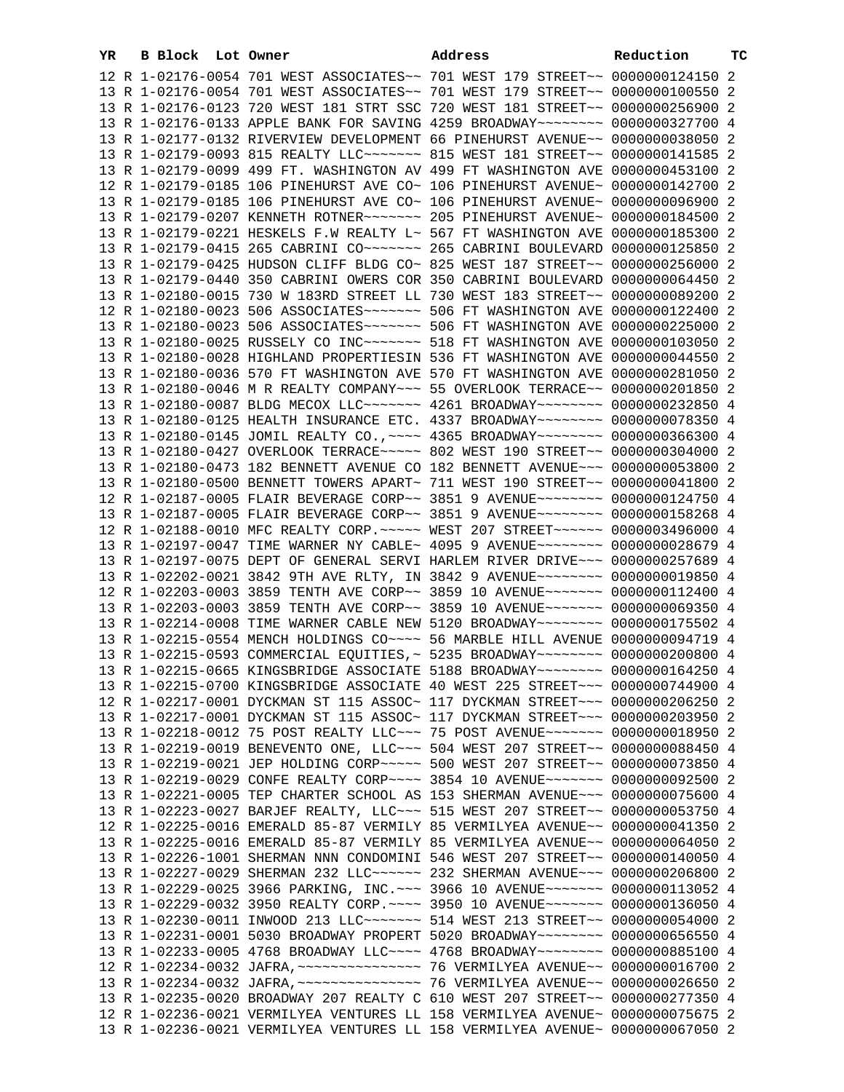| YR | B Block Lot Owner |  | Address                                                                                                                                                          | Reduction | тc |
|----|-------------------|--|------------------------------------------------------------------------------------------------------------------------------------------------------------------|-----------|----|
|    |                   |  | 12 R 1-02176-0054 701 WEST ASSOCIATES~~ 701 WEST 179 STREET~~ 0000000124150 2                                                                                    |           |    |
|    |                   |  | 13 R 1-02176-0054 701 WEST ASSOCIATES~~ 701 WEST 179 STREET~~ 0000000100550 2                                                                                    |           |    |
|    |                   |  | 13 R 1-02176-0123 720 WEST 181 STRT SSC 720 WEST 181 STREET~~ 0000000256900 2                                                                                    |           |    |
|    |                   |  | 13 R 1-02176-0133 APPLE BANK FOR SAVING 4259 BROADWAY~~~~~~~~ 0000000327700 4                                                                                    |           |    |
|    |                   |  | 13 R 1-02177-0132 RIVERVIEW DEVELOPMENT 66 PINEHURST AVENUE~~ 0000000038050 2                                                                                    |           |    |
|    |                   |  | 13 R 1-02179-0093 815 REALTY LLC ------ 815 WEST 181 STREET -~ 0000000141585 2                                                                                   |           |    |
|    |                   |  | 13 R 1-02179-0099 499 FT. WASHINGTON AV 499 FT WASHINGTON AVE 0000000453100 2                                                                                    |           |    |
|    |                   |  | 12 R 1-02179-0185 106 PINEHURST AVE CO~ 106 PINEHURST AVENUE~ 0000000142700 2                                                                                    |           |    |
|    |                   |  | 13 R 1-02179-0185 106 PINEHURST AVE CO~ 106 PINEHURST AVENUE~ 0000000096900 2                                                                                    |           |    |
|    |                   |  | 13 R 1-02179-0207 KENNETH ROTNER~~~~~~~ 205 PINEHURST AVENUE~ 0000000184500 2                                                                                    |           |    |
|    |                   |  | 13 R 1-02179-0221 HESKELS F.W REALTY L~ 567 FT WASHINGTON AVE 0000000185300 2                                                                                    |           |    |
|    |                   |  | 13 R 1-02179-0415 265 CABRINI CO~~~~~~~ 265 CABRINI BOULEVARD 0000000125850 2                                                                                    |           |    |
|    |                   |  | 13 R 1-02179-0425 HUDSON CLIFF BLDG CO~ 825 WEST 187 STREET~~ 0000000256000 2                                                                                    |           |    |
|    |                   |  | 13 R 1-02179-0440 350 CABRINI OWERS COR 350 CABRINI BOULEVARD 0000000064450 2                                                                                    |           |    |
|    |                   |  | 13 R 1-02180-0015 730 W 183RD STREET LL 730 WEST 183 STREET~~ 0000000089200 2                                                                                    |           |    |
|    |                   |  | 12 R 1-02180-0023 506 ASSOCIATES ------ 506 FT WASHINGTON AVE 0000000122400 2                                                                                    |           |    |
|    |                   |  | 13 R 1-02180-0023 506 ASSOCIATES ------- 506 FT WASHINGTON AVE 0000000225000 2                                                                                   |           |    |
|    |                   |  | 13 R 1-02180-0025 RUSSELY CO INC~~~~~~~ 518 FT WASHINGTON AVE 0000000103050 2                                                                                    |           |    |
|    |                   |  | 13 R 1-02180-0028 HIGHLAND PROPERTIESIN 536 FT WASHINGTON AVE 0000000044550 2                                                                                    |           |    |
|    |                   |  | 13 R 1-02180-0036 570 FT WASHINGTON AVE 570 FT WASHINGTON AVE 0000000281050 2                                                                                    |           |    |
|    |                   |  | 13 R 1-02180-0046 M R REALTY COMPANY~~~ 55 OVERLOOK TERRACE~~ 0000000201850 2                                                                                    |           |    |
|    |                   |  | 13 R 1-02180-0087 BLDG MECOX LLC~~~~~~~ 4261 BROADWAY~~~~~~~~ 0000000232850 4                                                                                    |           |    |
|    |                   |  | 13 R 1-02180-0125 HEALTH INSURANCE ETC. 4337 BROADWAY~~~~~~~~ 0000000078350 4                                                                                    |           |    |
|    |                   |  | 13 R 1-02180-0145 JOMIL REALTY CO., ~~~~ 4365 BROADWAY~~~~~~~~ 0000000366300 4                                                                                   |           |    |
|    |                   |  | 13 R 1-02180-0427 OVERLOOK TERRACE~~~~~ 802 WEST 190 STREET~~ 0000000304000 2                                                                                    |           |    |
|    |                   |  | 13 R 1-02180-0473 182 BENNETT AVENUE CO 182 BENNETT AVENUE~~~ 0000000053800 2                                                                                    |           |    |
|    |                   |  | 13 R 1-02180-0500 BENNETT TOWERS APART~ 711 WEST 190 STREET~~ 0000000041800 2                                                                                    |           |    |
|    |                   |  | 12 R 1-02187-0005 FLAIR BEVERAGE CORP~~ 3851 9 AVENUE~~~~~~~~ 0000000124750 4                                                                                    |           |    |
|    |                   |  | 13 R 1-02187-0005 FLAIR BEVERAGE CORP~~ 3851 9 AVENUE~~~~~~~~ 0000000158268 4                                                                                    |           |    |
|    |                   |  | 12 R 1-02188-0010 MFC REALTY CORP. ~~~~~ WEST 207 STREET~~~~~~ 0000003496000 4                                                                                   |           |    |
|    |                   |  | 13 R 1-02197-0047 TIME WARNER NY CABLE~ 4095 9 AVENUE~~~~~~~~ 0000000028679 4                                                                                    |           |    |
|    |                   |  | 13 R 1-02197-0075 DEPT OF GENERAL SERVI HARLEM RIVER DRIVE~~~ 0000000257689 4                                                                                    |           |    |
|    |                   |  | 13 R 1-02202-0021 3842 9TH AVE RLTY, IN 3842 9 AVENUE~~~~~~~~ 0000000019850 4                                                                                    |           |    |
|    |                   |  | 12 R 1-02203-0003 3859 TENTH AVE CORP~~ 3859 10 AVENUE~~~~~~~ 0000000112400 4                                                                                    |           |    |
|    |                   |  | 13 R 1-02203-0003 3859 TENTH AVE CORP~~ 3859 10 AVENUE~~~~~~~ 0000000069350 4                                                                                    |           |    |
|    |                   |  | 13 R 1-02214-0008 TIME WARNER CABLE NEW 5120 BROADWAY~~~~~~~~ 0000000175502 4                                                                                    |           |    |
|    |                   |  | 13 R 1-02215-0554 MENCH HOLDINGS CO~~~~ 56 MARBLE HILL AVENUE 0000000094719 4                                                                                    |           |    |
|    |                   |  | 13 R 1-02215-0593 COMMERCIAL EQUITIES, ~ 5235 BROADWAY~~~~~~~~ 0000000200800 4                                                                                   |           |    |
|    |                   |  | 13 R 1-02215-0665 KINGSBRIDGE ASSOCIATE 5188 BROADWAY~~~~~~~~ 0000000164250 4                                                                                    |           |    |
|    |                   |  | 13 R 1-02215-0700 KINGSBRIDGE ASSOCIATE 40 WEST 225 STREET~~~ 0000000744900 4                                                                                    |           |    |
|    |                   |  | 12 R 1-02217-0001 DYCKMAN ST 115 ASSOC~ 117 DYCKMAN STREET~~~ 0000000206250 2                                                                                    |           |    |
|    |                   |  | 13 R 1-02217-0001 DYCKMAN ST 115 ASSOC~ 117 DYCKMAN STREET~~~ 0000000203950 2                                                                                    |           |    |
|    |                   |  | 13 R 1-02218-0012 75 POST REALTY LLC ~~~ 75 POST AVENUE ~~~~~~~ 0000000018950 2                                                                                  |           |    |
|    |                   |  | 13 R 1-02219-0019 BENEVENTO ONE, LLC ~~~ 504 WEST 207 STREET ~~ 0000000088450 4                                                                                  |           |    |
|    |                   |  | 13 R 1-02219-0021 JEP HOLDING CORP~~~~~ 500 WEST 207 STREET~~ 0000000073850 4                                                                                    |           |    |
|    |                   |  | 13 R 1-02219-0029 CONFE REALTY CORP~~~~ 3854 10 AVENUE~~~~~~~ 0000000092500 2                                                                                    |           |    |
|    |                   |  | 13 R 1-02221-0005 TEP CHARTER SCHOOL AS 153 SHERMAN AVENUE~~~ 0000000075600 4                                                                                    |           |    |
|    |                   |  | 13 R 1-02223-0027 BARJEF REALTY, LLC ~~~ 515 WEST 207 STREET ~~ 0000000053750 4                                                                                  |           |    |
|    |                   |  | 12 R 1-02225-0016 EMERALD 85-87 VERMILY 85 VERMILYEA AVENUE~~ 0000000041350 2                                                                                    |           |    |
|    |                   |  | 13 R 1-02225-0016 EMERALD 85-87 VERMILY 85 VERMILYEA AVENUE~~ 0000000064050 2                                                                                    |           |    |
|    |                   |  | 13 R 1-02226-1001 SHERMAN NNN CONDOMINI 546 WEST 207 STREET~~ 0000000140050 4<br>13 R 1-02227-0029 SHERMAN 232 LLC ----- 232 SHERMAN AVENUE -- 0000000206800 2   |           |    |
|    |                   |  |                                                                                                                                                                  |           |    |
|    |                   |  | 13 R 1-02229-0025 3966 PARKING, INC. ~~~ 3966 10 AVENUE~~~~~~~ 0000000113052 4<br>13 R 1-02229-0032 3950 REALTY CORP. ~~~~ 3950 10 AVENUE~~~~~~~ 0000000136050 4 |           |    |
|    |                   |  | 13 R 1-02230-0011 INWOOD 213 LLC ------- 514 WEST 213 STREET -- 0000000054000 2                                                                                  |           |    |
|    |                   |  | 13 R 1-02231-0001 5030 BROADWAY PROPERT 5020 BROADWAY~~~~~~~~ 0000000656550 4                                                                                    |           |    |
|    |                   |  | 13 R 1-02233-0005 4768 BROADWAY LLC --- 4768 BROADWAY ------- 0000000885100 4                                                                                    |           |    |
|    |                   |  |                                                                                                                                                                  |           |    |
|    |                   |  |                                                                                                                                                                  |           |    |
|    |                   |  | 13 R 1-02235-0020 BROADWAY 207 REALTY C 610 WEST 207 STREET~~ 0000000277350 4                                                                                    |           |    |
|    |                   |  | 12 R 1-02236-0021 VERMILYEA VENTURES LL 158 VERMILYEA AVENUE~ 0000000075675 2                                                                                    |           |    |
|    |                   |  | 13 R 1-02236-0021 VERMILYEA VENTURES LL 158 VERMILYEA AVENUE~ 0000000067050 2                                                                                    |           |    |
|    |                   |  |                                                                                                                                                                  |           |    |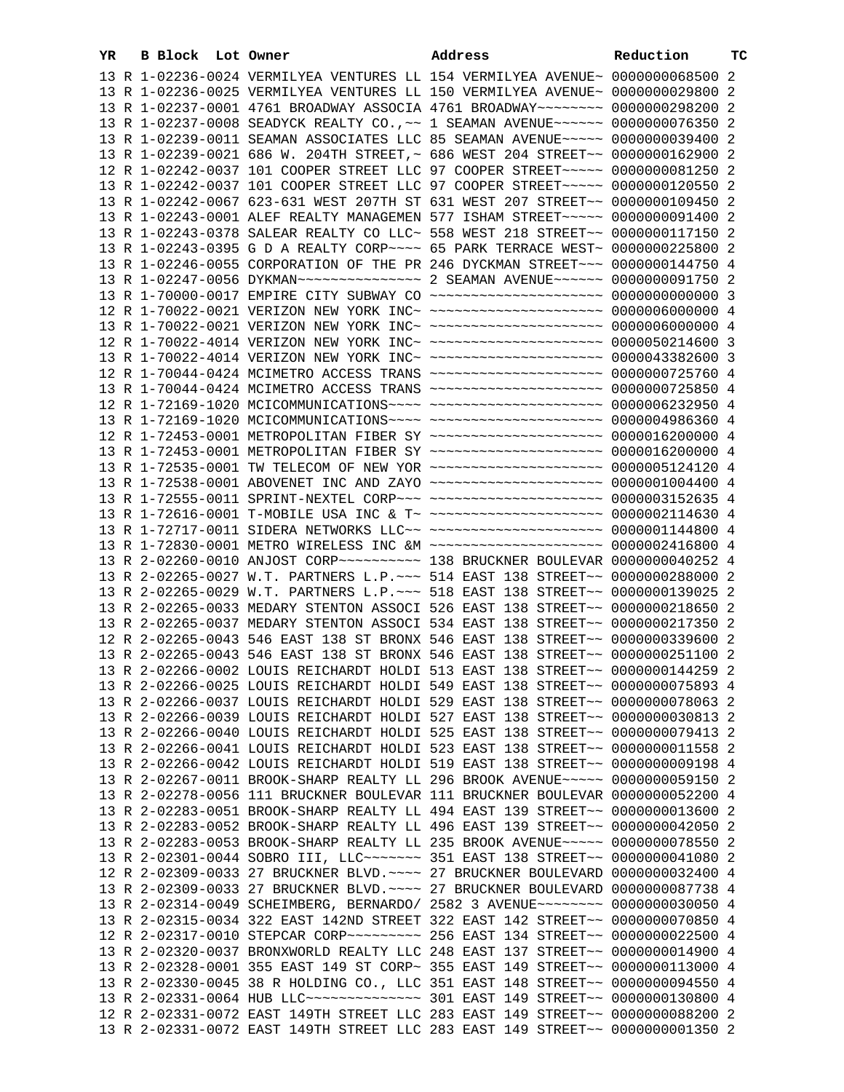| YR. | B Block Lot Owner |  | Address                                                                            | Reduction | ТC |
|-----|-------------------|--|------------------------------------------------------------------------------------|-----------|----|
|     |                   |  | 13 R 1-02236-0024 VERMILYEA VENTURES LL 154 VERMILYEA AVENUE~ 0000000068500 2      |           |    |
|     |                   |  | 13 R 1-02236-0025 VERMILYEA VENTURES LL 150 VERMILYEA AVENUE~ 0000000029800 2      |           |    |
|     |                   |  | 13 R 1-02237-0001 4761 BROADWAY ASSOCIA 4761 BROADWAY~~~~~~~~ 0000000298200 2      |           |    |
|     |                   |  | 13 R 1-02237-0008 SEADYCK REALTY CO., ~~ 1 SEAMAN AVENUE~~~~~~ 0000000076350 2     |           |    |
|     |                   |  | 13 R 1-02239-0011 SEAMAN ASSOCIATES LLC 85 SEAMAN AVENUE~~~~~ 0000000039400 2      |           |    |
|     |                   |  | 13 R 1-02239-0021 686 W. 204TH STREET, ~ 686 WEST 204 STREET~~ 0000000162900 2     |           |    |
|     |                   |  | 12 R 1-02242-0037 101 COOPER STREET LLC 97 COOPER STREET~~~~~ 0000000081250 2      |           |    |
|     |                   |  | 13 R 1-02242-0037 101 COOPER STREET LLC 97 COOPER STREET~~~~~ 0000000120550 2      |           |    |
|     |                   |  | 13 R 1-02242-0067 623-631 WEST 207TH ST 631 WEST 207 STREET~~ 0000000109450 2      |           |    |
|     |                   |  | 13 R 1-02243-0001 ALEF REALTY MANAGEMEN 577 ISHAM STREET~~~~~ 0000000091400 2      |           |    |
|     |                   |  | 13 R 1-02243-0378 SALEAR REALTY CO LLC~ 558 WEST 218 STREET~~ 0000000117150 2      |           |    |
|     |                   |  | 13 R 1-02243-0395 G D A REALTY CORP~~~~ 65 PARK TERRACE WEST~ 0000000225800 2      |           |    |
|     |                   |  | 13 R 1-02246-0055 CORPORATION OF THE PR 246 DYCKMAN STREET~~~ 0000000144750 4      |           |    |
|     |                   |  |                                                                                    |           |    |
|     |                   |  | 13 R 1-70000-0017 EMPIRE CITY SUBWAY CO ~~~~~~~~~~~~~~~~~~~~~ 0000000000000 3      |           |    |
|     |                   |  | 12 R 1-70022-0021 VERIZON NEW YORK INC~ ~~~~~~~~~~~~~~~~~~~~~ 0000006000000 4      |           |    |
|     |                   |  | 13 R 1-70022-0021 VERIZON NEW YORK INC~ ~~~~~~~~~~~~~~~~~~~~~ 0000006000000 4      |           |    |
|     |                   |  | 12 R 1-70022-4014 VERIZON NEW YORK INC~ ~~~~~~~~~~~~~~~~~~~~~ 0000050214600 3      |           |    |
|     |                   |  | 13 R 1-70022-4014 VERIZON NEW YORK INC~ ~~~~~~~~~~~~~~~~~~~~~ 0000043382600 3      |           |    |
|     |                   |  | 12 R 1-70044-0424 MCIMETRO ACCESS TRANS ~~~~~~~~~~~~~~~~~~~~~ 0000000725760 4      |           |    |
|     |                   |  | 13 R 1-70044-0424 MCIMETRO ACCESS TRANS ~~~~~~~~~~~~~~~~~~~~~ 0000000725850 4      |           |    |
|     |                   |  |                                                                                    |           |    |
|     |                   |  |                                                                                    |           |    |
|     |                   |  | 12 R 1-72453-0001 METROPOLITAN FIBER SY ~~~~~~~~~~~~~~~~~~~~~ 0000016200000 4      |           |    |
|     |                   |  | 13 R 1-72453-0001 METROPOLITAN FIBER SY ~~~~~~~~~~~~~~~~~~~~~ 0000016200000 4      |           |    |
|     |                   |  | 13 R 1-72535-0001 TW TELECOM OF NEW YOR ~~~~~~~~~~~~~~~~~~~~~ 0000005124120 4      |           |    |
|     |                   |  | 13 R 1-72538-0001 ABOVENET INC AND ZAYO ~~~~~~~~~~~~~~~~~~~~ 0000001004400 4       |           |    |
|     |                   |  | 13 R 1-72555-0011 SPRINT-NEXTEL CORP~~~ ~~~~~~~~~~~~~~~~~~~~~ 0000003152635 4      |           |    |
|     |                   |  | 13 R 1-72616-0001 T-MOBILE USA INC & T~ ~~~~~~~~~~~~~~~~~~~~~ 0000002114630 4      |           |    |
|     |                   |  | 13 R 1-72717-0011 SIDERA NETWORKS LLC~~ ~~~~~~~~~~~~~~~~~~~~~ 0000001144800 4      |           |    |
|     |                   |  | 13 R 1-72830-0001 METRO WIRELESS INC &M ~~~~~~~~~~~~~~~~~~~~~ 0000002416800 4      |           |    |
|     |                   |  | 13 R 2-02260-0010 ANJOST CORP~~~~~~~~~~~~~~~ 138 BRUCKNER BOULEVAR 0000000040252 4 |           |    |
|     |                   |  | 13 R 2-02265-0027 W.T. PARTNERS L.P. ~~~ 514 EAST 138 STREET~~ 0000000288000 2     |           |    |
|     |                   |  | 13 R 2-02265-0029 W.T. PARTNERS L.P. ~~~ 518 EAST 138 STREET~~ 0000000139025 2     |           |    |
|     |                   |  | 13 R 2-02265-0033 MEDARY STENTON ASSOCI 526 EAST 138 STREET~~ 0000000218650 2      |           |    |
|     |                   |  | 13 R 2-02265-0037 MEDARY STENTON ASSOCI 534 EAST 138 STREET~~ 0000000217350 2      |           |    |
|     |                   |  | 12 R 2-02265-0043 546 EAST 138 ST BRONX 546 EAST 138 STREET~~ 0000000339600 2      |           |    |
|     |                   |  | 13 R 2-02265-0043 546 EAST 138 ST BRONX 546 EAST 138 STREET~~ 0000000251100 2      |           |    |
|     |                   |  | 13 R 2-02266-0002 LOUIS REICHARDT HOLDI 513 EAST 138 STREET~~ 0000000144259        |           |    |
|     |                   |  | 13 R 2-02266-0025 LOUIS REICHARDT HOLDI 549 EAST 138 STREET~~ 0000000075893 4      |           |    |
|     |                   |  | 13 R 2-02266-0037 LOUIS REICHARDT HOLDI 529 EAST 138 STREET~~ 0000000078063 2      |           |    |
|     |                   |  | 13 R 2-02266-0039 LOUIS REICHARDT HOLDI 527 EAST 138 STREET~~ 0000000030813 2      |           |    |
|     |                   |  | 13 R 2-02266-0040 LOUIS REICHARDT HOLDI 525 EAST 138 STREET~~ 0000000079413 2      |           |    |
|     |                   |  | 13 R 2-02266-0041 LOUIS REICHARDT HOLDI 523 EAST 138 STREET~~ 0000000011558 2      |           |    |
|     |                   |  | 13 R 2-02266-0042 LOUIS REICHARDT HOLDI 519 EAST 138 STREET~~ 0000000009198 4      |           |    |
|     |                   |  | 13 R 2-02267-0011 BROOK-SHARP REALTY LL 296 BROOK AVENUE~~~~~ 0000000059150 2      |           |    |
|     |                   |  | 13 R 2-02278-0056 111 BRUCKNER BOULEVAR 111 BRUCKNER BOULEVAR 0000000052200 4      |           |    |
|     |                   |  | 13 R 2-02283-0051 BROOK-SHARP REALTY LL 494 EAST 139 STREET~~ 0000000013600 2      |           |    |
|     |                   |  | 13 R 2-02283-0052 BROOK-SHARP REALTY LL 496 EAST 139 STREET~~ 0000000042050 2      |           |    |
|     |                   |  | 13 R 2-02283-0053 BROOK-SHARP REALTY LL 235 BROOK AVENUE~~~~~ 0000000078550 2      |           |    |
|     |                   |  | 13 R 2-02301-0044 SOBRO III, LLC ------- 351 EAST 138 STREET -- 0000000041080 2    |           |    |
|     |                   |  | 12 R 2-02309-0033 27 BRUCKNER BLVD. ~~~~ 27 BRUCKNER BOULEVARD 0000000032400 4     |           |    |
|     |                   |  | 13 R 2-02309-0033 27 BRUCKNER BLVD. ~~~~ 27 BRUCKNER BOULEVARD 0000000087738 4     |           |    |
|     |                   |  | 13 R 2-02314-0049 SCHEIMBERG, BERNARDO/ 2582 3 AVENUE~~~~~~~~ 0000000030050 4      |           |    |
|     |                   |  | 13 R 2-02315-0034 322 EAST 142ND STREET 322 EAST 142 STREET~~ 0000000070850 4      |           |    |
|     |                   |  |                                                                                    |           |    |
|     |                   |  | 13 R 2-02320-0037 BRONXWORLD REALTY LLC 248 EAST 137 STREET~~ 0000000014900 4      |           |    |
|     |                   |  | 13 R 2-02328-0001 355 EAST 149 ST CORP~ 355 EAST 149 STREET~~ 0000000113000 4      |           |    |
|     |                   |  | 13 R 2-02330-0045 38 R HOLDING CO., LLC 351 EAST 148 STREET~~ 0000000094550 4      |           |    |
|     |                   |  | 13 R 2-02331-0064 HUB LLC -------------- 301 EAST 149 STREET -~ 0000000130800 4    |           |    |
|     |                   |  | 12 R 2-02331-0072 EAST 149TH STREET LLC 283 EAST 149 STREET~~ 0000000088200 2      |           |    |
|     |                   |  | 13 R 2-02331-0072 EAST 149TH STREET LLC 283 EAST 149 STREET~~ 00000000001350 2     |           |    |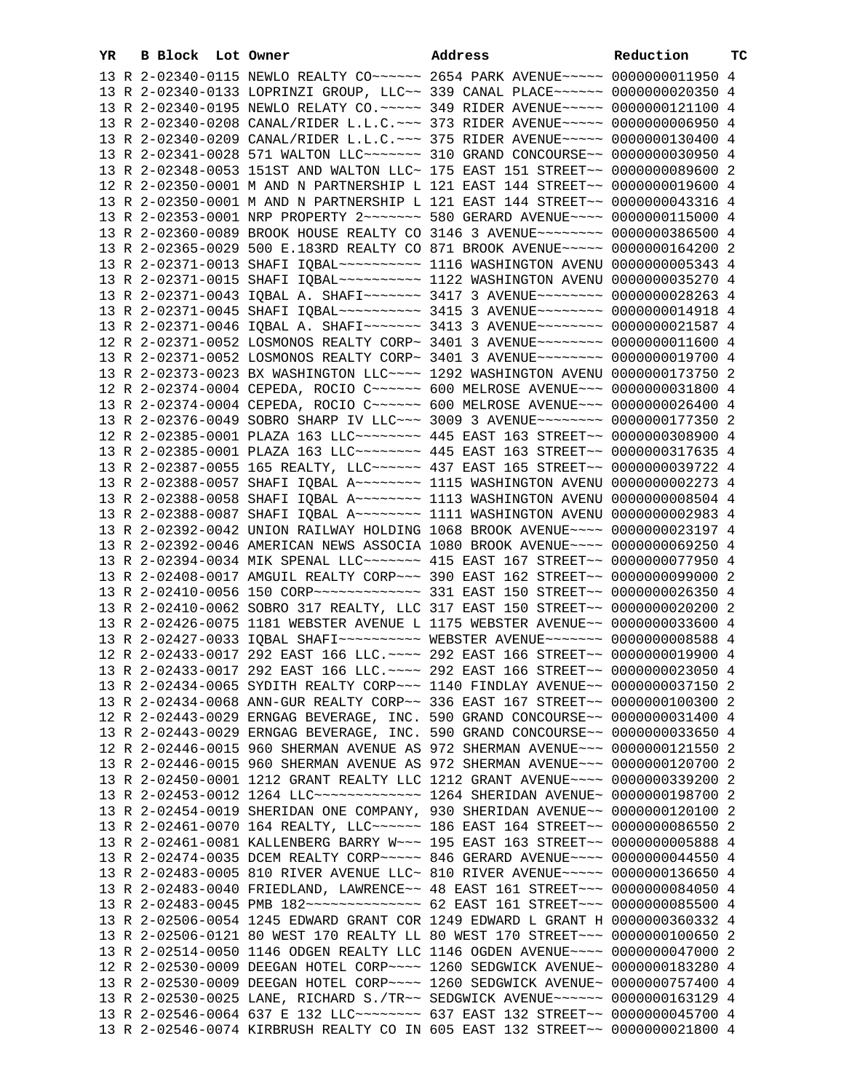| YR | B Block Lot Owner |  | Address                                                                                                                                                          | Reduction | тc |
|----|-------------------|--|------------------------------------------------------------------------------------------------------------------------------------------------------------------|-----------|----|
|    |                   |  | 13 R 2-02340-0115 NEWLO REALTY CO~~~~~~ 2654 PARK AVENUE~~~~~ 0000000011950 4                                                                                    |           |    |
|    |                   |  | 13 R 2-02340-0133 LOPRINZI GROUP, LLC~~ 339 CANAL PLACE~~~~~~ 0000000020350 4                                                                                    |           |    |
|    |                   |  | 13 R 2-02340-0195 NEWLO RELATY CO.~~~~~ 349 RIDER AVENUE~~~~~ 0000000121100 4                                                                                    |           |    |
|    |                   |  | 13 R 2-02340-0208 CANAL/RIDER L.L.C. ~~~ 373 RIDER AVENUE~~~~~ 00000000006950 4                                                                                  |           |    |
|    |                   |  | 13 R 2-02340-0209 CANAL/RIDER L.L.C. ~~~ 375 RIDER AVENUE~~~~~ 0000000130400 4                                                                                   |           |    |
|    |                   |  | 13 R 2-02341-0028 571 WALTON LLC ------ 310 GRAND CONCOURSE -~ 0000000030950 4                                                                                   |           |    |
|    |                   |  | 13 R 2-02348-0053 151ST AND WALTON LLC~ 175 EAST 151 STREET~~ 0000000089600 2                                                                                    |           |    |
|    |                   |  | 12 R 2-02350-0001 M AND N PARTNERSHIP L 121 EAST 144 STREET~~ 0000000019600 4                                                                                    |           |    |
|    |                   |  | 13 R 2-02350-0001 M AND N PARTNERSHIP L 121 EAST 144 STREET~~ 0000000043316 4                                                                                    |           |    |
|    |                   |  | 13 R 2-02353-0001 NRP PROPERTY 2~~~~~~~ 580 GERARD AVENUE~~~~ 0000000115000 4                                                                                    |           |    |
|    |                   |  | 13 R 2-02360-0089 BROOK HOUSE REALTY CO 3146 3 AVENUE~~~~~~~~ 0000000386500 4                                                                                    |           |    |
|    |                   |  | 13 R 2-02365-0029 500 E.183RD REALTY CO 871 BROOK AVENUE~~~~~ 0000000164200 2                                                                                    |           |    |
|    |                   |  | 13 R 2-02371-0013 SHAFI IQBAL~~~~~~~~~~~~~~ 1116 WASHINGTON AVENU 0000000005343 4                                                                                |           |    |
|    |                   |  |                                                                                                                                                                  |           |    |
|    |                   |  | 13 R 2-02371-0043 IQBAL A. SHAFI~~~~~~~ 3417 3 AVENUE~~~~~~~~ 0000000028263 4                                                                                    |           |    |
|    |                   |  | 13 R 2-02371-0045 SHAFI IQBAL~~~~~~~~~~ 3415 3 AVENUE~~~~~~~~ 0000000014918 4                                                                                    |           |    |
|    |                   |  | 13 R 2-02371-0046 IQBAL A. SHAFI~~~~~~~ 3413 3 AVENUE~~~~~~~~ 0000000021587 4                                                                                    |           |    |
|    |                   |  | 12 R 2-02371-0052 LOSMONOS REALTY CORP~ 3401 3 AVENUE~~~~~~~~ 0000000011600 4                                                                                    |           |    |
|    |                   |  | 13 R 2-02371-0052 LOSMONOS REALTY CORP~ 3401 3 AVENUE~~~~~~~~ 0000000019700 4                                                                                    |           |    |
|    |                   |  | 13 R 2-02373-0023 BX WASHINGTON LLC ~~~~ 1292 WASHINGTON AVENU 0000000173750 2                                                                                   |           |    |
|    |                   |  | 12 R 2-02374-0004 CEPEDA, ROCIO C~~~~~~ 600 MELROSE AVENUE~~~ 0000000031800 4                                                                                    |           |    |
|    |                   |  | 13 R 2-02374-0004 CEPEDA, ROCIO C~~~~~~ 600 MELROSE AVENUE~~~ 0000000026400 4                                                                                    |           |    |
|    |                   |  | 13 R 2-02376-0049 SOBRO SHARP IV LLC~~~ 3009 3 AVENUE~~~~~~~~ 0000000177350 2                                                                                    |           |    |
|    |                   |  | 12 R 2-02385-0001 PLAZA 163 LLC ------- 445 EAST 163 STREET -~ 0000000308900 4                                                                                   |           |    |
|    |                   |  | 13 R 2-02385-0001 PLAZA 163 LLC ------- 445 EAST 163 STREET -~ 0000000317635 4                                                                                   |           |    |
|    |                   |  | 13 R 2-02387-0055 165 REALTY, LLC ----- 437 EAST 165 STREET -~ 0000000039722 4                                                                                   |           |    |
|    |                   |  | 13 R 2-02388-0057 SHAFI IQBAL A~~~~~~~~ 1115 WASHINGTON AVENU 0000000002273 4                                                                                    |           |    |
|    |                   |  | 13 R 2-02388-0058 SHAFI IQBAL A~~~~~~~~ 1113 WASHINGTON AVENU 00000000005504 4                                                                                   |           |    |
|    |                   |  | 13 R 2-02388-0087 SHAFI IQBAL A~~~~~~~~ 1111 WASHINGTON AVENU 0000000002983 4                                                                                    |           |    |
|    |                   |  | 13 R 2-02392-0042 UNION RAILWAY HOLDING 1068 BROOK AVENUE~~~~ 0000000023197 4                                                                                    |           |    |
|    |                   |  | 13 R 2-02392-0046 AMERICAN NEWS ASSOCIA 1080 BROOK AVENUE~~~~ 0000000069250 4                                                                                    |           |    |
|    |                   |  | 13 R 2-02394-0034 MIK SPENAL LLC ------ 415 EAST 167 STREET -~ 0000000077950 4                                                                                   |           |    |
|    |                   |  | 13 R 2-02408-0017 AMGUIL REALTY CORP~~~ 390 EAST 162 STREET~~ 0000000099000 2                                                                                    |           |    |
|    |                   |  |                                                                                                                                                                  |           |    |
|    |                   |  | 13 R 2-02410-0062 SOBRO 317 REALTY, LLC 317 EAST 150 STREET~~ 0000000020200 2                                                                                    |           |    |
|    |                   |  | 13 R 2-02426-0075 1181 WEBSTER AVENUE L 1175 WEBSTER AVENUE~~ 0000000033600 4                                                                                    |           |    |
|    |                   |  | 13 R 2-02427-0033 IQBAL SHAFI~~~~~~~~~~ WEBSTER AVENUE~~~~~~~ 00000000008588 4                                                                                   |           |    |
|    |                   |  | 12 R 2-02433-0017 292 EAST 166 LLC. ~~~~ 292 EAST 166 STREET~~ 0000000019900 4                                                                                   |           |    |
|    |                   |  | 13 R 2-02433-0017 292 EAST 166 LLC. ~~~~ 292 EAST 166 STREET~~ 0000000023050 4                                                                                   |           |    |
|    |                   |  | 13 R 2-02434-0065 SYDITH REALTY CORP~~~ 1140 FINDLAY AVENUE~~ 0000000037150 2                                                                                    |           |    |
|    |                   |  | 13 R 2-02434-0068 ANN-GUR REALTY CORP~~ 336 EAST 167 STREET~~ 0000000100300 2                                                                                    |           |    |
|    |                   |  | 12 R 2-02443-0029 ERNGAG BEVERAGE, INC. 590 GRAND CONCOURSE~~ 0000000031400 4                                                                                    |           |    |
|    |                   |  | 13 R 2-02443-0029 ERNGAG BEVERAGE, INC. 590 GRAND CONCOURSE~~ 0000000033650 4                                                                                    |           |    |
|    |                   |  | 12 R 2-02446-0015 960 SHERMAN AVENUE AS 972 SHERMAN AVENUE~~~ 0000000121550 2                                                                                    |           |    |
|    |                   |  | 13 R 2-02446-0015 960 SHERMAN AVENUE AS 972 SHERMAN AVENUE~~~ 0000000120700 2                                                                                    |           |    |
|    |                   |  | 13 R 2-02450-0001 1212 GRANT REALTY LLC 1212 GRANT AVENUE~~~~ 0000000339200 2                                                                                    |           |    |
|    |                   |  | 13 R 2-02453-0012 1264 LLC -------------- 1264 SHERIDAN AVENUE ~ 0000000198700 2                                                                                 |           |    |
|    |                   |  | 13 R 2-02454-0019 SHERIDAN ONE COMPANY, 930 SHERIDAN AVENUE~~ 0000000120100 2                                                                                    |           |    |
|    |                   |  | 13 R 2-02461-0070 164 REALTY, LLC ----- 186 EAST 164 STREET -~ 0000000086550 2                                                                                   |           |    |
|    |                   |  | 13 R 2-02461-0081 KALLENBERG BARRY W~~~ 195 EAST 163 STREET~~ 0000000005888 4                                                                                    |           |    |
|    |                   |  | 13 R 2-02474-0035 DCEM REALTY CORP~~~~~ 846 GERARD AVENUE~~~~ 0000000044550 4                                                                                    |           |    |
|    |                   |  | 13 R 2-02483-0005 810 RIVER AVENUE LLC~ 810 RIVER AVENUE~~~~~ 0000000136650 4                                                                                    |           |    |
|    |                   |  | 13 R 2-02483-0040 FRIEDLAND, LAWRENCE~~ 48 EAST 161 STREET~~~ 0000000084050 4                                                                                    |           |    |
|    |                   |  | 13 R 2-02483-0045 PMB 182~~~~~~~~~~~~~~ 62 EAST 161 STREET~~~ 0000000085500 4                                                                                    |           |    |
|    |                   |  | 13 R 2-02506-0054 1245 EDWARD GRANT COR 1249 EDWARD L GRANT H 0000000360332 4                                                                                    |           |    |
|    |                   |  | 13 R 2-02506-0121 80 WEST 170 REALTY LL 80 WEST 170 STREET~~~ 0000000100650 2                                                                                    |           |    |
|    |                   |  | 13 R 2-02514-0050 1146 ODGEN REALTY LLC 1146 OGDEN AVENUE~~~~ 0000000047000 2                                                                                    |           |    |
|    |                   |  | 12 R 2-02530-0009 DEEGAN HOTEL CORP~~~~ 1260 SEDGWICK AVENUE~ 0000000183280 4                                                                                    |           |    |
|    |                   |  | 13 R 2-02530-0009 DEEGAN HOTEL CORP~~~~ 1260 SEDGWICK AVENUE~ 0000000757400 4                                                                                    |           |    |
|    |                   |  | 13 R 2-02530-0025 LANE, RICHARD S./TR~~ SEDGWICK AVENUE~~~~~~ 0000000163129 4                                                                                    |           |    |
|    |                   |  | 13 R 2-02546-0064 637 E 132 LLC -------- 637 EAST 132 STREET -~ 0000000045700 4<br>13 R 2-02546-0074 KIRBRUSH REALTY CO IN 605 EAST 132 STREET~~ 0000000021800 4 |           |    |
|    |                   |  |                                                                                                                                                                  |           |    |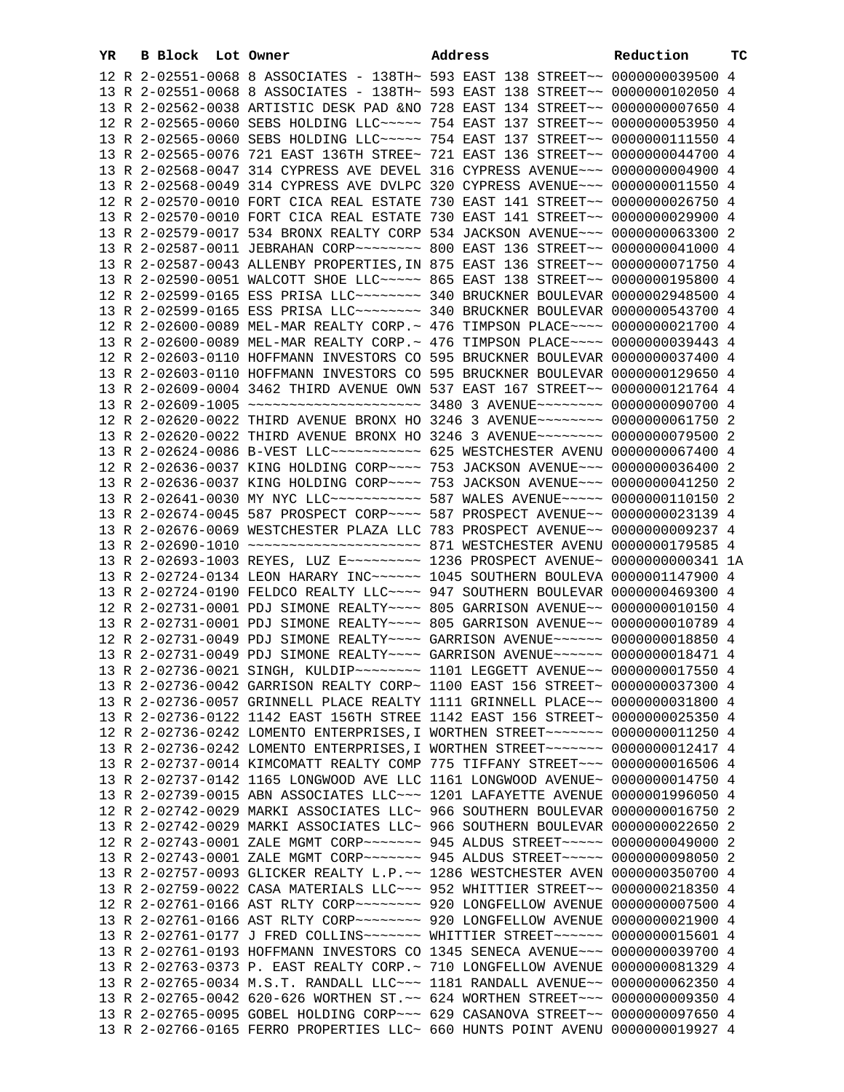| YR | B Block Lot Owner |                                                                                 | Address | Reduction | тC |
|----|-------------------|---------------------------------------------------------------------------------|---------|-----------|----|
|    |                   | 12 R 2-02551-0068 8 ASSOCIATES - 138TH~ 593 EAST 138 STREET~~ 0000000039500 4   |         |           |    |
|    |                   | 13 R 2-02551-0068 8 ASSOCIATES - 138TH~ 593 EAST 138 STREET~~ 0000000102050 4   |         |           |    |
|    |                   | 13 R 2-02562-0038 ARTISTIC DESK PAD &NO 728 EAST 134 STREET~~ 0000000007650 4   |         |           |    |
|    |                   | 12 R 2-02565-0060 SEBS HOLDING LLC ~~~~~ 754 EAST 137 STREET ~~ 0000000053950 4 |         |           |    |
|    |                   | 13 R 2-02565-0060 SEBS HOLDING LLC ~~~~~ 754 EAST 137 STREET ~~ 0000000111550 4 |         |           |    |
|    |                   | 13 R 2-02565-0076 721 EAST 136TH STREE~ 721 EAST 136 STREET~~ 0000000044700 4   |         |           |    |
|    |                   | 13 R 2-02568-0047 314 CYPRESS AVE DEVEL 316 CYPRESS AVENUE~~~ 0000000004900 4   |         |           |    |
|    |                   | 13 R 2-02568-0049 314 CYPRESS AVE DVLPC 320 CYPRESS AVENUE~~~ 0000000011550 4   |         |           |    |
|    |                   | 12 R 2-02570-0010 FORT CICA REAL ESTATE 730 EAST 141 STREET~~ 0000000026750 4   |         |           |    |
|    |                   | 13 R 2-02570-0010 FORT CICA REAL ESTATE 730 EAST 141 STREET~~ 0000000029900 4   |         |           |    |
|    |                   | 13 R 2-02579-0017 534 BRONX REALTY CORP 534 JACKSON AVENUE~~~ 0000000063300 2   |         |           |    |
|    |                   | 13 R 2-02587-0011 JEBRAHAN CORP~~~~~~~~ 800 EAST 136 STREET~~ 0000000041000 4   |         |           |    |
|    |                   | 13 R 2-02587-0043 ALLENBY PROPERTIES, IN 875 EAST 136 STREET~~ 0000000071750 4  |         |           |    |
|    |                   | 13 R 2-02590-0051 WALCOTT SHOE LLC ~~~~~ 865 EAST 138 STREET ~~ 0000000195800 4 |         |           |    |
|    |                   | 12 R 2-02599-0165 ESS PRISA LLC ------- 340 BRUCKNER BOULEVAR 0000002948500 4   |         |           |    |
|    |                   | 13 R 2-02599-0165 ESS PRISA LLC ------- 340 BRUCKNER BOULEVAR 0000000543700 4   |         |           |    |
|    |                   | 12 R 2-02600-0089 MEL-MAR REALTY CORP.~ 476 TIMPSON PLACE~~~~ 0000000021700 4   |         |           |    |
|    |                   | 13 R 2-02600-0089 MEL-MAR REALTY CORP. ~ 476 TIMPSON PLACE ~~~~ 0000000039443 4 |         |           |    |
|    |                   | 12 R 2-02603-0110 HOFFMANN INVESTORS CO 595 BRUCKNER BOULEVAR 0000000037400 4   |         |           |    |
|    |                   | 13 R 2-02603-0110 HOFFMANN INVESTORS CO 595 BRUCKNER BOULEVAR 0000000129650 4   |         |           |    |
|    |                   | 13 R 2-02609-0004 3462 THIRD AVENUE OWN 537 EAST 167 STREET~~ 0000000121764 4   |         |           |    |
|    |                   | 13 R 2-02609-1005 ~~~~~~~~~~~~~~~~~~~~~ 3480 3 AVENUE~~~~~~~~ 0000000090700 4   |         |           |    |
|    |                   | 12 R 2-02620-0022 THIRD AVENUE BRONX HO 3246 3 AVENUE~~~~~~~~ 0000000061750 2   |         |           |    |
|    |                   | 13 R 2-02620-0022 THIRD AVENUE BRONX HO 3246 3 AVENUE~~~~~~~~ 0000000079500 2   |         |           |    |
|    |                   | 13 R 2-02624-0086 B-VEST LLC ----------- 625 WESTCHESTER AVENU 0000000067400 4  |         |           |    |
|    |                   | 12 R 2-02636-0037 KING HOLDING CORP~~~~ 753 JACKSON AVENUE~~~ 0000000036400 2   |         |           |    |
|    |                   | 13 R 2-02636-0037 KING HOLDING CORP~~~~ 753 JACKSON AVENUE~~~ 0000000041250 2   |         |           |    |
|    |                   | 13 R 2-02641-0030 MY NYC LLC ----------- 587 WALES AVENUE ----- 0000000110150 2 |         |           |    |
|    |                   | 13 R 2-02674-0045 587 PROSPECT CORP~~~~ 587 PROSPECT AVENUE~~ 0000000023139 4   |         |           |    |
|    |                   | 13 R 2-02676-0069 WESTCHESTER PLAZA LLC 783 PROSPECT AVENUE~~ 0000000009237 4   |         |           |    |
|    |                   |                                                                                 |         |           |    |
|    |                   | 13 R 2-02693-1003 REYES, LUZ E~~~~~~~~~ 1236 PROSPECT AVENUE~ 0000000000341 1A  |         |           |    |
|    |                   | 13 R 2-02724-0134 LEON HARARY INC~~~~~~ 1045 SOUTHERN BOULEVA 0000001147900 4   |         |           |    |
|    |                   | 13 R 2-02724-0190 FELDCO REALTY LLC --- 947 SOUTHERN BOULEVAR 0000000469300 4   |         |           |    |
|    |                   | 12 R 2-02731-0001 PDJ SIMONE REALTY~~~~ 805 GARRISON AVENUE~~ 00000000010150 4  |         |           |    |
|    |                   | 13 R 2-02731-0001 PDJ SIMONE REALTY~~~~ 805 GARRISON AVENUE~~ 00000000010789 4  |         |           |    |
|    |                   | 12 R 2-02731-0049 PDJ SIMONE REALTY~~~~ GARRISON AVENUE~~~~~~ 0000000018850 4   |         |           |    |
|    |                   | 13 R 2-02731-0049 PDJ SIMONE REALTY~~~~ GARRISON AVENUE~~~~~~ 0000000018471 4   |         |           |    |
|    |                   | 13 R 2-02736-0021 SINGH, KULDIP ~~~~~~~~ 1101 LEGGETT AVENUE ~~ 0000000017550 4 |         |           |    |
|    |                   | 13 R 2-02736-0042 GARRISON REALTY CORP~ 1100 EAST 156 STREET~ 0000000037300 4   |         |           |    |
|    |                   | 13 R 2-02736-0057 GRINNELL PLACE REALTY 1111 GRINNELL PLACE~~ 0000000031800 4   |         |           |    |
|    |                   | 13 R 2-02736-0122 1142 EAST 156TH STREE 1142 EAST 156 STREET~ 0000000025350 4   |         |           |    |
|    |                   | 12 R 2-02736-0242 LOMENTO ENTERPRISES, I WORTHEN STREET~~~~~~~ 0000000011250 4  |         |           |    |
|    |                   | 13 R 2-02736-0242 LOMENTO ENTERPRISES, I WORTHEN STREET~~~~~~~ 0000000012417 4  |         |           |    |
|    |                   | 13 R 2-02737-0014 KIMCOMATT REALTY COMP 775 TIFFANY STREET~~~ 0000000016506 4   |         |           |    |
|    |                   | 13 R 2-02737-0142 1165 LONGWOOD AVE LLC 1161 LONGWOOD AVENUE~ 0000000014750 4   |         |           |    |
|    |                   | 13 R 2-02739-0015 ABN ASSOCIATES LLC~~~ 1201 LAFAYETTE AVENUE 0000001996050 4   |         |           |    |
|    |                   | 12 R 2-02742-0029 MARKI ASSOCIATES LLC~ 966 SOUTHERN BOULEVAR 0000000016750 2   |         |           |    |
|    |                   | 13 R 2-02742-0029 MARKI ASSOCIATES LLC~ 966 SOUTHERN BOULEVAR 0000000022650 2   |         |           |    |
|    |                   | 12 R 2-02743-0001 ZALE MGMT CORP~~~~~~~ 945 ALDUS STREET~~~~~ 0000000049000 2   |         |           |    |
|    |                   | 13 R 2-02743-0001 ZALE MGMT CORP~~~~~~~ 945 ALDUS STREET~~~~~ 0000000098050 2   |         |           |    |
|    |                   | 13 R 2-02757-0093 GLICKER REALTY L.P.~~ 1286 WESTCHESTER AVEN 0000000350700 4   |         |           |    |
|    |                   | 13 R 2-02759-0022 CASA MATERIALS LLC~~~ 952 WHITTIER STREET~~ 0000000218350 4   |         |           |    |
|    |                   | 12 R 2-02761-0166 AST RLTY CORP~~~~~~~~ 920 LONGFELLOW AVENUE 0000000007500 4   |         |           |    |
|    |                   | 13 R 2-02761-0166 AST RLTY CORP~~~~~~~~ 920 LONGFELLOW AVENUE 0000000021900 4   |         |           |    |
|    |                   | 13 R 2-02761-0177 J FRED COLLINS~~~~~~~ WHITTIER STREET~~~~~~ 0000000015601 4   |         |           |    |
|    |                   | 13 R 2-02761-0193 HOFFMANN INVESTORS CO 1345 SENECA AVENUE~~~ 0000000039700 4   |         |           |    |
|    |                   | 13 R 2-02763-0373 P. EAST REALTY CORP. ~ 710 LONGFELLOW AVENUE 0000000081329 4  |         |           |    |
|    |                   | 13 R 2-02765-0034 M.S.T. RANDALL LLC~~~ 1181 RANDALL AVENUE~~ 0000000062350 4   |         |           |    |
|    |                   | 13 R 2-02765-0042 620-626 WORTHEN ST. ~~ 624 WORTHEN STREET~~~ 0000000009350 4  |         |           |    |
|    |                   | 13 R 2-02765-0095 GOBEL HOLDING CORP~~~ 629 CASANOVA STREET~~ 0000000097650 4   |         |           |    |
|    |                   |                                                                                 |         |           |    |
|    |                   | 13 R 2-02766-0165 FERRO PROPERTIES LLC~ 660 HUNTS POINT AVENU 0000000019927 4   |         |           |    |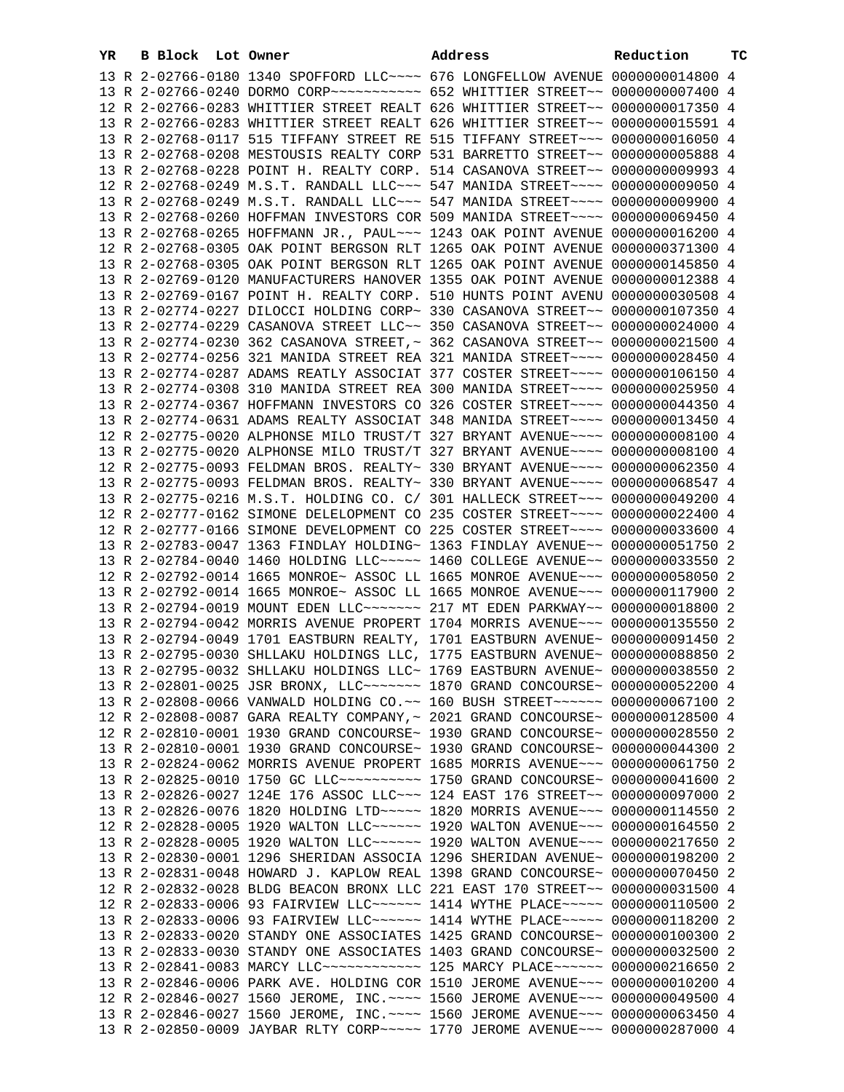| YR | B Block Lot Owner |                                                                                                                                                                | Address | Reduction | тc |
|----|-------------------|----------------------------------------------------------------------------------------------------------------------------------------------------------------|---------|-----------|----|
|    |                   | 13 R 2-02766-0180 1340 SPOFFORD LLC --- 676 LONGFELLOW AVENUE 0000000014800 4                                                                                  |         |           |    |
|    |                   | 13 R 2-02766-0240 DORMO CORP ~~~~~~~~~~~~ 652 WHITTIER STREET ~~ 0000000007400 4                                                                               |         |           |    |
|    |                   | 12 R 2-02766-0283 WHITTIER STREET REALT 626 WHITTIER STREET~~ 0000000017350 4                                                                                  |         |           |    |
|    |                   | 13 R 2-02766-0283 WHITTIER STREET REALT 626 WHITTIER STREET~~ 0000000015591 4                                                                                  |         |           |    |
|    |                   | 13 R 2-02768-0117 515 TIFFANY STREET RE 515 TIFFANY STREET~~~ 0000000016050 4                                                                                  |         |           |    |
|    |                   | 13 R 2-02768-0208 MESTOUSIS REALTY CORP 531 BARRETTO STREET~~ 0000000005888 4                                                                                  |         |           |    |
|    |                   | 13 R 2-02768-0228 POINT H. REALTY CORP. 514 CASANOVA STREET~~ 0000000009993 4                                                                                  |         |           |    |
|    |                   | 12 R 2-02768-0249 M.S.T. RANDALL LLC~~~ 547 MANIDA STREET~~~~ 0000000009050 4                                                                                  |         |           |    |
|    |                   | 13 R 2-02768-0249 M.S.T. RANDALL LLC~~~ 547 MANIDA STREET~~~~ 0000000009900 4                                                                                  |         |           |    |
|    |                   | 13 R 2-02768-0260 HOFFMAN INVESTORS COR 509 MANIDA STREET~~~~ 0000000069450 4                                                                                  |         |           |    |
|    |                   | 13 R 2-02768-0265 HOFFMANN JR., PAUL~~~ 1243 OAK POINT AVENUE 0000000016200 4                                                                                  |         |           |    |
|    |                   | 12 R 2-02768-0305 OAK POINT BERGSON RLT 1265 OAK POINT AVENUE 0000000371300 4                                                                                  |         |           |    |
|    |                   | 13 R 2-02768-0305 OAK POINT BERGSON RLT 1265 OAK POINT AVENUE 0000000145850 4                                                                                  |         |           |    |
|    |                   | 13 R 2-02769-0120 MANUFACTURERS HANOVER 1355 OAK POINT AVENUE 0000000012388 4                                                                                  |         |           |    |
|    |                   | 13 R 2-02769-0167 POINT H. REALTY CORP. 510 HUNTS POINT AVENU 0000000030508 4                                                                                  |         |           |    |
|    |                   | 13 R 2-02774-0227 DILOCCI HOLDING CORP~ 330 CASANOVA STREET~~ 0000000107350 4                                                                                  |         |           |    |
|    |                   | 13 R 2-02774-0229 CASANOVA STREET LLC~~ 350 CASANOVA STREET~~ 0000000024000 4                                                                                  |         |           |    |
|    |                   | 13 R 2-02774-0230 362 CASANOVA STREET, ~ 362 CASANOVA STREET~~ 0000000021500 4                                                                                 |         |           |    |
|    |                   | 13 R 2-02774-0256 321 MANIDA STREET REA 321 MANIDA STREET~~~~ 0000000028450 4                                                                                  |         |           |    |
|    |                   | 13 R 2-02774-0287 ADAMS REATLY ASSOCIAT 377 COSTER STREET~~~~ 0000000106150 4                                                                                  |         |           |    |
|    |                   | 13 R 2-02774-0308 310 MANIDA STREET REA 300 MANIDA STREET~~~~ 0000000025950 4                                                                                  |         |           |    |
|    |                   | 13 R 2-02774-0367 HOFFMANN INVESTORS CO 326 COSTER STREET~~~~ 0000000044350 4                                                                                  |         |           |    |
|    |                   | 13 R 2-02774-0631 ADAMS REALTY ASSOCIAT 348 MANIDA STREET~~~~ 0000000013450 4                                                                                  |         |           |    |
|    |                   | 12 R 2-02775-0020 ALPHONSE MILO TRUST/T 327 BRYANT AVENUE~~~~ 00000000008100 4                                                                                 |         |           |    |
|    |                   | 13 R 2-02775-0020 ALPHONSE MILO TRUST/T 327 BRYANT AVENUE~~~~ 00000000008100 4                                                                                 |         |           |    |
|    |                   | 12 R 2-02775-0093 FELDMAN BROS. REALTY~ 330 BRYANT AVENUE~~~~ 0000000062350 4                                                                                  |         |           |    |
|    |                   | 13 R 2-02775-0093 FELDMAN BROS. REALTY~ 330 BRYANT AVENUE~~~~ 0000000068547 4                                                                                  |         |           |    |
|    |                   | 13 R 2-02775-0216 M.S.T. HOLDING CO. C/ 301 HALLECK STREET~~~ 0000000049200 4                                                                                  |         |           |    |
|    |                   | 12 R 2-02777-0162 SIMONE DELELOPMENT CO 235 COSTER STREET~~~~ 0000000022400 4                                                                                  |         |           |    |
|    |                   | 12 R 2-02777-0166 SIMONE DEVELOPMENT CO 225 COSTER STREET~~~~ 0000000033600 4                                                                                  |         |           |    |
|    |                   | 13 R 2-02783-0047 1363 FINDLAY HOLDING~ 1363 FINDLAY AVENUE~~ 0000000051750 2                                                                                  |         |           |    |
|    |                   | 13 R 2-02784-0040 1460 HOLDING LLC~~~~~ 1460 COLLEGE AVENUE~~ 0000000033550 2                                                                                  |         |           |    |
|    |                   | 12 R 2-02792-0014 1665 MONROE~ ASSOC LL 1665 MONROE AVENUE~~~ 0000000058050 2                                                                                  |         |           |    |
|    |                   | 13 R 2-02792-0014 1665 MONROE~ ASSOC LL 1665 MONROE AVENUE~~~ 0000000117900 2                                                                                  |         |           |    |
|    |                   | 13 R 2-02794-0019 MOUNT EDEN LLC ------ 217 MT EDEN PARKWAY -~ 0000000018800 2                                                                                 |         |           |    |
|    |                   | 13 R 2-02794-0042 MORRIS AVENUE PROPERT 1704 MORRIS AVENUE~~~ 0000000135550 2                                                                                  |         |           |    |
|    |                   | 13 R 2-02794-0049 1701 EASTBURN REALTY, 1701 EASTBURN AVENUE~ 0000000091450 2                                                                                  |         |           |    |
|    |                   | 13 R 2-02795-0030 SHLLAKU HOLDINGS LLC, 1775 EASTBURN AVENUE~ 0000000088850 2                                                                                  |         |           |    |
|    |                   | 13 R 2-02795-0032 SHLLAKU HOLDINGS LLC~ 1769 EASTBURN AVENUE~ 0000000038550 2                                                                                  |         |           |    |
|    |                   | 13 R 2-02801-0025 JSR BRONX, LLC ------ 1870 GRAND CONCOURSE ~ 0000000052200 4                                                                                 |         |           |    |
|    |                   | 13 R 2-02808-0066 VANWALD HOLDING CO.~~ 160 BUSH STREET~~~~~~ 0000000067100 2                                                                                  |         |           |    |
|    |                   | 12 R 2-02808-0087 GARA REALTY COMPANY, ~ 2021 GRAND CONCOURSE~ 0000000128500 4                                                                                 |         |           |    |
|    |                   | 12 R 2-02810-0001 1930 GRAND CONCOURSE~ 1930 GRAND CONCOURSE~ 0000000028550 2                                                                                  |         |           |    |
|    |                   | 13 R 2-02810-0001 1930 GRAND CONCOURSE~ 1930 GRAND CONCOURSE~ 0000000044300 2                                                                                  |         |           |    |
|    |                   | 13 R 2-02824-0062 MORRIS AVENUE PROPERT 1685 MORRIS AVENUE~~~ 0000000061750 2                                                                                  |         |           |    |
|    |                   | 13 R 2-02825-0010 1750 GC LLC ---------- 1750 GRAND CONCOURSE ~ 0000000041600 2                                                                                |         |           |    |
|    |                   | 13 R 2-02826-0027 124E 176 ASSOC LLC~~~ 124 EAST 176 STREET~~ 0000000097000 2                                                                                  |         |           |    |
|    |                   | 13 R 2-02826-0076 1820 HOLDING LTD ~~~~~ 1820 MORRIS AVENUE ~~~ 0000000114550 2                                                                                |         |           |    |
|    |                   | 12 R 2-02828-0005 1920 WALTON LLC~~~~~~ 1920 WALTON AVENUE~~~ 0000000164550 2                                                                                  |         |           |    |
|    |                   | 13 R 2-02828-0005 1920 WALTON LLC ----- 1920 WALTON AVENUE -- 0000000217650 2                                                                                  |         |           |    |
|    |                   | 13 R 2-02830-0001 1296 SHERIDAN ASSOCIA 1296 SHERIDAN AVENUE~ 0000000198200 2                                                                                  |         |           |    |
|    |                   | 13 R 2-02831-0048 HOWARD J. KAPLOW REAL 1398 GRAND CONCOURSE~ 0000000070450 2                                                                                  |         |           |    |
|    |                   | 12 R 2-02832-0028 BLDG BEACON BRONX LLC 221 EAST 170 STREET~~ 0000000031500 4                                                                                  |         |           |    |
|    |                   | 12 R 2-02833-0006 93 FAIRVIEW LLC~~~~~~ 1414 WYTHE PLACE~~~~~ 0000000110500 2                                                                                  |         |           |    |
|    |                   | 13 R 2-02833-0006 93 FAIRVIEW LLC~~~~~~ 1414 WYTHE PLACE~~~~~ 0000000118200 2<br>13 R 2-02833-0020 STANDY ONE ASSOCIATES 1425 GRAND CONCOURSE~ 0000000100300 2 |         |           |    |
|    |                   | 13 R 2-02833-0030 STANDY ONE ASSOCIATES 1403 GRAND CONCOURSE~ 0000000032500 2                                                                                  |         |           |    |
|    |                   | 13 R 2-02841-0083 MARCY LLC ------------ 125 MARCY PLACE ------ 0000000216650 2                                                                                |         |           |    |
|    |                   | 13 R 2-02846-0006 PARK AVE. HOLDING COR 1510 JEROME AVENUE~~~ 0000000010200 4                                                                                  |         |           |    |
|    |                   | 12 R 2-02846-0027 1560 JEROME, INC. ~~~~ 1560 JEROME AVENUE~~~ 0000000049500 4                                                                                 |         |           |    |
|    |                   | 13 R 2-02846-0027 1560 JEROME, INC. ~~~~ 1560 JEROME AVENUE~~~ 0000000063450 4                                                                                 |         |           |    |
|    |                   | 13 R 2-02850-0009 JAYBAR RLTY CORP~~~~~ 1770 JEROME AVENUE~~~ 0000000287000 4                                                                                  |         |           |    |
|    |                   |                                                                                                                                                                |         |           |    |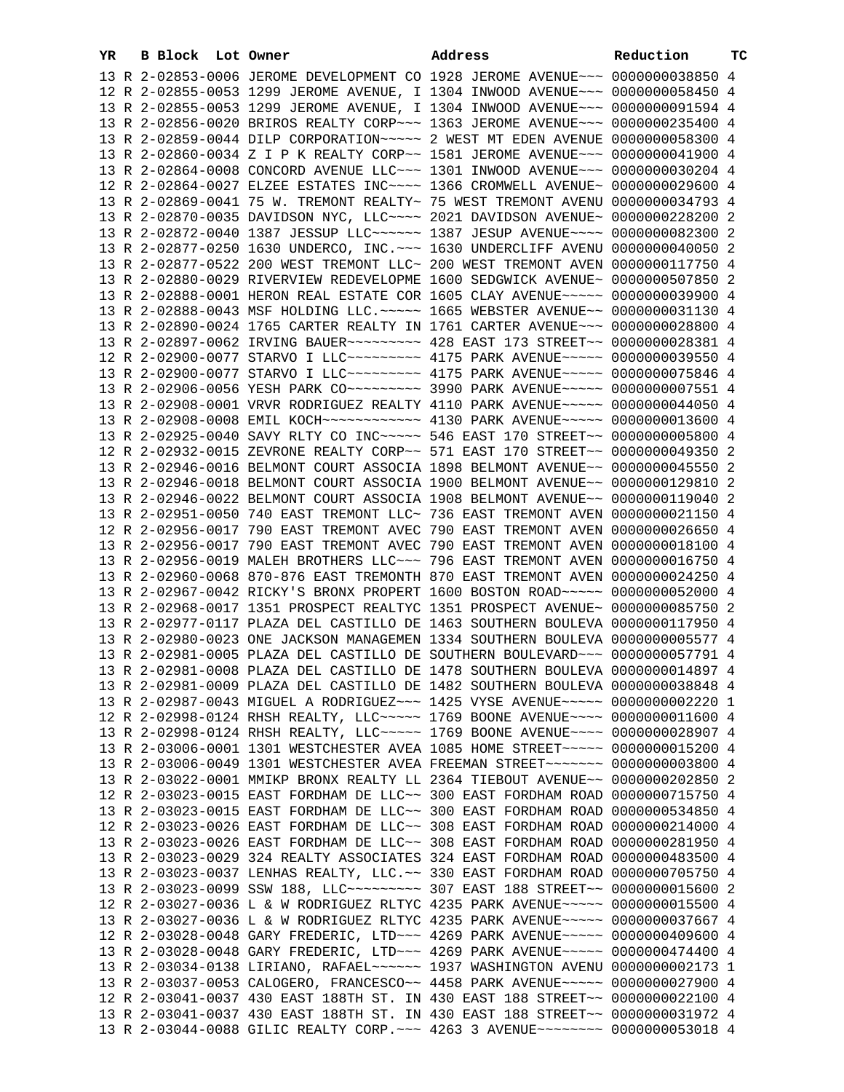| YR. | B Block Lot Owner |  | Address                                                                         | Reduction | тC |
|-----|-------------------|--|---------------------------------------------------------------------------------|-----------|----|
|     |                   |  | 13 R 2-02853-0006 JEROME DEVELOPMENT CO 1928 JEROME AVENUE~~~ 0000000038850 4   |           |    |
|     |                   |  | 12 R 2-02855-0053 1299 JEROME AVENUE, I 1304 INWOOD AVENUE~~~ 0000000058450 4   |           |    |
|     |                   |  | 13 R 2-02855-0053 1299 JEROME AVENUE, I 1304 INWOOD AVENUE~~~ 0000000091594 4   |           |    |
|     |                   |  | 13 R 2-02856-0020 BRIROS REALTY CORP~~~ 1363 JEROME AVENUE~~~ 0000000235400 4   |           |    |
|     |                   |  | 13 R 2-02859-0044 DILP CORPORATION~~~~~ 2 WEST MT EDEN AVENUE 0000000058300 4   |           |    |
|     |                   |  | 13 R 2-02860-0034 Z I P K REALTY CORP~~ 1581 JEROME AVENUE~~~ 0000000041900 4   |           |    |
|     |                   |  | 13 R 2-02864-0008 CONCORD AVENUE LLC~~~ 1301 INWOOD AVENUE~~~ 0000000030204 4   |           |    |
|     |                   |  |                                                                                 |           |    |
|     |                   |  | 12 R 2-02864-0027 ELZEE ESTATES INC~~~~ 1366 CROMWELL AVENUE~ 0000000029600 4   |           |    |
|     |                   |  | 13 R 2-02869-0041 75 W. TREMONT REALTY~ 75 WEST TREMONT AVENU 0000000034793 4   |           |    |
|     |                   |  | 13 R 2-02870-0035 DAVIDSON NYC, LLC --- 2021 DAVIDSON AVENUE ~ 0000000228200 2  |           |    |
|     |                   |  | 13 R 2-02872-0040 1387 JESSUP LLC ~~~~~~ 1387 JESUP AVENUE ~~~~ 0000000082300 2 |           |    |
|     |                   |  | 13 R 2-02877-0250 1630 UNDERCO, INC. -- 1630 UNDERCLIFF AVENU 0000000040050 2   |           |    |
|     |                   |  | 13 R 2-02877-0522 200 WEST TREMONT LLC~ 200 WEST TREMONT AVEN 0000000117750 4   |           |    |
|     |                   |  | 13 R 2-02880-0029 RIVERVIEW REDEVELOPME 1600 SEDGWICK AVENUE~ 0000000507850 2   |           |    |
|     |                   |  | 13 R 2-02888-0001 HERON REAL ESTATE COR 1605 CLAY AVENUE~~~~~ 0000000039900 4   |           |    |
|     |                   |  | 13 R 2-02888-0043 MSF HOLDING LLC. ~~~~~ 1665 WEBSTER AVENUE~~ 0000000031130 4  |           |    |
|     |                   |  | 13 R 2-02890-0024 1765 CARTER REALTY IN 1761 CARTER AVENUE~~~ 0000000028800 4   |           |    |
|     |                   |  | 13 R 2-02897-0062 IRVING BAUER~~~~~~~~~ 428 EAST 173 STREET~~ 0000000028381 4   |           |    |
|     |                   |  | 12 R 2-02900-0077 STARVO I LLC -------- 4175 PARK AVENUE ---- 0000000039550 4   |           |    |
|     |                   |  | 13 R 2-02900-0077 STARVO I LLC -------- 4175 PARK AVENUE ---- 0000000075846 4   |           |    |
|     |                   |  | 13 R 2-02906-0056 YESH PARK CO~~~~~~~~~~ 3990 PARK AVENUE~~~~~ 0000000007551 4  |           |    |
|     |                   |  | 13 R 2-02908-0001 VRVR RODRIGUEZ REALTY 4110 PARK AVENUE~~~~~ 0000000044050 4   |           |    |
|     |                   |  |                                                                                 |           |    |
|     |                   |  | 13 R 2-02908-0008 EMIL KOCH~~~~~~~~~~~~~ 4130 PARK AVENUE~~~~~ 0000000013600 4  |           |    |
|     |                   |  | 13 R 2-02925-0040 SAVY RLTY CO INC~~~~~ 546 EAST 170 STREET~~ 0000000005800 4   |           |    |
|     |                   |  | 12 R 2-02932-0015 ZEVRONE REALTY CORP~~ 571 EAST 170 STREET~~ 0000000049350 2   |           |    |
|     |                   |  | 13 R 2-02946-0016 BELMONT COURT ASSOCIA 1898 BELMONT AVENUE~~ 0000000045550 2   |           |    |
|     |                   |  | 13 R 2-02946-0018 BELMONT COURT ASSOCIA 1900 BELMONT AVENUE~~ 0000000129810 2   |           |    |
|     |                   |  | 13 R 2-02946-0022 BELMONT COURT ASSOCIA 1908 BELMONT AVENUE~~ 0000000119040 2   |           |    |
|     |                   |  | 13 R 2-02951-0050 740 EAST TREMONT LLC~ 736 EAST TREMONT AVEN 0000000021150 4   |           |    |
|     |                   |  | 12 R 2-02956-0017 790 EAST TREMONT AVEC 790 EAST TREMONT AVEN 0000000026650 4   |           |    |
|     |                   |  | 13 R 2-02956-0017 790 EAST TREMONT AVEC 790 EAST TREMONT AVEN 0000000018100 4   |           |    |
|     |                   |  | 13 R 2-02956-0019 MALEH BROTHERS LLC~~~ 796 EAST TREMONT AVEN 0000000016750 4   |           |    |
|     |                   |  | 13 R 2-02960-0068 870-876 EAST TREMONTH 870 EAST TREMONT AVEN 0000000024250 4   |           |    |
|     |                   |  | 13 R 2-02967-0042 RICKY'S BRONX PROPERT 1600 BOSTON ROAD~~~~~ 0000000052000 4   |           |    |
|     |                   |  | 13 R 2-02968-0017 1351 PROSPECT REALTYC 1351 PROSPECT AVENUE~ 0000000085750 2   |           |    |
|     |                   |  | 13 R 2-02977-0117 PLAZA DEL CASTILLO DE 1463 SOUTHERN BOULEVA 0000000117950 4   |           |    |
|     |                   |  | 13 R 2-02980-0023 ONE JACKSON MANAGEMEN 1334 SOUTHERN BOULEVA 0000000005577 4   |           |    |
|     |                   |  | 13 R 2-02981-0005 PLAZA DEL CASTILLO DE SOUTHERN BOULEVARD~~~ 0000000057791 4   |           |    |
|     |                   |  | 13 R 2-02981-0008 PLAZA DEL CASTILLO DE 1478 SOUTHERN BOULEVA 0000000014897 4   |           |    |
|     |                   |  |                                                                                 |           |    |
|     |                   |  | 13 R 2-02981-0009 PLAZA DEL CASTILLO DE 1482 SOUTHERN BOULEVA 0000000038848 4   |           |    |
|     |                   |  | 13 R 2-02987-0043 MIGUEL A RODRIGUEZ~~~ 1425 VYSE AVENUE~~~~~ 0000000002220 1   |           |    |
|     |                   |  | 12 R 2-02998-0124 RHSH REALTY, LLC ~~~~~ 1769 BOONE AVENUE ~~~~ 0000000011600 4 |           |    |
|     |                   |  | 13 R 2-02998-0124 RHSH REALTY, LLC ~~~~~ 1769 BOONE AVENUE ~~~~ 0000000028907 4 |           |    |
|     |                   |  | 13 R 2-03006-0001 1301 WESTCHESTER AVEA 1085 HOME STREET~~~~~ 0000000015200 4   |           |    |
|     |                   |  | 13 R 2-03006-0049 1301 WESTCHESTER AVEA FREEMAN STREET~~~~~~~ 0000000003800 4   |           |    |
|     |                   |  | 13 R 2-03022-0001 MMIKP BRONX REALTY LL 2364 TIEBOUT AVENUE~~ 0000000202850 2   |           |    |
|     |                   |  | 12 R 2-03023-0015 EAST FORDHAM DE LLC~~ 300 EAST FORDHAM ROAD 0000000715750 4   |           |    |
|     |                   |  | 13 R 2-03023-0015 EAST FORDHAM DE LLC~~ 300 EAST FORDHAM ROAD 0000000534850 4   |           |    |
|     |                   |  | 12 R 2-03023-0026 EAST FORDHAM DE LLC~~ 308 EAST FORDHAM ROAD 0000000214000 4   |           |    |
|     |                   |  | 13 R 2-03023-0026 EAST FORDHAM DE LLC~~ 308 EAST FORDHAM ROAD 0000000281950 4   |           |    |
|     |                   |  | 13 R 2-03023-0029 324 REALTY ASSOCIATES 324 EAST FORDHAM ROAD 0000000483500 4   |           |    |
|     |                   |  | 13 R 2-03023-0037 LENHAS REALTY, LLC.~~ 330 EAST FORDHAM ROAD 0000000705750 4   |           |    |
|     |                   |  | 13 R 2-03023-0099 SSW 188, LLC -------- 307 EAST 188 STREET -- 0000000015600 2  |           |    |
|     |                   |  | 12 R 2-03027-0036 L & W RODRIGUEZ RLTYC 4235 PARK AVENUE~~~~~ 0000000015500 4   |           |    |
|     |                   |  |                                                                                 |           |    |
|     |                   |  | 13 R 2-03027-0036 L & W RODRIGUEZ RLTYC 4235 PARK AVENUE~~~~~ 0000000037667 4   |           |    |
|     |                   |  | 12 R 2-03028-0048 GARY FREDERIC, LTD ~~~ 4269 PARK AVENUE~~~~~ 0000000409600 4  |           |    |
|     |                   |  | 13 R 2-03028-0048 GARY FREDERIC, LTD ~~~ 4269 PARK AVENUE ~~~~~ 0000000474400 4 |           |    |
|     |                   |  | 13 R 2-03034-0138 LIRIANO, RAFAEL~~~~~~ 1937 WASHINGTON AVENU 0000000002173 1   |           |    |
|     |                   |  | 13 R 2-03037-0053 CALOGERO, FRANCESCO~~ 4458 PARK AVENUE~~~~~ 0000000027900 4   |           |    |
|     |                   |  | 12 R 2-03041-0037 430 EAST 188TH ST. IN 430 EAST 188 STREET~~ 0000000022100 4   |           |    |
|     |                   |  | 13 R 2-03041-0037 430 EAST 188TH ST. IN 430 EAST 188 STREET~~ 0000000031972 4   |           |    |
|     |                   |  | 13 R 2-03044-0088 GILIC REALTY CORP. ~~~ 4263 3 AVENUE~~~~~~~~ 0000000053018 4  |           |    |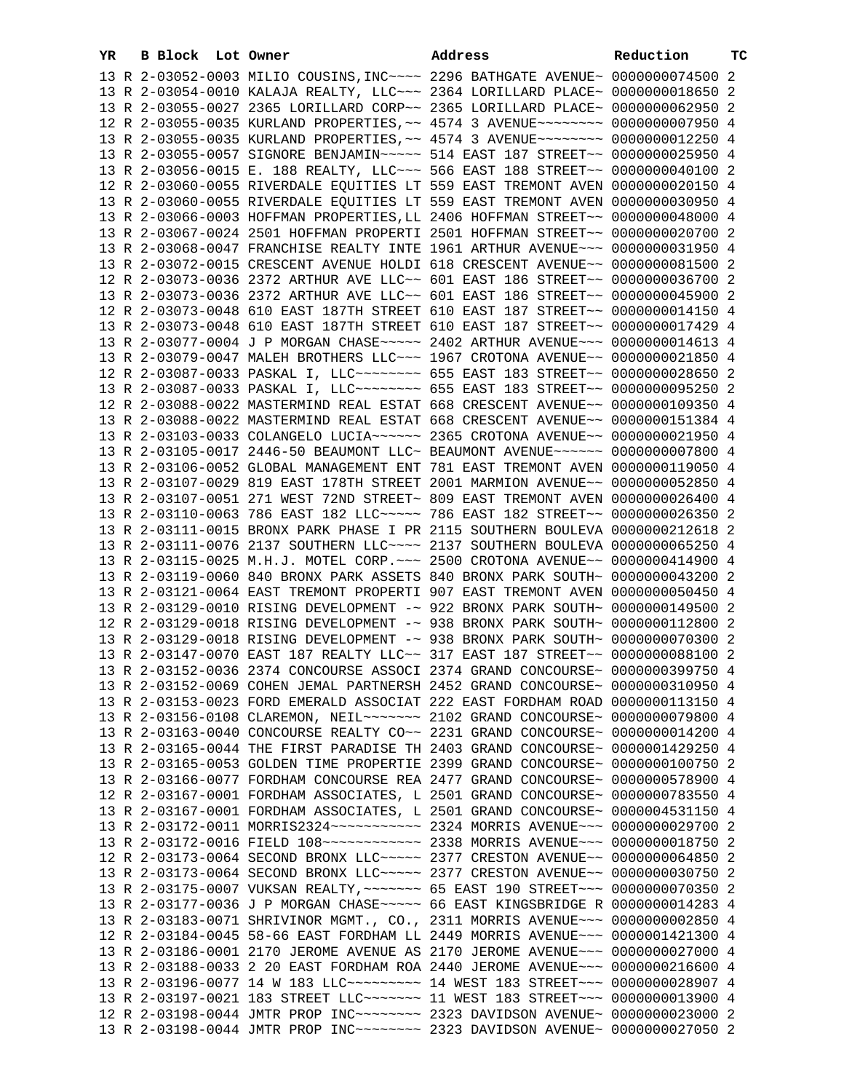| YR | B Block Lot Owner | Address                                                                         | Reduction | тc |
|----|-------------------|---------------------------------------------------------------------------------|-----------|----|
|    |                   | 13 R 2-03052-0003 MILIO COUSINS, INC~~~~ 2296 BATHGATE AVENUE~ 0000000074500 2  |           |    |
|    |                   | 13 R 2-03054-0010 KALAJA REALTY, LLC~~~ 2364 LORILLARD PLACE~ 0000000018650 2   |           |    |
|    |                   | 13 R 2-03055-0027 2365 LORILLARD CORP~~ 2365 LORILLARD PLACE~ 0000000062950 2   |           |    |
|    |                   | 12 R 2-03055-0035 KURLAND PROPERTIES, ~~ 4574 3 AVENUE~~~~~~~~ 00000000007950 4 |           |    |
|    |                   | 13 R 2-03055-0035 KURLAND PROPERTIES, ~~ 4574 3 AVENUE~~~~~~~~ 0000000012250 4  |           |    |
|    |                   | 13 R 2-03055-0057 SIGNORE BENJAMIN~~~~~ 514 EAST 187 STREET~~ 0000000025950 4   |           |    |
|    |                   | 13 R 2-03056-0015 E. 188 REALTY, LLC ~~~ 566 EAST 188 STREET ~~ 0000000040100 2 |           |    |
|    |                   | 12 R 2-03060-0055 RIVERDALE EQUITIES LT 559 EAST TREMONT AVEN 0000000020150 4   |           |    |
|    |                   | 13 R 2-03060-0055 RIVERDALE EQUITIES LT 559 EAST TREMONT AVEN 0000000030950 4   |           |    |
|    |                   | 13 R 2-03066-0003 HOFFMAN PROPERTIES, LL 2406 HOFFMAN STREET~~ 0000000048000 4  |           |    |
|    |                   | 13 R 2-03067-0024 2501 HOFFMAN PROPERTI 2501 HOFFMAN STREET~~ 0000000020700 2   |           |    |
|    |                   | 13 R 2-03068-0047 FRANCHISE REALTY INTE 1961 ARTHUR AVENUE~~~ 0000000031950 4   |           |    |
|    |                   | 13 R 2-03072-0015 CRESCENT AVENUE HOLDI 618 CRESCENT AVENUE~~ 0000000081500 2   |           |    |
|    |                   | 12 R 2-03073-0036 2372 ARTHUR AVE LLC~~ 601 EAST 186 STREET~~ 0000000036700 2   |           |    |
|    |                   | 13 R 2-03073-0036 2372 ARTHUR AVE LLC~~ 601 EAST 186 STREET~~ 0000000045900 2   |           |    |
|    |                   | 12 R 2-03073-0048 610 EAST 187TH STREET 610 EAST 187 STREET~~ 0000000014150 4   |           |    |
|    |                   | 13 R 2-03073-0048 610 EAST 187TH STREET 610 EAST 187 STREET~~ 0000000017429 4   |           |    |
|    |                   | 13 R 2-03077-0004 J P MORGAN CHASE~~~~~ 2402 ARTHUR AVENUE~~~ 0000000014613 4   |           |    |
|    |                   | 13 R 2-03079-0047 MALEH BROTHERS LLC~~~ 1967 CROTONA AVENUE~~ 0000000021850 4   |           |    |
|    |                   | 12 R 2-03087-0033 PASKAL I, LLC -------- 655 EAST 183 STREET -~ 0000000028650 2 |           |    |
|    |                   | 13 R 2-03087-0033 PASKAL I, LLC ------- 655 EAST 183 STREET -~ 0000000095250 2  |           |    |
|    |                   | 12 R 2-03088-0022 MASTERMIND REAL ESTAT 668 CRESCENT AVENUE~~ 0000000109350 4   |           |    |
|    |                   | 13 R 2-03088-0022 MASTERMIND REAL ESTAT 668 CRESCENT AVENUE~~ 0000000151384 4   |           |    |
|    |                   | 13 R 2-03103-0033 COLANGELO LUCIA~~~~~~ 2365 CROTONA AVENUE~~ 0000000021950 4   |           |    |
|    |                   | 13 R 2-03105-0017 2446-50 BEAUMONT LLC~ BEAUMONT AVENUE~~~~~~ 0000000007800 4   |           |    |
|    |                   | 13 R 2-03106-0052 GLOBAL MANAGEMENT ENT 781 EAST TREMONT AVEN 0000000119050 4   |           |    |
|    |                   | 13 R 2-03107-0029 819 EAST 178TH STREET 2001 MARMION AVENUE~~ 0000000052850 4   |           |    |
|    |                   | 13 R 2-03107-0051 271 WEST 72ND STREET~ 809 EAST TREMONT AVEN 0000000026400 4   |           |    |
|    |                   | 13 R 2-03110-0063 786 EAST 182 LLC ---- 786 EAST 182 STREET -~ 0000000026350 2  |           |    |
|    |                   | 13 R 2-03111-0015 BRONX PARK PHASE I PR 2115 SOUTHERN BOULEVA 0000000212618 2   |           |    |
|    |                   | 13 R 2-03111-0076 2137 SOUTHERN LLC~~~~ 2137 SOUTHERN BOULEVA 0000000065250 4   |           |    |
|    |                   | 13 R 2-03115-0025 M.H.J. MOTEL CORP. ~~~ 2500 CROTONA AVENUE~~ 0000000414900 4  |           |    |
|    |                   | 13 R 2-03119-0060 840 BRONX PARK ASSETS 840 BRONX PARK SOUTH~ 0000000043200 2   |           |    |
|    |                   | 13 R 2-03121-0064 EAST TREMONT PROPERTI 907 EAST TREMONT AVEN 0000000050450 4   |           |    |
|    |                   | 13 R 2-03129-0010 RISING DEVELOPMENT -~ 922 BRONX PARK SOUTH~ 0000000149500 2   |           |    |
|    |                   | 12 R 2-03129-0018 RISING DEVELOPMENT -~ 938 BRONX PARK SOUTH~ 0000000112800 2   |           |    |
|    |                   | 13 R 2-03129-0018 RISING DEVELOPMENT -~ 938 BRONX PARK SOUTH~ 0000000070300 2   |           |    |
|    |                   | 13 R 2-03147-0070 EAST 187 REALTY LLC~~ 317 EAST 187 STREET~~ 0000000088100 2   |           |    |
|    |                   | 13 R 2-03152-0036 2374 CONCOURSE ASSOCI 2374 GRAND CONCOURSE~ 0000000399750 4   |           |    |
|    |                   | 13 R 2-03152-0069 COHEN JEMAL PARTNERSH 2452 GRAND CONCOURSE~ 0000000310950 4   |           |    |
|    |                   | 13 R 2-03153-0023 FORD EMERALD ASSOCIAT 222 EAST FORDHAM ROAD 0000000113150 4   |           |    |
|    |                   | 13 R 2-03156-0108 CLAREMON, NEIL~~~~~~~ 2102 GRAND CONCOURSE~ 0000000079800 4   |           |    |
|    |                   | 13 R 2-03163-0040 CONCOURSE REALTY CO~~ 2231 GRAND CONCOURSE~ 0000000014200 4   |           |    |
|    |                   | 13 R 2-03165-0044 THE FIRST PARADISE TH 2403 GRAND CONCOURSE~ 0000001429250 4   |           |    |
|    |                   | 13 R 2-03165-0053 GOLDEN TIME PROPERTIE 2399 GRAND CONCOURSE~ 0000000100750 2   |           |    |
|    |                   | 13 R 2-03166-0077 FORDHAM CONCOURSE REA 2477 GRAND CONCOURSE~ 0000000578900 4   |           |    |
|    |                   | 12 R 2-03167-0001 FORDHAM ASSOCIATES, L 2501 GRAND CONCOURSE~ 0000000783550 4   |           |    |
|    |                   | 13 R 2-03167-0001 FORDHAM ASSOCIATES, L 2501 GRAND CONCOURSE~ 0000004531150 4   |           |    |
|    |                   | 13 R 2-03172-0011 MORRIS2324 ~~~~~~~~~~~ 2324 MORRIS AVENUE~~~ 0000000029700 2  |           |    |
|    |                   | 13 R 2-03172-0016 FIELD 108 ----------- 2338 MORRIS AVENUE -- 0000000018750 2   |           |    |
|    |                   | 12 R 2-03173-0064 SECOND BRONX LLC ~~~~~ 2377 CRESTON AVENUE ~~ 0000000064850 2 |           |    |
|    |                   | 13 R 2-03173-0064 SECOND BRONX LLC ~~~~~ 2377 CRESTON AVENUE ~~ 0000000030750 2 |           |    |
|    |                   | 13 R 2-03175-0007 VUKSAN REALTY, ~~~~~~~ 65 EAST 190 STREET~~~ 0000000070350 2  |           |    |
|    |                   | 13 R 2-03177-0036 J P MORGAN CHASE~~~~~ 66 EAST KINGSBRIDGE R 0000000014283 4   |           |    |
|    |                   | 13 R 2-03183-0071 SHRIVINOR MGMT., CO., 2311 MORRIS AVENUE~~~ 0000000002850 4   |           |    |
|    |                   | 12 R 2-03184-0045 58-66 EAST FORDHAM LL 2449 MORRIS AVENUE~~~ 0000001421300 4   |           |    |
|    |                   | 13 R 2-03186-0001 2170 JEROME AVENUE AS 2170 JEROME AVENUE~~~ 0000000027000 4   |           |    |
|    |                   | 13 R 2-03188-0033 2 20 EAST FORDHAM ROA 2440 JEROME AVENUE~~~ 0000000216600 4   |           |    |
|    |                   | 13 R 2-03196-0077 14 W 183 LLC --------- 14 WEST 183 STREET --- 0000000028907 4 |           |    |
|    |                   | 13 R 2-03197-0021 183 STREET LLC ------ 11 WEST 183 STREET -- 0000000013900 4   |           |    |
|    |                   | 12 R 2-03198-0044 JMTR PROP INC~~~~~~~~ 2323 DAVIDSON AVENUE~ 0000000023000 2   |           |    |
|    |                   | 13 R 2-03198-0044 JMTR PROP INC~~~~~~~~ 2323 DAVIDSON AVENUE~ 0000000027050 2   |           |    |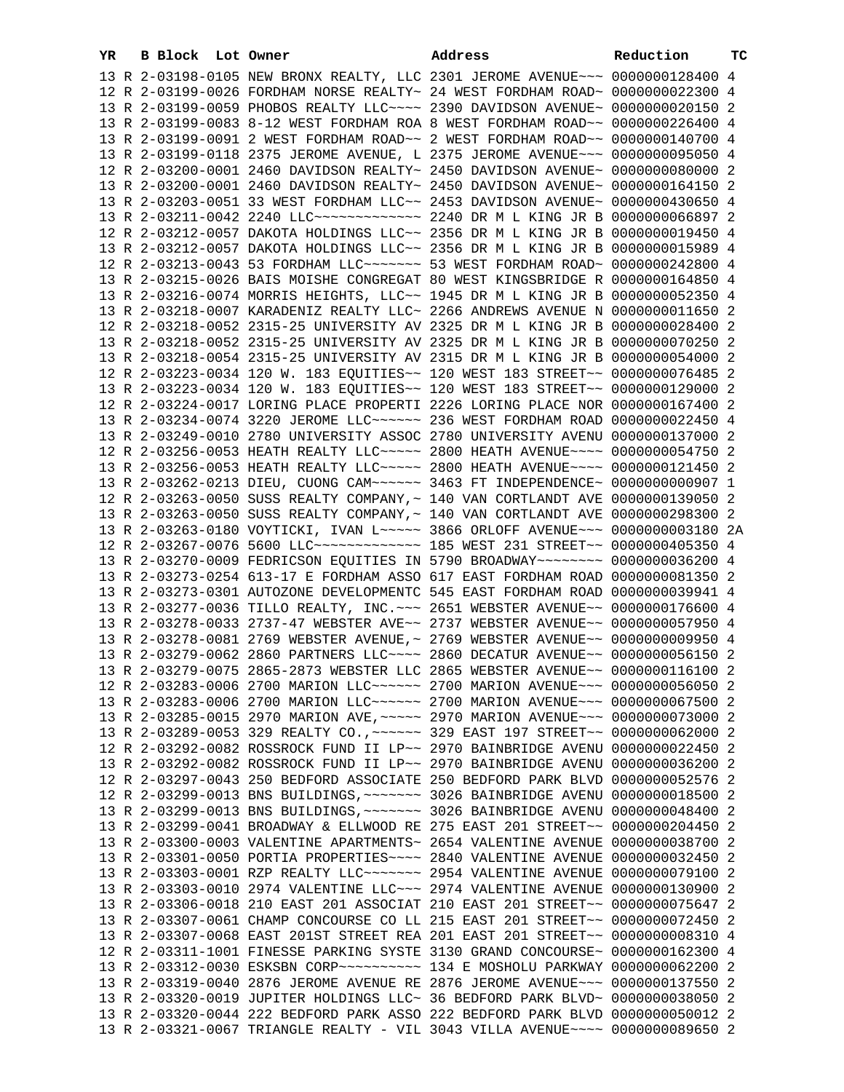| YR | B Block Lot Owner |                                                                                                                                                                 | Address | Reduction | тC |
|----|-------------------|-----------------------------------------------------------------------------------------------------------------------------------------------------------------|---------|-----------|----|
|    |                   | 13 R 2-03198-0105 NEW BRONX REALTY, LLC 2301 JEROME AVENUE~~~ 0000000128400 4                                                                                   |         |           |    |
|    |                   | 12 R 2-03199-0026 FORDHAM NORSE REALTY~ 24 WEST FORDHAM ROAD~ 0000000022300 4                                                                                   |         |           |    |
|    |                   | 13 R 2-03199-0059 PHOBOS REALTY LLC --- 2390 DAVIDSON AVENUE ~ 0000000020150 2                                                                                  |         |           |    |
|    |                   | 13 R 2-03199-0083 8-12 WEST FORDHAM ROA 8 WEST FORDHAM ROAD~~ 0000000226400 4                                                                                   |         |           |    |
|    |                   | 13 R 2-03199-0091 2 WEST FORDHAM ROAD~~ 2 WEST FORDHAM ROAD~~ 0000000140700 4                                                                                   |         |           |    |
|    |                   | 13 R 2-03199-0118 2375 JEROME AVENUE, L 2375 JEROME AVENUE~~~ 0000000095050 4                                                                                   |         |           |    |
|    |                   | 12 R 2-03200-0001 2460 DAVIDSON REALTY~ 2450 DAVIDSON AVENUE~ 0000000080000 2                                                                                   |         |           |    |
|    |                   | 13 R 2-03200-0001 2460 DAVIDSON REALTY~ 2450 DAVIDSON AVENUE~ 0000000164150 2                                                                                   |         |           |    |
|    |                   | 13 R 2-03203-0051 33 WEST FORDHAM LLC~~ 2453 DAVIDSON AVENUE~ 0000000430650 4                                                                                   |         |           |    |
|    |                   | 13 R 2-03211-0042 2240 LLC ------------- 2240 DR M L KING JR B 0000000066897 2                                                                                  |         |           |    |
|    |                   | 12 R 2-03212-0057 DAKOTA HOLDINGS LLC~~ 2356 DR M L KING JR B 0000000019450 4                                                                                   |         |           |    |
|    |                   | 13 R 2-03212-0057 DAKOTA HOLDINGS LLC~~ 2356 DR M L KING JR B 0000000015989 4                                                                                   |         |           |    |
|    |                   | 12 R 2-03213-0043 53 FORDHAM LLC ~~~~~~~~ 53 WEST FORDHAM ROAD~ 0000000242800 4                                                                                 |         |           |    |
|    |                   | 13 R 2-03215-0026 BAIS MOISHE CONGREGAT 80 WEST KINGSBRIDGE R 0000000164850 4                                                                                   |         |           |    |
|    |                   | 13 R 2-03216-0074 MORRIS HEIGHTS, LLC~~ 1945 DR M L KING JR B 0000000052350 4                                                                                   |         |           |    |
|    |                   | 13 R 2-03218-0007 KARADENIZ REALTY LLC~ 2266 ANDREWS AVENUE N 0000000011650 2                                                                                   |         |           |    |
|    |                   | 12 R 2-03218-0052 2315-25 UNIVERSITY AV 2325 DR M L KING JR B 0000000028400 2                                                                                   |         |           |    |
|    |                   | 13 R 2-03218-0052 2315-25 UNIVERSITY AV 2325 DR M L KING JR B 0000000070250 2                                                                                   |         |           |    |
|    |                   | 13 R 2-03218-0054 2315-25 UNIVERSITY AV 2315 DR M L KING JR B 0000000054000 2                                                                                   |         |           |    |
|    |                   | 12 R 2-03223-0034 120 W. 183 EQUITIES~~ 120 WEST 183 STREET~~ 0000000076485 2                                                                                   |         |           |    |
|    |                   | 13 R 2-03223-0034 120 W. 183 EQUITIES~~ 120 WEST 183 STREET~~ 0000000129000 2                                                                                   |         |           |    |
|    |                   | 12 R 2-03224-0017 LORING PLACE PROPERTI 2226 LORING PLACE NOR 0000000167400 2                                                                                   |         |           |    |
|    |                   | 13 R 2-03234-0074 3220 JEROME LLC ~~~~~~ 236 WEST FORDHAM ROAD 0000000022450 4                                                                                  |         |           |    |
|    |                   | 13 R 2-03249-0010 2780 UNIVERSITY ASSOC 2780 UNIVERSITY AVENU 0000000137000 2                                                                                   |         |           |    |
|    |                   | 12 R 2-03256-0053 HEATH REALTY LLC ---- 2800 HEATH AVENUE --- 0000000054750 2                                                                                   |         |           |    |
|    |                   | 13 R 2-03256-0053 HEATH REALTY LLC ~~~~~ 2800 HEATH AVENUE ~~~~ 0000000121450 2                                                                                 |         |           |    |
|    |                   | 13 R 2-03262-0213 DIEU, CUONG CAM~~~~~~ 3463 FT INDEPENDENCE~ 0000000000907 1<br>12 R 2-03263-0050 SUSS REALTY COMPANY, ~ 140 VAN CORTLANDT AVE 0000000139050 2 |         |           |    |
|    |                   | 13 R 2-03263-0050 SUSS REALTY COMPANY, ~ 140 VAN CORTLANDT AVE 0000000298300 2                                                                                  |         |           |    |
|    |                   | 13 R 2-03263-0180 VOYTICKI, IVAN L~~~~~ 3866 ORLOFF AVENUE~~~ 0000000003180 2A                                                                                  |         |           |    |
|    |                   | 12 R 2-03267-0076 5600 LLC -------------- 185 WEST 231 STREET -~ 0000000405350 4                                                                                |         |           |    |
|    |                   | 13 R 2-03270-0009 FEDRICSON EQUITIES IN 5790 BROADWAY~~~~~~~~ 0000000036200 4                                                                                   |         |           |    |
|    |                   | 13 R 2-03273-0254 613-17 E FORDHAM ASSO 617 EAST FORDHAM ROAD 0000000081350 2                                                                                   |         |           |    |
|    |                   | 13 R 2-03273-0301 AUTOZONE DEVELOPMENTC 545 EAST FORDHAM ROAD 0000000039941 4                                                                                   |         |           |    |
|    |                   | 13 R 2-03277-0036 TILLO REALTY, INC. ~~~ 2651 WEBSTER AVENUE~~ 0000000176600 4                                                                                  |         |           |    |
|    |                   | 13 R 2-03278-0033 2737-47 WEBSTER AVE~~ 2737 WEBSTER AVENUE~~ 0000000057950 4                                                                                   |         |           |    |
|    |                   | 13 R 2-03278-0081 2769 WEBSTER AVENUE, ~ 2769 WEBSTER AVENUE~~ 0000000009950 4                                                                                  |         |           |    |
|    |                   | 13 R 2-03279-0062 2860 PARTNERS LLC~~~~ 2860 DECATUR AVENUE~~ 0000000056150 2                                                                                   |         |           |    |
|    |                   | 13 R 2-03279-0075 2865-2873 WEBSTER LLC 2865 WEBSTER AVENUE~~ 0000000116100 2                                                                                   |         |           |    |
|    |                   | 12 R 2-03283-0006 2700 MARION LLC ~~~~~~ 2700 MARION AVENUE ~~~ 0000000056050 2                                                                                 |         |           |    |
|    |                   | 13 R 2-03283-0006 2700 MARION LLC ~~~~~~ 2700 MARION AVENUE ~~~ 0000000067500 2                                                                                 |         |           |    |
|    |                   | 13 R 2-03285-0015 2970 MARION AVE, ~~~~~ 2970 MARION AVENUE~~~ 0000000073000 2                                                                                  |         |           |    |
|    |                   | 13 R 2-03289-0053 329 REALTY CO., ~~~~~~ 329 EAST 197 STREET~~ 0000000062000 2                                                                                  |         |           |    |
|    |                   | 12 R 2-03292-0082 ROSSROCK FUND II LP~~ 2970 BAINBRIDGE AVENU 0000000022450 2                                                                                   |         |           |    |
|    |                   | 13 R 2-03292-0082 ROSSROCK FUND II LP~~ 2970 BAINBRIDGE AVENU 0000000036200 2                                                                                   |         |           |    |
|    |                   | 12 R 2-03297-0043 250 BEDFORD ASSOCIATE 250 BEDFORD PARK BLVD 0000000052576 2                                                                                   |         |           |    |
|    |                   | 12 R 2-03299-0013 BNS BUILDINGS, ~~~~~~~ 3026 BAINBRIDGE AVENU 0000000018500 2                                                                                  |         |           |    |
|    |                   | 13 R 2-03299-0013 BNS BUILDINGS, ~~~~~~~ 3026 BAINBRIDGE AVENU 0000000048400 2                                                                                  |         |           |    |
|    |                   | 13 R 2-03299-0041 BROADWAY & ELLWOOD RE 275 EAST 201 STREET~~ 0000000204450 2                                                                                   |         |           |    |
|    |                   | 13 R 2-03300-0003 VALENTINE APARTMENTS~ 2654 VALENTINE AVENUE 0000000038700 2                                                                                   |         |           |    |
|    |                   | 13 R 2-03301-0050 PORTIA PROPERTIES~~~~ 2840 VALENTINE AVENUE 0000000032450 2                                                                                   |         |           |    |
|    |                   | 13 R 2-03303-0001 RZP REALTY LLC ------ 2954 VALENTINE AVENUE 0000000079100 2                                                                                   |         |           |    |
|    |                   | 13 R 2-03303-0010 2974 VALENTINE LLC~~~ 2974 VALENTINE AVENUE 0000000130900 2                                                                                   |         |           |    |
|    |                   | 13 R 2-03306-0018 210 EAST 201 ASSOCIAT 210 EAST 201 STREET~~ 0000000075647 2                                                                                   |         |           |    |
|    |                   | 13 R 2-03307-0061 CHAMP CONCOURSE CO LL 215 EAST 201 STREET~~ 0000000072450 2                                                                                   |         |           |    |
|    |                   | 13 R 2-03307-0068 EAST 201ST STREET REA 201 EAST 201 STREET~~ 0000000008310 4                                                                                   |         |           |    |
|    |                   | 12 R 2-03311-1001 FINESSE PARKING SYSTE 3130 GRAND CONCOURSE~ 0000000162300 4                                                                                   |         |           |    |
|    |                   | 13 R 2-03312-0030 ESKSBN CORP~~~~~~~~~~~ 134 E MOSHOLU PARKWAY 0000000062200 2                                                                                  |         |           |    |
|    |                   | 13 R 2-03319-0040 2876 JEROME AVENUE RE 2876 JEROME AVENUE~~~ 0000000137550 2                                                                                   |         |           |    |
|    |                   | 13 R 2-03320-0019 JUPITER HOLDINGS LLC~ 36 BEDFORD PARK BLVD~ 0000000038050 2<br>13 R 2-03320-0044 222 BEDFORD PARK ASSO 222 BEDFORD PARK BLVD 0000000050012 2  |         |           |    |
|    |                   | 13 R 2-03321-0067 TRIANGLE REALTY - VIL 3043 VILLA AVENUE~~~~ 0000000089650 2                                                                                   |         |           |    |
|    |                   |                                                                                                                                                                 |         |           |    |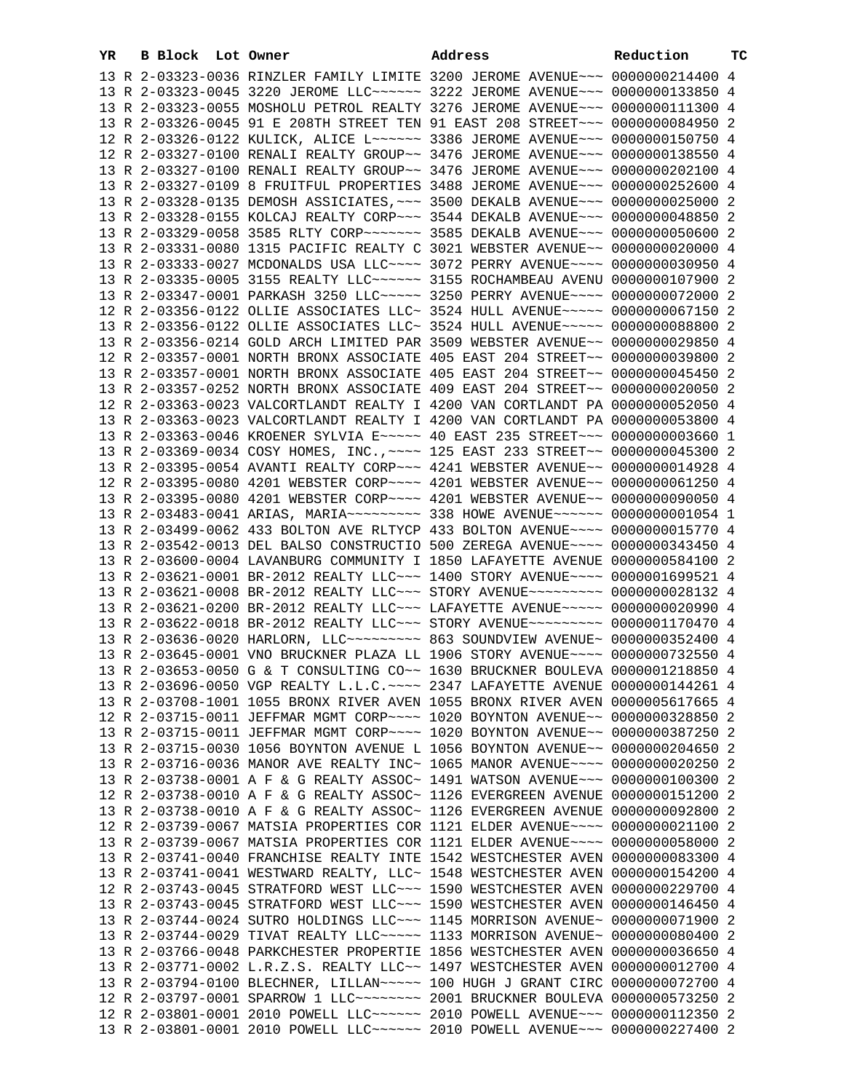| YR | B Block Lot Owner |                                                                                                                                                                | Address | Reduction | тc |
|----|-------------------|----------------------------------------------------------------------------------------------------------------------------------------------------------------|---------|-----------|----|
|    |                   | 13 R 2-03323-0036 RINZLER FAMILY LIMITE 3200 JEROME AVENUE~~~ 0000000214400 4                                                                                  |         |           |    |
|    |                   | 13 R 2-03323-0045 3220 JEROME LLC ~~~~~~ 3222 JEROME AVENUE ~~~ 0000000133850 4                                                                                |         |           |    |
|    |                   | 13 R 2-03323-0055 MOSHOLU PETROL REALTY 3276 JEROME AVENUE~~~ 0000000111300 4                                                                                  |         |           |    |
|    |                   | 13 R 2-03326-0045 91 E 208TH STREET TEN 91 EAST 208 STREET~~~ 0000000084950 2                                                                                  |         |           |    |
|    |                   | 12 R 2-03326-0122 KULICK, ALICE L~~~~~~ 3386 JEROME AVENUE~~~ 0000000150750 4                                                                                  |         |           |    |
|    |                   | 12 R 2-03327-0100 RENALI REALTY GROUP~~ 3476 JEROME AVENUE~~~ 0000000138550 4                                                                                  |         |           |    |
|    |                   | 13 R 2-03327-0100 RENALI REALTY GROUP~~ 3476 JEROME AVENUE~~~ 0000000202100 4                                                                                  |         |           |    |
|    |                   | 13 R 2-03327-0109 8 FRUITFUL PROPERTIES 3488 JEROME AVENUE~~~ 0000000252600 4                                                                                  |         |           |    |
|    |                   | 13 R 2-03328-0135 DEMOSH ASSICIATES, ~~~ 3500 DEKALB AVENUE~~~ 0000000025000 2                                                                                 |         |           |    |
|    |                   | 13 R 2-03328-0155 KOLCAJ REALTY CORP~~~ 3544 DEKALB AVENUE~~~ 0000000048850 2                                                                                  |         |           |    |
|    |                   | 13 R 2-03329-0058 3585 RLTY CORP~~~~~~~ 3585 DEKALB AVENUE~~~ 0000000050600 2                                                                                  |         |           |    |
|    |                   | 13 R 2-03331-0080 1315 PACIFIC REALTY C 3021 WEBSTER AVENUE~~ 0000000020000 4                                                                                  |         |           |    |
|    |                   | 13 R 2-03333-0027 MCDONALDS USA LLC~~~~ 3072 PERRY AVENUE~~~~ 0000000030950 4                                                                                  |         |           |    |
|    |                   | 13 R 2-03335-0005 3155 REALTY LLC ~~~~~~ 3155 ROCHAMBEAU AVENU 0000000107900 2                                                                                 |         |           |    |
|    |                   | 13 R 2-03347-0001 PARKASH 3250 LLC ---- 3250 PERRY AVENUE --- 0000000072000 2                                                                                  |         |           |    |
|    |                   | 12 R 2-03356-0122 OLLIE ASSOCIATES LLC~ 3524 HULL AVENUE~~~~~ 0000000067150 2                                                                                  |         |           |    |
|    |                   | 13 R 2-03356-0122 OLLIE ASSOCIATES LLC~ 3524 HULL AVENUE~~~~~ 0000000088800 2                                                                                  |         |           |    |
|    |                   | 13 R 2-03356-0214 GOLD ARCH LIMITED PAR 3509 WEBSTER AVENUE~~ 0000000029850 4                                                                                  |         |           |    |
|    |                   | 12 R 2-03357-0001 NORTH BRONX ASSOCIATE 405 EAST 204 STREET~~ 0000000039800 2                                                                                  |         |           |    |
|    |                   | 13 R 2-03357-0001 NORTH BRONX ASSOCIATE 405 EAST 204 STREET~~ 0000000045450 2                                                                                  |         |           |    |
|    |                   | 13 R 2-03357-0252 NORTH BRONX ASSOCIATE 409 EAST 204 STREET~~ 0000000020050 2                                                                                  |         |           |    |
|    |                   | 12 R 2-03363-0023 VALCORTLANDT REALTY I 4200 VAN CORTLANDT PA 0000000052050 4                                                                                  |         |           |    |
|    |                   | 13 R 2-03363-0023 VALCORTLANDT REALTY I 4200 VAN CORTLANDT PA 0000000053800 4                                                                                  |         |           |    |
|    |                   | 13 R 2-03363-0046 KROENER SYLVIA E~~~~~ 40 EAST 235 STREET~~~ 00000000003660 1                                                                                 |         |           |    |
|    |                   | 13 R 2-03369-0034 COSY HOMES, INC., ~~~~ 125 EAST 233 STREET~~ 0000000045300 2                                                                                 |         |           |    |
|    |                   | 13 R 2-03395-0054 AVANTI REALTY CORP~~~ 4241 WEBSTER AVENUE~~ 0000000014928 4                                                                                  |         |           |    |
|    |                   | 12 R 2-03395-0080 4201 WEBSTER CORP~~~~ 4201 WEBSTER AVENUE~~ 0000000061250 4                                                                                  |         |           |    |
|    |                   | 13 R 2-03395-0080 4201 WEBSTER CORP~~~~ 4201 WEBSTER AVENUE~~ 0000000090050 4                                                                                  |         |           |    |
|    |                   | 13 R 2-03483-0041 ARIAS, MARIA~~~~~~~~~~~~~~~~~~ 338 HOWE AVENUE~~~~~~~ 000000000001054 1                                                                      |         |           |    |
|    |                   | 13 R 2-03499-0062 433 BOLTON AVE RLTYCP 433 BOLTON AVENUE~~~~ 0000000015770 4                                                                                  |         |           |    |
|    |                   | 13 R 2-03542-0013 DEL BALSO CONSTRUCTIO 500 ZEREGA AVENUE~~~~ 0000000343450 4                                                                                  |         |           |    |
|    |                   | 13 R 2-03600-0004 LAVANBURG COMMUNITY I 1850 LAFAYETTE AVENUE 0000000584100 2                                                                                  |         |           |    |
|    |                   | 13 R 2-03621-0001 BR-2012 REALTY LLC~~~ 1400 STORY AVENUE~~~~ 0000001699521 4<br>13 R 2-03621-0008 BR-2012 REALTY LLC -- STORY AVENUE -------- 0000000028132 4 |         |           |    |
|    |                   | 13 R 2-03621-0200 BR-2012 REALTY LLC~~~ LAFAYETTE AVENUE~~~~~ 0000000020990 4                                                                                  |         |           |    |
|    |                   | 13 R 2-03622-0018 BR-2012 REALTY LLC -- STORY AVENUE --------- 0000001170470 4                                                                                 |         |           |    |
|    |                   | 13 R 2-03636-0020 HARLORN, LLC -------- 863 SOUNDVIEW AVENUE ~ 0000000352400 4                                                                                 |         |           |    |
|    |                   | 13 R 2-03645-0001 VNO BRUCKNER PLAZA LL 1906 STORY AVENUE~~~~ 0000000732550 4                                                                                  |         |           |    |
|    |                   | 13 R 2-03653-0050 G & T CONSULTING CO~~ 1630 BRUCKNER BOULEVA 0000001218850 4                                                                                  |         |           |    |
|    |                   | 13 R 2-03696-0050 VGP REALTY L.L.C. ~~~~ 2347 LAFAYETTE AVENUE 0000000144261 4                                                                                 |         |           |    |
|    |                   | 13 R 2-03708-1001 1055 BRONX RIVER AVEN 1055 BRONX RIVER AVEN 0000005617665 4                                                                                  |         |           |    |
|    |                   | 12 R 2-03715-0011 JEFFMAR MGMT CORP~~~~ 1020 BOYNTON AVENUE~~ 0000000328850 2                                                                                  |         |           |    |
|    |                   | 13 R 2-03715-0011 JEFFMAR MGMT CORP~~~~ 1020 BOYNTON AVENUE~~ 0000000387250 2                                                                                  |         |           |    |
|    |                   | 13 R 2-03715-0030 1056 BOYNTON AVENUE L 1056 BOYNTON AVENUE~~ 0000000204650 2                                                                                  |         |           |    |
|    |                   | 13 R 2-03716-0036 MANOR AVE REALTY INC~ 1065 MANOR AVENUE~~~~ 0000000020250 2                                                                                  |         |           |    |
|    |                   | 13 R 2-03738-0001 A F & G REALTY ASSOC~ 1491 WATSON AVENUE~~~ 0000000100300 2                                                                                  |         |           |    |
|    |                   | 12 R 2-03738-0010 A F & G REALTY ASSOC~ 1126 EVERGREEN AVENUE 0000000151200 2                                                                                  |         |           |    |
|    |                   | 13 R 2-03738-0010 A F & G REALTY ASSOC~ 1126 EVERGREEN AVENUE 0000000092800 2                                                                                  |         |           |    |
|    |                   | 12 R 2-03739-0067 MATSIA PROPERTIES COR 1121 ELDER AVENUE~~~~ 0000000021100 2                                                                                  |         |           |    |
|    |                   | 13 R 2-03739-0067 MATSIA PROPERTIES COR 1121 ELDER AVENUE~~~~ 0000000058000 2                                                                                  |         |           |    |
|    |                   | 13 R 2-03741-0040 FRANCHISE REALTY INTE 1542 WESTCHESTER AVEN 0000000083300 4                                                                                  |         |           |    |
|    |                   | 13 R 2-03741-0041 WESTWARD REALTY, LLC~ 1548 WESTCHESTER AVEN 0000000154200 4                                                                                  |         |           |    |
|    |                   | 12 R 2-03743-0045 STRATFORD WEST LLC ~~~ 1590 WESTCHESTER AVEN 0000000229700 4                                                                                 |         |           |    |
|    |                   | 13 R 2-03743-0045 STRATFORD WEST LLC ~~~ 1590 WESTCHESTER AVEN 0000000146450 4                                                                                 |         |           |    |
|    |                   | 13 R 2-03744-0024 SUTRO HOLDINGS LLC~~~ 1145 MORRISON AVENUE~ 0000000071900 2                                                                                  |         |           |    |
|    |                   | 13 R 2-03744-0029 TIVAT REALTY LLC ~~~~~ 1133 MORRISON AVENUE~ 0000000080400 2                                                                                 |         |           |    |
|    |                   | 13 R 2-03766-0048 PARKCHESTER PROPERTIE 1856 WESTCHESTER AVEN 0000000036650 4                                                                                  |         |           |    |
|    |                   | 13 R 2-03771-0002 L.R.Z.S. REALTY LLC~~ 1497 WESTCHESTER AVEN 0000000012700 4                                                                                  |         |           |    |
|    |                   | 13 R 2-03794-0100 BLECHNER, LILLAN~~~~~ 100 HUGH J GRANT CIRC 0000000072700 4                                                                                  |         |           |    |
|    |                   | 12 R 2-03797-0001 SPARROW 1 LLC ------- 2001 BRUCKNER BOULEVA 0000000573250 2                                                                                  |         |           |    |
|    |                   | 12 R 2-03801-0001 2010 POWELL LLC ~~~~~~ 2010 POWELL AVENUE ~~~ 0000000112350 2                                                                                |         |           |    |
|    |                   | 13 R 2-03801-0001 2010 POWELL LLC ~~~~~~ 2010 POWELL AVENUE ~~~ 0000000227400 2                                                                                |         |           |    |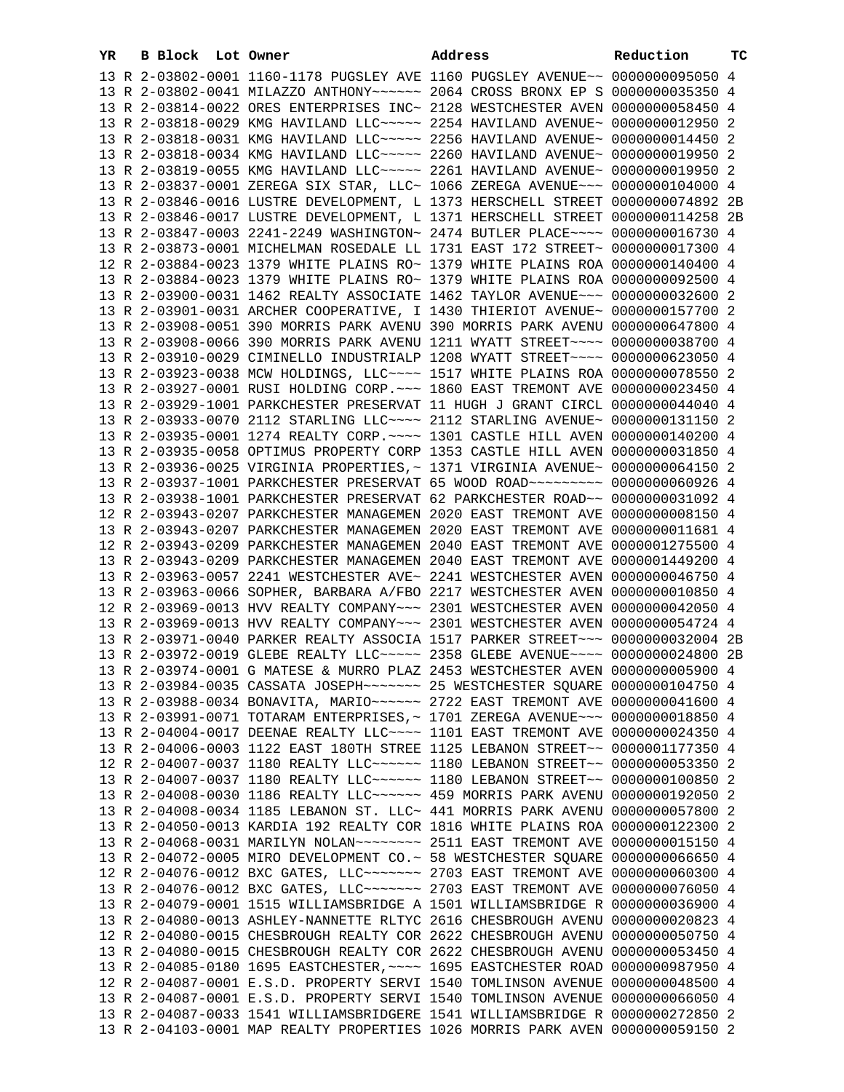| YR | B Block Lot Owner |  | Address                                                                          | Reduction | тc |
|----|-------------------|--|----------------------------------------------------------------------------------|-----------|----|
|    |                   |  | 13 R 2-03802-0001 1160-1178 PUGSLEY AVE 1160 PUGSLEY AVENUE~~ 0000000095050 4    |           |    |
|    |                   |  | 13 R 2-03802-0041 MILAZZO ANTHONY~~~~~~ 2064 CROSS BRONX EP S 0000000035350 4    |           |    |
|    |                   |  |                                                                                  |           |    |
|    |                   |  | 13 R 2-03814-0022 ORES ENTERPRISES INC~ 2128 WESTCHESTER AVEN 0000000058450 4    |           |    |
|    |                   |  | 13 R 2-03818-0029 KMG HAVILAND LLC ~~~~~ 2254 HAVILAND AVENUE~ 0000000012950 2   |           |    |
|    |                   |  | 13 R 2-03818-0031 KMG HAVILAND LLC ~~~~~ 2256 HAVILAND AVENUE~ 0000000014450 2   |           |    |
|    |                   |  | 13 R 2-03818-0034 KMG HAVILAND LLC ~~~~~ 2260 HAVILAND AVENUE~ 0000000019950 2   |           |    |
|    |                   |  | 13 R 2-03819-0055 KMG HAVILAND LLC ~~~~~ 2261 HAVILAND AVENUE~ 0000000019950 2   |           |    |
|    |                   |  | 13 R 2-03837-0001 ZEREGA SIX STAR, LLC~ 1066 ZEREGA AVENUE~~~ 0000000104000 4    |           |    |
|    |                   |  | 13 R 2-03846-0016 LUSTRE DEVELOPMENT, L 1373 HERSCHELL STREET 0000000074892 2B   |           |    |
|    |                   |  | 13 R 2-03846-0017 LUSTRE DEVELOPMENT, L 1371 HERSCHELL STREET 0000000114258 2B   |           |    |
|    |                   |  | 13 R 2-03847-0003 2241-2249 WASHINGTON~ 2474 BUTLER PLACE~~~~ 0000000016730 4    |           |    |
|    |                   |  | 13 R 2-03873-0001 MICHELMAN ROSEDALE LL 1731 EAST 172 STREET~ 0000000017300 4    |           |    |
|    |                   |  | 12 R 2-03884-0023 1379 WHITE PLAINS RO~ 1379 WHITE PLAINS ROA 0000000140400 4    |           |    |
|    |                   |  | 13 R 2-03884-0023 1379 WHITE PLAINS RO~ 1379 WHITE PLAINS ROA 0000000092500 4    |           |    |
|    |                   |  |                                                                                  |           |    |
|    |                   |  | 13 R 2-03900-0031 1462 REALTY ASSOCIATE 1462 TAYLOR AVENUE~~~ 0000000032600 2    |           |    |
|    |                   |  | 13 R 2-03901-0031 ARCHER COOPERATIVE, I 1430 THIERIOT AVENUE~ 0000000157700 2    |           |    |
|    |                   |  | 13 R 2-03908-0051 390 MORRIS PARK AVENU 390 MORRIS PARK AVENU 0000000647800 4    |           |    |
|    |                   |  | 13 R 2-03908-0066 390 MORRIS PARK AVENU 1211 WYATT STREET~~~~ 0000000038700 4    |           |    |
|    |                   |  | 13 R 2-03910-0029 CIMINELLO INDUSTRIALP 1208 WYATT STREET~~~~ 0000000623050 4    |           |    |
|    |                   |  | 13 R 2-03923-0038 MCW HOLDINGS, LLC ~~~~ 1517 WHITE PLAINS ROA 0000000078550 2   |           |    |
|    |                   |  | 13 R 2-03927-0001 RUSI HOLDING CORP. ~~~ 1860 EAST TREMONT AVE 0000000023450 4   |           |    |
|    |                   |  | 13 R 2-03929-1001 PARKCHESTER PRESERVAT 11 HUGH J GRANT CIRCL 0000000044040 4    |           |    |
|    |                   |  | 13 R 2-03933-0070 2112 STARLING LLC ~~~~ 2112 STARLING AVENUE ~ 0000000131150 2  |           |    |
|    |                   |  | 13 R 2-03935-0001 1274 REALTY CORP. ~~~~ 1301 CASTLE HILL AVEN 0000000140200 4   |           |    |
|    |                   |  | 13 R 2-03935-0058 OPTIMUS PROPERTY CORP 1353 CASTLE HILL AVEN 0000000031850 4    |           |    |
|    |                   |  | 13 R 2-03936-0025 VIRGINIA PROPERTIES, ~ 1371 VIRGINIA AVENUE~ 0000000064150 2   |           |    |
|    |                   |  | 13 R 2-03937-1001 PARKCHESTER PRESERVAT 65 WOOD ROAD~~~~~~~~~ 0000000060926 4    |           |    |
|    |                   |  | 13 R 2-03938-1001 PARKCHESTER PRESERVAT 62 PARKCHESTER ROAD~~ 0000000031092 4    |           |    |
|    |                   |  | 12 R 2-03943-0207 PARKCHESTER MANAGEMEN 2020 EAST TREMONT AVE 00000000008150 4   |           |    |
|    |                   |  | 13 R 2-03943-0207 PARKCHESTER MANAGEMEN 2020 EAST TREMONT AVE 0000000011681 4    |           |    |
|    |                   |  | 12 R 2-03943-0209 PARKCHESTER MANAGEMEN 2040 EAST TREMONT AVE 0000001275500 4    |           |    |
|    |                   |  | 13 R 2-03943-0209 PARKCHESTER MANAGEMEN 2040 EAST TREMONT AVE 0000001449200 4    |           |    |
|    |                   |  | 13 R 2-03963-0057 2241 WESTCHESTER AVE~ 2241 WESTCHESTER AVEN 0000000046750 4    |           |    |
|    |                   |  | 13 R 2-03963-0066 SOPHER, BARBARA A/FBO 2217 WESTCHESTER AVEN 0000000010850 4    |           |    |
|    |                   |  | 12 R 2-03969-0013 HVV REALTY COMPANY~~~ 2301 WESTCHESTER AVEN 0000000042050 4    |           |    |
|    |                   |  | 13 R 2-03969-0013 HVV REALTY COMPANY~~~ 2301 WESTCHESTER AVEN 0000000054724 4    |           |    |
|    |                   |  | 13 R 2-03971-0040 PARKER REALTY ASSOCIA 1517 PARKER STREET~~~ 0000000032004 2B   |           |    |
|    |                   |  | 13 R 2-03972-0019 GLEBE REALTY LLC ~~~~~ 2358 GLEBE AVENUE ~~~~ 0000000024800 2B |           |    |
|    |                   |  | 13 R 2-03974-0001 G MATESE & MURRO PLAZ 2453 WESTCHESTER AVEN 0000000005900 4    |           |    |
|    |                   |  | 13 R 2-03984-0035 CASSATA JOSEPH~~~~~~~ 25 WESTCHESTER SQUARE 0000000104750 4    |           |    |
|    |                   |  | 13 R 2-03988-0034 BONAVITA, MARIO ~~~~~~ 2722 EAST TREMONT AVE 0000000041600 4   |           |    |
|    |                   |  | 13 R 2-03991-0071 TOTARAM ENTERPRISES, ~ 1701 ZEREGA AVENUE~~~ 0000000018850 4   |           |    |
|    |                   |  |                                                                                  |           |    |
|    |                   |  | 13 R 2-04004-0017 DEENAE REALTY LLC~~~~ 1101 EAST TREMONT AVE 0000000024350 4    |           |    |
|    |                   |  | 13 R 2-04006-0003 1122 EAST 180TH STREE 1125 LEBANON STREET~~ 0000001177350 4    |           |    |
|    |                   |  | 12 R 2-04007-0037 1180 REALTY LLC~~~~~~ 1180 LEBANON STREET~~ 0000000053350 2    |           |    |
|    |                   |  | 13 R 2-04007-0037 1180 REALTY LLC~~~~~~ 1180 LEBANON STREET~~ 0000000100850 2    |           |    |
|    |                   |  | 13 R 2-04008-0030 1186 REALTY LLC ----- 459 MORRIS PARK AVENU 0000000192050 2    |           |    |
|    |                   |  | 13 R 2-04008-0034 1185 LEBANON ST. LLC~ 441 MORRIS PARK AVENU 0000000057800 2    |           |    |
|    |                   |  | 13 R 2-04050-0013 KARDIA 192 REALTY COR 1816 WHITE PLAINS ROA 0000000122300 2    |           |    |
|    |                   |  | 13 R 2-04068-0031 MARILYN NOLAN~~~~~~~~ 2511 EAST TREMONT AVE 0000000015150 4    |           |    |
|    |                   |  | 13 R 2-04072-0005 MIRO DEVELOPMENT CO.~ 58 WESTCHESTER SQUARE 0000000066650 4    |           |    |
|    |                   |  | 12 R 2-04076-0012 BXC GATES, LLC ------ 2703 EAST TREMONT AVE 0000000060300 4    |           |    |
|    |                   |  | 13 R 2-04076-0012 BXC GATES, LLC ------ 2703 EAST TREMONT AVE 0000000076050 4    |           |    |
|    |                   |  | 13 R 2-04079-0001 1515 WILLIAMSBRIDGE A 1501 WILLIAMSBRIDGE R 0000000036900 4    |           |    |
|    |                   |  | 13 R 2-04080-0013 ASHLEY-NANNETTE RLTYC 2616 CHESBROUGH AVENU 0000000020823 4    |           |    |
|    |                   |  | 12 R 2-04080-0015 CHESBROUGH REALTY COR 2622 CHESBROUGH AVENU 0000000050750 4    |           |    |
|    |                   |  | 13 R 2-04080-0015 CHESBROUGH REALTY COR 2622 CHESBROUGH AVENU 0000000053450 4    |           |    |
|    |                   |  | 13 R 2-04085-0180 1695 EASTCHESTER, ~~~~ 1695 EASTCHESTER ROAD 0000000987950 4   |           |    |
|    |                   |  | 12 R 2-04087-0001 E.S.D. PROPERTY SERVI 1540 TOMLINSON AVENUE 0000000048500 4    |           |    |
|    |                   |  | 13 R 2-04087-0001 E.S.D. PROPERTY SERVI 1540 TOMLINSON AVENUE 0000000066050 4    |           |    |
|    |                   |  | 13 R 2-04087-0033 1541 WILLIAMSBRIDGERE 1541 WILLIAMSBRIDGE R 0000000272850 2    |           |    |
|    |                   |  | 13 R 2-04103-0001 MAP REALTY PROPERTIES 1026 MORRIS PARK AVEN 0000000059150 2    |           |    |
|    |                   |  |                                                                                  |           |    |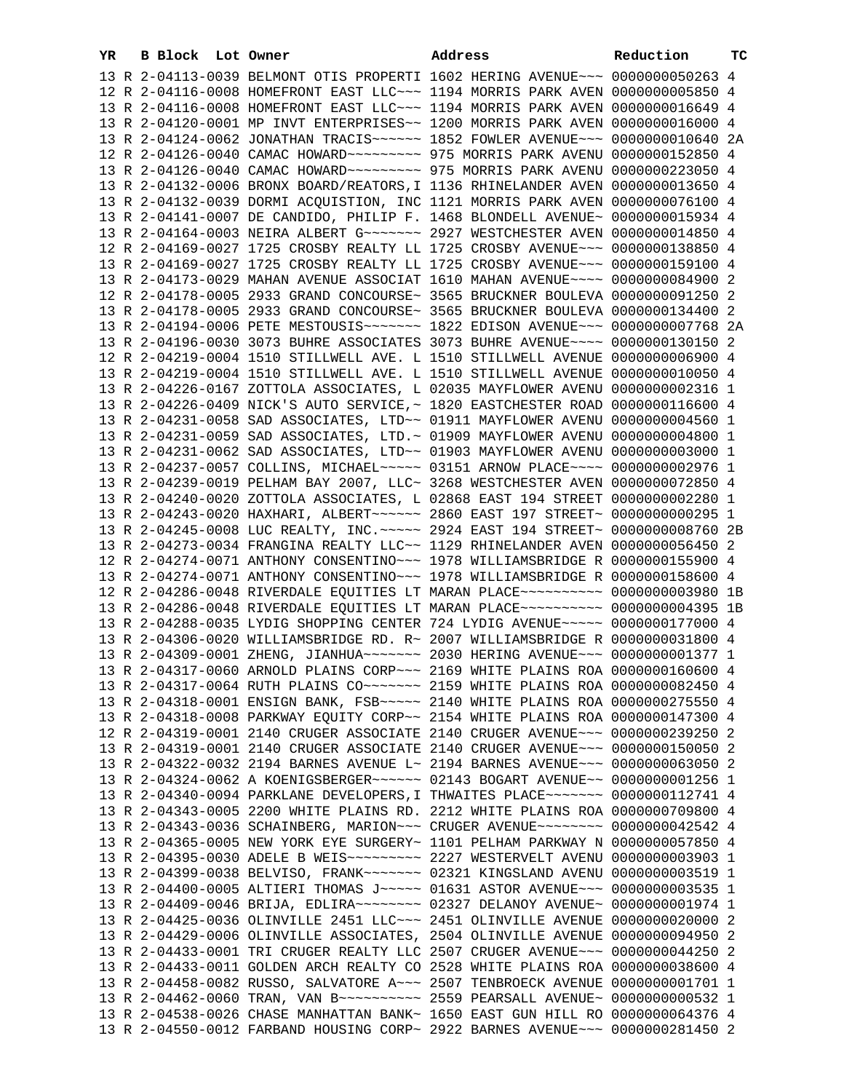| YR | B Block Lot Owner |  | Address                                                                          | Reduction | тc |
|----|-------------------|--|----------------------------------------------------------------------------------|-----------|----|
|    |                   |  | 13 R 2-04113-0039 BELMONT OTIS PROPERTI 1602 HERING AVENUE~~~ 0000000050263 4    |           |    |
|    |                   |  | 12 R 2-04116-0008 HOMEFRONT EAST LLC ~~~ 1194 MORRIS PARK AVEN 0000000005850 4   |           |    |
|    |                   |  | 13 R 2-04116-0008 HOMEFRONT EAST LLC ~~~ 1194 MORRIS PARK AVEN 0000000016649 4   |           |    |
|    |                   |  | 13 R 2-04120-0001 MP INVT ENTERPRISES~~ 1200 MORRIS PARK AVEN 0000000016000 4    |           |    |
|    |                   |  | 13 R 2-04124-0062 JONATHAN TRACIS ~~~~~~ 1852 FOWLER AVENUE ~~~ 0000000010640 2A |           |    |
|    |                   |  | 12 R 2-04126-0040 CAMAC HOWARD ~~~~~~~~~ 975 MORRIS PARK AVENU 0000000152850 4   |           |    |
|    |                   |  |                                                                                  |           |    |
|    |                   |  |                                                                                  |           |    |
|    |                   |  | 13 R 2-04132-0006 BRONX BOARD/REATORS, I 1136 RHINELANDER AVEN 0000000013650 4   |           |    |
|    |                   |  | 13 R 2-04132-0039 DORMI ACQUISTION, INC 1121 MORRIS PARK AVEN 0000000076100 4    |           |    |
|    |                   |  | 13 R 2-04141-0007 DE CANDIDO, PHILIP F. 1468 BLONDELL AVENUE~ 0000000015934 4    |           |    |
|    |                   |  | 13 R 2-04164-0003 NEIRA ALBERT G ~~~~~~~~ 2927 WESTCHESTER AVEN 0000000014850 4  |           |    |
|    |                   |  | 12 R 2-04169-0027 1725 CROSBY REALTY LL 1725 CROSBY AVENUE~~~ 0000000138850 4    |           |    |
|    |                   |  | 13 R 2-04169-0027 1725 CROSBY REALTY LL 1725 CROSBY AVENUE~~~ 0000000159100 4    |           |    |
|    |                   |  | 13 R 2-04173-0029 MAHAN AVENUE ASSOCIAT 1610 MAHAN AVENUE~~~~ 0000000084900 2    |           |    |
|    |                   |  | 12 R 2-04178-0005 2933 GRAND CONCOURSE~ 3565 BRUCKNER BOULEVA 0000000091250 2    |           |    |
|    |                   |  | 13 R 2-04178-0005 2933 GRAND CONCOURSE~ 3565 BRUCKNER BOULEVA 0000000134400 2    |           |    |
|    |                   |  | 13 R 2-04194-0006 PETE MESTOUSIS~~~~~~~ 1822 EDISON AVENUE~~~ 0000000007768 2A   |           |    |
|    |                   |  | 13 R 2-04196-0030 3073 BUHRE ASSOCIATES 3073 BUHRE AVENUE~~~~ 0000000130150 2    |           |    |
|    |                   |  | 12 R 2-04219-0004 1510 STILLWELL AVE. L 1510 STILLWELL AVENUE 0000000006900 4    |           |    |
|    |                   |  | 13 R 2-04219-0004 1510 STILLWELL AVE. L 1510 STILLWELL AVENUE 0000000010050 4    |           |    |
|    |                   |  | 13 R 2-04226-0167 ZOTTOLA ASSOCIATES, L 02035 MAYFLOWER AVENU 0000000002316 1    |           |    |
|    |                   |  | 13 R 2-04226-0409 NICK'S AUTO SERVICE, ~ 1820 EASTCHESTER ROAD 0000000116600 4   |           |    |
|    |                   |  | 13 R 2-04231-0058 SAD ASSOCIATES, LTD~~ 01911 MAYFLOWER AVENU 0000000004560 1    |           |    |
|    |                   |  | 13 R 2-04231-0059 SAD ASSOCIATES, LTD. ~ 01909 MAYFLOWER AVENU 0000000004800 1   |           |    |
|    |                   |  | 13 R 2-04231-0062 SAD ASSOCIATES, LTD~~ 01903 MAYFLOWER AVENU 0000000003000 1    |           |    |
|    |                   |  | 13 R 2-04237-0057 COLLINS, MICHAEL ---- 03151 ARNOW PLACE --- 0000000002976 1    |           |    |
|    |                   |  | 13 R 2-04239-0019 PELHAM BAY 2007, LLC~ 3268 WESTCHESTER AVEN 0000000072850 4    |           |    |
|    |                   |  | 13 R 2-04240-0020 ZOTTOLA ASSOCIATES, L 02868 EAST 194 STREET 0000000002280 1    |           |    |
|    |                   |  | 13 R 2-04243-0020 HAXHARI, ALBERT~~~~~~ 2860 EAST 197 STREET~ 0000000000295 1    |           |    |
|    |                   |  | 13 R 2-04245-0008 LUC REALTY, INC. ~~~~~ 2924 EAST 194 STREET~ 0000000008760 2B  |           |    |
|    |                   |  | 13 R 2-04273-0034 FRANGINA REALTY LLC~~ 1129 RHINELANDER AVEN 0000000056450 2    |           |    |
|    |                   |  |                                                                                  |           |    |
|    |                   |  | 12 R 2-04274-0071 ANTHONY CONSENTINO~~~ 1978 WILLIAMSBRIDGE R 0000000155900 4    |           |    |
|    |                   |  | 13 R 2-04274-0071 ANTHONY CONSENTINO~~~ 1978 WILLIAMSBRIDGE R 0000000158600 4    |           |    |
|    |                   |  | 12 R 2-04286-0048 RIVERDALE EQUITIES LT MARAN PLACE~~~~~~~~~~ 0000000003980 1B   |           |    |
|    |                   |  | 13 R 2-04286-0048 RIVERDALE EQUITIES LT MARAN PLACE~~~~~~~~~~ 0000000004395 1B   |           |    |
|    |                   |  | 13 R 2-04288-0035 LYDIG SHOPPING CENTER 724 LYDIG AVENUE~~~~~ 0000000177000 4    |           |    |
|    |                   |  | 13 R 2-04306-0020 WILLIAMSBRIDGE RD. R~ 2007 WILLIAMSBRIDGE R 0000000031800 4    |           |    |
|    |                   |  | 13 R 2-04309-0001 ZHENG, JIANHUA~~~~~~~ 2030 HERING AVENUE~~~ 0000000001377 1    |           |    |
|    |                   |  | 13 R 2-04317-0060 ARNOLD PLAINS CORP~~~ 2169 WHITE PLAINS ROA 0000000160600 4    |           |    |
|    |                   |  | 13 R 2-04317-0064 RUTH PLAINS CO~~~~~~~ 2159 WHITE PLAINS ROA 0000000082450 4    |           |    |
|    |                   |  | 13 R 2-04318-0001 ENSIGN BANK, FSB ~~~~~ 2140 WHITE PLAINS ROA 0000000275550 4   |           |    |
|    |                   |  | 13 R 2-04318-0008 PARKWAY EQUITY CORP~~ 2154 WHITE PLAINS ROA 0000000147300 4    |           |    |
|    |                   |  | 12 R 2-04319-0001 2140 CRUGER ASSOCIATE 2140 CRUGER AVENUE~~~ 0000000239250 2    |           |    |
|    |                   |  | 13 R 2-04319-0001 2140 CRUGER ASSOCIATE 2140 CRUGER AVENUE~~~ 0000000150050 2    |           |    |
|    |                   |  | 13 R 2-04322-0032 2194 BARNES AVENUE L~ 2194 BARNES AVENUE~~~ 0000000063050 2    |           |    |
|    |                   |  | 13 R 2-04324-0062 A KOENIGSBERGER~~~~~~ 02143 BOGART AVENUE~~ 00000000001256 1   |           |    |
|    |                   |  | 13 R 2-04340-0094 PARKLANE DEVELOPERS, I THWAITES PLACE~~~~~~~ 0000000112741 4   |           |    |
|    |                   |  | 13 R 2-04343-0005 2200 WHITE PLAINS RD. 2212 WHITE PLAINS ROA 0000000709800 4    |           |    |
|    |                   |  | 13 R 2-04343-0036 SCHAINBERG, MARION~~~ CRUGER AVENUE~~~~~~~~ 0000000042542 4    |           |    |
|    |                   |  | 13 R 2-04365-0005 NEW YORK EYE SURGERY~ 1101 PELHAM PARKWAY N 0000000057850 4    |           |    |
|    |                   |  | 13 R 2-04395-0030 ADELE B WEIS~~~~~~~~~ 2227 WESTERVELT AVENU 0000000003903 1    |           |    |
|    |                   |  | 13 R 2-04399-0038 BELVISO, FRANK~~~~~~~ 02321 KINGSLAND AVENU 0000000003519 1    |           |    |
|    |                   |  | 13 R 2-04400-0005 ALTIERI THOMAS J~~~~~ 01631 ASTOR AVENUE~~~ 0000000003535 1    |           |    |
|    |                   |  | 13 R 2-04409-0046 BRIJA, EDLIRA~~~~~~~~ 02327 DELANOY AVENUE~ 00000000001974 1   |           |    |
|    |                   |  | 13 R 2-04425-0036 OLINVILLE 2451 LLC~~~ 2451 OLINVILLE AVENUE 0000000020000 2    |           |    |
|    |                   |  | 13 R 2-04429-0006 OLINVILLE ASSOCIATES, 2504 OLINVILLE AVENUE 0000000094950 2    |           |    |
|    |                   |  | 13 R 2-04433-0001 TRI CRUGER REALTY LLC 2507 CRUGER AVENUE~~~ 0000000044250 2    |           |    |
|    |                   |  | 13 R 2-04433-0011 GOLDEN ARCH REALTY CO 2528 WHITE PLAINS ROA 0000000038600 4    |           |    |
|    |                   |  | 13 R 2-04458-0082 RUSSO, SALVATORE A~~~ 2507 TENBROECK AVENUE 0000000001701 1    |           |    |
|    |                   |  |                                                                                  |           |    |
|    |                   |  | 13 R 2-04462-0060 TRAN, VAN B --------- 2559 PEARSALL AVENUE ~ 0000000000532 1   |           |    |
|    |                   |  | 13 R 2-04538-0026 CHASE MANHATTAN BANK~ 1650 EAST GUN HILL RO 0000000064376 4    |           |    |
|    |                   |  | 13 R 2-04550-0012 FARBAND HOUSING CORP~ 2922 BARNES AVENUE~~~ 0000000281450 2    |           |    |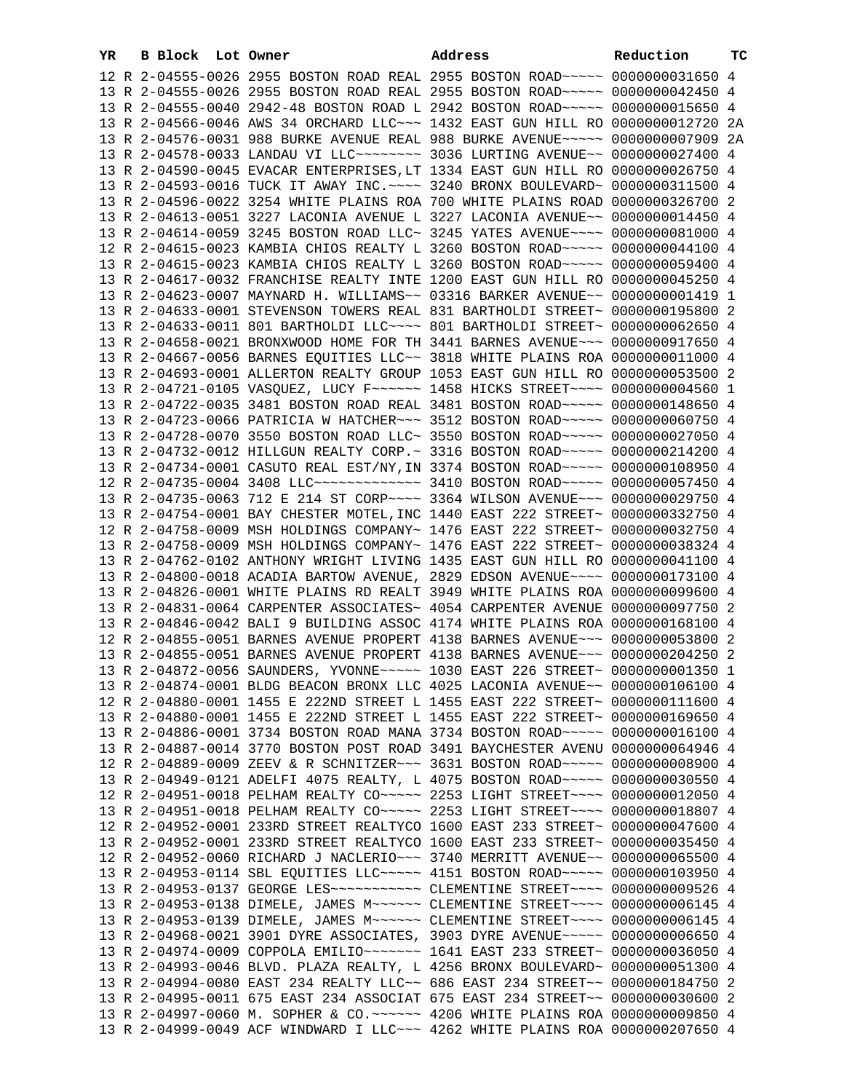| YR | B Block Lot Owner |  | Address                                                                          | Reduction | тc |
|----|-------------------|--|----------------------------------------------------------------------------------|-----------|----|
|    |                   |  | 12 R 2-04555-0026 2955 BOSTON ROAD REAL 2955 BOSTON ROAD~~~~~ 0000000031650 4    |           |    |
|    |                   |  | 13 R 2-04555-0026 2955 BOSTON ROAD REAL 2955 BOSTON ROAD~~~~~ 0000000042450 4    |           |    |
|    |                   |  | 13 R 2-04555-0040 2942-48 BOSTON ROAD L 2942 BOSTON ROAD ~~~~~ 0000000015650 4   |           |    |
|    |                   |  | 13 R 2-04566-0046 AWS 34 ORCHARD LLC~~~ 1432 EAST GUN HILL RO 0000000012720 2A   |           |    |
|    |                   |  | 13 R 2-04576-0031 988 BURKE AVENUE REAL 988 BURKE AVENUE~~~~~ 0000000007909 2A   |           |    |
|    |                   |  | 13 R 2-04578-0033 LANDAU VI LLC ------- 3036 LURTING AVENUE -- 0000000027400 4   |           |    |
|    |                   |  | 13 R 2-04590-0045 EVACAR ENTERPRISES, LT 1334 EAST GUN HILL RO 0000000026750 4   |           |    |
|    |                   |  | 13 R 2-04593-0016 TUCK IT AWAY INC. ~~~~ 3240 BRONX BOULEVARD~ 0000000311500 4   |           |    |
|    |                   |  | 13 R 2-04596-0022 3254 WHITE PLAINS ROA 700 WHITE PLAINS ROAD 0000000326700 2    |           |    |
|    |                   |  | 13 R 2-04613-0051 3227 LACONIA AVENUE L 3227 LACONIA AVENUE~~ 0000000014450 4    |           |    |
|    |                   |  | 13 R 2-04614-0059 3245 BOSTON ROAD LLC~ 3245 YATES AVENUE~~~~ 0000000081000 4    |           |    |
|    |                   |  | 12 R 2-04615-0023 KAMBIA CHIOS REALTY L 3260 BOSTON ROAD~~~~~ 0000000044100 4    |           |    |
|    |                   |  | 13 R 2-04615-0023 KAMBIA CHIOS REALTY L 3260 BOSTON ROAD~~~~~ 0000000059400 4    |           |    |
|    |                   |  | 13 R 2-04617-0032 FRANCHISE REALTY INTE 1200 EAST GUN HILL RO 0000000045250 4    |           |    |
|    |                   |  | 13 R 2-04623-0007 MAYNARD H. WILLIAMS~~ 03316 BARKER AVENUE~~ 00000000001419 1   |           |    |
|    |                   |  | 13 R 2-04633-0001 STEVENSON TOWERS REAL 831 BARTHOLDI STREET~ 0000000195800 2    |           |    |
|    |                   |  | 13 R 2-04633-0011 801 BARTHOLDI LLC~~~~ 801 BARTHOLDI STREET~ 0000000062650 4    |           |    |
|    |                   |  | 13 R 2-04658-0021 BRONXWOOD HOME FOR TH 3441 BARNES AVENUE~~~ 0000000917650 4    |           |    |
|    |                   |  | 13 R 2-04667-0056 BARNES EOUITIES LLC~~ 3818 WHITE PLAINS ROA 0000000011000 4    |           |    |
|    |                   |  | 13 R 2-04693-0001 ALLERTON REALTY GROUP 1053 EAST GUN HILL RO 0000000053500 2    |           |    |
|    |                   |  | 13 R 2-04721-0105 VASQUEZ, LUCY F~~~~~~ 1458 HICKS STREET~~~~ 0000000004560 1    |           |    |
|    |                   |  | 13 R 2-04722-0035 3481 BOSTON ROAD REAL 3481 BOSTON ROAD~~~~~ 0000000148650 4    |           |    |
|    |                   |  | 13 R 2-04723-0066 PATRICIA W HATCHER~~~ 3512 BOSTON ROAD~~~~~ 0000000060750 4    |           |    |
|    |                   |  | 13 R 2-04728-0070 3550 BOSTON ROAD LLC~ 3550 BOSTON ROAD~~~~~ 0000000027050 4    |           |    |
|    |                   |  | 13 R 2-04732-0012 HILLGUN REALTY CORP.~ 3316 BOSTON ROAD~~~~~ 0000000214200 4    |           |    |
|    |                   |  | 13 R 2-04734-0001 CASUTO REAL EST/NY, IN 3374 BOSTON ROAD~~~~~ 0000000108950 4   |           |    |
|    |                   |  | 12 R 2-04735-0004 3408 LLC ------------- 3410 BOSTON ROAD ---- 0000000057450 4   |           |    |
|    |                   |  | 13 R 2-04735-0063 712 E 214 ST CORP~~~~ 3364 WILSON AVENUE~~~ 0000000029750 4    |           |    |
|    |                   |  | 13 R 2-04754-0001 BAY CHESTER MOTEL, INC 1440 EAST 222 STREET~ 0000000332750 4   |           |    |
|    |                   |  | 12 R 2-04758-0009 MSH HOLDINGS COMPANY~ 1476 EAST 222 STREET~ 0000000032750 4    |           |    |
|    |                   |  | 13 R 2-04758-0009 MSH HOLDINGS COMPANY~ 1476 EAST 222 STREET~ 0000000038324 4    |           |    |
|    |                   |  | 13 R 2-04762-0102 ANTHONY WRIGHT LIVING 1435 EAST GUN HILL RO 0000000041100 4    |           |    |
|    |                   |  | 13 R 2-04800-0018 ACADIA BARTOW AVENUE, 2829 EDSON AVENUE~~~~ 0000000173100 4    |           |    |
|    |                   |  | 13 R 2-04826-0001 WHITE PLAINS RD REALT 3949 WHITE PLAINS ROA 0000000099600 4    |           |    |
|    |                   |  | 13 R 2-04831-0064 CARPENTER ASSOCIATES~ 4054 CARPENTER AVENUE 0000000097750 2    |           |    |
|    |                   |  | 13 R 2-04846-0042 BALI 9 BUILDING ASSOC 4174 WHITE PLAINS ROA 0000000168100 4    |           |    |
|    |                   |  | 12 R 2-04855-0051 BARNES AVENUE PROPERT 4138 BARNES AVENUE~~~ 0000000053800 2    |           |    |
|    |                   |  | 13 R 2-04855-0051 BARNES AVENUE PROPERT 4138 BARNES AVENUE~~~ 0000000204250 2    |           |    |
|    |                   |  | 13 R 2-04872-0056 SAUNDERS, YVONNE~~~~~ 1030 EAST 226 STREET~ 00000000001350 1   |           |    |
|    |                   |  | 13 R 2-04874-0001 BLDG BEACON BRONX LLC 4025 LACONIA AVENUE~~ 0000000106100 4    |           |    |
|    |                   |  | 12 R 2-04880-0001 1455 E 222ND STREET L 1455 EAST 222 STREET~ 0000000111600 4    |           |    |
|    |                   |  | 13 R 2-04880-0001 1455 E 222ND STREET L 1455 EAST 222 STREET~ 0000000169650 4    |           |    |
|    |                   |  | 13 R 2-04886-0001 3734 BOSTON ROAD MANA 3734 BOSTON ROAD~~~~~ 0000000016100 4    |           |    |
|    |                   |  | 13 R 2-04887-0014 3770 BOSTON POST ROAD 3491 BAYCHESTER AVENU 0000000064946 4    |           |    |
|    |                   |  | 12 R 2-04889-0009 ZEEV & R SCHNITZER~~~ 3631 BOSTON ROAD~~~~~ 0000000008900 4    |           |    |
|    |                   |  | 13 R 2-04949-0121 ADELFI 4075 REALTY, L 4075 BOSTON ROAD~~~~~ 0000000030550 4    |           |    |
|    |                   |  | 12 R 2-04951-0018 PELHAM REALTY CO~~~~~ 2253 LIGHT STREET~~~~ 0000000012050 4    |           |    |
|    |                   |  | 13 R 2-04951-0018 PELHAM REALTY CO~~~~~ 2253 LIGHT STREET~~~~ 0000000018807 4    |           |    |
|    |                   |  | 12 R 2-04952-0001 233RD STREET REALTYCO 1600 EAST 233 STREET~ 0000000047600 4    |           |    |
|    |                   |  | 13 R 2-04952-0001 233RD STREET REALTYCO 1600 EAST 233 STREET~ 0000000035450 4    |           |    |
|    |                   |  | 12 R 2-04952-0060 RICHARD J NACLERIO ~~~ 3740 MERRITT AVENUE ~~ 0000000065500 4  |           |    |
|    |                   |  | 13 R 2-04953-0114 SBL EQUITIES LLC ---- 4151 BOSTON ROAD ---- 0000000103950 4    |           |    |
|    |                   |  | 13 R 2-04953-0137 GEORGE LES ----------- CLEMENTINE STREET ---- 0000000009526 4  |           |    |
|    |                   |  | 13 R 2-04953-0138 DIMELE, JAMES M ~~~~~~ CLEMENTINE STREET ~~~~ 00000000006145 4 |           |    |
|    |                   |  | 13 R 2-04953-0139 DIMELE, JAMES M~~~~~~ CLEMENTINE STREET~~~~ 00000000006145 4   |           |    |
|    |                   |  | 13 R 2-04968-0021 3901 DYRE ASSOCIATES, 3903 DYRE AVENUE~~~~~ 0000000006650 4    |           |    |
|    |                   |  | 13 R 2-04974-0009 COPPOLA EMILIO~~~~~~~ 1641 EAST 233 STREET~ 0000000036050 4    |           |    |
|    |                   |  | 13 R 2-04993-0046 BLVD. PLAZA REALTY, L 4256 BRONX BOULEVARD~ 0000000051300 4    |           |    |
|    |                   |  | 13 R 2-04994-0080 EAST 234 REALTY LLC~~ 686 EAST 234 STREET~~ 0000000184750 2    |           |    |
|    |                   |  | 13 R 2-04995-0011 675 EAST 234 ASSOCIAT 675 EAST 234 STREET~~ 00000000030600 2   |           |    |
|    |                   |  | 13 R 2-04997-0060 M. SOPHER & CO.~~~~~~ 4206 WHITE PLAINS ROA 0000000009850 4    |           |    |
|    |                   |  | 13 R 2-04999-0049 ACF WINDWARD I LLC~~~ 4262 WHITE PLAINS ROA 0000000207650 4    |           |    |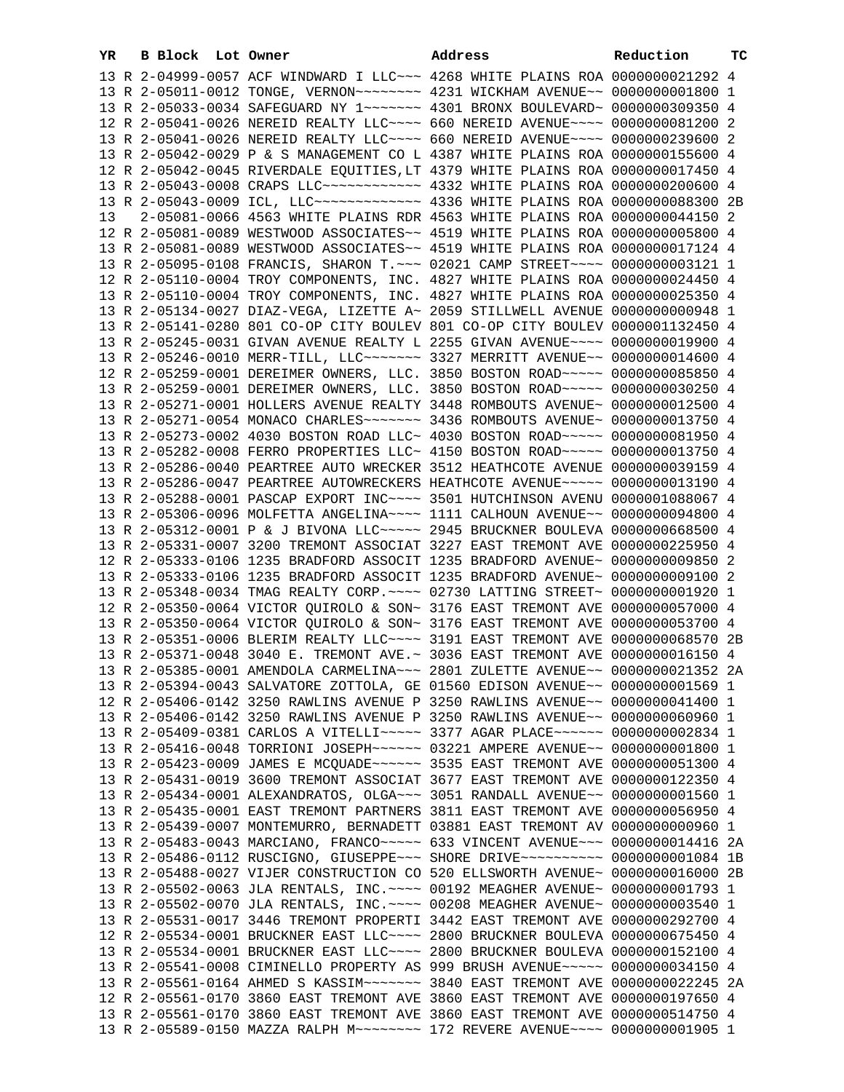| YR | B Block Lot Owner |  | Address                                                                                                                                                        | Reduction | тc |
|----|-------------------|--|----------------------------------------------------------------------------------------------------------------------------------------------------------------|-----------|----|
|    |                   |  | 13 R 2-04999-0057 ACF WINDWARD I LLC~~~ 4268 WHITE PLAINS ROA 0000000021292 4                                                                                  |           |    |
|    |                   |  | 13 R 2-05011-0012 TONGE, VERNON~~~~~~~~ 4231 WICKHAM AVENUE~~ 00000000001800 1                                                                                 |           |    |
|    |                   |  | 13 R 2-05033-0034 SAFEGUARD NY 1~~~~~~~ 4301 BRONX BOULEVARD~ 0000000309350 4                                                                                  |           |    |
|    |                   |  | 12 R 2-05041-0026 NEREID REALTY LLC --- 660 NEREID AVENUE --- 0000000081200 2                                                                                  |           |    |
|    |                   |  | 13 R 2-05041-0026 NEREID REALTY LLC --- 660 NEREID AVENUE --- 0000000239600 2                                                                                  |           |    |
|    |                   |  | 13 R 2-05042-0029 P & S MANAGEMENT CO L 4387 WHITE PLAINS ROA 0000000155600 4                                                                                  |           |    |
|    |                   |  | 12 R 2-05042-0045 RIVERDALE EQUITIES, LT 4379 WHITE PLAINS ROA 0000000017450 4                                                                                 |           |    |
|    |                   |  | 13 R 2-05043-0008 CRAPS LLC ----------- 4332 WHITE PLAINS ROA 0000000200600 4                                                                                  |           |    |
|    |                   |  | 13 R 2-05043-0009 ICL, LLC ------------- 4336 WHITE PLAINS ROA 0000000088300 2B                                                                                |           |    |
| 13 |                   |  | 2-05081-0066 4563 WHITE PLAINS RDR 4563 WHITE PLAINS ROA 0000000044150 2                                                                                       |           |    |
|    |                   |  | 12 R 2-05081-0089 WESTWOOD ASSOCIATES~~ 4519 WHITE PLAINS ROA 0000000005800 4                                                                                  |           |    |
|    |                   |  | 13 R 2-05081-0089 WESTWOOD ASSOCIATES~~ 4519 WHITE PLAINS ROA 0000000017124 4                                                                                  |           |    |
|    |                   |  | 13 R 2-05095-0108 FRANCIS, SHARON T.~~~ 02021 CAMP STREET~~~~ 0000000003121 1                                                                                  |           |    |
|    |                   |  | 12 R 2-05110-0004 TROY COMPONENTS, INC. 4827 WHITE PLAINS ROA 0000000024450 4                                                                                  |           |    |
|    |                   |  | 13 R 2-05110-0004 TROY COMPONENTS, INC. 4827 WHITE PLAINS ROA 0000000025350 4                                                                                  |           |    |
|    |                   |  | 13 R 2-05134-0027 DIAZ-VEGA, LIZETTE A~ 2059 STILLWELL AVENUE 0000000000948 1                                                                                  |           |    |
|    |                   |  | 13 R 2-05141-0280 801 CO-OP CITY BOULEV 801 CO-OP CITY BOULEV 0000001132450 4                                                                                  |           |    |
|    |                   |  | 13 R 2-05245-0031 GIVAN AVENUE REALTY L 2255 GIVAN AVENUE~~~~ 0000000019900 4                                                                                  |           |    |
|    |                   |  | 13 R 2-05246-0010 MERR-TILL, LLC ------ 3327 MERRITT AVENUE -~ 0000000014600 4                                                                                 |           |    |
|    |                   |  | 12 R 2-05259-0001 DEREIMER OWNERS, LLC. 3850 BOSTON ROAD~~~~~ 0000000085850 4                                                                                  |           |    |
|    |                   |  | 13 R 2-05259-0001 DEREIMER OWNERS, LLC. 3850 BOSTON ROAD~~~~~ 0000000030250 4                                                                                  |           |    |
|    |                   |  | 13 R 2-05271-0001 HOLLERS AVENUE REALTY 3448 ROMBOUTS AVENUE~ 0000000012500 4                                                                                  |           |    |
|    |                   |  | 13 R 2-05271-0054 MONACO CHARLES~~~~~~~ 3436 ROMBOUTS AVENUE~ 0000000013750 4                                                                                  |           |    |
|    |                   |  | 13 R 2-05273-0002 4030 BOSTON ROAD LLC~ 4030 BOSTON ROAD~~~~~ 0000000081950 4                                                                                  |           |    |
|    |                   |  | 13 R 2-05282-0008 FERRO PROPERTIES LLC~ 4150 BOSTON ROAD~~~~~ 0000000013750 4                                                                                  |           |    |
|    |                   |  | 13 R 2-05286-0040 PEARTREE AUTO WRECKER 3512 HEATHCOTE AVENUE 0000000039159 4                                                                                  |           |    |
|    |                   |  | 13 R 2-05286-0047 PEARTREE AUTOWRECKERS HEATHCOTE AVENUE~~~~~ 0000000013190 4                                                                                  |           |    |
|    |                   |  | 13 R 2-05288-0001 PASCAP EXPORT INC~~~~ 3501 HUTCHINSON AVENU 0000001088067 4                                                                                  |           |    |
|    |                   |  | 13 R 2-05306-0096 MOLFETTA ANGELINA~~~~ 1111 CALHOUN AVENUE~~ 0000000094800 4                                                                                  |           |    |
|    |                   |  | 13 R 2-05312-0001 P & J BIVONA LLC ~~~~~ 2945 BRUCKNER BOULEVA 0000000668500 4                                                                                 |           |    |
|    |                   |  | 13 R 2-05331-0007 3200 TREMONT ASSOCIAT 3227 EAST TREMONT AVE 0000000225950 4                                                                                  |           |    |
|    |                   |  | 12 R 2-05333-0106 1235 BRADFORD ASSOCIT 1235 BRADFORD AVENUE~ 0000000009850 2                                                                                  |           |    |
|    |                   |  | 13 R 2-05333-0106 1235 BRADFORD ASSOCIT 1235 BRADFORD AVENUE~ 0000000009100 2                                                                                  |           |    |
|    |                   |  | 13 R 2-05348-0034 TMAG REALTY CORP. ~~~~ 02730 LATTING STREET~ 00000000001920 1                                                                                |           |    |
|    |                   |  | 12 R 2-05350-0064 VICTOR QUIROLO & SON~ 3176 EAST TREMONT AVE 0000000057000 4                                                                                  |           |    |
|    |                   |  | 13 R 2-05350-0064 VICTOR QUIROLO & SON~ 3176 EAST TREMONT AVE 0000000053700 4                                                                                  |           |    |
|    |                   |  | 13 R 2-05351-0006 BLERIM REALTY LLC ~~~~ 3191 EAST TREMONT AVE 0000000068570 2B                                                                                |           |    |
|    |                   |  | 13 R 2-05371-0048 3040 E. TREMONT AVE. ~ 3036 EAST TREMONT AVE 0000000016150 4                                                                                 |           |    |
|    |                   |  | 13 R 2-05385-0001 AMENDOLA CARMELINA~~~ 2801 ZULETTE AVENUE~~ 0000000021352 2A                                                                                 |           |    |
|    |                   |  | 13 R 2-05394-0043 SALVATORE ZOTTOLA, GE 01560 EDISON AVENUE~~ 0000000001569 1                                                                                  |           |    |
|    |                   |  | 12 R 2-05406-0142 3250 RAWLINS AVENUE P 3250 RAWLINS AVENUE~~ 0000000041400 1                                                                                  |           |    |
|    |                   |  | 13 R 2-05406-0142 3250 RAWLINS AVENUE P 3250 RAWLINS AVENUE~~ 0000000060960 1<br>13 R 2-05409-0381 CARLOS A VITELLI~~~~~ 3377 AGAR PLACE~~~~~~ 0000000002834 1 |           |    |
|    |                   |  | 13 R 2-05416-0048 TORRIONI JOSEPH~~~~~~ 03221 AMPERE AVENUE~~ 00000000001800 1                                                                                 |           |    |
|    |                   |  | 13 R 2-05423-0009 JAMES E MCQUADE~~~~~~ 3535 EAST TREMONT AVE 0000000051300 4                                                                                  |           |    |
|    |                   |  | 13 R 2-05431-0019 3600 TREMONT ASSOCIAT 3677 EAST TREMONT AVE 0000000122350 4                                                                                  |           |    |
|    |                   |  | 13 R 2-05434-0001 ALEXANDRATOS, OLGA~~~ 3051 RANDALL AVENUE~~ 0000000001560 1                                                                                  |           |    |
|    |                   |  | 13 R 2-05435-0001 EAST TREMONT PARTNERS 3811 EAST TREMONT AVE 0000000056950 4                                                                                  |           |    |
|    |                   |  | 13 R 2-05439-0007 MONTEMURRO, BERNADETT 03881 EAST TREMONT AV 0000000000960 1                                                                                  |           |    |
|    |                   |  | 13 R 2-05483-0043 MARCIANO, FRANCO~~~~~ 633 VINCENT AVENUE~~~ 0000000014416 2A                                                                                 |           |    |
|    |                   |  | 13 R 2-05486-0112 RUSCIGNO, GIUSEPPE~~~ SHORE DRIVE~~~~~~~~~~ 0000000001084 1B                                                                                 |           |    |
|    |                   |  | 13 R 2-05488-0027 VIJER CONSTRUCTION CO 520 ELLSWORTH AVENUE~ 0000000016000 2B                                                                                 |           |    |
|    |                   |  | 13 R 2-05502-0063 JLA RENTALS, INC. ~~~~ 00192 MEAGHER AVENUE~ 0000000001793 1                                                                                 |           |    |
|    |                   |  | 13 R 2-05502-0070 JLA RENTALS, INC. ~~~~ 00208 MEAGHER AVENUE~ 0000000003540 1                                                                                 |           |    |
|    |                   |  | 13 R 2-05531-0017 3446 TREMONT PROPERTI 3442 EAST TREMONT AVE 0000000292700 4                                                                                  |           |    |
|    |                   |  | 12 R 2-05534-0001 BRUCKNER EAST LLC ~~~~ 2800 BRUCKNER BOULEVA 0000000675450 4                                                                                 |           |    |
|    |                   |  | 13 R 2-05534-0001 BRUCKNER EAST LLC~~~~ 2800 BRUCKNER BOULEVA 0000000152100 4                                                                                  |           |    |
|    |                   |  | 13 R 2-05541-0008 CIMINELLO PROPERTY AS 999 BRUSH AVENUE~~~~~ 0000000034150 4                                                                                  |           |    |
|    |                   |  | 13 R 2-05561-0164 AHMED S KASSIM~~~~~~~ 3840 EAST TREMONT AVE 0000000022245 2A                                                                                 |           |    |
|    |                   |  | 12 R 2-05561-0170 3860 EAST TREMONT AVE 3860 EAST TREMONT AVE 0000000197650 4                                                                                  |           |    |
|    |                   |  | 13 R 2-05561-0170 3860 EAST TREMONT AVE 3860 EAST TREMONT AVE 0000000514750 4                                                                                  |           |    |
|    |                   |  | 13 R 2-05589-0150 MAZZA RALPH M~~~~~~~~ 172 REVERE AVENUE~~~~ 0000000001905 1                                                                                  |           |    |
|    |                   |  |                                                                                                                                                                |           |    |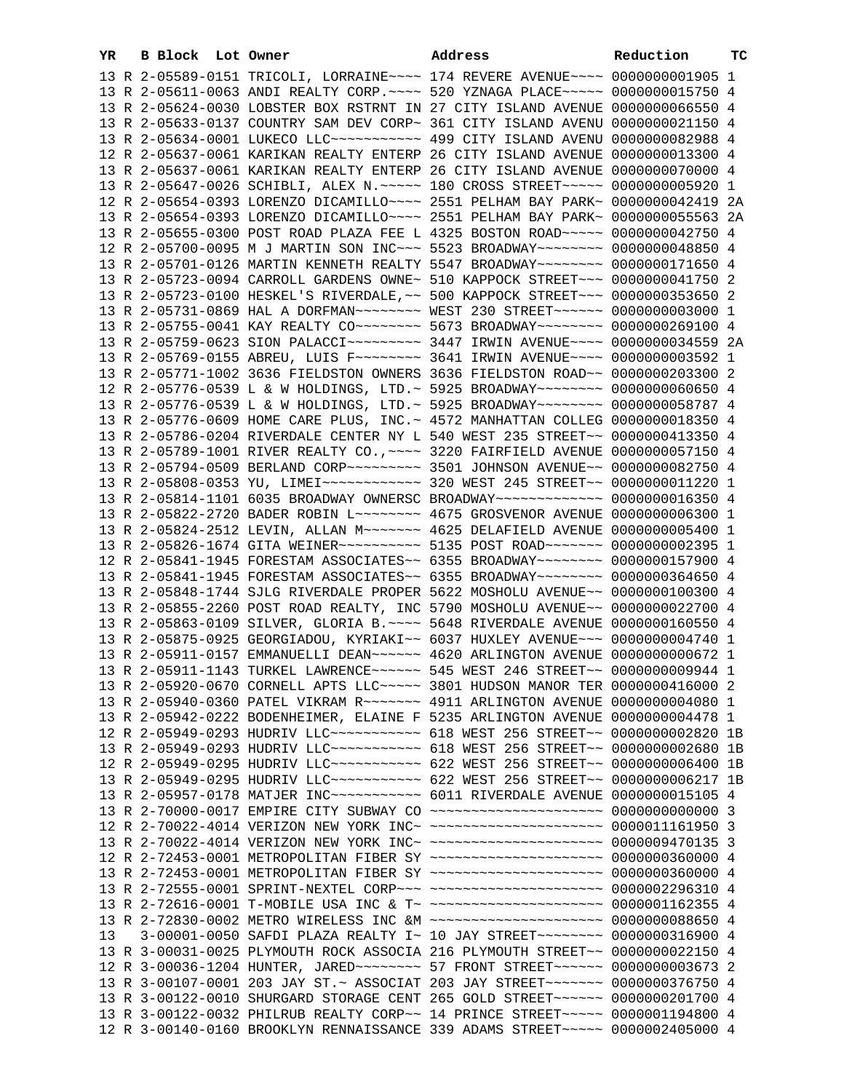| YR | B Block Lot Owner |                                                                                                                                                                 | Address | Reduction | тc |
|----|-------------------|-----------------------------------------------------------------------------------------------------------------------------------------------------------------|---------|-----------|----|
|    |                   | 13 R 2-05589-0151 TRICOLI, LORRAINE~~~~ 174 REVERE AVENUE~~~~ 00000000001905 1                                                                                  |         |           |    |
|    |                   | 13 R 2-05611-0063 ANDI REALTY CORP. ~~~~ 520 YZNAGA PLACE~~~~~ 0000000015750 4                                                                                  |         |           |    |
|    |                   | 13 R 2-05624-0030 LOBSTER BOX RSTRNT IN 27 CITY ISLAND AVENUE 0000000066550 4                                                                                   |         |           |    |
|    |                   | 13 R 2-05633-0137 COUNTRY SAM DEV CORP~ 361 CITY ISLAND AVENU 0000000021150 4                                                                                   |         |           |    |
|    |                   | 13 R 2-05634-0001 LUKECO LLC ---------- 499 CITY ISLAND AVENU 0000000082988 4                                                                                   |         |           |    |
|    |                   | 12 R 2-05637-0061 KARIKAN REALTY ENTERP 26 CITY ISLAND AVENUE 0000000013300 4                                                                                   |         |           |    |
|    |                   | 13 R 2-05637-0061 KARIKAN REALTY ENTERP 26 CITY ISLAND AVENUE 0000000070000 4                                                                                   |         |           |    |
|    |                   | 13 R 2-05647-0026 SCHIBLI, ALEX N. ~~~~~ 180 CROSS STREET~~~~~ 0000000005920 1                                                                                  |         |           |    |
|    |                   | 12 R 2-05654-0393 LORENZO DICAMILLO~~~~ 2551 PELHAM BAY PARK~ 0000000042419 2A                                                                                  |         |           |    |
|    |                   | 13 R 2-05654-0393 LORENZO DICAMILLO~~~~ 2551 PELHAM BAY PARK~ 0000000055563 2A                                                                                  |         |           |    |
|    |                   | 13 R 2-05655-0300 POST ROAD PLAZA FEE L 4325 BOSTON ROAD~~~~~ 0000000042750 4                                                                                   |         |           |    |
|    |                   | 12 R 2-05700-0095 M J MARTIN SON INC~~~ 5523 BROADWAY~~~~~~~~ 0000000048850 4                                                                                   |         |           |    |
|    |                   | 13 R 2-05701-0126 MARTIN KENNETH REALTY 5547 BROADWAY~~~~~~~~ 0000000171650 4                                                                                   |         |           |    |
|    |                   | 13 R 2-05723-0094 CARROLL GARDENS OWNE~ 510 KAPPOCK STREET~~~ 0000000041750 2                                                                                   |         |           |    |
|    |                   | 13 R 2-05723-0100 HESKEL'S RIVERDALE, ~~ 500 KAPPOCK STREET~~~ 0000000353650 2                                                                                  |         |           |    |
|    |                   | 13 R 2-05731-0869 HAL A DORFMAN~~~~~~~~ WEST 230 STREET~~~~~~ 0000000003000 1                                                                                   |         |           |    |
|    |                   | 13 R 2-05755-0041 KAY REALTY CO -------- 5673 BROADWAY ------ 0000000269100 4                                                                                   |         |           |    |
|    |                   | 13 R 2-05759-0623 SION PALACCI~~~~~~~~~~~~~~~~~~~~ RWIN AVENUE~~~~~ 0000000034559 2A                                                                            |         |           |    |
|    |                   | 13 R 2-05769-0155 ABREU, LUIS F~~~~~~~~ 3641 IRWIN AVENUE~~~~ 0000000003592 1                                                                                   |         |           |    |
|    |                   | 13 R 2-05771-1002 3636 FIELDSTON OWNERS 3636 FIELDSTON ROAD~~ 0000000203300 2                                                                                   |         |           |    |
|    |                   | 12 R 2-05776-0539 L & W HOLDINGS, LTD. ~ 5925 BROADWAY ~~~~~~~~ 0000000060650 4                                                                                 |         |           |    |
|    |                   | 13 R 2-05776-0539 L & W HOLDINGS, LTD. ~ 5925 BROADWAY ~~~~~~~~ 0000000058787 4                                                                                 |         |           |    |
|    |                   | 13 R 2-05776-0609 HOME CARE PLUS, INC. ~ 4572 MANHATTAN COLLEG 0000000018350 4                                                                                  |         |           |    |
|    |                   | 13 R 2-05786-0204 RIVERDALE CENTER NY L 540 WEST 235 STREET~~ 0000000413350 4                                                                                   |         |           |    |
|    |                   | 13 R 2-05789-1001 RIVER REALTY CO., ~~~~ 3220 FAIRFIELD AVENUE 0000000057150 4                                                                                  |         |           |    |
|    |                   | 13 R 2-05794-0509 BERLAND CORP~~~~~~~~~ 3501 JOHNSON AVENUE~~ 0000000082750 4                                                                                   |         |           |    |
|    |                   | 13 R 2-05808-0353 YU, LIMEI~~~~~~~~~~~~~~~~ 320 WEST 245 STREET~~ 00000000011220 1                                                                              |         |           |    |
|    |                   | 13 R 2-05814-1101 6035 BROADWAY OWNERSC BROADWAY~~~~~~~~~~~~~ 0000000016350 4                                                                                   |         |           |    |
|    |                   | 13 R 2-05822-2720 BADER ROBIN L~~~~~~~~ 4675 GROSVENOR AVENUE 0000000006300 1                                                                                   |         |           |    |
|    |                   | 13 R 2-05824-2512 LEVIN, ALLAN M --- - - 4625 DELAFIELD AVENUE 0000000005400 1                                                                                  |         |           |    |
|    |                   | 13 R 2-05826-1674 GITA WEINER ~~~~~~~~~~ 5135 POST ROAD ~~~~~~~ 0000000002395 1                                                                                 |         |           |    |
|    |                   | 12 R 2-05841-1945 FORESTAM ASSOCIATES~~ 6355 BROADWAY~~~~~~~~ 0000000157900 4                                                                                   |         |           |    |
|    |                   | 13 R 2-05841-1945 FORESTAM ASSOCIATES~~ 6355 BROADWAY~~~~~~~~ 0000000364650 4                                                                                   |         |           |    |
|    |                   | 13 R 2-05848-1744 SJLG RIVERDALE PROPER 5622 MOSHOLU AVENUE~~ 0000000100300 4                                                                                   |         |           |    |
|    |                   |                                                                                                                                                                 |         |           |    |
|    |                   | 13 R 2-05855-2260 POST ROAD REALTY, INC 5790 MOSHOLU AVENUE~~ 0000000022700 4                                                                                   |         |           |    |
|    |                   | 13 R 2-05863-0109 SILVER, GLORIA B. ~~~~ 5648 RIVERDALE AVENUE 0000000160550 4<br>13 R 2-05875-0925 GEORGIADOU, KYRIAKI~~ 6037 HUXLEY AVENUE~~~ 0000000004740 1 |         |           |    |
|    |                   | 13 R 2-05911-0157 EMMANUELLI DEAN~~~~~~ 4620 ARLINGTON AVENUE 0000000000672 1                                                                                   |         |           |    |
|    |                   | 13 R 2-05911-1143 TURKEL LAWRENCE~~~~~~ 545 WEST 246 STREET~~ 0000000009944 1                                                                                   |         |           |    |
|    |                   | 13 R 2-05920-0670 CORNELL APTS LLC ---- 3801 HUDSON MANOR TER 0000000416000 2                                                                                   |         |           |    |
|    |                   | 13 R 2-05940-0360 PATEL VIKRAM R --- - - 4911 ARLINGTON AVENUE 0000000004080 1                                                                                  |         |           |    |
|    |                   | 13 R 2-05942-0222 BODENHEIMER, ELAINE F 5235 ARLINGTON AVENUE 0000000004478 1                                                                                   |         |           |    |
|    |                   | 12 R 2-05949-0293 HUDRIV LLC ----------- 618 WEST 256 STREET -- 0000000002820 1B                                                                                |         |           |    |
|    |                   | 13 R 2-05949-0293 HUDRIV LLC ----------- 618 WEST 256 STREET -- 0000000002680 1B                                                                                |         |           |    |
|    |                   | 12 R 2-05949-0295 HUDRIV LLC ----------- 622 WEST 256 STREET -- 0000000006400 1B                                                                                |         |           |    |
|    |                   | 13 R 2-05949-0295 HUDRIV LLC ----------- 622 WEST 256 STREET -- 0000000006217 1B                                                                                |         |           |    |
|    |                   | 13 R 2-05957-0178 MATJER INC~~~~~~~~~~~~ 6011 RIVERDALE AVENUE 0000000015105 4                                                                                  |         |           |    |
|    |                   | 13 R 2-70000-0017 EMPIRE CITY SUBWAY CO ~~~~~~~~~~~~~~~~~~~~ 0000000000000 3                                                                                    |         |           |    |
|    |                   | 12 R 2-70022-4014 VERIZON NEW YORK INC~ ~~~~~~~~~~~~~~~~~~~~~ 0000011161950 3                                                                                   |         |           |    |
|    |                   | 13 R 2-70022-4014 VERIZON NEW YORK INC~ ~~~~~~~~~~~~~~~~~~~~~ 0000009470135 3                                                                                   |         |           |    |
|    |                   | 12 R 2-72453-0001 METROPOLITAN FIBER SY ~~~~~~~~~~~~~~~~~~~~~ 0000000360000 4                                                                                   |         |           |    |
|    |                   | 13 R 2-72453-0001 METROPOLITAN FIBER SY ~~~~~~~~~~~~~~~~~~~~~ 0000000360000 4                                                                                   |         |           |    |
|    |                   | 13 R 2-72555-0001 SPRINT-NEXTEL CORP~~~ ~~~~~~~~~~~~~~~~~~~~ 0000002296310 4                                                                                    |         |           |    |
|    |                   | 13 R 2-72616-0001 T-MOBILE USA INC & T~ ~~~~~~~~~~~~~~~~~~~~~ 0000001162355 4                                                                                   |         |           |    |
|    |                   | 13 R 2-72830-0002 METRO WIRELESS INC &M ~~~~~~~~~~~~~~~~~~~~~ 0000000088650 4                                                                                   |         |           |    |
| 13 |                   | 3-00001-0050 SAFDI PLAZA REALTY I~ 10 JAY STREET~~~~~~~~ 0000000316900 4                                                                                        |         |           |    |
|    |                   | 13 R 3-00031-0025 PLYMOUTH ROCK ASSOCIA 216 PLYMOUTH STREET~~ 0000000022150 4                                                                                   |         |           |    |
|    |                   | 12 R 3-00036-1204 HUNTER, JARED ~~~~~~~~~~~~~~~ 57 FRONT STREET ~~~~~~~~ 00000000003673 2                                                                       |         |           |    |
|    |                   | 13 R 3-00107-0001 203 JAY ST.~ ASSOCIAT 203 JAY STREET~~~~~~~~ 0000000376750 4                                                                                  |         |           |    |
|    |                   | 13 R 3-00122-0010 SHURGARD STORAGE CENT 265 GOLD STREET~~~~~~ 0000000201700 4                                                                                   |         |           |    |
|    |                   | 13 R 3-00122-0032 PHILRUB REALTY CORP~~ 14 PRINCE STREET~~~~~~ 0000001194800 4                                                                                  |         |           |    |
|    |                   | 12 R 3-00140-0160 BROOKLYN RENNAISSANCE 339 ADAMS STREET~~~~~ 0000002405000 4                                                                                   |         |           |    |
|    |                   |                                                                                                                                                                 |         |           |    |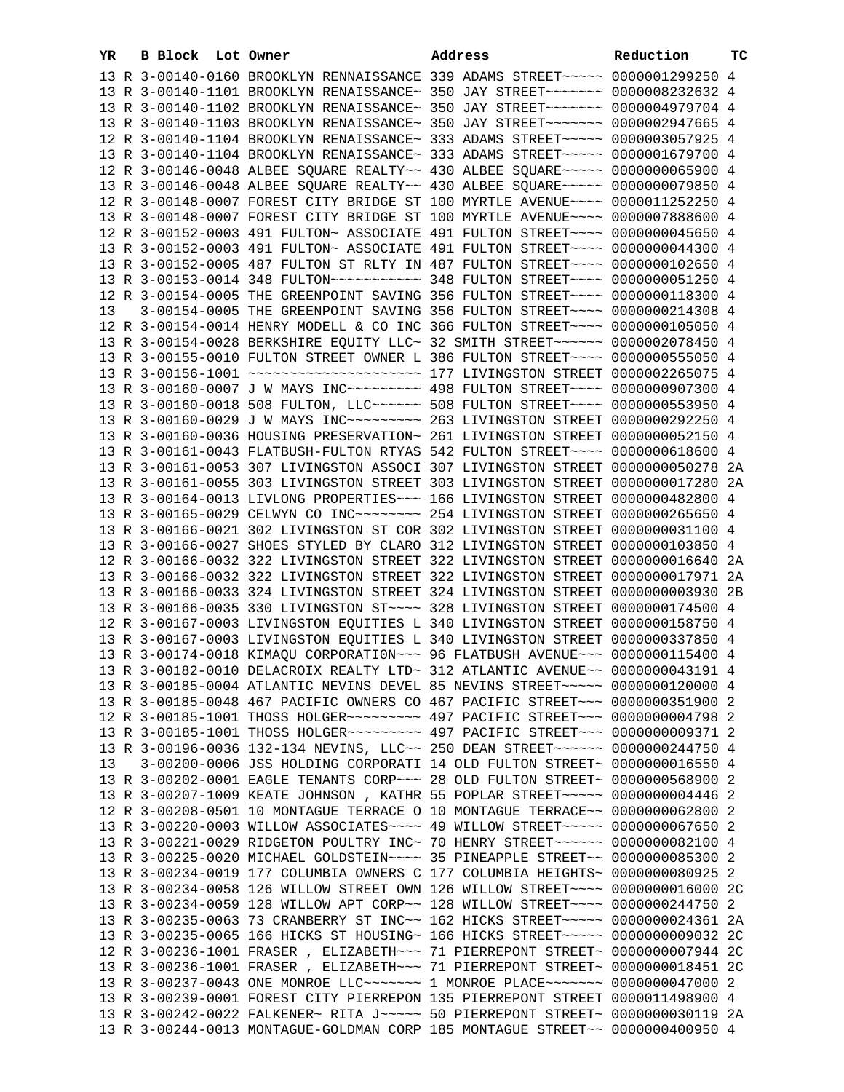| YR. | B Block Lot Owner |                                                                                                                                                           | Address | Reduction | ТC |
|-----|-------------------|-----------------------------------------------------------------------------------------------------------------------------------------------------------|---------|-----------|----|
|     |                   | 13 R 3-00140-0160 BROOKLYN RENNAISSANCE 339 ADAMS STREET~~~~~ 0000001299250 4                                                                             |         |           |    |
|     |                   | 13 R 3-00140-1101 BROOKLYN RENAISSANCE~ 350 JAY STREET~~~~~~~~ 0000008232632 4                                                                            |         |           |    |
|     |                   | 13 R 3-00140-1102 BROOKLYN RENAISSANCE~ 350 JAY STREET~~~~~~~ 0000004979704 4                                                                             |         |           |    |
|     |                   | 13 R 3-00140-1103 BROOKLYN RENAISSANCE~ 350 JAY STREET~~~~~~~~ 0000002947665 4                                                                            |         |           |    |
|     |                   | 12 R 3-00140-1104 BROOKLYN RENAISSANCE~ 333 ADAMS STREET~~~~~~ 0000003057925 4                                                                            |         |           |    |
|     |                   | 13 R 3-00140-1104 BROOKLYN RENAISSANCE~ 333 ADAMS STREET~~~~~ 0000001679700 4                                                                             |         |           |    |
|     |                   | 12 R 3-00146-0048 ALBEE SQUARE REALTY~~ 430 ALBEE SQUARE~~~~~ 0000000065900 4                                                                             |         |           |    |
|     |                   | 13 R 3-00146-0048 ALBEE SQUARE REALTY~~ 430 ALBEE SQUARE~~~~~ 0000000079850 4                                                                             |         |           |    |
|     |                   | 12 R 3-00148-0007 FOREST CITY BRIDGE ST 100 MYRTLE AVENUE~~~~ 0000011252250 4                                                                             |         |           |    |
|     |                   | 13 R 3-00148-0007 FOREST CITY BRIDGE ST 100 MYRTLE AVENUE~~~~ 0000007888600 4                                                                             |         |           |    |
|     |                   | 12 R 3-00152-0003 491 FULTON~ ASSOCIATE 491 FULTON STREET~~~~ 0000000045650 4                                                                             |         |           |    |
|     |                   | 13 R 3-00152-0003 491 FULTON~ ASSOCIATE 491 FULTON STREET~~~~ 0000000044300 4                                                                             |         |           |    |
|     |                   | 13 R 3-00152-0005 487 FULTON ST RLTY IN 487 FULTON STREET~~~~ 0000000102650 4                                                                             |         |           |    |
|     |                   | 13 R 3-00153-0014 348 FULTON~~~~~~~~~~~ 348 FULTON STREET~~~~ 0000000051250 4                                                                             |         |           |    |
|     |                   | 12 R 3-00154-0005 THE GREENPOINT SAVING 356 FULTON STREET~~~~ 0000000118300 4                                                                             |         |           |    |
| 13  |                   | 3-00154-0005 THE GREENPOINT SAVING 356 FULTON STREET~~~~ 0000000214308 4                                                                                  |         |           |    |
|     |                   | 12 R 3-00154-0014 HENRY MODELL & CO INC 366 FULTON STREET~~~~ 0000000105050 4                                                                             |         |           |    |
|     |                   | 13 R 3-00154-0028 BERKSHIRE EQUITY LLC~ 32 SMITH STREET~~~~~~ 0000002078450 4                                                                             |         |           |    |
|     |                   | 13 R 3-00155-0010 FULTON STREET OWNER L 386 FULTON STREET~~~~ 0000000555050 4                                                                             |         |           |    |
|     |                   | 13 R 3-00160-0007 J W MAYS INC -------- 498 FULTON STREET ---- 0000000907300 4                                                                            |         |           |    |
|     |                   | 13 R 3-00160-0018 508 FULTON, LLC ----- 508 FULTON STREET ---- 0000000553950 4                                                                            |         |           |    |
|     |                   |                                                                                                                                                           |         |           |    |
|     |                   | 13 R 3-00160-0036 HOUSING PRESERVATION~ 261 LIVINGSTON STREET 0000000052150 4                                                                             |         |           |    |
|     |                   | 13 R 3-00161-0043 FLATBUSH-FULTON RTYAS 542 FULTON STREET~~~~ 0000000618600 4                                                                             |         |           |    |
|     |                   | 13 R 3-00161-0053 307 LIVINGSTON ASSOCI 307 LIVINGSTON STREET 0000000050278 2A                                                                            |         |           |    |
|     |                   | 13 R 3-00161-0055 303 LIVINGSTON STREET 303 LIVINGSTON STREET 0000000017280 2A                                                                            |         |           |    |
|     |                   | 13 R 3-00164-0013 LIVLONG PROPERTIES~~~ 166 LIVINGSTON STREET 0000000482800 4                                                                             |         |           |    |
|     |                   | 13 R 3-00165-0029 CELWYN CO INC~~~~~~~~~ 254 LIVINGSTON STREET 0000000265650 4                                                                            |         |           |    |
|     |                   | 13 R 3-00166-0021 302 LIVINGSTON ST COR 302 LIVINGSTON STREET 0000000031100 4                                                                             |         |           |    |
|     |                   | 13 R 3-00166-0027 SHOES STYLED BY CLARO 312 LIVINGSTON STREET 0000000103850 4                                                                             |         |           |    |
|     |                   | 12 R 3-00166-0032 322 LIVINGSTON STREET 322 LIVINGSTON STREET 0000000016640 2A                                                                            |         |           |    |
|     |                   | 13 R 3-00166-0032 322 LIVINGSTON STREET 322 LIVINGSTON STREET 0000000017971 2A                                                                            |         |           |    |
|     |                   | 13 R 3-00166-0033 324 LIVINGSTON STREET 324 LIVINGSTON STREET 0000000003930                                                                               |         |           | 2B |
|     |                   | 13 R 3-00166-0035 330 LIVINGSTON ST ~~~~ 328 LIVINGSTON STREET 0000000174500 4                                                                            |         |           |    |
|     |                   | 12 R 3-00167-0003 LIVINGSTON EQUITIES L 340 LIVINGSTON STREET 0000000158750 4                                                                             |         |           |    |
|     |                   | 13 R 3-00167-0003 LIVINGSTON EQUITIES L 340 LIVINGSTON STREET 0000000337850 4                                                                             |         |           |    |
|     |                   | 13 R 3-00174-0018 KIMAQU CORPORATION~~~ 96 FLATBUSH AVENUE~~~ 0000000115400 4                                                                             |         |           |    |
|     |                   | 13 R 3-00182-0010 DELACROIX REALTY LTD~ 312 ATLANTIC AVENUE~~ 0000000043191 4                                                                             |         |           |    |
|     |                   | 13 R 3-00185-0004 ATLANTIC NEVINS DEVEL 85 NEVINS STREET~~~~~ 0000000120000 4                                                                             |         |           |    |
|     |                   | 13 R 3-00185-0048 467 PACIFIC OWNERS CO 467 PACIFIC STREET~~~ 0000000351900 2                                                                             |         |           |    |
|     |                   | 12 R 3-00185-1001 THOSS HOLGER~~~~~~~~~ 497 PACIFIC STREET~~~ 0000000004798 2                                                                             |         |           |    |
|     |                   | 13 R 3-00185-1001 THOSS HOLGER~~~~~~~~~ 497 PACIFIC STREET~~~ 0000000009371 2                                                                             |         |           |    |
|     |                   | 13 R 3-00196-0036 132-134 NEVINS, LLC~~ 250 DEAN STREET~~~~~~ 0000000244750 4                                                                             |         |           |    |
| 13  |                   | 3-00200-0006 JSS HOLDING CORPORATI 14 OLD FULTON STREET~ 0000000016550 4<br>13 R 3-00202-0001 EAGLE TENANTS CORP~~~ 28 OLD FULTON STREET~ 0000000568900 2 |         |           |    |
|     |                   | 13 R 3-00207-1009 KEATE JOHNSON, KATHR 55 POPLAR STREET~~~~~ 0000000004446 2                                                                              |         |           |    |
|     |                   | 12 R 3-00208-0501 10 MONTAGUE TERRACE O 10 MONTAGUE TERRACE~~ 0000000062800 2                                                                             |         |           |    |
|     |                   | 13 R 3-00220-0003 WILLOW ASSOCIATES~~~~ 49 WILLOW STREET~~~~~ 0000000067650 2                                                                             |         |           |    |
|     |                   | 13 R 3-00221-0029 RIDGETON POULTRY INC~ 70 HENRY STREET~~~~~~ 0000000082100 4                                                                             |         |           |    |
|     |                   | 13 R 3-00225-0020 MICHAEL GOLDSTEIN~~~~ 35 PINEAPPLE STREET~~ 0000000085300 2                                                                             |         |           |    |
|     |                   | 13 R 3-00234-0019 177 COLUMBIA OWNERS C 177 COLUMBIA HEIGHTS~ 0000000080925 2                                                                             |         |           |    |
|     |                   | 13 R 3-00234-0058 126 WILLOW STREET OWN 126 WILLOW STREET~~~~ 0000000016000 2C                                                                            |         |           |    |
|     |                   | 13 R 3-00234-0059 128 WILLOW APT CORP~~ 128 WILLOW STREET~~~~ 0000000244750 2                                                                             |         |           |    |
|     |                   | 13 R 3-00235-0063 73 CRANBERRY ST INC~~ 162 HICKS STREET~~~~~ 0000000024361 2A                                                                            |         |           |    |
|     |                   | 13 R 3-00235-0065 166 HICKS ST HOUSING~ 166 HICKS STREET~~~~~ 0000000009032 2C                                                                            |         |           |    |
|     |                   | 12 R 3-00236-1001 FRASER, ELIZABETH~~~ 71 PIERREPONT STREET~ 0000000007944 2C                                                                             |         |           |    |
|     |                   | 13 R 3-00236-1001 FRASER, ELIZABETH~~~ 71 PIERREPONT STREET~ 0000000018451 2C                                                                             |         |           |    |
|     |                   | 13 R 3-00237-0043 ONE MONROE LLC ------ 1 MONROE PLACE ------ 0000000047000 2                                                                             |         |           |    |
|     |                   | 13 R 3-00239-0001 FOREST CITY PIERREPON 135 PIERREPONT STREET 0000011498900 4                                                                             |         |           |    |
|     |                   | 13 R 3-00242-0022 FALKENER~ RITA J~~~~~ 50 PIERREPONT STREET~ 0000000030119 2A                                                                            |         |           |    |
|     |                   | 13 R 3-00244-0013 MONTAGUE-GOLDMAN CORP 185 MONTAGUE STREET~~ 0000000400950 4                                                                             |         |           |    |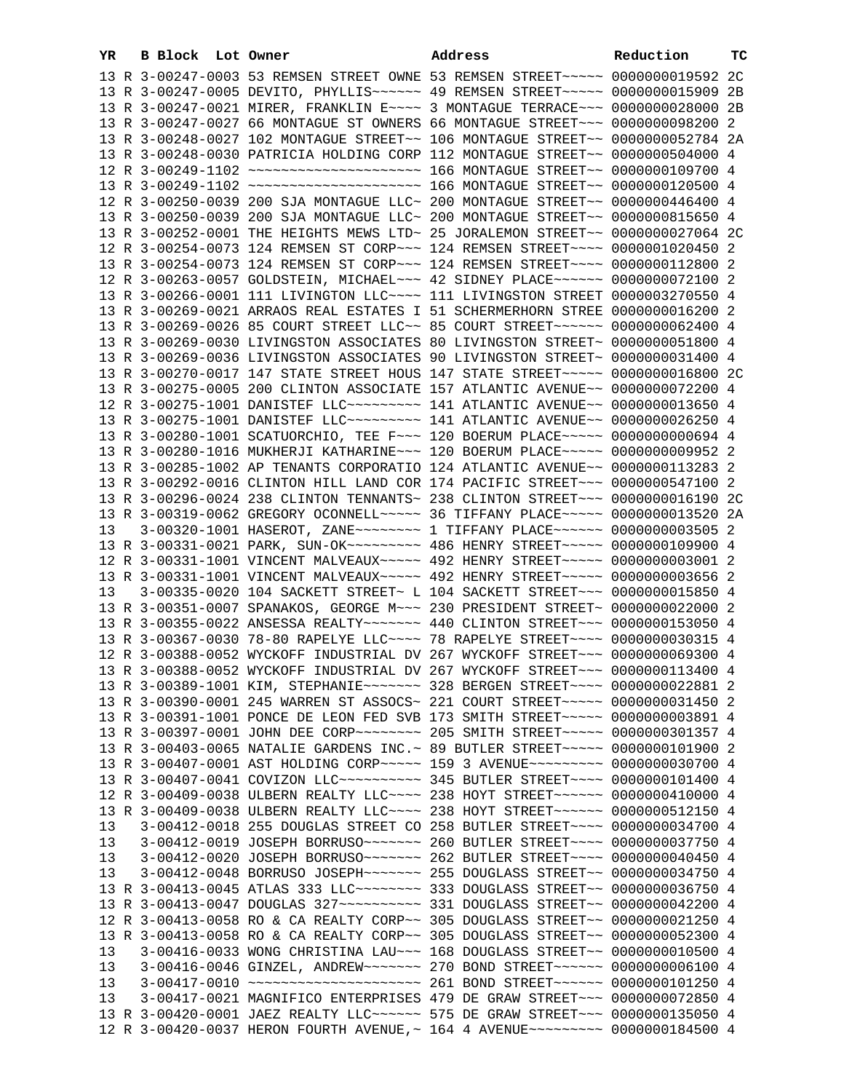| YR | B Block Lot Owner |  | Address                                                                                                                                                         | Reduction | тc |
|----|-------------------|--|-----------------------------------------------------------------------------------------------------------------------------------------------------------------|-----------|----|
|    |                   |  | 13 R 3-00247-0003 53 REMSEN STREET OWNE 53 REMSEN STREET~~~~~ 0000000019592 2C                                                                                  |           |    |
|    |                   |  | 13 R 3-00247-0005 DEVITO, PHYLLIS~~~~~~ 49 REMSEN STREET~~~~~ 0000000015909 2B                                                                                  |           |    |
|    |                   |  | 13 R 3-00247-0021 MIRER, FRANKLIN E~~~~ 3 MONTAGUE TERRACE~~~ 0000000028000 2B                                                                                  |           |    |
|    |                   |  | 13 R 3-00247-0027 66 MONTAGUE ST OWNERS 66 MONTAGUE STREET~~~ 0000000098200 2                                                                                   |           |    |
|    |                   |  | 13 R 3-00248-0027 102 MONTAGUE STREET~~ 106 MONTAGUE STREET~~ 0000000052784 2A                                                                                  |           |    |
|    |                   |  | 13 R 3-00248-0030 PATRICIA HOLDING CORP 112 MONTAGUE STREET~~ 0000000504000 4                                                                                   |           |    |
|    |                   |  |                                                                                                                                                                 |           |    |
|    |                   |  |                                                                                                                                                                 |           |    |
|    |                   |  | 12 R 3-00250-0039 200 SJA MONTAGUE LLC~ 200 MONTAGUE STREET~~ 0000000446400 4                                                                                   |           |    |
|    |                   |  | 13 R 3-00250-0039 200 SJA MONTAGUE LLC~ 200 MONTAGUE STREET~~ 0000000815650 4                                                                                   |           |    |
|    |                   |  | 13 R 3-00252-0001 THE HEIGHTS MEWS LTD~ 25 JORALEMON STREET~~ 0000000027064 2C                                                                                  |           |    |
|    |                   |  | 12 R 3-00254-0073 124 REMSEN ST CORP~~~ 124 REMSEN STREET~~~~ 0000001020450 2                                                                                   |           |    |
|    |                   |  | 13 R 3-00254-0073 124 REMSEN ST CORP~~~ 124 REMSEN STREET~~~~ 0000000112800 2                                                                                   |           |    |
|    |                   |  | 12 R 3-00263-0057 GOLDSTEIN, MICHAEL~~~ 42 SIDNEY PLACE~~~~~~ 0000000072100 2                                                                                   |           |    |
|    |                   |  | 13 R 3-00266-0001 111 LIVINGTON LLC ~~~~ 111 LIVINGSTON STREET 0000003270550 4                                                                                  |           |    |
|    |                   |  | 13 R 3-00269-0021 ARRAOS REAL ESTATES I 51 SCHERMERHORN STREE 0000000016200 2                                                                                   |           |    |
|    |                   |  | 13 R 3-00269-0026 85 COURT STREET LLC~~ 85 COURT STREET~~~~~~ 0000000062400 4                                                                                   |           |    |
|    |                   |  | 13 R 3-00269-0030 LIVINGSTON ASSOCIATES 80 LIVINGSTON STREET~ 0000000051800 4                                                                                   |           |    |
|    |                   |  |                                                                                                                                                                 |           |    |
|    |                   |  | 13 R 3-00269-0036 LIVINGSTON ASSOCIATES 90 LIVINGSTON STREET~ 0000000031400 4                                                                                   |           |    |
|    |                   |  | 13 R 3-00270-0017 147 STATE STREET HOUS 147 STATE STREET~~~~~ 0000000016800 2C                                                                                  |           |    |
|    |                   |  | 13 R 3-00275-0005 200 CLINTON ASSOCIATE 157 ATLANTIC AVENUE~~ 0000000072200 4                                                                                   |           |    |
|    |                   |  | 12 R 3-00275-1001 DANISTEF LLC~~~~~~~~~ 141 ATLANTIC AVENUE~~ 0000000013650 4                                                                                   |           |    |
|    |                   |  | 13 R 3-00275-1001 DANISTEF LLC -------- 141 ATLANTIC AVENUE -- 0000000026250 4                                                                                  |           |    |
|    |                   |  | 13 R 3-00280-1001 SCATUORCHIO, TEE F~~~ 120 BOERUM PLACE~~~~~ 0000000000694 4                                                                                   |           |    |
|    |                   |  | 13 R 3-00280-1016 MUKHERJI KATHARINE~~~ 120 BOERUM PLACE~~~~~ 0000000009952 2                                                                                   |           |    |
|    |                   |  | 13 R 3-00285-1002 AP TENANTS CORPORATIO 124 ATLANTIC AVENUE~~ 0000000113283 2                                                                                   |           |    |
|    |                   |  | 13 R 3-00292-0016 CLINTON HILL LAND COR 174 PACIFIC STREET~~~ 0000000547100 2                                                                                   |           |    |
|    |                   |  | 13 R 3-00296-0024 238 CLINTON TENNANTS~ 238 CLINTON STREET~~~ 0000000016190 2C                                                                                  |           |    |
|    |                   |  | 13 R 3-00319-0062 GREGORY OCONNELL~~~~~ 36 TIFFANY PLACE~~~~~ 0000000013520 2A                                                                                  |           |    |
| 13 |                   |  | 3-00320-1001 HASEROT, ZANE~~~~~~~~~~~~~ 1 TIFFANY PLACE~~~~~~~ 0000000003505 2                                                                                  |           |    |
|    |                   |  | 13 R 3-00331-0021 PARK, SUN-OK~~~~~~~~~~~~~~~~~ 486 HENRY STREET~~~~~~ 0000000109900 4                                                                          |           |    |
|    |                   |  | 12 R 3-00331-1001 VINCENT MALVEAUX~~~~~ 492 HENRY STREET~~~~~ 0000000003001 2                                                                                   |           |    |
|    |                   |  | 13 R 3-00331-1001 VINCENT MALVEAUX~~~~~ 492 HENRY STREET~~~~~ 0000000003656 2                                                                                   |           |    |
| 13 |                   |  | 3-00335-0020 104 SACKETT STREET~ L 104 SACKETT STREET~~~ 0000000015850 4                                                                                        |           |    |
|    |                   |  | 13 R 3-00351-0007 SPANAKOS, GEORGE M~~~ 230 PRESIDENT STREET~ 0000000022000 2                                                                                   |           |    |
|    |                   |  | 13 R 3-00355-0022 ANSESSA REALTY~~~~~~~ 440 CLINTON STREET~~~ 0000000153050 4                                                                                   |           |    |
|    |                   |  | 13 R 3-00367-0030 78-80 RAPELYE LLC --- 78 RAPELYE STREET --- 0000000030315 4                                                                                   |           |    |
|    |                   |  | 12 R 3-00388-0052 WYCKOFF INDUSTRIAL DV 267 WYCKOFF STREET~~~ 0000000069300 4<br>13 R 3-00388-0052 WYCKOFF INDUSTRIAL DV 267 WYCKOFF STREET~~~ 0000000113400 4  |           |    |
|    |                   |  |                                                                                                                                                                 |           |    |
|    |                   |  | 13 R 3-00389-1001 KIM, STEPHANIE~~~~~~~~ 328 BERGEN STREET~~~~ 0000000022881 2<br>13 R 3-00390-0001 245 WARREN ST ASSOCS~ 221 COURT STREET~~~~~ 0000000031450 2 |           |    |
|    |                   |  |                                                                                                                                                                 |           |    |
|    |                   |  | 13 R 3-00391-1001 PONCE DE LEON FED SVB 173 SMITH STREET~~~~~ 0000000003891 4                                                                                   |           |    |
|    |                   |  | 13 R 3-00397-0001 JOHN DEE CORP~~~~~~~~~~~~~~ 205 SMITH STREET~~~~~~ 0000000301357 4                                                                            |           |    |
|    |                   |  | 13 R 3-00403-0065 NATALIE GARDENS INC. ~ 89 BUTLER STREET ~~~~~ 0000000101900 2                                                                                 |           |    |
|    |                   |  | 13 R 3-00407-0001 AST HOLDING CORP~~~~~ 159 3 AVENUE~~~~~~~~ 0000000030700 4                                                                                    |           |    |
|    |                   |  | 13 R 3-00407-0041 COVIZON LLC~~~~~~~~~~~~~~~~~~~~~~ 345 BUTLER STREET~~~~~ 0000000101400 4                                                                      |           |    |
|    |                   |  | 12 R 3-00409-0038 ULBERN REALTY LLC --- 238 HOYT STREET ----- 0000000410000 4                                                                                   |           |    |
|    |                   |  | 13 R 3-00409-0038 ULBERN REALTY LLC~~~~ 238 HOYT STREET~~~~~~ 0000000512150 4                                                                                   |           |    |
| 13 |                   |  | 3-00412-0018 255 DOUGLAS STREET CO 258 BUTLER STREET~~~~ 0000000034700 4                                                                                        |           |    |
| 13 |                   |  | 3-00412-0019 JOSEPH BORRUSO ~~~~~~~~~~~~~~~~ 260 BUTLER STREET ~~~~~~~~~~ 0000000037750 4                                                                       |           |    |
| 13 |                   |  | 3-00412-0020 JOSEPH BORRUSO~~~~~~~ 262 BUTLER STREET~~~~ 0000000040450 4                                                                                        |           |    |
| 13 |                   |  | 3-00412-0048 BORRUSO JOSEPH~~~~~~~ 255 DOUGLASS STREET~~ 0000000034750 4                                                                                        |           |    |
|    |                   |  | 13 R 3-00413-0045 ATLAS 333 LLC -------- 333 DOUGLASS STREET -- 0000000036750 4                                                                                 |           |    |
|    |                   |  |                                                                                                                                                                 |           |    |
|    |                   |  | 12 R 3-00413-0058 RO & CA REALTY CORP~~ 305 DOUGLASS STREET~~ 0000000021250 4                                                                                   |           |    |
|    |                   |  | 13 R 3-00413-0058 RO & CA REALTY CORP~~ 305 DOUGLASS STREET~~ 0000000052300 4                                                                                   |           |    |
| 13 |                   |  | 3-00416-0033 WONG CHRISTINA LAU~~~ 168 DOUGLASS STREET~~ 00000000010500 4                                                                                       |           |    |
| 13 |                   |  | 3-00416-0046 GINZEL, ANDREW~~~~~~~ 270 BOND STREET~~~~~~ 0000000006100 4                                                                                        |           |    |
| 13 |                   |  | 3-00417-0010 ~~~~~~~~~~~~~~~~~~~~~~~~~ 261 BOND STREET~~~~~~ 0000000101250 4                                                                                    |           |    |
| 13 |                   |  | 3-00417-0021 MAGNIFICO ENTERPRISES 479 DE GRAW STREET~~~ 0000000072850 4                                                                                        |           |    |
|    |                   |  | 13 R 3-00420-0001 JAEZ REALTY LLC ----- 575 DE GRAW STREET -- 0000000135050 4                                                                                   |           |    |
|    |                   |  | 12 R 3-00420-0037 HERON FOURTH AVENUE, ~ 164 4 AVENUE~~~~~~~~~~ 0000000184500 4                                                                                 |           |    |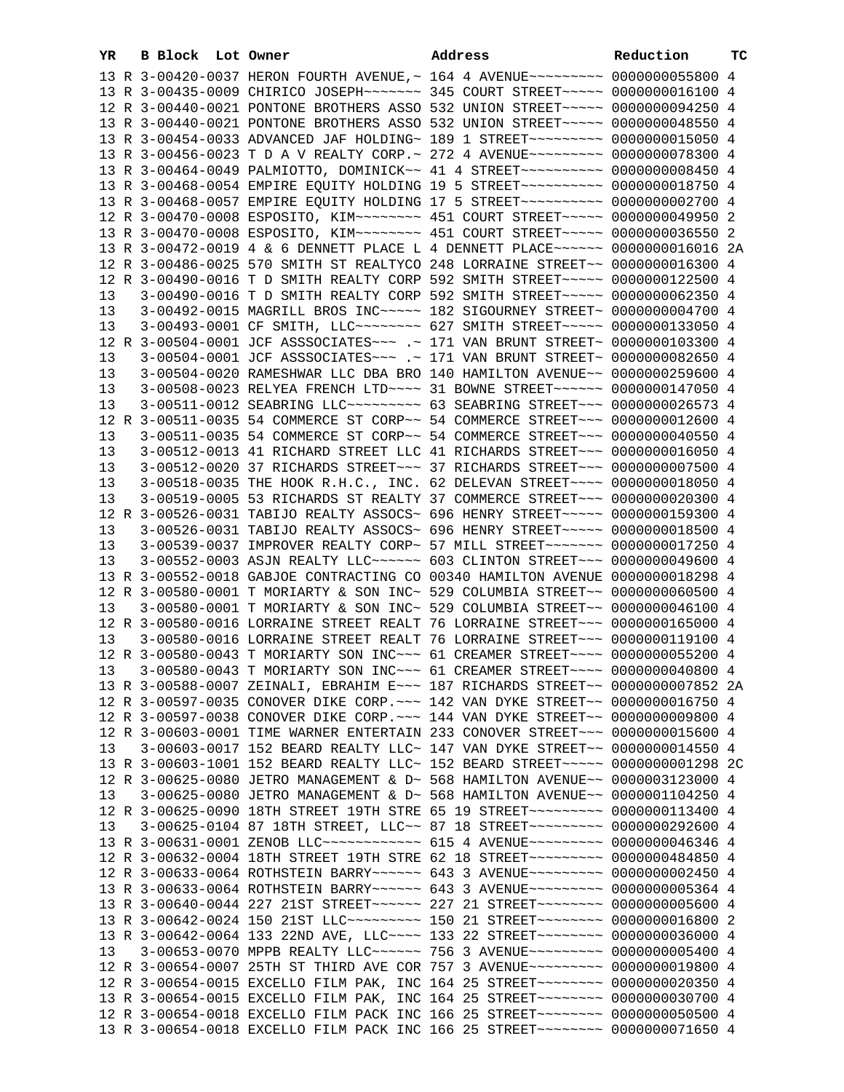| YR | B Block | Lot Owner                                                                       | Address | Reduction | тC |
|----|---------|---------------------------------------------------------------------------------|---------|-----------|----|
|    |         | 13 R 3-00420-0037 HERON FOURTH AVENUE, ~ 164 4 AVENUE~~~~~~~~~ 0000000055800 4  |         |           |    |
|    |         | 13 R 3-00435-0009 CHIRICO JOSEPH~~~~~~~ 345 COURT STREET~~~~~ 0000000016100 4   |         |           |    |
|    |         | 12 R 3-00440-0021 PONTONE BROTHERS ASSO 532 UNION STREET~~~~~ 0000000094250 4   |         |           |    |
|    |         | 13 R 3-00440-0021 PONTONE BROTHERS ASSO 532 UNION STREET~~~~~ 0000000048550 4   |         |           |    |
|    |         | 13 R 3-00454-0033 ADVANCED JAF HOLDING~ 189 1 STREET~~~~~~~~~ 0000000015050 4   |         |           |    |
|    |         | 13 R 3-00456-0023 T D A V REALTY CORP. ~ 272 4 AVENUE~~~~~~~~~ 0000000078300 4  |         |           |    |
|    |         | 13 R 3-00464-0049 PALMIOTTO, DOMINICK~~ 41 4 STREET~~~~~~~~~~~ 00000000008450 4 |         |           |    |
|    |         | 13 R 3-00468-0054 EMPIRE EQUITY HOLDING 19 5 STREET~~~~~~~~~~ 0000000018750 4   |         |           |    |
|    |         | 13 R 3-00468-0057 EMPIRE EQUITY HOLDING 17 5 STREET~~~~~~~~~~~ 0000000002700 4  |         |           |    |
|    |         | 12 R 3-00470-0008 ESPOSITO, KIM~~~~~~~~ 451 COURT STREET~~~~~ 0000000049950 2   |         |           |    |
|    |         | 13 R 3-00470-0008 ESPOSITO, KIM~~~~~~~~ 451 COURT STREET~~~~~ 0000000036550 2   |         |           |    |
|    |         | 13 R 3-00472-0019 4 & 6 DENNETT PLACE L 4 DENNETT PLACE~~~~~~ 0000000016016 2A  |         |           |    |
|    |         | 12 R 3-00486-0025 570 SMITH ST REALTYCO 248 LORRAINE STREET~~ 0000000016300 4   |         |           |    |
|    |         | 12 R 3-00490-0016 T D SMITH REALTY CORP 592 SMITH STREET~~~~~ 0000000122500 4   |         |           |    |
| 13 |         | 3-00490-0016 T D SMITH REALTY CORP 592 SMITH STREET~~~~~ 0000000062350 4        |         |           |    |
| 13 |         | 3-00492-0015 MAGRILL BROS INC~~~~~ 182 SIGOURNEY STREET~ 0000000004700 4        |         |           |    |
| 13 |         | 3-00493-0001 CF SMITH, LLC -------- 627 SMITH STREET ---- 0000000133050 4       |         |           |    |
|    |         | 12 R 3-00504-0001 JCF ASSSOCIATES~~~ .~ 171 VAN BRUNT STREET~ 0000000103300 4   |         |           |    |
| 13 |         | 3-00504-0001 JCF ASSSOCIATES ~~~ .~ 171 VAN BRUNT STREET~ 0000000082650 4       |         |           |    |
| 13 |         | 3-00504-0020 RAMESHWAR LLC DBA BRO 140 HAMILTON AVENUE~~ 0000000259600 4        |         |           |    |
| 13 |         | 3-00508-0023 RELYEA FRENCH LTD ~~~~ 31 BOWNE STREET ~~~~~~ 0000000147050 4      |         |           |    |
| 13 |         | 3-00511-0012 SEABRING LLC --------- 63 SEABRING STREET -- 0000000026573 4       |         |           |    |
|    |         | 12 R 3-00511-0035 54 COMMERCE ST CORP~~ 54 COMMERCE STREET~~~ 0000000012600 4   |         |           |    |
| 13 |         | 3-00511-0035 54 COMMERCE ST CORP~~ 54 COMMERCE STREET~~~ 0000000040550 4        |         |           |    |
| 13 |         | 3-00512-0013 41 RICHARD STREET LLC 41 RICHARDS STREET~~~ 0000000016050 4        |         |           |    |
| 13 |         | 3-00512-0020 37 RICHARDS STREET~~~ 37 RICHARDS STREET~~~ 0000000007500 4        |         |           |    |
| 13 |         | 3-00518-0035 THE HOOK R.H.C., INC. 62 DELEVAN STREET~~~~ 0000000018050 4        |         |           |    |
| 13 |         | 3-00519-0005 53 RICHARDS ST REALTY 37 COMMERCE STREET~~~ 0000000020300 4        |         |           |    |
|    |         | 12 R 3-00526-0031 TABIJO REALTY ASSOCS~ 696 HENRY STREET~~~~~ 0000000159300 4   |         |           |    |
| 13 |         | 3-00526-0031 TABIJO REALTY ASSOCS~ 696 HENRY STREET~~~~~ 0000000018500 4        |         |           |    |
| 13 |         | 3-00539-0037 IMPROVER REALTY CORP~ 57 MILL STREET~~~~~~~~ 0000000017250 4       |         |           |    |
| 13 |         | 3-00552-0003 ASJN REALTY LLC ----- 603 CLINTON STREET -- 0000000049600 4        |         |           |    |
|    |         | 13 R 3-00552-0018 GABJOE CONTRACTING CO 00340 HAMILTON AVENUE 0000000018298 4   |         |           |    |
|    |         | 12 R 3-00580-0001 T MORIARTY & SON INC~ 529 COLUMBIA STREET~~ 0000000060500 4   |         |           |    |
| 13 |         | 3-00580-0001 T MORIARTY & SON INC~ 529 COLUMBIA STREET~~ 0000000046100 4        |         |           |    |
|    |         | 12 R 3-00580-0016 LORRAINE STREET REALT 76 LORRAINE STREET~~~ 0000000165000 4   |         |           |    |
| 13 |         | 3-00580-0016 LORRAINE STREET REALT 76 LORRAINE STREET~~~ 0000000119100 4        |         |           |    |
|    |         | 12 R 3-00580-0043 T MORIARTY SON INC~~~ 61 CREAMER STREET~~~~ 0000000055200 4   |         |           |    |
|    |         | 13  3-00580-0043 T MORIARTY SON INC~~~ 61 CREAMER STREET~~~~ 0000000040800 4    |         |           |    |
|    |         | 13 R 3-00588-0007 ZEINALI, EBRAHIM E~~~ 187 RICHARDS STREET~~ 0000000007852 2A  |         |           |    |
|    |         | 12 R 3-00597-0035 CONOVER DIKE CORP. ~~~ 142 VAN DYKE STREET~~ 0000000016750 4  |         |           |    |
|    |         | 12 R 3-00597-0038 CONOVER DIKE CORP. ~~~ 144 VAN DYKE STREET~~ 0000000009800 4  |         |           |    |
|    |         | 12 R 3-00603-0001 TIME WARNER ENTERTAIN 233 CONOVER STREET~~~ 0000000015600 4   |         |           |    |
| 13 |         | 3-00603-0017 152 BEARD REALTY LLC~ 147 VAN DYKE STREET~~ 0000000014550 4        |         |           |    |
|    |         | 13 R 3-00603-1001 152 BEARD REALTY LLC~ 152 BEARD STREET~~~~~ 0000000001298 2C  |         |           |    |
|    |         | 12 R 3-00625-0080 JETRO MANAGEMENT & D~ 568 HAMILTON AVENUE~~ 0000003123000 4   |         |           |    |
| 13 |         | $3-00625-0080$ JETRO MANAGEMENT & D~ 568 HAMILTON AVENUE~~ 0000001104250 4      |         |           |    |
|    |         | 12 R 3-00625-0090 18TH STREET 19TH STRE 65 19 STREET~~~~~~~~~ 0000000113400 4   |         |           |    |
| 13 |         | 3-00625-0104 87 18TH STREET, LLC~~ 87 18 STREET~~~~~~~~~~ 0000000292600 4       |         |           |    |
|    |         | 13 R 3-00631-0001 ZENOB LLC~~~~~~~~~~~~ 615 4 AVENUE~~~~~~~~~ 0000000046346 4   |         |           |    |
|    |         | 12 R 3-00632-0004 18TH STREET 19TH STRE 62 18 STREET~~~~~~~~~ 0000000484850 4   |         |           |    |
|    |         | 12 R 3-00633-0064 ROTHSTEIN BARRY~~~~~~ 643 3 AVENUE~~~~~~~~~ 0000000002450 4   |         |           |    |
|    |         | 13 R 3-00633-0064 ROTHSTEIN BARRY~~~~~~ 643 3 AVENUE~~~~~~~~~ 0000000005364 4   |         |           |    |
|    |         | 13 R 3-00640-0044 227 21ST STREET~~~~~~ 227 21 STREET~~~~~~~~ 0000000005600 4   |         |           |    |
|    |         | 13 R 3-00642-0024 150 21ST LLC --------- 150 21 STREET ------- 0000000016800 2  |         |           |    |
|    |         | 13 R 3-00642-0064 133 22ND AVE, LLC --- 133 22 STREET ------- 0000000036000 4   |         |           |    |
| 13 |         | 3-00653-0070 MPPB REALTY LLC ----- 756 3 AVENUE -------- 0000000005400 4        |         |           |    |
|    |         | 12 R 3-00654-0007 25TH ST THIRD AVE COR 757 3 AVENUE~~~~~~~~~ 0000000019800 4   |         |           |    |
|    |         | 12 R 3-00654-0015 EXCELLO FILM PAK, INC 164 25 STREET~~~~~~~~~ 0000000020350 4  |         |           |    |
|    |         | 13 R 3-00654-0015 EXCELLO FILM PAK, INC 164 25 STREET~~~~~~~~~ 0000000030700 4  |         |           |    |
|    |         | 12 R 3-00654-0018 EXCELLO FILM PACK INC 166 25 STREET~~~~~~~~~ 0000000050500 4  |         |           |    |
|    |         | 13 R 3-00654-0018 EXCELLO FILM PACK INC 166 25 STREET~~~~~~~~~ 0000000071650 4  |         |           |    |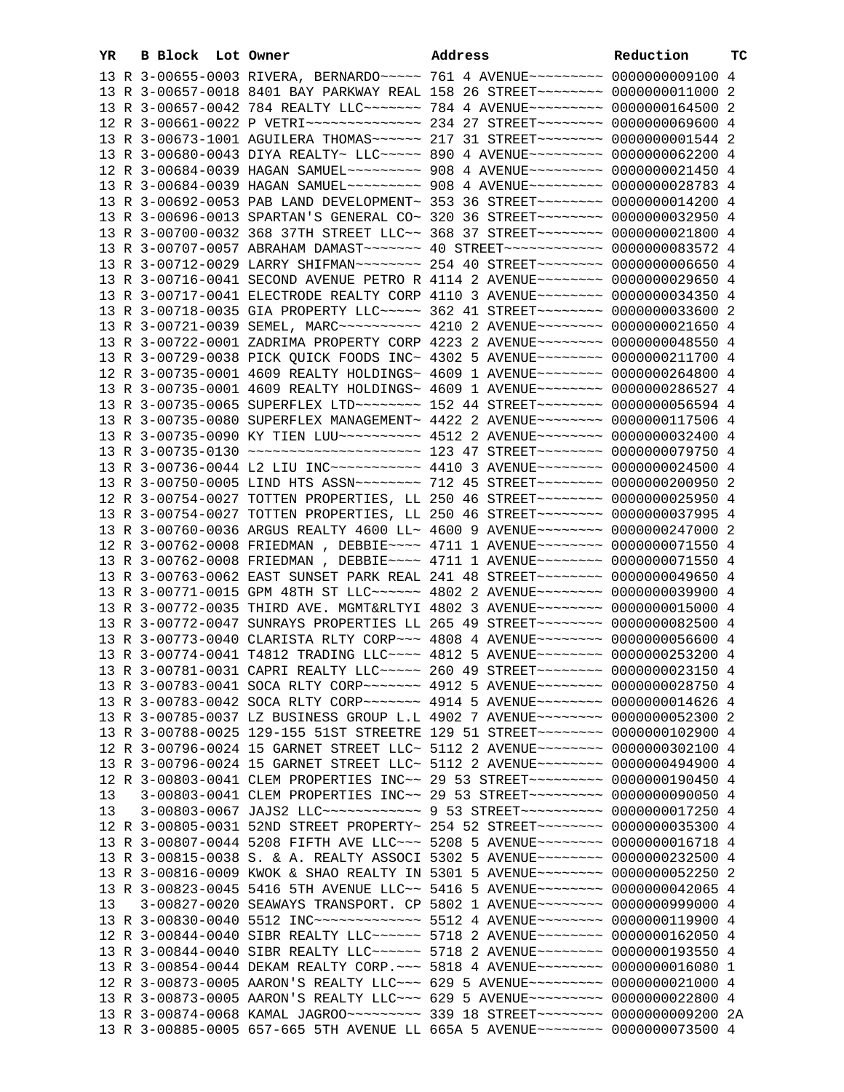| YR | B Block | Lot Owner                                                                          | Address | Reduction | тc |
|----|---------|------------------------------------------------------------------------------------|---------|-----------|----|
|    |         | 13 R 3-00655-0003 RIVERA, BERNARDO~~~~~ 761 4 AVENUE~~~~~~~~~ 0000000009100 4      |         |           |    |
|    |         | 13 R 3-00657-0018 8401 BAY PARKWAY REAL 158 26 STREET~~~~~~~~ 0000000011000 2      |         |           |    |
|    |         | 13 R 3-00657-0042 784 REALTY LLC ------ 784 4 AVENUE -------- 0000000164500 2      |         |           |    |
|    |         | 12 R 3-00661-0022 P VETRI~~~~~~~~~~~~~~~~~~ 234 27 STREET~~~~~~~~~ 0000000069600 4 |         |           |    |
|    |         | 13 R 3-00673-1001 AGUILERA THOMAS~~~~~~ 217 31 STREET~~~~~~~~ 00000000001544 2     |         |           |    |
|    |         | 13 R 3-00680-0043 DIYA REALTY~ LLC~~~~~~ 890 4 AVENUE~~~~~~~~~ 0000000062200 4     |         |           |    |
|    |         | 12 R 3-00684-0039 HAGAN SAMUEL~~~~~~~~~ 908 4 AVENUE~~~~~~~~~ 0000000021450 4      |         |           |    |
|    |         | 13 R 3-00684-0039 HAGAN SAMUEL~~~~~~~~~ 908 4 AVENUE~~~~~~~~~ 0000000028783 4      |         |           |    |
|    |         | 13 R 3-00692-0053 PAB LAND DEVELOPMENT~ 353 36 STREET~~~~~~~~ 0000000014200 4      |         |           |    |
|    |         | 13 R 3-00696-0013 SPARTAN'S GENERAL CO~ 320 36 STREET~~~~~~~~ 0000000032950 4      |         |           |    |
|    |         | 13 R 3-00700-0032 368 37TH STREET LLC~~ 368 37 STREET~~~~~~~~~ 0000000021800 4     |         |           |    |
|    |         | 13 R 3-00707-0057 ABRAHAM DAMAST ~~~~~~~ 40 STREET ~~~~~~~~~~~~ 0000000083572 4    |         |           |    |
|    |         |                                                                                    |         |           |    |
|    |         | 13 R 3-00712-0029 LARRY SHIFMAN~~~~~~~~ 254 40 STREET~~~~~~~~ 0000000006650 4      |         |           |    |
|    |         | 13 R 3-00716-0041 SECOND AVENUE PETRO R 4114 2 AVENUE~~~~~~~~ 0000000029650 4      |         |           |    |
|    |         | 13 R 3-00717-0041 ELECTRODE REALTY CORP 4110 3 AVENUE~~~~~~~~ 0000000034350 4      |         |           |    |
|    |         | 13 R 3-00718-0035 GIA PROPERTY LLC ~~~~~ 362 41 STREET ~~~~~~~~ 0000000033600 2    |         |           |    |
|    |         | 13 R 3-00721-0039 SEMEL, MARC~~~~~~~~~~ 4210 2 AVENUE~~~~~~~~ 0000000021650 4      |         |           |    |
|    |         | 13 R 3-00722-0001 ZADRIMA PROPERTY CORP 4223 2 AVENUE~~~~~~~~ 0000000048550 4      |         |           |    |
|    |         | 13 R 3-00729-0038 PICK QUICK FOODS INC~ 4302 5 AVENUE~~~~~~~~ 0000000211700 4      |         |           |    |
|    |         | 12 R 3-00735-0001 4609 REALTY HOLDINGS~ 4609 1 AVENUE~~~~~~~~~ 0000000264800 4     |         |           |    |
|    |         | 13 R 3-00735-0001 4609 REALTY HOLDINGS~ 4609 1 AVENUE~~~~~~~~ 0000000286527 4      |         |           |    |
|    |         | 13 R 3-00735-0065 SUPERFLEX LTD ~~~~~~~~ 152 44 STREET ~~~~~~~~ 0000000056594 4    |         |           |    |
|    |         | 13 R 3-00735-0080 SUPERFLEX MANAGEMENT~ 4422 2 AVENUE~~~~~~~~ 0000000117506 4      |         |           |    |
|    |         | 13 R 3-00735-0090 KY TIEN LUU~~~~~~~~~~ 4512 2 AVENUE~~~~~~~~ 0000000032400 4      |         |           |    |
|    |         | 13 R 3-00735-0130 ~~~~~~~~~~~~~~~~~~~~~~~~~~ 123 47 STREET~~~~~~~~ 0000000079750 4 |         |           |    |
|    |         | 13 R 3-00736-0044 L2 LIU INC~~~~~~~~~~~ 4410 3 AVENUE~~~~~~~~ 0000000024500 4      |         |           |    |
|    |         | 13 R 3-00750-0005 LIND HTS ASSN~~~~~~~~ 712 45 STREET~~~~~~~~ 0000000200950 2      |         |           |    |
|    |         | 12 R 3-00754-0027 TOTTEN PROPERTIES, LL 250 46 STREET~~~~~~~~ 0000000025950 4      |         |           |    |
|    |         | 13 R 3-00754-0027 TOTTEN PROPERTIES, LL 250 46 STREET~~~~~~~~ 0000000037995 4      |         |           |    |
|    |         | 13 R 3-00760-0036 ARGUS REALTY 4600 LL~ 4600 9 AVENUE~~~~~~~~ 0000000247000 2      |         |           |    |
|    |         | 12 R 3-00762-0008 FRIEDMAN , DEBBIE~~~~ 4711 1 AVENUE~~~~~~~~ 0000000071550 4      |         |           |    |
|    |         | 13 R 3-00762-0008 FRIEDMAN, DEBBIE~~~~ 4711 1 AVENUE~~~~~~~~ 0000000071550 4       |         |           |    |
|    |         | 13 R 3-00763-0062 EAST SUNSET PARK REAL 241 48 STREET~~~~~~~~ 0000000049650 4      |         |           |    |
|    |         | 13 R 3-00771-0015 GPM 48TH ST LLC ----- 4802 2 AVENUE ------- 0000000039900 4      |         |           |    |
|    |         | 13 R 3-00772-0035 THIRD AVE. MGMT&RLTYI 4802 3 AVENUE~~~~~~~~ 0000000015000 4      |         |           |    |
|    |         | 13 R 3-00772-0047 SUNRAYS PROPERTIES LL 265 49 STREET~~~~~~~~ 0000000082500 4      |         |           |    |
|    |         | 13 R 3-00773-0040 CLARISTA RLTY CORP~~~ 4808 4 AVENUE~~~~~~~~ 0000000056600 4      |         |           |    |
|    |         | 13 R 3-00774-0041 T4812 TRADING LLC --- 4812 5 AVENUE ------- 0000000253200 4      |         |           |    |
|    |         | 13 R 3-00781-0031 CAPRI REALTY LLC ---- 260 49 STREET ------- 0000000023150 4      |         |           |    |
|    |         | 13 R 3-00783-0041 SOCA RLTY CORP~~~~~~~ 4912 5 AVENUE~~~~~~~~ 0000000028750 4      |         |           |    |
|    |         | 13 R 3-00783-0042 SOCA RLTY CORP~~~~~~~ 4914 5 AVENUE~~~~~~~~ 0000000014626 4      |         |           |    |
|    |         | 13 R 3-00785-0037 LZ BUSINESS GROUP L.L 4902 7 AVENUE~~~~~~~~ 0000000052300 2      |         |           |    |
|    |         | 13 R 3-00788-0025 129-155 51ST STREETRE 129 51 STREET~~~~~~~~~ 0000000102900 4     |         |           |    |
|    |         | 12 R 3-00796-0024 15 GARNET STREET LLC~ 5112 2 AVENUE~~~~~~~~ 0000000302100 4      |         |           |    |
|    |         | 13 R 3-00796-0024 15 GARNET STREET LLC~ 5112 2 AVENUE~~~~~~~~ 0000000494900 4      |         |           |    |
|    |         | 12 R 3-00803-0041 CLEM PROPERTIES INC~~ 29 53 STREET~~~~~~~~~ 0000000190450 4      |         |           |    |
| 13 |         | 3-00803-0041 CLEM PROPERTIES INC~~ 29 53 STREET~~~~~~~~~ 0000000090050 4           |         |           |    |
| 13 |         | 3-00803-0067 JAJS2 LLC ------------- 9 53 STREET ---------- 0000000017250 4        |         |           |    |
|    |         | 12 R 3-00805-0031 52ND STREET PROPERTY~ 254 52 STREET~~~~~~~~ 0000000035300 4      |         |           |    |
|    |         |                                                                                    |         |           |    |
|    |         | 13 R 3-00807-0044 5208 FIFTH AVE LLC ~~~ 5208 5 AVENUE ~~~~~~~~ 0000000016718 4    |         |           |    |
|    |         | 13 R 3-00815-0038 S. & A. REALTY ASSOCI 5302 5 AVENUE~~~~~~~~ 0000000232500 4      |         |           |    |
|    |         | 13 R 3-00816-0009 KWOK & SHAO REALTY IN 5301 5 AVENUE~~~~~~~~ 0000000052250 2      |         |           |    |
|    |         | 13 R 3-00823-0045 5416 5TH AVENUE LLC~~ 5416 5 AVENUE~~~~~~~~ 0000000042065 4      |         |           |    |
| 13 |         | 3-00827-0020 SEAWAYS TRANSPORT. CP 5802 1 AVENUE~~~~~~~~ 0000000999000 4           |         |           |    |
|    |         | 13 R 3-00830-0040 5512 INC~~~~~~~~~~~~~ 5512 4 AVENUE~~~~~~~~ 0000000119900 4      |         |           |    |
|    |         | 12 R 3-00844-0040 SIBR REALTY LLC ----- 5718 2 AVENUE ------- 0000000162050 4      |         |           |    |
|    |         | 13 R 3-00844-0040 SIBR REALTY LLC ----- 5718 2 AVENUE ------- 0000000193550 4      |         |           |    |
|    |         | 13 R 3-00854-0044 DEKAM REALTY CORP. ~~~ 5818 4 AVENUE~~~~~~~~ 0000000016080 1     |         |           |    |
|    |         | 12 R 3-00873-0005 AARON'S REALTY LLC ~~~ 629 5 AVENUE~~~~~~~~~~ 0000000021000 4    |         |           |    |

13 R 3-00873-0005 AARON'S REALTY LLC~~~ 629 5 AVENUE~~~~~~~~~ 0000000022800 4

 13 R 3-00874-0068 KAMAL JAGROO~~~~~~~~~ 339 18 STREET~~~~~~~~ 0000000009200 2A 13 R 3-00885-0005 657-665 5TH AVENUE LL 665A 5 AVENUE~~~~~~~~ 0000000073500 4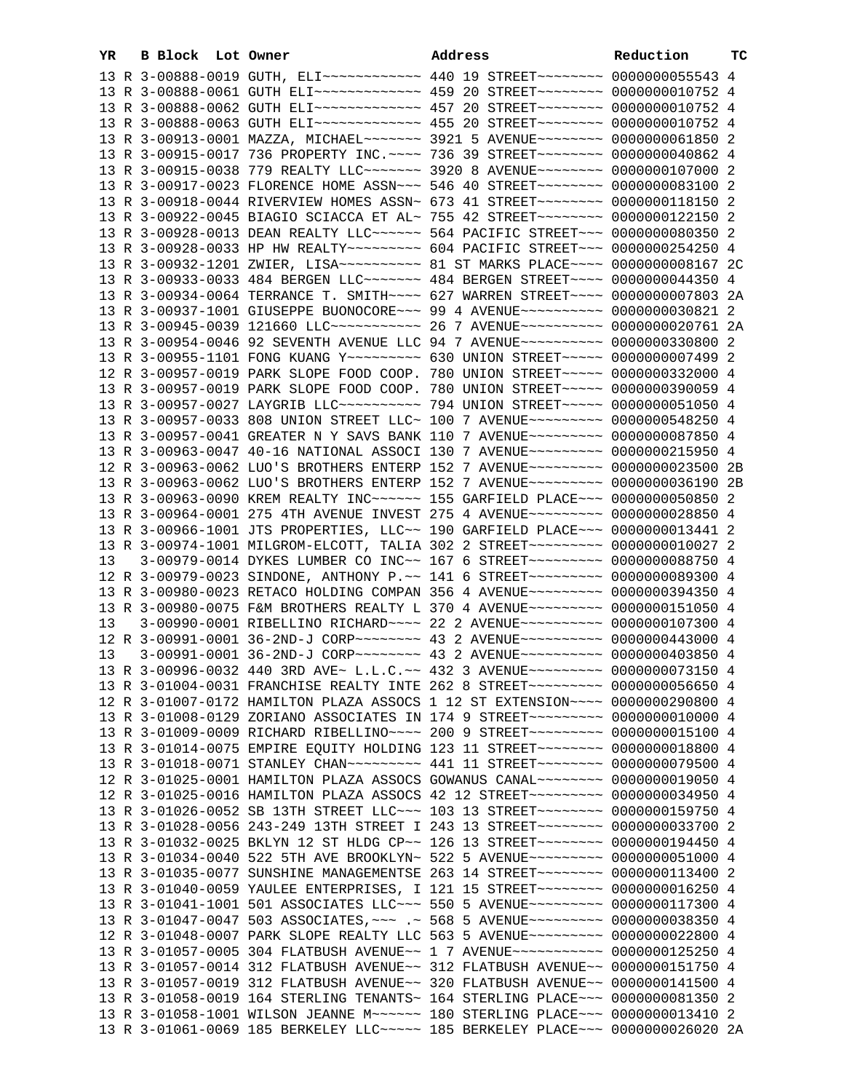| YR | B Block Lot Owner | <b>Example 2</b> Address                                                                | Reduction | TС |
|----|-------------------|-----------------------------------------------------------------------------------------|-----------|----|
|    |                   | 13 R 3-00888-0019 GUTH, ELI~~~~~~~~~~~~ 440 19 STREET~~~~~~~~ 0000000055543 4           |           |    |
|    |                   | 13 R 3-00888-0061 GUTH ELI~~~~~~~~~~~~~ 459 20 STREET~~~~~~~~ 00000000010752 4          |           |    |
|    |                   |                                                                                         |           |    |
|    |                   |                                                                                         |           |    |
|    |                   | 13 R 3-00913-0001 MAZZA, MICHAEL~~~~~~~ 3921 5 AVENUE~~~~~~~~ 0000000061850 2           |           |    |
|    |                   | 13 R 3-00915-0017 736 PROPERTY INC. ~~~~ 736 39 STREET~~~~~~~~ 0000000040862 4          |           |    |
|    |                   | 13 R 3-00915-0038 779 REALTY LLC ------ 3920 8 AVENUE ------- 0000000107000 2           |           |    |
|    |                   | 13 R 3-00917-0023 FLORENCE HOME ASSN~~~ 546 40 STREET~~~~~~~~ 0000000083100 2           |           |    |
|    |                   | 13 R 3-00918-0044 RIVERVIEW HOMES ASSN~ 673 41 STREET~~~~~~~~ 0000000118150 2           |           |    |
|    |                   | 13 R 3-00922-0045 BIAGIO SCIACCA ET AL~ 755 42 STREET~~~~~~~~ 0000000122150 2           |           |    |
|    |                   | 13 R 3-00928-0013 DEAN REALTY LLC~~~~~~ 564 PACIFIC STREET~~~ 0000000080350 2           |           |    |
|    |                   | 13 R 3-00928-0033 HP HW REALTY~~~~~~~~~ 604 PACIFIC STREET~~~ 0000000254250 4           |           |    |
|    |                   | 13 R 3-00932-1201 ZWIER, LISA~~~~~~~~~~ 81 ST MARKS PLACE~~~~ 00000000008167 2C         |           |    |
|    |                   | 13 R 3-00933-0033 484 BERGEN LLC ------ 484 BERGEN STREET --- 0000000044350 4           |           |    |
|    |                   | 13 R 3-00934-0064 TERRANCE T. SMITH~~~~ 627 WARREN STREET~~~~ 0000000007803 2A          |           |    |
|    |                   | 13 R 3-00937-1001 GIUSEPPE BUONOCORE~~~ 99 4 AVENUE~~~~~~~~~~ 0000000030821 2           |           |    |
|    |                   | 13 R 3-00945-0039 121660 LLC ----------- 26 7 AVENUE --------- 0000000020761 2A         |           |    |
|    |                   | 13 R 3-00954-0046 92 SEVENTH AVENUE LLC 94 7 AVENUE~~~~~~~~~~ 0000000330800 2           |           |    |
|    |                   | 13 R 3-00955-1101 FONG KUANG Y -------- 630 UNION STREET ---- 0000000007499 2           |           |    |
|    |                   | $1.9$ מתגר מהמחממת ממחמדים המדוזה ממחמדי הממחה התמוד מהמחמדי מהמחמדי מיומים מיום מיום מ |           |    |

|    |  | 13 R 3-00932-1201 ZWIER, LISA~~~~~~~~~~ 81 ST MARKS PLACE~~~~ 0000000008167 2C      |  |
|----|--|-------------------------------------------------------------------------------------|--|
|    |  | 13 R 3-00933-0033 484 BERGEN LLC ------ 484 BERGEN STREET ---- 0000000044350 4      |  |
|    |  | 13 R 3-00934-0064 TERRANCE T. SMITH~~~~ 627 WARREN STREET~~~~ 0000000007803 2A      |  |
|    |  | 13 R 3-00937-1001 GIUSEPPE BUONOCORE~~~ 99 4 AVENUE~~~~~~~~~~ 0000000030821 2       |  |
|    |  | 13 R 3-00945-0039 121660 LLC ----------- 26 7 AVENUE --------- 0000000020761 2A     |  |
|    |  | 13 R 3-00954-0046 92 SEVENTH AVENUE LLC 94 7 AVENUE~~~~~~~~~~ 0000000330800 2       |  |
|    |  | 13 R 3-00955-1101 FONG KUANG Y -------- 630 UNION STREET ---- 0000000007499 2       |  |
|    |  | 12 R 3-00957-0019 PARK SLOPE FOOD COOP. 780 UNION STREET~~~~~ 0000000332000 4       |  |
|    |  | 13 R 3-00957-0019 PARK SLOPE FOOD COOP. 780 UNION STREET~~~~~ 0000000390059 4       |  |
|    |  | 13 R 3-00957-0027 LAYGRIB LLC~~~~~~~~~~~~~~~ 794 UNION STREET~~~~~~ 0000000051050 4 |  |
|    |  | 13 R 3-00957-0033 808 UNION STREET LLC~ 100 7 AVENUE~~~~~~~~~ 0000000548250 4       |  |
|    |  | 13 R 3-00957-0041 GREATER N Y SAVS BANK 110 7 AVENUE~~~~~~~~~ 0000000087850 4       |  |
|    |  | 13 R 3-00963-0047 40-16 NATIONAL ASSOCI 130 7 AVENUE~~~~~~~~~ 0000000215950 4       |  |
|    |  | 12 R 3-00963-0062 LUO'S BROTHERS ENTERP 152 7 AVENUE~~~~~~~~~ 0000000023500 2B      |  |
|    |  | 13 R 3-00963-0062 LUO'S BROTHERS ENTERP 152 7 AVENUE~~~~~~~~~ 0000000036190 2B      |  |
|    |  | 13 R 3-00963-0090 KREM REALTY INC~~~~~~ 155 GARFIELD PLACE~~~ 0000000050850 2       |  |
|    |  | 13 R 3-00964-0001 275 4TH AVENUE INVEST 275 4 AVENUE~~~~~~~~~ 0000000028850 4       |  |
|    |  | 13 R 3-00966-1001 JTS PROPERTIES, LLC~~ 190 GARFIELD PLACE~~~ 0000000013441 2       |  |
|    |  | 13 R 3-00974-1001 MILGROM-ELCOTT, TALIA 302 2 STREET~~~~~~~~~ 0000000010027 2       |  |
| 13 |  | 3-00979-0014 DYKES LUMBER CO INC~~ 167 6 STREET~~~~~~~~~~ 0000000088750 4           |  |
|    |  | 12 R 3-00979-0023 SINDONE, ANTHONY P.~~ 141 6 STREET~~~~~~~~~~ 0000000089300 4      |  |
|    |  | 13 R 3-00980-0023 RETACO HOLDING COMPAN 356 4 AVENUE~~~~~~~~~ 0000000394350 4       |  |
|    |  | 13 R 3-00980-0075 F&M BROTHERS REALTY L 370 4 AVENUE~~~~~~~~~ 0000000151050 4       |  |
| 13 |  | 3-00990-0001 RIBELLINO RICHARD ~~~~ 22 2 AVENUE ~~~~~~~~~~ 0000000107300 4          |  |
|    |  | 12 R 3-00991-0001 36-2ND-J CORP~~~~~~~~ 43 2 AVENUE~~~~~~~~~~ 0000000443000 4       |  |
| 13 |  | 3-00991-0001 36-2ND-J CORP~~~~~~~~ 43 2 AVENUE~~~~~~~~~~ 0000000403850 4            |  |
|    |  | 13 R 3-00996-0032 440 3RD AVE~ L.L.C.~~ 432 3 AVENUE~~~~~~~~~~ 0000000073150 4      |  |
|    |  | 13 R 3-01004-0031 FRANCHISE REALTY INTE 262 8 STREET~~~~~~~~~ 0000000056650 4       |  |
|    |  | 12 R 3-01007-0172 HAMILTON PLAZA ASSOCS 1 12 ST EXTENSION~~~~ 0000000290800 4       |  |
|    |  | 13 R 3-01008-0129 ZORIANO ASSOCIATES IN 174 9 STREET~~~~~~~~~ 0000000010000 4       |  |
|    |  | 13 R 3-01009-0009 RICHARD RIBELLINO~~~~ 200 9 STREET~~~~~~~~~ 0000000015100 4       |  |
|    |  | 13 R 3-01014-0075 EMPIRE EQUITY HOLDING 123 11 STREET~~~~~~~~ 0000000018800 4       |  |
|    |  | 13 R 3-01018-0071 STANLEY CHAN~~~~~~~~~ 441 11 STREET~~~~~~~~ 0000000079500 4       |  |
|    |  | 12 R 3-01025-0001 HAMILTON PLAZA ASSOCS GOWANUS CANAL~~~~~~~~ 0000000019050 4       |  |
|    |  | 12 R 3-01025-0016 HAMILTON PLAZA ASSOCS 42 12 STREET~~~~~~~~~~ 0000000034950 4      |  |
|    |  | 13 R 3-01026-0052 SB 13TH STREET LLC ~~~ 103 13 STREET ~~~~~~~~~ 0000000159750 4    |  |
|    |  | 13 R 3-01028-0056 243-249 13TH STREET I 243 13 STREET~~~~~~~~~ 0000000033700 2      |  |
|    |  | 13 R 3-01032-0025 BKLYN 12 ST HLDG CP~~ 126 13 STREET~~~~~~~~~ 0000000194450 4      |  |
|    |  | 13 R 3-01034-0040 522 5TH AVE BROOKLYN~ 522 5 AVENUE~~~~~~~~~~ 0000000051000 4      |  |
|    |  | 13 R 3-01035-0077 SUNSHINE MANAGEMENTSE 263 14 STREET~~~~~~~~ 0000000113400 2       |  |
|    |  | 13 R 3-01040-0059 YAULEE ENTERPRISES, I 121 15 STREET~~~~~~~~~ 0000000016250 4      |  |
|    |  | 13 R 3-01041-1001 501 ASSOCIATES LLC~~~ 550 5 AVENUE~~~~~~~~~ 0000000117300 4       |  |
|    |  | 13 R 3-01047-0047 503 ASSOCIATES, ~~~ .~ 568 5 AVENUE~~~~~~~~~ 0000000038350 4      |  |
|    |  | 12 R 3-01048-0007 PARK SLOPE REALTY LLC 563 5 AVENUE~~~~~~~~~ 0000000022800 4       |  |
|    |  | 13 R 3-01057-0005 304 FLATBUSH AVENUE~~ 1 7 AVENUE~~~~~~~~~~~~ 0000000125250 4      |  |
|    |  | 13 R 3-01057-0014 312 FLATBUSH AVENUE~~ 312 FLATBUSH AVENUE~~ 0000000151750 4       |  |

 13 R 3-01057-0019 312 FLATBUSH AVENUE~~ 320 FLATBUSH AVENUE~~ 0000000141500 4 13 R 3-01058-0019 164 STERLING TENANTS~ 164 STERLING PLACE~~~ 0000000081350 2 13 R 3-01058-1001 WILSON JEANNE M~~~~~~ 180 STERLING PLACE~~~ 0000000013410 2 13 R 3-01061-0069 185 BERKELEY LLC~~~~~ 185 BERKELEY PLACE~~~ 0000000026020 2A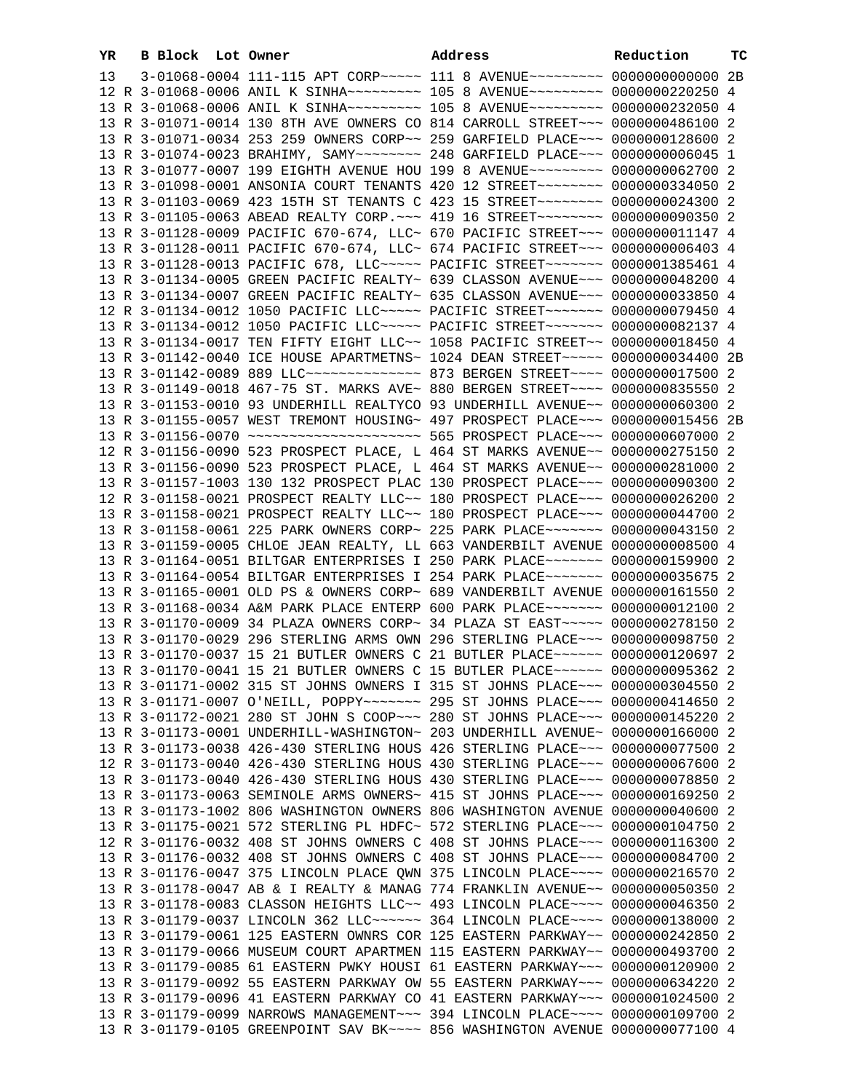| YR | B Block Lot Owner |                                                                                                                                                                 | Address | Reduction | тc |
|----|-------------------|-----------------------------------------------------------------------------------------------------------------------------------------------------------------|---------|-----------|----|
| 13 |                   | 3-01068-0004 111-115 APT CORP~~~~~ 111 8 AVENUE~~~~~~~~~ 0000000000000 2B                                                                                       |         |           |    |
|    |                   | 12 R 3-01068-0006 ANIL K SINHA~~~~~~~~~ 105 8 AVENUE~~~~~~~~~ 0000000220250 4                                                                                   |         |           |    |
|    |                   | 13 R 3-01068-0006 ANIL K SINHA~~~~~~~~~ 105 8 AVENUE~~~~~~~~~ 0000000232050 4                                                                                   |         |           |    |
|    |                   | 13 R 3-01071-0014 130 8TH AVE OWNERS CO 814 CARROLL STREET~~~ 0000000486100 2                                                                                   |         |           |    |
|    |                   | 13 R 3-01071-0034 253 259 OWNERS CORP~~ 259 GARFIELD PLACE~~~ 0000000128600 2                                                                                   |         |           |    |
|    |                   | 13 R 3-01074-0023 BRAHIMY, SAMY~~~~~~~~ 248 GARFIELD PLACE~~~ 0000000006045 1                                                                                   |         |           |    |
|    |                   | 13 R 3-01077-0007 199 EIGHTH AVENUE HOU 199 8 AVENUE~~~~~~~~~ 0000000062700 2                                                                                   |         |           |    |
|    |                   | 13 R 3-01098-0001 ANSONIA COURT TENANTS 420 12 STREET~~~~~~~~ 0000000334050 2                                                                                   |         |           |    |
|    |                   | 13 R 3-01103-0069 423 15TH ST TENANTS C 423 15 STREET~~~~~~~~ 0000000024300 2                                                                                   |         |           |    |
|    |                   | 13 R 3-01105-0063 ABEAD REALTY CORP. ~~~ 419 16 STREET~~~~~~~~ 0000000090350 2                                                                                  |         |           |    |
|    |                   | 13 R 3-01128-0009 PACIFIC 670-674, LLC~ 670 PACIFIC STREET~~~ 0000000011147 4                                                                                   |         |           |    |
|    |                   | 13 R 3-01128-0011 PACIFIC 670-674, LLC~ 674 PACIFIC STREET~~~ 0000000006403 4                                                                                   |         |           |    |
|    |                   | 13 R 3-01128-0013 PACIFIC 678, LLC ---- PACIFIC STREET ------ 0000001385461 4                                                                                   |         |           |    |
|    |                   | 13 R 3-01134-0005 GREEN PACIFIC REALTY~ 639 CLASSON AVENUE~~~ 0000000048200 4                                                                                   |         |           |    |
|    |                   | 13 R 3-01134-0007 GREEN PACIFIC REALTY~ 635 CLASSON AVENUE~~~ 0000000033850 4                                                                                   |         |           |    |
|    |                   | 12 R 3-01134-0012 1050 PACIFIC LLC ---- PACIFIC STREET ------ 0000000079450 4                                                                                   |         |           |    |
|    |                   | 13 R 3-01134-0012 1050 PACIFIC LLC ---- PACIFIC STREET ------ 0000000082137 4                                                                                   |         |           |    |
|    |                   | 13 R 3-01134-0017 TEN FIFTY EIGHT LLC~~ 1058 PACIFIC STREET~~ 0000000018450 4                                                                                   |         |           |    |
|    |                   | 13 R 3-01142-0040 ICE HOUSE APARTMETNS~ 1024 DEAN STREET~~~~~ 0000000034400 2B                                                                                  |         |           |    |
|    |                   | 13 R 3-01142-0089 889 LLC -------------- 873 BERGEN STREET ---- 0000000017500 2                                                                                 |         |           |    |
|    |                   | 13 R 3-01149-0018 467-75 ST. MARKS AVE~ 880 BERGEN STREET~~~~ 0000000835550 2                                                                                   |         |           |    |
|    |                   | 13 R 3-01153-0010 93 UNDERHILL REALTYCO 93 UNDERHILL AVENUE~~ 0000000060300 2                                                                                   |         |           |    |
|    |                   | 13 R 3-01155-0057 WEST TREMONT HOUSING~ 497 PROSPECT PLACE~~~ 0000000015456 2B                                                                                  |         |           |    |
|    |                   | 13 R 3-01156-0070 ~~~~~~~~~~~~~~~~~~~~~~~~~ 565 PROSPECT PLACE~~~ 0000000607000 2                                                                               |         |           |    |
|    |                   | 12 R 3-01156-0090 523 PROSPECT PLACE, L 464 ST MARKS AVENUE~~ 0000000275150 2                                                                                   |         |           |    |
|    |                   | 13 R 3-01156-0090 523 PROSPECT PLACE, L 464 ST MARKS AVENUE~~ 0000000281000 2                                                                                   |         |           |    |
|    |                   | 13 R 3-01157-1003 130 132 PROSPECT PLAC 130 PROSPECT PLACE~~~ 0000000090300 2                                                                                   |         |           |    |
|    |                   | 12 R 3-01158-0021 PROSPECT REALTY LLC~~ 180 PROSPECT PLACE~~~ 0000000026200 2                                                                                   |         |           |    |
|    |                   | 13 R 3-01158-0021 PROSPECT REALTY LLC~~ 180 PROSPECT PLACE~~~ 0000000044700 2                                                                                   |         |           |    |
|    |                   | 13 R 3-01158-0061 225 PARK OWNERS CORP~ 225 PARK PLACE~~~~~~~ 0000000043150 2                                                                                   |         |           |    |
|    |                   | 13 R 3-01159-0005 CHLOE JEAN REALTY, LL 663 VANDERBILT AVENUE 00000000008500 4<br>13 R 3-01164-0051 BILTGAR ENTERPRISES I 250 PARK PLACE~~~~~~~ 0000000159900 2 |         |           |    |
|    |                   | 13 R 3-01164-0054 BILTGAR ENTERPRISES I 254 PARK PLACE~~~~~~~ 0000000035675 2                                                                                   |         |           |    |
|    |                   | 13 R 3-01165-0001 OLD PS & OWNERS CORP~ 689 VANDERBILT AVENUE 0000000161550 2                                                                                   |         |           |    |
|    |                   | 13 R 3-01168-0034 A&M PARK PLACE ENTERP 600 PARK PLACE~~~~~~~ 0000000012100 2                                                                                   |         |           |    |
|    |                   | 13 R 3-01170-0009 34 PLAZA OWNERS CORP~ 34 PLAZA ST EAST~~~~~ 0000000278150 2                                                                                   |         |           |    |
|    |                   | 13 R 3-01170-0029 296 STERLING ARMS OWN 296 STERLING PLACE~~~ 0000000098750 2                                                                                   |         |           |    |
|    |                   | 13 R 3-01170-0037 15 21 BUTLER OWNERS C 21 BUTLER PLACE ~~~~~~ 0000000120697 2                                                                                  |         |           |    |
|    |                   | 13 R 3-01170-0041 15 21 BUTLER OWNERS C 15 BUTLER PLACE ~~~~~~ 0000000095362 2                                                                                  |         |           |    |
|    |                   | 13 R 3-01171-0002 315 ST JOHNS OWNERS I 315 ST JOHNS PLACE~~~ 0000000304550 2                                                                                   |         |           |    |
|    |                   | 13 R 3-01171-0007 O'NEILL, POPPY~~~~~~~ 295 ST JOHNS PLACE~~~ 0000000414650 2                                                                                   |         |           |    |
|    |                   | 13 R 3-01172-0021 280 ST JOHN S COOP~~~ 280 ST JOHNS PLACE~~~ 0000000145220 2                                                                                   |         |           |    |
|    |                   | 13 R 3-01173-0001 UNDERHILL-WASHINGTON~ 203 UNDERHILL AVENUE~ 0000000166000 2                                                                                   |         |           |    |
|    |                   | 13 R 3-01173-0038 426-430 STERLING HOUS 426 STERLING PLACE~~~ 0000000077500 2                                                                                   |         |           |    |
|    |                   | 12 R 3-01173-0040 426-430 STERLING HOUS 430 STERLING PLACE~~~ 0000000067600 2                                                                                   |         |           |    |
|    |                   | 13 R 3-01173-0040 426-430 STERLING HOUS 430 STERLING PLACE~~~ 0000000078850 2                                                                                   |         |           |    |
|    |                   | 13 R 3-01173-0063 SEMINOLE ARMS OWNERS~ 415 ST JOHNS PLACE~~~ 0000000169250 2                                                                                   |         |           |    |
|    |                   | 13 R 3-01173-1002 806 WASHINGTON OWNERS 806 WASHINGTON AVENUE 0000000040600 2                                                                                   |         |           |    |
|    |                   | 13 R 3-01175-0021 572 STERLING PL HDFC~ 572 STERLING PLACE~~~ 0000000104750 2                                                                                   |         |           |    |
|    |                   | 12 R 3-01176-0032 408 ST JOHNS OWNERS C 408 ST JOHNS PLACE~~~ 0000000116300 2                                                                                   |         |           |    |
|    |                   | 13 R 3-01176-0032 408 ST JOHNS OWNERS C 408 ST JOHNS PLACE~~~ 0000000084700 2                                                                                   |         |           |    |
|    |                   | 13 R 3-01176-0047 375 LINCOLN PLACE QWN 375 LINCOLN PLACE~~~~ 0000000216570 2                                                                                   |         |           |    |
|    |                   | 13 R 3-01178-0047 AB & I REALTY & MANAG 774 FRANKLIN AVENUE~~ 0000000050350 2                                                                                   |         |           |    |
|    |                   | 13 R 3-01178-0083 CLASSON HEIGHTS LLC~~ 493 LINCOLN PLACE~~~~ 0000000046350 2                                                                                   |         |           |    |
|    |                   | 13 R 3-01179-0037 LINCOLN 362 LLC~~~~~~ 364 LINCOLN PLACE~~~~ 0000000138000 2                                                                                   |         |           |    |
|    |                   | 13 R 3-01179-0061 125 EASTERN OWNRS COR 125 EASTERN PARKWAY~~ 0000000242850 2                                                                                   |         |           |    |
|    |                   | 13 R 3-01179-0066 MUSEUM COURT APARTMEN 115 EASTERN PARKWAY~~ 0000000493700 2                                                                                   |         |           |    |
|    |                   | 13 R 3-01179-0085 61 EASTERN PWKY HOUSI 61 EASTERN PARKWAY~~~ 0000000120900 2                                                                                   |         |           |    |
|    |                   | 13 R 3-01179-0092 55 EASTERN PARKWAY OW 55 EASTERN PARKWAY~~~ 0000000634220 2                                                                                   |         |           |    |
|    |                   | 13 R 3-01179-0096 41 EASTERN PARKWAY CO 41 EASTERN PARKWAY~~~ 0000001024500 2                                                                                   |         |           |    |
|    |                   | 13 R 3-01179-0099 NARROWS MANAGEMENT~~~ 394 LINCOLN PLACE~~~~ 0000000109700 2                                                                                   |         |           |    |
|    |                   | 13 R 3-01179-0105 GREENPOINT SAV BK~~~~ 856 WASHINGTON AVENUE 0000000077100 4                                                                                   |         |           |    |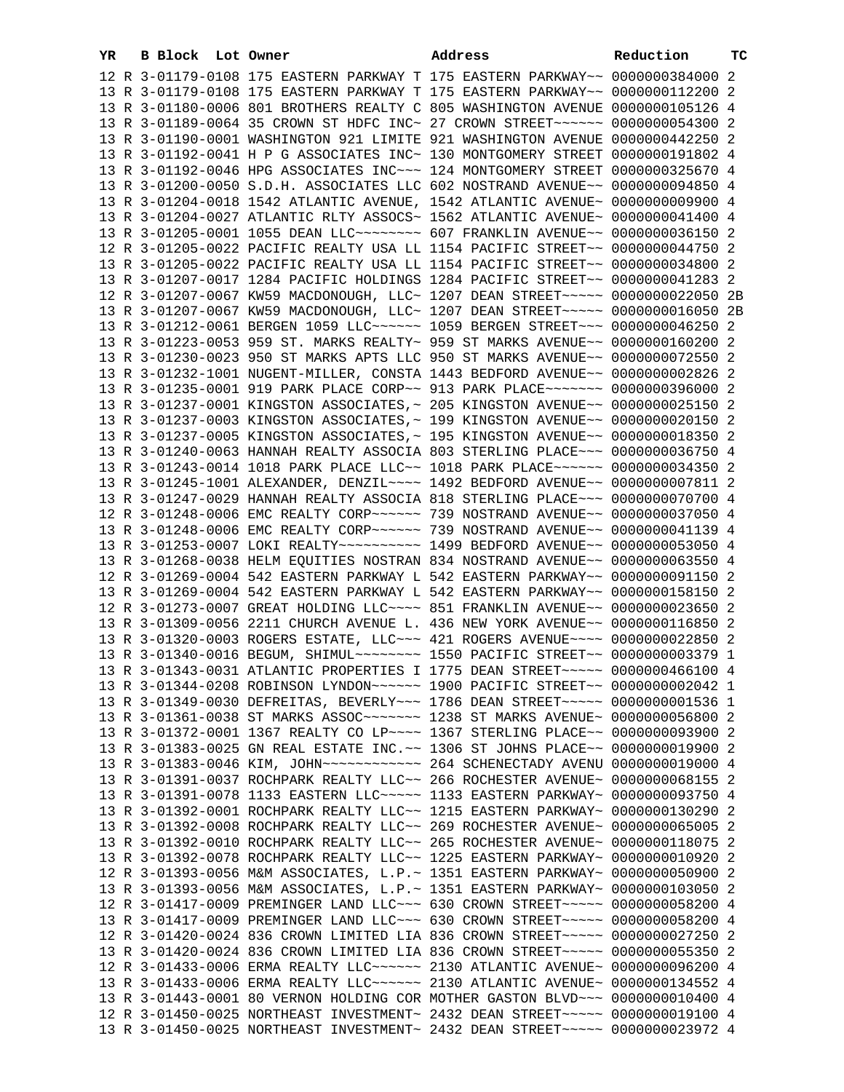| YR | B Block Lot Owner |  | Address                                                                                                                                                        | Reduction | тc |
|----|-------------------|--|----------------------------------------------------------------------------------------------------------------------------------------------------------------|-----------|----|
|    |                   |  | 12 R 3-01179-0108 175 EASTERN PARKWAY T 175 EASTERN PARKWAY~~ 0000000384000 2                                                                                  |           |    |
|    |                   |  | 13 R 3-01179-0108 175 EASTERN PARKWAY T 175 EASTERN PARKWAY~~ 0000000112200 2                                                                                  |           |    |
|    |                   |  | 13 R 3-01180-0006 801 BROTHERS REALTY C 805 WASHINGTON AVENUE 0000000105126 4                                                                                  |           |    |
|    |                   |  | 13 R 3-01189-0064 35 CROWN ST HDFC INC~ 27 CROWN STREET~~~~~~ 0000000054300 2                                                                                  |           |    |
|    |                   |  | 13 R 3-01190-0001 WASHINGTON 921 LIMITE 921 WASHINGTON AVENUE 0000000442250 2                                                                                  |           |    |
|    |                   |  | 13 R 3-01192-0041 H P G ASSOCIATES INC~ 130 MONTGOMERY STREET 0000000191802 4                                                                                  |           |    |
|    |                   |  | 13 R 3-01192-0046 HPG ASSOCIATES INC~~~ 124 MONTGOMERY STREET 0000000325670 4                                                                                  |           |    |
|    |                   |  | 13 R 3-01200-0050 S.D.H. ASSOCIATES LLC 602 NOSTRAND AVENUE~~ 0000000094850 4                                                                                  |           |    |
|    |                   |  | 13 R 3-01204-0018 1542 ATLANTIC AVENUE, 1542 ATLANTIC AVENUE~ 0000000009900 4                                                                                  |           |    |
|    |                   |  | 13 R 3-01204-0027 ATLANTIC RLTY ASSOCS~ 1562 ATLANTIC AVENUE~ 0000000041400 4                                                                                  |           |    |
|    |                   |  | 13 R 3-01205-0001 1055 DEAN LLC~~~~~~~~~ 607 FRANKLIN AVENUE~~ 0000000036150 2                                                                                 |           |    |
|    |                   |  | 12 R 3-01205-0022 PACIFIC REALTY USA LL 1154 PACIFIC STREET~~ 0000000044750 2                                                                                  |           |    |
|    |                   |  | 13 R 3-01205-0022 PACIFIC REALTY USA LL 1154 PACIFIC STREET~~ 0000000034800 2                                                                                  |           |    |
|    |                   |  | 13 R 3-01207-0017 1284 PACIFIC HOLDINGS 1284 PACIFIC STREET~~ 0000000041283 2                                                                                  |           |    |
|    |                   |  | 12 R 3-01207-0067 KW59 MACDONOUGH, LLC~ 1207 DEAN STREET~~~~~ 0000000022050 2B                                                                                 |           |    |
|    |                   |  | 13 R 3-01207-0067 KW59 MACDONOUGH, LLC~ 1207 DEAN STREET~~~~~ 0000000016050 2B                                                                                 |           |    |
|    |                   |  | 13 R 3-01212-0061 BERGEN 1059 LLC ----- 1059 BERGEN STREET -- 0000000046250 2                                                                                  |           |    |
|    |                   |  | 13 R 3-01223-0053 959 ST. MARKS REALTY~ 959 ST MARKS AVENUE~~ 0000000160200 2                                                                                  |           |    |
|    |                   |  | 13 R 3-01230-0023 950 ST MARKS APTS LLC 950 ST MARKS AVENUE~~ 0000000072550 2                                                                                  |           |    |
|    |                   |  | 13 R 3-01232-1001 NUGENT-MILLER, CONSTA 1443 BEDFORD AVENUE~~ 0000000002826 2                                                                                  |           |    |
|    |                   |  | 13 R 3-01235-0001 919 PARK PLACE CORP~~ 913 PARK PLACE~~~~~~~ 0000000396000 2                                                                                  |           |    |
|    |                   |  | 13 R 3-01237-0001 KINGSTON ASSOCIATES, ~ 205 KINGSTON AVENUE~~ 0000000025150 2                                                                                 |           |    |
|    |                   |  | 13 R 3-01237-0003 KINGSTON ASSOCIATES, ~ 199 KINGSTON AVENUE~~ 0000000020150 2                                                                                 |           |    |
|    |                   |  | 13 R 3-01237-0005 KINGSTON ASSOCIATES, ~ 195 KINGSTON AVENUE~~ 0000000018350 2                                                                                 |           |    |
|    |                   |  | 13 R 3-01240-0063 HANNAH REALTY ASSOCIA 803 STERLING PLACE~~~ 0000000036750 4                                                                                  |           |    |
|    |                   |  | 13 R 3-01243-0014 1018 PARK PLACE LLC~~ 1018 PARK PLACE~~~~~~ 0000000034350 2                                                                                  |           |    |
|    |                   |  | 13 R 3-01245-1001 ALEXANDER, DENZIL~~~~ 1492 BEDFORD AVENUE~~ 0000000007811 2                                                                                  |           |    |
|    |                   |  | 13 R 3-01247-0029 HANNAH REALTY ASSOCIA 818 STERLING PLACE~~~ 0000000070700 4                                                                                  |           |    |
|    |                   |  | 12 R 3-01248-0006 EMC REALTY CORP~~~~~~ 739 NOSTRAND AVENUE~~ 0000000037050 4                                                                                  |           |    |
|    |                   |  | 13 R 3-01248-0006 EMC REALTY CORP~~~~~~ 739 NOSTRAND AVENUE~~ 0000000041139 4                                                                                  |           |    |
|    |                   |  | 13 R 3-01253-0007 LOKI REALTY~~~~~~~~~~~ 1499 BEDFORD AVENUE~~ 0000000053050 4                                                                                 |           |    |
|    |                   |  | 13 R 3-01268-0038 HELM EQUITIES NOSTRAN 834 NOSTRAND AVENUE~~ 0000000063550 4                                                                                  |           |    |
|    |                   |  | 12 R 3-01269-0004 542 EASTERN PARKWAY L 542 EASTERN PARKWAY~~ 0000000091150 2                                                                                  |           |    |
|    |                   |  | 13 R 3-01269-0004 542 EASTERN PARKWAY L 542 EASTERN PARKWAY~~ 0000000158150 2                                                                                  |           |    |
|    |                   |  | 12 R 3-01273-0007 GREAT HOLDING LLC~~~~ 851 FRANKLIN AVENUE~~ 0000000023650 2                                                                                  |           |    |
|    |                   |  | 13 R 3-01309-0056 2211 CHURCH AVENUE L. 436 NEW YORK AVENUE~~ 0000000116850 2                                                                                  |           |    |
|    |                   |  | 13 R 3-01320-0003 ROGERS ESTATE, LLC~~~ 421 ROGERS AVENUE~~~~ 0000000022850 2                                                                                  |           |    |
|    |                   |  | 13 R 3-01340-0016 BEGUM, SHIMUL~~~~~~~~ 1550 PACIFIC STREET~~ 0000000003379 1                                                                                  |           |    |
|    |                   |  | 13 R 3-01343-0031 ATLANTIC PROPERTIES I 1775 DEAN STREET~~~~~ 0000000466100 4                                                                                  |           |    |
|    |                   |  | 13 R 3-01344-0208 ROBINSON LYNDON~~~~~~ 1900 PACIFIC STREET~~ 0000000002042 1                                                                                  |           |    |
|    |                   |  | 13 R 3-01349-0030 DEFREITAS, BEVERLY~~~ 1786 DEAN STREET~~~~~ 00000000001536 1                                                                                 |           |    |
|    |                   |  | 13 R 3-01361-0038 ST MARKS ASSOC~~~~~~~ 1238 ST MARKS AVENUE~ 0000000056800 2<br>13 R 3-01372-0001 1367 REALTY CO LP~~~~ 1367 STERLING PLACE~~ 0000000093900 2 |           |    |
|    |                   |  | 13 R 3-01383-0025 GN REAL ESTATE INC. ~~ 1306 ST JOHNS PLACE~~ 0000000019900 2                                                                                 |           |    |
|    |                   |  | 13 R 3-01383-0046 KIM, JOHN ------------ 264 SCHENECTADY AVENU 0000000019000 4                                                                                 |           |    |
|    |                   |  | 13 R 3-01391-0037 ROCHPARK REALTY LLC~~ 266 ROCHESTER AVENUE~ 0000000068155 2                                                                                  |           |    |
|    |                   |  | 13 R 3-01391-0078 1133 EASTERN LLC~~~~~ 1133 EASTERN PARKWAY~ 0000000093750 4                                                                                  |           |    |
|    |                   |  | 13 R 3-01392-0001 ROCHPARK REALTY LLC~~ 1215 EASTERN PARKWAY~ 0000000130290 2                                                                                  |           |    |
|    |                   |  | 13 R 3-01392-0008 ROCHPARK REALTY LLC~~ 269 ROCHESTER AVENUE~ 0000000065005 2                                                                                  |           |    |
|    |                   |  | 13 R 3-01392-0010 ROCHPARK REALTY LLC~~ 265 ROCHESTER AVENUE~ 0000000118075 2                                                                                  |           |    |
|    |                   |  | 13 R 3-01392-0078 ROCHPARK REALTY LLC~~ 1225 EASTERN PARKWAY~ 0000000010920 2                                                                                  |           |    |
|    |                   |  | 12 R 3-01393-0056 M&M ASSOCIATES, L.P.~ 1351 EASTERN PARKWAY~ 0000000050900 2                                                                                  |           |    |
|    |                   |  | 13 R 3-01393-0056 M&M ASSOCIATES, L.P.~ 1351 EASTERN PARKWAY~ 0000000103050 2                                                                                  |           |    |
|    |                   |  | 12 R 3-01417-0009 PREMINGER LAND LLC~~~ 630 CROWN STREET~~~~~ 0000000058200 4                                                                                  |           |    |
|    |                   |  | 13 R 3-01417-0009 PREMINGER LAND LLC~~~ 630 CROWN STREET~~~~~ 0000000058200 4                                                                                  |           |    |
|    |                   |  | 12 R 3-01420-0024 836 CROWN LIMITED LIA 836 CROWN STREET~~~~~ 0000000027250 2                                                                                  |           |    |
|    |                   |  | 13 R 3-01420-0024 836 CROWN LIMITED LIA 836 CROWN STREET~~~~~ 0000000055350 2                                                                                  |           |    |
|    |                   |  | 12 R 3-01433-0006 ERMA REALTY LLC ----- 2130 ATLANTIC AVENUE ~ 0000000096200 4                                                                                 |           |    |
|    |                   |  | 13 R 3-01433-0006 ERMA REALTY LLC ~~~~~~ 2130 ATLANTIC AVENUE ~ 0000000134552 4                                                                                |           |    |
|    |                   |  | 13 R 3-01443-0001 80 VERNON HOLDING COR MOTHER GASTON BLVD~~~ 0000000010400 4                                                                                  |           |    |
|    |                   |  | 12 R 3-01450-0025 NORTHEAST INVESTMENT~ 2432 DEAN STREET~~~~~ 00000000019100 4                                                                                 |           |    |
|    |                   |  | 13 R 3-01450-0025 NORTHEAST INVESTMENT~ 2432 DEAN STREET~~~~~ 0000000023972 4                                                                                  |           |    |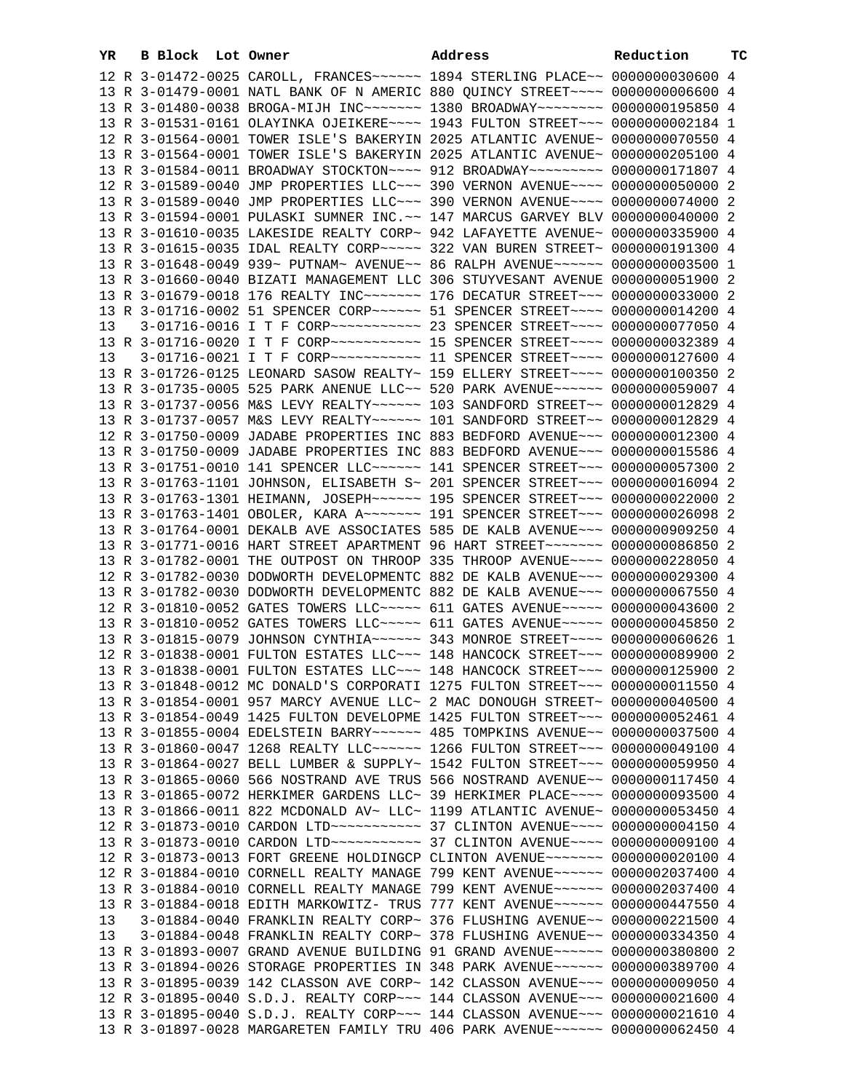| YR | B Block | Lot Owner                                                                                                                                                      | Address | Reduction | тc |
|----|---------|----------------------------------------------------------------------------------------------------------------------------------------------------------------|---------|-----------|----|
|    |         | 12 R 3-01472-0025 CAROLL, FRANCES~~~~~~ 1894 STERLING PLACE~~ 0000000030600 4                                                                                  |         |           |    |
|    |         | 13 R 3-01479-0001 NATL BANK OF N AMERIC 880 QUINCY STREET~~~~ 0000000006600 4                                                                                  |         |           |    |
|    |         | 13 R 3-01480-0038 BROGA-MIJH INC~~~~~~~ 1380 BROADWAY~~~~~~~~ 0000000195850 4                                                                                  |         |           |    |
|    |         | 13 R 3-01531-0161 OLAYINKA OJEIKERE~~~~ 1943 FULTON STREET~~~ 0000000002184 1                                                                                  |         |           |    |
|    |         | 12 R 3-01564-0001 TOWER ISLE'S BAKERYIN 2025 ATLANTIC AVENUE~ 0000000070550 4                                                                                  |         |           |    |
|    |         | 13 R 3-01564-0001 TOWER ISLE'S BAKERYIN 2025 ATLANTIC AVENUE~ 0000000205100 4                                                                                  |         |           |    |
|    |         | 13 R 3-01584-0011 BROADWAY STOCKTON~~~~ 912 BROADWAY~~~~~~~~~ 0000000171807 4                                                                                  |         |           |    |
|    |         | 12 R 3-01589-0040 JMP PROPERTIES LLC~~~ 390 VERNON AVENUE~~~~ 0000000050000 2                                                                                  |         |           |    |
|    |         | 13 R 3-01589-0040 JMP PROPERTIES LLC~~~ 390 VERNON AVENUE~~~~ 0000000074000 2                                                                                  |         |           |    |
|    |         | 13 R 3-01594-0001 PULASKI SUMNER INC. ~~ 147 MARCUS GARVEY BLV 0000000040000 2                                                                                 |         |           |    |
|    |         | 13 R 3-01610-0035 LAKESIDE REALTY CORP~ 942 LAFAYETTE AVENUE~ 0000000335900 4                                                                                  |         |           |    |
|    |         | 13 R 3-01615-0035 IDAL REALTY CORP~~~~~ 322 VAN BUREN STREET~ 0000000191300 4                                                                                  |         |           |    |
|    |         | 13 R 3-01648-0049 939~ PUTNAM~ AVENUE~~ 86 RALPH AVENUE~~~~~~ 00000000003500 1                                                                                 |         |           |    |
|    |         | 13 R 3-01660-0040 BIZATI MANAGEMENT LLC 306 STUYVESANT AVENUE 0000000051900 2                                                                                  |         |           |    |
|    |         | 13 R 3-01679-0018 176 REALTY INC ------- 176 DECATUR STREET -- 0000000033000 2                                                                                 |         |           |    |
|    |         | 13 R 3-01716-0002 51 SPENCER CORP~~~~~~ 51 SPENCER STREET~~~~ 0000000014200 4                                                                                  |         |           |    |
| 13 |         | 3-01716-0016 I T F CORP~~~~~~~~~~~ 23 SPENCER STREET~~~~ 0000000077050 4                                                                                       |         |           |    |
|    |         | 13 R 3-01716-0020 I T F CORP~~~~~~~~~~~~~~~~~~~~~ SPENCER STREET~~~~~ 0000000032389 4                                                                          |         |           |    |
| 13 |         | 3-01716-0021 I T F CORP~~~~~~~~~~~ 11 SPENCER STREET~~~~ 0000000127600 4                                                                                       |         |           |    |
|    |         | 13 R 3-01726-0125 LEONARD SASOW REALTY~ 159 ELLERY STREET~~~~ 0000000100350 2                                                                                  |         |           |    |
|    |         |                                                                                                                                                                |         |           |    |
|    |         | 13 R 3-01735-0005 525 PARK ANENUE LLC~~ 520 PARK AVENUE~~~~~~ 0000000059007 4                                                                                  |         |           |    |
|    |         | 13 R 3-01737-0056 M&S LEVY REALTY~~~~~~ 103 SANDFORD STREET~~ 0000000012829 4                                                                                  |         |           |    |
|    |         | 13 R 3-01737-0057 M&S LEVY REALTY~~~~~~ 101 SANDFORD STREET~~ 0000000012829 4                                                                                  |         |           |    |
|    |         | 12 R 3-01750-0009 JADABE PROPERTIES INC 883 BEDFORD AVENUE~~~ 0000000012300 4                                                                                  |         |           |    |
|    |         | 13 R 3-01750-0009 JADABE PROPERTIES INC 883 BEDFORD AVENUE~~~ 0000000015586 4                                                                                  |         |           |    |
|    |         | 13 R 3-01751-0010 141 SPENCER LLC ----- 141 SPENCER STREET -- 0000000057300 2                                                                                  |         |           |    |
|    |         | 13 R 3-01763-1101 JOHNSON, ELISABETH S~ 201 SPENCER STREET~~~ 0000000016094 2<br>13 R 3-01763-1301 HEIMANN, JOSEPH~~~~~~ 195 SPENCER STREET~~~ 0000000022000 2 |         |           |    |
|    |         |                                                                                                                                                                |         |           |    |
|    |         | 13 R 3-01763-1401 OBOLER, KARA A~~~~~~~ 191 SPENCER STREET~~~ 0000000026098 2                                                                                  |         |           |    |
|    |         | 13 R 3-01764-0001 DEKALB AVE ASSOCIATES 585 DE KALB AVENUE~~~ 0000000909250 4                                                                                  |         |           |    |
|    |         | 13 R 3-01771-0016 HART STREET APARTMENT 96 HART STREET~~~~~~~ 0000000086850 2                                                                                  |         |           |    |
|    |         | 13 R 3-01782-0001 THE OUTPOST ON THROOP 335 THROOP AVENUE~~~~ 0000000228050 4                                                                                  |         |           |    |
|    |         | 12 R 3-01782-0030 DODWORTH DEVELOPMENTC 882 DE KALB AVENUE~~~ 0000000029300 4<br>13 R 3-01782-0030 DODWORTH DEVELOPMENTC 882 DE KALB AVENUE~~~ 0000000067550 4 |         |           |    |
|    |         | 12 R 3-01810-0052 GATES TOWERS LLC ---- 611 GATES AVENUE ---- 0000000043600 2                                                                                  |         |           |    |
|    |         | 13 R 3-01810-0052 GATES TOWERS LLC~~~~~ 611 GATES AVENUE~~~~~ 0000000045850 2                                                                                  |         |           |    |
|    |         | 13 R 3-01815-0079 JOHNSON CYNTHIA~~~~~~ 343 MONROE STREET~~~~ 0000000060626 1                                                                                  |         |           |    |
|    |         | 12 R 3-01838-0001 FULTON ESTATES LLC~~~ 148 HANCOCK STREET~~~ 0000000089900 2                                                                                  |         |           |    |
|    |         | 13 R 3-01838-0001 FULTON ESTATES LLC ~~~ 148 HANCOCK STREET ~~~ 0000000125900 2                                                                                |         |           |    |
|    |         | 13 R 3-01848-0012 MC DONALD'S CORPORATI 1275 FULTON STREET~~~ 0000000011550 4                                                                                  |         |           |    |
|    |         | 13 R 3-01854-0001 957 MARCY AVENUE LLC~ 2 MAC DONOUGH STREET~ 0000000040500 4                                                                                  |         |           |    |
|    |         | 13 R 3-01854-0049 1425 FULTON DEVELOPME 1425 FULTON STREET~~~ 0000000052461 4                                                                                  |         |           |    |
|    |         | 13 R 3-01855-0004 EDELSTEIN BARRY~~~~~~ 485 TOMPKINS AVENUE~~ 0000000037500 4                                                                                  |         |           |    |
|    |         | 13 R 3-01860-0047 1268 REALTY LLC ----- 1266 FULTON STREET -- 0000000049100 4                                                                                  |         |           |    |
|    |         | 13 R 3-01864-0027 BELL LUMBER & SUPPLY~ 1542 FULTON STREET~~~ 0000000059950 4                                                                                  |         |           |    |
|    |         | 13 R 3-01865-0060 566 NOSTRAND AVE TRUS 566 NOSTRAND AVENUE~~ 0000000117450 4                                                                                  |         |           |    |
|    |         | 13 R 3-01865-0072 HERKIMER GARDENS LLC~ 39 HERKIMER PLACE~~~~ 0000000093500 4                                                                                  |         |           |    |
|    |         | 13 R 3-01866-0011 822 MCDONALD AV~ LLC~ 1199 ATLANTIC AVENUE~ 0000000053450 4                                                                                  |         |           |    |
|    |         | 12 R 3-01873-0010 CARDON LTD ---------- 37 CLINTON AVENUE---- 0000000004150 4                                                                                  |         |           |    |
|    |         | 13 R 3-01873-0010 CARDON LTD ----------- 37 CLINTON AVENUE---- 0000000009100 4                                                                                 |         |           |    |
|    |         | 12 R 3-01873-0013 FORT GREENE HOLDINGCP CLINTON AVENUE~~~~~~~ 0000000020100 4                                                                                  |         |           |    |
|    |         | 12 R 3-01884-0010 CORNELL REALTY MANAGE 799 KENT AVENUE~~~~~~ 0000002037400 4                                                                                  |         |           |    |
|    |         | 13 R 3-01884-0010 CORNELL REALTY MANAGE 799 KENT AVENUE~~~~~~ 0000002037400 4                                                                                  |         |           |    |
|    |         | 13 R 3-01884-0018 EDITH MARKOWITZ- TRUS 777 KENT AVENUE~~~~~~ 0000000447550 4                                                                                  |         |           |    |
| 13 |         | 3-01884-0040 FRANKLIN REALTY CORP~ 376 FLUSHING AVENUE~~ 0000000221500 4                                                                                       |         |           |    |
| 13 |         | 3-01884-0048 FRANKLIN REALTY CORP~ 378 FLUSHING AVENUE~~ 0000000334350 4                                                                                       |         |           |    |
|    |         | 13 R 3-01893-0007 GRAND AVENUE BUILDING 91 GRAND AVENUE~~~~~~ 0000000380800 2                                                                                  |         |           |    |
|    |         | 13 R 3-01894-0026 STORAGE PROPERTIES IN 348 PARK AVENUE~~~~~~ 0000000389700 4                                                                                  |         |           |    |
|    |         | 13 R 3-01895-0039 142 CLASSON AVE CORP~ 142 CLASSON AVENUE~~~ 00000000009050 4                                                                                 |         |           |    |
|    |         | 12 R 3-01895-0040 S.D.J. REALTY CORP~~~ 144 CLASSON AVENUE~~~ 0000000021600 4                                                                                  |         |           |    |
|    |         | 13 R 3-01895-0040 S.D.J. REALTY CORP~~~ 144 CLASSON AVENUE~~~ 0000000021610 4                                                                                  |         |           |    |
|    |         | 13 R 3-01897-0028 MARGARETEN FAMILY TRU 406 PARK AVENUE~~~~~~ 0000000062450 4                                                                                  |         |           |    |
|    |         |                                                                                                                                                                |         |           |    |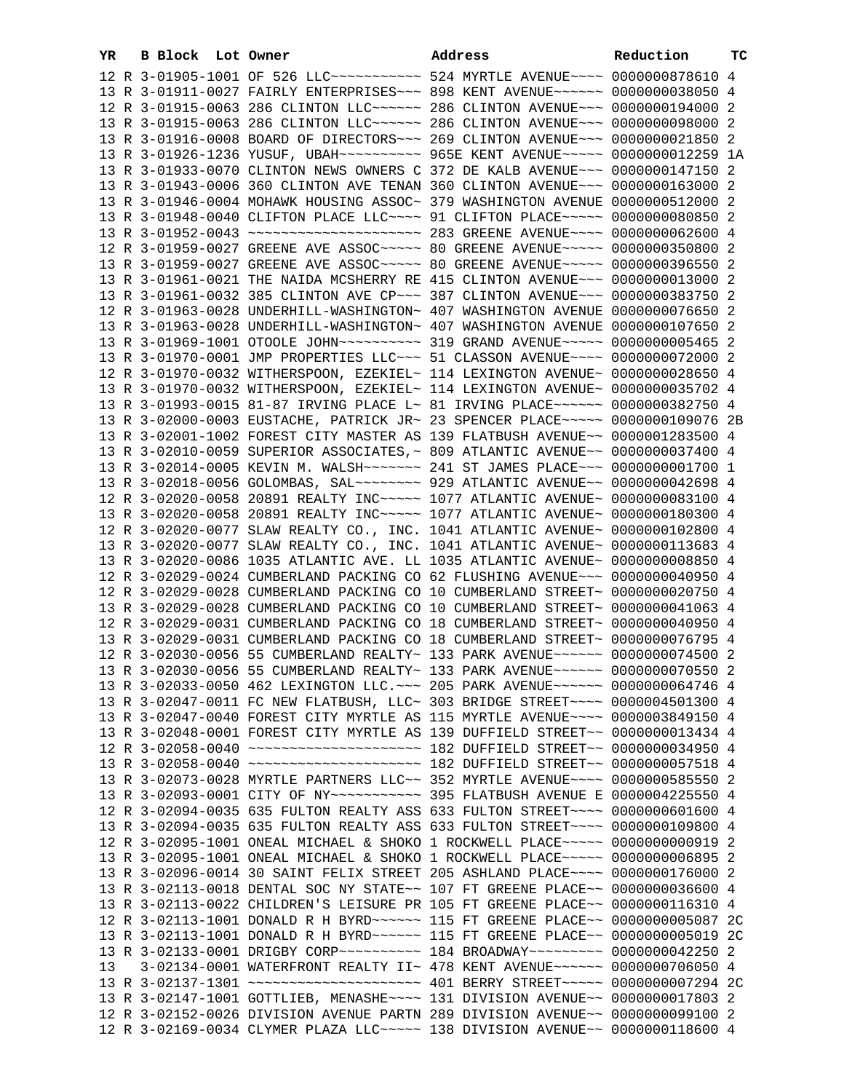| YR | B Block Lot Owner |  | Address                                                                                   | Reduction | тc |
|----|-------------------|--|-------------------------------------------------------------------------------------------|-----------|----|
|    |                   |  | 12 R 3-01905-1001 OF 526 LLC ----------- 524 MYRTLE AVENUE --- 0000000878610 4            |           |    |
|    |                   |  | 13 R 3-01911-0027 FAIRLY ENTERPRISES~~~ 898 KENT AVENUE~~~~~~ 0000000038050 4             |           |    |
|    |                   |  | 12 R 3-01915-0063 286 CLINTON LLC~~~~~~ 286 CLINTON AVENUE~~~ 0000000194000 2             |           |    |
|    |                   |  | 13 R 3-01915-0063 286 CLINTON LLC ----- 286 CLINTON AVENUE -- 0000000098000 2             |           |    |
|    |                   |  | 13 R 3-01916-0008 BOARD OF DIRECTORS ~~~ 269 CLINTON AVENUE ~~~ 0000000021850 2           |           |    |
|    |                   |  | 13 R 3-01926-1236 YUSUF, UBAH~~~~~~~~~~ 965E KENT AVENUE~~~~~ 0000000012259 1A            |           |    |
|    |                   |  | 13 R 3-01933-0070 CLINTON NEWS OWNERS C 372 DE KALB AVENUE~~~ 0000000147150 2             |           |    |
|    |                   |  | 13 R 3-01943-0006 360 CLINTON AVE TENAN 360 CLINTON AVENUE~~~ 0000000163000 2             |           |    |
|    |                   |  | 13 R 3-01946-0004 MOHAWK HOUSING ASSOC~ 379 WASHINGTON AVENUE 0000000512000 2             |           |    |
|    |                   |  | 13 R 3-01948-0040 CLIFTON PLACE LLC --- 91 CLIFTON PLACE ---- 0000000080850 2             |           |    |
|    |                   |  | 13 R 3-01952-0043 ~~~~~~~~~~~~~~~~~~~~~~~~~~~~~~~~ 283 GREENE AVENUE~~~~~ 0000000062600 4 |           |    |
|    |                   |  | 12 R 3-01959-0027 GREENE AVE ASSOC ~~~~~ 80 GREENE AVENUE ~~~~~ 0000000350800 2           |           |    |
|    |                   |  | 13 R 3-01959-0027 GREENE AVE ASSOC~~~~~ 80 GREENE AVENUE~~~~~ 0000000396550 2             |           |    |
|    |                   |  | 13 R 3-01961-0021 THE NAIDA MCSHERRY RE 415 CLINTON AVENUE~~~ 0000000013000 2             |           |    |
|    |                   |  | 13 R 3-01961-0032 385 CLINTON AVE CP~~~ 387 CLINTON AVENUE~~~ 0000000383750 2             |           |    |
|    |                   |  | 12 R 3-01963-0028 UNDERHILL-WASHINGTON~ 407 WASHINGTON AVENUE 0000000076650 2             |           |    |
|    |                   |  | 13 R 3-01963-0028 UNDERHILL-WASHINGTON~ 407 WASHINGTON AVENUE 0000000107650 2             |           |    |
|    |                   |  | 13 R 3-01969-1001 OTOOLE JOHN~~~~~~~~~~~ 319 GRAND AVENUE~~~~~ 0000000005465 2            |           |    |
|    |                   |  | 13 R 3-01970-0001 JMP PROPERTIES LLC~~~ 51 CLASSON AVENUE~~~~ 0000000072000 2             |           |    |
|    |                   |  | 12 R 3-01970-0032 WITHERSPOON, EZEKIEL~ 114 LEXINGTON AVENUE~ 0000000028650 4             |           |    |
|    |                   |  | 13 R 3-01970-0032 WITHERSPOON, EZEKIEL~ 114 LEXINGTON AVENUE~ 0000000035702 4             |           |    |
|    |                   |  | 13 R 3-01993-0015 81-87 IRVING PLACE L~ 81 IRVING PLACE~~~~~~ 0000000382750 4             |           |    |
|    |                   |  | 13 R 3-02000-0003 EUSTACHE, PATRICK JR~ 23 SPENCER PLACE~~~~~ 0000000109076 2B            |           |    |
|    |                   |  | 13 R 3-02001-1002 FOREST CITY MASTER AS 139 FLATBUSH AVENUE~~ 0000001283500 4             |           |    |
|    |                   |  | 13 R 3-02010-0059 SUPERIOR ASSOCIATES, ~ 809 ATLANTIC AVENUE~~ 0000000037400 4            |           |    |
|    |                   |  | 13 R 3-02014-0005 KEVIN M. WALSH~~~~~~~ 241 ST JAMES PLACE~~~ 0000000001700 1             |           |    |
|    |                   |  | 13 R 3-02018-0056 GOLOMBAS, SAL~~~~~~~~ 929 ATLANTIC AVENUE~~ 0000000042698 4             |           |    |
|    |                   |  | 12 R 3-02020-0058 20891 REALTY INC~~~~~ 1077 ATLANTIC AVENUE~ 0000000083100 4             |           |    |
|    |                   |  | 13 R 3-02020-0058 20891 REALTY INC~~~~~ 1077 ATLANTIC AVENUE~ 0000000180300 4             |           |    |
|    |                   |  | 12 R 3-02020-0077 SLAW REALTY CO., INC. 1041 ATLANTIC AVENUE~ 0000000102800 4             |           |    |
|    |                   |  | 13 R 3-02020-0077 SLAW REALTY CO., INC. 1041 ATLANTIC AVENUE~ 0000000113683 4             |           |    |
|    |                   |  | 13 R 3-02020-0086 1035 ATLANTIC AVE. LL 1035 ATLANTIC AVENUE~ 0000000008850 4             |           |    |
|    |                   |  | 12 R 3-02029-0024 CUMBERLAND PACKING CO 62 FLUSHING AVENUE~~~ 0000000040950 4             |           |    |
|    |                   |  | 12 R 3-02029-0028 CUMBERLAND PACKING CO 10 CUMBERLAND STREET~ 0000000020750 4             |           |    |
|    |                   |  | 13 R 3-02029-0028 CUMBERLAND PACKING CO 10 CUMBERLAND STREET~ 0000000041063 4             |           |    |
|    |                   |  | 12 R 3-02029-0031 CUMBERLAND PACKING CO 18 CUMBERLAND STREET~ 0000000040950 4             |           |    |
|    |                   |  | 13 R 3-02029-0031 CUMBERLAND PACKING CO 18 CUMBERLAND STREET~ 0000000076795 4             |           |    |
|    |                   |  | 12 R 3-02030-0056 55 CUMBERLAND REALTY~ 133 PARK AVENUE~~~~~~ 0000000074500 2             |           |    |
|    |                   |  | 13 R 3-02030-0056 55 CUMBERLAND REALTY~ 133 PARK AVENUE~~~~~~ 0000000070550 2             |           |    |
|    |                   |  | 13 R 3-02033-0050 462 LEXINGTON LLC. ~~~ 205 PARK AVENUE~~~~~~ 0000000064746 4            |           |    |
|    |                   |  | 13 R 3-02047-0011 FC NEW FLATBUSH, LLC~ 303 BRIDGE STREET~~~~ 0000004501300 4             |           |    |
|    |                   |  | 13 R 3-02047-0040 FOREST CITY MYRTLE AS 115 MYRTLE AVENUE~~~~ 0000003849150 4             |           |    |
|    |                   |  | 13 R 3-02048-0001 FOREST CITY MYRTLE AS 139 DUFFIELD STREET~~ 0000000013434 4             |           |    |
|    |                   |  |                                                                                           |           |    |
|    |                   |  |                                                                                           |           |    |
|    |                   |  | 13 R 3-02073-0028 MYRTLE PARTNERS LLC~~ 352 MYRTLE AVENUE~~~~ 0000000585550 2             |           |    |
|    |                   |  |                                                                                           |           |    |
|    |                   |  | 12 R 3-02094-0035 635 FULTON REALTY ASS 633 FULTON STREET~~~~ 0000000601600 4             |           |    |
|    |                   |  | 13 R 3-02094-0035 635 FULTON REALTY ASS 633 FULTON STREET~~~~ 0000000109800 4             |           |    |
|    |                   |  | 12 R 3-02095-1001 ONEAL MICHAEL & SHOKO 1 ROCKWELL PLACE~~~~~ 0000000000919 2             |           |    |
|    |                   |  | 13 R 3-02095-1001 ONEAL MICHAEL & SHOKO 1 ROCKWELL PLACE~~~~~ 0000000006895 2             |           |    |
|    |                   |  | 13 R 3-02096-0014 30 SAINT FELIX STREET 205 ASHLAND PLACE~~~~ 0000000176000 2             |           |    |
|    |                   |  | 13 R 3-02113-0018 DENTAL SOC NY STATE~~ 107 FT GREENE PLACE~~ 0000000036600 4             |           |    |
|    |                   |  | 13 R 3-02113-0022 CHILDREN'S LEISURE PR 105 FT GREENE PLACE~~ 0000000116310 4             |           |    |
|    |                   |  | 12 R 3-02113-1001 DONALD R H BYRD~~~~~~ 115 FT GREENE PLACE~~ 0000000005087 2C            |           |    |
|    |                   |  | 13 R 3-02113-1001 DONALD R H BYRD ~~~~~~ 115 FT GREENE PLACE ~~ 0000000005019 2C          |           |    |
|    |                   |  | 13 R 3-02133-0001 DRIGBY CORP~~~~~~~~~~ 184 BROADWAY~~~~~~~~~ 0000000042250 2             |           |    |
| 13 |                   |  | 3-02134-0001 WATERFRONT REALTY II~ 478 KENT AVENUE~~~~~~~ 0000000706050 4                 |           |    |
|    |                   |  | 13 R 3-02137-1301 ~~~~~~~~~~~~~~~~~~~~ 401 BERRY STREET~~~~~ 0000000007294 2C             |           |    |
|    |                   |  | 13 R 3-02147-1001 GOTTLIEB, MENASHE~~~~ 131 DIVISION AVENUE~~ 0000000017803 2             |           |    |
|    |                   |  | 12 R 3-02152-0026 DIVISION AVENUE PARTN 289 DIVISION AVENUE~~ 0000000099100 2             |           |    |
|    |                   |  | 12 R 3-02169-0034 CLYMER PLAZA LLC~~~~~ 138 DIVISION AVENUE~~ 0000000118600 4             |           |    |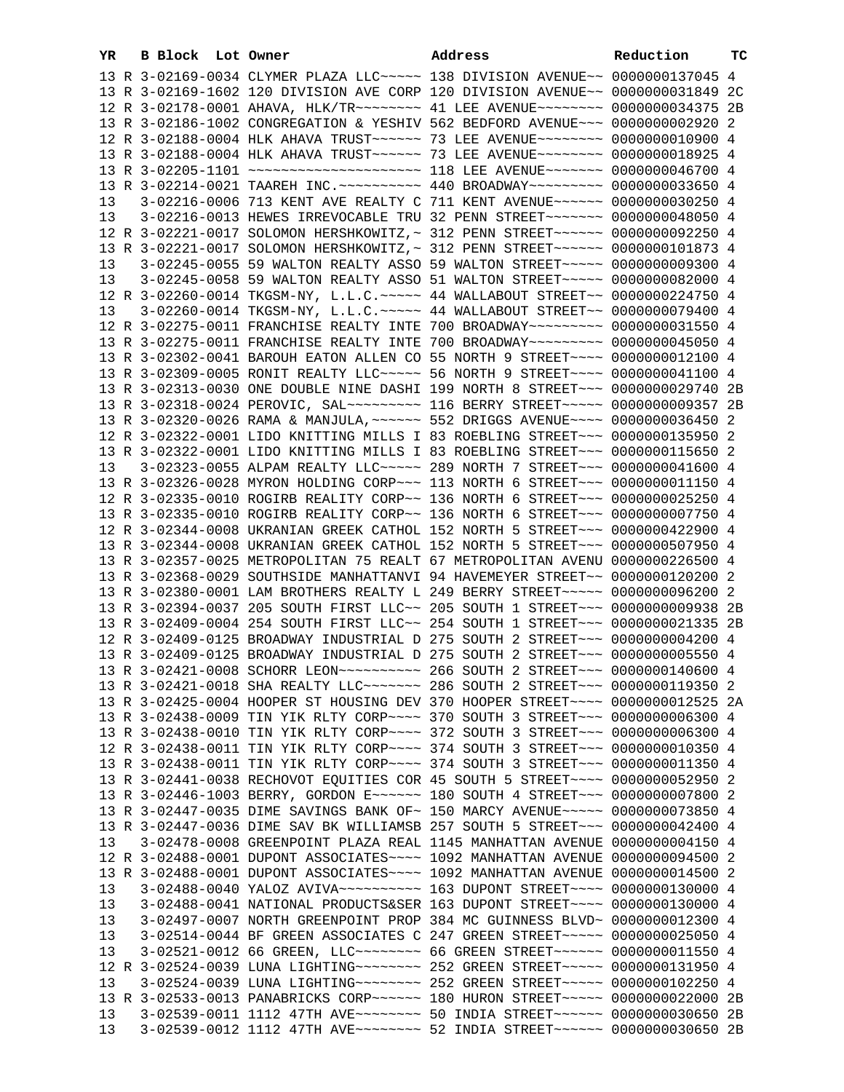| YR | B Block Lot Owner |                                                                                       | Address | Reduction | тC |
|----|-------------------|---------------------------------------------------------------------------------------|---------|-----------|----|
|    |                   | 13 R 3-02169-0034 CLYMER PLAZA LLC ~~~~~ 138 DIVISION AVENUE~~ 0000000137045 4        |         |           |    |
|    |                   | 13 R 3-02169-1602 120 DIVISION AVE CORP 120 DIVISION AVENUE~~ 0000000031849 2C        |         |           |    |
|    |                   | 12 R 3-02178-0001 AHAVA, HLK/TR~~~~~~~~ 41 LEE AVENUE~~~~~~~~ 0000000034375 2B        |         |           |    |
|    |                   | 13 R 3-02186-1002 CONGREGATION & YESHIV 562 BEDFORD AVENUE~~~ 0000000002920 2         |         |           |    |
|    |                   | 12 R 3-02188-0004 HLK AHAVA TRUST~~~~~~ 73 LEE AVENUE~~~~~~~~ 0000000010900 4         |         |           |    |
|    |                   | 13 R 3-02188-0004 HLK AHAVA TRUST~~~~~~ 73 LEE AVENUE~~~~~~~~ 0000000018925 4         |         |           |    |
|    |                   | 13 R 3-02205-1101 ~~~~~~~~~~~~~~~~~~~~~~~~~~~~ 118 LEE AVENUE~~~~~~~~ 0000000046700 4 |         |           |    |
|    |                   | 13 R 3-02214-0021 TAAREH INC. ~~~~~~~~~~ 440 BROADWAY~~~~~~~~~ 0000000033650 4        |         |           |    |
| 13 |                   | 3-02216-0006 713 KENT AVE REALTY C 711 KENT AVENUE~~~~~~ 0000000030250 4              |         |           |    |
| 13 |                   | 3-02216-0013 HEWES IRREVOCABLE TRU 32 PENN STREET~~~~~~~~ 0000000048050 4             |         |           |    |
|    |                   | 12 R 3-02221-0017 SOLOMON HERSHKOWITZ,~ 312 PENN STREET~~~~~~ 0000000092250 4         |         |           |    |
|    |                   | 13 R 3-02221-0017 SOLOMON HERSHKOWITZ, ~ 312 PENN STREET ~~~~~~ 0000000101873 4       |         |           |    |
| 13 |                   | 3-02245-0055 59 WALTON REALTY ASSO 59 WALTON STREET~~~~~ 0000000009300 4              |         |           |    |
| 13 |                   | 3-02245-0058 59 WALTON REALTY ASSO 51 WALTON STREET~~~~~ 0000000082000 4              |         |           |    |
|    |                   | 12 R 3-02260-0014 TKGSM-NY, L.L.C. ~~~~~ 44 WALLABOUT STREET~~ 0000000224750 4        |         |           |    |
| 13 |                   | 3-02260-0014 TKGSM-NY, L.L.C. ~~~~~ 44 WALLABOUT STREET~~ 0000000079400 4             |         |           |    |
|    |                   | 12 R 3-02275-0011 FRANCHISE REALTY INTE 700 BROADWAY~~~~~~~~~ 0000000031550 4         |         |           |    |
|    |                   | 13 R 3-02275-0011 FRANCHISE REALTY INTE 700 BROADWAY~~~~~~~~~ 0000000045050 4         |         |           |    |
|    |                   | 13 R 3-02302-0041 BAROUH EATON ALLEN CO 55 NORTH 9 STREET~~~~ 0000000012100 4         |         |           |    |
|    |                   | 13 R 3-02309-0005 RONIT REALTY LLC ---- 56 NORTH 9 STREET --- 0000000041100 4         |         |           |    |
|    |                   | 13 R 3-02313-0030 ONE DOUBLE NINE DASHI 199 NORTH 8 STREET~~~ 0000000029740 2B        |         |           |    |
|    |                   | 13 R 3-02318-0024 PEROVIC, SAL~~~~~~~~~~~~~~ 116 BERRY STREET~~~~~~ 0000000009357 2B  |         |           |    |
|    |                   | 13 R 3-02320-0026 RAMA & MANJULA, ~~~~~~ 552 DRIGGS AVENUE~~~~ 0000000036450 2        |         |           |    |
|    |                   | 12 R 3-02322-0001 LIDO KNITTING MILLS I 83 ROEBLING STREET~~~ 0000000135950 2         |         |           |    |
|    |                   | 13 R 3-02322-0001 LIDO KNITTING MILLS I 83 ROEBLING STREET~~~ 0000000115650 2         |         |           |    |
| 13 |                   | 3-02323-0055 ALPAM REALTY LLC ---- 289 NORTH 7 STREET -- 0000000041600 4              |         |           |    |
|    |                   | 13 R 3-02326-0028 MYRON HOLDING CORP~~~ 113 NORTH 6 STREET~~~ 0000000011150 4         |         |           |    |
|    |                   | 12 R 3-02335-0010 ROGIRB REALITY CORP~~ 136 NORTH 6 STREET~~~ 0000000025250 4         |         |           |    |
|    |                   | 13 R 3-02335-0010 ROGIRB REALITY CORP~~ 136 NORTH 6 STREET~~~ 0000000007750 4         |         |           |    |
|    |                   | 12 R 3-02344-0008 UKRANIAN GREEK CATHOL 152 NORTH 5 STREET~~~ 0000000422900 4         |         |           |    |
|    |                   | 13 R 3-02344-0008 UKRANIAN GREEK CATHOL 152 NORTH 5 STREET~~~ 0000000507950 4         |         |           |    |
|    |                   | 13 R 3-02357-0025 METROPOLITAN 75 REALT 67 METROPOLITAN AVENU 0000000226500 4         |         |           |    |
|    |                   | 13 R 3-02368-0029 SOUTHSIDE MANHATTANVI 94 HAVEMEYER STREET~~ 0000000120200 2         |         |           |    |
|    |                   | 13 R 3-02380-0001 LAM BROTHERS REALTY L 249 BERRY STREET~~~~~ 0000000096200 2         |         |           |    |
|    |                   | 13 R 3-02394-0037 205 SOUTH FIRST LLC~~ 205 SOUTH 1 STREET~~~ 0000000009938 2B        |         |           |    |
|    |                   | 13 R 3-02409-0004 254 SOUTH FIRST LLC~~ 254 SOUTH 1 STREET~~~ 0000000021335 2B        |         |           |    |
|    |                   | 12 R 3-02409-0125 BROADWAY INDUSTRIAL D 275 SOUTH 2 STREET~~~ 0000000004200 4         |         |           |    |
|    |                   | 13 R 3-02409-0125 BROADWAY INDUSTRIAL D 275 SOUTH 2 STREET~~~ 0000000005550 4         |         |           |    |
|    |                   |                                                                                       |         |           |    |
|    |                   | 13 R 3-02421-0018 SHA REALTY LLC ------ 286 SOUTH 2 STREET --- 0000000119350 2        |         |           |    |
|    |                   | 13 R 3-02425-0004 HOOPER ST HOUSING DEV 370 HOOPER STREET~~~~ 0000000012525 2A        |         |           |    |
|    |                   | 13 R 3-02438-0009 TIN YIK RLTY CORP~~~~ 370 SOUTH 3 STREET~~~ 0000000006300 4         |         |           |    |
|    |                   | 13 R 3-02438-0010 TIN YIK RLTY CORP~~~~ 372 SOUTH 3 STREET~~~ 0000000006300 4         |         |           |    |
|    |                   | 12 R 3-02438-0011 TIN YIK RLTY CORP~~~~ 374 SOUTH 3 STREET~~~ 0000000010350 4         |         |           |    |
|    |                   | 13 R 3-02438-0011 TIN YIK RLTY CORP~~~~ 374 SOUTH 3 STREET~~~ 0000000011350 4         |         |           |    |
|    |                   | 13 R 3-02441-0038 RECHOVOT EQUITIES COR 45 SOUTH 5 STREET~~~~ 0000000052950 2         |         |           |    |
|    |                   | 13 R 3-02446-1003 BERRY, GORDON E~~~~~~ 180 SOUTH 4 STREET~~~ 0000000007800 2         |         |           |    |
|    |                   | 13 R 3-02447-0035 DIME SAVINGS BANK OF~ 150 MARCY AVENUE~~~~~ 0000000073850 4         |         |           |    |
|    |                   | 13 R 3-02447-0036 DIME SAV BK WILLIAMSB 257 SOUTH 5 STREET~~~ 0000000042400 4         |         |           |    |
| 13 |                   | 3-02478-0008 GREENPOINT PLAZA REAL 1145 MANHATTAN AVENUE 0000000004150 4              |         |           |    |
|    |                   | 12 R 3-02488-0001 DUPONT ASSOCIATES~~~~ 1092 MANHATTAN AVENUE 0000000094500 2         |         |           |    |
|    |                   | 13 R 3-02488-0001 DUPONT ASSOCIATES~~~~ 1092 MANHATTAN AVENUE 0000000014500 2         |         |           |    |
| 13 |                   |                                                                                       |         |           |    |
| 13 |                   | 3-02488-0041 NATIONAL PRODUCTS&SER 163 DUPONT STREET~~~~ 0000000130000 4              |         |           |    |
| 13 |                   | 3-02497-0007 NORTH GREENPOINT PROP 384 MC GUINNESS BLVD~ 0000000012300 4              |         |           |    |
| 13 |                   | 3-02514-0044 BF GREEN ASSOCIATES C 247 GREEN STREET~~~~~ 0000000025050 4              |         |           |    |
| 13 |                   | 3-02521-0012 66 GREEN, LLC -------- 66 GREEN STREET ----- 0000000011550 4             |         |           |    |
|    |                   | 12 R 3-02524-0039 LUNA LIGHTING~~~~~~~~ 252 GREEN STREET~~~~~ 0000000131950 4         |         |           |    |
| 13 |                   | 3-02524-0039 LUNA LIGHTING~~~~~~~~ 252 GREEN STREET~~~~~ 0000000102250 4              |         |           |    |
|    |                   | 13 R 3-02533-0013 PANABRICKS CORP~~~~~~ 180 HURON STREET~~~~~ 0000000022000 2B        |         |           |    |
| 13 |                   | 3-02539-0011 1112 47TH AVE -------- 50 INDIA STREET ------ 0000000030650 2B           |         |           |    |
| 13 |                   | 3-02539-0012 1112 47TH AVE~~~~~~~~~~~~~~~ 52 INDIA STREET~~~~~~~ 0000000030650 2B     |         |           |    |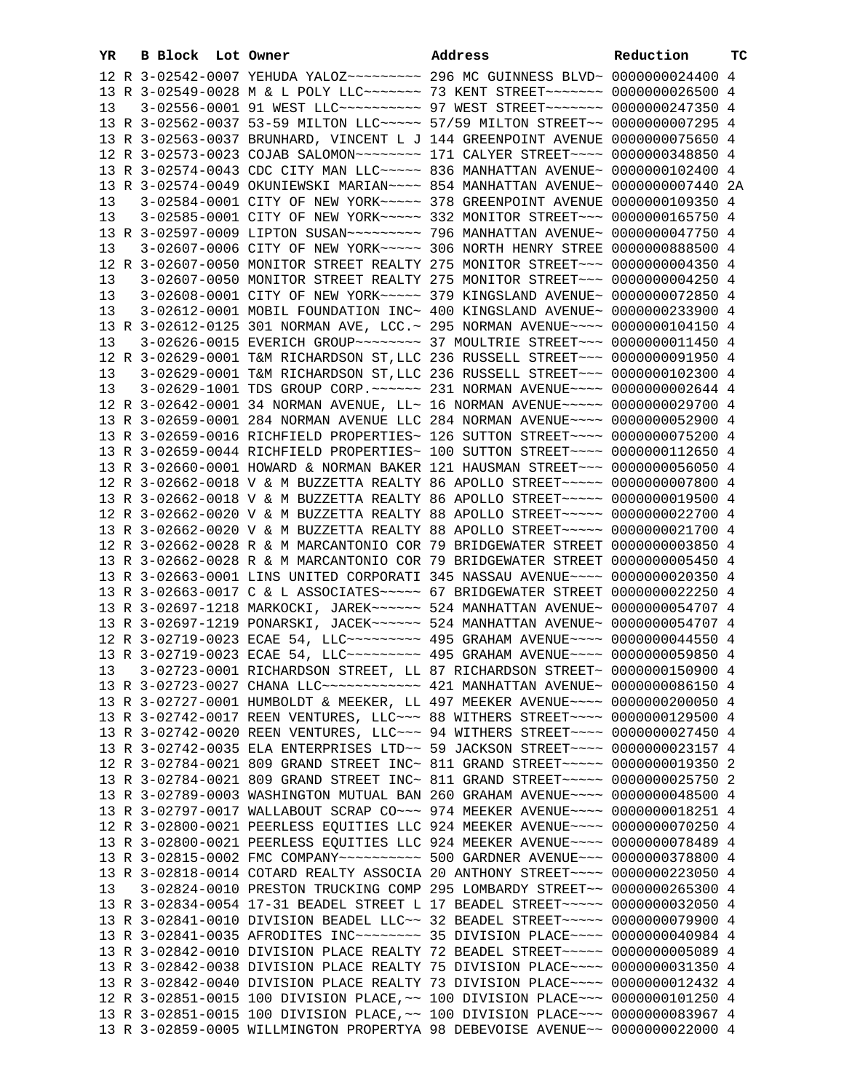| YR | B Block Lot Owner |                                                                                                                                                                | Address | Reduction | тC |
|----|-------------------|----------------------------------------------------------------------------------------------------------------------------------------------------------------|---------|-----------|----|
|    |                   |                                                                                                                                                                |         |           |    |
|    |                   | 13 R 3-02549-0028 M & L POLY LLC ------ 73 KENT STREET ------ 0000000026500 4                                                                                  |         |           |    |
| 13 |                   | 3-02556-0001 91 WEST LLC ---------- 97 WEST STREET ------ 0000000247350 4                                                                                      |         |           |    |
|    |                   | 13 R 3-02562-0037 53-59 MILTON LLC ~~~~~ 57/59 MILTON STREET ~~ 0000000007295 4                                                                                |         |           |    |
|    |                   | 13 R 3-02563-0037 BRUNHARD, VINCENT L J 144 GREENPOINT AVENUE 0000000075650 4                                                                                  |         |           |    |
|    |                   | 12 R 3-02573-0023 COJAB SALOMON~~~~~~~~~ 171 CALYER STREET~~~~ 0000000348850 4                                                                                 |         |           |    |
|    |                   | 13 R 3-02574-0043 CDC CITY MAN LLC ~~~~~ 836 MANHATTAN AVENUE ~ 0000000102400 4                                                                                |         |           |    |
|    |                   | 13 R 3-02574-0049 OKUNIEWSKI MARIAN~~~~ 854 MANHATTAN AVENUE~ 0000000007440 2A                                                                                 |         |           |    |
| 13 |                   | 3-02584-0001 CITY OF NEW YORK~~~~~ 378 GREENPOINT AVENUE 0000000109350 4                                                                                       |         |           |    |
| 13 |                   | 3-02585-0001 CITY OF NEW YORK~~~~~ 332 MONITOR STREET~~~ 0000000165750 4                                                                                       |         |           |    |
|    |                   |                                                                                                                                                                |         |           |    |
| 13 |                   | 3-02607-0006 CITY OF NEW YORK~~~~~ 306 NORTH HENRY STREE 0000000888500 4                                                                                       |         |           |    |
|    |                   | 12 R 3-02607-0050 MONITOR STREET REALTY 275 MONITOR STREET~~~ 0000000004350 4                                                                                  |         |           |    |
| 13 |                   | 3-02607-0050 MONITOR STREET REALTY 275 MONITOR STREET~~~ 0000000004250 4                                                                                       |         |           |    |
| 13 |                   | 3-02608-0001 CITY OF NEW YORK~~~~~ 379 KINGSLAND AVENUE~ 0000000072850 4                                                                                       |         |           |    |
| 13 |                   | 3-02612-0001 MOBIL FOUNDATION INC~ 400 KINGSLAND AVENUE~ 0000000233900 4                                                                                       |         |           |    |
|    |                   | 13 R 3-02612-0125 301 NORMAN AVE, LCC. ~ 295 NORMAN AVENUE~~~~ 0000000104150 4                                                                                 |         |           |    |
| 13 |                   | 3-02626-0015 EVERICH GROUP~~~~~~~~ 37 MOULTRIE STREET~~~ 00000000011450 4                                                                                      |         |           |    |
|    |                   | 12 R 3-02629-0001 T&M RICHARDSON ST, LLC 236 RUSSELL STREET~~~ 0000000091950 4                                                                                 |         |           |    |
| 13 |                   | 3-02629-0001 T&M RICHARDSON ST, LLC 236 RUSSELL STREET~~~ 0000000102300 4                                                                                      |         |           |    |
| 13 |                   | 3-02629-1001 TDS GROUP CORP. ~~~~~~ 231 NORMAN AVENUE~~~~ 0000000002644 4                                                                                      |         |           |    |
|    |                   | 12 R 3-02642-0001 34 NORMAN AVENUE, LL~ 16 NORMAN AVENUE~~~~~ 0000000029700 4                                                                                  |         |           |    |
|    |                   | 13 R 3-02659-0001 284 NORMAN AVENUE LLC 284 NORMAN AVENUE~~~~ 0000000052900 4                                                                                  |         |           |    |
|    |                   | 13 R 3-02659-0016 RICHFIELD PROPERTIES~ 126 SUTTON STREET~~~~ 0000000075200 4                                                                                  |         |           |    |
|    |                   | 13 R 3-02659-0044 RICHFIELD PROPERTIES~ 100 SUTTON STREET~~~~ 0000000112650 4                                                                                  |         |           |    |
|    |                   | 13 R 3-02660-0001 HOWARD & NORMAN BAKER 121 HAUSMAN STREET~~~ 0000000056050 4                                                                                  |         |           |    |
|    |                   | 12 R 3-02662-0018 V & M BUZZETTA REALTY 86 APOLLO STREET~~~~~ 0000000007800 4                                                                                  |         |           |    |
|    |                   | 13 R 3-02662-0018 V & M BUZZETTA REALTY 86 APOLLO STREET~~~~~ 0000000019500 4                                                                                  |         |           |    |
|    |                   | 12 R 3-02662-0020 V & M BUZZETTA REALTY 88 APOLLO STREET~~~~~ 0000000022700 4                                                                                  |         |           |    |
|    |                   | 13 R 3-02662-0020 V & M BUZZETTA REALTY 88 APOLLO STREET~~~~~ 0000000021700 4                                                                                  |         |           |    |
|    |                   | 12 R 3-02662-0028 R & M MARCANTONIO COR 79 BRIDGEWATER STREET 0000000003850 4                                                                                  |         |           |    |
|    |                   | 13 R 3-02662-0028 R & M MARCANTONIO COR 79 BRIDGEWATER STREET 0000000005450 4                                                                                  |         |           |    |
|    |                   | 13 R 3-02663-0001 LINS UNITED CORPORATI 345 NASSAU AVENUE~~~~ 0000000020350 4                                                                                  |         |           |    |
|    |                   | 13 R 3-02663-0017 C & L ASSOCIATES~~~~~ 67 BRIDGEWATER STREET 0000000022250 4                                                                                  |         |           |    |
|    |                   | 13 R 3-02697-1218 MARKOCKI, JAREK~~~~~~ 524 MANHATTAN AVENUE~ 0000000054707 4                                                                                  |         |           |    |
|    |                   | 13 R 3-02697-1219 PONARSKI, JACEK~~~~~~ 524 MANHATTAN AVENUE~ 0000000054707 4                                                                                  |         |           |    |
|    |                   | 12 R 3-02719-0023 ECAE 54, LLC -------- 495 GRAHAM AVENUE --- 0000000044550 4                                                                                  |         |           |    |
|    |                   | 13 R 3-02719-0023 ECAE 54, LLC -------- 495 GRAHAM AVENUE --- 0000000059850 4                                                                                  |         |           |    |
|    |                   | 13  3-02723-0001 RICHARDSON STREET, LL 87 RICHARDSON STREET~ 0000000150900 4                                                                                   |         |           |    |
|    |                   | 13 R 3-02723-0027 CHANA LLC ----------- 421 MANHATTAN AVENUE ~ 0000000086150 4                                                                                 |         |           |    |
|    |                   | 13 R 3-02727-0001 HUMBOLDT & MEEKER, LL 497 MEEKER AVENUE~~~~ 0000000200050 4                                                                                  |         |           |    |
|    |                   | 13 R 3-02742-0017 REEN VENTURES, LLC ~~~ 88 WITHERS STREET ~~~~ 0000000129500 4                                                                                |         |           |    |
|    |                   | 13 R 3-02742-0020 REEN VENTURES, LLC ~~~ 94 WITHERS STREET ~~~~ 0000000027450 4                                                                                |         |           |    |
|    |                   | 13 R 3-02742-0035 ELA ENTERPRISES LTD~~ 59 JACKSON STREET~~~~ 0000000023157 4                                                                                  |         |           |    |
|    |                   | 12 R 3-02784-0021 809 GRAND STREET INC~ 811 GRAND STREET~~~~~ 0000000019350 2                                                                                  |         |           |    |
|    |                   | 13 R 3-02784-0021 809 GRAND STREET INC~ 811 GRAND STREET~~~~~ 0000000025750 2                                                                                  |         |           |    |
|    |                   | 13 R 3-02789-0003 WASHINGTON MUTUAL BAN 260 GRAHAM AVENUE~~~~ 0000000048500 4<br>13 R 3-02797-0017 WALLABOUT SCRAP CO~~~ 974 MEEKER AVENUE~~~~ 0000000018251 4 |         |           |    |
|    |                   | 12 R 3-02800-0021 PEERLESS EQUITIES LLC 924 MEEKER AVENUE~~~~ 0000000070250 4                                                                                  |         |           |    |
|    |                   | 13 R 3-02800-0021 PEERLESS EQUITIES LLC 924 MEEKER AVENUE~~~~ 0000000078489 4                                                                                  |         |           |    |
|    |                   | 13 R 3-02815-0002 FMC COMPANY~~~~~~~~~~~ 500 GARDNER AVENUE~~~ 0000000378800 4                                                                                 |         |           |    |
|    |                   | 13 R 3-02818-0014 COTARD REALTY ASSOCIA 20 ANTHONY STREET~~~~ 0000000223050 4                                                                                  |         |           |    |
| 13 |                   | 3-02824-0010 PRESTON TRUCKING COMP 295 LOMBARDY STREET~~ 0000000265300 4                                                                                       |         |           |    |
|    |                   | 13 R 3-02834-0054 17-31 BEADEL STREET L 17 BEADEL STREET~~~~~ 0000000032050 4                                                                                  |         |           |    |
|    |                   | 13 R 3-02841-0010 DIVISION BEADEL LLC~~ 32 BEADEL STREET~~~~~ 0000000079900 4                                                                                  |         |           |    |
|    |                   | 13 R 3-02841-0035 AFRODITES INC~~~~~~~~ 35 DIVISION PLACE~~~~ 0000000040984 4                                                                                  |         |           |    |
|    |                   | 13 R 3-02842-0010 DIVISION PLACE REALTY 72 BEADEL STREET~~~~~ 0000000005089 4                                                                                  |         |           |    |
|    |                   | 13 R 3-02842-0038 DIVISION PLACE REALTY 75 DIVISION PLACE~~~~ 0000000031350 4                                                                                  |         |           |    |
|    |                   | 13 R 3-02842-0040 DIVISION PLACE REALTY 73 DIVISION PLACE~~~~ 0000000012432 4                                                                                  |         |           |    |
|    |                   | 12 R 3-02851-0015 100 DIVISION PLACE, ~~ 100 DIVISION PLACE~~~ 0000000101250 4                                                                                 |         |           |    |
|    |                   | 13 R 3-02851-0015 100 DIVISION PLACE, ~~ 100 DIVISION PLACE~~~ 0000000083967 4                                                                                 |         |           |    |
|    |                   | 13 R 3-02859-0005 WILLMINGTON PROPERTYA 98 DEBEVOISE AVENUE~~ 0000000022000 4                                                                                  |         |           |    |
|    |                   |                                                                                                                                                                |         |           |    |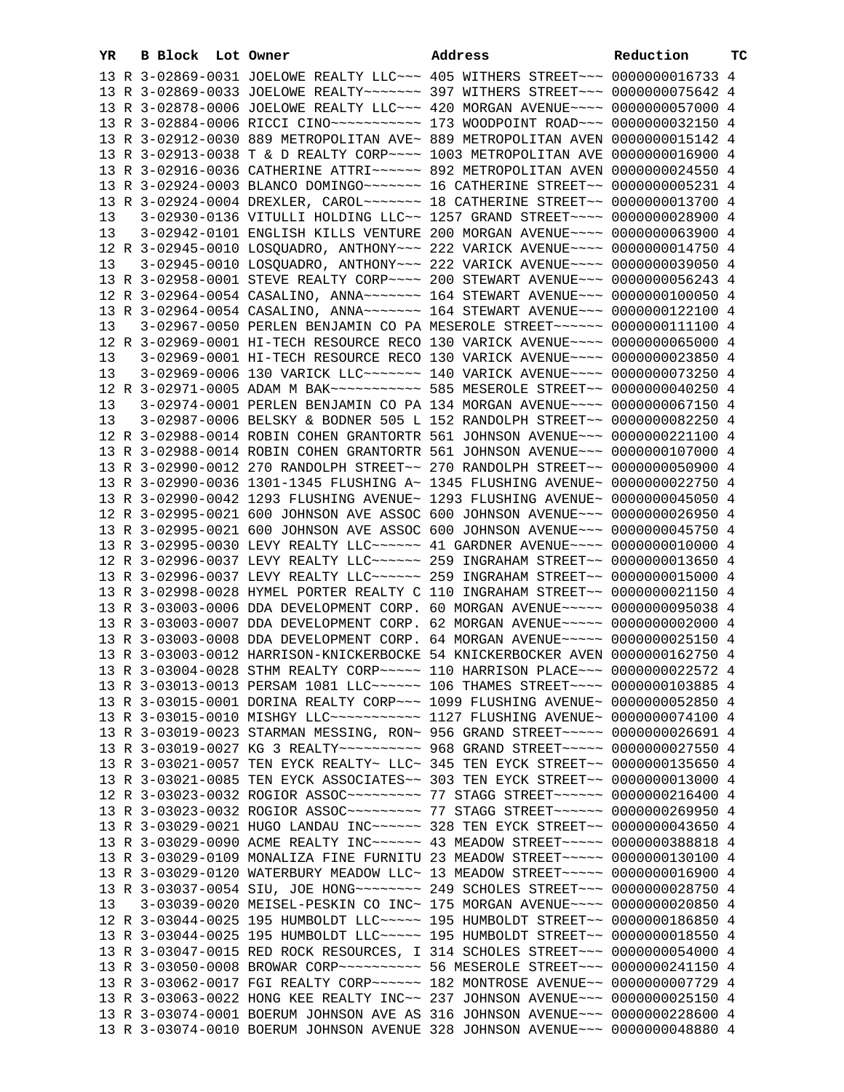| YR | B Block Lot Owner |  | Address                                                                                                                                                                | Reduction | ТC |
|----|-------------------|--|------------------------------------------------------------------------------------------------------------------------------------------------------------------------|-----------|----|
|    |                   |  | 13 R 3-02869-0031 JOELOWE REALTY LLC~~~ 405 WITHERS STREET~~~ 00000000016733 4                                                                                         |           |    |
|    |                   |  | 13 R 3-02869-0033 JOELOWE REALTY~~~~~~~ 397 WITHERS STREET~~~ 0000000075642 4                                                                                          |           |    |
|    |                   |  | 13 R 3-02878-0006 JOELOWE REALTY LLC -~~ 420 MORGAN AVENUE -~~~ 0000000057000 4                                                                                        |           |    |
|    |                   |  | 13 R 3-02884-0006 RICCI CINO~~~~~~~~~~~~~~~~ 173 WOODPOINT ROAD~~~ 0000000032150 4                                                                                     |           |    |
|    |                   |  | 13 R 3-02912-0030 889 METROPOLITAN AVE~ 889 METROPOLITAN AVEN 0000000015142 4                                                                                          |           |    |
|    |                   |  | 13 R 3-02913-0038 T & D REALTY CORP~~~~ 1003 METROPOLITAN AVE 0000000016900 4                                                                                          |           |    |
|    |                   |  | 13 R 3-02916-0036 CATHERINE ATTRI~~~~~~ 892 METROPOLITAN AVEN 0000000024550 4                                                                                          |           |    |
|    |                   |  |                                                                                                                                                                        |           |    |
|    |                   |  | 13 R 3-02924-0004 DREXLER, CAROL~~~~~~~~ 18 CATHERINE STREET~~ 0000000013700 4                                                                                         |           |    |
| 13 |                   |  | 3-02930-0136 VITULLI HOLDING LLC~~ 1257 GRAND STREET~~~~ 0000000028900 4                                                                                               |           |    |
| 13 |                   |  | 3-02942-0101 ENGLISH KILLS VENTURE 200 MORGAN AVENUE~~~~ 0000000063900 4                                                                                               |           |    |
|    |                   |  | 12 R 3-02945-0010 LOSQUADRO, ANTHONY~~~ 222 VARICK AVENUE~~~~ 0000000014750 4                                                                                          |           |    |
| 13 |                   |  | 3-02945-0010 LOSQUADRO, ANTHONY~~~ 222 VARICK AVENUE~~~~ 0000000039050 4                                                                                               |           |    |
|    |                   |  | 13 R 3-02958-0001 STEVE REALTY CORP~~~~ 200 STEWART AVENUE~~~ 0000000056243 4                                                                                          |           |    |
|    |                   |  | 12 R 3-02964-0054 CASALINO, ANNA~~~~~~~ 164 STEWART AVENUE~~~ 0000000100050 4                                                                                          |           |    |
|    |                   |  | 13 R 3-02964-0054 CASALINO, ANNA~~~~~~~ 164 STEWART AVENUE~~~ 0000000122100 4                                                                                          |           |    |
| 13 |                   |  | 3-02967-0050 PERLEN BENJAMIN CO PA MESEROLE STREET~~~~~~ 0000000111100 4                                                                                               |           |    |
|    |                   |  | 12 R 3-02969-0001 HI-TECH RESOURCE RECO 130 VARICK AVENUE~~~~ 0000000065000 4                                                                                          |           |    |
| 13 |                   |  | 3-02969-0001 HI-TECH RESOURCE RECO 130 VARICK AVENUE~~~~ 0000000023850 4<br>3-02969-0006 130 VARICK LLC ------ 140 VARICK AVENUE --- 0000000073250 4                   |           |    |
| 13 |                   |  |                                                                                                                                                                        |           |    |
| 13 |                   |  | 12 R 3-02971-0005 ADAM M BAK~~~~~~~~~~~~~~~ 585 MESEROLE STREET~~ 0000000040250 4<br>3-02974-0001 PERLEN BENJAMIN CO PA 134 MORGAN AVENUE~~~~ 0000000067150 4          |           |    |
| 13 |                   |  | 3-02987-0006 BELSKY & BODNER 505 L 152 RANDOLPH STREET~~ 0000000082250 4                                                                                               |           |    |
|    |                   |  | 12 R 3-02988-0014 ROBIN COHEN GRANTORTR 561 JOHNSON AVENUE~~~ 0000000221100 4                                                                                          |           |    |
|    |                   |  | 13 R 3-02988-0014 ROBIN COHEN GRANTORTR 561 JOHNSON AVENUE~~~ 0000000107000 4                                                                                          |           |    |
|    |                   |  | 13 R 3-02990-0012 270 RANDOLPH STREET~~ 270 RANDOLPH STREET~~ 0000000050900 4                                                                                          |           |    |
|    |                   |  | 13 R 3-02990-0036 1301-1345 FLUSHING A~ 1345 FLUSHING AVENUE~ 0000000022750 4                                                                                          |           |    |
|    |                   |  | 13 R 3-02990-0042 1293 FLUSHING AVENUE~ 1293 FLUSHING AVENUE~ 0000000045050 4                                                                                          |           |    |
|    |                   |  | 12 R 3-02995-0021 600 JOHNSON AVE ASSOC 600 JOHNSON AVENUE~~~ 0000000026950 4                                                                                          |           |    |
|    |                   |  | 13 R 3-02995-0021 600 JOHNSON AVE ASSOC 600 JOHNSON AVENUE~~~ 0000000045750 4                                                                                          |           |    |
|    |                   |  | 13 R 3-02995-0030 LEVY REALTY LLC ----- 41 GARDNER AVENUE --- 0000000010000 4                                                                                          |           |    |
|    |                   |  | 12 R 3-02996-0037 LEVY REALTY LLC ~~~~~~ 259 INGRAHAM STREET ~~ 0000000013650 4                                                                                        |           |    |
|    |                   |  | 13 R 3-02996-0037 LEVY REALTY LLC ~~~~~~ 259 INGRAHAM STREET ~~ 0000000015000 4                                                                                        |           |    |
|    |                   |  | 13 R 3-02998-0028 HYMEL PORTER REALTY C 110 INGRAHAM STREET~~ 0000000021150 4                                                                                          |           |    |
|    |                   |  | 13 R 3-03003-0006 DDA DEVELOPMENT CORP. 60 MORGAN AVENUE~~~~~ 0000000095038 4                                                                                          |           |    |
|    |                   |  | 13 R 3-03003-0007 DDA DEVELOPMENT CORP. 62 MORGAN AVENUE~~~~~ 00000000002000 4                                                                                         |           |    |
|    |                   |  | 13 R 3-03003-0008 DDA DEVELOPMENT CORP. 64 MORGAN AVENUE~~~~~ 0000000025150 4                                                                                          |           |    |
|    |                   |  | 13 R 3-03003-0012 HARRISON-KNICKERBOCKE 54 KNICKERBOCKER AVEN 0000000162750 4                                                                                          |           |    |
|    |                   |  | 13 R 3-03004-0028 STHM REALTY CORP~~~~~ 110 HARRISON PLACE~~~ 0000000022572 4                                                                                          |           |    |
|    |                   |  | 13 R 3-03013-0013 PERSAM 1081 LLC ~~~~~~ 106 THAMES STREET ~~~~ 0000000103885 4                                                                                        |           |    |
|    |                   |  | 13 R 3-03015-0001 DORINA REALTY CORP~~~ 1099 FLUSHING AVENUE~ 0000000052850 4                                                                                          |           |    |
|    |                   |  | 13 R 3-03015-0010 MISHGY LLC ----------- 1127 FLUSHING AVENUE ~ 0000000074100 4                                                                                        |           |    |
|    |                   |  | 13 R 3-03019-0023 STARMAN MESSING, RON~ 956 GRAND STREET~~~~~ 0000000026691 4                                                                                          |           |    |
|    |                   |  | 13 R 3-03019-0027 KG 3 REALTY~~~~~~~~~~~ 968 GRAND STREET~~~~~ 0000000027550 4                                                                                         |           |    |
|    |                   |  | 13 R 3-03021-0057 TEN EYCK REALTY~ LLC~ 345 TEN EYCK STREET~~ 0000000135650 4                                                                                          |           |    |
|    |                   |  | 13 R 3-03021-0085 TEN EYCK ASSOCIATES~~ 303 TEN EYCK STREET~~ 0000000013000 4                                                                                          |           |    |
|    |                   |  | 12 R 3-03023-0032 ROGIOR ASSOC~~~~~~~~~~~~~~~~ 77 STAGG STREET~~~~~~~ 0000000216400 4                                                                                  |           |    |
|    |                   |  | 13 R 3-03023-0032 ROGIOR ASSOC~~~~~~~~~~~~~~~~ 77 STAGG STREET~~~~~~~ 0000000269950 4<br>13 R 3-03029-0021 HUGO LANDAU INC~~~~~~ 328 TEN EYCK STREET~~ 0000000043650 4 |           |    |
|    |                   |  | 13 R 3-03029-0090 ACME REALTY INC~~~~~~ 43 MEADOW STREET~~~~~ 0000000388818 4                                                                                          |           |    |
|    |                   |  | 13 R 3-03029-0109 MONALIZA FINE FURNITU 23 MEADOW STREET~~~~~ 0000000130100 4                                                                                          |           |    |
|    |                   |  | 13 R 3-03029-0120 WATERBURY MEADOW LLC~ 13 MEADOW STREET~~~~~ 0000000016900 4                                                                                          |           |    |
|    |                   |  |                                                                                                                                                                        |           |    |
| 13 |                   |  | 3-03039-0020 MEISEL-PESKIN CO INC~ 175 MORGAN AVENUE~~~~ 0000000020850 4                                                                                               |           |    |
|    |                   |  | 12 R 3-03044-0025 195 HUMBOLDT LLC ~~~~~ 195 HUMBOLDT STREET ~~ 0000000186850 4                                                                                        |           |    |
|    |                   |  | 13 R 3-03044-0025 195 HUMBOLDT LLC~~~~~ 195 HUMBOLDT STREET~~ 0000000018550 4                                                                                          |           |    |
|    |                   |  | 13 R 3-03047-0015 RED ROCK RESOURCES, I 314 SCHOLES STREET~~~ 0000000054000 4                                                                                          |           |    |
|    |                   |  | 13 R 3-03050-0008 BROWAR CORP~~~~~~~~~~ 56 MESEROLE STREET~~~ 0000000241150 4                                                                                          |           |    |
|    |                   |  | 13 R 3-03062-0017 FGI REALTY CORP~~~~~~ 182 MONTROSE AVENUE~~ 0000000007729 4                                                                                          |           |    |
|    |                   |  | 13 R 3-03063-0022 HONG KEE REALTY INC~~ 237 JOHNSON AVENUE~~~ 0000000025150 4                                                                                          |           |    |
|    |                   |  | 13 R 3-03074-0001 BOERUM JOHNSON AVE AS 316 JOHNSON AVENUE~~~ 0000000228600 4                                                                                          |           |    |
|    |                   |  | 13 R 3-03074-0010 BOERUM JOHNSON AVENUE 328 JOHNSON AVENUE~~~ 0000000048880 4                                                                                          |           |    |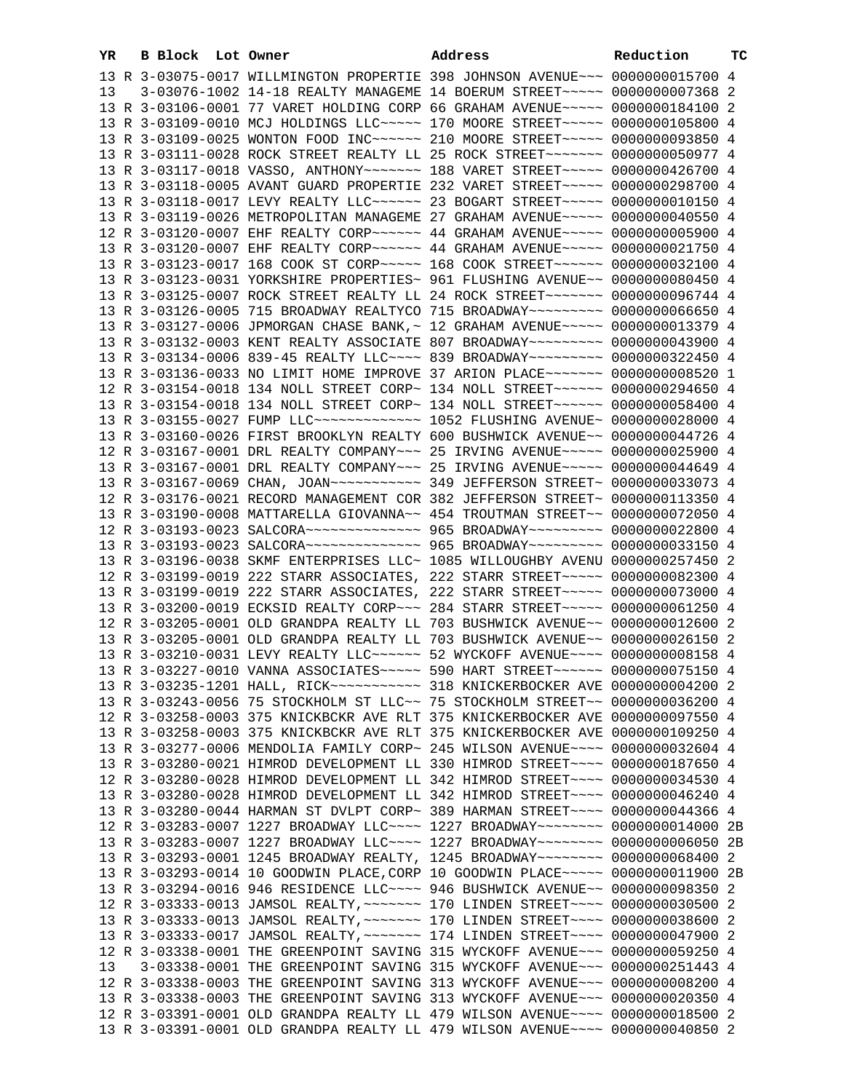| YR. | B Block Lot Owner |                                                                                                                                                                 | Address | Reduction | тC |
|-----|-------------------|-----------------------------------------------------------------------------------------------------------------------------------------------------------------|---------|-----------|----|
|     |                   | 13 R 3-03075-0017 WILLMINGTON PROPERTIE 398 JOHNSON AVENUE~~~ 0000000015700 4                                                                                   |         |           |    |
| 13  |                   | 3-03076-1002 14-18 REALTY MANAGEME 14 BOERUM STREET~~~~~ 0000000007368 2                                                                                        |         |           |    |
|     |                   | 13 R 3-03106-0001 77 VARET HOLDING CORP 66 GRAHAM AVENUE~~~~~ 0000000184100 2                                                                                   |         |           |    |
|     |                   | 13 R 3-03109-0010 MCJ HOLDINGS LLC ---- 170 MOORE STREET ---- 0000000105800 4                                                                                   |         |           |    |
|     |                   | 13 R 3-03109-0025 WONTON FOOD INC~~~~~~ 210 MOORE STREET~~~~~ 0000000093850 4                                                                                   |         |           |    |
|     |                   | 13 R 3-03111-0028 ROCK STREET REALTY LL 25 ROCK STREET~~~~~~~ 0000000050977 4                                                                                   |         |           |    |
|     |                   | 13 R 3-03117-0018 VASSO, ANTHONY~~~~~~~ 188 VARET STREET~~~~~ 0000000426700 4                                                                                   |         |           |    |
|     |                   | 13 R 3-03118-0005 AVANT GUARD PROPERTIE 232 VARET STREET~~~~~ 0000000298700 4                                                                                   |         |           |    |
|     |                   | 13 R 3-03118-0017 LEVY REALTY LLC ----- 23 BOGART STREET ---- 0000000010150 4                                                                                   |         |           |    |
|     |                   | 13 R 3-03119-0026 METROPOLITAN MANAGEME 27 GRAHAM AVENUE~~~~~ 0000000040550 4                                                                                   |         |           |    |
|     |                   | 12 R 3-03120-0007 EHF REALTY CORP~~~~~~ 44 GRAHAM AVENUE~~~~~ 0000000005900 4                                                                                   |         |           |    |
|     |                   | 13 R 3-03120-0007 EHF REALTY CORP~~~~~~ 44 GRAHAM AVENUE~~~~~ 0000000021750 4                                                                                   |         |           |    |
|     |                   | 13 R 3-03123-0017 168 COOK ST CORP~~~~~ 168 COOK STREET~~~~~~ 0000000032100 4                                                                                   |         |           |    |
|     |                   | 13 R 3-03123-0031 YORKSHIRE PROPERTIES~ 961 FLUSHING AVENUE~~ 0000000080450 4                                                                                   |         |           |    |
|     |                   | 13 R 3-03125-0007 ROCK STREET REALTY LL 24 ROCK STREET~~~~~~~ 0000000096744 4                                                                                   |         |           |    |
|     |                   | 13 R 3-03126-0005 715 BROADWAY REALTYCO 715 BROADWAY~~~~~~~~~ 0000000066650 4                                                                                   |         |           |    |
|     |                   | 13 R 3-03127-0006 JPMORGAN CHASE BANK, ~ 12 GRAHAM AVENUE~~~~~ 0000000013379 4                                                                                  |         |           |    |
|     |                   | 13 R 3-03132-0003 KENT REALTY ASSOCIATE 807 BROADWAY~~~~~~~~~ 0000000043900 4                                                                                   |         |           |    |
|     |                   | 13 R 3-03134-0006 839-45 REALTY LLC --- 839 BROADWAY -------- 0000000322450 4                                                                                   |         |           |    |
|     |                   | 13 R 3-03136-0033 NO LIMIT HOME IMPROVE 37 ARION PLACE~~~~~~~ 00000000008520 1                                                                                  |         |           |    |
|     |                   | 12 R 3-03154-0018 134 NOLL STREET CORP~ 134 NOLL STREET~~~~~~ 0000000294650 4<br>13 R 3-03154-0018 134 NOLL STREET CORP~ 134 NOLL STREET~~~~~~~ 0000000058400 4 |         |           |    |
|     |                   | 13 R 3-03155-0027 FUMP LLC ------------- 1052 FLUSHING AVENUE ~ 0000000028000 4                                                                                 |         |           |    |
|     |                   | 13 R 3-03160-0026 FIRST BROOKLYN REALTY 600 BUSHWICK AVENUE~~ 0000000044726 4                                                                                   |         |           |    |
|     |                   | 12 R 3-03167-0001 DRL REALTY COMPANY~~~ 25 IRVING AVENUE~~~~~ 0000000025900 4                                                                                   |         |           |    |
|     |                   | 13 R 3-03167-0001 DRL REALTY COMPANY~~~ 25 IRVING AVENUE~~~~~ 0000000044649 4                                                                                   |         |           |    |
|     |                   |                                                                                                                                                                 |         |           |    |
|     |                   | 12 R 3-03176-0021 RECORD MANAGEMENT COR 382 JEFFERSON STREET~ 0000000113350 4                                                                                   |         |           |    |
|     |                   | 13 R 3-03190-0008 MATTARELLA GIOVANNA~~ 454 TROUTMAN STREET~~ 0000000072050 4                                                                                   |         |           |    |
|     |                   | 12 R 3-03193-0023 SALCORA~~~~~~~~~~~~~~~ 965 BROADWAY~~~~~~~~~ 0000000022800 4                                                                                  |         |           |    |
|     |                   | 13 R 3-03193-0023 SALCORA~~~~~~~~~~~~~~~ 965 BROADWAY~~~~~~~~~ 0000000033150 4                                                                                  |         |           |    |
|     |                   | 13 R 3-03196-0038 SKMF ENTERPRISES LLC~ 1085 WILLOUGHBY AVENU 0000000257450 2                                                                                   |         |           |    |
|     |                   | 12 R 3-03199-0019 222 STARR ASSOCIATES, 222 STARR STREET~~~~~ 0000000082300 4                                                                                   |         |           |    |
|     |                   | 13 R 3-03199-0019 222 STARR ASSOCIATES, 222 STARR STREET~~~~~ 0000000073000 4                                                                                   |         |           |    |
|     |                   | 13 R 3-03200-0019 ECKSID REALTY CORP~~~ 284 STARR STREET~~~~~ 0000000061250 4                                                                                   |         |           |    |
|     |                   | 12 R 3-03205-0001 OLD GRANDPA REALTY LL 703 BUSHWICK AVENUE~~ 0000000012600 2                                                                                   |         |           |    |
|     |                   | 13 R 3-03205-0001 OLD GRANDPA REALTY LL 703 BUSHWICK AVENUE~~ 0000000026150 2                                                                                   |         |           |    |
|     |                   | 13 R 3-03210-0031 LEVY REALTY LLC ~~~~~~ 52 WYCKOFF AVENUE ~~~~ 00000000008158 4                                                                                |         |           |    |
|     |                   | 13 R 3-03227-0010 VANNA ASSOCIATES~~~~~ 590 HART STREET~~~~~~ 0000000075150 4                                                                                   |         |           |    |
|     |                   |                                                                                                                                                                 |         |           |    |
|     |                   | 13 R 3-03243-0056 75 STOCKHOLM ST LLC~~ 75 STOCKHOLM STREET~~ 0000000036200 4                                                                                   |         |           |    |
|     |                   | 12 R 3-03258-0003 375 KNICKBCKR AVE RLT 375 KNICKERBOCKER AVE 0000000097550 4                                                                                   |         |           |    |
|     |                   | 13 R 3-03258-0003 375 KNICKBCKR AVE RLT 375 KNICKERBOCKER AVE 0000000109250 4                                                                                   |         |           |    |
|     |                   | 13 R 3-03277-0006 MENDOLIA FAMILY CORP~ 245 WILSON AVENUE~~~~ 0000000032604 4<br>13 R 3-03280-0021 HIMROD DEVELOPMENT LL 330 HIMROD STREET~~~~ 0000000187650 4  |         |           |    |
|     |                   | 12 R 3-03280-0028 HIMROD DEVELOPMENT LL 342 HIMROD STREET~~~~ 0000000034530 4                                                                                   |         |           |    |
|     |                   | 13 R 3-03280-0028 HIMROD DEVELOPMENT LL 342 HIMROD STREET~~~~ 0000000046240 4                                                                                   |         |           |    |
|     |                   | 13 R 3-03280-0044 HARMAN ST DVLPT CORP~ 389 HARMAN STREET~~~~ 0000000044366 4                                                                                   |         |           |    |
|     |                   | 12 R 3-03283-0007 1227 BROADWAY LLC --- 1227 BROADWAY ------ 0000000014000 2B                                                                                   |         |           |    |
|     |                   | 13 R 3-03283-0007 1227 BROADWAY LLC --- 1227 BROADWAY ------ 00000000006050 2B                                                                                  |         |           |    |
|     |                   | 13 R 3-03293-0001 1245 BROADWAY REALTY, 1245 BROADWAY~~~~~~~~ 0000000068400 2                                                                                   |         |           |    |
|     |                   | 13 R 3-03293-0014 10 GOODWIN PLACE, CORP 10 GOODWIN PLACE~~~~~ 0000000011900 2B                                                                                 |         |           |    |
|     |                   | 13 R 3-03294-0016 946 RESIDENCE LLC~~~~ 946 BUSHWICK AVENUE~~ 0000000098350 2                                                                                   |         |           |    |
|     |                   | 12 R 3-03333-0013 JAMSOL REALTY, ~~~~~~~ 170 LINDEN STREET~~~~ 0000000030500 2                                                                                  |         |           |    |
|     |                   | 13 R 3-03333-0013 JAMSOL REALTY, ~~~~~~~ 170 LINDEN STREET~~~~ 0000000038600 2                                                                                  |         |           |    |
|     |                   | 13 R 3-03333-0017 JAMSOL REALTY, ~~~~~~~ 174 LINDEN STREET~~~~ 0000000047900 2                                                                                  |         |           |    |
|     |                   | 12 R 3-03338-0001 THE GREENPOINT SAVING 315 WYCKOFF AVENUE~~~ 0000000059250 4                                                                                   |         |           |    |
| 13  |                   | 3-03338-0001 THE GREENPOINT SAVING 315 WYCKOFF AVENUE~~~ 0000000251443 4                                                                                        |         |           |    |
|     |                   | 12 R 3-03338-0003 THE GREENPOINT SAVING 313 WYCKOFF AVENUE~~~ 0000000008200 4                                                                                   |         |           |    |
|     |                   | 13 R 3-03338-0003 THE GREENPOINT SAVING 313 WYCKOFF AVENUE~~~ 0000000020350 4                                                                                   |         |           |    |
|     |                   | 12 R 3-03391-0001 OLD GRANDPA REALTY LL 479 WILSON AVENUE~~~~ 0000000018500 2                                                                                   |         |           |    |
|     |                   | 13 R 3-03391-0001 OLD GRANDPA REALTY LL 479 WILSON AVENUE~~~~ 0000000040850 2                                                                                   |         |           |    |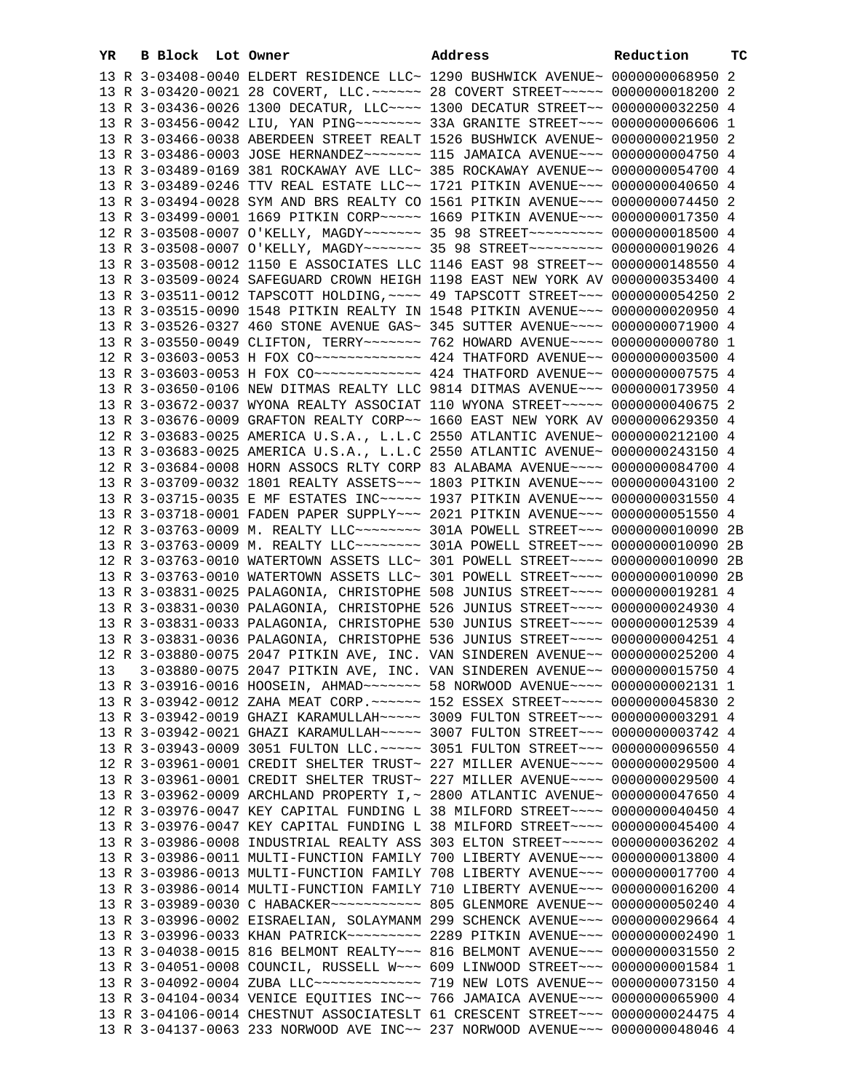| YR. | B Block Lot Owner |                                                                                                                                                                | Address | Reduction | тC |
|-----|-------------------|----------------------------------------------------------------------------------------------------------------------------------------------------------------|---------|-----------|----|
|     |                   | 13 R 3-03408-0040 ELDERT RESIDENCE LLC~ 1290 BUSHWICK AVENUE~ 0000000068950 2                                                                                  |         |           |    |
|     |                   | 13 R 3-03420-0021 28 COVERT, LLC. ~~~~~~ 28 COVERT STREET~~~~~ 0000000018200 2                                                                                 |         |           |    |
|     |                   | 13 R 3-03436-0026 1300 DECATUR, LLC --- 1300 DECATUR STREET -~ 0000000032250 4                                                                                 |         |           |    |
|     |                   |                                                                                                                                                                |         |           |    |
|     |                   | 13 R 3-03466-0038 ABERDEEN STREET REALT 1526 BUSHWICK AVENUE~ 0000000021950 2                                                                                  |         |           |    |
|     |                   | 13 R 3-03486-0003 JOSE HERNANDEZ~~~~~~~ 115 JAMAICA AVENUE~~~ 0000000004750 4                                                                                  |         |           |    |
|     |                   | 13 R 3-03489-0169 381 ROCKAWAY AVE LLC~ 385 ROCKAWAY AVENUE~~ 0000000054700 4                                                                                  |         |           |    |
|     |                   | 13 R 3-03489-0246 TTV REAL ESTATE LLC~~ 1721 PITKIN AVENUE~~~ 0000000040650 4                                                                                  |         |           |    |
|     |                   | 13 R 3-03494-0028 SYM AND BRS REALTY CO 1561 PITKIN AVENUE~~~ 0000000074450 2                                                                                  |         |           |    |
|     |                   | 13 R 3-03499-0001 1669 PITKIN CORP~~~~~ 1669 PITKIN AVENUE~~~ 0000000017350 4                                                                                  |         |           |    |
|     |                   | 12 R 3-03508-0007 O'KELLY, MAGDY~~~~~~~ 35 98 STREET~~~~~~~~~ 0000000018500 4                                                                                  |         |           |    |
|     |                   | 13 R 3-03508-0007 O'KELLY, MAGDY~~~~~~~ 35 98 STREET~~~~~~~~~ 0000000019026 4                                                                                  |         |           |    |
|     |                   | 13 R 3-03508-0012 1150 E ASSOCIATES LLC 1146 EAST 98 STREET~~ 0000000148550 4                                                                                  |         |           |    |
|     |                   | 13 R 3-03509-0024 SAFEGUARD CROWN HEIGH 1198 EAST NEW YORK AV 0000000353400 4                                                                                  |         |           |    |
|     |                   | 13 R 3-03511-0012 TAPSCOTT HOLDING, ~~~~ 49 TAPSCOTT STREET~~~ 0000000054250 2                                                                                 |         |           |    |
|     |                   | 13 R 3-03515-0090 1548 PITKIN REALTY IN 1548 PITKIN AVENUE~~~ 0000000020950 4                                                                                  |         |           |    |
|     |                   | 13 R 3-03526-0327 460 STONE AVENUE GAS~ 345 SUTTER AVENUE~~~~ 0000000071900 4                                                                                  |         |           |    |
|     |                   | 13 R 3-03550-0049 CLIFTON, TERRY~~~~~~~ 762 HOWARD AVENUE~~~~ 0000000000780 1                                                                                  |         |           |    |
|     |                   | 12 R 3-03603-0053 H FOX CO ------------- 424 THATFORD AVENUE -~ 0000000003500 4                                                                                |         |           |    |
|     |                   |                                                                                                                                                                |         |           |    |
|     |                   | 13 R 3-03650-0106 NEW DITMAS REALTY LLC 9814 DITMAS AVENUE~~~ 0000000173950 4                                                                                  |         |           |    |
|     |                   | 13 R 3-03672-0037 WYONA REALTY ASSOCIAT 110 WYONA STREET~~~~~ 0000000040675 2                                                                                  |         |           |    |
|     |                   | 13 R 3-03676-0009 GRAFTON REALTY CORP~~ 1660 EAST NEW YORK AV 0000000629350 4                                                                                  |         |           |    |
|     |                   | 12 R 3-03683-0025 AMERICA U.S.A., L.L.C 2550 ATLANTIC AVENUE~ 0000000212100 4                                                                                  |         |           |    |
|     |                   | 13 R 3-03683-0025 AMERICA U.S.A., L.L.C 2550 ATLANTIC AVENUE~ 0000000243150 4                                                                                  |         |           |    |
|     |                   | 12 R 3-03684-0008 HORN ASSOCS RLTY CORP 83 ALABAMA AVENUE~~~~ 0000000084700 4                                                                                  |         |           |    |
|     |                   | 13 R 3-03709-0032 1801 REALTY ASSETS ~~~ 1803 PITKIN AVENUE ~~~ 0000000043100 2                                                                                |         |           |    |
|     |                   | 13 R 3-03715-0035 E MF ESTATES INC~~~~~ 1937 PITKIN AVENUE~~~ 0000000031550 4                                                                                  |         |           |    |
|     |                   | 13 R 3-03718-0001 FADEN PAPER SUPPLY~~~ 2021 PITKIN AVENUE~~~ 0000000051550 4                                                                                  |         |           |    |
|     |                   | 12 R 3-03763-0009 M. REALTY LLC~~~~~~~~~ 301A POWELL STREET~~~ 0000000010090 2B                                                                                |         |           |    |
|     |                   | 13 R 3-03763-0009 M. REALTY LLC~~~~~~~~~ 301A POWELL STREET~~~ 0000000010090 2B                                                                                |         |           |    |
|     |                   | 12 R 3-03763-0010 WATERTOWN ASSETS LLC~ 301 POWELL STREET~~~~ 0000000010090 2B                                                                                 |         |           |    |
|     |                   | 13 R 3-03763-0010 WATERTOWN ASSETS LLC~ 301 POWELL STREET~~~~ 0000000010090 2B                                                                                 |         |           |    |
|     |                   | 13 R 3-03831-0025 PALAGONIA, CHRISTOPHE 508 JUNIUS STREET~~~~ 0000000019281 4                                                                                  |         |           |    |
|     |                   | 13 R 3-03831-0030 PALAGONIA, CHRISTOPHE 526 JUNIUS STREET~~~~ 0000000024930 4                                                                                  |         |           |    |
|     |                   | 13 R 3-03831-0033 PALAGONIA, CHRISTOPHE 530 JUNIUS STREET~~~~ 0000000012539 4                                                                                  |         |           |    |
|     |                   | 13 R 3-03831-0036 PALAGONIA, CHRISTOPHE 536 JUNIUS STREET~~~~ 0000000004251 4                                                                                  |         |           |    |
|     |                   | 12 R 3-03880-0075 2047 PITKIN AVE, INC. VAN SINDEREN AVENUE~~ 0000000025200 4                                                                                  |         |           |    |
|     |                   | 13  3-03880-0075  2047 PITKIN AVE, INC. VAN SINDEREN AVENUE~~ 0000000015750  4                                                                                 |         |           |    |
|     |                   | 13 R 3-03916-0016 HOOSEIN, AHMAD~~~~~~~ 58 NORWOOD AVENUE~~~~ 0000000002131 1                                                                                  |         |           |    |
|     |                   | 13 R 3-03942-0012 ZAHA MEAT CORP. ~~~~~~ 152 ESSEX STREET~~~~~ 0000000045830 2                                                                                 |         |           |    |
|     |                   | 13 R 3-03942-0019 GHAZI KARAMULLAH~~~~~ 3009 FULTON STREET~~~ 0000000003291 4                                                                                  |         |           |    |
|     |                   | 13 R 3-03942-0021 GHAZI KARAMULLAH~~~~~ 3007 FULTON STREET~~~ 0000000003742 4                                                                                  |         |           |    |
|     |                   | 13 R 3-03943-0009 3051 FULTON LLC. ~~~~~ 3051 FULTON STREET~~~ 0000000096550 4                                                                                 |         |           |    |
|     |                   | 12 R 3-03961-0001 CREDIT SHELTER TRUST~ 227 MILLER AVENUE~~~~ 0000000029500 4                                                                                  |         |           |    |
|     |                   | 13 R 3-03961-0001 CREDIT SHELTER TRUST~ 227 MILLER AVENUE~~~~ 0000000029500 4                                                                                  |         |           |    |
|     |                   | 13 R 3-03962-0009 ARCHLAND PROPERTY I, ~ 2800 ATLANTIC AVENUE~ 0000000047650 4                                                                                 |         |           |    |
|     |                   | 12 R 3-03976-0047 KEY CAPITAL FUNDING L 38 MILFORD STREET~~~~ 0000000040450 4                                                                                  |         |           |    |
|     |                   | 13 R 3-03976-0047 KEY CAPITAL FUNDING L 38 MILFORD STREET~~~~ 0000000045400 4<br>13 R 3-03986-0008 INDUSTRIAL REALTY ASS 303 ELTON STREET~~~~~ 0000000036202 4 |         |           |    |
|     |                   | 13 R 3-03986-0011 MULTI-FUNCTION FAMILY 700 LIBERTY AVENUE~~~ 0000000013800 4                                                                                  |         |           |    |
|     |                   | 13 R 3-03986-0013 MULTI-FUNCTION FAMILY 708 LIBERTY AVENUE~~~ 0000000017700 4                                                                                  |         |           |    |
|     |                   | 13 R 3-03986-0014 MULTI-FUNCTION FAMILY 710 LIBERTY AVENUE~~~ 0000000016200 4                                                                                  |         |           |    |
|     |                   |                                                                                                                                                                |         |           |    |
|     |                   | 13 R 3-03996-0002 EISRAELIAN, SOLAYMANM 299 SCHENCK AVENUE~~~ 0000000029664 4                                                                                  |         |           |    |
|     |                   | 13 R 3-03996-0033 KHAN PATRICK~~~~~~~~~ 2289 PITKIN AVENUE~~~ 0000000002490 1                                                                                  |         |           |    |
|     |                   | 13 R 3-04038-0015 816 BELMONT REALTY~~~ 816 BELMONT AVENUE~~~ 0000000031550 2                                                                                  |         |           |    |
|     |                   | 13 R 3-04051-0008 COUNCIL, RUSSELL W~~~ 609 LINWOOD STREET~~~ 00000000001584 1                                                                                 |         |           |    |
|     |                   | 13 R 3-04092-0004 ZUBA LLC ------------- 719 NEW LOTS AVENUE -~ 0000000073150 4                                                                                |         |           |    |
|     |                   | 13 R 3-04104-0034 VENICE EQUITIES INC~~ 766 JAMAICA AVENUE~~~ 0000000065900 4                                                                                  |         |           |    |
|     |                   | 13 R 3-04106-0014 CHESTNUT ASSOCIATESLT 61 CRESCENT STREET~~~ 0000000024475 4                                                                                  |         |           |    |
|     |                   | 13 R 3-04137-0063 233 NORWOOD AVE INC~~ 237 NORWOOD AVENUE~~~ 0000000048046 4                                                                                  |         |           |    |
|     |                   |                                                                                                                                                                |         |           |    |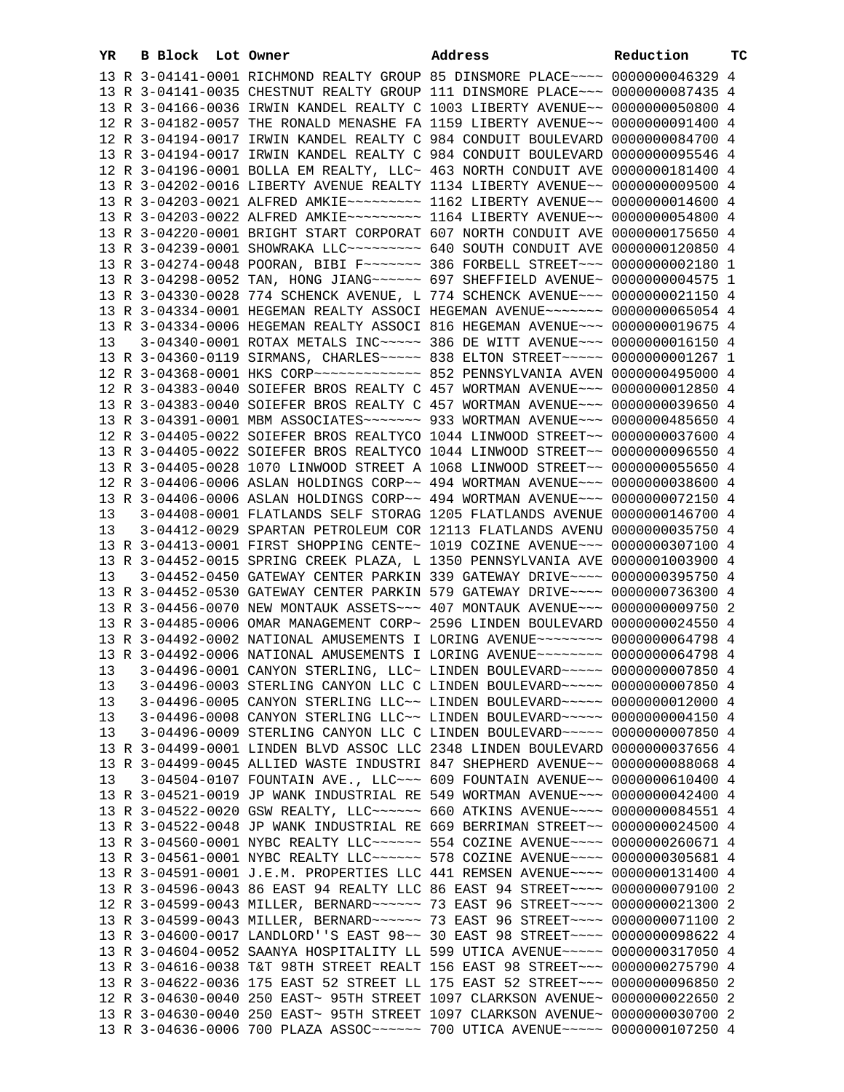| YR       | <b>B Block</b> Lot Owner |  | Address                                                                                                                                                                   | Reduction | ТC |
|----------|--------------------------|--|---------------------------------------------------------------------------------------------------------------------------------------------------------------------------|-----------|----|
|          |                          |  | 13 R 3-04141-0001 RICHMOND REALTY GROUP 85 DINSMORE PLACE~~~~ 0000000046329 4                                                                                             |           |    |
|          |                          |  | 13 R 3-04141-0035 CHESTNUT REALTY GROUP 111 DINSMORE PLACE~~~ 0000000087435 4                                                                                             |           |    |
|          |                          |  | 13 R 3-04166-0036 IRWIN KANDEL REALTY C 1003 LIBERTY AVENUE~~ 0000000050800 4                                                                                             |           |    |
|          |                          |  | 12 R 3-04182-0057 THE RONALD MENASHE FA 1159 LIBERTY AVENUE~~ 0000000091400 4                                                                                             |           |    |
|          |                          |  | 12 R 3-04194-0017 IRWIN KANDEL REALTY C 984 CONDUIT BOULEVARD 0000000084700 4                                                                                             |           |    |
|          |                          |  | 13 R 3-04194-0017 IRWIN KANDEL REALTY C 984 CONDUIT BOULEVARD 0000000095546 4                                                                                             |           |    |
|          |                          |  | 12 R 3-04196-0001 BOLLA EM REALTY, LLC~ 463 NORTH CONDUIT AVE 0000000181400 4                                                                                             |           |    |
|          |                          |  | 13 R 3-04202-0016 LIBERTY AVENUE REALTY 1134 LIBERTY AVENUE~~ 0000000009500 4                                                                                             |           |    |
|          |                          |  | 13 R 3-04203-0021 ALFRED AMKIE~~~~~~~~~ 1162 LIBERTY AVENUE~~ 0000000014600 4                                                                                             |           |    |
|          |                          |  | 13 R 3-04203-0022 ALFRED AMKIE~~~~~~~~~ 1164 LIBERTY AVENUE~~ 0000000054800 4                                                                                             |           |    |
|          |                          |  | 13 R 3-04220-0001 BRIGHT START CORPORAT 607 NORTH CONDUIT AVE 0000000175650 4<br>13 R 3-04239-0001 SHOWRAKA LLC -------- 640 SOUTH CONDUIT AVE 0000000120850 4            |           |    |
|          |                          |  | 13 R 3-04274-0048 POORAN, BIBI F~~~~~~~ 386 FORBELL STREET~~~ 0000000002180 1                                                                                             |           |    |
|          |                          |  | 13 R 3-04298-0052 TAN, HONG JIANG ~~~~~~ 697 SHEFFIELD AVENUE~ 0000000004575 1                                                                                            |           |    |
|          |                          |  | 13 R 3-04330-0028 774 SCHENCK AVENUE, L 774 SCHENCK AVENUE~~~ 0000000021150 4                                                                                             |           |    |
|          |                          |  | 13 R 3-04334-0001 HEGEMAN REALTY ASSOCI HEGEMAN AVENUE~~~~~~~ 0000000065054 4                                                                                             |           |    |
|          |                          |  | 13 R 3-04334-0006 HEGEMAN REALTY ASSOCI 816 HEGEMAN AVENUE~~~ 0000000019675 4                                                                                             |           |    |
| 13       |                          |  | 3-04340-0001 ROTAX METALS INC~~~~~ 386 DE WITT AVENUE~~~ 00000000016150 4                                                                                                 |           |    |
|          |                          |  | 13 R 3-04360-0119 SIRMANS, CHARLES~~~~~ 838 ELTON STREET~~~~~ 00000000001267 1                                                                                            |           |    |
|          |                          |  |                                                                                                                                                                           |           |    |
|          |                          |  | 12 R 3-04383-0040 SOIEFER BROS REALTY C 457 WORTMAN AVENUE~~~ 0000000012850 4                                                                                             |           |    |
|          |                          |  | 13 R 3-04383-0040 SOIEFER BROS REALTY C 457 WORTMAN AVENUE~~~ 0000000039650 4                                                                                             |           |    |
|          |                          |  | 13 R 3-04391-0001 MBM ASSOCIATES~~~~~~~ 933 WORTMAN AVENUE~~~ 0000000485650 4                                                                                             |           |    |
|          |                          |  | 12 R 3-04405-0022 SOIEFER BROS REALTYCO 1044 LINWOOD STREET~~ 0000000037600 4                                                                                             |           |    |
|          |                          |  | 13 R 3-04405-0022 SOIEFER BROS REALTYCO 1044 LINWOOD STREET~~ 0000000096550 4                                                                                             |           |    |
|          |                          |  | 13 R 3-04405-0028 1070 LINWOOD STREET A 1068 LINWOOD STREET~~ 0000000055650 4                                                                                             |           |    |
|          |                          |  | 12 R 3-04406-0006 ASLAN HOLDINGS CORP~~ 494 WORTMAN AVENUE~~~ 0000000038600 4<br>13 R 3-04406-0006 ASLAN HOLDINGS CORP~~ 494 WORTMAN AVENUE~~~ 0000000072150 4            |           |    |
| 13       |                          |  | 3-04408-0001 FLATLANDS SELF STORAG 1205 FLATLANDS AVENUE 0000000146700 4                                                                                                  |           |    |
| 13       |                          |  | 3-04412-0029 SPARTAN PETROLEUM COR 12113 FLATLANDS AVENU 0000000035750 4                                                                                                  |           |    |
|          |                          |  | 13 R 3-04413-0001 FIRST SHOPPING CENTE~ 1019 COZINE AVENUE~~~ 0000000307100 4                                                                                             |           |    |
|          |                          |  | 13 R 3-04452-0015 SPRING CREEK PLAZA, L 1350 PENNSYLVANIA AVE 0000001003900 4                                                                                             |           |    |
| 13       |                          |  | 3-04452-0450 GATEWAY CENTER PARKIN 339 GATEWAY DRIVE~~~~ 0000000395750 4                                                                                                  |           |    |
|          |                          |  | 13 R 3-04452-0530 GATEWAY CENTER PARKIN 579 GATEWAY DRIVE~~~~ 0000000736300 4                                                                                             |           |    |
|          |                          |  | 13 R 3-04456-0070 NEW MONTAUK ASSETS ~~~ 407 MONTAUK AVENUE ~~~ 0000000009750 2                                                                                           |           |    |
|          |                          |  | 13 R 3-04485-0006 OMAR MANAGEMENT CORP~ 2596 LINDEN BOULEVARD 0000000024550 4                                                                                             |           |    |
|          |                          |  | 13 R 3-04492-0002 NATIONAL AMUSEMENTS I LORING AVENUE~~~~~~~~ 0000000064798 4                                                                                             |           |    |
|          |                          |  | 13 R 3-04492-0006 NATIONAL AMUSEMENTS I LORING AVENUE~~~~~~~~ 0000000064798 4                                                                                             |           |    |
| 13       |                          |  | 3-04496-0001 CANYON STERLING, LLC~ LINDEN BOULEVARD~~~~~ 0000000007850 4                                                                                                  |           |    |
| 13       |                          |  | 3-04496-0003 STERLING CANYON LLC C LINDEN BOULEVARD~~~~~ 0000000007850 4                                                                                                  |           |    |
| 13<br>13 |                          |  | $3-04496-0005$ CANYON STERLING LLC $\sim$ LINDEN BOULEVARD $\sim\sim\sim\sim$ 0000000012000 4<br>3-04496-0008 CANYON STERLING LLC~~ LINDEN BOULEVARD~~~~~ 0000000004150 4 |           |    |
| 13       |                          |  | 3-04496-0009 STERLING CANYON LLC C LINDEN BOULEVARD~~~~~ 0000000007850 4                                                                                                  |           |    |
|          |                          |  | 13 R 3-04499-0001 LINDEN BLVD ASSOC LLC 2348 LINDEN BOULEVARD 0000000037656 4                                                                                             |           |    |
|          |                          |  | 13 R 3-04499-0045 ALLIED WASTE INDUSTRI 847 SHEPHERD AVENUE~~ 0000000088068 4                                                                                             |           |    |
| 13       |                          |  | $3-04504-0107$ FOUNTAIN AVE., LLC $\sim\sim$ 609 FOUNTAIN AVENUE $\sim$ 0000000610400 4                                                                                   |           |    |
|          |                          |  | 13 R 3-04521-0019 JP WANK INDUSTRIAL RE 549 WORTMAN AVENUE~~~ 0000000042400 4                                                                                             |           |    |
|          |                          |  | 13 R 3-04522-0020 GSW REALTY, LLC ----- 660 ATKINS AVENUE --- 0000000084551 4                                                                                             |           |    |
|          |                          |  | 13 R 3-04522-0048 JP WANK INDUSTRIAL RE 669 BERRIMAN STREET~~ 0000000024500 4                                                                                             |           |    |
|          |                          |  | 13 R 3-04560-0001 NYBC REALTY LLC ----- 554 COZINE AVENUE --- 0000000260671 4                                                                                             |           |    |
|          |                          |  | 13 R 3-04561-0001 NYBC REALTY LLC ----- 578 COZINE AVENUE --- 0000000305681 4                                                                                             |           |    |
|          |                          |  | 13 R 3-04591-0001 J.E.M. PROPERTIES LLC 441 REMSEN AVENUE~~~~ 0000000131400 4                                                                                             |           |    |
|          |                          |  | 13 R 3-04596-0043 86 EAST 94 REALTY LLC 86 EAST 94 STREET~~~~ 0000000079100 2                                                                                             |           |    |
|          |                          |  | 12 R 3-04599-0043 MILLER, BERNARD~~~~~~ 73 EAST 96 STREET~~~~ 0000000021300 2                                                                                             |           |    |
|          |                          |  | 13 R 3-04599-0043 MILLER, BERNARD~~~~~~ 73 EAST 96 STREET~~~~ 0000000071100 2                                                                                             |           |    |
|          |                          |  | 13 R 3-04600-0017 LANDLORD''S EAST 98~~ 30 EAST 98 STREET~~~~ 0000000098622 4<br>13 R 3-04604-0052 SAANYA HOSPITALITY LL 599 UTICA AVENUE~~~~~ 0000000317050 4            |           |    |
|          |                          |  | 13 R 3-04616-0038 T&T 98TH STREET REALT 156 EAST 98 STREET~~~ 0000000275790 4                                                                                             |           |    |
|          |                          |  | 13 R 3-04622-0036 175 EAST 52 STREET LL 175 EAST 52 STREET~~~ 0000000096850 2                                                                                             |           |    |
|          |                          |  | 12 R 3-04630-0040 250 EAST~ 95TH STREET 1097 CLARKSON AVENUE~ 0000000022650 2                                                                                             |           |    |
|          |                          |  | 13 R 3-04630-0040 250 EAST~ 95TH STREET 1097 CLARKSON AVENUE~ 0000000030700 2                                                                                             |           |    |
|          |                          |  | 13 R 3-04636-0006 700 PLAZA ASSOC~~~~~~ 700 UTICA AVENUE~~~~~ 0000000107250 4                                                                                             |           |    |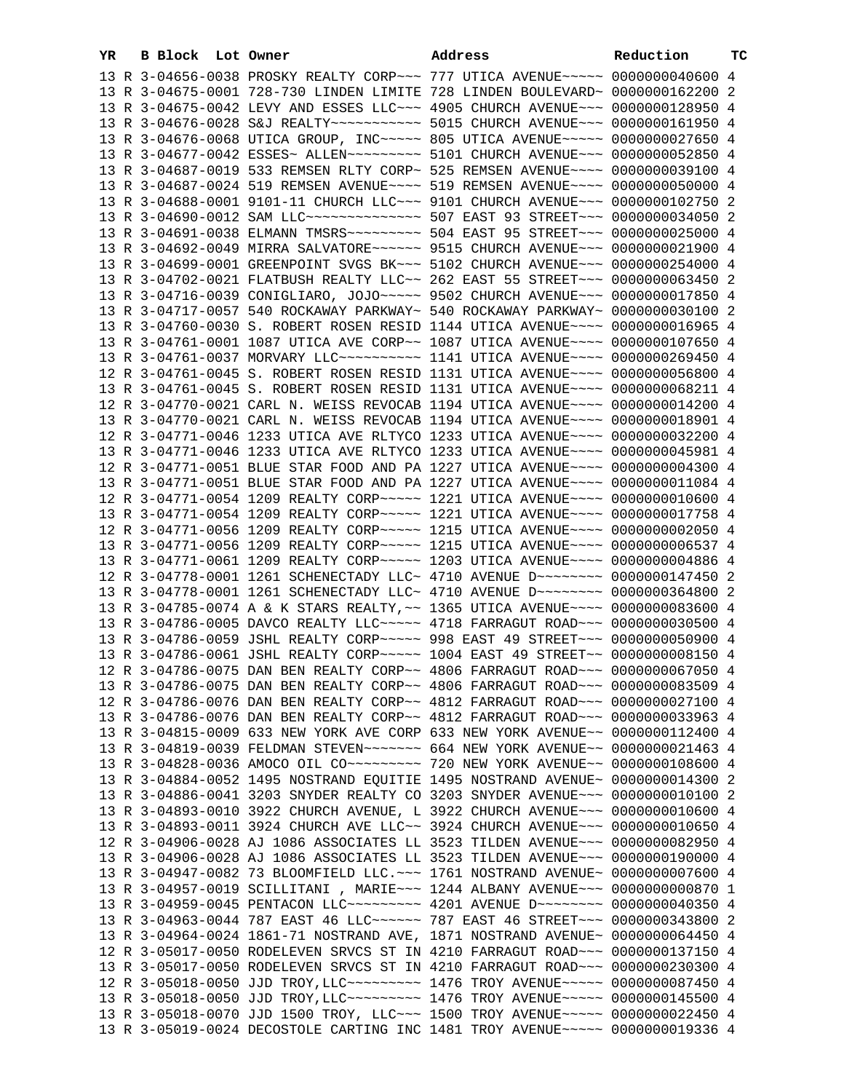| YR | B Block Lot Owner |                                                                                     | Address | Reduction | тc |
|----|-------------------|-------------------------------------------------------------------------------------|---------|-----------|----|
|    |                   | 13 R 3-04656-0038 PROSKY REALTY CORP~~~ 777 UTICA AVENUE~~~~~ 0000000040600 4       |         |           |    |
|    |                   | 13 R 3-04675-0001 728-730 LINDEN LIMITE 728 LINDEN BOULEVARD~ 0000000162200 2       |         |           |    |
|    |                   | 13 R 3-04675-0042 LEVY AND ESSES LLC~~~ 4905 CHURCH AVENUE~~~ 0000000128950 4       |         |           |    |
|    |                   | 13 R 3-04676-0028 S&J REALTY~~~~~~~~~~~ 5015 CHURCH AVENUE~~~ 0000000161950 4       |         |           |    |
|    |                   | 13 R 3-04676-0068 UTICA GROUP, INC ---- 805 UTICA AVENUE ---- 0000000027650 4       |         |           |    |
|    |                   | 13 R 3-04677-0042 ESSES~ ALLEN~~~~~~~~~~ 5101 CHURCH AVENUE~~~ 0000000052850 4      |         |           |    |
|    |                   | 13 R 3-04687-0019 533 REMSEN RLTY CORP~ 525 REMSEN AVENUE~~~~ 0000000039100 4       |         |           |    |
|    |                   | 13 R 3-04687-0024 519 REMSEN AVENUE~~~~ 519 REMSEN AVENUE~~~~ 0000000050000 4       |         |           |    |
|    |                   | 13 R 3-04688-0001 9101-11 CHURCH LLC~~~ 9101 CHURCH AVENUE~~~ 0000000102750 2       |         |           |    |
|    |                   | 13 R 3-04690-0012 SAM LLC --------------- 507 EAST 93 STREET --- 0000000034050 2    |         |           |    |
|    |                   |                                                                                     |         |           |    |
|    |                   | 13 R 3-04691-0038 ELMANN TMSRS ~~~~~~~~~~ 504 EAST 95 STREET ~~~ 0000000025000 4    |         |           |    |
|    |                   | 13 R 3-04692-0049 MIRRA SALVATORE~~~~~~ 9515 CHURCH AVENUE~~~ 0000000021900 4       |         |           |    |
|    |                   | 13 R 3-04699-0001 GREENPOINT SVGS BK~~~ 5102 CHURCH AVENUE~~~ 0000000254000 4       |         |           |    |
|    |                   | 13 R 3-04702-0021 FLATBUSH REALTY LLC~~ 262 EAST 55 STREET~~~ 0000000063450 2       |         |           |    |
|    |                   | 13 R 3-04716-0039 CONIGLIARO, JOJO~~~~~ 9502 CHURCH AVENUE~~~ 0000000017850 4       |         |           |    |
|    |                   | 13 R 3-04717-0057 540 ROCKAWAY PARKWAY~ 540 ROCKAWAY PARKWAY~ 0000000030100 2       |         |           |    |
|    |                   | 13 R 3-04760-0030 S. ROBERT ROSEN RESID 1144 UTICA AVENUE~~~~ 0000000016965 4       |         |           |    |
|    |                   | 13 R 3-04761-0001 1087 UTICA AVE CORP~~ 1087 UTICA AVENUE~~~~ 0000000107650 4       |         |           |    |
|    |                   | 13 R 3-04761-0037 MORVARY LLC~~~~~~~~~~~~~~~ 1141 UTICA AVENUE~~~~~ 0000000269450 4 |         |           |    |
|    |                   | 12 R 3-04761-0045 S. ROBERT ROSEN RESID 1131 UTICA AVENUE~~~~ 0000000056800 4       |         |           |    |
|    |                   | 13 R 3-04761-0045 S. ROBERT ROSEN RESID 1131 UTICA AVENUE~~~~ 0000000068211 4       |         |           |    |
|    |                   | 12 R 3-04770-0021 CARL N. WEISS REVOCAB 1194 UTICA AVENUE~~~~ 0000000014200 4       |         |           |    |
|    |                   | 13 R 3-04770-0021 CARL N. WEISS REVOCAB 1194 UTICA AVENUE~~~~ 0000000018901 4       |         |           |    |
|    |                   | 12 R 3-04771-0046 1233 UTICA AVE RLTYCO 1233 UTICA AVENUE~~~~ 0000000032200 4       |         |           |    |
|    |                   | 13 R 3-04771-0046 1233 UTICA AVE RLTYCO 1233 UTICA AVENUE~~~~ 0000000045981 4       |         |           |    |
|    |                   | 12 R 3-04771-0051 BLUE STAR FOOD AND PA 1227 UTICA AVENUE~~~~ 0000000004300 4       |         |           |    |
|    |                   | 13 R 3-04771-0051 BLUE STAR FOOD AND PA 1227 UTICA AVENUE~~~~ 0000000011084 4       |         |           |    |
|    |                   | 12 R 3-04771-0054 1209 REALTY CORP~~~~~ 1221 UTICA AVENUE~~~~ 0000000010600 4       |         |           |    |
|    |                   | 13 R 3-04771-0054 1209 REALTY CORP~~~~~ 1221 UTICA AVENUE~~~~ 0000000017758 4       |         |           |    |
|    |                   | 12 R 3-04771-0056 1209 REALTY CORP~~~~~ 1215 UTICA AVENUE~~~~ 0000000002050 4       |         |           |    |
|    |                   | 13 R 3-04771-0056 1209 REALTY CORP~~~~~ 1215 UTICA AVENUE~~~~ 0000000006537 4       |         |           |    |
|    |                   | 13 R 3-04771-0061 1209 REALTY CORP~~~~~ 1203 UTICA AVENUE~~~~ 0000000004886 4       |         |           |    |
|    |                   | 12 R 3-04778-0001 1261 SCHENECTADY LLC~ 4710 AVENUE D~~~~~~~~ 0000000147450 2       |         |           |    |
|    |                   | 13 R 3-04778-0001 1261 SCHENECTADY LLC~ 4710 AVENUE D~~~~~~~~~ 0000000364800 2      |         |           |    |
|    |                   | 13 R 3-04785-0074 A & K STARS REALTY, ~~ 1365 UTICA AVENUE~~~~ 0000000083600 4      |         |           |    |
|    |                   | 13 R 3-04786-0005 DAVCO REALTY LLC ~~~~~ 4718 FARRAGUT ROAD ~~~ 0000000030500 4     |         |           |    |
|    |                   | 13 R 3-04786-0059 JSHL REALTY CORP~~~~~ 998 EAST 49 STREET~~~ 0000000050900 4       |         |           |    |
|    |                   | 13 R 3-04786-0061 JSHL REALTY CORP~~~~~ 1004 EAST 49 STREET~~ 00000000008150 4      |         |           |    |
|    |                   | 12 R 3-04786-0075 DAN BEN REALTY CORP~~ 4806 FARRAGUT ROAD~~~ 0000000067050 4       |         |           |    |
|    |                   |                                                                                     |         |           |    |
|    |                   | 13 R 3-04786-0075 DAN BEN REALTY CORP~~ 4806 FARRAGUT ROAD~~~ 0000000083509 4       |         |           |    |
|    |                   | 12 R 3-04786-0076 DAN BEN REALTY CORP~~ 4812 FARRAGUT ROAD~~~ 0000000027100 4       |         |           |    |
|    |                   | 13 R 3-04786-0076 DAN BEN REALTY CORP~~ 4812 FARRAGUT ROAD~~~ 0000000033963 4       |         |           |    |
|    |                   | 13 R 3-04815-0009 633 NEW YORK AVE CORP 633 NEW YORK AVENUE~~ 0000000112400 4       |         |           |    |
|    |                   | 13 R 3-04819-0039 FELDMAN STEVEN~~~~~~~ 664 NEW YORK AVENUE~~ 0000000021463 4       |         |           |    |
|    |                   |                                                                                     |         |           |    |
|    |                   | 13 R 3-04884-0052 1495 NOSTRAND EQUITIE 1495 NOSTRAND AVENUE~ 0000000014300 2       |         |           |    |
|    |                   | 13 R 3-04886-0041 3203 SNYDER REALTY CO 3203 SNYDER AVENUE~~~ 0000000010100 2       |         |           |    |
|    |                   | 13 R 3-04893-0010 3922 CHURCH AVENUE, L 3922 CHURCH AVENUE~~~ 0000000010600 4       |         |           |    |
|    |                   | 13 R 3-04893-0011 3924 CHURCH AVE LLC~~ 3924 CHURCH AVENUE~~~ 0000000010650 4       |         |           |    |
|    |                   | 12 R 3-04906-0028 AJ 1086 ASSOCIATES LL 3523 TILDEN AVENUE~~~ 0000000082950 4       |         |           |    |
|    |                   | 13 R 3-04906-0028 AJ 1086 ASSOCIATES LL 3523 TILDEN AVENUE~~~ 0000000190000 4       |         |           |    |
|    |                   | 13 R 3-04947-0082 73 BLOOMFIELD LLC. ~~~ 1761 NOSTRAND AVENUE~ 0000000007600 4      |         |           |    |
|    |                   | 13 R 3-04957-0019 SCILLITANI , MARIE~~~ 1244 ALBANY AVENUE~~~ 0000000000870 1       |         |           |    |
|    |                   | 13 R 3-04959-0045 PENTACON LLC~~~~~~~~~ 4201 AVENUE D~~~~~~~~ 0000000040350 4       |         |           |    |
|    |                   | 13 R 3-04963-0044 787 EAST 46 LLC ----- 787 EAST 46 STREET --- 0000000343800 2      |         |           |    |
|    |                   | 13 R 3-04964-0024 1861-71 NOSTRAND AVE, 1871 NOSTRAND AVENUE~ 0000000064450 4       |         |           |    |
|    |                   | 12 R 3-05017-0050 RODELEVEN SRVCS ST IN 4210 FARRAGUT ROAD~~~ 0000000137150 4       |         |           |    |
|    |                   | 13 R 3-05017-0050 RODELEVEN SRVCS ST IN 4210 FARRAGUT ROAD~~~ 0000000230300 4       |         |           |    |
|    |                   | 12 R 3-05018-0050 JJD TROY, LLC -------- 1476 TROY AVENUE ---- 0000000087450 4      |         |           |    |
|    |                   | 13 R 3-05018-0050 JJD TROY, LLC -------- 1476 TROY AVENUE ---- 0000000145500 4      |         |           |    |
|    |                   | 13 R 3-05018-0070 JJD 1500 TROY, LLC ~~~ 1500 TROY AVENUE ~~~~~ 0000000022450 4     |         |           |    |
|    |                   | 13 R 3-05019-0024 DECOSTOLE CARTING INC 1481 TROY AVENUE~~~~~ 0000000019336 4       |         |           |    |
|    |                   |                                                                                     |         |           |    |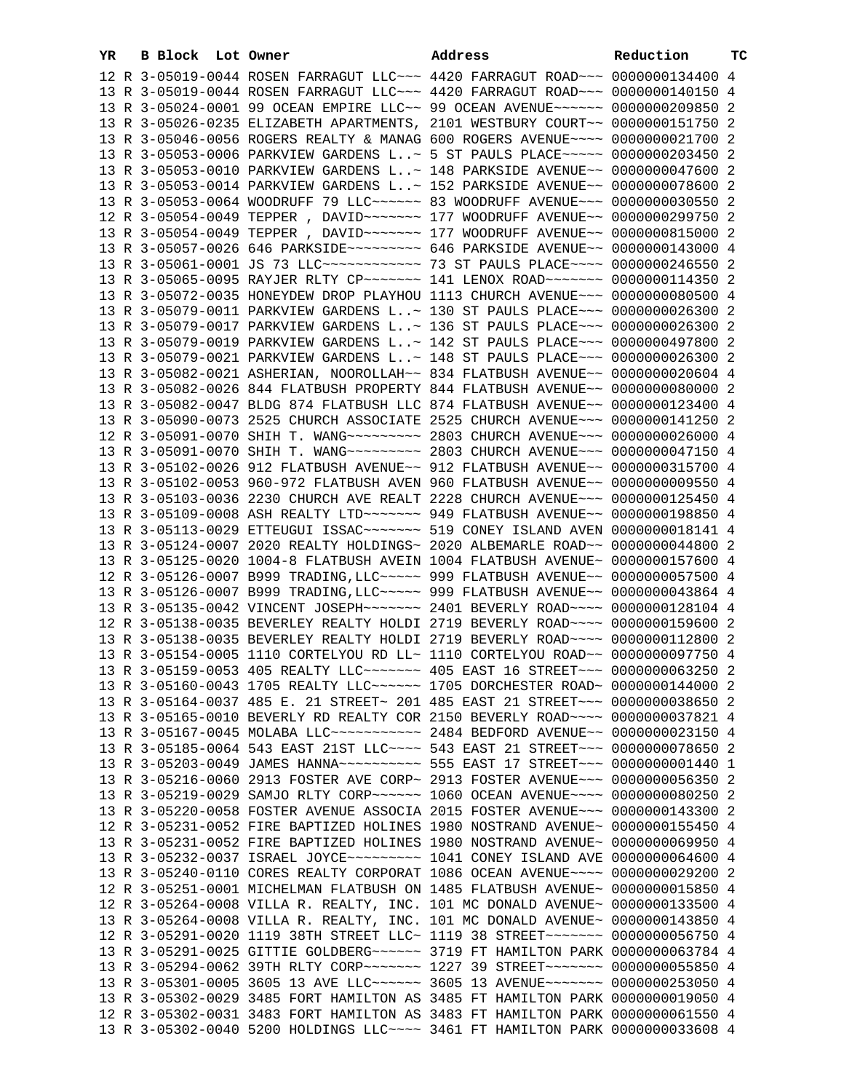| YR | B Block | Lot Owner                                                                        | Address | Reduction | тc |
|----|---------|----------------------------------------------------------------------------------|---------|-----------|----|
|    |         | 12 R 3-05019-0044 ROSEN FARRAGUT LLC~~~ 4420 FARRAGUT ROAD~~~ 0000000134400 4    |         |           |    |
|    |         | 13 R 3-05019-0044 ROSEN FARRAGUT LLC~~~ 4420 FARRAGUT ROAD~~~ 0000000140150 4    |         |           |    |
|    |         | 13 R 3-05024-0001 99 OCEAN EMPIRE LLC~~ 99 OCEAN AVENUE~~~~~~ 0000000209850 2    |         |           |    |
|    |         | 13 R 3-05026-0235 ELIZABETH APARTMENTS, 2101 WESTBURY COURT~~ 0000000151750 2    |         |           |    |
|    |         | 13 R 3-05046-0056 ROGERS REALTY & MANAG 600 ROGERS AVENUE~~~~ 0000000021700 2    |         |           |    |
|    |         | 13 R 3-05053-0006 PARKVIEW GARDENS L~ 5 ST PAULS PLACE~~~~~ 0000000203450 2      |         |           |    |
|    |         | 13 R 3-05053-0010 PARKVIEW GARDENS L~ 148 PARKSIDE AVENUE~~ 0000000047600 2      |         |           |    |
|    |         | 13 R 3-05053-0014 PARKVIEW GARDENS L~ 152 PARKSIDE AVENUE~~ 0000000078600 2      |         |           |    |
|    |         | 13 R 3-05053-0064 WOODRUFF 79 LLC ~~~~~~ 83 WOODRUFF AVENUE ~~~ 0000000030550 2  |         |           |    |
|    |         | 12 R 3-05054-0049 TEPPER, DAVID ------ 177 WOODRUFF AVENUE -- 0000000299750 2    |         |           |    |
|    |         | 13 R 3-05054-0049 TEPPER, DAVID ------ 177 WOODRUFF AVENUE -- 0000000815000 2    |         |           |    |
|    |         | 13 R 3-05057-0026 646 PARKSIDE~~~~~~~~~ 646 PARKSIDE AVENUE~~ 0000000143000 4    |         |           |    |
|    |         | 13 R 3-05061-0001 JS 73 LLC ------------ 73 ST PAULS PLACE ---- 0000000246550 2  |         |           |    |
|    |         | 13 R 3-05065-0095 RAYJER RLTY CP ------ 141 LENOX ROAD ----- 0000000114350 2     |         |           |    |
|    |         | 13 R 3-05072-0035 HONEYDEW DROP PLAYHOU 1113 CHURCH AVENUE~~~ 0000000080500 4    |         |           |    |
|    |         | 13 R 3-05079-0011 PARKVIEW GARDENS L~ 130 ST PAULS PLACE~~~ 0000000026300 2      |         |           |    |
|    |         | 13 R 3-05079-0017 PARKVIEW GARDENS L~ 136 ST PAULS PLACE~~~ 0000000026300 2      |         |           |    |
|    |         | 13 R 3-05079-0019 PARKVIEW GARDENS L~ 142 ST PAULS PLACE~~~ 0000000497800 2      |         |           |    |
|    |         | 13 R 3-05079-0021 PARKVIEW GARDENS L~ 148 ST PAULS PLACE~~~ 0000000026300 2      |         |           |    |
|    |         | 13 R 3-05082-0021 ASHERIAN, NOOROLLAH~~ 834 FLATBUSH AVENUE~~ 0000000020604 4    |         |           |    |
|    |         | 13 R 3-05082-0026 844 FLATBUSH PROPERTY 844 FLATBUSH AVENUE~~ 0000000080000 2    |         |           |    |
|    |         | 13 R 3-05082-0047 BLDG 874 FLATBUSH LLC 874 FLATBUSH AVENUE~~ 0000000123400 4    |         |           |    |
|    |         | 13 R 3-05090-0073 2525 CHURCH ASSOCIATE 2525 CHURCH AVENUE~~~ 0000000141250 2    |         |           |    |
|    |         |                                                                                  |         |           |    |
|    |         |                                                                                  |         |           |    |
|    |         | 13 R 3-05102-0026 912 FLATBUSH AVENUE~~ 912 FLATBUSH AVENUE~~ 0000000315700 4    |         |           |    |
|    |         | 13 R 3-05102-0053 960-972 FLATBUSH AVEN 960 FLATBUSH AVENUE~~ 0000000009550 4    |         |           |    |
|    |         | 13 R 3-05103-0036 2230 CHURCH AVE REALT 2228 CHURCH AVENUE~~~ 0000000125450 4    |         |           |    |
|    |         | 13 R 3-05109-0008 ASH REALTY LTD ~~~~~~~ 949 FLATBUSH AVENUE~~ 0000000198850 4   |         |           |    |
|    |         | 13 R 3-05113-0029 ETTEUGUI ISSAC~~~~~~~ 519 CONEY ISLAND AVEN 0000000018141 4    |         |           |    |
|    |         | 13 R 3-05124-0007 2020 REALTY HOLDINGS~ 2020 ALBEMARLE ROAD~~ 0000000044800 2    |         |           |    |
|    |         | 13 R 3-05125-0020 1004-8 FLATBUSH AVEIN 1004 FLATBUSH AVENUE~ 0000000157600 4    |         |           |    |
|    |         | 12 R 3-05126-0007 B999 TRADING, LLC ~~~~~ 999 FLATBUSH AVENUE ~~ 0000000057500 4 |         |           |    |
|    |         | 13 R 3-05126-0007 B999 TRADING, LLC ~~~~~ 999 FLATBUSH AVENUE ~~ 0000000043864 4 |         |           |    |
|    |         | 13 R 3-05135-0042 VINCENT JOSEPH~~~~~~~ 2401 BEVERLY ROAD~~~~ 0000000128104 4    |         |           |    |
|    |         | 12 R 3-05138-0035 BEVERLEY REALTY HOLDI 2719 BEVERLY ROAD~~~~ 0000000159600 2    |         |           |    |
|    |         | 13 R 3-05138-0035 BEVERLEY REALTY HOLDI 2719 BEVERLY ROAD~~~~ 0000000112800 2    |         |           |    |
|    |         | 13 R 3-05154-0005 1110 CORTELYOU RD LL~ 1110 CORTELYOU ROAD~~ 0000000097750 4    |         |           |    |
|    |         | 13 R 3-05159-0053 405 REALTY LLC ------ 405 EAST 16 STREET -- 0000000063250 2    |         |           |    |
|    |         | 13 R 3-05160-0043 1705 REALTY LLC ----- 1705 DORCHESTER ROAD ~ 0000000144000 2   |         |           |    |
|    |         | 13 R 3-05164-0037 485 E. 21 STREET~ 201 485 EAST 21 STREET~~~ 0000000038650 2    |         |           |    |
|    |         | 13 R 3-05165-0010 BEVERLY RD REALTY COR 2150 BEVERLY ROAD~~~~ 0000000037821 4    |         |           |    |
|    |         | 13 R 3-05167-0045 MOLABA LLC ---------- 2484 BEDFORD AVENUE -- 0000000023150 4   |         |           |    |
|    |         | 13 R 3-05185-0064 543 EAST 21ST LLC --- 543 EAST 21 STREET -- 0000000078650 2    |         |           |    |
|    |         | 13 R 3-05203-0049 JAMES HANNA~~~~~~~~~~~ 555 EAST 17 STREET~~~ 00000000001440 1  |         |           |    |
|    |         | 13 R 3-05216-0060 2913 FOSTER AVE CORP~ 2913 FOSTER AVENUE~~~ 0000000056350 2    |         |           |    |
|    |         | 13 R 3-05219-0029 SAMJO RLTY CORP~~~~~~ 1060 OCEAN AVENUE~~~~ 0000000080250 2    |         |           |    |
|    |         | 13 R 3-05220-0058 FOSTER AVENUE ASSOCIA 2015 FOSTER AVENUE~~~ 0000000143300 2    |         |           |    |
|    |         | 12 R 3-05231-0052 FIRE BAPTIZED HOLINES 1980 NOSTRAND AVENUE~ 0000000155450 4    |         |           |    |
|    |         | 13 R 3-05231-0052 FIRE BAPTIZED HOLINES 1980 NOSTRAND AVENUE~ 0000000069950 4    |         |           |    |
|    |         |                                                                                  |         |           |    |
|    |         | 13 R 3-05240-0110 CORES REALTY CORPORAT 1086 OCEAN AVENUE~~~~ 0000000029200 2    |         |           |    |
|    |         | 12 R 3-05251-0001 MICHELMAN FLATBUSH ON 1485 FLATBUSH AVENUE~ 0000000015850 4    |         |           |    |
|    |         | 12 R 3-05264-0008 VILLA R. REALTY, INC. 101 MC DONALD AVENUE~ 0000000133500 4    |         |           |    |
|    |         | 13 R 3-05264-0008 VILLA R. REALTY, INC. 101 MC DONALD AVENUE~ 0000000143850 4    |         |           |    |
|    |         | 12 R 3-05291-0020 1119 38TH STREET LLC~ 1119 38 STREET~~~~~~~~ 0000000056750 4   |         |           |    |
|    |         | 13 R 3-05291-0025 GITTIE GOLDBERG~~~~~~ 3719 FT HAMILTON PARK 0000000063784 4    |         |           |    |
|    |         | 13 R 3-05294-0062 39TH RLTY CORP~~~~~~~ 1227 39 STREET~~~~~~~ 0000000055850 4    |         |           |    |
|    |         | 13 R 3-05301-0005 3605 13 AVE LLC~~~~~~ 3605 13 AVENUE~~~~~~~ 0000000253050 4    |         |           |    |
|    |         | 13 R 3-05302-0029 3485 FORT HAMILTON AS 3485 FT HAMILTON PARK 0000000019050 4    |         |           |    |
|    |         | 12 R 3-05302-0031 3483 FORT HAMILTON AS 3483 FT HAMILTON PARK 0000000061550 4    |         |           |    |
|    |         | 13 R 3-05302-0040 5200 HOLDINGS LLC ~~~~ 3461 FT HAMILTON PARK 0000000033608 4   |         |           |    |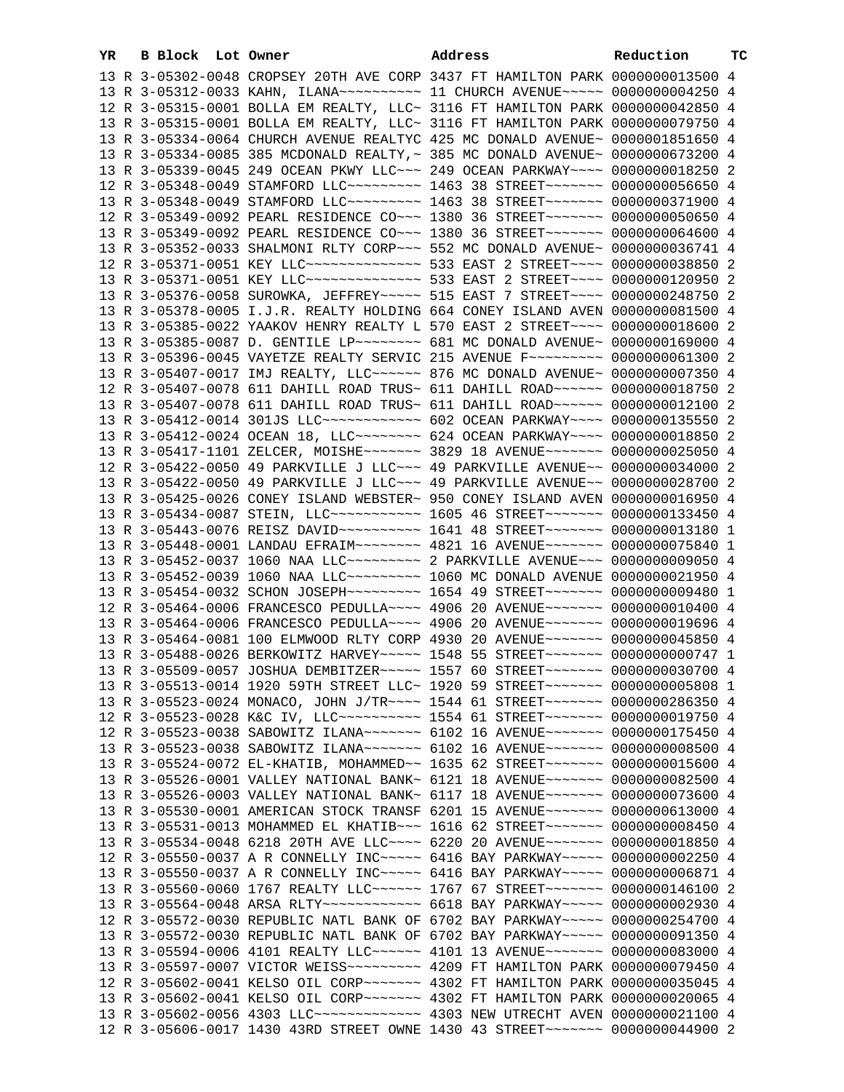| YR | B Block Lot Owner |                                                                                                                                                                         | Address | Reduction | ТC |
|----|-------------------|-------------------------------------------------------------------------------------------------------------------------------------------------------------------------|---------|-----------|----|
|    |                   | 13 R 3-05302-0048 CROPSEY 20TH AVE CORP 3437 FT HAMILTON PARK 0000000013500 4                                                                                           |         |           |    |
|    |                   | 13 R 3-05312-0033 KAHN, ILANA~~~~~~~~~~~~~~~ 11 CHURCH AVENUE~~~~~~ 00000000004250 4                                                                                    |         |           |    |
|    |                   | 12 R 3-05315-0001 BOLLA EM REALTY, LLC~ 3116 FT HAMILTON PARK 0000000042850 4                                                                                           |         |           |    |
|    |                   | 13 R 3-05315-0001 BOLLA EM REALTY, LLC~ 3116 FT HAMILTON PARK 0000000079750 4                                                                                           |         |           |    |
|    |                   | 13 R 3-05334-0064 CHURCH AVENUE REALTYC 425 MC DONALD AVENUE~ 0000001851650 4                                                                                           |         |           |    |
|    |                   | 13 R 3-05334-0085 385 MCDONALD REALTY, ~ 385 MC DONALD AVENUE~ 0000000673200 4                                                                                          |         |           |    |
|    |                   | 13 R 3-05339-0045 249 OCEAN PKWY LLC ~~~ 249 OCEAN PARKWAY ~~~~ 0000000018250 2                                                                                         |         |           |    |
|    |                   | 12 R 3-05348-0049 STAMFORD LLC~~~~~~~~~ 1463 38 STREET~~~~~~~ 0000000056650 4                                                                                           |         |           |    |
|    |                   | 13 R 3-05348-0049 STAMFORD LLC --------- 1463 38 STREET ------ 0000000371900 4                                                                                          |         |           |    |
|    |                   | 12 R 3-05349-0092 PEARL RESIDENCE CO~~~ 1380 36 STREET~~~~~~~ 0000000050650 4                                                                                           |         |           |    |
|    |                   | 13 R 3-05349-0092 PEARL RESIDENCE CO~~~ 1380 36 STREET~~~~~~~ 0000000064600 4                                                                                           |         |           |    |
|    |                   | 13 R 3-05352-0033 SHALMONI RLTY CORP~~~ 552 MC DONALD AVENUE~ 0000000036741 4                                                                                           |         |           |    |
|    |                   | 12 R 3-05371-0051 KEY LLC --------------- 533 EAST 2 STREET ---- 0000000038850 2                                                                                        |         |           |    |
|    |                   | 13 R 3-05371-0051 KEY LLC --------------- 533 EAST 2 STREET ---- 0000000120950 2                                                                                        |         |           |    |
|    |                   | 13 R 3-05376-0058 SUROWKA, JEFFREY~~~~~ 515 EAST 7 STREET~~~~ 0000000248750 2                                                                                           |         |           |    |
|    |                   | 13 R 3-05378-0005 I.J.R. REALTY HOLDING 664 CONEY ISLAND AVEN 0000000081500 4                                                                                           |         |           |    |
|    |                   | 13 R 3-05385-0022 YAAKOV HENRY REALTY L 570 EAST 2 STREET~~~~ 0000000018600 2                                                                                           |         |           |    |
|    |                   | 13 R 3-05385-0087 D. GENTILE LP~~~~~~~~ 681 MC DONALD AVENUE~ 0000000169000 4                                                                                           |         |           |    |
|    |                   | 13 R 3-05396-0045 VAYETZE REALTY SERVIC 215 AVENUE F~~~~~~~~~ 0000000061300 2                                                                                           |         |           |    |
|    |                   | 13 R 3-05407-0017 IMJ REALTY, LLC~~~~~~ 876 MC DONALD AVENUE~ 0000000007350 4                                                                                           |         |           |    |
|    |                   | 12 R 3-05407-0078 611 DAHILL ROAD TRUS~ 611 DAHILL ROAD~~~~~~ 0000000018750 2                                                                                           |         |           |    |
|    |                   | 13 R 3-05407-0078 611 DAHILL ROAD TRUS~ 611 DAHILL ROAD~~~~~~ 0000000012100 2                                                                                           |         |           |    |
|    |                   | 13 R 3-05412-0014 301JS LLC ------------ 602 OCEAN PARKWAY --- 0000000135550 2                                                                                          |         |           |    |
|    |                   | 13 R 3-05412-0024 OCEAN 18, LLC ------- 624 OCEAN PARKWAY --- 0000000018850 2                                                                                           |         |           |    |
|    |                   | 13 R 3-05417-1101 ZELCER, MOISHE~~~~~~~ 3829 18 AVENUE~~~~~~~ 0000000025050 4                                                                                           |         |           |    |
|    |                   | 12 R 3-05422-0050 49 PARKVILLE J LLC~~~ 49 PARKVILLE AVENUE~~ 0000000034000 2                                                                                           |         |           |    |
|    |                   | 13 R 3-05422-0050 49 PARKVILLE J LLC~~~ 49 PARKVILLE AVENUE~~ 0000000028700 2                                                                                           |         |           |    |
|    |                   | 13 R 3-05425-0026 CONEY ISLAND WEBSTER~ 950 CONEY ISLAND AVEN 0000000016950 4                                                                                           |         |           |    |
|    |                   | 13 R 3-05434-0087 STEIN, LLC ----------- 1605 46 STREET ------- 0000000133450 4                                                                                         |         |           |    |
|    |                   | 13 R 3-05443-0076 REISZ DAVID ~~~~~~~~~~~~~~~~ 1641 48 STREET ~~~~~~~~ 0000000013180 1<br>13 R 3-05448-0001 LANDAU EFRAIM~~~~~~~~ 4821 16 AVENUE~~~~~~~ 0000000075840 1 |         |           |    |
|    |                   | 13 R 3-05452-0037 1060 NAA LLC --------- 2 PARKVILLE AVENUE -- 00000000009050 4                                                                                         |         |           |    |
|    |                   | 13 R 3-05452-0039 1060 NAA LLC --------- 1060 MC DONALD AVENUE 0000000021950 4                                                                                          |         |           |    |
|    |                   | 13 R 3-05454-0032 SCHON JOSEPH~~~~~~~~~~ 1654 49 STREET~~~~~~~ 0000000009480 1                                                                                          |         |           |    |
|    |                   | 12 R 3-05464-0006 FRANCESCO PEDULLA~~~~ 4906 20 AVENUE~~~~~~~ 0000000010400 4                                                                                           |         |           |    |
|    |                   | 13 R 3-05464-0006 FRANCESCO PEDULLA~~~~ 4906 20 AVENUE~~~~~~~ 0000000019696 4                                                                                           |         |           |    |
|    |                   | 13 R 3-05464-0081 100 ELMWOOD RLTY CORP 4930 20 AVENUE~~~~~~~ 0000000045850 4                                                                                           |         |           |    |
|    |                   | 13 R 3-05488-0026 BERKOWITZ HARVEY~~~~~ 1548 55 STREET~~~~~~~ 0000000000747 1                                                                                           |         |           |    |
|    |                   | 13 R 3-05509-0057 JOSHUA DEMBITZER ~~~~~ 1557 60 STREET ~~~~~~~ 0000000030700 4                                                                                         |         |           |    |
|    |                   | 13 R 3-05513-0014 1920 59TH STREET LLC~ 1920 59 STREET~~~~~~~ 0000000005808 1                                                                                           |         |           |    |
|    |                   | 13 R 3-05523-0024 MONACO, JOHN J/TR~~~~ 1544 61 STREET~~~~~~~ 0000000286350 4                                                                                           |         |           |    |
|    |                   | 12 R 3-05523-0028 K&C IV, LLC --------- 1554 61 STREET ------- 0000000019750 4                                                                                          |         |           |    |
|    |                   | 12 R 3-05523-0038 SABOWITZ ILANA~~~~~~~ 6102 16 AVENUE~~~~~~~ 0000000175450 4                                                                                           |         |           |    |
|    |                   | 13 R 3-05523-0038 SABOWITZ ILANA~~~~~~~ 6102 16 AVENUE~~~~~~~ 0000000008500 4                                                                                           |         |           |    |
|    |                   | 13 R 3-05524-0072 EL-KHATIB, MOHAMMED~~ 1635 62 STREET~~~~~~~ 0000000015600 4                                                                                           |         |           |    |
|    |                   | 13 R 3-05526-0001 VALLEY NATIONAL BANK~ 6121 18 AVENUE~~~~~~~ 0000000082500 4                                                                                           |         |           |    |
|    |                   | 13 R 3-05526-0003 VALLEY NATIONAL BANK~ 6117 18 AVENUE~~~~~~~ 0000000073600 4                                                                                           |         |           |    |
|    |                   | 13 R 3-05530-0001 AMERICAN STOCK TRANSF 6201 15 AVENUE~~~~~~~ 0000000613000 4                                                                                           |         |           |    |
|    |                   | 13 R 3-05531-0013 MOHAMMED EL KHATIB~~~ 1616 62 STREET~~~~~~~ 0000000008450 4                                                                                           |         |           |    |
|    |                   | 13 R 3-05534-0048 6218 20TH AVE LLC~~~~ 6220 20 AVENUE~~~~~~~ 0000000018850 4                                                                                           |         |           |    |
|    |                   | 12 R 3-05550-0037 A R CONNELLY INC~~~~~ 6416 BAY PARKWAY~~~~~ 0000000002250 4                                                                                           |         |           |    |
|    |                   | 13 R 3-05550-0037 A R CONNELLY INC~~~~~ 6416 BAY PARKWAY~~~~~ 0000000006871 4                                                                                           |         |           |    |
|    |                   | 13 R 3-05560-0060 1767 REALTY LLC ----- 1767 67 STREET ------ 0000000146100 2                                                                                           |         |           |    |
|    |                   | 13 R 3-05564-0048 ARSA RLTY ------------ 6618 BAY PARKWAY ---- 0000000002930 4                                                                                          |         |           |    |
|    |                   | 12 R 3-05572-0030 REPUBLIC NATL BANK OF 6702 BAY PARKWAY~~~~~ 0000000254700 4                                                                                           |         |           |    |
|    |                   | 13 R 3-05572-0030 REPUBLIC NATL BANK OF 6702 BAY PARKWAY~~~~~ 0000000091350 4                                                                                           |         |           |    |
|    |                   | 13 R 3-05594-0006 4101 REALTY LLC ----- 4101 13 AVENUE ------ 0000000083000 4                                                                                           |         |           |    |
|    |                   | 13 R 3-05597-0007 VICTOR WEISS~~~~~~~~~ 4209 FT HAMILTON PARK 0000000079450 4                                                                                           |         |           |    |
|    |                   | 12 R 3-05602-0041 KELSO OIL CORP~~~~~~~ 4302 FT HAMILTON PARK 0000000035045 4                                                                                           |         |           |    |
|    |                   | 13 R 3-05602-0041 KELSO OIL CORP~~~~~~~ 4302 FT HAMILTON PARK 0000000020065 4                                                                                           |         |           |    |
|    |                   | 13 R 3-05602-0056 4303 LLC ------------ 4303 NEW UTRECHT AVEN 0000000021100 4                                                                                           |         |           |    |
|    |                   | 12 R 3-05606-0017 1430 43RD STREET OWNE 1430 43 STREET~~~~~~~ 0000000044900 2                                                                                           |         |           |    |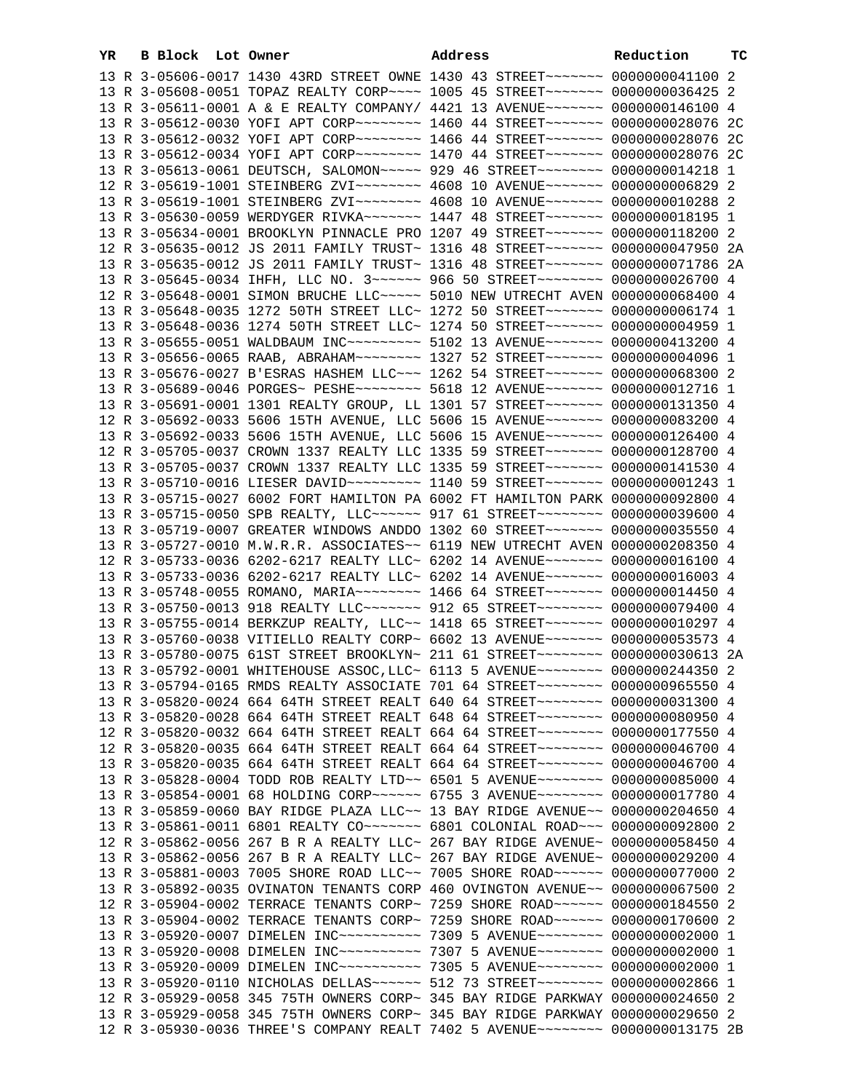| YR | B Block Lot Owner |  | Address                                                                                                                                                        | Reduction | тC |
|----|-------------------|--|----------------------------------------------------------------------------------------------------------------------------------------------------------------|-----------|----|
|    |                   |  | 13 R 3-05606-0017 1430 43RD STREET OWNE 1430 43 STREET~~~~~~~ 0000000041100 2                                                                                  |           |    |
|    |                   |  | 13 R 3-05608-0051 TOPAZ REALTY CORP~~~~ 1005 45 STREET~~~~~~~ 0000000036425 2                                                                                  |           |    |
|    |                   |  | 13 R 3-05611-0001 A & E REALTY COMPANY/ 4421 13 AVENUE~~~~~~~ 0000000146100 4                                                                                  |           |    |
|    |                   |  | 13 R 3-05612-0030 YOFI APT CORP~~~~~~~~ 1460 44 STREET~~~~~~~ 0000000028076 2C                                                                                 |           |    |
|    |                   |  | 13 R 3-05612-0032 YOFI APT CORP~~~~~~~~ 1466 44 STREET~~~~~~~ 0000000028076 2C                                                                                 |           |    |
|    |                   |  | 13 R 3-05612-0034 YOFI APT CORP~~~~~~~~ 1470 44 STREET~~~~~~~ 0000000028076 2C                                                                                 |           |    |
|    |                   |  | 13 R 3-05613-0061 DEUTSCH, SALOMON~~~~~ 929 46 STREET~~~~~~~~ 0000000014218 1                                                                                  |           |    |
|    |                   |  | 12 R 3-05619-1001 STEINBERG ZVI~~~~~~~~ 4608 10 AVENUE~~~~~~~ 0000000006829 2                                                                                  |           |    |
|    |                   |  | 13 R 3-05619-1001 STEINBERG ZVI~~~~~~~~ 4608 10 AVENUE~~~~~~~ 0000000010288 2                                                                                  |           |    |
|    |                   |  | 13 R 3-05630-0059 WERDYGER RIVKA~~~~~~~ 1447 48 STREET~~~~~~~ 0000000018195 1                                                                                  |           |    |
|    |                   |  | 13 R 3-05634-0001 BROOKLYN PINNACLE PRO 1207 49 STREET~~~~~~~~ 0000000118200 2                                                                                 |           |    |
|    |                   |  | 12 R 3-05635-0012 JS 2011 FAMILY TRUST~ 1316 48 STREET~~~~~~~~ 0000000047950 2A                                                                                |           |    |
|    |                   |  | 13 R 3-05635-0012 JS 2011 FAMILY TRUST~ 1316 48 STREET~~~~~~~ 0000000071786 2A                                                                                 |           |    |
|    |                   |  | 13 R 3-05645-0034 IHFH, LLC NO. 3 ~~~~~~ 966 50 STREET ~~~~~~~~ 0000000026700 4                                                                                |           |    |
|    |                   |  | 12 R 3-05648-0001 SIMON BRUCHE LLC ~~~~~ 5010 NEW UTRECHT AVEN 0000000068400 4                                                                                 |           |    |
|    |                   |  | 13 R 3-05648-0035 1272 50TH STREET LLC~ 1272 50 STREET~~~~~~~~ 00000000006174 1                                                                                |           |    |
|    |                   |  | 13 R 3-05648-0036 1274 50TH STREET LLC~ 1274 50 STREET~~~~~~~ 0000000004959 1                                                                                  |           |    |
|    |                   |  | 13 R 3-05655-0051 WALDBAUM INC~~~~~~~~~~ 5102 13 AVENUE~~~~~~~ 0000000413200 4                                                                                 |           |    |
|    |                   |  | 13 R 3-05656-0065 RAAB, ABRAHAM~~~~~~~~ 1327 52 STREET~~~~~~~ 00000000004096 1                                                                                 |           |    |
|    |                   |  | 13 R 3-05676-0027 B'ESRAS HASHEM LLC~~~ 1262 54 STREET~~~~~~~ 0000000068300 2                                                                                  |           |    |
|    |                   |  | 13 R 3-05689-0046 PORGES~ PESHE~~~~~~~~ 5618 12 AVENUE~~~~~~~ 0000000012716 1                                                                                  |           |    |
|    |                   |  | 13 R 3-05691-0001 1301 REALTY GROUP, LL 1301 57 STREET~~~~~~~~ 0000000131350 4                                                                                 |           |    |
|    |                   |  | 12 R 3-05692-0033 5606 15TH AVENUE, LLC 5606 15 AVENUE~~~~~~~ 0000000083200 4                                                                                  |           |    |
|    |                   |  | 13 R 3-05692-0033 5606 15TH AVENUE, LLC 5606 15 AVENUE~~~~~~~ 0000000126400 4                                                                                  |           |    |
|    |                   |  | 12 R 3-05705-0037 CROWN 1337 REALTY LLC 1335 59 STREET~~~~~~~~ 0000000128700 4                                                                                 |           |    |
|    |                   |  | 13 R 3-05705-0037 CROWN 1337 REALTY LLC 1335 59 STREET~~~~~~~~ 0000000141530 4                                                                                 |           |    |
|    |                   |  | 13 R 3-05710-0016 LIESER DAVID~~~~~~~~~ 1140 59 STREET~~~~~~~ 0000000001243 1                                                                                  |           |    |
|    |                   |  | 13 R 3-05715-0027 6002 FORT HAMILTON PA 6002 FT HAMILTON PARK 0000000092800 4                                                                                  |           |    |
|    |                   |  | 13 R 3-05715-0050 SPB REALTY, LLC ----- 917 61 STREET -------- 0000000039600 4                                                                                 |           |    |
|    |                   |  | 13 R 3-05719-0007 GREATER WINDOWS ANDDO 1302 60 STREET~~~~~~~~ 0000000035550 4                                                                                 |           |    |
|    |                   |  | 13 R 3-05727-0010 M.W.R.R. ASSOCIATES~~ 6119 NEW UTRECHT AVEN 0000000208350 4                                                                                  |           |    |
|    |                   |  | 12 R 3-05733-0036 6202-6217 REALTY LLC~ 6202 14 AVENUE~~~~~~~ 0000000016100 4                                                                                  |           |    |
|    |                   |  | 13 R 3-05733-0036 6202-6217 REALTY LLC~ 6202 14 AVENUE~~~~~~~~ 0000000016003 4                                                                                 |           |    |
|    |                   |  | 13 R 3-05748-0055 ROMANO, MARIA~~~~~~~~ 1466 64 STREET~~~~~~~ 0000000014450 4                                                                                  |           |    |
|    |                   |  | 13 R 3-05750-0013 918 REALTY LLC ------- 912 65 STREET ------- 0000000079400 4                                                                                 |           |    |
|    |                   |  | 13 R 3-05755-0014 BERKZUP REALTY, LLC~~ 1418 65 STREET~~~~~~~~ 0000000010297 4                                                                                 |           |    |
|    |                   |  | 13 R 3-05760-0038 VITIELLO REALTY CORP~ 6602 13 AVENUE~~~~~~~ 0000000053573 4                                                                                  |           |    |
|    |                   |  | 13 R 3-05780-0075 61ST STREET BROOKLYN~ 211 61 STREET~~~~~~~~~ 0000000030613 2A                                                                                |           |    |
|    |                   |  | 13 R 3-05792-0001 WHITEHOUSE ASSOC, LLC~ 6113 5 AVENUE~~~~~~~~~ 0000000244350 2                                                                                |           |    |
|    |                   |  | 13 R 3-05794-0165 RMDS REALTY ASSOCIATE 701 64 STREET~~~~~~~~ 0000000965550 4                                                                                  |           |    |
|    |                   |  | 13 R 3-05820-0024 664 64TH STREET REALT 640 64 STREET~~~~~~~~~ 0000000031300 4                                                                                 |           |    |
|    |                   |  | 13 R 3-05820-0028 664 64TH STREET REALT 648 64 STREET~~~~~~~~ 0000000080950 4                                                                                  |           |    |
|    |                   |  | 12 R 3-05820-0032 664 64TH STREET REALT 664 64 STREET~~~~~~~~ 0000000177550 4                                                                                  |           |    |
|    |                   |  | 12 R 3-05820-0035 664 64TH STREET REALT 664 64 STREET~~~~~~~~~ 0000000046700 4                                                                                 |           |    |
|    |                   |  | 13 R 3-05820-0035 664 64TH STREET REALT 664 64 STREET~~~~~~~~ 0000000046700 4                                                                                  |           |    |
|    |                   |  | 13 R 3-05828-0004 TODD ROB REALTY LTD~~ 6501 5 AVENUE~~~~~~~~ 0000000085000 4<br>13 R 3-05854-0001 68 HOLDING CORP~~~~~~ 6755 3 AVENUE~~~~~~~~ 0000000017780 4 |           |    |
|    |                   |  | 13 R 3-05859-0060 BAY RIDGE PLAZA LLC~~ 13 BAY RIDGE AVENUE~~ 0000000204650 4                                                                                  |           |    |
|    |                   |  | 13 R 3-05861-0011 6801 REALTY CO~~~~~~~ 6801 COLONIAL ROAD~~~ 0000000092800 2                                                                                  |           |    |
|    |                   |  |                                                                                                                                                                |           |    |
|    |                   |  | 12 R 3-05862-0056 267 B R A REALTY LLC~ 267 BAY RIDGE AVENUE~ 0000000058450 4<br>13 R 3-05862-0056 267 B R A REALTY LLC~ 267 BAY RIDGE AVENUE~ 0000000029200 4 |           |    |
|    |                   |  | 13 R 3-05881-0003 7005 SHORE ROAD LLC~~ 7005 SHORE ROAD~~~~~~ 0000000077000 2                                                                                  |           |    |
|    |                   |  | 13 R 3-05892-0035 OVINATON TENANTS CORP 460 OVINGTON AVENUE~~ 0000000067500 2                                                                                  |           |    |
|    |                   |  | 12 R 3-05904-0002 TERRACE TENANTS CORP~ 7259 SHORE ROAD~~~~~~ 0000000184550 2                                                                                  |           |    |
|    |                   |  | 13 R 3-05904-0002 TERRACE TENANTS CORP~ 7259 SHORE ROAD~~~~~~ 0000000170600 2                                                                                  |           |    |
|    |                   |  | 13 R 3-05920-0007 DIMELEN INC~~~~~~~~~~ 7309 5 AVENUE~~~~~~~~ 0000000002000 1                                                                                  |           |    |
|    |                   |  | 13 R 3-05920-0008 DIMELEN INC~~~~~~~~~~ 7307 5 AVENUE~~~~~~~~ 0000000002000 1                                                                                  |           |    |
|    |                   |  | 13 R 3-05920-0009 DIMELEN INC~~~~~~~~~~ 7305 5 AVENUE~~~~~~~~ 0000000002000 1                                                                                  |           |    |
|    |                   |  | 13 R 3-05920-0110 NICHOLAS DELLAS~~~~~~ 512 73 STREET~~~~~~~~ 0000000002866 1                                                                                  |           |    |
|    |                   |  | 12 R 3-05929-0058 345 75TH OWNERS CORP~ 345 BAY RIDGE PARKWAY 0000000024650 2                                                                                  |           |    |
|    |                   |  | 13 R 3-05929-0058 345 75TH OWNERS CORP~ 345 BAY RIDGE PARKWAY 0000000029650 2                                                                                  |           |    |
|    |                   |  | 12 R 3-05930-0036 THREE'S COMPANY REALT 7402 5 AVENUE~~~~~~~~ 0000000013175 2B                                                                                 |           |    |
|    |                   |  |                                                                                                                                                                |           |    |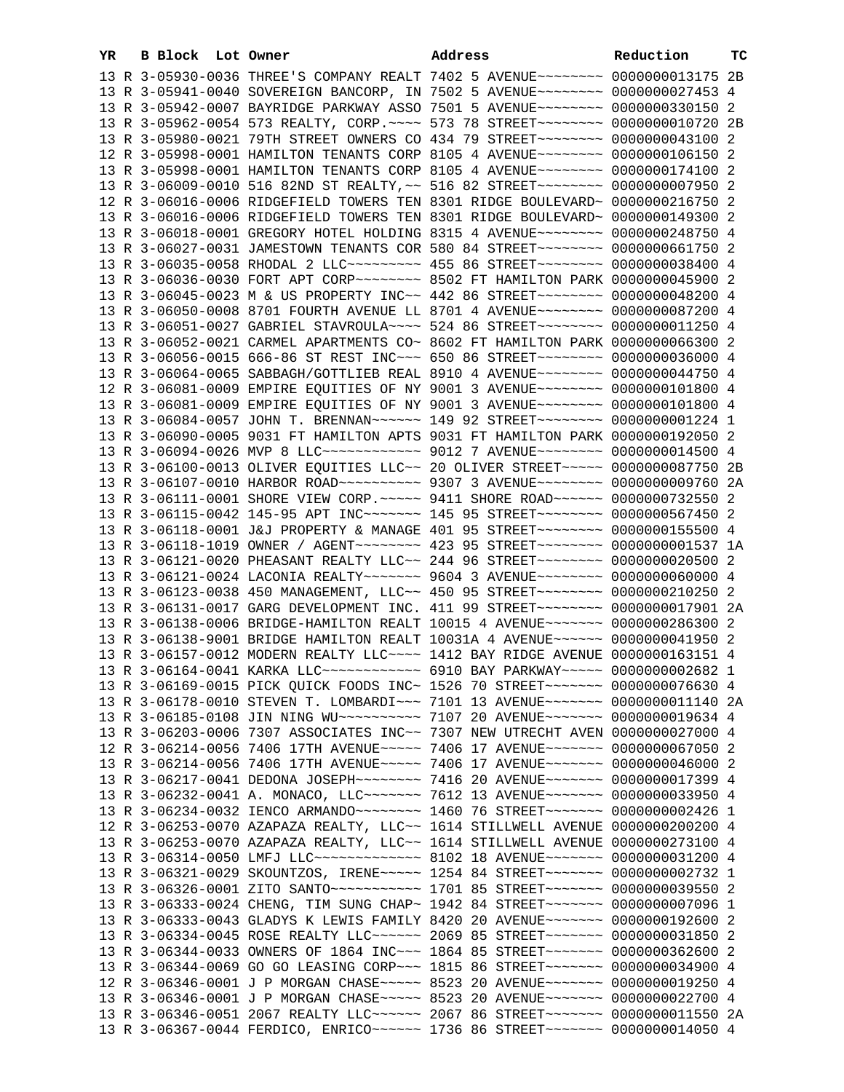| YR | B Block Lot Owner | Address                                                                                                                                                        | Reduction | тc |
|----|-------------------|----------------------------------------------------------------------------------------------------------------------------------------------------------------|-----------|----|
|    |                   | 13 R 3-05930-0036 THREE'S COMPANY REALT 7402 5 AVENUE~~~~~~~~~ 0000000013175 2B                                                                                |           |    |
|    |                   | 13 R 3-05941-0040 SOVEREIGN BANCORP, IN 7502 5 AVENUE~~~~~~~~ 0000000027453 4                                                                                  |           |    |
|    |                   | 13 R 3-05942-0007 BAYRIDGE PARKWAY ASSO 7501 5 AVENUE~~~~~~~~ 0000000330150 2                                                                                  |           |    |
|    |                   | 13 R 3-05962-0054 573 REALTY, CORP. ~~~~ 573 78 STREET~~~~~~~~ 0000000010720 2B                                                                                |           |    |
|    |                   | 13 R 3-05980-0021 79TH STREET OWNERS CO 434 79 STREET~~~~~~~~~ 0000000043100 2                                                                                 |           |    |
|    |                   | 12 R 3-05998-0001 HAMILTON TENANTS CORP 8105 4 AVENUE~~~~~~~~ 0000000106150 2                                                                                  |           |    |
|    |                   | 13 R 3-05998-0001 HAMILTON TENANTS CORP 8105 4 AVENUE~~~~~~~~ 0000000174100 2                                                                                  |           |    |
|    |                   | 13 R 3-06009-0010 516 82ND ST REALTY, ~~ 516 82 STREET~~~~~~~~ 00000000007950 2                                                                                |           |    |
|    |                   | 12 R 3-06016-0006 RIDGEFIELD TOWERS TEN 8301 RIDGE BOULEVARD~ 0000000216750 2                                                                                  |           |    |
|    |                   | 13 R 3-06016-0006 RIDGEFIELD TOWERS TEN 8301 RIDGE BOULEVARD~ 0000000149300 2                                                                                  |           |    |
|    |                   | 13 R 3-06018-0001 GREGORY HOTEL HOLDING 8315 4 AVENUE~~~~~~~~ 0000000248750 4                                                                                  |           |    |
|    |                   | 13 R 3-06027-0031 JAMESTOWN TENANTS COR 580 84 STREET~~~~~~~~ 0000000661750 2                                                                                  |           |    |
|    |                   | 13 R 3-06035-0058 RHODAL 2 LLC~~~~~~~~~ 455 86 STREET~~~~~~~~ 0000000038400 4                                                                                  |           |    |
|    |                   | 13 R 3-06036-0030 FORT APT CORP~~~~~~~~ 8502 FT HAMILTON PARK 0000000045900 2                                                                                  |           |    |
|    |                   | 13 R 3-06045-0023 M & US PROPERTY INC~~ 442 86 STREET~~~~~~~~ 0000000048200 4                                                                                  |           |    |
|    |                   | 13 R 3-06050-0008 8701 FOURTH AVENUE LL 8701 4 AVENUE~~~~~~~~ 0000000087200 4                                                                                  |           |    |
|    |                   | 13 R 3-06051-0027 GABRIEL STAVROULA~~~~ 524 86 STREET~~~~~~~~~ 0000000011250 4                                                                                 |           |    |
|    |                   | 13 R 3-06052-0021 CARMEL APARTMENTS CO~ 8602 FT HAMILTON PARK 0000000066300 2                                                                                  |           |    |
|    |                   | 13 R 3-06056-0015 666-86 ST REST INC~~~ 650 86 STREET~~~~~~~~ 0000000036000 4                                                                                  |           |    |
|    |                   | 13 R 3-06064-0065 SABBAGH/GOTTLIEB REAL 8910 4 AVENUE~~~~~~~~ 0000000044750 4                                                                                  |           |    |
|    |                   | 12 R 3-06081-0009 EMPIRE EQUITIES OF NY 9001 3 AVENUE~~~~~~~~ 0000000101800 4                                                                                  |           |    |
|    |                   | 13 R 3-06081-0009 EMPIRE EQUITIES OF NY 9001 3 AVENUE~~~~~~~~ 0000000101800 4                                                                                  |           |    |
|    |                   | 13 R 3-06084-0057 JOHN T. BRENNAN~~~~~~ 149 92 STREET~~~~~~~~ 00000000001224 1                                                                                 |           |    |
|    |                   | 13 R 3-06090-0005 9031 FT HAMILTON APTS 9031 FT HAMILTON PARK 0000000192050 2                                                                                  |           |    |
|    |                   | 13 R 3-06094-0026 MVP 8 LLC ------------ 9012 7 AVENUE -------- 0000000014500 4                                                                                |           |    |
|    |                   | 13 R 3-06100-0013 OLIVER EQUITIES LLC~~ 20 OLIVER STREET~~~~~ 0000000087750 2B                                                                                 |           |    |
|    |                   | 13 R 3-06107-0010 HARBOR ROAD~~~~~~~~~~ 9307 3 AVENUE~~~~~~~~ 0000000009760 2A                                                                                 |           |    |
|    |                   | 13 R 3-06111-0001 SHORE VIEW CORP. ~~~~~ 9411 SHORE ROAD~~~~~~ 0000000732550 2                                                                                 |           |    |
|    |                   | 13 R 3-06115-0042 145-95 APT INC~~~~~~~ 145 95 STREET~~~~~~~~ 0000000567450 2                                                                                  |           |    |
|    |                   | 13 R 3-06118-0001 J&J PROPERTY & MANAGE 401 95 STREET~~~~~~~~ 0000000155500 4                                                                                  |           |    |
|    |                   | 13 R 3-06118-1019 OWNER / AGENT~~~~~~~~ 423 95 STREET~~~~~~~~ 0000000001537 1A                                                                                 |           |    |
|    |                   | 13 R 3-06121-0020 PHEASANT REALTY LLC~~ 244 96 STREET~~~~~~~~ 0000000020500 2                                                                                  |           |    |
|    |                   | 13 R 3-06121-0024 LACONIA REALTY~~~~~~~ 9604 3 AVENUE~~~~~~~~ 0000000060000 4                                                                                  |           |    |
|    |                   | 13 R 3-06123-0038 450 MANAGEMENT, LLC~~ 450 95 STREET~~~~~~~~ 0000000210250 2                                                                                  |           |    |
|    |                   | 13 R 3-06131-0017 GARG DEVELOPMENT INC. 411 99 STREET~~~~~~~~ 0000000017901 2A                                                                                 |           |    |
|    |                   | 13 R 3-06138-0006 BRIDGE-HAMILTON REALT 10015 4 AVENUE~~~~~~~ 0000000286300 2                                                                                  |           |    |
|    |                   | 13 R 3-06138-9001 BRIDGE HAMILTON REALT 10031A 4 AVENUE~~~~~~ 0000000041950 2                                                                                  |           |    |
|    |                   | 13 R 3-06157-0012 MODERN REALTY LLC ~~~~ 1412 BAY RIDGE AVENUE 0000000163151 4                                                                                 |           |    |
|    |                   | 13 R 3-06164-0041 KARKA LLC ------------ 6910 BAY PARKWAY ---- 0000000002682 1                                                                                 |           |    |
|    |                   | 13 R 3-06169-0015 PICK QUICK FOODS INC~ 1526 70 STREET~~~~~~~~ 0000000076630 4                                                                                 |           |    |
|    |                   | 13 R 3-06178-0010 STEVEN T. LOMBARDI~~~ 7101 13 AVENUE~~~~~~~ 0000000011140 2A                                                                                 |           |    |
|    |                   | 13 R 3-06185-0108 JIN NING WU~~~~~~~~~~ 7107 20 AVENUE~~~~~~~ 0000000019634 4                                                                                  |           |    |
|    |                   | 13 R 3-06203-0006 7307 ASSOCIATES INC~~ 7307 NEW UTRECHT AVEN 0000000027000 4                                                                                  |           |    |
|    |                   | 12 R 3-06214-0056 7406 17TH AVENUE~~~~~ 7406 17 AVENUE~~~~~~~ 0000000067050 2                                                                                  |           |    |
|    |                   | 13 R 3-06214-0056 7406 17TH AVENUE~~~~~ 7406 17 AVENUE~~~~~~~ 0000000046000 2                                                                                  |           |    |
|    |                   | 13 R 3-06217-0041 DEDONA JOSEPH~~~~~~~~ 7416 20 AVENUE~~~~~~~ 0000000017399 4                                                                                  |           |    |
|    |                   | 13 R 3-06232-0041 A. MONACO, LLC~~~~~~~ 7612 13 AVENUE~~~~~~~ 0000000033950 4                                                                                  |           |    |
|    |                   | 13 R 3-06234-0032 IENCO ARMANDO~~~~~~~~ 1460 76 STREET~~~~~~~ 0000000002426 1                                                                                  |           |    |
|    |                   | 12 R 3-06253-0070 AZAPAZA REALTY, LLC~~ 1614 STILLWELL AVENUE 0000000200200 4                                                                                  |           |    |
|    |                   | 13 R 3-06253-0070 AZAPAZA REALTY, LLC~~ 1614 STILLWELL AVENUE 0000000273100 4                                                                                  |           |    |
|    |                   | 13 R 3-06314-0050 LMFJ LLC ------------- 8102 18 AVENUE ------ 0000000031200 4                                                                                 |           |    |
|    |                   | 13 R 3-06321-0029 SKOUNTZOS, IRENE~~~~~ 1254 84 STREET~~~~~~~ 0000000002732 1                                                                                  |           |    |
|    |                   | 13 R 3-06326-0001 ZITO SANTO~~~~~~~~~~~~~~~~~ 1701 85 STREET~~~~~~~~ 0000000039550 2                                                                           |           |    |
|    |                   | 13 R 3-06333-0024 CHENG, TIM SUNG CHAP~ 1942 84 STREET~~~~~~~~ 0000000007096 1                                                                                 |           |    |
|    |                   | 13 R 3-06333-0043 GLADYS K LEWIS FAMILY 8420 20 AVENUE~~~~~~~ 0000000192600 2                                                                                  |           |    |
|    |                   | 13 R 3-06334-0045 ROSE REALTY LLC ----- 2069 85 STREET ------ 0000000031850 2<br>13 R 3-06344-0033 OWNERS OF 1864 INC~~~ 1864 85 STREET~~~~~~~ 0000000362600 2 |           |    |
|    |                   | 13 R 3-06344-0069 GO GO LEASING CORP~~~ 1815 86 STREET~~~~~~~ 0000000034900 4                                                                                  |           |    |
|    |                   | 12 R 3-06346-0001 J P MORGAN CHASE~~~~~ 8523 20 AVENUE~~~~~~~ 0000000019250 4                                                                                  |           |    |
|    |                   | 13 R 3-06346-0001 J P MORGAN CHASE~~~~~ 8523 20 AVENUE~~~~~~~ 0000000022700 4                                                                                  |           |    |
|    |                   | 13 R 3-06346-0051 2067 REALTY LLC ----- 2067 86 STREET ------ 0000000011550 2A                                                                                 |           |    |
|    |                   | 13 R 3-06367-0044 FERDICO, ENRICO~~~~~~ 1736 86 STREET~~~~~~~ 0000000014050 4                                                                                  |           |    |
|    |                   |                                                                                                                                                                |           |    |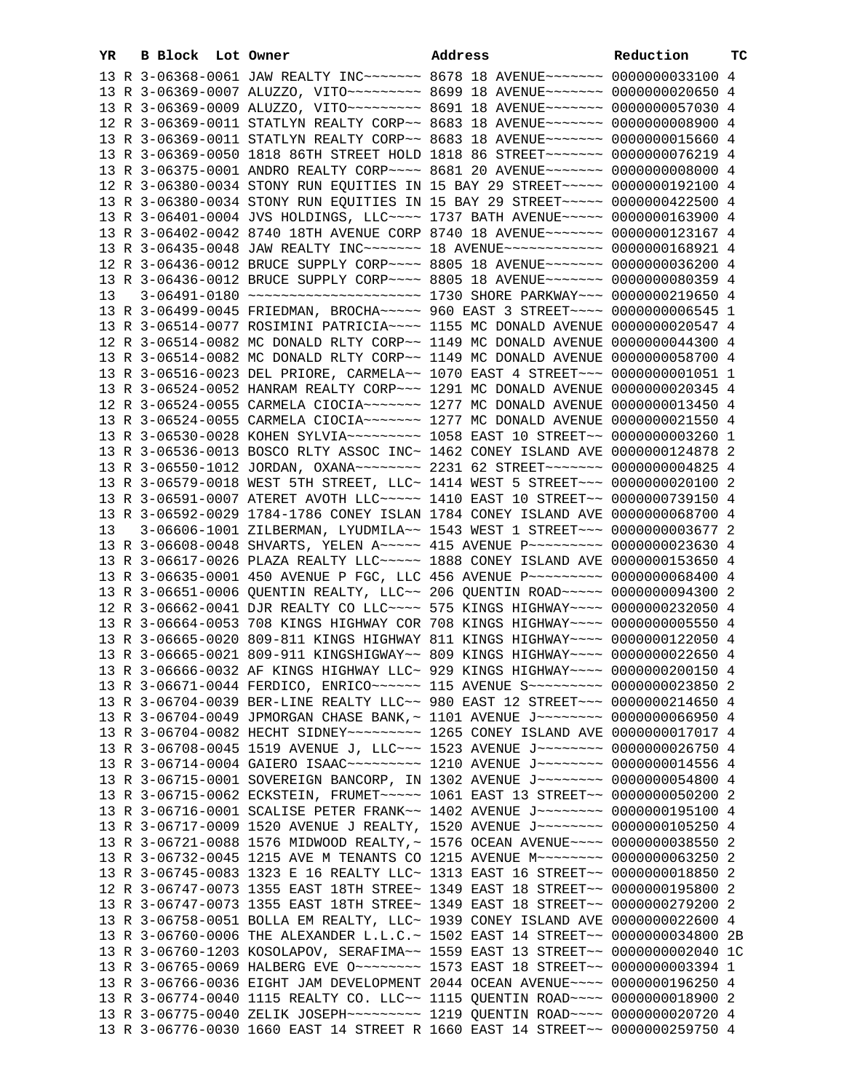| YR. | B Block Lot Owner |                                                                                                                                                                | Address | Reduction | тc |
|-----|-------------------|----------------------------------------------------------------------------------------------------------------------------------------------------------------|---------|-----------|----|
|     |                   | 13 R 3-06368-0061 JAW REALTY INC~~~~~~~ 8678 18 AVENUE~~~~~~~ 0000000033100 4                                                                                  |         |           |    |
|     |                   | 13 R 3-06369-0007 ALUZZO, VITO ~~~~~~~~~ 8699 18 AVENUE ~~~~~~~ 0000000020650 4                                                                                |         |           |    |
|     |                   | 13 R 3-06369-0009 ALUZZO, VITO -------- 8691 18 AVENUE ------- 0000000057030 4                                                                                 |         |           |    |
|     |                   | 12 R 3-06369-0011 STATLYN REALTY CORP~~ 8683 18 AVENUE~~~~~~~ 0000000008900 4                                                                                  |         |           |    |
|     |                   | 13 R 3-06369-0011 STATLYN REALTY CORP~~ 8683 18 AVENUE~~~~~~~ 0000000015660 4                                                                                  |         |           |    |
|     |                   | 13 R 3-06369-0050 1818 86TH STREET HOLD 1818 86 STREET~~~~~~~~ 0000000076219 4                                                                                 |         |           |    |
|     |                   | 13 R 3-06375-0001 ANDRO REALTY CORP~~~~ 8681 20 AVENUE~~~~~~~ 0000000000000 4                                                                                  |         |           |    |
|     |                   | 12 R 3-06380-0034 STONY RUN EQUITIES IN 15 BAY 29 STREET~~~~~ 0000000192100 4                                                                                  |         |           |    |
|     |                   | 13 R 3-06380-0034 STONY RUN EQUITIES IN 15 BAY 29 STREET~~~~~ 0000000422500 4                                                                                  |         |           |    |
|     |                   | 13 R 3-06401-0004 JVS HOLDINGS, LLC --- 1737 BATH AVENUE ---- 0000000163900 4                                                                                  |         |           |    |
|     |                   |                                                                                                                                                                |         |           |    |
|     |                   | 13 R 3-06402-0042 8740 18TH AVENUE CORP 8740 18 AVENUE~~~~~~~ 0000000123167 4<br>13 R 3-06435-0048 JAW REALTY INC~~~~~~~ 18 AVENUE~~~~~~~~~~~~ 0000000168921 4 |         |           |    |
|     |                   |                                                                                                                                                                |         |           |    |
|     |                   | 12 R 3-06436-0012 BRUCE SUPPLY CORP~~~~ 8805 18 AVENUE~~~~~~~ 0000000036200 4                                                                                  |         |           |    |
|     |                   | 13 R 3-06436-0012 BRUCE SUPPLY CORP~~~~ 8805 18 AVENUE~~~~~~~ 00000000080359 4                                                                                 |         |           |    |
| 13  |                   |                                                                                                                                                                |         |           |    |
|     |                   | 13 R 3-06499-0045 FRIEDMAN, BROCHA~~~~~ 960 EAST 3 STREET~~~~ 0000000006545 1                                                                                  |         |           |    |
|     |                   | 13 R 3-06514-0077 ROSIMINI PATRICIA~~~~ 1155 MC DONALD AVENUE 0000000020547 4                                                                                  |         |           |    |
|     |                   | 12 R 3-06514-0082 MC DONALD RLTY CORP~~ 1149 MC DONALD AVENUE 0000000044300 4                                                                                  |         |           |    |
|     |                   | 13 R 3-06514-0082 MC DONALD RLTY CORP~~ 1149 MC DONALD AVENUE 0000000058700 4                                                                                  |         |           |    |
|     |                   | 13 R 3-06516-0023 DEL PRIORE, CARMELA~~ 1070 EAST 4 STREET~~~ 00000000001051 1                                                                                 |         |           |    |
|     |                   | 13 R 3-06524-0052 HANRAM REALTY CORP~~~ 1291 MC DONALD AVENUE 0000000020345 4                                                                                  |         |           |    |
|     |                   | 12 R 3-06524-0055 CARMELA CIOCIA ------ 1277 MC DONALD AVENUE 0000000013450 4                                                                                  |         |           |    |
|     |                   | 13 R 3-06524-0055 CARMELA CIOCIA~~~~~~~ 1277 MC DONALD AVENUE 0000000021550 4                                                                                  |         |           |    |
|     |                   | 13 R 3-06530-0028 KOHEN SYLVIA~~~~~~~~~~~~~~ 1058 EAST 10 STREET~~ 00000000003260 1                                                                            |         |           |    |
|     |                   | 13 R 3-06536-0013 BOSCO RLTY ASSOC INC~ 1462 CONEY ISLAND AVE 0000000124878 2                                                                                  |         |           |    |
|     |                   | 13 R 3-06550-1012 JORDAN, OXANA~~~~~~~~ 2231 62 STREET~~~~~~~ 0000000004825 4                                                                                  |         |           |    |
|     |                   | 13 R 3-06579-0018 WEST 5TH STREET, LLC~ 1414 WEST 5 STREET~~~ 0000000020100 2                                                                                  |         |           |    |
|     |                   | 13 R 3-06591-0007 ATERET AVOTH LLC~~~~~ 1410 EAST 10 STREET~~ 0000000739150 4                                                                                  |         |           |    |
|     |                   | 13 R 3-06592-0029 1784-1786 CONEY ISLAN 1784 CONEY ISLAND AVE 0000000068700 4                                                                                  |         |           |    |
| 13  |                   | 3-06606-1001 ZILBERMAN, LYUDMILA~~ 1543 WEST 1 STREET~~~ 0000000003677 2                                                                                       |         |           |    |
|     |                   | 13 R 3-06608-0048 SHVARTS, YELEN A~~~~~ 415 AVENUE P~~~~~~~~~ 0000000023630 4                                                                                  |         |           |    |
|     |                   | 13 R 3-06617-0026 PLAZA REALTY LLC~~~~~ 1888 CONEY ISLAND AVE 0000000153650 4                                                                                  |         |           |    |
|     |                   | 13 R 3-06635-0001 450 AVENUE P FGC, LLC 456 AVENUE P~~~~~~~~~ 0000000068400 4                                                                                  |         |           |    |
|     |                   | 13 R 3-06651-0006 QUENTIN REALTY, LLC~~ 206 QUENTIN ROAD~~~~~ 0000000094300 2                                                                                  |         |           |    |
|     |                   | 12 R 3-06662-0041 DJR REALTY CO LLC --- 575 KINGS HIGHWAY --- 0000000232050 4                                                                                  |         |           |    |
|     |                   | 13 R 3-06664-0053 708 KINGS HIGHWAY COR 708 KINGS HIGHWAY~~~~ 0000000005550 4                                                                                  |         |           |    |
|     |                   | 13 R 3-06665-0020 809-811 KINGS HIGHWAY 811 KINGS HIGHWAY~~~~ 0000000122050 4                                                                                  |         |           |    |
|     |                   | 13 R 3-06665-0021 809-911 KINGSHIGWAY~~ 809 KINGS HIGHWAY~~~~ 0000000022650 4                                                                                  |         |           |    |
|     |                   | 13 R 3-06666-0032 AF KINGS HIGHWAY LLC~ 929 KINGS HIGHWAY~~~~ 0000000200150 4                                                                                  |         |           |    |
|     |                   | 13 R 3-06671-0044 FERDICO, ENRICO~~~~~~ 115 AVENUE S~~~~~~~~~ 0000000023850 2                                                                                  |         |           |    |
|     |                   | 13 R 3-06704-0039 BER-LINE REALTY LLC~~ 980 EAST 12 STREET~~~ 0000000214650 4                                                                                  |         |           |    |
|     |                   | 13 R 3-06704-0049 JPMORGAN CHASE BANK, ~ 1101 AVENUE J~~~~~~~~~ 0000000066950 4                                                                                |         |           |    |
|     |                   |                                                                                                                                                                |         |           |    |
|     |                   | 13 R 3-06708-0045 1519 AVENUE J, LLC ~~~ 1523 AVENUE J ~~~~~~~~~ 0000000026750 4                                                                               |         |           |    |
|     |                   | 13 R 3-06714-0004 GAIERO ISAAC~~~~~~~~~~~~~~ 1210 AVENUE J~~~~~~~~~ 0000000014556 4                                                                            |         |           |    |
|     |                   | 13 R 3-06715-0001 SOVEREIGN BANCORP, IN 1302 AVENUE J~~~~~~~~~ 0000000054800 4                                                                                 |         |           |    |
|     |                   | 13 R 3-06715-0062 ECKSTEIN, FRUMET~~~~~ 1061 EAST 13 STREET~~ 0000000050200 2                                                                                  |         |           |    |
|     |                   | 13 R 3-06716-0001 SCALISE PETER FRANK~~ 1402 AVENUE J~~~~~~~~ 0000000195100 4                                                                                  |         |           |    |
|     |                   | 13 R 3-06717-0009 1520 AVENUE J REALTY, 1520 AVENUE J~~~~~~~~ 0000000105250 4                                                                                  |         |           |    |
|     |                   | 13 R 3-06721-0088 1576 MIDWOOD REALTY, ~ 1576 OCEAN AVENUE~~~~ 0000000038550 2                                                                                 |         |           |    |
|     |                   | 13 R 3-06732-0045 1215 AVE M TENANTS CO 1215 AVENUE M~~~~~~~~ 0000000063250 2                                                                                  |         |           |    |
|     |                   | 13 R 3-06745-0083 1323 E 16 REALTY LLC~ 1313 EAST 16 STREET~~ 0000000018850 2                                                                                  |         |           |    |
|     |                   | 12 R 3-06747-0073 1355 EAST 18TH STREE~ 1349 EAST 18 STREET~~ 0000000195800 2                                                                                  |         |           |    |
|     |                   | 13 R 3-06747-0073 1355 EAST 18TH STREE~ 1349 EAST 18 STREET~~ 0000000279200 2                                                                                  |         |           |    |
|     |                   | 13 R 3-06758-0051 BOLLA EM REALTY, LLC~ 1939 CONEY ISLAND AVE 0000000022600 4                                                                                  |         |           |    |
|     |                   | 13 R 3-06760-0006 THE ALEXANDER L.L.C.~ 1502 EAST 14 STREET~~ 0000000034800 2B                                                                                 |         |           |    |
|     |                   |                                                                                                                                                                |         |           |    |
|     |                   | 13 R 3-06760-1203 KOSOLAPOV, SERAFIMA~~ 1559 EAST 13 STREET~~ 0000000002040 1C                                                                                 |         |           |    |
|     |                   | 13 R 3-06765-0069 HALBERG EVE 0 ~~~~~~~~~ 1573 EAST 18 STREET ~~ 00000000003394 1                                                                              |         |           |    |
|     |                   | 13 R 3-06766-0036 EIGHT JAM DEVELOPMENT 2044 OCEAN AVENUE~~~~ 0000000196250 4                                                                                  |         |           |    |
|     |                   | 13 R 3-06774-0040 1115 REALTY CO. LLC~~ 1115 QUENTIN ROAD~~~~ 0000000018900 2                                                                                  |         |           |    |
|     |                   | 13 R 3-06775-0040 ZELIK JOSEPH~~~~~~~~~ 1219 QUENTIN ROAD~~~~ 0000000020720 4                                                                                  |         |           |    |
|     |                   | 13 R 3-06776-0030 1660 EAST 14 STREET R 1660 EAST 14 STREET~~ 0000000259750 4                                                                                  |         |           |    |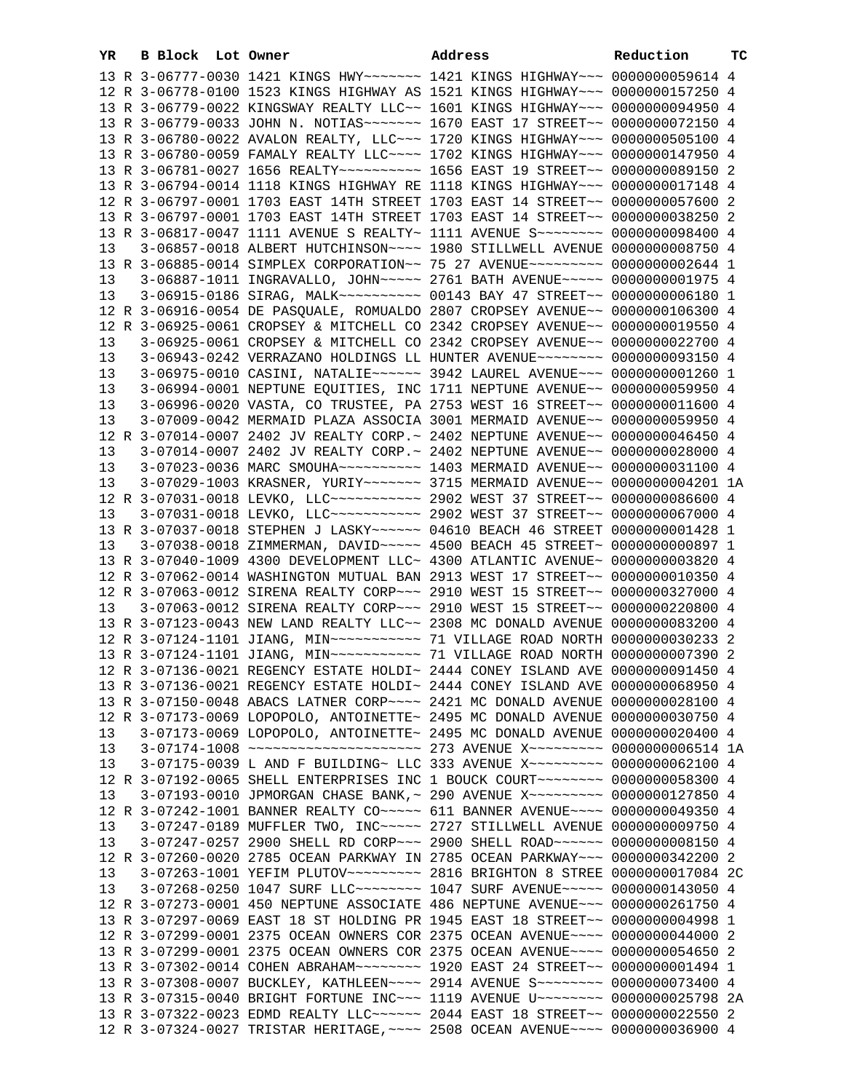| YR | B Block Lot Owner |                                                                                                                                                             | Address | Reduction | тc |
|----|-------------------|-------------------------------------------------------------------------------------------------------------------------------------------------------------|---------|-----------|----|
|    |                   | 13 R 3-06777-0030 1421 KINGS HWY ------ 1421 KINGS HIGHWAY -- 0000000059614 4                                                                               |         |           |    |
|    |                   | 12 R 3-06778-0100 1523 KINGS HIGHWAY AS 1521 KINGS HIGHWAY~~~ 0000000157250 4                                                                               |         |           |    |
|    |                   | 13 R 3-06779-0022 KINGSWAY REALTY LLC~~ 1601 KINGS HIGHWAY~~~ 0000000094950 4                                                                               |         |           |    |
|    |                   | 13 R 3-06779-0033 JOHN N. NOTIAS~~~~~~~ 1670 EAST 17 STREET~~ 0000000072150 4                                                                               |         |           |    |
|    |                   | 13 R 3-06780-0022 AVALON REALTY, LLC ~~~ 1720 KINGS HIGHWAY ~~~ 0000000505100 4                                                                             |         |           |    |
|    |                   | 13 R 3-06780-0059 FAMALY REALTY LLC~~~~ 1702 KINGS HIGHWAY~~~ 0000000147950 4                                                                               |         |           |    |
|    |                   | 13 R 3-06781-0027 1656 REALTY~~~~~~~~~~~~~~~ 1656 EAST 19 STREET~~ 0000000089150 2                                                                          |         |           |    |
|    |                   | 13 R 3-06794-0014 1118 KINGS HIGHWAY RE 1118 KINGS HIGHWAY~~~ 0000000017148 4                                                                               |         |           |    |
|    |                   | 12 R 3-06797-0001 1703 EAST 14TH STREET 1703 EAST 14 STREET~~ 0000000057600 2                                                                               |         |           |    |
|    |                   | 13 R 3-06797-0001 1703 EAST 14TH STREET 1703 EAST 14 STREET~~ 0000000038250 2                                                                               |         |           |    |
|    |                   | 13 R 3-06817-0047 1111 AVENUE S REALTY~ 1111 AVENUE S~~~~~~~~ 0000000098400 4                                                                               |         |           |    |
| 13 |                   | 3-06857-0018 ALBERT HUTCHINSON~~~~ 1980 STILLWELL AVENUE 0000000008750 4                                                                                    |         |           |    |
|    |                   | 13 R 3-06885-0014 SIMPLEX CORPORATION~~ 75 27 AVENUE~~~~~~~~~ 0000000002644 1                                                                               |         |           |    |
| 13 |                   | 3-06887-1011 INGRAVALLO, JOHN~~~~~ 2761 BATH AVENUE~~~~~ 0000000001975 4                                                                                    |         |           |    |
| 13 |                   | 3-06915-0186 SIRAG, MALK~~~~~~~~~~ 00143 BAY 47 STREET~~ 0000000006180 1                                                                                    |         |           |    |
|    |                   | 12 R 3-06916-0054 DE PASQUALE, ROMUALDO 2807 CROPSEY AVENUE~~ 0000000106300 4                                                                               |         |           |    |
|    |                   | 12 R 3-06925-0061 CROPSEY & MITCHELL CO 2342 CROPSEY AVENUE~~ 0000000019550 4                                                                               |         |           |    |
| 13 |                   | 3-06925-0061 CROPSEY & MITCHELL CO 2342 CROPSEY AVENUE~~ 0000000022700 4                                                                                    |         |           |    |
| 13 |                   | 3-06943-0242 VERRAZANO HOLDINGS LL HUNTER AVENUE~~~~~~~~ 0000000093150 4                                                                                    |         |           |    |
| 13 |                   | 3-06975-0010 CASINI, NATALIE~~~~~~ 3942 LAUREL AVENUE~~~ 0000000001260 1                                                                                    |         |           |    |
| 13 |                   | 3-06994-0001 NEPTUNE EQUITIES, INC 1711 NEPTUNE AVENUE~~ 0000000059950 4                                                                                    |         |           |    |
| 13 |                   | 3-06996-0020 VASTA, CO TRUSTEE, PA 2753 WEST 16 STREET~~ 0000000011600 4                                                                                    |         |           |    |
| 13 |                   | 3-07009-0042 MERMAID PLAZA ASSOCIA 3001 MERMAID AVENUE~~ 0000000059950 4                                                                                    |         |           |    |
|    |                   | 12 R 3-07014-0007 2402 JV REALTY CORP. ~ 2402 NEPTUNE AVENUE~~ 0000000046450 4                                                                              |         |           |    |
| 13 |                   | 3-07014-0007 2402 JV REALTY CORP.~ 2402 NEPTUNE AVENUE~~ 0000000028000 4                                                                                    |         |           |    |
| 13 |                   | 3-07023-0036 MARC SMOUHA~~~~~~~~~~ 1403 MERMAID AVENUE~~ 0000000031100 4                                                                                    |         |           |    |
| 13 |                   | 3-07029-1003 KRASNER, YURIY~~~~~~~ 3715 MERMAID AVENUE~~ 0000000004201 1A                                                                                   |         |           |    |
|    |                   | 12 R 3-07031-0018 LEVKO, LLC ----------- 2902 WEST 37 STREET -- 0000000086600 4                                                                             |         |           |    |
| 13 |                   | 3-07031-0018 LEVKO, LLC ----------- 2902 WEST 37 STREET -- 0000000067000 4                                                                                  |         |           |    |
|    |                   | 13 R 3-07037-0018 STEPHEN J LASKY~~~~~~ 04610 BEACH 46 STREET 0000000001428 1                                                                               |         |           |    |
| 13 |                   | 3-07038-0018 ZIMMERMAN, DAVID ~~~~~ 4500 BEACH 45 STREET~ 0000000000897 1                                                                                   |         |           |    |
|    |                   | 13 R 3-07040-1009 4300 DEVELOPMENT LLC~ 4300 ATLANTIC AVENUE~ 0000000003820 4                                                                               |         |           |    |
|    |                   | 12 R 3-07062-0014 WASHINGTON MUTUAL BAN 2913 WEST 17 STREET~~ 0000000010350 4                                                                               |         |           |    |
|    |                   | 12 R 3-07063-0012 SIRENA REALTY CORP~~~ 2910 WEST 15 STREET~~ 0000000327000 4                                                                               |         |           |    |
| 13 |                   | 3-07063-0012 SIRENA REALTY CORP~~~ 2910 WEST 15 STREET~~ 0000000220800 4                                                                                    |         |           |    |
|    |                   | 13 R 3-07123-0043 NEW LAND REALTY LLC~~ 2308 MC DONALD AVENUE 0000000083200 4                                                                               |         |           |    |
|    |                   |                                                                                                                                                             |         |           |    |
|    |                   | 13 R 3-07124-1101 JIANG, MIN~~~~~~~~~~~ 71 VILLAGE ROAD NORTH 0000000007390 2                                                                               |         |           |    |
|    |                   | 12 R 3-07136-0021 REGENCY ESTATE HOLDI~ 2444 CONEY ISLAND AVE 0000000091450 4                                                                               |         |           |    |
|    |                   | 13 R 3-07136-0021 REGENCY ESTATE HOLDI~ 2444 CONEY ISLAND AVE 0000000068950 4                                                                               |         |           |    |
|    |                   | 13 R 3-07150-0048 ABACS LATNER CORP~~~~ 2421 MC DONALD AVENUE 0000000028100 4                                                                               |         |           |    |
|    |                   | 12 R 3-07173-0069 LOPOPOLO, ANTOINETTE~ 2495 MC DONALD AVENUE 0000000030750 4                                                                               |         |           |    |
| 13 |                   | 3-07173-0069 LOPOPOLO, ANTOINETTE~ 2495 MC DONALD AVENUE 0000000020400 4                                                                                    |         |           |    |
| 13 |                   | 3-07174-1008 ~~~~~~~~~~~~~~~~~~~~~~~~ 273 AVENUE X~~~~~~~~~ 0000000006514 1A                                                                                |         |           |    |
| 13 |                   | 3-07175-0039 L AND F BUILDING~ LLC 333 AVENUE X~~~~~~~~~ 0000000062100 4                                                                                    |         |           |    |
| 13 |                   | 12 R 3-07192-0065 SHELL ENTERPRISES INC 1 BOUCK COURT~~~~~~~~~ 0000000058300 4<br>3-07193-0010 JPMORGAN CHASE BANK, ~ 290 AVENUE X~~~~~~~~~ 0000000127850 4 |         |           |    |
|    |                   | 12 R 3-07242-1001 BANNER REALTY CO~~~~~ 611 BANNER AVENUE~~~~ 0000000049350 4                                                                               |         |           |    |
| 13 |                   | 3-07247-0189 MUFFLER TWO, INC~~~~~ 2727 STILLWELL AVENUE 0000000009750 4                                                                                    |         |           |    |
| 13 |                   | 3-07247-0257 2900 SHELL RD CORP~~~ 2900 SHELL ROAD~~~~~~ 0000000008150 4                                                                                    |         |           |    |
|    |                   | 12 R 3-07260-0020 2785 OCEAN PARKWAY IN 2785 OCEAN PARKWAY~~~ 0000000342200 2                                                                               |         |           |    |
| 13 |                   |                                                                                                                                                             |         |           |    |
| 13 |                   | 3-07268-0250 1047 SURF LLC -------- 1047 SURF AVENUE ----- 0000000143050 4                                                                                  |         |           |    |
|    |                   | 12 R 3-07273-0001 450 NEPTUNE ASSOCIATE 486 NEPTUNE AVENUE~~~ 0000000261750 4                                                                               |         |           |    |
|    |                   | 13 R 3-07297-0069 EAST 18 ST HOLDING PR 1945 EAST 18 STREET~~ 00000000004998 1                                                                              |         |           |    |
|    |                   | 12 R 3-07299-0001 2375 OCEAN OWNERS COR 2375 OCEAN AVENUE~~~~ 0000000044000 2                                                                               |         |           |    |
|    |                   | 13 R 3-07299-0001 2375 OCEAN OWNERS COR 2375 OCEAN AVENUE~~~~ 0000000054650 2                                                                               |         |           |    |
|    |                   | 13 R 3-07302-0014 COHEN ABRAHAM~~~~~~~~~ 1920 EAST 24 STREET~~ 0000000001494 1                                                                              |         |           |    |
|    |                   | 13 R 3-07308-0007 BUCKLEY, KATHLEEN~~~~ 2914 AVENUE S~~~~~~~~ 0000000073400 4                                                                               |         |           |    |
|    |                   | 13 R 3-07315-0040 BRIGHT FORTUNE INC~~~ 1119 AVENUE U~~~~~~~~ 0000000025798 2A                                                                              |         |           |    |
|    |                   | 13 R 3-07322-0023 EDMD REALTY LLC ----- 2044 EAST 18 STREET -- 0000000022550 2                                                                              |         |           |    |
|    |                   | 12 R 3-07324-0027 TRISTAR HERITAGE, ~~~~ 2508 OCEAN AVENUE~~~~ 0000000036900 4                                                                              |         |           |    |
|    |                   |                                                                                                                                                             |         |           |    |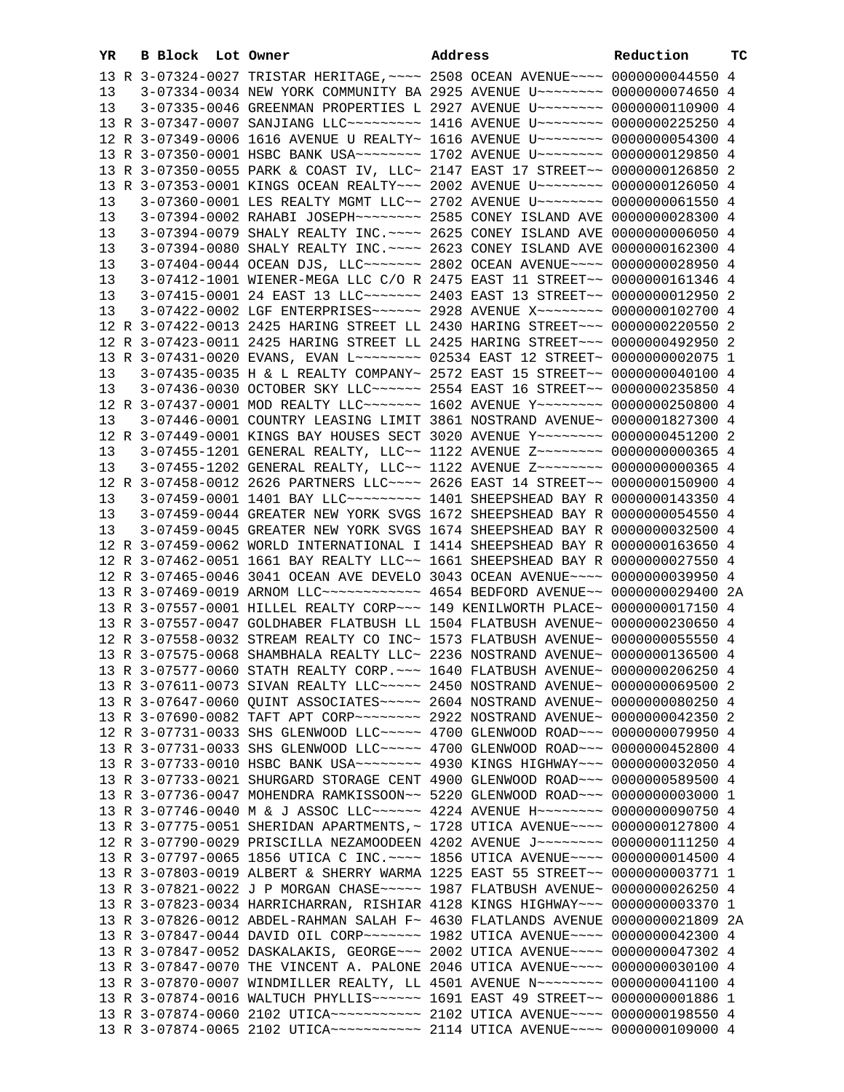| YR | B Block Lot Owner |                                                                                           | Address | Reduction | ТC |
|----|-------------------|-------------------------------------------------------------------------------------------|---------|-----------|----|
|    |                   | 13 R 3-07324-0027 TRISTAR HERITAGE, ~~~~ 2508 OCEAN AVENUE~~~~ 0000000044550 4            |         |           |    |
| 13 |                   | 3-07334-0034 NEW YORK COMMUNITY BA 2925 AVENUE U~~~~~~~~ 0000000074650 4                  |         |           |    |
| 13 |                   | 3-07335-0046 GREENMAN PROPERTIES L 2927 AVENUE U~~~~~~~~ 0000000110900 4                  |         |           |    |
|    |                   | 13 R 3-07347-0007 SANJIANG LLC -------- 1416 AVENUE U ------- 0000000225250 4             |         |           |    |
|    |                   | 12 R 3-07349-0006 1616 AVENUE U REALTY~ 1616 AVENUE U~~~~~~~~ 0000000054300 4             |         |           |    |
|    |                   | 13 R 3-07350-0001 HSBC BANK USA~~~~~~~~ 1702 AVENUE U~~~~~~~~ 0000000129850 4             |         |           |    |
|    |                   |                                                                                           |         |           |    |
|    |                   | 13 R 3-07350-0055 PARK & COAST IV, LLC~ 2147 EAST 17 STREET~~ 0000000126850 2             |         |           |    |
|    |                   | 13 R 3-07353-0001 KINGS OCEAN REALTY~~~ 2002 AVENUE U~~~~~~~~ 0000000126050 4             |         |           |    |
| 13 |                   | 3-07360-0001 LES REALTY MGMT LLC~~ 2702 AVENUE U~~~~~~~~ 0000000061550 4                  |         |           |    |
| 13 |                   | 3-07394-0002 RAHABI JOSEPH~~~~~~~~ 2585 CONEY ISLAND AVE 0000000028300 4                  |         |           |    |
| 13 |                   | 3-07394-0079 SHALY REALTY INC. ~~~~ 2625 CONEY ISLAND AVE 0000000006050 4                 |         |           |    |
| 13 |                   | 3-07394-0080 SHALY REALTY INC. ~~~~ 2623 CONEY ISLAND AVE 0000000162300 4                 |         |           |    |
| 13 |                   | 3-07404-0044 OCEAN DJS, LLC ------ 2802 OCEAN AVENUE --- 0000000028950 4                  |         |           |    |
| 13 |                   | 3-07412-1001 WIENER-MEGA LLC C/O R 2475 EAST 11 STREET~~ 0000000161346 4                  |         |           |    |
| 13 |                   | 3-07415-0001 24 EAST 13 LLC ------ 2403 EAST 13 STREET -- 0000000012950 2                 |         |           |    |
| 13 |                   | 3-07422-0002 LGF ENTERPRISES~~~~~~ 2928 AVENUE X~~~~~~~~ 0000000102700 4                  |         |           |    |
|    |                   | 12 R 3-07422-0013 2425 HARING STREET LL 2430 HARING STREET~~~ 0000000220550 2             |         |           |    |
|    |                   | 12 R 3-07423-0011 2425 HARING STREET LL 2425 HARING STREET~~~ 0000000492950 2             |         |           |    |
|    |                   | 13 R 3-07431-0020 EVANS, EVAN L~~~~~~~~ 02534 EAST 12 STREET~ 0000000002075 1             |         |           |    |
| 13 |                   | 3-07435-0035 H & L REALTY COMPANY~ 2572 EAST 15 STREET~~ 0000000040100 4                  |         |           |    |
| 13 |                   | 3-07436-0030 OCTOBER SKY LLC ----- 2554 EAST 16 STREET -- 0000000235850 4                 |         |           |    |
|    |                   | 12 R 3-07437-0001 MOD REALTY LLC ------ 1602 AVENUE Y ------- 0000000250800 4             |         |           |    |
| 13 |                   | 3-07446-0001 COUNTRY LEASING LIMIT 3861 NOSTRAND AVENUE~ 0000001827300 4                  |         |           |    |
|    |                   | 12 R 3-07449-0001 KINGS BAY HOUSES SECT 3020 AVENUE Y~~~~~~~~ 0000000451200 2             |         |           |    |
| 13 |                   | 3-07455-1201 GENERAL REALTY, LLC~~ 1122 AVENUE Z~~~~~~~~ 0000000000365 4                  |         |           |    |
| 13 |                   | 3-07455-1202 GENERAL REALTY, LLC~~ 1122 AVENUE Z~~~~~~~~ 0000000000365 4                  |         |           |    |
|    |                   | 12 R 3-07458-0012 2626 PARTNERS LLC --- 2626 EAST 14 STREET -~ 0000000150900 4            |         |           |    |
| 13 |                   | 3-07459-0001 1401 BAY LLC --------- 1401 SHEEPSHEAD BAY R 0000000143350 4                 |         |           |    |
| 13 |                   | 3-07459-0044 GREATER NEW YORK SVGS 1672 SHEEPSHEAD BAY R 0000000054550 4                  |         |           |    |
|    |                   |                                                                                           |         |           |    |
| 13 |                   | 3-07459-0045 GREATER NEW YORK SVGS 1674 SHEEPSHEAD BAY R 0000000032500 4                  |         |           |    |
|    |                   | 12 R 3-07459-0062 WORLD INTERNATIONAL I 1414 SHEEPSHEAD BAY R 0000000163650 4             |         |           |    |
|    |                   | 12 R 3-07462-0051 1661 BAY REALTY LLC~~ 1661 SHEEPSHEAD BAY R 0000000027550 4             |         |           |    |
|    |                   | 12 R 3-07465-0046 3041 OCEAN AVE DEVELO 3043 OCEAN AVENUE~~~~ 0000000039950 4             |         |           |    |
|    |                   | 13 R 3-07469-0019 ARNOM LLC ----------- 4654 BEDFORD AVENUE -- 0000000029400 2A           |         |           |    |
|    |                   | 13 R 3-07557-0001 HILLEL REALTY CORP~~~ 149 KENILWORTH PLACE~ 0000000017150 4             |         |           |    |
|    |                   | 13 R 3-07557-0047 GOLDHABER FLATBUSH LL 1504 FLATBUSH AVENUE~ 0000000230650 4             |         |           |    |
|    |                   | 12 R 3-07558-0032 STREAM REALTY CO INC~ 1573 FLATBUSH AVENUE~ 0000000055550 4             |         |           |    |
|    |                   | 13 R 3-07575-0068 SHAMBHALA REALTY LLC~ 2236 NOSTRAND AVENUE~ 0000000136500 4             |         |           |    |
|    |                   | 13 R 3-07577-0060 STATH REALTY CORP. ~~~ 1640 FLATBUSH AVENUE~ 0000000206250 4            |         |           |    |
|    |                   | 13 R 3-07611-0073 SIVAN REALTY LLC ~~~~~ 2450 NOSTRAND AVENUE~ 0000000069500 2            |         |           |    |
|    |                   | 13 R 3-07647-0060 QUINT ASSOCIATES ~~~~~ 2604 NOSTRAND AVENUE~ 0000000080250 4            |         |           |    |
|    |                   | 13 R 3-07690-0082 TAFT APT CORP~~~~~~~~ 2922 NOSTRAND AVENUE~ 0000000042350 2             |         |           |    |
|    |                   | 12 R 3-07731-0033 SHS GLENWOOD LLC~~~~~ 4700 GLENWOOD ROAD~~~ 0000000079950 4             |         |           |    |
|    |                   | 13 R 3-07731-0033 SHS GLENWOOD LLC~~~~~ 4700 GLENWOOD ROAD~~~ 0000000452800 4             |         |           |    |
|    |                   | 13 R 3-07733-0010 HSBC BANK USA~~~~~~~~ 4930 KINGS HIGHWAY~~~ 0000000032050 4             |         |           |    |
|    |                   | 13 R 3-07733-0021 SHURGARD STORAGE CENT 4900 GLENWOOD ROAD~~~ 0000000589500 4             |         |           |    |
|    |                   | 13 R 3-07736-0047 MOHENDRA RAMKISSOON~~ 5220 GLENWOOD ROAD~~~ 0000000003000 1             |         |           |    |
|    |                   | 13 R 3-07746-0040 M & J ASSOC LLC ----- 4224 AVENUE H -------- 0000000090750 4            |         |           |    |
|    |                   | 13 R 3-07775-0051 SHERIDAN APARTMENTS, ~ 1728 UTICA AVENUE~~~~ 0000000127800 4            |         |           |    |
|    |                   | 12 R 3-07790-0029 PRISCILLA NEZAMOODEEN 4202 AVENUE J~~~~~~~~ 0000000111250 4             |         |           |    |
|    |                   | 13 R 3-07797-0065 1856 UTICA C INC. ~~~~ 1856 UTICA AVENUE~~~~ 0000000014500 4            |         |           |    |
|    |                   | 13 R 3-07803-0019 ALBERT & SHERRY WARMA 1225 EAST 55 STREET~~ 0000000003771 1             |         |           |    |
|    |                   | 13 R 3-07821-0022 J P MORGAN CHASE~~~~~ 1987 FLATBUSH AVENUE~ 0000000026250 4             |         |           |    |
|    |                   | 13 R 3-07823-0034 HARRICHARRAN, RISHIAR 4128 KINGS HIGHWAY~~~ 0000000003370 1             |         |           |    |
|    |                   | 13 R 3-07826-0012 ABDEL-RAHMAN SALAH F~ 4630 FLATLANDS AVENUE 0000000021809 2A            |         |           |    |
|    |                   | 13 R 3-07847-0044 DAVID OIL CORP~~~~~~~ 1982 UTICA AVENUE~~~~ 0000000042300 4             |         |           |    |
|    |                   |                                                                                           |         |           |    |
|    |                   | 13 R 3-07847-0052 DASKALAKIS, GEORGE~~~ 2002 UTICA AVENUE~~~~ 0000000047302 4             |         |           |    |
|    |                   | 13 R 3-07847-0070 THE VINCENT A. PALONE 2046 UTICA AVENUE~~~~ 0000000030100 4             |         |           |    |
|    |                   | 13 R 3-07870-0007 WINDMILLER REALTY, LL 4501 AVENUE N~~~~~~~~ 0000000041100 4             |         |           |    |
|    |                   | 13 R 3-07874-0016 WALTUCH PHYLLIS ----- 1691 EAST 49 STREET -- 0000000001886 1            |         |           |    |
|    |                   | 13 R 3-07874-0060 2102 UTICA~~~~~~~~~~~~~~~~~~~~~~ 2102 UTICA AVENUE~~~~~ 0000000198550 4 |         |           |    |
|    |                   | 13 R 3-07874-0065 2102 UTICA~~~~~~~~~~~ 2114 UTICA AVENUE~~~~ 0000000109000 4             |         |           |    |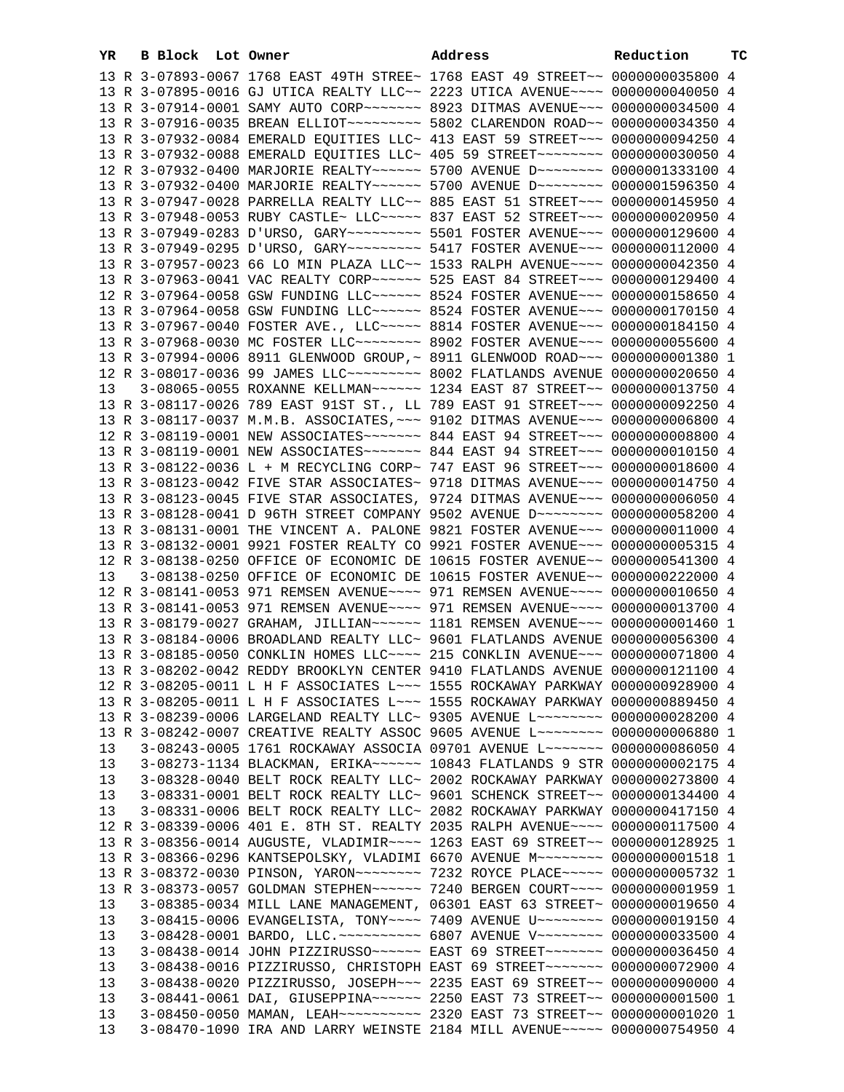| YR | B Block Lot Owner |                                                                                  | Address | Reduction | ТC |
|----|-------------------|----------------------------------------------------------------------------------|---------|-----------|----|
|    |                   | 13 R 3-07893-0067 1768 EAST 49TH STREE~ 1768 EAST 49 STREET~~ 0000000035800 4    |         |           |    |
|    |                   | 13 R 3-07895-0016 GJ UTICA REALTY LLC~~ 2223 UTICA AVENUE~~~~ 0000000040050 4    |         |           |    |
|    |                   | 13 R 3-07914-0001 SAMY AUTO CORP~~~~~~~ 8923 DITMAS AVENUE~~~ 0000000034500 4    |         |           |    |
|    |                   | 13 R 3-07916-0035 BREAN ELLIOT~~~~~~~~~~ 5802 CLARENDON ROAD~~ 0000000034350 4   |         |           |    |
|    |                   | 13 R 3-07932-0084 EMERALD EQUITIES LLC~ 413 EAST 59 STREET~~~ 0000000094250 4    |         |           |    |
|    |                   | 13 R 3-07932-0088 EMERALD EQUITIES LLC~ 405 59 STREET~~~~~~~~~ 0000000030050 4   |         |           |    |
|    |                   | 12 R 3-07932-0400 MARJORIE REALTY~~~~~~ 5700 AVENUE D~~~~~~~~ 0000001333100 4    |         |           |    |
|    |                   | 13 R 3-07932-0400 MARJORIE REALTY~~~~~~ 5700 AVENUE D~~~~~~~~ 0000001596350 4    |         |           |    |
|    |                   | 13 R 3-07947-0028 PARRELLA REALTY LLC~~ 885 EAST 51 STREET~~~ 0000000145950 4    |         |           |    |
|    |                   | 13 R 3-07948-0053 RUBY CASTLE~ LLC~~~~~ 837 EAST 52 STREET~~~ 0000000020950 4    |         |           |    |
|    |                   | 13 R 3-07949-0283 D'URSO, GARY~~~~~~~~~~ 5501 FOSTER AVENUE~~~ 0000000129600 4   |         |           |    |
|    |                   | 13 R 3-07949-0295 D'URSO, GARY~~~~~~~~~ 5417 FOSTER AVENUE~~~ 0000000112000 4    |         |           |    |
|    |                   | 13 R 3-07957-0023 66 LO MIN PLAZA LLC~~ 1533 RALPH AVENUE~~~~ 0000000042350 4    |         |           |    |
|    |                   | 13 R 3-07963-0041 VAC REALTY CORP~~~~~~ 525 EAST 84 STREET~~~ 0000000129400 4    |         |           |    |
|    |                   | 12 R 3-07964-0058 GSW FUNDING LLC ----- 8524 FOSTER AVENUE -- 0000000158650 4    |         |           |    |
|    |                   | 13 R 3-07964-0058 GSW FUNDING LLC ~~~~~~ 8524 FOSTER AVENUE ~~~ 0000000170150 4  |         |           |    |
|    |                   | 13 R 3-07967-0040 FOSTER AVE., LLC ~~~~~ 8814 FOSTER AVENUE ~~~ 0000000184150 4  |         |           |    |
|    |                   | 13 R 3-07968-0030 MC FOSTER LLC -------- 8902 FOSTER AVENUE -- 0000000055600 4   |         |           |    |
|    |                   | 13 R 3-07994-0006 8911 GLENWOOD GROUP, ~ 8911 GLENWOOD ROAD ~~~ 00000000001380 1 |         |           |    |
|    |                   | 12 R 3-08017-0036 99 JAMES LLC -------- 8002 FLATLANDS AVENUE 0000000020650 4    |         |           |    |
| 13 |                   | 3-08065-0055 ROXANNE KELLMAN~~~~~~ 1234 EAST 87 STREET~~ 0000000013750 4         |         |           |    |
|    |                   | 13 R 3-08117-0026 789 EAST 91ST ST., LL 789 EAST 91 STREET~~~ 0000000092250 4    |         |           |    |
|    |                   | 13 R 3-08117-0037 M.M.B. ASSOCIATES, ~~~ 9102 DITMAS AVENUE~~~ 0000000006800 4   |         |           |    |
|    |                   | 12 R 3-08119-0001 NEW ASSOCIATES~~~~~~~ 844 EAST 94 STREET~~~ 0000000008800 4    |         |           |    |
|    |                   | 13 R 3-08119-0001 NEW ASSOCIATES~~~~~~~ 844 EAST 94 STREET~~~ 0000000010150 4    |         |           |    |
|    |                   | 13 R 3-08122-0036 L + M RECYCLING CORP~ 747 EAST 96 STREET~~~ 0000000018600 4    |         |           |    |
|    |                   | 13 R 3-08123-0042 FIVE STAR ASSOCIATES~ 9718 DITMAS AVENUE~~~ 0000000014750 4    |         |           |    |
|    |                   | 13 R 3-08123-0045 FIVE STAR ASSOCIATES, 9724 DITMAS AVENUE~~~ 00000000006050 4   |         |           |    |
|    |                   | 13 R 3-08128-0041 D 96TH STREET COMPANY 9502 AVENUE D~~~~~~~~ 0000000058200 4    |         |           |    |
|    |                   | 13 R 3-08131-0001 THE VINCENT A. PALONE 9821 FOSTER AVENUE~~~ 0000000011000 4    |         |           |    |
|    |                   | 13 R 3-08132-0001 9921 FOSTER REALTY CO 9921 FOSTER AVENUE~~~ 0000000005315 4    |         |           |    |
|    |                   | 12 R 3-08138-0250 OFFICE OF ECONOMIC DE 10615 FOSTER AVENUE~~ 0000000541300 4    |         |           |    |
| 13 |                   | 3-08138-0250 OFFICE OF ECONOMIC DE 10615 FOSTER AVENUE~~ 0000000222000 4         |         |           |    |
|    |                   | 12 R 3-08141-0053 971 REMSEN AVENUE~~~~ 971 REMSEN AVENUE~~~~ 0000000010650 4    |         |           |    |
|    |                   | 13 R 3-08141-0053 971 REMSEN AVENUE~~~~ 971 REMSEN AVENUE~~~~ 0000000013700 4    |         |           |    |
|    |                   | 13 R 3-08179-0027 GRAHAM, JILLIAN~~~~~~ 1181 REMSEN AVENUE~~~ 0000000001460 1    |         |           |    |
|    |                   | 13 R 3-08184-0006 BROADLAND REALTY LLC~ 9601 FLATLANDS AVENUE 0000000056300 4    |         |           |    |
|    |                   | 13 R 3-08185-0050 CONKLIN HOMES LLC~~~~ 215 CONKLIN AVENUE~~~ 0000000071800 4    |         |           |    |
|    |                   | 13 R 3-08202-0042 REDDY BROOKLYN CENTER 9410 FLATLANDS AVENUE 0000000121100 4    |         |           |    |
|    |                   | 12 R 3-08205-0011 L H F ASSOCIATES L~~~ 1555 ROCKAWAY PARKWAY 0000000928900 4    |         |           |    |
|    |                   | 13 R 3-08205-0011 L H F ASSOCIATES L~~~ 1555 ROCKAWAY PARKWAY 0000000889450 4    |         |           |    |
|    |                   | 13 R 3-08239-0006 LARGELAND REALTY LLC~ 9305 AVENUE L~~~~~~~~~ 0000000028200 4   |         |           |    |
|    |                   | 13 R 3-08242-0007 CREATIVE REALTY ASSOC 9605 AVENUE L~~~~~~~~ 0000000006880 1    |         |           |    |
| 13 |                   | 3-08243-0005 1761 ROCKAWAY ASSOCIA 09701 AVENUE L~~~~~~~ 0000000086050 4         |         |           |    |
| 13 |                   | 3-08273-1134 BLACKMAN, ERIKA~~~~~~ 10843 FLATLANDS 9 STR 0000000002175 4         |         |           |    |
| 13 |                   | 3-08328-0040 BELT ROCK REALTY LLC~ 2002 ROCKAWAY PARKWAY 0000000273800 4         |         |           |    |
| 13 |                   | 3-08331-0001 BELT ROCK REALTY LLC~ 9601 SCHENCK STREET~~ 0000000134400 4         |         |           |    |
| 13 |                   | 3-08331-0006 BELT ROCK REALTY LLC~ 2082 ROCKAWAY PARKWAY 0000000417150 4         |         |           |    |
|    |                   | 12 R 3-08339-0006 401 E. 8TH ST. REALTY 2035 RALPH AVENUE~~~~ 0000000117500 4    |         |           |    |
|    |                   | 13 R 3-08356-0014 AUGUSTE, VLADIMIR~~~~ 1263 EAST 69 STREET~~ 0000000128925 1    |         |           |    |
|    |                   | 13 R 3-08366-0296 KANTSEPOLSKY, VLADIMI 6670 AVENUE M~~~~~~~~ 00000000001518 1   |         |           |    |
|    |                   | 13 R 3-08372-0030 PINSON, YARON~~~~~~~~ 7232 ROYCE PLACE~~~~~ 0000000005732 1    |         |           |    |
|    |                   | 13 R 3-08373-0057 GOLDMAN STEPHEN~~~~~~ 7240 BERGEN COURT~~~~ 00000000001959 1   |         |           |    |
| 13 |                   | 3-08385-0034 MILL LANE MANAGEMENT, 06301 EAST 63 STREET~ 0000000019650 4         |         |           |    |
| 13 |                   | 3-08415-0006 EVANGELISTA, TONY~~~~ 7409 AVENUE U~~~~~~~~ 0000000019150 4         |         |           |    |
| 13 |                   | 3-08428-0001 BARDO, LLC. ~~~~~~~~~~ 6807 AVENUE V~~~~~~~~ 0000000033500 4        |         |           |    |
| 13 |                   | 3-08438-0014 JOHN PIZZIRUSSO ----- EAST 69 STREET ------ 0000000036450 4         |         |           |    |
| 13 |                   | 3-08438-0016 PIZZIRUSSO, CHRISTOPH EAST 69 STREET~~~~~~~ 0000000072900 4         |         |           |    |
| 13 |                   | 3-08438-0020 PIZZIRUSSO, JOSEPH~~~ 2235 EAST 69 STREET~~ 0000000090000 4         |         |           |    |
| 13 |                   | 3-08441-0061 DAI, GIUSEPPINA~~~~~~ 2250 EAST 73 STREET~~ 0000000001500 1         |         |           |    |
| 13 |                   | 3-08450-0050 MAMAN, LEAH~~~~~~~~~~ 2320 EAST 73 STREET~~ 00000000001020 1        |         |           |    |
| 13 |                   | 3-08470-1090 IRA AND LARRY WEINSTE 2184 MILL AVENUE~~~~~ 0000000754950 4         |         |           |    |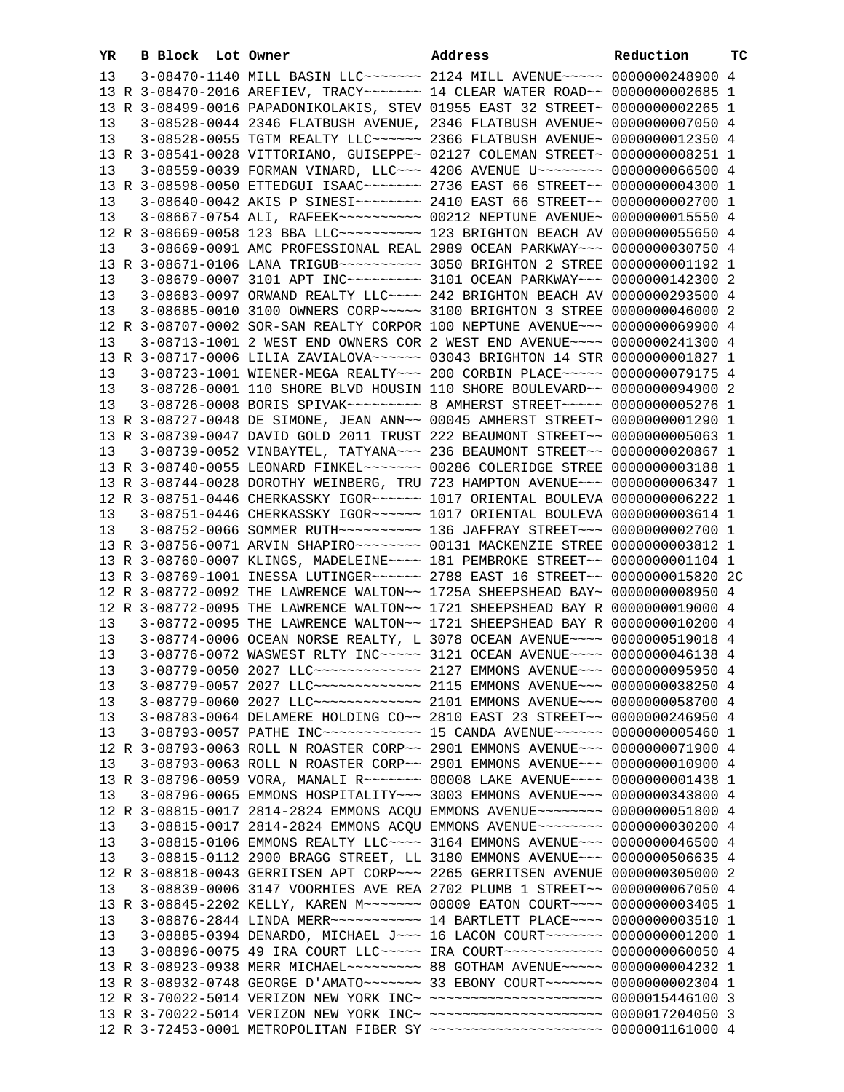| YR       | B Block Lot Owner |                                                                                                                                                                | Address | Reduction | тc |
|----------|-------------------|----------------------------------------------------------------------------------------------------------------------------------------------------------------|---------|-----------|----|
| 13       |                   | 3-08470-1140 MILL BASIN LLC ------ 2124 MILL AVENUE ---- 0000000248900 4                                                                                       |         |           |    |
|          |                   | 13 R 3-08470-2016 AREFIEV, TRACY~~~~~~~ 14 CLEAR WATER ROAD~~ 0000000002685 1                                                                                  |         |           |    |
|          |                   | 13 R 3-08499-0016 PAPADONIKOLAKIS, STEV 01955 EAST 32 STREET~ 0000000002265 1                                                                                  |         |           |    |
| 13       |                   | 3-08528-0044 2346 FLATBUSH AVENUE, 2346 FLATBUSH AVENUE~ 0000000007050 4                                                                                       |         |           |    |
| 13       |                   | 3-08528-0055 TGTM REALTY LLC ----- 2366 FLATBUSH AVENUE ~ 0000000012350 4                                                                                      |         |           |    |
|          |                   | 13 R 3-08541-0028 VITTORIANO, GUISEPPE~ 02127 COLEMAN STREET~ 0000000008251 1                                                                                  |         |           |    |
| 13       |                   | 3-08559-0039 FORMAN VINARD, LLC~~~ 4206 AVENUE U~~~~~~~~ 0000000066500 4                                                                                       |         |           |    |
|          |                   | 13 R 3-08598-0050 ETTEDGUI ISAAC~~~~~~~ 2736 EAST 66 STREET~~ 0000000004300 1                                                                                  |         |           |    |
| 13       |                   | 3-08640-0042 AKIS P SINESI~~~~~~~~ 2410 EAST 66 STREET~~ 0000000002700 1                                                                                       |         |           |    |
| 13       |                   | 3-08667-0754 ALI, RAFEEK~~~~~~~~~~ 00212 NEPTUNE AVENUE~ 0000000015550 4                                                                                       |         |           |    |
|          |                   | 12 R 3-08669-0058 123 BBA LLC ---------- 123 BRIGHTON BEACH AV 0000000055650 4                                                                                 |         |           |    |
| 13       |                   | 3-08669-0091 AMC PROFESSIONAL REAL 2989 OCEAN PARKWAY~~~ 0000000030750 4                                                                                       |         |           |    |
|          |                   | 13 R 3-08671-0106 LANA TRIGUB~~~~~~~~~~ 3050 BRIGHTON 2 STREE 00000000001192 1                                                                                 |         |           |    |
| 13       |                   | 3-08679-0007 3101 APT INC -------- 3101 OCEAN PARKWAY -- 0000000142300 2                                                                                       |         |           |    |
| 13       |                   | 3-08683-0097 ORWAND REALTY LLC ~~~~ 242 BRIGHTON BEACH AV 0000000293500 4                                                                                      |         |           |    |
| 13       |                   | 3-08685-0010 3100 OWNERS CORP~~~~~ 3100 BRIGHTON 3 STREE 0000000046000 2                                                                                       |         |           |    |
|          |                   | 12 R 3-08707-0002 SOR-SAN REALTY CORPOR 100 NEPTUNE AVENUE~~~ 0000000069900 4                                                                                  |         |           |    |
| 13       |                   | 3-08713-1001 2 WEST END OWNERS COR 2 WEST END AVENUE~~~~ 0000000241300 4                                                                                       |         |           |    |
|          |                   | 13 R 3-08717-0006 LILIA ZAVIALOVA~~~~~~ 03043 BRIGHTON 14 STR 0000000001827 1                                                                                  |         |           |    |
|          |                   | 3-08723-1001 WIENER-MEGA REALTY~~~ 200 CORBIN PLACE~~~~~ 0000000079175 4                                                                                       |         |           |    |
| 13       |                   |                                                                                                                                                                |         |           |    |
| 13       |                   | 3-08726-0001 110 SHORE BLVD HOUSIN 110 SHORE BOULEVARD~~ 0000000094900 2<br>3-08726-0008 BORIS SPIVAK~~~~~~~~~~~~~~~~~~ SAMHERST STREET~~~~~~~ 0000000005276 1 |         |           |    |
| 13       |                   |                                                                                                                                                                |         |           |    |
|          |                   | 13 R 3-08727-0048 DE SIMONE, JEAN ANN~~ 00045 AMHERST STREET~ 00000000001290 1                                                                                 |         |           |    |
|          |                   | 13 R 3-08739-0047 DAVID GOLD 2011 TRUST 222 BEAUMONT STREET~~ 00000000005063 1                                                                                 |         |           |    |
| 13       |                   | 3-08739-0052 VINBAYTEL, TATYANA~~~ 236 BEAUMONT STREET~~ 0000000020867 1                                                                                       |         |           |    |
|          |                   | 13 R 3-08740-0055 LEONARD FINKEL~~~~~~~ 00286 COLERIDGE STREE 0000000003188 1                                                                                  |         |           |    |
|          |                   | 13 R 3-08744-0028 DOROTHY WEINBERG, TRU 723 HAMPTON AVENUE~~~ 0000000006347 1                                                                                  |         |           |    |
|          |                   | 12 R 3-08751-0446 CHERKASSKY IGOR~~~~~~ 1017 ORIENTAL BOULEVA 0000000006222 1<br>3-08751-0446 CHERKASSKY IGOR~~~~~~ 1017 ORIENTAL BOULEVA 0000000003614 1      |         |           |    |
| 13<br>13 |                   | 3-08752-0066 SOMMER RUTH~~~~~~~~~~ 136 JAFFRAY STREET~~~ 0000000002700 1                                                                                       |         |           |    |
|          |                   |                                                                                                                                                                |         |           |    |
|          |                   | 13 R 3-08760-0007 KLINGS, MADELEINE~~~~ 181 PEMBROKE STREET~~ 00000000001104 1                                                                                 |         |           |    |
|          |                   | 13 R 3-08769-1001 INESSA LUTINGER~~~~~~ 2788 EAST 16 STREET~~ 0000000015820 2C                                                                                 |         |           |    |
|          |                   | 12 R 3-08772-0092 THE LAWRENCE WALTON~~ 1725A SHEEPSHEAD BAY~ 00000000008950 4                                                                                 |         |           |    |
|          |                   | 12 R 3-08772-0095 THE LAWRENCE WALTON~~ 1721 SHEEPSHEAD BAY R 0000000019000 4                                                                                  |         |           |    |
| 13       |                   | 3-08772-0095 THE LAWRENCE WALTON~~ 1721 SHEEPSHEAD BAY R 0000000010200 4                                                                                       |         |           |    |
| 13       |                   | 3-08774-0006 OCEAN NORSE REALTY, L 3078 OCEAN AVENUE~~~~ 0000000519018 4                                                                                       |         |           |    |
| 13       |                   | 3-08776-0072 WASWEST RLTY INC~~~~~ 3121 OCEAN AVENUE~~~~ 0000000046138 4                                                                                       |         |           |    |
| 13       |                   | 3-08779-0050 2027 LLC ------------- 2127 EMMONS AVENUE -- 0000000095950 4                                                                                      |         |           |    |
| 13       |                   | 3-08779-0057 2027 LLC~~~~~~~~~~~~~ 2115 EMMONS AVENUE~~~ 0000000038250 4                                                                                       |         |           |    |
| 13       |                   | 3-08779-0060 2027 LLC ------------- 2101 EMMONS AVENUE -- 0000000058700 4                                                                                      |         |           |    |
| 13       |                   | 3-08783-0064 DELAMERE HOLDING CO~~ 2810 EAST 23 STREET~~ 0000000246950 4                                                                                       |         |           |    |
| 13       |                   | 3-08793-0057 PATHE INC~~~~~~~~~~~~~~~~~ 15 CANDA AVENUE~~~~~~~ 0000000005460 1                                                                                 |         |           |    |
|          |                   | 12 R 3-08793-0063 ROLL N ROASTER CORP~~ 2901 EMMONS AVENUE~~~ 0000000071900 4                                                                                  |         |           |    |
| 13       |                   | 3-08793-0063 ROLL N ROASTER CORP~~ 2901 EMMONS AVENUE~~~ 0000000010900 4                                                                                       |         |           |    |
|          |                   | 13 R 3-08796-0059 VORA, MANALI R~~~~~~~ 00008 LAKE AVENUE~~~~ 00000000001438 1                                                                                 |         |           |    |
| 13       |                   | 3-08796-0065 EMMONS HOSPITALITY~~~ 3003 EMMONS AVENUE~~~ 0000000343800 4                                                                                       |         |           |    |
|          |                   | 12 R 3-08815-0017 2814-2824 EMMONS ACQU EMMONS AVENUE~~~~~~~~ 0000000051800 4                                                                                  |         |           |    |
| 13       |                   | 3-08815-0017 2814-2824 EMMONS ACQU EMMONS AVENUE~~~~~~~~ 0000000030200 4                                                                                       |         |           |    |
| 13       |                   | 3-08815-0106 EMMONS REALTY LLC ~~~~ 3164 EMMONS AVENUE ~~~ 0000000046500 4                                                                                     |         |           |    |
| 13       |                   | 3-08815-0112 2900 BRAGG STREET, LL 3180 EMMONS AVENUE~~~ 0000000506635 4                                                                                       |         |           |    |
|          |                   | 12 R 3-08818-0043 GERRITSEN APT CORP~~~ 2265 GERRITSEN AVENUE 0000000305000 2                                                                                  |         |           |    |
| 13       |                   | 3-08839-0006 3147 VOORHIES AVE REA 2702 PLUMB 1 STREET~~ 0000000067050 4                                                                                       |         |           |    |
|          |                   | 13 R 3-08845-2202 KELLY, KAREN M~~~~~~~ 00009 EATON COURT~~~~ 0000000003405 1                                                                                  |         |           |    |
| 13       |                   | 3-08876-2844 LINDA MERR~~~~~~~~~~~ 14 BARTLETT PLACE~~~~ 0000000003510 1                                                                                       |         |           |    |
| 13       |                   | 3-08885-0394 DENARDO, MICHAEL J~~~ 16 LACON COURT~~~~~~~ 0000000001200 1                                                                                       |         |           |    |
| 13       |                   | 3-08896-0075 49 IRA COURT LLC~~~~~ IRA COURT~~~~~~~~~~~~ 0000000060050 4                                                                                       |         |           |    |
|          |                   | 13 R 3-08923-0938 MERR MICHAEL~~~~~~~~~ 88 GOTHAM AVENUE~~~~~ 0000000004232 1                                                                                  |         |           |    |
|          |                   | 13 R 3-08932-0748 GEORGE D'AMATO~~~~~~~~ 33 EBONY COURT~~~~~~~ 0000000002304 1                                                                                 |         |           |    |
|          |                   | 12 R 3-70022-5014 VERIZON NEW YORK INC~ ~~~~~~~~~~~~~~~~~~~~~ 0000015446100 3                                                                                  |         |           |    |
|          |                   | 13 R 3-70022-5014 VERIZON NEW YORK INC~ ~~~~~~~~~~~~~~~~~~~~~ 0000017204050 3                                                                                  |         |           |    |
|          |                   | 12 R 3-72453-0001 METROPOLITAN FIBER SY ~~~~~~~~~~~~~~~~~~~~~ 0000001161000 4                                                                                  |         |           |    |
|          |                   |                                                                                                                                                                |         |           |    |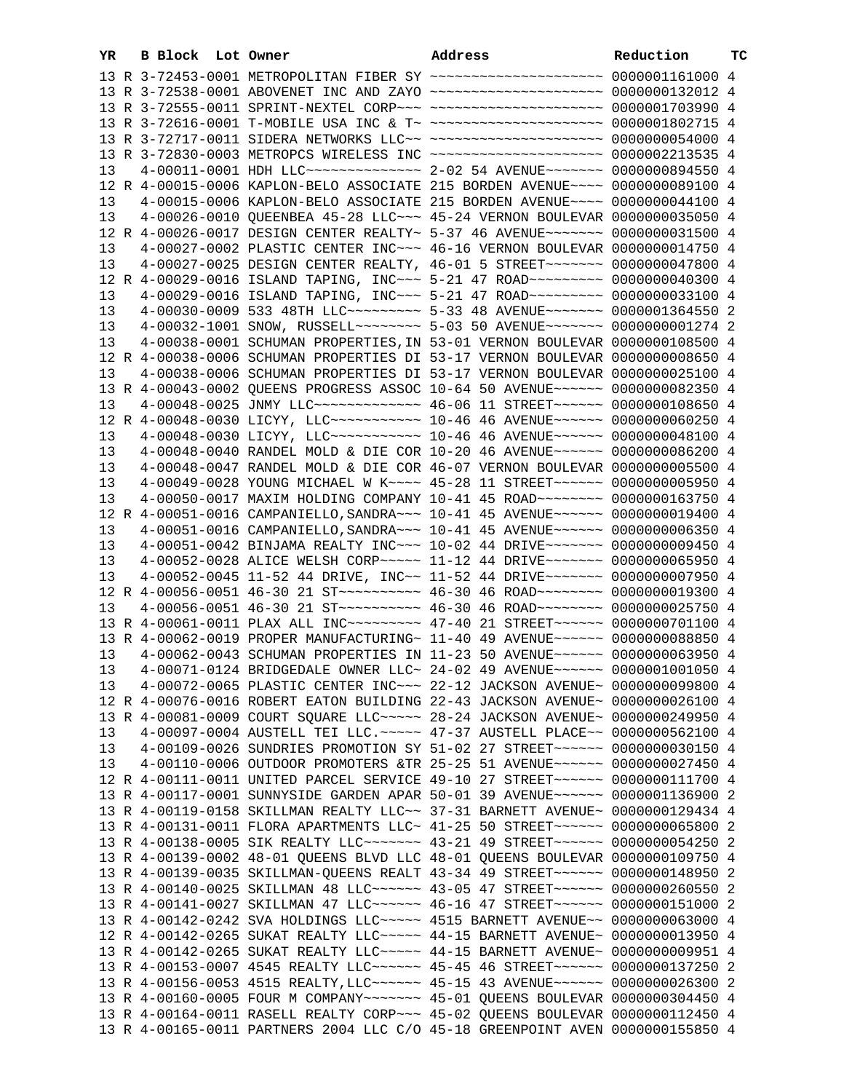|    | YR. | B Block Lot Owner |                                                                                                                                                      | Address | Reduction | ТC |
|----|-----|-------------------|------------------------------------------------------------------------------------------------------------------------------------------------------|---------|-----------|----|
|    |     |                   | 13 R 3-72453-0001 METROPOLITAN FIBER SY ~~~~~~~~~~~~~~~~~~~~~ 0000001161000 4                                                                        |         |           |    |
|    |     |                   | 13 R 3-72538-0001 ABOVENET INC AND ZAYO ~~~~~~~~~~~~~~~~~~~~ 0000000132012 4                                                                         |         |           |    |
|    |     |                   | 13 R 3-72555-0011 SPRINT-NEXTEL CORP~~~ ~~~~~~~~~~~~~~~~~~~~ 0000001703990 4                                                                         |         |           |    |
|    |     |                   | 13 R 3-72616-0001 T-MOBILE USA INC & T~ ~~~~~~~~~~~~~~~~~~~~~ 0000001802715 4                                                                        |         |           |    |
|    |     |                   | 13 R 3-72717-0011 SIDERA NETWORKS LLC~~ ~~~~~~~~~~~~~~~~~~~~~ 0000000054000 4                                                                        |         |           |    |
|    |     |                   | 13 R 3-72830-0003 METROPCS WIRELESS INC ~~~~~~~~~~~~~~~~~~~~~ 0000002213535 4                                                                        |         |           |    |
| 13 |     |                   | 4-00011-0001 HDH LLC --------------- 2-02 54 AVENUE ------ 0000000894550 4                                                                           |         |           |    |
|    |     |                   | 12 R 4-00015-0006 KAPLON-BELO ASSOCIATE 215 BORDEN AVENUE~~~~ 0000000089100 4                                                                        |         |           |    |
| 13 |     |                   | 4-00015-0006 KAPLON-BELO ASSOCIATE 215 BORDEN AVENUE~~~~ 0000000044100 4                                                                             |         |           |    |
| 13 |     |                   | 4-00026-0010 QUEENBEA 45-28 LLC~~~ 45-24 VERNON BOULEVAR 0000000035050 4                                                                             |         |           |    |
|    |     |                   | 12 R 4-00026-0017 DESIGN CENTER REALTY~ 5-37 46 AVENUE~~~~~~~ 0000000031500 4                                                                        |         |           |    |
| 13 |     |                   | 4-00027-0002 PLASTIC CENTER INC~~~ 46-16 VERNON BOULEVAR 0000000014750 4                                                                             |         |           |    |
| 13 |     |                   | 4-00027-0025 DESIGN CENTER REALTY, 46-01 5 STREET~~~~~~~ 0000000047800 4                                                                             |         |           |    |
|    |     |                   | 12 R 4-00029-0016 ISLAND TAPING, INC~~~ 5-21 47 ROAD~~~~~~~~~ 0000000040300 4                                                                        |         |           |    |
| 13 |     |                   | 4-00029-0016 ISLAND TAPING, INC~~~ 5-21 47 ROAD~~~~~~~~~ 0000000033100 4                                                                             |         |           |    |
| 13 |     |                   | 4-00030-0009 533 48TH LLC --------- 5-33 48 AVENUE ------ 0000001364550 2                                                                            |         |           |    |
| 13 |     |                   | 4-00032-1001 SNOW, RUSSELL -------- 5-03 50 AVENUE ------ 0000000001274 2                                                                            |         |           |    |
| 13 |     |                   | 4-00038-0001 SCHUMAN PROPERTIES, IN 53-01 VERNON BOULEVAR 0000000108500 4                                                                            |         |           |    |
|    |     |                   | 12 R 4-00038-0006 SCHUMAN PROPERTIES DI 53-17 VERNON BOULEVAR 0000000008650 4                                                                        |         |           |    |
| 13 |     |                   | 4-00038-0006 SCHUMAN PROPERTIES DI 53-17 VERNON BOULEVAR 0000000025100 4                                                                             |         |           |    |
|    |     |                   | 13 R 4-00043-0002 OUEENS PROGRESS ASSOC 10-64 50 AVENUE~~~~~~ 0000000082350 4                                                                        |         |           |    |
|    |     |                   | 4-00048-0025 JNMY LLC ------------- 46-06 11 STREET ----- 0000000108650 4                                                                            |         |           |    |
| 13 |     |                   | 12 R 4-00048-0030 LICYY, LLC ----------- 10-46 46 AVENUE ----- 0000000060250 4                                                                       |         |           |    |
| 13 |     |                   | 4-00048-0030 LICYY, LLC~~~~~~~~~~~ 10-46 46 AVENUE~~~~~~ 0000000048100 4                                                                             |         |           |    |
| 13 |     |                   |                                                                                                                                                      |         |           |    |
| 13 |     |                   | 4-00048-0040 RANDEL MOLD & DIE COR 10-20 46 AVENUE~~~~~~ 0000000086200 4                                                                             |         |           |    |
| 13 |     |                   | 4-00048-0047 RANDEL MOLD & DIE COR 46-07 VERNON BOULEVAR 0000000005500 4<br>4-00049-0028 YOUNG MICHAEL W K~~~~ 45-28 11 STREET~~~~~~ 0000000005950 4 |         |           |    |
| 13 |     |                   | 4-00050-0017 MAXIM HOLDING COMPANY 10-41 45 ROAD~~~~~~~~ 0000000163750 4                                                                             |         |           |    |
|    |     |                   | 12 R 4-00051-0016 CAMPANIELLO, SANDRA~~~ 10-41 45 AVENUE~~~~~~ 0000000019400 4                                                                       |         |           |    |
| 13 |     |                   | 4-00051-0016 CAMPANIELLO, SANDRA~~~ 10-41 45 AVENUE~~~~~~ 0000000006350 4                                                                            |         |           |    |
| 13 |     |                   | 4-00051-0042 BINJAMA REALTY INC~~~ 10-02 44 DRIVE~~~~~~~ 0000000009450 4                                                                             |         |           |    |
| 13 |     |                   | 4-00052-0028 ALICE WELSH CORP~~~~~ 11-12 44 DRIVE~~~~~~~ 0000000065950 4                                                                             |         |           |    |
| 13 |     |                   | 4-00052-0045 11-52 44 DRIVE, INC~~ 11-52 44 DRIVE~~~~~~~ 0000000007950 4                                                                             |         |           |    |
|    |     |                   | 12 R 4-00056-0051 46-30 21 ST --------- 46-30 46 ROAD ------- 0000000019300 4                                                                        |         |           |    |
| 13 |     |                   | 4-00056-0051 46-30 21 ST ---------- 46-30 46 ROAD ------- 0000000025750 4                                                                            |         |           |    |
|    |     |                   | 13 R 4-00061-0011 PLAX ALL INC~~~~~~~~~ 47-40 21 STREET~~~~~~ 0000000701100 4                                                                        |         |           |    |
|    |     |                   | 13 R 4-00062-0019 PROPER MANUFACTURING~ 11-40 49 AVENUE~~~~~~ 0000000088850 4                                                                        |         |           |    |
| 13 |     |                   | 4-00062-0043 SCHUMAN PROPERTIES IN 11-23 50 AVENUE~~~~~~ 0000000063950 4                                                                             |         |           |    |
| 13 |     |                   | 4-00071-0124 BRIDGEDALE OWNER LLC~ 24-02 49 AVENUE~~~~~~ 0000001001050 4                                                                             |         |           |    |
| 13 |     |                   | 4-00072-0065 PLASTIC CENTER INC~~~ 22-12 JACKSON AVENUE~ 0000000099800 4                                                                             |         |           |    |
|    |     |                   | 12 R 4-00076-0016 ROBERT EATON BUILDING 22-43 JACKSON AVENUE~ 0000000026100 4                                                                        |         |           |    |
|    |     |                   | 13 R 4-00081-0009 COURT SQUARE LLC ~~~~~ 28-24 JACKSON AVENUE~ 0000000249950 4                                                                       |         |           |    |
| 13 |     |                   | 4-00097-0004 AUSTELL TEI LLC. ~~~~~ 47-37 AUSTELL PLACE~~ 0000000562100 4                                                                            |         |           |    |
| 13 |     |                   | 4-00109-0026 SUNDRIES PROMOTION SY 51-02 27 STREET~~~~~~~ 0000000030150 4                                                                            |         |           |    |
| 13 |     |                   | 4-00110-0006 OUTDOOR PROMOTERS &TR 25-25 51 AVENUE~~~~~~ 0000000027450 4                                                                             |         |           |    |
|    |     |                   | 12 R 4-00111-0011 UNITED PARCEL SERVICE 49-10 27 STREET~~~~~~ 0000000111700 4                                                                        |         |           |    |
|    |     |                   | 13 R 4-00117-0001 SUNNYSIDE GARDEN APAR 50-01 39 AVENUE~~~~~~ 0000001136900 2                                                                        |         |           |    |
|    |     |                   | 13 R 4-00119-0158 SKILLMAN REALTY LLC~~ 37-31 BARNETT AVENUE~ 0000000129434 4                                                                        |         |           |    |
|    |     |                   | 13 R 4-00131-0011 FLORA APARTMENTS LLC~ 41-25 50 STREET~~~~~~ 0000000065800 2                                                                        |         |           |    |
|    |     |                   | 13 R 4-00138-0005 SIK REALTY LLC ------ 43-21 49 STREET ----- 0000000054250 2                                                                        |         |           |    |
|    |     |                   | 13 R 4-00139-0002 48-01 QUEENS BLVD LLC 48-01 QUEENS BOULEVAR 0000000109750 4                                                                        |         |           |    |
|    |     |                   | 13 R 4-00139-0035 SKILLMAN-QUEENS REALT 43-34 49 STREET~~~~~~ 0000000148950 2                                                                        |         |           |    |
|    |     |                   | 13 R 4-00140-0025 SKILLMAN 48 LLC ----- 43-05 47 STREET ----- 0000000260550 2                                                                        |         |           |    |
|    |     |                   | 13 R 4-00141-0027 SKILLMAN 47 LLC~~~~~~ 46-16 47 STREET~~~~~~ 0000000151000 2                                                                        |         |           |    |
|    |     |                   | 13 R 4-00142-0242 SVA HOLDINGS LLC ~~~~~ 4515 BARNETT AVENUE ~~ 0000000063000 4                                                                      |         |           |    |
|    |     |                   | 12 R 4-00142-0265 SUKAT REALTY LLC ---- 44-15 BARNETT AVENUE ~ 0000000013950 4                                                                       |         |           |    |
|    |     |                   | 13 R 4-00142-0265 SUKAT REALTY LLC ~~~~~ 44-15 BARNETT AVENUE~ 0000000009951 4                                                                       |         |           |    |
|    |     |                   | 13 R 4-00153-0007 4545 REALTY LLC ----- 45-45 46 STREET ----- 0000000137250 2                                                                        |         |           |    |
|    |     |                   | 13 R 4-00156-0053 4515 REALTY, LLC ~~~~~~ 45-15 43 AVENUE ~~~~~~ 0000000026300 2                                                                     |         |           |    |
|    |     |                   | 13 R 4-00160-0005 FOUR M COMPANY~~~~~~~ 45-01 QUEENS BOULEVAR 0000000304450 4                                                                        |         |           |    |
|    |     |                   | 13 R 4-00164-0011 RASELL REALTY CORP~~~ 45-02 QUEENS BOULEVAR 0000000112450 4                                                                        |         |           |    |
|    |     |                   | 13 R 4-00165-0011 PARTNERS 2004 LLC C/O 45-18 GREENPOINT AVEN 0000000155850 4                                                                        |         |           |    |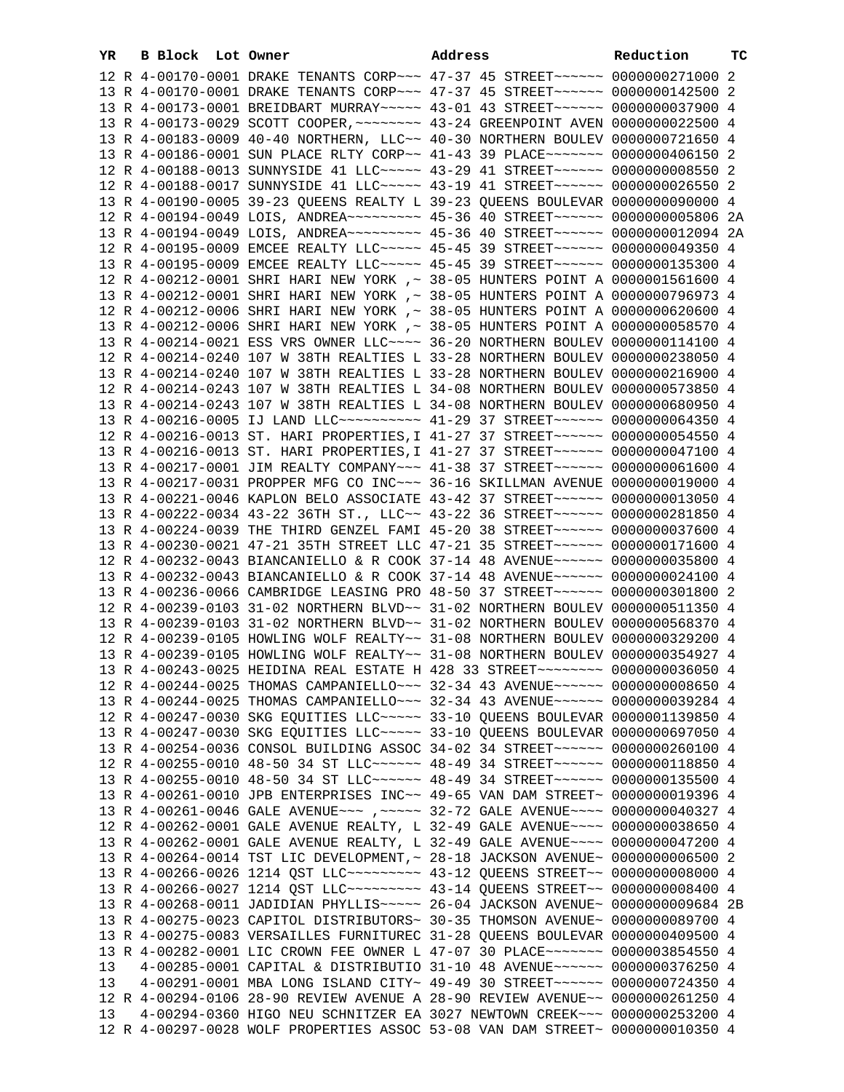|    | YR | <b>B Block</b> Lot Owner |                                                                                                                                                                | Address | Reduction | ТC |
|----|----|--------------------------|----------------------------------------------------------------------------------------------------------------------------------------------------------------|---------|-----------|----|
|    |    |                          | 12 R 4-00170-0001 DRAKE TENANTS CORP~~~ 47-37 45 STREET~~~~~~ 0000000271000 2                                                                                  |         |           |    |
|    |    |                          | 13 R 4-00170-0001 DRAKE TENANTS CORP~~~ 47-37 45 STREET~~~~~~ 0000000142500 2                                                                                  |         |           |    |
|    |    |                          | 13 R 4-00173-0001 BREIDBART MURRAY~~~~~ 43-01 43 STREET~~~~~~ 0000000037900 4                                                                                  |         |           |    |
|    |    |                          | 13 R 4-00173-0029 SCOTT COOPER, ~~~~~~~~ 43-24 GREENPOINT AVEN 0000000022500 4                                                                                 |         |           |    |
|    |    |                          | 13 R 4-00183-0009 40-40 NORTHERN, LLC~~ 40-30 NORTHERN BOULEV 0000000721650 4                                                                                  |         |           |    |
|    |    |                          | 13 R 4-00186-0001 SUN PLACE RLTY CORP~~ 41-43 39 PLACE~~~~~~~ 0000000406150 2                                                                                  |         |           |    |
|    |    |                          | 12 R 4-00188-0013 SUNNYSIDE 41 LLC ---- 43-29 41 STREET ----- 00000000008550 2                                                                                 |         |           |    |
|    |    |                          | 12 R 4-00188-0017 SUNNYSIDE 41 LLC ---- 43-19 41 STREET ----- 0000000026550 2                                                                                  |         |           |    |
|    |    |                          | 13 R 4-00190-0005 39-23 QUEENS REALTY L 39-23 QUEENS BOULEVAR 0000000090000 4                                                                                  |         |           |    |
|    |    |                          | 12 R 4-00194-0049 LOIS, ANDREA~~~~~~~~~ 45-36 40 STREET~~~~~~ 0000000005806 2A                                                                                 |         |           |    |
|    |    |                          | 13 R 4-00194-0049 LOIS, ANDREA~~~~~~~~~ 45-36 40 STREET~~~~~~ 0000000012094 2A                                                                                 |         |           |    |
|    |    |                          | 12 R 4-00195-0009 EMCEE REALTY LLC~~~~~ 45-45 39 STREET~~~~~~ 0000000049350 4                                                                                  |         |           |    |
|    |    |                          | 13 R 4-00195-0009 EMCEE REALTY LLC ~~~~~ 45-45 39 STREET ~~~~~~ 0000000135300 4                                                                                |         |           |    |
|    |    |                          | 12 R 4-00212-0001 SHRI HARI NEW YORK ,~ 38-05 HUNTERS POINT A 0000001561600 4                                                                                  |         |           |    |
|    |    |                          | 13 R 4-00212-0001 SHRI HARI NEW YORK ,~ 38-05 HUNTERS POINT A 0000000796973 4                                                                                  |         |           |    |
|    |    |                          | 12 R 4-00212-0006 SHRI HARI NEW YORK ,~ 38-05 HUNTERS POINT A 0000000620600 4                                                                                  |         |           |    |
|    |    |                          | 13 R 4-00212-0006 SHRI HARI NEW YORK ,~ 38-05 HUNTERS POINT A 0000000058570 4                                                                                  |         |           |    |
|    |    |                          | 13 R 4-00214-0021 ESS VRS OWNER LLC ~~~~ 36-20 NORTHERN BOULEV 0000000114100 4                                                                                 |         |           |    |
|    |    |                          | 12 R 4-00214-0240 107 W 38TH REALTIES L 33-28 NORTHERN BOULEV 0000000238050 4                                                                                  |         |           |    |
|    |    |                          | 13 R 4-00214-0240 107 W 38TH REALTIES L 33-28 NORTHERN BOULEV 0000000216900 4                                                                                  |         |           |    |
|    |    |                          | 12 R 4-00214-0243 107 W 38TH REALTIES L 34-08 NORTHERN BOULEV 0000000573850 4<br>13 R 4-00214-0243 107 W 38TH REALTIES L 34-08 NORTHERN BOULEV 0000000680950 4 |         |           |    |
|    |    |                          | 13 R 4-00216-0005 IJ LAND LLC~~~~~~~~~~ 41-29 37 STREET~~~~~~ 0000000064350 4                                                                                  |         |           |    |
|    |    |                          | 12 R 4-00216-0013 ST. HARI PROPERTIES, I 41-27 37 STREET~~~~~~ 0000000054550 4                                                                                 |         |           |    |
|    |    |                          | 13 R 4-00216-0013 ST. HARI PROPERTIES, I 41-27 37 STREET ~~~~~~ 0000000047100 4                                                                                |         |           |    |
|    |    |                          | 13 R 4-00217-0001 JIM REALTY COMPANY~~~ 41-38 37 STREET~~~~~~ 0000000061600 4                                                                                  |         |           |    |
|    |    |                          | 13 R 4-00217-0031 PROPPER MFG CO INC~~~ 36-16 SKILLMAN AVENUE 0000000019000 4                                                                                  |         |           |    |
|    |    |                          | 13 R 4-00221-0046 KAPLON BELO ASSOCIATE 43-42 37 STREET~~~~~~ 0000000013050 4                                                                                  |         |           |    |
|    |    |                          | 13 R 4-00222-0034 43-22 36TH ST., LLC~~ 43-22 36 STREET~~~~~~ 0000000281850 4                                                                                  |         |           |    |
|    |    |                          | 13 R 4-00224-0039 THE THIRD GENZEL FAMI 45-20 38 STREET~~~~~~ 0000000037600 4                                                                                  |         |           |    |
|    |    |                          | 13 R 4-00230-0021 47-21 35TH STREET LLC 47-21 35 STREET~~~~~~ 0000000171600 4                                                                                  |         |           |    |
|    |    |                          | 12 R 4-00232-0043 BIANCANIELLO & R COOK 37-14 48 AVENUE~~~~~~ 0000000035800 4                                                                                  |         |           |    |
|    |    |                          | 13 R 4-00232-0043 BIANCANIELLO & R COOK 37-14 48 AVENUE~~~~~~ 0000000024100 4                                                                                  |         |           |    |
|    |    |                          | 13 R 4-00236-0066 CAMBRIDGE LEASING PRO 48-50 37 STREET~~~~~~ 0000000301800 2                                                                                  |         |           |    |
|    |    |                          | 12 R 4-00239-0103 31-02 NORTHERN BLVD~~ 31-02 NORTHERN BOULEV 0000000511350 4                                                                                  |         |           |    |
|    |    |                          | 13 R 4-00239-0103 31-02 NORTHERN BLVD~~ 31-02 NORTHERN BOULEV 0000000568370 4                                                                                  |         |           |    |
|    |    |                          | 12 R 4-00239-0105 HOWLING WOLF REALTY~~ 31-08 NORTHERN BOULEV 0000000329200 4                                                                                  |         |           |    |
|    |    |                          | 13 R 4-00239-0105 HOWLING WOLF REALTY~~ 31-08 NORTHERN BOULEV 0000000354927 4                                                                                  |         |           |    |
|    |    |                          | 13 R 4-00243-0025 HEIDINA REAL ESTATE H 428 33 STREET~~~~~~~~ 0000000036050 4                                                                                  |         |           |    |
|    |    |                          | 12 R 4-00244-0025 THOMAS CAMPANIELLO~~~ 32-34 43 AVENUE~~~~~~ 0000000008650 4                                                                                  |         |           |    |
|    |    |                          | 13 R 4-00244-0025 THOMAS CAMPANIELLO~~~ 32-34 43 AVENUE~~~~~~ 0000000039284 4                                                                                  |         |           |    |
|    |    |                          | 12 R 4-00247-0030 SKG EQUITIES LLC ~~~~~ 33-10 QUEENS BOULEVAR 0000001139850 4                                                                                 |         |           |    |
|    |    |                          | 13 R 4-00247-0030 SKG EQUITIES LLC ~~~~~ 33-10 QUEENS BOULEVAR 0000000697050 4                                                                                 |         |           |    |
|    |    |                          | 13 R 4-00254-0036 CONSOL BUILDING ASSOC 34-02 34 STREET~~~~~~ 0000000260100 4                                                                                  |         |           |    |
|    |    |                          | 12 R 4-00255-0010 48-50 34 ST LLC ----- 48-49 34 STREET ----- 0000000118850 4                                                                                  |         |           |    |
|    |    |                          | 13 R 4-00255-0010 48-50 34 ST LLC ----- 48-49 34 STREET ----- 0000000135500 4                                                                                  |         |           |    |
|    |    |                          | 13 R 4-00261-0010 JPB ENTERPRISES INC~~ 49-65 VAN DAM STREET~ 0000000019396 4                                                                                  |         |           |    |
|    |    |                          | 13 R 4-00261-0046 GALE AVENUE~~~ , ~~~~~ 32-72 GALE AVENUE~~~~ 0000000040327 4                                                                                 |         |           |    |
|    |    |                          | 12 R 4-00262-0001 GALE AVENUE REALTY, L 32-49 GALE AVENUE~~~~ 0000000038650 4<br>13 R 4-00262-0001 GALE AVENUE REALTY, L 32-49 GALE AVENUE~~~~ 0000000047200 4 |         |           |    |
|    |    |                          | 13 R 4-00264-0014 TST LIC DEVELOPMENT, ~ 28-18 JACKSON AVENUE~ 0000000006500 2                                                                                 |         |           |    |
|    |    |                          | 13 R 4-00266-0026 1214 QST LLC -------- 43-12 QUEENS STREET -- 00000000000000 4                                                                                |         |           |    |
|    |    |                          | 13 R 4-00266-0027 1214 QST LLC -------- 43-14 QUEENS STREET -~ 0000000008400 4                                                                                 |         |           |    |
|    |    |                          | 13 R 4-00268-0011 JADIDIAN PHYLLIS ~~~~ 26-04 JACKSON AVENUE~ 0000000009684 2B                                                                                 |         |           |    |
|    |    |                          | 13 R 4-00275-0023 CAPITOL DISTRIBUTORS~ 30-35 THOMSON AVENUE~ 0000000089700 4                                                                                  |         |           |    |
|    |    |                          | 13 R 4-00275-0083 VERSAILLES FURNITUREC 31-28 QUEENS BOULEVAR 0000000409500 4                                                                                  |         |           |    |
|    |    |                          | 13 R 4-00282-0001 LIC CROWN FEE OWNER L 47-07 30 PLACE~~~~~~~ 0000003854550 4                                                                                  |         |           |    |
| 13 |    |                          | 4-00285-0001 CAPITAL & DISTRIBUTIO 31-10 48 AVENUE~~~~~~ 0000000376250 4                                                                                       |         |           |    |
| 13 |    |                          | 4-00291-0001 MBA LONG ISLAND CITY~ 49-49 30 STREET~~~~~~~ 0000000724350 4                                                                                      |         |           |    |
|    |    |                          | 12 R 4-00294-0106 28-90 REVIEW AVENUE A 28-90 REVIEW AVENUE~~ 0000000261250 4                                                                                  |         |           |    |
| 13 |    |                          | 4-00294-0360 HIGO NEU SCHNITZER EA 3027 NEWTOWN CREEK~~~ 0000000253200 4                                                                                       |         |           |    |
|    |    |                          | 12 R 4-00297-0028 WOLF PROPERTIES ASSOC 53-08 VAN DAM STREET~ 0000000010350 4                                                                                  |         |           |    |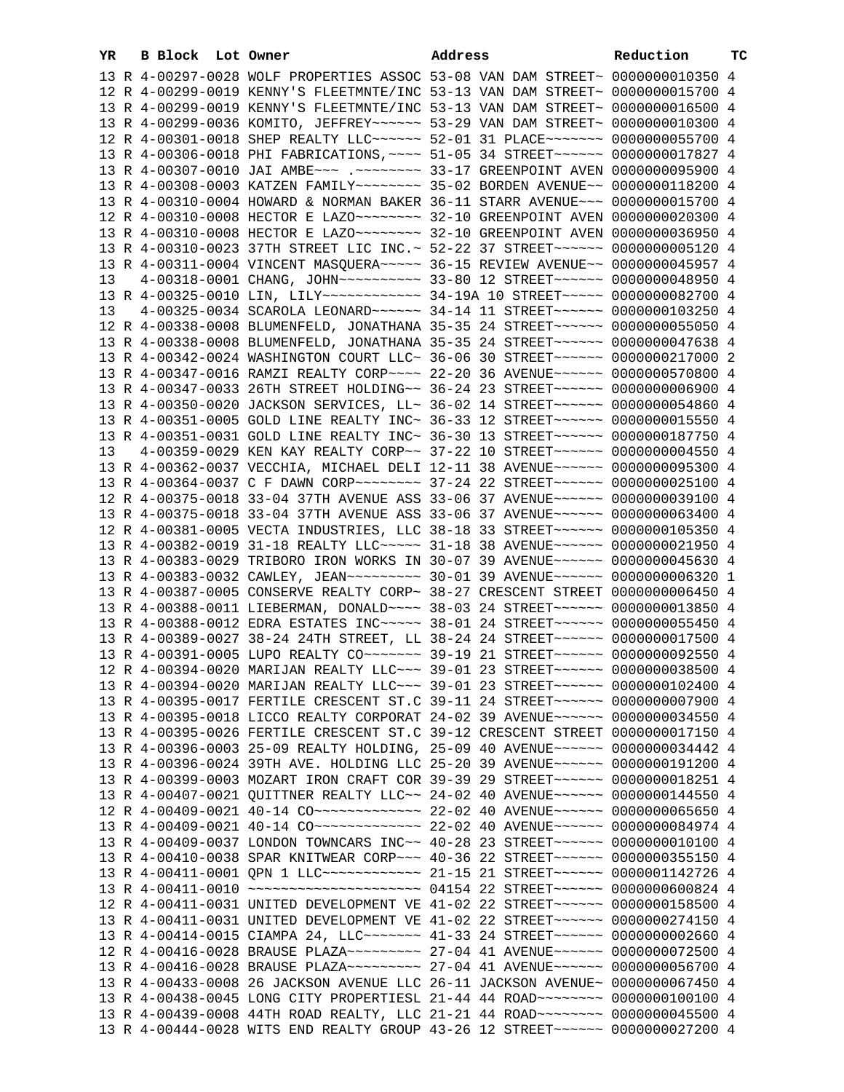| YR | B Block Lot Owner |                                                                                 | Address | Reduction | тc |
|----|-------------------|---------------------------------------------------------------------------------|---------|-----------|----|
|    |                   | 13 R 4-00297-0028 WOLF PROPERTIES ASSOC 53-08 VAN DAM STREET~ 0000000010350 4   |         |           |    |
|    |                   | 12 R 4-00299-0019 KENNY'S FLEETMNTE/INC 53-13 VAN DAM STREET~ 0000000015700 4   |         |           |    |
|    |                   | 13 R 4-00299-0019 KENNY'S FLEETMNTE/INC 53-13 VAN DAM STREET~ 0000000016500 4   |         |           |    |
|    |                   | 13 R 4-00299-0036 KOMITO, JEFFREY~~~~~~ 53-29 VAN DAM STREET~ 0000000010300 4   |         |           |    |
|    |                   | 12 R 4-00301-0018 SHEP REALTY LLC ----- 52-01 31 PLACE ------ 0000000055700 4   |         |           |    |
|    |                   | 13 R 4-00306-0018 PHI FABRICATIONS, ~~~~ 51-05 34 STREET~~~~~~ 0000000017827 4  |         |           |    |
|    |                   | 13 R 4-00307-0010 JAI AMBE~~~ .~~~~~~~~ 33-17 GREENPOINT AVEN 0000000095900 4   |         |           |    |
|    |                   | 13 R 4-00308-0003 KATZEN FAMILY~~~~~~~~ 35-02 BORDEN AVENUE~~ 0000000118200 4   |         |           |    |
|    |                   | 13 R 4-00310-0004 HOWARD & NORMAN BAKER 36-11 STARR AVENUE~~~ 0000000015700 4   |         |           |    |
|    |                   |                                                                                 |         |           |    |
|    |                   |                                                                                 |         |           |    |
|    |                   | 13 R 4-00310-0023 37TH STREET LIC INC. ~ 52-22 37 STREET ~~~~~~ 0000000005120 4 |         |           |    |
|    |                   | 13 R 4-00311-0004 VINCENT MASQUERA~~~~~ 36-15 REVIEW AVENUE~~ 0000000045957 4   |         |           |    |
| 13 |                   | 4-00318-0001 CHANG, JOHN~~~~~~~~~~ 33-80 12 STREET~~~~~~ 0000000048950 4        |         |           |    |
|    |                   | 13 R 4-00325-0010 LIN, LILY ------------ 34-19A 10 STREET ----- 0000000082700 4 |         |           |    |
| 13 |                   | 4-00325-0034 SCAROLA LEONARD ~~~~~~ 34-14 11 STREET ~~~~~~ 0000000103250 4      |         |           |    |
|    |                   | 12 R 4-00338-0008 BLUMENFELD, JONATHANA 35-35 24 STREET~~~~~~ 0000000055050 4   |         |           |    |
|    |                   | 13 R 4-00338-0008 BLUMENFELD, JONATHANA 35-35 24 STREET~~~~~~ 0000000047638 4   |         |           |    |
|    |                   | 13 R 4-00342-0024 WASHINGTON COURT LLC~ 36-06 30 STREET~~~~~~ 0000000217000 2   |         |           |    |
|    |                   | 13 R 4-00347-0016 RAMZI REALTY CORP~~~~ 22-20 36 AVENUE~~~~~~ 0000000570800 4   |         |           |    |
|    |                   | 13 R 4-00347-0033 26TH STREET HOLDING~~ 36-24 23 STREET~~~~~~ 0000000006900 4   |         |           |    |
|    |                   | 13 R 4-00350-0020 JACKSON SERVICES, LL~ 36-02 14 STREET~~~~~~ 0000000054860 4   |         |           |    |
|    |                   | 13 R 4-00351-0005 GOLD LINE REALTY INC~ 36-33 12 STREET~~~~~~ 0000000015550 4   |         |           |    |
|    |                   | 13 R 4-00351-0031 GOLD LINE REALTY INC~ 36-30 13 STREET~~~~~~ 0000000187750 4   |         |           |    |
| 13 |                   | 4-00359-0029 KEN KAY REALTY CORP~~ 37-22 10 STREET~~~~~~ 0000000004550 4        |         |           |    |
|    |                   | 13 R 4-00362-0037 VECCHIA, MICHAEL DELI 12-11 38 AVENUE~~~~~~ 0000000095300 4   |         |           |    |
|    |                   | 13 R 4-00364-0037 C F DAWN CORP~~~~~~~~ 37-24 22 STREET~~~~~~ 0000000025100 4   |         |           |    |
|    |                   | 12 R 4-00375-0018 33-04 37TH AVENUE ASS 33-06 37 AVENUE~~~~~~ 0000000039100 4   |         |           |    |
|    |                   | 13 R 4-00375-0018 33-04 37TH AVENUE ASS 33-06 37 AVENUE~~~~~~ 0000000063400 4   |         |           |    |
|    |                   | 12 R 4-00381-0005 VECTA INDUSTRIES, LLC 38-18 33 STREET~~~~~~ 0000000105350 4   |         |           |    |
|    |                   | 13 R 4-00382-0019 31-18 REALTY LLC ---- 31-18 38 AVENUE ----- 0000000021950 4   |         |           |    |
|    |                   | 13 R 4-00383-0029 TRIBORO IRON WORKS IN 30-07 39 AVENUE~~~~~~ 0000000045630 4   |         |           |    |
|    |                   | 13 R 4-00383-0032 CAWLEY, JEAN~~~~~~~~~ 30-01 39 AVENUE~~~~~~ 0000000006320 1   |         |           |    |
|    |                   | 13 R 4-00387-0005 CONSERVE REALTY CORP~ 38-27 CRESCENT STREET 0000000006450 4   |         |           |    |
|    |                   | 13 R 4-00388-0011 LIEBERMAN, DONALD~~~~ 38-03 24 STREET~~~~~~ 0000000013850 4   |         |           |    |
|    |                   | 13 R 4-00388-0012 EDRA ESTATES INC~~~~~ 38-01 24 STREET~~~~~~ 0000000055450 4   |         |           |    |
|    |                   | 13 R 4-00389-0027 38-24 24TH STREET, LL 38-24 24 STREET~~~~~~ 0000000017500 4   |         |           |    |
|    |                   | 13 R 4-00391-0005 LUPO REALTY CO ------ 39-19 21 STREET ----- 0000000092550 4   |         |           |    |
|    |                   | 12 R 4-00394-0020 MARIJAN REALTY LLC ~~~ 39-01 23 STREET ~~~~~~ 0000000038500 4 |         |           |    |
|    |                   | 13 R 4-00394-0020 MARIJAN REALTY LLC~~~ 39-01 23 STREET~~~~~~ 0000000102400 4   |         |           |    |
|    |                   | 13 R 4-00395-0017 FERTILE CRESCENT ST.C 39-11 24 STREET~~~~~~ 0000000007900 4   |         |           |    |
|    |                   | 13 R 4-00395-0018 LICCO REALTY CORPORAT 24-02 39 AVENUE~~~~~~ 0000000034550 4   |         |           |    |
|    |                   | 13 R 4-00395-0026 FERTILE CRESCENT ST.C 39-12 CRESCENT STREET 0000000017150 4   |         |           |    |
|    |                   | 13 R 4-00396-0003 25-09 REALTY HOLDING, 25-09 40 AVENUE~~~~~~ 0000000034442 4   |         |           |    |
|    |                   | 13 R 4-00396-0024 39TH AVE. HOLDING LLC 25-20 39 AVENUE~~~~~~ 0000000191200 4   |         |           |    |
|    |                   | 13 R 4-00399-0003 MOZART IRON CRAFT COR 39-39 29 STREET~~~~~~ 0000000018251 4   |         |           |    |
|    |                   | 13 R 4-00407-0021 QUITTNER REALTY LLC~~ 24-02 40 AVENUE~~~~~~ 0000000144550 4   |         |           |    |
|    |                   | 12 R 4-00409-0021 40-14 CO ------------- 22-02 40 AVENUE------ 0000000065650 4  |         |           |    |
|    |                   | 13 R 4-00409-0021 40-14 CO ------------- 22-02 40 AVENUE ------ 0000000084974 4 |         |           |    |
|    |                   | 13 R 4-00409-0037 LONDON TOWNCARS INC~~ 40-28 23 STREET~~~~~~ 0000000010100 4   |         |           |    |
|    |                   | 13 R 4-00410-0038 SPAR KNITWEAR CORP~~~ 40-36 22 STREET~~~~~~ 0000000355150 4   |         |           |    |
|    |                   | 13 R 4-00411-0001 QPN 1 LLC ------------ 21-15 21 STREET ------ 0000001142726 4 |         |           |    |
|    |                   | 13 R 4-00411-0010 ~~~~~~~~~~~~~~~~~~~~~ 04154 22 STREET~~~~~~ 0000000600824 4   |         |           |    |
|    |                   | 12 R 4-00411-0031 UNITED DEVELOPMENT VE 41-02 22 STREET~~~~~~ 0000000158500 4   |         |           |    |
|    |                   | 13 R 4-00411-0031 UNITED DEVELOPMENT VE 41-02 22 STREET~~~~~~ 0000000274150 4   |         |           |    |
|    |                   | 13 R 4-00414-0015 CIAMPA 24, LLC ------ 41-33 24 STREET ----- 0000000002660 4   |         |           |    |
|    |                   | 12 R 4-00416-0028 BRAUSE PLAZA~~~~~~~~~ 27-04 41 AVENUE~~~~~~ 0000000072500 4   |         |           |    |
|    |                   | 13 R 4-00416-0028 BRAUSE PLAZA~~~~~~~~~ 27-04 41 AVENUE~~~~~~ 0000000056700 4   |         |           |    |
|    |                   | 13 R 4-00433-0008 26 JACKSON AVENUE LLC 26-11 JACKSON AVENUE~ 0000000067450 4   |         |           |    |
|    |                   | 13 R 4-00438-0045 LONG CITY PROPERTIESL 21-44 44 ROAD~~~~~~~~ 0000000100100 4   |         |           |    |
|    |                   | 13 R 4-00439-0008 44TH ROAD REALTY, LLC 21-21 44 ROAD~~~~~~~~ 0000000045500 4   |         |           |    |
|    |                   | 13 R 4-00444-0028 WITS END REALTY GROUP 43-26 12 STREET~~~~~~ 0000000027200 4   |         |           |    |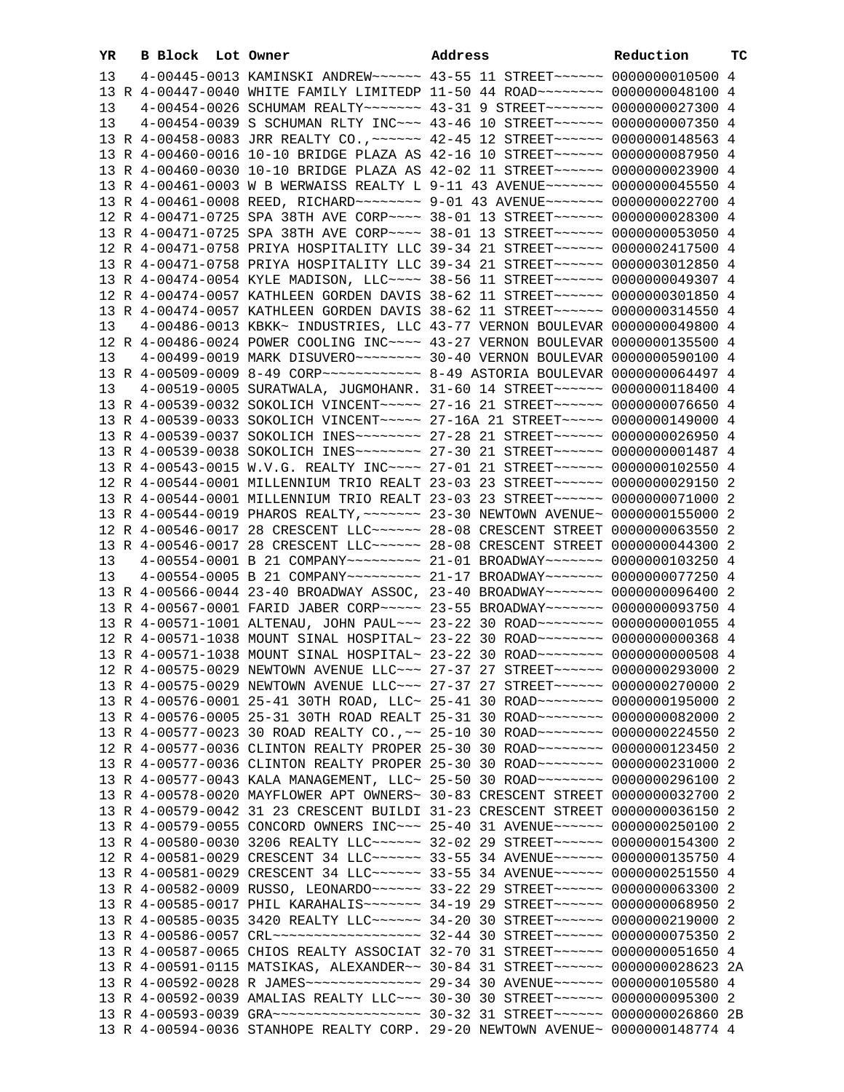| YR | B Block Lot Owner |                                                                                                                                                                | Address | Reduction | TC |
|----|-------------------|----------------------------------------------------------------------------------------------------------------------------------------------------------------|---------|-----------|----|
| 13 |                   | 4-00445-0013 KAMINSKI ANDREW~~~~~~ 43-55 11 STREET~~~~~~ 00000000010500 4                                                                                      |         |           |    |
|    |                   | 13 R 4-00447-0040 WHITE FAMILY LIMITEDP 11-50 44 ROAD~~~~~~~~ 0000000048100 4                                                                                  |         |           |    |
| 13 |                   | 4-00454-0026 SCHUMAM REALTY~~~~~~~ 43-31 9 STREET~~~~~~~ 0000000027300 4                                                                                       |         |           |    |
| 13 |                   | 4-00454-0039 S SCHUMAN RLTY INC~~~ 43-46 10 STREET~~~~~~ 0000000007350 4                                                                                       |         |           |    |
|    |                   | 13 R 4-00458-0083 JRR REALTY CO., ~~~~~~ 42-45 12 STREET~~~~~~ 0000000148563 4                                                                                 |         |           |    |
|    |                   | 13 R 4-00460-0016 10-10 BRIDGE PLAZA AS 42-16 10 STREET~~~~~~ 0000000087950 4                                                                                  |         |           |    |
|    |                   | 13 R 4-00460-0030 10-10 BRIDGE PLAZA AS 42-02 11 STREET~~~~~~ 0000000023900 4                                                                                  |         |           |    |
|    |                   | 13 R 4-00461-0003 W B WERWAISS REALTY L 9-11 43 AVENUE~~~~~~~ 0000000045550 4                                                                                  |         |           |    |
|    |                   | 13 R 4-00461-0008 REED, RICHARD~~~~~~~~ 9-01 43 AVENUE~~~~~~~ 0000000022700 4                                                                                  |         |           |    |
|    |                   | 12 R 4-00471-0725 SPA 38TH AVE CORP~~~~ 38-01 13 STREET~~~~~~ 0000000028300 4                                                                                  |         |           |    |
|    |                   | 13 R 4-00471-0725 SPA 38TH AVE CORP~~~~ 38-01 13 STREET~~~~~~ 0000000053050 4                                                                                  |         |           |    |
|    |                   | 12 R 4-00471-0758 PRIYA HOSPITALITY LLC 39-34 21 STREET~~~~~~ 0000002417500 4                                                                                  |         |           |    |
|    |                   | 13 R 4-00471-0758 PRIYA HOSPITALITY LLC 39-34 21 STREET~~~~~~ 0000003012850 4<br>13 R 4-00474-0054 KYLE MADISON, LLC --- 38-56 11 STREET ----- 0000000049307 4 |         |           |    |
|    |                   | 12 R 4-00474-0057 KATHLEEN GORDEN DAVIS 38-62 11 STREET~~~~~~ 0000000301850 4                                                                                  |         |           |    |
|    |                   | 13 R 4-00474-0057 KATHLEEN GORDEN DAVIS 38-62 11 STREET~~~~~~ 0000000314550 4                                                                                  |         |           |    |
| 13 |                   | 4-00486-0013 KBKK~ INDUSTRIES, LLC 43-77 VERNON BOULEVAR 0000000049800 4                                                                                       |         |           |    |
|    |                   | 12 R 4-00486-0024 POWER COOLING INC~~~~ 43-27 VERNON BOULEVAR 0000000135500 4                                                                                  |         |           |    |
| 13 |                   | 4-00499-0019 MARK DISUVERO~~~~~~~~ 30-40 VERNON BOULEVAR 0000000590100 4                                                                                       |         |           |    |
|    |                   |                                                                                                                                                                |         |           |    |
| 13 |                   | 4-00519-0005 SURATWALA, JUGMOHANR. 31-60 14 STREET~~~~~~~ 0000000118400 4                                                                                      |         |           |    |
|    |                   | 13 R 4-00539-0032 SOKOLICH VINCENT~~~~~ 27-16 21 STREET~~~~~~ 0000000076650 4                                                                                  |         |           |    |
|    |                   | 13 R 4-00539-0033 SOKOLICH VINCENT~~~~~ 27-16A 21 STREET~~~~~ 0000000149000 4                                                                                  |         |           |    |
|    |                   | 13 R 4-00539-0037 SOKOLICH INES~~~~~~~~ 27-28 21 STREET~~~~~~ 0000000026950 4                                                                                  |         |           |    |
|    |                   | 13 R 4-00539-0038 SOKOLICH INES~~~~~~~~ 27-30 21 STREET~~~~~~ 0000000001487 4                                                                                  |         |           |    |
|    |                   | 13 R 4-00543-0015 W.V.G. REALTY INC~~~~ 27-01 21 STREET~~~~~~ 0000000102550 4                                                                                  |         |           |    |
|    |                   | 12 R 4-00544-0001 MILLENNIUM TRIO REALT 23-03 23 STREET~~~~~~ 0000000029150 2                                                                                  |         |           |    |
|    |                   | 13 R 4-00544-0001 MILLENNIUM TRIO REALT 23-03 23 STREET~~~~~~ 0000000071000 2                                                                                  |         |           |    |
|    |                   | 13 R 4-00544-0019 PHAROS REALTY, ~~~~~~~ 23-30 NEWTOWN AVENUE~ 0000000155000 2                                                                                 |         |           |    |
|    |                   | 12 R 4-00546-0017 28 CRESCENT LLC ----- 28-08 CRESCENT STREET 0000000063550 2                                                                                  |         |           |    |
|    |                   | 13 R 4-00546-0017 28 CRESCENT LLC ----- 28-08 CRESCENT STREET 0000000044300 2                                                                                  |         |           |    |
| 13 |                   | 4-00554-0001 B 21 COMPANY~~~~~~~~ 21-01 BROADWAY~~~~~~~ 0000000103250 4                                                                                        |         |           |    |
| 13 |                   | 4-00554-0005 B 21 COMPANY~~~~~~~~ 21-17 BROADWAY~~~~~~~ 0000000077250 4                                                                                        |         |           |    |
|    |                   | 13 R 4-00566-0044 23-40 BROADWAY ASSOC, 23-40 BROADWAY~~~~~~~ 0000000096400 2                                                                                  |         |           |    |
|    |                   | 13 R 4-00567-0001 FARID JABER CORP~~~~~ 23-55 BROADWAY~~~~~~~ 0000000093750 4                                                                                  |         |           |    |
|    |                   | 13 R 4-00571-1001 ALTENAU, JOHN PAUL~~~ 23-22 30 ROAD~~~~~~~~ 00000000001055 4                                                                                 |         |           |    |
|    |                   | 12 R 4-00571-1038 MOUNT SINAL HOSPITAL~ 23-22 30 ROAD~~~~~~~~ 0000000000368 4                                                                                  |         |           |    |
|    |                   | 13 R 4-00571-1038 MOUNT SINAL HOSPITAL~ 23-22 30 ROAD~~~~~~~~ 0000000000508 4<br>12 R 4-00575-0029 NEWTOWN AVENUE LLC~~~ 27-37 27 STREET~~~~~~ 0000000293000 2 |         |           |    |
|    |                   | 13 R 4-00575-0029 NEWTOWN AVENUE LLC~~~ 27-37 27 STREET~~~~~~ 0000000270000 2                                                                                  |         |           |    |
|    |                   | 13 R 4-00576-0001 25-41 30TH ROAD, LLC~ 25-41 30 ROAD~~~~~~~~ 0000000195000 2                                                                                  |         |           |    |
|    |                   | 13 R 4-00576-0005 25-31 30TH ROAD REALT 25-31 30 ROAD~~~~~~~~ 0000000082000 2                                                                                  |         |           |    |
|    |                   | 13 R 4-00577-0023 30 ROAD REALTY CO., ~~ 25-10 30 ROAD~~~~~~~~ 0000000224550 2                                                                                 |         |           |    |
|    |                   | 12 R 4-00577-0036 CLINTON REALTY PROPER 25-30 30 ROAD~~~~~~~~ 0000000123450 2                                                                                  |         |           |    |
|    |                   | 13 R 4-00577-0036 CLINTON REALTY PROPER 25-30 30 ROAD~~~~~~~~ 0000000231000 2                                                                                  |         |           |    |
|    |                   | 13 R 4-00577-0043 KALA MANAGEMENT, LLC~ 25-50 30 ROAD~~~~~~~~ 0000000296100 2                                                                                  |         |           |    |
|    |                   | 13 R 4-00578-0020 MAYFLOWER APT OWNERS~ 30-83 CRESCENT STREET 0000000032700 2                                                                                  |         |           |    |
|    |                   | 13 R 4-00579-0042 31 23 CRESCENT BUILDI 31-23 CRESCENT STREET 0000000036150 2                                                                                  |         |           |    |
|    |                   | 13 R 4-00579-0055 CONCORD OWNERS INC~~~ 25-40 31 AVENUE~~~~~~ 0000000250100 2                                                                                  |         |           |    |
|    |                   | 13 R 4-00580-0030 3206 REALTY LLC ----- 32-02 29 STREET ----- 0000000154300 2                                                                                  |         |           |    |
|    |                   | 12 R 4-00581-0029 CRESCENT 34 LLC ----- 33-55 34 AVENUE ----- 0000000135750 4                                                                                  |         |           |    |
|    |                   | 13 R 4-00581-0029 CRESCENT 34 LLC ----- 33-55 34 AVENUE ----- 0000000251550 4                                                                                  |         |           |    |
|    |                   | 13 R 4-00582-0009 RUSSO, LEONARDO~~~~~~ 33-22 29 STREET~~~~~~ 0000000063300 2                                                                                  |         |           |    |
|    |                   | 13 R 4-00585-0017 PHIL KARAHALIS ------ 34-19 29 STREET ----- 0000000068950 2                                                                                  |         |           |    |
|    |                   | 13 R 4-00585-0035 3420 REALTY LLC ----- 34-20 30 STREET ----- 0000000219000 2                                                                                  |         |           |    |
|    |                   |                                                                                                                                                                |         |           |    |
|    |                   | 13 R 4-00587-0065 CHIOS REALTY ASSOCIAT 32-70 31 STREET~~~~~~ 0000000051650 4                                                                                  |         |           |    |
|    |                   | 13 R 4-00591-0115 MATSIKAS, ALEXANDER~~ 30-84 31 STREET~~~~~~ 0000000028623 2A                                                                                 |         |           |    |
|    |                   | 13 R 4-00592-0028 R JAMES -------------- 29-34 30 AVENUE ------ 0000000105580 4                                                                                |         |           |    |
|    |                   | 13 R 4-00592-0039 AMALIAS REALTY LLC ~~~ 30-30 30 STREET ~~~~~~ 0000000095300 2                                                                                |         |           |    |
|    |                   | 13 R 4-00594-0036 STANHOPE REALTY CORP. 29-20 NEWTOWN AVENUE~ 0000000148774 4                                                                                  |         |           |    |
|    |                   |                                                                                                                                                                |         |           |    |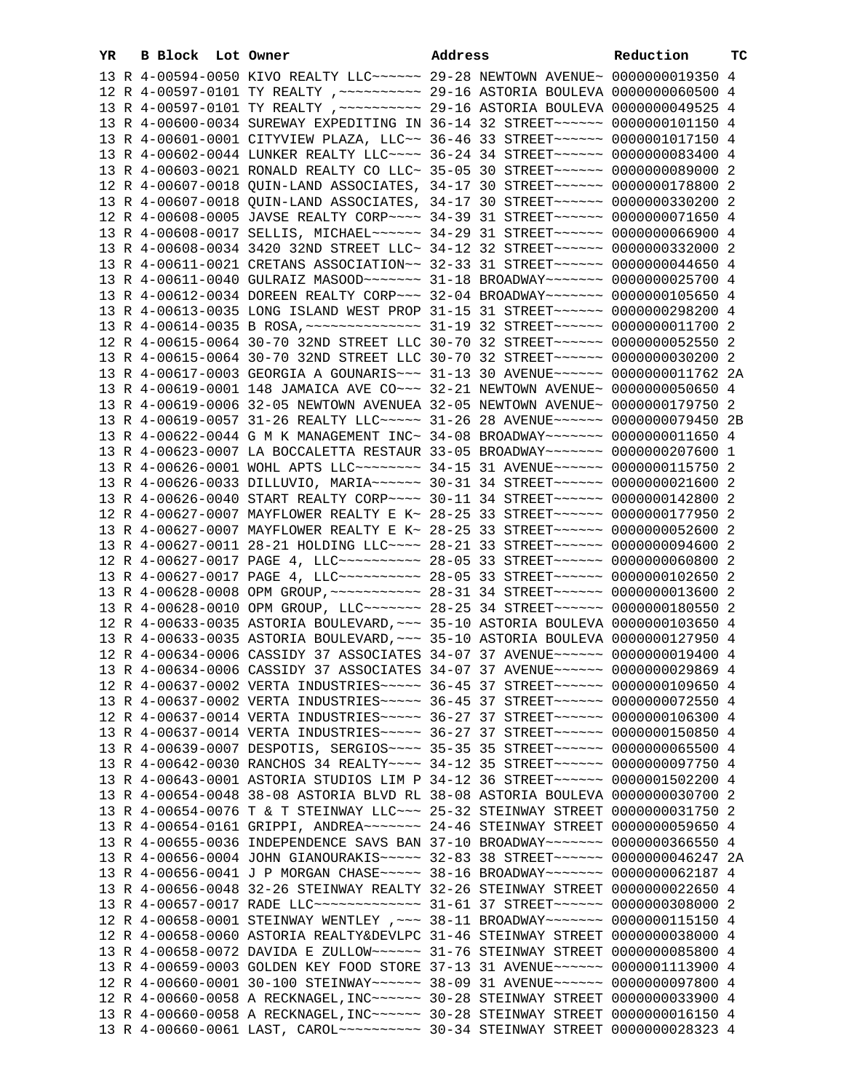| YR | B Block Lot Owner | Address                                                                                                                                                          | Reduction | ТC |
|----|-------------------|------------------------------------------------------------------------------------------------------------------------------------------------------------------|-----------|----|
|    |                   | 13 R 4-00594-0050 KIVO REALTY LLC ~~~~~~ 29-28 NEWTOWN AVENUE ~ 0000000019350 4                                                                                  |           |    |
|    |                   | 12 R 4-00597-0101 TY REALTY , ~~~~~~~~~~~ 29-16 ASTORIA BOULEVA 0000000060500 4                                                                                  |           |    |
|    |                   | 13 R 4-00597-0101 TY REALTY , ~~~~~~~~~~ 29-16 ASTORIA BOULEVA 0000000049525 4                                                                                   |           |    |
|    |                   | 13 R 4-00600-0034 SUREWAY EXPEDITING IN 36-14 32 STREET~~~~~~ 0000000101150 4                                                                                    |           |    |
|    |                   | 13 R 4-00601-0001 CITYVIEW PLAZA, LLC~~ 36-46 33 STREET~~~~~~ 0000001017150 4                                                                                    |           |    |
|    |                   | 13 R 4-00602-0044 LUNKER REALTY LLC --- 36-24 34 STREET ----- 0000000083400 4                                                                                    |           |    |
|    |                   | 13 R 4-00603-0021 RONALD REALTY CO LLC~ 35-05 30 STREET~~~~~~ 0000000089000 2                                                                                    |           |    |
|    |                   | 12 R 4-00607-0018 QUIN-LAND ASSOCIATES, 34-17 30 STREET~~~~~~ 0000000178800 2                                                                                    |           |    |
|    |                   | 13 R 4-00607-0018 QUIN-LAND ASSOCIATES, 34-17 30 STREET~~~~~~ 0000000330200 2                                                                                    |           |    |
|    |                   | 12 R 4-00608-0005 JAVSE REALTY CORP~~~~ 34-39 31 STREET~~~~~~ 0000000071650 4                                                                                    |           |    |
|    |                   | 13 R 4-00608-0017 SELLIS, MICHAEL~~~~~~ 34-29 31 STREET~~~~~~ 0000000066900 4                                                                                    |           |    |
|    |                   | 13 R 4-00608-0034 3420 32ND STREET LLC~ 34-12 32 STREET~~~~~~ 0000000332000 2                                                                                    |           |    |
|    |                   | 13 R 4-00611-0021 CRETANS ASSOCIATION~~ 32-33 31 STREET~~~~~~ 0000000044650 4                                                                                    |           |    |
|    |                   | 13 R 4-00611-0040 GULRAIZ MASOOD ------ 31-18 BROADWAY ------ 0000000025700 4                                                                                    |           |    |
|    |                   | 13 R 4-00612-0034 DOREEN REALTY CORP~~~ 32-04 BROADWAY~~~~~~~ 0000000105650 4                                                                                    |           |    |
|    |                   | 13 R 4-00613-0035 LONG ISLAND WEST PROP 31-15 31 STREET~~~~~~ 0000000298200 4                                                                                    |           |    |
|    |                   |                                                                                                                                                                  |           |    |
|    |                   | 12 R 4-00615-0064 30-70 32ND STREET LLC 30-70 32 STREET~~~~~~ 0000000052550 2                                                                                    |           |    |
|    |                   | 13 R 4-00615-0064 30-70 32ND STREET LLC 30-70 32 STREET~~~~~~ 0000000030200 2                                                                                    |           |    |
|    |                   | 13 R 4-00617-0003 GEORGIA A GOUNARIS ~~~ 31-13 30 AVENUE ~~~~~~ 0000000011762 2A                                                                                 |           |    |
|    |                   | 13 R 4-00619-0001 148 JAMAICA AVE CO~~~ 32-21 NEWTOWN AVENUE~ 0000000050650 4                                                                                    |           |    |
|    |                   | 13 R 4-00619-0006 32-05 NEWTOWN AVENUEA 32-05 NEWTOWN AVENUE~ 0000000179750 2                                                                                    |           |    |
|    |                   | 13 R 4-00619-0057 31-26 REALTY LLC ----- 31-26 28 AVENUE ------ 0000000079450 2B                                                                                 |           |    |
|    |                   | 13 R 4-00622-0044 G M K MANAGEMENT INC~ 34-08 BROADWAY~~~~~~~ 0000000011650 4                                                                                    |           |    |
|    |                   | 13 R 4-00623-0007 LA BOCCALETTA RESTAUR 33-05 BROADWAY~~~~~~~ 0000000207600 1                                                                                    |           |    |
|    |                   | 13 R 4-00626-0001 WOHL APTS LLC~~~~~~~~ 34-15 31 AVENUE~~~~~~ 0000000115750 2                                                                                    |           |    |
|    |                   | 13 R 4-00626-0033 DILLUVIO, MARIA~~~~~~ 30-31 34 STREET~~~~~~ 0000000021600 2                                                                                    |           |    |
|    |                   | 13 R 4-00626-0040 START REALTY CORP~~~~ 30-11 34 STREET~~~~~~ 0000000142800 2                                                                                    |           |    |
|    |                   | 12 R 4-00627-0007 MAYFLOWER REALTY E K~ 28-25 33 STREET~~~~~~ 0000000177950 2                                                                                    |           |    |
|    |                   | 13 R 4-00627-0007 MAYFLOWER REALTY E K~ 28-25 33 STREET~~~~~~ 0000000052600 2                                                                                    |           |    |
|    |                   | 13 R 4-00627-0011 28-21 HOLDING LLC --- 28-21 33 STREET ----- 0000000094600 2                                                                                    |           |    |
|    |                   | 12 R 4-00627-0017 PAGE 4, LLC --------- 28-05 33 STREET ------ 0000000060800 2                                                                                   |           |    |
|    |                   | 13 R 4-00627-0017 PAGE 4, LLC --------- 28-05 33 STREET ------ 0000000102650 2                                                                                   |           |    |
|    |                   |                                                                                                                                                                  |           |    |
|    |                   | 13 R 4-00628-0010 OPM GROUP, LLC ------ 28-25 34 STREET ----- 0000000180550 2                                                                                    |           |    |
|    |                   | 12 R 4-00633-0035 ASTORIA BOULEVARD, ~~~ 35-10 ASTORIA BOULEVA 0000000103650 4                                                                                   |           |    |
|    |                   | 13 R 4-00633-0035 ASTORIA BOULEVARD, ~~~ 35-10 ASTORIA BOULEVA 0000000127950 4                                                                                   |           |    |
|    |                   | 12 R 4-00634-0006 CASSIDY 37 ASSOCIATES 34-07 37 AVENUE~~~~~~ 0000000019400 4                                                                                    |           |    |
|    |                   | 13 R 4-00634-0006 CASSIDY 37 ASSOCIATES 34-07 37 AVENUE~~~~~~ 0000000029869 4<br>12 R 4-00637-0002 VERTA INDUSTRIES ~~~~~ 36-45 37 STREET ~~~~~~ 0000000109650 4 |           |    |
|    |                   | 13 R 4-00637-0002 VERTA INDUSTRIES ~~~~~ 36-45 37 STREET ~~~~~~ 0000000072550 4                                                                                  |           |    |
|    |                   | 12 R 4-00637-0014 VERTA INDUSTRIES ~~~~~ 36-27 37 STREET ~~~~~~ 0000000106300 4                                                                                  |           |    |
|    |                   | 13 R 4-00637-0014 VERTA INDUSTRIES ~~~~~ 36-27 37 STREET ~~~~~~ 0000000150850 4                                                                                  |           |    |
|    |                   | 13 R 4-00639-0007 DESPOTIS, SERGIOS ~~~~ 35-35 35 STREET ~~~~~~ 0000000065500 4                                                                                  |           |    |
|    |                   | 13 R 4-00642-0030 RANCHOS 34 REALTY~~~~ 34-12 35 STREET~~~~~~ 0000000097750 4                                                                                    |           |    |
|    |                   | 13 R 4-00643-0001 ASTORIA STUDIOS LIM P 34-12 36 STREET~~~~~~ 0000001502200 4                                                                                    |           |    |
|    |                   | 13 R 4-00654-0048 38-08 ASTORIA BLVD RL 38-08 ASTORIA BOULEVA 0000000030700 2                                                                                    |           |    |
|    |                   | 13 R 4-00654-0076 T & T STEINWAY LLC ~~~ 25-32 STEINWAY STREET 0000000031750 2                                                                                   |           |    |
|    |                   | 13 R 4-00654-0161 GRIPPI, ANDREA~~~~~~~ 24-46 STEINWAY STREET 0000000059650 4                                                                                    |           |    |
|    |                   | 13 R 4-00655-0036 INDEPENDENCE SAVS BAN 37-10 BROADWAY~~~~~~~ 0000000366550 4                                                                                    |           |    |
|    |                   | 13 R 4-00656-0004 JOHN GIANOURAKIS ~~~~~ 32-83 38 STREET ~~~~~~ 0000000046247 2A                                                                                 |           |    |
|    |                   | 13 R 4-00656-0041 J P MORGAN CHASE~~~~~ 38-16 BROADWAY~~~~~~~ 0000000062187 4                                                                                    |           |    |
|    |                   | 13 R 4-00656-0048 32-26 STEINWAY REALTY 32-26 STEINWAY STREET 0000000022650 4                                                                                    |           |    |
|    |                   | 13 R 4-00657-0017 RADE LLC -------------- 31-61 37 STREET ------ 0000000308000 2                                                                                 |           |    |
|    |                   | 12 R 4-00658-0001 STEINWAY WENTLEY , ~~~ 38-11 BROADWAY~~~~~~~ 0000000115150 4                                                                                   |           |    |
|    |                   | 12 R 4-00658-0060 ASTORIA REALTY&DEVLPC 31-46 STEINWAY STREET 0000000038000 4                                                                                    |           |    |
|    |                   | 13 R 4-00658-0072 DAVIDA E ZULLOW~~~~~~ 31-76 STEINWAY STREET 0000000085800 4                                                                                    |           |    |
|    |                   | 13 R 4-00659-0003 GOLDEN KEY FOOD STORE 37-13 31 AVENUE~~~~~~ 0000001113900 4                                                                                    |           |    |
|    |                   | 12 R 4-00660-0001 30-100 STEINWAY~~~~~~ 38-09 31 AVENUE~~~~~~ 0000000097800 4                                                                                    |           |    |
|    |                   | 12 R 4-00660-0058 A RECKNAGEL, INC~~~~~~ 30-28 STEINWAY STREET 0000000033900 4                                                                                   |           |    |
|    |                   | 13 R 4-00660-0058 A RECKNAGEL, INC ~~~~~~ 30-28 STEINWAY STREET 0000000016150 4                                                                                  |           |    |
|    |                   | 13 R 4-00660-0061 LAST, CAROL ---------- 30-34 STEINWAY STREET 0000000028323 4                                                                                   |           |    |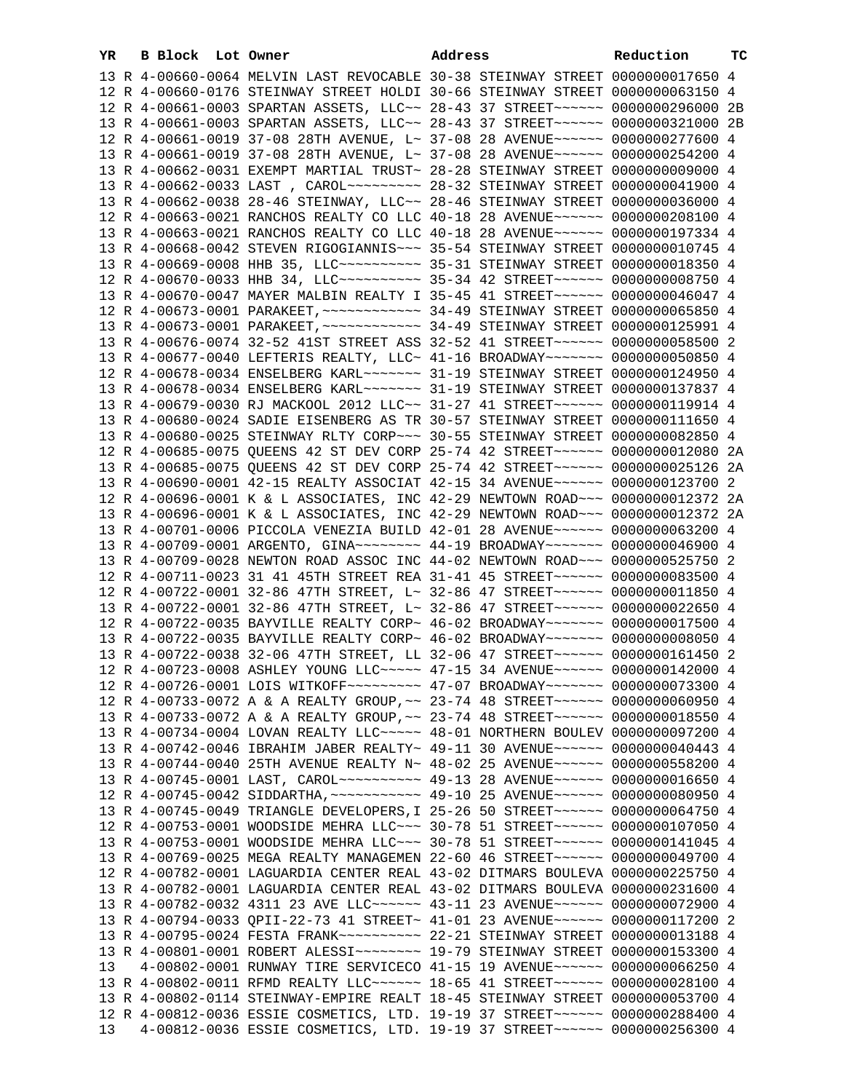| YR. | B Block Lot Owner |                                                                                   | Address | Reduction | ТC |
|-----|-------------------|-----------------------------------------------------------------------------------|---------|-----------|----|
|     |                   | 13 R 4-00660-0064 MELVIN LAST REVOCABLE 30-38 STEINWAY STREET 0000000017650 4     |         |           |    |
|     |                   | 12 R 4-00660-0176 STEINWAY STREET HOLDI 30-66 STEINWAY STREET 0000000063150 4     |         |           |    |
|     |                   | 12 R 4-00661-0003 SPARTAN ASSETS, LLC~~ 28-43 37 STREET~~~~~~ 0000000296000 2B    |         |           |    |
|     |                   | 13 R 4-00661-0003 SPARTAN ASSETS, LLC~~ 28-43 37 STREET~~~~~~~ 0000000321000 2B   |         |           |    |
|     |                   | 12 R 4-00661-0019 37-08 28TH AVENUE, L~ 37-08 28 AVENUE~~~~~~ 0000000277600 4     |         |           |    |
|     |                   | 13 R 4-00661-0019 37-08 28TH AVENUE, L~ 37-08 28 AVENUE~~~~~~ 0000000254200 4     |         |           |    |
|     |                   | 13 R 4-00662-0031 EXEMPT MARTIAL TRUST~ 28-28 STEINWAY STREET 0000000009000 4     |         |           |    |
|     |                   | 13 R 4-00662-0033 LAST, CAROL~~~~~~~~~~~~~~ 28-32 STEINWAY STREET 0000000041900 4 |         |           |    |
|     |                   | 13 R 4-00662-0038 28-46 STEINWAY, LLC~~ 28-46 STEINWAY STREET 0000000036000 4     |         |           |    |
|     |                   | 12 R 4-00663-0021 RANCHOS REALTY CO LLC 40-18 28 AVENUE~~~~~~ 0000000208100 4     |         |           |    |
|     |                   | 13 R 4-00663-0021 RANCHOS REALTY CO LLC 40-18 28 AVENUE~~~~~~ 0000000197334 4     |         |           |    |
|     |                   | 13 R 4-00668-0042 STEVEN RIGOGIANNIS~~~ 35-54 STEINWAY STREET 0000000010745 4     |         |           |    |
|     |                   | 13 R 4-00669-0008 HHB 35, LLC --------- 35-31 STEINWAY STREET 0000000018350 4     |         |           |    |
|     |                   | 12 R 4-00670-0033 HHB 34, LLC --------- 35-34 42 STREET ------ 0000000008750 4    |         |           |    |
|     |                   | 13 R 4-00670-0047 MAYER MALBIN REALTY I 35-45 41 STREET~~~~~~ 0000000046047 4     |         |           |    |
|     |                   |                                                                                   |         |           |    |
|     |                   |                                                                                   |         |           |    |
|     |                   | 13 R 4-00676-0074 32-52 41ST STREET ASS 32-52 41 STREET ~~~~~~ 0000000058500 2    |         |           |    |
|     |                   | 13 R 4-00677-0040 LEFTERIS REALTY, LLC~ 41-16 BROADWAY~~~~~~~ 0000000050850 4     |         |           |    |
|     |                   | 12 R 4-00678-0034 ENSELBERG KARL~~~~~~~ 31-19 STEINWAY STREET 0000000124950 4     |         |           |    |
|     |                   | 13 R 4-00678-0034 ENSELBERG KARL~~~~~~~ 31-19 STEINWAY STREET 0000000137837 4     |         |           |    |
|     |                   | 13 R 4-00679-0030 RJ MACKOOL 2012 LLC~~ 31-27 41 STREET~~~~~~ 0000000119914 4     |         |           |    |
|     |                   | 13 R 4-00680-0024 SADIE EISENBERG AS TR 30-57 STEINWAY STREET 0000000111650 4     |         |           |    |
|     |                   | 13 R 4-00680-0025 STEINWAY RLTY CORP~~~ 30-55 STEINWAY STREET 0000000082850 4     |         |           |    |
|     |                   | 12 R 4-00685-0075 QUEENS 42 ST DEV CORP 25-74 42 STREET~~~~~~ 0000000012080 2A    |         |           |    |
|     |                   | 13 R 4-00685-0075 QUEENS 42 ST DEV CORP 25-74 42 STREET~~~~~~ 0000000025126 2A    |         |           |    |
|     |                   | 13 R 4-00690-0001 42-15 REALTY ASSOCIAT 42-15 34 AVENUE~~~~~~ 0000000123700 2     |         |           |    |
|     |                   | 12 R 4-00696-0001 K & L ASSOCIATES, INC 42-29 NEWTOWN ROAD~~~ 0000000012372 2A    |         |           |    |
|     |                   | 13 R 4-00696-0001 K & L ASSOCIATES, INC 42-29 NEWTOWN ROAD~~~ 0000000012372 2A    |         |           |    |
|     |                   | 13 R 4-00701-0006 PICCOLA VENEZIA BUILD 42-01 28 AVENUE~~~~~~ 0000000063200 4     |         |           |    |
|     |                   | 13 R 4-00709-0001 ARGENTO, GINA~~~~~~~~ 44-19 BROADWAY~~~~~~~ 0000000046900 4     |         |           |    |
|     |                   | 13 R 4-00709-0028 NEWTON ROAD ASSOC INC 44-02 NEWTOWN ROAD~~~ 0000000525750 2     |         |           |    |
|     |                   | 12 R 4-00711-0023 31 41 45TH STREET REA 31-41 45 STREET~~~~~~ 0000000083500 4     |         |           |    |
|     |                   | 12 R 4-00722-0001 32-86 47TH STREET, L~ 32-86 47 STREET~~~~~~ 0000000011850 4     |         |           |    |
|     |                   | 13 R 4-00722-0001 32-86 47TH STREET, L~ 32-86 47 STREET~~~~~~ 0000000022650 4     |         |           |    |
|     |                   | 12 R 4-00722-0035 BAYVILLE REALTY CORP~ 46-02 BROADWAY~~~~~~~ 0000000017500 4     |         |           |    |
|     |                   | 13 R 4-00722-0035 BAYVILLE REALTY CORP~ 46-02 BROADWAY~~~~~~~ 00000000008050 4    |         |           |    |
|     |                   | 13 R 4-00722-0038 32-06 47TH STREET, LL 32-06 47 STREET~~~~~~ 0000000161450 2     |         |           |    |
|     |                   | 12 R 4-00723-0008 ASHLEY YOUNG LLC ---- 47-15 34 AVENUE ----- 0000000142000 4     |         |           |    |
|     |                   | 12 R 4-00726-0001 LOIS WITKOFF~~~~~~~~~ 47-07 BROADWAY~~~~~~~ 0000000073300 4     |         |           |    |
|     |                   | 12 R 4-00733-0072 A & A REALTY GROUP, ~~ 23-74 48 STREET ~~~~~~ 0000000060950 4   |         |           |    |
|     |                   | 13 R 4-00733-0072 A & A REALTY GROUP, ~~ 23-74 48 STREET ~~~~~~ 0000000018550 4   |         |           |    |
|     |                   | 13 R 4-00734-0004 LOVAN REALTY LLC ~~~~~ 48-01 NORTHERN BOULEV 0000000097200 4    |         |           |    |
|     |                   | 13 R 4-00742-0046 IBRAHIM JABER REALTY~ 49-11 30 AVENUE~~~~~~ 0000000040443 4     |         |           |    |
|     |                   | 13 R 4-00744-0040 25TH AVENUE REALTY N~ 48-02 25 AVENUE~~~~~~ 0000000558200 4     |         |           |    |
|     |                   | 13 R 4-00745-0001 LAST, CAROL ---------- 49-13 28 AVENUE------ 0000000016650 4    |         |           |    |
|     |                   | 12 R 4-00745-0042 SIDDARTHA, ~~~~~~~~~~~ 49-10 25 AVENUE~~~~~~ 0000000080950 4    |         |           |    |
|     |                   | 13 R 4-00745-0049 TRIANGLE DEVELOPERS, I 25-26 50 STREET~~~~~~ 0000000064750 4    |         |           |    |
|     |                   | 12 R 4-00753-0001 WOODSIDE MEHRA LLC~~~ 30-78 51 STREET~~~~~~ 0000000107050 4     |         |           |    |
|     |                   | 13 R 4-00753-0001 WOODSIDE MEHRA LLC~~~ 30-78 51 STREET~~~~~~ 0000000141045 4     |         |           |    |
|     |                   | 13 R 4-00769-0025 MEGA REALTY MANAGEMEN 22-60 46 STREET~~~~~~ 0000000049700 4     |         |           |    |
|     |                   | 12 R 4-00782-0001 LAGUARDIA CENTER REAL 43-02 DITMARS BOULEVA 0000000225750 4     |         |           |    |
|     |                   | 13 R 4-00782-0001 LAGUARDIA CENTER REAL 43-02 DITMARS BOULEVA 0000000231600 4     |         |           |    |
|     |                   | 13 R 4-00782-0032 4311 23 AVE LLC ----- 43-11 23 AVENUE ----- 0000000072900 4     |         |           |    |
|     |                   | 13 R 4-00794-0033 QPII-22-73 41 STREET~ 41-01 23 AVENUE~~~~~~ 0000000117200 2     |         |           |    |
|     |                   | 13 R 4-00801-0001 ROBERT ALESSI~~~~~~~~ 19-79 STEINWAY STREET 0000000153300 4     |         |           |    |
| 13  |                   | 4-00802-0001 RUNWAY TIRE SERVICECO 41-15 19 AVENUE~~~~~~ 0000000066250 4          |         |           |    |
|     |                   | 13 R 4-00802-0011 RFMD REALTY LLC ----- 18-65 41 STREET ----- 0000000028100 4     |         |           |    |
|     |                   | 13 R 4-00802-0114 STEINWAY-EMPIRE REALT 18-45 STEINWAY STREET 0000000053700 4     |         |           |    |
|     |                   | 12 R 4-00812-0036 ESSIE COSMETICS, LTD. 19-19 37 STREET~~~~~~ 0000000288400 4     |         |           |    |
| 13  |                   | 4-00812-0036 ESSIE COSMETICS, LTD. 19-19 37 STREET~~~~~~~ 0000000256300 4         |         |           |    |
|     |                   |                                                                                   |         |           |    |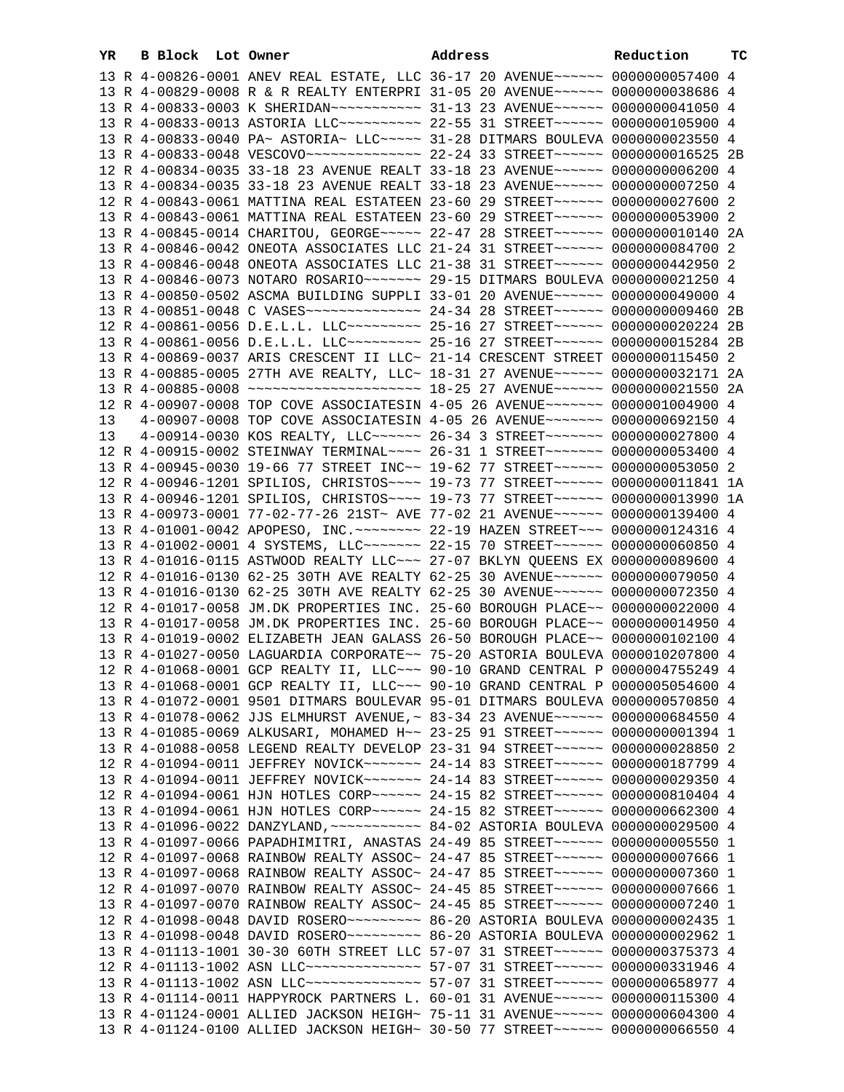|    | 13 R 4-00833-0040 PA~ ASTORIA~ LLC~~~~~ 31-28 DITMARS BOULEVA 0000000023550 4       |  |
|----|-------------------------------------------------------------------------------------|--|
|    |                                                                                     |  |
|    | 12 R 4-00834-0035 33-18 23 AVENUE REALT 33-18 23 AVENUE~~~~~~ 0000000006200 4       |  |
|    | 13 R 4-00834-0035 33-18 23 AVENUE REALT 33-18 23 AVENUE~~~~~~ 0000000007250 4       |  |
|    | 12 R 4-00843-0061 MATTINA REAL ESTATEEN 23-60 29 STREET~~~~~~ 0000000027600 2       |  |
|    | 13 R 4-00843-0061 MATTINA REAL ESTATEEN 23-60 29 STREET~~~~~~ 0000000053900 2       |  |
|    | 13 R 4-00845-0014 CHARITOU, GEORGE~~~~~ 22-47 28 STREET~~~~~~ 00000000010140 2A     |  |
|    | 13 R 4-00846-0042 ONEOTA ASSOCIATES LLC 21-24 31 STREET~~~~~~ 0000000084700 2       |  |
|    | 13 R 4-00846-0048 ONEOTA ASSOCIATES LLC 21-38 31 STREET~~~~~~~ 0000000442950 2      |  |
|    |                                                                                     |  |
|    | 13 R 4-00850-0502 ASCMA BUILDING SUPPLI 33-01 20 AVENUE~~~~~~ 0000000049000 4       |  |
|    | 13 R 4-00851-0048 C VASES~~~~~~~~~~~~~~ 24-34 28 STREET~~~~~~ 0000000009460 2B      |  |
|    | 12 R 4-00861-0056 D.E.L.L. LLC --------- 25-16 27 STREET ----- 0000000020224 2B     |  |
|    | 13 R 4-00861-0056 D.E.L.L. LLC --------- 25-16 27 STREET ----- 00000000015284 2B    |  |
|    | 13 R 4-00869-0037 ARIS CRESCENT II LLC~ 21-14 CRESCENT STREET 0000000115450 2       |  |
|    | 13 R 4-00885-0005 27TH AVE REALTY, LLC~ 18-31 27 AVENUE~~~~~~~ 0000000032171 2A     |  |
|    | 13 R 4-00885-0008 ~~~~~~~~~~~~~~~~~~~~~~~~~~ 18-25 27 AVENUE~~~~~~ 0000000021550 2A |  |
|    | 12 R 4-00907-0008 TOP COVE ASSOCIATESIN 4-05 26 AVENUE~~~~~~~~ 0000001004900 4      |  |
|    | 4-00907-0008 TOP COVE ASSOCIATESIN 4-05 26 AVENUE~~~~~~~ 0000000692150 4            |  |
| 13 |                                                                                     |  |
| 13 | 4-00914-0030 KOS REALTY, LLC ----- 26-34 3 STREET ------ 0000000027800 4            |  |
|    | 12 R 4-00915-0002 STEINWAY TERMINAL~~~~ 26-31 1 STREET~~~~~~~ 0000000053400 4       |  |
|    | 13 R 4-00945-0030 19-66 77 STREET INC~~ 19-62 77 STREET~~~~~~ 0000000053050 2       |  |
|    | 12 R 4-00946-1201 SPILIOS, CHRISTOS ~~~~ 19-73 77 STREET ~~~~~~~ 00000000011841 1A  |  |
|    | 13 R 4-00946-1201 SPILIOS, CHRISTOS ~~~~ 19-73 77 STREET ~~~~~~~ 0000000013990 1A   |  |
|    | 13 R 4-00973-0001 77-02-77-26 21ST~ AVE 77-02 21 AVENUE~~~~~~ 0000000139400 4       |  |
|    | 13 R 4-01001-0042 APOPESO, INC. ~~~~~~~~ 22-19 HAZEN STREET~~~ 0000000124316 4      |  |
|    | 13 R 4-01002-0001 4 SYSTEMS, LLC ------ 22-15 70 STREET ----- 0000000060850 4       |  |
|    | 13 R 4-01016-0115 ASTWOOD REALTY LLC ~~~ 27-07 BKLYN QUEENS EX 0000000089600 4      |  |
|    | 12 R 4-01016-0130 62-25 30TH AVE REALTY 62-25 30 AVENUE~~~~~~ 0000000079050 4       |  |
|    | 13 R 4-01016-0130 62-25 30TH AVE REALTY 62-25 30 AVENUE~~~~~~ 0000000072350 4       |  |
|    | 12 R 4-01017-0058 JM.DK PROPERTIES INC. 25-60 BOROUGH PLACE~~ 0000000022000 4       |  |
|    | 13 R 4-01017-0058 JM.DK PROPERTIES INC. 25-60 BOROUGH PLACE~~ 0000000014950 4       |  |
|    | 13 R 4-01019-0002 ELIZABETH JEAN GALASS 26-50 BOROUGH PLACE~~ 0000000102100 4       |  |
|    | 13 R 4-01027-0050 LAGUARDIA CORPORATE~~ 75-20 ASTORIA BOULEVA 0000010207800 4       |  |
|    | 12 R 4-01068-0001 GCP REALTY II, LLC ~~~ 90-10 GRAND CENTRAL P 0000004755249 4      |  |
|    | 13 R 4-01068-0001 GCP REALTY II, LLC~~~ 90-10 GRAND CENTRAL P 0000005054600 4       |  |
|    | 13 R 4-01072-0001 9501 DITMARS BOULEVAR 95-01 DITMARS BOULEVA 0000000570850 4       |  |
|    | 13 R 4-01078-0062 JJS ELMHURST AVENUE, ~ 83-34 23 AVENUE~~~~~~ 0000000684550 4      |  |
|    | 13 R 4-01085-0069 ALKUSARI, MOHAMED H~~ 23-25 91 STREET~~~~~~ 0000000001394 1       |  |
|    | 13 R 4-01088-0058 LEGEND REALTY DEVELOP 23-31 94 STREET~~~~~~ 0000000028850 2       |  |
|    | 12 R 4-01094-0011 JEFFREY NOVICK~~~~~~~ 24-14 83 STREET~~~~~~ 0000000187799 4       |  |
|    | 13 R 4-01094-0011 JEFFREY NOVICK~~~~~~~ 24-14 83 STREET~~~~~~ 0000000029350 4       |  |
|    | 12 R 4-01094-0061 HJN HOTLES CORP~~~~~~ 24-15 82 STREET~~~~~~ 0000000810404 4       |  |
|    | 13 R 4-01094-0061 HJN HOTLES CORP~~~~~~ 24-15 82 STREET~~~~~~ 0000000662300 4       |  |
|    |                                                                                     |  |
|    | 13 R 4-01097-0066 PAPADHIMITRI, ANASTAS 24-49 85 STREET~~~~~~ 0000000005550 1       |  |
|    | 12 R 4-01097-0068 RAINBOW REALTY ASSOC~ 24-47 85 STREET~~~~~~~ 0000000007666 1      |  |
|    | 13 R 4-01097-0068 RAINBOW REALTY ASSOC~ 24-47 85 STREET~~~~~~ 0000000007360 1       |  |
|    | 12 R 4-01097-0070 RAINBOW REALTY ASSOC~ 24-45 85 STREET~~~~~~~ 0000000007666 1      |  |
|    | 13 R 4-01097-0070 RAINBOW REALTY ASSOC~ 24-45 85 STREET~~~~~~ 0000000007240 1       |  |
|    | 12 R 4-01098-0048 DAVID ROSERO~~~~~~~~~ 86-20 ASTORIA BOULEVA 0000000002435 1       |  |
|    |                                                                                     |  |
|    | 13 R 4-01113-1001 30-30 60TH STREET LLC 57-07 31 STREET~~~~~~~ 0000000375373 4      |  |
|    |                                                                                     |  |
|    |                                                                                     |  |
|    | 13 R 4-01114-0011 HAPPYROCK PARTNERS L. 60-01 31 AVENUE~~~~~~ 0000000115300 4       |  |
|    | 13 R 4-01124-0001 ALLIED JACKSON HEIGH~ 75-11 31 AVENUE~~~~~~~ 0000000604300 4      |  |

13 R 4-01124-0100 ALLIED JACKSON HEIGH~ 30-50 77 STREET~~~~~~ 0000000066550 4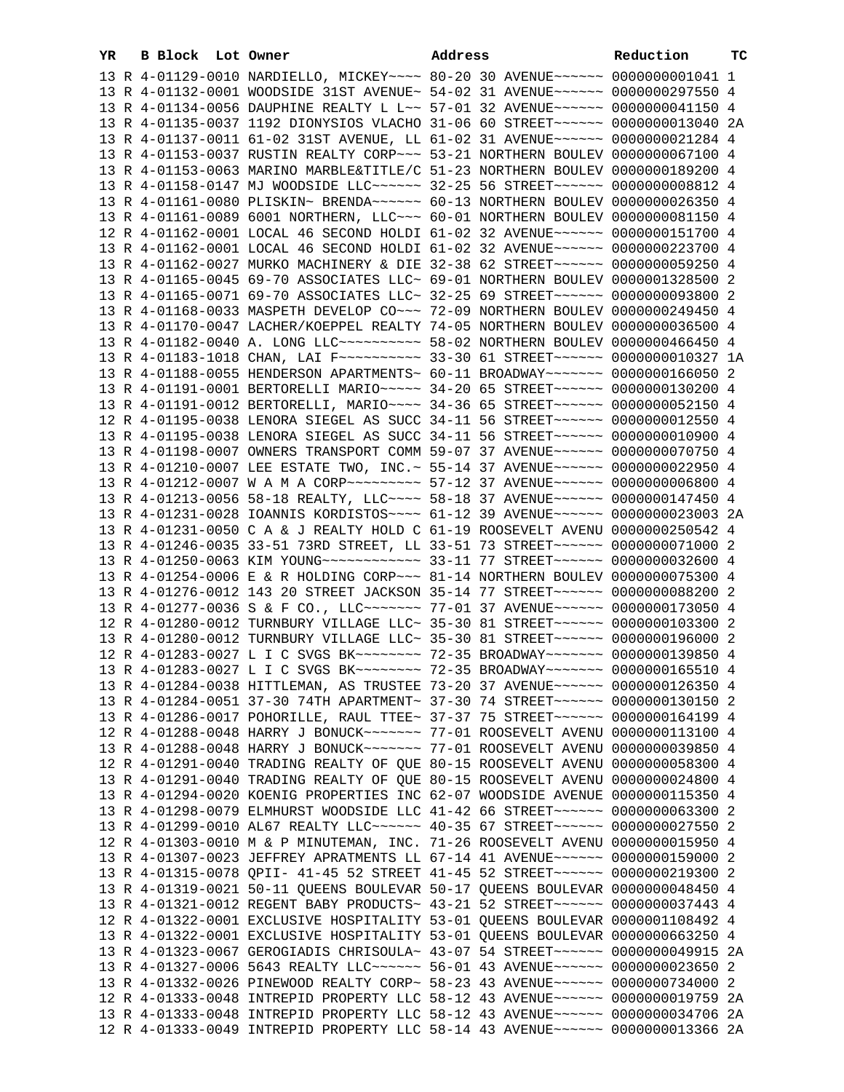| YR | <b>B Block</b> Lot Owner |                                                                                                                                                                 | Address | Reduction | тc |
|----|--------------------------|-----------------------------------------------------------------------------------------------------------------------------------------------------------------|---------|-----------|----|
|    |                          | 13 R 4-01129-0010 NARDIELLO, MICKEY~~~~ 80-20 30 AVENUE~~~~~~ 0000000001041 1                                                                                   |         |           |    |
|    |                          | 13 R 4-01132-0001 WOODSIDE 31ST AVENUE~ 54-02 31 AVENUE~~~~~~ 0000000297550 4                                                                                   |         |           |    |
|    |                          | 13 R 4-01134-0056 DAUPHINE REALTY L L~~ 57-01 32 AVENUE~~~~~~ 0000000041150 4                                                                                   |         |           |    |
|    |                          | 13 R 4-01135-0037 1192 DIONYSIOS VLACHO 31-06 60 STREET~~~~~~ 0000000013040 2A                                                                                  |         |           |    |
|    |                          | 13 R 4-01137-0011 61-02 31ST AVENUE, LL 61-02 31 AVENUE~~~~~~ 0000000021284 4                                                                                   |         |           |    |
|    |                          | 13 R 4-01153-0037 RUSTIN REALTY CORP~~~ 53-21 NORTHERN BOULEV 0000000067100 4                                                                                   |         |           |    |
|    |                          | 13 R 4-01153-0063 MARINO MARBLE&TITLE/C 51-23 NORTHERN BOULEV 0000000189200 4                                                                                   |         |           |    |
|    |                          | 13 R 4-01158-0147 MJ WOODSIDE LLC ----- 32-25 56 STREET ----- 0000000008812 4                                                                                   |         |           |    |
|    |                          | 13 R 4-01161-0080 PLISKIN~ BRENDA~~~~~~ 60-13 NORTHERN BOULEV 0000000026350 4                                                                                   |         |           |    |
|    |                          | 13 R 4-01161-0089 6001 NORTHERN, LLC~~~ 60-01 NORTHERN BOULEV 0000000081150 4                                                                                   |         |           |    |
|    |                          | 12 R 4-01162-0001 LOCAL 46 SECOND HOLDI 61-02 32 AVENUE~~~~~~ 0000000151700 4                                                                                   |         |           |    |
|    |                          | 13 R 4-01162-0001 LOCAL 46 SECOND HOLDI 61-02 32 AVENUE~~~~~~ 0000000223700 4                                                                                   |         |           |    |
|    |                          | 13 R 4-01162-0027 MURKO MACHINERY & DIE 32-38 62 STREET~~~~~~ 0000000059250 4                                                                                   |         |           |    |
|    |                          | 13 R 4-01165-0045 69-70 ASSOCIATES LLC~ 69-01 NORTHERN BOULEV 0000001328500 2                                                                                   |         |           |    |
|    |                          | 13 R 4-01165-0071 69-70 ASSOCIATES LLC~ 32-25 69 STREET~~~~~~ 0000000093800 2                                                                                   |         |           |    |
|    |                          | 13 R 4-01168-0033 MASPETH DEVELOP CO~~~ 72-09 NORTHERN BOULEV 0000000249450 4                                                                                   |         |           |    |
|    |                          | 13 R 4-01170-0047 LACHER/KOEPPEL REALTY 74-05 NORTHERN BOULEV 0000000036500 4<br>13 R 4-01182-0040 A. LONG LLC ---------- 58-02 NORTHERN BOULEV 0000000466450 4 |         |           |    |
|    |                          | 13 R 4-01183-1018 CHAN, LAI F ---------- 33-30 61 STREET ------ 0000000010327 1A                                                                                |         |           |    |
|    |                          | 13 R 4-01188-0055 HENDERSON APARTMENTS~ 60-11 BROADWAY~~~~~~~ 0000000166050 2                                                                                   |         |           |    |
|    |                          | 13 R 4-01191-0001 BERTORELLI MARIO~~~~~ 34-20 65 STREET~~~~~~ 0000000130200 4                                                                                   |         |           |    |
|    |                          | 13 R 4-01191-0012 BERTORELLI, MARIO~~~~ 34-36 65 STREET~~~~~~ 0000000052150 4                                                                                   |         |           |    |
|    |                          | 12 R 4-01195-0038 LENORA SIEGEL AS SUCC 34-11 56 STREET~~~~~~ 0000000012550 4                                                                                   |         |           |    |
|    |                          | 13 R 4-01195-0038 LENORA SIEGEL AS SUCC 34-11 56 STREET~~~~~~ 0000000010900 4                                                                                   |         |           |    |
|    |                          | 13 R 4-01198-0007 OWNERS TRANSPORT COMM 59-07 37 AVENUE~~~~~~ 0000000070750 4                                                                                   |         |           |    |
|    |                          | 13 R 4-01210-0007 LEE ESTATE TWO, INC. ~ 55-14 37 AVENUE ~~~~~~ 0000000022950 4                                                                                 |         |           |    |
|    |                          | 13 R 4-01212-0007 W A M A CORP~~~~~~~~~ 57-12 37 AVENUE~~~~~~ 0000000006800 4                                                                                   |         |           |    |
|    |                          | 13 R 4-01213-0056 58-18 REALTY, LLC --- 58-18 37 AVENUE ----- 0000000147450 4                                                                                   |         |           |    |
|    |                          | 13 R 4-01231-0028 IOANNIS KORDISTOS ~~~~ 61-12 39 AVENUE ~~~~~~ 0000000023003 2A                                                                                |         |           |    |
|    |                          | 13 R 4-01231-0050 C A & J REALTY HOLD C 61-19 ROOSEVELT AVENU 0000000250542 4                                                                                   |         |           |    |
|    |                          | 13 R 4-01246-0035 33-51 73RD STREET, LL 33-51 73 STREET~~~~~~ 0000000071000 2                                                                                   |         |           |    |
|    |                          | 13 R 4-01250-0063 KIM YOUNG~~~~~~~~~~~~ 33-11 77 STREET~~~~~~ 0000000032600 4                                                                                   |         |           |    |
|    |                          | 13 R 4-01254-0006 E & R HOLDING CORP~~~ 81-14 NORTHERN BOULEV 0000000075300 4                                                                                   |         |           |    |
|    |                          | 13 R 4-01276-0012 143 20 STREET JACKSON 35-14 77 STREET~~~~~~ 0000000088200 2                                                                                   |         |           |    |
|    |                          | 13 R 4-01277-0036 S & F CO., LLC ------ 77-01 37 AVENUE------ 0000000173050 4                                                                                   |         |           |    |
|    |                          | 12 R 4-01280-0012 TURNBURY VILLAGE LLC~ 35-30 81 STREET~~~~~~ 0000000103300 2                                                                                   |         |           |    |
|    |                          | 13 R 4-01280-0012 TURNBURY VILLAGE LLC~ 35-30 81 STREET~~~~~~ 0000000196000 2                                                                                   |         |           |    |
|    |                          | 12 R 4-01283-0027 L I C SVGS BK~~~~~~~~ 72-35 BROADWAY~~~~~~~ 0000000139850 4                                                                                   |         |           |    |
|    |                          | 13 R 4-01283-0027 L I C SVGS BK ------- 72-35 BROADWAY ------ 0000000165510 4                                                                                   |         |           |    |
|    |                          | 13 R 4-01284-0038 HITTLEMAN, AS TRUSTEE 73-20 37 AVENUE~~~~~~ 0000000126350 4                                                                                   |         |           |    |
|    |                          | 13 R 4-01284-0051 37-30 74TH APARTMENT~ 37-30 74 STREET~~~~~~ 0000000130150 2                                                                                   |         |           |    |
|    |                          | 13 R 4-01286-0017 POHORILLE, RAUL TTEE~ 37-37 75 STREET~~~~~~ 0000000164199 4                                                                                   |         |           |    |
|    |                          | 12 R 4-01288-0048 HARRY J BONUCK~~~~~~~ 77-01 ROOSEVELT AVENU 0000000113100 4                                                                                   |         |           |    |
|    |                          | 13 R 4-01288-0048 HARRY J BONUCK~~~~~~~ 77-01 ROOSEVELT AVENU 0000000039850 4<br>12 R 4-01291-0040 TRADING REALTY OF QUE 80-15 ROOSEVELT AVENU 0000000058300 4  |         |           |    |
|    |                          | 13 R 4-01291-0040 TRADING REALTY OF QUE 80-15 ROOSEVELT AVENU 0000000024800 4                                                                                   |         |           |    |
|    |                          | 13 R 4-01294-0020 KOENIG PROPERTIES INC 62-07 WOODSIDE AVENUE 0000000115350 4                                                                                   |         |           |    |
|    |                          | 13 R 4-01298-0079 ELMHURST WOODSIDE LLC 41-42 66 STREET~~~~~~ 0000000063300 2                                                                                   |         |           |    |
|    |                          | 13 R 4-01299-0010 AL67 REALTY LLC~~~~~~ 40-35 67 STREET~~~~~~ 0000000027550 2                                                                                   |         |           |    |
|    |                          | 12 R 4-01303-0010 M & P MINUTEMAN, INC. 71-26 ROOSEVELT AVENU 0000000015950 4                                                                                   |         |           |    |
|    |                          | 13 R 4-01307-0023 JEFFREY APRATMENTS LL 67-14 41 AVENUE~~~~~~ 0000000159000 2                                                                                   |         |           |    |
|    |                          | 13 R 4-01315-0078 QPII- 41-45 52 STREET 41-45 52 STREET~~~~~~ 0000000219300 2                                                                                   |         |           |    |
|    |                          | 13 R 4-01319-0021 50-11 QUEENS BOULEVAR 50-17 QUEENS BOULEVAR 0000000048450 4                                                                                   |         |           |    |
|    |                          | 13 R 4-01321-0012 REGENT BABY PRODUCTS~ 43-21 52 STREET~~~~~~ 0000000037443 4                                                                                   |         |           |    |
|    |                          | 12 R 4-01322-0001 EXCLUSIVE HOSPITALITY 53-01 OUEENS BOULEVAR 0000001108492 4                                                                                   |         |           |    |
|    |                          | 13 R 4-01322-0001 EXCLUSIVE HOSPITALITY 53-01 QUEENS BOULEVAR 0000000663250 4                                                                                   |         |           |    |
|    |                          | 13 R 4-01323-0067 GEROGIADIS CHRISOULA~ 43-07 54 STREET~~~~~~~ 0000000049915 2A                                                                                 |         |           |    |
|    |                          | 13 R 4-01327-0006 5643 REALTY LLC ----- 56-01 43 AVENUE ----- 0000000023650 2                                                                                   |         |           |    |
|    |                          | 13 R 4-01332-0026 PINEWOOD REALTY CORP~ 58-23 43 AVENUE~~~~~~ 0000000734000 2                                                                                   |         |           |    |
|    |                          | 12 R 4-01333-0048 INTREPID PROPERTY LLC 58-12 43 AVENUE~~~~~~ 0000000019759 2A                                                                                  |         |           |    |
|    |                          | 13 R 4-01333-0048 INTREPID PROPERTY LLC 58-12 43 AVENUE~~~~~~ 0000000034706 2A                                                                                  |         |           |    |
|    |                          | 12 R 4-01333-0049 INTREPID PROPERTY LLC 58-14 43 AVENUE~~~~~~ 0000000013366 2A                                                                                  |         |           |    |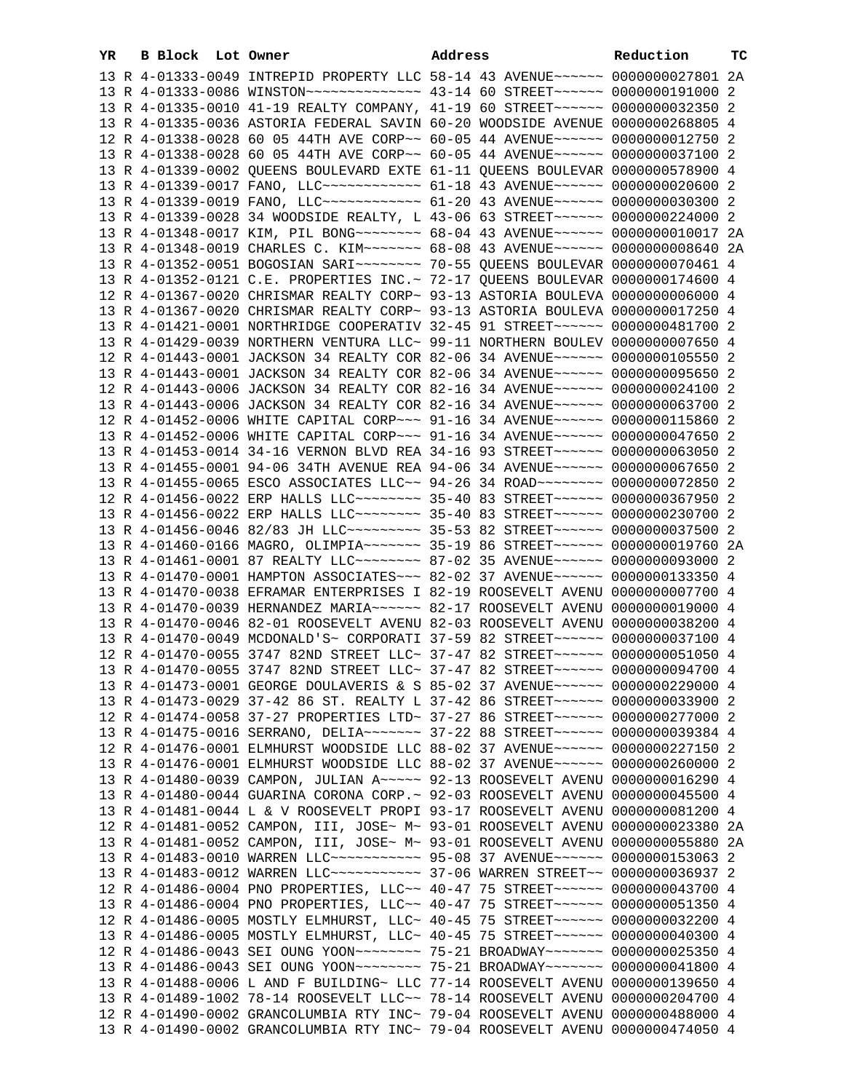| YR | B Block Lot Owner |                                                                                      | Address | Reduction | тc |
|----|-------------------|--------------------------------------------------------------------------------------|---------|-----------|----|
|    |                   | 13 R 4-01333-0049 INTREPID PROPERTY LLC 58-14 43 AVENUE~~~~~~ 0000000027801 2A       |         |           |    |
|    |                   | 13 R 4-01333-0086 WINSTON~~~~~~~~~~~~~~~~~~~~ 43-14 60 STREET~~~~~~~ 0000000191000 2 |         |           |    |
|    |                   | 13 R 4-01335-0010 41-19 REALTY COMPANY, 41-19 60 STREET~~~~~~ 0000000032350 2        |         |           |    |
|    |                   | 13 R 4-01335-0036 ASTORIA FEDERAL SAVIN 60-20 WOODSIDE AVENUE 0000000268805 4        |         |           |    |
|    |                   | 12 R 4-01338-0028 60 05 44TH AVE CORP~~ 60-05 44 AVENUE~~~~~~ 0000000012750 2        |         |           |    |
|    |                   | 13 R 4-01338-0028 60 05 44TH AVE CORP~~ 60-05 44 AVENUE~~~~~~ 0000000037100 2        |         |           |    |
|    |                   | 13 R 4-01339-0002 QUEENS BOULEVARD EXTE 61-11 QUEENS BOULEVAR 0000000578900 4        |         |           |    |
|    |                   | 13 R 4-01339-0017 FANO, LLC~~~~~~~~~~~~~ 61-18 43 AVENUE~~~~~~ 0000000020600 2       |         |           |    |
|    |                   | 13 R 4-01339-0019 FANO, LLC ------------ 61-20 43 AVENUE ------ 0000000030300 2      |         |           |    |
|    |                   | 13 R 4-01339-0028 34 WOODSIDE REALTY, L 43-06 63 STREET~~~~~~ 0000000224000 2        |         |           |    |
|    |                   | 13 R 4-01348-0017 KIM, PIL BONG~~~~~~~~ 68-04 43 AVENUE~~~~~~ 0000000010017 2A       |         |           |    |
|    |                   | 13 R 4-01348-0019 CHARLES C. KIM ------ 68-08 43 AVENUE------ 0000000008640 2A       |         |           |    |
|    |                   | 13 R 4-01352-0051 BOGOSIAN SARI~~~~~~~~~~~~~~ 70-55 QUEENS BOULEVAR 0000000070461 4  |         |           |    |
|    |                   | 13 R 4-01352-0121 C.E. PROPERTIES INC.~ 72-17 QUEENS BOULEVAR 0000000174600 4        |         |           |    |
|    |                   | 12 R 4-01367-0020 CHRISMAR REALTY CORP~ 93-13 ASTORIA BOULEVA 0000000006000 4        |         |           |    |
|    |                   | 13 R 4-01367-0020 CHRISMAR REALTY CORP~ 93-13 ASTORIA BOULEVA 0000000017250 4        |         |           |    |
|    |                   | 13 R 4-01421-0001 NORTHRIDGE COOPERATIV 32-45 91 STREET~~~~~~ 0000000481700 2        |         |           |    |
|    |                   | 13 R 4-01429-0039 NORTHERN VENTURA LLC~ 99-11 NORTHERN BOULEV 0000000007650 4        |         |           |    |
|    |                   | 12 R 4-01443-0001 JACKSON 34 REALTY COR 82-06 34 AVENUE~~~~~~ 0000000105550 2        |         |           |    |
|    |                   | 13 R 4-01443-0001 JACKSON 34 REALTY COR 82-06 34 AVENUE~~~~~~ 0000000095650 2        |         |           |    |
|    |                   | 12 R 4-01443-0006 JACKSON 34 REALTY COR 82-16 34 AVENUE~~~~~~ 0000000024100 2        |         |           |    |
|    |                   | 13 R 4-01443-0006 JACKSON 34 REALTY COR 82-16 34 AVENUE~~~~~~ 0000000063700 2        |         |           |    |
|    |                   | 12 R 4-01452-0006 WHITE CAPITAL CORP~~~ 91-16 34 AVENUE~~~~~~ 0000000115860 2        |         |           |    |
|    |                   | 13 R 4-01452-0006 WHITE CAPITAL CORP~~~ 91-16 34 AVENUE~~~~~~ 0000000047650 2        |         |           |    |
|    |                   | 13 R 4-01453-0014 34-16 VERNON BLVD REA 34-16 93 STREET~~~~~~ 0000000063050 2        |         |           |    |
|    |                   | 13 R 4-01455-0001 94-06 34TH AVENUE REA 94-06 34 AVENUE~~~~~~ 0000000067650 2        |         |           |    |
|    |                   | 13 R 4-01455-0065 ESCO ASSOCIATES LLC~~ 94-26 34 ROAD~~~~~~~~ 0000000072850 2        |         |           |    |
|    |                   | 12 R 4-01456-0022 ERP HALLS LLC -------- 35-40 83 STREET ----- 0000000367950 2       |         |           |    |
|    |                   | 13 R 4-01456-0022 ERP HALLS LLC ------- 35-40 83 STREET ----- 0000000230700 2        |         |           |    |
|    |                   | 13 R 4-01456-0046 82/83 JH LLC -------- 35-53 82 STREET ------ 0000000037500 2       |         |           |    |
|    |                   | 13 R 4-01460-0166 MAGRO, OLIMPIA~~~~~~~ 35-19 86 STREET~~~~~~ 0000000019760 2A       |         |           |    |
|    |                   | 13 R 4-01461-0001 87 REALTY LLC -------- 87-02 35 AVENUE ----- 0000000093000 2       |         |           |    |
|    |                   | 13 R 4-01470-0001 HAMPTON ASSOCIATES ~~~ 82-02 37 AVENUE ~~~~~~ 0000000133350 4      |         |           |    |
|    |                   | 13 R 4-01470-0038 EFRAMAR ENTERPRISES I 82-19 ROOSEVELT AVENU 0000000007700 4        |         |           |    |
|    |                   | 13 R 4-01470-0039 HERNANDEZ MARIA~~~~~~ 82-17 ROOSEVELT AVENU 0000000019000 4        |         |           |    |
|    |                   | 13 R 4-01470-0046 82-01 ROOSEVELT AVENU 82-03 ROOSEVELT AVENU 0000000038200 4        |         |           |    |
|    |                   | 13 R 4-01470-0049 MCDONALD'S~ CORPORATI 37-59 82 STREET~~~~~~ 0000000037100 4        |         |           |    |
|    |                   | 12 R 4-01470-0055 3747 82ND STREET LLC~ 37-47 82 STREET~~~~~~ 0000000051050 4        |         |           |    |
|    |                   | 13 R 4-01470-0055 3747 82ND STREET LLC~ 37-47 82 STREET~~~~~~ 0000000094700 4        |         |           |    |
|    |                   | 13 R 4-01473-0001 GEORGE DOULAVERIS & S 85-02 37 AVENUE~~~~~~ 0000000229000 4        |         |           |    |
|    |                   | 13 R 4-01473-0029 37-42 86 ST. REALTY L 37-42 86 STREET~~~~~~ 0000000033900 2        |         |           |    |
|    |                   | 12 R 4-01474-0058 37-27 PROPERTIES LTD~ 37-27 86 STREET~~~~~~ 0000000277000 2        |         |           |    |
|    |                   | 13 R 4-01475-0016 SERRANO, DELIA~~~~~~~ 37-22 88 STREET~~~~~~ 0000000039384 4        |         |           |    |
|    |                   | 12 R 4-01476-0001 ELMHURST WOODSIDE LLC 88-02 37 AVENUE~~~~~~ 0000000227150 2        |         |           |    |
|    |                   | 13 R 4-01476-0001 ELMHURST WOODSIDE LLC 88-02 37 AVENUE~~~~~~ 0000000260000 2        |         |           |    |
|    |                   | 13 R 4-01480-0039 CAMPON, JULIAN A~~~~~ 92-13 ROOSEVELT AVENU 0000000016290 4        |         |           |    |
|    |                   | 13 R 4-01480-0044 GUARINA CORONA CORP. ~ 92-03 ROOSEVELT AVENU 0000000045500 4       |         |           |    |
|    |                   | 13 R 4-01481-0044 L & V ROOSEVELT PROPI 93-17 ROOSEVELT AVENU 0000000081200 4        |         |           |    |
|    |                   | 12 R 4-01481-0052 CAMPON, III, JOSE~ M~ 93-01 ROOSEVELT AVENU 0000000023380 2A       |         |           |    |
|    |                   | 13 R 4-01481-0052 CAMPON, III, JOSE~ M~ 93-01 ROOSEVELT AVENU 0000000055880 2A       |         |           |    |
|    |                   | 13 R 4-01483-0010 WARREN LLC ----------- 95-08 37 AVENUE ----- 0000000153063 2       |         |           |    |
|    |                   | 13 R 4-01483-0012 WARREN LLC ----------- 37-06 WARREN STREET -~ 0000000036937 2      |         |           |    |
|    |                   | 12 R 4-01486-0004 PNO PROPERTIES, LLC~~ 40-47 75 STREET~~~~~~ 0000000043700 4        |         |           |    |
|    |                   | 13 R 4-01486-0004 PNO PROPERTIES, LLC~~ 40-47 75 STREET~~~~~~ 0000000051350 4        |         |           |    |
|    |                   | 12 R 4-01486-0005 MOSTLY ELMHURST, LLC~ 40-45 75 STREET~~~~~~ 0000000032200 4        |         |           |    |
|    |                   | 13 R 4-01486-0005 MOSTLY ELMHURST, LLC~ 40-45 75 STREET~~~~~~ 0000000040300 4        |         |           |    |
|    |                   | 12 R 4-01486-0043 SEI OUNG YOON~~~~~~~~ 75-21 BROADWAY~~~~~~~ 0000000025350 4        |         |           |    |
|    |                   | 13 R 4-01486-0043 SEI OUNG YOON~~~~~~~~ 75-21 BROADWAY~~~~~~~ 0000000041800 4        |         |           |    |
|    |                   | 13 R 4-01488-0006 L AND F BUILDING~ LLC 77-14 ROOSEVELT AVENU 0000000139650 4        |         |           |    |
|    |                   | 13 R 4-01489-1002 78-14 ROOSEVELT LLC~~ 78-14 ROOSEVELT AVENU 0000000204700 4        |         |           |    |
|    |                   | 12 R 4-01490-0002 GRANCOLUMBIA RTY INC~ 79-04 ROOSEVELT AVENU 0000000488000 4        |         |           |    |
|    |                   | 13 R 4-01490-0002 GRANCOLUMBIA RTY INC~ 79-04 ROOSEVELT AVENU 0000000474050 4        |         |           |    |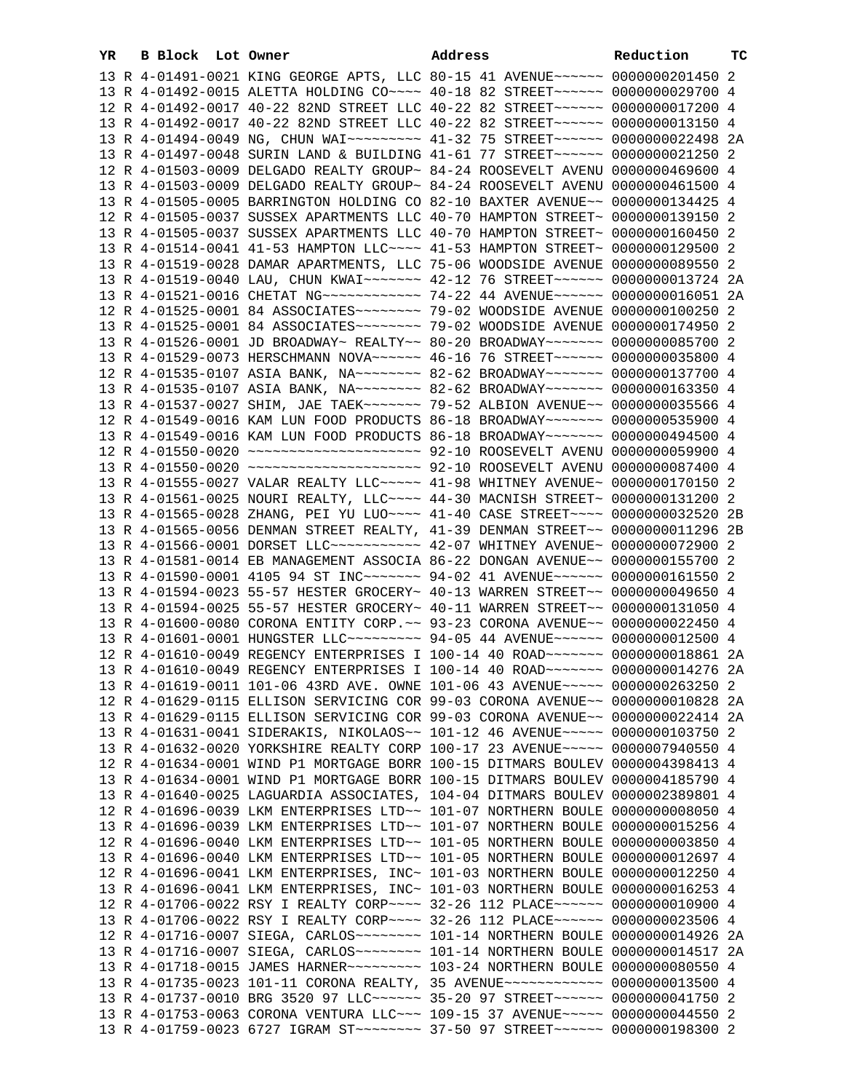| YR | B Block Lot Owner |                                                                                                                                                                  | Address | Reduction | тc |
|----|-------------------|------------------------------------------------------------------------------------------------------------------------------------------------------------------|---------|-----------|----|
|    |                   | 13 R 4-01491-0021 KING GEORGE APTS, LLC 80-15 41 AVENUE~~~~~~ 0000000201450 2                                                                                    |         |           |    |
|    |                   | 13 R 4-01492-0015 ALETTA HOLDING CO~~~~ 40-18 82 STREET~~~~~~ 0000000029700 4                                                                                    |         |           |    |
|    |                   | 12 R 4-01492-0017 40-22 82ND STREET LLC 40-22 82 STREET~~~~~~ 0000000017200 4                                                                                    |         |           |    |
|    |                   | 13 R 4-01492-0017 40-22 82ND STREET LLC 40-22 82 STREET~~~~~~ 0000000013150 4                                                                                    |         |           |    |
|    |                   | 13 R 4-01494-0049 NG, CHUN WAI~~~~~~~~~ 41-32 75 STREET~~~~~~ 0000000022498 2A                                                                                   |         |           |    |
|    |                   | 13 R 4-01497-0048 SURIN LAND & BUILDING 41-61 77 STREET~~~~~~~ 0000000021250 2                                                                                   |         |           |    |
|    |                   | 12 R 4-01503-0009 DELGADO REALTY GROUP~ 84-24 ROOSEVELT AVENU 0000000469600 4                                                                                    |         |           |    |
|    |                   | 13 R 4-01503-0009 DELGADO REALTY GROUP~ 84-24 ROOSEVELT AVENU 0000000461500 4                                                                                    |         |           |    |
|    |                   | 13 R 4-01505-0005 BARRINGTON HOLDING CO 82-10 BAXTER AVENUE~~ 0000000134425 4                                                                                    |         |           |    |
|    |                   | 12 R 4-01505-0037 SUSSEX APARTMENTS LLC 40-70 HAMPTON STREET~ 0000000139150 2                                                                                    |         |           |    |
|    |                   | 13 R 4-01505-0037 SUSSEX APARTMENTS LLC 40-70 HAMPTON STREET~ 0000000160450 2                                                                                    |         |           |    |
|    |                   | 13 R 4-01514-0041 41-53 HAMPTON LLC --- 41-53 HAMPTON STREET ~ 0000000129500 2                                                                                   |         |           |    |
|    |                   | 13 R 4-01519-0028 DAMAR APARTMENTS, LLC 75-06 WOODSIDE AVENUE 0000000089550 2                                                                                    |         |           |    |
|    |                   | 13 R 4-01519-0040 LAU, CHUN KWAI~~~~~~~ 42-12 76 STREET~~~~~~ 0000000013724 2A                                                                                   |         |           |    |
|    |                   | 13 R 4-01521-0016 CHETAT NG~~~~~~~~~~~~ 74-22 44 AVENUE~~~~~~ 0000000016051 2A                                                                                   |         |           |    |
|    |                   |                                                                                                                                                                  |         |           |    |
|    |                   |                                                                                                                                                                  |         |           |    |
|    |                   | 13 R 4-01526-0001 JD BROADWAY~ REALTY~~ 80-20 BROADWAY~~~~~~~ 0000000085700 2                                                                                    |         |           |    |
|    |                   | 13 R 4-01529-0073 HERSCHMANN NOVA~~~~~~ 46-16 76 STREET~~~~~~ 0000000035800 4                                                                                    |         |           |    |
|    |                   | 12 R 4-01535-0107 ASIA BANK, NA~~~~~~~~ 82-62 BROADWAY~~~~~~~ 0000000137700 4                                                                                    |         |           |    |
|    |                   | 13 R 4-01535-0107 ASIA BANK, NA~~~~~~~~ 82-62 BROADWAY~~~~~~~ 0000000163350 4                                                                                    |         |           |    |
|    |                   | 13 R 4-01537-0027 SHIM, JAE TAEK~~~~~~~ 79-52 ALBION AVENUE~~ 0000000035566 4                                                                                    |         |           |    |
|    |                   | 12 R 4-01549-0016 KAM LUN FOOD PRODUCTS 86-18 BROADWAY~~~~~~~ 0000000535900 4                                                                                    |         |           |    |
|    |                   | 13 R 4-01549-0016 KAM LUN FOOD PRODUCTS 86-18 BROADWAY~~~~~~~ 0000000494500 4                                                                                    |         |           |    |
|    |                   | 12 R 4-01550-0020 ~~~~~~~~~~~~~~~~~~~~~ 92-10 ROOSEVELT AVENU 0000000059900 4                                                                                    |         |           |    |
|    |                   | 13 R 4-01550-0020 ~~~~~~~~~~~~~~~~~~~~~~ 92-10 ROOSEVELT AVENU 0000000087400 4                                                                                   |         |           |    |
|    |                   | 13 R 4-01555-0027 VALAR REALTY LLC ~~~~~ 41-98 WHITNEY AVENUE~ 0000000170150 2                                                                                   |         |           |    |
|    |                   | 13 R 4-01561-0025 NOURI REALTY, LLC~~~~ 44-30 MACNISH STREET~ 0000000131200 2                                                                                    |         |           |    |
|    |                   | 13 R 4-01565-0028 ZHANG, PEI YU LUO~~~~ 41-40 CASE STREET~~~~ 0000000032520 2B                                                                                   |         |           |    |
|    |                   | 13 R 4-01565-0056 DENMAN STREET REALTY, 41-39 DENMAN STREET~~ 0000000011296 2B                                                                                   |         |           |    |
|    |                   | 13 R 4-01566-0001 DORSET LLC ----------- 42-07 WHITNEY AVENUE ~ 0000000072900 2                                                                                  |         |           |    |
|    |                   | 13 R 4-01581-0014 EB MANAGEMENT ASSOCIA 86-22 DONGAN AVENUE~~ 0000000155700 2                                                                                    |         |           |    |
|    |                   | 13 R 4-01590-0001 4105 94 ST INC~~~~~~~ 94-02 41 AVENUE~~~~~~ 0000000161550 2                                                                                    |         |           |    |
|    |                   | 13 R 4-01594-0023 55-57 HESTER GROCERY~ 40-13 WARREN STREET~~ 0000000049650 4                                                                                    |         |           |    |
|    |                   | 13 R 4-01594-0025 55-57 HESTER GROCERY~ 40-11 WARREN STREET~~ 0000000131050 4                                                                                    |         |           |    |
|    |                   | 13 R 4-01600-0080 CORONA ENTITY CORP. ~~ 93-23 CORONA AVENUE~~ 0000000022450 4                                                                                   |         |           |    |
|    |                   | 13 R 4-01601-0001 HUNGSTER LLC~~~~~~~~~ 94-05 44 AVENUE~~~~~~ 0000000012500 4                                                                                    |         |           |    |
|    |                   | 12 R 4-01610-0049 REGENCY ENTERPRISES I 100-14 40 ROAD~~~~~~~~ 0000000018861 2A                                                                                  |         |           |    |
|    |                   | 13 R 4-01610-0049 REGENCY ENTERPRISES I 100-14 40 ROAD~~~~~~~ 0000000014276 2A                                                                                   |         |           |    |
|    |                   | 13 R 4-01619-0011 101-06 43RD AVE. OWNE 101-06 43 AVENUE~~~~~ 0000000263250 2                                                                                    |         |           |    |
|    |                   | 12 R 4-01629-0115 ELLISON SERVICING COR 99-03 CORONA AVENUE~~ 0000000010828 2A                                                                                   |         |           |    |
|    |                   | 13 R 4-01629-0115 ELLISON SERVICING COR 99-03 CORONA AVENUE~~ 0000000022414 2A                                                                                   |         |           |    |
|    |                   | 13 R 4-01631-0041 SIDERAKIS, NIKOLAOS~~ 101-12 46 AVENUE~~~~~ 0000000103750 2                                                                                    |         |           |    |
|    |                   | 13 R 4-01632-0020 YORKSHIRE REALTY CORP 100-17 23 AVENUE~~~~~ 0000007940550 4                                                                                    |         |           |    |
|    |                   | 12 R 4-01634-0001 WIND P1 MORTGAGE BORR 100-15 DITMARS BOULEV 0000004398413 4                                                                                    |         |           |    |
|    |                   | 13 R 4-01634-0001 WIND P1 MORTGAGE BORR 100-15 DITMARS BOULEV 0000004185790 4                                                                                    |         |           |    |
|    |                   | 13 R 4-01640-0025 LAGUARDIA ASSOCIATES, 104-04 DITMARS BOULEV 0000002389801 4                                                                                    |         |           |    |
|    |                   | 12 R 4-01696-0039 LKM ENTERPRISES LTD~~ 101-07 NORTHERN BOULE 00000000008050 4                                                                                   |         |           |    |
|    |                   | 13 R 4-01696-0039 LKM ENTERPRISES LTD~~ 101-07 NORTHERN BOULE 0000000015256 4                                                                                    |         |           |    |
|    |                   | 12 R 4-01696-0040 LKM ENTERPRISES LTD~~ 101-05 NORTHERN BOULE 0000000003850 4                                                                                    |         |           |    |
|    |                   | 13 R 4-01696-0040 LKM ENTERPRISES LTD~~ 101-05 NORTHERN BOULE 0000000012697 4                                                                                    |         |           |    |
|    |                   | 12 R 4-01696-0041 LKM ENTERPRISES, INC~ 101-03 NORTHERN BOULE 0000000012250 4                                                                                    |         |           |    |
|    |                   | 13 R 4-01696-0041 LKM ENTERPRISES, INC~ 101-03 NORTHERN BOULE 0000000016253 4                                                                                    |         |           |    |
|    |                   | 12 R 4-01706-0022 RSY I REALTY CORP~~~~ 32-26 112 PLACE~~~~~~ 0000000010900 4                                                                                    |         |           |    |
|    |                   | 13 R 4-01706-0022 RSY I REALTY CORP~~~~ 32-26 112 PLACE~~~~~~ 0000000023506 4                                                                                    |         |           |    |
|    |                   | 12 R 4-01716-0007 SIEGA, CARLOS~~~~~~~~~~~~~~ 101-14 NORTHERN BOULE 0000000014926 2A                                                                             |         |           |    |
|    |                   | 13 R 4-01716-0007 SIEGA, CARLOS~~~~~~~~~~~~~~ 101-14 NORTHERN BOULE 0000000014517 2A                                                                             |         |           |    |
|    |                   | 13 R 4-01718-0015 JAMES HARNER ~~~~~~~~~~~~~~ 103-24 NORTHERN BOULE 00000000080550 4                                                                             |         |           |    |
|    |                   | 13 R 4-01735-0023 101-11 CORONA REALTY, 35 AVENUE~~~~~~~~~~~~ 0000000013500 4                                                                                    |         |           |    |
|    |                   | 13 R 4-01737-0010 BRG 3520 97 LLC ----- 35-20 97 STREET ----- 0000000041750 2                                                                                    |         |           |    |
|    |                   | 13 R 4-01753-0063 CORONA VENTURA LLC~~~ 109-15 37 AVENUE~~~~~ 0000000044550 2<br>13 R 4-01759-0023 6727 IGRAM ST ~~~~~~~~ 37-50 97 STREET ~~~~~~ 0000000198300 2 |         |           |    |
|    |                   |                                                                                                                                                                  |         |           |    |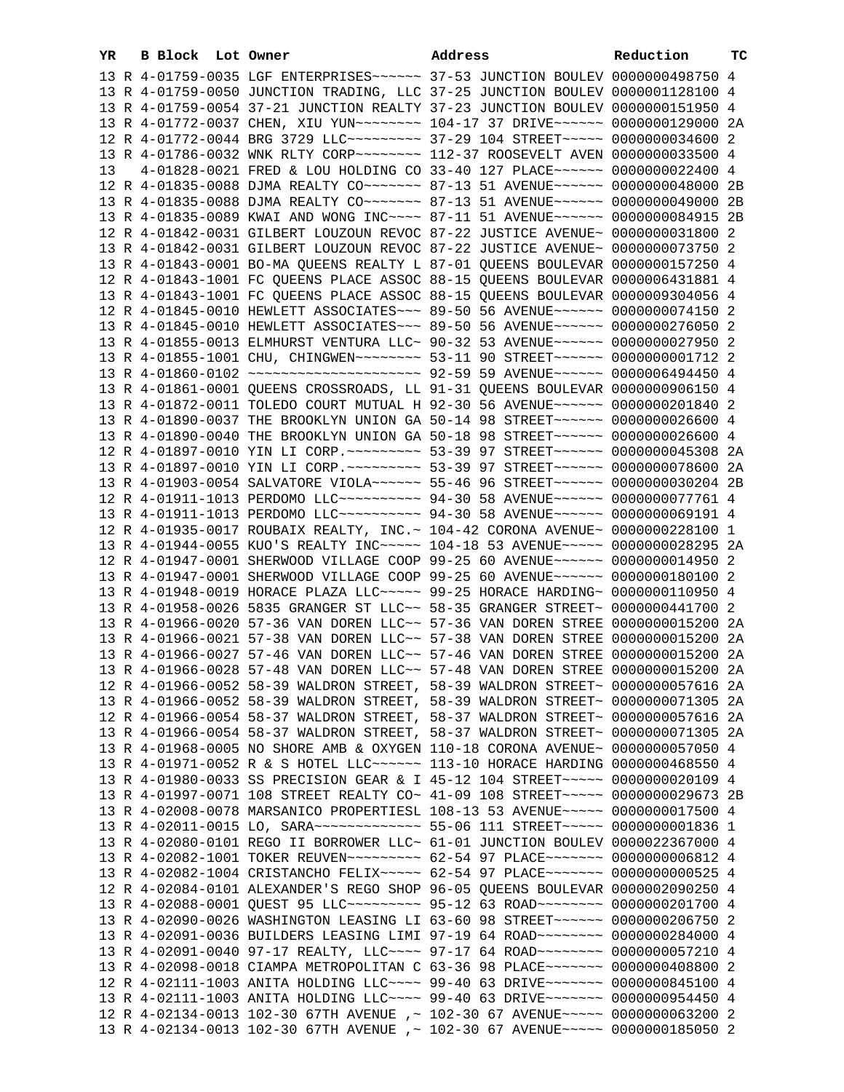| YR | B Block Lot Owner |  | Address                                                                         | Reduction | тc |
|----|-------------------|--|---------------------------------------------------------------------------------|-----------|----|
|    |                   |  | 13 R 4-01759-0035 LGF ENTERPRISES ~~~~~~ 37-53 JUNCTION BOULEV 0000000498750 4  |           |    |
|    |                   |  | 13 R 4-01759-0050 JUNCTION TRADING, LLC 37-25 JUNCTION BOULEV 0000001128100 4   |           |    |
|    |                   |  | 13 R 4-01759-0054 37-21 JUNCTION REALTY 37-23 JUNCTION BOULEV 0000000151950 4   |           |    |
|    |                   |  | 13 R 4-01772-0037 CHEN, XIU YUN~~~~~~~~ 104-17 37 DRIVE~~~~~~ 0000000129000 2A  |           |    |
|    |                   |  | 12 R 4-01772-0044 BRG 3729 LLC -------- 37-29 104 STREET ---- 0000000034600 2   |           |    |
|    |                   |  | 13 R 4-01786-0032 WNK RLTY CORP~~~~~~~~ 112-37 ROOSEVELT AVEN 0000000033500 4   |           |    |
| 13 |                   |  | 4-01828-0021 FRED & LOU HOLDING CO 33-40 127 PLACE~~~~~~ 0000000022400 4        |           |    |
|    |                   |  | 12 R 4-01835-0088 DJMA REALTY CO ------ 87-13 51 AVENUE ----- 0000000048000 2B  |           |    |
|    |                   |  |                                                                                 |           |    |
|    |                   |  | 13 R 4-01835-0088 DJMA REALTY CO~~~~~~~ 87-13 51 AVENUE~~~~~~ 0000000049000 2B  |           |    |
|    |                   |  | 13 R 4-01835-0089 KWAI AND WONG INC~~~~ 87-11 51 AVENUE~~~~~~ 0000000084915 2B  |           |    |
|    |                   |  | 12 R 4-01842-0031 GILBERT LOUZOUN REVOC 87-22 JUSTICE AVENUE~ 0000000031800 2   |           |    |
|    |                   |  | 13 R 4-01842-0031 GILBERT LOUZOUN REVOC 87-22 JUSTICE AVENUE~ 0000000073750 2   |           |    |
|    |                   |  | 13 R 4-01843-0001 BO-MA QUEENS REALTY L 87-01 QUEENS BOULEVAR 0000000157250 4   |           |    |
|    |                   |  | 12 R 4-01843-1001 FC QUEENS PLACE ASSOC 88-15 QUEENS BOULEVAR 0000006431881 4   |           |    |
|    |                   |  | 13 R 4-01843-1001 FC QUEENS PLACE ASSOC 88-15 QUEENS BOULEVAR 0000009304056 4   |           |    |
|    |                   |  | 12 R 4-01845-0010 HEWLETT ASSOCIATES~~~ 89-50 56 AVENUE~~~~~~ 0000000074150 2   |           |    |
|    |                   |  | 13 R 4-01845-0010 HEWLETT ASSOCIATES~~~ 89-50 56 AVENUE~~~~~~ 0000000276050 2   |           |    |
|    |                   |  | 13 R 4-01855-0013 ELMHURST VENTURA LLC~ 90-32 53 AVENUE~~~~~~ 0000000027950 2   |           |    |
|    |                   |  | 13 R 4-01855-1001 CHU, CHINGWEN~~~~~~~~ 53-11 90 STREET~~~~~~ 00000000001712 2  |           |    |
|    |                   |  | 13 R 4-01860-0102 ~~~~~~~~~~~~~~~~~~~~ 92-59 59 AVENUE~~~~~~ 0000006494450 4    |           |    |
|    |                   |  | 13 R 4-01861-0001 QUEENS CROSSROADS, LL 91-31 QUEENS BOULEVAR 0000000906150 4   |           |    |
|    |                   |  | 13 R 4-01872-0011 TOLEDO COURT MUTUAL H 92-30 56 AVENUE~~~~~~ 0000000201840 2   |           |    |
|    |                   |  | 13 R 4-01890-0037 THE BROOKLYN UNION GA 50-14 98 STREET~~~~~~ 0000000026600 4   |           |    |
|    |                   |  | 13 R 4-01890-0040 THE BROOKLYN UNION GA 50-18 98 STREET~~~~~~ 0000000026600 4   |           |    |
|    |                   |  | 12 R 4-01897-0010 YIN LI CORP. ~~~~~~~~~ 53-39 97 STREET~~~~~~ 0000000045308 2A |           |    |
|    |                   |  | 13 R 4-01897-0010 YIN LI CORP. ~~~~~~~~~ 53-39 97 STREET~~~~~~ 0000000078600 2A |           |    |
|    |                   |  | 13 R 4-01903-0054 SALVATORE VIOLA~~~~~~ 55-46 96 STREET~~~~~~ 0000000030204 2B  |           |    |
|    |                   |  | 12 R 4-01911-1013 PERDOMO LLC~~~~~~~~~~ 94-30 58 AVENUE~~~~~~ 0000000077761 4   |           |    |
|    |                   |  | 13 R 4-01911-1013 PERDOMO LLC~~~~~~~~~~ 94-30 58 AVENUE~~~~~~ 0000000069191 4   |           |    |
|    |                   |  | 12 R 4-01935-0017 ROUBAIX REALTY, INC.~ 104-42 CORONA AVENUE~ 0000000228100 1   |           |    |
|    |                   |  | 13 R 4-01944-0055 KUO'S REALTY INC~~~~~ 104-18 53 AVENUE~~~~~ 0000000028295 2A  |           |    |
|    |                   |  | 12 R 4-01947-0001 SHERWOOD VILLAGE COOP 99-25 60 AVENUE~~~~~~ 0000000014950 2   |           |    |
|    |                   |  | 13 R 4-01947-0001 SHERWOOD VILLAGE COOP 99-25 60 AVENUE~~~~~~ 0000000180100 2   |           |    |
|    |                   |  | 13 R 4-01948-0019 HORACE PLAZA LLC ---- 99-25 HORACE HARDING ~ 0000000110950 4  |           |    |
|    |                   |  | 13 R 4-01958-0026 5835 GRANGER ST LLC~~ 58-35 GRANGER STREET~ 0000000441700 2   |           |    |
|    |                   |  | 13 R 4-01966-0020 57-36 VAN DOREN LLC~~ 57-36 VAN DOREN STREE 0000000015200 2A  |           |    |
|    |                   |  | 13 R 4-01966-0021 57-38 VAN DOREN LLC~~ 57-38 VAN DOREN STREE 0000000015200 2A  |           |    |
|    |                   |  | 13 R 4-01966-0027 57-46 VAN DOREN LLC~~ 57-46 VAN DOREN STREE 0000000015200 2A  |           |    |
|    |                   |  | 13 R 4-01966-0028 57-48 VAN DOREN LLC~~ 57-48 VAN DOREN STREE 0000000015200 2A  |           |    |
|    |                   |  | 12 R 4-01966-0052 58-39 WALDRON STREET, 58-39 WALDRON STREET~ 0000000057616 2A  |           |    |
|    |                   |  | 13 R 4-01966-0052 58-39 WALDRON STREET, 58-39 WALDRON STREET~ 0000000071305 2A  |           |    |
|    |                   |  | 12 R 4-01966-0054 58-37 WALDRON STREET, 58-37 WALDRON STREET~ 0000000057616 2A  |           |    |
|    |                   |  | 13 R 4-01966-0054 58-37 WALDRON STREET, 58-37 WALDRON STREET~ 0000000071305 2A  |           |    |
|    |                   |  | 13 R 4-01968-0005 NO SHORE AMB & OXYGEN 110-18 CORONA AVENUE~ 0000000057050 4   |           |    |
|    |                   |  | 13 R 4-01971-0052 R & S HOTEL LLC ----- 113-10 HORACE HARDING 0000000468550 4   |           |    |
|    |                   |  | 13 R 4-01980-0033 SS PRECISION GEAR & I 45-12 104 STREET~~~~~ 0000000020109 4   |           |    |
|    |                   |  | 13 R 4-01997-0071 108 STREET REALTY CO~ 41-09 108 STREET~~~~~ 0000000029673 2B  |           |    |
|    |                   |  | 13 R 4-02008-0078 MARSANICO PROPERTIESL 108-13 53 AVENUE~~~~~ 0000000017500 4   |           |    |
|    |                   |  | 13 R 4-02011-0015 LO, SARA~~~~~~~~~~~~~~ 55-06 111 STREET~~~~~ 00000000001836 1 |           |    |
|    |                   |  | 13 R 4-02080-0101 REGO II BORROWER LLC~ 61-01 JUNCTION BOULEV 0000022367000 4   |           |    |
|    |                   |  | 13 R 4-02082-1001 TOKER REUVEN~~~~~~~~~ 62-54 97 PLACE~~~~~~~ 0000000006812 4   |           |    |
|    |                   |  | 13 R 4-02082-1004 CRISTANCHO FELIX~~~~~ 62-54 97 PLACE~~~~~~~ 0000000000525 4   |           |    |
|    |                   |  | 12 R 4-02084-0101 ALEXANDER'S REGO SHOP 96-05 QUEENS BOULEVAR 0000002090250 4   |           |    |
|    |                   |  | 13 R 4-02088-0001 QUEST 95 LLC --------- 95-12 63 ROAD -------- 0000000201700 4 |           |    |
|    |                   |  | 13 R 4-02090-0026 WASHINGTON LEASING LI 63-60 98 STREET~~~~~~ 0000000206750 2   |           |    |
|    |                   |  | 13 R 4-02091-0036 BUILDERS LEASING LIMI 97-19 64 ROAD~~~~~~~~ 0000000284000 4   |           |    |
|    |                   |  | 13 R 4-02091-0040 97-17 REALTY, LLC --- 97-17 64 ROAD ------- 0000000057210 4   |           |    |
|    |                   |  | 13 R 4-02098-0018 CIAMPA METROPOLITAN C 63-36 98 PLACE~~~~~~~ 0000000408800 2   |           |    |
|    |                   |  | 12 R 4-02111-1003 ANITA HOLDING LLC --- 99-40 63 DRIVE ----- 0000000845100 4    |           |    |
|    |                   |  | 13 R 4-02111-1003 ANITA HOLDING LLC~~~~ 99-40 63 DRIVE~~~~~~~ 0000000954450 4   |           |    |
|    |                   |  | 12 R 4-02134-0013 102-30 67TH AVENUE ,~ 102-30 67 AVENUE~~~~~ 0000000063200 2   |           |    |
|    |                   |  | 13 R 4-02134-0013 102-30 67TH AVENUE ,~ 102-30 67 AVENUE~~~~~ 0000000185050 2   |           |    |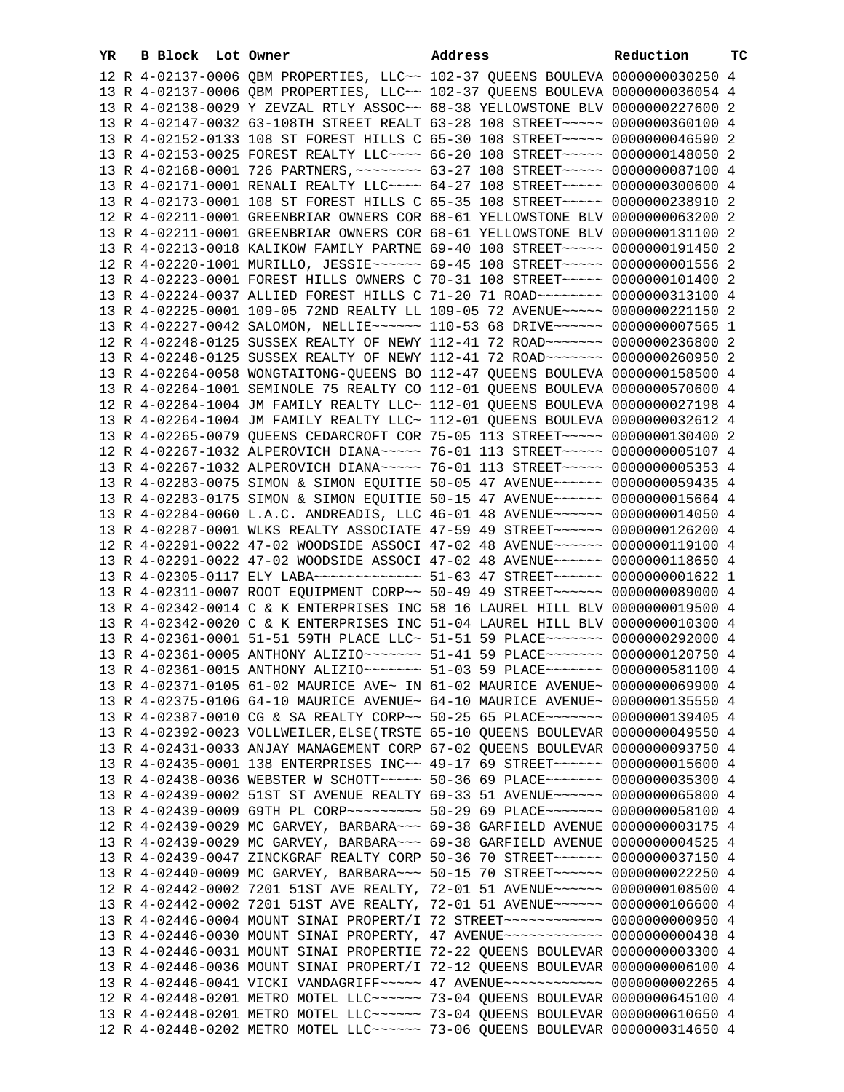| YR | B Block Lot Owner | Address                                                                                                                                                          | Reduction | ТC |
|----|-------------------|------------------------------------------------------------------------------------------------------------------------------------------------------------------|-----------|----|
|    |                   | 12 R 4-02137-0006 QBM PROPERTIES, LLC~~ 102-37 QUEENS BOULEVA 0000000030250 4                                                                                    |           |    |
|    |                   | 13 R 4-02137-0006 QBM PROPERTIES, LLC~~ 102-37 QUEENS BOULEVA 0000000036054 4                                                                                    |           |    |
|    |                   | 13 R 4-02138-0029 Y ZEVZAL RTLY ASSOC~~ 68-38 YELLOWSTONE BLV 0000000227600 2                                                                                    |           |    |
|    |                   | 13 R 4-02147-0032 63-108TH STREET REALT 63-28 108 STREET~~~~~ 0000000360100 4                                                                                    |           |    |
|    |                   | 13 R 4-02152-0133 108 ST FOREST HILLS C 65-30 108 STREET~~~~~ 0000000046590 2                                                                                    |           |    |
|    |                   | 13 R 4-02153-0025 FOREST REALTY LLC --- 66-20 108 STREET ---- 0000000148050 2                                                                                    |           |    |
|    |                   | 13 R 4-02168-0001 726 PARTNERS, ~~~~~~~~ 63-27 108 STREET~~~~~ 0000000087100 4                                                                                   |           |    |
|    |                   | 13 R 4-02171-0001 RENALI REALTY LLC --- 64-27 108 STREET ---- 0000000300600 4                                                                                    |           |    |
|    |                   | 13 R 4-02173-0001 108 ST FOREST HILLS C 65-35 108 STREET~~~~~ 0000000238910 2                                                                                    |           |    |
|    |                   | 12 R 4-02211-0001 GREENBRIAR OWNERS COR 68-61 YELLOWSTONE BLV 0000000063200 2                                                                                    |           |    |
|    |                   | 13 R 4-02211-0001 GREENBRIAR OWNERS COR 68-61 YELLOWSTONE BLV 0000000131100 2                                                                                    |           |    |
|    |                   | 13 R 4-02213-0018 KALIKOW FAMILY PARTNE 69-40 108 STREET~~~~~ 0000000191450 2                                                                                    |           |    |
|    |                   | 12 R 4-02220-1001 MURILLO, JESSIE~~~~~~ 69-45 108 STREET~~~~~ 00000000001556 2                                                                                   |           |    |
|    |                   | 13 R 4-02223-0001 FOREST HILLS OWNERS C 70-31 108 STREET~~~~~ 0000000101400 2                                                                                    |           |    |
|    |                   | 13 R 4-02224-0037 ALLIED FOREST HILLS C 71-20 71 ROAD~~~~~~~~ 0000000313100 4                                                                                    |           |    |
|    |                   | 13 R 4-02225-0001 109-05 72ND REALTY LL 109-05 72 AVENUE~~~~~ 0000000221150 2                                                                                    |           |    |
|    |                   | 13 R 4-02227-0042 SALOMON, NELLIE~~~~~~ 110-53 68 DRIVE~~~~~~ 0000000007565 1                                                                                    |           |    |
|    |                   | 12 R 4-02248-0125 SUSSEX REALTY OF NEWY 112-41 72 ROAD ~~~~~~~ 0000000236800 2                                                                                   |           |    |
|    |                   | 13 R 4-02248-0125 SUSSEX REALTY OF NEWY 112-41 72 ROAD ~~~~~~~ 0000000260950 2                                                                                   |           |    |
|    |                   | 13 R 4-02264-0058 WONGTAITONG-QUEENS BO 112-47 QUEENS BOULEVA 0000000158500 4                                                                                    |           |    |
|    |                   | 13 R 4-02264-1001 SEMINOLE 75 REALTY CO 112-01 QUEENS BOULEVA 0000000570600 4                                                                                    |           |    |
|    |                   | 12 R 4-02264-1004 JM FAMILY REALTY LLC~ 112-01 QUEENS BOULEVA 0000000027198 4                                                                                    |           |    |
|    |                   | 13 R 4-02264-1004 JM FAMILY REALTY LLC~ 112-01 QUEENS BOULEVA 0000000032612 4                                                                                    |           |    |
|    |                   | 13 R 4-02265-0079 QUEENS CEDARCROFT COR 75-05 113 STREET~~~~~ 0000000130400 2                                                                                    |           |    |
|    |                   | 12 R 4-02267-1032 ALPEROVICH DIANA~~~~~ 76-01 113 STREET~~~~~ 0000000005107 4                                                                                    |           |    |
|    |                   | 13 R 4-02267-1032 ALPEROVICH DIANA~~~~~ 76-01 113 STREET~~~~~ 0000000005353 4                                                                                    |           |    |
|    |                   | 13 R 4-02283-0075 SIMON & SIMON EQUITIE 50-05 47 AVENUE~~~~~~ 0000000059435 4                                                                                    |           |    |
|    |                   | 13 R 4-02283-0175 SIMON & SIMON EQUITIE 50-15 47 AVENUE~~~~~~ 0000000015664 4                                                                                    |           |    |
|    |                   | 13 R 4-02284-0060 L.A.C. ANDREADIS, LLC 46-01 48 AVENUE~~~~~~ 0000000014050 4                                                                                    |           |    |
|    |                   | 13 R 4-02287-0001 WLKS REALTY ASSOCIATE 47-59 49 STREET~~~~~~ 0000000126200 4                                                                                    |           |    |
|    |                   | 12 R 4-02291-0022 47-02 WOODSIDE ASSOCI 47-02 48 AVENUE~~~~~~ 0000000119100 4                                                                                    |           |    |
|    |                   | 13 R 4-02291-0022 47-02 WOODSIDE ASSOCI 47-02 48 AVENUE~~~~~~ 0000000118650 4                                                                                    |           |    |
|    |                   | 13 R 4-02305-0117 ELY LABA~~~~~~~~~~~~~~ 51-63 47 STREET~~~~~~ 0000000001622 1                                                                                   |           |    |
|    |                   | 13 R 4-02311-0007 ROOT EQUIPMENT CORP~~ 50-49 49 STREET~~~~~~ 0000000089000 4                                                                                    |           |    |
|    |                   | 13 R 4-02342-0014 C & K ENTERPRISES INC 58 16 LAUREL HILL BLV 0000000019500 4                                                                                    |           |    |
|    |                   | 13 R 4-02342-0020 C & K ENTERPRISES INC 51-04 LAUREL HILL BLV 0000000010300 4                                                                                    |           |    |
|    |                   | 13 R 4-02361-0001 51-51 59TH PLACE LLC~ 51-51 59 PLACE~~~~~~~ 0000000292000 4                                                                                    |           |    |
|    |                   | 13 R 4-02361-0005 ANTHONY ALIZIO ~~~~~~~ 51-41 59 PLACE ~~~~~~~ 0000000120750 4                                                                                  |           |    |
|    |                   | 13 R 4-02361-0015 ANTHONY ALIZIO ------ 51-03 59 PLACE ------ 0000000581100 4                                                                                    |           |    |
|    |                   | 13 R 4-02371-0105 61-02 MAURICE AVE~ IN 61-02 MAURICE AVENUE~ 0000000069900 4                                                                                    |           |    |
|    |                   | 13 R 4-02375-0106 64-10 MAURICE AVENUE~ 64-10 MAURICE AVENUE~ 0000000135550 4                                                                                    |           |    |
|    |                   | 13 R 4-02387-0010 CG & SA REALTY CORP~~ 50-25 65 PLACE~~~~~~~ 0000000139405 4                                                                                    |           |    |
|    |                   | 13 R 4-02392-0023 VOLLWEILER, ELSE(TRSTE 65-10 QUEENS BOULEVAR 0000000049550 4                                                                                   |           |    |
|    |                   | 13 R 4-02431-0033 ANJAY MANAGEMENT CORP 67-02 QUEENS BOULEVAR 0000000093750 4                                                                                    |           |    |
|    |                   | 13 R 4-02435-0001 138 ENTERPRISES INC~~ 49-17 69 STREET~~~~~~ 0000000015600 4                                                                                    |           |    |
|    |                   | 13 R 4-02438-0036 WEBSTER W SCHOTT~~~~~ 50-36 69 PLACE~~~~~~~ 0000000035300 4                                                                                    |           |    |
|    |                   | 13 R 4-02439-0002 51ST ST AVENUE REALTY 69-33 51 AVENUE~~~~~~ 0000000065800 4                                                                                    |           |    |
|    |                   | 13 R 4-02439-0009 69TH PL CORP~~~~~~~~~ 50-29 69 PLACE~~~~~~~ 0000000058100 4                                                                                    |           |    |
|    |                   | 12 R 4-02439-0029 MC GARVEY, BARBARA~~~ 69-38 GARFIELD AVENUE 0000000003175 4                                                                                    |           |    |
|    |                   | 13 R 4-02439-0029 MC GARVEY, BARBARA~~~ 69-38 GARFIELD AVENUE 0000000004525 4                                                                                    |           |    |
|    |                   | 13 R 4-02439-0047 ZINCKGRAF REALTY CORP 50-36 70 STREET~~~~~~ 0000000037150 4                                                                                    |           |    |
|    |                   | 13 R 4-02440-0009 MC GARVEY, BARBARA~~~ 50-15 70 STREET~~~~~~ 0000000022250 4                                                                                    |           |    |
|    |                   | 12 R 4-02442-0002 7201 51ST AVE REALTY, 72-01 51 AVENUE~~~~~~ 0000000108500 4                                                                                    |           |    |
|    |                   | 13 R 4-02442-0002 7201 51ST AVE REALTY, 72-01 51 AVENUE~~~~~~ 0000000106600 4                                                                                    |           |    |
|    |                   | 13 R 4-02446-0004 MOUNT SINAI PROPERT/I 72 STREET~~~~~~~~~~~~ 0000000000950 4                                                                                    |           |    |
|    |                   | 13 R 4-02446-0030 MOUNT SINAI PROPERTY, 47 AVENUE~~~~~~~~~~~~ 0000000000438 4                                                                                    |           |    |
|    |                   | 13 R 4-02446-0031 MOUNT SINAI PROPERTIE 72-22 QUEENS BOULEVAR 0000000003300 4                                                                                    |           |    |
|    |                   | 13 R 4-02446-0036 MOUNT SINAI PROPERT/I 72-12 QUEENS BOULEVAR 0000000006100 4                                                                                    |           |    |
|    |                   | 13 R 4-02446-0041 VICKI VANDAGRIFF~~~~~ 47 AVENUE~~~~~~~~~~~~ 0000000002265 4                                                                                    |           |    |
|    |                   | 12 R 4-02448-0201 METRO MOTEL LLC ~~~~~~ 73-04 QUEENS BOULEVAR 0000000645100 4<br>13 R 4-02448-0201 METRO MOTEL LLC ~~~~~~ 73-04 QUEENS BOULEVAR 0000000610650 4 |           |    |
|    |                   | 12 R 4-02448-0202 METRO MOTEL LLC ~~~~~~ 73-06 QUEENS BOULEVAR 0000000314650 4                                                                                   |           |    |
|    |                   |                                                                                                                                                                  |           |    |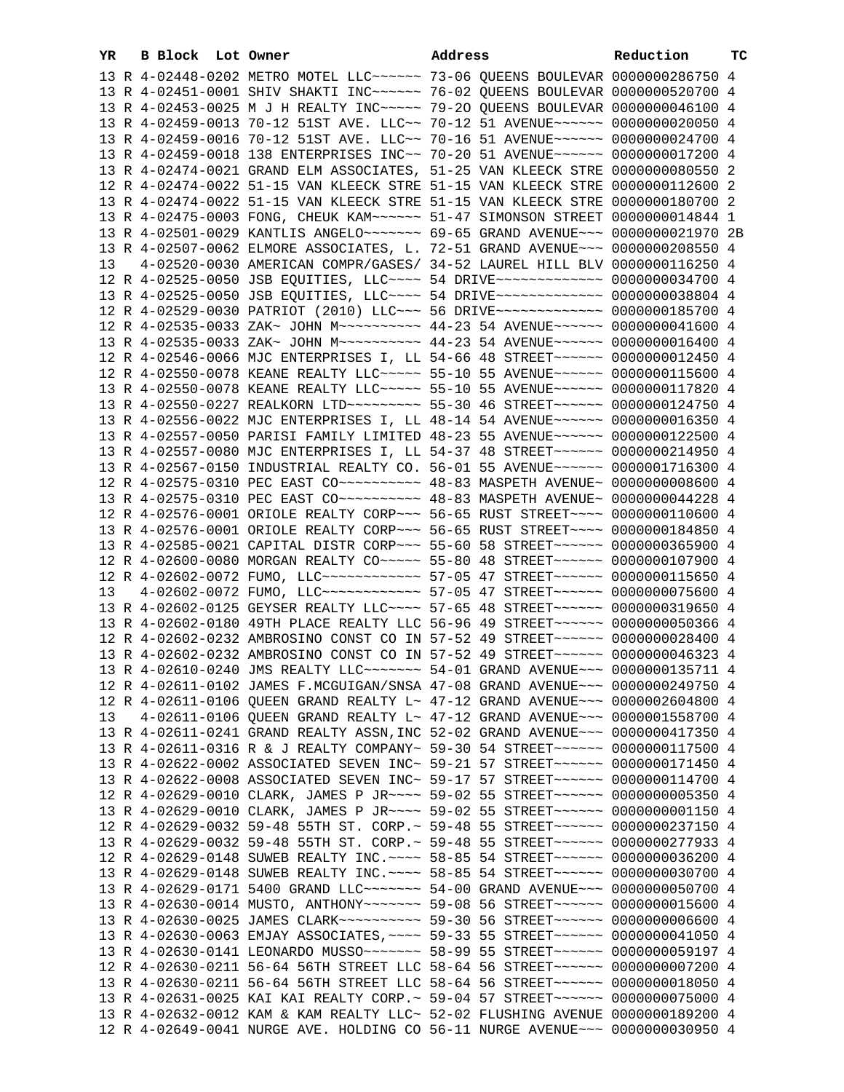| YR | <b>B</b> Block | Lot Owner                                                                          | Address | Reduction | ТC |
|----|----------------|------------------------------------------------------------------------------------|---------|-----------|----|
|    |                | 13 R 4-02448-0202 METRO MOTEL LLC ~~~~~~ 73-06 QUEENS BOULEVAR 0000000286750 4     |         |           |    |
|    |                | 13 R 4-02451-0001 SHIV SHAKTI INC~~~~~~ 76-02 OUEENS BOULEVAR 0000000520700 4      |         |           |    |
|    |                | 13 R 4-02453-0025 M J H REALTY INC ~~~~~ 79-20 QUEENS BOULEVAR 0000000046100 4     |         |           |    |
|    |                | 13 R 4-02459-0013 70-12 51ST AVE. LLC~~ 70-12 51 AVENUE~~~~~~ 0000000020050 4      |         |           |    |
|    |                | 13 R 4-02459-0016 70-12 51ST AVE. LLC~~ 70-16 51 AVENUE~~~~~~ 0000000024700 4      |         |           |    |
|    |                | 13 R 4-02459-0018 138 ENTERPRISES INC~~ 70-20 51 AVENUE~~~~~~ 0000000017200 4      |         |           |    |
|    |                | 13 R 4-02474-0021 GRAND ELM ASSOCIATES, 51-25 VAN KLEECK STRE 00000000080550 2     |         |           |    |
|    |                | 12 R 4-02474-0022 51-15 VAN KLEECK STRE 51-15 VAN KLEECK STRE 0000000112600 2      |         |           |    |
|    |                | 13 R 4-02474-0022 51-15 VAN KLEECK STRE 51-15 VAN KLEECK STRE 0000000180700 2      |         |           |    |
|    |                | 13 R 4-02475-0003 FONG, CHEUK KAM ~~~~~~ 51-47 SIMONSON STREET 0000000014844 1     |         |           |    |
|    |                | 13 R 4-02501-0029 KANTLIS ANGELO ------ 69-65 GRAND AVENUE -- 0000000021970 2B     |         |           |    |
|    |                | 13 R 4-02507-0062 ELMORE ASSOCIATES, L. 72-51 GRAND AVENUE~~~ 0000000208550 4      |         |           |    |
| 13 |                | 4-02520-0030 AMERICAN COMPR/GASES/ 34-52 LAUREL HILL BLV 0000000116250 4           |         |           |    |
|    |                | 12 R 4-02525-0050 JSB EQUITIES, LLC --- 54 DRIVE ------------- 0000000034700 4     |         |           |    |
|    |                | 13 R 4-02525-0050 JSB EQUITIES, LLC --- 54 DRIVE ------------- 0000000038804 4     |         |           |    |
|    |                | 12 R 4-02529-0030 PATRIOT (2010) LLC~~~ 56 DRIVE~~~~~~~~~~~~~ 0000000185700 4      |         |           |    |
|    |                | 12 R 4-02535-0033 ZAK~ JOHN M~~~~~~~~~~ 44-23 54 AVENUE~~~~~~ 0000000041600 4      |         |           |    |
|    |                | 13 R 4-02535-0033 ZAK~ JOHN M~~~~~~~~~~ 44-23 54 AVENUE~~~~~~ 0000000016400 4      |         |           |    |
|    |                | 12 R 4-02546-0066 MJC ENTERPRISES I, LL 54-66 48 STREET~~~~~~ 0000000012450 4      |         |           |    |
|    |                | 12 R 4-02550-0078 KEANE REALTY LLC ---- 55-10 55 AVENUE ----- 0000000115600 4      |         |           |    |
|    |                | 13 R 4-02550-0078 KEANE REALTY LLC~~~~~ 55-10 55 AVENUE~~~~~~ 0000000117820 4      |         |           |    |
|    |                | 13 R 4-02550-0227 REALKORN LTD --------- 55-30 46 STREET ----- 0000000124750 4     |         |           |    |
|    |                | 13 R 4-02556-0022 MJC ENTERPRISES I, LL 48-14 54 AVENUE~~~~~~ 0000000016350 4      |         |           |    |
|    |                | 13 R 4-02557-0050 PARISI FAMILY LIMITED 48-23 55 AVENUE~~~~~~ 0000000122500 4      |         |           |    |
|    |                | 13 R 4-02557-0080 MJC ENTERPRISES I, LL 54-37 48 STREET~~~~~~ 0000000214950 4      |         |           |    |
|    |                | 13 R 4-02567-0150 INDUSTRIAL REALTY CO. 56-01 55 AVENUE~~~~~~ 0000001716300 4      |         |           |    |
|    |                |                                                                                    |         |           |    |
|    |                | 13 R 4-02575-0310 PEC EAST CO~~~~~~~~~~~~~~~ 48-83 MASPETH AVENUE~ 0000000044228 4 |         |           |    |
|    |                | 12 R 4-02576-0001 ORIOLE REALTY CORP~~~ 56-65 RUST STREET~~~~ 0000000110600 4      |         |           |    |
|    |                | 13 R 4-02576-0001 ORIOLE REALTY CORP~~~ 56-65 RUST STREET~~~~ 0000000184850 4      |         |           |    |
|    |                | 13 R 4-02585-0021 CAPITAL DISTR CORP~~~ 55-60 58 STREET~~~~~~ 0000000365900 4      |         |           |    |
|    |                | 12 R 4-02600-0080 MORGAN REALTY CO~~~~~ 55-80 48 STREET~~~~~~ 0000000107900 4      |         |           |    |
|    |                | 12 R 4-02602-0072 FUMO, LLC ------------ 57-05 47 STREET ------ 0000000115650 4    |         |           |    |
| 13 |                | 4-02602-0072 FUMO, LLC~~~~~~~~~~~~ 57-05 47 STREET~~~~~~ 0000000075600 4           |         |           |    |
|    |                | 13 R 4-02602-0125 GEYSER REALTY LLC~~~~ 57-65 48 STREET~~~~~~ 0000000319650 4      |         |           |    |
|    |                | 13 R 4-02602-0180 49TH PLACE REALTY LLC 56-96 49 STREET~~~~~~ 0000000050366 4      |         |           |    |
|    |                | 12 R 4-02602-0232 AMBROSINO CONST CO IN 57-52 49 STREET~~~~~~ 0000000028400 4      |         |           |    |
|    |                | 13 R 4-02602-0232 AMBROSINO CONST CO IN 57-52 49 STREET~~~~~~ 0000000046323 4      |         |           |    |
|    |                | 13 R 4-02610-0240 JMS REALTY LLC ------ 54-01 GRAND AVENUE -- 0000000135711 4      |         |           |    |
|    |                | 12 R 4-02611-0102 JAMES F.MCGUIGAN/SNSA 47-08 GRAND AVENUE~~~ 0000000249750 4      |         |           |    |
|    |                |                                                                                    |         |           |    |

| 13 |  |  |                                                                                                                                                                                                                                                                                                                                                                                                                                                                                                                                                                                                                                                                                                                                                                                                                                                                                                                                                                                                                                                                                                                                                                                                                                                                                                                                                                                                                                                                                                                                                                                                                                                                                                                                                                                                                                                                                                                                       |
|----|--|--|---------------------------------------------------------------------------------------------------------------------------------------------------------------------------------------------------------------------------------------------------------------------------------------------------------------------------------------------------------------------------------------------------------------------------------------------------------------------------------------------------------------------------------------------------------------------------------------------------------------------------------------------------------------------------------------------------------------------------------------------------------------------------------------------------------------------------------------------------------------------------------------------------------------------------------------------------------------------------------------------------------------------------------------------------------------------------------------------------------------------------------------------------------------------------------------------------------------------------------------------------------------------------------------------------------------------------------------------------------------------------------------------------------------------------------------------------------------------------------------------------------------------------------------------------------------------------------------------------------------------------------------------------------------------------------------------------------------------------------------------------------------------------------------------------------------------------------------------------------------------------------------------------------------------------------------|
|    |  |  |                                                                                                                                                                                                                                                                                                                                                                                                                                                                                                                                                                                                                                                                                                                                                                                                                                                                                                                                                                                                                                                                                                                                                                                                                                                                                                                                                                                                                                                                                                                                                                                                                                                                                                                                                                                                                                                                                                                                       |
|    |  |  |                                                                                                                                                                                                                                                                                                                                                                                                                                                                                                                                                                                                                                                                                                                                                                                                                                                                                                                                                                                                                                                                                                                                                                                                                                                                                                                                                                                                                                                                                                                                                                                                                                                                                                                                                                                                                                                                                                                                       |
|    |  |  |                                                                                                                                                                                                                                                                                                                                                                                                                                                                                                                                                                                                                                                                                                                                                                                                                                                                                                                                                                                                                                                                                                                                                                                                                                                                                                                                                                                                                                                                                                                                                                                                                                                                                                                                                                                                                                                                                                                                       |
|    |  |  |                                                                                                                                                                                                                                                                                                                                                                                                                                                                                                                                                                                                                                                                                                                                                                                                                                                                                                                                                                                                                                                                                                                                                                                                                                                                                                                                                                                                                                                                                                                                                                                                                                                                                                                                                                                                                                                                                                                                       |
|    |  |  |                                                                                                                                                                                                                                                                                                                                                                                                                                                                                                                                                                                                                                                                                                                                                                                                                                                                                                                                                                                                                                                                                                                                                                                                                                                                                                                                                                                                                                                                                                                                                                                                                                                                                                                                                                                                                                                                                                                                       |
|    |  |  |                                                                                                                                                                                                                                                                                                                                                                                                                                                                                                                                                                                                                                                                                                                                                                                                                                                                                                                                                                                                                                                                                                                                                                                                                                                                                                                                                                                                                                                                                                                                                                                                                                                                                                                                                                                                                                                                                                                                       |
|    |  |  |                                                                                                                                                                                                                                                                                                                                                                                                                                                                                                                                                                                                                                                                                                                                                                                                                                                                                                                                                                                                                                                                                                                                                                                                                                                                                                                                                                                                                                                                                                                                                                                                                                                                                                                                                                                                                                                                                                                                       |
|    |  |  |                                                                                                                                                                                                                                                                                                                                                                                                                                                                                                                                                                                                                                                                                                                                                                                                                                                                                                                                                                                                                                                                                                                                                                                                                                                                                                                                                                                                                                                                                                                                                                                                                                                                                                                                                                                                                                                                                                                                       |
|    |  |  |                                                                                                                                                                                                                                                                                                                                                                                                                                                                                                                                                                                                                                                                                                                                                                                                                                                                                                                                                                                                                                                                                                                                                                                                                                                                                                                                                                                                                                                                                                                                                                                                                                                                                                                                                                                                                                                                                                                                       |
|    |  |  |                                                                                                                                                                                                                                                                                                                                                                                                                                                                                                                                                                                                                                                                                                                                                                                                                                                                                                                                                                                                                                                                                                                                                                                                                                                                                                                                                                                                                                                                                                                                                                                                                                                                                                                                                                                                                                                                                                                                       |
|    |  |  |                                                                                                                                                                                                                                                                                                                                                                                                                                                                                                                                                                                                                                                                                                                                                                                                                                                                                                                                                                                                                                                                                                                                                                                                                                                                                                                                                                                                                                                                                                                                                                                                                                                                                                                                                                                                                                                                                                                                       |
|    |  |  |                                                                                                                                                                                                                                                                                                                                                                                                                                                                                                                                                                                                                                                                                                                                                                                                                                                                                                                                                                                                                                                                                                                                                                                                                                                                                                                                                                                                                                                                                                                                                                                                                                                                                                                                                                                                                                                                                                                                       |
|    |  |  |                                                                                                                                                                                                                                                                                                                                                                                                                                                                                                                                                                                                                                                                                                                                                                                                                                                                                                                                                                                                                                                                                                                                                                                                                                                                                                                                                                                                                                                                                                                                                                                                                                                                                                                                                                                                                                                                                                                                       |
|    |  |  |                                                                                                                                                                                                                                                                                                                                                                                                                                                                                                                                                                                                                                                                                                                                                                                                                                                                                                                                                                                                                                                                                                                                                                                                                                                                                                                                                                                                                                                                                                                                                                                                                                                                                                                                                                                                                                                                                                                                       |
|    |  |  |                                                                                                                                                                                                                                                                                                                                                                                                                                                                                                                                                                                                                                                                                                                                                                                                                                                                                                                                                                                                                                                                                                                                                                                                                                                                                                                                                                                                                                                                                                                                                                                                                                                                                                                                                                                                                                                                                                                                       |
|    |  |  |                                                                                                                                                                                                                                                                                                                                                                                                                                                                                                                                                                                                                                                                                                                                                                                                                                                                                                                                                                                                                                                                                                                                                                                                                                                                                                                                                                                                                                                                                                                                                                                                                                                                                                                                                                                                                                                                                                                                       |
|    |  |  |                                                                                                                                                                                                                                                                                                                                                                                                                                                                                                                                                                                                                                                                                                                                                                                                                                                                                                                                                                                                                                                                                                                                                                                                                                                                                                                                                                                                                                                                                                                                                                                                                                                                                                                                                                                                                                                                                                                                       |
|    |  |  |                                                                                                                                                                                                                                                                                                                                                                                                                                                                                                                                                                                                                                                                                                                                                                                                                                                                                                                                                                                                                                                                                                                                                                                                                                                                                                                                                                                                                                                                                                                                                                                                                                                                                                                                                                                                                                                                                                                                       |
|    |  |  |                                                                                                                                                                                                                                                                                                                                                                                                                                                                                                                                                                                                                                                                                                                                                                                                                                                                                                                                                                                                                                                                                                                                                                                                                                                                                                                                                                                                                                                                                                                                                                                                                                                                                                                                                                                                                                                                                                                                       |
|    |  |  |                                                                                                                                                                                                                                                                                                                                                                                                                                                                                                                                                                                                                                                                                                                                                                                                                                                                                                                                                                                                                                                                                                                                                                                                                                                                                                                                                                                                                                                                                                                                                                                                                                                                                                                                                                                                                                                                                                                                       |
|    |  |  | 12 R 4-02611-0102 JAMES F.MCGUIGAN/SNSA 47-08 GRAND AVENUE~~~ 0000000249750 4<br>12 R 4-02611-0106 OUEEN GRAND REALTY L~ 47-12 GRAND AVENUE~~~ 0000002604800 4<br>4-02611-0106 OUEEN GRAND REALTY L~ 47-12 GRAND AVENUE~~~ 0000001558700 4<br>13 R 4-02611-0241 GRAND REALTY ASSN, INC 52-02 GRAND AVENUE~~~ 0000000417350 4<br>13 R 4-02611-0316 R & J REALTY COMPANY~ 59-30 54 STREET~~~~~~ 0000000117500 4<br>13 R 4-02622-0002 ASSOCIATED SEVEN INC~ 59-21 57 STREET~~~~~~ 0000000171450 4<br>13 R 4-02622-0008 ASSOCIATED SEVEN INC~ 59-17 57 STREET~~~~~~ 0000000114700 4<br>12 R 4-02629-0010 CLARK, JAMES P JR~~~~ 59-02 55 STREET~~~~~~ 0000000005350 4<br>13 R 4-02629-0010 CLARK, JAMES P JR ~~~~ 59-02 55 STREET ~~~~~~ 00000000001150 4<br>12 R 4-02629-0032 59-48 55TH ST. CORP.~ 59-48 55 STREET~~~~~~ 0000000237150 4<br>13 R 4-02629-0032 59-48 55TH ST. CORP.~ 59-48 55 STREET~~~~~~ 0000000277933 4<br>12 R 4-02629-0148 SUWEB REALTY INC. --- 58-85 54 STREET ----- 0000000036200 4<br>13 R 4-02629-0148 SUWEB REALTY INC. --- 58-85 54 STREET ----- 0000000030700 4<br>13 R 4-02629-0171 5400 GRAND LLC ------- 54-00 GRAND AVENUE -- 0000000050700 4<br>13 R 4-02630-0014 MUSTO, ANTHONY~~~~~~~ 59-08 56 STREET~~~~~~ 00000000015600 4<br>13 R 4-02630-0025 JAMES CLARK~~~~~~~~~~ 59-30 56 STREET~~~~~~ 0000000006600 4<br>13 R 4-02630-0063 EMJAY ASSOCIATES. ~~~~ 59-33 55 STREET~~~~~~ 0000000041050 4<br>13 R 4-02630-0141 LEONARDO MUSSO~~~~~~~ 58-99 55 STREET~~~~~~ 0000000059197 4<br>12 R 4-02630-0211 56-64 56TH STREET LLC 58-64 56 STREET~~~~~~ 0000000007200 4<br>13 R 4-02630-0211 56-64 56TH STREET LLC 58-64 56 STREET~~~~~~ 0000000018050 4<br>13 R 4-02631-0025 KAI KAI REALTY CORP.~ 59-04 57 STREET~~~~~~ 0000000075000 4<br>13 R 4-02632-0012 KAM & KAM REALTY LLC~ 52-02 FLUSHING AVENUE 0000000189200 4<br>12 R 4-02649-0041 NURGE AVE. HOLDING CO 56-11 NURGE AVENUE~~~ 0000000030950 4 |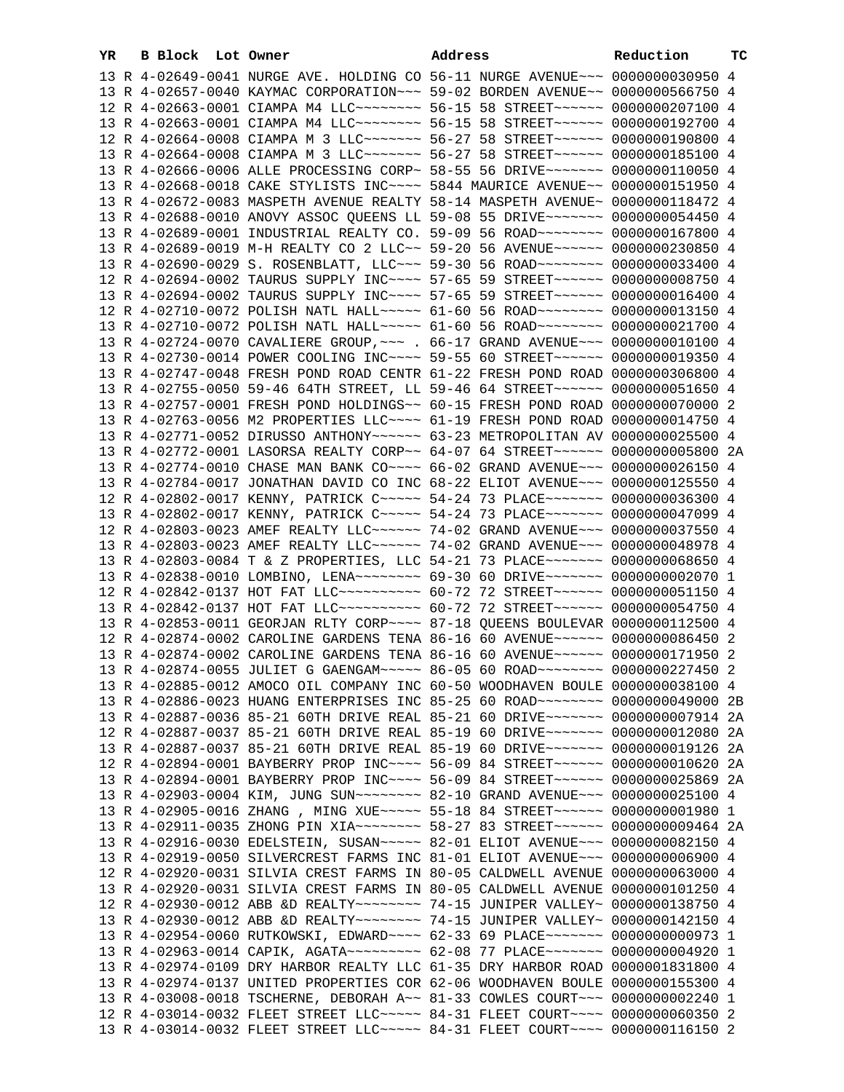| YR. | B Block Lot Owner |                                                                                 | Address | Reduction | ТC   |
|-----|-------------------|---------------------------------------------------------------------------------|---------|-----------|------|
|     |                   | 13 R 4-02649-0041 NURGE AVE. HOLDING CO 56-11 NURGE AVENUE~~~ 0000000030950 4   |         |           |      |
|     |                   | 13 R 4-02657-0040 KAYMAC CORPORATION~~~ 59-02 BORDEN AVENUE~~ 0000000566750 4   |         |           |      |
|     |                   | 12 R 4-02663-0001 CIAMPA M4 LLC ------- 56-15 58 STREET ----- 0000000207100 4   |         |           |      |
|     |                   | 13 R 4-02663-0001 CIAMPA M4 LLC ------- 56-15 58 STREET ----- 0000000192700 4   |         |           |      |
|     |                   | 12 R 4-02664-0008 CIAMPA M 3 LLC ------- 56-27 58 STREET ----- 0000000190800 4  |         |           |      |
|     |                   | 13 R 4-02664-0008 CIAMPA M 3 LLC ------- 56-27 58 STREET ----- 0000000185100 4  |         |           |      |
|     |                   | 13 R 4-02666-0006 ALLE PROCESSING CORP~ 58-55 56 DRIVE~~~~~~~ 0000000110050 4   |         |           |      |
|     |                   | 13 R 4-02668-0018 CAKE STYLISTS INC~~~~ 5844 MAURICE AVENUE~~ 0000000151950 4   |         |           |      |
|     |                   | 13 R 4-02672-0083 MASPETH AVENUE REALTY 58-14 MASPETH AVENUE~ 0000000118472 4   |         |           |      |
|     |                   | 13 R 4-02688-0010 ANOVY ASSOC QUEENS LL 59-08 55 DRIVE~~~~~~~ 0000000054450 4   |         |           |      |
|     |                   | 13 R 4-02689-0001 INDUSTRIAL REALTY CO. 59-09 56 ROAD~~~~~~~~ 0000000167800 4   |         |           |      |
|     |                   | 13 R 4-02689-0019 M-H REALTY CO 2 LLC~~ 59-20 56 AVENUE~~~~~~ 0000000230850 4   |         |           |      |
|     |                   | 13 R 4-02690-0029 S. ROSENBLATT, LLC~~~ 59-30 56 ROAD~~~~~~~~ 0000000033400 4   |         |           |      |
|     |                   | 12 R 4-02694-0002 TAURUS SUPPLY INC~~~~ 57-65 59 STREET~~~~~~ 0000000008750 4   |         |           |      |
|     |                   | 13 R 4-02694-0002 TAURUS SUPPLY INC~~~~ 57-65 59 STREET~~~~~~ 0000000016400 4   |         |           |      |
|     |                   | 12 R 4-02710-0072 POLISH NATL HALL~~~~~ 61-60 56 ROAD~~~~~~~~ 0000000013150 4   |         |           |      |
|     |                   | 13 R 4-02710-0072 POLISH NATL HALL~~~~~ 61-60 56 ROAD~~~~~~~~ 0000000021700 4   |         |           |      |
|     |                   | 13 R 4-02724-0070 CAVALIERE GROUP, ~~~ . 66-17 GRAND AVENUE~~~ 0000000010100 4  |         |           |      |
|     |                   | 13 R 4-02730-0014 POWER COOLING INC~~~~ 59-55 60 STREET~~~~~~ 0000000019350 4   |         |           |      |
|     |                   | 13 R 4-02747-0048 FRESH POND ROAD CENTR 61-22 FRESH POND ROAD 0000000306800 4   |         |           |      |
|     |                   | 13 R 4-02755-0050 59-46 64TH STREET, LL 59-46 64 STREET~~~~~~ 0000000051650 4   |         |           |      |
|     |                   | 13 R 4-02757-0001 FRESH POND HOLDINGS~~ 60-15 FRESH POND ROAD 0000000070000 2   |         |           |      |
|     |                   | 13 R 4-02763-0056 M2 PROPERTIES LLC~~~~ 61-19 FRESH POND ROAD 0000000014750 4   |         |           |      |
|     |                   | 13 R 4-02771-0052 DIRUSSO ANTHONY~~~~~~ 63-23 METROPOLITAN AV 0000000025500 4   |         |           |      |
|     |                   | 13 R 4-02772-0001 LASORSA REALTY CORP~~ 64-07 64 STREET~~~~~~~ 0000000005800 2A |         |           |      |
|     |                   | 13 R 4-02774-0010 CHASE MAN BANK CO~~~~ 66-02 GRAND AVENUE~~~ 0000000026150 4   |         |           |      |
|     |                   | 13 R 4-02784-0017 JONATHAN DAVID CO INC 68-22 ELIOT AVENUE~~~ 0000000125550 4   |         |           |      |
|     |                   | 12 R 4-02802-0017 KENNY, PATRICK C~~~~~ 54-24 73 PLACE~~~~~~~ 0000000036300 4   |         |           |      |
|     |                   | 13 R 4-02802-0017 KENNY, PATRICK C ---- 54-24 73 PLACE ----- 0000000047099 4    |         |           |      |
|     |                   | 12 R 4-02803-0023 AMEF REALTY LLC ----- 74-02 GRAND AVENUE -- 0000000037550 4   |         |           |      |
|     |                   | 13 R 4-02803-0023 AMEF REALTY LLC ----- 74-02 GRAND AVENUE -- 0000000048978 4   |         |           |      |
|     |                   | 13 R 4-02803-0084 T & Z PROPERTIES, LLC 54-21 73 PLACE~~~~~~~ 0000000068650 4   |         |           |      |
|     |                   | 13 R 4-02838-0010 LOMBINO, LENA~~~~~~~~ 69-30 60 DRIVE~~~~~~~ 0000000002070 1   |         |           |      |
|     |                   | 12 R 4-02842-0137 HOT FAT LLC ---------- 60-72 72 STREET ------ 0000000051150 4 |         |           |      |
|     |                   | 13 R 4-02842-0137 HOT FAT LLC ---------- 60-72 72 STREET ------ 0000000054750 4 |         |           |      |
|     |                   | 13 R 4-02853-0011 GEORJAN RLTY CORP~~~~ 87-18 QUEENS BOULEVAR 0000000112500 4   |         |           |      |
|     |                   | 12 R 4-02874-0002 CAROLINE GARDENS TENA 86-16 60 AVENUE~~~~~~ 0000000086450 2   |         |           |      |
|     |                   | 13 R 4-02874-0002 CAROLINE GARDENS TENA 86-16 60 AVENUE~~~~~~ 0000000171950 2   |         |           |      |
|     |                   | 13 R 4-02874-0055 JULIET G GAENGAM~~~~~ 86-05 60 ROAD~~~~~~~~ 0000000227450 2   |         |           |      |
|     |                   | 13 R 4-02885-0012 AMOCO OIL COMPANY INC 60-50 WOODHAVEN BOULE 0000000038100 4   |         |           |      |
|     |                   | 13 R 4-02886-0023 HUANG ENTERPRISES INC 85-25 60 ROAD~~~~~~~~ 0000000049000 2B  |         |           |      |
|     |                   | 13 R 4-02887-0036 85-21 60TH DRIVE REAL 85-21 60 DRIVE~~~~~~~ 0000000007914 2A  |         |           |      |
|     |                   | 12 R 4-02887-0037 85-21 60TH DRIVE REAL 85-19 60 DRIVE~~~~~~~ 0000000012080     |         |           | -2A  |
|     |                   | 13 R 4-02887-0037 85-21 60TH DRIVE REAL 85-19 60 DRIVE~~~~~~~ 0000000019126     |         |           | - 2A |
|     |                   | 12 R 4-02894-0001 BAYBERRY PROP INC~~~~ 56-09 84 STREET~~~~~~ 0000000010620 2A  |         |           |      |
|     |                   | 13 R 4-02894-0001 BAYBERRY PROP INC~~~~ 56-09 84 STREET~~~~~~ 0000000025869 2A  |         |           |      |
|     |                   | 13 R 4-02903-0004 KIM, JUNG SUN~~~~~~~~ 82-10 GRAND AVENUE~~~ 0000000025100 4   |         |           |      |
|     |                   | 13 R 4-02905-0016 ZHANG , MING XUE~~~~~ 55-18 84 STREET~~~~~~ 00000000001980 1  |         |           |      |
|     |                   | 13 R 4-02911-0035 ZHONG PIN XIA~~~~~~~~~ 58-27 83 STREET~~~~~~ 0000000009464 2A |         |           |      |
|     |                   | 13 R 4-02916-0030 EDELSTEIN, SUSAN~~~~~ 82-01 ELIOT AVENUE~~~ 0000000082150 4   |         |           |      |
|     |                   | 13 R 4-02919-0050 SILVERCREST FARMS INC 81-01 ELIOT AVENUE~~~ 0000000006900 4   |         |           |      |
|     |                   | 12 R 4-02920-0031 SILVIA CREST FARMS IN 80-05 CALDWELL AVENUE 0000000063000 4   |         |           |      |
|     |                   | 13 R 4-02920-0031 SILVIA CREST FARMS IN 80-05 CALDWELL AVENUE 0000000101250 4   |         |           |      |
|     |                   | 12 R 4-02930-0012 ABB &D REALTY~~~~~~~~~ 74-15 JUNIPER VALLEY~ 0000000138750 4  |         |           |      |
|     |                   | 13 R 4-02930-0012 ABB &D REALTY~~~~~~~~ 74-15 JUNIPER VALLEY~ 0000000142150 4   |         |           |      |
|     |                   | 13 R 4-02954-0060 RUTKOWSKI, EDWARD~~~~ 62-33 69 PLACE~~~~~~~ 0000000000973 1   |         |           |      |
|     |                   | 13 R 4-02963-0014 CAPIK, AGATA~~~~~~~~~ 62-08 77 PLACE~~~~~~~ 0000000004920 1   |         |           |      |
|     |                   | 13 R 4-02974-0109 DRY HARBOR REALTY LLC 61-35 DRY HARBOR ROAD 0000001831800 4   |         |           |      |
|     |                   | 13 R 4-02974-0137 UNITED PROPERTIES COR 62-06 WOODHAVEN BOULE 0000000155300 4   |         |           |      |
|     |                   | 13 R 4-03008-0018 TSCHERNE, DEBORAH A~~ 81-33 COWLES COURT~~~ 0000000002240 1   |         |           |      |
|     |                   | 12 R 4-03014-0032 FLEET STREET LLC ---- 84-31 FLEET COURT --- 0000000060350 2   |         |           |      |
|     |                   | 13 R 4-03014-0032 FLEET STREET LLC ---- 84-31 FLEET COURT --- 0000000116150 2   |         |           |      |
|     |                   |                                                                                 |         |           |      |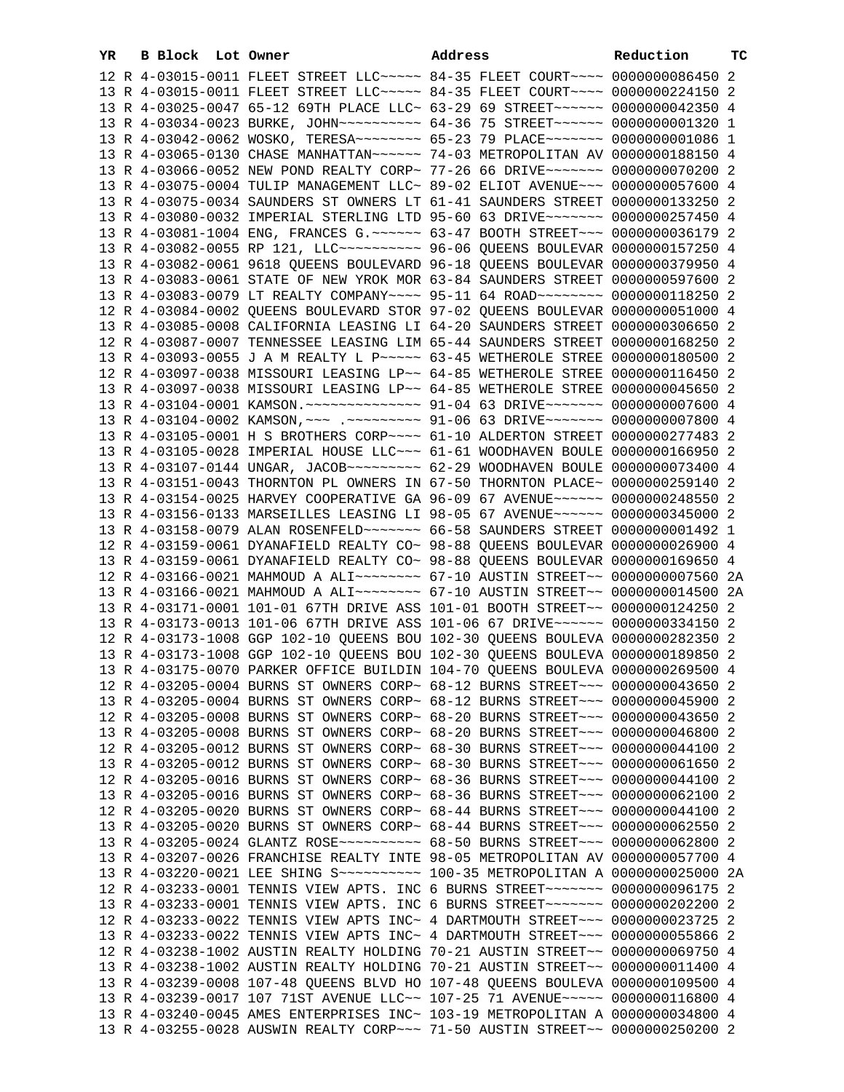| YR. | B Block Lot Owner |  | Address                                                                                                                                                         | Reduction | тC |
|-----|-------------------|--|-----------------------------------------------------------------------------------------------------------------------------------------------------------------|-----------|----|
|     |                   |  | 12 R 4-03015-0011 FLEET STREET LLC ---- 84-35 FLEET COURT --- 0000000086450 2                                                                                   |           |    |
|     |                   |  | 13 R 4-03015-0011 FLEET STREET LLC ---- 84-35 FLEET COURT --- 0000000224150 2                                                                                   |           |    |
|     |                   |  | 13 R 4-03025-0047 65-12 69TH PLACE LLC~ 63-29 69 STREET~~~~~~ 0000000042350 4                                                                                   |           |    |
|     |                   |  | 13 R 4-03034-0023 BURKE, JOHN~~~~~~~~~~ 64-36 75 STREET~~~~~~ 0000000001320 1                                                                                   |           |    |
|     |                   |  | 13 R 4-03042-0062 WOSKO, TERESA~~~~~~~~ 65-23 79 PLACE~~~~~~~ 0000000001086 1                                                                                   |           |    |
|     |                   |  | 13 R 4-03065-0130 CHASE MANHATTAN~~~~~~ 74-03 METROPOLITAN AV 0000000188150 4                                                                                   |           |    |
|     |                   |  | 13 R 4-03066-0052 NEW POND REALTY CORP~ 77-26 66 DRIVE~~~~~~~ 0000000070200 2                                                                                   |           |    |
|     |                   |  | 13 R 4-03075-0004 TULIP MANAGEMENT LLC~ 89-02 ELIOT AVENUE~~~ 0000000057600 4                                                                                   |           |    |
|     |                   |  | 13 R 4-03075-0034 SAUNDERS ST OWNERS LT 61-41 SAUNDERS STREET 0000000133250 2                                                                                   |           |    |
|     |                   |  | 13 R 4-03080-0032 IMPERIAL STERLING LTD 95-60 63 DRIVE~~~~~~~ 0000000257450 4                                                                                   |           |    |
|     |                   |  | 13 R 4-03081-1004 ENG, FRANCES G. ~~~~~~ 63-47 BOOTH STREET~~~ 0000000036179 2                                                                                  |           |    |
|     |                   |  | 13 R 4-03082-0055 RP 121, LLC ---------- 96-06 QUEENS BOULEVAR 0000000157250 4                                                                                  |           |    |
|     |                   |  | 13 R 4-03082-0061 9618 QUEENS BOULEVARD 96-18 QUEENS BOULEVAR 0000000379950 4                                                                                   |           |    |
|     |                   |  | 13 R 4-03083-0061 STATE OF NEW YROK MOR 63-84 SAUNDERS STREET 0000000597600 2                                                                                   |           |    |
|     |                   |  | 13 R 4-03083-0079 LT REALTY COMPANY~~~~ 95-11 64 ROAD~~~~~~~~ 0000000118250 2                                                                                   |           |    |
|     |                   |  | 12 R 4-03084-0002 QUEENS BOULEVARD STOR 97-02 QUEENS BOULEVAR 0000000051000 4                                                                                   |           |    |
|     |                   |  | 13 R 4-03085-0008 CALIFORNIA LEASING LI 64-20 SAUNDERS STREET 0000000306650 2                                                                                   |           |    |
|     |                   |  | 12 R 4-03087-0007 TENNESSEE LEASING LIM 65-44 SAUNDERS STREET 0000000168250 2                                                                                   |           |    |
|     |                   |  | 13 R 4-03093-0055 J A M REALTY L P ~~~~~ 63-45 WETHEROLE STREE 0000000180500 2<br>12 R 4-03097-0038 MISSOURI LEASING LP~~ 64-85 WETHEROLE STREE 0000000116450 2 |           |    |
|     |                   |  | 13 R 4-03097-0038 MISSOURI LEASING LP~~ 64-85 WETHEROLE STREE 0000000045650 2                                                                                   |           |    |
|     |                   |  | 13 R 4-03104-0001 KAMSON.~~~~~~~~~~~~~~ 91-04 63 DRIVE~~~~~~~ 0000000007600 4                                                                                   |           |    |
|     |                   |  | 13 R 4-03104-0002 KAMSON, ~~~ .~~~~~~~~~ 91-06 63 DRIVE~~~~~~~ 0000000007800 4                                                                                  |           |    |
|     |                   |  | 13 R 4-03105-0001 H S BROTHERS CORP~~~~ 61-10 ALDERTON STREET 0000000277483 2                                                                                   |           |    |
|     |                   |  | 13 R 4-03105-0028 IMPERIAL HOUSE LLC~~~ 61-61 WOODHAVEN BOULE 0000000166950 2                                                                                   |           |    |
|     |                   |  | 13 R 4-03107-0144 UNGAR, JACOB~~~~~~~~~ 62-29 WOODHAVEN BOULE 0000000073400 4                                                                                   |           |    |
|     |                   |  | 13 R 4-03151-0043 THORNTON PL OWNERS IN 67-50 THORNTON PLACE~ 0000000259140 2                                                                                   |           |    |
|     |                   |  | 13 R 4-03154-0025 HARVEY COOPERATIVE GA 96-09 67 AVENUE~~~~~~ 0000000248550 2                                                                                   |           |    |
|     |                   |  | 13 R 4-03156-0133 MARSEILLES LEASING LI 98-05 67 AVENUE~~~~~~ 0000000345000 2                                                                                   |           |    |
|     |                   |  | 13 R 4-03158-0079 ALAN ROSENFELD ~~~~~~~~ 66-58 SAUNDERS STREET 0000000001492 1                                                                                 |           |    |
|     |                   |  | 12 R 4-03159-0061 DYANAFIELD REALTY CO~ 98-88 QUEENS BOULEVAR 0000000026900 4                                                                                   |           |    |
|     |                   |  | 13 R 4-03159-0061 DYANAFIELD REALTY CO~ 98-88 QUEENS BOULEVAR 0000000169650 4                                                                                   |           |    |
|     |                   |  | 12 R 4-03166-0021 MAHMOUD A ALI~~~~~~~~ 67-10 AUSTIN STREET~~ 0000000007560 2A                                                                                  |           |    |
|     |                   |  | 13 R 4-03166-0021 MAHMOUD A ALI~~~~~~~~ 67-10 AUSTIN STREET~~ 0000000014500 2A                                                                                  |           |    |
|     |                   |  | 13 R 4-03171-0001 101-01 67TH DRIVE ASS 101-01 BOOTH STREET~~ 0000000124250 2                                                                                   |           |    |
|     |                   |  | 13 R 4-03173-0013 101-06 67TH DRIVE ASS 101-06 67 DRIVE~~~~~~ 0000000334150 2                                                                                   |           |    |
|     |                   |  | 12 R 4-03173-1008 GGP 102-10 QUEENS BOU 102-30 QUEENS BOULEVA 0000000282350 2                                                                                   |           |    |
|     |                   |  | 13 R 4-03173-1008 GGP 102-10 QUEENS BOU 102-30 QUEENS BOULEVA 0000000189850 2                                                                                   |           |    |
|     |                   |  | 13 R 4-03175-0070 PARKER OFFICE BUILDIN 104-70 QUEENS BOULEVA 0000000269500 4<br>12 R 4-03205-0004 BURNS ST OWNERS CORP~ 68-12 BURNS STREET~~~ 0000000043650 2  |           |    |
|     |                   |  | 13 R 4-03205-0004 BURNS ST OWNERS CORP~ 68-12 BURNS STREET~~~ 0000000045900 2                                                                                   |           |    |
|     |                   |  | 12 R 4-03205-0008 BURNS ST OWNERS CORP~ 68-20 BURNS STREET~~~ 0000000043650 2                                                                                   |           |    |
|     |                   |  | 13 R 4-03205-0008 BURNS ST OWNERS CORP~ 68-20 BURNS STREET~~~ 0000000046800 2                                                                                   |           |    |
|     |                   |  | 12 R 4-03205-0012 BURNS ST OWNERS CORP~ 68-30 BURNS STREET~~~ 0000000044100 2                                                                                   |           |    |
|     |                   |  | 13 R 4-03205-0012 BURNS ST OWNERS CORP~ 68-30 BURNS STREET~~~ 0000000061650 2                                                                                   |           |    |
|     |                   |  | 12 R 4-03205-0016 BURNS ST OWNERS CORP~ 68-36 BURNS STREET~~~ 0000000044100 2                                                                                   |           |    |
|     |                   |  | 13 R 4-03205-0016 BURNS ST OWNERS CORP~ 68-36 BURNS STREET~~~ 0000000062100 2                                                                                   |           |    |
|     |                   |  | 12 R 4-03205-0020 BURNS ST OWNERS CORP~ 68-44 BURNS STREET~~~ 0000000044100 2                                                                                   |           |    |
|     |                   |  | 13 R 4-03205-0020 BURNS ST OWNERS CORP~ 68-44 BURNS STREET~~~ 0000000062550 2                                                                                   |           |    |
|     |                   |  | 13 R 4-03205-0024 GLANTZ ROSE --------- 68-50 BURNS STREET --- 0000000062800 2                                                                                  |           |    |
|     |                   |  | 13 R 4-03207-0026 FRANCHISE REALTY INTE 98-05 METROPOLITAN AV 0000000057700 4                                                                                   |           |    |
|     |                   |  | 13 R 4-03220-0021 LEE SHING S --------- 100-35 METROPOLITAN A 0000000025000 2A                                                                                  |           |    |
|     |                   |  | 12 R 4-03233-0001 TENNIS VIEW APTS. INC 6 BURNS STREET~~~~~~~ 0000000096175 2                                                                                   |           |    |
|     |                   |  | 13 R 4-03233-0001 TENNIS VIEW APTS. INC 6 BURNS STREET~~~~~~~ 0000000202200 2                                                                                   |           |    |
|     |                   |  | 12 R 4-03233-0022 TENNIS VIEW APTS INC~ 4 DARTMOUTH STREET~~~ 0000000023725 2                                                                                   |           |    |
|     |                   |  | 13 R 4-03233-0022 TENNIS VIEW APTS INC~ 4 DARTMOUTH STREET~~~ 0000000055866 2                                                                                   |           |    |
|     |                   |  | 12 R 4-03238-1002 AUSTIN REALTY HOLDING 70-21 AUSTIN STREET~~ 0000000069750 4                                                                                   |           |    |
|     |                   |  | 13 R 4-03238-1002 AUSTIN REALTY HOLDING 70-21 AUSTIN STREET~~ 0000000011400 4<br>13 R 4-03239-0008 107-48 QUEENS BLVD HO 107-48 QUEENS BOULEVA 0000000109500 4  |           |    |
|     |                   |  | 13 R 4-03239-0017 107 71ST AVENUE LLC~~ 107-25 71 AVENUE~~~~~ 0000000116800 4                                                                                   |           |    |
|     |                   |  | 13 R 4-03240-0045 AMES ENTERPRISES INC~ 103-19 METROPOLITAN A 0000000034800 4                                                                                   |           |    |
|     |                   |  | 13 R 4-03255-0028 AUSWIN REALTY CORP~~~ 71-50 AUSTIN STREET~~ 0000000250200 2                                                                                   |           |    |
|     |                   |  |                                                                                                                                                                 |           |    |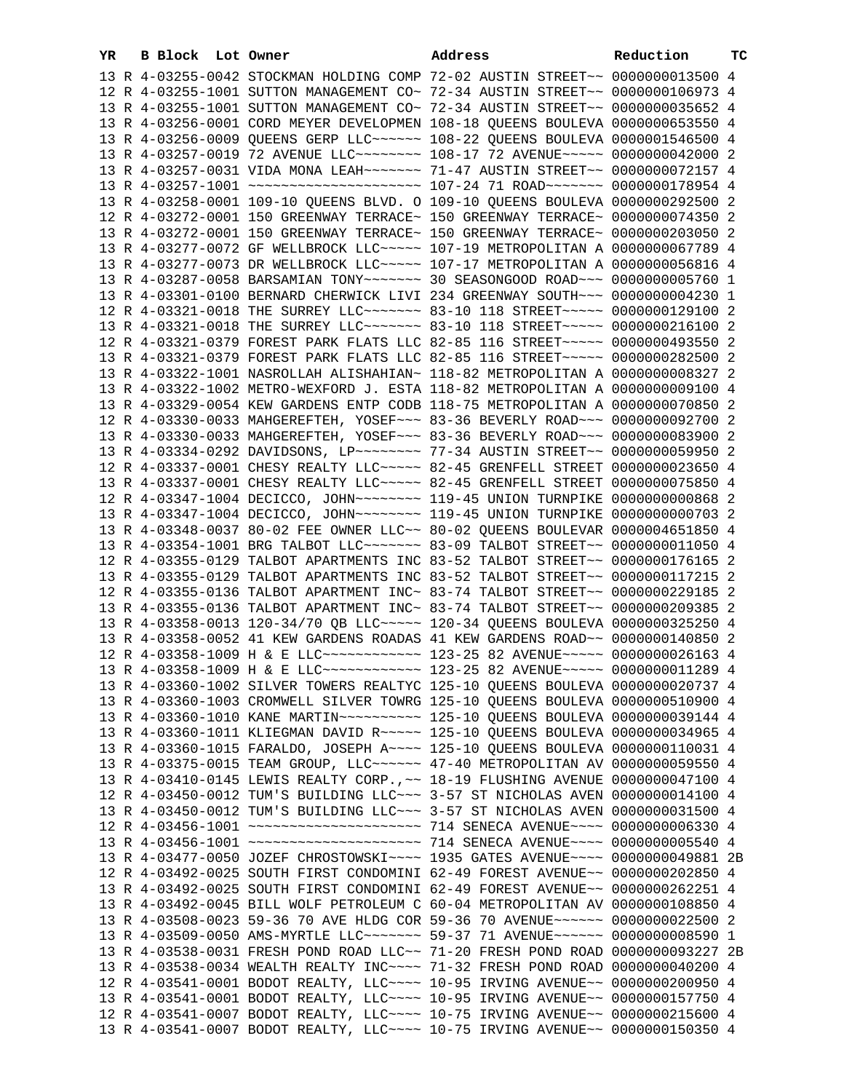| YR | B Block Lot Owner | Address                                                                                                                                                        | Reduction | ТC |
|----|-------------------|----------------------------------------------------------------------------------------------------------------------------------------------------------------|-----------|----|
|    |                   | 13 R 4-03255-0042 STOCKMAN HOLDING COMP 72-02 AUSTIN STREET~~ 0000000013500 4                                                                                  |           |    |
|    |                   | 12 R 4-03255-1001 SUTTON MANAGEMENT CO~ 72-34 AUSTIN STREET~~ 0000000106973 4                                                                                  |           |    |
|    |                   | 13 R 4-03255-1001 SUTTON MANAGEMENT CO~ 72-34 AUSTIN STREET~~ 0000000035652 4                                                                                  |           |    |
|    |                   | 13 R 4-03256-0001 CORD MEYER DEVELOPMEN 108-18 QUEENS BOULEVA 0000000653550 4                                                                                  |           |    |
|    |                   | 13 R 4-03256-0009 QUEENS GERP LLC~~~~~~ 108-22 QUEENS BOULEVA 0000001546500 4                                                                                  |           |    |
|    |                   | 13 R 4-03257-0019 72 AVENUE LLC~~~~~~~~ 108-17 72 AVENUE~~~~~ 0000000042000 2                                                                                  |           |    |
|    |                   | 13 R 4-03257-0031 VIDA MONA LEAH~~~~~~~ 71-47 AUSTIN STREET~~ 0000000072157 4                                                                                  |           |    |
|    |                   | 13 R 4-03257-1001 ~~~~~~~~~~~~~~~~~~~~~~~~~~~ 107-24 71 ROAD~~~~~~~~ 0000000178954 4                                                                           |           |    |
|    |                   | 13 R 4-03258-0001 109-10 QUEENS BLVD. O 109-10 QUEENS BOULEVA 0000000292500 2                                                                                  |           |    |
|    |                   | 12 R 4-03272-0001 150 GREENWAY TERRACE~ 150 GREENWAY TERRACE~ 0000000074350 2                                                                                  |           |    |
|    |                   | 13 R 4-03272-0001 150 GREENWAY TERRACE~ 150 GREENWAY TERRACE~ 0000000203050 2                                                                                  |           |    |
|    |                   | 13 R 4-03277-0072 GF WELLBROCK LLC~~~~~ 107-19 METROPOLITAN A 0000000067789 4                                                                                  |           |    |
|    |                   | 13 R 4-03277-0073 DR WELLBROCK LLC~~~~~ 107-17 METROPOLITAN A 0000000056816 4                                                                                  |           |    |
|    |                   | 13 R 4-03287-0058 BARSAMIAN TONY~~~~~~~ 30 SEASONGOOD ROAD~~~ 0000000005760 1                                                                                  |           |    |
|    |                   | 13 R 4-03301-0100 BERNARD CHERWICK LIVI 234 GREENWAY SOUTH~~~ 0000000004230 1                                                                                  |           |    |
|    |                   | 12 R 4-03321-0018 THE SURREY LLC ------ 83-10 118 STREET ---- 0000000129100 2                                                                                  |           |    |
|    |                   | 13 R 4-03321-0018 THE SURREY LLC ------ 83-10 118 STREET ---- 0000000216100 2                                                                                  |           |    |
|    |                   | 12 R 4-03321-0379 FOREST PARK FLATS LLC 82-85 116 STREET~~~~~ 0000000493550 2                                                                                  |           |    |
|    |                   | 13 R 4-03321-0379 FOREST PARK FLATS LLC 82-85 116 STREET~~~~~ 0000000282500 2                                                                                  |           |    |
|    |                   | 13 R 4-03322-1001 NASROLLAH ALISHAHIAN~ 118-82 METROPOLITAN A 0000000008327 2                                                                                  |           |    |
|    |                   | 13 R 4-03322-1002 METRO-WEXFORD J. ESTA 118-82 METROPOLITAN A 0000000009100 4                                                                                  |           |    |
|    |                   | 13 R 4-03329-0054 KEW GARDENS ENTP CODB 118-75 METROPOLITAN A 0000000070850 2                                                                                  |           |    |
|    |                   | 12 R 4-03330-0033 MAHGEREFTEH, YOSEF~~~ 83-36 BEVERLY ROAD~~~ 0000000092700 2                                                                                  |           |    |
|    |                   | 13 R 4-03330-0033 MAHGEREFTEH, YOSEF~~~ 83-36 BEVERLY ROAD~~~ 0000000083900 2                                                                                  |           |    |
|    |                   | 13 R 4-03334-0292 DAVIDSONS, LP ------- 77-34 AUSTIN STREET -- 0000000059950 2                                                                                 |           |    |
|    |                   | 12 R 4-03337-0001 CHESY REALTY LLC ~~~~~ 82-45 GRENFELL STREET 0000000023650 4                                                                                 |           |    |
|    |                   | 13 R 4-03337-0001 CHESY REALTY LLC ~~~~~ 82-45 GRENFELL STREET 0000000075850 4                                                                                 |           |    |
|    |                   | 12 R 4-03347-1004 DECICCO, JOHN~~~~~~~~ 119-45 UNION TURNPIKE 0000000000868 2                                                                                  |           |    |
|    |                   | 13 R 4-03347-1004 DECICCO, JOHN~~~~~~~~ 119-45 UNION TURNPIKE 0000000000703 2                                                                                  |           |    |
|    |                   | 13 R 4-03348-0037 80-02 FEE OWNER LLC~~ 80-02 QUEENS BOULEVAR 0000004651850 4                                                                                  |           |    |
|    |                   | 13 R 4-03354-1001 BRG TALBOT LLC ------ 83-09 TALBOT STREET -~ 0000000011050 4                                                                                 |           |    |
|    |                   | 12 R 4-03355-0129 TALBOT APARTMENTS INC 83-52 TALBOT STREET~~ 0000000176165 2                                                                                  |           |    |
|    |                   | 13 R 4-03355-0129 TALBOT APARTMENTS INC 83-52 TALBOT STREET~~ 0000000117215 2<br>12 R 4-03355-0136 TALBOT APARTMENT INC~ 83-74 TALBOT STREET~~ 0000000229185 2 |           |    |
|    |                   |                                                                                                                                                                |           |    |
|    |                   | 13 R 4-03355-0136 TALBOT APARTMENT INC~ 83-74 TALBOT STREET~~ 0000000209385 2<br>13 R 4-03358-0013 120-34/70 OB LLC~~~~~ 120-34 QUEENS BOULEVA 0000000325250 4 |           |    |
|    |                   | 13 R 4-03358-0052 41 KEW GARDENS ROADAS 41 KEW GARDENS ROAD~~ 0000000140850 2                                                                                  |           |    |
|    |                   | 12 R 4-03358-1009 H & E LLC ------------ 123-25 82 AVENUE ---- 0000000026163 4                                                                                 |           |    |
|    |                   | 13 R 4-03358-1009 H & E LLC ------------ 123-25 82 AVENUE ---- 0000000011289 4                                                                                 |           |    |
|    |                   | 13 R 4-03360-1002 SILVER TOWERS REALTYC 125-10 QUEENS BOULEVA 0000000020737 4                                                                                  |           |    |
|    |                   | 13 R 4-03360-1003 CROMWELL SILVER TOWRG 125-10 OUEENS BOULEVA 0000000510900 4                                                                                  |           |    |
|    |                   |                                                                                                                                                                |           |    |
|    |                   | 13 R 4-03360-1011 KLIEGMAN DAVID R~~~~~ 125-10 QUEENS BOULEVA 0000000034965 4                                                                                  |           |    |
|    |                   | 13 R 4-03360-1015 FARALDO, JOSEPH A~~~~ 125-10 QUEENS BOULEVA 0000000110031 4                                                                                  |           |    |
|    |                   | 13 R 4-03375-0015 TEAM GROUP, LLC~~~~~~ 47-40 METROPOLITAN AV 0000000059550 4                                                                                  |           |    |
|    |                   | 13 R 4-03410-0145 LEWIS REALTY CORP., ~~ 18-19 FLUSHING AVENUE 0000000047100 4                                                                                 |           |    |
|    |                   | 12 R 4-03450-0012 TUM'S BUILDING LLC ~~~ 3-57 ST NICHOLAS AVEN 0000000014100 4                                                                                 |           |    |
|    |                   | 13 R 4-03450-0012 TUM'S BUILDING LLC~~~ 3-57 ST NICHOLAS AVEN 0000000031500 4                                                                                  |           |    |
|    |                   | 12 R 4-03456-1001 ~~~~~~~~~~~~~~~~~~~~~~~~~~~~~~~~~ 714 SENECA AVENUE~~~~~ 0000000006330 4                                                                     |           |    |
|    |                   | 13 R 4-03456-1001 ~~~~~~~~~~~~~~~~~~~~~~~~~~~~~~~~~ 714 SENECA AVENUE~~~~~ 00000000005540 4                                                                    |           |    |
|    |                   | 13 R 4-03477-0050 JOZEF CHROSTOWSKI~~~~ 1935 GATES AVENUE~~~~ 0000000049881 2B                                                                                 |           |    |
|    |                   | 12 R 4-03492-0025 SOUTH FIRST CONDOMINI 62-49 FOREST AVENUE~~ 0000000202850 4                                                                                  |           |    |
|    |                   | 13 R 4-03492-0025 SOUTH FIRST CONDOMINI 62-49 FOREST AVENUE~~ 0000000262251 4                                                                                  |           |    |
|    |                   | 13 R 4-03492-0045 BILL WOLF PETROLEUM C 60-04 METROPOLITAN AV 0000000108850 4                                                                                  |           |    |
|    |                   | 13 R 4-03508-0023 59-36 70 AVE HLDG COR 59-36 70 AVENUE~~~~~~ 0000000022500 2                                                                                  |           |    |
|    |                   | 13 R 4-03509-0050 AMS-MYRTLE LLC ------ 59-37 71 AVENUE ----- 0000000008590 1                                                                                  |           |    |
|    |                   | 13 R 4-03538-0031 FRESH POND ROAD LLC~~ 71-20 FRESH POND ROAD 0000000093227 2B                                                                                 |           |    |
|    |                   | 13 R 4-03538-0034 WEALTH REALTY INC~~~~ 71-32 FRESH POND ROAD 0000000040200 4                                                                                  |           |    |
|    |                   | 12 R 4-03541-0001 BODOT REALTY, LLC --- 10-95 IRVING AVENUE -- 0000000200950 4                                                                                 |           |    |
|    |                   | 13 R 4-03541-0001 BODOT REALTY, LLC --- 10-95 IRVING AVENUE -- 0000000157750 4                                                                                 |           |    |
|    |                   | 12 R 4-03541-0007 BODOT REALTY, LLC --- 10-75 IRVING AVENUE -- 0000000215600 4                                                                                 |           |    |
|    |                   | 13 R 4-03541-0007 BODOT REALTY, LLC --- 10-75 IRVING AVENUE -- 0000000150350 4                                                                                 |           |    |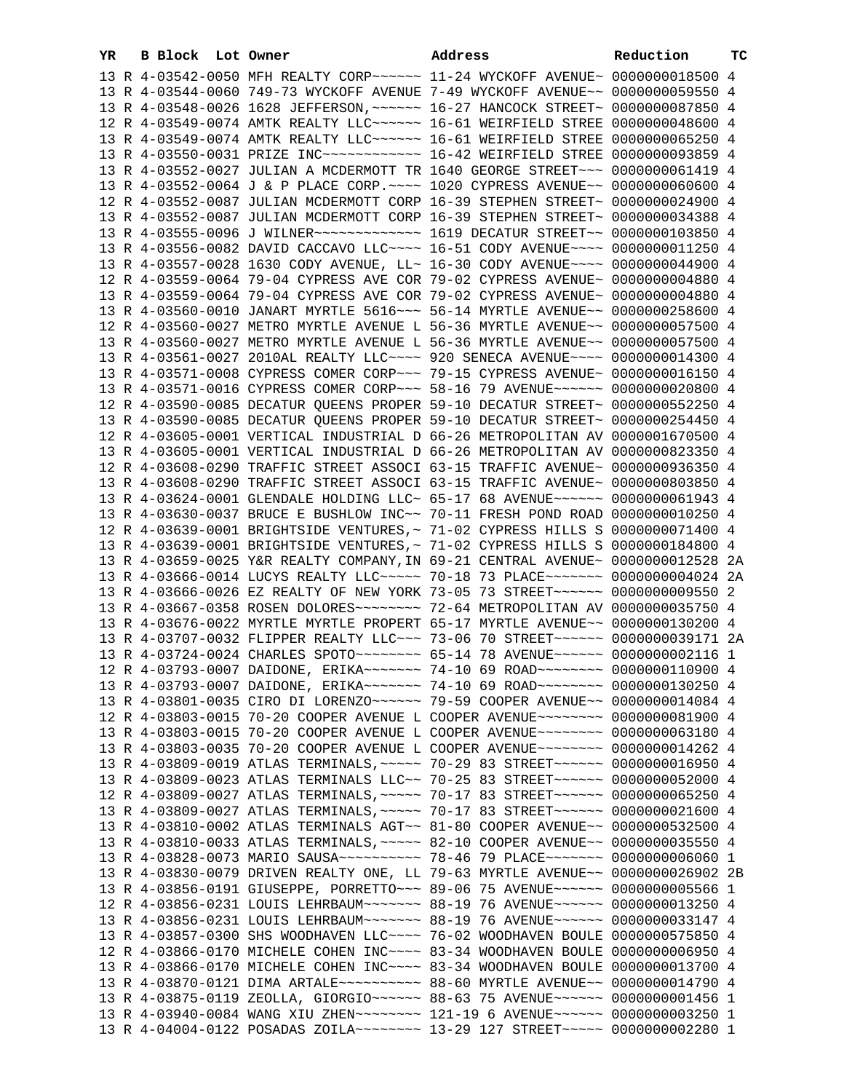| YR | B Block Lot Owner |                                                                                 | Address | Reduction | тc |
|----|-------------------|---------------------------------------------------------------------------------|---------|-----------|----|
|    |                   | 13 R 4-03542-0050 MFH REALTY CORP~~~~~~ 11-24 WYCKOFF AVENUE~ 0000000018500 4   |         |           |    |
|    |                   | 13 R 4-03544-0060 749-73 WYCKOFF AVENUE 7-49 WYCKOFF AVENUE~~ 0000000059550 4   |         |           |    |
|    |                   | 13 R 4-03548-0026 1628 JEFFERSON, ~~~~~~ 16-27 HANCOCK STREET~ 0000000087850 4  |         |           |    |
|    |                   | 12 R 4-03549-0074 AMTK REALTY LLC~~~~~~ 16-61 WEIRFIELD STREE 0000000048600 4   |         |           |    |
|    |                   | 13 R 4-03549-0074 AMTK REALTY LLC~~~~~~ 16-61 WEIRFIELD STREE 0000000065250 4   |         |           |    |
|    |                   |                                                                                 |         |           |    |
|    |                   | 13 R 4-03552-0027 JULIAN A MCDERMOTT TR 1640 GEORGE STREET~~~ 0000000061419 4   |         |           |    |
|    |                   | 13 R 4-03552-0064 J & P PLACE CORP. ~~~~ 1020 CYPRESS AVENUE~~ 0000000060600 4  |         |           |    |
|    |                   | 12 R 4-03552-0087 JULIAN MCDERMOTT CORP 16-39 STEPHEN STREET~ 0000000024900 4   |         |           |    |
|    |                   | 13 R 4-03552-0087 JULIAN MCDERMOTT CORP 16-39 STEPHEN STREET~ 0000000034388 4   |         |           |    |
|    |                   | 13 R 4-03555-0096 J WILNER ------------- 1619 DECATUR STREET -~ 0000000103850 4 |         |           |    |
|    |                   | 13 R 4-03556-0082 DAVID CACCAVO LLC~~~~ 16-51 CODY AVENUE~~~~ 0000000011250 4   |         |           |    |
|    |                   | 13 R 4-03557-0028 1630 CODY AVENUE, LL~ 16-30 CODY AVENUE~~~~ 0000000044900 4   |         |           |    |
|    |                   | 12 R 4-03559-0064 79-04 CYPRESS AVE COR 79-02 CYPRESS AVENUE~ 0000000004880 4   |         |           |    |
|    |                   | 13 R 4-03559-0064 79-04 CYPRESS AVE COR 79-02 CYPRESS AVENUE~ 0000000004880 4   |         |           |    |
|    |                   | 13 R 4-03560-0010 JANART MYRTLE 5616 ~~~ 56-14 MYRTLE AVENUE ~~ 0000000258600 4 |         |           |    |
|    |                   | 12 R 4-03560-0027 METRO MYRTLE AVENUE L 56-36 MYRTLE AVENUE~~ 0000000057500 4   |         |           |    |
|    |                   | 13 R 4-03560-0027 METRO MYRTLE AVENUE L 56-36 MYRTLE AVENUE~~ 0000000057500 4   |         |           |    |
|    |                   | 13 R 4-03561-0027 2010AL REALTY LLC --- 920 SENECA AVENUE --- 0000000014300 4   |         |           |    |
|    |                   | 13 R 4-03571-0008 CYPRESS COMER CORP~~~ 79-15 CYPRESS AVENUE~ 0000000016150 4   |         |           |    |
|    |                   | 13 R 4-03571-0016 CYPRESS COMER CORP~~~ 58-16 79 AVENUE~~~~~~ 0000000020800 4   |         |           |    |
|    |                   | 12 R 4-03590-0085 DECATUR QUEENS PROPER 59-10 DECATUR STREET~ 0000000552250 4   |         |           |    |
|    |                   | 13 R 4-03590-0085 DECATUR QUEENS PROPER 59-10 DECATUR STREET~ 0000000254450 4   |         |           |    |
|    |                   | 12 R 4-03605-0001 VERTICAL INDUSTRIAL D 66-26 METROPOLITAN AV 0000001670500 4   |         |           |    |
|    |                   | 13 R 4-03605-0001 VERTICAL INDUSTRIAL D 66-26 METROPOLITAN AV 0000000823350 4   |         |           |    |
|    |                   | 12 R 4-03608-0290 TRAFFIC STREET ASSOCI 63-15 TRAFFIC AVENUE~ 0000000936350 4   |         |           |    |
|    |                   | 13 R 4-03608-0290 TRAFFIC STREET ASSOCI 63-15 TRAFFIC AVENUE~ 0000000803850 4   |         |           |    |
|    |                   | 13 R 4-03624-0001 GLENDALE HOLDING LLC~ 65-17 68 AVENUE~~~~~~ 0000000061943 4   |         |           |    |
|    |                   | 13 R 4-03630-0037 BRUCE E BUSHLOW INC~~ 70-11 FRESH POND ROAD 0000000010250 4   |         |           |    |
|    |                   | 12 R 4-03639-0001 BRIGHTSIDE VENTURES, ~ 71-02 CYPRESS HILLS S 0000000071400 4  |         |           |    |
|    |                   | 13 R 4-03639-0001 BRIGHTSIDE VENTURES, ~ 71-02 CYPRESS HILLS S 0000000184800 4  |         |           |    |
|    |                   | 13 R 4-03659-0025 Y&R REALTY COMPANY, IN 69-21 CENTRAL AVENUE~ 0000000012528 2A |         |           |    |
|    |                   | 13 R 4-03666-0014 LUCYS REALTY LLC~~~~~ 70-18 73 PLACE~~~~~~~ 0000000004024 2A  |         |           |    |
|    |                   | 13 R 4-03666-0026 EZ REALTY OF NEW YORK 73-05 73 STREET~~~~~~ 0000000009550 2   |         |           |    |
|    |                   | 13 R 4-03667-0358 ROSEN DOLORES~~~~~~~~ 72-64 METROPOLITAN AV 0000000035750 4   |         |           |    |
|    |                   | 13 R 4-03676-0022 MYRTLE MYRTLE PROPERT 65-17 MYRTLE AVENUE~~ 0000000130200 4   |         |           |    |
|    |                   | 13 R 4-03707-0032 FLIPPER REALTY LLC~~~ 73-06 70 STREET~~~~~~ 0000000039171 2A  |         |           |    |
|    |                   | 13 R 4-03724-0024 CHARLES SPOTO ~~~~~~~~ 65-14 78 AVENUE ~~~~~~ 0000000002116 1 |         |           |    |
|    |                   | 12 R 4-03793-0007 DAIDONE, ERIKA~~~~~~~ 74-10 69 ROAD~~~~~~~~ 0000000110900 4   |         |           |    |
|    |                   | 13 R 4-03793-0007 DAIDONE, ERIKA~~~~~~~ 74-10 69 ROAD~~~~~~~~ 0000000130250 4   |         |           |    |
|    |                   | 13 R 4-03801-0035 CIRO DI LORENZO~~~~~~ 79-59 COOPER AVENUE~~ 0000000014084 4   |         |           |    |
|    |                   | 12 R 4-03803-0015 70-20 COOPER AVENUE L COOPER AVENUE~~~~~~~~ 0000000081900 4   |         |           |    |
|    |                   | 13 R 4-03803-0015 70-20 COOPER AVENUE L COOPER AVENUE~~~~~~~~ 0000000063180 4   |         |           |    |
|    |                   | 13 R 4-03803-0035 70-20 COOPER AVENUE L COOPER AVENUE~~~~~~~~ 0000000014262 4   |         |           |    |
|    |                   | 13 R 4-03809-0019 ATLAS TERMINALS, ~~~~~ 70-29 83 STREET~~~~~~ 0000000016950 4  |         |           |    |
|    |                   | 13 R 4-03809-0023 ATLAS TERMINALS LLC~~ 70-25 83 STREET~~~~~~ 0000000052000 4   |         |           |    |
|    |                   | 12 R 4-03809-0027 ATLAS TERMINALS, ~~~~~ 70-17 83 STREET~~~~~~ 0000000065250 4  |         |           |    |
|    |                   | 13 R 4-03809-0027 ATLAS TERMINALS, ~~~~~ 70-17 83 STREET~~~~~~ 0000000021600 4  |         |           |    |
|    |                   | 13 R 4-03810-0002 ATLAS TERMINALS AGT~~ 81-80 COOPER AVENUE~~ 0000000532500 4   |         |           |    |
|    |                   | 13 R 4-03810-0033 ATLAS TERMINALS, ~~~~~ 82-10 COOPER AVENUE~~ 0000000035550 4  |         |           |    |
|    |                   | 13 R 4-03828-0073 MARIO SAUSA~~~~~~~~~~ 78-46 79 PLACE~~~~~~~ 00000000006060 1  |         |           |    |
|    |                   | 13 R 4-03830-0079 DRIVEN REALTY ONE, LL 79-63 MYRTLE AVENUE~~ 0000000026902 2B  |         |           |    |
|    |                   | 13 R 4-03856-0191 GIUSEPPE, PORRETTO~~~ 89-06 75 AVENUE~~~~~~ 0000000005566 1   |         |           |    |
|    |                   | 12 R 4-03856-0231 LOUIS LEHRBAUM~~~~~~~ 88-19 76 AVENUE~~~~~~ 0000000013250 4   |         |           |    |
|    |                   | 13 R 4-03856-0231 LOUIS LEHRBAUM~~~~~~~ 88-19 76 AVENUE~~~~~~ 0000000033147 4   |         |           |    |
|    |                   | 13 R 4-03857-0300 SHS WOODHAVEN LLC~~~~ 76-02 WOODHAVEN BOULE 0000000575850 4   |         |           |    |
|    |                   | 12 R 4-03866-0170 MICHELE COHEN INC~~~~ 83-34 WOODHAVEN BOULE 0000000006950 4   |         |           |    |
|    |                   | 13 R 4-03866-0170 MICHELE COHEN INC~~~~ 83-34 WOODHAVEN BOULE 0000000013700 4   |         |           |    |
|    |                   | 13 R 4-03870-0121 DIMA ARTALE~~~~~~~~~~ 88-60 MYRTLE AVENUE~~ 0000000014790 4   |         |           |    |
|    |                   | 13 R 4-03875-0119 ZEOLLA, GIORGIO~~~~~~ 88-63 75 AVENUE~~~~~~ 00000000001456 1  |         |           |    |
|    |                   | 13 R 4-03940-0084 WANG XIU ZHEN~~~~~~~~ 121-19 6 AVENUE~~~~~~ 0000000003250 1   |         |           |    |

13 R 4-04004-0122 POSADAS ZOILA~~~~~~~~ 13-29 127 STREET~~~~~ 0000000002280 1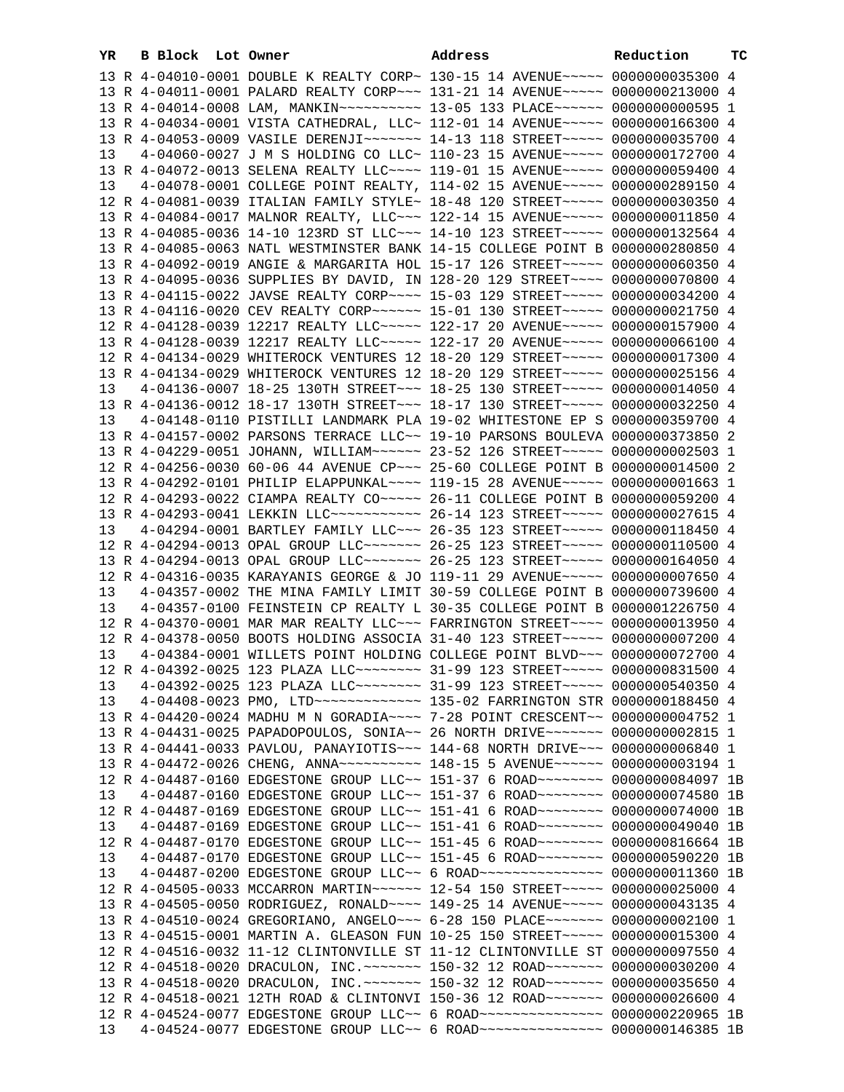| YR | B Block Lot Owner |  | Address                                                                                                                                                         | Reduction | тc |
|----|-------------------|--|-----------------------------------------------------------------------------------------------------------------------------------------------------------------|-----------|----|
|    |                   |  | 13 R 4-04010-0001 DOUBLE K REALTY CORP~ 130-15 14 AVENUE~~~~~ 0000000035300 4                                                                                   |           |    |
|    |                   |  | 13 R 4-04011-0001 PALARD REALTY CORP~~~ 131-21 14 AVENUE~~~~~ 0000000213000 4                                                                                   |           |    |
|    |                   |  | 13 R 4-04014-0008 LAM, MANKIN ~~~~~~~~~~~~~~~ 13-05 133 PLACE ~~~~~~~ 0000000000595 1                                                                           |           |    |
|    |                   |  | 13 R 4-04034-0001 VISTA CATHEDRAL, LLC~ 112-01 14 AVENUE~~~~~ 0000000166300 4                                                                                   |           |    |
|    |                   |  | 13 R 4-04053-0009 VASILE DERENJI~~~~~~~ 14-13 118 STREET~~~~~ 0000000035700 4                                                                                   |           |    |
| 13 |                   |  | 4-04060-0027 J M S HOLDING CO LLC~ 110-23 15 AVENUE~~~~~ 0000000172700 4                                                                                        |           |    |
|    |                   |  | 13 R 4-04072-0013 SELENA REALTY LLC --- 119-01 15 AVENUE ---- 0000000059400 4                                                                                   |           |    |
| 13 |                   |  | 4-04078-0001 COLLEGE POINT REALTY, 114-02 15 AVENUE~~~~~ 0000000289150 4                                                                                        |           |    |
|    |                   |  | 12 R 4-04081-0039 ITALIAN FAMILY STYLE~ 18-48 120 STREET~~~~~ 0000000030350 4                                                                                   |           |    |
|    |                   |  | 13 R 4-04084-0017 MALNOR REALTY, LLC~~~ 122-14 15 AVENUE~~~~~ 0000000011850 4                                                                                   |           |    |
|    |                   |  | 13 R 4-04085-0036 14-10 123RD ST LLC~~~ 14-10 123 STREET~~~~~ 0000000132564 4                                                                                   |           |    |
|    |                   |  | 13 R 4-04085-0063 NATL WESTMINSTER BANK 14-15 COLLEGE POINT B 0000000280850 4                                                                                   |           |    |
|    |                   |  | 13 R 4-04092-0019 ANGIE & MARGARITA HOL 15-17 126 STREET~~~~~ 0000000060350 4                                                                                   |           |    |
|    |                   |  | 13 R 4-04095-0036 SUPPLIES BY DAVID, IN 128-20 129 STREET~~~~ 0000000070800 4                                                                                   |           |    |
|    |                   |  | 13 R 4-04115-0022 JAVSE REALTY CORP~~~~ 15-03 129 STREET~~~~~ 0000000034200 4                                                                                   |           |    |
|    |                   |  | 13 R 4-04116-0020 CEV REALTY CORP~~~~~~ 15-01 130 STREET~~~~~ 0000000021750 4                                                                                   |           |    |
|    |                   |  | 12 R 4-04128-0039 12217 REALTY LLC ---- 122-17 20 AVENUE ---- 0000000157900 4                                                                                   |           |    |
|    |                   |  | 13 R 4-04128-0039 12217 REALTY LLC ---- 122-17 20 AVENUE ---- 0000000066100 4                                                                                   |           |    |
|    |                   |  | 12 R 4-04134-0029 WHITEROCK VENTURES 12 18-20 129 STREET~~~~~ 0000000017300 4                                                                                   |           |    |
|    |                   |  | 13 R 4-04134-0029 WHITEROCK VENTURES 12 18-20 129 STREET~~~~~ 0000000025156 4                                                                                   |           |    |
|    |                   |  | 4-04136-0007 18-25 130TH STREET~~~ 18-25 130 STREET~~~~~ 0000000014050 4                                                                                        |           |    |
| 13 |                   |  | 13 R 4-04136-0012 18-17 130TH STREET~~~ 18-17 130 STREET~~~~~ 0000000032250 4                                                                                   |           |    |
| 13 |                   |  |                                                                                                                                                                 |           |    |
|    |                   |  | 4-04148-0110 PISTILLI LANDMARK PLA 19-02 WHITESTONE EP S 0000000359700 4<br>13 R 4-04157-0002 PARSONS TERRACE LLC~~ 19-10 PARSONS BOULEVA 0000000373850 2       |           |    |
|    |                   |  | 13 R 4-04229-0051 JOHANN, WILLIAM~~~~~~ 23-52 126 STREET~~~~~ 0000000002503 1                                                                                   |           |    |
|    |                   |  | 12 R 4-04256-0030 60-06 44 AVENUE CP~~~ 25-60 COLLEGE POINT B 0000000014500 2                                                                                   |           |    |
|    |                   |  |                                                                                                                                                                 |           |    |
|    |                   |  | 13 R 4-04292-0101 PHILIP ELAPPUNKAL~~~~ 119-15 28 AVENUE~~~~~ 00000000001663 1<br>12 R 4-04293-0022 CIAMPA REALTY CO~~~~~ 26-11 COLLEGE POINT B 0000000059200 4 |           |    |
|    |                   |  |                                                                                                                                                                 |           |    |
|    |                   |  | 13 R 4-04293-0041 LEKKIN LLC ----------- 26-14 123 STREET ----- 0000000027615 4                                                                                 |           |    |
| 13 |                   |  | 4-04294-0001 BARTLEY FAMILY LLC~~~ 26-35 123 STREET~~~~~ 0000000118450 4<br>12 R 4-04294-0013 OPAL GROUP LLC ------ 26-25 123 STREET ---- 0000000110500 4       |           |    |
|    |                   |  |                                                                                                                                                                 |           |    |
|    |                   |  | 13 R 4-04294-0013 OPAL GROUP LLC~~~~~~~ 26-25 123 STREET~~~~~ 0000000164050 4                                                                                   |           |    |
|    |                   |  | 12 R 4-04316-0035 KARAYANIS GEORGE & JO 119-11 29 AVENUE~~~~~ 0000000007650 4                                                                                   |           |    |
| 13 |                   |  | 4-04357-0002 THE MINA FAMILY LIMIT 30-59 COLLEGE POINT B 0000000739600 4                                                                                        |           |    |
| 13 |                   |  | 4-04357-0100 FEINSTEIN CP REALTY L 30-35 COLLEGE POINT B 0000001226750 4                                                                                        |           |    |
|    |                   |  | 12 R 4-04370-0001 MAR MAR REALTY LLC~~~ FARRINGTON STREET~~~~ 0000000013950 4                                                                                   |           |    |
|    |                   |  | 12 R 4-04378-0050 BOOTS HOLDING ASSOCIA 31-40 123 STREET~~~~~ 0000000007200 4                                                                                   |           |    |
| 13 |                   |  | 4-04384-0001 WILLETS POINT HOLDING COLLEGE POINT BLVD~~~ 0000000072700 4                                                                                        |           |    |
|    |                   |  | 12 R 4-04392-0025 123 PLAZA LLC ------- 31-99 123 STREET ---- 0000000831500 4                                                                                   |           |    |
| 13 |                   |  | 4-04392-0025 123 PLAZA LLC -------- 31-99 123 STREET ----- 0000000540350 4                                                                                      |           |    |
| 13 |                   |  | 4-04408-0023 PMO, LTD ------------- 135-02 FARRINGTON STR 0000000188450 4                                                                                       |           |    |
|    |                   |  | 13 R 4-04420-0024 MADHU M N GORADIA~~~~ 7-28 POINT CRESCENT~~ 0000000004752 1                                                                                   |           |    |
|    |                   |  | 13 R 4-04431-0025 PAPADOPOULOS, SONIA~~ 26 NORTH DRIVE~~~~~~~ 0000000002815 1                                                                                   |           |    |
|    |                   |  | 13 R 4-04441-0033 PAVLOU, PANAYIOTIS~~~ 144-68 NORTH DRIVE~~~ 0000000006840 1                                                                                   |           |    |
|    |                   |  | 13 R 4-04472-0026 CHENG, ANNA~~~~~~~~~~ 148-15 5 AVENUE~~~~~~ 0000000003194 1                                                                                   |           |    |
|    |                   |  | 12 R 4-04487-0160 EDGESTONE GROUP LLC~~ 151-37 6 ROAD~~~~~~~~~ 0000000084097 1B                                                                                 |           |    |
| 13 |                   |  | 4-04487-0160 EDGESTONE GROUP LLC~~ 151-37 6 ROAD~~~~~~~~ 0000000074580 1B                                                                                       |           |    |
|    |                   |  | 12 R 4-04487-0169 EDGESTONE GROUP LLC~~ 151-41 6 ROAD~~~~~~~~ 0000000074000 1B                                                                                  |           |    |
| 13 |                   |  | 4-04487-0169 EDGESTONE GROUP LLC~~ 151-41 6 ROAD~~~~~~~~ 0000000049040 1B                                                                                       |           |    |
|    |                   |  | 12 R 4-04487-0170 EDGESTONE GROUP LLC~~ 151-45 6 ROAD~~~~~~~~ 0000000816664 1B                                                                                  |           |    |
| 13 |                   |  | 4-04487-0170 EDGESTONE GROUP LLC~~ 151-45 6 ROAD~~~~~~~~ 0000000590220 1B                                                                                       |           |    |
| 13 |                   |  | 4-04487-0200 EDGESTONE GROUP LLC~~ 6 ROAD~~~~~~~~~~~~~~~~ 0000000011360 1B                                                                                      |           |    |
|    |                   |  | 12 R 4-04505-0033 MCCARRON MARTIN~~~~~~ 12-54 150 STREET~~~~~ 0000000025000 4                                                                                   |           |    |
|    |                   |  | 13 R 4-04505-0050 RODRIGUEZ, RONALD~~~~ 149-25 14 AVENUE~~~~~ 0000000043135 4                                                                                   |           |    |
|    |                   |  | 13 R 4-04510-0024 GREGORIANO, ANGELO~~~ 6-28 150 PLACE~~~~~~~ 0000000002100 1                                                                                   |           |    |
|    |                   |  | 13 R 4-04515-0001 MARTIN A. GLEASON FUN 10-25 150 STREET~~~~~ 0000000015300 4                                                                                   |           |    |
|    |                   |  | 12 R 4-04516-0032 11-12 CLINTONVILLE ST 11-12 CLINTONVILLE ST 0000000097550 4                                                                                   |           |    |
|    |                   |  | 12 R 4-04518-0020 DRACULON, INC.~~~~~~~ 150-32 12 ROAD~~~~~~~ 0000000030200 4                                                                                   |           |    |
|    |                   |  | 13 R 4-04518-0020 DRACULON, INC.~~~~~~~ 150-32 12 ROAD~~~~~~~ 0000000035650 4                                                                                   |           |    |
|    |                   |  | 12 R 4-04518-0021 12TH ROAD & CLINTONVI 150-36 12 ROAD ~~~~~~~ 0000000026600 4                                                                                  |           |    |
|    |                   |  | 12 R 4-04524-0077 EDGESTONE GROUP LLC~~ 6 ROAD~~~~~~~~~~~~~~~~~ 0000000220965 1B                                                                                |           |    |
| 13 |                   |  | 4-04524-0077 EDGESTONE GROUP LLC~~ 6 ROAD~~~~~~~~~~~~~~~~ 0000000146385 1B                                                                                      |           |    |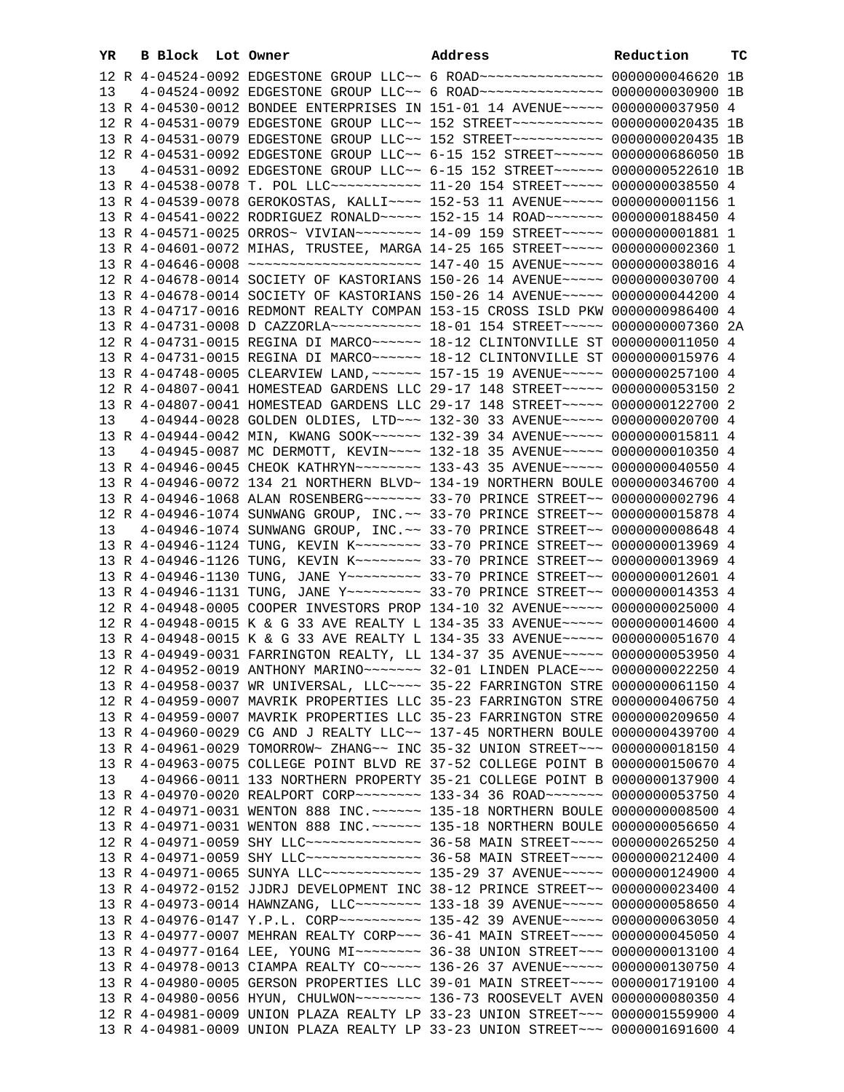| YR | B Block Lot Owner |                                                                                                                                                           | Address | Reduction | ТC |
|----|-------------------|-----------------------------------------------------------------------------------------------------------------------------------------------------------|---------|-----------|----|
|    |                   | 12 R 4-04524-0092 EDGESTONE GROUP LLC~~ 6 ROAD~~~~~~~~~~~~~~~~~ 0000000046620 1B                                                                          |         |           |    |
| 13 |                   | 4-04524-0092 EDGESTONE GROUP LLC~~ 6 ROAD~~~~~~~~~~~~~~~~~ 0000000030900 1B                                                                               |         |           |    |
|    |                   | 13 R 4-04530-0012 BONDEE ENTERPRISES IN 151-01 14 AVENUE~~~~~ 0000000037950 4                                                                             |         |           |    |
|    |                   | 12 R 4-04531-0079 EDGESTONE GROUP LLC~~ 152 STREET~~~~~~~~~~~~ 0000000020435 1B                                                                           |         |           |    |
|    |                   | 13 R 4-04531-0079 EDGESTONE GROUP LLC~~ 152 STREET~~~~~~~~~~~~ 0000000020435 1B                                                                           |         |           |    |
|    |                   | 12 R 4-04531-0092 EDGESTONE GROUP LLC~~ 6-15 152 STREET~~~~~~ 0000000686050 1B                                                                            |         |           |    |
| 13 |                   | 4-04531-0092 EDGESTONE GROUP LLC~~ 6-15 152 STREET~~~~~~ 0000000522610 1B                                                                                 |         |           |    |
|    |                   | 13 R 4-04538-0078 T. POL LLC ----------- 11-20 154 STREET ---- 0000000038550 4                                                                            |         |           |    |
|    |                   | 13 R 4-04539-0078 GEROKOSTAS, KALLI~~~~ 152-53 11 AVENUE~~~~~ 00000000001156 1                                                                            |         |           |    |
|    |                   | 13 R 4-04541-0022 RODRIGUEZ RONALD~~~~~ 152-15 14 ROAD~~~~~~~ 0000000188450 4                                                                             |         |           |    |
|    |                   | 13 R 4-04571-0025 ORROS~ VIVIAN~~~~~~~~ 14-09 159 STREET~~~~~ 00000000001881 1                                                                            |         |           |    |
|    |                   | 13 R 4-04601-0072 MIHAS, TRUSTEE, MARGA 14-25 165 STREET~~~~~ 0000000002360 1                                                                             |         |           |    |
|    |                   | 13 R 4-04646-0008 ~~~~~~~~~~~~~~~~~~~~~~~ 147-40 15 AVENUE~~~~~ 0000000038016 4                                                                           |         |           |    |
|    |                   | 12 R 4-04678-0014 SOCIETY OF KASTORIANS 150-26 14 AVENUE~~~~~ 0000000030700 4                                                                             |         |           |    |
|    |                   | 13 R 4-04678-0014 SOCIETY OF KASTORIANS 150-26 14 AVENUE~~~~~ 0000000044200 4                                                                             |         |           |    |
|    |                   | 13 R 4-04717-0016 REDMONT REALTY COMPAN 153-15 CROSS ISLD PKW 0000000986400 4                                                                             |         |           |    |
|    |                   | 13 R 4-04731-0008 D CAZZORLA~~~~~~~~~~~~~~~ 18-01 154 STREET~~~~~~ 00000000007360 2A                                                                      |         |           |    |
|    |                   | 12 R 4-04731-0015 REGINA DI MARCO~~~~~~ 18-12 CLINTONVILLE ST 0000000011050 4                                                                             |         |           |    |
|    |                   | 13 R 4-04731-0015 REGINA DI MARCO~~~~~~ 18-12 CLINTONVILLE ST 0000000015976 4                                                                             |         |           |    |
|    |                   | 13 R 4-04748-0005 CLEARVIEW LAND, ~~~~~~ 157-15 19 AVENUE~~~~~ 0000000257100 4                                                                            |         |           |    |
|    |                   | 12 R 4-04807-0041 HOMESTEAD GARDENS LLC 29-17 148 STREET~~~~~ 0000000053150 2                                                                             |         |           |    |
|    |                   | 13 R 4-04807-0041 HOMESTEAD GARDENS LLC 29-17 148 STREET~~~~~ 0000000122700 2                                                                             |         |           |    |
| 13 |                   | 4-04944-0028 GOLDEN OLDIES, LTD ~~~ 132-30 33 AVENUE~~~~~ 0000000020700 4                                                                                 |         |           |    |
|    |                   | 13 R 4-04944-0042 MIN, KWANG SOOK~~~~~~ 132-39 34 AVENUE~~~~~ 0000000015811 4                                                                             |         |           |    |
| 13 |                   | 4-04945-0087 MC DERMOTT, KEVIN~~~~ 132-18 35 AVENUE~~~~~ 0000000010350 4                                                                                  |         |           |    |
|    |                   | 13 R 4-04946-0045 CHEOK KATHRYN~~~~~~~~ 133-43 35 AVENUE~~~~~ 0000000040550 4                                                                             |         |           |    |
|    |                   | 13 R 4-04946-0072 134 21 NORTHERN BLVD~ 134-19 NORTHERN BOULE 0000000346700 4                                                                             |         |           |    |
|    |                   | 13 R 4-04946-1068 ALAN ROSENBERG ------ 33-70 PRINCE STREET -- 0000000002796 4                                                                            |         |           |    |
|    |                   | 12 R 4-04946-1074 SUNWANG GROUP, INC. ~~ 33-70 PRINCE STREET~~ 0000000015878 4                                                                            |         |           |    |
| 13 |                   | 4-04946-1074 SUNWANG GROUP, INC.~~ 33-70 PRINCE STREET~~ 0000000008648 4                                                                                  |         |           |    |
|    |                   | 13 R 4-04946-1124 TUNG, KEVIN K -- - - - - 33-70 PRINCE STREET - 0000000013969 4                                                                          |         |           |    |
|    |                   | 13 R 4-04946-1126 TUNG, KEVIN K~~~~~~~~ 33-70 PRINCE STREET~~ 0000000013969 4                                                                             |         |           |    |
|    |                   | 13 R 4-04946-1130 TUNG, JANE Y -------- 33-70 PRINCE STREET -~ 0000000012601 4                                                                            |         |           |    |
|    |                   | 13 R 4-04946-1131 TUNG, JANE Y -------- 33-70 PRINCE STREET -~ 0000000014353 4                                                                            |         |           |    |
|    |                   | 12 R 4-04948-0005 COOPER INVESTORS PROP 134-10 32 AVENUE~~~~~ 0000000025000 4                                                                             |         |           |    |
|    |                   | 12 R 4-04948-0015 K & G 33 AVE REALTY L 134-35 33 AVENUE~~~~~ 0000000014600 4                                                                             |         |           |    |
|    |                   | 13 R 4-04948-0015 K & G 33 AVE REALTY L 134-35 33 AVENUE~~~~~ 0000000051670 4                                                                             |         |           |    |
|    |                   | 13 R 4-04949-0031 FARRINGTON REALTY, LL 134-37 35 AVENUE~~~~~ 0000000053950 4                                                                             |         |           |    |
|    |                   | 12 R 4-04952-0019 ANTHONY MARINO~~~~~~~ 32-01 LINDEN PLACE~~~ 0000000022250 4                                                                             |         |           |    |
|    |                   | 13 R 4-04958-0037 WR UNIVERSAL, LLC ~~~~ 35-22 FARRINGTON STRE 0000000061150 4                                                                            |         |           |    |
|    |                   | 12 R 4-04959-0007 MAVRIK PROPERTIES LLC 35-23 FARRINGTON STRE 0000000406750 4                                                                             |         |           |    |
|    |                   | 13 R 4-04959-0007 MAVRIK PROPERTIES LLC 35-23 FARRINGTON STRE 0000000209650 4                                                                             |         |           |    |
|    |                   | 13 R 4-04960-0029 CG AND J REALTY LLC~~ 137-45 NORTHERN BOULE 0000000439700 4                                                                             |         |           |    |
|    |                   | 13 R 4-04961-0029 TOMORROW~ ZHANG~~ INC 35-32 UNION STREET~~~ 0000000018150 4                                                                             |         |           |    |
|    |                   | 13 R 4-04963-0075 COLLEGE POINT BLVD RE 37-52 COLLEGE POINT B 0000000150670 4                                                                             |         |           |    |
| 13 |                   | 4-04966-0011 133 NORTHERN PROPERTY 35-21 COLLEGE POINT B 0000000137900 4<br>13 R 4-04970-0020 REALPORT CORP~~~~~~~~ 133-34 36 ROAD~~~~~~~ 0000000053750 4 |         |           |    |
|    |                   | 12 R 4-04971-0031 WENTON 888 INC. ~~~~~~ 135-18 NORTHERN BOULE 0000000008500 4                                                                            |         |           |    |
|    |                   | 13 R 4-04971-0031 WENTON 888 INC. ~~~~~~ 135-18 NORTHERN BOULE 0000000056650 4                                                                            |         |           |    |
|    |                   | 12 R 4-04971-0059 SHY LLC --------------- 36-58 MAIN STREET ---- 0000000265250 4                                                                          |         |           |    |
|    |                   | 13 R 4-04971-0059 SHY LLC --------------- 36-58 MAIN STREET ---- 0000000212400 4                                                                          |         |           |    |
|    |                   | 13 R 4-04971-0065 SUNYA LLC ------------ 135-29 37 AVENUE ---- 0000000124900 4                                                                            |         |           |    |
|    |                   | 13 R 4-04972-0152 JJDRJ DEVELOPMENT INC 38-12 PRINCE STREET~~ 0000000023400 4                                                                             |         |           |    |
|    |                   | 13 R 4-04973-0014 HAWNZANG, LLC~~~~~~~~ 133-18 39 AVENUE~~~~~ 0000000058650 4                                                                             |         |           |    |
|    |                   | 13 R 4-04976-0147 Y.P.L. CORP~~~~~~~~~~ 135-42 39 AVENUE~~~~~ 0000000063050 4                                                                             |         |           |    |
|    |                   | 13 R 4-04977-0007 MEHRAN REALTY CORP~~~ 36-41 MAIN STREET~~~~ 0000000045050 4                                                                             |         |           |    |
|    |                   | 13 R 4-04977-0164 LEE, YOUNG MI~~~~~~~~ 36-38 UNION STREET~~~ 0000000013100 4                                                                             |         |           |    |
|    |                   | 13 R 4-04978-0013 CIAMPA REALTY CO~~~~~ 136-26 37 AVENUE~~~~~ 0000000130750 4                                                                             |         |           |    |
|    |                   | 13 R 4-04980-0005 GERSON PROPERTIES LLC 39-01 MAIN STREET~~~~ 0000001719100 4                                                                             |         |           |    |
|    |                   | 13 R 4-04980-0056 HYUN, CHULWON~~~~~~~~ 136-73 ROOSEVELT AVEN 0000000080350 4                                                                             |         |           |    |
|    |                   | 12 R 4-04981-0009 UNION PLAZA REALTY LP 33-23 UNION STREET~~~ 0000001559900 4                                                                             |         |           |    |
|    |                   | 13 R 4-04981-0009 UNION PLAZA REALTY LP 33-23 UNION STREET~~~ 0000001691600 4                                                                             |         |           |    |
|    |                   |                                                                                                                                                           |         |           |    |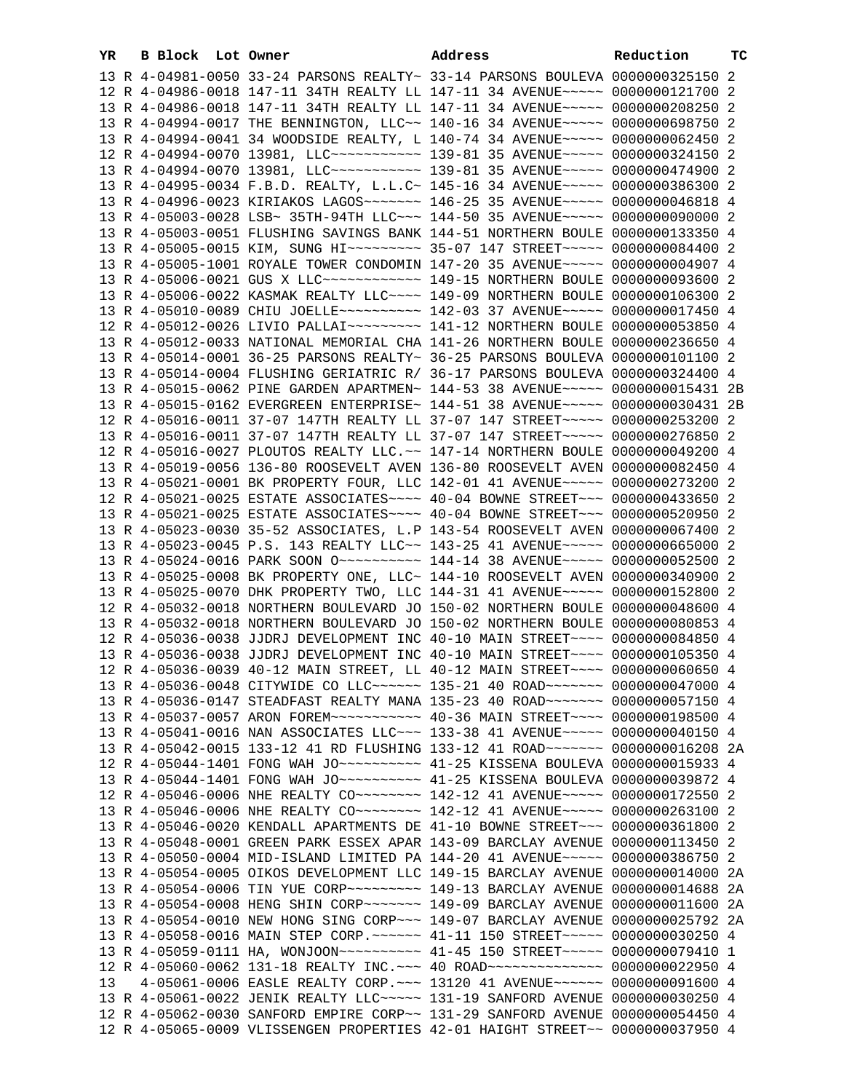| YR. |  | <b>B Block</b> Lot Owner |  | Address                                                                                                                                                        | Reduction | тc |
|-----|--|--------------------------|--|----------------------------------------------------------------------------------------------------------------------------------------------------------------|-----------|----|
|     |  |                          |  | 13 R 4-04981-0050 33-24 PARSONS REALTY~ 33-14 PARSONS BOULEVA 0000000325150 2                                                                                  |           |    |
|     |  |                          |  | 12 R 4-04986-0018 147-11 34TH REALTY LL 147-11 34 AVENUE~~~~~ 0000000121700 2                                                                                  |           |    |
|     |  |                          |  | 13 R 4-04986-0018 147-11 34TH REALTY LL 147-11 34 AVENUE~~~~~ 0000000208250 2                                                                                  |           |    |
|     |  |                          |  | 13 R 4-04994-0017 THE BENNINGTON, LLC~~ 140-16 34 AVENUE~~~~~ 0000000698750 2                                                                                  |           |    |
|     |  |                          |  | 13 R 4-04994-0041 34 WOODSIDE REALTY, L 140-74 34 AVENUE~~~~~ 0000000062450 2                                                                                  |           |    |
|     |  |                          |  | 12 R 4-04994-0070 13981, LLC ----------- 139-81 35 AVENUE ----- 0000000324150 2                                                                                |           |    |
|     |  |                          |  | 13 R 4-04994-0070 13981, LLC ----------- 139-81 35 AVENUE ---- 0000000474900 2                                                                                 |           |    |
|     |  |                          |  | 13 R 4-04995-0034 F.B.D. REALTY, L.L.C~ 145-16 34 AVENUE~~~~~ 0000000386300 2                                                                                  |           |    |
|     |  |                          |  | 13 R 4-04996-0023 KIRIAKOS LAGOS~~~~~~~ 146-25 35 AVENUE~~~~~ 0000000046818 4                                                                                  |           |    |
|     |  |                          |  | 13 R 4-05003-0028 LSB~ 35TH-94TH LLC~~~ 144-50 35 AVENUE~~~~~ 0000000090000 2                                                                                  |           |    |
|     |  |                          |  | 13 R 4-05003-0051 FLUSHING SAVINGS BANK 144-51 NORTHERN BOULE 0000000133350 4                                                                                  |           |    |
|     |  |                          |  | 13 R 4-05005-0015 KIM, SUNG HI~~~~~~~~~ 35-07 147 STREET~~~~~ 0000000084400 2                                                                                  |           |    |
|     |  |                          |  | 13 R 4-05005-1001 ROYALE TOWER CONDOMIN 147-20 35 AVENUE~~~~~ 0000000004907 4                                                                                  |           |    |
|     |  |                          |  | 13 R 4-05006-0021 GUS X LLC ------------ 149-15 NORTHERN BOULE 0000000093600 2                                                                                 |           |    |
|     |  |                          |  | 13 R 4-05006-0022 KASMAK REALTY LLC~~~~ 149-09 NORTHERN BOULE 0000000106300 2                                                                                  |           |    |
|     |  |                          |  | 13 R 4-05010-0089 CHIU JOELLE~~~~~~~~~~ 142-03 37 AVENUE~~~~~ 0000000017450 4                                                                                  |           |    |
|     |  |                          |  | 12 R 4-05012-0026 LIVIO PALLAI~~~~~~~~~~ 141-12 NORTHERN BOULE 0000000053850 4                                                                                 |           |    |
|     |  |                          |  | 13 R 4-05012-0033 NATIONAL MEMORIAL CHA 141-26 NORTHERN BOULE 0000000236650 4                                                                                  |           |    |
|     |  |                          |  | 13 R 4-05014-0001 36-25 PARSONS REALTY~ 36-25 PARSONS BOULEVA 0000000101100 2                                                                                  |           |    |
|     |  |                          |  | 13 R 4-05014-0004 FLUSHING GERIATRIC R/ 36-17 PARSONS BOULEVA 0000000324400 4                                                                                  |           |    |
|     |  |                          |  | 13 R 4-05015-0062 PINE GARDEN APARTMEN~ 144-53 38 AVENUE~~~~~ 0000000015431 2B                                                                                 |           |    |
|     |  |                          |  | 13 R 4-05015-0162 EVERGREEN ENTERPRISE~ 144-51 38 AVENUE~~~~~ 0000000030431 2B                                                                                 |           |    |
|     |  |                          |  | 12 R 4-05016-0011 37-07 147TH REALTY LL 37-07 147 STREET~~~~~ 0000000253200 2                                                                                  |           |    |
|     |  |                          |  | 13 R 4-05016-0011 37-07 147TH REALTY LL 37-07 147 STREET~~~~~ 0000000276850 2                                                                                  |           |    |
|     |  |                          |  | 12 R 4-05016-0027 PLOUTOS REALTY LLC.~~ 147-14 NORTHERN BOULE 0000000049200 4                                                                                  |           |    |
|     |  |                          |  | 13 R 4-05019-0056 136-80 ROOSEVELT AVEN 136-80 ROOSEVELT AVEN 0000000082450 4                                                                                  |           |    |
|     |  |                          |  | 13 R 4-05021-0001 BK PROPERTY FOUR, LLC 142-01 41 AVENUE~~~~~ 0000000273200 2                                                                                  |           |    |
|     |  |                          |  | 12 R 4-05021-0025 ESTATE ASSOCIATES~~~~ 40-04 BOWNE STREET~~~ 0000000433650 2                                                                                  |           |    |
|     |  |                          |  | 13 R 4-05021-0025 ESTATE ASSOCIATES~~~~ 40-04 BOWNE STREET~~~ 0000000520950 2<br>13 R 4-05023-0030 35-52 ASSOCIATES, L.P 143-54 ROOSEVELT AVEN 0000000067400 2 |           |    |
|     |  |                          |  | 13 R 4-05023-0045 P.S. 143 REALTY LLC~~ 143-25 41 AVENUE~~~~~ 0000000665000 2                                                                                  |           |    |
|     |  |                          |  | 13 R 4-05024-0016 PARK SOON 0 ~~~~~~~~~~~~~~~ 144-14 38 AVENUE ~~~~~~ 0000000052500 2                                                                          |           |    |
|     |  |                          |  | 13 R 4-05025-0008 BK PROPERTY ONE, LLC~ 144-10 ROOSEVELT AVEN 0000000340900 2                                                                                  |           |    |
|     |  |                          |  | 13 R 4-05025-0070 DHK PROPERTY TWO, LLC 144-31 41 AVENUE~~~~~ 0000000152800 2                                                                                  |           |    |
|     |  |                          |  | 12 R 4-05032-0018 NORTHERN BOULEVARD JO 150-02 NORTHERN BOULE 0000000048600 4                                                                                  |           |    |
|     |  |                          |  | 13 R 4-05032-0018 NORTHERN BOULEVARD JO 150-02 NORTHERN BOULE 0000000080853 4                                                                                  |           |    |
|     |  |                          |  | 12 R 4-05036-0038 JJDRJ DEVELOPMENT INC 40-10 MAIN STREET~~~~ 0000000084850 4                                                                                  |           |    |
|     |  |                          |  | 13 R 4-05036-0038 JJDRJ DEVELOPMENT INC 40-10 MAIN STREET~~~~ 0000000105350 4                                                                                  |           |    |
|     |  |                          |  | 12 R 4-05036-0039 40-12 MAIN STREET, LL 40-12 MAIN STREET~~~~ 0000000060650 4                                                                                  |           |    |
|     |  |                          |  | 13 R 4-05036-0048 CITYWIDE CO LLC ----- 135-21 40 ROAD ------ 0000000047000 4                                                                                  |           |    |
|     |  |                          |  | 13 R 4-05036-0147 STEADFAST REALTY MANA 135-23 40 ROAD~~~~~~~ 0000000057150 4                                                                                  |           |    |
|     |  |                          |  | 13 R 4-05037-0057 ARON FOREM~~~~~~~~~~~ 40-36 MAIN STREET~~~~ 0000000198500 4                                                                                  |           |    |
|     |  |                          |  | 13 R 4-05041-0016 NAN ASSOCIATES LLC~~~ 133-38 41 AVENUE~~~~~ 0000000040150 4                                                                                  |           |    |
|     |  |                          |  | 13 R 4-05042-0015 133-12 41 RD FLUSHING 133-12 41 ROAD~~~~~~~ 0000000016208 2A                                                                                 |           |    |
|     |  |                          |  | 12 R 4-05044-1401 FONG WAH JO~~~~~~~~~~~ 41-25 KISSENA BOULEVA 0000000015933 4                                                                                 |           |    |
|     |  |                          |  | 13 R 4-05044-1401 FONG WAH JO~~~~~~~~~~ 41-25 KISSENA BOULEVA 0000000039872 4                                                                                  |           |    |
|     |  |                          |  | 12 R 4-05046-0006 NHE REALTY CO -------- 142-12 41 AVENUE ---- 0000000172550 2                                                                                 |           |    |
|     |  |                          |  | 13 R 4-05046-0006 NHE REALTY CO ------- 142-12 41 AVENUE ---- 0000000263100 2                                                                                  |           |    |
|     |  |                          |  | 13 R 4-05046-0020 KENDALL APARTMENTS DE 41-10 BOWNE STREET~~~ 0000000361800 2                                                                                  |           |    |
|     |  |                          |  | 13 R 4-05048-0001 GREEN PARK ESSEX APAR 143-09 BARCLAY AVENUE 0000000113450 2                                                                                  |           |    |
|     |  |                          |  | 13 R 4-05050-0004 MID-ISLAND LIMITED PA 144-20 41 AVENUE~~~~~ 0000000386750 2                                                                                  |           |    |
|     |  |                          |  | 13 R 4-05054-0005 OIKOS DEVELOPMENT LLC 149-15 BARCLAY AVENUE 0000000014000 2A                                                                                 |           |    |
|     |  |                          |  | 13 R 4-05054-0006 TIN YUE CORP~~~~~~~~~~~~~~ 149-13 BARCLAY AVENUE 0000000014688                                                                               |           | 2A |
|     |  |                          |  | 13 R 4-05054-0008 HENG SHIN CORP~~~~~~~ 149-09 BARCLAY AVENUE 0000000011600 2A                                                                                 |           |    |
|     |  |                          |  | 13 R 4-05054-0010 NEW HONG SING CORP~~~ 149-07 BARCLAY AVENUE 0000000025792 2A                                                                                 |           |    |
|     |  |                          |  | 13 R 4-05058-0016 MAIN STEP CORP. ~~~~~~ 41-11 150 STREET~~~~~ 0000000030250                                                                                   |           | 4  |
|     |  |                          |  | 13 R 4-05059-0111 HA, WONJOON~~~~~~~~~~ 41-45 150 STREET~~~~~ 0000000079410 1                                                                                  |           |    |
|     |  |                          |  | 12 R 4-05060-0062 131-18 REALTY INC. --~ 40 ROAD --------------- 0000000022950 4                                                                               |           |    |
| 13  |  |                          |  | 4-05061-0006 EASLE REALTY CORP. ~~~ 13120 41 AVENUE~~~~~~ 0000000091600 4                                                                                      |           |    |
|     |  |                          |  | 13 R 4-05061-0022 JENIK REALTY LLC ~~~~~ 131-19 SANFORD AVENUE 0000000030250 4                                                                                 |           |    |
|     |  |                          |  | 12 R 4-05062-0030 SANFORD EMPIRE CORP~~ 131-29 SANFORD AVENUE 0000000054450 4                                                                                  |           |    |
|     |  |                          |  | 12 R 4-05065-0009 VLISSENGEN PROPERTIES 42-01 HAIGHT STREET~~ 0000000037950 4                                                                                  |           |    |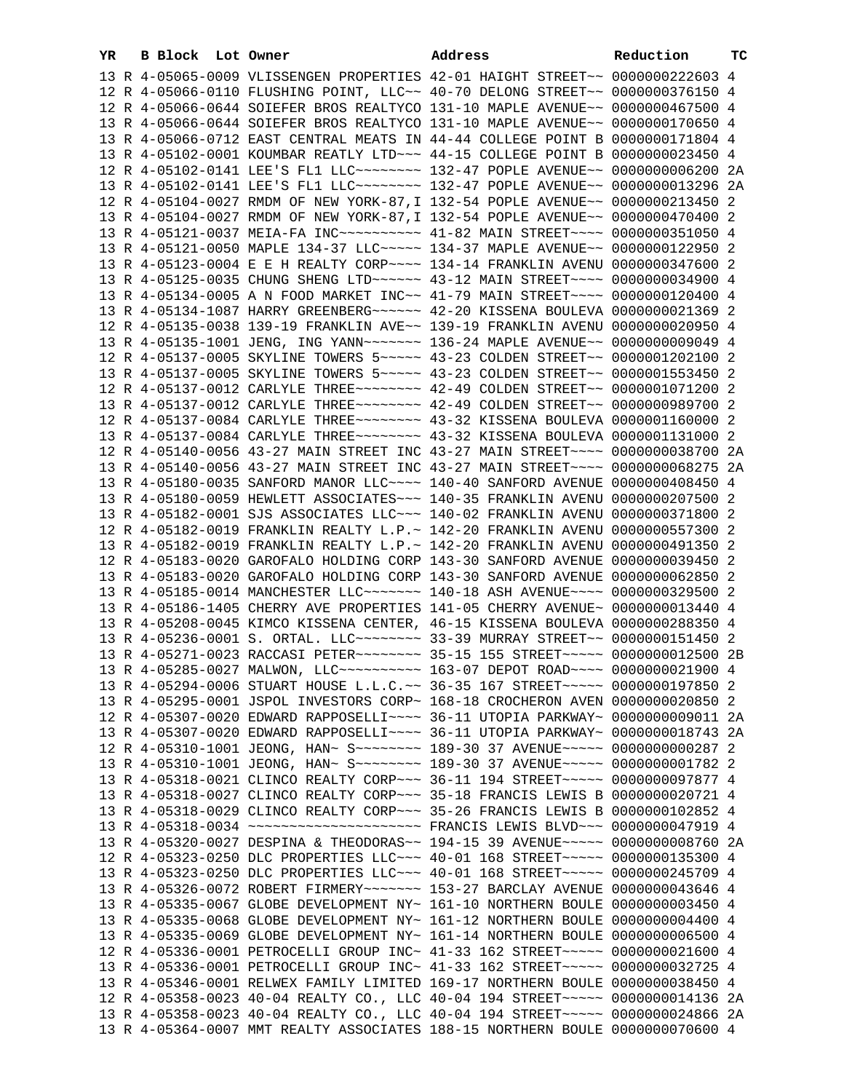| YR | B Block Lot Owner |  | Address                                                                          | Reduction | тc |
|----|-------------------|--|----------------------------------------------------------------------------------|-----------|----|
|    |                   |  | 13 R 4-05065-0009 VLISSENGEN PROPERTIES 42-01 HAIGHT STREET~~ 0000000222603 4    |           |    |
|    |                   |  | 12 R 4-05066-0110 FLUSHING POINT, LLC~~ 40-70 DELONG STREET~~ 0000000376150 4    |           |    |
|    |                   |  | 12 R 4-05066-0644 SOIEFER BROS REALTYCO 131-10 MAPLE AVENUE~~ 0000000467500 4    |           |    |
|    |                   |  | 13 R 4-05066-0644 SOIEFER BROS REALTYCO 131-10 MAPLE AVENUE~~ 0000000170650 4    |           |    |
|    |                   |  | 13 R 4-05066-0712 EAST CENTRAL MEATS IN 44-44 COLLEGE POINT B 0000000171804 4    |           |    |
|    |                   |  | 13 R 4-05102-0001 KOUMBAR REATLY LTD ~~~ 44-15 COLLEGE POINT B 0000000023450 4   |           |    |
|    |                   |  | 12 R 4-05102-0141 LEE'S FL1 LLC -------- 132-47 POPLE AVENUE -- 0000000006200 2A |           |    |
|    |                   |  | 13 R 4-05102-0141 LEE'S FL1 LLC -------- 132-47 POPLE AVENUE -- 0000000013296 2A |           |    |
|    |                   |  | 12 R 4-05104-0027 RMDM OF NEW YORK-87, I 132-54 POPLE AVENUE~~ 0000000213450 2   |           |    |
|    |                   |  | 13 R 4-05104-0027 RMDM OF NEW YORK-87, I 132-54 POPLE AVENUE~~ 0000000470400 2   |           |    |
|    |                   |  | 13 R 4-05121-0037 MEIA-FA INC~~~~~~~~~~ 41-82 MAIN STREET~~~~ 0000000351050 4    |           |    |
|    |                   |  | 13 R 4-05121-0050 MAPLE 134-37 LLC~~~~~ 134-37 MAPLE AVENUE~~ 0000000122950 2    |           |    |
|    |                   |  | 13 R 4-05123-0004 E E H REALTY CORP~~~~ 134-14 FRANKLIN AVENU 0000000347600 2    |           |    |
|    |                   |  | 13 R 4-05125-0035 CHUNG SHENG LTD ~~~~~~ 43-12 MAIN STREET ~~~~ 0000000034900 4  |           |    |
|    |                   |  | 13 R 4-05134-0005 A N FOOD MARKET INC~~ 41-79 MAIN STREET~~~~ 0000000120400 4    |           |    |
|    |                   |  | 13 R 4-05134-1087 HARRY GREENBERG ~~~~~~ 42-20 KISSENA BOULEVA 0000000021369 2   |           |    |
|    |                   |  | 12 R 4-05135-0038 139-19 FRANKLIN AVE~~ 139-19 FRANKLIN AVENU 0000000020950 4    |           |    |
|    |                   |  | 13 R 4-05135-1001 JENG, ING YANN~~~~~~~ 136-24 MAPLE AVENUE~~ 00000000009049 4   |           |    |
|    |                   |  | 12 R 4-05137-0005 SKYLINE TOWERS 5~~~~~ 43-23 COLDEN STREET~~ 0000001202100 2    |           |    |
|    |                   |  | 13 R 4-05137-0005 SKYLINE TOWERS 5~~~~~ 43-23 COLDEN STREET~~ 0000001553450 2    |           |    |
|    |                   |  | 12 R 4-05137-0012 CARLYLE THREE~~~~~~~~ 42-49 COLDEN STREET~~ 0000001071200 2    |           |    |
|    |                   |  | 13 R 4-05137-0012 CARLYLE THREE~~~~~~~~ 42-49 COLDEN STREET~~ 0000000989700 2    |           |    |
|    |                   |  | 12 R 4-05137-0084 CARLYLE THREE~~~~~~~~ 43-32 KISSENA BOULEVA 0000001160000 2    |           |    |
|    |                   |  | 13 R 4-05137-0084 CARLYLE THREE~~~~~~~~ 43-32 KISSENA BOULEVA 0000001131000 2    |           |    |
|    |                   |  | 12 R 4-05140-0056 43-27 MAIN STREET INC 43-27 MAIN STREET~~~~ 0000000038700 2A   |           |    |
|    |                   |  | 13 R 4-05140-0056 43-27 MAIN STREET INC 43-27 MAIN STREET~~~~ 0000000068275 2A   |           |    |
|    |                   |  | 13 R 4-05180-0035 SANFORD MANOR LLC~~~~ 140-40 SANFORD AVENUE 0000000408450 4    |           |    |
|    |                   |  | 13 R 4-05180-0059 HEWLETT ASSOCIATES~~~ 140-35 FRANKLIN AVENU 0000000207500 2    |           |    |
|    |                   |  | 13 R 4-05182-0001 SJS ASSOCIATES LLC~~~ 140-02 FRANKLIN AVENU 0000000371800 2    |           |    |
|    |                   |  | 12 R 4-05182-0019 FRANKLIN REALTY L.P.~ 142-20 FRANKLIN AVENU 0000000557300 2    |           |    |
|    |                   |  | 13 R 4-05182-0019 FRANKLIN REALTY L.P.~ 142-20 FRANKLIN AVENU 0000000491350 2    |           |    |
|    |                   |  | 12 R 4-05183-0020 GAROFALO HOLDING CORP 143-30 SANFORD AVENUE 0000000039450 2    |           |    |
|    |                   |  | 13 R 4-05183-0020 GAROFALO HOLDING CORP 143-30 SANFORD AVENUE 0000000062850 2    |           |    |
|    |                   |  | 13 R 4-05185-0014 MANCHESTER LLC ------- 140-18 ASH AVENUE --- 0000000329500 2   |           |    |
|    |                   |  | 13 R 4-05186-1405 CHERRY AVE PROPERTIES 141-05 CHERRY AVENUE~ 0000000013440 4    |           |    |
|    |                   |  | 13 R 4-05208-0045 KIMCO KISSENA CENTER, 46-15 KISSENA BOULEVA 0000000288350 4    |           |    |
|    |                   |  | 13 R 4-05236-0001 S. ORTAL. LLC~~~~~~~~~ 33-39 MURRAY STREET~~ 0000000151450 2   |           |    |
|    |                   |  | 13 R 4-05271-0023 RACCASI PETER~~~~~~~~ 35-15 155 STREET~~~~~ 0000000012500 2B   |           |    |
|    |                   |  | 13 R 4-05285-0027 MALWON, LLC --------- 163-07 DEPOT ROAD --- 0000000021900 4    |           |    |
|    |                   |  | 13 R 4-05294-0006 STUART HOUSE L.L.C.~~ 36-35 167 STREET~~~~~ 0000000197850 2    |           |    |
|    |                   |  | 13 R 4-05295-0001 JSPOL INVESTORS CORP~ 168-18 CROCHERON AVEN 0000000020850 2    |           |    |
|    |                   |  | 12 R 4-05307-0020 EDWARD RAPPOSELLI~~~~ 36-11 UTOPIA PARKWAY~ 0000000009011 2A   |           |    |
|    |                   |  | 13 R 4-05307-0020 EDWARD RAPPOSELLI~~~~ 36-11 UTOPIA PARKWAY~ 0000000018743 2A   |           |    |
|    |                   |  | 12 R 4-05310-1001 JEONG, HAN~ S~~~~~~~~~~ 189-30 37 AVENUE~~~~~ 0000000000287 2  |           |    |
|    |                   |  | 13 R 4-05310-1001 JEONG, HAN~ S~~~~~~~~~ 189-30 37 AVENUE~~~~~ 00000000001782 2  |           |    |
|    |                   |  | 13 R 4-05318-0021 CLINCO REALTY CORP~~~ 36-11 194 STREET~~~~~ 0000000097877 4    |           |    |
|    |                   |  | 13 R 4-05318-0027 CLINCO REALTY CORP~~~ 35-18 FRANCIS LEWIS B 0000000020721 4    |           |    |
|    |                   |  | 13 R 4-05318-0029 CLINCO REALTY CORP~~~ 35-26 FRANCIS LEWIS B 0000000102852 4    |           |    |
|    |                   |  | 13 R 4-05318-0034 ~~~~~~~~~~~~~~~~~~~~~~~~ FRANCIS LEWIS BLVD~~~ 0000000047919 4 |           |    |
|    |                   |  | 13 R 4-05320-0027 DESPINA & THEODORAS~~ 194-15 39 AVENUE~~~~~ 0000000008760 2A   |           |    |
|    |                   |  | 12 R 4-05323-0250 DLC PROPERTIES LLC~~~ 40-01 168 STREET~~~~~ 0000000135300 4    |           |    |
|    |                   |  | 13 R 4-05323-0250 DLC PROPERTIES LLC~~~ 40-01 168 STREET~~~~~ 0000000245709 4    |           |    |
|    |                   |  | 13 R 4-05326-0072 ROBERT FIRMERY~~~~~~~ 153-27 BARCLAY AVENUE 0000000043646 4    |           |    |
|    |                   |  | 13 R 4-05335-0067 GLOBE DEVELOPMENT NY~ 161-10 NORTHERN BOULE 0000000003450 4    |           |    |
|    |                   |  | 13 R 4-05335-0068 GLOBE DEVELOPMENT NY~ 161-12 NORTHERN BOULE 0000000004400 4    |           |    |
|    |                   |  | 13 R 4-05335-0069 GLOBE DEVELOPMENT NY~ 161-14 NORTHERN BOULE 0000000006500 4    |           |    |
|    |                   |  | 12 R 4-05336-0001 PETROCELLI GROUP INC~ 41-33 162 STREET~~~~~ 0000000021600 4    |           |    |
|    |                   |  | 13 R 4-05336-0001 PETROCELLI GROUP INC~ 41-33 162 STREET~~~~~ 0000000032725 4    |           |    |
|    |                   |  | 13 R 4-05346-0001 RELWEX FAMILY LIMITED 169-17 NORTHERN BOULE 0000000038450 4    |           |    |
|    |                   |  | 12 R 4-05358-0023 40-04 REALTY CO., LLC 40-04 194 STREET~~~~~ 0000000014136 2A   |           |    |
|    |                   |  | 13 R 4-05358-0023 40-04 REALTY CO., LLC 40-04 194 STREET~~~~~ 0000000024866 2A   |           |    |
|    |                   |  | 13 R 4-05364-0007 MMT REALTY ASSOCIATES 188-15 NORTHERN BOULE 0000000070600 4    |           |    |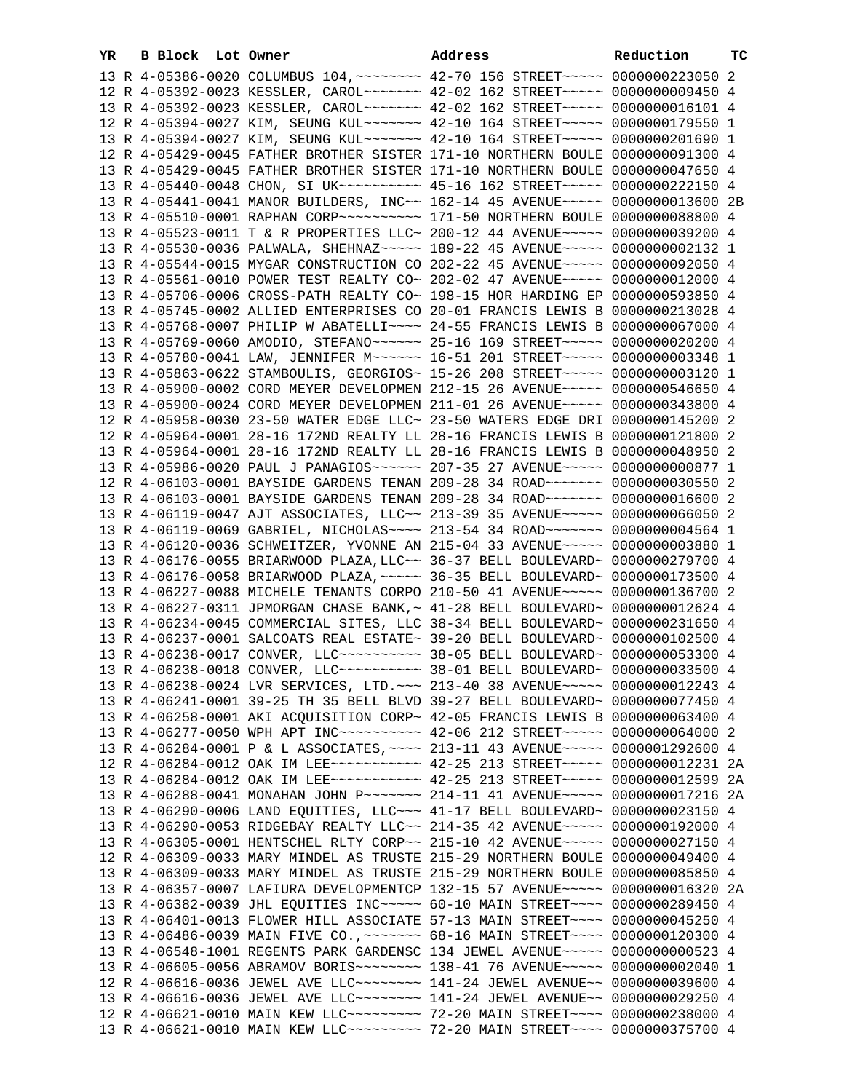| YR. | B Block Lot Owner |  | Address                                                                                                                                                         | Reduction | тc |
|-----|-------------------|--|-----------------------------------------------------------------------------------------------------------------------------------------------------------------|-----------|----|
|     |                   |  | 13 R 4-05386-0020 COLUMBUS 104, ~~~~~~~~ 42-70 156 STREET~~~~~ 0000000223050 2                                                                                  |           |    |
|     |                   |  | 12 R 4-05392-0023 KESSLER, CAROL~~~~~~~ 42-02 162 STREET~~~~~ 0000000009450 4                                                                                   |           |    |
|     |                   |  | 13 R 4-05392-0023 KESSLER, CAROL~~~~~~~ 42-02 162 STREET~~~~~ 0000000016101 4                                                                                   |           |    |
|     |                   |  | 12 R 4-05394-0027 KIM, SEUNG KUL~~~~~~~ 42-10 164 STREET~~~~~ 0000000179550 1                                                                                   |           |    |
|     |                   |  | 13 R 4-05394-0027 KIM, SEUNG KUL~~~~~~~ 42-10 164 STREET~~~~~ 0000000201690 1                                                                                   |           |    |
|     |                   |  | 12 R 4-05429-0045 FATHER BROTHER SISTER 171-10 NORTHERN BOULE 0000000091300 4                                                                                   |           |    |
|     |                   |  | 13 R 4-05429-0045 FATHER BROTHER SISTER 171-10 NORTHERN BOULE 0000000047650 4                                                                                   |           |    |
|     |                   |  | 13 R 4-05440-0048 CHON, SI UK~~~~~~~~~~ 45-16 162 STREET~~~~~ 0000000222150 4                                                                                   |           |    |
|     |                   |  | 13 R 4-05441-0041 MANOR BUILDERS, INC~~ 162-14 45 AVENUE~~~~~ 0000000013600 2B                                                                                  |           |    |
|     |                   |  | 13 R 4-05510-0001 RAPHAN CORP~~~~~~~~~~~~~~ 171-50 NORTHERN BOULE 0000000088800 4                                                                               |           |    |
|     |                   |  | 13 R 4-05523-0011 T & R PROPERTIES LLC~ 200-12 44 AVENUE~~~~~ 0000000039200 4                                                                                   |           |    |
|     |                   |  | 13 R 4-05530-0036 PALWALA, SHEHNAZ~~~~~ 189-22 45 AVENUE~~~~~ 0000000002132 1                                                                                   |           |    |
|     |                   |  | 13 R 4-05544-0015 MYGAR CONSTRUCTION CO 202-22 45 AVENUE~~~~~ 0000000092050 4                                                                                   |           |    |
|     |                   |  | 13 R 4-05561-0010 POWER TEST REALTY CO~ 202-02 47 AVENUE~~~~~ 0000000012000 4                                                                                   |           |    |
|     |                   |  | 13 R 4-05706-0006 CROSS-PATH REALTY CO~ 198-15 HOR HARDING EP 0000000593850 4                                                                                   |           |    |
|     |                   |  | 13 R 4-05745-0002 ALLIED ENTERPRISES CO 20-01 FRANCIS LEWIS B 0000000213028 4                                                                                   |           |    |
|     |                   |  | 13 R 4-05768-0007 PHILIP W ABATELLI~~~~ 24-55 FRANCIS LEWIS B 0000000067000 4                                                                                   |           |    |
|     |                   |  | 13 R 4-05769-0060 AMODIO, STEFANO~~~~~~ 25-16 169 STREET~~~~~ 0000000020200 4                                                                                   |           |    |
|     |                   |  | 13 R 4-05780-0041 LAW, JENNIFER M~~~~~~ 16-51 201 STREET~~~~~ 0000000003348 1                                                                                   |           |    |
|     |                   |  | 13 R 4-05863-0622 STAMBOULIS, GEORGIOS~ 15-26 208 STREET~~~~~ 0000000003120 1                                                                                   |           |    |
|     |                   |  | 13 R 4-05900-0002 CORD MEYER DEVELOPMEN 212-15 26 AVENUE~~~~~ 0000000546650 4                                                                                   |           |    |
|     |                   |  | 13 R 4-05900-0024 CORD MEYER DEVELOPMEN 211-01 26 AVENUE~~~~~ 0000000343800 4                                                                                   |           |    |
|     |                   |  | 12 R 4-05958-0030 23-50 WATER EDGE LLC~ 23-50 WATERS EDGE DRI 0000000145200 2                                                                                   |           |    |
|     |                   |  | 12 R 4-05964-0001 28-16 172ND REALTY LL 28-16 FRANCIS LEWIS B 0000000121800 2                                                                                   |           |    |
|     |                   |  | 13 R 4-05964-0001 28-16 172ND REALTY LL 28-16 FRANCIS LEWIS B 0000000048950 2                                                                                   |           |    |
|     |                   |  | 13 R 4-05986-0020 PAUL J PANAGIOS~~~~~~ 207-35 27 AVENUE~~~~~ 0000000000877 1                                                                                   |           |    |
|     |                   |  | 12 R 4-06103-0001 BAYSIDE GARDENS TENAN 209-28 34 ROAD~~~~~~~ 0000000030550 2                                                                                   |           |    |
|     |                   |  | 13 R 4-06103-0001 BAYSIDE GARDENS TENAN 209-28 34 ROAD~~~~~~~ 0000000016600 2                                                                                   |           |    |
|     |                   |  | 13 R 4-06119-0047 AJT ASSOCIATES, LLC~~ 213-39 35 AVENUE~~~~~ 0000000066050 2                                                                                   |           |    |
|     |                   |  | 13 R 4-06119-0069 GABRIEL, NICHOLAS~~~~ 213-54 34 ROAD~~~~~~~ 0000000004564 1                                                                                   |           |    |
|     |                   |  | 13 R 4-06120-0036 SCHWEITZER, YVONNE AN 215-04 33 AVENUE~~~~~ 0000000003880 1                                                                                   |           |    |
|     |                   |  | 13 R 4-06176-0055 BRIARWOOD PLAZA, LLC~~ 36-37 BELL BOULEVARD~ 0000000279700 4                                                                                  |           |    |
|     |                   |  | 13 R 4-06176-0058 BRIARWOOD PLAZA, ~~~~~ 36-35 BELL BOULEVARD~ 0000000173500 4<br>13 R 4-06227-0088 MICHELE TENANTS CORPO 210-50 41 AVENUE~~~~~ 0000000136700 2 |           |    |
|     |                   |  | 13 R 4-06227-0311 JPMORGAN CHASE BANK, ~ 41-28 BELL BOULEVARD~ 0000000012624 4                                                                                  |           |    |
|     |                   |  | 13 R 4-06234-0045 COMMERCIAL SITES, LLC 38-34 BELL BOULEVARD~ 0000000231650 4                                                                                   |           |    |
|     |                   |  | 13 R 4-06237-0001 SALCOATS REAL ESTATE~ 39-20 BELL BOULEVARD~ 0000000102500 4                                                                                   |           |    |
|     |                   |  | 13 R 4-06238-0017 CONVER, LLC --------- 38-05 BELL BOULEVARD ~ 0000000053300 4                                                                                  |           |    |
|     |                   |  | 13 R 4-06238-0018 CONVER, LLC --------- 38-01 BELL BOULEVARD ~ 0000000033500 4                                                                                  |           |    |
|     |                   |  | 13 R 4-06238-0024 LVR SERVICES, LTD. ~~~ 213-40 38 AVENUE~~~~~ 0000000012243 4                                                                                  |           |    |
|     |                   |  | 13 R 4-06241-0001 39-25 TH 35 BELL BLVD 39-27 BELL BOULEVARD~ 0000000077450 4                                                                                   |           |    |
|     |                   |  | 13 R 4-06258-0001 AKI ACQUISITION CORP~ 42-05 FRANCIS LEWIS B 0000000063400 4                                                                                   |           |    |
|     |                   |  | 13 R 4-06277-0050 WPH APT INC~~~~~~~~~~ 42-06 212 STREET~~~~~ 0000000064000 2                                                                                   |           |    |
|     |                   |  | 13 R 4-06284-0001 P & L ASSOCIATES, ~~~~ 213-11 43 AVENUE~~~~~ 0000001292600 4                                                                                  |           |    |
|     |                   |  | 12 R 4-06284-0012 OAK IM LEE ----------- 42-25 213 STREET ----- 0000000012231 2A                                                                                |           |    |
|     |                   |  | 13 R 4-06284-0012 OAK IM LEE ~~~~~~~~~~~ 42-25 213 STREET ~~~~~ 0000000012599 2A                                                                                |           |    |
|     |                   |  | 13 R 4-06288-0041 MONAHAN JOHN P~~~~~~~ 214-11 41 AVENUE~~~~~ 0000000017216 2A                                                                                  |           |    |
|     |                   |  | 13 R 4-06290-0006 LAND EQUITIES, LLC ~~ 41-17 BELL BOULEVARD~ 0000000023150 4                                                                                   |           |    |
|     |                   |  | 13 R 4-06290-0053 RIDGEBAY REALTY LLC~~ 214-35 42 AVENUE~~~~~ 0000000192000 4                                                                                   |           |    |
|     |                   |  | 13 R 4-06305-0001 HENTSCHEL RLTY CORP~~ 215-10 42 AVENUE~~~~~ 0000000027150 4                                                                                   |           |    |
|     |                   |  | 12 R 4-06309-0033 MARY MINDEL AS TRUSTE 215-29 NORTHERN BOULE 0000000049400 4                                                                                   |           |    |
|     |                   |  | 13 R 4-06309-0033 MARY MINDEL AS TRUSTE 215-29 NORTHERN BOULE 0000000085850 4                                                                                   |           |    |
|     |                   |  | 13 R 4-06357-0007 LAFIURA DEVELOPMENTCP 132-15 57 AVENUE~~~~~ 0000000016320 2A                                                                                  |           |    |
|     |                   |  | 13 R 4-06382-0039 JHL EQUITIES INC~~~~~ 60-10 MAIN STREET~~~~ 0000000289450 4                                                                                   |           |    |
|     |                   |  | 13 R 4-06401-0013 FLOWER HILL ASSOCIATE 57-13 MAIN STREET~~~~ 0000000045250 4                                                                                   |           |    |
|     |                   |  | 13 R 4-06486-0039 MAIN FIVE CO., ~~~~~~~ 68-16 MAIN STREET~~~~ 0000000120300 4                                                                                  |           |    |
|     |                   |  | 13 R 4-06548-1001 REGENTS PARK GARDENSC 134 JEWEL AVENUE~~~~~ 0000000000523 4                                                                                   |           |    |
|     |                   |  | 13 R 4-06605-0056 ABRAMOV BORIS ~~~~~~~~ 138-41 76 AVENUE ~~~~~ 0000000002040 1                                                                                 |           |    |
|     |                   |  | 12 R 4-06616-0036 JEWEL AVE LLC~~~~~~~~ 141-24 JEWEL AVENUE~~ 0000000039600 4                                                                                   |           |    |
|     |                   |  | 13 R 4-06616-0036 JEWEL AVE LLC ------- 141-24 JEWEL AVENUE -- 0000000029250 4                                                                                  |           |    |
|     |                   |  | 12 R 4-06621-0010 MAIN KEW LLC -------- 72-20 MAIN STREET ---- 0000000238000 4                                                                                  |           |    |
|     |                   |  | 13 R 4-06621-0010 MAIN KEW LLC -------- 72-20 MAIN STREET ---- 0000000375700 4                                                                                  |           |    |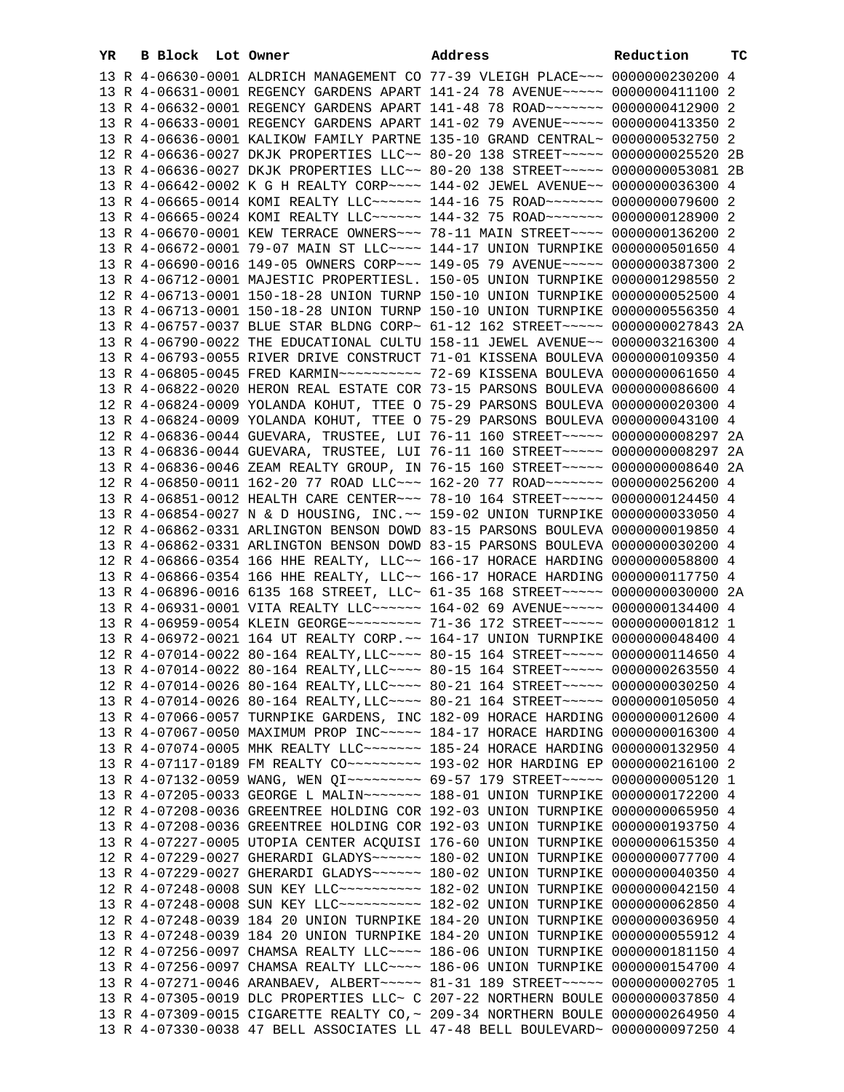| YR. | B Block Lot Owner |                                                                                                                                                                | Address | Reduction | тc |
|-----|-------------------|----------------------------------------------------------------------------------------------------------------------------------------------------------------|---------|-----------|----|
|     |                   | 13 R 4-06630-0001 ALDRICH MANAGEMENT CO 77-39 VLEIGH PLACE~~~ 0000000230200 4                                                                                  |         |           |    |
|     |                   | 13 R 4-06631-0001 REGENCY GARDENS APART 141-24 78 AVENUE~~~~~ 0000000411100 2                                                                                  |         |           |    |
|     |                   | 13 R 4-06632-0001 REGENCY GARDENS APART 141-48 78 ROAD ~~~~~~~ 0000000412900 2                                                                                 |         |           |    |
|     |                   | 13 R 4-06633-0001 REGENCY GARDENS APART 141-02 79 AVENUE~~~~~ 0000000413350 2                                                                                  |         |           |    |
|     |                   | 13 R 4-06636-0001 KALIKOW FAMILY PARTNE 135-10 GRAND CENTRAL~ 0000000532750 2                                                                                  |         |           |    |
|     |                   | 12 R 4-06636-0027 DKJK PROPERTIES LLC~~ 80-20 138 STREET~~~~~ 0000000025520 2B                                                                                 |         |           |    |
|     |                   | 13 R 4-06636-0027 DKJK PROPERTIES LLC~~ 80-20 138 STREET~~~~~ 0000000053081 2B                                                                                 |         |           |    |
|     |                   | 13 R 4-06642-0002 K G H REALTY CORP~~~~ 144-02 JEWEL AVENUE~~ 0000000036300 4                                                                                  |         |           |    |
|     |                   | 13 R 4-06665-0014 KOMI REALTY LLC~~~~~~ 144-16 75 ROAD~~~~~~~ 0000000079600 2                                                                                  |         |           |    |
|     |                   | 13 R 4-06665-0024 KOMI REALTY LLC ----- 144-32 75 ROAD ------ 0000000128900 2                                                                                  |         |           |    |
|     |                   | 13 R 4-06670-0001 KEW TERRACE OWNERS~~~ 78-11 MAIN STREET~~~~ 0000000136200 2                                                                                  |         |           |    |
|     |                   | 13 R 4-06672-0001 79-07 MAIN ST LLC ~~~~ 144-17 UNION TURNPIKE 0000000501650 4                                                                                 |         |           |    |
|     |                   | 13 R 4-06690-0016 149-05 OWNERS CORP~~~ 149-05 79 AVENUE~~~~~ 0000000387300 2                                                                                  |         |           |    |
|     |                   | 13 R 4-06712-0001 MAJESTIC PROPERTIESL. 150-05 UNION TURNPIKE 0000001298550 2                                                                                  |         |           |    |
|     |                   | 12 R 4-06713-0001 150-18-28 UNION TURNP 150-10 UNION TURNPIKE 0000000052500 4                                                                                  |         |           |    |
|     |                   | 13 R 4-06713-0001 150-18-28 UNION TURNP 150-10 UNION TURNPIKE 0000000556350 4                                                                                  |         |           |    |
|     |                   | 13 R 4-06757-0037 BLUE STAR BLDNG CORP~ 61-12 162 STREET~~~~~ 0000000027843 2A                                                                                 |         |           |    |
|     |                   | 13 R 4-06790-0022 THE EDUCATIONAL CULTU 158-11 JEWEL AVENUE~~ 0000003216300 4                                                                                  |         |           |    |
|     |                   | 13 R 4-06793-0055 RIVER DRIVE CONSTRUCT 71-01 KISSENA BOULEVA 0000000109350 4                                                                                  |         |           |    |
|     |                   | 13 R 4-06805-0045 FRED KARMIN~~~~~~~~~~ 72-69 KISSENA BOULEVA 0000000061650 4                                                                                  |         |           |    |
|     |                   | 13 R 4-06822-0020 HERON REAL ESTATE COR 73-15 PARSONS BOULEVA 0000000086600 4                                                                                  |         |           |    |
|     |                   | 12 R 4-06824-0009 YOLANDA KOHUT, TTEE O 75-29 PARSONS BOULEVA 0000000020300 4                                                                                  |         |           |    |
|     |                   | 13 R 4-06824-0009 YOLANDA KOHUT, TTEE O 75-29 PARSONS BOULEVA 0000000043100 4                                                                                  |         |           |    |
|     |                   | 12 R 4-06836-0044 GUEVARA, TRUSTEE, LUI 76-11 160 STREET~~~~~ 0000000008297 2A                                                                                 |         |           |    |
|     |                   | 13 R 4-06836-0044 GUEVARA, TRUSTEE, LUI 76-11 160 STREET~~~~~ 0000000008297 2A                                                                                 |         |           |    |
|     |                   | 13 R 4-06836-0046 ZEAM REALTY GROUP, IN 76-15 160 STREET~~~~~ 0000000008640 2A                                                                                 |         |           |    |
|     |                   | 12 R 4-06850-0011 162-20 77 ROAD LLC~~~ 162-20 77 ROAD~~~~~~~ 0000000256200 4                                                                                  |         |           |    |
|     |                   | 13 R 4-06851-0012 HEALTH CARE CENTER~~~ 78-10 164 STREET~~~~~ 0000000124450 4                                                                                  |         |           |    |
|     |                   | 13 R 4-06854-0027 N & D HOUSING, INC.~~ 159-02 UNION TURNPIKE 0000000033050 4                                                                                  |         |           |    |
|     |                   | 12 R 4-06862-0331 ARLINGTON BENSON DOWD 83-15 PARSONS BOULEVA 0000000019850 4                                                                                  |         |           |    |
|     |                   | 13 R 4-06862-0331 ARLINGTON BENSON DOWD 83-15 PARSONS BOULEVA 0000000030200 4                                                                                  |         |           |    |
|     |                   | 12 R 4-06866-0354 166 HHE REALTY, LLC~~ 166-17 HORACE HARDING 0000000058800 4                                                                                  |         |           |    |
|     |                   | 13 R 4-06866-0354 166 HHE REALTY, LLC~~ 166-17 HORACE HARDING 0000000117750 4                                                                                  |         |           |    |
|     |                   | 13 R 4-06896-0016 6135 168 STREET, LLC~ 61-35 168 STREET~~~~~ 0000000030000 2A                                                                                 |         |           |    |
|     |                   | 13 R 4-06931-0001 VITA REALTY LLC ----- 164-02 69 AVENUE ---- 0000000134400 4                                                                                  |         |           |    |
|     |                   | 13 R 4-06959-0054 KLEIN GEORGE~~~~~~~~~ 71-36 172 STREET~~~~~ 00000000001812 1                                                                                 |         |           |    |
|     |                   | 13 R 4-06972-0021 164 UT REALTY CORP. ~~ 164-17 UNION TURNPIKE 0000000048400 4                                                                                 |         |           |    |
|     |                   | 12 R 4-07014-0022 80-164 REALTY, LLC ~~~~ 80-15 164 STREET ~~~~~ 0000000114650 4                                                                               |         |           |    |
|     |                   | 13 R 4-07014-0022 80-164 REALTY, LLC ~~~~ 80-15 164 STREET ~~~~~ 0000000263550 4                                                                               |         |           |    |
|     |                   | 12 R 4-07014-0026 80-164 REALTY, LLC ~~~~ 80-21 164 STREET ~~~~~ 0000000030250 4                                                                               |         |           |    |
|     |                   | 13 R 4-07014-0026 80-164 REALTY, LLC ~~~~ 80-21 164 STREET ~~~~~ 0000000105050 4                                                                               |         |           |    |
|     |                   | 13 R 4-07066-0057 TURNPIKE GARDENS, INC 182-09 HORACE HARDING 0000000012600 4                                                                                  |         |           |    |
|     |                   | 13 R 4-07067-0050 MAXIMUM PROP INC~~~~~ 184-17 HORACE HARDING 0000000016300 4<br>13 R 4-07074-0005 MHK REALTY LLC ------ 185-24 HORACE HARDING 0000000132950 4 |         |           |    |
|     |                   |                                                                                                                                                                |         |           |    |
|     |                   | 13 R 4-07132-0059 WANG, WEN QI~~~~~~~~~ 69-57 179 STREET~~~~~ 0000000005120 1                                                                                  |         |           |    |
|     |                   | 13 R 4-07205-0033 GEORGE L MALIN~~~~~~~ 188-01 UNION TURNPIKE 0000000172200 4                                                                                  |         |           |    |
|     |                   | 12 R 4-07208-0036 GREENTREE HOLDING COR 192-03 UNION TURNPIKE 0000000065950 4                                                                                  |         |           |    |
|     |                   | 13 R 4-07208-0036 GREENTREE HOLDING COR 192-03 UNION TURNPIKE 0000000193750 4                                                                                  |         |           |    |
|     |                   | 13 R 4-07227-0005 UTOPIA CENTER ACQUISI 176-60 UNION TURNPIKE 0000000615350 4                                                                                  |         |           |    |
|     |                   | 12 R 4-07229-0027 GHERARDI GLADYS~~~~~~ 180-02 UNION TURNPIKE 0000000077700 4                                                                                  |         |           |    |
|     |                   | 13 R 4-07229-0027 GHERARDI GLADYS~~~~~~ 180-02 UNION TURNPIKE 0000000040350 4                                                                                  |         |           |    |
|     |                   | 12 R 4-07248-0008 SUN KEY LLC ---------- 182-02 UNION TURNPIKE 0000000042150 4                                                                                 |         |           |    |
|     |                   | 13 R 4-07248-0008 SUN KEY LLC ---------- 182-02 UNION TURNPIKE 0000000062850 4                                                                                 |         |           |    |
|     |                   | 12 R 4-07248-0039 184 20 UNION TURNPIKE 184-20 UNION TURNPIKE 0000000036950 4                                                                                  |         |           |    |
|     |                   | 13 R 4-07248-0039 184 20 UNION TURNPIKE 184-20 UNION TURNPIKE 0000000055912 4                                                                                  |         |           |    |
|     |                   | 12 R 4-07256-0097 CHAMSA REALTY LLC ~~~~ 186-06 UNION TURNPIKE 0000000181150 4                                                                                 |         |           |    |
|     |                   | 13 R 4-07256-0097 CHAMSA REALTY LLC ~~~~ 186-06 UNION TURNPIKE 0000000154700 4                                                                                 |         |           |    |
|     |                   | 13 R 4-07271-0046 ARANBAEV, ALBERT~~~~~ 81-31 189 STREET~~~~~ 0000000002705 1                                                                                  |         |           |    |
|     |                   | 13 R 4-07305-0019 DLC PROPERTIES LLC~ C 207-22 NORTHERN BOULE 0000000037850 4                                                                                  |         |           |    |
|     |                   | 13 R 4-07309-0015 CIGARETTE REALTY CO, ~ 209-34 NORTHERN BOULE 0000000264950 4                                                                                 |         |           |    |
|     |                   | 13 R 4-07330-0038 47 BELL ASSOCIATES LL 47-48 BELL BOULEVARD~ 0000000097250 4                                                                                  |         |           |    |
|     |                   |                                                                                                                                                                |         |           |    |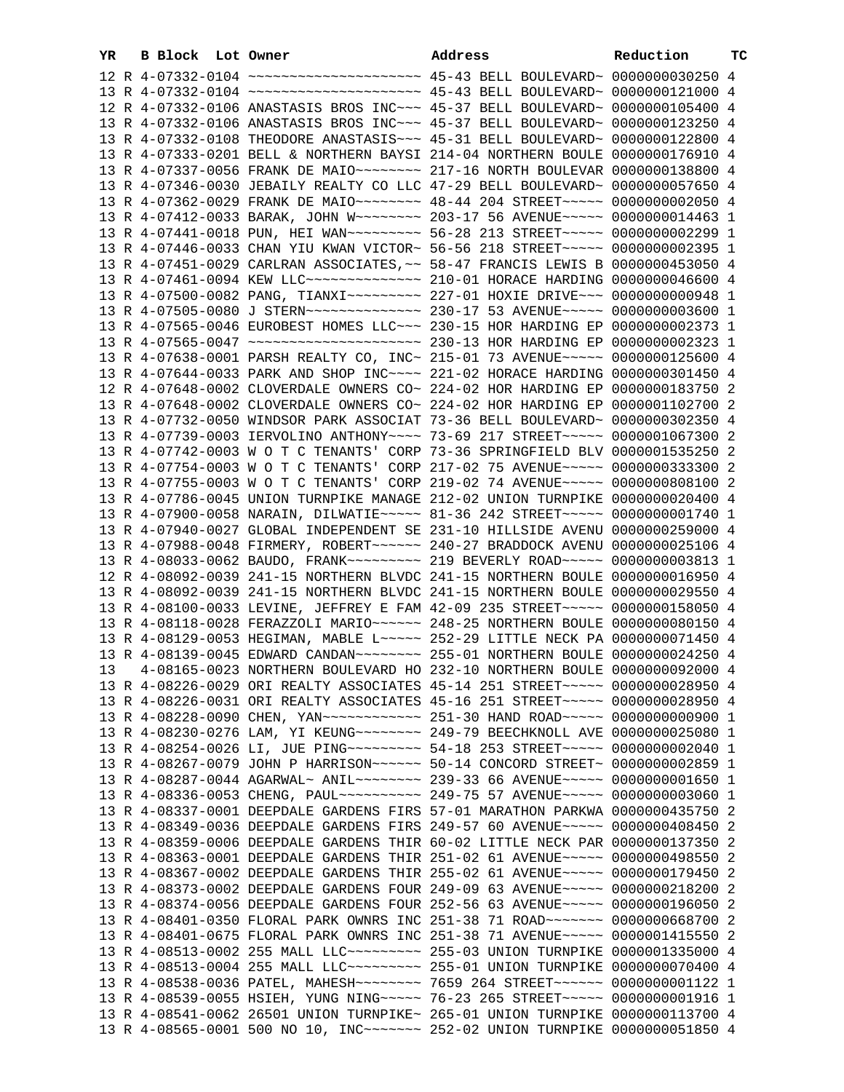| YR | B Block Lot Owner |                                                                                    | Address | Reduction | тC |
|----|-------------------|------------------------------------------------------------------------------------|---------|-----------|----|
|    |                   |                                                                                    |         |           |    |
|    |                   |                                                                                    |         |           |    |
|    |                   | 12 R 4-07332-0106 ANASTASIS BROS INC~~~ 45-37 BELL BOULEVARD~ 0000000105400 4      |         |           |    |
|    |                   | 13 R 4-07332-0106 ANASTASIS BROS INC~~~ 45-37 BELL BOULEVARD~ 0000000123250 4      |         |           |    |
|    |                   | 13 R 4-07332-0108 THEODORE ANASTASIS ~~~ 45-31 BELL BOULEVARD~ 0000000122800 4     |         |           |    |
|    |                   | 13 R 4-07333-0201 BELL & NORTHERN BAYSI 214-04 NORTHERN BOULE 0000000176910 4      |         |           |    |
|    |                   | 13 R 4-07337-0056 FRANK DE MAIO ~~~~~~~~ 217-16 NORTH BOULEVAR 0000000138800 4     |         |           |    |
|    |                   | 13 R 4-07346-0030 JEBAILY REALTY CO LLC 47-29 BELL BOULEVARD~ 0000000057650 4      |         |           |    |
|    |                   | 13 R 4-07362-0029 FRANK DE MAIO~~~~~~~~ 48-44 204 STREET~~~~~ 0000000002050 4      |         |           |    |
|    |                   | 13 R 4-07412-0033 BARAK, JOHN W~~~~~~~~ 203-17 56 AVENUE~~~~~ 0000000014463 1      |         |           |    |
|    |                   | 13 R 4-07441-0018 PUN, HEI WAN~~~~~~~~~ 56-28 213 STREET~~~~~ 0000000002299 1      |         |           |    |
|    |                   | 13 R 4-07446-0033 CHAN YIU KWAN VICTOR~ 56-56 218 STREET~~~~~ 0000000002395 1      |         |           |    |
|    |                   | 13 R 4-07451-0029 CARLRAN ASSOCIATES, ~~ 58-47 FRANCIS LEWIS B 0000000453050 4     |         |           |    |
|    |                   | 13 R 4-07461-0094 KEW LLC -------------- 210-01 HORACE HARDING 0000000046600 4     |         |           |    |
|    |                   | 13 R 4-07500-0082 PANG, TIANXI~~~~~~~~~ 227-01 HOXIE DRIVE~~~ 0000000000948 1      |         |           |    |
|    |                   |                                                                                    |         |           |    |
|    |                   | 13 R 4-07565-0046 EUROBEST HOMES LLC ~~~ 230-15 HOR HARDING EP 0000000002373 1     |         |           |    |
|    |                   |                                                                                    |         |           |    |
|    |                   | 13 R 4-07638-0001 PARSH REALTY CO, INC~ 215-01 73 AVENUE~~~~~ 0000000125600 4      |         |           |    |
|    |                   | 13 R 4-07644-0033 PARK AND SHOP INC~~~~ 221-02 HORACE HARDING 0000000301450 4      |         |           |    |
|    |                   | 12 R 4-07648-0002 CLOVERDALE OWNERS CO~ 224-02 HOR HARDING EP 0000000183750 2      |         |           |    |
|    |                   | 13 R 4-07648-0002 CLOVERDALE OWNERS CO~ 224-02 HOR HARDING EP 0000001102700 2      |         |           |    |
|    |                   | 13 R 4-07732-0050 WINDSOR PARK ASSOCIAT 73-36 BELL BOULEVARD~ 0000000302350 4      |         |           |    |
|    |                   | 13 R 4-07739-0003 IERVOLINO ANTHONY~~~~ 73-69 217 STREET~~~~~ 0000001067300 2      |         |           |    |
|    |                   | 13 R 4-07742-0003 W O T C TENANTS' CORP 73-36 SPRINGFIELD BLV 0000001535250 2      |         |           |    |
|    |                   | 13 R 4-07754-0003 W O T C TENANTS' CORP 217-02 75 AVENUE~~~~~ 0000000333300 2      |         |           |    |
|    |                   | 13 R 4-07755-0003 W O T C TENANTS' CORP 219-02 74 AVENUE~~~~~ 0000000808100 2      |         |           |    |
|    |                   | 13 R 4-07786-0045 UNION TURNPIKE MANAGE 212-02 UNION TURNPIKE 0000000020400 4      |         |           |    |
|    |                   | 13 R 4-07900-0058 NARAIN, DILWATIE~~~~~ 81-36 242 STREET~~~~~ 00000000001740 1     |         |           |    |
|    |                   | 13 R 4-07940-0027 GLOBAL INDEPENDENT SE 231-10 HILLSIDE AVENU 0000000259000 4      |         |           |    |
|    |                   | 13 R 4-07988-0048 FIRMERY, ROBERT~~~~~~ 240-27 BRADDOCK AVENU 0000000025106 4      |         |           |    |
|    |                   | 13 R 4-08033-0062 BAUDO, FRANK~~~~~~~~~~~~~~~~~~~ ROAD~~~~~~~~~~~~ 0000000003813 1 |         |           |    |
|    |                   | 12 R 4-08092-0039 241-15 NORTHERN BLVDC 241-15 NORTHERN BOULE 0000000016950 4      |         |           |    |
|    |                   | 13 R 4-08092-0039 241-15 NORTHERN BLVDC 241-15 NORTHERN BOULE 0000000029550 4      |         |           |    |
|    |                   | 13 R 4-08100-0033 LEVINE, JEFFREY E FAM 42-09 235 STREET~~~~~ 0000000158050 4      |         |           |    |
|    |                   | 13 R 4-08118-0028 FERAZZOLI MARIO~~~~~~ 248-25 NORTHERN BOULE 0000000080150 4      |         |           |    |
|    |                   | 13 R 4-08129-0053 HEGIMAN, MABLE L~~~~~ 252-29 LITTLE NECK PA 0000000071450 4      |         |           |    |
|    |                   | 13 R 4-08139-0045 EDWARD CANDAN~~~~~~~~ 255-01 NORTHERN BOULE 0000000024250 4      |         |           |    |
|    |                   | 13 4-08165-0023 NORTHERN BOULEVARD HO 232-10 NORTHERN BOULE 0000000092000 4        |         |           |    |
|    |                   | 13 R 4-08226-0029 ORI REALTY ASSOCIATES 45-14 251 STREET~~~~~ 0000000028950 4      |         |           |    |
|    |                   | 13 R 4-08226-0031 ORI REALTY ASSOCIATES 45-16 251 STREET~~~~~ 0000000028950 4      |         |           |    |
|    |                   | 13 R 4-08228-0090 CHEN, YAN ------------ 251-30 HAND ROAD ---- 0000000000900 1     |         |           |    |
|    |                   | 13 R 4-08230-0276 LAM, YI KEUNG~~~~~~~~ 249-79 BEECHKNOLL AVE 0000000025080 1      |         |           |    |
|    |                   | 13 R 4-08254-0026 LI, JUE PING~~~~~~~~~ 54-18 253 STREET~~~~~ 0000000002040 1      |         |           |    |
|    |                   | 13 R 4-08267-0079 JOHN P HARRISON~~~~~~ 50-14 CONCORD STREET~ 0000000002859 1      |         |           |    |
|    |                   | 13 R 4-08287-0044 AGARWAL~ ANIL~~~~~~~~ 239-33 66 AVENUE~~~~~ 00000000001650 1     |         |           |    |
|    |                   | 13 R 4-08336-0053 CHENG, PAUL~~~~~~~~~~ 249-75 57 AVENUE~~~~~ 00000000003060 1     |         |           |    |
|    |                   | 13 R 4-08337-0001 DEEPDALE GARDENS FIRS 57-01 MARATHON PARKWA 0000000435750 2      |         |           |    |
|    |                   | 13 R 4-08349-0036 DEEPDALE GARDENS FIRS 249-57 60 AVENUE~~~~~ 0000000408450 2      |         |           |    |
|    |                   | 13 R 4-08359-0006 DEEPDALE GARDENS THIR 60-02 LITTLE NECK PAR 0000000137350 2      |         |           |    |
|    |                   | 13 R 4-08363-0001 DEEPDALE GARDENS THIR 251-02 61 AVENUE~~~~~ 0000000498550 2      |         |           |    |
|    |                   | 13 R 4-08367-0002 DEEPDALE GARDENS THIR 255-02 61 AVENUE~~~~~ 0000000179450 2      |         |           |    |
|    |                   | 13 R 4-08373-0002 DEEPDALE GARDENS FOUR 249-09 63 AVENUE~~~~~ 0000000218200 2      |         |           |    |
|    |                   | 13 R 4-08374-0056 DEEPDALE GARDENS FOUR 252-56 63 AVENUE~~~~~ 0000000196050 2      |         |           |    |
|    |                   | 13 R 4-08401-0350 FLORAL PARK OWNRS INC 251-38 71 ROAD~~~~~~~ 0000000668700 2      |         |           |    |
|    |                   | 13 R 4-08401-0675 FLORAL PARK OWNRS INC 251-38 71 AVENUE~~~~~ 0000001415550 2      |         |           |    |
|    |                   | 13 R 4-08513-0002 255 MALL LLC -------- 255-03 UNION TURNPIKE 0000001335000 4      |         |           |    |
|    |                   | 13 R 4-08513-0004 255 MALL LLC -------- 255-01 UNION TURNPIKE 0000000070400 4      |         |           |    |
|    |                   | 13 R 4-08538-0036 PATEL, MAHESH~~~~~~~~ 7659 264 STREET~~~~~~ 00000000001122 1     |         |           |    |
|    |                   | 13 R 4-08539-0055 HSIEH, YUNG NING~~~~~ 76-23 265 STREET~~~~~ 0000000001916 1      |         |           |    |
|    |                   | 13 R 4-08541-0062 26501 UNION TURNPIKE~ 265-01 UNION TURNPIKE 0000000113700 4      |         |           |    |
|    |                   | 13 R 4-08565-0001 500 NO 10, INC~~~~~~~ 252-02 UNION TURNPIKE 0000000051850 4      |         |           |    |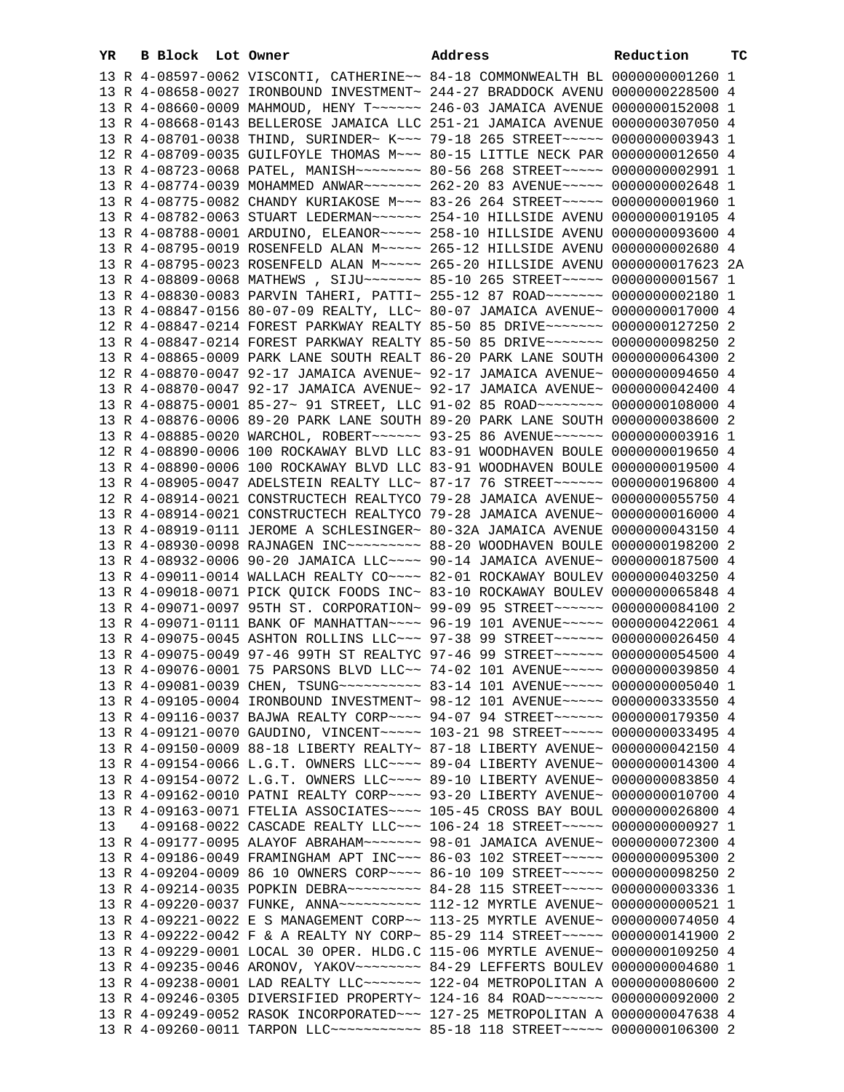| YR | B Block Lot Owner |  | Address                                                                                                                                                        | Reduction | ТC |
|----|-------------------|--|----------------------------------------------------------------------------------------------------------------------------------------------------------------|-----------|----|
|    |                   |  | 13 R 4-08597-0062 VISCONTI, CATHERINE~~ 84-18 COMMONWEALTH BL 0000000001260 1                                                                                  |           |    |
|    |                   |  | 13 R 4-08658-0027 IRONBOUND INVESTMENT~ 244-27 BRADDOCK AVENU 0000000228500 4                                                                                  |           |    |
|    |                   |  | 13 R 4-08660-0009 MAHMOUD, HENY T ~~~~~~ 246-03 JAMAICA AVENUE 0000000152008 1                                                                                 |           |    |
|    |                   |  | 13 R 4-08668-0143 BELLEROSE JAMAICA LLC 251-21 JAMAICA AVENUE 0000000307050 4                                                                                  |           |    |
|    |                   |  | 13 R 4-08701-0038 THIND, SURINDER~ K~~~ 79-18 265 STREET~~~~~ 0000000003943 1                                                                                  |           |    |
|    |                   |  | 12 R 4-08709-0035 GUILFOYLE THOMAS M~~~ 80-15 LITTLE NECK PAR 0000000012650 4                                                                                  |           |    |
|    |                   |  | 13 R 4-08723-0068 PATEL, MANISH~~~~~~~~ 80-56 268 STREET~~~~~ 0000000002991 1                                                                                  |           |    |
|    |                   |  | 13 R 4-08774-0039 MOHAMMED ANWAR ------ 262-20 83 AVENUE ---- 0000000002648 1                                                                                  |           |    |
|    |                   |  | 13 R 4-08775-0082 CHANDY KURIAKOSE M~~~ 83-26 264 STREET~~~~~ 0000000001960 1                                                                                  |           |    |
|    |                   |  | 13 R 4-08782-0063 STUART LEDERMAN~~~~~~ 254-10 HILLSIDE AVENU 0000000019105 4                                                                                  |           |    |
|    |                   |  | 13 R 4-08788-0001 ARDUINO, ELEANOR~~~~~ 258-10 HILLSIDE AVENU 0000000093600 4                                                                                  |           |    |
|    |                   |  | 13 R 4-08795-0019 ROSENFELD ALAN M~~~~~ 265-12 HILLSIDE AVENU 0000000002680 4                                                                                  |           |    |
|    |                   |  | 13 R 4-08795-0023 ROSENFELD ALAN M ~~~~~ 265-20 HILLSIDE AVENU 0000000017623 2A                                                                                |           |    |
|    |                   |  | 13 R 4-08809-0068 MATHEWS , SIJU~~~~~~~ 85-10 265 STREET~~~~~ 00000000001567 1                                                                                 |           |    |
|    |                   |  | 13 R 4-08830-0083 PARVIN TAHERI, PATTI~ 255-12 87 ROAD~~~~~~~ 0000000002180 1                                                                                  |           |    |
|    |                   |  | 13 R 4-08847-0156 80-07-09 REALTY, LLC~ 80-07 JAMAICA AVENUE~ 0000000017000 4                                                                                  |           |    |
|    |                   |  | 12 R 4-08847-0214 FOREST PARKWAY REALTY 85-50 85 DRIVE~~~~~~~ 0000000127250 2                                                                                  |           |    |
|    |                   |  | 13 R 4-08847-0214 FOREST PARKWAY REALTY 85-50 85 DRIVE~~~~~~~ 0000000098250 2                                                                                  |           |    |
|    |                   |  | 13 R 4-08865-0009 PARK LANE SOUTH REALT 86-20 PARK LANE SOUTH 0000000064300 2                                                                                  |           |    |
|    |                   |  | 12 R 4-08870-0047 92-17 JAMAICA AVENUE~ 92-17 JAMAICA AVENUE~ 0000000094650 4                                                                                  |           |    |
|    |                   |  | 13 R 4-08870-0047 92-17 JAMAICA AVENUE~ 92-17 JAMAICA AVENUE~ 0000000042400 4                                                                                  |           |    |
|    |                   |  | 13 R 4-08875-0001 85-27~ 91 STREET, LLC 91-02 85 ROAD~~~~~~~~ 0000000108000 4<br>13 R 4-08876-0006 89-20 PARK LANE SOUTH 89-20 PARK LANE SOUTH 0000000038600 2 |           |    |
|    |                   |  | 13 R 4-08885-0020 WARCHOL, ROBERT~~~~~~ 93-25 86 AVENUE~~~~~~ 0000000003916 1                                                                                  |           |    |
|    |                   |  | 12 R 4-08890-0006 100 ROCKAWAY BLVD LLC 83-91 WOODHAVEN BOULE 0000000019650 4                                                                                  |           |    |
|    |                   |  | 13 R 4-08890-0006 100 ROCKAWAY BLVD LLC 83-91 WOODHAVEN BOULE 0000000019500 4                                                                                  |           |    |
|    |                   |  | 13 R 4-08905-0047 ADELSTEIN REALTY LLC~ 87-17 76 STREET~~~~~~ 0000000196800 4                                                                                  |           |    |
|    |                   |  | 12 R 4-08914-0021 CONSTRUCTECH REALTYCO 79-28 JAMAICA AVENUE~ 0000000055750 4                                                                                  |           |    |
|    |                   |  | 13 R 4-08914-0021 CONSTRUCTECH REALTYCO 79-28 JAMAICA AVENUE~ 0000000016000 4                                                                                  |           |    |
|    |                   |  | 13 R 4-08919-0111 JEROME A SCHLESINGER~ 80-32A JAMAICA AVENUE 0000000043150 4                                                                                  |           |    |
|    |                   |  | 13 R 4-08930-0098 RAJNAGEN INC~~~~~~~~~~ 88-20 WOODHAVEN BOULE 0000000198200 2                                                                                 |           |    |
|    |                   |  | 13 R 4-08932-0006 90-20 JAMAICA LLC~~~~ 90-14 JAMAICA AVENUE~ 0000000187500 4                                                                                  |           |    |
|    |                   |  | 13 R 4-09011-0014 WALLACH REALTY CO~~~~ 82-01 ROCKAWAY BOULEV 0000000403250 4                                                                                  |           |    |
|    |                   |  | 13 R 4-09018-0071 PICK QUICK FOODS INC~ 83-10 ROCKAWAY BOULEV 0000000065848 4                                                                                  |           |    |
|    |                   |  | 13 R 4-09071-0097 95TH ST. CORPORATION~ 99-09 95 STREET~~~~~~ 0000000084100 2                                                                                  |           |    |
|    |                   |  | 13 R 4-09071-0111 BANK OF MANHATTAN~~~~ 96-19 101 AVENUE~~~~~ 0000000422061 4                                                                                  |           |    |
|    |                   |  | 13 R 4-09075-0045 ASHTON ROLLINS LLC~~~ 97-38 99 STREET~~~~~~ 0000000026450 4                                                                                  |           |    |
|    |                   |  | 13 R 4-09075-0049 97-46 99TH ST REALTYC 97-46 99 STREET~~~~~~ 0000000054500 4                                                                                  |           |    |
|    |                   |  | 13 R 4-09076-0001 75 PARSONS BLVD LLC~~ 74-02 101 AVENUE~~~~~ 0000000039850 4                                                                                  |           |    |
|    |                   |  | 13 R 4-09081-0039 CHEN, TSUNG~~~~~~~~~~ 83-14 101 AVENUE~~~~~ 0000000005040 1                                                                                  |           |    |
|    |                   |  | 13 R 4-09105-0004 IRONBOUND INVESTMENT~ 98-12 101 AVENUE~~~~~ 0000000333550 4                                                                                  |           |    |
|    |                   |  | 13 R 4-09116-0037 BAJWA REALTY CORP~~~~ 94-07 94 STREET~~~~~~ 0000000179350 4                                                                                  |           |    |
|    |                   |  | 13 R 4-09121-0070 GAUDINO, VINCENT~~~~~ 103-21 98 STREET~~~~~ 0000000033495 4                                                                                  |           |    |
|    |                   |  | 13 R 4-09150-0009 88-18 LIBERTY REALTY~ 87-18 LIBERTY AVENUE~ 0000000042150 4                                                                                  |           |    |
|    |                   |  | 13 R 4-09154-0066 L.G.T. OWNERS LLC~~~~ 89-04 LIBERTY AVENUE~ 0000000014300 4                                                                                  |           |    |
|    |                   |  | 13 R 4-09154-0072 L.G.T. OWNERS LLC~~~~ 89-10 LIBERTY AVENUE~ 0000000083850 4                                                                                  |           |    |
|    |                   |  | 13 R 4-09162-0010 PATNI REALTY CORP~~~~ 93-20 LIBERTY AVENUE~ 0000000010700 4                                                                                  |           |    |
|    |                   |  | 13 R 4-09163-0071 FTELIA ASSOCIATES~~~~ 105-45 CROSS BAY BOUL 0000000026800 4                                                                                  |           |    |
| 13 |                   |  | 4-09168-0022 CASCADE REALTY LLC~~~ 106-24 18 STREET~~~~~ 0000000000927 1                                                                                       |           |    |
|    |                   |  | 13 R 4-09177-0095 ALAYOF ABRAHAM ~~~~~~~~ 98-01 JAMAICA AVENUE~ 0000000072300 4                                                                                |           |    |
|    |                   |  | 13 R 4-09186-0049 FRAMINGHAM APT INC~~~ 86-03 102 STREET~~~~~ 0000000095300 2<br>13 R 4-09204-0009 86 10 OWNERS CORP~~~~ 86-10 109 STREET~~~~~ 0000000098250 2 |           |    |
|    |                   |  | 13 R 4-09214-0035 POPKIN DEBRA~~~~~~~~~ 84-28 115 STREET~~~~~ 0000000003336 1                                                                                  |           |    |
|    |                   |  | 13 R 4-09220-0037 FUNKE, ANNA~~~~~~~~~~~~~~ 112-12 MYRTLE AVENUE~ 0000000000521 1                                                                              |           |    |
|    |                   |  | 13 R 4-09221-0022 E S MANAGEMENT CORP~~ 113-25 MYRTLE AVENUE~ 0000000074050 4                                                                                  |           |    |
|    |                   |  | 13 R 4-09222-0042 F & A REALTY NY CORP~ 85-29 114 STREET~~~~~ 0000000141900 2                                                                                  |           |    |
|    |                   |  | 13 R 4-09229-0001 LOCAL 30 OPER. HLDG.C 115-06 MYRTLE AVENUE~ 0000000109250 4                                                                                  |           |    |
|    |                   |  | 13 R 4-09235-0046 ARONOV, YAKOV~~~~~~~~ 84-29 LEFFERTS BOULEV 0000000004680 1                                                                                  |           |    |
|    |                   |  | 13 R 4-09238-0001 LAD REALTY LLC ------ 122-04 METROPOLITAN A 0000000080600 2                                                                                  |           |    |
|    |                   |  | 13 R 4-09246-0305 DIVERSIFIED PROPERTY~ 124-16 84 ROAD~~~~~~~ 0000000092000 2                                                                                  |           |    |
|    |                   |  | 13 R 4-09249-0052 RASOK INCORPORATED~~~ 127-25 METROPOLITAN A 0000000047638 4                                                                                  |           |    |
|    |                   |  | 13 R 4-09260-0011 TARPON LLC ----------- 85-18 118 STREET ---- 0000000106300 2                                                                                 |           |    |
|    |                   |  |                                                                                                                                                                |           |    |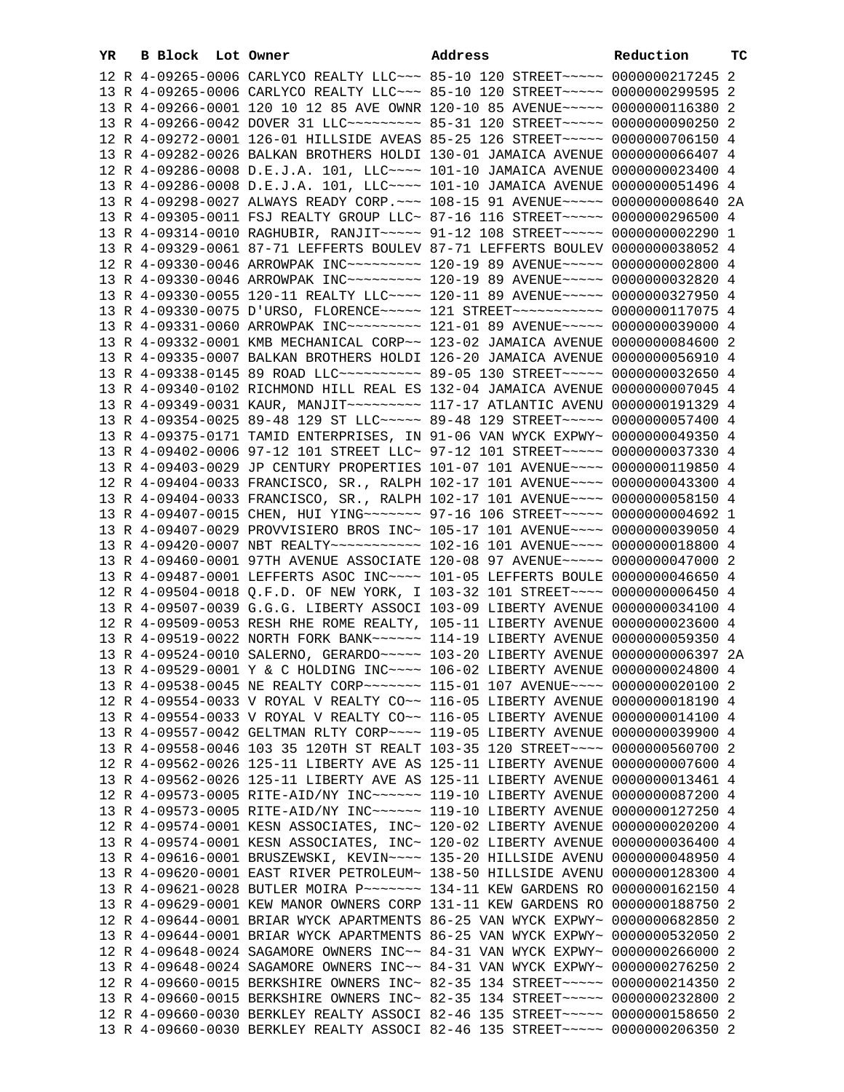| YR. | B Block Lot Owner | Address                                                                         | Reduction | тc |
|-----|-------------------|---------------------------------------------------------------------------------|-----------|----|
|     |                   | 12 R 4-09265-0006 CARLYCO REALTY LLC ~~~ 85-10 120 STREET ~~~~~ 0000000217245 2 |           |    |
|     |                   | 13 R 4-09265-0006 CARLYCO REALTY LLC~~~ 85-10 120 STREET~~~~~ 0000000299595 2   |           |    |
|     |                   | 13 R 4-09266-0001 120 10 12 85 AVE OWNR 120-10 85 AVENUE~~~~~ 0000000116380 2   |           |    |
|     |                   | 13 R 4-09266-0042 DOVER 31 LLC -------- 85-31 120 STREET ----- 0000000090250 2  |           |    |
|     |                   | 12 R 4-09272-0001 126-01 HILLSIDE AVEAS 85-25 126 STREET~~~~~ 0000000706150 4   |           |    |
|     |                   | 13 R 4-09282-0026 BALKAN BROTHERS HOLDI 130-01 JAMAICA AVENUE 0000000066407 4   |           |    |
|     |                   | 12 R 4-09286-0008 D.E.J.A. 101, LLC --- 101-10 JAMAICA AVENUE 0000000023400 4   |           |    |
|     |                   | 13 R 4-09286-0008 D.E.J.A. 101, LLC --- 101-10 JAMAICA AVENUE 0000000051496 4   |           |    |
|     |                   | 13 R 4-09298-0027 ALWAYS READY CORP. ~~~ 108-15 91 AVENUE~~~~~ 0000000008640 2A |           |    |
|     |                   | 13 R 4-09305-0011 FSJ REALTY GROUP LLC~ 87-16 116 STREET~~~~~ 0000000296500 4   |           |    |
|     |                   | 13 R 4-09314-0010 RAGHUBIR, RANJIT~~~~~ 91-12 108 STREET~~~~~ 0000000002290 1   |           |    |
|     |                   | 13 R 4-09329-0061 87-71 LEFFERTS BOULEV 87-71 LEFFERTS BOULEV 0000000038052 4   |           |    |
|     |                   | 12 R 4-09330-0046 ARROWPAK INC~~~~~~~~~ 120-19 89 AVENUE~~~~~ 0000000002800 4   |           |    |
|     |                   | 13 R 4-09330-0046 ARROWPAK INC~~~~~~~~~ 120-19 89 AVENUE~~~~~ 0000000032820 4   |           |    |
|     |                   | 13 R 4-09330-0055 120-11 REALTY LLC~~~~ 120-11 89 AVENUE~~~~~ 0000000327950 4   |           |    |
|     |                   | 13 R 4-09330-0075 D'URSO, FLORENCE~~~~~ 121 STREET~~~~~~~~~~~ 0000000117075 4   |           |    |
|     |                   | 13 R 4-09331-0060 ARROWPAK INC~~~~~~~~~ 121-01 89 AVENUE~~~~~ 0000000039000 4   |           |    |
|     |                   | 13 R 4-09332-0001 KMB MECHANICAL CORP~~ 123-02 JAMAICA AVENUE 0000000084600 2   |           |    |
|     |                   | 13 R 4-09335-0007 BALKAN BROTHERS HOLDI 126-20 JAMAICA AVENUE 0000000056910 4   |           |    |
|     |                   | 13 R 4-09338-0145 89 ROAD LLC~~~~~~~~~~ 89-05 130 STREET~~~~~ 0000000032650 4   |           |    |
|     |                   | 13 R 4-09340-0102 RICHMOND HILL REAL ES 132-04 JAMAICA AVENUE 0000000007045 4   |           |    |
|     |                   |                                                                                 |           |    |
|     |                   | 13 R 4-09354-0025 89-48 129 ST LLC ---- 89-48 129 STREET ---- 0000000057400 4   |           |    |
|     |                   | 13 R 4-09375-0171 TAMID ENTERPRISES, IN 91-06 VAN WYCK EXPWY~ 0000000049350 4   |           |    |
|     |                   | 13 R 4-09402-0006 97-12 101 STREET LLC~ 97-12 101 STREET~~~~~ 0000000037330 4   |           |    |
|     |                   | 13 R 4-09403-0029 JP CENTURY PROPERTIES 101-07 101 AVENUE~~~~ 0000000119850 4   |           |    |
|     |                   | 12 R 4-09404-0033 FRANCISCO, SR., RALPH 102-17 101 AVENUE~~~~ 0000000043300 4   |           |    |
|     |                   | 13 R 4-09404-0033 FRANCISCO, SR., RALPH 102-17 101 AVENUE~~~~ 0000000058150 4   |           |    |
|     |                   | 13 R 4-09407-0015 CHEN, HUI YING~~~~~~~ 97-16 106 STREET~~~~~ 0000000004692 1   |           |    |
|     |                   | 13 R 4-09407-0029 PROVVISIERO BROS INC~ 105-17 101 AVENUE~~~~ 0000000039050 4   |           |    |
|     |                   | 13 R 4-09420-0007 NBT REALTY~~~~~~~~~~~~ 102-16 101 AVENUE~~~~ 0000000018800 4  |           |    |
|     |                   | 13 R 4-09460-0001 97TH AVENUE ASSOCIATE 120-08 97 AVENUE~~~~~ 0000000047000 2   |           |    |
|     |                   | 13 R 4-09487-0001 LEFFERTS ASOC INC~~~~ 101-05 LEFFERTS BOULE 0000000046650 4   |           |    |
|     |                   | 12 R 4-09504-0018 Q.F.D. OF NEW YORK, I 103-32 101 STREET~~~~ 0000000006450 4   |           |    |
|     |                   | 13 R 4-09507-0039 G.G.G. LIBERTY ASSOCI 103-09 LIBERTY AVENUE 0000000034100 4   |           |    |
|     |                   | 12 R 4-09509-0053 RESH RHE ROME REALTY, 105-11 LIBERTY AVENUE 0000000023600 4   |           |    |
|     |                   | 13 R 4-09519-0022 NORTH FORK BANK~~~~~~ 114-19 LIBERTY AVENUE 0000000059350 4   |           |    |
|     |                   | 13 R 4-09524-0010 SALERNO, GERARDO~~~~~ 103-20 LIBERTY AVENUE 0000000006397 2A  |           |    |
|     |                   | 13 R 4-09529-0001 Y & C HOLDING INC ~~~~ 106-02 LIBERTY AVENUE 0000000024800 4  |           |    |
|     |                   | 13 R 4-09538-0045 NE REALTY CORP~~~~~~~ 115-01 107 AVENUE~~~~ 0000000020100 2   |           |    |
|     |                   | 12 R 4-09554-0033 V ROYAL V REALTY CO~~ 116-05 LIBERTY AVENUE 0000000018190 4   |           |    |
|     |                   | 13 R 4-09554-0033 V ROYAL V REALTY CO~~ 116-05 LIBERTY AVENUE 0000000014100 4   |           |    |
|     |                   | 13 R 4-09557-0042 GELTMAN RLTY CORP~~~~ 119-05 LIBERTY AVENUE 0000000039900 4   |           |    |
|     |                   | 13 R 4-09558-0046 103 35 120TH ST REALT 103-35 120 STREET~~~~ 0000000560700 2   |           |    |
|     |                   | 12 R 4-09562-0026 125-11 LIBERTY AVE AS 125-11 LIBERTY AVENUE 0000000007600 4   |           |    |
|     |                   | 13 R 4-09562-0026 125-11 LIBERTY AVE AS 125-11 LIBERTY AVENUE 0000000013461 4   |           |    |
|     |                   | 12 R 4-09573-0005 RITE-AID/NY INC~~~~~~ 119-10 LIBERTY AVENUE 0000000087200 4   |           |    |
|     |                   | 13 R 4-09573-0005 RITE-AID/NY INC~~~~~~ 119-10 LIBERTY AVENUE 0000000127250 4   |           |    |
|     |                   | 12 R 4-09574-0001 KESN ASSOCIATES, INC~ 120-02 LIBERTY AVENUE 0000000020200 4   |           |    |
|     |                   | 13 R 4-09574-0001 KESN ASSOCIATES, INC~ 120-02 LIBERTY AVENUE 0000000036400 4   |           |    |
|     |                   | 13 R 4-09616-0001 BRUSZEWSKI, KEVIN~~~~ 135-20 HILLSIDE AVENU 0000000048950 4   |           |    |
|     |                   | 13 R 4-09620-0001 EAST RIVER PETROLEUM~ 138-50 HILLSIDE AVENU 0000000128300 4   |           |    |
|     |                   | 13 R 4-09621-0028 BUTLER MOIRA P~~~~~~~ 134-11 KEW GARDENS RO 0000000162150 4   |           |    |
|     |                   | 13 R 4-09629-0001 KEW MANOR OWNERS CORP 131-11 KEW GARDENS RO 0000000188750 2   |           |    |
|     |                   | 12 R 4-09644-0001 BRIAR WYCK APARTMENTS 86-25 VAN WYCK EXPWY~ 0000000682850 2   |           |    |
|     |                   | 13 R 4-09644-0001 BRIAR WYCK APARTMENTS 86-25 VAN WYCK EXPWY~ 0000000532050 2   |           |    |
|     |                   | 12 R 4-09648-0024 SAGAMORE OWNERS INC~~ 84-31 VAN WYCK EXPWY~ 0000000266000 2   |           |    |
|     |                   | 13 R 4-09648-0024 SAGAMORE OWNERS INC~~ 84-31 VAN WYCK EXPWY~ 0000000276250 2   |           |    |
|     |                   | 12 R 4-09660-0015 BERKSHIRE OWNERS INC~ 82-35 134 STREET~~~~~ 0000000214350 2   |           |    |
|     |                   | 13 R 4-09660-0015 BERKSHIRE OWNERS INC~ 82-35 134 STREET~~~~~ 0000000232800 2   |           |    |
|     |                   | 12 R 4-09660-0030 BERKLEY REALTY ASSOCI 82-46 135 STREET~~~~~ 0000000158650 2   |           |    |
|     |                   | 13 R 4-09660-0030 BERKLEY REALTY ASSOCI 82-46 135 STREET~~~~~ 0000000206350 2   |           |    |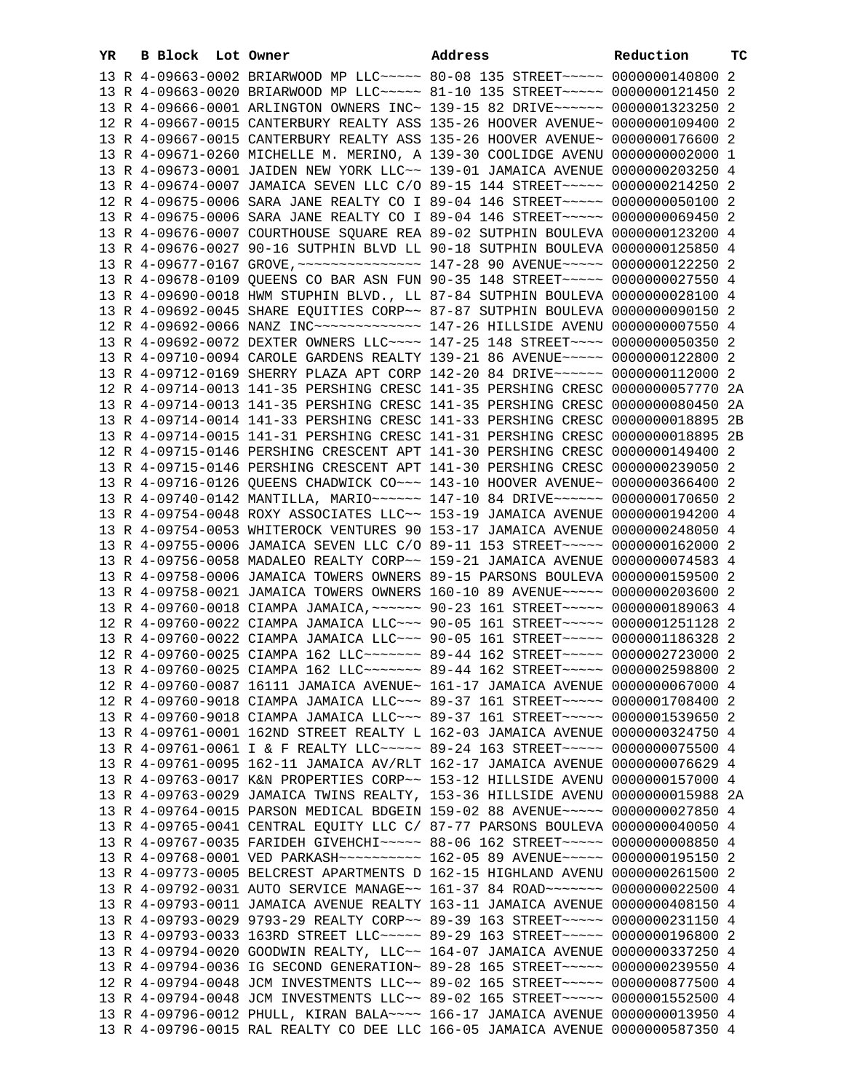| YR. | B Block Lot Owner |  | Address                                                                         | Reduction | тc |
|-----|-------------------|--|---------------------------------------------------------------------------------|-----------|----|
|     |                   |  | 13 R 4-09663-0002 BRIARWOOD MP LLC~~~~~ 80-08 135 STREET~~~~~ 0000000140800 2   |           |    |
|     |                   |  | 13 R 4-09663-0020 BRIARWOOD MP LLC ~~~~~ 81-10 135 STREET ~~~~~ 0000000121450 2 |           |    |
|     |                   |  | 13 R 4-09666-0001 ARLINGTON OWNERS INC~ 139-15 82 DRIVE~~~~~~ 0000001323250 2   |           |    |
|     |                   |  | 12 R 4-09667-0015 CANTERBURY REALTY ASS 135-26 HOOVER AVENUE~ 0000000109400 2   |           |    |
|     |                   |  | 13 R 4-09667-0015 CANTERBURY REALTY ASS 135-26 HOOVER AVENUE~ 0000000176600 2   |           |    |
|     |                   |  | 13 R 4-09671-0260 MICHELLE M. MERINO, A 139-30 COOLIDGE AVENU 0000000002000 1   |           |    |
|     |                   |  | 13 R 4-09673-0001 JAIDEN NEW YORK LLC~~ 139-01 JAMAICA AVENUE 0000000203250 4   |           |    |
|     |                   |  | 13 R 4-09674-0007 JAMAICA SEVEN LLC C/O 89-15 144 STREET~~~~~ 0000000214250 2   |           |    |
|     |                   |  | 12 R 4-09675-0006 SARA JANE REALTY CO I 89-04 146 STREET~~~~~ 0000000050100 2   |           |    |
|     |                   |  | 13 R 4-09675-0006 SARA JANE REALTY CO I 89-04 146 STREET~~~~~ 0000000069450 2   |           |    |
|     |                   |  | 13 R 4-09676-0007 COURTHOUSE SQUARE REA 89-02 SUTPHIN BOULEVA 0000000123200 4   |           |    |
|     |                   |  | 13 R 4-09676-0027 90-16 SUTPHIN BLVD LL 90-18 SUTPHIN BOULEVA 0000000125850 4   |           |    |
|     |                   |  | 13 R 4-09677-0167 GROVE, ~~~~~~~~~~~~~~~~ 147-28 90 AVENUE~~~~~ 0000000122250 2 |           |    |
|     |                   |  | 13 R 4-09678-0109 QUEENS CO BAR ASN FUN 90-35 148 STREET~~~~~ 0000000027550 4   |           |    |
|     |                   |  | 13 R 4-09690-0018 HWM STUPHIN BLVD., LL 87-84 SUTPHIN BOULEVA 0000000028100 4   |           |    |
|     |                   |  | 13 R 4-09692-0045 SHARE EQUITIES CORP~~ 87-87 SUTPHIN BOULEVA 0000000090150 2   |           |    |
|     |                   |  | 12 R 4-09692-0066 NANZ INC ------------- 147-26 HILLSIDE AVENU 0000000007550 4  |           |    |
|     |                   |  | 13 R 4-09692-0072 DEXTER OWNERS LLC --- 147-25 148 STREET --- 0000000050350 2   |           |    |
|     |                   |  | 13 R 4-09710-0094 CAROLE GARDENS REALTY 139-21 86 AVENUE~~~~~ 0000000122800 2   |           |    |
|     |                   |  | 13 R 4-09712-0169 SHERRY PLAZA APT CORP 142-20 84 DRIVE~~~~~~ 0000000112000 2   |           |    |
|     |                   |  | 12 R 4-09714-0013 141-35 PERSHING CRESC 141-35 PERSHING CRESC 0000000057770 2A  |           |    |
|     |                   |  | 13 R 4-09714-0013 141-35 PERSHING CRESC 141-35 PERSHING CRESC 0000000080450     |           | 2A |
|     |                   |  | 13 R 4-09714-0014 141-33 PERSHING CRESC 141-33 PERSHING CRESC 0000000018895 2B  |           |    |
|     |                   |  | 13 R 4-09714-0015 141-31 PERSHING CRESC 141-31 PERSHING CRESC 0000000018895 2B  |           |    |
|     |                   |  | 12 R 4-09715-0146 PERSHING CRESCENT APT 141-30 PERSHING CRESC 0000000149400 2   |           |    |
|     |                   |  | 13 R 4-09715-0146 PERSHING CRESCENT APT 141-30 PERSHING CRESC 0000000239050 2   |           |    |
|     |                   |  | 13 R 4-09716-0126 QUEENS CHADWICK CO~~~ 143-10 HOOVER AVENUE~ 0000000366400 2   |           |    |
|     |                   |  | 13 R 4-09740-0142 MANTILLA, MARIO ~~~~~~ 147-10 84 DRIVE ~~~~~~ 0000000170650 2 |           |    |
|     |                   |  | 13 R 4-09754-0048 ROXY ASSOCIATES LLC~~ 153-19 JAMAICA AVENUE 0000000194200 4   |           |    |
|     |                   |  | 13 R 4-09754-0053 WHITEROCK VENTURES 90 153-17 JAMAICA AVENUE 0000000248050 4   |           |    |
|     |                   |  | 13 R 4-09755-0006 JAMAICA SEVEN LLC C/O 89-11 153 STREET~~~~~ 0000000162000 2   |           |    |
|     |                   |  | 13 R 4-09756-0058 MADALEO REALTY CORP~~ 159-21 JAMAICA AVENUE 0000000074583 4   |           |    |
|     |                   |  | 13 R 4-09758-0006 JAMAICA TOWERS OWNERS 89-15 PARSONS BOULEVA 0000000159500 2   |           |    |
|     |                   |  | 13 R 4-09758-0021 JAMAICA TOWERS OWNERS 160-10 89 AVENUE~~~~~ 0000000203600 2   |           |    |
|     |                   |  | 13 R 4-09760-0018 CIAMPA JAMAICA, ~~~~~~ 90-23 161 STREET~~~~~ 0000000189063 4  |           |    |
|     |                   |  | 12 R 4-09760-0022 CIAMPA JAMAICA LLC~~~ 90-05 161 STREET~~~~~ 0000001251128 2   |           |    |
|     |                   |  | 13 R 4-09760-0022 CIAMPA JAMAICA LLC~~~ 90-05 161 STREET~~~~~ 0000001186328 2   |           |    |
|     |                   |  | 12 R 4-09760-0025 CIAMPA 162 LLC ------ 89-44 162 STREET ---- 0000002723000 2   |           |    |
|     |                   |  | 13 R 4-09760-0025 CIAMPA 162 LLC ------ 89-44 162 STREET ---- 0000002598800 2   |           |    |
|     |                   |  | 12 R 4-09760-0087 16111 JAMAICA AVENUE~ 161-17 JAMAICA AVENUE 0000000067000 4   |           |    |
|     |                   |  | 12 R 4-09760-9018 CIAMPA JAMAICA LLC~~~ 89-37 161 STREET~~~~~ 0000001708400 2   |           |    |
|     |                   |  | 13 R 4-09760-9018 CIAMPA JAMAICA LLC~~~ 89-37 161 STREET~~~~~ 0000001539650 2   |           |    |
|     |                   |  | 13 R 4-09761-0001 162ND STREET REALTY L 162-03 JAMAICA AVENUE 0000000324750 4   |           |    |
|     |                   |  | 13 R 4-09761-0061 I & F REALTY LLC ---- 89-24 163 STREET ---- 0000000075500 4   |           |    |
|     |                   |  | 13 R 4-09761-0095 162-11 JAMAICA AV/RLT 162-17 JAMAICA AVENUE 0000000076629 4   |           |    |
|     |                   |  | 13 R 4-09763-0017 K&N PROPERTIES CORP~~ 153-12 HILLSIDE AVENU 0000000157000 4   |           |    |
|     |                   |  | 13 R 4-09763-0029 JAMAICA TWINS REALTY, 153-36 HILLSIDE AVENU 0000000015988 2A  |           |    |
|     |                   |  | 13 R 4-09764-0015 PARSON MEDICAL BDGEIN 159-02 88 AVENUE~~~~~ 0000000027850 4   |           |    |
|     |                   |  | 13 R 4-09765-0041 CENTRAL EQUITY LLC C/ 87-77 PARSONS BOULEVA 0000000040050 4   |           |    |
|     |                   |  | 13 R 4-09767-0035 FARIDEH GIVEHCHI~~~~~ 88-06 162 STREET~~~~~ 0000000008850 4   |           |    |
|     |                   |  | 13 R 4-09768-0001 VED PARKASH~~~~~~~~~~ 162-05 89 AVENUE~~~~~ 0000000195150 2   |           |    |
|     |                   |  | 13 R 4-09773-0005 BELCREST APARTMENTS D 162-15 HIGHLAND AVENU 0000000261500 2   |           |    |
|     |                   |  | 13 R 4-09792-0031 AUTO SERVICE MANAGE~~ 161-37 84 ROAD~~~~~~~ 0000000022500 4   |           |    |
|     |                   |  | 13 R 4-09793-0011 JAMAICA AVENUE REALTY 163-11 JAMAICA AVENUE 0000000408150 4   |           |    |
|     |                   |  | 13 R 4-09793-0029 9793-29 REALTY CORP~~ 89-39 163 STREET~~~~~ 0000000231150 4   |           |    |
|     |                   |  | 13 R 4-09793-0033 163RD STREET LLC ~~~~~ 89-29 163 STREET ~~~~~ 0000000196800 2 |           |    |
|     |                   |  | 13 R 4-09794-0020 GOODWIN REALTY, LLC~~ 164-07 JAMAICA AVENUE 0000000337250 4   |           |    |
|     |                   |  | 13 R 4-09794-0036 IG SECOND GENERATION~ 89-28 165 STREET~~~~~ 0000000239550 4   |           |    |
|     |                   |  | 12 R 4-09794-0048 JCM INVESTMENTS LLC~~ 89-02 165 STREET~~~~~ 0000000877500 4   |           |    |
|     |                   |  | 13 R 4-09794-0048 JCM INVESTMENTS LLC~~ 89-02 165 STREET~~~~~ 0000001552500 4   |           |    |
|     |                   |  | 13 R 4-09796-0012 PHULL, KIRAN BALA~~~~ 166-17 JAMAICA AVENUE 0000000013950 4   |           |    |
|     |                   |  | 13 R 4-09796-0015 RAL REALTY CO DEE LLC 166-05 JAMAICA AVENUE 0000000587350 4   |           |    |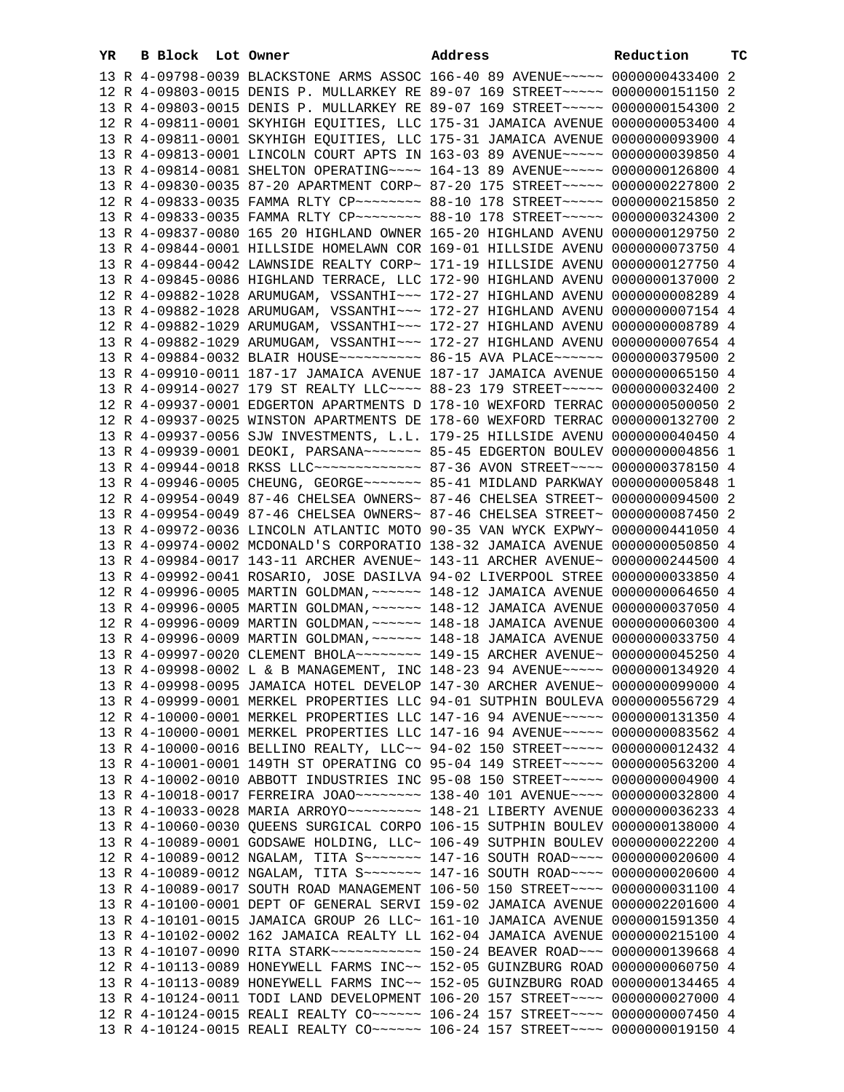| YR | B Block Lot Owner |                                                               | Address                                                                                 | Reduction       | ТC |
|----|-------------------|---------------------------------------------------------------|-----------------------------------------------------------------------------------------|-----------------|----|
|    |                   |                                                               | 13 R 4-09798-0039 BLACKSTONE ARMS ASSOC 166-40 89 AVENUE~~~~~ 0000000433400             |                 | 2  |
|    |                   |                                                               | 12 R 4-09803-0015 DENIS P. MULLARKEY RE 89-07 169 STREET~~~~~ 0000000151150 2           |                 |    |
|    |                   |                                                               | 13 R 4-09803-0015 DENIS P. MULLARKEY RE 89-07 169 STREET~~~~~ 0000000154300 2           |                 |    |
|    |                   |                                                               | 12 R 4-09811-0001 SKYHIGH EQUITIES, LLC 175-31 JAMAICA AVENUE 0000000053400 4           |                 |    |
|    |                   |                                                               | 13 R 4-09811-0001 SKYHIGH EQUITIES, LLC 175-31 JAMAICA AVENUE 0000000093900 4           |                 |    |
|    |                   |                                                               | 13 R 4-09813-0001 LINCOLN COURT APTS IN 163-03 89 AVENUE~~~~~ 0000000039850 4           |                 |    |
|    |                   |                                                               | 13 R 4-09814-0081 SHELTON OPERATING~~~~ 164-13 89 AVENUE~~~~~ 0000000126800 4           |                 |    |
|    |                   |                                                               | 13 R 4-09830-0035 87-20 APARTMENT CORP~ 87-20 175 STREET~~~~~ 0000000227800 2           |                 |    |
|    |                   |                                                               | 12 R 4-09833-0035 FAMMA RLTY CP~~~~~~~~~ 88-10 178 STREET~~~~~ 0000000215850            |                 | -2 |
|    |                   |                                                               | 13 R 4-09833-0035 FAMMA RLTY CP~~~~~~~~ 88-10 178 STREET~~~~~ 0000000324300             |                 | -2 |
|    |                   |                                                               | 13 R 4-09837-0080 165 20 HIGHLAND OWNER 165-20 HIGHLAND AVENU 0000000129750 2           |                 |    |
|    |                   |                                                               | 13 R 4-09844-0001 HILLSIDE HOMELAWN COR 169-01 HILLSIDE AVENU 0000000073750 4           |                 |    |
|    |                   |                                                               | 13 R 4-09844-0042 LAWNSIDE REALTY CORP~ 171-19 HILLSIDE AVENU 0000000127750 4           |                 |    |
|    |                   |                                                               | 13 R 4-09845-0086 HIGHLAND TERRACE, LLC 172-90 HIGHLAND AVENU 0000000137000 2           |                 |    |
|    |                   | 12 R 4-09882-1028 ARUMUGAM, VSSANTHI~~~ 172-27 HIGHLAND AVENU |                                                                                         | 0000000008289 4 |    |
|    |                   | 13 R 4-09882-1028 ARUMUGAM, VSSANTHI~~~ 172-27 HIGHLAND AVENU |                                                                                         | 0000000007154 4 |    |
|    |                   | 12 R 4-09882-1029 ARUMUGAM, VSSANTHI~~~ 172-27 HIGHLAND AVENU |                                                                                         | 0000000008789 4 |    |
|    |                   |                                                               | 13 R 4-09882-1029 ARUMUGAM, VSSANTHI~~~ 172-27 HIGHLAND AVENU 0000000007654 4           |                 |    |
|    |                   |                                                               | 13 R 4-09884-0032 BLAIR HOUSE~~~~~~~~~~~~~~~~~~ 86-15 AVA PLACE~~~~~~~~ 0000000379500 2 |                 |    |
|    |                   |                                                               | 13 R 4-09910-0011 187-17 JAMAICA AVENUE 187-17 JAMAICA AVENUE 0000000065150 4           |                 |    |
|    |                   |                                                               | 13 R 4-09914-0027 179 ST REALTY LLC~~~~ 88-23 179 STREET~~~~~ 0000000032400 2           |                 |    |
|    |                   |                                                               | 12 R 4-09937-0001 EDGERTON APARTMENTS D 178-10 WEXFORD TERRAC 0000000500050 2           |                 |    |
|    |                   |                                                               | 12 R 4-09937-0025 WINSTON APARTMENTS DE 178-60 WEXFORD TERRAC 0000000132700 2           |                 |    |
|    |                   |                                                               | 13 R 4-09937-0056 SJW INVESTMENTS, L.L. 179-25 HILLSIDE AVENU 0000000040450 4           |                 |    |
|    |                   |                                                               | 13 R 4-09939-0001 DEOKI, PARSANA~~~~~~~ 85-45 EDGERTON BOULEV                           | 0000000004856 1 |    |
|    |                   |                                                               | 13 R 4-09944-0018 RKSS LLC ------------- 87-36 AVON STREET ---- 0000000378150 4         |                 |    |
|    |                   |                                                               | 13 R 4-09946-0005 CHEUNG, GEORGE~~~~~~~ 85-41 MIDLAND PARKWAY 0000000005848 1           |                 |    |
|    |                   |                                                               | 12 R 4-09954-0049 87-46 CHELSEA OWNERS~ 87-46 CHELSEA STREET~                           | 0000000094500 2 |    |
|    |                   |                                                               | 13 R 4-09954-0049 87-46 CHELSEA OWNERS~ 87-46 CHELSEA STREET~                           | 0000000087450 2 |    |
|    |                   |                                                               | 13 R 4-09972-0036 LINCOLN ATLANTIC MOTO 90-35 VAN WYCK EXPWY~ 0000000441050 4           |                 |    |
|    |                   |                                                               | 13 R 4-09974-0002 MCDONALD'S CORPORATIO 138-32 JAMAICA AVENUE 0000000050850 4           |                 |    |
|    |                   |                                                               | 13 R 4-09984-0017 143-11 ARCHER AVENUE~ 143-11 ARCHER AVENUE~ 0000000244500 4           |                 |    |
|    |                   |                                                               | 13 R 4-09992-0041 ROSARIO, JOSE DASILVA 94-02 LIVERPOOL STREE 0000000033850 4           |                 |    |
|    |                   |                                                               | 12 R 4-09996-0005 MARTIN GOLDMAN, ~~~~~~ 148-12 JAMAICA AVENUE 0000000064650 4          |                 |    |
|    |                   |                                                               | 13 R 4-09996-0005 MARTIN GOLDMAN, ~~~~~~ 148-12 JAMAICA AVENUE 0000000037050 4          |                 |    |
|    |                   |                                                               | 12 R 4-09996-0009 MARTIN GOLDMAN, ~~~~~~ 148-18 JAMAICA AVENUE 0000000060300 4          |                 |    |
|    |                   |                                                               | 13 R 4-09996-0009 MARTIN GOLDMAN, ~~~~~~ 148-18 JAMAICA AVENUE 0000000033750 4          |                 |    |
|    |                   |                                                               | 13 R 4-09997-0020 CLEMENT BHOLA~~~~~~~~ 149-15 ARCHER AVENUE~ 0000000045250 4           |                 |    |
|    |                   |                                                               | 13 R 4-09998-0002 L & B MANAGEMENT, INC 148-23 94 AVENUE~~~~~ 0000000134920 4           |                 |    |
|    |                   |                                                               | 13 R 4-09998-0095 JAMAICA HOTEL DEVELOP 147-30 ARCHER AVENUE~ 0000000099000 4           |                 |    |
|    |                   |                                                               | 13 R 4-09999-0001 MERKEL PROPERTIES LLC 94-01 SUTPHIN BOULEVA 0000000556729 4           |                 |    |
|    |                   |                                                               | 12 R 4-10000-0001 MERKEL PROPERTIES LLC 147-16 94 AVENUE~~~~~ 0000000131350 4           |                 |    |
|    |                   |                                                               | 13 R 4-10000-0001 MERKEL PROPERTIES LLC 147-16 94 AVENUE~~~~~ 0000000083562 4           |                 |    |
|    |                   |                                                               | 13 R 4-10000-0016 BELLINO REALTY, LLC~~ 94-02 150 STREET~~~~~~ 0000000012432 4          |                 |    |
|    |                   |                                                               | 13 R 4-10001-0001 149TH ST OPERATING CO 95-04 149 STREET~~~~~ 0000000563200 4           |                 |    |
|    |                   |                                                               | 13 R 4-10002-0010 ABBOTT INDUSTRIES INC 95-08 150 STREET~~~~~ 0000000004900 4           |                 |    |
|    |                   |                                                               | 13 R 4-10018-0017 FERREIRA JOAO~~~~~~~~ 138-40 101 AVENUE~~~~                           | 0000000032800 4 |    |
|    |                   |                                                               |                                                                                         | 0000000036233 4 |    |
|    |                   |                                                               | 13 R 4-10060-0030 QUEENS SURGICAL CORPO 106-15 SUTPHIN BOULEV                           | 0000000138000 4 |    |
|    |                   |                                                               | 13 R 4-10089-0001 GODSAWE HOLDING, LLC~ 106-49 SUTPHIN BOULEV 0000000022200 4           |                 |    |
|    |                   |                                                               | 12 R 4-10089-0012 NGALAM, TITA S~~~~~~~ 147-16 SOUTH ROAD~~~~                           | 0000000020600 4 |    |
|    |                   | 13 R 4-10089-0012 NGALAM, TITA S~~~~~~~ 147-16 SOUTH ROAD~~~~ |                                                                                         | 0000000020600 4 |    |
|    |                   | 13 R 4-10089-0017 SOUTH ROAD MANAGEMENT 106-50 150 STREET~~~~ |                                                                                         | 0000000031100 4 |    |
|    |                   | 13 R 4-10100-0001 DEPT OF GENERAL SERVI 159-02 JAMAICA AVENUE |                                                                                         | 0000002201600 4 |    |
|    |                   | 13 R 4-10101-0015 JAMAICA GROUP 26 LLC~ 161-10 JAMAICA AVENUE |                                                                                         | 0000001591350 4 |    |
|    |                   | 13 R 4-10102-0002 162 JAMAICA REALTY LL 162-04 JAMAICA AVENUE |                                                                                         | 0000000215100 4 |    |
|    |                   |                                                               |                                                                                         | 0000000139668 4 |    |
|    |                   | 12 R 4-10113-0089 HONEYWELL FARMS INC~~ 152-05 GUINZBURG ROAD |                                                                                         | 0000000060750 4 |    |
|    |                   | 13 R 4-10113-0089 HONEYWELL FARMS INC~~ 152-05 GUINZBURG ROAD |                                                                                         | 0000000134465 4 |    |
|    |                   |                                                               | 13 R 4-10124-0011 TODI LAND DEVELOPMENT 106-20 157 STREET~~~~ 0000000027000 4           |                 |    |
|    |                   |                                                               | 12 R 4-10124-0015 REALI REALTY CO ----- 106-24 157 STREET --- 0000000007450 4           |                 |    |
|    |                   |                                                               | 13 R 4-10124-0015 REALI REALTY CO~~~~~~ 106-24 157 STREET~~~~ 0000000019150 4           |                 |    |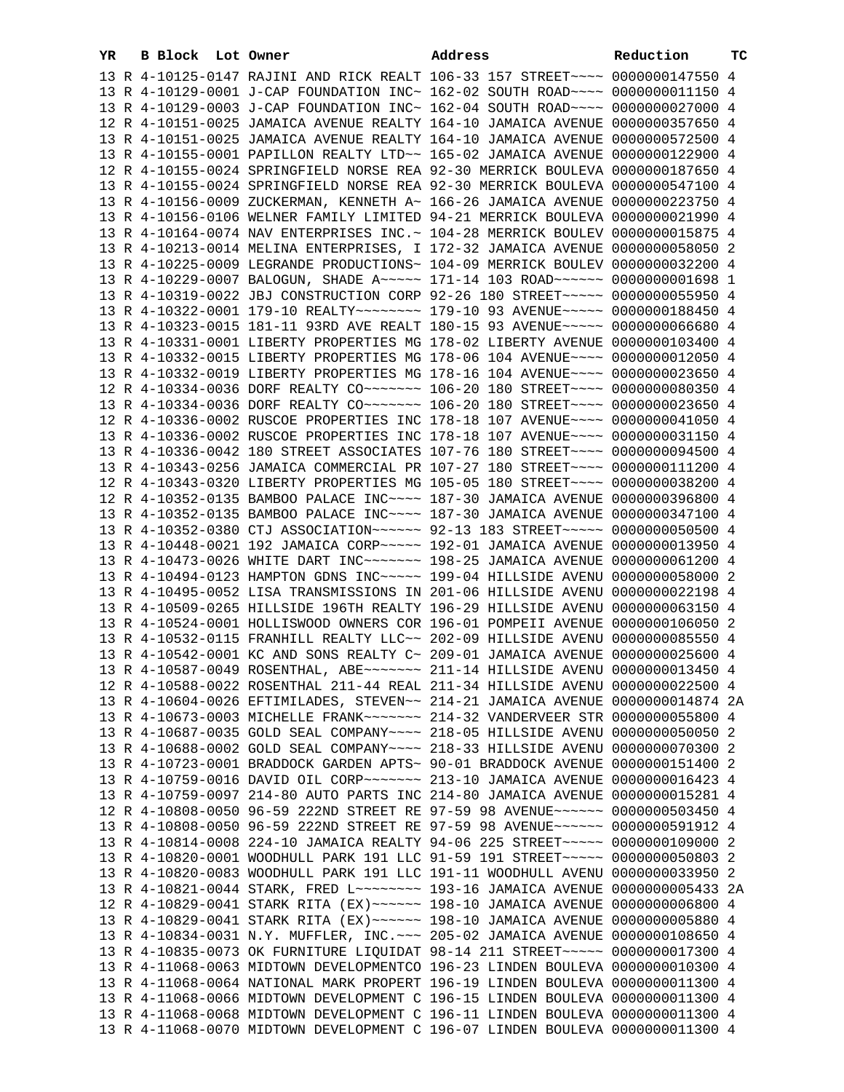| YR | B Block | Lot Owner                                                                                                                                                      | Address | Reduction       | тc |
|----|---------|----------------------------------------------------------------------------------------------------------------------------------------------------------------|---------|-----------------|----|
|    |         | 13 R 4-10125-0147 RAJINI AND RICK REALT 106-33 157 STREET~~~~ 0000000147550 4                                                                                  |         |                 |    |
|    |         | 13 R 4-10129-0001 J-CAP FOUNDATION INC~ 162-02 SOUTH ROAD~~~~ 0000000011150 4                                                                                  |         |                 |    |
|    |         | 13 R 4-10129-0003 J-CAP FOUNDATION INC~ 162-04 SOUTH ROAD~~~~ 0000000027000 4                                                                                  |         |                 |    |
|    |         | 12 R 4-10151-0025 JAMAICA AVENUE REALTY 164-10 JAMAICA AVENUE 0000000357650 4                                                                                  |         |                 |    |
|    |         | 13 R 4-10151-0025 JAMAICA AVENUE REALTY 164-10 JAMAICA AVENUE 0000000572500 4                                                                                  |         |                 |    |
|    |         | 13 R 4-10155-0001 PAPILLON REALTY LTD~~ 165-02 JAMAICA AVENUE 0000000122900 4                                                                                  |         |                 |    |
|    |         | 12 R 4-10155-0024 SPRINGFIELD NORSE REA 92-30 MERRICK BOULEVA 0000000187650 4                                                                                  |         |                 |    |
|    |         | 13 R 4-10155-0024 SPRINGFIELD NORSE REA 92-30 MERRICK BOULEVA 0000000547100 4                                                                                  |         |                 |    |
|    |         | 13 R 4-10156-0009 ZUCKERMAN, KENNETH A~ 166-26 JAMAICA AVENUE 0000000223750 4                                                                                  |         |                 |    |
|    |         | 13 R 4-10156-0106 WELNER FAMILY LIMITED 94-21 MERRICK BOULEVA 0000000021990 4                                                                                  |         |                 |    |
|    |         | 13 R 4-10164-0074 NAV ENTERPRISES INC.~ 104-28 MERRICK BOULEV 0000000015875 4                                                                                  |         |                 |    |
|    |         | 13 R 4-10213-0014 MELINA ENTERPRISES, I 172-32 JAMAICA AVENUE 0000000058050 2                                                                                  |         |                 |    |
|    |         | 13 R 4-10225-0009 LEGRANDE PRODUCTIONS~ 104-09 MERRICK BOULEV 0000000032200 4                                                                                  |         |                 |    |
|    |         | 13 R 4-10229-0007 BALOGUN, SHADE A~~~~~ 171-14 103 ROAD~~~~~~ 00000000001698 1                                                                                 |         |                 |    |
|    |         | 13 R 4-10319-0022 JBJ CONSTRUCTION CORP 92-26 180 STREET~~~~~ 0000000055950 4                                                                                  |         |                 |    |
|    |         | 13 R 4-10322-0001 179-10 REALTY~~~~~~~~ 179-10 93 AVENUE~~~~~ 0000000188450 4                                                                                  |         |                 |    |
|    |         | 13 R 4-10323-0015 181-11 93RD AVE REALT 180-15 93 AVENUE~~~~~ 0000000066680 4                                                                                  |         |                 |    |
|    |         | 13 R 4-10331-0001 LIBERTY PROPERTIES MG 178-02 LIBERTY AVENUE 0000000103400 4                                                                                  |         |                 |    |
|    |         | 13 R 4-10332-0015 LIBERTY PROPERTIES MG 178-06 104 AVENUE~~~~ 0000000012050 4                                                                                  |         |                 |    |
|    |         | 13 R 4-10332-0019 LIBERTY PROPERTIES MG 178-16 104 AVENUE~~~~ 0000000023650 4                                                                                  |         |                 |    |
|    |         | 12 R 4-10334-0036 DORF REALTY CO~~~~~~~ 106-20 180 STREET~~~~ 0000000080350 4                                                                                  |         |                 |    |
|    |         | 13 R 4-10334-0036 DORF REALTY CO~~~~~~~ 106-20 180 STREET~~~~ 0000000023650 4                                                                                  |         |                 |    |
|    |         | 12 R 4-10336-0002 RUSCOE PROPERTIES INC 178-18 107 AVENUE~~~~ 0000000041050 4                                                                                  |         |                 |    |
|    |         | 13 R 4-10336-0002 RUSCOE PROPERTIES INC 178-18 107 AVENUE~~~~ 0000000031150 4                                                                                  |         |                 |    |
|    |         | 13 R 4-10336-0042 180 STREET ASSOCIATES 107-76 180 STREET~~~~ 0000000094500 4                                                                                  |         |                 |    |
|    |         | 13 R 4-10343-0256 JAMAICA COMMERCIAL PR 107-27 180 STREET~~~~ 0000000111200 4                                                                                  |         |                 |    |
|    |         | 12 R 4-10343-0320 LIBERTY PROPERTIES MG 105-05 180 STREET~~~~ 0000000038200 4                                                                                  |         |                 |    |
|    |         | 12 R 4-10352-0135 BAMBOO PALACE INC~~~~ 187-30 JAMAICA AVENUE 0000000396800 4                                                                                  |         |                 |    |
|    |         | 13 R 4-10352-0135 BAMBOO PALACE INC~~~~ 187-30 JAMAICA AVENUE 0000000347100 4                                                                                  |         |                 |    |
|    |         | 13 R 4-10352-0380 CTJ ASSOCIATION~~~~~~ 92-13 183 STREET~~~~~ 0000000050500 4                                                                                  |         |                 |    |
|    |         | 13 R 4-10448-0021 192 JAMAICA CORP~~~~~ 192-01 JAMAICA AVENUE                                                                                                  |         | 0000000013950 4 |    |
|    |         | 13 R 4-10473-0026 WHITE DART INC~~~~~~~ 198-25 JAMAICA AVENUE                                                                                                  |         | 0000000061200 4 |    |
|    |         | 13 R 4-10494-0123 HAMPTON GDNS INC~~~~~ 199-04 HILLSIDE AVENU 0000000058000 2                                                                                  |         |                 |    |
|    |         | 13 R 4-10495-0052 LISA TRANSMISSIONS IN 201-06 HILLSIDE AVENU 0000000022198 4                                                                                  |         |                 |    |
|    |         | 13 R 4-10509-0265 HILLSIDE 196TH REALTY 196-29 HILLSIDE AVENU 0000000063150 4                                                                                  |         |                 |    |
|    |         | 13 R 4-10524-0001 HOLLISWOOD OWNERS COR 196-01 POMPEII AVENUE 0000000106050 2                                                                                  |         |                 |    |
|    |         | 13 R 4-10532-0115 FRANHILL REALTY LLC~~ 202-09 HILLSIDE AVENU 0000000085550 4                                                                                  |         |                 |    |
|    |         | 13 R 4-10542-0001 KC AND SONS REALTY C~ 209-01 JAMAICA AVENUE 0000000025600 4                                                                                  |         |                 |    |
|    |         | 13 R 4-10587-0049 ROSENTHAL, ABE~~~~~~~ 211-14 HILLSIDE AVENU 0000000013450 4                                                                                  |         |                 |    |
|    |         | 12 R 4-10588-0022 ROSENTHAL 211-44 REAL 211-34 HILLSIDE AVENU 0000000022500 4                                                                                  |         |                 |    |
|    |         | 13 R 4-10604-0026 EFTIMILADES, STEVEN~~ 214-21 JAMAICA AVENUE 0000000014874 2A                                                                                 |         |                 |    |
|    |         | 13 R 4-10673-0003 MICHELLE FRANK~~~~~~~ 214-32 VANDERVEER STR 0000000055800 4                                                                                  |         |                 |    |
|    |         | 13 R 4-10687-0035 GOLD SEAL COMPANY~~~~ 218-05 HILLSIDE AVENU 0000000050050 2                                                                                  |         |                 |    |
|    |         | 13 R 4-10688-0002 GOLD SEAL COMPANY~~~~ 218-33 HILLSIDE AVENU 0000000070300 2                                                                                  |         |                 |    |
|    |         | 13 R 4-10723-0001 BRADDOCK GARDEN APTS~ 90-01 BRADDOCK AVENUE 0000000151400 2                                                                                  |         |                 |    |
|    |         | 13 R 4-10759-0016 DAVID OIL CORP~~~~~~~ 213-10 JAMAICA AVENUE 0000000016423 4                                                                                  |         |                 |    |
|    |         | 13 R 4-10759-0097 214-80 AUTO PARTS INC 214-80 JAMAICA AVENUE 0000000015281 4                                                                                  |         |                 |    |
|    |         | 12 R 4-10808-0050 96-59 222ND STREET RE 97-59 98 AVENUE~~~~~~ 0000000503450 4<br>13 R 4-10808-0050 96-59 222ND STREET RE 97-59 98 AVENUE~~~~~~ 0000000591912 4 |         |                 |    |
|    |         |                                                                                                                                                                |         |                 |    |
|    |         | 13 R 4-10814-0008 224-10 JAMAICA REALTY 94-06 225 STREET~~~~~ 0000000109000 2<br>13 R 4-10820-0001 WOODHULL PARK 191 LLC 91-59 191 STREET~~~~~ 0000000050803 2 |         |                 |    |
|    |         | 13 R 4-10820-0083 WOODHULL PARK 191 LLC 191-11 WOODHULL AVENU 0000000033950 2                                                                                  |         |                 |    |
|    |         | 13 R 4-10821-0044 STARK, FRED L~~~~~~~~ 193-16 JAMAICA AVENUE 0000000005433 2A                                                                                 |         |                 |    |
|    |         | 12 R 4-10829-0041 STARK RITA (EX) ~~~~~~ 198-10 JAMAICA AVENUE 0000000006800 4                                                                                 |         |                 |    |
|    |         | 13 R 4-10829-0041 STARK RITA (EX) ~~~~~~ 198-10 JAMAICA AVENUE 0000000005880 4                                                                                 |         |                 |    |
|    |         | 13 R 4-10834-0031 N.Y. MUFFLER, INC. ~~~ 205-02 JAMAICA AVENUE 0000000108650 4                                                                                 |         |                 |    |
|    |         | 13 R 4-10835-0073 OK FURNITURE LIQUIDAT 98-14 211 STREET~~~~~ 0000000017300 4                                                                                  |         |                 |    |
|    |         | 13 R 4-11068-0063 MIDTOWN DEVELOPMENTCO 196-23 LINDEN BOULEVA 0000000010300 4                                                                                  |         |                 |    |
|    |         | 13 R 4-11068-0064 NATIONAL MARK PROPERT 196-19 LINDEN BOULEVA 0000000011300 4                                                                                  |         |                 |    |
|    |         | 13 R 4-11068-0066 MIDTOWN DEVELOPMENT C 196-15 LINDEN BOULEVA 0000000011300 4                                                                                  |         |                 |    |
|    |         | 13 R 4-11068-0068 MIDTOWN DEVELOPMENT C 196-11 LINDEN BOULEVA 0000000011300 4                                                                                  |         |                 |    |
|    |         | 13 R 4-11068-0070 MIDTOWN DEVELOPMENT C 196-07 LINDEN BOULEVA 0000000011300 4                                                                                  |         |                 |    |
|    |         |                                                                                                                                                                |         |                 |    |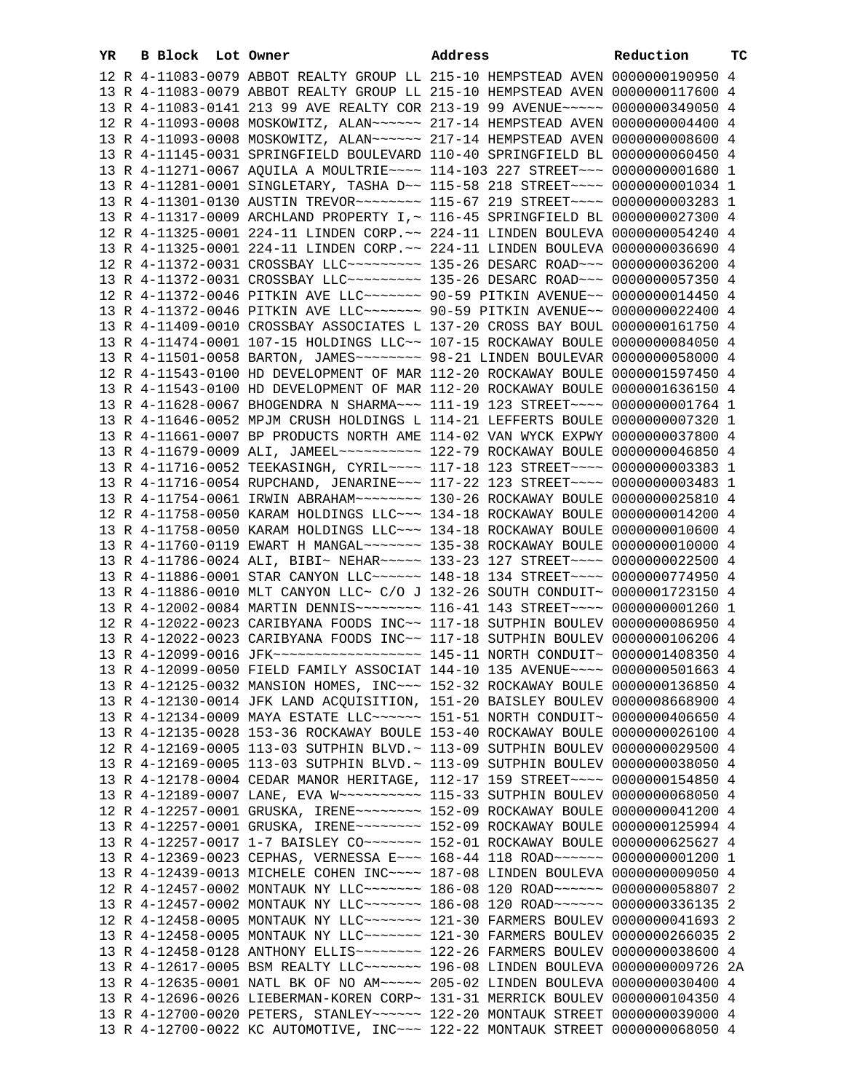| YR | B Block Lot Owner |                                                                                 | Address | Reduction | ТC |
|----|-------------------|---------------------------------------------------------------------------------|---------|-----------|----|
|    |                   | 12 R 4-11083-0079 ABBOT REALTY GROUP LL 215-10 HEMPSTEAD AVEN 0000000190950 4   |         |           |    |
|    |                   | 13 R 4-11083-0079 ABBOT REALTY GROUP LL 215-10 HEMPSTEAD AVEN 0000000117600 4   |         |           |    |
|    |                   | 13 R 4-11083-0141 213 99 AVE REALTY COR 213-19 99 AVENUE~~~~~ 0000000349050 4   |         |           |    |
|    |                   | 12 R 4-11093-0008 MOSKOWITZ, ALAN~~~~~~ 217-14 HEMPSTEAD AVEN 0000000004400 4   |         |           |    |
|    |                   | 13 R 4-11093-0008 MOSKOWITZ, ALAN~~~~~~ 217-14 HEMPSTEAD AVEN 0000000008600 4   |         |           |    |
|    |                   | 13 R 4-11145-0031 SPRINGFIELD BOULEVARD 110-40 SPRINGFIELD BL 0000000060450 4   |         |           |    |
|    |                   | 13 R 4-11271-0067 AQUILA A MOULTRIE~~~~ 114-103 227 STREET~~~ 0000000001680 1   |         |           |    |
|    |                   | 13 R 4-11281-0001 SINGLETARY, TASHA D~~ 115-58 218 STREET~~~~ 00000000001034 1  |         |           |    |
|    |                   | 13 R 4-11301-0130 AUSTIN TREVOR~~~~~~~~ 115-67 219 STREET~~~~ 0000000003283 1   |         |           |    |
|    |                   | 13 R 4-11317-0009 ARCHLAND PROPERTY I,~ 116-45 SPRINGFIELD BL 0000000027300 4   |         |           |    |
|    |                   | 12 R 4-11325-0001 224-11 LINDEN CORP.~~ 224-11 LINDEN BOULEVA 0000000054240 4   |         |           |    |
|    |                   | 13 R 4-11325-0001 224-11 LINDEN CORP.~~ 224-11 LINDEN BOULEVA 0000000036690 4   |         |           |    |
|    |                   | 12 R 4-11372-0031 CROSSBAY LLC -------- 135-26 DESARC ROAD -- 0000000036200 4   |         |           |    |
|    |                   | 13 R 4-11372-0031 CROSSBAY LLC~~~~~~~~~ 135-26 DESARC ROAD~~~ 0000000057350 4   |         |           |    |
|    |                   | 12 R 4-11372-0046 PITKIN AVE LLC ------ 90-59 PITKIN AVENUE -~ 0000000014450 4  |         |           |    |
|    |                   | 13 R 4-11372-0046 PITKIN AVE LLC ------ 90-59 PITKIN AVENUE -~ 0000000022400 4  |         |           |    |
|    |                   | 13 R 4-11409-0010 CROSSBAY ASSOCIATES L 137-20 CROSS BAY BOUL 0000000161750 4   |         |           |    |
|    |                   | 13 R 4-11474-0001 107-15 HOLDINGS LLC~~ 107-15 ROCKAWAY BOULE 0000000084050 4   |         |           |    |
|    |                   | 13 R 4-11501-0058 BARTON, JAMES~~~~~~~~ 98-21 LINDEN BOULEVAR 0000000058000 4   |         |           |    |
|    |                   | 12 R 4-11543-0100 HD DEVELOPMENT OF MAR 112-20 ROCKAWAY BOULE 0000001597450 4   |         |           |    |
|    |                   | 13 R 4-11543-0100 HD DEVELOPMENT OF MAR 112-20 ROCKAWAY BOULE 0000001636150 4   |         |           |    |
|    |                   | 13 R 4-11628-0067 BHOGENDRA N SHARMA~~~ 111-19 123 STREET~~~~ 00000000001764 1  |         |           |    |
|    |                   | 13 R 4-11646-0052 MPJM CRUSH HOLDINGS L 114-21 LEFFERTS BOULE 0000000007320 1   |         |           |    |
|    |                   | 13 R 4-11661-0007 BP PRODUCTS NORTH AME 114-02 VAN WYCK EXPWY 0000000037800 4   |         |           |    |
|    |                   | 13 R 4-11679-0009 ALI, JAMEEL~~~~~~~~~~~ 122-79 ROCKAWAY BOULE 0000000046850 4  |         |           |    |
|    |                   | 13 R 4-11716-0052 TEEKASINGH, CYRIL~~~~ 117-18 123 STREET~~~~ 0000000003383 1   |         |           |    |
|    |                   | 13 R 4-11716-0054 RUPCHAND, JENARINE~~~ 117-22 123 STREET~~~~ 0000000003483 1   |         |           |    |
|    |                   | 13 R 4-11754-0061 IRWIN ABRAHAM~~~~~~~~ 130-26 ROCKAWAY BOULE 0000000025810 4   |         |           |    |
|    |                   | 12 R 4-11758-0050 KARAM HOLDINGS LLC~~~ 134-18 ROCKAWAY BOULE 0000000014200 4   |         |           |    |
|    |                   | 13 R 4-11758-0050 KARAM HOLDINGS LLC~~~ 134-18 ROCKAWAY BOULE 0000000010600 4   |         |           |    |
|    |                   | 13 R 4-11760-0119 EWART H MANGAL~~~~~~~ 135-38 ROCKAWAY BOULE 0000000010000 4   |         |           |    |
|    |                   | 13 R 4-11786-0024 ALI, BIBI~ NEHAR~~~~~ 133-23 127 STREET~~~~ 0000000022500 4   |         |           |    |
|    |                   | 13 R 4-11886-0001 STAR CANYON LLC ~~~~~~ 148-18 134 STREET ~~~~ 0000000774950 4 |         |           |    |
|    |                   | 13 R 4-11886-0010 MLT CANYON LLC~ C/O J 132-26 SOUTH CONDUIT~ 0000001723150 4   |         |           |    |
|    |                   | 13 R 4-12002-0084 MARTIN DENNIS~~~~~~~~ 116-41 143 STREET~~~~ 0000000001260 1   |         |           |    |
|    |                   | 12 R 4-12022-0023 CARIBYANA FOODS INC~~ 117-18 SUTPHIN BOULEV 0000000086950 4   |         |           |    |
|    |                   | 13 R 4-12022-0023 CARIBYANA FOODS INC~~ 117-18 SUTPHIN BOULEV 0000000106206 4   |         |           |    |
|    |                   |                                                                                 |         |           |    |
|    |                   | 13 R 4-12099-0050 FIELD FAMILY ASSOCIAT 144-10 135 AVENUE~~~~ 0000000501663 4   |         |           |    |
|    |                   | 13 R 4-12125-0032 MANSION HOMES, INC~~~ 152-32 ROCKAWAY BOULE 0000000136850 4   |         |           |    |
|    |                   | 13 R 4-12130-0014 JFK LAND ACQUISITION, 151-20 BAISLEY BOULEV 0000008668900 4   |         |           |    |
|    |                   | 13 R 4-12134-0009 MAYA ESTATE LLC ~~~~~~ 151-51 NORTH CONDUIT~ 0000000406650 4  |         |           |    |
|    |                   | 13 R 4-12135-0028 153-36 ROCKAWAY BOULE 153-40 ROCKAWAY BOULE 0000000026100 4   |         |           |    |
|    |                   | 12 R 4-12169-0005 113-03 SUTPHIN BLVD.~ 113-09 SUTPHIN BOULEV 0000000029500 4   |         |           |    |
|    |                   | 13 R 4-12169-0005 113-03 SUTPHIN BLVD. ~ 113-09 SUTPHIN BOULEV 0000000038050 4  |         |           |    |
|    |                   | 13 R 4-12178-0004 CEDAR MANOR HERITAGE, 112-17 159 STREET~~~~ 0000000154850 4   |         |           |    |
|    |                   |                                                                                 |         |           |    |
|    |                   | 12 R 4-12257-0001 GRUSKA, IRENE~~~~~~~~ 152-09 ROCKAWAY BOULE 0000000041200 4   |         |           |    |
|    |                   | 13 R 4-12257-0001 GRUSKA, IRENE~~~~~~~~ 152-09 ROCKAWAY BOULE 0000000125994 4   |         |           |    |
|    |                   | 13 R 4-12257-0017 1-7 BAISLEY CO~~~~~~~ 152-01 ROCKAWAY BOULE 0000000625627 4   |         |           |    |
|    |                   | 13 R 4-12369-0023 CEPHAS, VERNESSA E~~~ 168-44 118 ROAD~~~~~~ 0000000001200 1   |         |           |    |
|    |                   | 13 R 4-12439-0013 MICHELE COHEN INC~~~~ 187-08 LINDEN BOULEVA 0000000009050 4   |         |           |    |
|    |                   | 12 R 4-12457-0002 MONTAUK NY LLC~~~~~~~ 186-08 120 ROAD~~~~~~ 0000000058807 2   |         |           |    |
|    |                   | 13 R 4-12457-0002 MONTAUK NY LLC~~~~~~~ 186-08 120 ROAD~~~~~~ 0000000336135 2   |         |           |    |
|    |                   | 12 R 4-12458-0005 MONTAUK NY LLC ------ 121-30 FARMERS BOULEV 0000000041693 2   |         |           |    |
|    |                   | 13 R 4-12458-0005 MONTAUK NY LLC ------ 121-30 FARMERS BOULEV 0000000266035 2   |         |           |    |
|    |                   |                                                                                 |         |           |    |
|    |                   | 13 R 4-12617-0005 BSM REALTY LLC~~~~~~~ 196-08 LINDEN BOULEVA 0000000009726 2A  |         |           |    |
|    |                   | 13 R 4-12635-0001 NATL BK OF NO AM~~~~~ 205-02 LINDEN BOULEVA 0000000030400 4   |         |           |    |
|    |                   | 13 R 4-12696-0026 LIEBERMAN-KOREN CORP~ 131-31 MERRICK BOULEV 0000000104350 4   |         |           |    |
|    |                   | 13 R 4-12700-0020 PETERS, STANLEY~~~~~~ 122-20 MONTAUK STREET 0000000039000 4   |         |           |    |
|    |                   | 13 R 4-12700-0022 KC AUTOMOTIVE, INC~~~ 122-22 MONTAUK STREET 0000000068050 4   |         |           |    |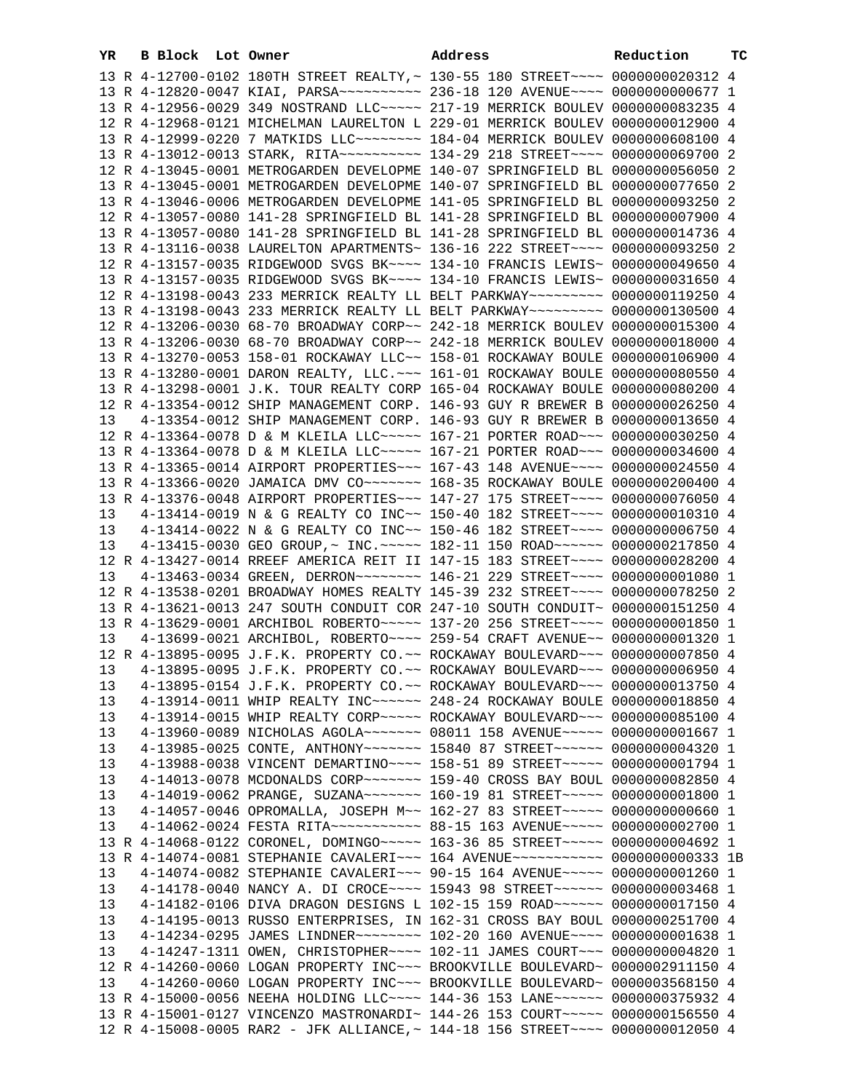| YR | B Block Lot Owner |                                                                                          | Address | Reduction | тc |
|----|-------------------|------------------------------------------------------------------------------------------|---------|-----------|----|
|    |                   | 13 R 4-12700-0102 180TH STREET REALTY, ~ 130-55 180 STREET~~~~ 0000000020312 4           |         |           |    |
|    |                   | 13 R 4-12820-0047 KIAI, PARSA~~~~~~~~~~~~~~ 236-18 120 AVENUE~~~~~ 0000000000677 1       |         |           |    |
|    |                   | 13 R 4-12956-0029 349 NOSTRAND LLC ~~~~~ 217-19 MERRICK BOULEV 0000000083235 4           |         |           |    |
|    |                   | 12 R 4-12968-0121 MICHELMAN LAURELTON L 229-01 MERRICK BOULEV 0000000012900 4            |         |           |    |
|    |                   | 13 R 4-12999-0220 7 MATKIDS LLC~~~~~~~~ 184-04 MERRICK BOULEV 0000000608100 4            |         |           |    |
|    |                   | 13 R 4-13012-0013 STARK, RITA~~~~~~~~~~ 134-29 218 STREET~~~~ 0000000069700 2            |         |           |    |
|    |                   | 12 R 4-13045-0001 METROGARDEN DEVELOPME 140-07 SPRINGFIELD BL 0000000056050 2            |         |           |    |
|    |                   | 13 R 4-13045-0001 METROGARDEN DEVELOPME 140-07 SPRINGFIELD BL 0000000077650 2            |         |           |    |
|    |                   | 13 R 4-13046-0006 METROGARDEN DEVELOPME 141-05 SPRINGFIELD BL 0000000093250 2            |         |           |    |
|    |                   | 12 R 4-13057-0080 141-28 SPRINGFIELD BL 141-28 SPRINGFIELD BL 0000000007900 4            |         |           |    |
|    |                   | 13 R 4-13057-0080 141-28 SPRINGFIELD BL 141-28 SPRINGFIELD BL 0000000014736 4            |         |           |    |
|    |                   |                                                                                          |         |           |    |
|    |                   | 13 R 4-13116-0038 LAURELTON APARTMENTS~ 136-16 222 STREET~~~~ 0000000093250 2            |         |           |    |
|    |                   | 12 R 4-13157-0035 RIDGEWOOD SVGS BK~~~~ 134-10 FRANCIS LEWIS~ 0000000049650 4            |         |           |    |
|    |                   | 13 R 4-13157-0035 RIDGEWOOD SVGS BK~~~~ 134-10 FRANCIS LEWIS~ 0000000031650 4            |         |           |    |
|    |                   | 12 R 4-13198-0043 233 MERRICK REALTY LL BELT PARKWAY~~~~~~~~~ 0000000119250 4            |         |           |    |
|    |                   | 13 R 4-13198-0043 233 MERRICK REALTY LL BELT PARKWAY~~~~~~~~~ 0000000130500 4            |         |           |    |
|    |                   | 12 R 4-13206-0030 68-70 BROADWAY CORP~~ 242-18 MERRICK BOULEV 0000000015300 4            |         |           |    |
|    |                   | 13 R 4-13206-0030 68-70 BROADWAY CORP~~ 242-18 MERRICK BOULEV 0000000018000 4            |         |           |    |
|    |                   | 13 R 4-13270-0053 158-01 ROCKAWAY LLC~~ 158-01 ROCKAWAY BOULE 0000000106900 4            |         |           |    |
|    |                   | 13 R 4-13280-0001 DARON REALTY, LLC. ~~~ 161-01 ROCKAWAY BOULE 0000000080550 4           |         |           |    |
|    |                   | 13 R 4-13298-0001 J.K. TOUR REALTY CORP 165-04 ROCKAWAY BOULE 0000000080200 4            |         |           |    |
|    |                   | 12 R 4-13354-0012 SHIP MANAGEMENT CORP. 146-93 GUY R BREWER B 0000000026250 4            |         |           |    |
| 13 |                   | 4-13354-0012 SHIP MANAGEMENT CORP. 146-93 GUY R BREWER B 0000000013650 4                 |         |           |    |
|    |                   | 12 R 4-13364-0078 D & M KLEILA LLC~~~~~ 167-21 PORTER ROAD~~~ 0000000030250 4            |         |           |    |
|    |                   | 13 R 4-13364-0078 D & M KLEILA LLC~~~~~ 167-21 PORTER ROAD~~~ 0000000034600 4            |         |           |    |
|    |                   | 13 R 4-13365-0014 AIRPORT PROPERTIES~~~ 167-43 148 AVENUE~~~~ 0000000024550 4            |         |           |    |
|    |                   | 13 R 4-13366-0020 JAMAICA DMV CO~~~~~~~ 168-35 ROCKAWAY BOULE 0000000200400 4            |         |           |    |
|    |                   | 13 R 4-13376-0048 AIRPORT PROPERTIES ~~~ 147-27 175 STREET ~~~~ 0000000076050 4          |         |           |    |
| 13 |                   | 4-13414-0019 N & G REALTY CO INC~~ 150-40 182 STREET~~~~ 0000000010310 4                 |         |           |    |
| 13 |                   | 4-13414-0022 N & G REALTY CO INC~~ 150-46 182 STREET~~~~ 0000000006750 4                 |         |           |    |
| 13 |                   | 4-13415-0030 GEO GROUP,~ INC.~~~~~ 182-11 150 ROAD~~~~~~ 0000000217850 4                 |         |           |    |
|    |                   | 12 R 4-13427-0014 RREEF AMERICA REIT II 147-15 183 STREET~~~~ 0000000028200 4            |         |           |    |
| 13 |                   | 4-13463-0034 GREEN, DERRON~~~~~~~~ 146-21 229 STREET~~~~ 0000000001080 1                 |         |           |    |
|    |                   | 12 R 4-13538-0201 BROADWAY HOMES REALTY 145-39 232 STREET~~~~ 0000000078250 2            |         |           |    |
|    |                   | 13 R 4-13621-0013 247 SOUTH CONDUIT COR 247-10 SOUTH CONDUIT~ 0000000151250 4            |         |           |    |
|    |                   | 13 R 4-13629-0001 ARCHIBOL ROBERTO~~~~~ 137-20 256 STREET~~~~ 00000000001850 1           |         |           |    |
| 13 |                   | 4-13699-0021 ARCHIBOL, ROBERTO~~~~ 259-54 CRAFT AVENUE~~ 0000000001320 1                 |         |           |    |
|    |                   | 12 R 4-13895-0095 J.F.K. PROPERTY CO.~~ ROCKAWAY BOULEVARD~~~ 0000000007850 4            |         |           |    |
|    |                   | 13 4-13895-0095 J.F.K. PROPERTY CO.~~ ROCKAWAY BOULEVARD~~~ 0000000006950 4              |         |           |    |
| 13 |                   | 4-13895-0154 J.F.K. PROPERTY CO.~~ ROCKAWAY BOULEVARD~~~ 0000000013750 4                 |         |           |    |
| 13 |                   | 4-13914-0011 WHIP REALTY INC~~~~~~ 248-24 ROCKAWAY BOULE 0000000018850 4                 |         |           |    |
| 13 |                   | 4-13914-0015 WHIP REALTY CORP~~~~~ ROCKAWAY BOULEVARD~~~ 0000000085100 4                 |         |           |    |
| 13 |                   | 4-13960-0089 NICHOLAS AGOLA~~~~~~~ 08011 158 AVENUE~~~~~ 0000000001667 1                 |         |           |    |
| 13 |                   | 4-13985-0025 CONTE, ANTHONY ------ 15840 87 STREET ----- 0000000004320 1                 |         |           |    |
| 13 |                   | 4-13988-0038 VINCENT DEMARTINO~~~~ 158-51 89 STREET~~~~~ 0000000001794 1                 |         |           |    |
| 13 |                   | 4-14013-0078 MCDONALDS CORP ~~~~~~~ 159-40 CROSS BAY BOUL 0000000082850 4                |         |           |    |
| 13 |                   | 4-14019-0062 PRANGE, SUZANA~~~~~~~ 160-19 81 STREET~~~~~ 0000000001800 1                 |         |           |    |
|    |                   |                                                                                          |         |           |    |
| 13 |                   | 4-14057-0046 OPROMALLA, JOSEPH M~~ 162-27 83 STREET~~~~~ 0000000000660 1                 |         |           |    |
| 13 |                   | 4-14062-0024 FESTA RITA~~~~~~~~~~~ 88-15 163 AVENUE~~~~~ 0000000002700 1                 |         |           |    |
|    |                   | 13 R 4-14068-0122 CORONEL, DOMINGO~~~~~ 163-36 85 STREET~~~~~ 0000000004692 1            |         |           |    |
|    |                   | 13 R 4-14074-0081 STEPHANIE CAVALERI~~~ 164 AVENUE~~~~~~~~~~~ 0000000000333 1B           |         |           |    |
| 13 |                   | 4-14074-0082 STEPHANIE CAVALERI~~~ 90-15 164 AVENUE~~~~~ 0000000001260 1                 |         |           |    |
| 13 |                   | 4-14178-0040 NANCY A. DI CROCE~~~~ 15943 98 STREET~~~~~~ 0000000003468 1                 |         |           |    |
| 13 |                   | 4-14182-0106 DIVA DRAGON DESIGNS L 102-15 159 ROAD~~~~~~ 0000000017150 4                 |         |           |    |
| 13 |                   | 4-14195-0013 RUSSO ENTERPRISES, IN 162-31 CROSS BAY BOUL 0000000251700 4                 |         |           |    |
| 13 |                   | 4-14234-0295 JAMES LINDNER -------- 102-20 160 AVENUE --- 0000000001638 1                |         |           |    |
| 13 |                   | 4-14247-1311 OWEN, CHRISTOPHER~~~~ 102-11 JAMES COURT~~~ 0000000004820 1                 |         |           |    |
|    |                   | 12 R 4-14260-0060 LOGAN PROPERTY INC~~~ BROOKVILLE BOULEVARD~ 0000002911150 4            |         |           |    |
| 13 |                   | $4-14260-0060$ LOGAN PROPERTY INC $\sim\sim$ BROOKVILLE BOULEVARD $\sim$ 0000003568150 4 |         |           |    |
|    |                   | 13 R 4-15000-0056 NEEHA HOLDING LLC~~~~ 144-36 153 LANE~~~~~~ 0000000375932 4            |         |           |    |
|    |                   | 13 R 4-15001-0127 VINCENZO MASTRONARDI~ 144-26 153 COURT~~~~~ 0000000156550 4            |         |           |    |
|    |                   | 12 R 4-15008-0005 RAR2 - JFK ALLIANCE, ~ 144-18 156 STREET~~~~ 0000000012050 4           |         |           |    |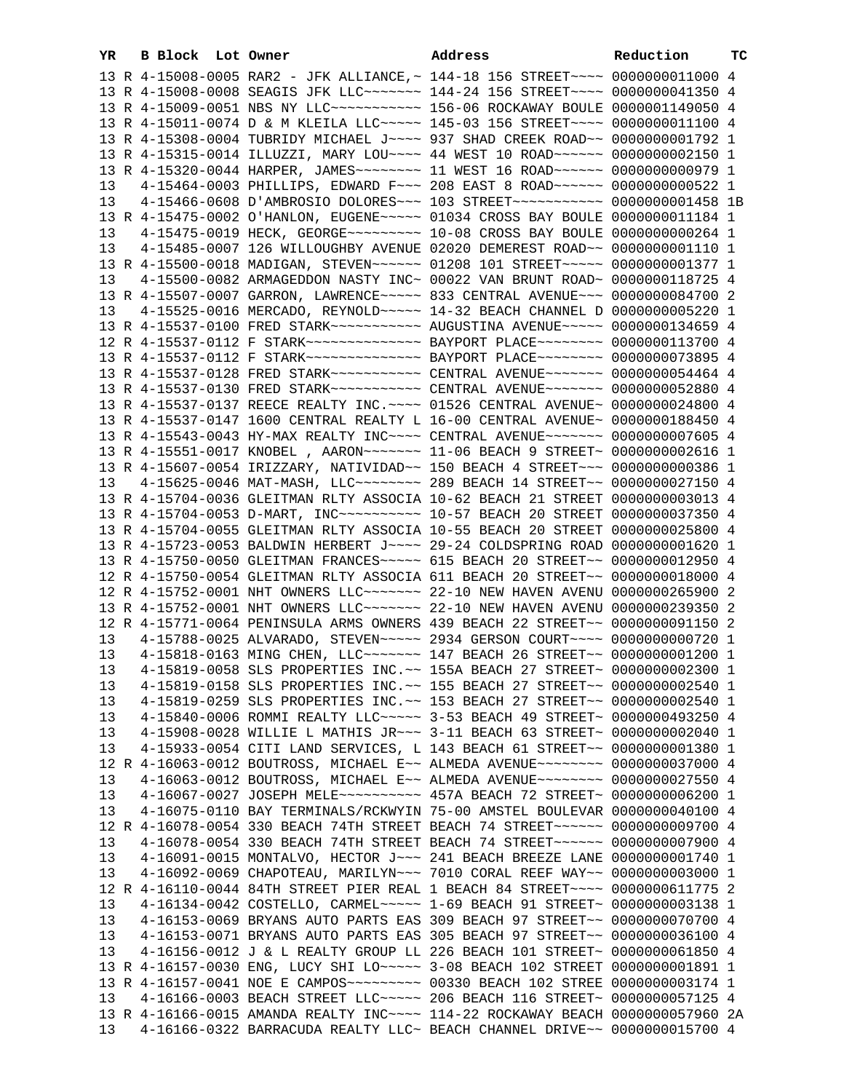| YR | B Block Lot Owner |  | Address                                                                                                                                                   | Reduction | ТC |
|----|-------------------|--|-----------------------------------------------------------------------------------------------------------------------------------------------------------|-----------|----|
|    |                   |  | 13 R 4-15008-0005 RAR2 - JFK ALLIANCE, ~ 144-18 156 STREET~~~~ 0000000011000 4                                                                            |           |    |
|    |                   |  | 13 R 4-15008-0008 SEAGIS JFK LLC ------- 144-24 156 STREET --- 0000000041350 4                                                                            |           |    |
|    |                   |  | 13 R 4-15009-0051 NBS NY LLC ----------- 156-06 ROCKAWAY BOULE 0000001149050 4                                                                            |           |    |
|    |                   |  | 13 R 4-15011-0074 D & M KLEILA LLC~~~~~ 145-03 156 STREET~~~~ 0000000011100 4                                                                             |           |    |
|    |                   |  | 13 R 4-15308-0004 TUBRIDY MICHAEL J~~~~ 937 SHAD CREEK ROAD~~ 00000000001792 1                                                                            |           |    |
|    |                   |  | 13 R 4-15315-0014 ILLUZZI, MARY LOU~~~~ 44 WEST 10 ROAD~~~~~~ 0000000002150 1                                                                             |           |    |
|    |                   |  | 13 R 4-15320-0044 HARPER, JAMES~~~~~~~~ 11 WEST 16 ROAD~~~~~~ 0000000000979 1                                                                             |           |    |
| 13 |                   |  | 4-15464-0003 PHILLIPS, EDWARD F~~~ 208 EAST 8 ROAD~~~~~~ 0000000000522 1                                                                                  |           |    |
| 13 |                   |  | 4-15466-0608 D'AMBROSIO DOLORES~~~ 103 STREET~~~~~~~~~~~ 0000000001458 1B                                                                                 |           |    |
|    |                   |  | 13 R 4-15475-0002 O'HANLON, EUGENE~~~~~ 01034 CROSS BAY BOULE 0000000011184 1                                                                             |           |    |
| 13 |                   |  | 4-15475-0019 HECK, GEORGE~~~~~~~~~~ 10-08 CROSS BAY BOULE 0000000000264 1                                                                                 |           |    |
| 13 |                   |  | 4-15485-0007 126 WILLOUGHBY AVENUE 02020 DEMEREST ROAD~~ 0000000001110 1                                                                                  |           |    |
|    |                   |  | 13 R 4-15500-0018 MADIGAN, STEVEN~~~~~~ 01208 101 STREET~~~~~ 0000000001377 1                                                                             |           |    |
| 13 |                   |  | 4-15500-0082 ARMAGEDDON NASTY INC~ 00022 VAN BRUNT ROAD~ 0000000118725 4                                                                                  |           |    |
|    |                   |  | 13 R 4-15507-0007 GARRON, LAWRENCE~~~~~ 833 CENTRAL AVENUE~~~ 0000000084700 2                                                                             |           |    |
| 13 |                   |  | 4-15525-0016 MERCADO, REYNOLD ~~~~~ 14-32 BEACH CHANNEL D 0000000005220 1                                                                                 |           |    |
|    |                   |  | 13 R 4-15537-0100 FRED STARK~~~~~~~~~~ AUGUSTINA AVENUE~~~~~ 0000000134659 4                                                                              |           |    |
|    |                   |  | 12 R 4-15537-0112 F STARK~~~~~~~~~~~~~~ BAYPORT PLACE~~~~~~~~ 0000000113700 4                                                                             |           |    |
|    |                   |  | 13 R 4-15537-0112 F STARK~~~~~~~~~~~~~~ BAYPORT PLACE~~~~~~~~ 0000000073895 4                                                                             |           |    |
|    |                   |  | 13 R 4-15537-0128 FRED STARK~~~~~~~~~~~ CENTRAL AVENUE~~~~~~~ 0000000054464 4                                                                             |           |    |
|    |                   |  | 13 R 4-15537-0130 FRED STARK~~~~~~~~~~~ CENTRAL AVENUE~~~~~~~ 0000000052880 4                                                                             |           |    |
|    |                   |  | 13 R 4-15537-0137 REECE REALTY INC. ~~~~ 01526 CENTRAL AVENUE~ 0000000024800 4                                                                            |           |    |
|    |                   |  | 13 R 4-15537-0147 1600 CENTRAL REALTY L 16-00 CENTRAL AVENUE~ 0000000188450 4                                                                             |           |    |
|    |                   |  | 13 R 4-15543-0043 HY-MAX REALTY INC~~~~ CENTRAL AVENUE~~~~~~~ 0000000007605 4                                                                             |           |    |
|    |                   |  | 13 R 4-15551-0017 KNOBEL , AARON~~~~~~~ 11-06 BEACH 9 STREET~ 0000000002616 1                                                                             |           |    |
|    |                   |  | 13 R 4-15607-0054 IRIZZARY, NATIVIDAD~~ 150 BEACH 4 STREET~~~ 0000000000386 1                                                                             |           |    |
| 13 |                   |  | 4-15625-0046 MAT-MASH, LLC -------- 289 BEACH 14 STREET -- 0000000027150 4                                                                                |           |    |
|    |                   |  | 13 R 4-15704-0036 GLEITMAN RLTY ASSOCIA 10-62 BEACH 21 STREET 0000000003013 4                                                                             |           |    |
|    |                   |  | 13 R 4-15704-0053 D-MART, INC~~~~~~~~~~~~~~ 10-57 BEACH 20 STREET 0000000037350 4                                                                         |           |    |
|    |                   |  | 13 R 4-15704-0055 GLEITMAN RLTY ASSOCIA 10-55 BEACH 20 STREET 0000000025800 4                                                                             |           |    |
|    |                   |  | 13 R 4-15723-0053 BALDWIN HERBERT J~~~~ 29-24 COLDSPRING ROAD 0000000001620 1                                                                             |           |    |
|    |                   |  | 13 R 4-15750-0050 GLEITMAN FRANCES~~~~~ 615 BEACH 20 STREET~~ 0000000012950 4                                                                             |           |    |
|    |                   |  | 12 R 4-15750-0054 GLEITMAN RLTY ASSOCIA 611 BEACH 20 STREET~~ 0000000018000 4                                                                             |           |    |
|    |                   |  | 12 R 4-15752-0001 NHT OWNERS LLC ------ 22-10 NEW HAVEN AVENU 0000000265900 2                                                                             |           |    |
|    |                   |  | 13 R 4-15752-0001 NHT OWNERS LLC ------ 22-10 NEW HAVEN AVENU 0000000239350 2                                                                             |           |    |
|    |                   |  | 12 R 4-15771-0064 PENINSULA ARMS OWNERS 439 BEACH 22 STREET~~ 0000000091150 2                                                                             |           |    |
| 13 |                   |  | 4-15788-0025 ALVARADO, STEVEN~~~~~ 2934 GERSON COURT~~~~ 0000000000720 1                                                                                  |           |    |
| 13 |                   |  | 4-15818-0163 MING CHEN, LLC ------ 147 BEACH 26 STREET -~ 0000000001200 1                                                                                 |           |    |
| 13 |                   |  | 4-15819-0058 SLS PROPERTIES INC.~~ 155A BEACH 27 STREET~ 0000000002300 1                                                                                  |           |    |
| 13 |                   |  | 4-15819-0158 SLS PROPERTIES INC. ~~ 155 BEACH 27 STREET~~ 0000000002540 1                                                                                 |           |    |
| 13 |                   |  | 4-15819-0259 SLS PROPERTIES INC. ~~ 153 BEACH 27 STREET~~ 0000000002540 1                                                                                 |           |    |
| 13 |                   |  | 4-15840-0006 ROMMI REALTY LLC ---- 3-53 BEACH 49 STREET ~ 0000000493250 4                                                                                 |           |    |
| 13 |                   |  | 4-15908-0028 WILLIE L MATHIS JR~~~ 3-11 BEACH 63 STREET~ 0000000002040 1                                                                                  |           |    |
| 13 |                   |  | 4-15933-0054 CITI LAND SERVICES, L 143 BEACH 61 STREET~~ 0000000001380 1                                                                                  |           |    |
|    |                   |  | 12 R 4-16063-0012 BOUTROSS, MICHAEL E~~ ALMEDA AVENUE~~~~~~~~ 0000000037000 4                                                                             |           |    |
| 13 |                   |  | 4-16063-0012 BOUTROSS, MICHAEL E~~ ALMEDA AVENUE~~~~~~~~ 0000000027550 4                                                                                  |           |    |
| 13 |                   |  | 4-16067-0027 JOSEPH MELE~~~~~~~~~~ 457A BEACH 72 STREET~ 0000000006200 1                                                                                  |           |    |
| 13 |                   |  | 4-16075-0110 BAY TERMINALS/RCKWYIN 75-00 AMSTEL BOULEVAR 0000000040100 4                                                                                  |           |    |
|    |                   |  | 12 R 4-16078-0054 330 BEACH 74TH STREET BEACH 74 STREET~~~~~~ 0000000009700 4                                                                             |           |    |
| 13 |                   |  | 4-16078-0054 330 BEACH 74TH STREET BEACH 74 STREET~~~~~~~ 0000000007900 4                                                                                 |           |    |
| 13 |                   |  | 4-16091-0015 MONTALVO, HECTOR J~~~ 241 BEACH BREEZE LANE 0000000001740 1                                                                                  |           |    |
| 13 |                   |  | 4-16092-0069 CHAPOTEAU, MARILYN~~~ 7010 CORAL REEF WAY~~ 0000000003000 1                                                                                  |           |    |
|    |                   |  | 12 R 4-16110-0044 84TH STREET PIER REAL 1 BEACH 84 STREET~~~~ 0000000611775 2                                                                             |           |    |
| 13 |                   |  | 4-16134-0042 COSTELLO, CARMEL~~~~~ 1-69 BEACH 91 STREET~ 0000000003138 1                                                                                  |           |    |
| 13 |                   |  | 4-16153-0069 BRYANS AUTO PARTS EAS 309 BEACH 97 STREET~~ 0000000070700 4                                                                                  |           |    |
| 13 |                   |  | 4-16153-0071 BRYANS AUTO PARTS EAS 305 BEACH 97 STREET~~ 0000000036100 4                                                                                  |           |    |
| 13 |                   |  | 4-16156-0012 J & L REALTY GROUP LL 226 BEACH 101 STREET~ 0000000061850 4<br>13 R 4-16157-0030 ENG, LUCY SHI LO~~~~~ 3-08 BEACH 102 STREET 0000000001891 1 |           |    |
|    |                   |  | 13 R 4-16157-0041 NOE E CAMPOS -------- 00330 BEACH 102 STREE 0000000003174 1                                                                             |           |    |
| 13 |                   |  | 4-16166-0003 BEACH STREET LLC ---- 206 BEACH 116 STREET ~ 0000000057125 4                                                                                 |           |    |
|    |                   |  | 13 R 4-16166-0015 AMANDA REALTY INC~~~~ 114-22 ROCKAWAY BEACH 0000000057960 2A                                                                            |           |    |
| 13 |                   |  | $4-16166-0322$ BARRACUDA REALTY LLC~ BEACH CHANNEL DRIVE~~ 0000000015700 4                                                                                |           |    |
|    |                   |  |                                                                                                                                                           |           |    |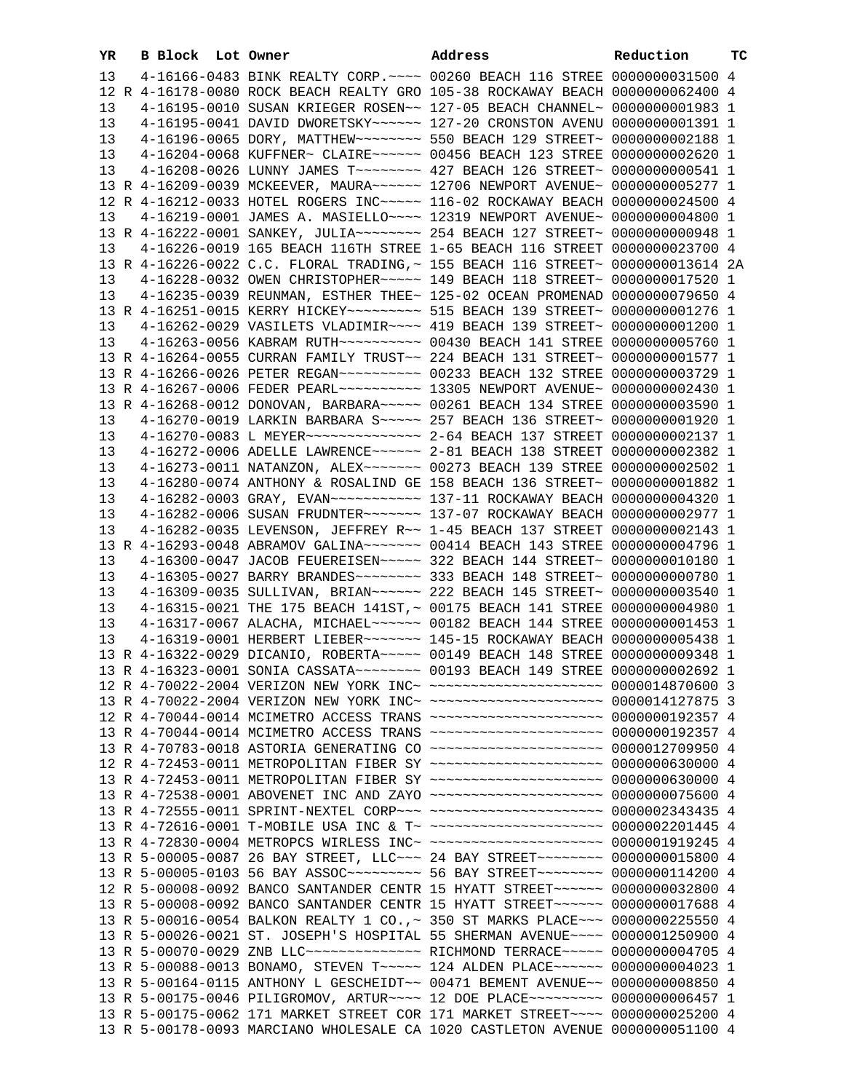| YR |  | B Block Lot Owner |  | Address                                                                                                                                                       | Reduction | <b>TC</b> |
|----|--|-------------------|--|---------------------------------------------------------------------------------------------------------------------------------------------------------------|-----------|-----------|
| 13 |  |                   |  | 4-16166-0483 BINK REALTY CORP. ~~~~ 00260 BEACH 116 STREE 0000000031500 4                                                                                     |           |           |
|    |  |                   |  | 12 R 4-16178-0080 ROCK BEACH REALTY GRO 105-38 ROCKAWAY BEACH 0000000062400 4                                                                                 |           |           |
| 13 |  |                   |  | 4-16195-0010 SUSAN KRIEGER ROSEN~~ 127-05 BEACH CHANNEL~ 0000000001983 1                                                                                      |           |           |
| 13 |  |                   |  | 4-16195-0041 DAVID DWORETSKY~~~~~~ 127-20 CRONSTON AVENU 0000000001391 1                                                                                      |           |           |
| 13 |  |                   |  | 4-16196-0065 DORY, MATTHEW~~~~~~~~ 550 BEACH 129 STREET~ 0000000002188 1                                                                                      |           |           |
| 13 |  |                   |  | 4-16204-0068 KUFFNER~ CLAIRE~~~~~~ 00456 BEACH 123 STREE 0000000002620 1                                                                                      |           |           |
| 13 |  |                   |  | 4-16208-0026 LUNNY JAMES T ------- 427 BEACH 126 STREET ~ 0000000000541 1                                                                                     |           |           |
|    |  |                   |  | 13 R 4-16209-0039 MCKEEVER, MAURA~~~~~~ 12706 NEWPORT AVENUE~ 0000000005277 1                                                                                 |           |           |
|    |  |                   |  | 12 R 4-16212-0033 HOTEL ROGERS INC~~~~~ 116-02 ROCKAWAY BEACH 0000000024500 4                                                                                 |           |           |
| 13 |  |                   |  | 4-16219-0001 JAMES A. MASIELLO~~~~ 12319 NEWPORT AVENUE~ 0000000004800 1                                                                                      |           |           |
|    |  |                   |  |                                                                                                                                                               |           |           |
| 13 |  |                   |  | 4-16226-0019 165 BEACH 116TH STREE 1-65 BEACH 116 STREET 0000000023700 4                                                                                      |           |           |
|    |  |                   |  | 13 R 4-16226-0022 C.C. FLORAL TRADING, ~ 155 BEACH 116 STREET~ 0000000013614 2A                                                                               |           |           |
| 13 |  |                   |  | 4-16228-0032 OWEN CHRISTOPHER~~~~~ 149 BEACH 118 STREET~ 00000000017520 1                                                                                     |           |           |
| 13 |  |                   |  | 4-16235-0039 REUNMAN, ESTHER THEE~ 125-02 OCEAN PROMENAD 0000000079650 4                                                                                      |           |           |
|    |  |                   |  | 13 R 4-16251-0015 KERRY HICKEY~~~~~~~~~ 515 BEACH 139 STREET~ 00000000001276 1                                                                                |           |           |
| 13 |  |                   |  | 4-16262-0029 VASILETS VLADIMIR~~~~ 419 BEACH 139 STREET~ 0000000001200 1                                                                                      |           |           |
| 13 |  |                   |  | 4-16263-0056 KABRAM RUTH~~~~~~~~~~ 00430 BEACH 141 STREE 0000000005760 1<br>13 R 4-16264-0055 CURRAN FAMILY TRUST~~ 224 BEACH 131 STREET~ 0000000001577 1     |           |           |
|    |  |                   |  |                                                                                                                                                               |           |           |
|    |  |                   |  | 13 R 4-16266-0026 PETER REGAN~~~~~~~~~~ 00233 BEACH 132 STREE 0000000003729 1                                                                                 |           |           |
|    |  |                   |  | 13 R 4-16268-0012 DONOVAN, BARBARA~~~~~ 00261 BEACH 134 STREE 0000000003590 1                                                                                 |           |           |
| 13 |  |                   |  | 4-16270-0019 LARKIN BARBARA S~~~~~ 257 BEACH 136 STREET~ 0000000001920 1                                                                                      |           |           |
| 13 |  |                   |  | 4-16270-0083 L MEYER~~~~~~~~~~~~~~ 2-64 BEACH 137 STREET 0000000002137 1                                                                                      |           |           |
| 13 |  |                   |  | 4-16272-0006 ADELLE LAWRENCE~~~~~~ 2-81 BEACH 138 STREET 0000000002382 1                                                                                      |           |           |
| 13 |  |                   |  | 4-16273-0011 NATANZON, ALEX~~~~~~~ 00273 BEACH 139 STREE 0000000002502 1                                                                                      |           |           |
| 13 |  |                   |  | 4-16280-0074 ANTHONY & ROSALIND GE 158 BEACH 136 STREET~ 0000000001882 1                                                                                      |           |           |
| 13 |  |                   |  | 4-16282-0003 GRAY, EVAN~~~~~~~~~~~~~~~~ 137-11 ROCKAWAY BEACH 0000000004320 1                                                                                 |           |           |
| 13 |  |                   |  | 4-16282-0006 SUSAN FRUDNTER~~~~~~~ 137-07 ROCKAWAY BEACH 0000000002977 1                                                                                      |           |           |
| 13 |  |                   |  | 4-16282-0035 LEVENSON, JEFFREY R~~ 1-45 BEACH 137 STREET 0000000002143 1                                                                                      |           |           |
|    |  |                   |  | 13 R 4-16293-0048 ABRAMOV GALINA~~~~~~~ 00414 BEACH 143 STREE 0000000004796 1                                                                                 |           |           |
| 13 |  |                   |  | 4-16300-0047 JACOB FEUEREISEN~~~~~ 322 BEACH 144 STREET~ 00000000010180 1                                                                                     |           |           |
| 13 |  |                   |  | 4-16305-0027 BARRY BRANDES ~~~~~~~~ 333 BEACH 148 STREET~ 0000000000780 1                                                                                     |           |           |
| 13 |  |                   |  | 4-16309-0035 SULLIVAN, BRIAN~~~~~~ 222 BEACH 145 STREET~ 0000000003540 1                                                                                      |           |           |
| 13 |  |                   |  | 4-16315-0021 THE 175 BEACH 141ST, ~ 00175 BEACH 141 STREE 0000000004980 1                                                                                     |           |           |
| 13 |  |                   |  | 4-16317-0067 ALACHA, MICHAEL~~~~~~ 00182 BEACH 144 STREE 0000000001453 1                                                                                      |           |           |
| 13 |  |                   |  | 4-16319-0001 HERBERT LIEBER~~~~~~~ 145-15 ROCKAWAY BEACH 0000000005438 1                                                                                      |           |           |
|    |  |                   |  | 13 R 4-16322-0029 DICANIO, ROBERTA~~~~~ 00149 BEACH 148 STREE 0000000009348 1                                                                                 |           |           |
|    |  |                   |  |                                                                                                                                                               |           |           |
|    |  |                   |  | 12 R 4-70022-2004 VERIZON NEW YORK INC~ ~~~~~~~~~~~~~~~~~~~~~ 0000014870600 3                                                                                 |           |           |
|    |  |                   |  | 13 R 4-70022-2004 VERIZON NEW YORK INC~ ~~~~~~~~~~~~~~~~~~~~~ 0000014127875 3                                                                                 |           |           |
|    |  |                   |  | 12 R 4-70044-0014 MCIMETRO ACCESS TRANS ~~~~~~~~~~~~~~~~~~~~~ 0000000192357 4                                                                                 |           |           |
|    |  |                   |  | 13 R 4-70044-0014 MCIMETRO ACCESS TRANS ~~~~~~~~~~~~~~~~~~~~~ 0000000192357 4<br>13 R 4-70783-0018 ASTORIA GENERATING CO ~~~~~~~~~~~~~~~~~~~~ 0000012709950 4 |           |           |
|    |  |                   |  | 12 R 4-72453-0011 METROPOLITAN FIBER SY ~~~~~~~~~~~~~~~~~~~~~ 0000000630000 4                                                                                 |           |           |
|    |  |                   |  | 13 R 4-72453-0011 METROPOLITAN FIBER SY ~~~~~~~~~~~~~~~~~~~~~ 0000000630000 4                                                                                 |           |           |
|    |  |                   |  | 13 R 4-72538-0001 ABOVENET INC AND ZAYO ~~~~~~~~~~~~~~~~~~~~~ 0000000075600 4                                                                                 |           |           |
|    |  |                   |  | 13 R 4-72555-0011 SPRINT-NEXTEL CORP~~~ ~~~~~~~~~~~~~~~~~~~~ 0000002343435 4                                                                                  |           |           |
|    |  |                   |  | 13 R 4-72616-0001 T-MOBILE USA INC & T~ ~~~~~~~~~~~~~~~~~~~~ 0000002201445 4                                                                                  |           |           |
|    |  |                   |  | 13 R 4-72830-0004 METROPCS WIRLESS INC~ ~~~~~~~~~~~~~~~~~~~~~ 0000001919245 4                                                                                 |           |           |
|    |  |                   |  | 13 R 5-00005-0087 26 BAY STREET, LLC ~~~ 24 BAY STREET ~~~~~~~~ 0000000015800 4                                                                               |           |           |
|    |  |                   |  | 13 R 5-00005-0103 56 BAY ASSOC --------- 56 BAY STREET -------- 0000000114200 4                                                                               |           |           |
|    |  |                   |  | 12 R 5-00008-0092 BANCO SANTANDER CENTR 15 HYATT STREET~~~~~~ 0000000032800 4                                                                                 |           |           |
|    |  |                   |  | 13 R 5-00008-0092 BANCO SANTANDER CENTR 15 HYATT STREET~~~~~~ 0000000017688 4                                                                                 |           |           |
|    |  |                   |  | 13 R 5-00016-0054 BALKON REALTY 1 CO., ~ 350 ST MARKS PLACE~~~ 0000000225550 4                                                                                |           |           |
|    |  |                   |  | 13 R 5-00026-0021 ST. JOSEPH'S HOSPITAL 55 SHERMAN AVENUE~~~~ 0000001250900 4                                                                                 |           |           |
|    |  |                   |  | 13 R 5-00070-0029 ZNB LLC -------------- RICHMOND TERRACE ---- 0000000004705 4                                                                                |           |           |
|    |  |                   |  | 13 R 5-00088-0013 BONAMO, STEVEN T~~~~~ 124 ALDEN PLACE~~~~~~ 00000000004023 1                                                                                |           |           |
|    |  |                   |  | 13 R 5-00164-0115 ANTHONY L GESCHEIDT~~ 00471 BEMENT AVENUE~~ 00000000008850 4                                                                                |           |           |
|    |  |                   |  | 13 R 5-00175-0046 PILIGROMOV, ARTUR~~~~ 12 DOE PLACE~~~~~~~~~ 0000000006457 1                                                                                 |           |           |
|    |  |                   |  | 13 R 5-00175-0062 171 MARKET STREET COR 171 MARKET STREET~~~~ 0000000025200 4                                                                                 |           |           |
|    |  |                   |  | 13 R 5-00178-0093 MARCIANO WHOLESALE CA 1020 CASTLETON AVENUE 0000000051100 4                                                                                 |           |           |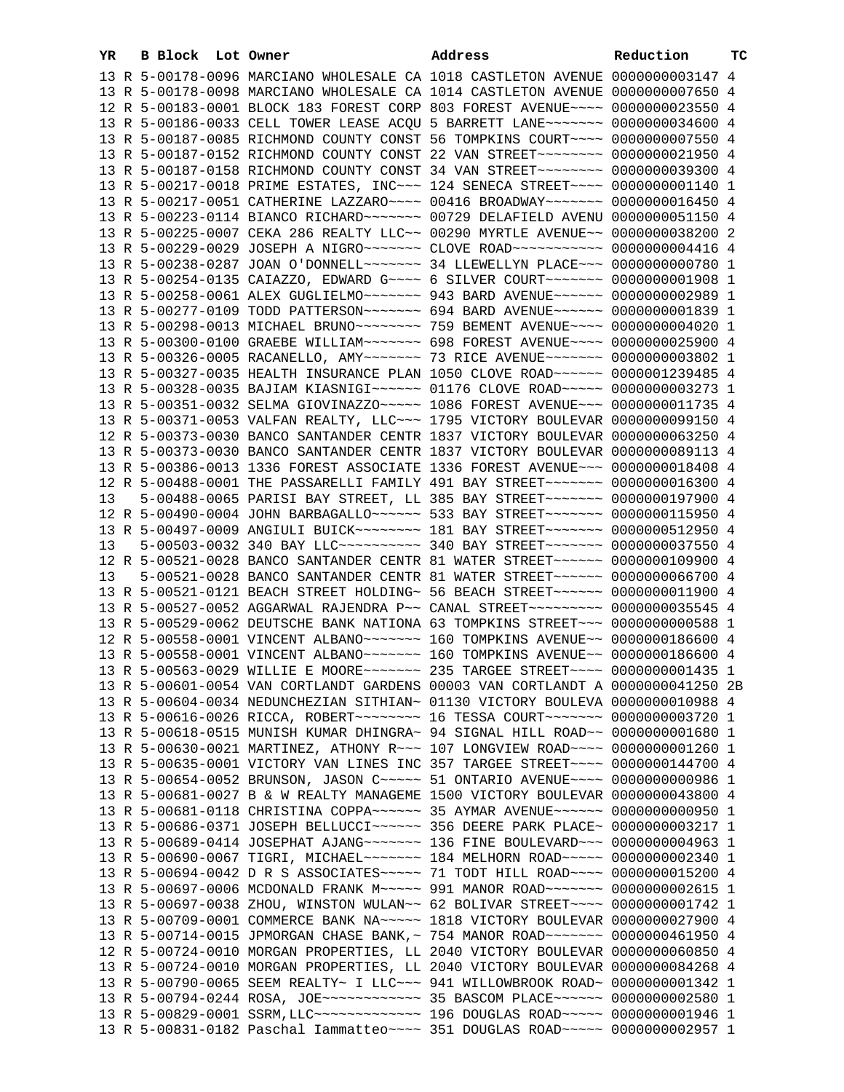| YR. | B Block Lot Owner |  | Address                                                                                                                                                   | Reduction | тc |
|-----|-------------------|--|-----------------------------------------------------------------------------------------------------------------------------------------------------------|-----------|----|
|     |                   |  | 13 R 5-00178-0096 MARCIANO WHOLESALE CA 1018 CASTLETON AVENUE 0000000003147 4                                                                             |           |    |
|     |                   |  | 13 R 5-00178-0098 MARCIANO WHOLESALE CA 1014 CASTLETON AVENUE 0000000007650 4                                                                             |           |    |
|     |                   |  | 12 R 5-00183-0001 BLOCK 183 FOREST CORP 803 FOREST AVENUE~~~~ 0000000023550 4                                                                             |           |    |
|     |                   |  | 13 R 5-00186-0033 CELL TOWER LEASE ACOU 5 BARRETT LANE~~~~~~~ 0000000034600 4                                                                             |           |    |
|     |                   |  | 13 R 5-00187-0085 RICHMOND COUNTY CONST 56 TOMPKINS COURT~~~~ 0000000007550 4                                                                             |           |    |
|     |                   |  | 13 R 5-00187-0152 RICHMOND COUNTY CONST 22 VAN STREET~~~~~~~~ 0000000021950 4                                                                             |           |    |
|     |                   |  | 13 R 5-00187-0158 RICHMOND COUNTY CONST 34 VAN STREET~~~~~~~~ 0000000039300 4                                                                             |           |    |
|     |                   |  | 13 R 5-00217-0018 PRIME ESTATES, INC~~~ 124 SENECA STREET~~~~ 00000000001140 1                                                                            |           |    |
|     |                   |  | 13 R 5-00217-0051 CATHERINE LAZZARO~~~~ 00416 BROADWAY~~~~~~~ 0000000016450 4                                                                             |           |    |
|     |                   |  | 13 R 5-00223-0114 BIANCO RICHARD~~~~~~~ 00729 DELAFIELD AVENU 0000000051150 4                                                                             |           |    |
|     |                   |  | 13 R 5-00225-0007 CEKA 286 REALTY LLC~~ 00290 MYRTLE AVENUE~~ 0000000038200 2                                                                             |           |    |
|     |                   |  | 13 R 5-00229-0029 JOSEPH A NIGRO~~~~~~~ CLOVE ROAD~~~~~~~~~~~ 0000000004416 4                                                                             |           |    |
|     |                   |  | 13 R 5-00238-0287 JOAN O'DONNELL~~~~~~~ 34 LLEWELLYN PLACE~~~ 0000000000780 1                                                                             |           |    |
|     |                   |  | 13 R 5-00254-0135 CAIAZZO, EDWARD G~~~~ 6 SILVER COURT~~~~~~~ 0000000001908 1                                                                             |           |    |
|     |                   |  | 13 R 5-00258-0061 ALEX GUGLIELMO~~~~~~~ 943 BARD AVENUE~~~~~~ 0000000002989 1                                                                             |           |    |
|     |                   |  | 13 R 5-00277-0109 TODD PATTERSON~~~~~~~ 694 BARD AVENUE~~~~~~ 00000000001839 1                                                                            |           |    |
|     |                   |  | 13 R 5-00298-0013 MICHAEL BRUNO~~~~~~~~~ 759 BEMENT AVENUE~~~~ 00000000004020 1                                                                           |           |    |
|     |                   |  | 13 R 5-00300-0100 GRAEBE WILLIAM ------ 698 FOREST AVENUE --- 0000000025900 4                                                                             |           |    |
|     |                   |  | 13 R 5-00326-0005 RACANELLO, AMY~~~~~~~ 73 RICE AVENUE~~~~~~~ 0000000003802 1                                                                             |           |    |
|     |                   |  | 13 R 5-00327-0035 HEALTH INSURANCE PLAN 1050 CLOVE ROAD~~~~~~ 0000001239485 4                                                                             |           |    |
|     |                   |  | 13 R 5-00328-0035 BAJIAM KIASNIGI~~~~~~ 01176 CLOVE ROAD~~~~~ 0000000003273 1                                                                             |           |    |
|     |                   |  | 13 R 5-00351-0032 SELMA GIOVINAZZO ~~~~~ 1086 FOREST AVENUE ~~~ 0000000011735 4                                                                           |           |    |
|     |                   |  | 13 R 5-00371-0053 VALFAN REALTY, LLC ~~~ 1795 VICTORY BOULEVAR 0000000099150 4                                                                            |           |    |
|     |                   |  |                                                                                                                                                           |           |    |
|     |                   |  | 12 R 5-00373-0030 BANCO SANTANDER CENTR 1837 VICTORY BOULEVAR 0000000063250 4                                                                             |           |    |
|     |                   |  | 13 R 5-00373-0030 BANCO SANTANDER CENTR 1837 VICTORY BOULEVAR 0000000089113 4                                                                             |           |    |
|     |                   |  | 13 R 5-00386-0013 1336 FOREST ASSOCIATE 1336 FOREST AVENUE~~~ 0000000018408 4                                                                             |           |    |
|     |                   |  | 12 R 5-00488-0001 THE PASSARELLI FAMILY 491 BAY STREET~~~~~~~ 0000000016300 4                                                                             |           |    |
| 13  |                   |  | 5-00488-0065 PARISI BAY STREET, LL 385 BAY STREET~~~~~~~ 0000000197900 4                                                                                  |           |    |
|     |                   |  | 12 R 5-00490-0004 JOHN BARBAGALLO~~~~~~ 533 BAY STREET~~~~~~~ 0000000115950 4                                                                             |           |    |
|     |                   |  | 13 R 5-00497-0009 ANGIULI BUICK~~~~~~~~ 181 BAY STREET~~~~~~~ 0000000512950 4                                                                             |           |    |
| 13  |                   |  | 5-00503-0032 340 BAY LLC ---------- 340 BAY STREET ------ 0000000037550 4                                                                                 |           |    |
| 13  |                   |  | 12 R 5-00521-0028 BANCO SANTANDER CENTR 81 WATER STREET~~~~~~ 0000000109900 4<br>5-00521-0028 BANCO SANTANDER CENTR 81 WATER STREET~~~~~~ 0000000066700 4 |           |    |
|     |                   |  | 13 R 5-00521-0121 BEACH STREET HOLDING~ 56 BEACH STREET~~~~~~ 0000000011900 4                                                                             |           |    |
|     |                   |  | 13 R 5-00527-0052 AGGARWAL RAJENDRA P~~ CANAL STREET~~~~~~~~~ 0000000035545 4                                                                             |           |    |
|     |                   |  | 13 R 5-00529-0062 DEUTSCHE BANK NATIONA 63 TOMPKINS STREET~~~ 0000000000588 1                                                                             |           |    |
|     |                   |  | 12 R 5-00558-0001 VINCENT ALBANO~~~~~~~~ 160 TOMPKINS AVENUE~~ 0000000186600 4                                                                            |           |    |
|     |                   |  | 13 R 5-00558-0001 VINCENT ALBANO~~~~~~~ 160 TOMPKINS AVENUE~~ 0000000186600 4                                                                             |           |    |
|     |                   |  | 13 R 5-00563-0029 WILLIE E MOORE~~~~~~~ 235 TARGEE STREET~~~~ 00000000001435 1                                                                            |           |    |
|     |                   |  | 13 R 5-00601-0054 VAN CORTLANDT GARDENS 00003 VAN CORTLANDT A 0000000041250 2B                                                                            |           |    |
|     |                   |  | 13 R 5-00604-0034 NEDUNCHEZIAN SITHIAN~ 01130 VICTORY BOULEVA 0000000010988 4                                                                             |           |    |
|     |                   |  | 13 R 5-00616-0026 RICCA, ROBERT~~~~~~~~ 16 TESSA COURT~~~~~~~ 0000000003720 1                                                                             |           |    |
|     |                   |  | 13 R 5-00618-0515 MUNISH KUMAR DHINGRA~ 94 SIGNAL HILL ROAD~~ 00000000001680 1                                                                            |           |    |
|     |                   |  | 13 R 5-00630-0021 MARTINEZ, ATHONY R~~~ 107 LONGVIEW ROAD~~~~ 0000000001260 1                                                                             |           |    |
|     |                   |  | 13 R 5-00635-0001 VICTORY VAN LINES INC 357 TARGEE STREET~~~~ 0000000144700 4                                                                             |           |    |
|     |                   |  | 13 R 5-00654-0052 BRUNSON, JASON C ---- 51 ONTARIO AVENUE --- 0000000000986 1                                                                             |           |    |
|     |                   |  | 13 R 5-00681-0027 B & W REALTY MANAGEME 1500 VICTORY BOULEVAR 0000000043800 4                                                                             |           |    |
|     |                   |  | 13 R 5-00681-0118 CHRISTINA COPPA~~~~~~ 35 AYMAR AVENUE~~~~~~ 0000000000950 1                                                                             |           |    |
|     |                   |  | 13 R 5-00686-0371 JOSEPH BELLUCCI~~~~~~ 356 DEERE PARK PLACE~ 0000000003217 1                                                                             |           |    |
|     |                   |  | 13 R 5-00689-0414 JOSEPHAT AJANG~~~~~~~ 136 FINE BOULEVARD~~~ 0000000004963 1                                                                             |           |    |
|     |                   |  | 13 R 5-00690-0067 TIGRI, MICHAEL~~~~~~~ 184 MELHORN ROAD~~~~~ 0000000002340 1                                                                             |           |    |
|     |                   |  | 13 R 5-00694-0042 D R S ASSOCIATES~~~~~ 71 TODT HILL ROAD~~~~ 0000000015200 4                                                                             |           |    |
|     |                   |  | 13 R 5-00697-0006 MCDONALD FRANK M~~~~~ 991 MANOR ROAD~~~~~~~ 0000000002615 1                                                                             |           |    |
|     |                   |  | 13 R 5-00697-0038 ZHOU, WINSTON WULAN~~ 62 BOLIVAR STREET~~~~ 0000000001742 1                                                                             |           |    |
|     |                   |  | 13 R 5-00709-0001 COMMERCE BANK NA~~~~~ 1818 VICTORY BOULEVAR 0000000027900 4                                                                             |           |    |
|     |                   |  | 13 R 5-00714-0015 JPMORGAN CHASE BANK, ~ 754 MANOR ROAD ~~~~~~~ 0000000461950 4                                                                           |           |    |
|     |                   |  | 12 R 5-00724-0010 MORGAN PROPERTIES, LL 2040 VICTORY BOULEVAR 0000000060850 4                                                                             |           |    |
|     |                   |  | 13 R 5-00724-0010 MORGAN PROPERTIES, LL 2040 VICTORY BOULEVAR 0000000084268 4                                                                             |           |    |
|     |                   |  | 13 R 5-00790-0065 SEEM REALTY~ I LLC~~~ 941 WILLOWBROOK ROAD~ 0000000001342 1                                                                             |           |    |
|     |                   |  | 13 R 5-00794-0244 ROSA, JOE ------------ 35 BASCOM PLACE ------ 0000000002580 1                                                                           |           |    |
|     |                   |  | 13 R 5-00829-0001 SSRM, LLC ------------- 196 DOUGLAS ROAD ----- 00000000001946 1                                                                         |           |    |
|     |                   |  | 13 R 5-00831-0182 Paschal Iammatteo~~~~ 351 DOUGLAS ROAD~~~~~ 0000000002957 1                                                                             |           |    |
|     |                   |  |                                                                                                                                                           |           |    |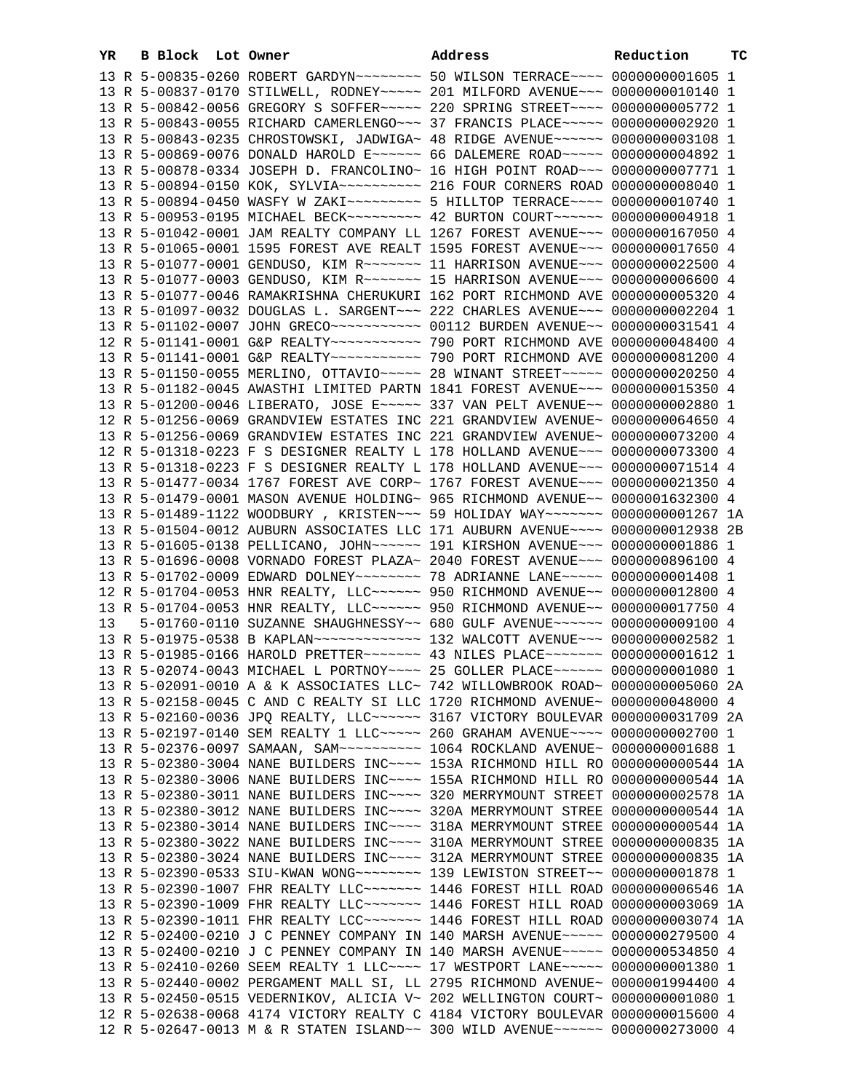| YR | B Block Lot Owner |                                                                                                                                                                         | Address | Reduction | ТC |
|----|-------------------|-------------------------------------------------------------------------------------------------------------------------------------------------------------------------|---------|-----------|----|
|    |                   | 13 R 5-00835-0260 ROBERT GARDYN~~~~~~~~~ 50 WILSON TERRACE~~~~ 0000000001605 1                                                                                          |         |           |    |
|    |                   | 13 R 5-00837-0170 STILWELL, RODNEY~~~~~ 201 MILFORD AVENUE~~~ 0000000010140 1                                                                                           |         |           |    |
|    |                   | 13 R 5-00842-0056 GREGORY S SOFFER~~~~~ 220 SPRING STREET~~~~ 0000000005772 1                                                                                           |         |           |    |
|    |                   | 13 R 5-00843-0055 RICHARD CAMERLENGO~~~ 37 FRANCIS PLACE~~~~~ 0000000002920 1                                                                                           |         |           |    |
|    |                   | 13 R 5-00843-0235 CHROSTOWSKI, JADWIGA~ 48 RIDGE AVENUE~~~~~~ 0000000003108 1                                                                                           |         |           |    |
|    |                   | 13 R 5-00869-0076 DONALD HAROLD E~~~~~~ 66 DALEMERE ROAD~~~~~ 0000000004892 1                                                                                           |         |           |    |
|    |                   | 13 R 5-00878-0334 JOSEPH D. FRANCOLINO~ 16 HIGH POINT ROAD~~~ 0000000007771 1                                                                                           |         |           |    |
|    |                   |                                                                                                                                                                         |         |           |    |
|    |                   | 13 R 5-00894-0450 WASFY W ZAKI~~~~~~~~~~ 5 HILLTOP TERRACE~~~~ 00000000010740 1                                                                                         |         |           |    |
|    |                   | 13 R 5-00953-0195 MICHAEL BECK~~~~~~~~~ 42 BURTON COURT~~~~~~ 0000000004918 1                                                                                           |         |           |    |
|    |                   | 13 R 5-01042-0001 JAM REALTY COMPANY LL 1267 FOREST AVENUE~~~ 0000000167050 4                                                                                           |         |           |    |
|    |                   | 13 R 5-01065-0001 1595 FOREST AVE REALT 1595 FOREST AVENUE~~~ 0000000017650 4                                                                                           |         |           |    |
|    |                   | 13 R 5-01077-0001 GENDUSO, KIM R ~~~~~~~~ 11 HARRISON AVENUE ~~~ 0000000022500 4                                                                                        |         |           |    |
|    |                   | 13 R 5-01077-0003 GENDUSO, KIM R ~~~~~~~~ 15 HARRISON AVENUE ~~~ 0000000006600 4                                                                                        |         |           |    |
|    |                   | 13 R 5-01077-0046 RAMAKRISHNA CHERUKURI 162 PORT RICHMOND AVE 0000000005320 4                                                                                           |         |           |    |
|    |                   | 13 R 5-01097-0032 DOUGLAS L. SARGENT~~~ 222 CHARLES AVENUE~~~ 0000000002204 1                                                                                           |         |           |    |
|    |                   | 13 R 5-01102-0007 JOHN GRECO ----------- 00112 BURDEN AVENUE -- 0000000031541 4                                                                                         |         |           |    |
|    |                   |                                                                                                                                                                         |         |           |    |
|    |                   | 13 R 5-01141-0001 G&P REALTY~~~~~~~~~~~~~~~~ 790 PORT RICHMOND AVE 00000000081200 4                                                                                     |         |           |    |
|    |                   | 13 R 5-01150-0055 MERLINO, OTTAVIO ~~~~~ 28 WINANT STREET ~~~~~ 0000000020250 4                                                                                         |         |           |    |
|    |                   | 13 R 5-01182-0045 AWASTHI LIMITED PARTN 1841 FOREST AVENUE~~~ 0000000015350 4<br>13 R 5-01200-0046 LIBERATO, JOSE E~~~~~ 337 VAN PELT AVENUE~~ 0000000002880 1          |         |           |    |
|    |                   | 12 R 5-01256-0069 GRANDVIEW ESTATES INC 221 GRANDVIEW AVENUE~ 0000000064650 4                                                                                           |         |           |    |
|    |                   | 13 R 5-01256-0069 GRANDVIEW ESTATES INC 221 GRANDVIEW AVENUE~ 0000000073200 4                                                                                           |         |           |    |
|    |                   | 12 R 5-01318-0223 F S DESIGNER REALTY L 178 HOLLAND AVENUE~~~ 0000000073300 4                                                                                           |         |           |    |
|    |                   | 13 R 5-01318-0223 F S DESIGNER REALTY L 178 HOLLAND AVENUE~~~ 0000000071514 4                                                                                           |         |           |    |
|    |                   | 13 R 5-01477-0034 1767 FOREST AVE CORP~ 1767 FOREST AVENUE~~~ 0000000021350 4                                                                                           |         |           |    |
|    |                   | 13 R 5-01479-0001 MASON AVENUE HOLDING~ 965 RICHMOND AVENUE~~ 0000001632300 4                                                                                           |         |           |    |
|    |                   | 13 R 5-01489-1122 WOODBURY , KRISTEN~~~ 59 HOLIDAY WAY~~~~~~~ 0000000001267 1A                                                                                          |         |           |    |
|    |                   | 13 R 5-01504-0012 AUBURN ASSOCIATES LLC 171 AUBURN AVENUE~~~~ 0000000012938 2B                                                                                          |         |           |    |
|    |                   | 13 R 5-01605-0138 PELLICANO, JOHN~~~~~~ 191 KIRSHON AVENUE~~~ 0000000001886 1                                                                                           |         |           |    |
|    |                   | 13 R 5-01696-0008 VORNADO FOREST PLAZA~ 2040 FOREST AVENUE~~~ 0000000896100 4                                                                                           |         |           |    |
|    |                   | 13 R 5-01702-0009 EDWARD DOLNEY~~~~~~~~ 78 ADRIANNE LANE~~~~~ 00000000001408 1                                                                                          |         |           |    |
|    |                   | 12 R 5-01704-0053 HNR REALTY, LLC ~~~~~~ 950 RICHMOND AVENUE ~~ 0000000012800 4                                                                                         |         |           |    |
|    |                   | 13 R 5-01704-0053 HNR REALTY, LLC ~~~~~~ 950 RICHMOND AVENUE ~~ 0000000017750 4                                                                                         |         |           |    |
| 13 |                   | 5-01760-0110 SUZANNE SHAUGHNESSY~~ 680 GULF AVENUE~~~~~~ 0000000009100 4                                                                                                |         |           |    |
|    |                   |                                                                                                                                                                         |         |           |    |
|    |                   | 13 R 5-01985-0166 HAROLD PRETTER~~~~~~~ 43 NILES PLACE~~~~~~~ 00000000001612 1                                                                                          |         |           |    |
|    |                   | 13 R 5-02074-0043 MICHAEL L PORTNOY~~~~ 25 GOLLER PLACE~~~~~~ 0000000001080 1                                                                                           |         |           |    |
|    |                   | 13 R 5-02091-0010 A & K ASSOCIATES LLC~ 742 WILLOWBROOK ROAD~ 0000000005060 2A                                                                                          |         |           |    |
|    |                   | 13 R 5-02158-0045 C AND C REALTY SI LLC 1720 RICHMOND AVENUE~ 0000000048000 4                                                                                           |         |           |    |
|    |                   | 13 R 5-02160-0036 JPQ REALTY, LLC ----- 3167 VICTORY BOULEVAR 0000000031709 2A                                                                                          |         |           |    |
|    |                   | 13 R 5-02197-0140 SEM REALTY 1 LLC ---- 260 GRAHAM AVENUE --- 0000000002700 1                                                                                           |         |           |    |
|    |                   | 13 R 5-02376-0097 SAMAAN, SAM~~~~~~~~~~~~~~~ 1064 ROCKLAND AVENUE~ 00000000001688 1                                                                                     |         |           |    |
|    |                   | 13 R 5-02380-3004 NANE BUILDERS INC~~~~ 153A RICHMOND HILL RO 0000000000544 1A                                                                                          |         |           |    |
|    |                   | 13 R 5-02380-3006 NANE BUILDERS INC --- 155A RICHMOND HILL RO 0000000000544 1A                                                                                          |         |           |    |
|    |                   | 13 R 5-02380-3011 NANE BUILDERS INC~~~~ 320 MERRYMOUNT STREET 0000000002578 1A                                                                                          |         |           |    |
|    |                   | 13 R 5-02380-3012 NANE BUILDERS INC~~~~ 320A MERRYMOUNT STREE 0000000000544 1A                                                                                          |         |           |    |
|    |                   | 13 R 5-02380-3014 NANE BUILDERS INC~~~~ 318A MERRYMOUNT STREE 0000000000544 1A                                                                                          |         |           |    |
|    |                   | 13 R 5-02380-3022 NANE BUILDERS INC~~~~ 310A MERRYMOUNT STREE 0000000000835 1A                                                                                          |         |           |    |
|    |                   | 13 R 5-02380-3024 NANE BUILDERS INC~~~~ 312A MERRYMOUNT STREE 0000000000835 1A                                                                                          |         |           |    |
|    |                   | 13 R 5-02390-0533 SIU-KWAN WONG~~~~~~~~~~~~~~ 139 LEWISTON STREET~~~ 00000000001878 1<br>13 R 5-02390-1007 FHR REALTY LLC~~~~~~~ 1446 FOREST HILL ROAD 0000000006546 1A |         |           |    |
|    |                   | 13 R 5-02390-1009 FHR REALTY LLC~~~~~~~ 1446 FOREST HILL ROAD 0000000003069 1A                                                                                          |         |           |    |
|    |                   | 13 R 5-02390-1011 FHR REALTY LCC~~~~~~~ 1446 FOREST HILL ROAD 0000000003074 1A                                                                                          |         |           |    |
|    |                   | 12 R 5-02400-0210 J C PENNEY COMPANY IN 140 MARSH AVENUE~~~~~ 0000000279500 4                                                                                           |         |           |    |
|    |                   | 13 R 5-02400-0210 J C PENNEY COMPANY IN 140 MARSH AVENUE~~~~~ 0000000534850 4                                                                                           |         |           |    |
|    |                   | 13 R 5-02410-0260 SEEM REALTY 1 LLC --- 17 WESTPORT LANE ---- 00000000001380 1                                                                                          |         |           |    |
|    |                   | 13 R 5-02440-0002 PERGAMENT MALL SI, LL 2795 RICHMOND AVENUE~ 0000001994400 4                                                                                           |         |           |    |
|    |                   | 13 R 5-02450-0515 VEDERNIKOV, ALICIA V~ 202 WELLINGTON COURT~ 00000000001080 1                                                                                          |         |           |    |
|    |                   | 12 R 5-02638-0068 4174 VICTORY REALTY C 4184 VICTORY BOULEVAR 0000000015600 4                                                                                           |         |           |    |
|    |                   | 12 R 5-02647-0013 M & R STATEN ISLAND~~ 300 WILD AVENUE~~~~~~ 0000000273000 4                                                                                           |         |           |    |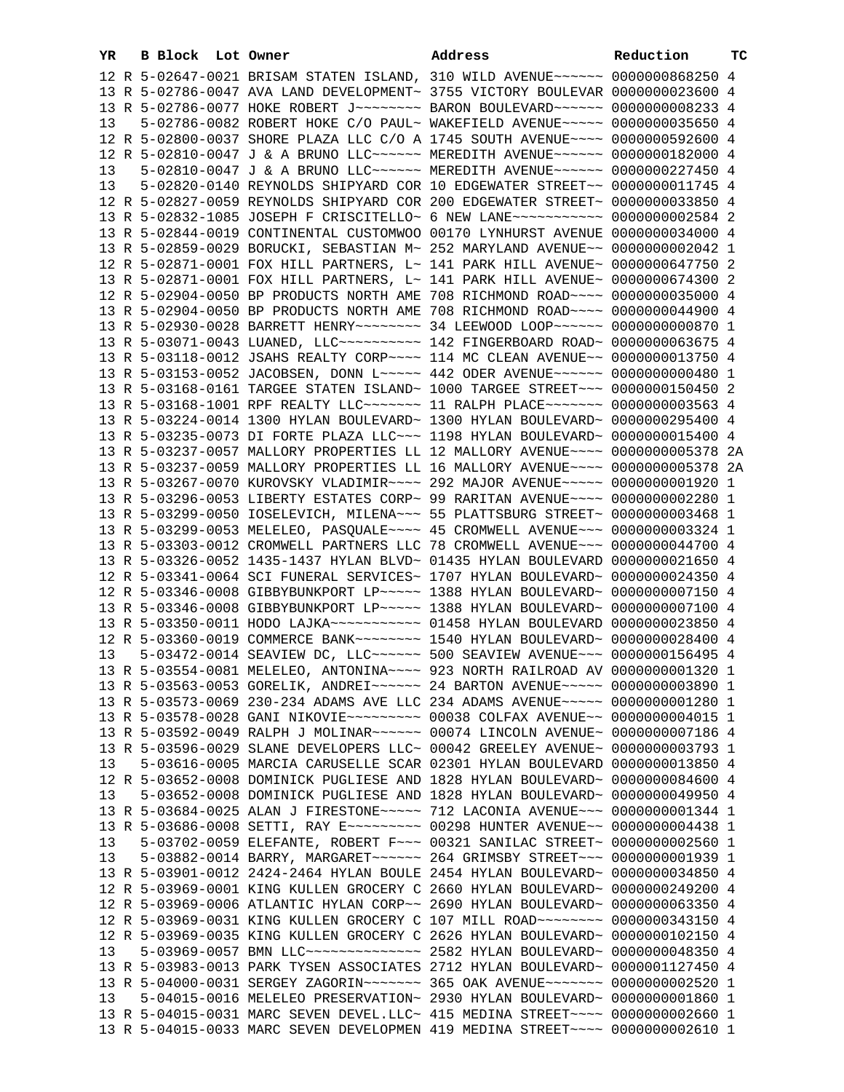| YR |  | B Block Lot Owner | Address                                                                         | Reduction | тc |
|----|--|-------------------|---------------------------------------------------------------------------------|-----------|----|
|    |  |                   | 12 R 5-02647-0021 BRISAM STATEN ISLAND, 310 WILD AVENUE~~~~~~ 0000000868250 4   |           |    |
|    |  |                   | 13 R 5-02786-0047 AVA LAND DEVELOPMENT~ 3755 VICTORY BOULEVAR 0000000023600 4   |           |    |
|    |  |                   | 13 R 5-02786-0077 HOKE ROBERT J~~~~~~~~ BARON BOULEVARD~~~~~~ 0000000008233 4   |           |    |
| 13 |  |                   | 5-02786-0082 ROBERT HOKE C/O PAUL~ WAKEFIELD AVENUE~~~~~ 0000000035650 4        |           |    |
|    |  |                   | 12 R 5-02800-0037 SHORE PLAZA LLC C/O A 1745 SOUTH AVENUE~~~~ 0000000592600 4   |           |    |
|    |  |                   | 12 R 5-02810-0047 J & A BRUNO LLC ----- MEREDITH AVENUE ----- 0000000182000 4   |           |    |
| 13 |  |                   | 5-02810-0047 J & A BRUNO LLC~~~~~~ MEREDITH AVENUE~~~~~~ 0000000227450 4        |           |    |
| 13 |  |                   | 5-02820-0140 REYNOLDS SHIPYARD COR 10 EDGEWATER STREET~~ 0000000011745 4        |           |    |
|    |  |                   | 12 R 5-02827-0059 REYNOLDS SHIPYARD COR 200 EDGEWATER STREET~ 0000000033850 4   |           |    |
|    |  |                   | 13 R 5-02832-1085 JOSEPH F CRISCITELLO~ 6 NEW LANE~~~~~~~~~~~ 0000000002584 2   |           |    |
|    |  |                   | 13 R 5-02844-0019 CONTINENTAL CUSTOMWOO 00170 LYNHURST AVENUE 0000000034000 4   |           |    |
|    |  |                   | 13 R 5-02859-0029 BORUCKI, SEBASTIAN M~ 252 MARYLAND AVENUE~~ 0000000002042 1   |           |    |
|    |  |                   | 12 R 5-02871-0001 FOX HILL PARTNERS, L~ 141 PARK HILL AVENUE~ 0000000647750 2   |           |    |
|    |  |                   | 13 R 5-02871-0001 FOX HILL PARTNERS, L~ 141 PARK HILL AVENUE~ 0000000674300 2   |           |    |
|    |  |                   | 12 R 5-02904-0050 BP PRODUCTS NORTH AME 708 RICHMOND ROAD~~~~ 0000000035000 4   |           |    |
|    |  |                   | 13 R 5-02904-0050 BP PRODUCTS NORTH AME 708 RICHMOND ROAD~~~~ 0000000044900 4   |           |    |
|    |  |                   | 13 R 5-02930-0028 BARRETT HENRY~~~~~~~~ 34 LEEWOOD LOOP~~~~~~ 0000000000870 1   |           |    |
|    |  |                   | 13 R 5-03071-0043 LUANED, LLC~~~~~~~~~~~ 142 FINGERBOARD ROAD~ 0000000063675 4  |           |    |
|    |  |                   | 13 R 5-03118-0012 JSAHS REALTY CORP~~~~ 114 MC CLEAN AVENUE~~ 0000000013750 4   |           |    |
|    |  |                   | 13 R 5-03153-0052 JACOBSEN, DONN L~~~~~ 442 ODER AVENUE~~~~~~ 0000000000480 1   |           |    |
|    |  |                   | 13 R 5-03168-0161 TARGEE STATEN ISLAND~ 1000 TARGEE STREET~~~ 0000000150450 2   |           |    |
|    |  |                   | 13 R 5-03168-1001 RPF REALTY LLC ------- 11 RALPH PLACE ------ 0000000003563 4  |           |    |
|    |  |                   | 13 R 5-03224-0014 1300 HYLAN BOULEVARD~ 1300 HYLAN BOULEVARD~ 0000000295400 4   |           |    |
|    |  |                   | 13 R 5-03235-0073 DI FORTE PLAZA LLC~~~ 1198 HYLAN BOULEVARD~ 0000000015400 4   |           |    |
|    |  |                   | 13 R 5-03237-0057 MALLORY PROPERTIES LL 12 MALLORY AVENUE~~~~ 0000000005378 2A  |           |    |
|    |  |                   | 13 R 5-03237-0059 MALLORY PROPERTIES LL 16 MALLORY AVENUE~~~~ 0000000005378 2A  |           |    |
|    |  |                   | 13 R 5-03267-0070 KUROVSKY VLADIMIR~~~~ 292 MAJOR AVENUE~~~~~ 00000000001920 1  |           |    |
|    |  |                   | 13 R 5-03296-0053 LIBERTY ESTATES CORP~ 99 RARITAN AVENUE~~~~ 0000000002280 1   |           |    |
|    |  |                   | 13 R 5-03299-0050 IOSELEVICH, MILENA~~~ 55 PLATTSBURG STREET~ 0000000003468 1   |           |    |
|    |  |                   | 13 R 5-03299-0053 MELELEO, PASQUALE~~~~ 45 CROMWELL AVENUE~~~ 0000000003324 1   |           |    |
|    |  |                   | 13 R 5-03303-0012 CROMWELL PARTNERS LLC 78 CROMWELL AVENUE~~~ 0000000044700 4   |           |    |
|    |  |                   | 13 R 5-03326-0052 1435-1437 HYLAN BLVD~ 01435 HYLAN BOULEVARD 0000000021650 4   |           |    |
|    |  |                   | 12 R 5-03341-0064 SCI FUNERAL SERVICES~ 1707 HYLAN BOULEVARD~ 0000000024350 4   |           |    |
|    |  |                   | 12 R 5-03346-0008 GIBBYBUNKPORT LP ~~~~~ 1388 HYLAN BOULEVARD~ 0000000007150 4  |           |    |
|    |  |                   | 13 R 5-03346-0008 GIBBYBUNKPORT LP ~~~~~ 1388 HYLAN BOULEVARD ~ 0000000007100 4 |           |    |
|    |  |                   | 13 R 5-03350-0011 HODO LAJKA~~~~~~~~~~~~ 01458 HYLAN BOULEVARD 0000000023850 4  |           |    |
|    |  |                   | 12 R 5-03360-0019 COMMERCE BANK~~~~~~~~ 1540 HYLAN BOULEVARD~ 0000000028400 4   |           |    |
|    |  |                   | 13 5-03472-0014 SEAVIEW DC, LLC ----- 500 SEAVIEW AVENUE -- 0000000156495 4     |           |    |
|    |  |                   | 13 R 5-03554-0081 MELELEO, ANTONINA~~~~ 923 NORTH RAILROAD AV 0000000001320 1   |           |    |
|    |  |                   | 13 R 5-03563-0053 GORELIK, ANDREI~~~~~~ 24 BARTON AVENUE~~~~~ 0000000003890 1   |           |    |
|    |  |                   | 13 R 5-03573-0069 230-234 ADAMS AVE LLC 234 ADAMS AVENUE~~~~~ 00000000001280 1  |           |    |
|    |  |                   | 13 R 5-03578-0028 GANI NIKOVIE~~~~~~~~~~ 00038 COLFAX AVENUE~~ 00000000004015 1 |           |    |
|    |  |                   | 13 R 5-03592-0049 RALPH J MOLINAR~~~~~~ 00074 LINCOLN AVENUE~ 0000000007186 4   |           |    |
|    |  |                   | 13 R 5-03596-0029 SLANE DEVELOPERS LLC~ 00042 GREELEY AVENUE~ 0000000003793 1   |           |    |
| 13 |  |                   | 5-03616-0005 MARCIA CARUSELLE SCAR 02301 HYLAN BOULEVARD 0000000013850 4        |           |    |
|    |  |                   | 12 R 5-03652-0008 DOMINICK PUGLIESE AND 1828 HYLAN BOULEVARD~ 0000000084600 4   |           |    |
| 13 |  |                   | 5-03652-0008 DOMINICK PUGLIESE AND 1828 HYLAN BOULEVARD~ 0000000049950 4        |           |    |
|    |  |                   | 13 R 5-03684-0025 ALAN J FIRESTONE~~~~~ 712 LACONIA AVENUE~~~ 0000000001344 1   |           |    |
|    |  |                   | 13 R 5-03686-0008 SETTI, RAY E~~~~~~~~~ 00298 HUNTER AVENUE~~ 0000000004438 1   |           |    |
| 13 |  |                   | 5-03702-0059 ELEFANTE, ROBERT F~~~ 00321 SANILAC STREET~ 0000000002560 1        |           |    |
| 13 |  |                   | 5-03882-0014 BARRY, MARGARET~~~~~~ 264 GRIMSBY STREET~~~ 0000000001939 1        |           |    |
|    |  |                   | 13 R 5-03901-0012 2424-2464 HYLAN BOULE 2454 HYLAN BOULEVARD~ 0000000034850 4   |           |    |
|    |  |                   | 12 R 5-03969-0001 KING KULLEN GROCERY C 2660 HYLAN BOULEVARD~ 0000000249200 4   |           |    |
|    |  |                   | 12 R 5-03969-0006 ATLANTIC HYLAN CORP~~ 2690 HYLAN BOULEVARD~ 0000000063350 4   |           |    |
|    |  |                   |                                                                                 |           |    |
|    |  |                   | 12 R 5-03969-0035 KING KULLEN GROCERY C 2626 HYLAN BOULEVARD~ 0000000102150 4   |           |    |
| 13 |  |                   | 5-03969-0057 BMN LLC --------------- 2582 HYLAN BOULEVARD ~ 0000000048350 4     |           |    |
|    |  |                   | 13 R 5-03983-0013 PARK TYSEN ASSOCIATES 2712 HYLAN BOULEVARD~ 0000001127450 4   |           |    |
|    |  |                   |                                                                                 |           |    |
| 13 |  |                   | 5-04015-0016 MELELEO PRESERVATION~ 2930 HYLAN BOULEVARD~ 0000000001860 1        |           |    |
|    |  |                   | 13 R 5-04015-0031 MARC SEVEN DEVEL.LLC~ 415 MEDINA STREET~~~~ 0000000002660 1   |           |    |
|    |  |                   | 13 R 5-04015-0033 MARC SEVEN DEVELOPMEN 419 MEDINA STREET~~~~ 0000000002610 1   |           |    |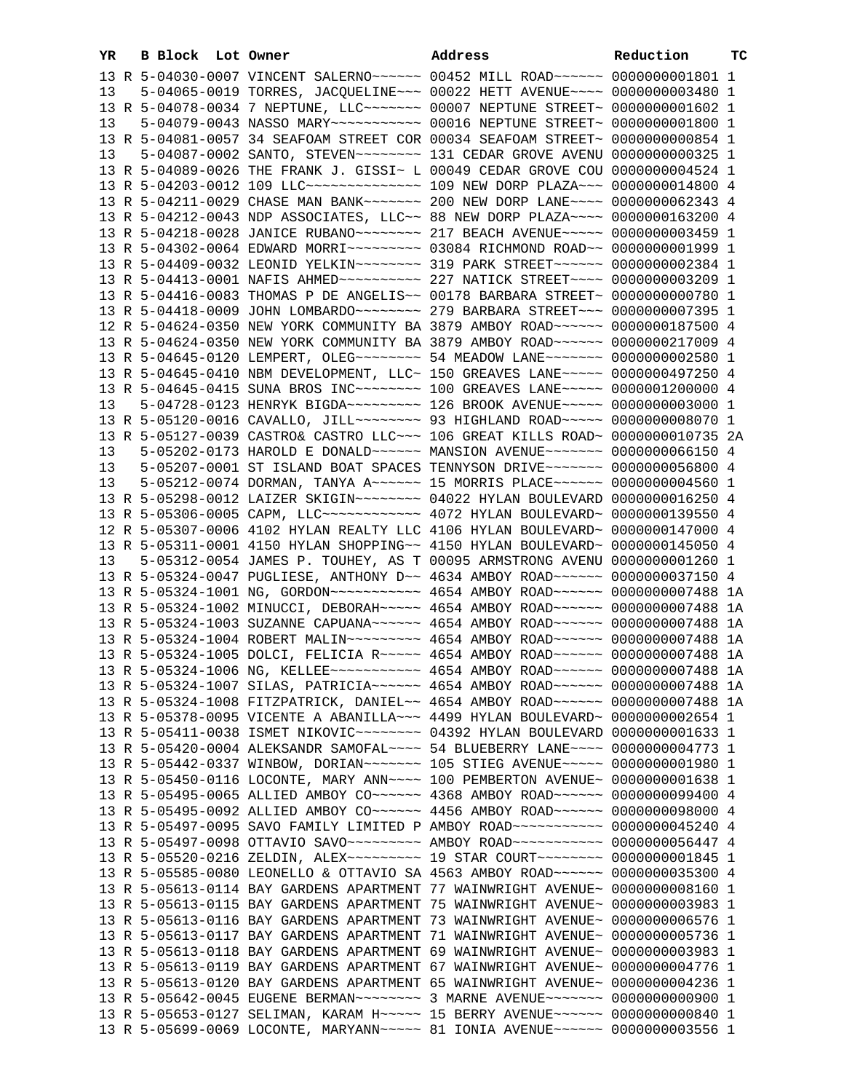| YR | <b>B Block</b> Lot Owner |                                                                                           | Address | Reduction | тc |
|----|--------------------------|-------------------------------------------------------------------------------------------|---------|-----------|----|
|    |                          | 13 R 5-04030-0007 VINCENT SALERNO~~~~~~ 00452 MILL ROAD~~~~~~ 0000000001801 1             |         |           |    |
| 13 |                          | 5-04065-0019 TORRES, JACQUELINE~~~ 00022 HETT AVENUE~~~~ 0000000003480 1                  |         |           |    |
|    |                          | 13 R 5-04078-0034 7 NEPTUNE, LLC ------ 00007 NEPTUNE STREET~ 00000000001602 1            |         |           |    |
| 13 |                          | 5-04079-0043 NASSO MARY~~~~~~~~~~~ 00016 NEPTUNE STREET~ 0000000001800 1                  |         |           |    |
|    |                          | 13 R 5-04081-0057 34 SEAFOAM STREET COR 00034 SEAFOAM STREET~ 00000000000854 1            |         |           |    |
|    |                          |                                                                                           |         |           |    |
| 13 |                          | 5-04087-0002 SANTO, STEVEN~~~~~~~~~ 131 CEDAR GROVE AVENU 0000000000325 1                 |         |           |    |
|    |                          | 13 R 5-04089-0026 THE FRANK J. GISSI~ L 00049 CEDAR GROVE COU 0000000004524 1             |         |           |    |
|    |                          | 13 R 5-04203-0012 109 LLC --------------- 109 NEW DORP PLAZA -- 0000000014800 4           |         |           |    |
|    |                          | 13 R 5-04211-0029 CHASE MAN BANK ------ 200 NEW DORP LANE --- 0000000062343 4             |         |           |    |
|    |                          | 13 R 5-04212-0043 NDP ASSOCIATES, LLC~~ 88 NEW DORP PLAZA~~~~ 0000000163200 4             |         |           |    |
|    |                          | 13 R 5-04218-0028 JANICE RUBANO~~~~~~~~ 217 BEACH AVENUE~~~~~ 0000000003459 1             |         |           |    |
|    |                          | 13 R 5-04302-0064 EDWARD MORRI~~~~~~~~~ 03084 RICHMOND ROAD~~ 00000000001999 1            |         |           |    |
|    |                          | 13 R 5-04409-0032 LEONID YELKIN~~~~~~~~ 319 PARK STREET~~~~~~ 0000000002384 1             |         |           |    |
|    |                          | 13 R 5-04413-0001 NAFIS AHMED~~~~~~~~~~~~~~~~~~~~ 227 NATICK STREET~~~~~ 00000000003209 1 |         |           |    |
|    |                          | 13 R 5-04416-0083 THOMAS P DE ANGELIS~~ 00178 BARBARA STREET~ 0000000000780 1             |         |           |    |
|    |                          | 13 R 5-04418-0009 JOHN LOMBARDO~~~~~~~~~ 279 BARBARA STREET~~~ 0000000007395 1            |         |           |    |
|    |                          | 12 R 5-04624-0350 NEW YORK COMMUNITY BA 3879 AMBOY ROAD~~~~~~ 0000000187500 4             |         |           |    |
|    |                          | 13 R 5-04624-0350 NEW YORK COMMUNITY BA 3879 AMBOY ROAD~~~~~~ 0000000217009 4             |         |           |    |
|    |                          | 13 R 5-04645-0120 LEMPERT, OLEG~~~~~~~~ 54 MEADOW LANE~~~~~~~ 0000000002580 1             |         |           |    |
|    |                          | 13 R 5-04645-0410 NBM DEVELOPMENT, LLC~ 150 GREAVES LANE~~~~~ 0000000497250 4             |         |           |    |
|    |                          | 13 R 5-04645-0415 SUNA BROS INC~~~~~~~~~~~~~ 100 GREAVES LANE~~~~~~ 0000001200000 4       |         |           |    |
| 13 |                          | 5-04728-0123 HENRYK BIGDA~~~~~~~~~~~~~~ 126 BROOK AVENUE~~~~~~ 0000000003000 1            |         |           |    |
|    |                          | 13 R 5-05120-0016 CAVALLO, JILL~~~~~~~~ 93 HIGHLAND ROAD~~~~~ 00000000008070 1            |         |           |    |
|    |                          | 13 R 5-05127-0039 CASTRO& CASTRO LLC~~~ 106 GREAT KILLS ROAD~ 0000000010735 2A            |         |           |    |
| 13 |                          | 5-05202-0173 HAROLD E DONALD~~~~~~ MANSION AVENUE~~~~~~~ 0000000066150 4                  |         |           |    |
| 13 |                          | 5-05207-0001 ST ISLAND BOAT SPACES TENNYSON DRIVE~~~~~~~ 0000000056800 4                  |         |           |    |
| 13 |                          | 5-05212-0074 DORMAN, TANYA A~~~~~~ 15 MORRIS PLACE~~~~~~ 0000000004560 1                  |         |           |    |
|    |                          | 13 R 5-05298-0012 LAIZER SKIGIN~~~~~~~~ 04022 HYLAN BOULEVARD 0000000016250 4             |         |           |    |
|    |                          | 13 R 5-05306-0005 CAPM, LLC ------------ 4072 HYLAN BOULEVARD ~ 0000000139550 4           |         |           |    |
|    |                          |                                                                                           |         |           |    |
|    |                          | 12 R 5-05307-0006 4102 HYLAN REALTY LLC 4106 HYLAN BOULEVARD~ 0000000147000 4             |         |           |    |
|    |                          | 13 R 5-05311-0001 4150 HYLAN SHOPPING~~ 4150 HYLAN BOULEVARD~ 0000000145050 4             |         |           |    |
| 13 |                          | 5-05312-0054 JAMES P. TOUHEY, AS T 00095 ARMSTRONG AVENU 0000000001260 1                  |         |           |    |
|    |                          | 13 R 5-05324-0047 PUGLIESE, ANTHONY D ~~ 4634 AMBOY ROAD ~~~~~~ 0000000037150 4           |         |           |    |
|    |                          | 13 R 5-05324-1001 NG, GORDON~~~~~~~~~~~~~~~~~~ 4654 AMBOY ROAD~~~~~~~ 0000000007488 1A    |         |           |    |
|    |                          | 13 R 5-05324-1002 MINUCCI, DEBORAH~~~~~ 4654 AMBOY ROAD~~~~~~ 0000000007488 1A            |         |           |    |
|    |                          | 13 R 5-05324-1003 SUZANNE CAPUANA~~~~~~ 4654 AMBOY ROAD~~~~~~ 0000000007488 1A            |         |           |    |
|    |                          | 13 R 5-05324-1004 ROBERT MALIN~~~~~~~~~ 4654 AMBOY ROAD~~~~~~ 00000000007488 1A           |         |           |    |
|    |                          | 13 R 5-05324-1005 DOLCI, FELICIA R --- 4654 AMBOY ROAD --- - 0000000007488 1A             |         |           |    |
|    |                          | 13 R 5-05324-1006 NG, KELLEE~~~~~~~~~~~ 4654 AMBOY ROAD~~~~~~ 0000000007488 1A            |         |           |    |
|    |                          | 13 R 5-05324-1007 SILAS, PATRICIA~~~~~~ 4654 AMBOY ROAD~~~~~~ 0000000007488 1A            |         |           |    |
|    |                          | 13 R 5-05324-1008 FITZPATRICK, DANIEL~~ 4654 AMBOY ROAD~~~~~~ 0000000007488 1A            |         |           |    |
|    |                          | 13 R 5-05378-0095 VICENTE A ABANILLA~~~ 4499 HYLAN BOULEVARD~ 0000000002654 1             |         |           |    |
|    |                          | 13 R 5-05411-0038 ISMET NIKOVIC~~~~~~~~~~~~~ 04392 HYLAN BOULEVARD 0000000001633 1        |         |           |    |
|    |                          | 13 R 5-05420-0004 ALEKSANDR SAMOFAL~~~~ 54 BLUEBERRY LANE~~~~ 0000000004773 1             |         |           |    |
|    |                          | 13 R 5-05442-0337 WINBOW, DORIAN~~~~~~~ 105 STIEG AVENUE~~~~~ 00000000001980 1            |         |           |    |
|    |                          | 13 R 5-05450-0116 LOCONTE, MARY ANN~~~~ 100 PEMBERTON AVENUE~ 00000000001638 1            |         |           |    |
|    |                          | 13 R 5-05495-0065 ALLIED AMBOY CO~~~~~~ 4368 AMBOY ROAD~~~~~~ 0000000099400 4             |         |           |    |
|    |                          | 13 R 5-05495-0092 ALLIED AMBOY CO ~~~~~~ 4456 AMBOY ROAD ~~~~~~ 0000000098000 4           |         |           |    |
|    |                          | 13 R 5-05497-0095 SAVO FAMILY LIMITED P AMBOY ROAD~~~~~~~~~~~ 0000000045240 4             |         |           |    |
|    |                          | 13 R 5-05497-0098 OTTAVIO SAVO~~~~~~~~~ AMBOY ROAD~~~~~~~~~~ 0000000056447 4              |         |           |    |
|    |                          | 13 R 5-05520-0216 ZELDIN, ALEX~~~~~~~~~ 19 STAR COURT~~~~~~~~ 00000000001845 1            |         |           |    |
|    |                          | 13 R 5-05585-0080 LEONELLO & OTTAVIO SA 4563 AMBOY ROAD~~~~~~ 0000000035300 4             |         |           |    |
|    |                          | 13 R 5-05613-0114 BAY GARDENS APARTMENT 77 WAINWRIGHT AVENUE~ 00000000008160 1            |         |           |    |
|    |                          | 13 R 5-05613-0115 BAY GARDENS APARTMENT 75 WAINWRIGHT AVENUE~ 00000000003983 1            |         |           |    |
|    |                          | 13 R 5-05613-0116 BAY GARDENS APARTMENT 73 WAINWRIGHT AVENUE~ 0000000006576 1             |         |           |    |
|    |                          | 13 R 5-05613-0117 BAY GARDENS APARTMENT 71 WAINWRIGHT AVENUE~ 0000000005736 1             |         |           |    |
|    |                          | 13 R 5-05613-0118 BAY GARDENS APARTMENT 69 WAINWRIGHT AVENUE~ 00000000003983 1            |         |           |    |
|    |                          |                                                                                           |         |           |    |
|    |                          | 13 R 5-05613-0119 BAY GARDENS APARTMENT 67 WAINWRIGHT AVENUE~ 0000000004776 1             |         |           |    |
|    |                          | 13 R 5-05613-0120 BAY GARDENS APARTMENT 65 WAINWRIGHT AVENUE~ 0000000004236 1             |         |           |    |
|    |                          | 13 R 5-05642-0045 EUGENE BERMAN~~~~~~~~ 3 MARNE AVENUE~~~~~~~ 0000000000900 1             |         |           |    |
|    |                          | 13 R 5-05653-0127 SELIMAN, KARAM H~~~~~ 15 BERRY AVENUE~~~~~~ 0000000000840 1             |         |           |    |
|    |                          | 13 R 5-05699-0069 LOCONTE, MARYANN~~~~~ 81 IONIA AVENUE~~~~~~ 0000000003556 1             |         |           |    |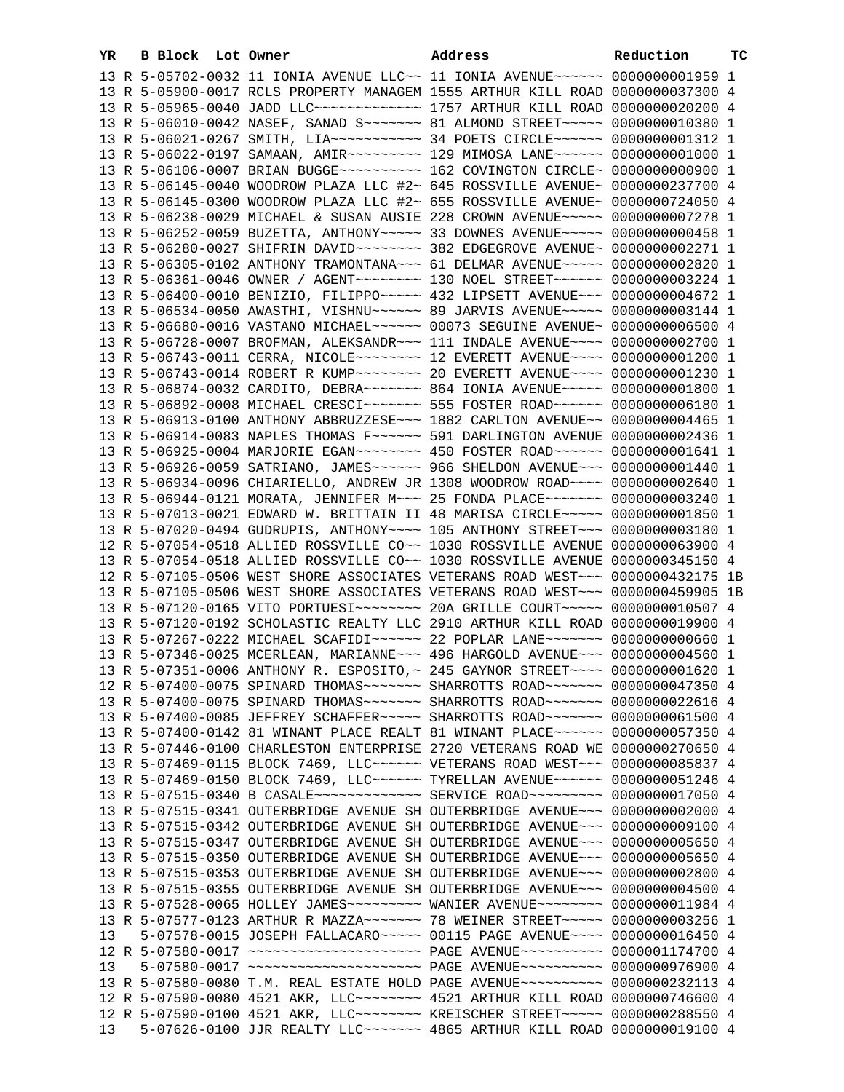| YR. |  | B Block Lot Owner |  | Address                                                                            | <b>Reduction TC</b> |  |
|-----|--|-------------------|--|------------------------------------------------------------------------------------|---------------------|--|
|     |  |                   |  | 13 R 5-05702-0032 11 IONIA AVENUE LLC~~ 11 IONIA AVENUE~~~~~~ 0000000001959 1      |                     |  |
|     |  |                   |  | 13 R 5-05900-0017 RCLS PROPERTY MANAGEM 1555 ARTHUR KILL ROAD 0000000037300 4      |                     |  |
|     |  |                   |  | 13 R 5-05965-0040 JADD LLC ------------- 1757 ARTHUR KILL ROAD 0000000020200 4     |                     |  |
|     |  |                   |  | 13 R 5-06010-0042 NASEF, SANAD S ------ 81 ALMOND STREET ---- 0000000010380 1      |                     |  |
|     |  |                   |  |                                                                                    |                     |  |
|     |  |                   |  | 13 R 5-06022-0197 SAMAAN, AMIR -------- 129 MIMOSA LANE ----- 0000000001000 1      |                     |  |
|     |  |                   |  | 13 R 5-06106-0007 BRIAN BUGGE~~~~~~~~~~~~~~~ 162 COVINGTON CIRCLE~ 0000000000000 1 |                     |  |
|     |  |                   |  | 13 R 5-06145-0040 WOODROW PLAZA LLC #2~ 645 ROSSVILLE AVENUE~ 0000000237700 4      |                     |  |
|     |  |                   |  | 13 R 5-06145-0300 WOODROW PLAZA LLC #2~ 655 ROSSVILLE AVENUE~ 0000000724050 4      |                     |  |
|     |  |                   |  | 13 R 5-06238-0029 MICHAEL & SUSAN AUSIE 228 CROWN AVENUE~~~~~ 0000000007278 1      |                     |  |
|     |  |                   |  | 13 R 5-06252-0059 BUZETTA, ANTHONY~~~~~ 33 DOWNES AVENUE~~~~~ 0000000000458 1      |                     |  |
|     |  |                   |  | 13 R 5-06280-0027 SHIFRIN DAVID~~~~~~~~~ 382 EDGEGROVE AVENUE~ 0000000002271 1     |                     |  |
|     |  |                   |  | 13 R 5-06305-0102 ANTHONY TRAMONTANA~~~ 61 DELMAR AVENUE~~~~~ 0000000002820 1      |                     |  |
|     |  |                   |  | 13 R 5-06361-0046 OWNER / AGENT~~~~~~~~ 130 NOEL STREET~~~~~~ 0000000003224 1      |                     |  |
|     |  |                   |  | 13 R 5-06400-0010 BENIZIO, FILIPPO~~~~~ 432 LIPSETT AVENUE~~~ 0000000004672 1      |                     |  |
|     |  |                   |  | 13 R 5-06534-0050 AWASTHI, VISHNU~~~~~~ 89 JARVIS AVENUE~~~~~ 0000000003144 1      |                     |  |
|     |  |                   |  | 13 R 5-06680-0016 VASTANO MICHAEL~~~~~~ 00073 SEGUINE AVENUE~ 0000000006500 4      |                     |  |
|     |  |                   |  | 13 R 5-06728-0007 BROFMAN, ALEKSANDR~~~ 111 INDALE AVENUE~~~~ 0000000002700 1      |                     |  |
|     |  |                   |  | 13 R 5-06743-0011 CERRA, NICOLE~~~~~~~~~ 12 EVERETT AVENUE~~~~ 00000000001200 1    |                     |  |
|     |  |                   |  | 13 R 5-06743-0014 ROBERT R KUMP~~~~~~~~ 20 EVERETT AVENUE~~~~ 0000000001230 1      |                     |  |
|     |  |                   |  | 13 R 5-06874-0032 CARDITO, DEBRA~~~~~~~ 864 IONIA AVENUE~~~~~ 0000000001800 1      |                     |  |
|     |  |                   |  | 13 R 5-06892-0008 MICHAEL CRESCI~~~~~~~ 555 FOSTER ROAD~~~~~~ 0000000006180 1      |                     |  |
|     |  |                   |  | 13 R 5-06913-0100 ANTHONY ABBRUZZESE~~~ 1882 CARLTON AVENUE~~ 0000000004465 1      |                     |  |
|     |  |                   |  | 13 R 5-06914-0083 NAPLES THOMAS F~~~~~~ 591 DARLINGTON AVENUE 0000000002436 1      |                     |  |
|     |  |                   |  | 13 R 5-06925-0004 MARJORIE EGAN~~~~~~~~ 450 FOSTER ROAD~~~~~~ 0000000001641 1      |                     |  |
|     |  |                   |  | 13 R 5-06926-0059 SATRIANO, JAMES~~~~~~ 966 SHELDON AVENUE~~~ 0000000001440 1      |                     |  |
|     |  |                   |  | 13 R 5-06934-0096 CHIARIELLO, ANDREW JR 1308 WOODROW ROAD~~~~ 0000000002640 1      |                     |  |
|     |  |                   |  | 13 R 5-06944-0121 MORATA, JENNIFER M~~~ 25 FONDA PLACE~~~~~~~ 0000000003240 1      |                     |  |
|     |  |                   |  | 13 R 5-07013-0021 EDWARD W. BRITTAIN II 48 MARISA CIRCLE~~~~~ 0000000001850 1      |                     |  |
|     |  |                   |  | 13 R 5-07020-0494 GUDRUPIS, ANTHONY~~~~ 105 ANTHONY STREET~~~ 0000000003180 1      |                     |  |
|     |  |                   |  | 12 R 5-07054-0518 ALLIED ROSSVILLE CO~~ 1030 ROSSVILLE AVENUE 0000000063900 4      |                     |  |
|     |  |                   |  | 13 R 5-07054-0518 ALLIED ROSSVILLE CO~~ 1030 ROSSVILLE AVENUE 0000000345150 4      |                     |  |
|     |  |                   |  | 12 R 5-07105-0506 WEST SHORE ASSOCIATES VETERANS ROAD WEST~~~ 0000000432175 1B     |                     |  |
|     |  |                   |  | 13 R 5-07105-0506 WEST SHORE ASSOCIATES VETERANS ROAD WEST~~~ 0000000459905 1B     |                     |  |
|     |  |                   |  | 13 R 5-07120-0165 VITO PORTUESI~~~~~~~~~ 20A GRILLE COURT~~~~~ 0000000010507 4     |                     |  |
|     |  |                   |  | 13 R 5-07120-0192 SCHOLASTIC REALTY LLC 2910 ARTHUR KILL ROAD 0000000019900 4      |                     |  |
|     |  |                   |  | 13 R 5-07267-0222 MICHAEL SCAFIDI~~~~~~ 22 POPLAR LANE~~~~~~~ 0000000000660 1      |                     |  |
|     |  |                   |  | 13 R 5-07346-0025 MCERLEAN, MARIANNE~~~ 496 HARGOLD AVENUE~~~ 0000000004560 1      |                     |  |
|     |  |                   |  | 13 R 5-07351-0006 ANTHONY R. ESPOSITO, ~ 245 GAYNOR STREET~~~~ 00000000001620 1    |                     |  |
|     |  |                   |  | 12 R 5-07400-0075 SPINARD THOMAS ------ SHARROTTS ROAD ------ 0000000047350 4      |                     |  |
|     |  |                   |  | 13 R 5-07400-0075 SPINARD THOMAS ------ SHARROTTS ROAD ------ 0000000022616 4      |                     |  |
|     |  |                   |  | 13 R 5-07400-0085 JEFFREY SCHAFFER~~~~~ SHARROTTS ROAD~~~~~~~ 0000000061500 4      |                     |  |
|     |  |                   |  | 13 R 5-07400-0142 81 WINANT PLACE REALT 81 WINANT PLACE~~~~~~ 0000000057350 4      |                     |  |
|     |  |                   |  | 13 R 5-07446-0100 CHARLESTON ENTERPRISE 2720 VETERANS ROAD WE 0000000270650 4      |                     |  |
|     |  |                   |  | 13 R 5-07469-0115 BLOCK 7469, LLC ----- VETERANS ROAD WEST -- 0000000085837 4      |                     |  |
|     |  |                   |  | 13 R 5-07469-0150 BLOCK 7469, LLC ----- TYRELLAN AVENUE ----- 0000000051246 4      |                     |  |
|     |  |                   |  | 13 R 5-07515-0340 B CASALE~~~~~~~~~~~~~~~~ SERVICE ROAD~~~~~~~~~~ 0000000017050 4  |                     |  |
|     |  |                   |  | 13 R 5-07515-0341 OUTERBRIDGE AVENUE SH OUTERBRIDGE AVENUE~~~ 0000000002000 4      |                     |  |
|     |  |                   |  | 13 R 5-07515-0342 OUTERBRIDGE AVENUE SH OUTERBRIDGE AVENUE~~~ 0000000009100 4      |                     |  |
|     |  |                   |  | 13 R 5-07515-0347 OUTERBRIDGE AVENUE SH OUTERBRIDGE AVENUE~~~ 0000000005650 4      |                     |  |
|     |  |                   |  | 13 R 5-07515-0350 OUTERBRIDGE AVENUE SH OUTERBRIDGE AVENUE~~~ 0000000005650 4      |                     |  |
|     |  |                   |  | 13 R 5-07515-0353 OUTERBRIDGE AVENUE SH OUTERBRIDGE AVENUE~~~ 0000000002800 4      |                     |  |
|     |  |                   |  | 13 R 5-07515-0355 OUTERBRIDGE AVENUE SH OUTERBRIDGE AVENUE~~~ 0000000004500 4      |                     |  |
|     |  |                   |  | 13 R 5-07528-0065 HOLLEY JAMES~~~~~~~~~ WANIER AVENUE~~~~~~~~ 0000000011984 4      |                     |  |
|     |  |                   |  | 13 R 5-07577-0123 ARTHUR R MAZZA ------ 78 WEINER STREET ---- 0000000003256 1      |                     |  |
| 13  |  |                   |  | 5-07578-0015 JOSEPH FALLACARO~~~~~ 00115 PAGE AVENUE~~~~ 0000000016450 4           |                     |  |
|     |  |                   |  | 12 R 5-07580-0017 ~~~~~~~~~~~~~~~~~~~~~ PAGE AVENUE~~~~~~~~~~ 0000001174700 4      |                     |  |
| 13  |  |                   |  | 5-07580-0017 ~~~~~~~~~~~~~~~~~~~~~ PAGE AVENUE~~~~~~~~~ 0000000976900 4            |                     |  |
|     |  |                   |  | 13 R 5-07580-0080 T.M. REAL ESTATE HOLD PAGE AVENUE~~~~~~~~~~ 0000000232113 4      |                     |  |
|     |  |                   |  | 12 R 5-07590-0080 4521 AKR, LLC ------- 4521 ARTHUR KILL ROAD 0000000746600 4      |                     |  |
|     |  |                   |  | 12 R 5-07590-0100 4521 AKR, LLC ------- KREISCHER STREET ---- 0000000288550 4      |                     |  |
| 13  |  |                   |  | 5-07626-0100 JJR REALTY LLC ------ 4865 ARTHUR KILL ROAD 0000000019100 4           |                     |  |